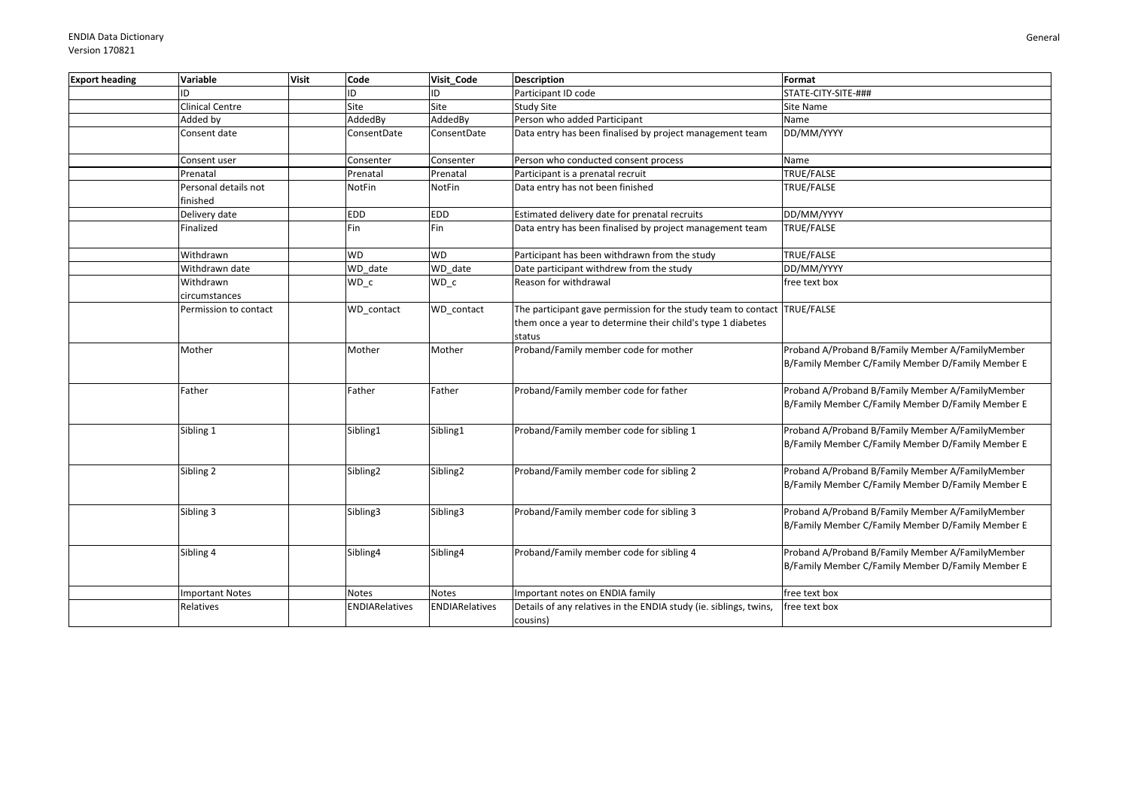| <b>Export heading</b> | Variable                         | <b>Visit</b> | Code                  | Visit Code            | <b>Description</b>                                                                                                                                | Format                                                                                                |
|-----------------------|----------------------------------|--------------|-----------------------|-----------------------|---------------------------------------------------------------------------------------------------------------------------------------------------|-------------------------------------------------------------------------------------------------------|
|                       | ID                               |              | ID                    | ID                    | Participant ID code                                                                                                                               | STATE-CITY-SITE-###                                                                                   |
|                       | Clinical Centre                  |              | Site                  | Site                  | <b>Study Site</b>                                                                                                                                 | Site Name                                                                                             |
|                       | Added by                         |              | AddedBy               | AddedBy               | Person who added Participant                                                                                                                      | Name                                                                                                  |
|                       | Consent date                     |              | ConsentDate           | ConsentDate           | Data entry has been finalised by project management team                                                                                          | DD/MM/YYYY                                                                                            |
|                       | Consent user                     |              | Consenter             | Consenter             | Person who conducted consent process                                                                                                              | Name                                                                                                  |
|                       | Prenatal                         |              | Prenatal              | Prenatal              | Participant is a prenatal recruit                                                                                                                 | TRUE/FALSE                                                                                            |
|                       | Personal details not<br>finished |              | NotFin                | NotFin                | Data entry has not been finished                                                                                                                  | TRUE/FALSE                                                                                            |
|                       | Delivery date                    |              | <b>EDD</b>            | EDD                   | Estimated delivery date for prenatal recruits                                                                                                     | DD/MM/YYYY                                                                                            |
|                       | Finalized                        |              | Fin                   | Fin                   | Data entry has been finalised by project management team                                                                                          | TRUE/FALSE                                                                                            |
|                       | Withdrawn                        |              | <b>WD</b>             | <b>WD</b>             | Participant has been withdrawn from the study                                                                                                     | TRUE/FALSE                                                                                            |
|                       | Withdrawn date                   |              | WD_date               | WD date               | Date participant withdrew from the study                                                                                                          | DD/MM/YYYY                                                                                            |
|                       | Withdrawn<br>circumstances       |              | WD_c                  | $WD_c$                | Reason for withdrawal                                                                                                                             | free text box                                                                                         |
|                       | Permission to contact            |              | WD contact            | WD_contact            | The participant gave permission for the study team to contact TRUE/FALSE<br>them once a year to determine their child's type 1 diabetes<br>status |                                                                                                       |
|                       | Mother                           |              | Mother                | Mother                | Proband/Family member code for mother                                                                                                             | Proband A/Proband B/Family Member A/FamilyMember<br>B/Family Member C/Family Member D/Family Member E |
|                       | Father                           |              | Father                | Father                | Proband/Family member code for father                                                                                                             | Proband A/Proband B/Family Member A/FamilyMember<br>B/Family Member C/Family Member D/Family Member E |
|                       | Sibling 1                        |              | Sibling1              | Sibling1              | Proband/Family member code for sibling 1                                                                                                          | Proband A/Proband B/Family Member A/FamilyMember<br>B/Family Member C/Family Member D/Family Member E |
|                       | Sibling 2                        |              | Sibling <sub>2</sub>  | Sibling <sub>2</sub>  | Proband/Family member code for sibling 2                                                                                                          | Proband A/Proband B/Family Member A/FamilyMember<br>B/Family Member C/Family Member D/Family Member E |
|                       | Sibling 3                        |              | Sibling3              | Sibling3              | Proband/Family member code for sibling 3                                                                                                          | Proband A/Proband B/Family Member A/FamilyMember<br>B/Family Member C/Family Member D/Family Member E |
|                       | Sibling 4                        |              | Sibling4              | Sibling4              | Proband/Family member code for sibling 4                                                                                                          | Proband A/Proband B/Family Member A/FamilyMember<br>B/Family Member C/Family Member D/Family Member E |
|                       | <b>Important Notes</b>           |              | Notes                 | <b>Notes</b>          | Important notes on ENDIA family                                                                                                                   | free text box                                                                                         |
|                       | Relatives                        |              | <b>ENDIARelatives</b> | <b>ENDIARelatives</b> | Details of any relatives in the ENDIA study (ie. siblings, twins,<br>cousins)                                                                     | free text box                                                                                         |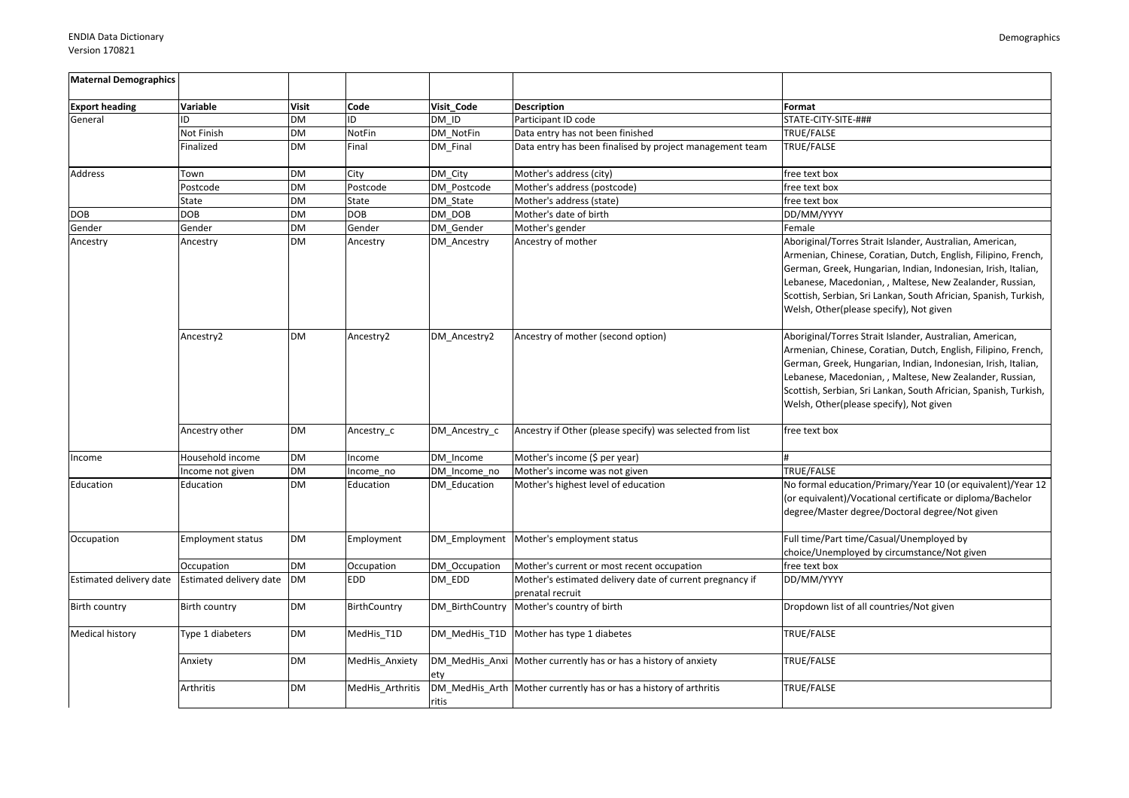| <b>Maternal Demographics</b> |                          |           |                  |               |                                                                              |                                                                                                                                                                                                                                                                                                                                                                        |
|------------------------------|--------------------------|-----------|------------------|---------------|------------------------------------------------------------------------------|------------------------------------------------------------------------------------------------------------------------------------------------------------------------------------------------------------------------------------------------------------------------------------------------------------------------------------------------------------------------|
| <b>Export heading</b>        | Variable                 | Visit     | Code             | Visit Code    | <b>Description</b>                                                           | Format                                                                                                                                                                                                                                                                                                                                                                 |
| General                      | ID                       | <b>DM</b> | ID               | DM ID         | Participant ID code                                                          | STATE-CITY-SITE-###                                                                                                                                                                                                                                                                                                                                                    |
|                              | Not Finish               | <b>DM</b> | <b>NotFin</b>    | DM NotFin     | Data entry has not been finished                                             | <b>TRUE/FALSE</b>                                                                                                                                                                                                                                                                                                                                                      |
|                              | Finalized                | DM        | Final            | DM Final      | Data entry has been finalised by project management team                     | TRUE/FALSE                                                                                                                                                                                                                                                                                                                                                             |
| Address                      | Town                     | <b>DM</b> | City             | DM City       | Mother's address (city)                                                      | free text box                                                                                                                                                                                                                                                                                                                                                          |
|                              | Postcode                 | <b>DM</b> | Postcode         | DM Postcode   | Mother's address (postcode)                                                  | free text box                                                                                                                                                                                                                                                                                                                                                          |
|                              | State                    | <b>DM</b> | <b>State</b>     | DM State      | Mother's address (state)                                                     | free text box                                                                                                                                                                                                                                                                                                                                                          |
| DOB                          | <b>DOB</b>               | DM        | <b>DOB</b>       | DM DOB        | Mother's date of birth                                                       | DD/MM/YYYY                                                                                                                                                                                                                                                                                                                                                             |
| Gender                       | Gender                   | <b>DM</b> | Gender           | DM Gender     | Mother's gender                                                              | Female                                                                                                                                                                                                                                                                                                                                                                 |
| Ancestry                     | Ancestry                 | <b>DM</b> | Ancestry         | DM Ancestry   | Ancestry of mother                                                           | Aboriginal/Torres Strait Islander, Australian, American,<br>Armenian, Chinese, Coratian, Dutch, English, Filipino, French,<br>German, Greek, Hungarian, Indian, Indonesian, Irish, Italian,<br>Lebanese, Macedonian, , Maltese, New Zealander, Russian,<br>Scottish, Serbian, Sri Lankan, South Africian, Spanish, Turkish,<br>Welsh, Other(please specify), Not given |
|                              | Ancestry2                | <b>DM</b> | Ancestry2        | DM Ancestry2  | Ancestry of mother (second option)                                           | Aboriginal/Torres Strait Islander, Australian, American,<br>Armenian, Chinese, Coratian, Dutch, English, Filipino, French,<br>German, Greek, Hungarian, Indian, Indonesian, Irish, Italian,<br>Lebanese, Macedonian, , Maltese, New Zealander, Russian,<br>Scottish, Serbian, Sri Lankan, South Africian, Spanish, Turkish,<br>Welsh, Other(please specify), Not given |
|                              | Ancestry other           | <b>DM</b> | Ancestry c       | DM Ancestry c | Ancestry if Other (please specify) was selected from list                    | free text box                                                                                                                                                                                                                                                                                                                                                          |
| Income                       | Household income         | <b>DM</b> | Income           | DM Income     | Mother's income (\$ per year)                                                |                                                                                                                                                                                                                                                                                                                                                                        |
|                              | Income not given         | <b>DM</b> | Income_no        | DM_Income_no  | Mother's income was not given                                                | TRUE/FALSE                                                                                                                                                                                                                                                                                                                                                             |
| Education                    | Education                | <b>DM</b> | Education        | DM Education  | Mother's highest level of education                                          | No formal education/Primary/Year 10 (or equivalent)/Year 12<br>(or equivalent)/Vocational certificate or diploma/Bachelor<br>degree/Master degree/Doctoral degree/Not given                                                                                                                                                                                            |
| Occupation                   | <b>Employment status</b> | <b>DM</b> | Employment       |               | DM Employment Mother's employment status                                     | Full time/Part time/Casual/Unemployed by<br>choice/Unemployed by circumstance/Not given                                                                                                                                                                                                                                                                                |
|                              | Occupation               | <b>DM</b> | Occupation       | DM Occupation | Mother's current or most recent occupation                                   | free text box                                                                                                                                                                                                                                                                                                                                                          |
| Estimated delivery date      | Estimated delivery date  | DM        | EDD              | DM EDD        | Mother's estimated delivery date of current pregnancy if<br>prenatal recruit | DD/MM/YYYY                                                                                                                                                                                                                                                                                                                                                             |
| Birth country                | Birth country            | <b>DM</b> | BirthCountry     |               | DM BirthCountry Mother's country of birth                                    | Dropdown list of all countries/Not given                                                                                                                                                                                                                                                                                                                               |
| Medical history              | Type 1 diabeters         | <b>DM</b> | MedHis_T1D       |               | DM MedHis T1D Mother has type 1 diabetes                                     | TRUE/FALSE                                                                                                                                                                                                                                                                                                                                                             |
|                              | Anxiety                  | <b>DM</b> | MedHis Anxiety   | ety           | DM_MedHis_Anxi Mother currently has or has a history of anxiety              | TRUE/FALSE                                                                                                                                                                                                                                                                                                                                                             |
|                              | Arthritis                | <b>DM</b> | MedHis Arthritis | ritis         | DM_MedHis_Arth   Mother currently has or has a history of arthritis          | TRUE/FALSE                                                                                                                                                                                                                                                                                                                                                             |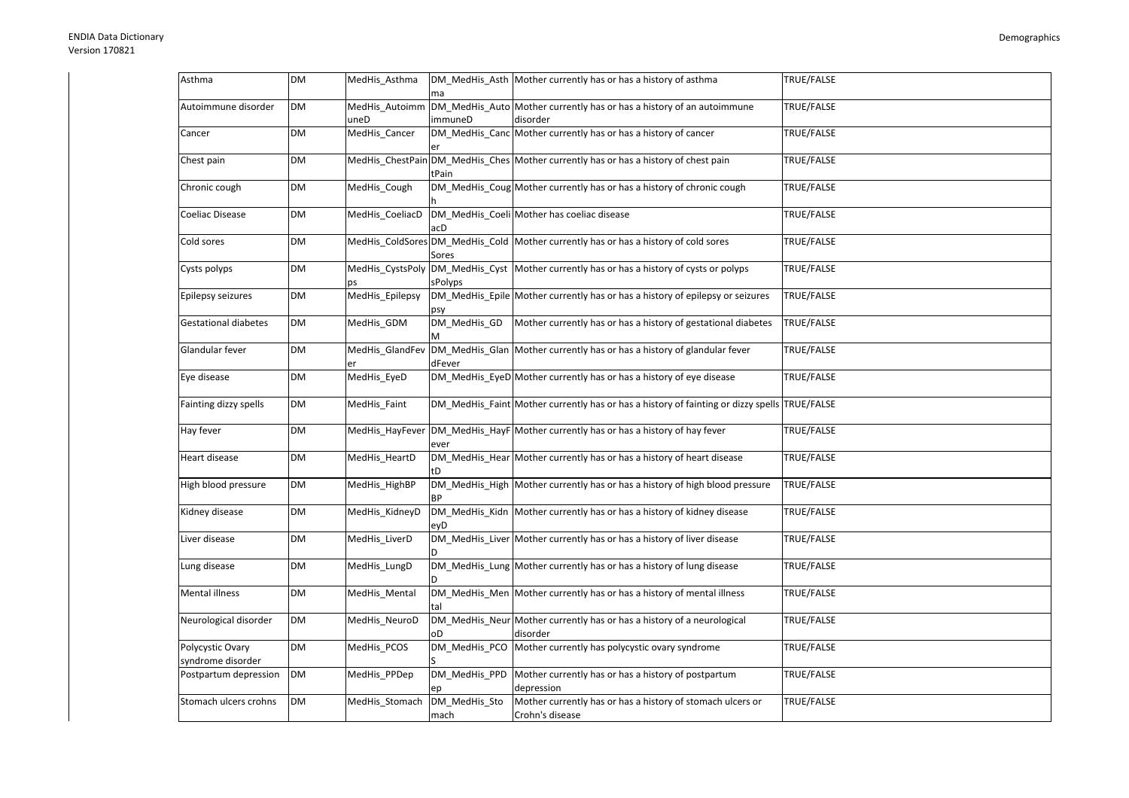| Asthma                                | <b>DM</b> | MedHis_Asthma          | ma                    | DM_MedHis_Asth Mother currently has or has a history of asthma                               | TRUE/FALSE        |
|---------------------------------------|-----------|------------------------|-----------------------|----------------------------------------------------------------------------------------------|-------------------|
| Autoimmune disorder                   | <b>DM</b> | MedHis_Autoimm<br>uneD | immuneD               | DM_MedHis_Auto Mother currently has or has a history of an autoimmune<br>disorder            | TRUE/FALSE        |
| Cancer                                | <b>DM</b> | MedHis_Cancer          |                       | DM_MedHis_Canc Mother currently has or has a history of cancer                               | <b>TRUE/FALSE</b> |
| Chest pain                            | <b>DM</b> |                        | tPain                 | MedHis_ChestPain DM_MedHis_Ches Mother currently has or has a history of chest pain          | TRUE/FALSE        |
| Chronic cough                         | <b>DM</b> | MedHis_Cough           |                       | DM_MedHis_Coug Mother currently has or has a history of chronic cough                        | TRUE/FALSE        |
| Coeliac Disease                       | <b>DM</b> | MedHis_CoeliacD        | acD                   | DM_MedHis_Coeli Mother has coeliac disease                                                   | TRUE/FALSE        |
| Cold sores                            | <b>DM</b> |                        | Sores                 | MedHis_ColdSores DM_MedHis_Cold Mother currently has or has a history of cold sores          | TRUE/FALSE        |
| Cysts polyps                          | <b>DM</b> |                        | sPolyps               | MedHis_CystsPoly DM_MedHis_Cyst Mother currently has or has a history of cysts or polyps     | TRUE/FALSE        |
| Epilepsy seizures                     | <b>DM</b> | MedHis_Epilepsy        |                       | DM_MedHis_Epile Mother currently has or has a history of epilepsy or seizures                | TRUE/FALSE        |
| <b>Gestational diabetes</b>           | <b>DM</b> | MedHis GDM             | DM MedHis GD<br>м     | Mother currently has or has a history of gestational diabetes                                | TRUE/FALSE        |
| Glandular fever                       | <b>DM</b> | MedHis_GlandFev        | dFever                | DM_MedHis_Glan Mother currently has or has a history of glandular fever                      | TRUE/FALSE        |
| Eye disease                           | <b>DM</b> | MedHis_EyeD            |                       | DM_MedHis_EyeD Mother currently has or has a history of eye disease                          | TRUE/FALSE        |
| Fainting dizzy spells                 | <b>DM</b> | MedHis Faint           |                       | DM MedHis Faint Mother currently has or has a history of fainting or dizzy spells TRUE/FALSE |                   |
| Hay fever                             | <b>DM</b> |                        | ever                  | MedHis_HayFever DM_MedHis_HayF Mother currently has or has a history of hay fever            | TRUE/FALSE        |
| Heart disease                         | <b>DM</b> | MedHis HeartD          |                       | DM MedHis Hear Mother currently has or has a history of heart disease                        | TRUE/FALSE        |
| High blood pressure                   | <b>DM</b> | MedHis HighBP          |                       | DM_MedHis_High Mother currently has or has a history of high blood pressure                  | TRUE/FALSE        |
| Kidney disease                        | <b>DM</b> | MedHis KidneyD         | evD                   | DM_MedHis_Kidn Mother currently has or has a history of kidney disease                       | TRUE/FALSE        |
| Liver disease                         | <b>DM</b> | MedHis_LiverD          |                       | DM_MedHis_Liver Mother currently has or has a history of liver disease                       | TRUE/FALSE        |
| Lung disease                          | <b>DM</b> | MedHis LungD           |                       | DM MedHis Lung Mother currently has or has a history of lung disease                         | TRUE/FALSE        |
| Mental illness                        | <b>DM</b> | MedHis Mental          |                       | DM MedHis Men Mother currently has or has a history of mental illness                        | TRUE/FALSE        |
| Neurological disorder                 | <b>DM</b> | MedHis_NeuroD          | oD                    | DM_MedHis_Neur Mother currently has or has a history of a neurological<br>disorder           | TRUE/FALSE        |
| Polycystic Ovary<br>syndrome disorder | <b>DM</b> | MedHis_PCOS            | DM_MedHis_PCO         | Mother currently has polycystic ovary syndrome                                               | TRUE/FALSE        |
| Postpartum depression                 | <b>DM</b> | MedHis_PPDep           | DM_MedHis_PPD         | Mother currently has or has a history of postpartum<br>depression                            | TRUE/FALSE        |
| Stomach ulcers crohns                 | <b>DM</b> | MedHis Stomach         | DM MedHis Sto<br>mach | Mother currently has or has a history of stomach ulcers or<br>Crohn's disease                | TRUE/FALSE        |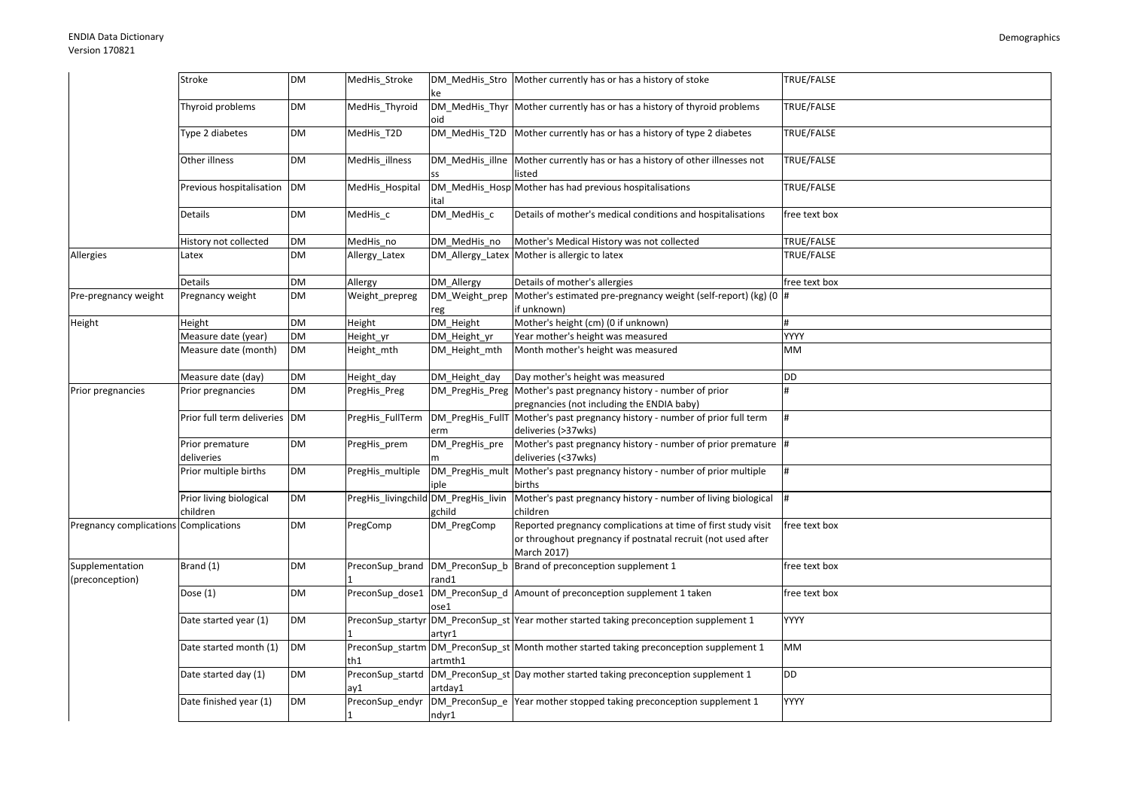|                                       | Stroke                        | <b>DM</b> | MedHis_Stroke    |                                      | DM_MedHis_Stro Mother currently has or has a history of stoke                                                                                | TRUE/FALSE        |
|---------------------------------------|-------------------------------|-----------|------------------|--------------------------------------|----------------------------------------------------------------------------------------------------------------------------------------------|-------------------|
|                                       | Thyroid problems              | <b>DM</b> | MedHis_Thyroid   | oid                                  | DM_MedHis_Thyr Mother currently has or has a history of thyroid problems                                                                     | TRUE/FALSE        |
|                                       | Type 2 diabetes               | <b>DM</b> | MedHis_T2D       |                                      | DM_MedHis_T2D Mother currently has or has a history of type 2 diabetes                                                                       | TRUE/FALSE        |
|                                       | Other illness                 | <b>DM</b> | MedHis illness   |                                      | DM_MedHis_illne Mother currently has or has a history of other illnesses not<br>listed                                                       | TRUE/FALSE        |
|                                       | Previous hospitalisation      | <b>DM</b> | MedHis_Hospital  | ital                                 | DM_MedHis_Hosp Mother has had previous hospitalisations                                                                                      | TRUE/FALSE        |
|                                       | Details                       | <b>DM</b> | MedHis_c         | DM_MedHis_c                          | Details of mother's medical conditions and hospitalisations                                                                                  | free text box     |
|                                       | History not collected         | <b>DM</b> | MedHis no        | DM_MedHis_no                         | Mother's Medical History was not collected                                                                                                   | <b>TRUE/FALSE</b> |
| Allergies                             | Latex                         | <b>DM</b> | Allergy_Latex    |                                      | DM_Allergy_Latex Mother is allergic to latex                                                                                                 | <b>TRUE/FALSE</b> |
|                                       | Details                       | <b>DM</b> | Allergy          | DM Allergy                           | Details of mother's allergies                                                                                                                | free text box     |
| Pre-pregnancy weight                  | Pregnancy weight              | <b>DM</b> | Weight prepreg   | reg                                  | DM_Weight_prep  Mother's estimated pre-pregnancy weight (self-report) (kg) (0 #<br>if unknown)                                               |                   |
| Height                                | Height                        | <b>DM</b> | Height           | DM_Height                            | Mother's height (cm) (0 if unknown)                                                                                                          | #                 |
|                                       | Measure date (year)           | <b>DM</b> | Height_yr        | DM_Height_yr                         | Year mother's height was measured                                                                                                            | <b>YYYY</b>       |
|                                       | Measure date (month)          | <b>DM</b> | Height_mth       | DM_Height_mth                        | Month mother's height was measured                                                                                                           | MM                |
|                                       | Measure date (day)            | <b>DM</b> | Height_day       | DM_Height_day                        | Day mother's height was measured                                                                                                             | <b>DD</b>         |
| Prior pregnancies                     | Prior pregnancies             | <b>DM</b> | PregHis_Preg     |                                      | DM_PregHis_Preg Mother's past pregnancy history - number of prior<br>pregnancies (not including the ENDIA baby)                              |                   |
|                                       | Prior full term deliveries DM |           | PregHis_FullTerm | erm                                  | DM_PregHis_FullT Mother's past pregnancy history - number of prior full term<br>deliveries (>37wks)                                          |                   |
|                                       | Prior premature<br>deliveries | <b>DM</b> | PregHis_prem     | DM_PregHis_pre                       | Mother's past pregnancy history - number of prior premature  #<br>deliveries (<37wks)                                                        |                   |
|                                       | Prior multiple births         | <b>DM</b> | PregHis_multiple | DM_PregHis_mult<br>iple              | Mother's past pregnancy history - number of prior multiple<br>births                                                                         | #                 |
|                                       | Prior living biological       | <b>DM</b> |                  | PregHis_livingchild DM_PregHis_livin | Mother's past pregnancy history - number of living biological                                                                                | #                 |
|                                       | children                      |           |                  | gchild                               | children                                                                                                                                     |                   |
| Pregnancy complications Complications |                               | <b>DM</b> | PregComp         | DM_PregComp                          | Reported pregnancy complications at time of first study visit<br>or throughout pregnancy if postnatal recruit (not used after<br>March 2017) | free text box     |
| Supplementation<br>(preconception)    | Brand (1)                     | <b>DM</b> |                  | rand1                                | PreconSup_brand DM_PreconSup_b Brand of preconception supplement 1                                                                           | free text box     |
|                                       | Dose $(1)$                    | <b>DM</b> | PreconSup dose1  | ose1                                 | DM_PreconSup_d Amount of preconception supplement 1 taken                                                                                    | free text box     |
|                                       | Date started year (1)         | <b>DM</b> |                  | artyr1                               | PreconSup_startyr DM_PreconSup_st Year mother started taking preconception supplement 1                                                      | <b>YYYY</b>       |
|                                       | Date started month (1)        | <b>DM</b> | th1              | artmth1                              | PreconSup_startm DM_PreconSup_st Month mother started taking preconception supplement 1                                                      | MM                |
|                                       | Date started day (1)          | <b>DM</b> | ay1              | artday1                              | PreconSup_startd  DM_PreconSup_st Day mother started taking preconception supplement 1                                                       | DD                |
|                                       | Date finished year (1)        | <b>DM</b> | PreconSup_endyr  | ndyr1                                | DM_PreconSup_e Year mother stopped taking preconception supplement 1                                                                         | YYYY              |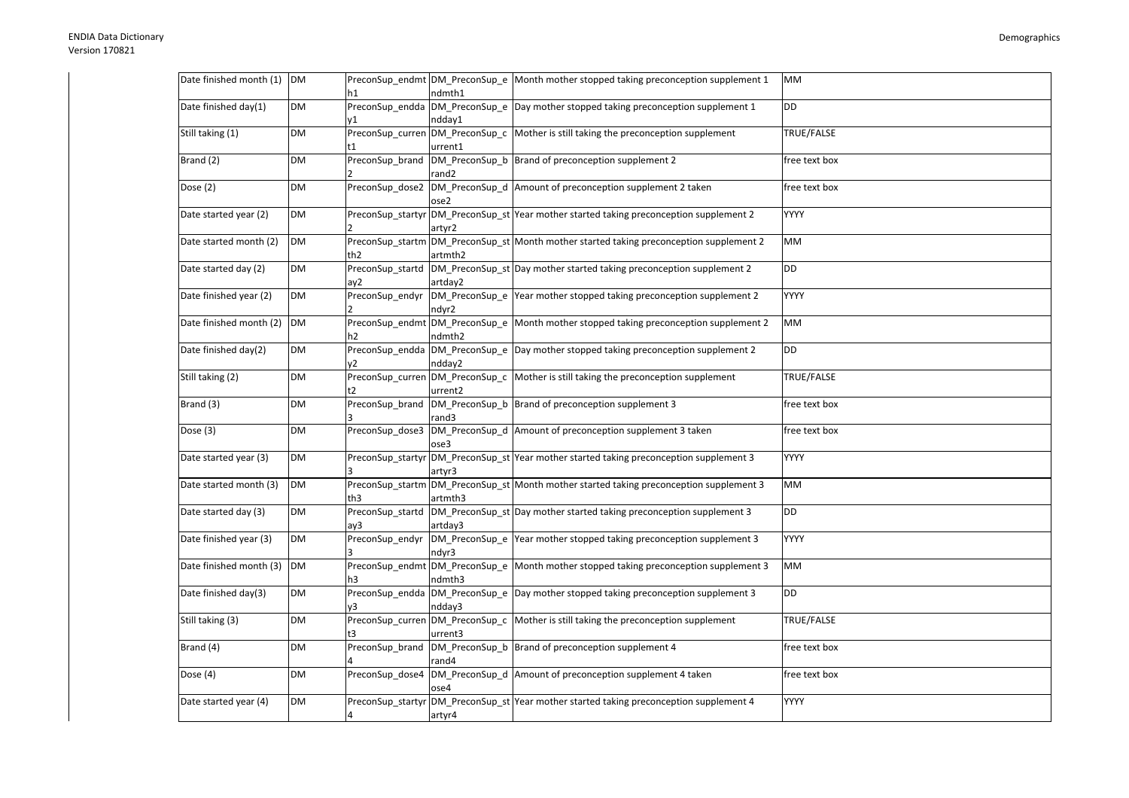| Date finished month (1) | <b>DM</b> | h1                      | ndmth1                                     | PreconSup_endmt DM_PreconSup_e Month mother stopped taking preconception supplement 1     | MM            |
|-------------------------|-----------|-------------------------|--------------------------------------------|-------------------------------------------------------------------------------------------|---------------|
| Date finished day(1)    | DM        | 11                      | ndday1                                     | PreconSup_endda DM_PreconSup_e Day mother stopped taking preconception supplement 1       | DD            |
| Still taking (1)        | <b>DM</b> |                         | PreconSup_curren DM_PreconSup_c<br>urrent1 | Mother is still taking the preconception supplement                                       | TRUE/FALSE    |
| Brand (2)               | DM        | PreconSup_brand         | DM_PreconSup_b<br>rand2                    | Brand of preconception supplement 2                                                       | free text box |
| Dose $(2)$              | <b>DM</b> | PreconSup_dose2         | ose2                                       | DM_PreconSup_d Amount of preconception supplement 2 taken                                 | free text box |
| Date started year (2)   | <b>DM</b> |                         | artvr2                                     | PreconSup_startyr  DM_PreconSup_st  Year mother started taking preconception supplement 2 | <b>YYYY</b>   |
| Date started month (2)  | <b>DM</b> | th <sub>2</sub>         | artmth <sub>2</sub>                        | PreconSup_startm DM_PreconSup_st Month mother started taking preconception supplement 2   | MМ            |
| Date started day (2)    | <b>DM</b> | PreconSup_startd<br>ay2 | artday2                                    | DM PreconSup st Day mother started taking preconception supplement 2                      | DD            |
| Date finished year (2)  | <b>DM</b> | PreconSup_endyr         | ndyr2                                      | DM_PreconSup_e Year mother stopped taking preconception supplement 2                      | <b>YYYY</b>   |
| Date finished month (2) | <b>DM</b> | h2                      | PreconSup_endmt DM_PreconSup_e<br>ndmth2   | Month mother stopped taking preconception supplement 2                                    | МM            |
| Date finished day(2)    | <b>DM</b> | v2                      | ndday2                                     | PreconSup_endda DM_PreconSup_e Day mother stopped taking preconception supplement 2       | DD            |
| Still taking (2)        | DM        | t2                      | PreconSup_curren DM_PreconSup_c<br>urrent2 | Mother is still taking the preconception supplement                                       | TRUE/FALSE    |
| Brand (3)               | DM        | PreconSup brand         | rand3                                      | DM_PreconSup_b  Brand of preconception supplement 3                                       | free text box |
| Dose $(3)$              | <b>DM</b> | PreconSup_dose3         | ose3                                       | DM_PreconSup_d Amount of preconception supplement 3 taken                                 | free text box |
| Date started year (3)   | <b>DM</b> |                         | artyr3                                     | PreconSup startyr DM PreconSup st Year mother started taking preconception supplement 3   | <b>YYYY</b>   |
| Date started month (3)  | <b>DM</b> | th3                     | artmth3                                    | PreconSup_startm DM_PreconSup_st Month mother started taking preconception supplement 3   | MМ            |
| Date started day (3)    | <b>DM</b> | PreconSup_startd<br>ay3 | artday3                                    | DM PreconSup st Day mother started taking preconception supplement 3                      | DD            |
| Date finished year (3)  | <b>DM</b> | PreconSup endyr         | ndyr3                                      | DM_PreconSup_e Year mother stopped taking preconception supplement 3                      | YYYY          |
| Date finished month (3) | <b>DM</b> | h3                      | PreconSup_endmt DM_PreconSup_e<br>ndmth3   | Month mother stopped taking preconception supplement 3                                    | МM            |
| Date finished day(3)    | DM        | ٧3                      | ndday3                                     | PreconSup endda DM PreconSup e Day mother stopped taking preconception supplement 3       | DD            |
| Still taking (3)        | DM        |                         | PreconSup_curren DM_PreconSup_c<br>urrent3 | Mother is still taking the preconception supplement                                       | TRUE/FALSE    |
| Brand (4)               | DM        | PreconSup_brand         | DM PreconSup b<br>rand4                    | Brand of preconception supplement 4                                                       | free text box |
| Dose (4)                | <b>DM</b> | PreconSup dose4         | ose4                                       | DM PreconSup d Amount of preconception supplement 4 taken                                 | free text box |
| Date started year (4)   | <b>DM</b> | PreconSup startyr<br>4  | artyr4                                     | DM PreconSup st Year mother started taking preconception supplement 4                     | <b>YYYY</b>   |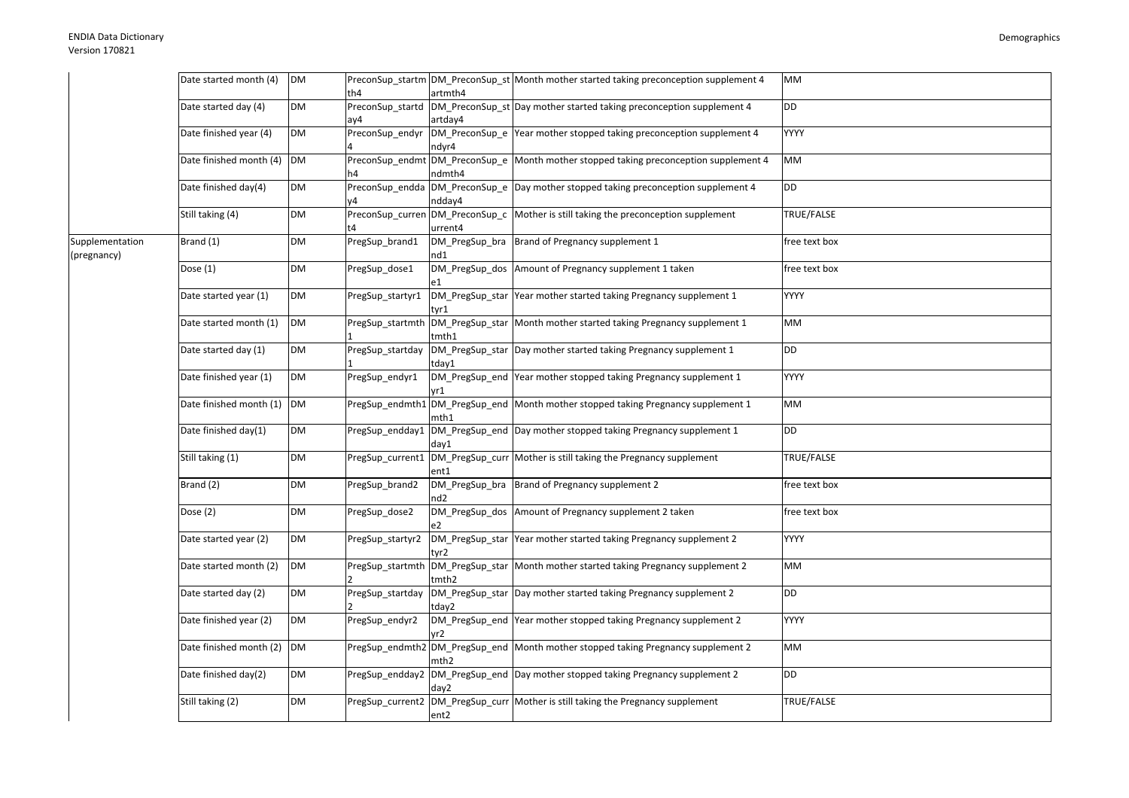|                 | Date started month (4)  | <b>DM</b> |                  |         | PreconSup_startm DM_PreconSup_st Month mother started taking preconception supplement 4 | <b>MM</b>     |
|-----------------|-------------------------|-----------|------------------|---------|-----------------------------------------------------------------------------------------|---------------|
|                 |                         |           | th4              | artmth4 |                                                                                         |               |
|                 | Date started day (4)    | DM        | PreconSup_startd |         | DM_PreconSup_st Day mother started taking preconception supplement 4                    | DD            |
|                 |                         |           | ay4              | artday4 |                                                                                         |               |
|                 | Date finished year (4)  | <b>DM</b> | PreconSup_endyr  |         | DM_PreconSup_e Year mother stopped taking preconception supplement 4                    | YYYY          |
|                 |                         |           |                  | ndyr4   |                                                                                         |               |
|                 | Date finished month (4) | <b>DM</b> | PreconSup_endmt  |         | DM_PreconSup_e Month mother stopped taking preconception supplement 4                   | MM            |
|                 |                         |           |                  | ndmth4  |                                                                                         |               |
|                 | Date finished day(4)    | <b>DM</b> |                  |         | PreconSup_endda DM_PreconSup_e Day mother stopped taking preconception supplement 4     | DD            |
|                 |                         |           |                  | ndday4  |                                                                                         |               |
|                 | Still taking (4)        | <b>DM</b> | PreconSup_curren |         | DM_PreconSup_c   Mother is still taking the preconception supplement                    | TRUE/FALSE    |
|                 |                         |           |                  | urrent4 |                                                                                         |               |
| Supplementation | Brand (1)               | <b>DM</b> | PregSup_brand1   |         | DM_PregSup_bra   Brand of Pregnancy supplement 1                                        | free text box |
| (pregnancy)     |                         |           |                  | nd1     |                                                                                         |               |
|                 | Dose $(1)$              | <b>DM</b> | PregSup_dose1    |         | DM PregSup dos Amount of Pregnancy supplement 1 taken                                   | free text box |
|                 |                         |           |                  |         |                                                                                         |               |
|                 | Date started year (1)   | <b>DM</b> | PregSup startyr1 |         | DM PregSup star Year mother started taking Pregnancy supplement 1                       | <b>YYYY</b>   |
|                 |                         |           |                  | tyr1    |                                                                                         |               |
|                 | Date started month (1)  | <b>DM</b> | PregSup_startmth |         | DM_PregSup_star Month mother started taking Pregnancy supplement 1                      | MM            |
|                 |                         |           |                  | tmth1   |                                                                                         |               |
|                 | Date started day (1)    | <b>DM</b> | PregSup_startday |         | DM_PregSup_star Day mother started taking Pregnancy supplement 1                        | DD            |
|                 |                         |           |                  | tday1   |                                                                                         |               |
|                 | Date finished year (1)  | <b>DM</b> | PregSup_endyr1   |         | DM_PregSup_end Year mother stopped taking Pregnancy supplement 1                        | <b>YYYY</b>   |
|                 |                         |           |                  | vr1     |                                                                                         |               |
|                 | Date finished month (1) | <b>DM</b> | PregSup_endmth1  |         | DM_PregSup_end Month mother stopped taking Pregnancy supplement 1                       | MМ            |
|                 |                         |           |                  | mth1    |                                                                                         |               |
|                 | Date finished day(1)    | <b>DM</b> | PregSup_endday1  |         | DM_PregSup_end Day mother stopped taking Pregnancy supplement 1                         | DD            |
|                 |                         |           |                  | day1    |                                                                                         |               |
|                 | Still taking (1)        | <b>DM</b> | PregSup_current1 |         | DM_PregSup_curr   Mother is still taking the Pregnancy supplement                       | TRUE/FALSE    |
|                 |                         |           |                  | ent1    |                                                                                         |               |
|                 | Brand (2)               | <b>DM</b> | PregSup_brand2   |         | DM_PregSup_bra  Brand of Pregnancy supplement 2                                         | free text box |
|                 |                         |           |                  | nd2     |                                                                                         |               |
|                 | Dose (2)                | DM        | PregSup dose2    |         | DM PregSup dos Amount of Pregnancy supplement 2 taken                                   | free text box |
|                 |                         |           |                  |         |                                                                                         |               |
|                 | Date started year (2)   | <b>DM</b> | PregSup startyr2 |         | DM_PregSup_star Year mother started taking Pregnancy supplement 2                       | <b>YYYY</b>   |
|                 |                         |           |                  | tyr2    |                                                                                         |               |
|                 | Date started month (2)  | <b>DM</b> | PregSup_startmth |         | DM PregSup star Month mother started taking Pregnancy supplement 2                      | МM            |
|                 |                         |           |                  | tmth2   |                                                                                         |               |
|                 | Date started day (2)    | <b>DM</b> | PregSup_startday |         | DM_PregSup_star Day mother started taking Pregnancy supplement 2                        | <b>DD</b>     |
|                 |                         |           |                  | tday2   |                                                                                         |               |
|                 | Date finished year (2)  | <b>DM</b> | PregSup_endyr2   |         | DM_PregSup_end Year mother stopped taking Pregnancy supplement 2                        | <b>YYYY</b>   |
|                 |                         |           |                  | r2/     |                                                                                         |               |
|                 | Date finished month (2) | <b>DM</b> |                  |         | PregSup_endmth2 DM_PregSup_end Month mother stopped taking Pregnancy supplement 2       | МM            |
|                 |                         |           |                  | mth2    |                                                                                         |               |
|                 | Date finished day(2)    | <b>DM</b> | PregSup_endday2  |         | DM_PregSup_end Day mother stopped taking Pregnancy supplement 2                         | DD            |
|                 |                         |           |                  | day2    |                                                                                         |               |
|                 | Still taking (2)        | <b>DM</b> | PregSup_current2 |         | DM_PregSup_curr Mother is still taking the Pregnancy supplement                         | TRUE/FALSE    |
|                 |                         |           |                  | ent2    |                                                                                         |               |
|                 |                         |           |                  |         |                                                                                         |               |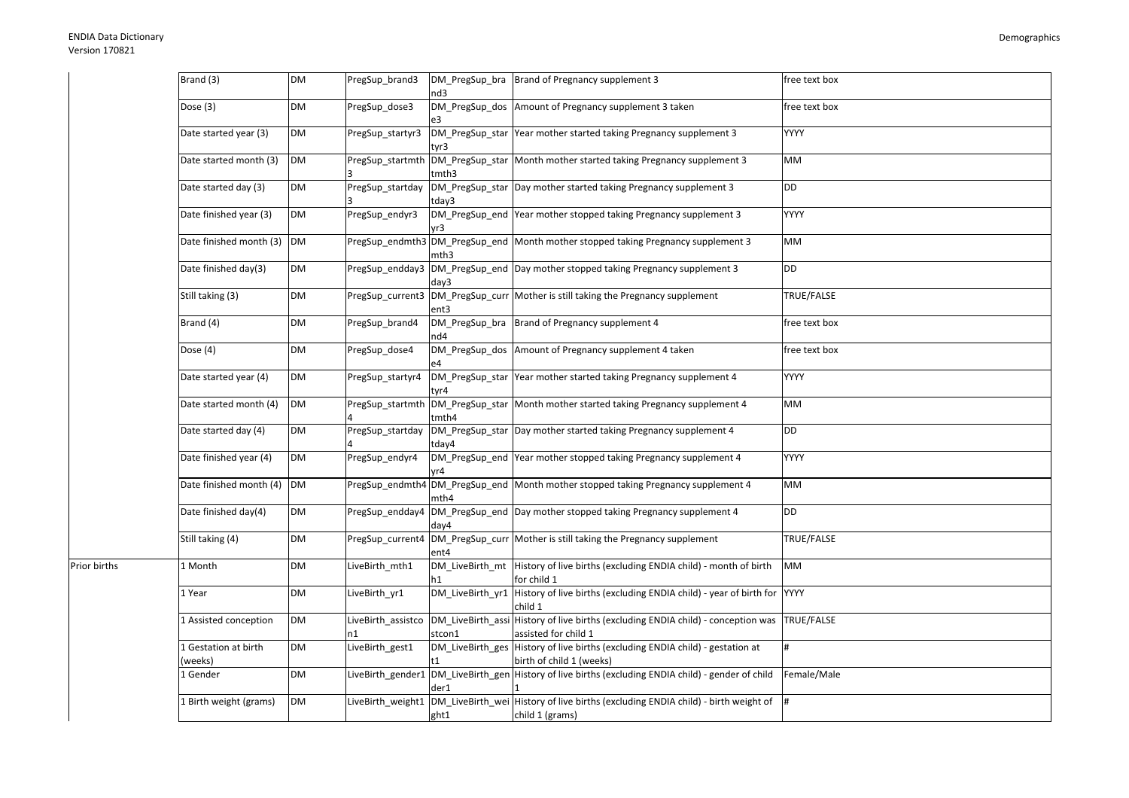Prior births

| Brand (3)                       | <b>DM</b> | PregSup_brand3           | DM_PregSup_bra<br>nd3 | Brand of Pregnancy supplement 3                                                                                        | free text box |
|---------------------------------|-----------|--------------------------|-----------------------|------------------------------------------------------------------------------------------------------------------------|---------------|
| Dose (3)                        | <b>DM</b> | PregSup_dose3            | DM_PregSup_dos        | Amount of Pregnancy supplement 3 taken                                                                                 | free text box |
| Date started year (3)           | DM        | PregSup startyr3         | tyr3                  | DM PregSup star Year mother started taking Pregnancy supplement 3                                                      | <b>YYYY</b>   |
| Date started month (3)          | <b>DM</b> |                          | tmth3                 | PregSup startmth DM PregSup star Month mother started taking Pregnancy supplement 3                                    | MM            |
| Date started day (3)            | DM        | PregSup_startday         | tdav3                 | DM_PregSup_star Day mother started taking Pregnancy supplement 3                                                       | <b>DD</b>     |
| Date finished year (3)          | <b>DM</b> | PregSup_endyr3           | vr3                   | DM PregSup end Year mother stopped taking Pregnancy supplement 3                                                       | <b>YYYY</b>   |
| Date finished month (3)         | <b>DM</b> |                          | mth3                  | PregSup_endmth3 DM_PregSup_end   Month mother stopped taking Pregnancy supplement 3                                    | MM            |
| Date finished day(3)            | DM        | PregSup_endday3          | day3                  | DM_PregSup_end Day mother stopped taking Pregnancy supplement 3                                                        | DD            |
| Still taking (3)                | DM        |                          | ent3                  | PregSup_current3  DM_PregSup_curr   Mother is still taking the Pregnancy supplement                                    | TRUE/FALSE    |
| Brand (4)                       | DM        | PregSup_brand4           | DM_PregSup_bra<br>nd4 | Brand of Pregnancy supplement 4                                                                                        | free text box |
| Dose (4)                        | DM        | PregSup_dose4            | DM_PregSup_dos        | Amount of Pregnancy supplement 4 taken                                                                                 | free text box |
| Date started year (4)           | DM        | PregSup_startyr4         | tyr4                  | DM_PregSup_star Year mother started taking Pregnancy supplement 4                                                      | YYYY          |
| Date started month (4)          | <b>DM</b> |                          | tmth4                 | PregSup startmth DM PregSup star Month mother started taking Pregnancy supplement 4                                    | MM            |
| Date started day (4)            | DM        | PregSup startday         | tday4                 | DM PregSup star Day mother started taking Pregnancy supplement 4                                                       | DD            |
| Date finished year (4)          | <b>DM</b> | PregSup_endyr4           | vr4                   | DM PregSup end Year mother stopped taking Pregnancy supplement 4                                                       | <b>YYYY</b>   |
| Date finished month (4)         | <b>DM</b> |                          | mth4                  | PregSup_endmth4 DM_PregSup_end Month mother stopped taking Pregnancy supplement 4                                      | <b>MM</b>     |
| Date finished day(4)            | DM        | PregSup_endday4          | day4                  | DM_PregSup_end Day mother stopped taking Pregnancy supplement 4                                                        | DD            |
| Still taking (4)                | DM        |                          | ent4                  | PregSup current4 DM PregSup curr Mother is still taking the Pregnancy supplement                                       | TRUE/FALSE    |
| 1 Month                         | DM        | LiveBirth_mth1           | h1                    | DM_LiveBirth_mt History of live births (excluding ENDIA child) - month of birth<br>for child 1                         | MM            |
| 1 Year                          | DM        | LiveBirth yr1            | DM LiveBirth yr1      | History of live births (excluding ENDIA child) - year of birth for YYYY<br>child 1                                     |               |
| 1 Assisted conception           | <b>DM</b> | LiveBirth_assistco<br>n1 | stcon1                | DM_LiveBirth_assi History of live births (excluding ENDIA child) - conception was<br>assisted for child 1              | TRUE/FALSE    |
| 1 Gestation at birth<br>(weeks) | DM        | LiveBirth_gest1          | t1                    | DM_LiveBirth_ges History of live births (excluding ENDIA child) - gestation at<br>birth of child 1 (weeks)             |               |
| 1 Gender                        | <b>DM</b> |                          | der1                  | LiveBirth_gender1  DM_LiveBirth_gen  History of live births (excluding ENDIA child) - gender of child                  | Female/Male   |
| 1 Birth weight (grams)          | <b>DM</b> |                          | ght1                  | LiveBirth_weight1 DM_LiveBirth_wei History of live births (excluding ENDIA child) - birth weight of<br>child 1 (grams) | #             |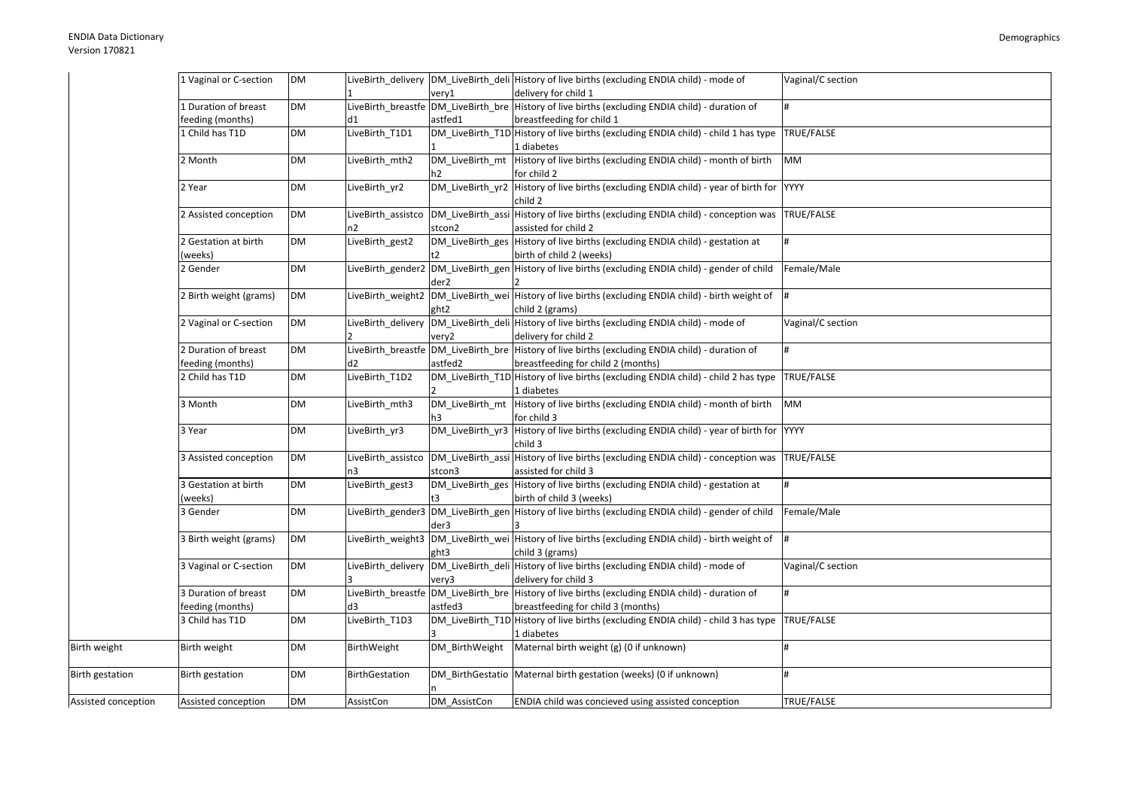| delivery for child 1<br>very1<br>LiveBirth_breastfe DM_LiveBirth_bre History of live births (excluding ENDIA child) - duration of<br>1 Duration of breast<br>DM<br>feeding (months)<br>astfed1<br>breastfeeding for child 1<br>d1<br>1 Child has T1D<br>LiveBirth_T1D1<br>DM_LiveBirth_T1D History of live births (excluding ENDIA child) - child 1 has type<br><b>DM</b><br>TRUE/FALSE<br>1 diabetes<br>History of live births (excluding ENDIA child) - month of birth<br>2 Month<br>DM<br>LiveBirth mth2<br>DM LiveBirth mt<br>MM<br>for child 2<br>h2<br>DM_LiveBirth_yr2 History of live births (excluding ENDIA child) - year of birth for YYYY<br>DM<br>2 Year<br>LiveBirth yr2<br>child 2<br>DM_LiveBirth_assi History of live births (excluding ENDIA child) - conception was<br>2 Assisted conception<br><b>DM</b><br>LiveBirth assistco<br>TRUE/FALSE<br>assisted for child 2<br>n2<br>stcon2<br>DM_LiveBirth_ges History of live births (excluding ENDIA child) - gestation at<br>LiveBirth_gest2<br>2 Gestation at birth<br>DM<br>birth of child 2 (weeks)<br>(weeks)<br>LiveBirth_gender2 DM_LiveBirth_gen History of live births (excluding ENDIA child) - gender of child<br>2 Gender<br><b>DM</b><br>Female/Male<br>der2<br>DM_LiveBirth_wei History of live births (excluding ENDIA child) - birth weight of #<br>2 Birth weight (grams)<br><b>DM</b><br>LiveBirth weight2<br>ght2<br>child 2 (grams)<br>DM_LiveBirth_deli History of live births (excluding ENDIA child) - mode of<br>2 Vaginal or C-section<br><b>DM</b><br>LiveBirth delivery<br>Vaginal/C section<br>delivery for child 2<br>very2<br>LiveBirth_breastfe DM_LiveBirth_bre History of live births (excluding ENDIA child) - duration of<br>2 Duration of breast<br>DM<br>#<br>feeding (months)<br>astfed2<br>breastfeeding for child 2 (months)<br>d2<br>DM_LiveBirth_T1D History of live births (excluding ENDIA child) - child 2 has type<br>2 Child has T1D<br><b>DM</b><br>LiveBirth_T1D2<br>TRUE/FALSE<br>1 diabetes<br>DM_LiveBirth_mt History of live births (excluding ENDIA child) - month of birth<br><b>DM</b><br>LiveBirth mth3<br><b>MM</b><br>3 Month<br>for child 3<br>h3<br>DM_LiveBirth_yr3 History of live births (excluding ENDIA child) - year of birth for YYYY<br><b>DM</b><br>LiveBirth yr3<br>3 Year<br>child 3<br>DM_LiveBirth_assi History of live births (excluding ENDIA child) - conception was<br>3 Assisted conception<br>TRUE/FALSE<br><b>DM</b><br>LiveBirth_assistco<br>stcon3<br>assisted for child 3<br>DM_LiveBirth_ges History of live births (excluding ENDIA child) - gestation at<br>LiveBirth_gest3<br>3 Gestation at birth<br>DM<br>birth of child 3 (weeks)<br>(weeks)<br>t3.<br>LiveBirth_gender3 DM_LiveBirth_gen History of live births (excluding ENDIA child) - gender of child<br>3 Gender<br><b>DM</b><br>Female/Male<br>der3<br>LiveBirth_weight3 DM_LiveBirth_wei History of live births (excluding ENDIA child) - birth weight of<br><b>DM</b><br>3 Birth weight (grams)<br>child 3 (grams)<br>ght3<br>DM_LiveBirth_deli History of live births (excluding ENDIA child) - mode of<br>3 Vaginal or C-section<br><b>DM</b><br>LiveBirth delivery<br>Vaginal/C section<br>delivery for child 3<br>very3<br>LiveBirth_breastfe DM_LiveBirth_bre History of live births (excluding ENDIA child) - duration of<br>3 Duration of breast<br>DM<br>#<br>feeding (months)<br>astfed3<br>breastfeeding for child 3 (months)<br>d3<br>3 Child has T1D<br>DM_LiveBirth_T1D History of live births (excluding ENDIA child) - child 3 has type TRUE/FALSE<br><b>DM</b><br>LiveBirth_T1D3<br>1 diabetes<br>Maternal birth weight (g) (0 if unknown)<br>Birth weight<br><b>DM</b><br>BirthWeight<br>DM BirthWeight<br>DM_BirthGestatio   Maternal birth gestation (weeks) (0 if unknown)<br><b>DM</b><br>Birth gestation<br><b>BirthGestation</b><br><b>DM</b><br>ENDIA child was concieved using assisted conception<br>TRUE/FALSE<br>Assisted conception<br>AssistCon<br>DM AssistCon |                        | 1 Vaginal or C-section | <b>DM</b> |  | LiveBirth_delivery DM_LiveBirth_deli History of live births (excluding ENDIA child) - mode of | Vaginal/C section |
|-------------------------------------------------------------------------------------------------------------------------------------------------------------------------------------------------------------------------------------------------------------------------------------------------------------------------------------------------------------------------------------------------------------------------------------------------------------------------------------------------------------------------------------------------------------------------------------------------------------------------------------------------------------------------------------------------------------------------------------------------------------------------------------------------------------------------------------------------------------------------------------------------------------------------------------------------------------------------------------------------------------------------------------------------------------------------------------------------------------------------------------------------------------------------------------------------------------------------------------------------------------------------------------------------------------------------------------------------------------------------------------------------------------------------------------------------------------------------------------------------------------------------------------------------------------------------------------------------------------------------------------------------------------------------------------------------------------------------------------------------------------------------------------------------------------------------------------------------------------------------------------------------------------------------------------------------------------------------------------------------------------------------------------------------------------------------------------------------------------------------------------------------------------------------------------------------------------------------------------------------------------------------------------------------------------------------------------------------------------------------------------------------------------------------------------------------------------------------------------------------------------------------------------------------------------------------------------------------------------------------------------------------------------------------------------------------------------------------------------------------------------------------------------------------------------------------------------------------------------------------------------------------------------------------------------------------------------------------------------------------------------------------------------------------------------------------------------------------------------------------------------------------------------------------------------------------------------------------------------------------------------------------------------------------------------------------------------------------------------------------------------------------------------------------------------------------------------------------------------------------------------------------------------------------------------------------------------------------------------------------------------------------------------------------------------------------------------------------------------------------------------------------------------------------------------------------------------------------------------------------------------------------------------------------------------------------------------------------------------------------------------------|------------------------|------------------------|-----------|--|-----------------------------------------------------------------------------------------------|-------------------|
|                                                                                                                                                                                                                                                                                                                                                                                                                                                                                                                                                                                                                                                                                                                                                                                                                                                                                                                                                                                                                                                                                                                                                                                                                                                                                                                                                                                                                                                                                                                                                                                                                                                                                                                                                                                                                                                                                                                                                                                                                                                                                                                                                                                                                                                                                                                                                                                                                                                                                                                                                                                                                                                                                                                                                                                                                                                                                                                                                                                                                                                                                                                                                                                                                                                                                                                                                                                                                                                                                                                                                                                                                                                                                                                                                                                                                                                                                                                                                                                                                   |                        |                        |           |  |                                                                                               |                   |
|                                                                                                                                                                                                                                                                                                                                                                                                                                                                                                                                                                                                                                                                                                                                                                                                                                                                                                                                                                                                                                                                                                                                                                                                                                                                                                                                                                                                                                                                                                                                                                                                                                                                                                                                                                                                                                                                                                                                                                                                                                                                                                                                                                                                                                                                                                                                                                                                                                                                                                                                                                                                                                                                                                                                                                                                                                                                                                                                                                                                                                                                                                                                                                                                                                                                                                                                                                                                                                                                                                                                                                                                                                                                                                                                                                                                                                                                                                                                                                                                                   |                        |                        |           |  |                                                                                               |                   |
|                                                                                                                                                                                                                                                                                                                                                                                                                                                                                                                                                                                                                                                                                                                                                                                                                                                                                                                                                                                                                                                                                                                                                                                                                                                                                                                                                                                                                                                                                                                                                                                                                                                                                                                                                                                                                                                                                                                                                                                                                                                                                                                                                                                                                                                                                                                                                                                                                                                                                                                                                                                                                                                                                                                                                                                                                                                                                                                                                                                                                                                                                                                                                                                                                                                                                                                                                                                                                                                                                                                                                                                                                                                                                                                                                                                                                                                                                                                                                                                                                   |                        |                        |           |  |                                                                                               |                   |
|                                                                                                                                                                                                                                                                                                                                                                                                                                                                                                                                                                                                                                                                                                                                                                                                                                                                                                                                                                                                                                                                                                                                                                                                                                                                                                                                                                                                                                                                                                                                                                                                                                                                                                                                                                                                                                                                                                                                                                                                                                                                                                                                                                                                                                                                                                                                                                                                                                                                                                                                                                                                                                                                                                                                                                                                                                                                                                                                                                                                                                                                                                                                                                                                                                                                                                                                                                                                                                                                                                                                                                                                                                                                                                                                                                                                                                                                                                                                                                                                                   |                        |                        |           |  |                                                                                               |                   |
|                                                                                                                                                                                                                                                                                                                                                                                                                                                                                                                                                                                                                                                                                                                                                                                                                                                                                                                                                                                                                                                                                                                                                                                                                                                                                                                                                                                                                                                                                                                                                                                                                                                                                                                                                                                                                                                                                                                                                                                                                                                                                                                                                                                                                                                                                                                                                                                                                                                                                                                                                                                                                                                                                                                                                                                                                                                                                                                                                                                                                                                                                                                                                                                                                                                                                                                                                                                                                                                                                                                                                                                                                                                                                                                                                                                                                                                                                                                                                                                                                   |                        |                        |           |  |                                                                                               |                   |
|                                                                                                                                                                                                                                                                                                                                                                                                                                                                                                                                                                                                                                                                                                                                                                                                                                                                                                                                                                                                                                                                                                                                                                                                                                                                                                                                                                                                                                                                                                                                                                                                                                                                                                                                                                                                                                                                                                                                                                                                                                                                                                                                                                                                                                                                                                                                                                                                                                                                                                                                                                                                                                                                                                                                                                                                                                                                                                                                                                                                                                                                                                                                                                                                                                                                                                                                                                                                                                                                                                                                                                                                                                                                                                                                                                                                                                                                                                                                                                                                                   |                        |                        |           |  |                                                                                               |                   |
|                                                                                                                                                                                                                                                                                                                                                                                                                                                                                                                                                                                                                                                                                                                                                                                                                                                                                                                                                                                                                                                                                                                                                                                                                                                                                                                                                                                                                                                                                                                                                                                                                                                                                                                                                                                                                                                                                                                                                                                                                                                                                                                                                                                                                                                                                                                                                                                                                                                                                                                                                                                                                                                                                                                                                                                                                                                                                                                                                                                                                                                                                                                                                                                                                                                                                                                                                                                                                                                                                                                                                                                                                                                                                                                                                                                                                                                                                                                                                                                                                   |                        |                        |           |  |                                                                                               |                   |
|                                                                                                                                                                                                                                                                                                                                                                                                                                                                                                                                                                                                                                                                                                                                                                                                                                                                                                                                                                                                                                                                                                                                                                                                                                                                                                                                                                                                                                                                                                                                                                                                                                                                                                                                                                                                                                                                                                                                                                                                                                                                                                                                                                                                                                                                                                                                                                                                                                                                                                                                                                                                                                                                                                                                                                                                                                                                                                                                                                                                                                                                                                                                                                                                                                                                                                                                                                                                                                                                                                                                                                                                                                                                                                                                                                                                                                                                                                                                                                                                                   |                        |                        |           |  |                                                                                               |                   |
|                                                                                                                                                                                                                                                                                                                                                                                                                                                                                                                                                                                                                                                                                                                                                                                                                                                                                                                                                                                                                                                                                                                                                                                                                                                                                                                                                                                                                                                                                                                                                                                                                                                                                                                                                                                                                                                                                                                                                                                                                                                                                                                                                                                                                                                                                                                                                                                                                                                                                                                                                                                                                                                                                                                                                                                                                                                                                                                                                                                                                                                                                                                                                                                                                                                                                                                                                                                                                                                                                                                                                                                                                                                                                                                                                                                                                                                                                                                                                                                                                   |                        |                        |           |  |                                                                                               |                   |
|                                                                                                                                                                                                                                                                                                                                                                                                                                                                                                                                                                                                                                                                                                                                                                                                                                                                                                                                                                                                                                                                                                                                                                                                                                                                                                                                                                                                                                                                                                                                                                                                                                                                                                                                                                                                                                                                                                                                                                                                                                                                                                                                                                                                                                                                                                                                                                                                                                                                                                                                                                                                                                                                                                                                                                                                                                                                                                                                                                                                                                                                                                                                                                                                                                                                                                                                                                                                                                                                                                                                                                                                                                                                                                                                                                                                                                                                                                                                                                                                                   |                        |                        |           |  |                                                                                               |                   |
|                                                                                                                                                                                                                                                                                                                                                                                                                                                                                                                                                                                                                                                                                                                                                                                                                                                                                                                                                                                                                                                                                                                                                                                                                                                                                                                                                                                                                                                                                                                                                                                                                                                                                                                                                                                                                                                                                                                                                                                                                                                                                                                                                                                                                                                                                                                                                                                                                                                                                                                                                                                                                                                                                                                                                                                                                                                                                                                                                                                                                                                                                                                                                                                                                                                                                                                                                                                                                                                                                                                                                                                                                                                                                                                                                                                                                                                                                                                                                                                                                   |                        |                        |           |  |                                                                                               |                   |
|                                                                                                                                                                                                                                                                                                                                                                                                                                                                                                                                                                                                                                                                                                                                                                                                                                                                                                                                                                                                                                                                                                                                                                                                                                                                                                                                                                                                                                                                                                                                                                                                                                                                                                                                                                                                                                                                                                                                                                                                                                                                                                                                                                                                                                                                                                                                                                                                                                                                                                                                                                                                                                                                                                                                                                                                                                                                                                                                                                                                                                                                                                                                                                                                                                                                                                                                                                                                                                                                                                                                                                                                                                                                                                                                                                                                                                                                                                                                                                                                                   |                        |                        |           |  |                                                                                               |                   |
|                                                                                                                                                                                                                                                                                                                                                                                                                                                                                                                                                                                                                                                                                                                                                                                                                                                                                                                                                                                                                                                                                                                                                                                                                                                                                                                                                                                                                                                                                                                                                                                                                                                                                                                                                                                                                                                                                                                                                                                                                                                                                                                                                                                                                                                                                                                                                                                                                                                                                                                                                                                                                                                                                                                                                                                                                                                                                                                                                                                                                                                                                                                                                                                                                                                                                                                                                                                                                                                                                                                                                                                                                                                                                                                                                                                                                                                                                                                                                                                                                   |                        |                        |           |  |                                                                                               |                   |
|                                                                                                                                                                                                                                                                                                                                                                                                                                                                                                                                                                                                                                                                                                                                                                                                                                                                                                                                                                                                                                                                                                                                                                                                                                                                                                                                                                                                                                                                                                                                                                                                                                                                                                                                                                                                                                                                                                                                                                                                                                                                                                                                                                                                                                                                                                                                                                                                                                                                                                                                                                                                                                                                                                                                                                                                                                                                                                                                                                                                                                                                                                                                                                                                                                                                                                                                                                                                                                                                                                                                                                                                                                                                                                                                                                                                                                                                                                                                                                                                                   |                        |                        |           |  |                                                                                               |                   |
|                                                                                                                                                                                                                                                                                                                                                                                                                                                                                                                                                                                                                                                                                                                                                                                                                                                                                                                                                                                                                                                                                                                                                                                                                                                                                                                                                                                                                                                                                                                                                                                                                                                                                                                                                                                                                                                                                                                                                                                                                                                                                                                                                                                                                                                                                                                                                                                                                                                                                                                                                                                                                                                                                                                                                                                                                                                                                                                                                                                                                                                                                                                                                                                                                                                                                                                                                                                                                                                                                                                                                                                                                                                                                                                                                                                                                                                                                                                                                                                                                   |                        |                        |           |  |                                                                                               |                   |
|                                                                                                                                                                                                                                                                                                                                                                                                                                                                                                                                                                                                                                                                                                                                                                                                                                                                                                                                                                                                                                                                                                                                                                                                                                                                                                                                                                                                                                                                                                                                                                                                                                                                                                                                                                                                                                                                                                                                                                                                                                                                                                                                                                                                                                                                                                                                                                                                                                                                                                                                                                                                                                                                                                                                                                                                                                                                                                                                                                                                                                                                                                                                                                                                                                                                                                                                                                                                                                                                                                                                                                                                                                                                                                                                                                                                                                                                                                                                                                                                                   |                        |                        |           |  |                                                                                               |                   |
|                                                                                                                                                                                                                                                                                                                                                                                                                                                                                                                                                                                                                                                                                                                                                                                                                                                                                                                                                                                                                                                                                                                                                                                                                                                                                                                                                                                                                                                                                                                                                                                                                                                                                                                                                                                                                                                                                                                                                                                                                                                                                                                                                                                                                                                                                                                                                                                                                                                                                                                                                                                                                                                                                                                                                                                                                                                                                                                                                                                                                                                                                                                                                                                                                                                                                                                                                                                                                                                                                                                                                                                                                                                                                                                                                                                                                                                                                                                                                                                                                   |                        |                        |           |  |                                                                                               |                   |
|                                                                                                                                                                                                                                                                                                                                                                                                                                                                                                                                                                                                                                                                                                                                                                                                                                                                                                                                                                                                                                                                                                                                                                                                                                                                                                                                                                                                                                                                                                                                                                                                                                                                                                                                                                                                                                                                                                                                                                                                                                                                                                                                                                                                                                                                                                                                                                                                                                                                                                                                                                                                                                                                                                                                                                                                                                                                                                                                                                                                                                                                                                                                                                                                                                                                                                                                                                                                                                                                                                                                                                                                                                                                                                                                                                                                                                                                                                                                                                                                                   |                        |                        |           |  |                                                                                               |                   |
|                                                                                                                                                                                                                                                                                                                                                                                                                                                                                                                                                                                                                                                                                                                                                                                                                                                                                                                                                                                                                                                                                                                                                                                                                                                                                                                                                                                                                                                                                                                                                                                                                                                                                                                                                                                                                                                                                                                                                                                                                                                                                                                                                                                                                                                                                                                                                                                                                                                                                                                                                                                                                                                                                                                                                                                                                                                                                                                                                                                                                                                                                                                                                                                                                                                                                                                                                                                                                                                                                                                                                                                                                                                                                                                                                                                                                                                                                                                                                                                                                   |                        |                        |           |  |                                                                                               |                   |
|                                                                                                                                                                                                                                                                                                                                                                                                                                                                                                                                                                                                                                                                                                                                                                                                                                                                                                                                                                                                                                                                                                                                                                                                                                                                                                                                                                                                                                                                                                                                                                                                                                                                                                                                                                                                                                                                                                                                                                                                                                                                                                                                                                                                                                                                                                                                                                                                                                                                                                                                                                                                                                                                                                                                                                                                                                                                                                                                                                                                                                                                                                                                                                                                                                                                                                                                                                                                                                                                                                                                                                                                                                                                                                                                                                                                                                                                                                                                                                                                                   |                        |                        |           |  |                                                                                               |                   |
|                                                                                                                                                                                                                                                                                                                                                                                                                                                                                                                                                                                                                                                                                                                                                                                                                                                                                                                                                                                                                                                                                                                                                                                                                                                                                                                                                                                                                                                                                                                                                                                                                                                                                                                                                                                                                                                                                                                                                                                                                                                                                                                                                                                                                                                                                                                                                                                                                                                                                                                                                                                                                                                                                                                                                                                                                                                                                                                                                                                                                                                                                                                                                                                                                                                                                                                                                                                                                                                                                                                                                                                                                                                                                                                                                                                                                                                                                                                                                                                                                   |                        |                        |           |  |                                                                                               |                   |
|                                                                                                                                                                                                                                                                                                                                                                                                                                                                                                                                                                                                                                                                                                                                                                                                                                                                                                                                                                                                                                                                                                                                                                                                                                                                                                                                                                                                                                                                                                                                                                                                                                                                                                                                                                                                                                                                                                                                                                                                                                                                                                                                                                                                                                                                                                                                                                                                                                                                                                                                                                                                                                                                                                                                                                                                                                                                                                                                                                                                                                                                                                                                                                                                                                                                                                                                                                                                                                                                                                                                                                                                                                                                                                                                                                                                                                                                                                                                                                                                                   |                        |                        |           |  |                                                                                               |                   |
|                                                                                                                                                                                                                                                                                                                                                                                                                                                                                                                                                                                                                                                                                                                                                                                                                                                                                                                                                                                                                                                                                                                                                                                                                                                                                                                                                                                                                                                                                                                                                                                                                                                                                                                                                                                                                                                                                                                                                                                                                                                                                                                                                                                                                                                                                                                                                                                                                                                                                                                                                                                                                                                                                                                                                                                                                                                                                                                                                                                                                                                                                                                                                                                                                                                                                                                                                                                                                                                                                                                                                                                                                                                                                                                                                                                                                                                                                                                                                                                                                   |                        |                        |           |  |                                                                                               |                   |
|                                                                                                                                                                                                                                                                                                                                                                                                                                                                                                                                                                                                                                                                                                                                                                                                                                                                                                                                                                                                                                                                                                                                                                                                                                                                                                                                                                                                                                                                                                                                                                                                                                                                                                                                                                                                                                                                                                                                                                                                                                                                                                                                                                                                                                                                                                                                                                                                                                                                                                                                                                                                                                                                                                                                                                                                                                                                                                                                                                                                                                                                                                                                                                                                                                                                                                                                                                                                                                                                                                                                                                                                                                                                                                                                                                                                                                                                                                                                                                                                                   |                        |                        |           |  |                                                                                               |                   |
|                                                                                                                                                                                                                                                                                                                                                                                                                                                                                                                                                                                                                                                                                                                                                                                                                                                                                                                                                                                                                                                                                                                                                                                                                                                                                                                                                                                                                                                                                                                                                                                                                                                                                                                                                                                                                                                                                                                                                                                                                                                                                                                                                                                                                                                                                                                                                                                                                                                                                                                                                                                                                                                                                                                                                                                                                                                                                                                                                                                                                                                                                                                                                                                                                                                                                                                                                                                                                                                                                                                                                                                                                                                                                                                                                                                                                                                                                                                                                                                                                   |                        |                        |           |  |                                                                                               |                   |
|                                                                                                                                                                                                                                                                                                                                                                                                                                                                                                                                                                                                                                                                                                                                                                                                                                                                                                                                                                                                                                                                                                                                                                                                                                                                                                                                                                                                                                                                                                                                                                                                                                                                                                                                                                                                                                                                                                                                                                                                                                                                                                                                                                                                                                                                                                                                                                                                                                                                                                                                                                                                                                                                                                                                                                                                                                                                                                                                                                                                                                                                                                                                                                                                                                                                                                                                                                                                                                                                                                                                                                                                                                                                                                                                                                                                                                                                                                                                                                                                                   |                        |                        |           |  |                                                                                               |                   |
|                                                                                                                                                                                                                                                                                                                                                                                                                                                                                                                                                                                                                                                                                                                                                                                                                                                                                                                                                                                                                                                                                                                                                                                                                                                                                                                                                                                                                                                                                                                                                                                                                                                                                                                                                                                                                                                                                                                                                                                                                                                                                                                                                                                                                                                                                                                                                                                                                                                                                                                                                                                                                                                                                                                                                                                                                                                                                                                                                                                                                                                                                                                                                                                                                                                                                                                                                                                                                                                                                                                                                                                                                                                                                                                                                                                                                                                                                                                                                                                                                   |                        |                        |           |  |                                                                                               |                   |
|                                                                                                                                                                                                                                                                                                                                                                                                                                                                                                                                                                                                                                                                                                                                                                                                                                                                                                                                                                                                                                                                                                                                                                                                                                                                                                                                                                                                                                                                                                                                                                                                                                                                                                                                                                                                                                                                                                                                                                                                                                                                                                                                                                                                                                                                                                                                                                                                                                                                                                                                                                                                                                                                                                                                                                                                                                                                                                                                                                                                                                                                                                                                                                                                                                                                                                                                                                                                                                                                                                                                                                                                                                                                                                                                                                                                                                                                                                                                                                                                                   |                        |                        |           |  |                                                                                               |                   |
|                                                                                                                                                                                                                                                                                                                                                                                                                                                                                                                                                                                                                                                                                                                                                                                                                                                                                                                                                                                                                                                                                                                                                                                                                                                                                                                                                                                                                                                                                                                                                                                                                                                                                                                                                                                                                                                                                                                                                                                                                                                                                                                                                                                                                                                                                                                                                                                                                                                                                                                                                                                                                                                                                                                                                                                                                                                                                                                                                                                                                                                                                                                                                                                                                                                                                                                                                                                                                                                                                                                                                                                                                                                                                                                                                                                                                                                                                                                                                                                                                   |                        |                        |           |  |                                                                                               |                   |
|                                                                                                                                                                                                                                                                                                                                                                                                                                                                                                                                                                                                                                                                                                                                                                                                                                                                                                                                                                                                                                                                                                                                                                                                                                                                                                                                                                                                                                                                                                                                                                                                                                                                                                                                                                                                                                                                                                                                                                                                                                                                                                                                                                                                                                                                                                                                                                                                                                                                                                                                                                                                                                                                                                                                                                                                                                                                                                                                                                                                                                                                                                                                                                                                                                                                                                                                                                                                                                                                                                                                                                                                                                                                                                                                                                                                                                                                                                                                                                                                                   |                        |                        |           |  |                                                                                               |                   |
|                                                                                                                                                                                                                                                                                                                                                                                                                                                                                                                                                                                                                                                                                                                                                                                                                                                                                                                                                                                                                                                                                                                                                                                                                                                                                                                                                                                                                                                                                                                                                                                                                                                                                                                                                                                                                                                                                                                                                                                                                                                                                                                                                                                                                                                                                                                                                                                                                                                                                                                                                                                                                                                                                                                                                                                                                                                                                                                                                                                                                                                                                                                                                                                                                                                                                                                                                                                                                                                                                                                                                                                                                                                                                                                                                                                                                                                                                                                                                                                                                   |                        |                        |           |  |                                                                                               |                   |
|                                                                                                                                                                                                                                                                                                                                                                                                                                                                                                                                                                                                                                                                                                                                                                                                                                                                                                                                                                                                                                                                                                                                                                                                                                                                                                                                                                                                                                                                                                                                                                                                                                                                                                                                                                                                                                                                                                                                                                                                                                                                                                                                                                                                                                                                                                                                                                                                                                                                                                                                                                                                                                                                                                                                                                                                                                                                                                                                                                                                                                                                                                                                                                                                                                                                                                                                                                                                                                                                                                                                                                                                                                                                                                                                                                                                                                                                                                                                                                                                                   |                        |                        |           |  |                                                                                               |                   |
|                                                                                                                                                                                                                                                                                                                                                                                                                                                                                                                                                                                                                                                                                                                                                                                                                                                                                                                                                                                                                                                                                                                                                                                                                                                                                                                                                                                                                                                                                                                                                                                                                                                                                                                                                                                                                                                                                                                                                                                                                                                                                                                                                                                                                                                                                                                                                                                                                                                                                                                                                                                                                                                                                                                                                                                                                                                                                                                                                                                                                                                                                                                                                                                                                                                                                                                                                                                                                                                                                                                                                                                                                                                                                                                                                                                                                                                                                                                                                                                                                   |                        |                        |           |  |                                                                                               |                   |
|                                                                                                                                                                                                                                                                                                                                                                                                                                                                                                                                                                                                                                                                                                                                                                                                                                                                                                                                                                                                                                                                                                                                                                                                                                                                                                                                                                                                                                                                                                                                                                                                                                                                                                                                                                                                                                                                                                                                                                                                                                                                                                                                                                                                                                                                                                                                                                                                                                                                                                                                                                                                                                                                                                                                                                                                                                                                                                                                                                                                                                                                                                                                                                                                                                                                                                                                                                                                                                                                                                                                                                                                                                                                                                                                                                                                                                                                                                                                                                                                                   |                        |                        |           |  |                                                                                               |                   |
|                                                                                                                                                                                                                                                                                                                                                                                                                                                                                                                                                                                                                                                                                                                                                                                                                                                                                                                                                                                                                                                                                                                                                                                                                                                                                                                                                                                                                                                                                                                                                                                                                                                                                                                                                                                                                                                                                                                                                                                                                                                                                                                                                                                                                                                                                                                                                                                                                                                                                                                                                                                                                                                                                                                                                                                                                                                                                                                                                                                                                                                                                                                                                                                                                                                                                                                                                                                                                                                                                                                                                                                                                                                                                                                                                                                                                                                                                                                                                                                                                   |                        |                        |           |  |                                                                                               |                   |
|                                                                                                                                                                                                                                                                                                                                                                                                                                                                                                                                                                                                                                                                                                                                                                                                                                                                                                                                                                                                                                                                                                                                                                                                                                                                                                                                                                                                                                                                                                                                                                                                                                                                                                                                                                                                                                                                                                                                                                                                                                                                                                                                                                                                                                                                                                                                                                                                                                                                                                                                                                                                                                                                                                                                                                                                                                                                                                                                                                                                                                                                                                                                                                                                                                                                                                                                                                                                                                                                                                                                                                                                                                                                                                                                                                                                                                                                                                                                                                                                                   |                        |                        |           |  |                                                                                               |                   |
|                                                                                                                                                                                                                                                                                                                                                                                                                                                                                                                                                                                                                                                                                                                                                                                                                                                                                                                                                                                                                                                                                                                                                                                                                                                                                                                                                                                                                                                                                                                                                                                                                                                                                                                                                                                                                                                                                                                                                                                                                                                                                                                                                                                                                                                                                                                                                                                                                                                                                                                                                                                                                                                                                                                                                                                                                                                                                                                                                                                                                                                                                                                                                                                                                                                                                                                                                                                                                                                                                                                                                                                                                                                                                                                                                                                                                                                                                                                                                                                                                   |                        |                        |           |  |                                                                                               |                   |
|                                                                                                                                                                                                                                                                                                                                                                                                                                                                                                                                                                                                                                                                                                                                                                                                                                                                                                                                                                                                                                                                                                                                                                                                                                                                                                                                                                                                                                                                                                                                                                                                                                                                                                                                                                                                                                                                                                                                                                                                                                                                                                                                                                                                                                                                                                                                                                                                                                                                                                                                                                                                                                                                                                                                                                                                                                                                                                                                                                                                                                                                                                                                                                                                                                                                                                                                                                                                                                                                                                                                                                                                                                                                                                                                                                                                                                                                                                                                                                                                                   |                        |                        |           |  |                                                                                               |                   |
|                                                                                                                                                                                                                                                                                                                                                                                                                                                                                                                                                                                                                                                                                                                                                                                                                                                                                                                                                                                                                                                                                                                                                                                                                                                                                                                                                                                                                                                                                                                                                                                                                                                                                                                                                                                                                                                                                                                                                                                                                                                                                                                                                                                                                                                                                                                                                                                                                                                                                                                                                                                                                                                                                                                                                                                                                                                                                                                                                                                                                                                                                                                                                                                                                                                                                                                                                                                                                                                                                                                                                                                                                                                                                                                                                                                                                                                                                                                                                                                                                   |                        |                        |           |  |                                                                                               |                   |
|                                                                                                                                                                                                                                                                                                                                                                                                                                                                                                                                                                                                                                                                                                                                                                                                                                                                                                                                                                                                                                                                                                                                                                                                                                                                                                                                                                                                                                                                                                                                                                                                                                                                                                                                                                                                                                                                                                                                                                                                                                                                                                                                                                                                                                                                                                                                                                                                                                                                                                                                                                                                                                                                                                                                                                                                                                                                                                                                                                                                                                                                                                                                                                                                                                                                                                                                                                                                                                                                                                                                                                                                                                                                                                                                                                                                                                                                                                                                                                                                                   |                        |                        |           |  |                                                                                               |                   |
|                                                                                                                                                                                                                                                                                                                                                                                                                                                                                                                                                                                                                                                                                                                                                                                                                                                                                                                                                                                                                                                                                                                                                                                                                                                                                                                                                                                                                                                                                                                                                                                                                                                                                                                                                                                                                                                                                                                                                                                                                                                                                                                                                                                                                                                                                                                                                                                                                                                                                                                                                                                                                                                                                                                                                                                                                                                                                                                                                                                                                                                                                                                                                                                                                                                                                                                                                                                                                                                                                                                                                                                                                                                                                                                                                                                                                                                                                                                                                                                                                   |                        |                        |           |  |                                                                                               |                   |
|                                                                                                                                                                                                                                                                                                                                                                                                                                                                                                                                                                                                                                                                                                                                                                                                                                                                                                                                                                                                                                                                                                                                                                                                                                                                                                                                                                                                                                                                                                                                                                                                                                                                                                                                                                                                                                                                                                                                                                                                                                                                                                                                                                                                                                                                                                                                                                                                                                                                                                                                                                                                                                                                                                                                                                                                                                                                                                                                                                                                                                                                                                                                                                                                                                                                                                                                                                                                                                                                                                                                                                                                                                                                                                                                                                                                                                                                                                                                                                                                                   | Birth weight           |                        |           |  |                                                                                               |                   |
|                                                                                                                                                                                                                                                                                                                                                                                                                                                                                                                                                                                                                                                                                                                                                                                                                                                                                                                                                                                                                                                                                                                                                                                                                                                                                                                                                                                                                                                                                                                                                                                                                                                                                                                                                                                                                                                                                                                                                                                                                                                                                                                                                                                                                                                                                                                                                                                                                                                                                                                                                                                                                                                                                                                                                                                                                                                                                                                                                                                                                                                                                                                                                                                                                                                                                                                                                                                                                                                                                                                                                                                                                                                                                                                                                                                                                                                                                                                                                                                                                   |                        |                        |           |  |                                                                                               |                   |
|                                                                                                                                                                                                                                                                                                                                                                                                                                                                                                                                                                                                                                                                                                                                                                                                                                                                                                                                                                                                                                                                                                                                                                                                                                                                                                                                                                                                                                                                                                                                                                                                                                                                                                                                                                                                                                                                                                                                                                                                                                                                                                                                                                                                                                                                                                                                                                                                                                                                                                                                                                                                                                                                                                                                                                                                                                                                                                                                                                                                                                                                                                                                                                                                                                                                                                                                                                                                                                                                                                                                                                                                                                                                                                                                                                                                                                                                                                                                                                                                                   | <b>Birth gestation</b> |                        |           |  |                                                                                               |                   |
|                                                                                                                                                                                                                                                                                                                                                                                                                                                                                                                                                                                                                                                                                                                                                                                                                                                                                                                                                                                                                                                                                                                                                                                                                                                                                                                                                                                                                                                                                                                                                                                                                                                                                                                                                                                                                                                                                                                                                                                                                                                                                                                                                                                                                                                                                                                                                                                                                                                                                                                                                                                                                                                                                                                                                                                                                                                                                                                                                                                                                                                                                                                                                                                                                                                                                                                                                                                                                                                                                                                                                                                                                                                                                                                                                                                                                                                                                                                                                                                                                   |                        |                        |           |  |                                                                                               |                   |
|                                                                                                                                                                                                                                                                                                                                                                                                                                                                                                                                                                                                                                                                                                                                                                                                                                                                                                                                                                                                                                                                                                                                                                                                                                                                                                                                                                                                                                                                                                                                                                                                                                                                                                                                                                                                                                                                                                                                                                                                                                                                                                                                                                                                                                                                                                                                                                                                                                                                                                                                                                                                                                                                                                                                                                                                                                                                                                                                                                                                                                                                                                                                                                                                                                                                                                                                                                                                                                                                                                                                                                                                                                                                                                                                                                                                                                                                                                                                                                                                                   | Assisted conception    |                        |           |  |                                                                                               |                   |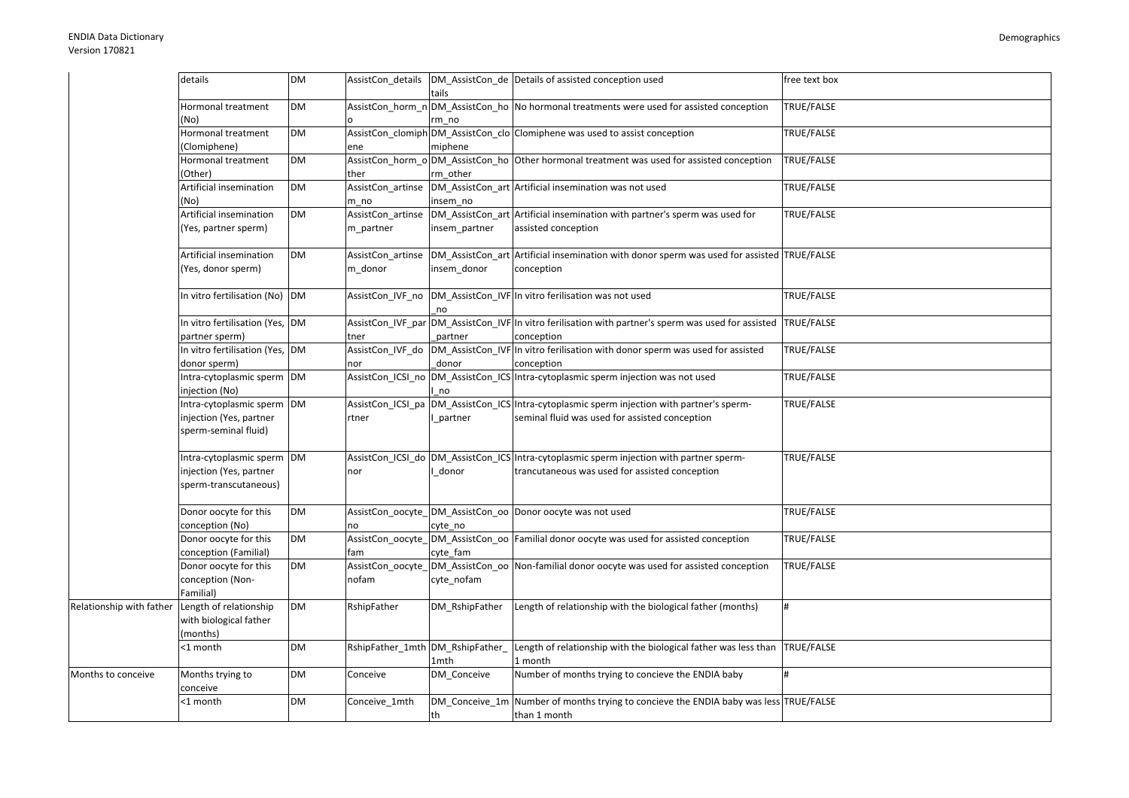|                          | details                                                                       | <b>DM</b> |                                  | tails          | AssistCon_details  DM_AssistCon_de  Details of assisted conception used                                                                    | free text box |
|--------------------------|-------------------------------------------------------------------------------|-----------|----------------------------------|----------------|--------------------------------------------------------------------------------------------------------------------------------------------|---------------|
|                          | Hormonal treatment<br>(No)                                                    | <b>DM</b> |                                  | rm no          | AssistCon_horm_n DM_AssistCon_ho No hormonal treatments were used for assisted conception                                                  | TRUE/FALSE    |
|                          | Hormonal treatment<br>(Clomiphene)                                            | <b>DM</b> | ene                              | miphene        | AssistCon clomiph DM AssistCon clo Clomiphene was used to assist conception                                                                | TRUE/FALSE    |
|                          | Hormonal treatment<br>(Other)                                                 | <b>DM</b> | ther                             | rm other       | AssistCon_horm_o DM_AssistCon_ho Other hormonal treatment was used for assisted conception                                                 | TRUE/FALSE    |
|                          | Artificial insemination<br>(No)                                               | <b>DM</b> | AssistCon artinse<br>m no        | insem_no       | DM AssistCon art Artificial insemination was not used                                                                                      | TRUE/FALSE    |
|                          | Artificial insemination<br>(Yes, partner sperm)                               | <b>DM</b> | AssistCon artinse<br>m_partner   | insem_partner  | DM AssistCon art Artificial insemination with partner's sperm was used for<br>assisted conception                                          | TRUE/FALSE    |
|                          | Artificial insemination<br>(Yes, donor sperm)                                 | <b>DM</b> | AssistCon artinse<br>m donor     | insem donor    | DM AssistCon art Artificial insemination with donor sperm was used for assisted TRUE/FALSE<br>conception                                   |               |
|                          | In vitro fertilisation (No) DM                                                |           |                                  | no             | AssistCon_IVF_no DM_AssistCon_IVF In vitro ferilisation was not used                                                                       | TRUE/FALSE    |
|                          | In vitro fertilisation (Yes, DM<br>partner sperm)                             |           | tner                             | partner        | AssistCon_IVF_par DM_AssistCon_IVF In vitro ferilisation with partner's sperm was used for assisted<br>conception                          | TRUE/FALSE    |
|                          | In vitro fertilisation (Yes, DM<br>donor sperm)                               |           | AssistCon_IVF_do<br>nor          | donor          | DM_AssistCon_IVF In vitro ferilisation with donor sperm was used for assisted<br>conception                                                | TRUE/FALSE    |
|                          | Intra-cytoplasmic sperm DM<br>njection (No)                                   |           | AssistCon_ICSI_no                | no             | DM_AssistCon_ICS Intra-cytoplasmic sperm injection was not used                                                                            | TRUE/FALSE    |
|                          | Intra-cytoplasmic sperm DM<br>injection (Yes, partner<br>sperm-seminal fluid) |           | AssistCon ICSI pa<br>rtner       | partner        | DM_AssistCon_ICS Intra-cytoplasmic sperm injection with partner's sperm-<br>seminal fluid was used for assisted conception                 | TRUE/FALSE    |
|                          | Intra-cytoplasmic sperm<br>njection (Yes, partner<br>sperm-transcutaneous)    | <b>DM</b> | nor                              | donor          | AssistCon_ICSI_do DM_AssistCon_ICS Intra-cytoplasmic sperm injection with partner sperm-<br>trancutaneous was used for assisted conception | TRUE/FALSE    |
|                          | Donor oocyte for this<br>conception (No)                                      | <b>DM</b> | no                               | cyte no        | AssistCon_oocyte_DM_AssistCon_oo Donor oocyte was not used                                                                                 | TRUE/FALSE    |
|                          | Donor oocyte for this<br>conception (Familial)                                | <b>DM</b> | fam                              | cyte fam       | AssistCon oocyte DM AssistCon oo Familial donor oocyte was used for assisted conception                                                    | TRUE/FALSE    |
|                          | Donor oocyte for this<br>conception (Non-<br>Familial)                        | <b>DM</b> | AssistCon oocyte<br>nofam        | cyte nofam     | DM AssistCon oo Non-familial donor oocyte was used for assisted conception                                                                 | TRUE/FALSE    |
| Relationship with father | Length of relationship<br>with biological father<br>(months)                  | <b>DM</b> | RshipFather                      | DM RshipFather | Length of relationship with the biological father (months)                                                                                 |               |
|                          | <1 month                                                                      | <b>DM</b> | RshipFather_1mth DM_RshipFather_ | 1mth           | Length of relationship with the biological father was less than<br>1 month                                                                 | TRUE/FALSE    |
| Months to conceive       | Months trying to<br>conceive                                                  | <b>DM</b> | Conceive                         | DM Conceive    | Number of months trying to concieve the ENDIA baby                                                                                         | #             |
|                          | <1 month                                                                      | <b>DM</b> | Conceive_1mth                    | th             | DM_Conceive_1m Number of months trying to concieve the ENDIA baby was less TRUE/FALSE<br>than 1 month                                      |               |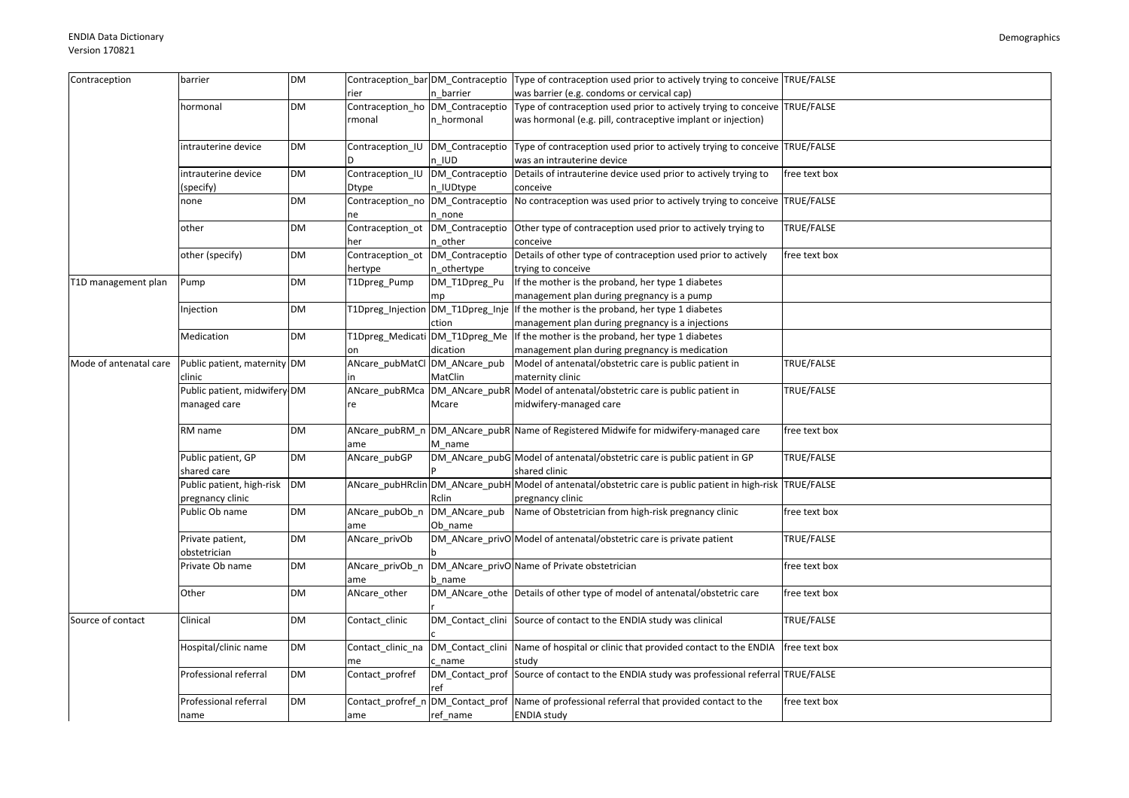| Contraception          | barrier                       | <b>DM</b> |                               |                 | Contraception_bar DM_Contraceptio Type of contraception used prior to actively trying to conceive TRUE/FALSE |               |
|------------------------|-------------------------------|-----------|-------------------------------|-----------------|--------------------------------------------------------------------------------------------------------------|---------------|
|                        |                               |           |                               |                 |                                                                                                              |               |
|                        |                               |           | rier                          | n barrier       | was barrier (e.g. condoms or cervical cap)                                                                   |               |
|                        | hormonal                      | <b>DM</b> |                               |                 | Contraception_ho DM_Contraceptio Type of contraception used prior to actively trying to conceive TRUE/FALSE  |               |
|                        |                               |           | rmonal                        | n hormonal      | was hormonal (e.g. pill, contraceptive implant or injection)                                                 |               |
|                        |                               |           |                               |                 |                                                                                                              |               |
|                        | intrauterine device           | DM        |                               |                 | Contraception IU DM Contraceptio Type of contraception used prior to actively trying to conceive TRUE/FALSE  |               |
|                        |                               |           |                               | n IUD           | was an intrauterine device                                                                                   |               |
|                        | intrauterine device           | DM        | Contraception IU              |                 | DM_Contraceptio Details of intrauterine device used prior to actively trying to                              | free text box |
|                        | (specify)                     |           | Dtype                         | n IUDtype       | conceive                                                                                                     |               |
|                        | none                          | DM        | Contraception no              |                 | DM Contraceptio No contraception was used prior to actively trying to conceive TRUE/FALSE                    |               |
|                        |                               |           | ne                            | n none          |                                                                                                              |               |
|                        | other                         | <b>DM</b> | Contraception_ot              |                 | DM_Contraceptio Other type of contraception used prior to actively trying to                                 | TRUE/FALSE    |
|                        |                               |           | her                           | n other         | conceive                                                                                                     |               |
|                        | other (specify)               | DM        | Contraception_ot              | DM_Contraceptio | Details of other type of contraception used prior to actively                                                | free text box |
|                        |                               |           | hertype                       |                 | trying to conceive                                                                                           |               |
|                        |                               | DM        |                               | n_othertype     | If the mother is the proband, her type 1 diabetes                                                            |               |
| T1D management plan    | Pump                          |           | T1Dpreg Pump                  | DM T1Dpreg Pu   |                                                                                                              |               |
|                        |                               |           |                               | mp              | management plan during pregnancy is a pump                                                                   |               |
|                        | Injection                     | <b>DM</b> |                               |                 | T1Dpreg_Injection DM_T1Dpreg_Inje If the mother is the proband, her type 1 diabetes                          |               |
|                        |                               |           |                               | ction           | management plan during pregnancy is a injections                                                             |               |
|                        | Medication                    | <b>DM</b> |                               |                 | T1Dpreg_Medicati DM_T1Dpreg_Me If the mother is the proband, her type 1 diabetes                             |               |
|                        |                               |           | on                            | dication        | management plan during pregnancy is medication                                                               |               |
| Mode of antenatal care | Public patient, maternity DM  |           | ANcare_pubMatCl DM_ANcare_pub |                 | Model of antenatal/obstetric care is public patient in                                                       | TRUE/FALSE    |
|                        | clinic                        |           |                               | MatClin         | maternity clinic                                                                                             |               |
|                        | Public patient, midwifery DM  |           | ANcare_pubRMca                |                 | DM_ANcare_pubR Model of antenatal/obstetric care is public patient in                                        | TRUE/FALSE    |
|                        | managed care                  |           | re                            | Mcare           | midwifery-managed care                                                                                       |               |
|                        |                               |           |                               |                 |                                                                                                              |               |
|                        | RM name                       | <b>DM</b> | ANcare_pubRM_n                |                 | DM_ANcare_pubR Name of Registered Midwife for midwifery-managed care                                         | free text box |
|                        |                               |           | ame                           | M name          |                                                                                                              |               |
|                        | Public patient, GP            | DM        | ANcare_pubGP                  |                 | DM_ANcare_pubG Model of antenatal/obstetric care is public patient in GP                                     | TRUE/FALSE    |
|                        | shared care                   |           |                               |                 | shared clinic                                                                                                |               |
|                        | Public patient, high-risk     | <b>DM</b> |                               |                 | ANcare_pubHRclin DM_ANcare_pubH Model of antenatal/obstetric care is public patient in high-risk TRUE/FALSE  |               |
|                        |                               |           |                               |                 |                                                                                                              |               |
|                        | pregnancy clinic              |           |                               | Rclin           | pregnancy clinic                                                                                             |               |
|                        | Public Ob name                | <b>DM</b> | ANcare_pubOb_n                |                 | DM_ANcare_pub Name of Obstetrician from high-risk pregnancy clinic                                           | free text box |
|                        |                               |           | ame                           | Ob name         |                                                                                                              |               |
|                        | Private patient,              | <b>DM</b> | ANcare_privOb                 |                 | DM_ANcare_privO Model of antenatal/obstetric care is private patient                                         | TRUE/FALSE    |
|                        | obstetrician                  |           |                               |                 |                                                                                                              |               |
|                        | Private Ob name               | <b>DM</b> | ANcare_privOb_n               |                 | DM_ANcare_privO Name of Private obstetrician                                                                 | free text box |
|                        |                               |           | ame                           | b name          |                                                                                                              |               |
|                        | Other                         | <b>DM</b> | ANcare_other                  |                 | DM_ANcare_othe Details of other type of model of antenatal/obstetric care                                    | free text box |
|                        |                               |           |                               |                 |                                                                                                              |               |
| Source of contact      | Clinical                      | <b>DM</b> | Contact clinic                |                 | DM Contact clini Source of contact to the ENDIA study was clinical                                           | TRUE/FALSE    |
|                        |                               |           |                               |                 |                                                                                                              |               |
|                        | Hospital/clinic name          | DM        | Contact_clinic_na             |                 | DM_Contact_clini Name of hospital or clinic that provided contact to the ENDIA                               | free text box |
|                        |                               |           | me                            | c name          | study                                                                                                        |               |
|                        | Professional referral         | DM        | Contact profref               |                 | DM_Contact_prof Source of contact to the ENDIA study was professional referral TRUE/FALSE                    |               |
|                        |                               |           |                               | ref             |                                                                                                              |               |
|                        |                               |           |                               |                 |                                                                                                              |               |
|                        | Professional referral<br>name | <b>DM</b> | Contact_profref_n             |                 | DM_Contact_prof Name of professional referral that provided contact to the                                   | free text box |
|                        |                               |           | ame                           | ref name        | <b>ENDIA study</b>                                                                                           |               |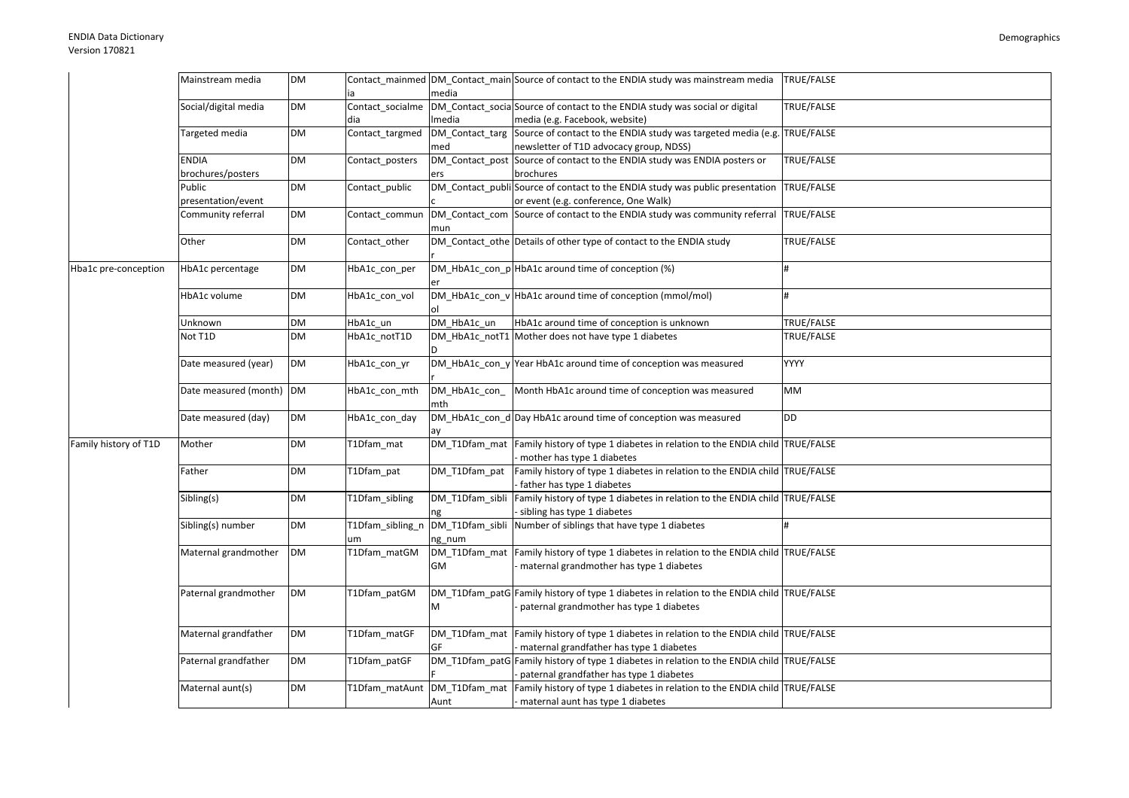|                       | Mainstream media                  | <b>DM</b> |                         | media                     | Contact_mainmed DM_Contact_main Source of contact to the ENDIA study was mainstream media                                              | TRUE/FALSE  |
|-----------------------|-----------------------------------|-----------|-------------------------|---------------------------|----------------------------------------------------------------------------------------------------------------------------------------|-------------|
|                       | Social/digital media              | <b>DM</b> | Contact_socialme<br>dia | Imedia                    | DM_Contact_socia Source of contact to the ENDIA study was social or digital<br>media (e.g. Facebook, website)                          | TRUE/FALSE  |
|                       | Targeted media                    | <b>DM</b> | Contact_targmed         | DM_Contact_targ<br>med    | Source of contact to the ENDIA study was targeted media (e.g. TRUE/FALSE<br>newsletter of T1D advocacy group, NDSS)                    |             |
|                       | <b>ENDIA</b><br>brochures/posters | <b>DM</b> | Contact posters         | ers                       | DM Contact post Source of contact to the ENDIA study was ENDIA posters or<br>brochures                                                 | TRUE/FALSE  |
|                       | Public<br>presentation/event      | <b>DM</b> | Contact_public          |                           | DM_Contact_publi Source of contact to the ENDIA study was public presentation<br>or event (e.g. conference, One Walk)                  | TRUE/FALSE  |
|                       | Community referral                | DM        | Contact_commun          | mun                       | DM_Contact_com Source of contact to the ENDIA study was community referral TRUE/FALSE                                                  |             |
|                       | Other                             | <b>DM</b> | Contact other           |                           | DM_Contact_othe Details of other type of contact to the ENDIA study                                                                    | TRUE/FALSE  |
| Hba1c pre-conception  | HbA1c percentage                  | <b>DM</b> | HbA1c con per           |                           | DM_HbA1c_con_pHbA1c around time of conception (%)                                                                                      | #           |
|                       | HbA1c volume                      | <b>DM</b> | HbA1c con vol           |                           | DM_HbA1c_con_v HbA1c around time of conception (mmol/mol)                                                                              | #           |
|                       | Unknown                           | <b>DM</b> | HbA1c un                | DM_HbA1c_un               | HbA1c around time of conception is unknown                                                                                             | TRUE/FALSE  |
|                       | Not T1D                           | <b>DM</b> | HbA1c_notT1D            |                           | DM_HbA1c_notT1 Mother does not have type 1 diabetes                                                                                    | TRUE/FALSE  |
|                       | Date measured (year)              | DM        | HbA1c con yr            |                           | $DM$ HbA1c_con_y Year HbA1c around time of conception was measured                                                                     | <b>YYYY</b> |
|                       | Date measured (month)             | <b>DM</b> | HbA1c_con_mth           | DM HbA1c con<br>mth       | Month HbA1c around time of conception was measured                                                                                     | MM          |
|                       | Date measured (day)               | <b>DM</b> | HbA1c_con_day           | ay                        | DM_HbA1c_con_d Day HbA1c around time of conception was measured                                                                        | <b>DD</b>   |
| Family history of T1D | Mother                            | <b>DM</b> | T1Dfam mat              |                           | DM_T1Dfam_mat Family history of type 1 diabetes in relation to the ENDIA child TRUE/FALSE<br>- mother has type 1 diabetes              |             |
|                       | Father                            | <b>DM</b> | T1Dfam pat              | DM_T1Dfam_pat             | Family history of type 1 diabetes in relation to the ENDIA child TRUE/FALSE<br>father has type 1 diabetes                              |             |
|                       | Sibling(s)                        | <b>DM</b> | T1Dfam_sibling          | DM_T1Dfam_sibli           | Family history of type 1 diabetes in relation to the ENDIA child TRUE/FALSE<br>- sibling has type 1 diabetes                           |             |
|                       | Sibling(s) number                 | DM        | T1Dfam_sibling_n<br>um  | DM_T1Dfam_sibli<br>ng_num | Number of siblings that have type 1 diabetes                                                                                           |             |
|                       | Maternal grandmother              | <b>DM</b> | T1Dfam_matGM            | DM_T1Dfam_mat<br>GM       | Family history of type 1 diabetes in relation to the ENDIA child TRUE/FALSE<br>maternal grandmother has type 1 diabetes                |             |
|                       | Paternal grandmother              | DM        | T1Dfam_patGM            | M                         | DM_T1Dfam_patG Family history of type 1 diabetes in relation to the ENDIA child TRUE/FALSE<br>paternal grandmother has type 1 diabetes |             |
|                       | Maternal grandfather              | <b>DM</b> | T1Dfam matGF            | DM T1Dfam mat<br>GF       | Family history of type 1 diabetes in relation to the ENDIA child TRUE/FALSE<br>maternal grandfather has type 1 diabetes                |             |
|                       | Paternal grandfather              | DM        | T1Dfam patGF            |                           | DM_T1Dfam_patG Family history of type 1 diabetes in relation to the ENDIA child TRUE/FALSE                                             |             |
|                       |                                   |           |                         |                           | paternal grandfather has type 1 diabetes                                                                                               |             |
|                       | Maternal aunt(s)                  | <b>DM</b> |                         |                           | T1Dfam_matAunt  DM_T1Dfam_mat  Family history of type 1 diabetes in relation to the ENDIA child  TRUE/FALSE                            |             |
|                       |                                   |           |                         | Aunt                      | - maternal aunt has type 1 diabetes                                                                                                    |             |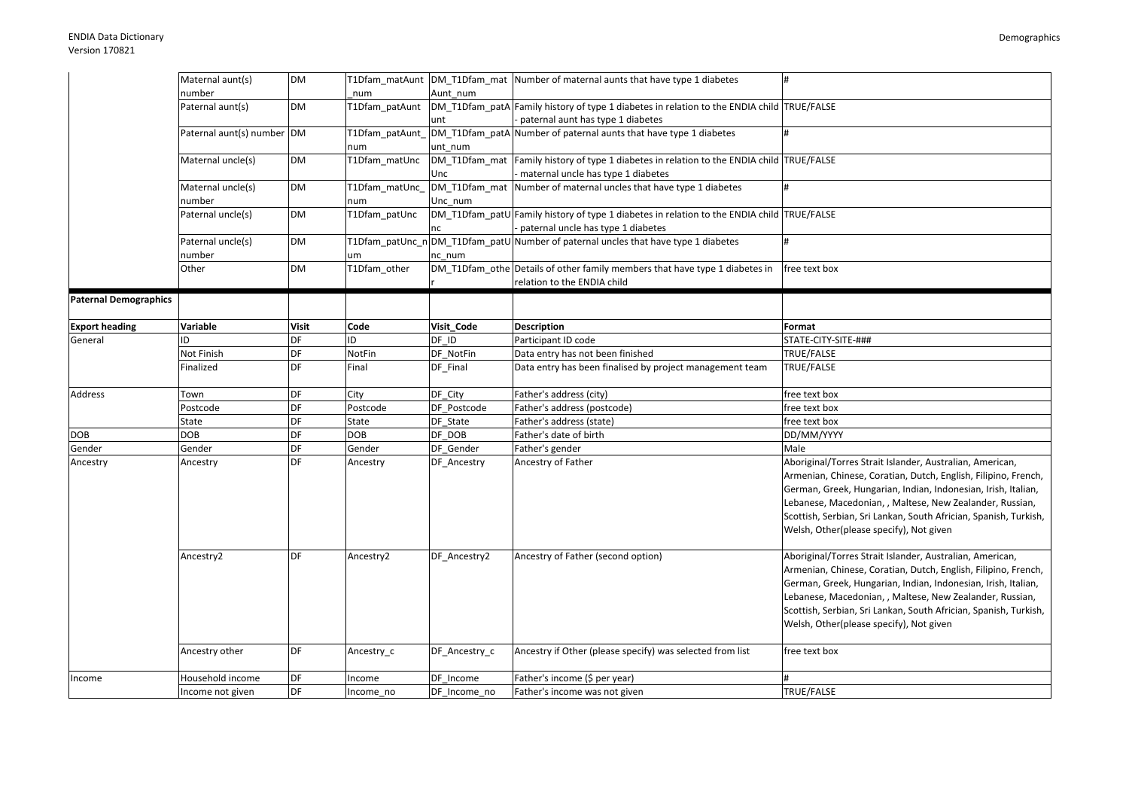|                              | Maternal aunt(s)           | <b>DM</b>    |                |               | T1Dfam matAunt DM T1Dfam mat Number of maternal aunts that have type 1 diabetes            | #                                                                |
|------------------------------|----------------------------|--------------|----------------|---------------|--------------------------------------------------------------------------------------------|------------------------------------------------------------------|
|                              | number                     |              | num            | Aunt num      |                                                                                            |                                                                  |
|                              | Paternal aunt(s)           | <b>DM</b>    | T1Dfam patAunt |               | DM T1Dfam patA Family history of type 1 diabetes in relation to the ENDIA child TRUE/FALSE |                                                                  |
|                              |                            |              |                | unt           | paternal aunt has type 1 diabetes                                                          |                                                                  |
|                              | Paternal aunt(s) number DM |              | T1Dfam patAunt |               | DM T1Dfam patA Number of paternal aunts that have type 1 diabetes                          |                                                                  |
|                              |                            |              | านm            | unt num       |                                                                                            |                                                                  |
|                              | Maternal uncle(s)          | <b>DM</b>    | T1Dfam_matUnc  |               | DM_T1Dfam_mat Family history of type 1 diabetes in relation to the ENDIA child TRUE/FALSE  |                                                                  |
|                              |                            |              |                | Unc           | maternal uncle has type 1 diabetes                                                         |                                                                  |
|                              | Maternal uncle(s)          | <b>DM</b>    | T1Dfam_matUnc_ |               | DM T1Dfam mat Number of maternal uncles that have type 1 diabetes                          |                                                                  |
|                              | number                     |              | num            | Unc num       |                                                                                            |                                                                  |
|                              | Paternal uncle(s)          | <b>DM</b>    | T1Dfam_patUnc  |               | DM_T1Dfam_patU Family history of type 1 diabetes in relation to the ENDIA child TRUE/FALSE |                                                                  |
|                              |                            |              |                | nc            | paternal uncle has type 1 diabetes                                                         |                                                                  |
|                              | Paternal uncle(s)          | <b>DM</b>    |                |               | T1Dfam_patUnc_n DM_T1Dfam_patU Number of paternal uncles that have type 1 diabetes         | l#                                                               |
|                              | number                     |              | um             | nc num        |                                                                                            |                                                                  |
|                              | Other                      | <b>DM</b>    | T1Dfam other   |               | DM_T1Dfam_othe Details of other family members that have type 1 diabetes in                | free text box                                                    |
|                              |                            |              |                |               | relation to the ENDIA child                                                                |                                                                  |
| <b>Paternal Demographics</b> |                            |              |                |               |                                                                                            |                                                                  |
|                              |                            |              |                |               |                                                                                            |                                                                  |
| <b>Export heading</b>        | Variable                   | <b>Visit</b> | Code           | Visit Code    | <b>Description</b>                                                                         | Format                                                           |
| General                      | ID                         | DF           | ID             | DF ID         | Participant ID code                                                                        | STATE-CITY-SITE-###                                              |
|                              | Not Finish                 | DF           | NotFin         | DF_NotFin     | Data entry has not been finished                                                           | TRUE/FALSE                                                       |
|                              | Finalized                  | DF           | Final          | DF Final      | Data entry has been finalised by project management team                                   | TRUE/FALSE                                                       |
|                              |                            |              |                |               |                                                                                            |                                                                  |
| Address                      | Town                       | DF           | City           | DF_City       | Father's address (city)                                                                    | free text box                                                    |
|                              | Postcode                   | DF           | Postcode       | DF Postcode   | Father's address (postcode)                                                                | free text box                                                    |
|                              | State                      | DF           | State          | DF State      | Father's address (state)                                                                   | free text box                                                    |
| DOB                          | <b>DOB</b>                 | DF           | DOB            | DF DOB        | Father's date of birth                                                                     | DD/MM/YYYY                                                       |
| Gender                       | Gender                     | DF           | Gender         | DF Gender     | Father's gender                                                                            | Male                                                             |
| Ancestry                     | Ancestry                   | DF           | Ancestry       | DF_Ancestry   | Ancestry of Father                                                                         | Aboriginal/Torres Strait Islander, Australian, American,         |
|                              |                            |              |                |               |                                                                                            | Armenian, Chinese, Coratian, Dutch, English, Filipino, French,   |
|                              |                            |              |                |               |                                                                                            | German, Greek, Hungarian, Indian, Indonesian, Irish, Italian,    |
|                              |                            |              |                |               |                                                                                            | Lebanese, Macedonian, , Maltese, New Zealander, Russian,         |
|                              |                            |              |                |               |                                                                                            | Scottish, Serbian, Sri Lankan, South Africian, Spanish, Turkish, |
|                              |                            |              |                |               |                                                                                            | Welsh, Other(please specify), Not given                          |
|                              |                            |              |                |               |                                                                                            |                                                                  |
|                              | Ancestry2                  | DF           | Ancestry2      | DF Ancestry2  | Ancestry of Father (second option)                                                         | Aboriginal/Torres Strait Islander, Australian, American,         |
|                              |                            |              |                |               |                                                                                            | Armenian, Chinese, Coratian, Dutch, English, Filipino, French,   |
|                              |                            |              |                |               |                                                                                            | German, Greek, Hungarian, Indian, Indonesian, Irish, Italian,    |
|                              |                            |              |                |               |                                                                                            | Lebanese, Macedonian, , Maltese, New Zealander, Russian,         |
|                              |                            |              |                |               |                                                                                            |                                                                  |
|                              |                            |              |                |               |                                                                                            | Scottish, Serbian, Sri Lankan, South Africian, Spanish, Turkish, |
|                              |                            |              |                |               |                                                                                            | Welsh, Other(please specify), Not given                          |
|                              |                            | DF           |                |               |                                                                                            |                                                                  |
|                              | Ancestry other             |              | Ancestry_c     | DF Ancestry c | Ancestry if Other (please specify) was selected from list                                  | free text box                                                    |
|                              | Household income           | DF           | ncome          | DF Income     | Father's income (\$ per year)                                                              | #                                                                |
| Income                       |                            | DF           |                |               |                                                                                            | TRUE/FALSE                                                       |
|                              | Income not given           |              | Income_no      | DF Income_no  | Father's income was not given                                                              |                                                                  |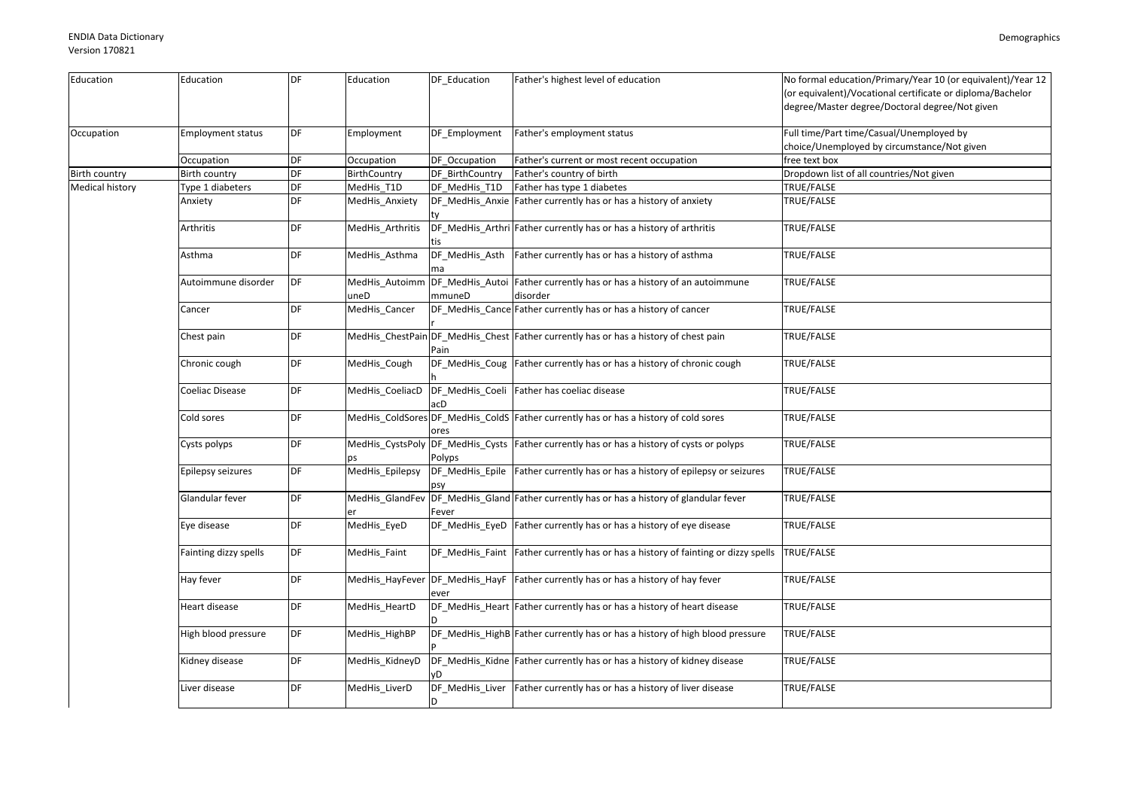| Education<br>DF<br>Education<br>DF_Education<br>Father's highest level of education<br>Education<br>degree/Master degree/Doctoral degree/Not given<br>DF<br>Full time/Part time/Casual/Unemployed by<br>Occupation<br>Father's employment status<br><b>Employment status</b><br>Employment<br>DF Employment<br>choice/Unemployed by circumstance/Not given<br>DF<br>Occupation<br>Occupation<br>DF Occupation<br>Father's current or most recent occupation<br>free text box<br>DF<br>DF_BirthCountry<br>Father's country of birth<br>Birth country<br>BirthCountry<br>Dropdown list of all countries/Not given<br>DF<br>Father has type 1 diabetes<br>Type 1 diabeters<br>MedHis_T1D<br>DF_MedHis_T1D<br>TRUE/FALSE<br>DF<br>DF_MedHis_Anxie Father currently has or has a history of anxiety<br>TRUE/FALSE<br>Anxiety<br>MedHis Anxiety<br>DF<br>DF_MedHis_Arthri Father currently has or has a history of arthritis<br>TRUE/FALSE<br>Arthritis<br>MedHis_Arthritis<br>DF_MedHis_Asth Father currently has or has a history of asthma<br>TRUE/FALSE<br>DF<br>MedHis_Asthma<br>Asthma<br>DF<br>MedHis_Autoimm DF_MedHis_Autoi Father currently has or has a history of an autoimmune<br>TRUE/FALSE<br>Autoimmune disorder<br>disorder<br>mmuneD<br>uneD<br>DF<br>DF_MedHis_Cance Father currently has or has a history of cancer<br>TRUE/FALSE<br>MedHis Cancer<br>Cancer<br>DF<br>MedHis_ChestPain DF_MedHis_Chest Father currently has or has a history of chest pain<br>TRUE/FALSE<br>Chest pain<br>Pain<br>DF_MedHis_Coug Father currently has or has a history of chronic cough<br>DF<br>MedHis_Cough<br>TRUE/FALSE<br>Chronic cough<br><b>TRUE/FALSE</b><br>DF<br>DF_MedHis_Coeli Father has coeliac disease<br>Coeliac Disease<br>MedHis CoeliacD<br>DF<br>MedHis_ColdSores DF_MedHis_ColdS Father currently has or has a history of cold sores<br>TRUE/FALSE<br>Cold sores<br>ores<br>DF<br>DF_MedHis_Cysts Father currently has or has a history of cysts or polyps<br>MedHis_CystsPoly<br>TRUE/FALSE<br>Cysts polyps<br>Polyps<br>DS.<br>DF<br>DF_MedHis_Epile Father currently has or has a history of epilepsy or seizures<br>Epilepsy seizures<br>MedHis_Epilepsy<br>TRUE/FALSE<br>DF<br>DF_MedHis_Gland Father currently has or has a history of glandular fever<br>Glandular fever<br>MedHis GlandFev<br>TRUE/FALSE<br>Fever<br>DF<br>MedHis_EyeD<br>DF_MedHis_EyeD Father currently has or has a history of eye disease<br>TRUE/FALSE<br>Eye disease<br>DF<br>DF_MedHis_Faint Father currently has or has a history of fainting or dizzy spells<br>TRUE/FALSE<br>Fainting dizzy spells<br>MedHis Faint<br>DF<br>DF_MedHis_HayF   Father currently has or has a history of hay fever<br>TRUE/FALSE<br>Hay fever<br>MedHis_HayFever<br>ever<br>DF_MedHis_Heart Father currently has or has a history of heart disease<br>DF<br>TRUE/FALSE<br>Heart disease<br>MedHis_HeartD<br>DF<br>DF_MedHis_HighB Father currently has or has a history of high blood pressure<br>TRUE/FALSE<br>High blood pressure<br>MedHis_HighBP<br>DF<br>DF_MedHis_Kidne Father currently has or has a history of kidney disease<br>Kidney disease<br>MedHis_KidneyD<br>TRUE/FALSE<br>Liver disease<br>DF<br>DF_MedHis_Liver Father currently has or has a history of liver disease<br>TRUE/FALSE<br>MedHis_LiverD |                 |  |  |                                                                                                                           |
|-----------------------------------------------------------------------------------------------------------------------------------------------------------------------------------------------------------------------------------------------------------------------------------------------------------------------------------------------------------------------------------------------------------------------------------------------------------------------------------------------------------------------------------------------------------------------------------------------------------------------------------------------------------------------------------------------------------------------------------------------------------------------------------------------------------------------------------------------------------------------------------------------------------------------------------------------------------------------------------------------------------------------------------------------------------------------------------------------------------------------------------------------------------------------------------------------------------------------------------------------------------------------------------------------------------------------------------------------------------------------------------------------------------------------------------------------------------------------------------------------------------------------------------------------------------------------------------------------------------------------------------------------------------------------------------------------------------------------------------------------------------------------------------------------------------------------------------------------------------------------------------------------------------------------------------------------------------------------------------------------------------------------------------------------------------------------------------------------------------------------------------------------------------------------------------------------------------------------------------------------------------------------------------------------------------------------------------------------------------------------------------------------------------------------------------------------------------------------------------------------------------------------------------------------------------------------------------------------------------------------------------------------------------------------------------------------------------------------------------------------------------------------------------------------------------------------------------------------------------------------------------------------------------------------------------------------------------------------------------------------------------------------------------------------------------------------------------------------------------------------------------------------------------------------------------------------------------------------------------------------------------------------------------------------------------|-----------------|--|--|---------------------------------------------------------------------------------------------------------------------------|
|                                                                                                                                                                                                                                                                                                                                                                                                                                                                                                                                                                                                                                                                                                                                                                                                                                                                                                                                                                                                                                                                                                                                                                                                                                                                                                                                                                                                                                                                                                                                                                                                                                                                                                                                                                                                                                                                                                                                                                                                                                                                                                                                                                                                                                                                                                                                                                                                                                                                                                                                                                                                                                                                                                                                                                                                                                                                                                                                                                                                                                                                                                                                                                                                                                                                                                           |                 |  |  | No formal education/Primary/Year 10 (or equivalent)/Year 12<br>(or equivalent)/Vocational certificate or diploma/Bachelor |
|                                                                                                                                                                                                                                                                                                                                                                                                                                                                                                                                                                                                                                                                                                                                                                                                                                                                                                                                                                                                                                                                                                                                                                                                                                                                                                                                                                                                                                                                                                                                                                                                                                                                                                                                                                                                                                                                                                                                                                                                                                                                                                                                                                                                                                                                                                                                                                                                                                                                                                                                                                                                                                                                                                                                                                                                                                                                                                                                                                                                                                                                                                                                                                                                                                                                                                           |                 |  |  |                                                                                                                           |
| <b>Birth country</b>                                                                                                                                                                                                                                                                                                                                                                                                                                                                                                                                                                                                                                                                                                                                                                                                                                                                                                                                                                                                                                                                                                                                                                                                                                                                                                                                                                                                                                                                                                                                                                                                                                                                                                                                                                                                                                                                                                                                                                                                                                                                                                                                                                                                                                                                                                                                                                                                                                                                                                                                                                                                                                                                                                                                                                                                                                                                                                                                                                                                                                                                                                                                                                                                                                                                                      |                 |  |  |                                                                                                                           |
|                                                                                                                                                                                                                                                                                                                                                                                                                                                                                                                                                                                                                                                                                                                                                                                                                                                                                                                                                                                                                                                                                                                                                                                                                                                                                                                                                                                                                                                                                                                                                                                                                                                                                                                                                                                                                                                                                                                                                                                                                                                                                                                                                                                                                                                                                                                                                                                                                                                                                                                                                                                                                                                                                                                                                                                                                                                                                                                                                                                                                                                                                                                                                                                                                                                                                                           |                 |  |  |                                                                                                                           |
|                                                                                                                                                                                                                                                                                                                                                                                                                                                                                                                                                                                                                                                                                                                                                                                                                                                                                                                                                                                                                                                                                                                                                                                                                                                                                                                                                                                                                                                                                                                                                                                                                                                                                                                                                                                                                                                                                                                                                                                                                                                                                                                                                                                                                                                                                                                                                                                                                                                                                                                                                                                                                                                                                                                                                                                                                                                                                                                                                                                                                                                                                                                                                                                                                                                                                                           | Medical history |  |  |                                                                                                                           |
|                                                                                                                                                                                                                                                                                                                                                                                                                                                                                                                                                                                                                                                                                                                                                                                                                                                                                                                                                                                                                                                                                                                                                                                                                                                                                                                                                                                                                                                                                                                                                                                                                                                                                                                                                                                                                                                                                                                                                                                                                                                                                                                                                                                                                                                                                                                                                                                                                                                                                                                                                                                                                                                                                                                                                                                                                                                                                                                                                                                                                                                                                                                                                                                                                                                                                                           |                 |  |  |                                                                                                                           |
|                                                                                                                                                                                                                                                                                                                                                                                                                                                                                                                                                                                                                                                                                                                                                                                                                                                                                                                                                                                                                                                                                                                                                                                                                                                                                                                                                                                                                                                                                                                                                                                                                                                                                                                                                                                                                                                                                                                                                                                                                                                                                                                                                                                                                                                                                                                                                                                                                                                                                                                                                                                                                                                                                                                                                                                                                                                                                                                                                                                                                                                                                                                                                                                                                                                                                                           |                 |  |  |                                                                                                                           |
|                                                                                                                                                                                                                                                                                                                                                                                                                                                                                                                                                                                                                                                                                                                                                                                                                                                                                                                                                                                                                                                                                                                                                                                                                                                                                                                                                                                                                                                                                                                                                                                                                                                                                                                                                                                                                                                                                                                                                                                                                                                                                                                                                                                                                                                                                                                                                                                                                                                                                                                                                                                                                                                                                                                                                                                                                                                                                                                                                                                                                                                                                                                                                                                                                                                                                                           |                 |  |  |                                                                                                                           |
|                                                                                                                                                                                                                                                                                                                                                                                                                                                                                                                                                                                                                                                                                                                                                                                                                                                                                                                                                                                                                                                                                                                                                                                                                                                                                                                                                                                                                                                                                                                                                                                                                                                                                                                                                                                                                                                                                                                                                                                                                                                                                                                                                                                                                                                                                                                                                                                                                                                                                                                                                                                                                                                                                                                                                                                                                                                                                                                                                                                                                                                                                                                                                                                                                                                                                                           |                 |  |  |                                                                                                                           |
|                                                                                                                                                                                                                                                                                                                                                                                                                                                                                                                                                                                                                                                                                                                                                                                                                                                                                                                                                                                                                                                                                                                                                                                                                                                                                                                                                                                                                                                                                                                                                                                                                                                                                                                                                                                                                                                                                                                                                                                                                                                                                                                                                                                                                                                                                                                                                                                                                                                                                                                                                                                                                                                                                                                                                                                                                                                                                                                                                                                                                                                                                                                                                                                                                                                                                                           |                 |  |  |                                                                                                                           |
|                                                                                                                                                                                                                                                                                                                                                                                                                                                                                                                                                                                                                                                                                                                                                                                                                                                                                                                                                                                                                                                                                                                                                                                                                                                                                                                                                                                                                                                                                                                                                                                                                                                                                                                                                                                                                                                                                                                                                                                                                                                                                                                                                                                                                                                                                                                                                                                                                                                                                                                                                                                                                                                                                                                                                                                                                                                                                                                                                                                                                                                                                                                                                                                                                                                                                                           |                 |  |  |                                                                                                                           |
|                                                                                                                                                                                                                                                                                                                                                                                                                                                                                                                                                                                                                                                                                                                                                                                                                                                                                                                                                                                                                                                                                                                                                                                                                                                                                                                                                                                                                                                                                                                                                                                                                                                                                                                                                                                                                                                                                                                                                                                                                                                                                                                                                                                                                                                                                                                                                                                                                                                                                                                                                                                                                                                                                                                                                                                                                                                                                                                                                                                                                                                                                                                                                                                                                                                                                                           |                 |  |  |                                                                                                                           |
|                                                                                                                                                                                                                                                                                                                                                                                                                                                                                                                                                                                                                                                                                                                                                                                                                                                                                                                                                                                                                                                                                                                                                                                                                                                                                                                                                                                                                                                                                                                                                                                                                                                                                                                                                                                                                                                                                                                                                                                                                                                                                                                                                                                                                                                                                                                                                                                                                                                                                                                                                                                                                                                                                                                                                                                                                                                                                                                                                                                                                                                                                                                                                                                                                                                                                                           |                 |  |  |                                                                                                                           |
|                                                                                                                                                                                                                                                                                                                                                                                                                                                                                                                                                                                                                                                                                                                                                                                                                                                                                                                                                                                                                                                                                                                                                                                                                                                                                                                                                                                                                                                                                                                                                                                                                                                                                                                                                                                                                                                                                                                                                                                                                                                                                                                                                                                                                                                                                                                                                                                                                                                                                                                                                                                                                                                                                                                                                                                                                                                                                                                                                                                                                                                                                                                                                                                                                                                                                                           |                 |  |  |                                                                                                                           |
|                                                                                                                                                                                                                                                                                                                                                                                                                                                                                                                                                                                                                                                                                                                                                                                                                                                                                                                                                                                                                                                                                                                                                                                                                                                                                                                                                                                                                                                                                                                                                                                                                                                                                                                                                                                                                                                                                                                                                                                                                                                                                                                                                                                                                                                                                                                                                                                                                                                                                                                                                                                                                                                                                                                                                                                                                                                                                                                                                                                                                                                                                                                                                                                                                                                                                                           |                 |  |  |                                                                                                                           |
|                                                                                                                                                                                                                                                                                                                                                                                                                                                                                                                                                                                                                                                                                                                                                                                                                                                                                                                                                                                                                                                                                                                                                                                                                                                                                                                                                                                                                                                                                                                                                                                                                                                                                                                                                                                                                                                                                                                                                                                                                                                                                                                                                                                                                                                                                                                                                                                                                                                                                                                                                                                                                                                                                                                                                                                                                                                                                                                                                                                                                                                                                                                                                                                                                                                                                                           |                 |  |  |                                                                                                                           |
|                                                                                                                                                                                                                                                                                                                                                                                                                                                                                                                                                                                                                                                                                                                                                                                                                                                                                                                                                                                                                                                                                                                                                                                                                                                                                                                                                                                                                                                                                                                                                                                                                                                                                                                                                                                                                                                                                                                                                                                                                                                                                                                                                                                                                                                                                                                                                                                                                                                                                                                                                                                                                                                                                                                                                                                                                                                                                                                                                                                                                                                                                                                                                                                                                                                                                                           |                 |  |  |                                                                                                                           |
|                                                                                                                                                                                                                                                                                                                                                                                                                                                                                                                                                                                                                                                                                                                                                                                                                                                                                                                                                                                                                                                                                                                                                                                                                                                                                                                                                                                                                                                                                                                                                                                                                                                                                                                                                                                                                                                                                                                                                                                                                                                                                                                                                                                                                                                                                                                                                                                                                                                                                                                                                                                                                                                                                                                                                                                                                                                                                                                                                                                                                                                                                                                                                                                                                                                                                                           |                 |  |  |                                                                                                                           |
|                                                                                                                                                                                                                                                                                                                                                                                                                                                                                                                                                                                                                                                                                                                                                                                                                                                                                                                                                                                                                                                                                                                                                                                                                                                                                                                                                                                                                                                                                                                                                                                                                                                                                                                                                                                                                                                                                                                                                                                                                                                                                                                                                                                                                                                                                                                                                                                                                                                                                                                                                                                                                                                                                                                                                                                                                                                                                                                                                                                                                                                                                                                                                                                                                                                                                                           |                 |  |  |                                                                                                                           |
|                                                                                                                                                                                                                                                                                                                                                                                                                                                                                                                                                                                                                                                                                                                                                                                                                                                                                                                                                                                                                                                                                                                                                                                                                                                                                                                                                                                                                                                                                                                                                                                                                                                                                                                                                                                                                                                                                                                                                                                                                                                                                                                                                                                                                                                                                                                                                                                                                                                                                                                                                                                                                                                                                                                                                                                                                                                                                                                                                                                                                                                                                                                                                                                                                                                                                                           |                 |  |  |                                                                                                                           |
|                                                                                                                                                                                                                                                                                                                                                                                                                                                                                                                                                                                                                                                                                                                                                                                                                                                                                                                                                                                                                                                                                                                                                                                                                                                                                                                                                                                                                                                                                                                                                                                                                                                                                                                                                                                                                                                                                                                                                                                                                                                                                                                                                                                                                                                                                                                                                                                                                                                                                                                                                                                                                                                                                                                                                                                                                                                                                                                                                                                                                                                                                                                                                                                                                                                                                                           |                 |  |  |                                                                                                                           |
|                                                                                                                                                                                                                                                                                                                                                                                                                                                                                                                                                                                                                                                                                                                                                                                                                                                                                                                                                                                                                                                                                                                                                                                                                                                                                                                                                                                                                                                                                                                                                                                                                                                                                                                                                                                                                                                                                                                                                                                                                                                                                                                                                                                                                                                                                                                                                                                                                                                                                                                                                                                                                                                                                                                                                                                                                                                                                                                                                                                                                                                                                                                                                                                                                                                                                                           |                 |  |  |                                                                                                                           |
|                                                                                                                                                                                                                                                                                                                                                                                                                                                                                                                                                                                                                                                                                                                                                                                                                                                                                                                                                                                                                                                                                                                                                                                                                                                                                                                                                                                                                                                                                                                                                                                                                                                                                                                                                                                                                                                                                                                                                                                                                                                                                                                                                                                                                                                                                                                                                                                                                                                                                                                                                                                                                                                                                                                                                                                                                                                                                                                                                                                                                                                                                                                                                                                                                                                                                                           |                 |  |  |                                                                                                                           |
|                                                                                                                                                                                                                                                                                                                                                                                                                                                                                                                                                                                                                                                                                                                                                                                                                                                                                                                                                                                                                                                                                                                                                                                                                                                                                                                                                                                                                                                                                                                                                                                                                                                                                                                                                                                                                                                                                                                                                                                                                                                                                                                                                                                                                                                                                                                                                                                                                                                                                                                                                                                                                                                                                                                                                                                                                                                                                                                                                                                                                                                                                                                                                                                                                                                                                                           |                 |  |  |                                                                                                                           |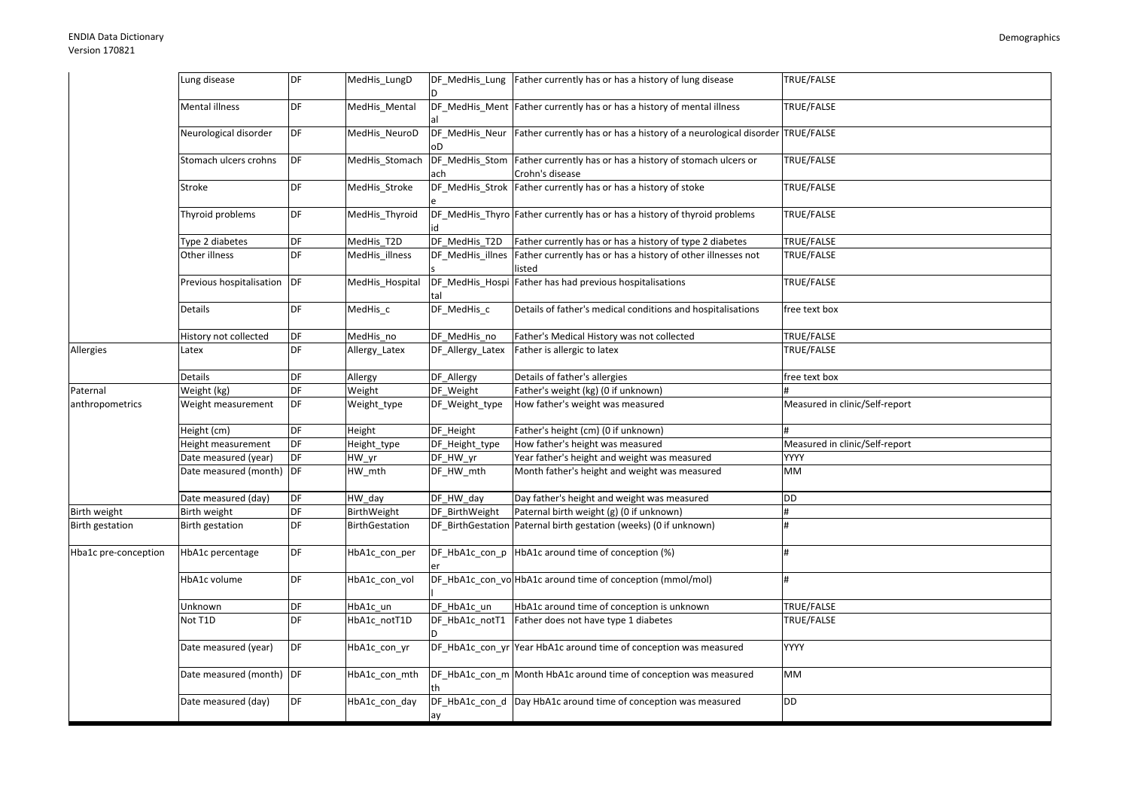|                        | Lung disease             | DF        | MedHis_LungD          |                  | DF_MedHis_Lung Father currently has or has a history of lung disease                         | TRUE/FALSE                     |
|------------------------|--------------------------|-----------|-----------------------|------------------|----------------------------------------------------------------------------------------------|--------------------------------|
|                        | Mental illness           | <b>DF</b> | MedHis_Mental         |                  | DF_MedHis_Ment Father currently has or has a history of mental illness                       | TRUE/FALSE                     |
|                        | Neurological disorder    | DF        | MedHis_NeuroD         |                  | DF MedHis Neur Father currently has or has a history of a neurological disorder TRUE/FALSE   |                                |
|                        | Stomach ulcers crohns    | DF        | MedHis_Stomach        | ach              | DF_MedHis_Stom Father currently has or has a history of stomach ulcers or<br>Crohn's disease | <b>TRUE/FALSE</b>              |
|                        | Stroke                   | DF        | MedHis_Stroke         |                  | DF_MedHis_Strok   Father currently has or has a history of stoke                             | TRUE/FALSE                     |
|                        | Thyroid problems         | DF        | MedHis_Thyroid        |                  | DF MedHis Thyro Father currently has or has a history of thyroid problems                    | TRUE/FALSE                     |
|                        | Type 2 diabetes          | DF        | MedHis_T2D            | DF_MedHis_T2D    | Father currently has or has a history of type 2 diabetes                                     | <b>TRUE/FALSE</b>              |
|                        | Other illness            | DF        | MedHis_illness        |                  | DF_MedHis_illnes Father currently has or has a history of other illnesses not<br>listed      | <b>TRUE/FALSE</b>              |
|                        | Previous hospitalisation | DF        | MedHis_Hospital       |                  | DF_MedHis_Hospi Father has had previous hospitalisations                                     | TRUE/FALSE                     |
|                        | Details                  | DF        | MedHis_c              | DF_MedHis_c      | Details of father's medical conditions and hospitalisations                                  | free text box                  |
|                        | History not collected    | DF        | MedHis no             | DF MedHis no     | Father's Medical History was not collected                                                   | TRUE/FALSE                     |
| Allergies              | Latex                    | DF        | Allergy_Latex         | DF_Allergy_Latex | Father is allergic to latex                                                                  | TRUE/FALSE                     |
|                        | Details                  | DF        | Allergy               | DF_Allergy       | Details of father's allergies                                                                | free text box                  |
| Paternal               | Weight (kg)              | DF        | Weight                | DF Weight        | Father's weight (kg) (0 if unknown)                                                          |                                |
| anthropometrics        | Weight measurement       | DF        | Weight_type           | DF_Weight_type   | How father's weight was measured                                                             | Measured in clinic/Self-report |
|                        | Height (cm)              | DF        | Height                | DF_Height        | Father's height (cm) (0 if unknown)                                                          |                                |
|                        | leight measurement       | DF        | Height_type           | DF_Height_type   | How father's height was measured                                                             | Measured in clinic/Self-report |
|                        | Date measured (year)     | DF        | HW yr                 | DF HW yr         | Year father's height and weight was measured                                                 | <b>YYYY</b>                    |
|                        | Date measured (month)    | DF        | HW_mth                | DF_HW_mth        | Month father's height and weight was measured                                                | <b>MM</b>                      |
|                        | Date measured (day)      | DF        | $HW_d$ day            | DF HW day        | Day father's height and weight was measured                                                  | DD                             |
| Birth weight           | Birth weight             | DF        | BirthWeight           | DF BirthWeight   | Paternal birth weight (g) (0 if unknown)                                                     |                                |
| <b>Birth gestation</b> | Birth gestation          | DF        | <b>BirthGestation</b> |                  | DF BirthGestation Paternal birth gestation (weeks) (0 if unknown)                            | #                              |
| Hba1c pre-conception   | HbA1c percentage         | DF        | HbA1c con per         |                  | DF_HbA1c_con_p HbA1c around time of conception (%)                                           |                                |
|                        | HbA1c volume             | DF        | HbA1c con vol         |                  | DF_HbA1c_con_vo HbA1c around time of conception (mmol/mol)                                   | #                              |
|                        | Unknown                  | DF        | HbA1c un              | DF HbA1c un      | HbA1c around time of conception is unknown                                                   | TRUE/FALSE                     |
|                        | Not T1D                  | DF        | HbA1c_notT1D          | DF_HbA1c_notT1   | Father does not have type 1 diabetes                                                         | TRUE/FALSE                     |
|                        | Date measured (year)     | DF        | HbA1c_con_yr          |                  | DF_HbA1c_con_yr Year HbA1c around time of conception was measured                            | <b>YYYY</b>                    |
|                        | Date measured (month) DF |           | HbA1c_con_mth         |                  | DF_HbA1c_con_m Month HbA1c around time of conception was measured                            | MM                             |
|                        | Date measured (day)      | DF        | HbA1c con day         | ay               | DF_HbA1c_con_d Day HbA1c around time of conception was measured                              | <b>DD</b>                      |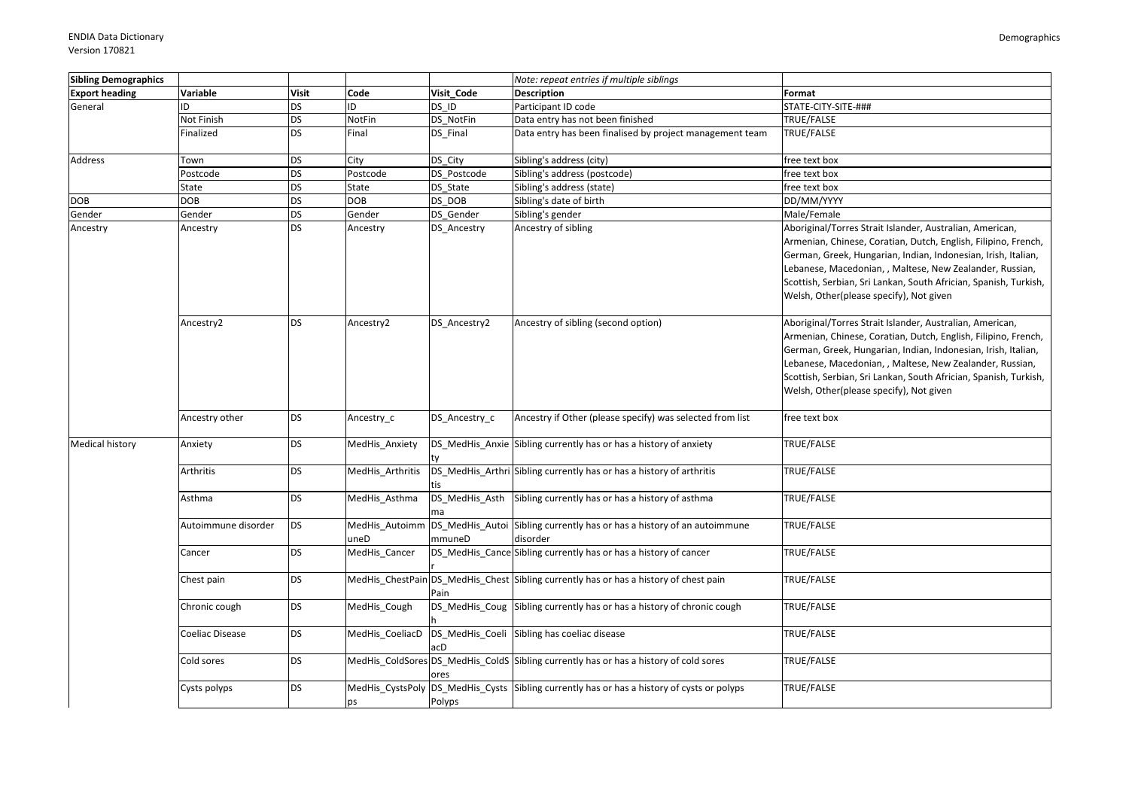| <b>Sibling Demographics</b> |                     |              |                        |               | Note: repeat entries if multiple siblings                                                  |                                                                                                                                                                                                                                                                                                                                                                        |
|-----------------------------|---------------------|--------------|------------------------|---------------|--------------------------------------------------------------------------------------------|------------------------------------------------------------------------------------------------------------------------------------------------------------------------------------------------------------------------------------------------------------------------------------------------------------------------------------------------------------------------|
| <b>Export heading</b>       | Variable            | <b>Visit</b> | Code                   | Visit Code    | <b>Description</b>                                                                         | Format                                                                                                                                                                                                                                                                                                                                                                 |
| General                     | ID                  | <b>DS</b>    | ID                     | DS ID         | Participant ID code                                                                        | STATE-CITY-SITE-###                                                                                                                                                                                                                                                                                                                                                    |
|                             | Not Finish          | <b>DS</b>    | NotFin                 | DS NotFin     | Data entry has not been finished                                                           | TRUE/FALSE                                                                                                                                                                                                                                                                                                                                                             |
|                             | Finalized           | <b>DS</b>    | Final                  | DS Final      | Data entry has been finalised by project management team                                   | TRUE/FALSE                                                                                                                                                                                                                                                                                                                                                             |
| <b>Address</b>              | Town                | <b>DS</b>    | City                   | DS City       | Sibling's address (city)                                                                   | free text box                                                                                                                                                                                                                                                                                                                                                          |
|                             | Postcode            | <b>DS</b>    | Postcode               | DS Postcode   | Sibling's address (postcode)                                                               | free text box                                                                                                                                                                                                                                                                                                                                                          |
|                             | State               | <b>DS</b>    | State                  | DS_State      | Sibling's address (state)                                                                  | free text box                                                                                                                                                                                                                                                                                                                                                          |
| <b>DOB</b>                  | <b>DOB</b>          | <b>DS</b>    | <b>DOB</b>             | DS DOB        | Sibling's date of birth                                                                    | DD/MM/YYYY                                                                                                                                                                                                                                                                                                                                                             |
| Gender                      | Gender              | <b>DS</b>    | Gender                 | DS Gender     | Sibling's gender                                                                           | Male/Female                                                                                                                                                                                                                                                                                                                                                            |
| Ancestry                    | Ancestry            | <b>DS</b>    | Ancestry               | DS Ancestry   | Ancestry of sibling                                                                        | Aboriginal/Torres Strait Islander, Australian, American,<br>Armenian, Chinese, Coratian, Dutch, English, Filipino, French,<br>German, Greek, Hungarian, Indian, Indonesian, Irish, Italian,<br>Lebanese, Macedonian, , Maltese, New Zealander, Russian,<br>Scottish, Serbian, Sri Lankan, South Africian, Spanish, Turkish,<br>Welsh, Other(please specify), Not given |
|                             | Ancestry2           | <b>DS</b>    | Ancestry2              | DS Ancestry2  | Ancestry of sibling (second option)                                                        | Aboriginal/Torres Strait Islander, Australian, American,<br>Armenian, Chinese, Coratian, Dutch, English, Filipino, French,<br>German, Greek, Hungarian, Indian, Indonesian, Irish, Italian,<br>Lebanese, Macedonian, , Maltese, New Zealander, Russian,<br>Scottish, Serbian, Sri Lankan, South Africian, Spanish, Turkish,<br>Welsh, Other(please specify), Not given |
|                             | Ancestry other      | <b>DS</b>    | Ancestry_c             | DS_Ancestry_c | Ancestry if Other (please specify) was selected from list                                  | free text box                                                                                                                                                                                                                                                                                                                                                          |
| <b>Medical history</b>      | Anxiety             | <b>DS</b>    | MedHis_Anxiety         |               | DS_MedHis_Anxie Sibling currently has or has a history of anxiety                          | TRUE/FALSE                                                                                                                                                                                                                                                                                                                                                             |
|                             | Arthritis           | <b>DS</b>    | MedHis_Arthritis       |               | DS_MedHis_Arthri Sibling currently has or has a history of arthritis                       | TRUE/FALSE                                                                                                                                                                                                                                                                                                                                                             |
|                             | Asthma              | <b>DS</b>    | MedHis_Asthma          |               | DS_MedHis_Asth Sibling currently has or has a history of asthma                            | TRUE/FALSE                                                                                                                                                                                                                                                                                                                                                             |
|                             | Autoimmune disorder | <b>DS</b>    | MedHis_Autoimm<br>uneD | mmuneD        | DS_MedHis_Autoi Sibling currently has or has a history of an autoimmune<br>disorder        | TRUE/FALSE                                                                                                                                                                                                                                                                                                                                                             |
|                             | Cancer              | <b>DS</b>    | MedHis_Cancer          |               | DS_MedHis_Cance Sibling currently has or has a history of cancer                           | TRUE/FALSE                                                                                                                                                                                                                                                                                                                                                             |
|                             | Chest pain          | <b>DS</b>    |                        | Pain          | MedHis_ChestPain DS_MedHis_Chest Sibling currently has or has a history of chest pain      | TRUE/FALSE                                                                                                                                                                                                                                                                                                                                                             |
|                             | Chronic cough       | <b>DS</b>    | MedHis Cough           |               | DS_MedHis_Coug Sibling currently has or has a history of chronic cough                     | TRUE/FALSE                                                                                                                                                                                                                                                                                                                                                             |
|                             | Coeliac Disease     | <b>DS</b>    | MedHis CoeliacD        |               | DS_MedHis_Coeli Sibling has coeliac disease                                                | TRUE/FALSE                                                                                                                                                                                                                                                                                                                                                             |
|                             | Cold sores          | <b>DS</b>    |                        | ores          | MedHis_ColdSores DS_MedHis_ColdS Sibling currently has or has a history of cold sores      | TRUE/FALSE                                                                                                                                                                                                                                                                                                                                                             |
|                             | Cysts polyps        | <b>DS</b>    |                        |               | MedHis_CystsPoly DS_MedHis_Cysts Sibling currently has or has a history of cysts or polyps | TRUE/FALSE                                                                                                                                                                                                                                                                                                                                                             |

ps

Polyps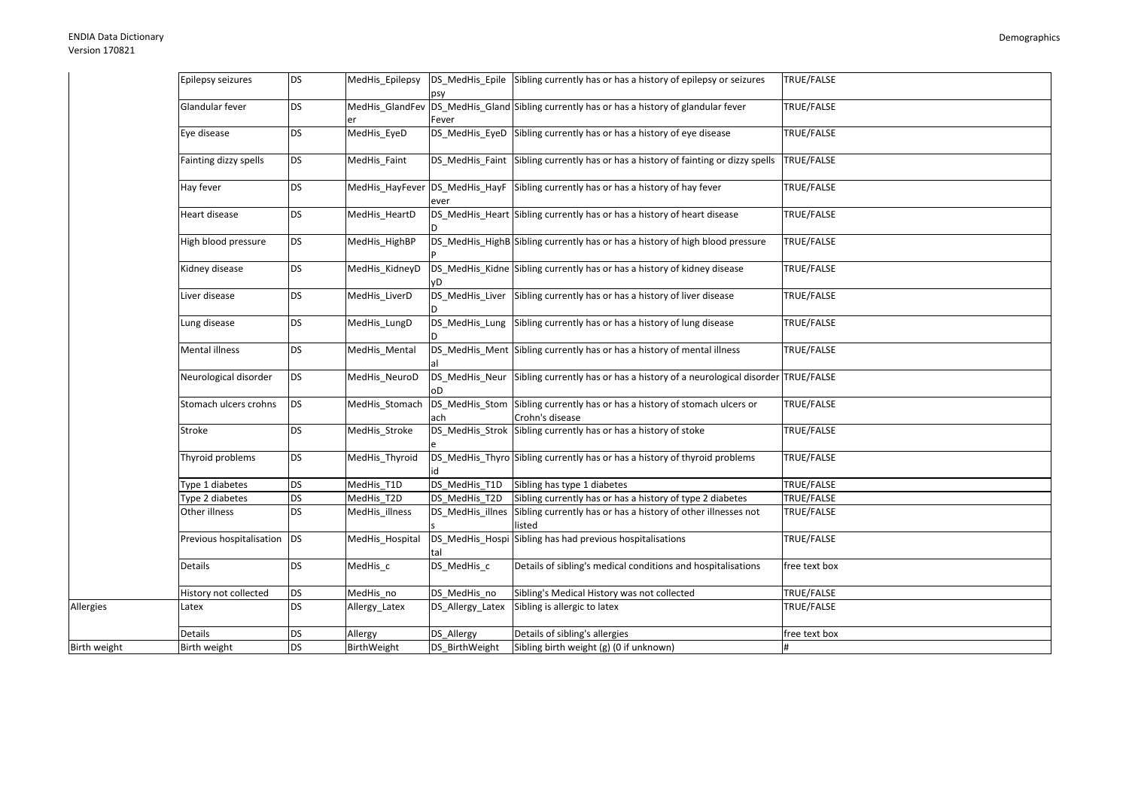Allergies

|              | Epilepsy seizures        | <b>DS</b> | MedHis_Epilepsy |                  | DS_MedHis_Epile Sibling currently has or has a history of epilepsy or seizures                | TRUE/FALSE    |
|--------------|--------------------------|-----------|-----------------|------------------|-----------------------------------------------------------------------------------------------|---------------|
|              | Glandular fever          | <b>DS</b> |                 | Fever            | MedHis_GlandFev DS_MedHis_Gland Sibling currently has or has a history of glandular fever     | TRUE/FALSE    |
|              | Eye disease              | <b>DS</b> | MedHis_EyeD     |                  | DS_MedHis_EyeD Sibling currently has or has a history of eye disease                          | TRUE/FALSE    |
|              | Fainting dizzy spells    | <b>DS</b> | MedHis Faint    |                  | DS MedHis Faint Sibling currently has or has a history of fainting or dizzy spells            | TRUE/FALSE    |
|              | Hay fever                | <b>DS</b> |                 | ever             | MedHis_HayFever DS_MedHis_HayF Sibling currently has or has a history of hay fever            | TRUE/FALSE    |
|              | Heart disease            | <b>DS</b> | MedHis HeartD   |                  | DS_MedHis_Heart Sibling currently has or has a history of heart disease                       | TRUE/FALSE    |
|              | High blood pressure      | <b>DS</b> | MedHis_HighBP   |                  | DS_MedHis_HighB Sibling currently has or has a history of high blood pressure                 | TRUE/FALSE    |
|              | Kidney disease           | <b>DS</b> | MedHis_KidneyD  |                  | DS_MedHis_Kidne Sibling currently has or has a history of kidney disease                      | TRUE/FALSE    |
|              | Liver disease            | <b>DS</b> | MedHis LiverD   |                  | DS_MedHis_Liver Sibling currently has or has a history of liver disease                       | TRUE/FALSE    |
|              | Lung disease             | <b>DS</b> | MedHis_LungD    | DS_MedHis_Lung   | Sibling currently has or has a history of lung disease                                        | TRUE/FALSE    |
|              | Mental illness           | <b>DS</b> | MedHis Mental   |                  | DS_MedHis_Ment Sibling currently has or has a history of mental illness                       | TRUE/FALSE    |
|              | Neurological disorder    | <b>DS</b> | MedHis_NeuroD   |                  | DS_MedHis_Neur Sibling currently has or has a history of a neurological disorder TRUE/FALSE   |               |
|              | Stomach ulcers crohns    | <b>DS</b> | MedHis Stomach  | ach              | DS_MedHis_Stom Sibling currently has or has a history of stomach ulcers or<br>Crohn's disease | TRUE/FALSE    |
|              | Stroke                   | <b>DS</b> | MedHis_Stroke   |                  | DS MedHis Strok Sibling currently has or has a history of stoke                               | TRUE/FALSE    |
|              | Thyroid problems         | <b>DS</b> | MedHis Thyroid  |                  | DS_MedHis_Thyro Sibling currently has or has a history of thyroid problems                    | TRUE/FALSE    |
|              | Type 1 diabetes          | <b>DS</b> | MedHis_T1D      | DS MedHis T1D    | Sibling has type 1 diabetes                                                                   | TRUE/FALSE    |
|              | Type 2 diabetes          | <b>DS</b> | MedHis T2D      | DS MedHis T2D    | Sibling currently has or has a history of type 2 diabetes                                     | TRUE/FALSE    |
|              | Other illness            | <b>DS</b> | MedHis illness  | DS MedHis illnes | Sibling currently has or has a history of other illnesses not<br>listed                       | TRUE/FALSE    |
|              | Previous hospitalisation | <b>DS</b> | MedHis_Hospital | tal              | DS_MedHis_Hospi Sibling has had previous hospitalisations                                     | TRUE/FALSE    |
|              | Details                  | <b>DS</b> | MedHis c        | DS MedHis c      | Details of sibling's medical conditions and hospitalisations                                  | free text box |
|              | History not collected    | <b>DS</b> | MedHis_no       | DS_MedHis_no     | Sibling's Medical History was not collected                                                   | TRUE/FALSE    |
| Allergies    | Latex                    | <b>DS</b> | Allergy_Latex   | DS_Allergy_Latex | Sibling is allergic to latex                                                                  | TRUE/FALSE    |
|              | Details                  | DS        | Allergy         | DS_Allergy       | Details of sibling's allergies                                                                | free text box |
| Birth weight | Birth weight             | <b>DS</b> | BirthWeight     | DS_BirthWeight   | Sibling birth weight (g) (0 if unknown)                                                       | #             |
|              |                          |           |                 |                  |                                                                                               |               |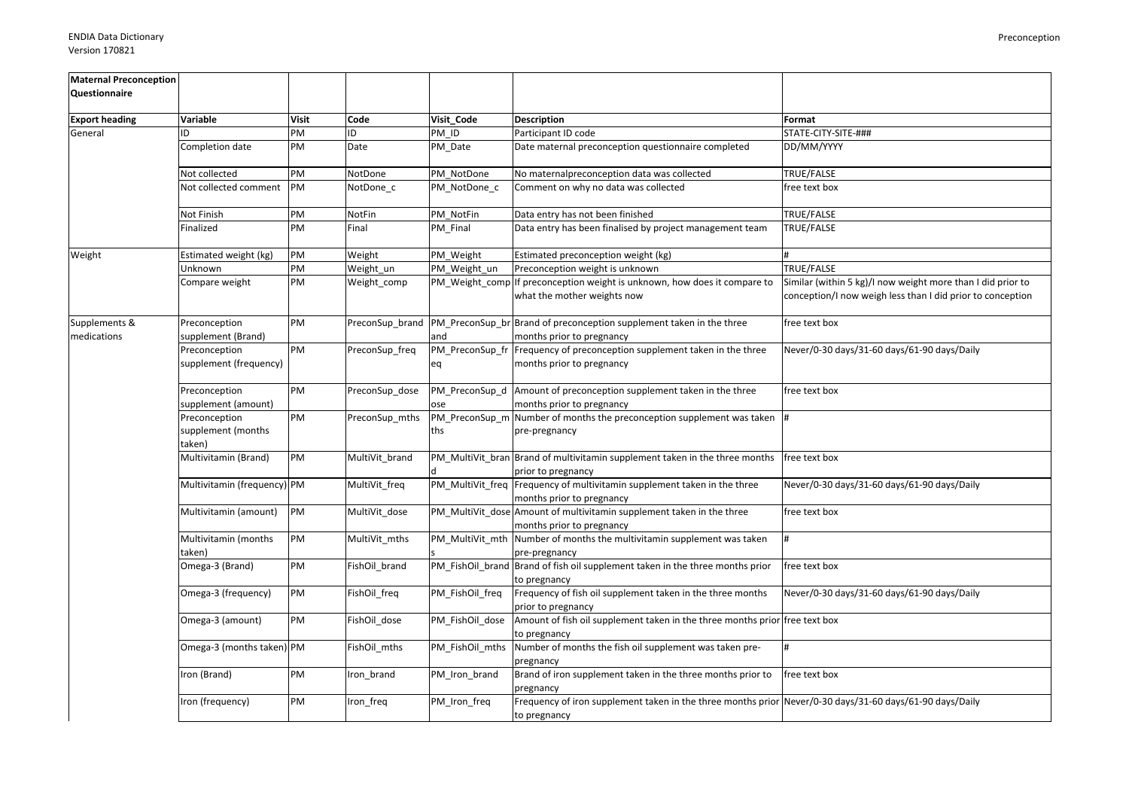| <b>Maternal Preconception</b><br>Questionnaire |                                               |              |                 |                       |                                                                                                                          |                                                                                                                           |
|------------------------------------------------|-----------------------------------------------|--------------|-----------------|-----------------------|--------------------------------------------------------------------------------------------------------------------------|---------------------------------------------------------------------------------------------------------------------------|
|                                                |                                               |              |                 |                       |                                                                                                                          |                                                                                                                           |
| <b>Export heading</b>                          | Variable                                      | <b>Visit</b> | Code            | Visit_Code            | <b>Description</b>                                                                                                       | Format                                                                                                                    |
| General                                        | חו                                            | PM           | ID              | PM ID                 | Participant ID code                                                                                                      | STATE-CITY-SITE-###                                                                                                       |
|                                                | Completion date                               | PM           | Date            | PM_Date               | Date maternal preconception questionnaire completed                                                                      | DD/MM/YYYY                                                                                                                |
|                                                | Not collected                                 | PM           | NotDone         | PM NotDone            | No maternalpreconception data was collected                                                                              | TRUE/FALSE                                                                                                                |
|                                                | Not collected comment                         | PM           | NotDone c       | PM NotDone c          | Comment on why no data was collected                                                                                     | free text box                                                                                                             |
|                                                | Not Finish                                    | PM           | NotFin          | PM_NotFin             | Data entry has not been finished                                                                                         | TRUE/FALSE                                                                                                                |
|                                                | Finalized                                     | PM           | Final           | PM Final              | Data entry has been finalised by project management team                                                                 | TRUE/FALSE                                                                                                                |
| Weight                                         | Estimated weight (kg)                         | PM           | Weight          | PM Weight             | Estimated preconception weight (kg)                                                                                      |                                                                                                                           |
|                                                | Unknown                                       | PM           | Weight_un       | PM Weight un          | Preconception weight is unknown                                                                                          | TRUE/FALSE                                                                                                                |
|                                                | Compare weight                                | PM           | Weight comp     |                       | PM Weight comp If preconception weight is unknown, how does it compare to<br>what the mother weights now                 | Similar (within 5 kg)/I now weight more than I did prior to<br>conception/I now weigh less than I did prior to conception |
| Supplements &<br>medications                   | Preconception<br>supplement (Brand)           | PM           | PreconSup_brand | and                   | PM_PreconSup_br Brand of preconception supplement taken in the three<br>months prior to pregnancy                        | free text box                                                                                                             |
|                                                | Preconception<br>supplement (frequency)       | PM           | PreconSup_freq  | PM_PreconSup_fr<br>eq | Frequency of preconception supplement taken in the three<br>months prior to pregnancy                                    | Never/0-30 days/31-60 days/61-90 days/Daily                                                                               |
|                                                | Preconception<br>supplement (amount)          | PM           | PreconSup_dose  | ose                   | PM_PreconSup_d  Amount of preconception supplement taken in the three<br>months prior to pregnancy                       | free text box                                                                                                             |
|                                                | Preconception<br>supplement (months<br>taken) | PM           | PreconSup_mths  | ths                   | PM_PreconSup_m Number of months the preconception supplement was taken  #<br>pre-pregnancy                               |                                                                                                                           |
|                                                | Multivitamin (Brand)                          | PM           | MultiVit brand  |                       | PM_MultiVit_bran Brand of multivitamin supplement taken in the three months<br>prior to pregnancy                        | free text box                                                                                                             |
|                                                | Multivitamin (frequency) PM                   |              | MultiVit_freq   |                       | PM_MultiVit_freq Frequency of multivitamin supplement taken in the three<br>months prior to pregnancy                    | Never/0-30 days/31-60 days/61-90 days/Daily                                                                               |
|                                                | Multivitamin (amount)                         | PM           | MultiVit_dose   |                       | PM_MultiVit_dose Amount of multivitamin supplement taken in the three<br>months prior to pregnancy                       | free text box                                                                                                             |
|                                                | Multivitamin (months<br>taken)                | PM           | MultiVit mths   |                       | PM MultiVit mth Number of months the multivitamin supplement was taken<br>pre-pregnancy                                  |                                                                                                                           |
|                                                | Omega-3 (Brand)                               | PM           | FishOil brand   |                       | PM FishOil brand Brand of fish oil supplement taken in the three months prior<br>to pregnancy                            | free text box                                                                                                             |
|                                                | Omega-3 (frequency)                           | PM           | FishOil_freq    | PM_FishOil_freq       | Frequency of fish oil supplement taken in the three months<br>prior to pregnancy                                         | Never/0-30 days/31-60 days/61-90 days/Daily                                                                               |
|                                                | Omega-3 (amount)                              | PM           | FishOil dose    | PM_FishOil_dose       | Amount of fish oil supplement taken in the three months prior free text box<br>to pregnancy                              |                                                                                                                           |
|                                                | Omega-3 (months taken) PM                     |              | FishOil mths    | PM FishOil mths       | Number of months the fish oil supplement was taken pre-<br>pregnancy                                                     | #                                                                                                                         |
|                                                | Iron (Brand)                                  | PM           | Iron_brand      | PM_Iron_brand         | Brand of iron supplement taken in the three months prior to<br>pregnancy                                                 | free text box                                                                                                             |
|                                                | Iron (frequency)                              | PM           | Iron_freq       | PM_Iron_freq          | Frequency of iron supplement taken in the three months prior Never/0-30 days/31-60 days/61-90 days/Daily<br>to pregnancy |                                                                                                                           |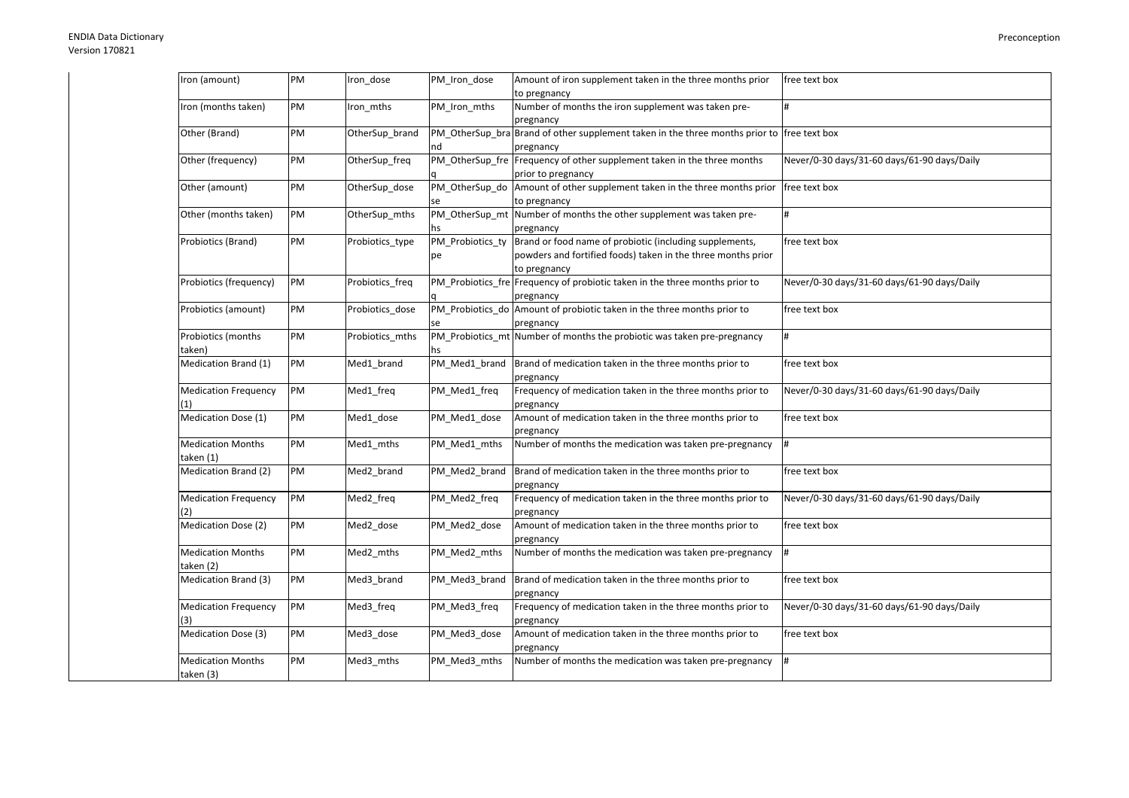| Iron (amount)               | PM | Iron dose       | PM Iron dose     | Amount of iron supplement taken in the three months prior<br>to pregnancy                  | free text box                               |
|-----------------------------|----|-----------------|------------------|--------------------------------------------------------------------------------------------|---------------------------------------------|
| Iron (months taken)         | PM | Iron mths       | PM_Iron_mths     | Number of months the iron supplement was taken pre-                                        | #                                           |
|                             |    |                 |                  | pregnancy                                                                                  |                                             |
| Other (Brand)               | PM | OtherSup_brand  |                  | PM_OtherSup_bra Brand of other supplement taken in the three months prior to free text box |                                             |
|                             |    |                 | nd               | pregnancy                                                                                  |                                             |
| Other (frequency)           | PM | OtherSup_freq   |                  | PM_OtherSup_fre Frequency of other supplement taken in the three months                    | Never/0-30 days/31-60 days/61-90 days/Daily |
|                             |    |                 |                  | prior to pregnancy                                                                         |                                             |
| Other (amount)              | PM | OtherSup dose   |                  | PM OtherSup do Amount of other supplement taken in the three months prior free text box    |                                             |
|                             |    |                 | se               | to pregnancy                                                                               |                                             |
| Other (months taken)        | PM | OtherSup mths   |                  | PM OtherSup mt Number of months the other supplement was taken pre-                        | #                                           |
|                             |    |                 | hs               | pregnancy                                                                                  |                                             |
| Probiotics (Brand)          | PM | Probiotics_type | PM_Probiotics_ty | Brand or food name of probiotic (including supplements,                                    | free text box                               |
|                             |    |                 | рe               | powders and fortified foods) taken in the three months prior                               |                                             |
|                             |    |                 |                  | to pregnancy                                                                               |                                             |
| Probiotics (frequency)      | PM | Probiotics freq |                  | PM Probiotics fre Frequency of probiotic taken in the three months prior to                | Never/0-30 days/31-60 days/61-90 days/Daily |
|                             |    |                 |                  | pregnancy                                                                                  |                                             |
| Probiotics (amount)         | PM | Probiotics dose |                  | PM Probiotics do Amount of probiotic taken in the three months prior to                    | free text box                               |
|                             |    |                 | se               | pregnancy                                                                                  |                                             |
| Probiotics (months          | PM | Probiotics_mths |                  | PM Probiotics mt Number of months the probiotic was taken pre-pregnancy                    | #                                           |
| taken)                      |    |                 | hs               |                                                                                            |                                             |
| Medication Brand (1)        | PM | Med1 brand      | PM Med1 brand    | Brand of medication taken in the three months prior to                                     | free text box                               |
|                             |    |                 |                  | pregnancy                                                                                  |                                             |
| <b>Medication Frequency</b> | PM | Med1_freq       | PM_Med1_freq     | Frequency of medication taken in the three months prior to                                 | Never/0-30 days/31-60 days/61-90 days/Daily |
| (1)                         |    |                 |                  | pregnancy                                                                                  |                                             |
| Medication Dose (1)         | PM | Med1_dose       | PM_Med1_dose     | Amount of medication taken in the three months prior to                                    | free text box                               |
|                             |    |                 |                  | pregnancy                                                                                  |                                             |
| <b>Medication Months</b>    | PM | Med1 mths       | PM Med1 mths     | Number of months the medication was taken pre-pregnancy                                    | $\frac{1}{4}$                               |
| taken (1)                   |    |                 |                  |                                                                                            |                                             |
| Medication Brand (2)        | PM | Med2 brand      | PM Med2 brand    | Brand of medication taken in the three months prior to                                     | free text box                               |
|                             |    |                 |                  |                                                                                            |                                             |
| <b>Medication Frequency</b> | PM | Med2 freq       | PM Med2 freq     | pregnancy<br>Frequency of medication taken in the three months prior to                    | Never/0-30 days/31-60 days/61-90 days/Daily |
|                             |    |                 |                  |                                                                                            |                                             |
| (2)                         | PM |                 |                  | pregnancy                                                                                  |                                             |
| Medication Dose (2)         |    | Med2 dose       | PM_Med2_dose     | Amount of medication taken in the three months prior to                                    | free text box                               |
|                             |    |                 |                  | pregnancy                                                                                  |                                             |
| <b>Medication Months</b>    | PM | Med2_mths       | PM_Med2_mths     | Number of months the medication was taken pre-pregnancy                                    | #                                           |
| taken (2)                   |    |                 |                  |                                                                                            |                                             |
| Medication Brand (3)        | PM | Med3_brand      | PM_Med3_brand    | Brand of medication taken in the three months prior to                                     | free text box                               |
|                             |    |                 |                  | pregnancy                                                                                  |                                             |
| <b>Medication Frequency</b> | PM | Med3 freq       | PM Med3 freq     | Frequency of medication taken in the three months prior to                                 | Never/0-30 days/31-60 days/61-90 days/Daily |
| (3)                         |    |                 |                  | pregnancy                                                                                  |                                             |
| Medication Dose (3)         | PM | Med3 dose       | PM_Med3_dose     | Amount of medication taken in the three months prior to                                    | free text box                               |
|                             |    |                 |                  | pregnancy                                                                                  |                                             |
| <b>Medication Months</b>    | PM | Med3 mths       | PM Med3 mths     | Number of months the medication was taken pre-pregnancy                                    | #                                           |
| taken (3)                   |    |                 |                  |                                                                                            |                                             |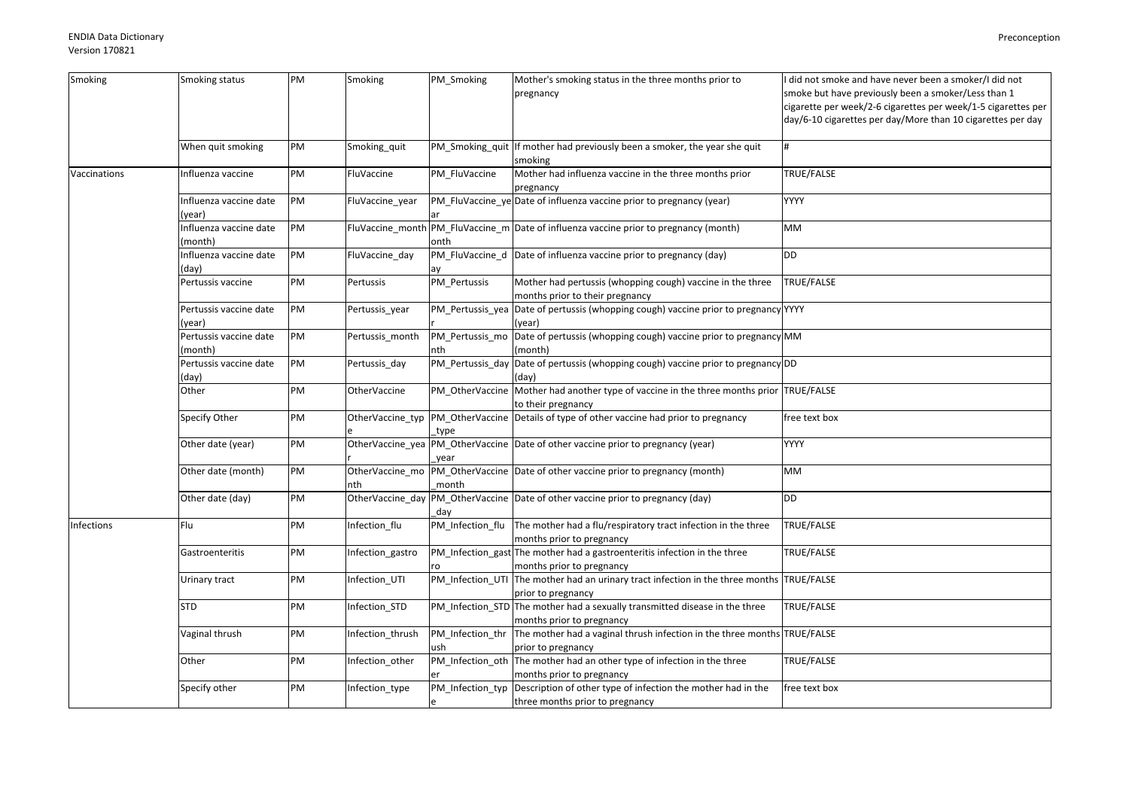| Smoking      | Smoking status                   | PM | Smoking             | PM_Smoking       | Mother's smoking status in the three months prior to                                       | did not smoke and have never been a smoker/I did not          |
|--------------|----------------------------------|----|---------------------|------------------|--------------------------------------------------------------------------------------------|---------------------------------------------------------------|
|              |                                  |    |                     |                  | pregnancy                                                                                  | smoke but have previously been a smoker/Less than 1           |
|              |                                  |    |                     |                  |                                                                                            | cigarette per week/2-6 cigarettes per week/1-5 cigarettes per |
|              |                                  |    |                     |                  |                                                                                            | day/6-10 cigarettes per day/More than 10 cigarettes per day   |
|              |                                  |    |                     |                  |                                                                                            |                                                               |
|              | When quit smoking                | PM | Smoking quit        |                  | PM_Smoking_quit  If mother had previously been a smoker, the year she quit                 |                                                               |
|              |                                  |    |                     |                  | smoking                                                                                    |                                                               |
| Vaccinations | nfluenza vaccine                 | PM | FluVaccine          | PM FluVaccine    | Mother had influenza vaccine in the three months prior                                     | TRUE/FALSE                                                    |
|              |                                  |    |                     |                  | pregnancy                                                                                  |                                                               |
|              | Influenza vaccine date           | PM | FluVaccine_year     |                  | PM_FluVaccine_ye Date of influenza vaccine prior to pregnancy (year)                       | <b>YYYY</b>                                                   |
|              | (year)                           |    |                     |                  |                                                                                            |                                                               |
|              | Influenza vaccine date           | PM |                     |                  | FluVaccine_month PM_FluVaccine_m Date of influenza vaccine prior to pregnancy (month)      | МM                                                            |
|              | (month)                          |    |                     | onth             |                                                                                            |                                                               |
|              | Influenza vaccine date           | PM | FluVaccine_day      |                  | PM_FluVaccine_d Date of influenza vaccine prior to pregnancy (day)                         | DD                                                            |
|              | (day)                            |    |                     | ay               |                                                                                            |                                                               |
|              | Pertussis vaccine                | PM | Pertussis           | PM_Pertussis     | Mother had pertussis (whopping cough) vaccine in the three                                 | TRUE/FALSE                                                    |
|              |                                  | PM |                     |                  | months prior to their pregnancy                                                            |                                                               |
|              | Pertussis vaccine date           |    | Pertussis_year      |                  | PM_Pertussis_yea Date of pertussis (whopping cough) vaccine prior to pregnancy YYYY        |                                                               |
|              | (year)<br>Pertussis vaccine date | PM | Pertussis month     |                  | (year)<br>PM_Pertussis_mo Date of pertussis (whopping cough) vaccine prior to pregnancy MM |                                                               |
|              | (month)                          |    |                     | nth              | (month)                                                                                    |                                                               |
|              | Pertussis vaccine date           | PM | Pertussis_day       | PM_Pertussis_day | Date of pertussis (whopping cough) vaccine prior to pregnancy DD                           |                                                               |
|              | (day)                            |    |                     |                  | (day)                                                                                      |                                                               |
|              | Other                            | PM | <b>OtherVaccine</b> |                  | PM_OtherVaccine Mother had another type of vaccine in the three months prior TRUE/FALSE    |                                                               |
|              |                                  |    |                     |                  | to their pregnancy                                                                         |                                                               |
|              | Specify Other                    | PM |                     |                  | OtherVaccine_typ PM_OtherVaccine Details of type of other vaccine had prior to pregnancy   | free text box                                                 |
|              |                                  |    |                     | type             |                                                                                            |                                                               |
|              | Other date (year)                | PM |                     |                  | OtherVaccine_yea  PM_OtherVaccine  Date of other vaccine prior to pregnancy (year)         | <b>YYYY</b>                                                   |
|              |                                  |    |                     | year             |                                                                                            |                                                               |
|              | Other date (month)               | PM |                     |                  | OtherVaccine_mo  PM_OtherVaccine  Date of other vaccine prior to pregnancy (month)         | МM                                                            |
|              |                                  |    | nth                 | month            |                                                                                            |                                                               |
|              | Other date (day)                 | PM | OtherVaccine_day    |                  | PM_OtherVaccine Date of other vaccine prior to pregnancy (day)                             | DD                                                            |
|              |                                  |    |                     | day              |                                                                                            |                                                               |
| Infections   | Flu                              | PM | Infection_flu       | PM_Infection_flu | The mother had a flu/respiratory tract infection in the three                              | TRUE/FALSE                                                    |
|              |                                  |    |                     |                  | months prior to pregnancy                                                                  |                                                               |
|              | Gastroenteritis                  | PM | Infection gastro    |                  | PM_Infection_gast The mother had a gastroenteritis infection in the three                  | TRUE/FALSE                                                    |
|              |                                  |    |                     |                  | months prior to pregnancy                                                                  |                                                               |
|              | Urinary tract                    | PM | Infection_UTI       |                  | PM_Infection_UTI The mother had an urinary tract infection in the three months TRUE/FALSE  |                                                               |
|              |                                  |    |                     |                  | prior to pregnancy                                                                         |                                                               |
|              | <b>STD</b>                       | PM | Infection STD       |                  | PM_Infection_STD The mother had a sexually transmitted disease in the three                | TRUE/FALSE                                                    |
|              |                                  |    |                     |                  | months prior to pregnancy                                                                  |                                                               |
|              | Vaginal thrush                   | PM | Infection_thrush    |                  | PM_Infection_thr The mother had a vaginal thrush infection in the three months TRUE/FALSE  |                                                               |
|              |                                  |    |                     | ush              | prior to pregnancy                                                                         |                                                               |
|              | Other                            | PM | Infection_other     |                  | PM_Infection_oth The mother had an other type of infection in the three                    | TRUE/FALSE                                                    |
|              |                                  |    |                     |                  | months prior to pregnancy                                                                  |                                                               |
|              | Specify other                    | PM | Infection_type      |                  | PM_Infection_typ Description of other type of infection the mother had in the              | free text box                                                 |
|              |                                  |    |                     |                  | three months prior to pregnancy                                                            |                                                               |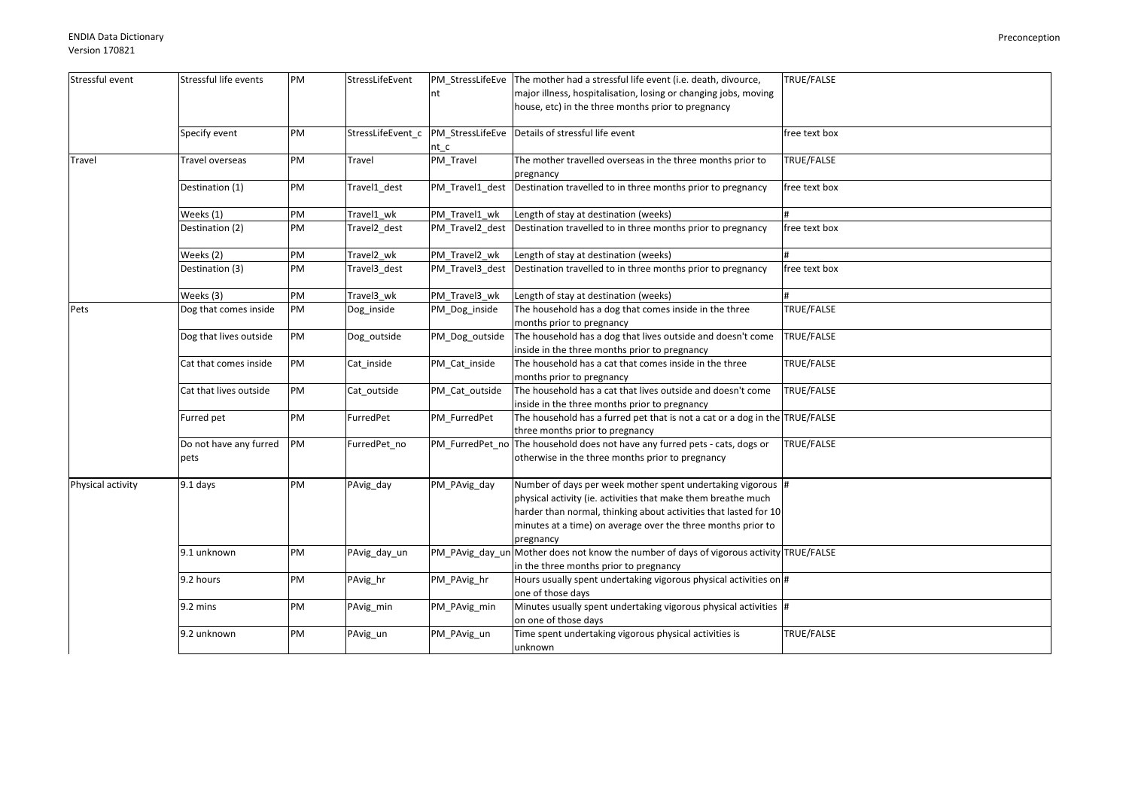| Stressful event   | Stressful life events  | PM | StressLifeEvent   |                  | PM_StressLifeEve The mother had a stressful life event (i.e. death, divource,                                                     | TRUE/FALSE        |
|-------------------|------------------------|----|-------------------|------------------|-----------------------------------------------------------------------------------------------------------------------------------|-------------------|
|                   |                        |    |                   | nt               | major illness, hospitalisation, losing or changing jobs, moving                                                                   |                   |
|                   |                        |    |                   |                  | house, etc) in the three months prior to pregnancy                                                                                |                   |
|                   |                        |    |                   |                  |                                                                                                                                   |                   |
|                   | Specify event          | PM | StressLifeEvent c | PM StressLifeEve | Details of stressful life event                                                                                                   | free text box     |
|                   |                        |    |                   | nt c             |                                                                                                                                   |                   |
| Travel            | Travel overseas        | PM | Travel            | PM Travel        | The mother travelled overseas in the three months prior to                                                                        | TRUE/FALSE        |
|                   |                        |    |                   |                  | pregnancy                                                                                                                         |                   |
|                   | Destination (1)        | PM | Travel1_dest      | PM_Travel1_dest  | Destination travelled to in three months prior to pregnancy                                                                       | free text box     |
|                   |                        |    |                   |                  |                                                                                                                                   |                   |
|                   | Weeks (1)              | PM | Travel1 wk        | PM Travel1 wk    | Length of stay at destination (weeks)                                                                                             |                   |
|                   | Destination (2)        | PM | Travel2 dest      | PM Travel2 dest  | Destination travelled to in three months prior to pregnancy                                                                       | free text box     |
|                   | Weeks (2)              | PM | Travel2 wk        | PM_Travel2_wk    | Length of stay at destination (weeks)                                                                                             |                   |
|                   | Destination (3)        | PM | Travel3 dest      | PM_Travel3_dest  | Destination travelled to in three months prior to pregnancy                                                                       | free text box     |
|                   |                        |    |                   |                  |                                                                                                                                   |                   |
|                   | Weeks (3)              | PM | Travel3 wk        | PM Travel3 wk    | Length of stay at destination (weeks)                                                                                             |                   |
| Pets              | Dog that comes inside  | PM | Dog_inside        | PM_Dog_inside    | The household has a dog that comes inside in the three                                                                            | TRUE/FALSE        |
|                   |                        |    |                   |                  | months prior to pregnancy                                                                                                         |                   |
|                   | Dog that lives outside | PM | Dog_outside       | PM_Dog_outside   | The household has a dog that lives outside and doesn't come                                                                       | TRUE/FALSE        |
|                   |                        |    |                   |                  | inside in the three months prior to pregnancy                                                                                     |                   |
|                   | Cat that comes inside  | PM | Cat_inside        | PM_Cat_inside    | The household has a cat that comes inside in the three                                                                            | <b>TRUE/FALSE</b> |
|                   |                        |    |                   |                  | months prior to pregnancy                                                                                                         |                   |
|                   | Cat that lives outside | PM | Cat outside       | PM Cat outside   | The household has a cat that lives outside and doesn't come                                                                       | TRUE/FALSE        |
|                   |                        |    |                   |                  | inside in the three months prior to pregnancy                                                                                     |                   |
|                   | Furred pet             | PM | FurredPet         | PM FurredPet     | The household has a furred pet that is not a cat or a dog in the TRUE/FALSE                                                       |                   |
|                   |                        |    |                   |                  | three months prior to pregnancy                                                                                                   |                   |
|                   | Do not have any furred | PM | FurredPet no      | PM FurredPet no  | The household does not have any furred pets - cats, dogs or                                                                       | TRUE/FALSE        |
|                   | pets                   |    |                   |                  | otherwise in the three months prior to pregnancy                                                                                  |                   |
|                   |                        |    |                   |                  |                                                                                                                                   |                   |
| Physical activity | 9.1 days               | PM | PAvig_day         | PM_PAvig_day     | Number of days per week mother spent undertaking vigorous #                                                                       |                   |
|                   |                        |    |                   |                  | physical activity (ie. activities that make them breathe much<br>harder than normal, thinking about activities that lasted for 10 |                   |
|                   |                        |    |                   |                  | minutes at a time) on average over the three months prior to                                                                      |                   |
|                   |                        |    |                   |                  | pregnancy                                                                                                                         |                   |
|                   | 9.1 unknown            | PM | PAvig_day_un      | PM_PAvig_day_ur  | Mother does not know the number of days of vigorous activity TRUE/FALSE                                                           |                   |
|                   |                        |    |                   |                  | in the three months prior to pregnancy                                                                                            |                   |
|                   | 9.2 hours              | PM | PAvig_hr          | PM_PAvig_hr      | Hours usually spent undertaking vigorous physical activities on #                                                                 |                   |
|                   |                        |    |                   |                  | one of those days                                                                                                                 |                   |
|                   | 9.2 mins               | PM | PAvig_min         | PM_PAvig_min     | Minutes usually spent undertaking vigorous physical activities #                                                                  |                   |
|                   |                        |    |                   |                  | on one of those days                                                                                                              |                   |
|                   | 9.2 unknown            | PM | PAvig_un          | PM_PAvig_un      | Time spent undertaking vigorous physical activities is                                                                            | TRUE/FALSE        |
|                   |                        |    |                   |                  | unknown                                                                                                                           |                   |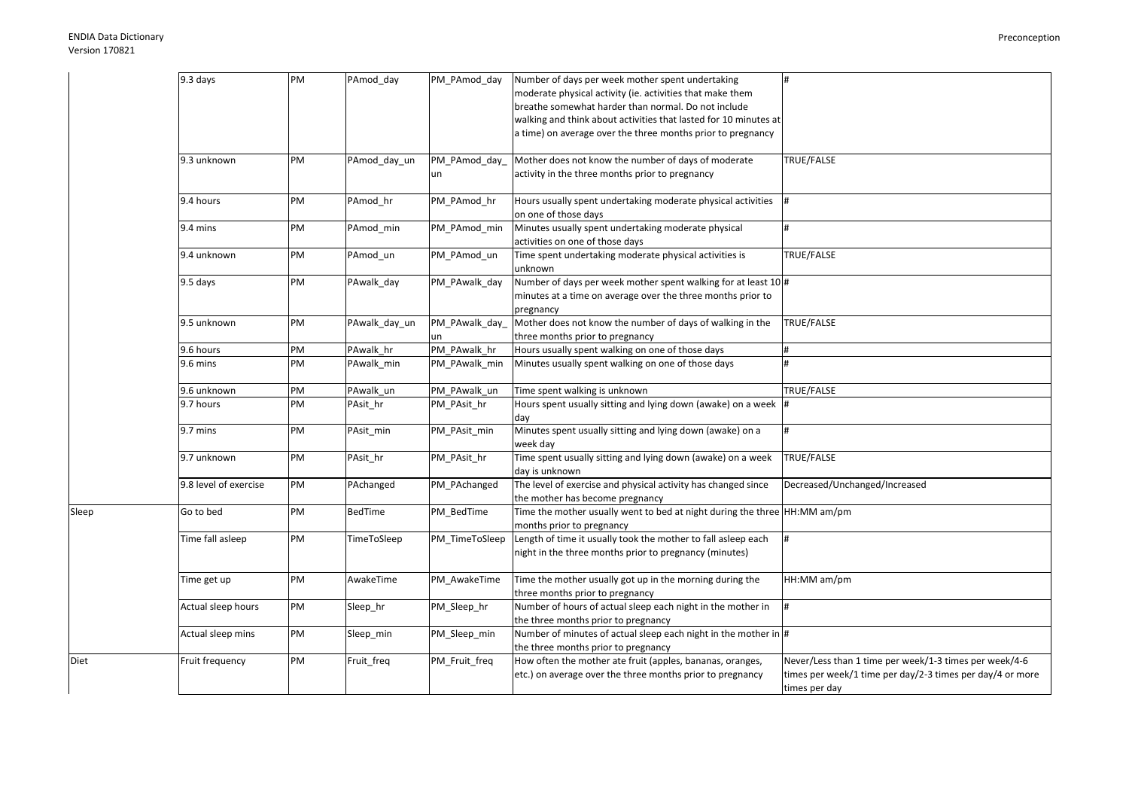Sleep

Diet

| 9.3 days              | PM | PAmod day      | PM PAmod day   | Number of days per week mother spent undertaking                          | #                                                         |
|-----------------------|----|----------------|----------------|---------------------------------------------------------------------------|-----------------------------------------------------------|
|                       |    |                |                | moderate physical activity (ie. activities that make them                 |                                                           |
|                       |    |                |                | breathe somewhat harder than normal. Do not include                       |                                                           |
|                       |    |                |                | walking and think about activities that lasted for 10 minutes at          |                                                           |
|                       |    |                |                | a time) on average over the three months prior to pregnancy               |                                                           |
|                       |    |                |                |                                                                           |                                                           |
| 9.3 unknown           | PM | PAmod_day_un   | PM_PAmod_day   | Mother does not know the number of days of moderate                       | TRUE/FALSE                                                |
|                       |    |                | un             | activity in the three months prior to pregnancy                           |                                                           |
|                       |    |                |                |                                                                           |                                                           |
| 9.4 hours             | PM | PAmod hr       | PM PAmod hr    | Hours usually spent undertaking moderate physical activities              | #                                                         |
|                       |    |                |                | on one of those days                                                      |                                                           |
| 9.4 mins              | PM | PAmod_min      | PM_PAmod_min   | Minutes usually spent undertaking moderate physical                       | #                                                         |
|                       |    |                |                | activities on one of those days                                           |                                                           |
| 9.4 unknown           | PM | PAmod_un       | PM_PAmod_un    | Time spent undertaking moderate physical activities is                    | TRUE/FALSE                                                |
|                       |    |                |                | unknown                                                                   |                                                           |
| 9.5 days              | PM | PAwalk day     | PM_PAwalk_day  | Number of days per week mother spent walking for at least 10 #            |                                                           |
|                       |    |                |                | minutes at a time on average over the three months prior to               |                                                           |
|                       |    |                |                | pregnancy                                                                 |                                                           |
| 9.5 unknown           | PM | PAwalk_day_un  | PM_PAwalk_day_ | Mother does not know the number of days of walking in the                 | TRUE/FALSE                                                |
|                       |    |                | un             | three months prior to pregnancy                                           |                                                           |
| 9.6 hours             | PM | PAwalk_hr      | PM_PAwalk_hr   | Hours usually spent walking on one of those days                          | $\#$                                                      |
| 9.6 mins              | PM | PAwalk_min     | PM_PAwalk_min  | Minutes usually spent walking on one of those days                        | #                                                         |
|                       |    |                |                |                                                                           |                                                           |
| 9.6 unknown           | PM | PAwalk un      | PM PAwalk un   | Time spent walking is unknown                                             | TRUE/FALSE                                                |
| 9.7 hours             | PM | PAsit hr       | PM PAsit hr    | Hours spent usually sitting and lying down (awake) on a week $\ $ #       |                                                           |
|                       |    |                |                | day                                                                       |                                                           |
| 9.7 mins              | PM | PAsit_min      | PM_PAsit_min   | Minutes spent usually sitting and lying down (awake) on a                 | #                                                         |
|                       |    |                |                | week day                                                                  |                                                           |
| 9.7 unknown           | PM | PAsit_hr       | PM_PAsit_hr    | Time spent usually sitting and lying down (awake) on a week               | TRUE/FALSE                                                |
|                       |    |                |                | day is unknown                                                            |                                                           |
| 9.8 level of exercise | PM | PAchanged      | PM PAchanged   | The level of exercise and physical activity has changed since             | Decreased/Unchanged/Increased                             |
|                       |    |                |                | the mother has become pregnancy                                           |                                                           |
| Go to bed             | PM | <b>BedTime</b> | PM_BedTime     | Time the mother usually went to bed at night during the three HH:MM am/pm |                                                           |
|                       |    |                |                | months prior to pregnancy                                                 |                                                           |
| Time fall asleep      | PM | TimeToSleep    | PM_TimeToSleep | Length of time it usually took the mother to fall asleep each             | #                                                         |
|                       |    |                |                | night in the three months prior to pregnancy (minutes)                    |                                                           |
|                       |    |                |                |                                                                           |                                                           |
| Time get up           | PM | AwakeTime      | PM_AwakeTime   | Time the mother usually got up in the morning during the                  | HH:MM am/pm                                               |
|                       |    |                |                | three months prior to pregnancy                                           |                                                           |
| Actual sleep hours    | PM | Sleep_hr       | PM_Sleep_hr    | Number of hours of actual sleep each night in the mother in               |                                                           |
|                       |    |                |                | the three months prior to pregnancy                                       |                                                           |
| Actual sleep mins     | PM | Sleep_min      | PM_Sleep_min   | Number of minutes of actual sleep each night in the mother in #           |                                                           |
|                       |    |                |                | the three months prior to pregnancy                                       |                                                           |
| Fruit frequency       | PM | Fruit_freq     | PM_Fruit_freq  | How often the mother ate fruit (apples, bananas, oranges,                 | Never/Less than 1 time per week/1-3 times per week/4-6    |
|                       |    |                |                | etc.) on average over the three months prior to pregnancy                 | times per week/1 time per day/2-3 times per day/4 or more |
|                       |    |                |                |                                                                           | times per day                                             |
|                       |    |                |                |                                                                           |                                                           |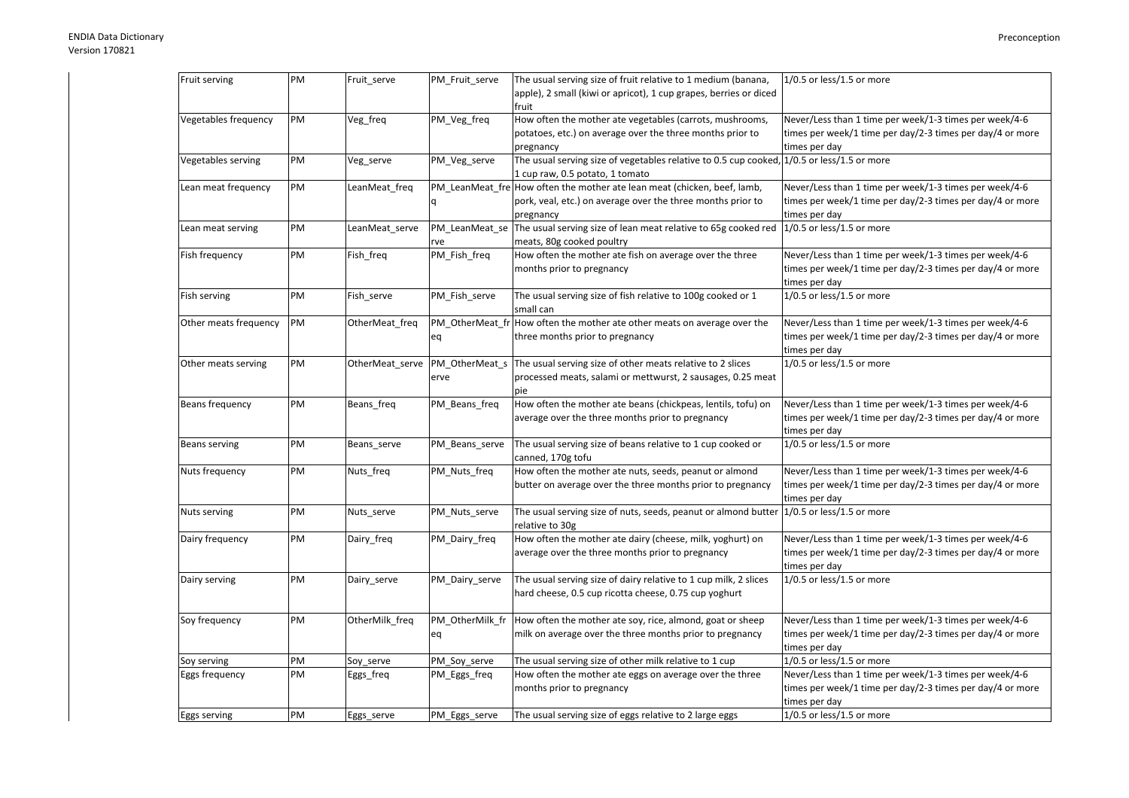|                       | PM |                 |                 |                                                                                            |                                                           |
|-----------------------|----|-----------------|-----------------|--------------------------------------------------------------------------------------------|-----------------------------------------------------------|
| Fruit serving         |    | Fruit_serve     | PM_Fruit_serve  | The usual serving size of fruit relative to 1 medium (banana,                              | $1/0.5$ or less/1.5 or more                               |
|                       |    |                 |                 | apple), 2 small (kiwi or apricot), 1 cup grapes, berries or diced                          |                                                           |
|                       |    |                 |                 | fruit                                                                                      |                                                           |
| Vegetables frequency  | PM | Veg_freq        | PM_Veg_freq     | How often the mother ate vegetables (carrots, mushrooms,                                   | Never/Less than 1 time per week/1-3 times per week/4-6    |
|                       |    |                 |                 | potatoes, etc.) on average over the three months prior to                                  | times per week/1 time per day/2-3 times per day/4 or more |
|                       |    |                 |                 | pregnancy                                                                                  | times per day                                             |
| Vegetables serving    | PM | Veg_serve       | PM_Veg_serve    | The usual serving size of vegetables relative to 0.5 cup cooked, 1/0.5 or less/1.5 or more |                                                           |
|                       |    |                 |                 | 1 cup raw, 0.5 potato, 1 tomato                                                            |                                                           |
| Lean meat frequency   | PM | LeanMeat freq   |                 | PM LeanMeat fre How often the mother ate lean meat (chicken, beef, lamb,                   | Never/Less than 1 time per week/1-3 times per week/4-6    |
|                       |    |                 |                 | pork, veal, etc.) on average over the three months prior to                                | times per week/1 time per day/2-3 times per day/4 or more |
|                       |    |                 |                 | pregnancy                                                                                  | times per day                                             |
| Lean meat serving     | PM | LeanMeat_serve  | PM_LeanMeat_se  | The usual serving size of lean meat relative to 65g cooked red                             | 1/0.5 or less/1.5 or more                                 |
|                       |    |                 | rve             | meats, 80g cooked poultry                                                                  |                                                           |
| Fish frequency        | PM | Fish freq       | PM_Fish_freq    | How often the mother ate fish on average over the three                                    | Never/Less than 1 time per week/1-3 times per week/4-6    |
|                       |    |                 |                 | months prior to pregnancy                                                                  | times per week/1 time per day/2-3 times per day/4 or more |
|                       |    |                 |                 |                                                                                            | times per day                                             |
| Fish serving          | PM | Fish_serve      | PM_Fish_serve   | The usual serving size of fish relative to 100g cooked or 1                                | $1/0.5$ or less/1.5 or more                               |
|                       |    |                 |                 | small can                                                                                  |                                                           |
| Other meats frequency | PM | OtherMeat_freq  |                 | PM_OtherMeat_fr How often the mother ate other meats on average over the                   | Never/Less than 1 time per week/1-3 times per week/4-6    |
|                       |    |                 | eq              | three months prior to pregnancy                                                            | times per week/1 time per day/2-3 times per day/4 or more |
|                       |    |                 |                 |                                                                                            | times per day                                             |
| Other meats serving   | PM | OtherMeat serve | PM_OtherMeat_s  | The usual serving size of other meats relative to 2 slices                                 | $1/0.5$ or less/1.5 or more                               |
|                       |    |                 | erve            |                                                                                            |                                                           |
|                       |    |                 |                 | processed meats, salami or mettwurst, 2 sausages, 0.25 meat                                |                                                           |
|                       |    |                 |                 | pie                                                                                        |                                                           |
| Beans frequency       | PM | Beans_freq      | PM_Beans_freq   | How often the mother ate beans (chickpeas, lentils, tofu) on                               | Never/Less than 1 time per week/1-3 times per week/4-6    |
|                       |    |                 |                 | average over the three months prior to pregnancy                                           | times per week/1 time per day/2-3 times per day/4 or more |
|                       |    |                 |                 |                                                                                            | times per day                                             |
| Beans serving         | PM | Beans serve     | PM_Beans_serve  | The usual serving size of beans relative to 1 cup cooked or                                | 1/0.5 or less/1.5 or more                                 |
|                       |    |                 |                 | canned, 170g tofu                                                                          |                                                           |
| Nuts frequency        | PM | Nuts_freq       | PM_Nuts_freq    | How often the mother ate nuts, seeds, peanut or almond                                     | Never/Less than 1 time per week/1-3 times per week/4-6    |
|                       |    |                 |                 | butter on average over the three months prior to pregnancy                                 | times per week/1 time per day/2-3 times per day/4 or more |
|                       |    |                 |                 |                                                                                            | times per day                                             |
| Nuts serving          | PM | Nuts_serve      | PM_Nuts_serve   | The usual serving size of nuts, seeds, peanut or almond butter                             | 1/0.5 or less/1.5 or more                                 |
|                       |    |                 |                 | relative to 30g                                                                            |                                                           |
| Dairy frequency       | PM | Dairy_freq      | PM_Dairy_freq   | How often the mother ate dairy (cheese, milk, yoghurt) on                                  | Never/Less than 1 time per week/1-3 times per week/4-6    |
|                       |    |                 |                 | average over the three months prior to pregnancy                                           | times per week/1 time per day/2-3 times per day/4 or more |
|                       |    |                 |                 |                                                                                            | times per day                                             |
| Dairy serving         | PM | Dairy_serve     | PM_Dairy_serve  | The usual serving size of dairy relative to 1 cup milk, 2 slices                           | 1/0.5 or less/1.5 or more                                 |
|                       |    |                 |                 | hard cheese, 0.5 cup ricotta cheese, 0.75 cup yoghurt                                      |                                                           |
|                       |    |                 |                 |                                                                                            |                                                           |
| Soy frequency         | PM | OtherMilk_freq  | PM OtherMilk fr | How often the mother ate soy, rice, almond, goat or sheep                                  | Never/Less than 1 time per week/1-3 times per week/4-6    |
|                       |    |                 | eq              | milk on average over the three months prior to pregnancy                                   | times per week/1 time per day/2-3 times per day/4 or more |
|                       |    |                 |                 |                                                                                            | times per day                                             |
| Soy serving           | PM | Soy_serve       | PM_Soy_serve    | The usual serving size of other milk relative to 1 cup                                     | $1/0.5$ or less/1.5 or more                               |
| Eggs frequency        | PM |                 |                 | How often the mother ate eggs on average over the three                                    | Never/Less than 1 time per week/1-3 times per week/4-6    |
|                       |    | Eggs_freq       | PM_Eggs_freq    |                                                                                            |                                                           |
|                       |    |                 |                 | months prior to pregnancy                                                                  | times per week/1 time per day/2-3 times per day/4 or more |
|                       |    |                 |                 |                                                                                            | times per day                                             |
| Eggs serving          | PM | Eggs_serve      | PM_Eggs_serve   | The usual serving size of eggs relative to 2 large eggs                                    | 1/0.5 or less/1.5 or more                                 |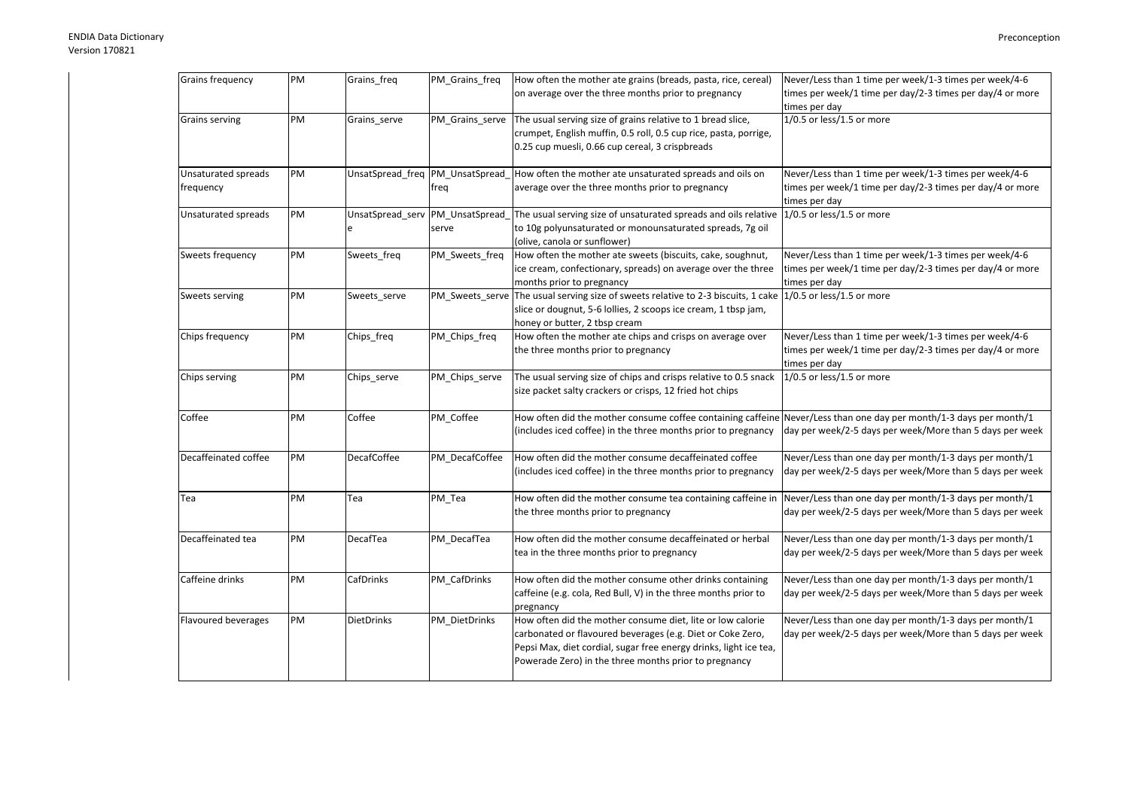| Grains frequency                 | PM | Grains_freq        | PM_Grains_freq  | How often the mother ate grains (breads, pasta, rice, cereal)<br>on average over the three months prior to pregnancy                                                                                                                                   | Never/Less than 1 time per week/1-3 times per week/4-6<br>times per week/1 time per day/2-3 times per day/4 or more<br>times per day |
|----------------------------------|----|--------------------|-----------------|--------------------------------------------------------------------------------------------------------------------------------------------------------------------------------------------------------------------------------------------------------|--------------------------------------------------------------------------------------------------------------------------------------|
| Grains serving                   | PM | Grains_serve       | PM_Grains_serve | The usual serving size of grains relative to 1 bread slice,<br>crumpet, English muffin, 0.5 roll, 0.5 cup rice, pasta, porrige,<br>0.25 cup muesli, 0.66 cup cereal, 3 crispbreads                                                                     | $1/0.5$ or less/1.5 or more                                                                                                          |
| Unsaturated spreads<br>frequency | PM |                    | freg            | UnsatSpread_freq  PM_UnsatSpread_ How often the mother ate unsaturated spreads and oils on<br>average over the three months prior to pregnancy                                                                                                         | Never/Less than 1 time per week/1-3 times per week/4-6<br>times per week/1 time per day/2-3 times per day/4 or more<br>times per day |
| Unsaturated spreads              | PM |                    | serve           | UnsatSpread serv PM UnsatSpread The usual serving size of unsaturated spreads and oils relative<br>to 10g polyunsaturated or monounsaturated spreads, 7g oil<br>(olive, canola or sunflower)                                                           | $1/0.5$ or less/1.5 or more                                                                                                          |
| Sweets frequency                 | PM | Sweets freq        | PM_Sweets_freq  | How often the mother ate sweets (biscuits, cake, soughnut,<br>ice cream, confectionary, spreads) on average over the three<br>months prior to pregnancy                                                                                                | Never/Less than 1 time per week/1-3 times per week/4-6<br>times per week/1 time per day/2-3 times per day/4 or more<br>times per day |
| Sweets serving                   | PM | Sweets serve       |                 | PM_Sweets_serve The usual serving size of sweets relative to 2-3 biscuits, 1 cake 1/0.5 or less/1.5 or more<br>slice or dougnut, 5-6 lollies, 2 scoops ice cream, 1 tbsp jam,<br>honey or butter, 2 tbsp cream                                         |                                                                                                                                      |
| Chips frequency                  | PM | Chips_freq         | PM_Chips_freq   | How often the mother ate chips and crisps on average over<br>the three months prior to pregnancy                                                                                                                                                       | Never/Less than 1 time per week/1-3 times per week/4-6<br>times per week/1 time per day/2-3 times per day/4 or more<br>times per day |
| Chips serving                    | PM | Chips_serve        | PM_Chips_serve  | The usual serving size of chips and crisps relative to 0.5 snack<br>size packet salty crackers or crisps, 12 fried hot chips                                                                                                                           | 1/0.5 or less/1.5 or more                                                                                                            |
| Coffee                           | PM | Coffee             | PM_Coffee       | How often did the mother consume coffee containing caffeine Never/Less than one day per month/1-3 days per month/1<br>(includes iced coffee) in the three months prior to pregnancy                                                                    | day per week/2-5 days per week/More than 5 days per week                                                                             |
| Decaffeinated coffee             | PM | <b>DecafCoffee</b> | PM_DecafCoffee  | How often did the mother consume decaffeinated coffee<br>(includes iced coffee) in the three months prior to pregnancy                                                                                                                                 | Never/Less than one day per month/1-3 days per month/1<br>day per week/2-5 days per week/More than 5 days per week                   |
| Tea                              | PM | Tea                | PM Tea          | How often did the mother consume tea containing caffeine in Never/Less than one day per month/1-3 days per month/1<br>the three months prior to pregnancy                                                                                              | day per week/2-5 days per week/More than 5 days per week                                                                             |
| Decaffeinated tea                | PM | DecafTea           | PM_DecafTea     | How often did the mother consume decaffeinated or herbal<br>tea in the three months prior to pregnancy                                                                                                                                                 | Never/Less than one day per month/1-3 days per month/1<br>day per week/2-5 days per week/More than 5 days per week                   |
| Caffeine drinks                  | PM | CafDrinks          | PM_CafDrinks    | How often did the mother consume other drinks containing<br>caffeine (e.g. cola, Red Bull, V) in the three months prior to<br>pregnancy                                                                                                                | Never/Less than one day per month/1-3 days per month/1<br>day per week/2-5 days per week/More than 5 days per week                   |
| Flavoured beverages              | PM | <b>DietDrinks</b>  | PM_DietDrinks   | How often did the mother consume diet, lite or low calorie<br>carbonated or flavoured beverages (e.g. Diet or Coke Zero,<br>Pepsi Max, diet cordial, sugar free energy drinks, light ice tea,<br>Powerade Zero) in the three months prior to pregnancy | Never/Less than one day per month/1-3 days per month/1<br>day per week/2-5 days per week/More than 5 days per week                   |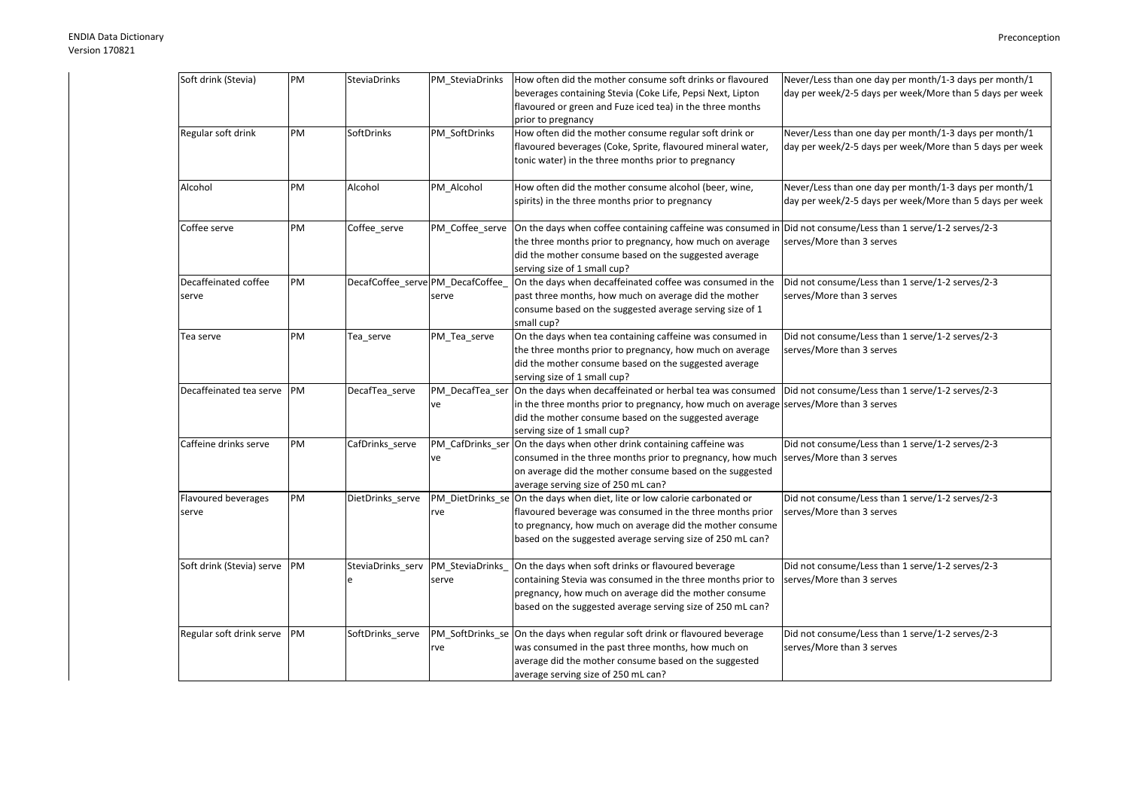| Soft drink (Stevia)           | PM        | <b>SteviaDrinks</b>               | PM SteviaDrinks       | How often did the mother consume soft drinks or flavoured<br>beverages containing Stevia (Coke Life, Pepsi Next, Lipton<br>flavoured or green and Fuze iced tea) in the three months<br>prior to pregnancy                                                        | Never/Less than one day per month/1-3 days per month/1<br>day per week/2-5 days per week/More than 5 days per week |
|-------------------------------|-----------|-----------------------------------|-----------------------|-------------------------------------------------------------------------------------------------------------------------------------------------------------------------------------------------------------------------------------------------------------------|--------------------------------------------------------------------------------------------------------------------|
| Regular soft drink            | PM        | SoftDrinks                        | PM_SoftDrinks         | How often did the mother consume regular soft drink or<br>flavoured beverages (Coke, Sprite, flavoured mineral water,<br>tonic water) in the three months prior to pregnancy                                                                                      | Never/Less than one day per month/1-3 days per month/1<br>day per week/2-5 days per week/More than 5 days per week |
| Alcohol                       | PM        | Alcohol                           | PM Alcohol            | How often did the mother consume alcohol (beer, wine,<br>spirits) in the three months prior to pregnancy                                                                                                                                                          | Never/Less than one day per month/1-3 days per month/1<br>day per week/2-5 days per week/More than 5 days per week |
| Coffee serve                  | PM        | Coffee_serve                      | PM_Coffee_serve       | On the days when coffee containing caffeine was consumed in Did not consume/Less than 1 serve/1-2 serves/2-3<br>the three months prior to pregnancy, how much on average<br>did the mother consume based on the suggested average<br>serving size of 1 small cup? | serves/More than 3 serves                                                                                          |
| Decaffeinated coffee<br>serve | PM        | DecafCoffee_serve PM_DecafCoffee_ | serve                 | On the days when decaffeinated coffee was consumed in the<br>past three months, how much on average did the mother<br>consume based on the suggested average serving size of 1<br>small cup?                                                                      | Did not consume/Less than 1 serve/1-2 serves/2-3<br>serves/More than 3 serves                                      |
| Tea serve                     | PM        | Tea_serve                         | PM_Tea_serve          | On the days when tea containing caffeine was consumed in<br>the three months prior to pregnancy, how much on average<br>did the mother consume based on the suggested average<br>serving size of 1 small cup?                                                     | Did not consume/Less than 1 serve/1-2 serves/2-3<br>serves/More than 3 serves                                      |
| Decaffeinated tea serve PM    |           | DecafTea_serve                    | PM_DecafTea_ser<br>ve | On the days when decaffeinated or herbal tea was consumed<br>in the three months prior to pregnancy, how much on average serves/More than 3 serves<br>did the mother consume based on the suggested average<br>serving size of 1 small cup?                       | Did not consume/Less than 1 serve/1-2 serves/2-3                                                                   |
| Caffeine drinks serve         | PM        | CafDrinks serve                   | ve                    | PM_CafDrinks_ser On the days when other drink containing caffeine was<br>consumed in the three months prior to pregnancy, how much<br>on average did the mother consume based on the suggested<br>average serving size of 250 mL can?                             | Did not consume/Less than 1 serve/1-2 serves/2-3<br>serves/More than 3 serves                                      |
| Flavoured beverages<br>serve  | PM        | DietDrinks_serve                  | rve                   | PM DietDrinks se On the days when diet, lite or low calorie carbonated or<br>flavoured beverage was consumed in the three months prior<br>to pregnancy, how much on average did the mother consume<br>based on the suggested average serving size of 250 mL can?  | Did not consume/Less than 1 serve/1-2 serves/2-3<br>serves/More than 3 serves                                      |
| Soft drink (Stevia) serve PM  |           | SteviaDrinks serv PM SteviaDrinks | serve                 | On the days when soft drinks or flavoured beverage<br>containing Stevia was consumed in the three months prior to<br>pregnancy, how much on average did the mother consume<br>based on the suggested average serving size of 250 mL can?                          | Did not consume/Less than 1 serve/1-2 serves/2-3<br>serves/More than 3 serves                                      |
| Regular soft drink serve      | <b>PM</b> | SoftDrinks_serve                  | rve                   | PM_SoftDrinks_se On the days when regular soft drink or flavoured beverage<br>was consumed in the past three months, how much on<br>average did the mother consume based on the suggested<br>average serving size of 250 mL can?                                  | Did not consume/Less than 1 serve/1-2 serves/2-3<br>serves/More than 3 serves                                      |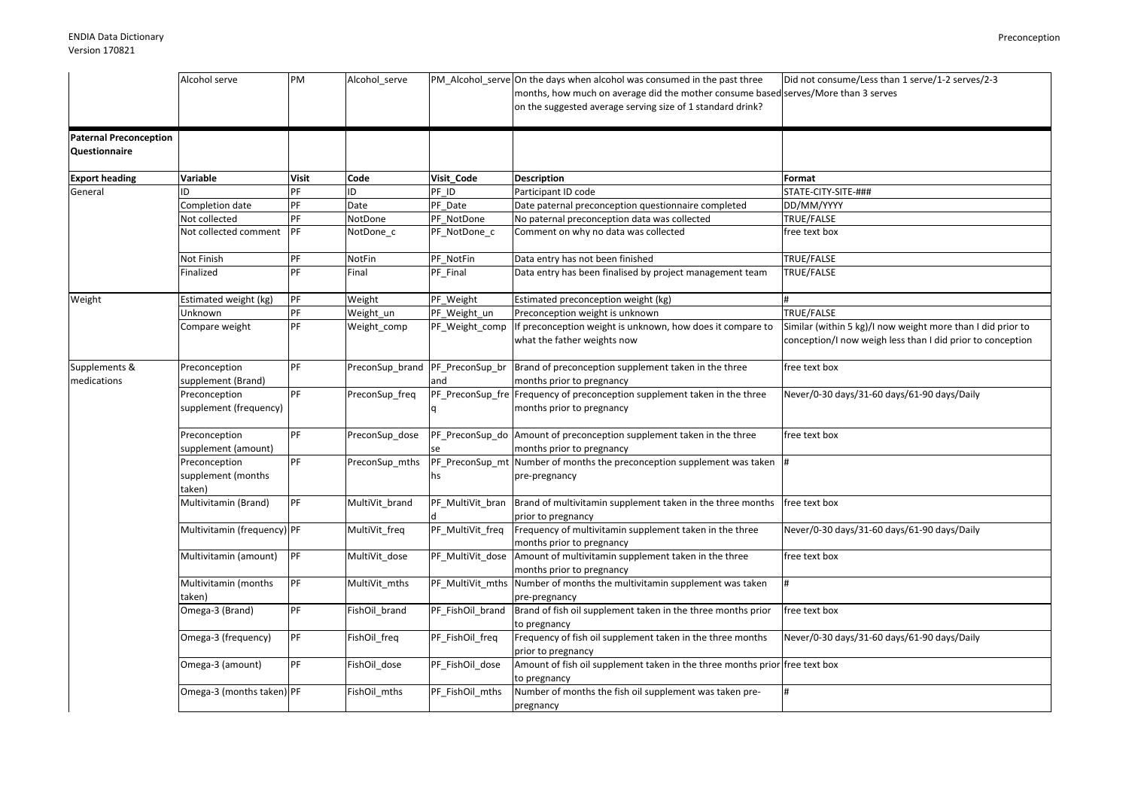|                               | Alcohol serve               | PM           | Alcohol_serve   |                  | PM_Alcohol_serve On the days when alcohol was consumed in the past three           | Did not consume/Less than 1 serve/1-2 serves/2-3            |
|-------------------------------|-----------------------------|--------------|-----------------|------------------|------------------------------------------------------------------------------------|-------------------------------------------------------------|
|                               |                             |              |                 |                  | months, how much on average did the mother consume based serves/More than 3 serves |                                                             |
|                               |                             |              |                 |                  | on the suggested average serving size of 1 standard drink?                         |                                                             |
|                               |                             |              |                 |                  |                                                                                    |                                                             |
| <b>Paternal Preconception</b> |                             |              |                 |                  |                                                                                    |                                                             |
| Questionnaire                 |                             |              |                 |                  |                                                                                    |                                                             |
|                               |                             |              |                 |                  |                                                                                    |                                                             |
| <b>Export heading</b>         | <b>Variable</b>             | <b>Visit</b> | Code            | Visit Code       | <b>Description</b>                                                                 | Format                                                      |
| General                       | ID                          | PF           | ID              | PF ID            | Participant ID code                                                                | STATE-CITY-SITE-###                                         |
|                               | Completion date             | PF           | Date            | PF Date          | Date paternal preconception questionnaire completed                                | DD/MM/YYYY                                                  |
|                               | Not collected               | PF           | NotDone         | PF NotDone       | No paternal preconception data was collected                                       | TRUE/FALSE                                                  |
|                               | Not collected comment       | PF           | NotDone_c       | PF_NotDone_c     | Comment on why no data was collected                                               | free text box                                               |
|                               |                             |              |                 |                  |                                                                                    |                                                             |
|                               | Not Finish                  | PF           | NotFin          | PF NotFin        | Data entry has not been finished                                                   | TRUE/FALSE                                                  |
|                               | Finalized                   | PF           | Final           | PF Final         | Data entry has been finalised by project management team                           | TRUE/FALSE                                                  |
|                               |                             |              |                 |                  |                                                                                    |                                                             |
| Weight                        | Estimated weight (kg)       | PF           | Weight          | PF_Weight        | Estimated preconception weight (kg)                                                |                                                             |
|                               | Unknown                     | PF           | Weight_un       | PF_Weight_un     | Preconception weight is unknown                                                    | TRUE/FALSE                                                  |
|                               | Compare weight              | PF           | Weight comp     | PF_Weight_comp   | If preconception weight is unknown, how does it compare to                         | Similar (within 5 kg)/I now weight more than I did prior to |
|                               |                             |              |                 |                  | what the father weights now                                                        | conception/I now weigh less than I did prior to conception  |
|                               |                             |              |                 |                  |                                                                                    |                                                             |
| Supplements &                 | Preconception               | PF           | PreconSup_brand | PF_PreconSup_br  | Brand of preconception supplement taken in the three                               | free text box                                               |
| medications                   | supplement (Brand)          |              |                 | and              | months prior to pregnancy                                                          |                                                             |
|                               | Preconception               | PF           | PreconSup_freq  |                  | PF PreconSup fre Frequency of preconception supplement taken in the three          | Never/0-30 days/31-60 days/61-90 days/Daily                 |
|                               | supplement (frequency)      |              |                 |                  | months prior to pregnancy                                                          |                                                             |
|                               |                             |              |                 |                  |                                                                                    |                                                             |
|                               | Preconception               | PF           | PreconSup_dose  |                  | PF_PreconSup_do   Amount of preconception supplement taken in the three            | free text box                                               |
|                               | supplement (amount)         |              |                 |                  | months prior to pregnancy                                                          |                                                             |
|                               | Preconception               | PF           | PreconSup_mths  |                  | PF_PreconSup_mt   Number of months the preconception supplement was taken          |                                                             |
|                               | supplement (months          |              |                 | hs               | pre-pregnancy                                                                      |                                                             |
|                               | taken)                      |              |                 |                  |                                                                                    |                                                             |
|                               | Multivitamin (Brand)        | PF           | MultiVit_brand  | PF MultiVit bran | Brand of multivitamin supplement taken in the three months                         | free text box                                               |
|                               |                             |              |                 |                  | prior to pregnancy                                                                 |                                                             |
|                               | Multivitamin (frequency) PF |              | MultiVit_freq   | PF MultiVit freq | Frequency of multivitamin supplement taken in the three                            | Never/0-30 days/31-60 days/61-90 days/Daily                 |
|                               |                             |              |                 |                  | months prior to pregnancy                                                          |                                                             |
|                               | Multivitamin (amount)       | PF           | MultiVit_dose   |                  | PF_MultiVit_dose Amount of multivitamin supplement taken in the three              | free text box                                               |
|                               |                             |              |                 |                  | months prior to pregnancy                                                          |                                                             |
|                               | Multivitamin (months        | PF           | MultiVit mths   |                  | PF MultiVit mths Number of months the multivitamin supplement was taken            | #                                                           |
|                               | taken)                      |              |                 |                  | pre-pregnancy                                                                      |                                                             |
|                               | Omega-3 (Brand)             | PF           | FishOil_brand   | PF_FishOil_brand | Brand of fish oil supplement taken in the three months prior                       | free text box                                               |
|                               |                             |              |                 |                  | to pregnancy                                                                       |                                                             |
|                               | Omega-3 (frequency)         | PF           | FishOil_freq    | PF_FishOil_freq  | Frequency of fish oil supplement taken in the three months                         | Never/0-30 days/31-60 days/61-90 days/Daily                 |
|                               |                             |              |                 |                  | prior to pregnancy                                                                 |                                                             |
|                               | Omega-3 (amount)            | PF           | FishOil_dose    | PF_FishOil_dose  | Amount of fish oil supplement taken in the three months prior free text box        |                                                             |
|                               |                             |              |                 |                  | to pregnancy                                                                       |                                                             |
|                               | Omega-3 (months taken) PF   |              | FishOil mths    | PF_FishOil_mths  | Number of months the fish oil supplement was taken pre-                            | #                                                           |
|                               |                             |              |                 |                  | pregnancy                                                                          |                                                             |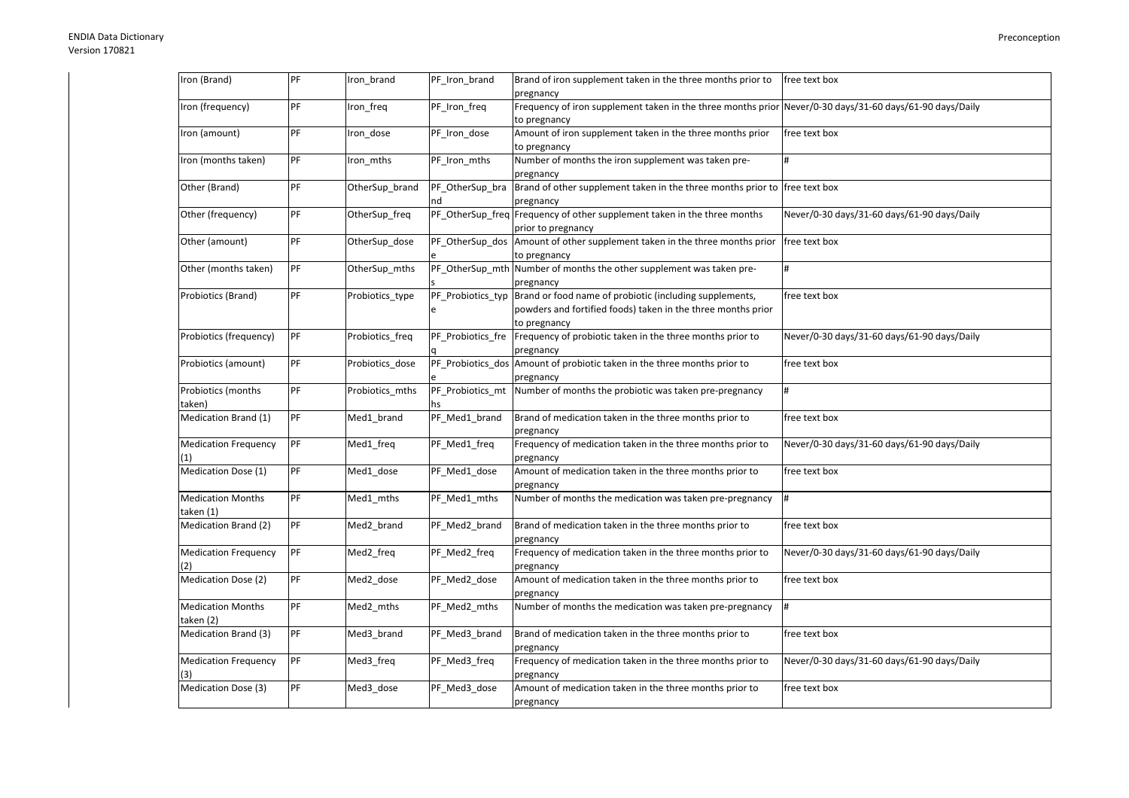| Iron (Brand)                          | PF | Iron brand      | PF_Iron_brand     | Brand of iron supplement taken in the three months prior to<br>pregnancy                                                                | free text box                               |
|---------------------------------------|----|-----------------|-------------------|-----------------------------------------------------------------------------------------------------------------------------------------|---------------------------------------------|
| Iron (frequency)                      | PF | Iron freq       | PF Iron freq      | Frequency of iron supplement taken in the three months prior Never/0-30 days/31-60 days/61-90 days/Daily<br>to pregnancy                |                                             |
| Iron (amount)                         | PF | Iron dose       | PF Iron dose      | Amount of iron supplement taken in the three months prior<br>to pregnancy                                                               | free text box                               |
| Iron (months taken)                   | PF | Iron_mths       | PF_Iron_mths      | Number of months the iron supplement was taken pre-<br>pregnancy                                                                        | #                                           |
| Other (Brand)                         | PF | OtherSup_brand  | PF_OtherSup_bra   | Brand of other supplement taken in the three months prior to free text box<br>pregnancy                                                 |                                             |
| Other (frequency)                     | PF | OtherSup_freq   |                   | PF_OtherSup_freq Frequency of other supplement taken in the three months<br>prior to pregnancy                                          | Never/0-30 days/31-60 days/61-90 days/Daily |
| Other (amount)                        | PF | OtherSup dose   | PF OtherSup dos   | Amount of other supplement taken in the three months prior<br>to pregnancy                                                              | free text box                               |
| Other (months taken)                  | PF | OtherSup_mths   |                   | PF_OtherSup_mth Number of months the other supplement was taken pre-<br>pregnancy                                                       | #                                           |
| Probiotics (Brand)                    | PF | Probiotics_type | PF_Probiotics_typ | Brand or food name of probiotic (including supplements,<br>powders and fortified foods) taken in the three months prior<br>to pregnancy | free text box                               |
| Probiotics (frequency)                | PF | Probiotics_freq | PF_Probiotics_fre | Frequency of probiotic taken in the three months prior to<br>pregnancy                                                                  | Never/0-30 days/31-60 days/61-90 days/Daily |
| Probiotics (amount)                   | PF | Probiotics dose |                   | PF Probiotics dos Amount of probiotic taken in the three months prior to<br>pregnancy                                                   | free text box                               |
| Probiotics (months<br>taken)          | PF | Probiotics mths | PF_Probiotics_mt  | Number of months the probiotic was taken pre-pregnancy                                                                                  | #                                           |
| Medication Brand (1)                  | PF | Med1_brand      | PF_Med1_brand     | Brand of medication taken in the three months prior to<br>pregnancy                                                                     | free text box                               |
| <b>Medication Frequency</b>           | PF | Med1 freq       | PF_Med1_freq      | Frequency of medication taken in the three months prior to<br>pregnancy                                                                 | Never/0-30 days/31-60 days/61-90 days/Daily |
| Medication Dose (1)                   | PF | Med1_dose       | PF_Med1_dose      | Amount of medication taken in the three months prior to<br>pregnancy                                                                    | free text box                               |
| <b>Medication Months</b><br>taken (1) | PF | Med1_mths       | PF_Med1_mths      | Number of months the medication was taken pre-pregnancy                                                                                 | #                                           |
| Medication Brand (2)                  | PF | Med2 brand      | PF_Med2_brand     | Brand of medication taken in the three months prior to<br>pregnancy                                                                     | free text box                               |
| Medication Frequency<br>(2)           | PF | Med2 freq       | PF_Med2_freq      | Frequency of medication taken in the three months prior to<br>pregnancy                                                                 | Never/0-30 days/31-60 days/61-90 days/Daily |
| <b>Medication Dose (2)</b>            | PF | Med2 dose       | PF Med2 dose      | Amount of medication taken in the three months prior to<br>pregnancy                                                                    | free text box                               |
| <b>Medication Months</b><br>taken (2) | PF | Med2_mths       | PF_Med2_mths      | Number of months the medication was taken pre-pregnancy                                                                                 | #                                           |
| Medication Brand (3)                  | PF | Med3 brand      | PF_Med3_brand     | Brand of medication taken in the three months prior to<br>pregnancy                                                                     | free text box                               |
| <b>Medication Frequency</b><br>(3)    | PF | Med3_freq       | PF_Med3_freq      | Frequency of medication taken in the three months prior to<br>pregnancy                                                                 | Never/0-30 days/31-60 days/61-90 days/Daily |
| Medication Dose (3)                   | PF | Med3_dose       | PF_Med3_dose      | Amount of medication taken in the three months prior to<br>pregnancy                                                                    | free text box                               |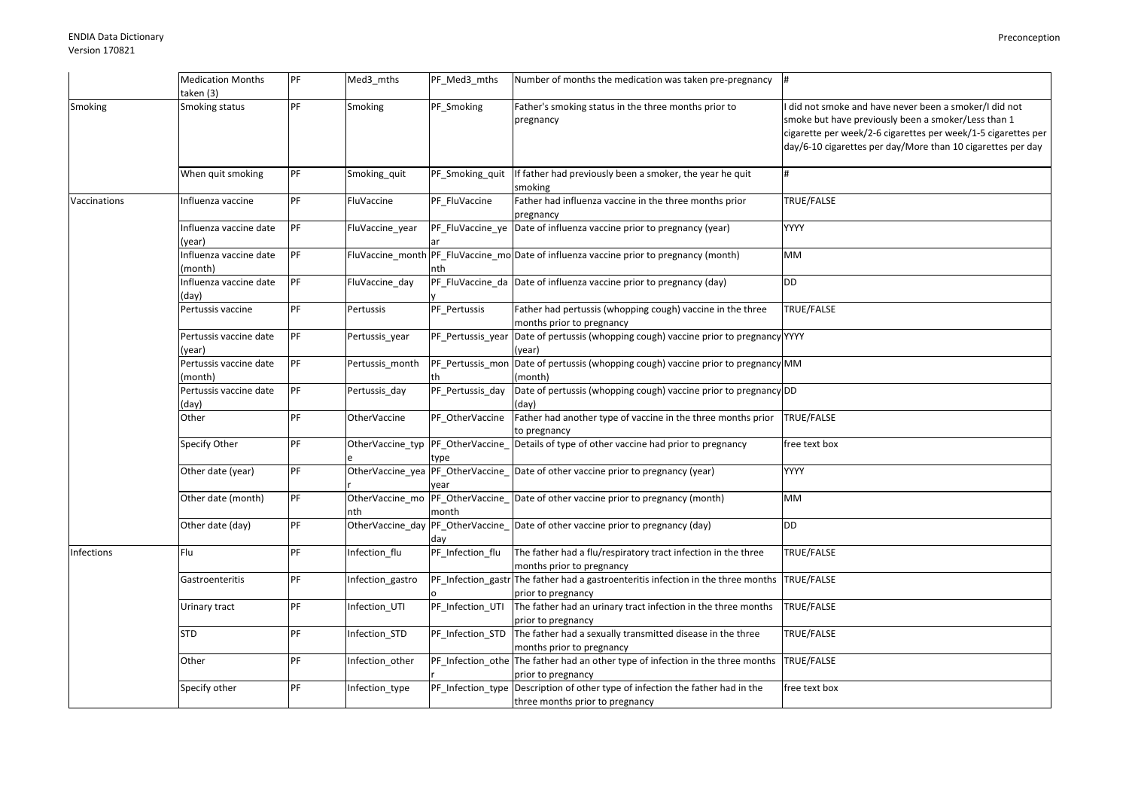|              | <b>Medication Months</b><br>taken (3) | PF | Med3_mths        | PF_Med3_mths      | Number of months the medication was taken pre-pregnancy                                                            |                                                                                                                                                                                                                                             |
|--------------|---------------------------------------|----|------------------|-------------------|--------------------------------------------------------------------------------------------------------------------|---------------------------------------------------------------------------------------------------------------------------------------------------------------------------------------------------------------------------------------------|
| Smoking      | Smoking status                        | PF | Smoking          | PF Smoking        | Father's smoking status in the three months prior to<br>pregnancy                                                  | did not smoke and have never been a smoker/I did not<br>smoke but have previously been a smoker/Less than 1<br>cigarette per week/2-6 cigarettes per week/1-5 cigarettes per<br>day/6-10 cigarettes per day/More than 10 cigarettes per day |
|              | When quit smoking                     | PF | Smoking_quit     | PF_Smoking_quit   | If father had previously been a smoker, the year he quit<br>smoking                                                | #                                                                                                                                                                                                                                           |
| Vaccinations | Influenza vaccine                     | PF | FluVaccine       | PF FluVaccine     | Father had influenza vaccine in the three months prior<br>pregnancy                                                | TRUE/FALSE                                                                                                                                                                                                                                  |
|              | Influenza vaccine date<br>(year)      | PF | FluVaccine_year  |                   | PF_FluVaccine_ye Date of influenza vaccine prior to pregnancy (year)                                               | <b>YYYY</b>                                                                                                                                                                                                                                 |
|              | Influenza vaccine date<br>month)      | PF |                  | nth               | FluVaccine_month PF_FluVaccine_mo Date of influenza vaccine prior to pregnancy (month)                             | <b>MM</b>                                                                                                                                                                                                                                   |
|              | Influenza vaccine date<br>(day)       | PF | FluVaccine_day   |                   | PF FluVaccine da Date of influenza vaccine prior to pregnancy (day)                                                | <b>DD</b>                                                                                                                                                                                                                                   |
|              | Pertussis vaccine                     | PF | Pertussis        | PF Pertussis      | Father had pertussis (whopping cough) vaccine in the three<br>months prior to pregnancy                            | TRUE/FALSE                                                                                                                                                                                                                                  |
|              | Pertussis vaccine date<br>(year)      | PF | Pertussis_year   | PF Pertussis year | Date of pertussis (whopping cough) vaccine prior to pregnancy YYYY<br>(year)                                       |                                                                                                                                                                                                                                             |
|              | Pertussis vaccine date<br>(month)     | PF | Pertussis month  |                   | PF_Pertussis_mon Date of pertussis (whopping cough) vaccine prior to pregnancy MM<br>(month)                       |                                                                                                                                                                                                                                             |
|              | Pertussis vaccine date<br>(day)       | PF | Pertussis_day    | PF Pertussis day  | Date of pertussis (whopping cough) vaccine prior to pregnancy DD<br>(day)                                          |                                                                                                                                                                                                                                             |
|              | Other                                 | PF | OtherVaccine     | PF OtherVaccine   | Father had another type of vaccine in the three months prior<br>to pregnancy                                       | TRUE/FALSE                                                                                                                                                                                                                                  |
|              | Specify Other                         | PF |                  | type              | OtherVaccine_typ PF_OtherVaccine_Details of type of other vaccine had prior to pregnancy                           | free text box                                                                                                                                                                                                                               |
|              | Other date (year)                     | PF |                  | vear              | OtherVaccine_yea PF_OtherVaccine_ Date of other vaccine prior to pregnancy (year)                                  | YYYY                                                                                                                                                                                                                                        |
|              | Other date (month)                    | PF | nth              | month             | OtherVaccine_mo PF_OtherVaccine_ Date of other vaccine prior to pregnancy (month)                                  | МM                                                                                                                                                                                                                                          |
|              | Other date (day)                      | PF |                  | day               | OtherVaccine_day PF_OtherVaccine_ Date of other vaccine prior to pregnancy (day)                                   | <b>DD</b>                                                                                                                                                                                                                                   |
| Infections   | Flu                                   | PF | Infection_flu    | PF_Infection_flu  | The father had a flu/respiratory tract infection in the three<br>months prior to pregnancy                         | TRUE/FALSE                                                                                                                                                                                                                                  |
|              | Gastroenteritis                       | PF | Infection_gastro |                   | PF_Infection_gastr The father had a gastroenteritis infection in the three months TRUE/FALSE<br>prior to pregnancy |                                                                                                                                                                                                                                             |
|              | Urinary tract                         | PF | Infection_UTI    | PF_Infection_UTI  | The father had an urinary tract infection in the three months<br>prior to pregnancy                                | TRUE/FALSE                                                                                                                                                                                                                                  |
|              | STD                                   | PF | Infection_STD    | PF_Infection_STD  | The father had a sexually transmitted disease in the three<br>months prior to pregnancy                            | TRUE/FALSE                                                                                                                                                                                                                                  |
|              | Other                                 | PF | Infection_other  |                   | PF_Infection_othe The father had an other type of infection in the three months<br>prior to pregnancy              | TRUE/FALSE                                                                                                                                                                                                                                  |
|              | Specify other                         | PF | Infection_type   |                   | PF_Infection_type Description of other type of infection the father had in the<br>three months prior to pregnancy  | free text box                                                                                                                                                                                                                               |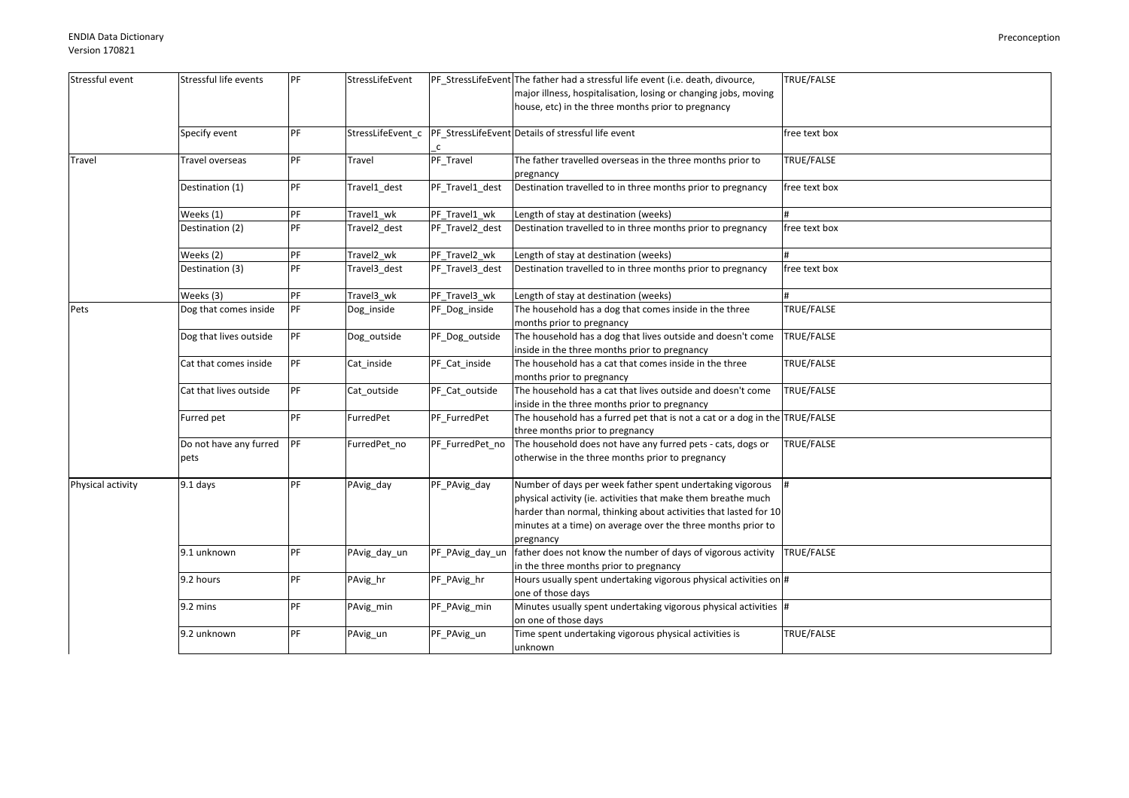| Stressful event   | Stressful life events  | PF | StressLifeEvent        |                 | PF_StressLifeEvent The father had a stressful life event (i.e. death, divource, | TRUE/FALSE        |
|-------------------|------------------------|----|------------------------|-----------------|---------------------------------------------------------------------------------|-------------------|
|                   |                        |    |                        |                 | major illness, hospitalisation, losing or changing jobs, moving                 |                   |
|                   |                        |    |                        |                 | house, etc) in the three months prior to pregnancy                              |                   |
|                   |                        |    |                        |                 |                                                                                 |                   |
|                   | Specify event          | PF | StressLifeEvent c      |                 | PF StressLifeEvent Details of stressful life event                              | free text box     |
|                   |                        |    |                        | $\mathsf{C}$    |                                                                                 |                   |
| <b>Travel</b>     | Travel overseas        | PF | Travel                 | PF_Travel       | The father travelled overseas in the three months prior to                      | TRUE/FALSE        |
|                   |                        |    |                        |                 |                                                                                 |                   |
|                   |                        |    |                        |                 | pregnancy                                                                       |                   |
|                   | Destination (1)        | PF | Travel1 dest           | PF Travel1 dest | Destination travelled to in three months prior to pregnancy                     | free text box     |
|                   |                        |    |                        |                 |                                                                                 |                   |
|                   | Weeks (1)              | PF | Travel1 wk             | PF_Travel1_wk   | Length of stay at destination (weeks)                                           |                   |
|                   | Destination (2)        | PF | Travel2 dest           | PF Travel2 dest | Destination travelled to in three months prior to pregnancy                     | free text box     |
|                   |                        |    |                        |                 |                                                                                 |                   |
|                   | Weeks (2)              | PF | Travel <sub>2_wk</sub> | PF_Travel2_wk   | Length of stay at destination (weeks)                                           |                   |
|                   | Destination (3)        | PF | Travel3 dest           | PF_Travel3_dest | Destination travelled to in three months prior to pregnancy                     | free text box     |
|                   |                        |    |                        |                 |                                                                                 |                   |
|                   | Weeks (3)              | PF | Travel3 wk             | PF_Travel3_wk   | Length of stay at destination (weeks)                                           |                   |
| Pets              | Dog that comes inside  | PF | Dog_inside             | PF_Dog_inside   | The household has a dog that comes inside in the three                          | TRUE/FALSE        |
|                   |                        |    |                        |                 | months prior to pregnancy                                                       |                   |
|                   |                        | PF |                        |                 |                                                                                 |                   |
|                   | Dog that lives outside |    | Dog_outside            | PF_Dog_outside  | The household has a dog that lives outside and doesn't come                     | TRUE/FALSE        |
|                   |                        |    |                        |                 | inside in the three months prior to pregnancy                                   |                   |
|                   | Cat that comes inside  | PF | Cat_inside             | PF_Cat_inside   | The household has a cat that comes inside in the three                          | <b>TRUE/FALSE</b> |
|                   |                        |    |                        |                 | months prior to pregnancy                                                       |                   |
|                   | Cat that lives outside | PF | Cat outside            | PF_Cat_outside  | The household has a cat that lives outside and doesn't come                     | TRUE/FALSE        |
|                   |                        |    |                        |                 | inside in the three months prior to pregnancy                                   |                   |
|                   | Furred pet             | PF | FurredPet              | PF_FurredPet    | The household has a furred pet that is not a cat or a dog in the TRUE/FALSE     |                   |
|                   |                        |    |                        |                 | three months prior to pregnancy                                                 |                   |
|                   | Do not have any furred | PF | FurredPet no           | PF FurredPet no | The household does not have any furred pets - cats, dogs or                     | TRUE/FALSE        |
|                   | pets                   |    |                        |                 | otherwise in the three months prior to pregnancy                                |                   |
|                   |                        |    |                        |                 |                                                                                 |                   |
| Physical activity | 9.1 days               | PF | PAvig_day              | PF_PAvig_day    | Number of days per week father spent undertaking vigorous                       |                   |
|                   |                        |    |                        |                 | physical activity (ie. activities that make them breathe much                   |                   |
|                   |                        |    |                        |                 | harder than normal, thinking about activities that lasted for 10                |                   |
|                   |                        |    |                        |                 |                                                                                 |                   |
|                   |                        |    |                        |                 | minutes at a time) on average over the three months prior to                    |                   |
|                   |                        |    |                        |                 | pregnancy                                                                       |                   |
|                   | 9.1 unknown            | PF | PAvig_day_un           | PF_PAvig_day_un | father does not know the number of days of vigorous activity                    | TRUE/FALSE        |
|                   |                        |    |                        |                 | in the three months prior to pregnancy                                          |                   |
|                   | 9.2 hours              | PF | PAvig_hr               | PF_PAvig_hr     | Hours usually spent undertaking vigorous physical activities on $\#$            |                   |
|                   |                        |    |                        |                 | one of those days                                                               |                   |
|                   | 9.2 mins               | PF | PAvig_min              | PF_PAvig_min    | Minutes usually spent undertaking vigorous physical activities #                |                   |
|                   |                        |    |                        |                 | on one of those days                                                            |                   |
|                   | 9.2 unknown            | PF | PAvig_un               | PF_PAvig_un     | Time spent undertaking vigorous physical activities is                          | TRUE/FALSE        |
|                   |                        |    |                        |                 | unknown                                                                         |                   |
|                   |                        |    |                        |                 |                                                                                 |                   |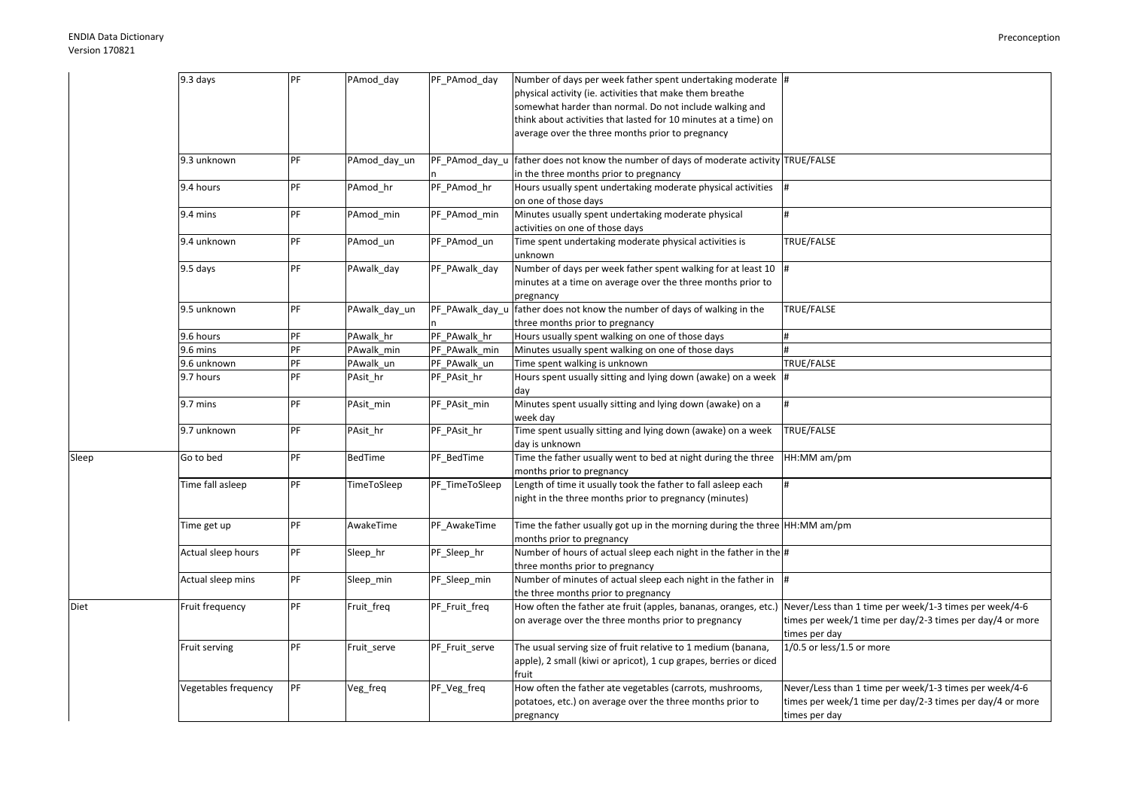Diet

Sleep

| 9.3 days             | PF | PAmod_day     | PF_PAmod_day    | Number of days per week father spent undertaking moderate  #                |                                                           |
|----------------------|----|---------------|-----------------|-----------------------------------------------------------------------------|-----------------------------------------------------------|
|                      |    |               |                 | physical activity (ie. activities that make them breathe                    |                                                           |
|                      |    |               |                 | somewhat harder than normal. Do not include walking and                     |                                                           |
|                      |    |               |                 | think about activities that lasted for 10 minutes at a time) on             |                                                           |
|                      |    |               |                 | average over the three months prior to pregnancy                            |                                                           |
|                      |    |               |                 |                                                                             |                                                           |
| 9.3 unknown          | PF | PAmod_day_un  | PF PAmod day u  | father does not know the number of days of moderate activity TRUE/FALSE     |                                                           |
|                      |    |               |                 | in the three months prior to pregnancy                                      |                                                           |
| 9.4 hours            | PF | PAmod hr      | PF_PAmod_hr     | Hours usually spent undertaking moderate physical activities                |                                                           |
|                      |    |               |                 | on one of those days                                                        |                                                           |
| 9.4 mins             | PF | PAmod min     | PF_PAmod_min    | Minutes usually spent undertaking moderate physical                         |                                                           |
|                      |    |               |                 | activities on one of those days                                             |                                                           |
| 9.4 unknown          | PF | PAmod_un      | PF_PAmod_un     | Time spent undertaking moderate physical activities is                      | TRUE/FALSE                                                |
|                      |    |               |                 | unknown                                                                     |                                                           |
| 9.5 days             | PF | PAwalk_day    | PF_PAwalk_day   | Number of days per week father spent walking for at least 10                |                                                           |
|                      |    |               |                 | minutes at a time on average over the three months prior to                 |                                                           |
|                      |    |               |                 | pregnancy                                                                   |                                                           |
| 9.5 unknown          | PF | PAwalk_day_un | PF_PAwalk_day_u | father does not know the number of days of walking in the                   | TRUE/FALSE                                                |
|                      |    |               |                 | three months prior to pregnancy                                             |                                                           |
| 9.6 hours            | PF | PAwalk_hr     | PF_PAwalk_hr    | Hours usually spent walking on one of those days                            |                                                           |
| 9.6 mins             | PF | PAwalk min    | PF PAwalk min   | Minutes usually spent walking on one of those days                          |                                                           |
| 9.6 unknown          | PF | PAwalk_un     | PF_PAwalk_un    | Time spent walking is unknown                                               | TRUE/FALSE                                                |
| 9.7 hours            | PF | PAsit_hr      | PF_PAsit_hr     | Hours spent usually sitting and lying down (awake) on a week                |                                                           |
|                      |    |               |                 | day                                                                         |                                                           |
| 9.7 mins             | PF | PAsit_min     | PF_PAsit_min    | Minutes spent usually sitting and lying down (awake) on a                   | $\pmb{\text{\tiny{H}}}$                                   |
|                      |    |               |                 | week day                                                                    |                                                           |
| 9.7 unknown          | PF | PAsit_hr      | PF_PAsit_hr     | Time spent usually sitting and lying down (awake) on a week                 | TRUE/FALSE                                                |
|                      |    |               |                 | day is unknown                                                              |                                                           |
| Go to bed            | PF | BedTime       | PF_BedTime      | Time the father usually went to bed at night during the three               | HH:MM am/pm                                               |
|                      |    |               |                 | months prior to pregnancy                                                   |                                                           |
| Time fall asleep     | PF | TimeToSleep   | PF_TimeToSleep  | Length of time it usually took the father to fall asleep each               |                                                           |
|                      |    |               |                 | night in the three months prior to pregnancy (minutes)                      |                                                           |
|                      |    |               |                 |                                                                             |                                                           |
| Time get up          | PF | AwakeTime     | PF_AwakeTime    | Time the father usually got up in the morning during the three HH:MM am/pm  |                                                           |
|                      |    |               |                 | months prior to pregnancy                                                   |                                                           |
| Actual sleep hours   | PF | Sleep_hr      | PF_Sleep_hr     | Number of hours of actual sleep each night in the father in the $\#$        |                                                           |
|                      |    |               |                 | three months prior to pregnancy                                             |                                                           |
| Actual sleep mins    | PF | Sleep_min     | PF_Sleep_min    | Number of minutes of actual sleep each night in the father in $\frac{1}{4}$ |                                                           |
|                      |    |               |                 | the three months prior to pregnancy                                         |                                                           |
| Fruit frequency      | PF | Fruit_freq    | PF_Fruit_freq   | How often the father ate fruit (apples, bananas, oranges, etc.)             | Never/Less than 1 time per week/1-3 times per week/4-6    |
|                      |    |               |                 | on average over the three months prior to pregnancy                         | times per week/1 time per day/2-3 times per day/4 or more |
|                      |    |               |                 |                                                                             | times per day                                             |
| Fruit serving        | PF | Fruit_serve   | PF_Fruit_serve  | The usual serving size of fruit relative to 1 medium (banana,               | 1/0.5 or less/1.5 or more                                 |
|                      |    |               |                 | apple), 2 small (kiwi or apricot), 1 cup grapes, berries or diced           |                                                           |
|                      |    |               |                 | fruit                                                                       |                                                           |
| Vegetables frequency | PF | Veg_freq      | PF_Veg_freq     | How often the father ate vegetables (carrots, mushrooms,                    | Never/Less than 1 time per week/1-3 times per week/4-6    |
|                      |    |               |                 | potatoes, etc.) on average over the three months prior to                   | times per week/1 time per day/2-3 times per day/4 or more |
|                      |    |               |                 | pregnancy                                                                   | times per day                                             |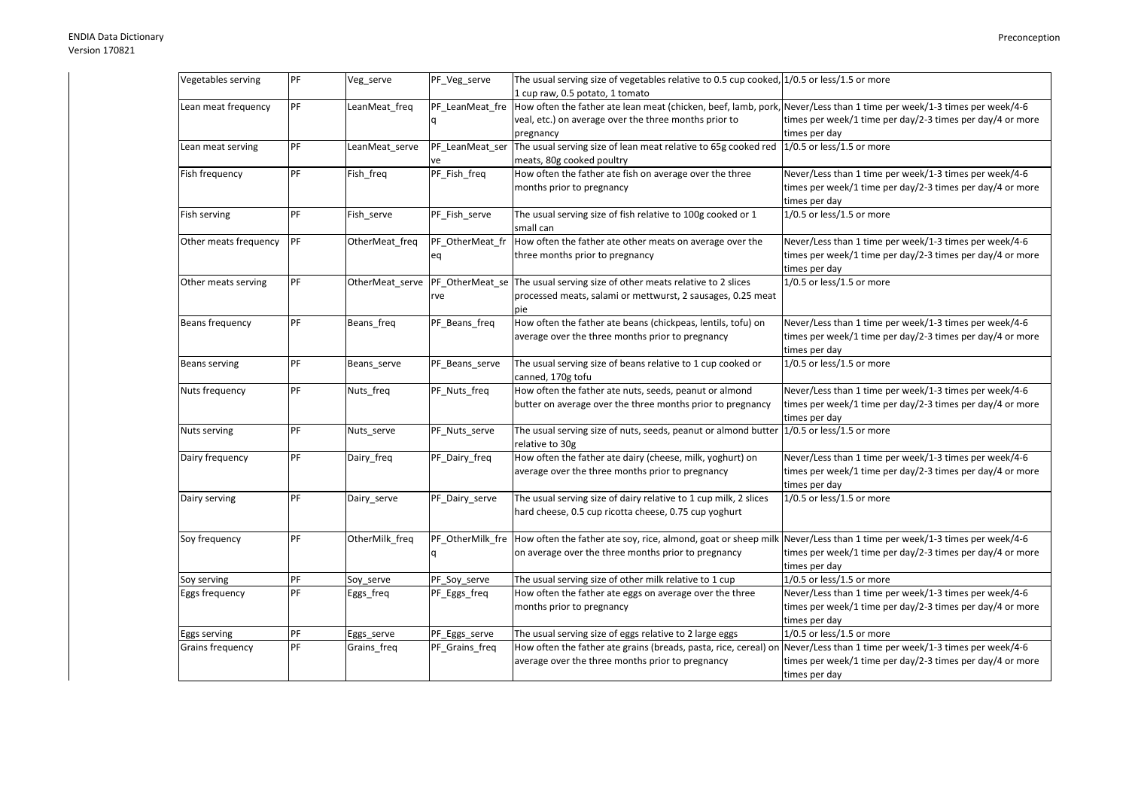| Vegetables serving    | PF | Veg_serve       | PF_Veg_serve     | The usual serving size of vegetables relative to 0.5 cup cooked, $1/0.5$ or less/1.5 or more                          |                                                           |
|-----------------------|----|-----------------|------------------|-----------------------------------------------------------------------------------------------------------------------|-----------------------------------------------------------|
|                       |    |                 |                  | 1 cup raw, 0.5 potato, 1 tomato                                                                                       |                                                           |
| Lean meat frequency   | PF | LeanMeat freq   | PF LeanMeat fre  | How often the father ate lean meat (chicken, beef, lamb, pork, Never/Less than 1 time per week/1-3 times per week/4-6 |                                                           |
|                       |    |                 |                  | veal, etc.) on average over the three months prior to                                                                 | times per week/1 time per day/2-3 times per day/4 or more |
|                       |    |                 |                  | pregnancy                                                                                                             | times per day                                             |
| Lean meat serving     | PF | LeanMeat_serve  | PF_LeanMeat_ser  | The usual serving size of lean meat relative to 65g cooked red 1/0.5 or less/1.5 or more                              |                                                           |
|                       |    |                 | ve               | meats, 80g cooked poultry                                                                                             |                                                           |
| Fish frequency        | PF | Fish freq       | PF Fish freq     | How often the father ate fish on average over the three                                                               | Never/Less than 1 time per week/1-3 times per week/4-6    |
|                       |    |                 |                  | months prior to pregnancy                                                                                             | times per week/1 time per day/2-3 times per day/4 or more |
|                       |    |                 |                  |                                                                                                                       | times per day                                             |
| Fish serving          | PF | Fish serve      | PF Fish serve    | The usual serving size of fish relative to 100g cooked or 1                                                           | $1/0.5$ or less/1.5 or more                               |
|                       |    |                 |                  | small can                                                                                                             |                                                           |
| Other meats frequency | PF | OtherMeat_freq  | PF_OtherMeat_fr  | How often the father ate other meats on average over the                                                              | Never/Less than 1 time per week/1-3 times per week/4-6    |
|                       |    |                 | eq               | three months prior to pregnancy                                                                                       | times per week/1 time per day/2-3 times per day/4 or more |
|                       |    |                 |                  |                                                                                                                       | times per day                                             |
| Other meats serving   | PF | OtherMeat serve |                  | PF OtherMeat se The usual serving size of other meats relative to 2 slices                                            | $1/0.5$ or less/1.5 or more                               |
|                       |    |                 | rve              | processed meats, salami or mettwurst, 2 sausages, 0.25 meat                                                           |                                                           |
|                       |    |                 |                  | pie                                                                                                                   |                                                           |
| Beans frequency       | PF | Beans_freq      | PF_Beans_freq    | How often the father ate beans (chickpeas, lentils, tofu) on                                                          | Never/Less than 1 time per week/1-3 times per week/4-6    |
|                       |    |                 |                  | average over the three months prior to pregnancy                                                                      | times per week/1 time per day/2-3 times per day/4 or more |
|                       |    |                 |                  |                                                                                                                       | times per day                                             |
| <b>Beans serving</b>  | PF | Beans serve     | PF Beans serve   | The usual serving size of beans relative to 1 cup cooked or                                                           | $1/0.5$ or less/1.5 or more                               |
|                       |    |                 |                  | canned, 170g tofu                                                                                                     |                                                           |
| Nuts frequency        | PF | Nuts_freq       | PF_Nuts_freq     | How often the father ate nuts, seeds, peanut or almond                                                                | Never/Less than 1 time per week/1-3 times per week/4-6    |
|                       |    |                 |                  | butter on average over the three months prior to pregnancy                                                            | times per week/1 time per day/2-3 times per day/4 or more |
|                       |    |                 |                  |                                                                                                                       | times per day                                             |
| Nuts serving          | PF | Nuts serve      | PF Nuts serve    | The usual serving size of nuts, seeds, peanut or almond butter                                                        | $1/0.5$ or less/1.5 or more                               |
|                       |    |                 |                  | relative to 30g                                                                                                       |                                                           |
| Dairy frequency       | PF | Dairy_freq      | PF_Dairy_freq    | How often the father ate dairy (cheese, milk, yoghurt) on                                                             | Never/Less than 1 time per week/1-3 times per week/4-6    |
|                       |    |                 |                  | average over the three months prior to pregnancy                                                                      | times per week/1 time per day/2-3 times per day/4 or more |
|                       |    |                 |                  |                                                                                                                       | times per day                                             |
| Dairy serving         | PF | Dairy_serve     | PF_Dairy_serve   | The usual serving size of dairy relative to 1 cup milk, 2 slices                                                      | $1/0.5$ or less/1.5 or more                               |
|                       |    |                 |                  | hard cheese, 0.5 cup ricotta cheese, 0.75 cup yoghurt                                                                 |                                                           |
|                       |    |                 |                  |                                                                                                                       |                                                           |
| Soy frequency         | PF | OtherMilk_freq  | PF_OtherMilk_fre | How often the father ate soy, rice, almond, goat or sheep milk                                                        | Never/Less than 1 time per week/1-3 times per week/4-6    |
|                       |    |                 |                  | on average over the three months prior to pregnancy                                                                   | times per week/1 time per day/2-3 times per day/4 or more |
|                       |    |                 |                  |                                                                                                                       | times per day                                             |
| Soy serving           | PF | Soy_serve       | PF_Soy_serve     | The usual serving size of other milk relative to 1 cup                                                                | $1/0.5$ or less/1.5 or more                               |
| Eggs frequency        | PF | Eggs_freq       | PF_Eggs_freq     | How often the father ate eggs on average over the three                                                               | Never/Less than 1 time per week/1-3 times per week/4-6    |
|                       |    |                 |                  | months prior to pregnancy                                                                                             | times per week/1 time per day/2-3 times per day/4 or more |
|                       |    |                 |                  |                                                                                                                       | times per day                                             |
| Eggs serving          | PF | Eggs_serve      | PF_Eggs_serve    | The usual serving size of eggs relative to 2 large eggs                                                               | $1/0.5$ or less/1.5 or more                               |
| Grains frequency      | PF | Grains_freq     | PF_Grains_freq   | How often the father ate grains (breads, pasta, rice, cereal) on                                                      | Never/Less than 1 time per week/1-3 times per week/4-6    |
|                       |    |                 |                  | average over the three months prior to pregnancy                                                                      | times per week/1 time per day/2-3 times per day/4 or more |
|                       |    |                 |                  |                                                                                                                       | times per day                                             |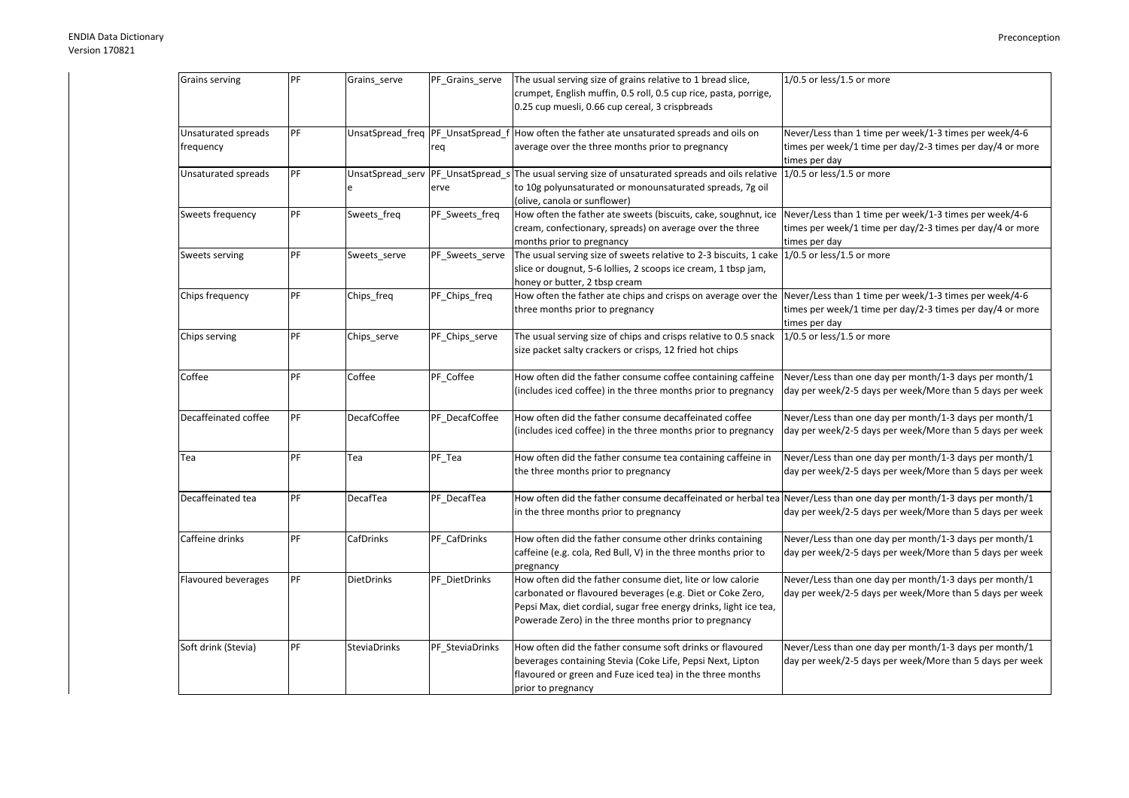| Grains serving                   | PF | Grains_serve        | PF_Grains_serve | The usual serving size of grains relative to 1 bread slice,<br>crumpet, English muffin, 0.5 roll, 0.5 cup rice, pasta, porrige,<br>0.25 cup muesli, 0.66 cup cereal, 3 crispbreads                                                                     | 1/0.5 or less/1.5 or more                                                                                                            |
|----------------------------------|----|---------------------|-----------------|--------------------------------------------------------------------------------------------------------------------------------------------------------------------------------------------------------------------------------------------------------|--------------------------------------------------------------------------------------------------------------------------------------|
| Unsaturated spreads<br>frequency | PF |                     | req             | UnsatSpread_freq PF_UnsatSpread_f How often the father ate unsaturated spreads and oils on<br>average over the three months prior to pregnancy                                                                                                         | Never/Less than 1 time per week/1-3 times per week/4-6<br>times per week/1 time per day/2-3 times per day/4 or more<br>times per day |
| Unsaturated spreads              | PF | UnsatSpread serv    | erve            | PF UnsatSpread s The usual serving size of unsaturated spreads and oils relative<br>to 10g polyunsaturated or monounsaturated spreads, 7g oil<br>(olive, canola or sunflower)                                                                          | 1/0.5 or less/1.5 or more                                                                                                            |
| Sweets frequency                 | PF | Sweets_freq         | PF_Sweets_freq  | How often the father ate sweets (biscuits, cake, soughnut, ice<br>cream, confectionary, spreads) on average over the three<br>months prior to pregnancy                                                                                                | Never/Less than 1 time per week/1-3 times per week/4-6<br>times per week/1 time per day/2-3 times per day/4 or more<br>times per day |
| Sweets serving                   | PF | Sweets_serve        | PF_Sweets_serve | The usual serving size of sweets relative to 2-3 biscuits, 1 cake<br>slice or dougnut, 5-6 lollies, 2 scoops ice cream, 1 tbsp jam,<br>honey or butter, 2 tbsp cream                                                                                   | $1/0.5$ or less/1.5 or more                                                                                                          |
| Chips frequency                  | PF | Chips_freq          | PF_Chips_freq   | How often the father ate chips and crisps on average over the<br>three months prior to pregnancy                                                                                                                                                       | Never/Less than 1 time per week/1-3 times per week/4-6<br>times per week/1 time per day/2-3 times per day/4 or more<br>times per day |
| Chips serving                    | PF | Chips_serve         | PF_Chips_serve  | The usual serving size of chips and crisps relative to 0.5 snack<br>size packet salty crackers or crisps, 12 fried hot chips                                                                                                                           | 1/0.5 or less/1.5 or more                                                                                                            |
| Coffee                           | PF | Coffee              | PF Coffee       | How often did the father consume coffee containing caffeine<br>(includes iced coffee) in the three months prior to pregnancy                                                                                                                           | Never/Less than one day per month/1-3 days per month/1<br>day per week/2-5 days per week/More than 5 days per week                   |
| Decaffeinated coffee             | PF | <b>DecafCoffee</b>  | PF_DecafCoffee  | How often did the father consume decaffeinated coffee<br>(includes iced coffee) in the three months prior to pregnancy                                                                                                                                 | Never/Less than one day per month/1-3 days per month/1<br>day per week/2-5 days per week/More than 5 days per week                   |
| Tea                              | PF | Tea                 | PF_Tea          | How often did the father consume tea containing caffeine in<br>the three months prior to pregnancy                                                                                                                                                     | Never/Less than one day per month/1-3 days per month/1<br>day per week/2-5 days per week/More than 5 days per week                   |
| Decaffeinated tea                | PF | DecafTea            | PF_DecafTea     | How often did the father consume decaffeinated or herbal tea Never/Less than one day per month/1-3 days per month/1<br>in the three months prior to pregnancy                                                                                          | day per week/2-5 days per week/More than 5 days per week                                                                             |
| Caffeine drinks                  | PF | CafDrinks           | PF_CafDrinks    | How often did the father consume other drinks containing<br>caffeine (e.g. cola, Red Bull, V) in the three months prior to<br>pregnancy                                                                                                                | Never/Less than one day per month/1-3 days per month/1<br>day per week/2-5 days per week/More than 5 days per week                   |
| Flavoured beverages              | PF | <b>DietDrinks</b>   | PF_DietDrinks   | How often did the father consume diet, lite or low calorie<br>carbonated or flavoured beverages (e.g. Diet or Coke Zero,<br>Pepsi Max, diet cordial, sugar free energy drinks, light ice tea,<br>Powerade Zero) in the three months prior to pregnancy | Never/Less than one day per month/1-3 days per month/1<br>day per week/2-5 days per week/More than 5 days per week                   |
| Soft drink (Stevia)              | PF | <b>SteviaDrinks</b> | PF SteviaDrinks | How often did the father consume soft drinks or flavoured<br>beverages containing Stevia (Coke Life, Pepsi Next, Lipton<br>flavoured or green and Fuze iced tea) in the three months<br>prior to pregnancy                                             | Never/Less than one day per month/1-3 days per month/1<br>day per week/2-5 days per week/More than 5 days per week                   |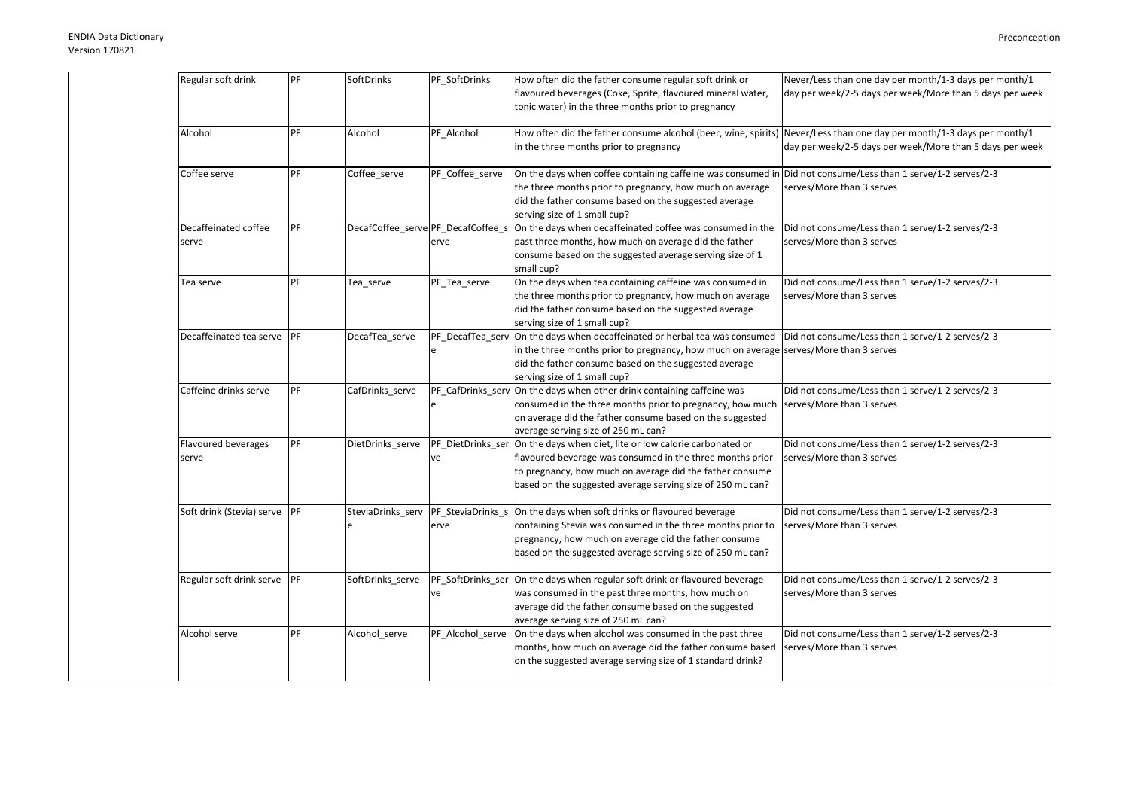| Regular soft drink            | PF         | SoftDrinks        | PF SoftDrinks           | How often did the father consume regular soft drink or<br>flavoured beverages (Coke, Sprite, flavoured mineral water,<br>tonic water) in the three months prior to pregnancy                                                                                      | Never/Less than one day per month/1-3 days per month/1<br>day per week/2-5 days per week/More than 5 days per week |
|-------------------------------|------------|-------------------|-------------------------|-------------------------------------------------------------------------------------------------------------------------------------------------------------------------------------------------------------------------------------------------------------------|--------------------------------------------------------------------------------------------------------------------|
| Alcohol                       | PF         | Alcohol           | PF Alcohol              | How often did the father consume alcohol (beer, wine, spirits) Never/Less than one day per month/1-3 days per month/1<br>in the three months prior to pregnancy                                                                                                   | day per week/2-5 days per week/More than 5 days per week                                                           |
| Coffee serve                  | PF         | Coffee serve      | PF Coffee serve         | On the days when coffee containing caffeine was consumed in Did not consume/Less than 1 serve/1-2 serves/2-3<br>the three months prior to pregnancy, how much on average<br>did the father consume based on the suggested average<br>serving size of 1 small cup? | serves/More than 3 serves                                                                                          |
| Decaffeinated coffee<br>serve | PF         |                   | erve                    | DecafCoffee_serve PF_DecafCoffee_s On the days when decaffeinated coffee was consumed in the<br>past three months, how much on average did the father<br>consume based on the suggested average serving size of 1<br>small cup?                                   | Did not consume/Less than 1 serve/1-2 serves/2-3<br>serves/More than 3 serves                                      |
| Tea serve                     | PF         | Tea_serve         | PF Tea serve            | On the days when tea containing caffeine was consumed in<br>the three months prior to pregnancy, how much on average<br>did the father consume based on the suggested average<br>serving size of 1 small cup?                                                     | Did not consume/Less than 1 serve/1-2 serves/2-3<br>serves/More than 3 serves                                      |
| Decaffeinated tea serve       | PF         | DecafTea serve    | e                       | PF_DecafTea_serv On the days when decaffeinated or herbal tea was consumed<br>in the three months prior to pregnancy, how much on average serves/More than 3 serves<br>did the father consume based on the suggested average<br>serving size of 1 small cup?      | Did not consume/Less than 1 serve/1-2 serves/2-3                                                                   |
| Caffeine drinks serve         | PF         | CafDrinks_serve   | e                       | PF_CafDrinks_serv On the days when other drink containing caffeine was<br>consumed in the three months prior to pregnancy, how much<br>on average did the father consume based on the suggested<br>average serving size of 250 mL can?                            | Did not consume/Less than 1 serve/1-2 serves/2-3<br>serves/More than 3 serves                                      |
| Flavoured beverages<br>serve  | PF         | DietDrinks serve  | PF DietDrinks ser<br>ve | On the days when diet, lite or low calorie carbonated or<br>flavoured beverage was consumed in the three months prior<br>to pregnancy, how much on average did the father consume<br>based on the suggested average serving size of 250 mL can?                   | Did not consume/Less than 1 serve/1-2 serves/2-3<br>serves/More than 3 serves                                      |
| Soft drink (Stevia) serve     | <b>IPF</b> | SteviaDrinks_serv | erve                    | PF_SteviaDrinks_s On the days when soft drinks or flavoured beverage<br>containing Stevia was consumed in the three months prior to<br>pregnancy, how much on average did the father consume<br>based on the suggested average serving size of 250 mL can?        | Did not consume/Less than 1 serve/1-2 serves/2-3<br>serves/More than 3 serves                                      |
| Regular soft drink serve      | PF         | SoftDrinks_serve  | ve                      | PF SoftDrinks ser On the days when regular soft drink or flavoured beverage<br>was consumed in the past three months, how much on<br>average did the father consume based on the suggested<br>average serving size of 250 mL can?                                 | Did not consume/Less than 1 serve/1-2 serves/2-3<br>serves/More than 3 serves                                      |
| Alcohol serve                 | PF         | Alcohol_serve     | PF_Alcohol_serve        | On the days when alcohol was consumed in the past three<br>months, how much on average did the father consume based<br>on the suggested average serving size of 1 standard drink?                                                                                 | Did not consume/Less than 1 serve/1-2 serves/2-3<br>serves/More than 3 serves                                      |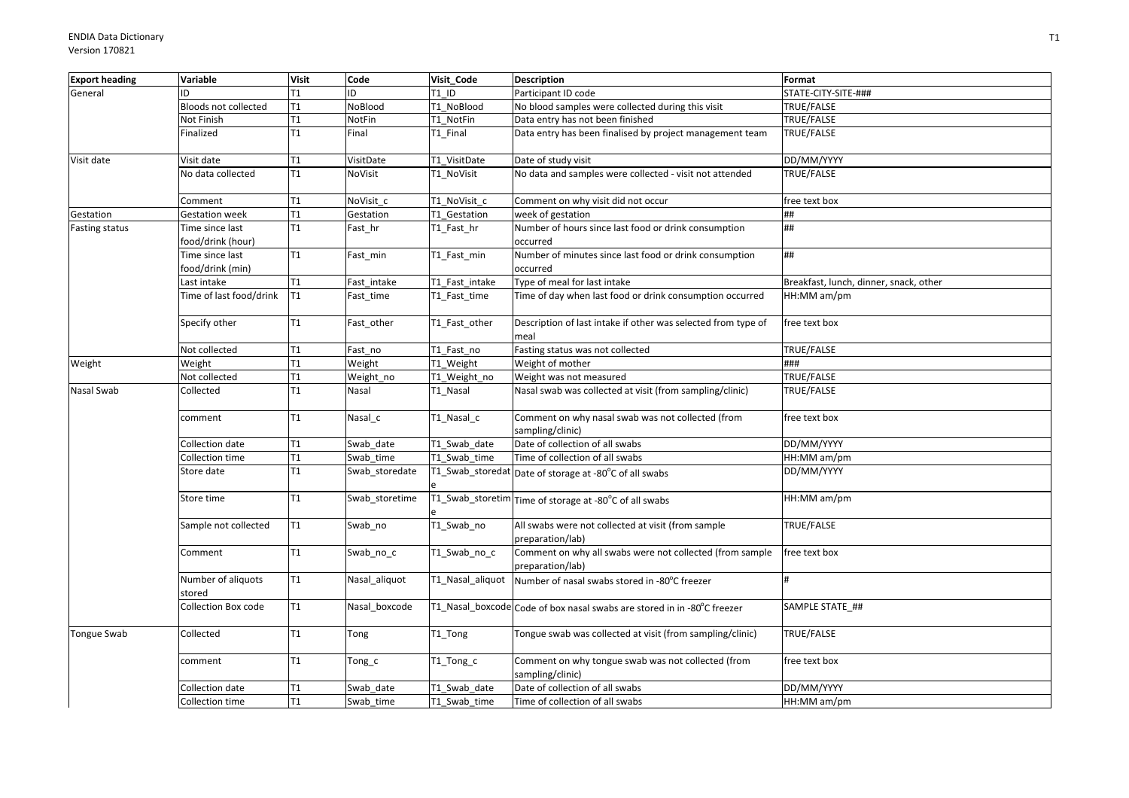| <b>Export heading</b> | Variable                             | <b>Visit</b>   | Code           | Visit Code       | <b>Description</b>                                                           | Format                                 |
|-----------------------|--------------------------------------|----------------|----------------|------------------|------------------------------------------------------------------------------|----------------------------------------|
| General               | ID                                   | T <sub>1</sub> | ID             | T1 ID            | Participant ID code                                                          | STATE-CITY-SITE-###                    |
|                       | Bloods not collected                 | T1             | NoBlood        | T1 NoBlood       | No blood samples were collected during this visit                            | TRUE/FALSE                             |
|                       | Not Finish                           | T1             | NotFin         | T1 NotFin        | Data entry has not been finished                                             | TRUE/FALSE                             |
|                       | Finalized                            | T1             | Final          | T1 Final         | Data entry has been finalised by project management team                     | TRUE/FALSE                             |
| Visit date            | Visit date                           | T1             | VisitDate      | T1 VisitDate     | Date of study visit                                                          | DD/MM/YYYY                             |
|                       | No data collected                    | T1             | NoVisit        | T1_NoVisit       | No data and samples were collected - visit not attended                      | TRUE/FALSE                             |
|                       | Comment                              | T1             | NoVisit_c      | T1_NoVisit_c     | Comment on why visit did not occur                                           | free text box                          |
| Gestation             | <b>Gestation week</b>                | T1             | Gestation      | T1 Gestation     | week of gestation                                                            | ##                                     |
| Fasting status        | Time since last<br>food/drink (hour) | T1             | Fast_hr        | T1_Fast_hr       | Number of hours since last food or drink consumption<br>occurred             | ##                                     |
|                       | Time since last<br>food/drink (min)  | T1             | Fast_min       | T1_Fast_min      | Number of minutes since last food or drink consumption<br>occurred           | ##                                     |
|                       | Last intake                          | T1             | Fast intake    | T1 Fast intake   | Type of meal for last intake                                                 | Breakfast, lunch, dinner, snack, other |
|                       | Time of last food/drink              | IT1            | Fast_time      | T1 Fast time     | Time of day when last food or drink consumption occurred                     | HH:MM am/pm                            |
|                       | Specify other                        | T1             | Fast_other     | T1 Fast other    | Description of last intake if other was selected from type of<br>meal        | free text box                          |
|                       | Not collected                        | T1             | Fast_no        | T1 Fast no       | Fasting status was not collected                                             | TRUE/FALSE                             |
| Weight                | Weight                               | T1             | Weight         | T1 Weight        | Weight of mother                                                             | ###                                    |
|                       | Not collected                        | T1             | Weight no      | T1 Weight no     | Weight was not measured                                                      | TRUE/FALSE                             |
| Nasal Swab            | Collected                            | T1             | Nasal          | T1_Nasal         | Nasal swab was collected at visit (from sampling/clinic)                     | TRUE/FALSE                             |
|                       | comment                              | T1             | Nasal_c        | T1_Nasal_c       | Comment on why nasal swab was not collected (from<br>sampling/clinic)        | free text box                          |
|                       | Collection date                      | T1             | Swab date      | T1 Swab date     | Date of collection of all swabs                                              | DD/MM/YYYY                             |
|                       | Collection time                      | T1             | Swab_time      | T1 Swab time     | Time of collection of all swabs                                              | HH:MM am/pm                            |
|                       | Store date                           | T1             | Swab_storedate |                  | T1_Swab_storedat Date of storage at -80°C of all swabs                       | DD/MM/YYYY                             |
|                       | Store time                           | T1             | Swab storetime |                  | T1_Swab_storetim Time of storage at -80°C of all swabs                       | HH:MM am/pm                            |
|                       | Sample not collected                 | T1             | Swab_no        | T1_Swab_no       | All swabs were not collected at visit (from sample<br>preparation/lab)       | TRUE/FALSE                             |
|                       | Comment                              | T1             | Swab_no_c      | T1_Swab_no_c     | Comment on why all swabs were not collected (from sample<br>preparation/lab) | free text box                          |
|                       | Number of aliquots<br>stored         | T1             | Nasal_aliquot  | T1_Nasal_aliquot | Number of nasal swabs stored in -80°C freezer                                |                                        |
|                       | Collection Box code                  | T1             | Nasal boxcode  |                  | T1_Nasal_boxcode Code of box nasal swabs are stored in in -80°C freezer      | SAMPLE STATE ##                        |
| <b>Tongue Swab</b>    | Collected                            | T1             | Tong           | T1_Tong          | Tongue swab was collected at visit (from sampling/clinic)                    | TRUE/FALSE                             |
|                       | comment                              | T1             | Tong_c         | T1_Tong_c        | Comment on why tongue swab was not collected (from<br>sampling/clinic)       | free text box                          |
|                       | Collection date                      | T1             | Swab date      | T1 Swab date     | Date of collection of all swabs                                              | DD/MM/YYYY                             |
|                       | Collection time                      | T1             | Swab time      | T1 Swab time     | Time of collection of all swabs                                              | HH:MM am/pm                            |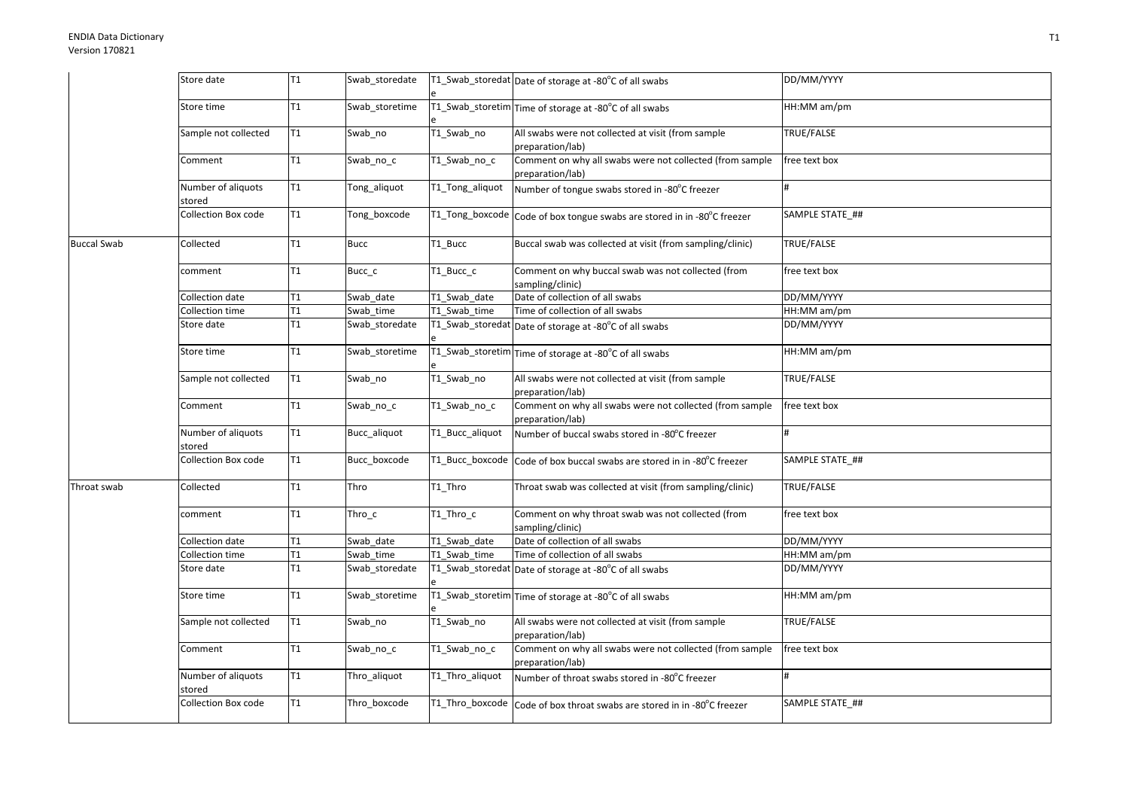|                    | Store date                   | T <sub>1</sub>  | Swab_storedate   |                 | T1_Swab_storedat Date of storage at -80°C of all swabs                       | DD/MM/YYYY        |
|--------------------|------------------------------|-----------------|------------------|-----------------|------------------------------------------------------------------------------|-------------------|
|                    | Store time                   | T1              | Swab_storetime   |                 | T1_Swab_storetim Time of storage at -80°C of all swabs                       | HH:MM am/pm       |
|                    | Sample not collected         | T <sub>1</sub>  | Swab_no          | T1_Swab_no      | All swabs were not collected at visit (from sample<br>preparation/lab)       | TRUE/FALSE        |
|                    | Comment                      | T1              | Swab_no_c        | T1_Swab_no_c    | Comment on why all swabs were not collected (from sample<br>preparation/lab) | free text box     |
|                    | Number of aliquots<br>stored | T1              | Tong_aliquot     | T1_Tong_aliquot | Number of tongue swabs stored in -80°C freezer                               |                   |
|                    | <b>Collection Box code</b>   | T1              | Tong boxcode     |                 | T1_Tong_boxcode Code of box tongue swabs are stored in in -80°C freezer      | SAMPLE STATE ##   |
| <b>Buccal Swab</b> | Collected                    | T1              | Bucc             | T1_Bucc         | Buccal swab was collected at visit (from sampling/clinic)                    | TRUE/FALSE        |
|                    | comment                      | T <sub>1</sub>  | Bucc_c           | T1_Bucc_c       | Comment on why buccal swab was not collected (from<br>sampling/clinic)       | free text box     |
|                    | Collection date              | T1              | Swab date        | T1 Swab date    | Date of collection of all swabs                                              | DD/MM/YYYY        |
|                    | Collection time              | T1              | Swab time        | T1 Swab time    | Time of collection of all swabs                                              | HH:MM am/pm       |
|                    | Store date                   | T1              | Swab_storedate   |                 | T1_Swab_storedat Date of storage at -80°C of all swabs                       | DD/MM/YYYY        |
|                    | Store time                   | T1              | Swab storetime   |                 | T1_Swab_storetim Time of storage at -80°C of all swabs                       | HH:MM am/pm       |
|                    | Sample not collected         | T1              | Swab_no          | T1_Swab_no      | All swabs were not collected at visit (from sample<br>preparation/lab)       | TRUE/FALSE        |
|                    | Comment                      | T <sub>1</sub>  | Swab_no_c        | T1_Swab_no_c    | Comment on why all swabs were not collected (from sample<br>preparation/lab) | free text box     |
|                    | Number of aliquots<br>stored | T1              | Bucc_aliquot     | T1_Bucc_aliquot | Number of buccal swabs stored in -80°C freezer                               |                   |
|                    | Collection Box code          | T1              | Bucc_boxcode     | T1_Bucc_boxcode | Code of box buccal swabs are stored in in -80°C freezer                      | SAMPLE STATE_##   |
| Throat swab        | Collected                    | T1              | Thro             | T1 Thro         | Throat swab was collected at visit (from sampling/clinic)                    | <b>TRUE/FALSE</b> |
|                    | comment                      | T1              | Thro $\_$ c $\,$ | T1 Thro c       | Comment on why throat swab was not collected (from<br>sampling/clinic)       | free text box     |
|                    | Collection date              | $\overline{11}$ | Swab date        | T1 Swab date    | Date of collection of all swabs                                              | DD/MM/YYYY        |
|                    | Collection time              | T1              | Swab time        | T1 Swab time    | Time of collection of all swabs                                              | HH:MM am/pm       |
|                    | Store date                   | T1              | Swab_storedate   |                 | T1_Swab_storedat Date of storage at -80°C of all swabs                       | DD/MM/YYYY        |
|                    | Store time                   | T1              | Swab storetime   |                 | $\overline{11\_Swab\_storetim} $ Time of storage at -80°C of all swabs       | HH:MM am/pm       |
|                    | Sample not collected         | T <sub>1</sub>  | Swab_no          | T1_Swab_no      | All swabs were not collected at visit (from sample<br>preparation/lab)       | TRUE/FALSE        |
|                    | Comment                      | T1              | Swab_no_c        | T1_Swab_no_c    | Comment on why all swabs were not collected (from sample<br>preparation/lab) | free text box     |
|                    | Number of aliquots<br>stored | T1              | Thro_aliquot     | T1_Thro_aliquot | Number of throat swabs stored in -80°C freezer                               |                   |
|                    | Collection Box code          | T1              | Thro_boxcode     |                 | T1_Thro_boxcode Code of box throat swabs are stored in in -80°C freezer      | SAMPLE STATE ##   |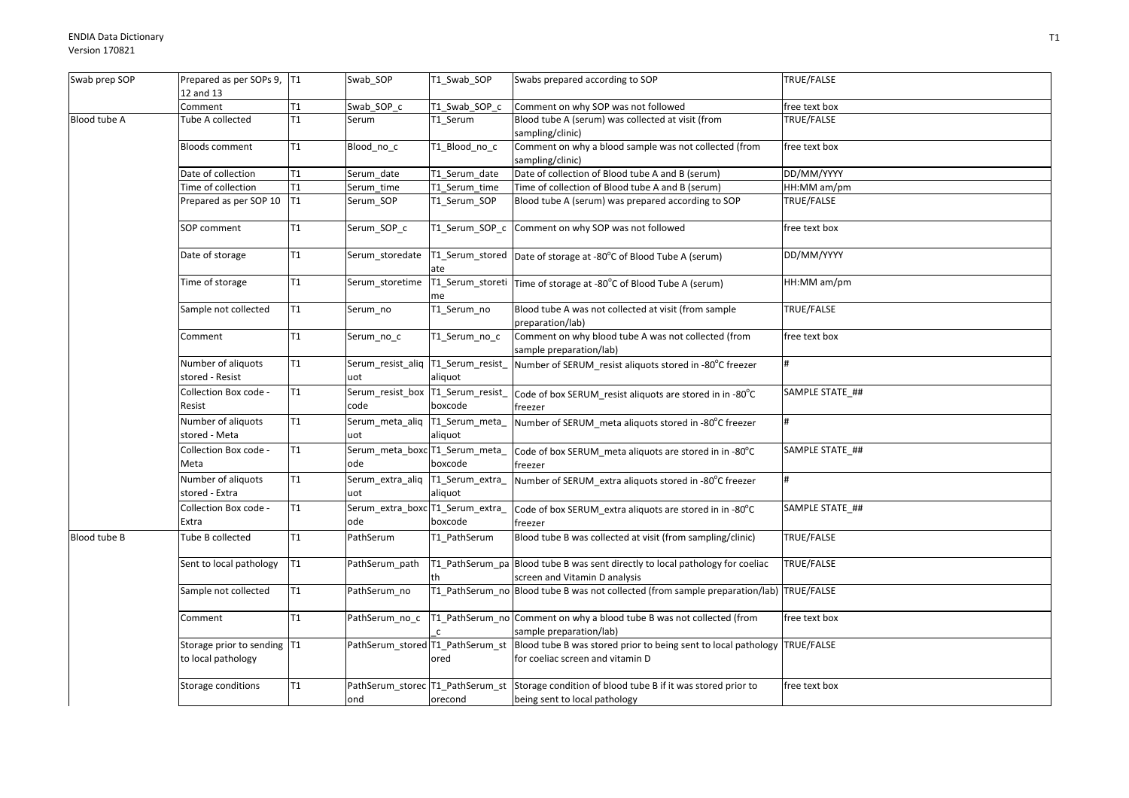| Swab prep SOP | Prepared as per SOPs 9, T1<br>12 and 13           |                 | Swab_SOP                                   | T1 Swab SOP               | Swabs prepared according to SOP                                                                                                     | TRUE/FALSE        |
|---------------|---------------------------------------------------|-----------------|--------------------------------------------|---------------------------|-------------------------------------------------------------------------------------------------------------------------------------|-------------------|
|               | Comment                                           | T1              | Swab SOP c                                 | T1 Swab SOP c             | Comment on why SOP was not followed                                                                                                 | free text box     |
| Blood tube A  | Tube A collected                                  | $\overline{11}$ | Serum                                      | T1 Serum                  | Blood tube A (serum) was collected at visit (from<br>sampling/clinic)                                                               | <b>TRUE/FALSE</b> |
|               | <b>Bloods comment</b>                             | T1              | Blood_no_c                                 | T1_Blood_no_c             | Comment on why a blood sample was not collected (from<br>sampling/clinic)                                                           | free text box     |
|               | Date of collection                                | T1              | Serum date                                 | T1 Serum date             | Date of collection of Blood tube A and B (serum)                                                                                    | DD/MM/YYYY        |
|               | Time of collection                                | T1              | Serum time                                 | T1 Serum time             | Time of collection of Blood tube A and B (serum)                                                                                    | HH:MM am/pm       |
|               | Prepared as per SOP 10                            | T1              | Serum_SOP                                  | T1_Serum_SOP              | Blood tube A (serum) was prepared according to SOP                                                                                  | TRUE/FALSE        |
|               | SOP comment                                       | T1              | Serum SOP c                                | T1 Serum SOP c            | Comment on why SOP was not followed                                                                                                 | free text box     |
|               | Date of storage                                   | T1              | Serum_storedate                            | ate                       | T1_Serum_stored   Date of storage at -80°C of Blood Tube A (serum)                                                                  | DD/MM/YYYY        |
|               | Time of storage                                   | T1              | Serum_storetime                            | me                        | T1_Serum_storeti   Time of storage at -80°C of Blood Tube A (serum)                                                                 | HH:MM am/pm       |
|               | Sample not collected                              | T1              | Serum_no                                   | T1_Serum_no               | Blood tube A was not collected at visit (from sample<br>preparation/lab)                                                            | TRUE/FALSE        |
|               | Comment                                           | T1              | Serum_no_c                                 | T1_Serum_no_c             | Comment on why blood tube A was not collected (from<br>sample preparation/lab)                                                      | free text box     |
|               | Number of aliquots<br>stored - Resist             | T1              | Serum_resist_aliq  T1_Serum_resist_<br>uot | aliquot                   | Number of SERUM_resist aliquots stored in -80°C freezer                                                                             |                   |
|               | Collection Box code -<br>Resist                   | T1              | Serum_resist_box T1_Serum_resist_<br>code  | boxcode                   | Code of box SERUM_resist aliquots are stored in in -80 $^{\circ}$ C<br>freezer                                                      | SAMPLE STATE ##   |
|               | Number of aliquots<br>stored - Meta               | T1              | Serum_meta_aliq<br>uot                     | T1_Serum_meta_<br>aliquot | Number of SERUM_meta aliquots stored in -80°C freezer                                                                               | #                 |
|               | Collection Box code -<br>Meta                     | T1              | Serum_meta_boxc T1_Serum_meta_<br>ode      | boxcode                   | Code of box SERUM_meta aliquots are stored in in -80°C<br>freezer                                                                   | SAMPLE STATE ##   |
|               | Number of aliquots<br>stored - Extra              | T1              | Serum_extra_aliq  T1_Serum_extra_<br>uot   | aliquot                   | Number of SERUM_extra aliquots stored in -80°C freezer                                                                              |                   |
|               | Collection Box code -<br>Extra                    | T1              | Serum_extra_boxc T1_Serum_extra_<br>ode    | boxcode                   | Code of box SERUM_extra aliquots are stored in in -80°C<br>freezer                                                                  | SAMPLE STATE ##   |
| Blood tube B  | Tube B collected                                  | T1              | PathSerum                                  | T1_PathSerum              | Blood tube B was collected at visit (from sampling/clinic)                                                                          | TRUE/FALSE        |
|               | Sent to local pathology                           | T1              | PathSerum_path                             | th                        | T1_PathSerum_pa Blood tube B was sent directly to local pathology for coeliac<br>screen and Vitamin D analysis                      | TRUE/FALSE        |
|               | Sample not collected                              | T1              | PathSerum no                               |                           | T1_PathSerum_no Blood tube B was not collected (from sample preparation/lab) TRUE/FALSE                                             |                   |
|               | Comment                                           | T1              | PathSerum no c                             |                           | T1_PathSerum_no Comment on why a blood tube B was not collected (from<br>sample preparation/lab)                                    | free text box     |
|               | Storage prior to sending T1<br>to local pathology |                 |                                            | ored                      | PathSerum_stored T1_PathSerum_st Blood tube B was stored prior to being sent to local pathology<br>for coeliac screen and vitamin D | TRUE/FALSE        |
|               | Storage conditions                                | T1              | ond                                        | orecond                   | PathSerum_storec   T1_PathSerum_st   Storage condition of blood tube B if it was stored prior to<br>being sent to local pathology   | free text box     |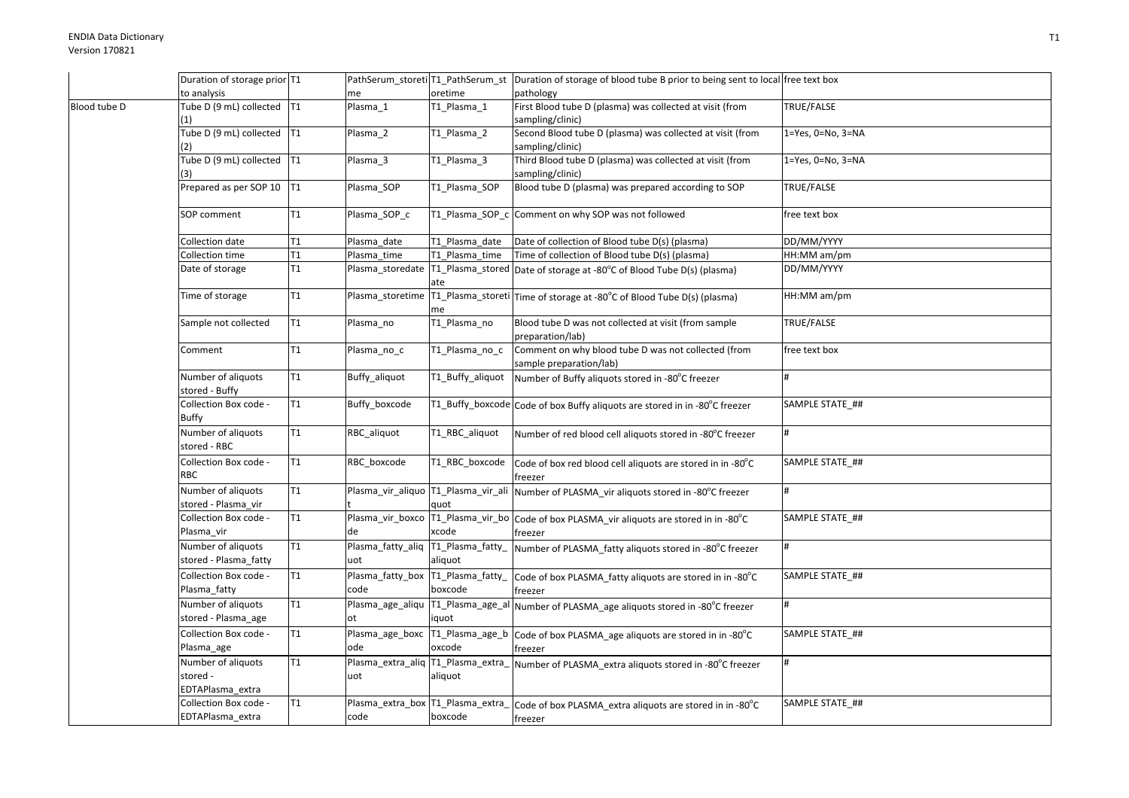|              | Duration of storage prior T1                                  |    |                                           |                  | PathSerum_storeti T1_PathSerum_st Duration of storage of blood tube B prior to being sent to local free text box |                   |
|--------------|---------------------------------------------------------------|----|-------------------------------------------|------------------|------------------------------------------------------------------------------------------------------------------|-------------------|
|              |                                                               |    |                                           |                  |                                                                                                                  |                   |
|              | to analysis                                                   |    | me                                        | oretime          | pathology                                                                                                        |                   |
| Blood tube D | Tube D (9 mL) collected T1<br>(1)                             |    | Plasma 1                                  | T1_Plasma_1      | First Blood tube D (plasma) was collected at visit (from<br>sampling/clinic)                                     | TRUE/FALSE        |
|              | Tube D (9 mL) collected T1                                    |    | Plasma_2                                  | T1_Plasma_2      | Second Blood tube D (plasma) was collected at visit (from                                                        | 1=Yes, 0=No, 3=NA |
|              | (2)                                                           |    |                                           |                  | sampling/clinic)                                                                                                 |                   |
|              | Tube D (9 mL) collected T1                                    |    | Plasma_3                                  | T1 Plasma 3      | Third Blood tube D (plasma) was collected at visit (from                                                         | 1=Yes, 0=No, 3=NA |
|              |                                                               |    |                                           |                  | sampling/clinic)                                                                                                 |                   |
|              | Prepared as per SOP 10   T1                                   |    | Plasma SOP                                | T1 Plasma SOP    | Blood tube D (plasma) was prepared according to SOP                                                              | TRUE/FALSE        |
|              | SOP comment                                                   | T1 | Plasma_SOP_c                              |                  | T1_Plasma_SOP_c Comment on why SOP was not followed                                                              | free text box     |
|              | Collection date                                               | T1 | Plasma date                               | T1 Plasma date   | Date of collection of Blood tube D(s) (plasma)                                                                   | DD/MM/YYYY        |
|              | Collection time                                               | T1 | Plasma_time                               | T1_Plasma_time   | Time of collection of Blood tube D(s) (plasma)                                                                   | HH:MM am/pm       |
|              | Date of storage                                               | T1 |                                           |                  | Plasma_storedate   T1_Plasma_stored   Date of storage at -80°C of Blood Tube D(s) (plasma)                       | DD/MM/YYYY        |
|              |                                                               |    |                                           | ate              |                                                                                                                  |                   |
|              | Time of storage                                               | T1 |                                           | me               | Plasma_storetime   T1_Plasma_storeti   Time of storage at -80°C of Blood Tube D(s) (plasma)                      | HH:MM am/pm       |
|              | Sample not collected                                          | T1 | Plasma_no                                 | T1_Plasma_no     | Blood tube D was not collected at visit (from sample<br>preparation/lab)                                         | TRUE/FALSE        |
|              | Comment                                                       | T1 | Plasma_no_c                               | T1_Plasma_no_c   | Comment on why blood tube D was not collected (from<br>sample preparation/lab)                                   | free text box     |
|              | Number of aliquots<br>stored - Buffy                          | T1 | Buffy_aliquot                             | T1_Buffy_aliquot | Number of Buffy aliquots stored in -80°C freezer                                                                 | #                 |
|              | Collection Box code -<br>Buffy                                | T1 | Buffy boxcode                             |                  | T1_Buffy_boxcode Code of box Buffy aliquots are stored in in -80°C freezer                                       | SAMPLE STATE ##   |
|              | Number of aliquots<br>stored - RBC                            | T1 | RBC_aliquot                               | T1_RBC_aliquot   | Number of red blood cell aliquots stored in -80°C freezer                                                        | #                 |
|              | Collection Box code -<br>RBC                                  | T1 | RBC boxcode                               | T1 RBC boxcode   | Code of box red blood cell aliquots are stored in in -80°C<br>freezer                                            | SAMPLE STATE ##   |
|              | Number of aliquots<br>stored - Plasma vir                     | T1 |                                           | quot             | Plasma_vir_aliquo T1_Plasma_vir_ali Number of PLASMA_vir aliquots stored in -80°C freezer                        | #                 |
|              | Collection Box code -<br>Plasma_vir                           | T1 | de                                        | xcode            | Plasma_vir_boxco   T1_Plasma_vir_bo   Code of box PLASMA_vir aliquots are stored in in -80°C<br>freezer          | SAMPLE STATE_##   |
|              | Number of aliquots<br>stored - Plasma_fatty                   | T1 | Plasma_fatty_aliq T1_Plasma_fatty_<br>uot | aliquot          | Number of PLASMA_fatty aliquots stored in -80°C freezer                                                          |                   |
|              | Collection Box code -<br>Plasma_fatty                         | T1 | Plasma_fatty_box T1_Plasma_fatty_<br>code | boxcode          | Code of box PLASMA_fatty aliquots are stored in in -80°C<br>freezer                                              | SAMPLE STATE ##   |
|              | Number of aliquots<br>stored - Plasma_age                     | T1 | ot                                        | iquot            | Plasma_age_aliqu   T1_Plasma_age_al   Number of PLASMA_age aliquots stored in -80°C freezer                      | #                 |
|              | Collection Box code -                                         | T1 |                                           |                  | Plasma_age_boxc T1_Plasma_age_b Code of box PLASMA_age aliquots are stored in in -80°C                           | SAMPLE STATE_##   |
|              | Plasma_age                                                    |    | ode                                       | oxcode           | freezer                                                                                                          |                   |
|              | Number of aliquots<br>stored -                                | T1 | Plasma_extra_aliq T1_Plasma_extra_<br>uot | aliquot          | Number of PLASMA_extra aliquots stored in -80°C freezer                                                          | #                 |
|              | EDTAPlasma_extra<br>Collection Box code -<br>EDTAPlasma extra | T1 | Plasma_extra_box T1_Plasma_extra_<br>code | boxcode          | Code of box PLASMA extra aliquots are stored in in -80°C                                                         | SAMPLE STATE ##   |
|              |                                                               |    |                                           |                  | freezer                                                                                                          |                   |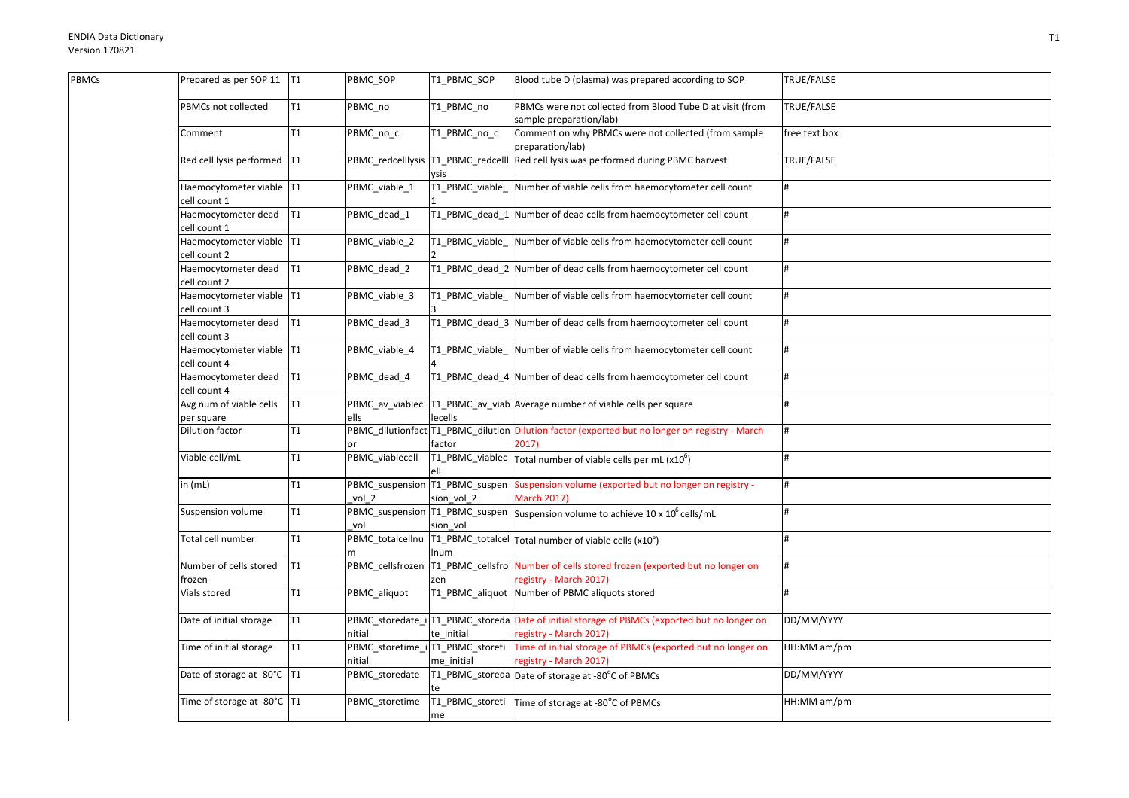$\overline{p}$ 

| <b>BMCs</b> | Prepared as per SOP 11   T1              |                | PBMC_SOP                                   | T1_PBMC_SOP             | Blood tube D (plasma) was prepared according to SOP                                                                    | TRUE/FALSE    |
|-------------|------------------------------------------|----------------|--------------------------------------------|-------------------------|------------------------------------------------------------------------------------------------------------------------|---------------|
|             | PBMCs not collected                      | T1             | PBMC no                                    | T1 PBMC no              | PBMCs were not collected from Blood Tube D at visit (from<br>sample preparation/lab)                                   | TRUE/FALSE    |
|             | Comment                                  | T1             | PBMC_no_c                                  | T1_PBMC_no_c            | Comment on why PBMCs were not collected (from sample<br>preparation/lab)                                               | free text box |
|             | Red cell lysis performed T1              |                | PBMC redcelllysis T1 PBMC redcelll         | vsis                    | Red cell lysis was performed during PBMC harvest                                                                       | TRUE/FALSE    |
|             | Haemocytometer viable T1<br>cell count 1 |                | PBMC_viable_1                              | T1_PBMC_viable_         | Number of viable cells from haemocytometer cell count                                                                  |               |
|             | Haemocytometer dead<br>cell count 1      | IT1            | PBMC_dead_1                                |                         | T1_PBMC_dead_1 Number of dead cells from haemocytometer cell count                                                     | $\bf{H}$      |
|             | Haemocytometer viable T1<br>cell count 2 |                | PBMC_viable_2                              |                         | T1_PBMC_viable_ Number of viable cells from haemocytometer cell count                                                  | Ħ             |
|             | Haemocytometer dead T1<br>cell count 2   |                | PBMC_dead_2                                |                         | T1 PBMC dead 2 Number of dead cells from haemocytometer cell count                                                     | $\bf{H}$      |
|             | Haemocytometer viable T1<br>cell count 3 |                | PBMC_viable_3                              |                         | T1_PBMC_viable_ Number of viable cells from haemocytometer cell count                                                  | #             |
|             | Haemocytometer dead<br>cell count 3      | T1             | PBMC dead 3                                |                         | T1_PBMC_dead_3 Number of dead cells from haemocytometer cell count                                                     | #             |
|             | Haemocytometer viable T1<br>cell count 4 |                | PBMC_viable_4                              |                         | T1_PBMC_viable_ Number of viable cells from haemocytometer cell count                                                  | #             |
|             | Haemocytometer dead T1<br>cell count 4   |                | PBMC_dead_4                                |                         | T1_PBMC_dead_4 Number of dead cells from haemocytometer cell count                                                     | $\bf{H}$      |
|             | Avg num of viable cells<br>per square    | T <sub>1</sub> | PBMC_av_viablec<br>ells                    | lecells                 | T1_PBMC_av_viab Average number of viable cells per square                                                              |               |
|             | Dilution factor                          | T1             |                                            | factor                  | PBMC_dilutionfact T1_PBMC_dilution Dilution factor (exported but no longer on registry - March<br>2017)                |               |
|             | Viable cell/mL                           | T <sub>1</sub> | PBMC_viablecell                            | ell                     | T1_PBMC_viablec $\vert$ Total number of viable cells per mL (x10 <sup>6</sup> )                                        | Ħ             |
|             | in (mL)                                  | T1             | vol 2                                      | sion_vol_2              | PBMC_suspension  T1_PBMC_suspen  Suspension volume (exported but no longer on registry -<br><b>March 2017)</b>         |               |
|             | Suspension volume                        | T1             | vol                                        | sion vol                | $\overline{PBMC}$ _suspension $\overline{11}$ _PBMC_suspen Suspension volume to achieve 10 x 10 <sup>6</sup> cells/mL  |               |
|             | Total cell number                        | T1             | PBMC totalcellnu                           | Inum                    | T1_PBMC_totalcel $\vert$ Total number of viable cells (x10 <sup>6</sup> )                                              | $\bf{H}$      |
|             | Number of cells stored<br>frozen         | T <sub>1</sub> | PBMC_cellsfrozen                           | T1_PBMC_cellsfro<br>zen | Number of cells stored frozen (exported but no longer on<br>registry - March 2017)                                     | #             |
|             | Vials stored                             | T1             | PBMC_aliquot                               | T1 PBMC aliquot         | Number of PBMC aliquots stored                                                                                         | $\theta$      |
|             | Date of initial storage                  | T <sub>1</sub> | nitial                                     | te initial              | PBMC_storedate_i T1_PBMC_storeda Date of initial storage of PBMCs (exported but no longer on<br>registry - March 2017) | DD/MM/YYYY    |
|             | Time of initial storage                  | T1             | PBMC_storetime_i T1_PBMC_storeti<br>nitial | me initial              | Time of initial storage of PBMCs (exported but no longer on<br>registry - March 2017)                                  | HH:MM am/pm   |
|             | Date of storage at -80°C   T1            |                | PBMC_storedate                             |                         | T1_PBMC_storeda Date of storage at -80°C of PBMCs                                                                      | DD/MM/YYYY    |
|             | Time of storage at -80°C   T1            |                | PBMC_storetime                             | me                      | T1_PBMC_storeti   Time of storage at -80°C of PBMCs                                                                    | HH:MM am/pm   |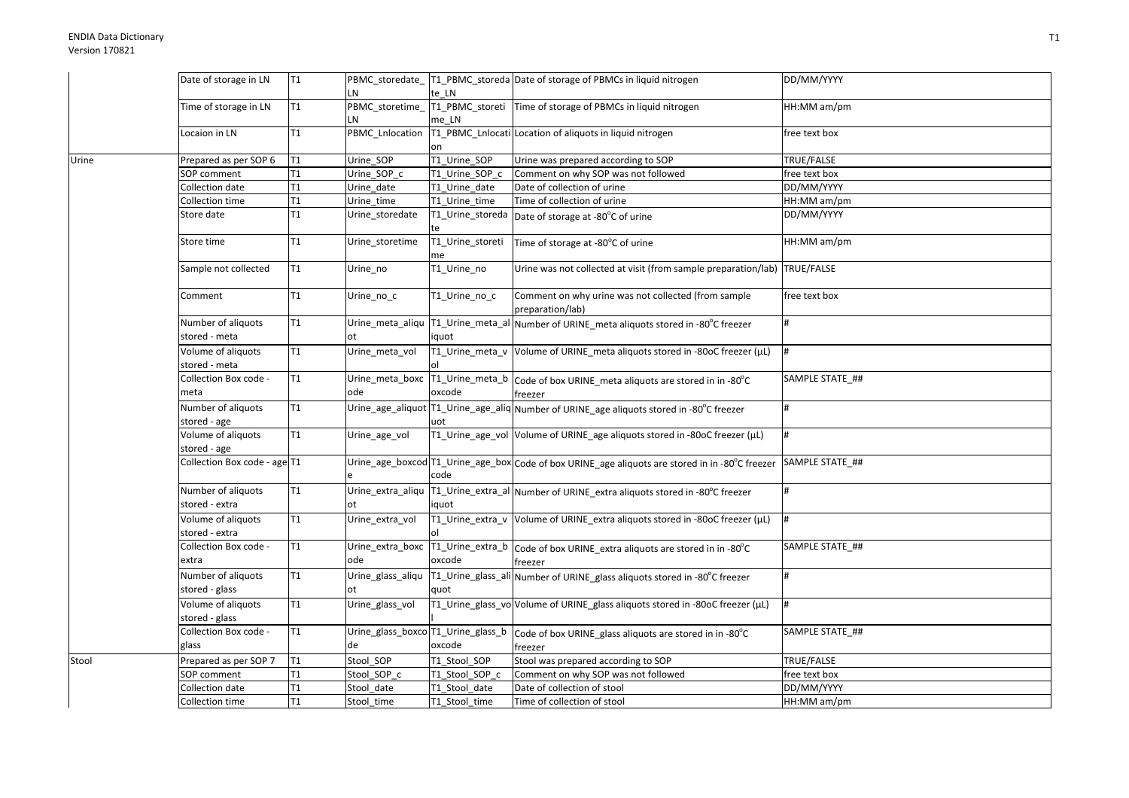|       | Date of storage in LN                | T <sub>1</sub>  |                         |                        | PBMC_storedate_T1_PBMC_storeda Date of storage of PBMCs in liquid nitrogen                               | DD/MM/YYYY      |
|-------|--------------------------------------|-----------------|-------------------------|------------------------|----------------------------------------------------------------------------------------------------------|-----------------|
|       |                                      |                 | LN                      | te LN                  |                                                                                                          |                 |
|       | Time of storage in LN                | T <sub>1</sub>  | PBMC_storetime_         |                        | T1_PBMC_storeti Time of storage of PBMCs in liquid nitrogen                                              | HH:MM am/pm     |
|       |                                      |                 | LN                      | me LN                  |                                                                                                          |                 |
|       | Locaion in LN                        | T1              | PBMC_Lnlocation         |                        | T1_PBMC_Lnlocati Location of aliquots in liquid nitrogen                                                 | ree text box    |
|       |                                      |                 |                         | on                     |                                                                                                          |                 |
| Urine | Prepared as per SOP 6                | T <sub>1</sub>  | Urine SOP               | T1_Urine_SOP           | Urine was prepared according to SOP                                                                      | TRUE/FALSE      |
|       | SOP comment                          | T1              | Urine_SOP_c             | T1 Urine SOP c         | Comment on why SOP was not followed                                                                      | free text box   |
|       | Collection date                      | T1              | Urine_date              | T1 Urine date          | Date of collection of urine                                                                              | DD/MM/YYYY      |
|       | Collection time                      | T <sub>1</sub>  | Urine_time              | T1_Urine_time          | Time of collection of urine                                                                              | HH:MM am/pm     |
|       | Store date                           | T1              | Urine storedate         | te                     | T1_Urine_storeda Date of storage at -80°C of urine                                                       | DD/MM/YYYY      |
|       | Store time                           | T <sub>1</sub>  | Urine storetime         | T1_Urine_storeti<br>me | Time of storage at -80°C of urine                                                                        | HH:MM am/pm     |
|       | Sample not collected                 | T <sub>1</sub>  | Urine_no                | T1_Urine_no            | Urine was not collected at visit (from sample preparation/lab) TRUE/FALSE                                |                 |
|       | Comment                              | T <sub>1</sub>  | Urine_no_c              | T1_Urine_no_c          | Comment on why urine was not collected (from sample<br>preparation/lab)                                  | free text box   |
|       | Number of aliquots<br>stored - meta  | T <sub>1</sub>  | Urine meta aliqu<br>ot  | iquot                  | T1_Urine_meta_al Number of URINE_meta aliquots stored in -80°C freezer                                   |                 |
|       | Volume of aliquots<br>stored - meta  | T <sub>1</sub>  | Urine_meta_vol          | lol                    | T1_Urine_meta_v Volume of URINE_meta aliquots stored in -80oC freezer (µL)                               |                 |
|       | Collection Box code -<br>meta        | T1              | ode                     | oxcode                 | Urine_meta_boxc T1_Urine_meta_b Code of box URINE_meta aliquots are stored in in -80°C<br>freezer        | SAMPLE STATE ## |
|       | Number of aliquots<br>stored - age   | T1              |                         | uot                    | Urine_age_aliquot   T1_Urine_age_aliq Number of URINE_age aliquots stored in -80°C freezer               | #               |
|       | Volume of aliquots<br>stored - age   | T <sub>1</sub>  | Urine age vol           |                        | T1_Urine_age_vol Volume of URINE_age aliquots stored in -80oC freezer (µL)                               |                 |
|       | Collection Box code - age T1         |                 |                         | code                   | Urine_age_boxcod T1_Urine_age_box Code of box URINE_age aliquots are stored in in -80°C freezer          | SAMPLE STATE ## |
|       | Number of aliquots<br>stored - extra | T <sub>1</sub>  | ot                      | iquot                  | Urine_extra_aliqu  T1_Urine_extra_al  Number of URINE_extra aliquots stored in -80°C freezer             |                 |
|       | Volume of aliquots<br>stored - extra | T <sub>1</sub>  | Urine_extra_vol         | ol                     | T1_Urine_extra_v Volume of URINE_extra aliquots stored in -80oC freezer (µL)                             |                 |
|       | Collection Box code -<br>extra       | T <sub>1</sub>  | Urine_extra_boxc<br>ode | oxcode                 | T1_Urine_extra_b Code of box URINE_extra aliquots are stored in in -80°C<br>freezer                      | SAMPLE STATE ## |
|       | Number of aliquots                   | T1              | Urine_glass_aliqu       |                        | T1_Urine_glass_ali Number of URINE_glass aliquots stored in -80°C freezer                                |                 |
|       | stored - glass                       |                 | ot                      | quot                   |                                                                                                          |                 |
|       | Volume of aliquots                   | T <sub>1</sub>  | Urine_glass_vol         |                        | T1_Urine_glass_vo Volume of URINE_glass aliquots stored in -80oC freezer (µL)                            | l#              |
|       | stored - glass                       |                 |                         |                        |                                                                                                          |                 |
|       | Collection Box code -                | $\overline{11}$ |                         |                        | Urine_glass_boxco <sup> </sup> T1_Urine_glass_b  Code of box URINE_glass aliquots are stored in in -80°C | SAMPLE STATE_## |
|       | glass                                |                 | de                      | oxcode                 | freezer                                                                                                  |                 |
| Stool | Prepared as per SOP 7                | T <sub>1</sub>  | Stool_SOP               | T1_Stool_SOP           | Stool was prepared according to SOP                                                                      | TRUE/FALSE      |
|       | SOP comment                          | T <sub>1</sub>  | Stool SOP c             | T1 Stool SOP c         | Comment on why SOP was not followed                                                                      | free text box   |
|       | Collection date                      | T <sub>1</sub>  | Stool date              | T1_Stool_date          | Date of collection of stool                                                                              | DD/MM/YYYY      |
|       | Collection time                      | T <sub>1</sub>  | Stool_time              | T1 Stool time          | Time of collection of stool                                                                              | HH:MM am/pm     |
|       |                                      |                 |                         |                        |                                                                                                          |                 |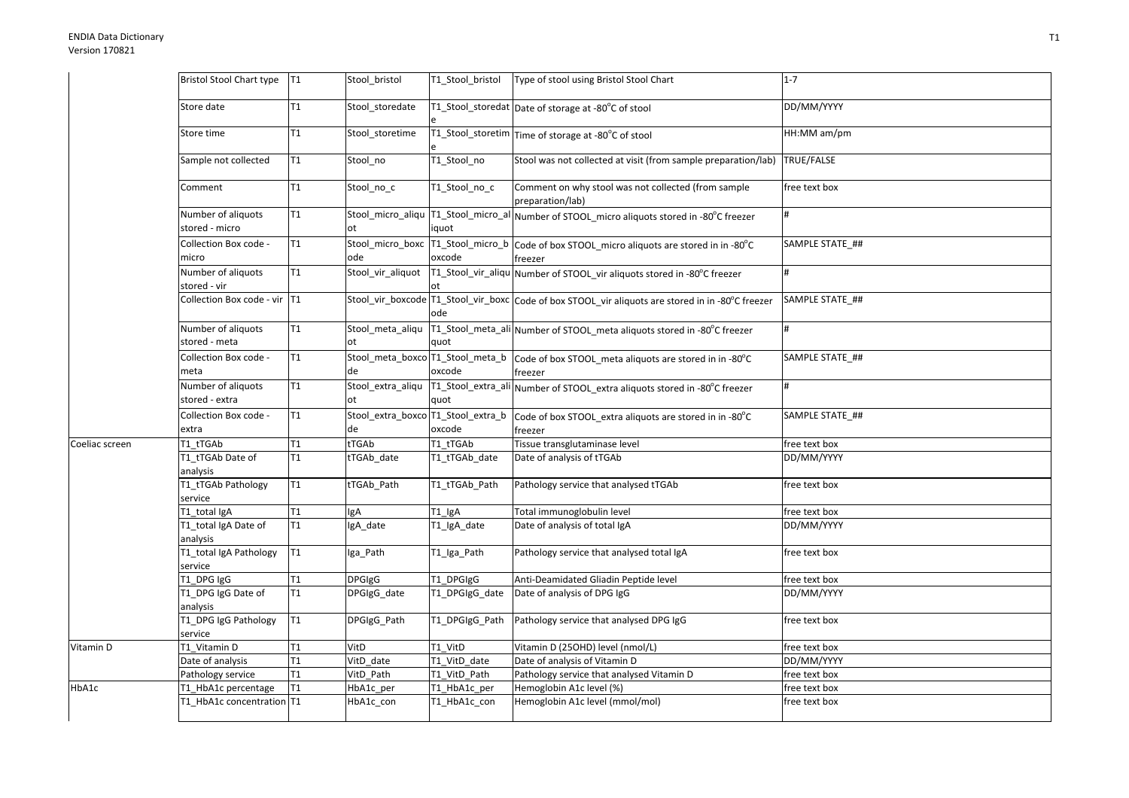|                | <b>Bristol Stool Chart type</b>      | T1             | Stool_bristol                            | T1 Stool bristol | Type of stool using Bristol Stool Chart                                                                | $1 - 7$         |
|----------------|--------------------------------------|----------------|------------------------------------------|------------------|--------------------------------------------------------------------------------------------------------|-----------------|
|                | Store date                           | T <sub>1</sub> | Stool_storedate                          |                  | T1_Stool_storedat Date of storage at -80°C of stool                                                    | DD/MM/YYYY      |
|                | Store time                           | T <sub>1</sub> | Stool_storetime                          |                  | T1_Stool_storetim Time of storage at -80°C of stool                                                    | HH:MM am/pm     |
|                | Sample not collected                 | T1             | Stool_no                                 | T1_Stool_no      | Stool was not collected at visit (from sample preparation/lab)                                         | TRUE/FALSE      |
|                | Comment                              | T1             | Stool_no_c                               | T1_Stool_no_c    | Comment on why stool was not collected (from sample<br>preparation/lab)                                | free text box   |
|                | Number of aliquots<br>stored - micro | T <sub>1</sub> | Stool_micro_aliqu<br>ot                  | iquot            | T1_Stool_micro_al Number of STOOL_micro aliquots stored in -80°C freezer                               | #               |
|                | Collection Box code -<br>micro       | T <sub>1</sub> | Stool_micro_boxc<br>ode                  | oxcode           | $\sqrt{11\_Stool\_micro\_b}$ $\sim$ Code of box STOOL_micro aliquots are stored in in -80°C<br>freezer | SAMPLE STATE ## |
|                | Number of aliquots<br>stored - vir   | T1             | Stool_vir_aliquot                        |                  | T1_Stool_vir_aliqu Number of STOOL_vir aliquots stored in -80°C freezer                                | #               |
|                | Collection Box code - vir T1         |                |                                          | ode              | Stool_vir_boxcode   T1_Stool_vir_boxc   Code of box STOOL_vir aliquots are stored in in -80°C freezer  | SAMPLE STATE ## |
|                | Number of aliquots<br>stored - meta  | T1             | Stool meta aliqu<br>ot                   | quot             | T1_Stool_meta_ali Number of STOOL_meta aliquots stored in -80°C freezer                                | #               |
|                | Collection Box code -<br>meta        | T <sub>1</sub> | de                                       | oxcode           | Stool_meta_boxco T1_Stool_meta_b   Code of box STOOL_meta aliquots are stored in in -80°C<br>freezer   | SAMPLE STATE ## |
|                | Number of aliquots<br>stored - extra | T <sub>1</sub> | Stool_extra_aliqu<br>ot                  | quot             | T1_Stool_extra_ali Number of STOOL_extra aliquots stored in -80°C freezer                              | #               |
|                | Collection Box code -<br>extra       | T <sub>1</sub> | Stool_extra_boxco T1_Stool_extra_b<br>de | oxcode           | Code of box STOOL_extra aliquots are stored in in -80°C<br>freezer                                     | SAMPLE STATE_## |
| Coeliac screen | T1 tTGAb                             | T <sub>1</sub> | tTGAb                                    | T1 tTGAb         | Tissue transglutaminase level                                                                          | free text box   |
|                | T1 tTGAb Date of<br>analysis         | T <sub>1</sub> | tTGAb_date                               | T1_tTGAb_date    | Date of analysis of tTGAb                                                                              | DD/MM/YYYY      |
|                | T1_tTGAb Pathology<br>service        | T1             | tTGAb_Path                               | T1 tTGAb Path    | Pathology service that analysed tTGAb                                                                  | free text box   |
|                | T1 total IgA                         | T <sub>1</sub> | lgA                                      | $T1$ _IgA        | Total immunoglobulin level                                                                             | free text box   |
|                | T1_total IgA Date of<br>analysis     | T <sub>1</sub> | IgA_date                                 | T1_IgA_date      | Date of analysis of total IgA                                                                          | DD/MM/YYYY      |
|                | T1_total IgA Pathology<br>service    | T1             | Iga_Path                                 | T1_Iga_Path      | Pathology service that analysed total IgA                                                              | free text box   |
|                | T1_DPG IgG                           | T <sub>1</sub> | <b>DPGIgG</b>                            | T1_DPGIgG        | Anti-Deamidated Gliadin Peptide level                                                                  | free text box   |
|                | T1_DPG IgG Date of<br>analysis       | T <sub>1</sub> | DPGIgG_date                              | T1 DPGIgG date   | Date of analysis of DPG IgG                                                                            | DD/MM/YYYY      |
|                | T1_DPG IgG Pathology<br>service      | T <sub>1</sub> | DPGIgG Path                              | T1 DPGIgG Path   | Pathology service that analysed DPG IgG                                                                | free text box   |
| Vitamin D      | T1_Vitamin D                         | T <sub>1</sub> | VitD                                     | T1 VitD          | Vitamin D (25OHD) level (nmol/L)                                                                       | free text box   |
|                | Date of analysis                     | T <sub>1</sub> | VitD date                                | T1_VitD_date     | Date of analysis of Vitamin D                                                                          | DD/MM/YYYY      |
|                | Pathology service                    | T <sub>1</sub> | VitD Path                                | T1 VitD Path     | Pathology service that analysed Vitamin D                                                              | free text box   |
| HbA1c          | T1_HbA1c percentage                  | T <sub>1</sub> | HbA1c_per                                | T1 HbA1c per     | Hemoglobin A1c level (%)                                                                               | free text box   |
|                | T1 HbA1c concentration T1            |                | HbA1c con                                | T1_HbA1c_con     | Hemoglobin A1c level (mmol/mol)                                                                        | free text box   |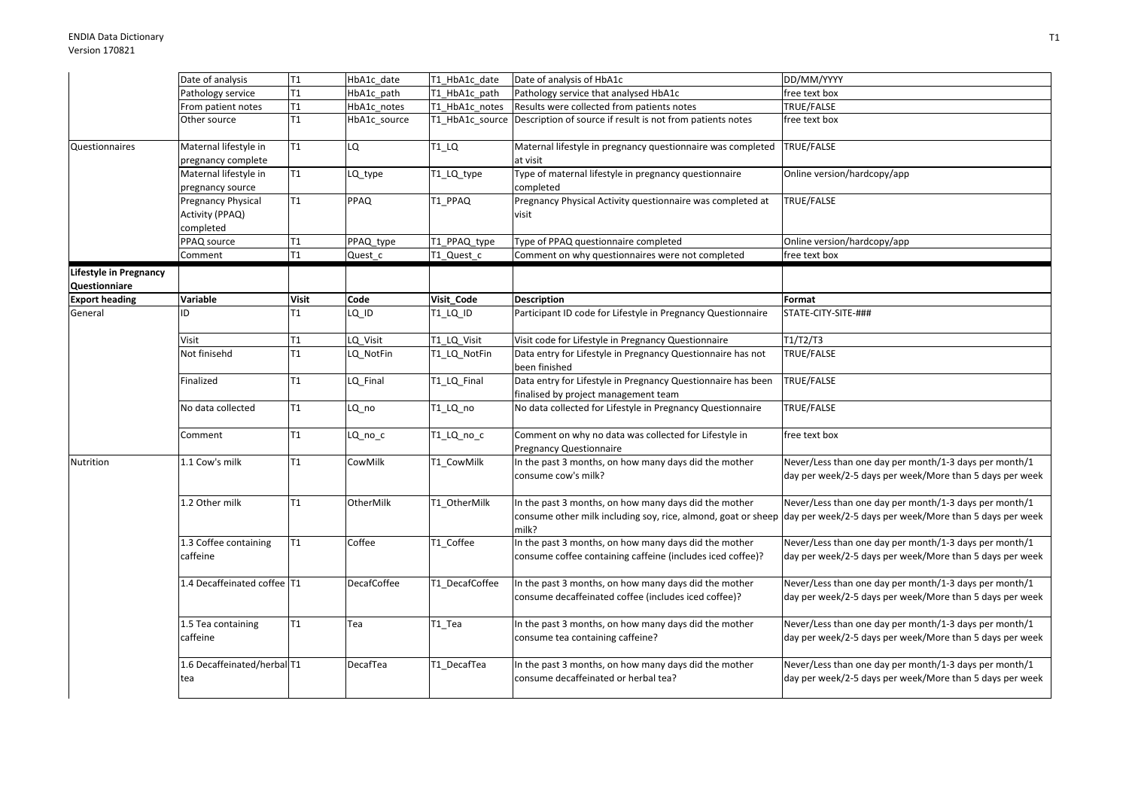|                        | Date of analysis                                   | T <sub>1</sub> | HbA1c_date         | T1_HbA1c_date  | Date of analysis of HbA1c                                                                                                       | DD/MM/YYYY                                                                                                         |
|------------------------|----------------------------------------------------|----------------|--------------------|----------------|---------------------------------------------------------------------------------------------------------------------------------|--------------------------------------------------------------------------------------------------------------------|
|                        | Pathology service                                  | T1             | HbA1c_path         | T1 HbA1c path  | Pathology service that analysed HbA1c                                                                                           | free text box                                                                                                      |
|                        | From patient notes                                 | T <sub>1</sub> | HbA1c notes        | T1 HbA1c notes | Results were collected from patients notes                                                                                      | TRUE/FALSE                                                                                                         |
|                        | Other source                                       | T1             | HbA1c_source       |                | T1_HbA1c_source Description of source if result is not from patients notes                                                      | free text box                                                                                                      |
| <b>Questionnaires</b>  | Maternal lifestyle in<br>pregnancy complete        | T <sub>1</sub> | LQ                 | $T1_LLQ$       | Maternal lifestyle in pregnancy questionnaire was completed<br>at visit                                                         | TRUE/FALSE                                                                                                         |
|                        | Maternal lifestyle in<br>pregnancy source          | T <sub>1</sub> | LQ_type            | T1_LQ_type     | Type of maternal lifestyle in pregnancy questionnaire<br>completed                                                              | Online version/hardcopy/app                                                                                        |
|                        | Pregnancy Physical<br>Activity (PPAQ)<br>completed | T <sub>1</sub> | PPAQ               | T1_PPAQ        | Pregnancy Physical Activity questionnaire was completed at<br>visit                                                             | TRUE/FALSE                                                                                                         |
|                        | PPAQ source                                        | T <sub>1</sub> | PPAQ_type          | T1_PPAQ_type   | Type of PPAQ questionnaire completed                                                                                            | Online version/hardcopy/app                                                                                        |
|                        | Comment                                            | T <sub>1</sub> | Quest_c            | T1_Quest_c     | Comment on why questionnaires were not completed                                                                                | free text box                                                                                                      |
| Lifestyle in Pregnancy |                                                    |                |                    |                |                                                                                                                                 |                                                                                                                    |
| Questionniare          |                                                    |                |                    |                |                                                                                                                                 |                                                                                                                    |
| <b>Export heading</b>  | Variable                                           | <b>Visit</b>   | Code               | Visit Code     | <b>Description</b>                                                                                                              | Format                                                                                                             |
| General                | ID                                                 | T1             | $LQ$ $ID$          | T1 LQ ID       | Participant ID code for Lifestyle in Pregnancy Questionnaire                                                                    | STATE-CITY-SITE-###                                                                                                |
|                        | Visit                                              | T <sub>1</sub> | LQ Visit           | T1_LQ_Visit    | Visit code for Lifestyle in Pregnancy Questionnaire                                                                             | T1/T2/T3                                                                                                           |
|                        | Not finisehd                                       | T1             | LQ_NotFin          | T1_LQ_NotFin   | Data entry for Lifestyle in Pregnancy Questionnaire has not<br>been finished                                                    | TRUE/FALSE                                                                                                         |
|                        | Finalized                                          | T1             | LQ_Final           | T1_LQ_Final    | Data entry for Lifestyle in Pregnancy Questionnaire has been<br>finalised by project management team                            | TRUE/FALSE                                                                                                         |
|                        | No data collected                                  | T1             | LQ_no              | T1_LQ_no       | No data collected for Lifestyle in Pregnancy Questionnaire                                                                      | TRUE/FALSE                                                                                                         |
|                        | Comment                                            | T <sub>1</sub> | $LQ_{n0_c}$        | T1_LQ_no_c     | Comment on why no data was collected for Lifestyle in<br><b>Pregnancy Questionnaire</b>                                         | free text box                                                                                                      |
| Nutrition              | 1.1 Cow's milk                                     | T <sub>1</sub> | CowMilk            | T1 CowMilk     | In the past 3 months, on how many days did the mother<br>consume cow's milk?                                                    | Never/Less than one day per month/1-3 days per month/1<br>day per week/2-5 days per week/More than 5 days per week |
|                        | 1.2 Other milk                                     | T <sub>1</sub> | OtherMilk          | T1_OtherMilk   | In the past 3 months, on how many days did the mother<br>consume other milk including soy, rice, almond, goat or sheep<br>milk? | Never/Less than one day per month/1-3 days per month/1<br>day per week/2-5 days per week/More than 5 days per week |
|                        | 1.3 Coffee containing<br>caffeine                  | T <sub>1</sub> | Coffee             | T1_Coffee      | In the past 3 months, on how many days did the mother<br>consume coffee containing caffeine (includes iced coffee)?             | Never/Less than one day per month/1-3 days per month/1<br>day per week/2-5 days per week/More than 5 days per week |
|                        | 1.4 Decaffeinated coffee T1                        |                | <b>DecafCoffee</b> | T1 DecafCoffee | In the past 3 months, on how many days did the mother<br>consume decaffeinated coffee (includes iced coffee)?                   | Never/Less than one day per month/1-3 days per month/1<br>day per week/2-5 days per week/More than 5 days per week |
|                        | $1.5$ Tea containing<br>caffeine                   | T1             | Tea                | T1_Tea         | In the past 3 months, on how many days did the mother<br>consume tea containing caffeine?                                       | Never/Less than one day per month/1-3 days per month/1<br>day per week/2-5 days per week/More than 5 days per week |
|                        | 1.6 Decaffeinated/herbal T1<br>tea                 |                | DecafTea           | T1 DecafTea    | In the past 3 months, on how many days did the mother<br>consume decaffeinated or herbal tea?                                   | Never/Less than one day per month/1-3 days per month/1<br>day per week/2-5 days per week/More than 5 days per week |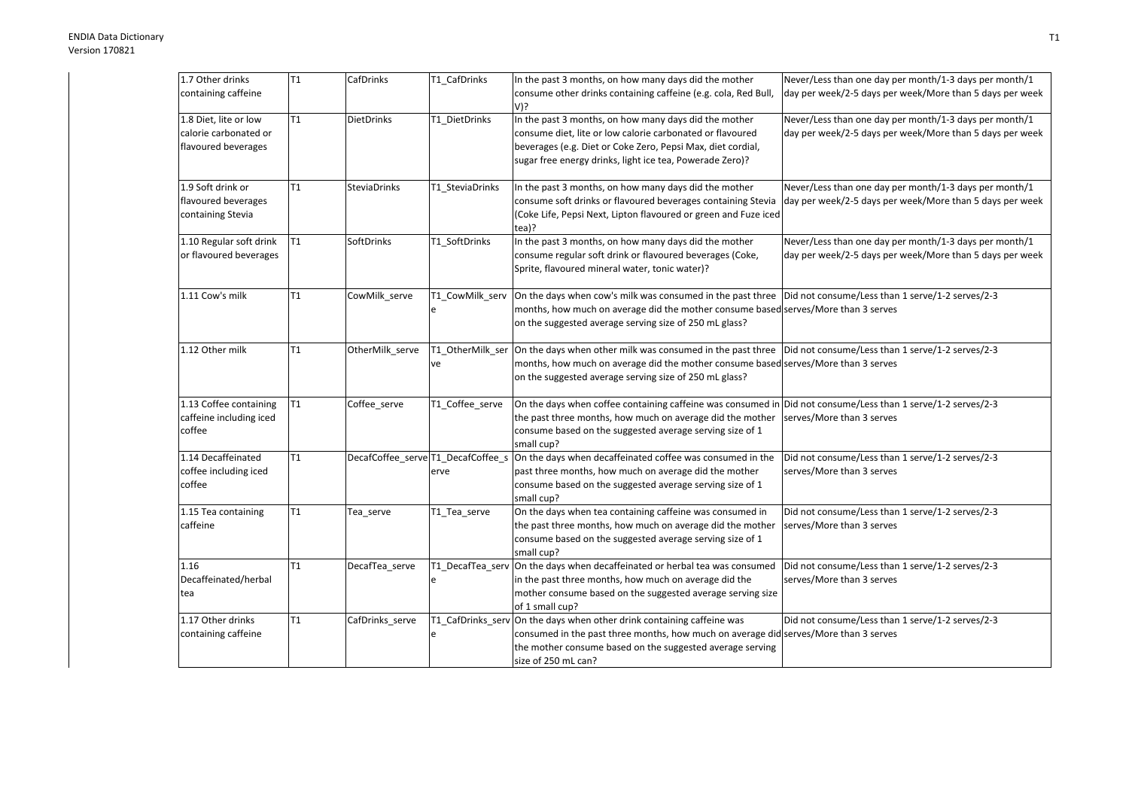| 1.7 Other drinks        | T1             | CafDrinks           | T1_CafDrinks                       | In the past 3 months, on how many days did the mother                                                                          | Never/Less than one day per month/1-3 days per month/1   |
|-------------------------|----------------|---------------------|------------------------------------|--------------------------------------------------------------------------------------------------------------------------------|----------------------------------------------------------|
| containing caffeine     |                |                     |                                    | consume other drinks containing caffeine (e.g. cola, Red Bull,                                                                 | day per week/2-5 days per week/More than 5 days per week |
|                         |                |                     |                                    | $V$ ?                                                                                                                          |                                                          |
| 1.8 Diet, lite or low   | T1             | <b>DietDrinks</b>   | T1 DietDrinks                      | In the past 3 months, on how many days did the mother                                                                          | Never/Less than one day per month/1-3 days per month/1   |
| calorie carbonated or   |                |                     |                                    | consume diet, lite or low calorie carbonated or flavoured                                                                      | day per week/2-5 days per week/More than 5 days per week |
| flavoured beverages     |                |                     |                                    | beverages (e.g. Diet or Coke Zero, Pepsi Max, diet cordial,                                                                    |                                                          |
|                         |                |                     |                                    | sugar free energy drinks, light ice tea, Powerade Zero)?                                                                       |                                                          |
|                         |                |                     |                                    |                                                                                                                                |                                                          |
| 1.9 Soft drink or       | T1             | <b>SteviaDrinks</b> | T1 SteviaDrinks                    | In the past 3 months, on how many days did the mother                                                                          | Never/Less than one day per month/1-3 days per month/1   |
| flavoured beverages     |                |                     |                                    | consume soft drinks or flavoured beverages containing Stevia                                                                   | day per week/2-5 days per week/More than 5 days per week |
| containing Stevia       |                |                     |                                    | (Coke Life, Pepsi Next, Lipton flavoured or green and Fuze iced                                                                |                                                          |
|                         |                |                     |                                    | tea)?                                                                                                                          |                                                          |
| 1.10 Regular soft drink | T <sub>1</sub> | SoftDrinks          | T1_SoftDrinks                      | In the past 3 months, on how many days did the mother                                                                          | Never/Less than one day per month/1-3 days per month/1   |
| or flavoured beverages  |                |                     |                                    | consume regular soft drink or flavoured beverages (Coke,                                                                       | day per week/2-5 days per week/More than 5 days per week |
|                         |                |                     |                                    | Sprite, flavoured mineral water, tonic water)?                                                                                 |                                                          |
|                         |                |                     |                                    |                                                                                                                                |                                                          |
| 1.11 Cow's milk         | T1             | CowMilk_serve       | T1_CowMilk_serv                    | On the days when cow's milk was consumed in the past three  Did not consume/Less than 1 serve/1-2 serves/2-3                   |                                                          |
|                         |                |                     | e                                  | months, how much on average did the mother consume based serves/More than 3 serves                                             |                                                          |
|                         |                |                     |                                    | on the suggested average serving size of 250 mL glass?                                                                         |                                                          |
|                         |                |                     |                                    |                                                                                                                                |                                                          |
| 1.12 Other milk         | T1             | OtherMilk_serve     |                                    | T1 OtherMilk ser  On the days when other milk was consumed in the past three  Did not consume/Less than 1 serve/1-2 serves/2-3 |                                                          |
|                         |                |                     | ve                                 | months, how much on average did the mother consume based serves/More than 3 serves                                             |                                                          |
|                         |                |                     |                                    | on the suggested average serving size of 250 mL glass?                                                                         |                                                          |
|                         |                |                     |                                    |                                                                                                                                |                                                          |
| 1.13 Coffee containing  | T <sub>1</sub> | Coffee_serve        | T1_Coffee_serve                    | On the days when coffee containing caffeine was consumed in Did not consume/Less than 1 serve/1-2 serves/2-3                   |                                                          |
| caffeine including iced |                |                     |                                    | the past three months, how much on average did the mother                                                                      | serves/More than 3 serves                                |
| coffee                  |                |                     |                                    | consume based on the suggested average serving size of 1                                                                       |                                                          |
|                         |                |                     |                                    | small cup?                                                                                                                     |                                                          |
| 1.14 Decaffeinated      | T <sub>1</sub> |                     | DecafCoffee_serve T1_DecafCoffee_s | On the days when decaffeinated coffee was consumed in the                                                                      | Did not consume/Less than 1 serve/1-2 serves/2-3         |
| coffee including iced   |                |                     | erve                               | past three months, how much on average did the mother                                                                          | serves/More than 3 serves                                |
| coffee                  |                |                     |                                    | consume based on the suggested average serving size of 1                                                                       |                                                          |
|                         |                |                     |                                    | small cup?                                                                                                                     |                                                          |
| 1.15 Tea containing     | T <sub>1</sub> | Tea_serve           | T1 Tea serve                       | On the days when tea containing caffeine was consumed in                                                                       | Did not consume/Less than 1 serve/1-2 serves/2-3         |
| caffeine                |                |                     |                                    | the past three months, how much on average did the mother                                                                      | serves/More than 3 serves                                |
|                         |                |                     |                                    | consume based on the suggested average serving size of 1                                                                       |                                                          |
|                         |                |                     |                                    | small cup?                                                                                                                     |                                                          |
| 1.16                    | T1             | DecafTea_serve      |                                    | T1_DecafTea_serv On the days when decaffeinated or herbal tea was consumed                                                     | Did not consume/Less than 1 serve/1-2 serves/2-3         |
| Decaffeinated/herbal    |                |                     | e                                  | in the past three months, how much on average did the                                                                          | serves/More than 3 serves                                |
| tea                     |                |                     |                                    | mother consume based on the suggested average serving size                                                                     |                                                          |
|                         |                |                     |                                    | of 1 small cup?                                                                                                                |                                                          |
| 1.17 Other drinks       | T1             | CafDrinks_serve     |                                    | T1_CafDrinks_serv On the days when other drink containing caffeine was                                                         | Did not consume/Less than 1 serve/1-2 serves/2-3         |
| containing caffeine     |                |                     | e                                  | consumed in the past three months, how much on average did serves/More than 3 serves                                           |                                                          |
|                         |                |                     |                                    | the mother consume based on the suggested average serving                                                                      |                                                          |
|                         |                |                     |                                    | size of 250 mL can?                                                                                                            |                                                          |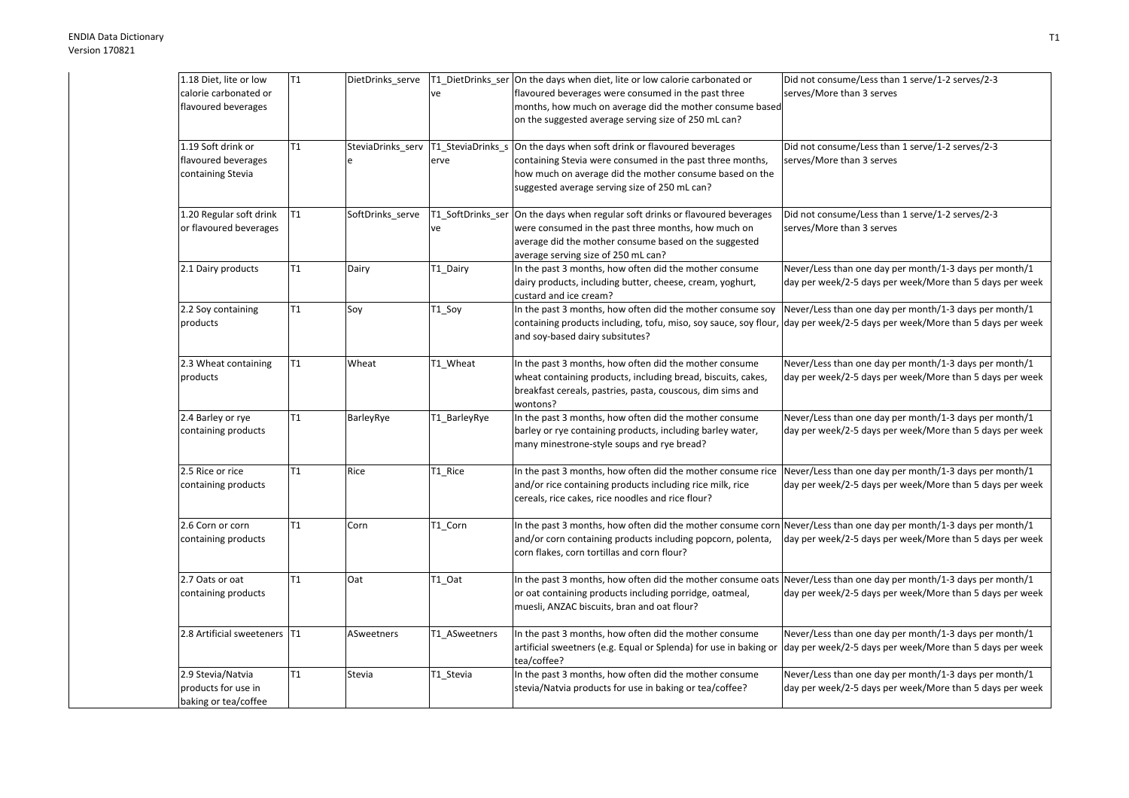| 1.18 Diet, lite or low       | T1 | DietDrinks_serve  |                                     | T1_DietDrinks_ser On the days when diet, lite or low calorie carbonated or                                         | Did not consume/Less than 1 serve/1-2 serves/2-3         |
|------------------------------|----|-------------------|-------------------------------------|--------------------------------------------------------------------------------------------------------------------|----------------------------------------------------------|
| calorie carbonated or        |    |                   | ve                                  | flavoured beverages were consumed in the past three                                                                | serves/More than 3 serves                                |
| flavoured beverages          |    |                   |                                     | months, how much on average did the mother consume based                                                           |                                                          |
|                              |    |                   |                                     | on the suggested average serving size of 250 mL can?                                                               |                                                          |
| 1.19 Soft drink or           | T1 |                   | SteviaDrinks_serv T1_SteviaDrinks_s | On the days when soft drink or flavoured beverages                                                                 | Did not consume/Less than 1 serve/1-2 serves/2-3         |
| flavoured beverages          |    |                   | erve                                | containing Stevia were consumed in the past three months,                                                          | serves/More than 3 serves                                |
| containing Stevia            |    |                   |                                     | how much on average did the mother consume based on the                                                            |                                                          |
|                              |    |                   |                                     | suggested average serving size of 250 mL can?                                                                      |                                                          |
| 1.20 Regular soft drink      | T1 | SoftDrinks serve  | T1_SoftDrinks_ser                   | On the days when regular soft drinks or flavoured beverages                                                        | Did not consume/Less than 1 serve/1-2 serves/2-3         |
| or flavoured beverages       |    |                   | ve                                  | were consumed in the past three months, how much on                                                                | serves/More than 3 serves                                |
|                              |    |                   |                                     | average did the mother consume based on the suggested                                                              |                                                          |
|                              |    |                   |                                     | average serving size of 250 mL can?                                                                                |                                                          |
| 2.1 Dairy products           | T1 | Dairy             | T1_Dairy                            | In the past 3 months, how often did the mother consume                                                             | Never/Less than one day per month/1-3 days per month/1   |
|                              |    |                   |                                     | dairy products, including butter, cheese, cream, yoghurt,<br>custard and ice cream?                                | day per week/2-5 days per week/More than 5 days per week |
| 2.2 Soy containing           | T1 | Soy               | T1_Soy                              | In the past 3 months, how often did the mother consume soy                                                         | Never/Less than one day per month/1-3 days per month/1   |
| products                     |    |                   |                                     | containing products including, tofu, miso, soy sauce, soy flour,                                                   | day per week/2-5 days per week/More than 5 days per week |
|                              |    |                   |                                     | and soy-based dairy subsitutes?                                                                                    |                                                          |
| 2.3 Wheat containing         | T1 | Wheat             | T1_Wheat                            | In the past 3 months, how often did the mother consume                                                             | Never/Less than one day per month/1-3 days per month/1   |
| products                     |    |                   |                                     | wheat containing products, including bread, biscuits, cakes,                                                       | day per week/2-5 days per week/More than 5 days per week |
|                              |    |                   |                                     | breakfast cereals, pastries, pasta, couscous, dim sims and                                                         |                                                          |
|                              |    |                   |                                     | wontons?                                                                                                           |                                                          |
| 2.4 Barley or rye            | T1 | BarleyRye         | T1_BarleyRye                        | In the past 3 months, how often did the mother consume                                                             | Never/Less than one day per month/1-3 days per month/1   |
| containing products          |    |                   |                                     | barley or rye containing products, including barley water,                                                         | day per week/2-5 days per week/More than 5 days per week |
|                              |    |                   |                                     | many minestrone-style soups and rye bread?                                                                         |                                                          |
| 2.5 Rice or rice             | T1 | Rice              | T1 Rice                             | In the past 3 months, how often did the mother consume rice                                                        | Never/Less than one day per month/1-3 days per month/1   |
| containing products          |    |                   |                                     | and/or rice containing products including rice milk, rice                                                          | day per week/2-5 days per week/More than 5 days per week |
|                              |    |                   |                                     | cereals, rice cakes, rice noodles and rice flour?                                                                  |                                                          |
| 2.6 Corn or corn             | T1 | Corn              | T1_Corn                             | In the past 3 months, how often did the mother consume corn Never/Less than one day per month/1-3 days per month/1 |                                                          |
| containing products          |    |                   |                                     | and/or corn containing products including popcorn, polenta,                                                        | day per week/2-5 days per week/More than 5 days per week |
|                              |    |                   |                                     | corn flakes, corn tortillas and corn flour?                                                                        |                                                          |
| 2.7 Oats or oat              | T1 | Oat               | T1_Oat                              | In the past 3 months, how often did the mother consume oats Never/Less than one day per month/1-3 days per month/1 |                                                          |
| containing products          |    |                   |                                     | or oat containing products including porridge, oatmeal,                                                            | day per week/2-5 days per week/More than 5 days per week |
|                              |    |                   |                                     | muesli, ANZAC biscuits, bran and oat flour?                                                                        |                                                          |
| 2.8 Artificial sweeteners T1 |    | <b>ASweetners</b> | T1 ASweetners                       | In the past 3 months, how often did the mother consume                                                             | Never/Less than one day per month/1-3 days per month/1   |
|                              |    |                   |                                     | artificial sweetners (e.g. Equal or Splenda) for use in baking or<br>tea/coffee?                                   | day per week/2-5 days per week/More than 5 days per week |
| 2.9 Stevia/Natvia            | T1 | Stevia            | T1_Stevia                           | In the past 3 months, how often did the mother consume                                                             | Never/Less than one day per month/1-3 days per month/1   |
| products for use in          |    |                   |                                     | stevia/Natvia products for use in baking or tea/coffee?                                                            | day per week/2-5 days per week/More than 5 days per week |
| baking or tea/coffee         |    |                   |                                     |                                                                                                                    |                                                          |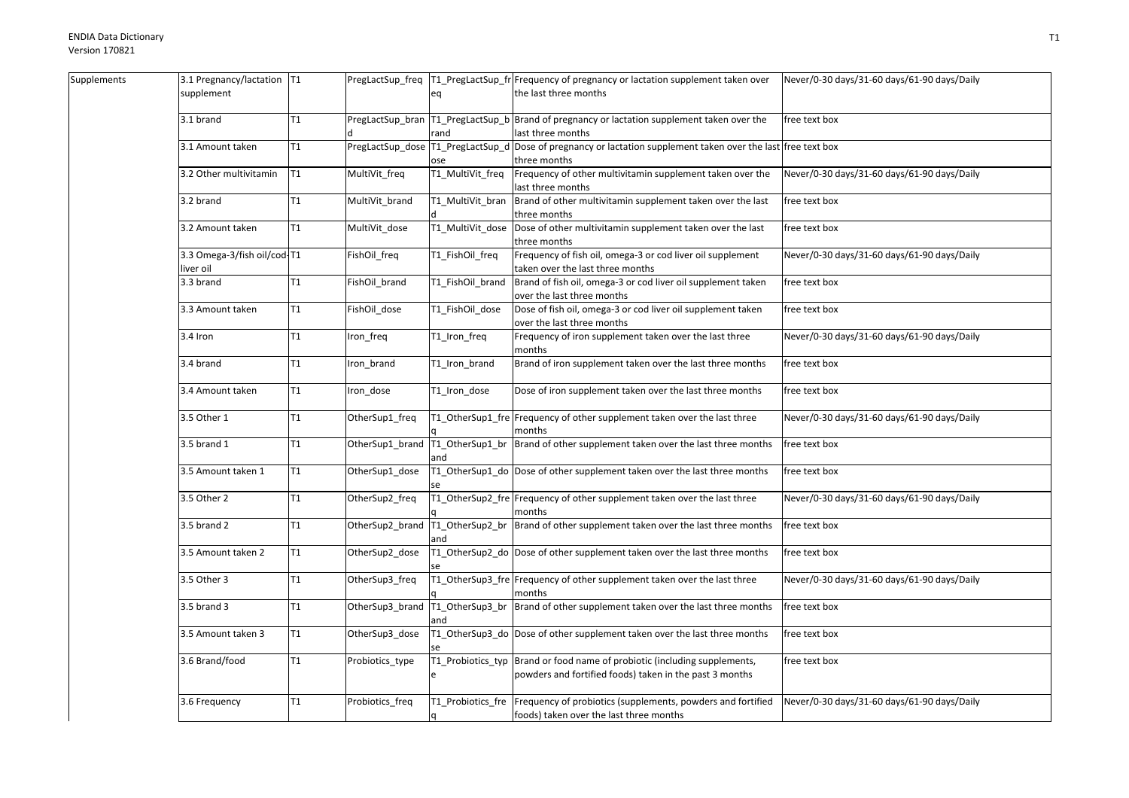| Supplements | 3.1 Pregnancy/lactation   T1 |    |                 |                                   | PregLactSup_freq  T1_PregLactSup_fr Frequency of pregnancy or lactation supplement taken over   | Never/0-30 days/31-60 days/61-90 days/Daily |
|-------------|------------------------------|----|-----------------|-----------------------------------|-------------------------------------------------------------------------------------------------|---------------------------------------------|
|             | supplement                   |    |                 | eq                                | the last three months                                                                           |                                             |
|             |                              |    |                 |                                   |                                                                                                 |                                             |
|             | 3.1 brand                    | T1 |                 |                                   | PregLactSup bran   T1 PregLactSup b   Brand of pregnancy or lactation supplement taken over the | free text box                               |
|             |                              |    |                 | rand                              | ast three months                                                                                |                                             |
|             | 3.1 Amount taken             | T1 |                 | PregLactSup_dose T1_PregLactSup_d | Dose of pregnancy or lactation supplement taken over the last free text box                     |                                             |
|             |                              |    |                 | ose                               | three months                                                                                    |                                             |
|             | 3.2 Other multivitamin       | T1 | MultiVit_freq   | T1_MultiVit_freq                  | Frequency of other multivitamin supplement taken over the                                       | Never/0-30 days/31-60 days/61-90 days/Daily |
|             |                              |    |                 |                                   | last three months                                                                               |                                             |
|             | 3.2 brand                    | T1 | MultiVit_brand  | T1_MultiVit_bran                  | Brand of other multivitamin supplement taken over the last                                      | free text box                               |
|             |                              |    |                 |                                   | three months                                                                                    |                                             |
|             | 3.2 Amount taken             | T1 | MultiVit_dose   |                                   | T1_MultiVit_dose  Dose of other multivitamin supplement taken over the last                     | free text box                               |
|             |                              |    |                 |                                   | three months                                                                                    |                                             |
|             | 3.3 Omega-3/fish oil/cod-T1  |    | FishOil_freq    | T1_FishOil_freq                   | Frequency of fish oil, omega-3 or cod liver oil supplement                                      | Never/0-30 days/31-60 days/61-90 days/Daily |
|             | liver oil                    |    |                 |                                   | taken over the last three months                                                                |                                             |
|             | 3.3 brand                    | T1 | FishOil_brand   | T1_FishOil_brand                  | Brand of fish oil, omega-3 or cod liver oil supplement taken                                    | free text box                               |
|             |                              |    |                 |                                   | over the last three months                                                                      |                                             |
|             | 3.3 Amount taken             | T1 | FishOil_dose    | T1_FishOil_dose                   | Dose of fish oil, omega-3 or cod liver oil supplement taken                                     | free text box                               |
|             |                              |    |                 |                                   | over the last three months                                                                      |                                             |
|             | 3.4 Iron                     | T1 | Iron_freq       | T1_Iron_freq                      | Frequency of iron supplement taken over the last three                                          | Never/0-30 days/31-60 days/61-90 days/Daily |
|             |                              |    |                 |                                   | months                                                                                          |                                             |
|             | 3.4 brand                    | T1 | Iron_brand      | T1_Iron_brand                     | Brand of iron supplement taken over the last three months                                       | free text box                               |
|             |                              |    |                 |                                   |                                                                                                 |                                             |
|             | 3.4 Amount taken             | T1 | Iron_dose       | T1_Iron_dose                      | Dose of iron supplement taken over the last three months                                        | free text box                               |
|             |                              |    |                 |                                   |                                                                                                 |                                             |
|             | 3.5 Other 1                  | T1 | OtherSup1_freq  |                                   | T1_OtherSup1_fre Frequency of other supplement taken over the last three                        | Never/0-30 days/31-60 days/61-90 days/Daily |
|             |                              |    |                 |                                   | months                                                                                          |                                             |
|             | 3.5 brand 1                  | T1 | OtherSup1_brand |                                   | T1_OtherSup1_br  Brand of other supplement taken over the last three months                     | free text box                               |
|             |                              |    |                 | and                               |                                                                                                 |                                             |
|             | 3.5 Amount taken 1           | T1 | OtherSup1_dose  |                                   | T1_OtherSup1_do Dose of other supplement taken over the last three months                       | free text box                               |
|             |                              |    |                 |                                   |                                                                                                 |                                             |
|             | 3.5 Other 2                  | T1 | OtherSup2_freq  |                                   | T1_OtherSup2_fre Frequency of other supplement taken over the last three                        | Never/0-30 days/31-60 days/61-90 days/Daily |
|             |                              |    |                 |                                   | months                                                                                          |                                             |
|             | $3.5$ brand $2$              | T1 | OtherSup2_brand |                                   | T1_OtherSup2_br  Brand of other supplement taken over the last three months                     | free text box                               |
|             |                              |    |                 |                                   |                                                                                                 |                                             |
|             | 3.5 Amount taken 2           | T1 | OtherSup2_dose  |                                   | T1_OtherSup2_do Dose of other supplement taken over the last three months                       | free text box                               |
|             |                              |    |                 |                                   |                                                                                                 |                                             |
|             | 3.5 Other 3                  | T1 | OtherSup3_freq  |                                   | T1_OtherSup3_fre Frequency of other supplement taken over the last three                        | Never/0-30 days/31-60 days/61-90 days/Daily |
|             |                              |    |                 |                                   | months                                                                                          |                                             |
|             | 3.5 brand 3                  | T1 | OtherSup3_brand |                                   | T1_OtherSup3_br  Brand of other supplement taken over the last three months                     | free text box                               |
|             |                              |    |                 | and                               |                                                                                                 |                                             |
|             | 3.5 Amount taken 3           | T1 | OtherSup3_dose  |                                   | T1_OtherSup3_do Dose of other supplement taken over the last three months                       | free text box                               |
|             |                              |    |                 |                                   |                                                                                                 |                                             |
|             | 3.6 Brand/food               | T1 | Probiotics_type | T1_Probiotics_typ                 | Brand or food name of probiotic (including supplements,                                         | free text box                               |
|             |                              |    |                 |                                   | powders and fortified foods) taken in the past 3 months                                         |                                             |
|             |                              |    |                 |                                   |                                                                                                 |                                             |
|             | 3.6 Frequency                | T1 | Probiotics_freq | T1_Probiotics_fre                 | Frequency of probiotics (supplements, powders and fortified                                     | Never/0-30 days/31-60 days/61-90 days/Daily |
|             |                              |    |                 |                                   | foods) taken over the last three months                                                         |                                             |
|             |                              |    |                 |                                   |                                                                                                 |                                             |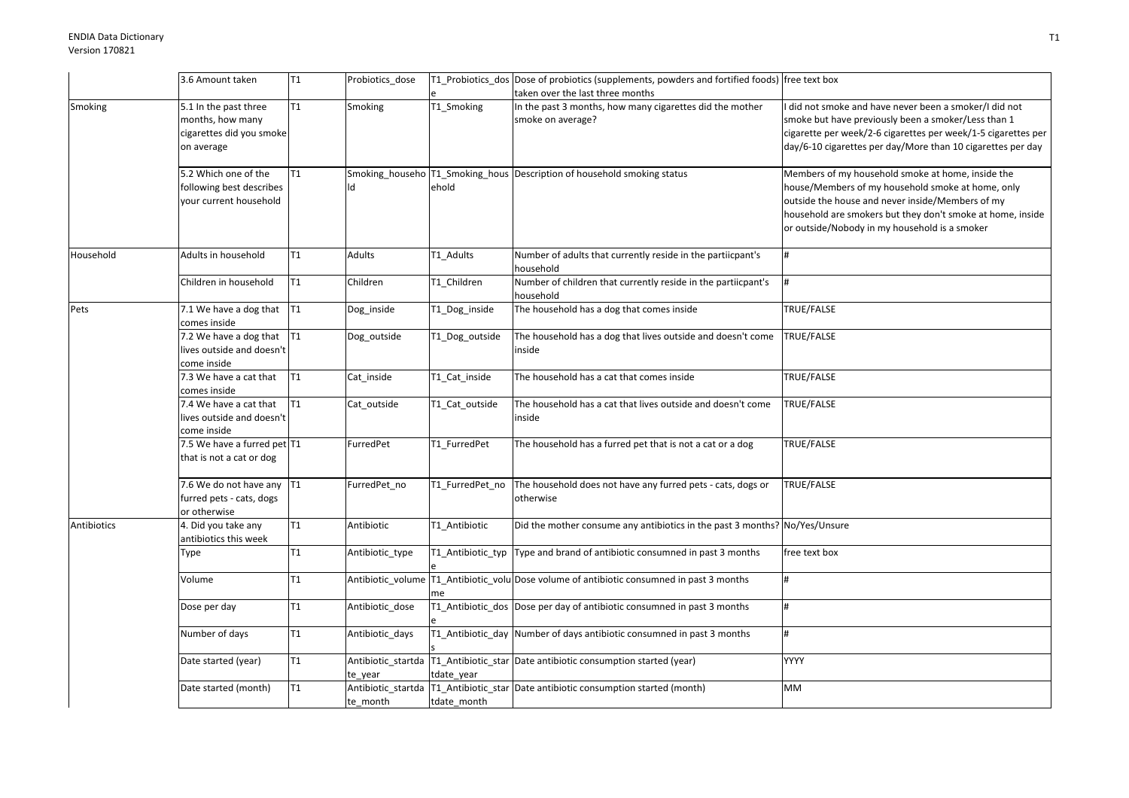|             | 3.6 Amount taken                                                                    | T <sub>1</sub> | Probiotics_dose |                 | T1_Probiotics_dos Dose of probiotics (supplements, powders and fortified foods) free text box |                                                                                                                                                                                                                                                                           |
|-------------|-------------------------------------------------------------------------------------|----------------|-----------------|-----------------|-----------------------------------------------------------------------------------------------|---------------------------------------------------------------------------------------------------------------------------------------------------------------------------------------------------------------------------------------------------------------------------|
|             |                                                                                     |                |                 |                 | taken over the last three months                                                              |                                                                                                                                                                                                                                                                           |
| Smoking     | 5.1 In the past three<br>months, how many<br>cigarettes did you smoke<br>on average | T1             | Smoking         | T1_Smoking      | In the past 3 months, how many cigarettes did the mother<br>smoke on average?                 | did not smoke and have never been a smoker/I did not<br>smoke but have previously been a smoker/Less than 1<br>cigarette per week/2-6 cigarettes per week/1-5 cigarettes per<br>day/6-10 cigarettes per day/More than 10 cigarettes per day                               |
|             | 5.2 Which one of the<br>following best describes<br>your current household          | T <sub>1</sub> |                 | ehold           | Smoking househo T1 Smoking hous Description of household smoking status                       | Members of my household smoke at home, inside the<br>nouse/Members of my household smoke at home, only<br>outside the house and never inside/Members of my<br>household are smokers but they don't smoke at home, inside<br>or outside/Nobody in my household is a smoker |
| Household   | Adults in household                                                                 | T <sub>1</sub> | Adults          | T1_Adults       | Number of adults that currently reside in the partiicpant's<br>household                      |                                                                                                                                                                                                                                                                           |
|             | Children in household                                                               | T1             | Children        | T1 Children     | Number of children that currently reside in the partiicpant's<br>household                    |                                                                                                                                                                                                                                                                           |
| Pets        | 7.1 We have a dog that<br>comes inside                                              | T1             | Dog_inside      | T1_Dog_inside   | The household has a dog that comes inside                                                     | TRUE/FALSE                                                                                                                                                                                                                                                                |
|             | 7.2 We have a dog that<br>lives outside and doesn't<br>come inside                  | T <sub>1</sub> | Dog_outside     | T1_Dog_outside  | The household has a dog that lives outside and doesn't come<br>inside                         | TRUE/FALSE                                                                                                                                                                                                                                                                |
|             | 7.3 We have a cat that<br>comes inside                                              | T1             | Cat_inside      | T1 Cat inside   | The household has a cat that comes inside                                                     | <b>TRUE/FALSE</b>                                                                                                                                                                                                                                                         |
|             | 7.4 We have a cat that<br>lives outside and doesn't<br>come inside                  | T <sub>1</sub> | Cat_outside     | T1_Cat_outside  | The household has a cat that lives outside and doesn't come<br>inside                         | TRUE/FALSE                                                                                                                                                                                                                                                                |
|             | 7.5 We have a furred pet T1<br>that is not a cat or dog                             |                | FurredPet       | T1 FurredPet    | The household has a furred pet that is not a cat or a dog                                     | TRUE/FALSE                                                                                                                                                                                                                                                                |
|             | 7.6 We do not have any T1<br>furred pets - cats, dogs<br>or otherwise               |                | FurredPet_no    | T1_FurredPet_no | The household does not have any furred pets - cats, dogs or<br>otherwise                      | TRUE/FALSE                                                                                                                                                                                                                                                                |
| Antibiotics | 4. Did you take any<br>antibiotics this week                                        | T1             | Antibiotic      | T1 Antibiotic   | Did the mother consume any antibiotics in the past 3 months? No/Yes/Unsure                    |                                                                                                                                                                                                                                                                           |
|             | Type                                                                                | T1             | Antibiotic_type |                 | T1_Antibiotic_typ Type and brand of antibiotic consumned in past 3 months                     | free text box                                                                                                                                                                                                                                                             |
|             | Volume                                                                              | T <sub>1</sub> |                 | me              | Antibiotic_volume   T1_Antibiotic_volu   Dose volume of antibiotic consumned in past 3 months |                                                                                                                                                                                                                                                                           |
|             | Dose per day                                                                        | T1             | Antibiotic_dose |                 | T1_Antibiotic_dos Dose per day of antibiotic consumned in past 3 months                       |                                                                                                                                                                                                                                                                           |
|             | Number of days                                                                      | T <sub>1</sub> | Antibiotic days |                 | T1_Antibiotic_day Number of days antibiotic consumned in past 3 months                        |                                                                                                                                                                                                                                                                           |
|             | Date started (year)                                                                 | T1             | te_year         | tdate_year      | Antibiotic_startda   T1_Antibiotic_star   Date antibiotic consumption started (year)          | <b>YYYY</b>                                                                                                                                                                                                                                                               |
|             | Date started (month)                                                                | T1             | te_month        | tdate_month     | Antibiotic startda   T1 Antibiotic star   Date antibiotic consumption started (month)         | <b>MM</b>                                                                                                                                                                                                                                                                 |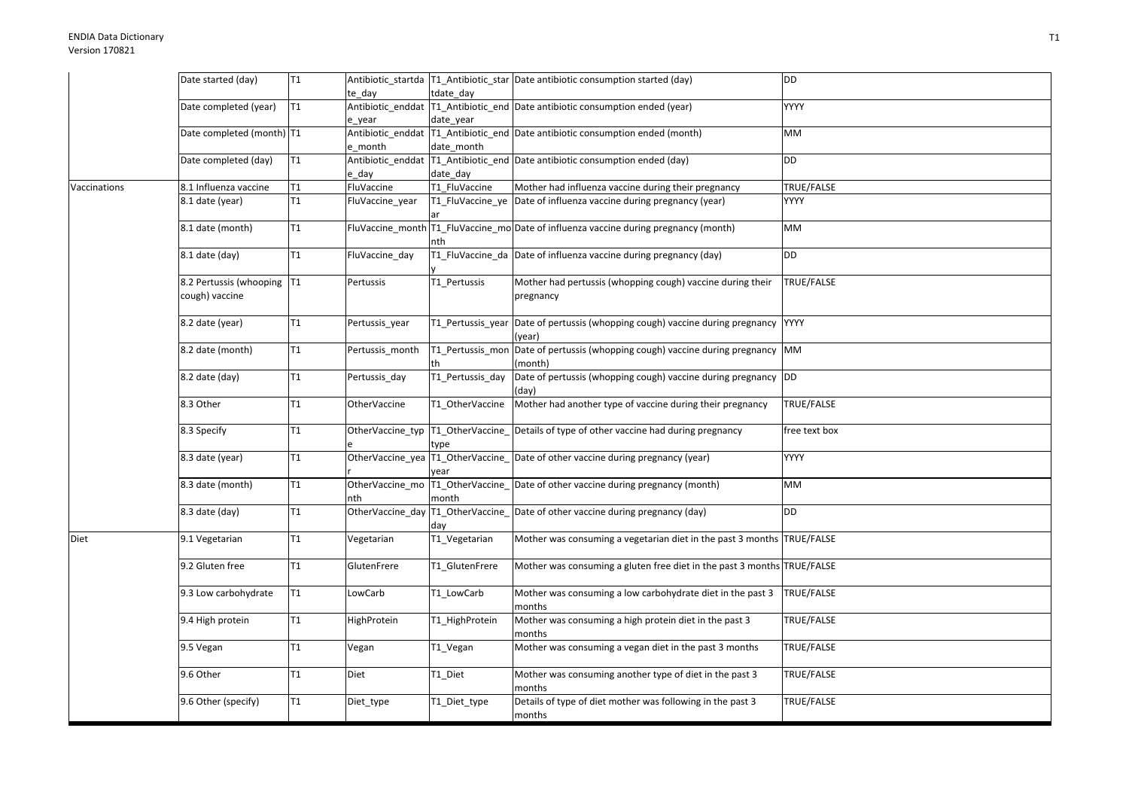|              | Date started (day)          | T <sub>1</sub>  |                     |                  | Antibiotic_startda   T1_Antibiotic_star   Date antibiotic consumption started (day)      | DD            |
|--------------|-----------------------------|-----------------|---------------------|------------------|------------------------------------------------------------------------------------------|---------------|
|              |                             |                 | te_day              | tdate day        |                                                                                          |               |
|              | Date completed (year)       | T <sub>1</sub>  |                     |                  | Antibiotic_enddat   T1_Antibiotic_end   Date antibiotic consumption ended (year)         | <b>YYYY</b>   |
|              |                             |                 | e year              | date year        |                                                                                          |               |
|              | Date completed (month)  T1  |                 |                     |                  | Antibiotic_enddat   T1_Antibiotic_end   Date antibiotic consumption ended (month)        | <b>MM</b>     |
|              |                             |                 | e_month             | date_month       |                                                                                          |               |
|              | Date completed (day)        | T1              |                     |                  | Antibiotic_enddat T1_Antibiotic_end Date antibiotic consumption ended (day)              | DD            |
|              |                             |                 | e day               | date day         |                                                                                          |               |
| Vaccinations | 8.1 Influenza vaccine       | T1              | FluVaccine          | T1 FluVaccine    | Mother had influenza vaccine during their pregnancy                                      | TRUE/FALSE    |
|              | 8.1 date (year)             | T1              | FluVaccine_year     |                  | T1_FluVaccine_ye Date of influenza vaccine during pregnancy (year)                       | <b>YYYY</b>   |
|              | 8.1 date (month)            | T <sub>1</sub>  |                     | nth              | FluVaccine_month T1_FluVaccine_mo Date of influenza vaccine during pregnancy (month)     | MM            |
|              | 8.1 date (day)              | T <sub>1</sub>  | FluVaccine day      |                  | T1 FluVaccine da Date of influenza vaccine during pregnancy (day)                        | DD            |
|              | 8.2 Pertussis (whooping  T1 |                 | Pertussis           | T1_Pertussis     | Mother had pertussis (whopping cough) vaccine during their                               | TRUE/FALSE    |
|              | cough) vaccine              |                 |                     |                  | pregnancy                                                                                |               |
|              | 8.2 date (year)             | T <sub>1</sub>  | Pertussis_year      |                  | T1_Pertussis_year Date of pertussis (whopping cough) vaccine during pregnancy<br>(year)  | <b>YYYY</b>   |
|              | 8.2 date (month)            | T <sub>1</sub>  | Pertussis_month     |                  | T1_Pertussis_mon Date of pertussis (whopping cough) vaccine during pregnancy<br>(month)  | <b>MM</b>     |
|              | 8.2 date (day)              | T1              | Pertussis_day       | T1 Pertussis day | Date of pertussis (whopping cough) vaccine during pregnancy<br>(day)                     | DD            |
|              | 8.3 Other                   | $\overline{11}$ | <b>OtherVaccine</b> | T1 OtherVaccine  | Mother had another type of vaccine during their pregnancy                                | TRUE/FALSE    |
|              | 8.3 Specify                 | T <sub>1</sub>  |                     | type             | OtherVaccine_typ  T1_OtherVaccine_ Details of type of other vaccine had during pregnancy | free text box |
|              | 8.3 date (year)             | $\mathsf{T}1$   |                     | vear             | OtherVaccine_yea   T1_OtherVaccine_ Date of other vaccine during pregnancy (year)        | <b>YYYY</b>   |
|              | 8.3 date (month)            | T1              | nth                 | month            | OtherVaccine_mo  T1_OtherVaccine_  Date of other vaccine during pregnancy (month)        | МM            |
|              | 8.3 date (day)              | T1              |                     | day              | OtherVaccine_day   T1_OtherVaccine_ Date of other vaccine during pregnancy (day)         | <b>DD</b>     |
| Diet         | 9.1 Vegetarian              | T1              | Vegetarian          | T1_Vegetarian    | Mother was consuming a vegetarian diet in the past 3 months TRUE/FALSE                   |               |
|              | 9.2 Gluten free             | T <sub>1</sub>  | GlutenFrere         | T1 GlutenFrere   | Mother was consuming a gluten free diet in the past 3 months TRUE/FALSE                  |               |
|              | 9.3 Low carbohydrate        | T1              | LowCarb             | T1_LowCarb       | Mother was consuming a low carbohydrate diet in the past 3<br>months                     | TRUE/FALSE    |
|              | 9.4 High protein            | T1              | HighProtein         | T1_HighProtein   | Mother was consuming a high protein diet in the past 3<br>months                         | TRUE/FALSE    |
|              | 9.5 Vegan                   | T1              | Vegan               | T1_Vegan         | Mother was consuming a vegan diet in the past 3 months                                   | TRUE/FALSE    |
|              | 9.6 Other                   | T1              | Diet                | T1_Diet          | Mother was consuming another type of diet in the past 3<br>months                        | TRUE/FALSE    |
|              | 9.6 Other (specify)         | T1              | Diet_type           | T1_Diet_type     | Details of type of diet mother was following in the past 3<br>months                     | TRUE/FALSE    |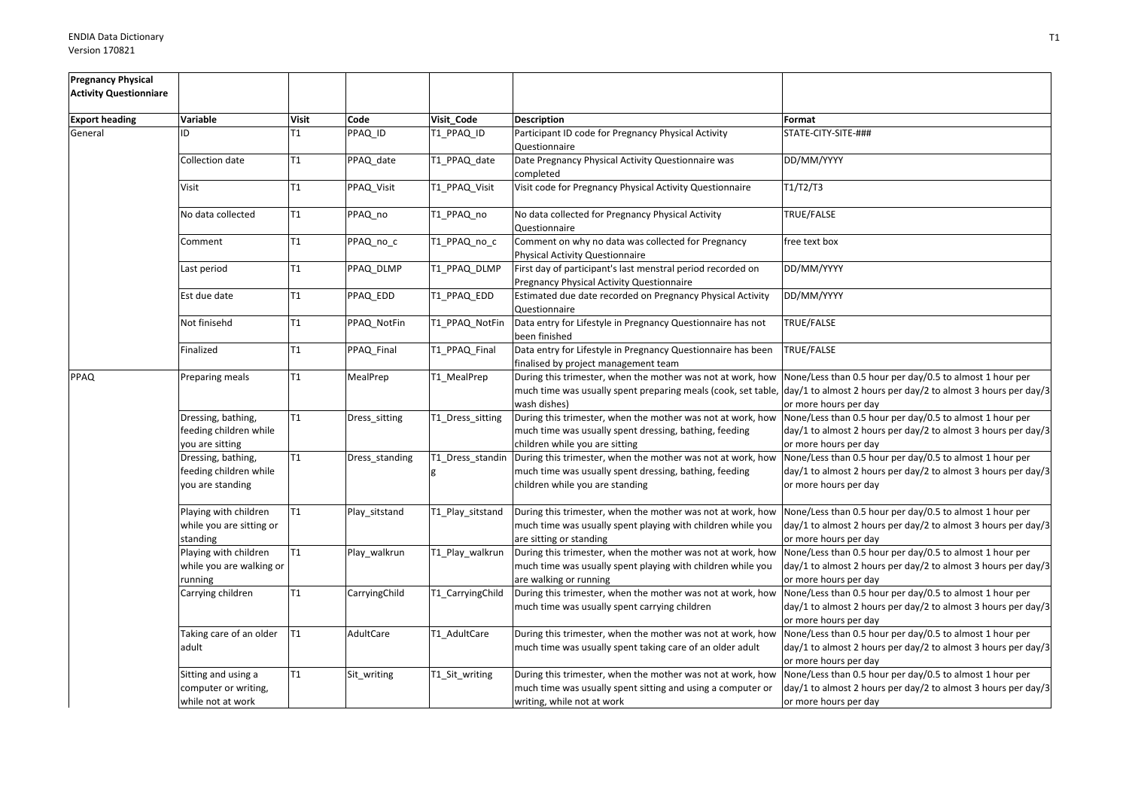| <b>Pregnancy Physical</b><br><b>Activity Questionniare</b> |                                                                  |                |                |                  |                                                                                                                                                          |                                                                                                                                                                                                                  |
|------------------------------------------------------------|------------------------------------------------------------------|----------------|----------------|------------------|----------------------------------------------------------------------------------------------------------------------------------------------------------|------------------------------------------------------------------------------------------------------------------------------------------------------------------------------------------------------------------|
|                                                            |                                                                  |                |                |                  |                                                                                                                                                          |                                                                                                                                                                                                                  |
| <b>Export heading</b>                                      | Variable                                                         | <b>Visit</b>   | Code           | Visit_Code       | <b>Description</b>                                                                                                                                       | Format                                                                                                                                                                                                           |
| General                                                    | ID                                                               | T <sub>1</sub> | PPAQ_ID        | T1_PPAQ_ID       | Participant ID code for Pregnancy Physical Activity<br>Questionnaire                                                                                     | STATE-CITY-SITE-###                                                                                                                                                                                              |
|                                                            | Collection date                                                  | T1             | PPAQ_date      | T1_PPAQ_date     | Date Pregnancy Physical Activity Questionnaire was<br>completed                                                                                          | DD/MM/YYYY                                                                                                                                                                                                       |
|                                                            | Visit                                                            | T1             | PPAQ_Visit     | T1_PPAQ_Visit    | Visit code for Pregnancy Physical Activity Questionnaire                                                                                                 | T1/T2/T3                                                                                                                                                                                                         |
|                                                            | No data collected                                                | T1             | PPAQ_no        | T1_PPAQ_no       | No data collected for Pregnancy Physical Activity<br>Questionnaire                                                                                       | TRUE/FALSE                                                                                                                                                                                                       |
|                                                            | Comment                                                          | T1             | PPAQ no c      | T1_PPAQ_no_c     | Comment on why no data was collected for Pregnancy<br>Physical Activity Questionnaire                                                                    | free text box                                                                                                                                                                                                    |
|                                                            | Last period                                                      | T <sub>1</sub> | PPAQ_DLMP      | T1 PPAQ DLMP     | First day of participant's last menstral period recorded on<br>Pregnancy Physical Activity Questionnaire                                                 | DD/MM/YYYY                                                                                                                                                                                                       |
|                                                            | Est due date                                                     | T1             | PPAQ_EDD       | T1 PPAQ EDD      | Estimated due date recorded on Pregnancy Physical Activity<br>Questionnaire                                                                              | DD/MM/YYYY                                                                                                                                                                                                       |
|                                                            | Not finisehd                                                     | T1             | PPAQ NotFin    | T1 PPAQ NotFin   | Data entry for Lifestyle in Pregnancy Questionnaire has not<br>been finished                                                                             | TRUE/FALSE                                                                                                                                                                                                       |
|                                                            | Finalized                                                        | T1             | PPAQ Final     | T1 PPAQ Final    | Data entry for Lifestyle in Pregnancy Questionnaire has been<br>finalised by project management team                                                     | TRUE/FALSE                                                                                                                                                                                                       |
| PPAQ                                                       | Preparing meals                                                  | T1             | MealPrep       | T1_MealPrep      | During this trimester, when the mother was not at work, how<br>wash dishes)                                                                              | None/Less than 0.5 hour per day/0.5 to almost 1 hour per<br>much time was usually spent preparing meals (cook, set table, day/1 to almost 2 hours per day/2 to almost 3 hours per day/3<br>or more hours per day |
|                                                            | Dressing, bathing,<br>feeding children while<br>you are sitting  | T1             | Dress_sitting  | T1_Dress_sitting | During this trimester, when the mother was not at work, how<br>much time was usually spent dressing, bathing, feeding<br>children while you are sitting  | None/Less than 0.5 hour per day/0.5 to almost 1 hour per<br>day/1 to almost 2 hours per day/2 to almost 3 hours per day/3<br>or more hours per day                                                               |
|                                                            | Dressing, bathing,<br>feeding children while<br>you are standing | T1             | Dress_standing | T1_Dress_standin | During this trimester, when the mother was not at work, how<br>much time was usually spent dressing, bathing, feeding<br>children while you are standing | None/Less than 0.5 hour per day/0.5 to almost 1 hour per<br>day/1 to almost 2 hours per day/2 to almost 3 hours per day/3<br>or more hours per day                                                               |
|                                                            | Playing with children<br>while you are sitting or<br>standing    | T1             | Play_sitstand  | T1_Play_sitstand | During this trimester, when the mother was not at work, how<br>much time was usually spent playing with children while you<br>are sitting or standing    | None/Less than 0.5 hour per day/0.5 to almost 1 hour per<br>day/1 to almost 2 hours per day/2 to almost 3 hours per day/3<br>or more hours per day                                                               |
|                                                            | Playing with children<br>while you are walking or<br>running     | T1             | Play_walkrun   | T1_Play_walkrun  | During this trimester, when the mother was not at work, how<br>much time was usually spent playing with children while you<br>are walking or running     | None/Less than 0.5 hour per day/0.5 to almost 1 hour per<br>day/1 to almost 2 hours per day/2 to almost 3 hours per day/3<br>or more hours per day                                                               |
|                                                            | Carrying children                                                | T1             | CarryingChild  | T1 CarryingChild | During this trimester, when the mother was not at work, how<br>much time was usually spent carrying children                                             | None/Less than 0.5 hour per day/0.5 to almost 1 hour per<br>day/1 to almost 2 hours per day/2 to almost 3 hours per day/3<br>or more hours per day                                                               |
|                                                            | Taking care of an older<br>adult                                 | T1             | AdultCare      | T1_AdultCare     | During this trimester, when the mother was not at work, how<br>much time was usually spent taking care of an older adult                                 | None/Less than 0.5 hour per day/0.5 to almost 1 hour per<br>day/1 to almost 2 hours per day/2 to almost 3 hours per day/3<br>or more hours per day                                                               |
|                                                            | Sitting and using a<br>computer or writing,<br>while not at work | T1             | Sit writing    | T1_Sit_writing   | During this trimester, when the mother was not at work, how<br>much time was usually spent sitting and using a computer or<br>writing, while not at work | None/Less than 0.5 hour per day/0.5 to almost 1 hour per<br>day/1 to almost 2 hours per day/2 to almost 3 hours per day/3<br>or more hours per day                                                               |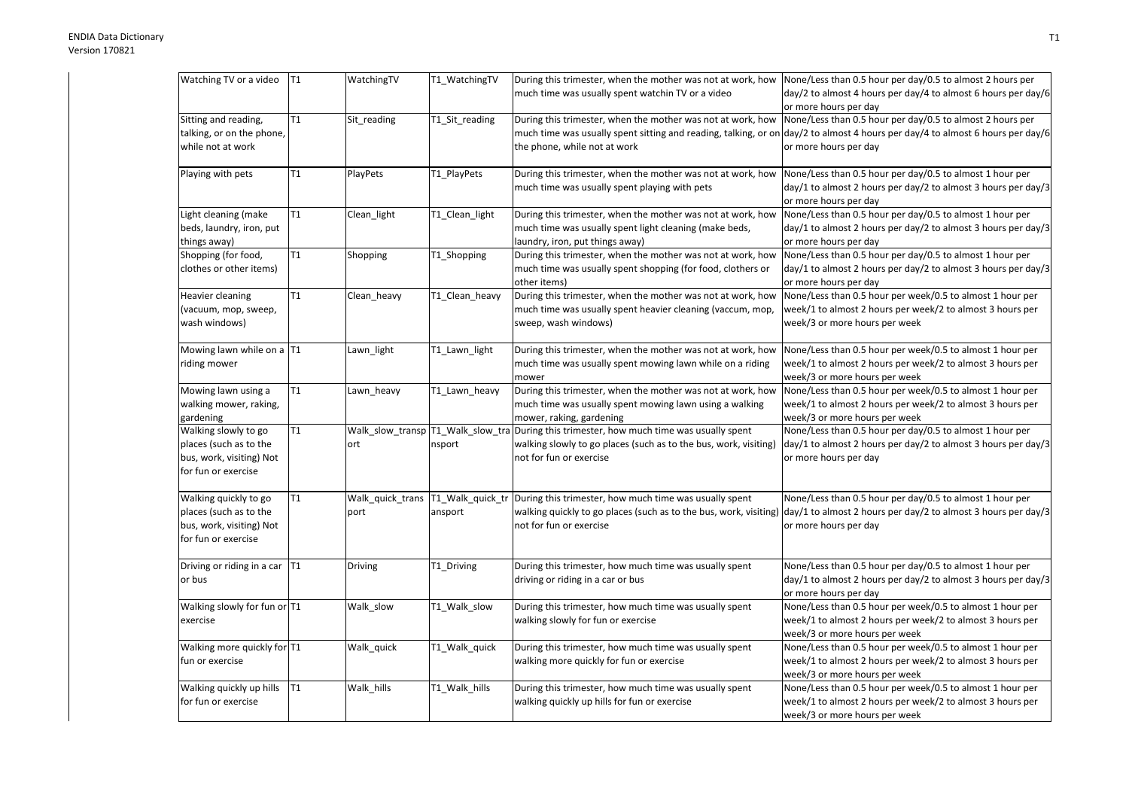| Watching TV or a video        | T1 | WatchingTV                         | T1_WatchingTV                     | During this trimester, when the mother was not at work, how None/Less than 0.5 hour per day/0.5 to almost 2 hours per |                                                                                                                               |
|-------------------------------|----|------------------------------------|-----------------------------------|-----------------------------------------------------------------------------------------------------------------------|-------------------------------------------------------------------------------------------------------------------------------|
|                               |    |                                    |                                   | much time was usually spent watchin TV or a video                                                                     | day/2 to almost 4 hours per day/4 to almost 6 hours per day/6                                                                 |
|                               |    |                                    |                                   |                                                                                                                       | or more hours per day                                                                                                         |
| Sitting and reading,          | T1 | Sit_reading                        | T1_Sit_reading                    | During this trimester, when the mother was not at work, how                                                           | None/Less than 0.5 hour per day/0.5 to almost 2 hours per                                                                     |
| talking, or on the phone,     |    |                                    |                                   |                                                                                                                       | much time was usually spent sitting and reading, talking, or on day/2 to almost 4 hours per day/4 to almost 6 hours per day/6 |
| while not at work             |    |                                    |                                   | the phone, while not at work                                                                                          | or more hours per day                                                                                                         |
|                               |    |                                    |                                   |                                                                                                                       |                                                                                                                               |
| Playing with pets             | Τ1 | PlayPets                           | T1_PlayPets                       | During this trimester, when the mother was not at work, how                                                           | None/Less than 0.5 hour per day/0.5 to almost 1 hour per                                                                      |
|                               |    |                                    |                                   | much time was usually spent playing with pets                                                                         | day/1 to almost 2 hours per day/2 to almost 3 hours per day/3                                                                 |
|                               |    |                                    |                                   |                                                                                                                       | or more hours per day                                                                                                         |
| Light cleaning (make          | T1 | Clean_light                        | T1_Clean_light                    | During this trimester, when the mother was not at work, how                                                           | None/Less than 0.5 hour per day/0.5 to almost 1 hour per                                                                      |
| beds, laundry, iron, put      |    |                                    |                                   | much time was usually spent light cleaning (make beds,                                                                | day/1 to almost 2 hours per day/2 to almost 3 hours per day/3                                                                 |
| things away)                  |    |                                    |                                   | laundry, iron, put things away)                                                                                       | or more hours per day                                                                                                         |
| Shopping (for food,           | T1 | Shopping                           | T1_Shopping                       | During this trimester, when the mother was not at work, how                                                           | None/Less than 0.5 hour per day/0.5 to almost 1 hour per                                                                      |
| clothes or other items)       |    |                                    |                                   | much time was usually spent shopping (for food, clothers or                                                           | day/1 to almost 2 hours per day/2 to almost 3 hours per day/3                                                                 |
|                               |    |                                    |                                   |                                                                                                                       |                                                                                                                               |
|                               | T1 |                                    |                                   | other items)                                                                                                          | or more hours per day                                                                                                         |
| Heavier cleaning              |    | Clean heavy                        | T1 Clean heavy                    | During this trimester, when the mother was not at work, how                                                           | None/Less than 0.5 hour per week/0.5 to almost 1 hour per                                                                     |
| (vacuum, mop, sweep,          |    |                                    |                                   | much time was usually spent heavier cleaning (vaccum, mop,                                                            | week/1 to almost 2 hours per week/2 to almost 3 hours per                                                                     |
| wash windows)                 |    |                                    |                                   | sweep, wash windows)                                                                                                  | week/3 or more hours per week                                                                                                 |
|                               |    |                                    |                                   |                                                                                                                       |                                                                                                                               |
| Mowing lawn while on a T1     |    | Lawn_light                         | T1_Lawn_light                     | During this trimester, when the mother was not at work, how                                                           | None/Less than 0.5 hour per week/0.5 to almost 1 hour per                                                                     |
| riding mower                  |    |                                    |                                   | much time was usually spent mowing lawn while on a riding                                                             | week/1 to almost 2 hours per week/2 to almost 3 hours per                                                                     |
|                               |    |                                    |                                   | mower                                                                                                                 | week/3 or more hours per week                                                                                                 |
| Mowing lawn using a           | T1 | Lawn_heavy                         | T1_Lawn_heavy                     | During this trimester, when the mother was not at work, how                                                           | None/Less than 0.5 hour per week/0.5 to almost 1 hour per                                                                     |
| walking mower, raking,        |    |                                    |                                   | much time was usually spent mowing lawn using a walking                                                               | week/1 to almost 2 hours per week/2 to almost 3 hours per                                                                     |
| gardening                     |    |                                    |                                   | mower, raking, gardening                                                                                              | week/3 or more hours per week                                                                                                 |
| Walking slowly to go          | T1 |                                    | Walk_slow_transp T1_Walk_slow_tra | During this trimester, how much time was usually spent                                                                | None/Less than 0.5 hour per day/0.5 to almost 1 hour per                                                                      |
| places (such as to the        |    | ort                                | nsport                            | walking slowly to go places (such as to the bus, work, visiting)                                                      | day/1 to almost 2 hours per day/2 to almost 3 hours per day/3                                                                 |
| bus, work, visiting) Not      |    |                                    |                                   | not for fun or exercise                                                                                               | or more hours per day                                                                                                         |
| for fun or exercise           |    |                                    |                                   |                                                                                                                       |                                                                                                                               |
|                               |    |                                    |                                   |                                                                                                                       |                                                                                                                               |
| Walking quickly to go         | Τ1 | Walk_quick_trans  T1_Walk_quick_tr |                                   | During this trimester, how much time was usually spent                                                                | None/Less than 0.5 hour per day/0.5 to almost 1 hour per                                                                      |
| places (such as to the        |    | port                               | ansport                           | walking quickly to go places (such as to the bus, work, visiting)                                                     | day/1 to almost 2 hours per day/2 to almost 3 hours per day/3                                                                 |
| bus, work, visiting) Not      |    |                                    |                                   | not for fun or exercise                                                                                               | or more hours per day                                                                                                         |
| for fun or exercise           |    |                                    |                                   |                                                                                                                       |                                                                                                                               |
|                               |    |                                    |                                   |                                                                                                                       |                                                                                                                               |
| Driving or riding in a car T1 |    | <b>Driving</b>                     | T1_Driving                        | During this trimester, how much time was usually spent                                                                | None/Less than 0.5 hour per day/0.5 to almost 1 hour per                                                                      |
| or bus                        |    |                                    |                                   | driving or riding in a car or bus                                                                                     | day/1 to almost 2 hours per day/2 to almost 3 hours per day/3                                                                 |
|                               |    |                                    |                                   |                                                                                                                       | or more hours per day                                                                                                         |
| Walking slowly for fun or T1  |    | Walk_slow                          | T1_Walk_slow                      | During this trimester, how much time was usually spent                                                                | None/Less than 0.5 hour per week/0.5 to almost 1 hour per                                                                     |
| exercise                      |    |                                    |                                   | walking slowly for fun or exercise                                                                                    | week/1 to almost 2 hours per week/2 to almost 3 hours per                                                                     |
|                               |    |                                    |                                   |                                                                                                                       |                                                                                                                               |
|                               |    |                                    |                                   |                                                                                                                       | week/3 or more hours per week                                                                                                 |
| Walking more quickly for T1   |    | Walk_quick                         | T1_Walk_quick                     | During this trimester, how much time was usually spent                                                                | None/Less than 0.5 hour per week/0.5 to almost 1 hour per                                                                     |
| fun or exercise               |    |                                    |                                   | walking more quickly for fun or exercise                                                                              | week/1 to almost 2 hours per week/2 to almost 3 hours per                                                                     |
|                               |    |                                    |                                   |                                                                                                                       | week/3 or more hours per week                                                                                                 |
| Walking quickly up hills      | T1 | Walk_hills                         | T1_Walk_hills                     | During this trimester, how much time was usually spent                                                                | None/Less than 0.5 hour per week/0.5 to almost 1 hour per                                                                     |
| for fun or exercise           |    |                                    |                                   | walking quickly up hills for fun or exercise                                                                          | week/1 to almost 2 hours per week/2 to almost 3 hours per                                                                     |
|                               |    |                                    |                                   |                                                                                                                       | week/3 or more hours per week                                                                                                 |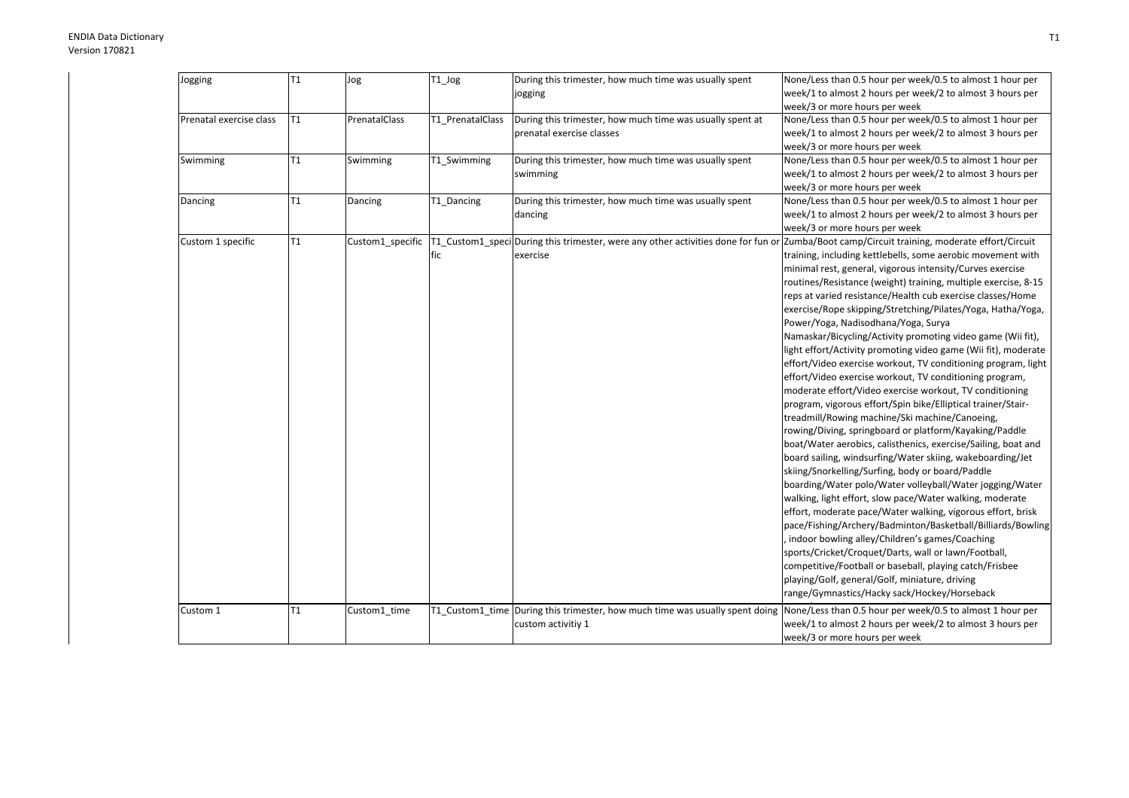| Jogging                 | T1             | Jog              | T1_Jog           | During this trimester, how much time was usually spent<br>jogging                 | None/Less than 0.5 hour per week/0.5 to almost 1 hour per<br>week/1 to almost 2 hours per week/2 to almost 3 hours per |
|-------------------------|----------------|------------------|------------------|-----------------------------------------------------------------------------------|------------------------------------------------------------------------------------------------------------------------|
|                         |                |                  |                  |                                                                                   | week/3 or more hours per week                                                                                          |
| Prenatal exercise class | T <sub>1</sub> | PrenatalClass    | T1 PrenatalClass | During this trimester, how much time was usually spent at                         | None/Less than 0.5 hour per week/0.5 to almost 1 hour per                                                              |
|                         |                |                  |                  | prenatal exercise classes                                                         | week/1 to almost 2 hours per week/2 to almost 3 hours per                                                              |
|                         |                |                  |                  |                                                                                   | week/3 or more hours per week                                                                                          |
| Swimming                | T1             | Swimming         | T1 Swimming      | During this trimester, how much time was usually spent                            | None/Less than 0.5 hour per week/0.5 to almost 1 hour per                                                              |
|                         |                |                  |                  | swimming                                                                          | week/1 to almost 2 hours per week/2 to almost 3 hours per                                                              |
|                         |                |                  |                  |                                                                                   | week/3 or more hours per week                                                                                          |
| Dancing                 | T1             | Dancing          | T1_Dancing       | During this trimester, how much time was usually spent                            | None/Less than 0.5 hour per week/0.5 to almost 1 hour per                                                              |
|                         |                |                  |                  | dancing                                                                           | week/1 to almost 2 hours per week/2 to almost 3 hours per                                                              |
|                         |                |                  |                  |                                                                                   | week/3 or more hours per week                                                                                          |
| Custom 1 specific       | T1             | Custom1 specific |                  | T1 Custom1 speci During this trimester, were any other activities done for fun or | Zumba/Boot camp/Circuit training, moderate effort/Circuit                                                              |
|                         |                |                  | fic              | exercise                                                                          | training, including kettlebells, some aerobic movement with                                                            |
|                         |                |                  |                  |                                                                                   | minimal rest, general, vigorous intensity/Curves exercise                                                              |
|                         |                |                  |                  |                                                                                   | routines/Resistance (weight) training, multiple exercise, 8-15                                                         |
|                         |                |                  |                  |                                                                                   | reps at varied resistance/Health cub exercise classes/Home                                                             |
|                         |                |                  |                  |                                                                                   | exercise/Rope skipping/Stretching/Pilates/Yoga, Hatha/Yoga,                                                            |
|                         |                |                  |                  |                                                                                   | Power/Yoga, Nadisodhana/Yoga, Surya                                                                                    |
|                         |                |                  |                  |                                                                                   | Namaskar/Bicycling/Activity promoting video game (Wii fit),                                                            |
|                         |                |                  |                  |                                                                                   | light effort/Activity promoting video game (Wii fit), moderate                                                         |
|                         |                |                  |                  |                                                                                   | effort/Video exercise workout, TV conditioning program, light                                                          |
|                         |                |                  |                  |                                                                                   | effort/Video exercise workout, TV conditioning program,                                                                |
|                         |                |                  |                  |                                                                                   | moderate effort/Video exercise workout, TV conditioning                                                                |
|                         |                |                  |                  |                                                                                   | program, vigorous effort/Spin bike/Elliptical trainer/Stair-                                                           |
|                         |                |                  |                  |                                                                                   | treadmill/Rowing machine/Ski machine/Canoeing,                                                                         |
|                         |                |                  |                  |                                                                                   | rowing/Diving, springboard or platform/Kayaking/Paddle                                                                 |
|                         |                |                  |                  |                                                                                   | boat/Water aerobics, calisthenics, exercise/Sailing, boat and                                                          |
|                         |                |                  |                  |                                                                                   | board sailing, windsurfing/Water skiing, wakeboarding/Jet                                                              |
|                         |                |                  |                  |                                                                                   | skiing/Snorkelling/Surfing, body or board/Paddle                                                                       |
|                         |                |                  |                  |                                                                                   | boarding/Water polo/Water volleyball/Water jogging/Water                                                               |
|                         |                |                  |                  |                                                                                   | walking, light effort, slow pace/Water walking, moderate                                                               |
|                         |                |                  |                  |                                                                                   | effort, moderate pace/Water walking, vigorous effort, brisk                                                            |
|                         |                |                  |                  |                                                                                   | pace/Fishing/Archery/Badminton/Basketball/Billiards/Bowling                                                            |
|                         |                |                  |                  |                                                                                   | indoor bowling alley/Children's games/Coaching                                                                         |
|                         |                |                  |                  |                                                                                   | sports/Cricket/Croquet/Darts, wall or lawn/Football,                                                                   |
|                         |                |                  |                  |                                                                                   | competitive/Football or baseball, playing catch/Frisbee                                                                |
|                         |                |                  |                  |                                                                                   | playing/Golf, general/Golf, miniature, driving                                                                         |
|                         |                |                  |                  |                                                                                   | range/Gymnastics/Hacky sack/Hockey/Horseback                                                                           |
| Custom 1                | T1             | Custom1 time     |                  | T1 Custom1 time During this trimester, how much time was usually spent doing      | None/Less than 0.5 hour per week/0.5 to almost 1 hour per                                                              |
|                         |                |                  |                  | custom activitiy 1                                                                | week/1 to almost 2 hours per week/2 to almost 3 hours per                                                              |
|                         |                |                  |                  |                                                                                   | week/3 or more hours per week                                                                                          |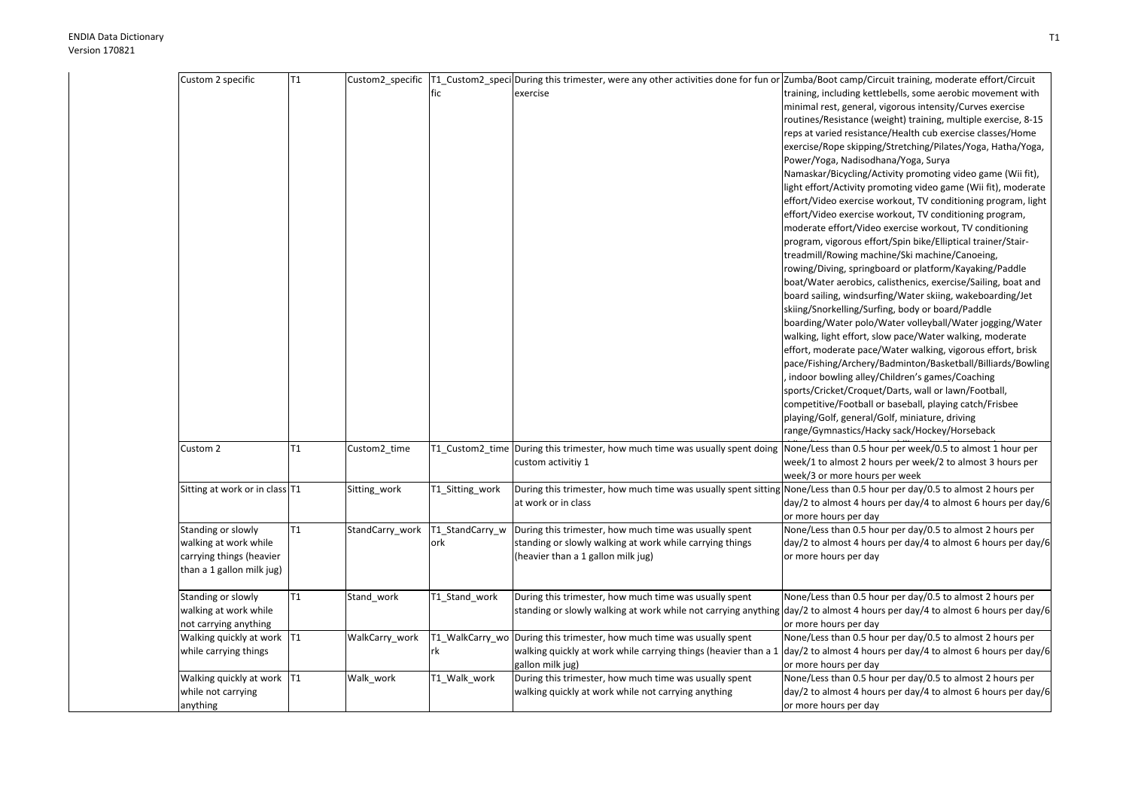| Custom 2 specific                                                                                    | T1 |                 | fic                    | Custom2 specific  T1 Custom2 speci During this trimester, were any other activities done for fun or Zumba/Boot camp/Circuit training, moderate effort/Circuit<br>exercise | training, including kettlebells, some aerobic movement with<br>minimal rest, general, vigorous intensity/Curves exercise<br>routines/Resistance (weight) training, multiple exercise, 8-15<br>reps at varied resistance/Health cub exercise classes/Home<br>exercise/Rope skipping/Stretching/Pilates/Yoga, Hatha/Yoga,<br>Power/Yoga, Nadisodhana/Yoga, Surya<br>Namaskar/Bicycling/Activity promoting video game (Wii fit),<br>light effort/Activity promoting video game (Wii fit), moderate<br>effort/Video exercise workout, TV conditioning program, light<br>effort/Video exercise workout, TV conditioning program,<br>moderate effort/Video exercise workout, TV conditioning<br>program, vigorous effort/Spin bike/Elliptical trainer/Stair-<br>treadmill/Rowing machine/Ski machine/Canoeing,<br>rowing/Diving, springboard or platform/Kayaking/Paddle<br>boat/Water aerobics, calisthenics, exercise/Sailing, boat and<br>board sailing, windsurfing/Water skiing, wakeboarding/Jet |
|------------------------------------------------------------------------------------------------------|----|-----------------|------------------------|---------------------------------------------------------------------------------------------------------------------------------------------------------------------------|--------------------------------------------------------------------------------------------------------------------------------------------------------------------------------------------------------------------------------------------------------------------------------------------------------------------------------------------------------------------------------------------------------------------------------------------------------------------------------------------------------------------------------------------------------------------------------------------------------------------------------------------------------------------------------------------------------------------------------------------------------------------------------------------------------------------------------------------------------------------------------------------------------------------------------------------------------------------------------------------------|
|                                                                                                      |    |                 |                        |                                                                                                                                                                           | skiing/Snorkelling/Surfing, body or board/Paddle<br>boarding/Water polo/Water volleyball/Water jogging/Water<br>walking, light effort, slow pace/Water walking, moderate<br>effort, moderate pace/Water walking, vigorous effort, brisk<br>pace/Fishing/Archery/Badminton/Basketball/Billiards/Bowling<br>indoor bowling alley/Children's games/Coaching<br>sports/Cricket/Croquet/Darts, wall or lawn/Football,<br>competitive/Football or baseball, playing catch/Frisbee<br>playing/Golf, general/Golf, miniature, driving<br>range/Gymnastics/Hacky sack/Hockey/Horseback                                                                                                                                                                                                                                                                                                                                                                                                                    |
| Custom 2                                                                                             | T1 | Custom2_time    |                        | T1_Custom2_time During this trimester, how much time was usually spent doing<br>custom activitiy 1                                                                        | None/Less than 0.5 hour per week/0.5 to almost 1 hour per<br>week/1 to almost 2 hours per week/2 to almost 3 hours per<br>week/3 or more hours per week                                                                                                                                                                                                                                                                                                                                                                                                                                                                                                                                                                                                                                                                                                                                                                                                                                          |
| Sitting at work or in class T1                                                                       |    | Sitting_work    | T1_Sitting_work        | During this trimester, how much time was usually spent sitting None/Less than 0.5 hour per day/0.5 to almost 2 hours per<br>at work or in class                           | day/2 to almost 4 hours per day/4 to almost 6 hours per day/6<br>or more hours per day                                                                                                                                                                                                                                                                                                                                                                                                                                                                                                                                                                                                                                                                                                                                                                                                                                                                                                           |
| Standing or slowly<br>walking at work while<br>carrying things (heavier<br>than a 1 gallon milk jug) | T1 | StandCarry_work | T1_StandCarry_w<br>ork | During this trimester, how much time was usually spent<br>standing or slowly walking at work while carrying things<br>(heavier than a 1 gallon milk jug)                  | None/Less than 0.5 hour per day/0.5 to almost 2 hours per<br>day/2 to almost 4 hours per day/4 to almost 6 hours per day/6<br>or more hours per day                                                                                                                                                                                                                                                                                                                                                                                                                                                                                                                                                                                                                                                                                                                                                                                                                                              |
| Standing or slowly<br>walking at work while<br>not carrying anything                                 | T1 | Stand_work      | T1_Stand_work          | During this trimester, how much time was usually spent                                                                                                                    | None/Less than 0.5 hour per day/0.5 to almost 2 hours per<br>standing or slowly walking at work while not carrying anything day/2 to almost 4 hours per day/4 to almost 6 hours per day/6<br>or more hours per day                                                                                                                                                                                                                                                                                                                                                                                                                                                                                                                                                                                                                                                                                                                                                                               |
| Walking quickly at work   T1<br>while carrying things                                                |    | WalkCarry_work  | rk                     | T1 WalkCarry wo During this trimester, how much time was usually spent<br>gallon milk jug)                                                                                | None/Less than 0.5 hour per day/0.5 to almost 2 hours per<br>walking quickly at work while carrying things (heavier than a 1 $\frac{1}{\text{day}}$ to almost 4 hours per day/4 to almost 6 hours per day/6<br>or more hours per day                                                                                                                                                                                                                                                                                                                                                                                                                                                                                                                                                                                                                                                                                                                                                             |
| Walking quickly at work   T1<br>while not carrying<br>anything                                       |    | Walk work       | T1 Walk work           | During this trimester, how much time was usually spent<br>walking quickly at work while not carrying anything                                                             | None/Less than 0.5 hour per day/0.5 to almost 2 hours per<br>day/2 to almost 4 hours per day/4 to almost 6 hours per day/6<br>or more hours per day                                                                                                                                                                                                                                                                                                                                                                                                                                                                                                                                                                                                                                                                                                                                                                                                                                              |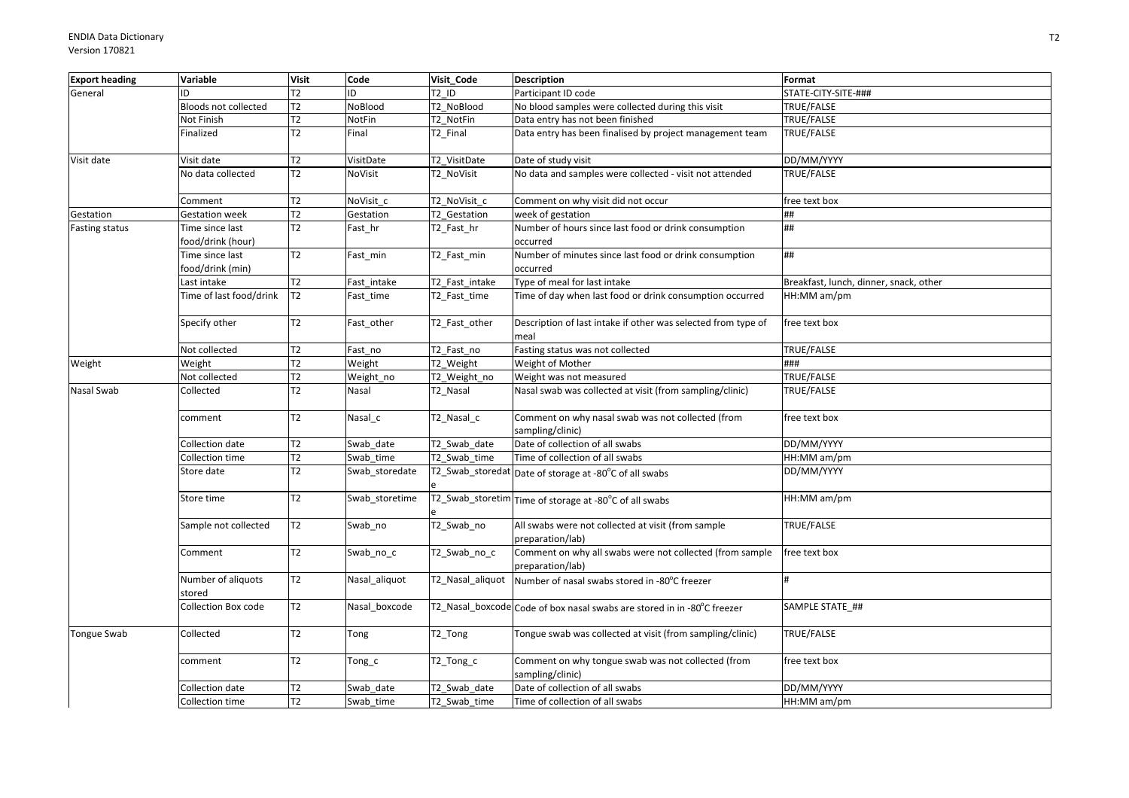| <b>Export heading</b> | Variable                             | <b>Visit</b>   | Code           | Visit Code       | <b>Description</b>                                                           | Format                                 |
|-----------------------|--------------------------------------|----------------|----------------|------------------|------------------------------------------------------------------------------|----------------------------------------|
| General               | ID                                   | T2             | ID             | T2 ID            | Participant ID code                                                          | STATE-CITY-SITE-###                    |
|                       | Bloods not collected                 | T2             | NoBlood        | T2 NoBlood       | No blood samples were collected during this visit                            | TRUE/FALSE                             |
|                       | Not Finish                           | T2             | NotFin         | T2 NotFin        | Data entry has not been finished                                             | TRUE/FALSE                             |
|                       | Finalized                            | T2             | Final          | T2 Final         | Data entry has been finalised by project management team                     | TRUE/FALSE                             |
| Visit date            | Visit date                           | T2             | VisitDate      | T2 VisitDate     | Date of study visit                                                          | DD/MM/YYYY                             |
|                       | No data collected                    | T2             | NoVisit        | T2_NoVisit       | No data and samples were collected - visit not attended                      | TRUE/FALSE                             |
|                       | Comment                              | T2             | NoVisit_c      | T2_NoVisit_c     | Comment on why visit did not occur                                           | free text box                          |
| Gestation             | <b>Gestation week</b>                | T2             | Gestation      | T2 Gestation     | week of gestation                                                            | ##                                     |
| Fasting status        | Time since last<br>food/drink (hour) | T2             | Fast_hr        | T2_Fast_hr       | Number of hours since last food or drink consumption<br>occurred             | ##                                     |
|                       | Time since last<br>food/drink (min)  | T2             | Fast_min       | T2_Fast_min      | Number of minutes since last food or drink consumption<br>occurred           | ##                                     |
|                       | Last intake                          | T2             | Fast intake    | T2 Fast intake   | Type of meal for last intake                                                 | Breakfast, lunch, dinner, snack, other |
|                       | Time of last food/drink              | T <sub>2</sub> | Fast_time      | T2_Fast_time     | Time of day when last food or drink consumption occurred                     | HH:MM am/pm                            |
|                       | Specify other                        | T2             | Fast_other     | T2 Fast other    | Description of last intake if other was selected from type of<br>meal        | free text box                          |
|                       | Not collected                        | T2             | Fast_no        | T2 Fast no       | Fasting status was not collected                                             | TRUE/FALSE                             |
| Weight                | Weight                               | T2             | Weight         | T2 Weight        | Weight of Mother                                                             | ###                                    |
|                       | Not collected                        | T2             | Weight no      | T2 Weight no     | Weight was not measured                                                      | TRUE/FALSE                             |
| Nasal Swab            | Collected                            | T2             | Nasal          | T2_Nasal         | Nasal swab was collected at visit (from sampling/clinic)                     | TRUE/FALSE                             |
|                       | comment                              | T2             | Nasal_c        | T2_Nasal_c       | Comment on why nasal swab was not collected (from<br>sampling/clinic)        | free text box                          |
|                       | Collection date                      | T2             | Swab date      | T2 Swab date     | Date of collection of all swabs                                              | DD/MM/YYYY                             |
|                       | Collection time                      | T2             | Swab_time      | T2 Swab time     | Time of collection of all swabs                                              | HH:MM am/pm                            |
|                       | Store date                           | T2             | Swab_storedate |                  | T2_Swab_storedat Date of storage at -80°C of all swabs                       | DD/MM/YYYY                             |
|                       | Store time                           | T2             | Swab storetime |                  | T2_Swab_storetim Time of storage at -80°C of all swabs                       | HH:MM am/pm                            |
|                       | Sample not collected                 | T2             | Swab_no        | T2_Swab_no       | All swabs were not collected at visit (from sample<br>preparation/lab)       | TRUE/FALSE                             |
|                       | Comment                              | T2             | Swab_no_c      | T2_Swab_no_c     | Comment on why all swabs were not collected (from sample<br>preparation/lab) | free text box                          |
|                       | Number of aliquots<br>stored         | T2             | Nasal_aliquot  | T2_Nasal_aliquot | Number of nasal swabs stored in -80°C freezer                                |                                        |
|                       | Collection Box code                  | T2             | Nasal boxcode  |                  | T2_Nasal_boxcode Code of box nasal swabs are stored in in -80°C freezer      | SAMPLE STATE ##                        |
| <b>Tongue Swab</b>    | Collected                            | T2             | Tong           | T2_Tong          | Tongue swab was collected at visit (from sampling/clinic)                    | TRUE/FALSE                             |
|                       | comment                              | T2             | Tong_c         | T2_Tong_c        | Comment on why tongue swab was not collected (from<br>sampling/clinic)       | free text box                          |
|                       | Collection date                      | T2             | Swab date      | T2 Swab date     | Date of collection of all swabs                                              | DD/MM/YYYY                             |
|                       | Collection time                      | T2             | Swab time      | T2 Swab time     | Time of collection of all swabs                                              | HH:MM am/pm                            |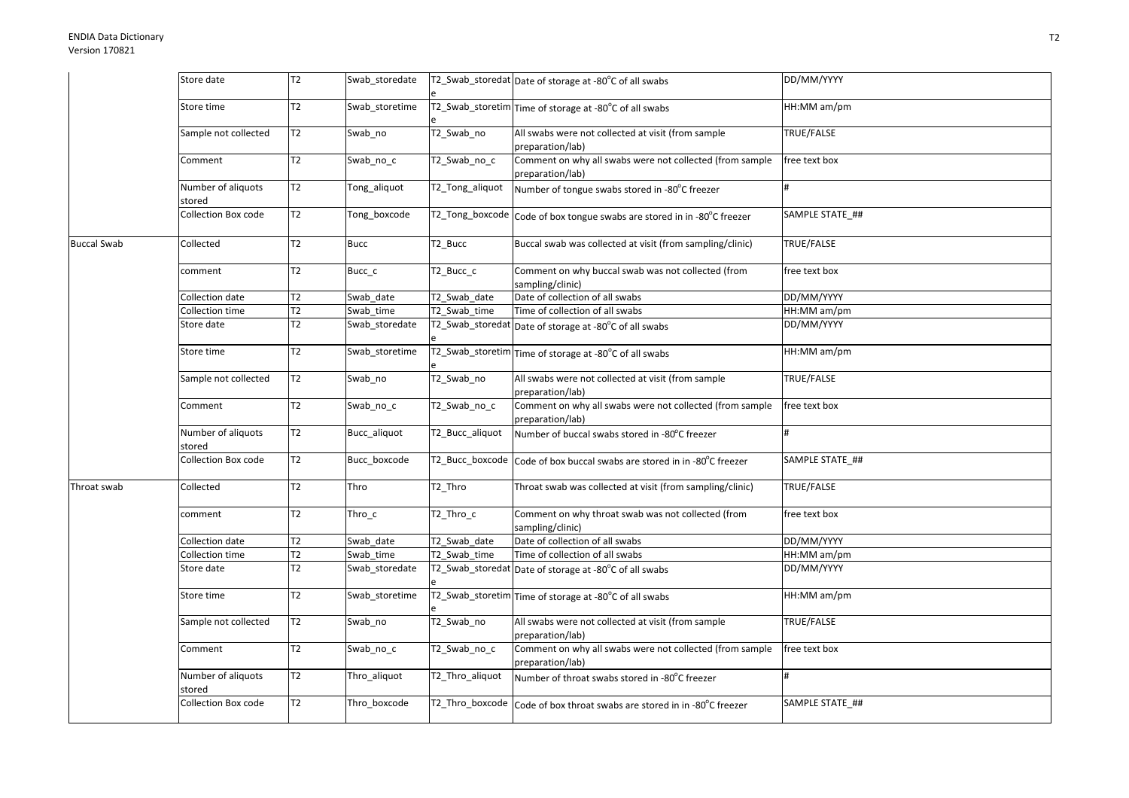|                    | Store date                   | T <sub>2</sub> | Swab_storedate |                 | T2_Swab_storedat Date of storage at -80°C of all swabs                       | DD/MM/YYYY        |
|--------------------|------------------------------|----------------|----------------|-----------------|------------------------------------------------------------------------------|-------------------|
|                    | Store time                   | T2             | Swab_storetime |                 | T2_Swab_storetim Time of storage at -80°C of all swabs                       | HH:MM am/pm       |
|                    | Sample not collected         | T2             | Swab_no        | T2_Swab_no      | All swabs were not collected at visit (from sample<br>preparation/lab)       | TRUE/FALSE        |
|                    | Comment                      | T2             | Swab_no_c      | T2_Swab_no_c    | Comment on why all swabs were not collected (from sample<br>preparation/lab) | free text box     |
|                    | Number of aliquots<br>stored | T2             | Tong_aliquot   | T2_Tong_aliquot | Number of tongue swabs stored in -80°C freezer                               | #                 |
|                    | Collection Box code          | T2             | Tong_boxcode   |                 | T2_Tong_boxcode Code of box tongue swabs are stored in in -80°C freezer      | SAMPLE STATE ##   |
| <b>Buccal Swab</b> | Collected                    | T2             | <b>Bucc</b>    | T2 Bucc         | Buccal swab was collected at visit (from sampling/clinic)                    | TRUE/FALSE        |
|                    | comment                      | T <sub>2</sub> | Bucc_c         | T2 Bucc c       | Comment on why buccal swab was not collected (from<br>sampling/clinic)       | free text box     |
|                    | Collection date              | T2             | Swab date      | T2 Swab date    | Date of collection of all swabs                                              | DD/MM/YYYY        |
|                    | Collection time              | T2             | Swab time      | T2 Swab time    | Time of collection of all swabs                                              | HH:MM am/pm       |
|                    | Store date                   | T <sub>2</sub> | Swab_storedate |                 | T2_Swab_storedat Date of storage at -80°C of all swabs                       | DD/MM/YYYY        |
|                    | Store time                   | T2             | Swab storetime |                 | T2_Swab_storetim Time of storage at -80°C of all swabs                       | HH:MM am/pm       |
|                    | Sample not collected         | T2             | Swab no        | T2_Swab_no      | All swabs were not collected at visit (from sample<br>preparation/lab)       | TRUE/FALSE        |
|                    | Comment                      | T2             | Swab no c      | T2 Swab no c    | Comment on why all swabs were not collected (from sample<br>preparation/lab) | free text box     |
|                    | Number of aliquots<br>stored | T2             | Bucc_aliquot   | T2_Bucc_aliquot | Number of buccal swabs stored in -80°C freezer                               | #                 |
|                    | Collection Box code          | T2             | Bucc_boxcode   | T2_Bucc_boxcode | Code of box buccal swabs are stored in in -80°C freezer                      | SAMPLE STATE ##   |
| Throat swab        | Collected                    | T2             | Thro           | T2 Thro         | Throat swab was collected at visit (from sampling/clinic)                    | <b>TRUE/FALSE</b> |
|                    | comment                      | T2             | Thro_c         | T2 Thro c       | Comment on why throat swab was not collected (from<br>sampling/clinic)       | free text box     |
|                    | Collection date              | T2             | Swab date      | T2 Swab date    | Date of collection of all swabs                                              | DD/MM/YYYY        |
|                    | Collection time              | T2             | Swab time      | T2 Swab time    | Time of collection of all swabs                                              | HH:MM am/pm       |
|                    | Store date                   | T <sub>2</sub> | Swab_storedate |                 | T2_Swab_storedat Date of storage at -80°C of all swabs                       | DD/MM/YYYY        |
|                    | Store time                   | T2             | Swab storetime |                 | T2_Swab_storetim Time of storage at -80°C of all swabs                       | HH:MM am/pm       |
|                    | Sample not collected         | T2             | Swab_no        | T2_Swab_no      | All swabs were not collected at visit (from sample<br>preparation/lab)       | TRUE/FALSE        |
|                    | Comment                      | T2             | Swab_no_c      | T2_Swab_no_c    | Comment on why all swabs were not collected (from sample<br>preparation/lab) | free text box     |
|                    | Number of aliquots<br>stored | T2             | Thro_aliquot   | T2_Thro_aliquot | Number of throat swabs stored in -80°C freezer                               |                   |
|                    | Collection Box code          | T2             | Thro_boxcode   |                 | T2_Thro_boxcode   Code of box throat swabs are stored in in -80°C freezer    | SAMPLE STATE ##   |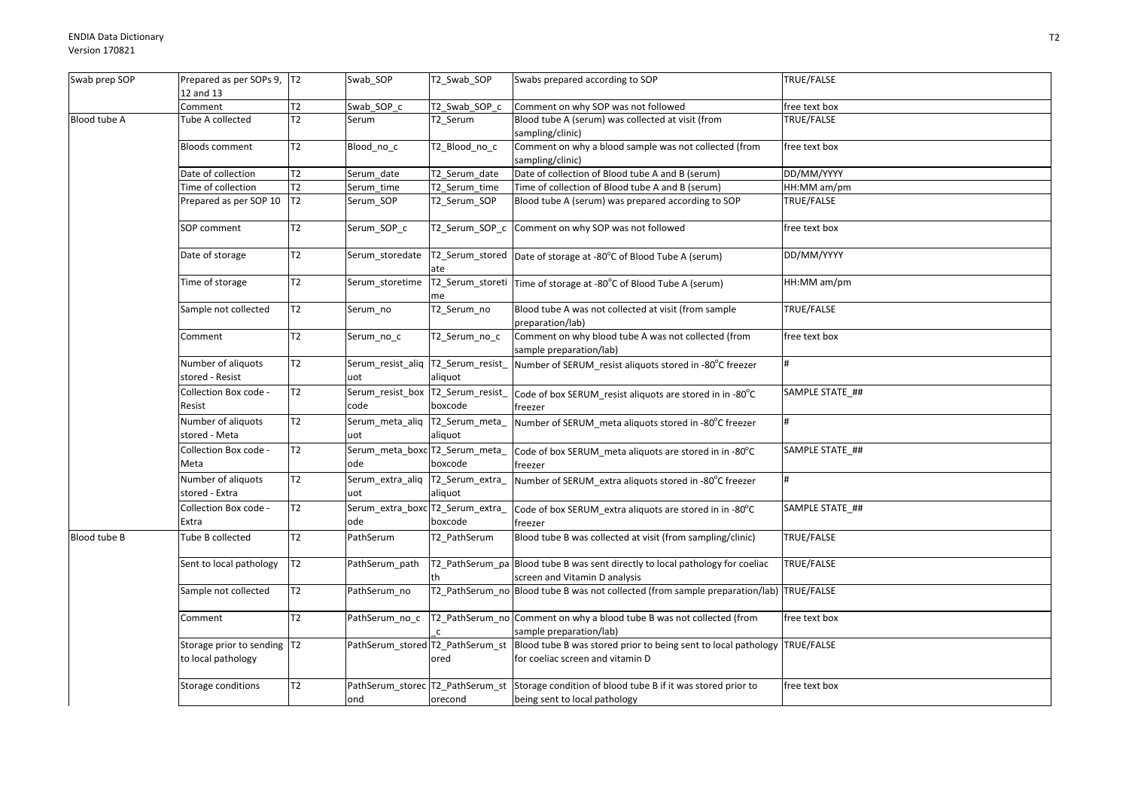| Swab prep SOP | Prepared as per SOPs 9, T2<br>12 and 13            |                 | Swab_SOP                                  | T2 Swab SOP                   | Swabs prepared according to SOP                                                                                                     | TRUE/FALSE        |
|---------------|----------------------------------------------------|-----------------|-------------------------------------------|-------------------------------|-------------------------------------------------------------------------------------------------------------------------------------|-------------------|
|               | Comment                                            | T <sub>2</sub>  | Swab SOP c                                | T2 Swab SOP c                 | Comment on why SOP was not followed                                                                                                 | free text box     |
| Blood tube A  | Tube A collected                                   | $\overline{12}$ | Serum                                     | $\overline{\text{T2}}$ _Serum | Blood tube A (serum) was collected at visit (from<br>sampling/clinic)                                                               | <b>TRUE/FALSE</b> |
|               | <b>Bloods comment</b>                              | T2              | Blood_no_c                                | T2_Blood_no_c                 | Comment on why a blood sample was not collected (from<br>sampling/clinic)                                                           | free text box     |
|               | Date of collection                                 | T2              | Serum date                                | T2_Serum_date                 | Date of collection of Blood tube A and B (serum)                                                                                    | DD/MM/YYYY        |
|               | Time of collection                                 | T2              | Serum time                                | T2_Serum_time                 | Time of collection of Blood tube A and B (serum)                                                                                    | HH:MM am/pm       |
|               | Prepared as per SOP 10                             | T <sub>2</sub>  | Serum_SOP                                 | T2_Serum_SOP                  | Blood tube A (serum) was prepared according to SOP                                                                                  | TRUE/FALSE        |
|               | SOP comment                                        | T <sub>2</sub>  | Serum SOP c                               | T2 Serum SOP c                | Comment on why SOP was not followed                                                                                                 | free text box     |
|               | Date of storage                                    | T <sub>2</sub>  | Serum_storedate                           | ate                           | T2_Serum_stored   Date of storage at -80°C of Blood Tube A (serum)                                                                  | DD/MM/YYYY        |
|               | Time of storage                                    | T <sub>2</sub>  | Serum_storetime                           | me                            | T2_Serum_storeti   Time of storage at -80°C of Blood Tube A (serum)                                                                 | HH:MM am/pm       |
|               | Sample not collected                               | T <sub>2</sub>  | Serum_no                                  | T2_Serum_no                   | Blood tube A was not collected at visit (from sample<br>preparation/lab)                                                            | TRUE/FALSE        |
|               | Comment                                            | T <sub>2</sub>  | Serum_no_c                                | T2_Serum_no_c                 | Comment on why blood tube A was not collected (from<br>sample preparation/lab)                                                      | free text box     |
|               | Number of aliquots<br>stored - Resist              | T2              | Serum_resist_aliq T2_Serum_resist_<br>uot | aliquot                       | Number of SERUM_resist aliquots stored in -80°C freezer                                                                             |                   |
|               | Collection Box code -<br>Resist                    | T2              | Serum_resist_box T2_Serum_resist_<br>code | boxcode                       | Code of box SERUM_resist aliquots are stored in in -80 $^{\circ}$ C<br>freezer                                                      | SAMPLE STATE ##   |
|               | Number of aliquots<br>stored - Meta                | T2              | Serum_meta_aliq<br>uot                    | T2_Serum_meta_<br>aliquot     | Number of SERUM_meta aliquots stored in -80°C freezer                                                                               | #                 |
|               | Collection Box code -<br>Meta                      | T2              | Serum_meta_boxc T2_Serum_meta_<br>ode     | boxcode                       | Code of box SERUM_meta aliquots are stored in in -80°C<br>freezer                                                                   | SAMPLE STATE ##   |
|               | Number of aliquots<br>stored - Extra               | T2              | Serum_extra_aliq  T2_Serum_extra_<br>uot  | aliquot                       | Number of SERUM_extra aliquots stored in -80°C freezer                                                                              |                   |
|               | Collection Box code -<br>Extra                     | T2              | Serum_extra_boxc T2_Serum_extra_<br>ode   | boxcode                       | Code of box SERUM_extra aliquots are stored in in -80°C<br>freezer                                                                  | SAMPLE STATE ##   |
| Blood tube B  | Tube B collected                                   | T2              | PathSerum                                 | T2_PathSerum                  | Blood tube B was collected at visit (from sampling/clinic)                                                                          | TRUE/FALSE        |
|               | Sent to local pathology                            | T2              | PathSerum_path                            | th                            | T2_PathSerum_pa Blood tube B was sent directly to local pathology for coeliac<br>screen and Vitamin D analysis                      | TRUE/FALSE        |
|               | Sample not collected                               | T <sub>2</sub>  | PathSerum no                              |                               | T2_PathSerum_no Blood tube B was not collected (from sample preparation/lab) TRUE/FALSE                                             |                   |
|               | Comment                                            | T2              | PathSerum_no_c                            |                               | T2_PathSerum_no Comment on why a blood tube B was not collected (from<br>sample preparation/lab)                                    | free text box     |
|               | Storage prior to sending  T2<br>to local pathology |                 |                                           | ored                          | PathSerum_stored T2_PathSerum_st Blood tube B was stored prior to being sent to local pathology<br>for coeliac screen and vitamin D | TRUE/FALSE        |
|               | Storage conditions                                 | T2              | ond                                       | orecond                       | PathSerum_storec   T2_PathSerum_st   Storage condition of blood tube B if it was stored prior to<br>being sent to local pathology   | free text box     |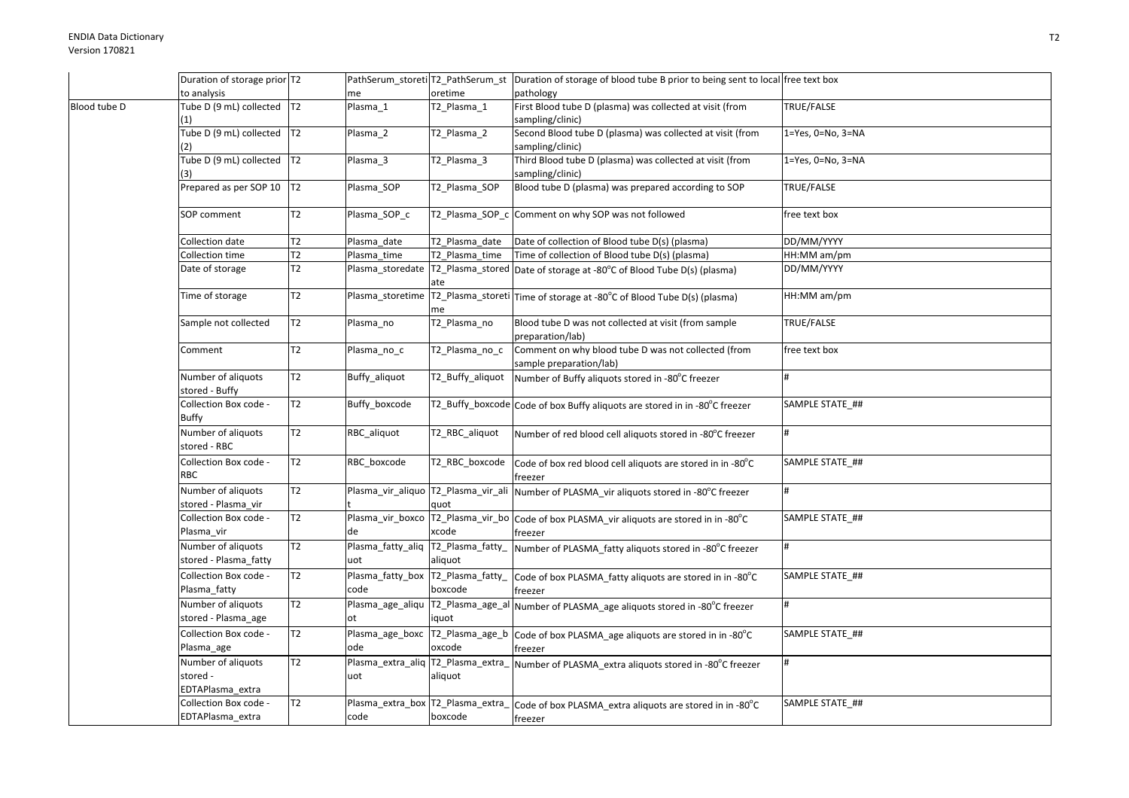|              | Duration of storage prior T2                       |                |                                            |                             | PathSerum_storeti T2_PathSerum_st Duration of storage of blood tube B prior to being sent to local free text box |                           |
|--------------|----------------------------------------------------|----------------|--------------------------------------------|-----------------------------|------------------------------------------------------------------------------------------------------------------|---------------------------|
|              | to analysis                                        |                | me                                         | oretime                     | pathology                                                                                                        |                           |
| Blood tube D | Tube D (9 mL) collected T2                         |                | Plasma 1                                   | T2_Plasma_1                 | First Blood tube D (plasma) was collected at visit (from                                                         | TRUE/FALSE                |
|              | (1)                                                |                |                                            |                             | sampling/clinic)                                                                                                 |                           |
|              | Tube D (9 mL) collected T2                         |                | Plasma_2                                   | T2_Plasma_2                 | Second Blood tube D (plasma) was collected at visit (from                                                        | $1 = Yes, 0 = No, 3 = NA$ |
|              | (2)                                                |                |                                            |                             | sampling/clinic)                                                                                                 |                           |
|              | Tube D (9 mL) collected T2                         |                | Plasma_3                                   | $\overline{12}$ _Plasma_3   | Third Blood tube D (plasma) was collected at visit (from                                                         | 1=Yes, 0=No, 3=NA         |
|              |                                                    |                |                                            |                             | sampling/clinic)                                                                                                 |                           |
|              | Prepared as per SOP 10                             | T <sub>2</sub> | Plasma SOP                                 | T2 Plasma SOP               | Blood tube D (plasma) was prepared according to SOP                                                              | TRUE/FALSE                |
|              | SOP comment                                        | T2             | Plasma_SOP_c                               |                             | T2_Plasma_SOP_c Comment on why SOP was not followed                                                              | free text box             |
|              | Collection date                                    | T2             | Plasma date                                | T2_Plasma_date              | Date of collection of Blood tube D(s) (plasma)                                                                   | DD/MM/YYYY                |
|              | Collection time                                    | Т2             | Plasma_time                                | T2_Plasma_time              | Time of collection of Blood tube D(s) (plasma)                                                                   | HH:MM am/pm               |
|              | Date of storage                                    | T2             | Plasma_storedate                           |                             | T2_Plasma_stored Date of storage at -80°C of Blood Tube D(s) (plasma)                                            | DD/MM/YYYY                |
|              |                                                    |                |                                            | ate                         |                                                                                                                  |                           |
|              | Time of storage                                    | T2             | Plasma storetime                           | ne                          | T2_Plasma_storeti Time of storage at -80°C of Blood Tube D(s) (plasma)                                           | HH:MM am/pm               |
|              | Sample not collected                               | T2             | Plasma_no                                  | T2_Plasma_no                | Blood tube D was not collected at visit (from sample<br>preparation/lab)                                         | TRUE/FALSE                |
|              | Comment                                            | T2             | Plasma_no_c                                | T2_Plasma_no_c              | Comment on why blood tube D was not collected (from<br>sample preparation/lab)                                   | free text box             |
|              | Number of aliquots<br>stored - Buffy               | T2             | Buffy_aliquot                              | T2_Buffy_aliquot            | Number of Buffy aliquots stored in -80°C freezer                                                                 | #                         |
|              | Collection Box code -<br>Buffy                     | T2             | Buffy_boxcode                              |                             | T2_Buffy_boxcode Code of box Buffy aliquots are stored in in -80°C freezer                                       | SAMPLE STATE ##           |
|              | Number of aliquots<br>stored - RBC                 | T2             | RBC_aliquot                                | T2_RBC_aliquot              | Number of red blood cell aliquots stored in -80°C freezer                                                        | #                         |
|              | Collection Box code -<br>RBC                       | T2             | RBC boxcode                                | T2 RBC boxcode              | Code of box red blood cell aliquots are stored in in -80°C<br>freezer                                            | SAMPLE STATE ##           |
|              | Number of aliquots<br>stored - Plasma vir          | T2             |                                            | quot                        | Plasma_vir_aliquo T2_Plasma_vir_ali Number of PLASMA_vir aliquots stored in -80°C freezer                        | #                         |
|              | Collection Box code -<br>Plasma_vir                | T2             | de                                         | xcode                       | Plasma_vir_boxco   T2_Plasma_vir_bo   Code of box PLASMA_vir aliquots are stored in in -80°C<br>freezer          | SAMPLE STATE_##           |
|              | Number of aliquots<br>stored - Plasma_fatty        | T2             | Plasma_fatty_aliq  T2_Plasma_fatty_<br>uot | aliquot                     | Number of PLASMA_fatty aliquots stored in -80°C freezer                                                          | #                         |
|              | Collection Box code -<br>Plasma_fatty              | T2             | Plasma_fatty_box<br>code                   | T2_Plasma_fatty_<br>boxcode | Code of box PLASMA_fatty aliquots are stored in in -80°C<br>freezer                                              | SAMPLE STATE ##           |
|              | Number of aliquots<br>stored - Plasma_age          | T <sub>2</sub> | Plasma_age_aliqu<br>ot                     | iquot                       | T2_Plasma_age_al Number of PLASMA_age aliquots stored in -80°C freezer                                           | #                         |
|              | Collection Box code -<br>Plasma_age                | T2             | Plasma_age_boxc T2_Plasma_age_b<br>ode     | oxcode                      | Code of box PLASMA age aliquots are stored in in -80°C<br>freezer                                                | SAMPLE STATE ##           |
|              | Number of aliquots<br>stored -<br>EDTAPlasma_extra | T2             | Plasma_extra_aliq T2_Plasma_extra_<br>uot  | aliquot                     | Number of PLASMA_extra aliquots stored in -80°C freezer                                                          | #                         |
|              | Collection Box code -<br>EDTAPlasma extra          | T2             | Plasma_extra_box T2_Plasma_extra_<br>code  | boxcode                     | Code of box PLASMA extra aliquots are stored in in -80°C<br>freezer                                              | SAMPLE STATE ##           |
|              |                                                    |                |                                            |                             |                                                                                                                  |                           |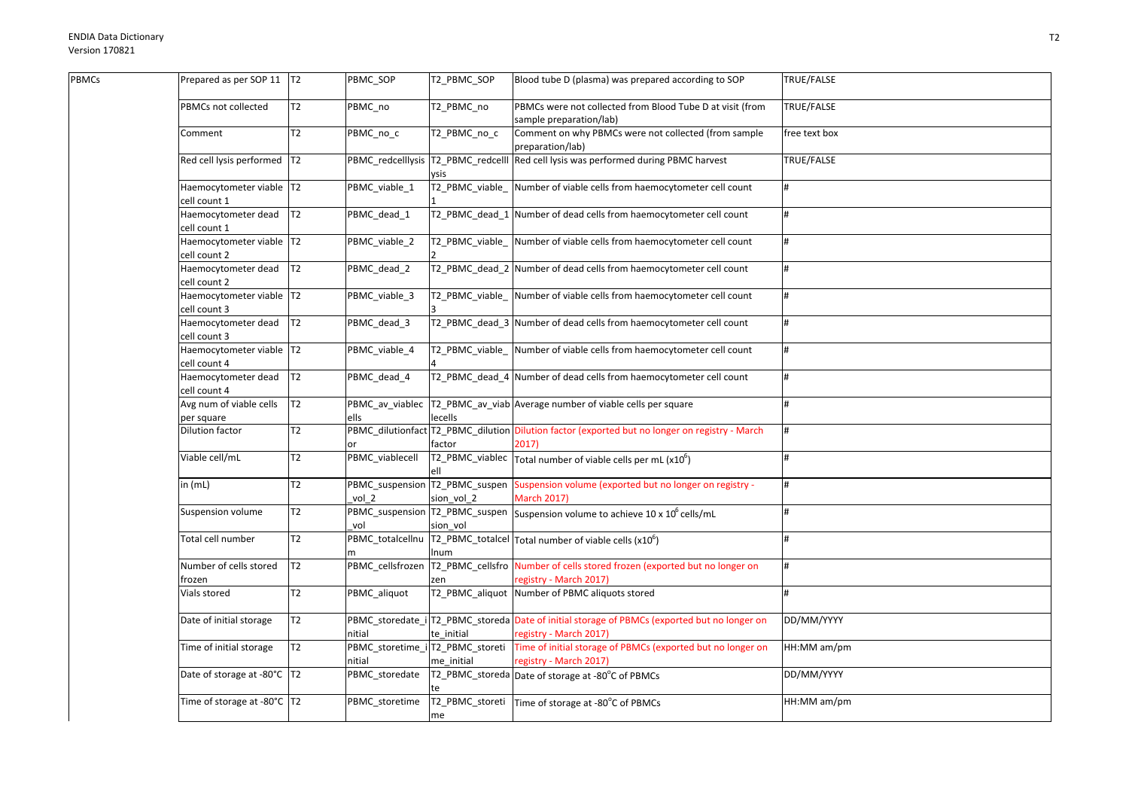Гъ

| <b>BMCs</b> | Prepared as per SOP 11   T2                |                | PBMC_SOP                                   | T2_PBMC_SOP              | Blood tube D (plasma) was prepared according to SOP                                                                    | TRUE/FALSE          |
|-------------|--------------------------------------------|----------------|--------------------------------------------|--------------------------|------------------------------------------------------------------------------------------------------------------------|---------------------|
|             | PBMCs not collected                        | T2             | PBMC no                                    | T2 PBMC no               | PBMCs were not collected from Blood Tube D at visit (from<br>sample preparation/lab)                                   | TRUE/FALSE          |
|             | Comment                                    | T <sub>2</sub> | PBMC_no_c                                  | T2_PBMC_no_c             | Comment on why PBMCs were not collected (from sample<br>preparation/lab)                                               | free text box       |
|             | Red cell lysis performed  T2               |                | PBMC redcelllysis                          | T2 PBMC redcelll<br>ysis | Red cell lysis was performed during PBMC harvest                                                                       | <b>TRUE/FALSE</b>   |
|             | Haemocytometer viable T2<br>cell count 1   |                | PBMC_viable_1                              | T2_PBMC_viable_          | Number of viable cells from haemocytometer cell count                                                                  | #                   |
|             | Haemocytometer dead<br>cell count 1        | IT2            | PBMC_dead_1                                |                          | T2_PBMC_dead_1 Number of dead cells from haemocytometer cell count                                                     |                     |
|             | Haemocytometer viable   T2<br>cell count 2 |                | PBMC_viable_2                              |                          | T2_PBMC_viable_ Number of viable cells from haemocytometer cell count                                                  | #                   |
|             | Haemocytometer dead<br>cell count 2        | T2             | PBMC_dead_2                                |                          | T2 PBMC dead 2 Number of dead cells from haemocytometer cell count                                                     | #                   |
|             | Haemocytometer viable   T2<br>cell count 3 |                | PBMC_viable_3                              | T2_PBMC_viable_          | Number of viable cells from haemocytometer cell count                                                                  | #                   |
|             | Haemocytometer dead<br>cell count 3        | T2             | PBMC_dead_3                                |                          | T2_PBMC_dead_3 Number of dead cells from haemocytometer cell count                                                     | #                   |
|             | Haemocytometer viable T2<br>cell count 4   |                | PBMC_viable_4                              | T2_PBMC_viable_          | Number of viable cells from haemocytometer cell count                                                                  | #                   |
|             | Haemocytometer dead<br>cell count 4        | T2             | PBMC_dead_4                                |                          | T2_PBMC_dead_4 Number of dead cells from haemocytometer cell count                                                     |                     |
|             | Avg num of viable cells<br>per square      | T <sub>2</sub> | PBMC av viablec<br>ells                    | lecells                  | T2_PBMC_av_viab Average number of viable cells per square                                                              | #                   |
|             | Dilution factor                            | T <sub>2</sub> | or                                         | factor                   | PBMC_dilutionfact T2_PBMC_dilution Dilution factor (exported but no longer on registry - March<br>2017)                |                     |
|             | Viable cell/mL                             | T2             | PBMC_viablecell                            | ell                      | T2_PBMC_viablec $\vert$ Total number of viable cells per mL (x10 <sup>6</sup> )                                        | $\mathbf{\ddot{H}}$ |
|             | in (mL)                                    | T <sub>2</sub> | vol 2                                      | sion vol 2               | PBMC_suspension T2_PBMC_suspen Suspension volume (exported but no longer on registry -<br><b>March 2017)</b>           |                     |
|             | Suspension volume                          | T <sub>2</sub> | vol                                        | sion vol                 | PBMC_suspension T2_PBMC_suspen Suspension volume to achieve 10 x 10 <sup>6</sup> cells/mL                              | #                   |
|             | Total cell number                          | T2             | PBMC totalcellnu                           | Inum                     | $T2$ PBMC_totalcel Total number of viable cells (x10 <sup>6</sup> )                                                    | #                   |
|             | Number of cells stored<br>frozen           | T <sub>2</sub> | PBMC_cellsfrozen T2_PBMC_cellsfro          | zen                      | Number of cells stored frozen (exported but no longer on<br>registry - March 2017)                                     | #                   |
|             | Vials stored                               | T2             | PBMC_aliquot                               | T2_PBMC_aliquot          | Number of PBMC aliquots stored                                                                                         | #                   |
|             | Date of initial storage                    | T <sub>2</sub> | nitial                                     | te initial               | PBMC_storedate_i T2_PBMC_storeda Date of initial storage of PBMCs (exported but no longer on<br>registry - March 2017) | DD/MM/YYYY          |
|             | Time of initial storage                    | T <sub>2</sub> | PBMC_storetime_i T2_PBMC_storeti<br>nitial | me initial               | Time of initial storage of PBMCs (exported but no longer on<br>registry - March 2017)                                  | HH:MM am/pm         |
|             | Date of storage at -80°C   T2              |                | PBMC_storedate                             |                          | T2_PBMC_storeda Date of storage at -80°C of PBMCs                                                                      | DD/MM/YYYY          |
|             | Time of storage at -80°C T2                |                | PBMC_storetime                             | me                       | T2_PBMC_storeti Time of storage at -80°C of PBMCs                                                                      | HH:MM am/pm         |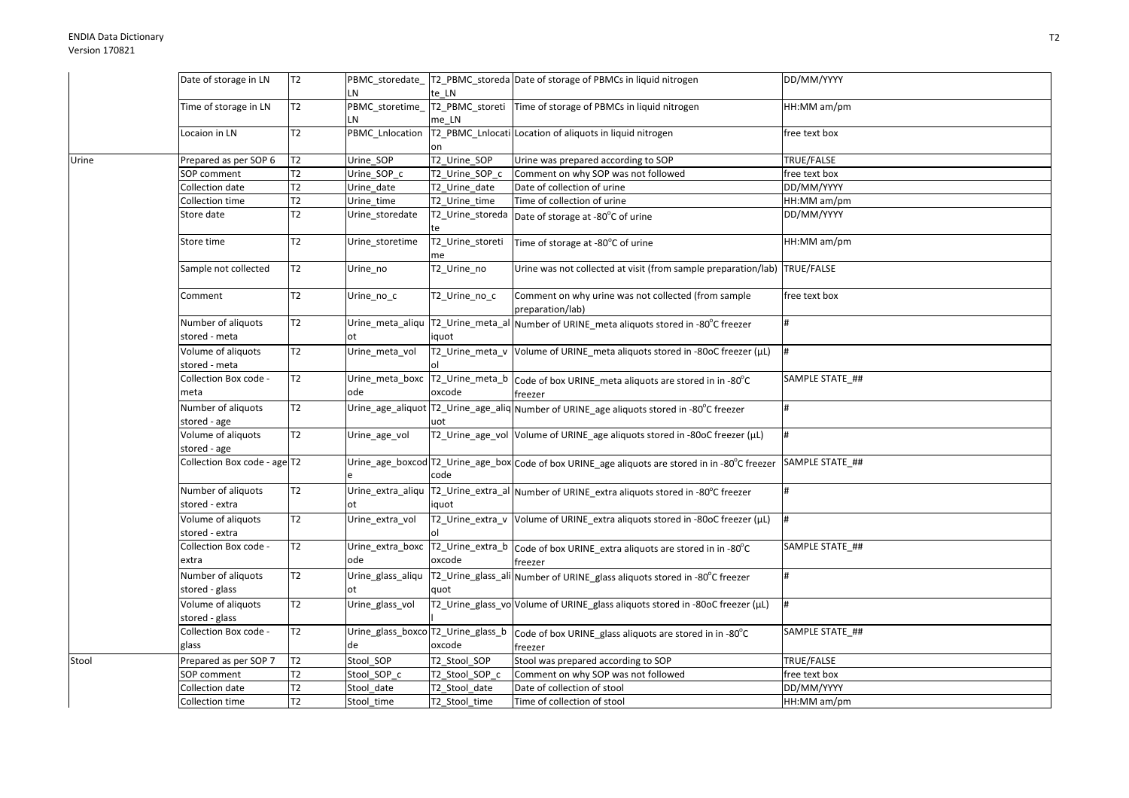|       | Date of storage in LN                | T2             |                         |                        | PBMC_storedate_T2_PBMC_storeda Date of storage of PBMCs in liquid nitrogen                              | DD/MM/YYYY      |
|-------|--------------------------------------|----------------|-------------------------|------------------------|---------------------------------------------------------------------------------------------------------|-----------------|
|       |                                      |                | LN                      | te LN                  |                                                                                                         |                 |
|       | Time of storage in LN                | T <sub>2</sub> | PBMC_storetime_         |                        | T2_PBMC_storeti Time of storage of PBMCs in liquid nitrogen                                             | HH:MM am/pm     |
|       |                                      |                | LN                      | me LN                  |                                                                                                         |                 |
|       | Locaion in LN                        | T2             | PBMC_Lnlocation         | on                     | T2_PBMC_Lnlocati Location of aliquots in liquid nitrogen                                                | ree text box    |
| Urine | Prepared as per SOP 6                | T <sub>2</sub> | Urine SOP               | T2_Urine_SOP           | Urine was prepared according to SOP                                                                     | TRUE/FALSE      |
|       | SOP comment                          | T <sub>2</sub> | Urine_SOP_c             | T2 Urine SOP c         | Comment on why SOP was not followed                                                                     | free text box   |
|       | Collection date                      | T2             | Urine_date              | T2 Urine date          | Date of collection of urine                                                                             | DD/MM/YYYY      |
|       | Collection time                      | T <sub>2</sub> | Urine_time              | T2_Urine_time          | Time of collection of urine                                                                             | HH:MM am/pm     |
|       | Store date                           | T2             | Urine storedate         | te                     | T2_Urine_storeda Date of storage at -80°C of urine                                                      | DD/MM/YYYY      |
|       | Store time                           | T <sub>2</sub> | Urine storetime         | T2_Urine_storeti<br>me | Time of storage at -80°C of urine                                                                       | HH:MM am/pm     |
|       | Sample not collected                 | T <sub>2</sub> | Urine_no                | T2_Urine_no            | Urine was not collected at visit (from sample preparation/lab) TRUE/FALSE                               |                 |
|       | Comment                              | T <sub>2</sub> | Urine_no_c              | T2_Urine_no_c          | Comment on why urine was not collected (from sample<br>preparation/lab)                                 | free text box   |
|       | Number of aliquots<br>stored - meta  | T2             | Urine meta aliqu<br>ot  | iquot                  | T2_Urine_meta_al Number of URINE_meta aliquots stored in -80°C freezer                                  |                 |
|       | Volume of aliquots<br>stored - meta  | T2             | Urine_meta_vol          | lol                    | T2_Urine_meta_v Volume of URINE_meta aliquots stored in -80oC freezer (µL)                              |                 |
|       | Collection Box code -<br>meta        | T <sub>2</sub> | ode                     | oxcode                 | Urine_meta_boxc T2_Urine_meta_b Code of box URINE_meta aliquots are stored in in -80°C<br>freezer       | SAMPLE STATE ## |
|       | Number of aliquots<br>stored - age   | T2             |                         | uot                    | Urine_age_aliquot   T2_Urine_age_aliq Number of URINE_age aliquots stored in -80°C freezer              | #               |
|       | Volume of aliquots<br>stored - age   | T2             | Urine age vol           |                        | T2_Urine_age_vol Volume of URINE_age aliquots stored in -80oC freezer (µL)                              |                 |
|       | Collection Box code - age T2         |                |                         | code                   | Urine_age_boxcod T2_Urine_age_box Code of box URINE_age aliquots are stored in in -80°C freezer         | SAMPLE STATE ## |
|       | Number of aliquots<br>stored - extra | T2             | ot                      | iquot                  | Urine_extra_aliqu  T2_Urine_extra_al  Number of URINE_extra aliquots stored in -80°C freezer            |                 |
|       | Volume of aliquots<br>stored - extra | T2             | Urine_extra_vol         |                        | T2_Urine_extra_v Volume of URINE_extra aliquots stored in -80oC freezer (µL)                            |                 |
|       | Collection Box code -<br>extra       | T <sub>2</sub> | Urine_extra_boxc<br>ode | oxcode                 | T2_Urine_extra_b Code of box URINE_extra aliquots are stored in in -80°C<br>freezer                     | SAMPLE STATE ## |
|       | Number of aliquots<br>stored - glass | T2             | Urine_glass_aliqu<br>ot | quot                   | T2_Urine_glass_ali Number of URINE_glass aliquots stored in -80°C freezer                               |                 |
|       | Volume of aliquots<br>stored - glass | T <sub>2</sub> | Urine_glass_vol         |                        | T2_Urine_glass_vo Volume of URINE_glass aliquots stored in -80oC freezer (µL)                           | #               |
|       | Collection Box code -<br>glass       | T <sub>2</sub> | de                      | oxcode                 | Urine_glass_boxco T2_Urine_glass_b   Code of box URINE_glass aliquots are stored in in -80°C<br>freezer | SAMPLE STATE_## |
| Stool | Prepared as per SOP 7                | T <sub>2</sub> | Stool_SOP               | T2_Stool_SOP           | Stool was prepared according to SOP                                                                     | TRUE/FALSE      |
|       | SOP comment                          | T <sub>2</sub> | Stool SOP c             | T2_Stool_SOP_c         | Comment on why SOP was not followed                                                                     | free text box   |
|       | Collection date                      | T <sub>2</sub> | Stool date              | T2_Stool_date          | Date of collection of stool                                                                             | DD/MM/YYYY      |
|       | Collection time                      | T2             | Stool_time              | T2 Stool time          | Time of collection of stool                                                                             | HH:MM am/pm     |
|       |                                      |                |                         |                        |                                                                                                         |                 |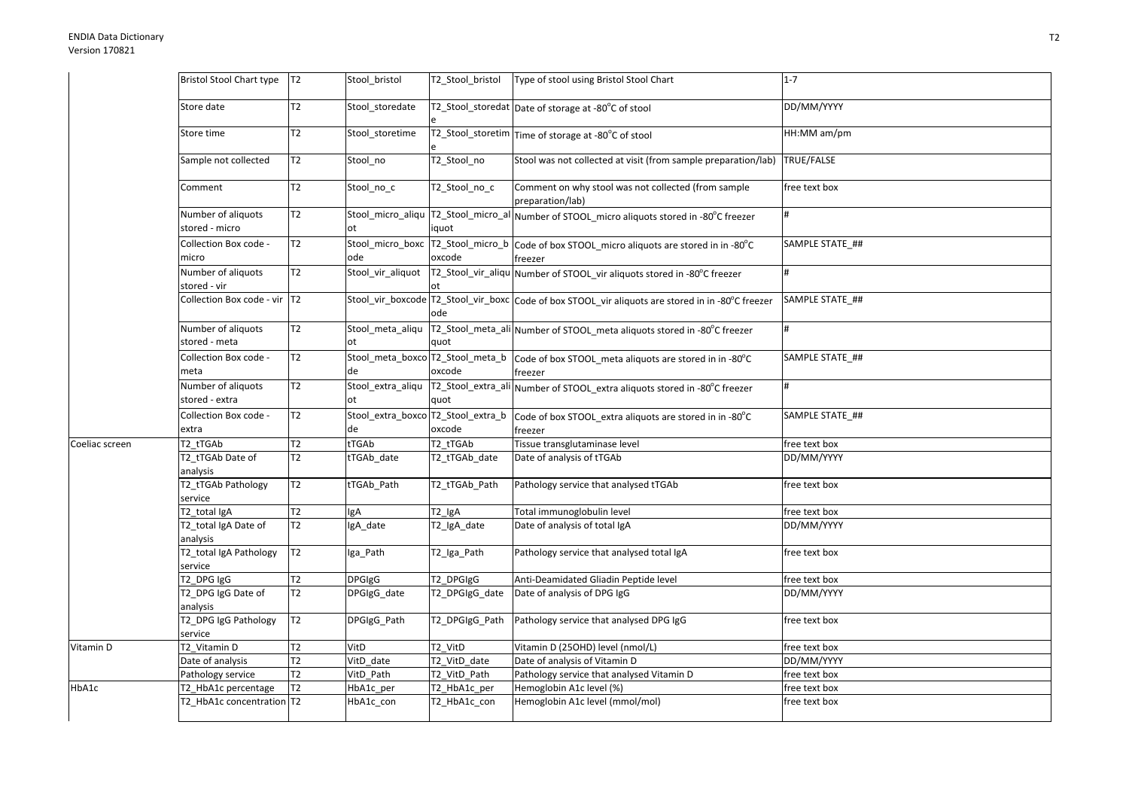|                | <b>Bristol Stool Chart type</b>      | T2             | Stool_bristol                            | T2_Stool_bristol | Type of stool using Bristol Stool Chart                                                              | $1 - 7$           |
|----------------|--------------------------------------|----------------|------------------------------------------|------------------|------------------------------------------------------------------------------------------------------|-------------------|
|                | Store date                           | T <sub>2</sub> | Stool_storedate                          |                  | T2_Stool_storedat Date of storage at -80°C of stool                                                  | DD/MM/YYYY        |
|                | Store time                           | T <sub>2</sub> | Stool_storetime                          |                  | T2_Stool_storetim Time of storage at -80°C of stool                                                  | HH:MM am/pm       |
|                | Sample not collected                 | T <sub>2</sub> | Stool no                                 | T2_Stool_no      | Stool was not collected at visit (from sample preparation/lab)                                       | <b>TRUE/FALSE</b> |
|                | Comment                              | T <sub>2</sub> | Stool_no_c                               | T2_Stool_no_c    | Comment on why stool was not collected (from sample<br>preparation/lab)                              | free text box     |
|                | Number of aliquots<br>stored - micro | T2             | ot                                       | iquot            | Stool_micro_aliqu  T2_Stool_micro_al Number of STOOL_micro aliquots stored in -80°C freezer          | #                 |
|                | Collection Box code -<br>micro       | T <sub>2</sub> | ode                                      | oxcode           | Stool_micro_boxc T2_Stool_micro_b Code of box STOOL_micro aliquots are stored in in -80°C<br>freezer | SAMPLE STATE ##   |
|                | Number of aliquots<br>stored - vir   | T <sub>2</sub> | Stool_vir_aliquot                        |                  | T2_Stool_vir_aliqu Number of STOOL_vir aliquots stored in -80°C freezer                              | H                 |
|                | Collection Box code - vir T2         |                |                                          | ode              | Stool_vir_boxcode T2_Stool_vir_boxc Code of box STOOL_vir aliquots are stored in in -80°C freezer    | SAMPLE STATE ##   |
|                | Number of aliquots<br>stored - meta  | T <sub>2</sub> | Stool meta aliqu<br>оt                   | quot             | T2_Stool_meta_ali Number of STOOL_meta aliquots stored in -80°C freezer                              |                   |
|                | Collection Box code -<br>meta        | T2             | Stool_meta_boxco T2_Stool_meta_b<br>de   | oxcode           | Code of box STOOL_meta aliquots are stored in in -80°C<br>freezer                                    | SAMPLE STATE_##   |
|                | Number of aliquots<br>stored - extra | T2             | Stool_extra_aliqu<br>ot                  | quot             | T2_Stool_extra_ali Number of STOOL_extra aliquots stored in -80°C freezer                            | #                 |
|                | Collection Box code -<br>extra       | T <sub>2</sub> | Stool_extra_boxco T2_Stool_extra_b<br>de | oxcode           | Code of box STOOL extra aliquots are stored in in -80°C<br>freezer                                   | SAMPLE STATE ##   |
| Coeliac screen | T2 tTGAb                             | T2             | tTGAb                                    | T2 tTGAb         | Tissue transglutaminase level                                                                        | free text box     |
|                | T2 tTGAb Date of<br>analysis         | T <sub>2</sub> | tTGAb_date                               | T2_tTGAb_date    | Date of analysis of tTGAb                                                                            | DD/MM/YYYY        |
|                | T2_tTGAb Pathology<br>service        | T2             | tTGAb_Path                               | T2_tTGAb_Path    | Pathology service that analysed tTGAb                                                                | free text box     |
|                | T2 total IgA                         | T2             | lgA                                      | $T2$ IgA         | Total immunoglobulin level                                                                           | free text box     |
|                | T2_total IgA Date of<br>analysis     | T <sub>2</sub> | IgA_date                                 | T2_IgA_date      | Date of analysis of total IgA                                                                        | DD/MM/YYYY        |
|                | T2_total IgA Pathology<br>service    | T2             | Iga_Path                                 | T2_Iga_Path      | Pathology service that analysed total IgA                                                            | free text box     |
|                | T2_DPG IgG                           | T2             | DPGIgG                                   | T2_DPGIgG        | Anti-Deamidated Gliadin Peptide level                                                                | free text box     |
|                | T2_DPG IgG Date of<br>analysis       | T <sub>2</sub> | DPGIgG_date                              | T2 DPGIgG date   | Date of analysis of DPG IgG                                                                          | DD/MM/YYYY        |
|                | T2_DPG IgG Pathology<br>service      | T <sub>2</sub> | DPGIgG Path                              | T2 DPGIgG Path   | Pathology service that analysed DPG IgG                                                              | free text box     |
| Vitamin D      | T2 Vitamin D                         | T <sub>2</sub> | VitD                                     | T2 VitD          | Vitamin D (25OHD) level (nmol/L)                                                                     | free text box     |
|                | Date of analysis                     | T2             | $\overline{\text{VitD}}$ _date           | T2_VitD_date     | Date of analysis of Vitamin D                                                                        | DD/MM/YYYY        |
|                | Pathology service                    | T <sub>2</sub> | VitD Path                                | T2_VitD_Path     | Pathology service that analysed Vitamin D                                                            | free text box     |
| HbA1c          | T2_HbA1c percentage                  | T <sub>2</sub> | HbA1c_per                                | T2 HbA1c per     | Hemoglobin A1c level (%)                                                                             | free text box     |
|                | T2 HbA1c concentration T2            |                | HbA1c con                                | T2_HbA1c_con     | Hemoglobin A1c level (mmol/mol)                                                                      | free text box     |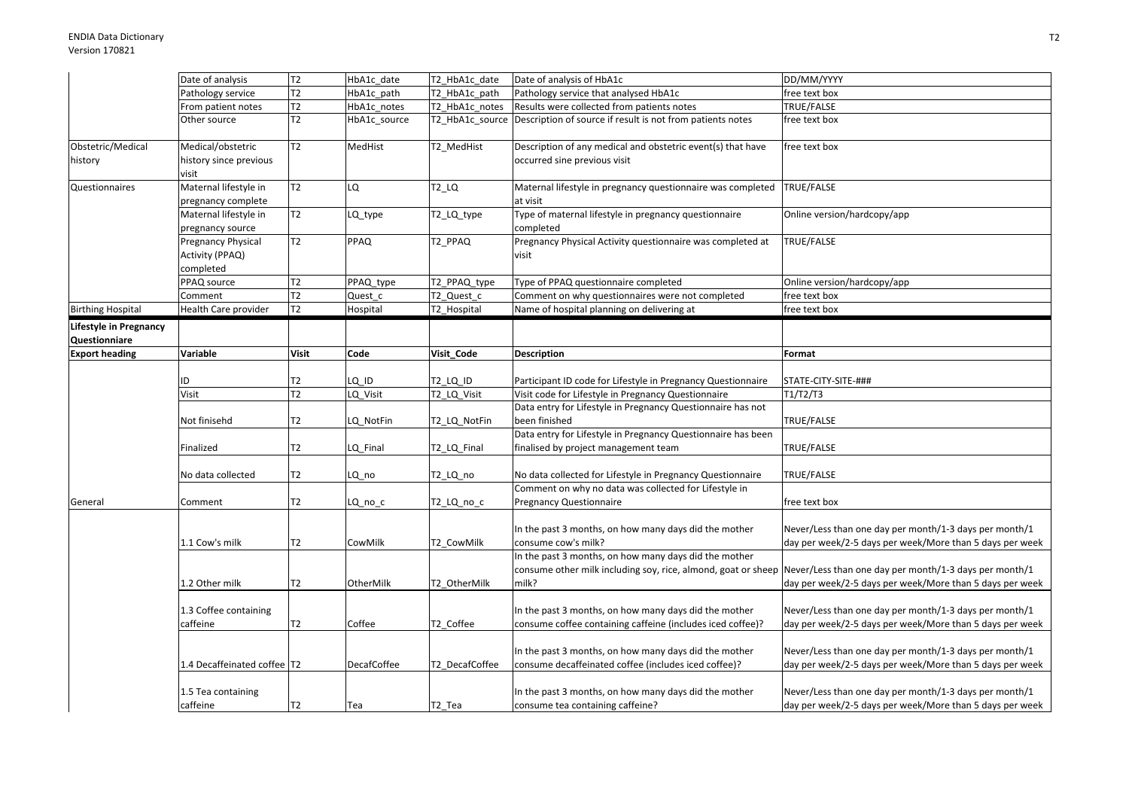|                                                | Date of analysis                                   | T <sub>2</sub> | HbA1c_date   | T2_HbA1c_date  | Date of analysis of HbA1c                                                                                                       | DD/MM/YYYY                                                                                                         |
|------------------------------------------------|----------------------------------------------------|----------------|--------------|----------------|---------------------------------------------------------------------------------------------------------------------------------|--------------------------------------------------------------------------------------------------------------------|
|                                                | Pathology service                                  | T <sub>2</sub> | HbA1c path   | T2 HbA1c path  | Pathology service that analysed HbA1c                                                                                           | free text box                                                                                                      |
|                                                | From patient notes                                 | T2             | HbA1c notes  | T2 HbA1c notes | Results were collected from patients notes                                                                                      | TRUE/FALSE                                                                                                         |
|                                                | Other source                                       | T2             | HbA1c_source |                | T2_HbA1c_source Description of source if result is not from patients notes                                                      | free text box                                                                                                      |
| Obstetric/Medical                              | Medical/obstetric                                  | T <sub>2</sub> | MedHist      | T2 MedHist     | Description of any medical and obstetric event(s) that have                                                                     | free text box                                                                                                      |
| history                                        | history since previous<br>visit                    |                |              |                | occurred sine previous visit                                                                                                    |                                                                                                                    |
| Questionnaires                                 | Maternal lifestyle in<br>pregnancy complete        | T <sub>2</sub> | LQ           | $T2_lQ$        | Maternal lifestyle in pregnancy questionnaire was completed<br>at visit                                                         | TRUE/FALSE                                                                                                         |
|                                                | Maternal lifestyle in<br>pregnancy source          | T <sub>2</sub> | LQ_type      | T2_LQ_type     | Type of maternal lifestyle in pregnancy questionnaire<br>completed                                                              | Online version/hardcopy/app                                                                                        |
|                                                | Pregnancy Physical<br>Activity (PPAQ)<br>completed | T <sub>2</sub> | PPAQ         | T2_PPAQ        | Pregnancy Physical Activity questionnaire was completed at<br>visit                                                             | TRUE/FALSE                                                                                                         |
|                                                | PPAQ source                                        | T2             | PPAQ_type    | T2_PPAQ_type   | Type of PPAQ questionnaire completed                                                                                            | Online version/hardcopy/app                                                                                        |
|                                                | Comment                                            | T <sub>2</sub> | Quest c      | T2_Quest_c     | Comment on why questionnaires were not completed                                                                                | free text box                                                                                                      |
| <b>Birthing Hospital</b>                       | Health Care provider                               | T <sub>2</sub> | Hospital     | T2_Hospital    | Name of hospital planning on delivering at                                                                                      | free text box                                                                                                      |
| <b>Lifestyle in Pregnancy</b><br>Questionniare |                                                    |                |              |                |                                                                                                                                 |                                                                                                                    |
| <b>Export heading</b>                          | Variable                                           | <b>Visit</b>   | Code         | Visit Code     | <b>Description</b>                                                                                                              | Format                                                                                                             |
|                                                | ID                                                 | T <sub>2</sub> | LQ_ID        | T2_LQ_ID       | Participant ID code for Lifestyle in Pregnancy Questionnaire                                                                    | STATE-CITY-SITE-###                                                                                                |
|                                                | Visit                                              | T <sub>2</sub> | LQ Visit     | T2_LQ_Visit    | Visit code for Lifestyle in Pregnancy Questionnaire                                                                             | T1/T2/T3                                                                                                           |
|                                                | Not finisehd                                       | T2             | LQ NotFin    | T2 LQ NotFin   | Data entry for Lifestyle in Pregnancy Questionnaire has not<br>been finished                                                    | TRUE/FALSE                                                                                                         |
|                                                | Finalized                                          | T <sub>2</sub> | LQ_Final     | T2_LQ_Final    | Data entry for Lifestyle in Pregnancy Questionnaire has been<br>finalised by project management team                            | TRUE/FALSE                                                                                                         |
|                                                | No data collected                                  | T <sub>2</sub> | LQ_no        | T2_LQ_no       | No data collected for Lifestyle in Pregnancy Questionnaire                                                                      | TRUE/FALSE                                                                                                         |
| General                                        | Comment                                            | T <sub>2</sub> | LQ_no_c      | T2_LQ_no_c     | Comment on why no data was collected for Lifestyle in<br><b>Pregnancy Questionnaire</b>                                         | free text box                                                                                                      |
|                                                | 1.1 Cow's milk                                     | T <sub>2</sub> | CowMilk      | T2 CowMilk     | In the past 3 months, on how many days did the mother<br>consume cow's milk?                                                    | Never/Less than one day per month/1-3 days per month/1<br>day per week/2-5 days per week/More than 5 days per week |
|                                                | 1.2 Other milk                                     | T <sub>2</sub> | OtherMilk    | T2 OtherMilk   | In the past 3 months, on how many days did the mother<br>consume other milk including soy, rice, almond, goat or sheep<br>milk? | Never/Less than one day per month/1-3 days per month/1<br>day per week/2-5 days per week/More than 5 days per week |
|                                                | 1.3 Coffee containing<br>caffeine                  | T2             | Coffee       | T2 Coffee      | In the past 3 months, on how many days did the mother<br>consume coffee containing caffeine (includes iced coffee)?             | Never/Less than one day per month/1-3 days per month/1<br>day per week/2-5 days per week/More than 5 days per week |
|                                                | 1.4 Decaffeinated coffee   T2                      |                | DecafCoffee  | T2 DecafCoffee | In the past 3 months, on how many days did the mother<br>consume decaffeinated coffee (includes iced coffee)?                   | Never/Less than one day per month/1-3 days per month/1<br>day per week/2-5 days per week/More than 5 days per week |
|                                                | 1.5 Tea containing<br>caffeine                     | T <sub>2</sub> | Tea          | T2_Tea         | In the past 3 months, on how many days did the mother<br>consume tea containing caffeine?                                       | Never/Less than one day per month/1-3 days per month/1<br>day per week/2-5 days per week/More than 5 days per week |
|                                                |                                                    |                |              |                |                                                                                                                                 |                                                                                                                    |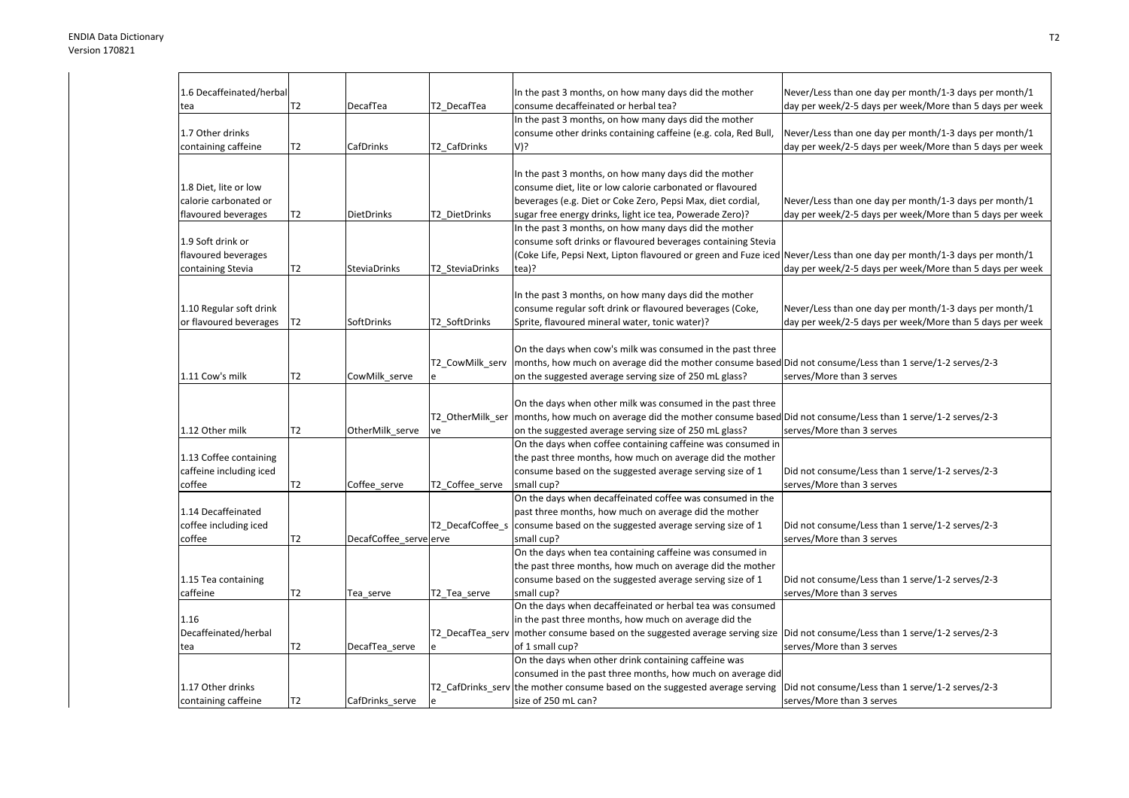| 1.6 Decaffeinated/herbal |                |                        |                  | In the past 3 months, on how many days did the mother                                                                          | Never/Less than one day per month/1-3 days per month/1   |
|--------------------------|----------------|------------------------|------------------|--------------------------------------------------------------------------------------------------------------------------------|----------------------------------------------------------|
| tea                      | T2             | DecafTea               | T2 DecafTea      | consume decaffeinated or herbal tea?                                                                                           | day per week/2-5 days per week/More than 5 days per week |
|                          |                |                        |                  | In the past 3 months, on how many days did the mother                                                                          |                                                          |
| 1.7 Other drinks         |                |                        |                  | consume other drinks containing caffeine (e.g. cola, Red Bull,                                                                 | Never/Less than one day per month/1-3 days per month/1   |
| containing caffeine      | T2             | CafDrinks              | T2 CafDrinks     | V)?                                                                                                                            | day per week/2-5 days per week/More than 5 days per week |
|                          |                |                        |                  |                                                                                                                                |                                                          |
|                          |                |                        |                  | In the past 3 months, on how many days did the mother                                                                          |                                                          |
| 1.8 Diet, lite or low    |                |                        |                  | consume diet, lite or low calorie carbonated or flavoured                                                                      |                                                          |
| calorie carbonated or    |                |                        |                  | beverages (e.g. Diet or Coke Zero, Pepsi Max, diet cordial,                                                                    | Never/Less than one day per month/1-3 days per month/1   |
| flavoured beverages      | T2             | <b>DietDrinks</b>      | T2 DietDrinks    | sugar free energy drinks, light ice tea, Powerade Zero)?                                                                       | day per week/2-5 days per week/More than 5 days per week |
|                          |                |                        |                  | In the past 3 months, on how many days did the mother                                                                          |                                                          |
| 1.9 Soft drink or        |                |                        |                  | consume soft drinks or flavoured beverages containing Stevia                                                                   |                                                          |
| flavoured beverages      |                |                        |                  | (Coke Life, Pepsi Next, Lipton flavoured or green and Fuze iced Never/Less than one day per month/1-3 days per month/1         |                                                          |
| containing Stevia        | T2             | SteviaDrinks           | T2 SteviaDrinks  | tea)?                                                                                                                          | day per week/2-5 days per week/More than 5 days per week |
|                          |                |                        |                  |                                                                                                                                |                                                          |
|                          |                |                        |                  | In the past 3 months, on how many days did the mother                                                                          |                                                          |
| 1.10 Regular soft drink  |                |                        |                  | consume regular soft drink or flavoured beverages (Coke,                                                                       | Never/Less than one day per month/1-3 days per month/1   |
| or flavoured beverages   | Т2             | SoftDrinks             | T2 SoftDrinks    | Sprite, flavoured mineral water, tonic water)?                                                                                 | day per week/2-5 days per week/More than 5 days per week |
|                          |                |                        |                  |                                                                                                                                |                                                          |
|                          |                |                        |                  | On the days when cow's milk was consumed in the past three                                                                     |                                                          |
|                          |                |                        | T2_CowMilk_serv  | months, how much on average did the mother consume based Did not consume/Less than 1 serve/1-2 serves/2-3                      |                                                          |
| 1.11 Cow's milk          | T2             | CowMilk serve          |                  | on the suggested average serving size of 250 mL glass?                                                                         | serves/More than 3 serves                                |
|                          |                |                        |                  |                                                                                                                                |                                                          |
|                          |                |                        |                  | On the days when other milk was consumed in the past three                                                                     |                                                          |
|                          |                |                        | T2 OtherMilk ser | months, how much on average did the mother consume based Did not consume/Less than 1 serve/1-2 serves/2-3                      |                                                          |
| 1.12 Other milk          | T <sub>2</sub> | OtherMilk serve        | ve               | on the suggested average serving size of 250 mL glass?                                                                         | serves/More than 3 serves                                |
|                          |                |                        |                  | On the days when coffee containing caffeine was consumed in                                                                    |                                                          |
| 1.13 Coffee containing   |                |                        |                  | the past three months, how much on average did the mother                                                                      |                                                          |
| caffeine including iced  |                |                        |                  | consume based on the suggested average serving size of 1                                                                       | Did not consume/Less than 1 serve/1-2 serves/2-3         |
| coffee                   | T <sub>2</sub> | Coffee serve           | T2 Coffee serve  | small cup?                                                                                                                     | serves/More than 3 serves                                |
|                          |                |                        |                  | On the days when decaffeinated coffee was consumed in the                                                                      |                                                          |
| 1.14 Decaffeinated       |                |                        |                  | past three months, how much on average did the mother                                                                          |                                                          |
| coffee including iced    |                |                        | T2 DecafCoffee s | consume based on the suggested average serving size of 1                                                                       | Did not consume/Less than 1 serve/1-2 serves/2-3         |
| coffee                   | T2             | DecafCoffee serve erve |                  | small cup?                                                                                                                     | serves/More than 3 serves                                |
|                          |                |                        |                  | On the days when tea containing caffeine was consumed in                                                                       |                                                          |
|                          |                |                        |                  | the past three months, how much on average did the mother                                                                      |                                                          |
| 1.15 Tea containing      |                |                        |                  | consume based on the suggested average serving size of 1                                                                       | Did not consume/Less than 1 serve/1-2 serves/2-3         |
| caffeine                 | Т2             | Tea_serve              | T2_Tea_serve     | small cup?                                                                                                                     | serves/More than 3 serves                                |
|                          |                |                        |                  | On the days when decaffeinated or herbal tea was consumed                                                                      |                                                          |
| 1.16                     |                |                        |                  | in the past three months, how much on average did the                                                                          |                                                          |
| Decaffeinated/herbal     |                |                        |                  | T2_DecafTea_serv  mother consume based on the suggested average serving size  Did not consume/Less than 1 serve/1-2 serves/2-3 |                                                          |
| tea                      | Т2             | DecafTea_serve         |                  | of 1 small cup?                                                                                                                | serves/More than 3 serves                                |
|                          |                |                        |                  | On the days when other drink containing caffeine was                                                                           |                                                          |
|                          |                |                        |                  | consumed in the past three months, how much on average did                                                                     |                                                          |
| 1.17 Other drinks        |                |                        |                  | T2_CafDrinks_serv the mother consume based on the suggested average serving                                                    | Did not consume/Less than 1 serve/1-2 serves/2-3         |
| containing caffeine      | T2             | CafDrinks serve        | e                | size of 250 mL can?                                                                                                            | serves/More than 3 serves                                |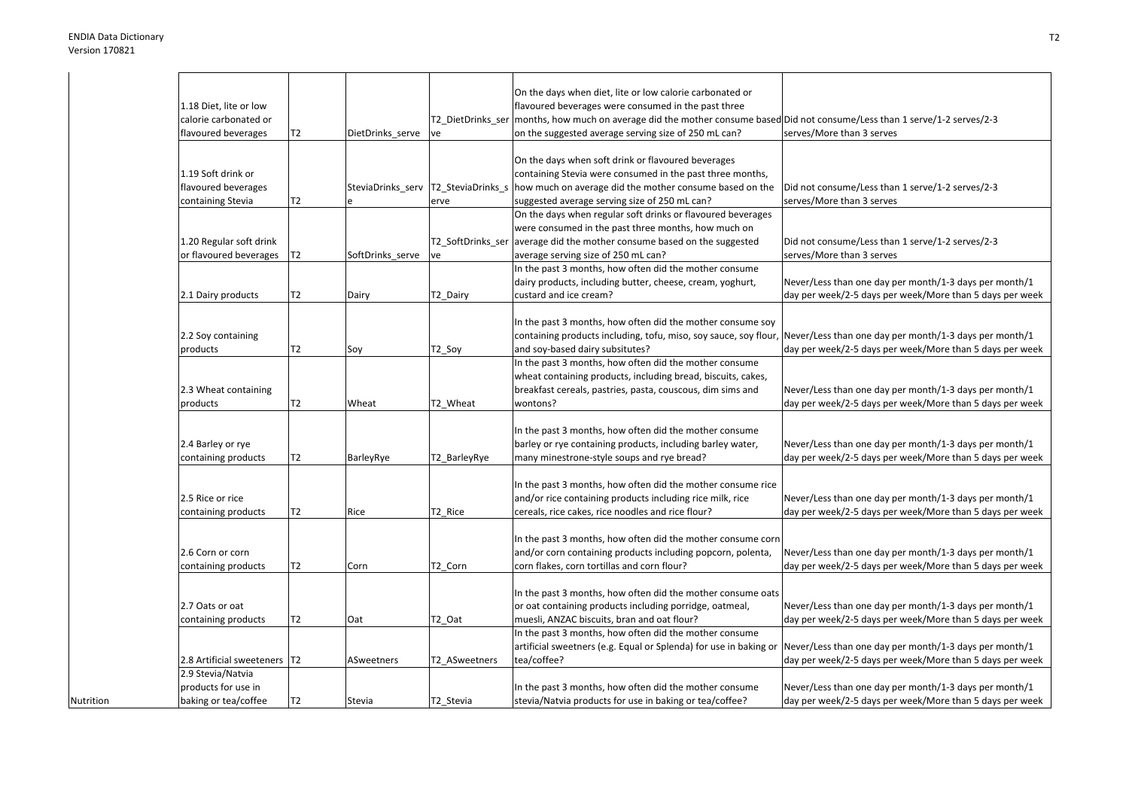Nutrition

|                                |                |                  |               | On the days when diet, lite or low calorie carbonated or                                                                     |                                                          |
|--------------------------------|----------------|------------------|---------------|------------------------------------------------------------------------------------------------------------------------------|----------------------------------------------------------|
| 1.18 Diet, lite or low         |                |                  |               | flavoured beverages were consumed in the past three                                                                          |                                                          |
| calorie carbonated or          |                |                  |               | T2_DietDrinks_ser  months, how much on average did the mother consume based Did not consume/Less than 1 serve/1-2 serves/2-3 |                                                          |
| flavoured beverages            | Т2             | DietDrinks serve | ve            | on the suggested average serving size of 250 mL can?                                                                         | serves/More than 3 serves                                |
|                                |                |                  |               |                                                                                                                              |                                                          |
|                                |                |                  |               | On the days when soft drink or flavoured beverages                                                                           |                                                          |
| 1.19 Soft drink or             |                |                  |               | containing Stevia were consumed in the past three months,                                                                    |                                                          |
| flavoured beverages            |                |                  |               | SteviaDrinks serv T2 SteviaDrinks s how much on average did the mother consume based on the                                  | Did not consume/Less than 1 serve/1-2 serves/2-3         |
| containing Stevia              | T2             |                  | erve          | suggested average serving size of 250 mL can?                                                                                | serves/More than 3 serves                                |
|                                |                |                  |               | On the days when regular soft drinks or flavoured beverages                                                                  |                                                          |
|                                |                |                  |               |                                                                                                                              |                                                          |
|                                |                |                  |               | were consumed in the past three months, how much on                                                                          |                                                          |
| 1.20 Regular soft drink        |                |                  |               | T2_SoftDrinks_ser average did the mother consume based on the suggested                                                      | Did not consume/Less than 1 serve/1-2 serves/2-3         |
| or flavoured beverages         | T2             | SoftDrinks serve | ve            | average serving size of 250 mL can?                                                                                          | serves/More than 3 serves                                |
|                                |                |                  |               | In the past 3 months, how often did the mother consume                                                                       |                                                          |
|                                |                |                  |               | dairy products, including butter, cheese, cream, yoghurt,                                                                    | Never/Less than one day per month/1-3 days per month/1   |
| 2.1 Dairy products             | T2             | Dairy            | T2_Dairy      | custard and ice cream?                                                                                                       | day per week/2-5 days per week/More than 5 days per week |
|                                |                |                  |               |                                                                                                                              |                                                          |
|                                |                |                  |               | In the past 3 months, how often did the mother consume soy                                                                   |                                                          |
| 2.2 Soy containing             |                |                  |               | containing products including, tofu, miso, soy sauce, soy flour, Never/Less than one day per month/1-3 days per month/1      |                                                          |
| products                       | Т2             | Soy              | T2_Soy        | and soy-based dairy subsitutes?                                                                                              | day per week/2-5 days per week/More than 5 days per week |
|                                |                |                  |               | In the past 3 months, how often did the mother consume                                                                       |                                                          |
|                                |                |                  |               | wheat containing products, including bread, biscuits, cakes,                                                                 |                                                          |
| 2.3 Wheat containing           |                |                  |               | breakfast cereals, pastries, pasta, couscous, dim sims and                                                                   | Never/Less than one day per month/1-3 days per month/1   |
| products                       | Т2             | Wheat            | T2 Wheat      | wontons?                                                                                                                     | day per week/2-5 days per week/More than 5 days per week |
|                                |                |                  |               |                                                                                                                              |                                                          |
|                                |                |                  |               | In the past 3 months, how often did the mother consume                                                                       |                                                          |
| 2.4 Barley or rye              |                |                  |               | barley or rye containing products, including barley water,                                                                   | Never/Less than one day per month/1-3 days per month/1   |
| containing products            | Т2             | BarleyRye        | T2_BarleyRye  | many minestrone-style soups and rye bread?                                                                                   | day per week/2-5 days per week/More than 5 days per week |
|                                |                |                  |               |                                                                                                                              |                                                          |
|                                |                |                  |               | In the past 3 months, how often did the mother consume rice                                                                  |                                                          |
|                                |                |                  |               |                                                                                                                              |                                                          |
| 2.5 Rice or rice               |                |                  |               | and/or rice containing products including rice milk, rice                                                                    | Never/Less than one day per month/1-3 days per month/1   |
| containing products            | Т2             | Rice             | T2_Rice       | cereals, rice cakes, rice noodles and rice flour?                                                                            | day per week/2-5 days per week/More than 5 days per week |
|                                |                |                  |               |                                                                                                                              |                                                          |
|                                |                |                  |               | In the past 3 months, how often did the mother consume corn                                                                  |                                                          |
| 2.6 Corn or corn               |                |                  |               | and/or corn containing products including popcorn, polenta,                                                                  | Never/Less than one day per month/1-3 days per month/1   |
| containing products            | Т2             | Corn             | T2 Corn       | corn flakes, corn tortillas and corn flour?                                                                                  | day per week/2-5 days per week/More than 5 days per week |
|                                |                |                  |               |                                                                                                                              |                                                          |
|                                |                |                  |               | In the past 3 months, how often did the mother consume oats                                                                  |                                                          |
| 2.7 Oats or oat                |                |                  |               | or oat containing products including porridge, oatmeal,                                                                      | Never/Less than one day per month/1-3 days per month/1   |
| containing products            | T2             | Oat              | T2 Oat        | muesli, ANZAC biscuits, bran and oat flour?                                                                                  | day per week/2-5 days per week/More than 5 days per week |
|                                |                |                  |               | In the past 3 months, how often did the mother consume                                                                       |                                                          |
|                                |                |                  |               | artificial sweetners (e.g. Equal or Splenda) for use in baking or Never/Less than one day per month/1-3 days per month/1     |                                                          |
| 2.8 Artificial sweeteners   T2 |                | ASweetners       | T2 ASweetners | tea/coffee?                                                                                                                  | day per week/2-5 days per week/More than 5 days per week |
| 2.9 Stevia/Natvia              |                |                  |               |                                                                                                                              |                                                          |
| products for use in            |                |                  |               | In the past 3 months, how often did the mother consume                                                                       | Never/Less than one day per month/1-3 days per month/1   |
| baking or tea/coffee           | T <sub>2</sub> | Stevia           | T2_Stevia     | stevia/Natvia products for use in baking or tea/coffee?                                                                      | day per week/2-5 days per week/More than 5 days per week |
|                                |                |                  |               |                                                                                                                              |                                                          |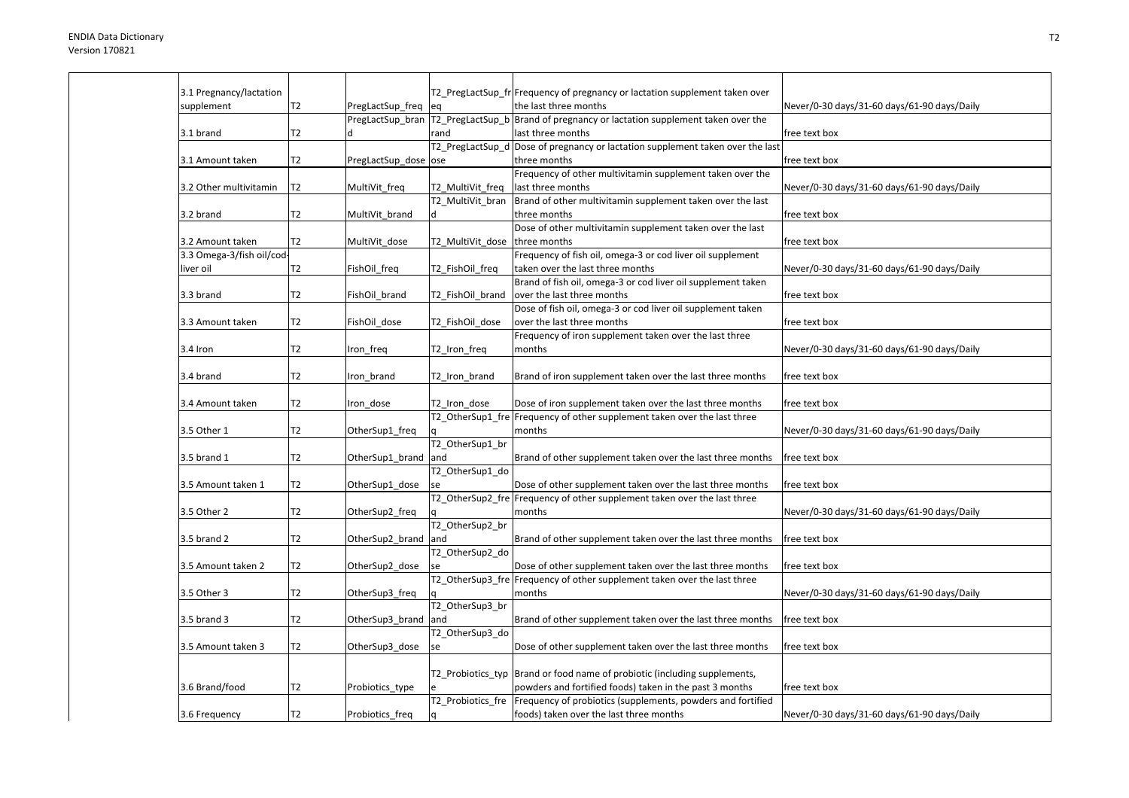| 3.1 Pregnancy/lactation   |                |                      |                   | T2_PregLactSup_fr Frequency of pregnancy or lactation supplement taken over                   |                                             |
|---------------------------|----------------|----------------------|-------------------|-----------------------------------------------------------------------------------------------|---------------------------------------------|
| supplement                | T2             |                      |                   | the last three months                                                                         | Never/0-30 days/31-60 days/61-90 days/Daily |
|                           |                | PregLactSup_freq     | leg               | PregLactSup_bran  T2_PregLactSup_b  Brand of pregnancy or lactation supplement taken over the |                                             |
| 3.1 brand                 | T2             |                      | rand              | last three months                                                                             | free text box                               |
|                           |                |                      |                   | T2_PregLactSup_d Dose of pregnancy or lactation supplement taken over the last                |                                             |
|                           |                |                      |                   |                                                                                               |                                             |
| 3.1 Amount taken          | T2             | PregLactSup dose ose |                   | three months<br>Frequency of other multivitamin supplement taken over the                     | free text box                               |
|                           | T <sub>2</sub> |                      |                   | last three months                                                                             |                                             |
| 3.2 Other multivitamin    |                | MultiVit_freq        | T2_MultiVit_freq  | Brand of other multivitamin supplement taken over the last                                    | Never/0-30 days/31-60 days/61-90 days/Daily |
|                           |                |                      | T2 MultiVit bran  |                                                                                               |                                             |
| 3.2 brand                 | T2             | MultiVit_brand       | ld.               | three months                                                                                  | free text box                               |
|                           |                |                      |                   | Dose of other multivitamin supplement taken over the last                                     |                                             |
| 3.2 Amount taken          | T2             | MultiVit_dose        | T2_MultiVit_dose  | three months                                                                                  | free text box                               |
| 3.3 Omega-3/fish oil/cod- |                |                      |                   | Frequency of fish oil, omega-3 or cod liver oil supplement                                    |                                             |
| liver oil                 | T2             | FishOil freq         | T2 FishOil freq   | taken over the last three months                                                              | Never/0-30 days/31-60 days/61-90 days/Daily |
|                           |                |                      |                   | Brand of fish oil, omega-3 or cod liver oil supplement taken                                  |                                             |
| 3.3 brand                 | Т2             | FishOil brand        | T2 FishOil brand  | over the last three months                                                                    | free text box                               |
|                           |                |                      |                   | Dose of fish oil, omega-3 or cod liver oil supplement taken                                   |                                             |
| 3.3 Amount taken          | T2             | FishOil dose         | T2 FishOil dose   | over the last three months                                                                    | free text box                               |
|                           |                |                      |                   | Frequency of iron supplement taken over the last three                                        |                                             |
| 3.4 Iron                  | T2             | Iron_freq            | T2_Iron_freq      | months                                                                                        | Never/0-30 days/31-60 days/61-90 days/Daily |
|                           |                |                      |                   |                                                                                               |                                             |
| 3.4 brand                 | T <sub>2</sub> | Iron brand           | T2 Iron brand     | Brand of iron supplement taken over the last three months                                     | free text box                               |
|                           |                |                      |                   |                                                                                               |                                             |
| 3.4 Amount taken          | T2             | Iron dose            | T2 Iron dose      | Dose of iron supplement taken over the last three months                                      | free text box                               |
|                           |                |                      |                   | T2_OtherSup1_fre Frequency of other supplement taken over the last three                      |                                             |
| 3.5 Other 1               | T2             | OtherSup1_freq       |                   | months                                                                                        | Never/0-30 days/31-60 days/61-90 days/Daily |
|                           |                |                      | T2 OtherSup1 br   |                                                                                               |                                             |
| 3.5 brand 1               | T2             | OtherSup1_brand      | and               | Brand of other supplement taken over the last three months                                    | free text box                               |
|                           |                |                      | T2_OtherSup1_do   |                                                                                               |                                             |
| 3.5 Amount taken 1        | T2             | OtherSup1_dose       |                   | Dose of other supplement taken over the last three months                                     | free text box                               |
|                           |                |                      |                   | T2 OtherSup2 fre Frequency of other supplement taken over the last three                      |                                             |
| 3.5 Other 2               | T2             | OtherSup2_freq       |                   | months                                                                                        | Never/0-30 days/31-60 days/61-90 days/Daily |
|                           |                |                      | T2 OtherSup2 br   |                                                                                               |                                             |
| 3.5 brand 2               | T2             | OtherSup2 brand      | and               | Brand of other supplement taken over the last three months                                    | free text box                               |
|                           |                |                      | T2_OtherSup2_do   |                                                                                               |                                             |
| 3.5 Amount taken 2        | T2             | OtherSup2_dose       |                   | Dose of other supplement taken over the last three months                                     | free text box                               |
|                           |                |                      |                   | T2 OtherSup3 fre Frequency of other supplement taken over the last three                      |                                             |
| 3.5 Other 3               | T2             | OtherSup3_freq       |                   | months                                                                                        | Never/0-30 days/31-60 days/61-90 days/Daily |
|                           |                |                      | T2 OtherSup3 br   |                                                                                               |                                             |
| 3.5 brand 3               | T2             | OtherSup3_brand and  |                   | Brand of other supplement taken over the last three months                                    | free text box                               |
|                           |                |                      | T2 OtherSup3 do   |                                                                                               |                                             |
| 3.5 Amount taken 3        | T <sub>2</sub> | OtherSup3_dose       | se                | Dose of other supplement taken over the last three months                                     | free text box                               |
|                           |                |                      |                   |                                                                                               |                                             |
|                           |                |                      |                   | T2_Probiotics_typ  Brand or food name of probiotic (including supplements,                    |                                             |
| 3.6 Brand/food            | T <sub>2</sub> | Probiotics_type      |                   | powders and fortified foods) taken in the past 3 months                                       | free text box                               |
|                           |                |                      | T2 Probiotics fre | Frequency of probiotics (supplements, powders and fortified                                   |                                             |
| 3.6 Frequency             | T <sub>2</sub> | Probiotics_freq      | l q               | foods) taken over the last three months                                                       | Never/0-30 days/31-60 days/61-90 days/Daily |
|                           |                |                      |                   |                                                                                               |                                             |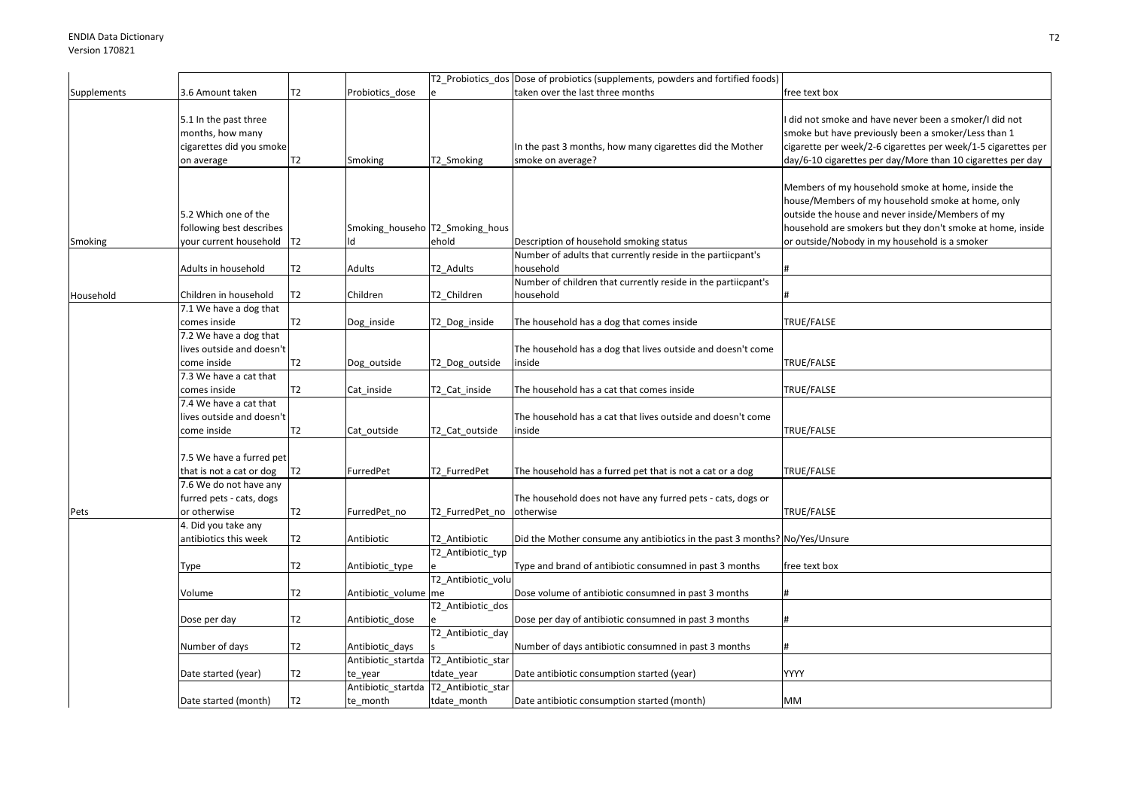|             |                                                                                     |                |                                                   |                                         | T2_Probiotics_dos Dose of probiotics (supplements, powders and fortified foods) |                                                                                                                                                                                                                                                                           |
|-------------|-------------------------------------------------------------------------------------|----------------|---------------------------------------------------|-----------------------------------------|---------------------------------------------------------------------------------|---------------------------------------------------------------------------------------------------------------------------------------------------------------------------------------------------------------------------------------------------------------------------|
| Supplements | 3.6 Amount taken                                                                    | T2             | Probiotics dose                                   |                                         | taken over the last three months                                                | free text box                                                                                                                                                                                                                                                             |
|             | 5.1 In the past three<br>months, how many<br>cigarettes did you smoke<br>on average | T2             | Smoking                                           | T2_Smoking                              | In the past 3 months, how many cigarettes did the Mother<br>smoke on average?   | did not smoke and have never been a smoker/I did not<br>smoke but have previously been a smoker/Less than 1<br>cigarette per week/2-6 cigarettes per week/1-5 cigarettes per<br>day/6-10 cigarettes per day/More than 10 cigarettes per day                               |
| Smoking     | 5.2 Which one of the<br>following best describes<br>your current household          | T2             | Smoking_househo T2_Smoking_hous<br>ld             | ehold                                   | Description of household smoking status                                         | Members of my household smoke at home, inside the<br>house/Members of my household smoke at home, only<br>outside the house and never inside/Members of my<br>household are smokers but they don't smoke at home, inside<br>or outside/Nobody in my household is a smoker |
|             | Adults in household                                                                 | T2             | Adults                                            | T2_Adults                               | Number of adults that currently reside in the partiicpant's<br>household        |                                                                                                                                                                                                                                                                           |
| Household   | Children in household                                                               | T2             | Children                                          | T2_Children                             | Number of children that currently reside in the partiicpant's<br>household      |                                                                                                                                                                                                                                                                           |
|             | 7.1 We have a dog that<br>comes inside                                              | T <sub>2</sub> | Dog_inside                                        | T2_Dog_inside                           | The household has a dog that comes inside                                       | TRUE/FALSE                                                                                                                                                                                                                                                                |
|             | 7.2 We have a dog that<br>lives outside and doesn't<br>come inside                  | T2             | Dog_outside                                       | T2_Dog_outside                          | The household has a dog that lives outside and doesn't come<br>inside           | TRUE/FALSE                                                                                                                                                                                                                                                                |
|             | 7.3 We have a cat that<br>comes inside                                              | T <sub>2</sub> | Cat inside                                        | T2_Cat_inside                           | The household has a cat that comes inside                                       | TRUE/FALSE                                                                                                                                                                                                                                                                |
|             | 7.4 We have a cat that<br>lives outside and doesn't<br>come inside                  | T2             | Cat_outside                                       | T2_Cat_outside                          | The household has a cat that lives outside and doesn't come<br>inside           | TRUE/FALSE                                                                                                                                                                                                                                                                |
|             | 7.5 We have a furred pet<br>that is not a cat or dog                                | T <sub>2</sub> | FurredPet                                         | T2 FurredPet                            | The household has a furred pet that is not a cat or a dog                       | TRUE/FALSE                                                                                                                                                                                                                                                                |
| Pets        | 7.6 We do not have any<br>furred pets - cats, dogs<br>or otherwise                  | T2             | FurredPet no                                      | T2 FurredPet no                         | The household does not have any furred pets - cats, dogs or<br>otherwise        | TRUE/FALSE                                                                                                                                                                                                                                                                |
|             | 4. Did you take any<br>antibiotics this week                                        | T2             | Antibiotic                                        | T2_Antibiotic                           | Did the Mother consume any antibiotics in the past 3 months? No/Yes/Unsure      |                                                                                                                                                                                                                                                                           |
|             | Type                                                                                | T2             | Antibiotic_type                                   | T2_Antibiotic_typ<br>T2_Antibiotic_volu | Type and brand of antibiotic consumned in past 3 months                         | free text box                                                                                                                                                                                                                                                             |
|             | Volume                                                                              | T2             | Antibiotic_volume me                              |                                         | Dose volume of antibiotic consumned in past 3 months                            |                                                                                                                                                                                                                                                                           |
|             | Dose per day                                                                        | T <sub>2</sub> | Antibiotic_dose                                   | T2_Antibiotic_dos<br>T2_Antibiotic_day  | Dose per day of antibiotic consumned in past 3 months                           |                                                                                                                                                                                                                                                                           |
|             | Number of days                                                                      | T <sub>2</sub> | Antibiotic days                                   |                                         | Number of days antibiotic consumned in past 3 months                            |                                                                                                                                                                                                                                                                           |
|             | Date started (year)                                                                 | T2             | Antibiotic_startda T2_Antibiotic_star<br>te_year  | tdate_year                              | Date antibiotic consumption started (year)                                      | YYYY                                                                                                                                                                                                                                                                      |
|             | Date started (month)                                                                | T2             | Antibiotic_startda T2_Antibiotic_star<br>te_month | tdate_month                             | Date antibiotic consumption started (month)                                     | MM                                                                                                                                                                                                                                                                        |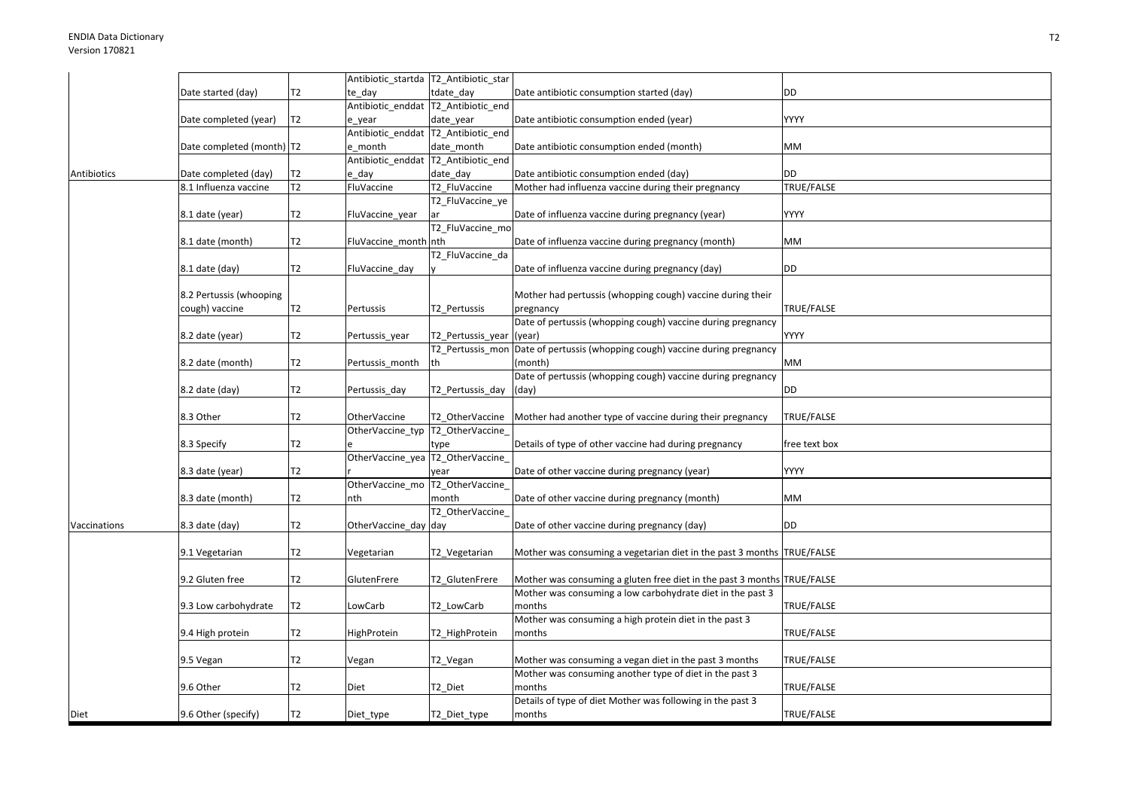|              |                             |                | Antibiotic_startda T2_Antibiotic_star |                                     |                                                                              |               |
|--------------|-----------------------------|----------------|---------------------------------------|-------------------------------------|------------------------------------------------------------------------------|---------------|
|              | Date started (day)          | T <sub>2</sub> | te day                                | tdate day                           | Date antibiotic consumption started (day)                                    | DD            |
|              |                             |                | Antibiotic_enddat T2_Antibiotic_end   |                                     |                                                                              |               |
|              | Date completed (year)       | <b>T2</b>      | e_year                                | date_year                           | Date antibiotic consumption ended (year)                                     | YYYY          |
|              |                             |                | Antibiotic_enddat T2_Antibiotic_end   |                                     |                                                                              |               |
|              | Date completed (month)   T2 |                | e month                               | date month                          | Date antibiotic consumption ended (month)                                    | МM            |
|              |                             |                |                                       | Antibiotic enddat T2 Antibiotic end |                                                                              |               |
| Antibiotics  | Date completed (day)        | T2             | e day                                 | date day                            | Date antibiotic consumption ended (day)                                      | <b>DD</b>     |
|              | 8.1 Influenza vaccine       | T <sub>2</sub> | FluVaccine                            | T2 FluVaccine                       | Mother had influenza vaccine during their pregnancy                          | TRUE/FALSE    |
|              |                             |                |                                       | T2_FluVaccine_ye                    |                                                                              |               |
|              | 8.1 date (year)             | T <sub>2</sub> | FluVaccine_year                       | ar                                  | Date of influenza vaccine during pregnancy (year)                            | YYYY          |
|              |                             |                |                                       | T2_FluVaccine_mo                    |                                                                              |               |
|              | 8.1 date (month)            | T <sub>2</sub> | FluVaccine_month nth                  |                                     | Date of influenza vaccine during pregnancy (month)                           | MМ            |
|              |                             |                |                                       | T2 FluVaccine da                    |                                                                              |               |
|              | 8.1 date (day)              | T2             | FluVaccine_day                        |                                     | Date of influenza vaccine during pregnancy (day)                             | DD            |
|              |                             |                |                                       |                                     |                                                                              |               |
|              | 8.2 Pertussis (whooping     |                |                                       |                                     | Mother had pertussis (whopping cough) vaccine during their                   |               |
|              | cough) vaccine              | Т2             | Pertussis                             | T2_Pertussis                        | pregnancy                                                                    | TRUE/FALSE    |
|              |                             |                |                                       |                                     | Date of pertussis (whopping cough) vaccine during pregnancy                  |               |
|              | 8.2 date (year)             | Т2             | Pertussis_year                        | T2_Pertussis_year                   | (year)                                                                       | YYYY          |
|              |                             |                |                                       |                                     | T2_Pertussis_mon Date of pertussis (whopping cough) vaccine during pregnancy |               |
|              | 8.2 date (month)            | T <sub>2</sub> | Pertussis_month                       | th                                  | (month)                                                                      | MM            |
|              |                             |                |                                       |                                     | Date of pertussis (whopping cough) vaccine during pregnancy                  |               |
|              | 8.2 date (day)              | T <sub>2</sub> | Pertussis day                         | T2 Pertussis day                    | (day)                                                                        | DD            |
|              |                             |                |                                       |                                     |                                                                              |               |
|              | 8.3 Other                   | T <sub>2</sub> | <b>OtherVaccine</b>                   | T2 OtherVaccine                     | Mother had another type of vaccine during their pregnancy                    | TRUE/FALSE    |
|              |                             |                | OtherVaccine_typ  T2_OtherVaccine_    |                                     |                                                                              |               |
|              | 8.3 Specify                 | T <sub>2</sub> |                                       | type                                | Details of type of other vaccine had during pregnancy                        | free text box |
|              |                             |                | OtherVaccine yea T2 OtherVaccine      |                                     |                                                                              |               |
|              | 8.3 date (year)             | T <sub>2</sub> |                                       | vear                                | Date of other vaccine during pregnancy (year)                                | YYYY          |
|              |                             |                | OtherVaccine mo T2 OtherVaccine       |                                     |                                                                              |               |
|              | 8.3 date (month)            | T <sub>2</sub> | nth                                   | month                               | Date of other vaccine during pregnancy (month)                               | MМ            |
|              |                             |                |                                       | T2_OtherVaccine_                    |                                                                              |               |
| Vaccinations | 8.3 date (day)              | T2             | OtherVaccine_day day                  |                                     | Date of other vaccine during pregnancy (day)                                 | DD            |
|              |                             |                |                                       |                                     |                                                                              |               |
|              | 9.1 Vegetarian              | T2             | Vegetarian                            | T2_Vegetarian                       | Mother was consuming a vegetarian diet in the past 3 months TRUE/FALSE       |               |
|              |                             |                |                                       |                                     |                                                                              |               |
|              | 9.2 Gluten free             | T <sub>2</sub> | GlutenFrere                           | T2_GlutenFrere                      | Mother was consuming a gluten free diet in the past 3 months TRUE/FALSE      |               |
|              |                             |                |                                       |                                     | Mother was consuming a low carbohydrate diet in the past 3                   |               |
|              | 9.3 Low carbohydrate        | T <sub>2</sub> | LowCarb                               | T2 LowCarb                          | months                                                                       | TRUE/FALSE    |
|              |                             |                |                                       |                                     | Mother was consuming a high protein diet in the past 3                       |               |
|              | 9.4 High protein            | T <sub>2</sub> | <b>HighProtein</b>                    | T2_HighProtein                      | months                                                                       | TRUE/FALSE    |
|              |                             |                |                                       |                                     |                                                                              |               |
|              | 9.5 Vegan                   | T <sub>2</sub> | Vegan                                 | T2_Vegan                            | Mother was consuming a vegan diet in the past 3 months                       | TRUE/FALSE    |
|              |                             |                |                                       |                                     | Mother was consuming another type of diet in the past 3                      |               |
|              | 9.6 Other                   | T <sub>2</sub> | Diet                                  | T2 Diet                             | months                                                                       | TRUE/FALSE    |
|              |                             |                |                                       |                                     | Details of type of diet Mother was following in the past 3                   |               |
| Diet         | 9.6 Other (specify)         | T <sub>2</sub> | Diet_type                             | T2 Diet type                        | months                                                                       | TRUE/FALSE    |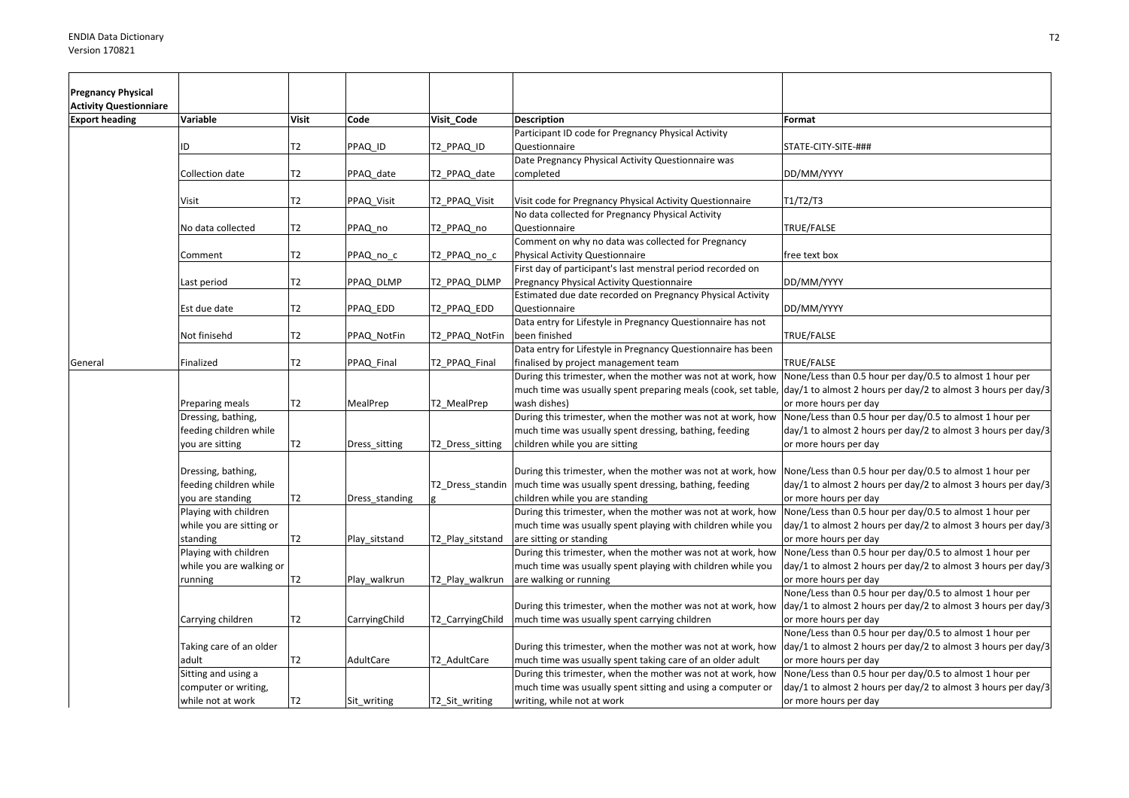| <b>Pregnancy Physical</b>     |                                                                  |              |                |                  |                                                                                                                                                          |                                                                                                                                                                                                                  |
|-------------------------------|------------------------------------------------------------------|--------------|----------------|------------------|----------------------------------------------------------------------------------------------------------------------------------------------------------|------------------------------------------------------------------------------------------------------------------------------------------------------------------------------------------------------------------|
| <b>Activity Questionniare</b> |                                                                  |              |                |                  |                                                                                                                                                          |                                                                                                                                                                                                                  |
| <b>Export heading</b>         | Variable                                                         | <b>Visit</b> | Code           | Visit Code       | <b>Description</b>                                                                                                                                       | Format                                                                                                                                                                                                           |
|                               | ID                                                               | T2           | PPAQ_ID        | T2 PPAQ ID       | Participant ID code for Pregnancy Physical Activity<br>Questionnaire                                                                                     | STATE-CITY-SITE-###                                                                                                                                                                                              |
|                               | Collection date                                                  | T2           | PPAQ date      | T2 PPAQ date     | Date Pregnancy Physical Activity Questionnaire was<br>completed                                                                                          | DD/MM/YYYY                                                                                                                                                                                                       |
|                               | Visit                                                            | T2           | PPAQ Visit     | T2_PPAQ_Visit    | Visit code for Pregnancy Physical Activity Questionnaire                                                                                                 | T1/T2/T3                                                                                                                                                                                                         |
|                               | No data collected                                                | T2           | PPAQ no        | T2 PPAQ no       | No data collected for Pregnancy Physical Activity<br>Questionnaire                                                                                       | TRUE/FALSE                                                                                                                                                                                                       |
|                               | Comment                                                          | T2           | PPAQ_no_c      | T2_PPAQ_no_c     | Comment on why no data was collected for Pregnancy<br>Physical Activity Questionnaire                                                                    | free text box                                                                                                                                                                                                    |
|                               | Last period                                                      | T2           | PPAQ DLMP      | T2 PPAQ DLMP     | First day of participant's last menstral period recorded on<br>Pregnancy Physical Activity Questionnaire                                                 | DD/MM/YYYY                                                                                                                                                                                                       |
|                               | Est due date                                                     | T2           | PPAQ_EDD       | T2 PPAQ EDD      | Estimated due date recorded on Pregnancy Physical Activity<br>Questionnaire                                                                              | DD/MM/YYYY                                                                                                                                                                                                       |
|                               | Not finisehd                                                     | T2           | PPAQ NotFin    | T2_PPAQ_NotFin   | Data entry for Lifestyle in Pregnancy Questionnaire has not<br>been finished                                                                             | TRUE/FALSE                                                                                                                                                                                                       |
| General                       | Finalized                                                        | T2           | PPAQ_Final     | T2_PPAQ_Final    | Data entry for Lifestyle in Pregnancy Questionnaire has been<br>finalised by project management team                                                     | TRUE/FALSE                                                                                                                                                                                                       |
|                               | Preparing meals                                                  | T2           | MealPrep       | T2_MealPrep      | During this trimester, when the mother was not at work, how<br>wash dishes)                                                                              | None/Less than 0.5 hour per day/0.5 to almost 1 hour per<br>much time was usually spent preparing meals (cook, set table, day/1 to almost 2 hours per day/2 to almost 3 hours per day/3<br>or more hours per day |
|                               | Dressing, bathing,<br>feeding children while<br>you are sitting  | T2           | Dress_sitting  | T2_Dress_sitting | During this trimester, when the mother was not at work, how<br>much time was usually spent dressing, bathing, feeding<br>children while you are sitting  | None/Less than 0.5 hour per day/0.5 to almost 1 hour per<br>day/1 to almost 2 hours per day/2 to almost 3 hours per day/3<br>or more hours per day                                                               |
|                               | Dressing, bathing,<br>feeding children while<br>you are standing | T2           | Dress_standing | T2 Dress standin | During this trimester, when the mother was not at work, how<br>much time was usually spent dressing, bathing, feeding<br>children while you are standing | None/Less than 0.5 hour per day/0.5 to almost 1 hour per<br>day/1 to almost 2 hours per day/2 to almost 3 hours per day/3<br>or more hours per day                                                               |
|                               | Playing with children<br>while you are sitting or<br>standing    | T2           | Play_sitstand  | T2_Play_sitstand | During this trimester, when the mother was not at work, how<br>much time was usually spent playing with children while you<br>are sitting or standing    | None/Less than 0.5 hour per day/0.5 to almost 1 hour per<br>day/1 to almost 2 hours per day/2 to almost 3 hours per day/3<br>or more hours per day                                                               |
|                               | Playing with children<br>while you are walking or                |              |                |                  | During this trimester, when the mother was not at work, how<br>much time was usually spent playing with children while you                               | None/Less than 0.5 hour per day/0.5 to almost 1 hour per<br>day/1 to almost 2 hours per day/2 to almost 3 hours per day/3                                                                                        |
|                               | running                                                          | T2           | Play_walkrun   | T2_Play_walkrun  | are walking or running<br>During this trimester, when the mother was not at work, how                                                                    | or more hours per day<br>None/Less than 0.5 hour per day/0.5 to almost 1 hour per<br>day/1 to almost 2 hours per day/2 to almost 3 hours per day/3                                                               |
|                               | Carrying children                                                | T2           | CarryingChild  | T2_CarryingChild | much time was usually spent carrying children                                                                                                            | or more hours per day<br>None/Less than 0.5 hour per day/0.5 to almost 1 hour per                                                                                                                                |
|                               | Taking care of an older<br>adult                                 | T2           | AdultCare      | T2_AdultCare     | During this trimester, when the mother was not at work, how<br>much time was usually spent taking care of an older adult                                 | day/1 to almost 2 hours per day/2 to almost 3 hours per day/3<br>or more hours per day                                                                                                                           |
|                               | Sitting and using a<br>computer or writing,                      |              |                |                  | During this trimester, when the mother was not at work, how<br>much time was usually spent sitting and using a computer or                               | None/Less than 0.5 hour per day/0.5 to almost 1 hour per<br>day/1 to almost 2 hours per day/2 to almost 3 hours per day/3                                                                                        |
|                               | while not at work                                                | T2           | Sit_writing    | T2 Sit writing   | writing, while not at work                                                                                                                               | or more hours per day                                                                                                                                                                                            |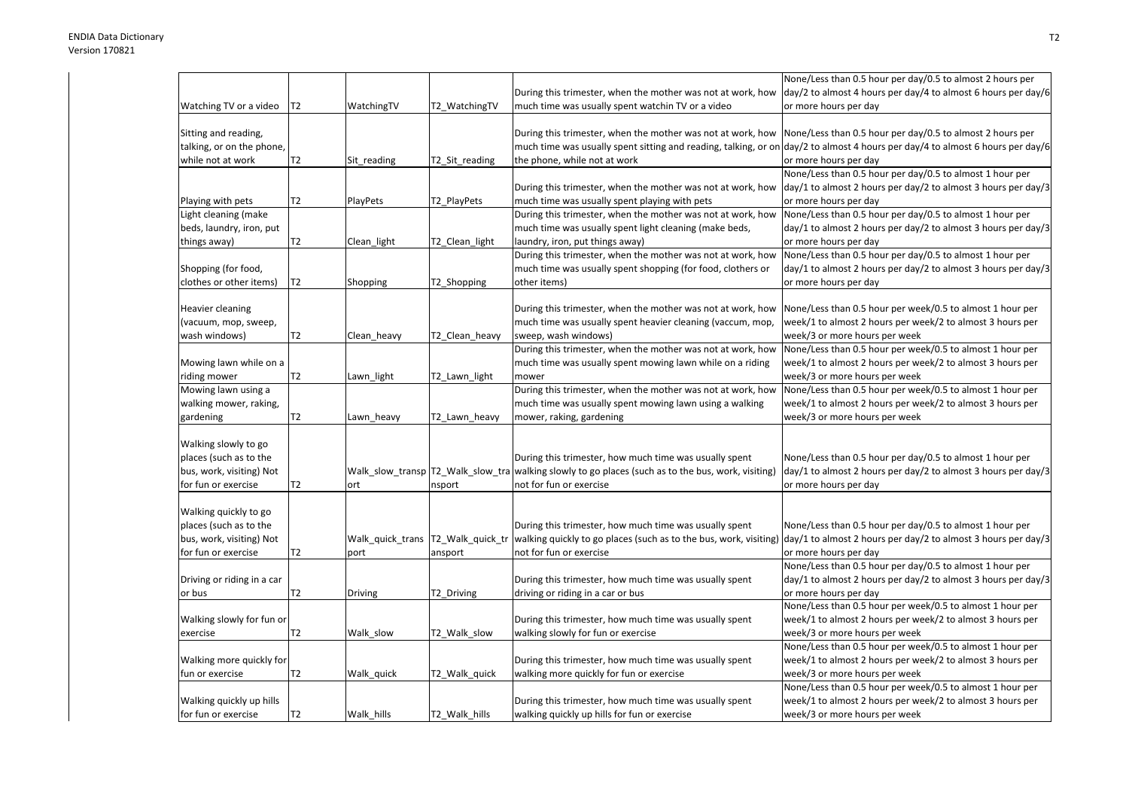| During this trimester, when the mother was not at work, how<br>day/2 to almost 4 hours per day/4 to almost 6 hours per day/6<br>much time was usually spent watchin TV or a video<br>or more hours per day<br>Watching TV or a video<br>T2<br>WatchingTV<br>T2 WatchingTV<br>During this trimester, when the mother was not at work, how Mone/Less than 0.5 hour per day/0.5 to almost 2 hours per<br>Sitting and reading,<br>talking, or on the phone,<br>much time was usually spent sitting and reading, talking, or on $\frac{day}{2}$ to almost 4 hours per day/4 to almost 6 hours per day/6<br>T2<br>the phone, while not at work<br>or more hours per day<br>while not at work<br>Sit_reading<br>T2_Sit_reading<br>None/Less than 0.5 hour per day/0.5 to almost 1 hour per<br>day/1 to almost 2 hours per day/2 to almost 3 hours per day/3<br>During this trimester, when the mother was not at work, how<br>T2<br>Playing with pets<br><b>PlayPets</b><br>T2_PlayPets<br>much time was usually spent playing with pets<br>or more hours per day<br>Light cleaning (make<br>During this trimester, when the mother was not at work, how<br>None/Less than 0.5 hour per day/0.5 to almost 1 hour per<br>beds, laundry, iron, put<br>much time was usually spent light cleaning (make beds,<br>day/1 to almost 2 hours per day/2 to almost 3 hours per day/3<br>T2<br>laundry, iron, put things away)<br>or more hours per day<br>things away)<br>Clean_light<br>T2_Clean_light<br>During this trimester, when the mother was not at work, how<br>None/Less than 0.5 hour per day/0.5 to almost 1 hour per<br>much time was usually spent shopping (for food, clothers or<br>day/1 to almost 2 hours per day/2 to almost 3 hours per day/3<br>Shopping (for food,<br>T2<br>clothes or other items)<br>T2_Shopping<br>other items)<br>or more hours per day<br>Shopping<br><b>Heavier cleaning</b><br>During this trimester, when the mother was not at work, how<br>None/Less than 0.5 hour per week/0.5 to almost 1 hour per<br>much time was usually spent heavier cleaning (vaccum, mop,<br>week/1 to almost 2 hours per week/2 to almost 3 hours per<br>(vacuum, mop, sweep,<br>T2<br>week/3 or more hours per week<br>wash windows)<br>T2_Clean_heavy<br>sweep, wash windows)<br>Clean heavy<br>During this trimester, when the mother was not at work, how<br>None/Less than 0.5 hour per week/0.5 to almost 1 hour per<br>week/1 to almost 2 hours per week/2 to almost 3 hours per<br>Mowing lawn while on a<br>much time was usually spent mowing lawn while on a riding<br>riding mower<br>Т2<br>T2_Lawn_light<br>week/3 or more hours per week<br>Lawn_light<br>mower<br>During this trimester, when the mother was not at work, how<br>None/Less than 0.5 hour per week/0.5 to almost 1 hour per<br>Mowing lawn using a<br>walking mower, raking,<br>much time was usually spent mowing lawn using a walking<br>week/1 to almost 2 hours per week/2 to almost 3 hours per<br>T2<br>mower, raking, gardening<br>week/3 or more hours per week<br>gardening<br>Lawn heavy<br>T2_Lawn_heavy<br>Walking slowly to go<br>places (such as to the<br>During this trimester, how much time was usually spent<br>None/Less than 0.5 hour per day/0.5 to almost 1 hour per<br>bus, work, visiting) Not<br>Walk_slow_transp T2_Walk_slow_tra walking slowly to go places (such as to the bus, work, visiting)<br>day/1 to almost 2 hours per day/2 to almost 3 hours per day/3<br>for fun or exercise<br>T2<br>not for fun or exercise<br>or more hours per day<br>ort<br>nsport<br>Walking quickly to go<br>places (such as to the<br>During this trimester, how much time was usually spent<br>None/Less than 0.5 hour per day/0.5 to almost 1 hour per |
|--------------------------------------------------------------------------------------------------------------------------------------------------------------------------------------------------------------------------------------------------------------------------------------------------------------------------------------------------------------------------------------------------------------------------------------------------------------------------------------------------------------------------------------------------------------------------------------------------------------------------------------------------------------------------------------------------------------------------------------------------------------------------------------------------------------------------------------------------------------------------------------------------------------------------------------------------------------------------------------------------------------------------------------------------------------------------------------------------------------------------------------------------------------------------------------------------------------------------------------------------------------------------------------------------------------------------------------------------------------------------------------------------------------------------------------------------------------------------------------------------------------------------------------------------------------------------------------------------------------------------------------------------------------------------------------------------------------------------------------------------------------------------------------------------------------------------------------------------------------------------------------------------------------------------------------------------------------------------------------------------------------------------------------------------------------------------------------------------------------------------------------------------------------------------------------------------------------------------------------------------------------------------------------------------------------------------------------------------------------------------------------------------------------------------------------------------------------------------------------------------------------------------------------------------------------------------------------------------------------------------------------------------------------------------------------------------------------------------------------------------------------------------------------------------------------------------------------------------------------------------------------------------------------------------------------------------------------------------------------------------------------------------------------------------------------------------------------------------------------------------------------------------------------------------------------------------------------------------------------------------------------------------------------------------------------------------------------------------------------------------------------------------------------------------------------------------------------------------------------------------------------------------------------------------------------------------------------------------------------------------------------------------------------------------------------------------------------------------------------------------------------------|
|                                                                                                                                                                                                                                                                                                                                                                                                                                                                                                                                                                                                                                                                                                                                                                                                                                                                                                                                                                                                                                                                                                                                                                                                                                                                                                                                                                                                                                                                                                                                                                                                                                                                                                                                                                                                                                                                                                                                                                                                                                                                                                                                                                                                                                                                                                                                                                                                                                                                                                                                                                                                                                                                                                                                                                                                                                                                                                                                                                                                                                                                                                                                                                                                                                                                                                                                                                                                                                                                                                                                                                                                                                                                                                                                                                    |
|                                                                                                                                                                                                                                                                                                                                                                                                                                                                                                                                                                                                                                                                                                                                                                                                                                                                                                                                                                                                                                                                                                                                                                                                                                                                                                                                                                                                                                                                                                                                                                                                                                                                                                                                                                                                                                                                                                                                                                                                                                                                                                                                                                                                                                                                                                                                                                                                                                                                                                                                                                                                                                                                                                                                                                                                                                                                                                                                                                                                                                                                                                                                                                                                                                                                                                                                                                                                                                                                                                                                                                                                                                                                                                                                                                    |
|                                                                                                                                                                                                                                                                                                                                                                                                                                                                                                                                                                                                                                                                                                                                                                                                                                                                                                                                                                                                                                                                                                                                                                                                                                                                                                                                                                                                                                                                                                                                                                                                                                                                                                                                                                                                                                                                                                                                                                                                                                                                                                                                                                                                                                                                                                                                                                                                                                                                                                                                                                                                                                                                                                                                                                                                                                                                                                                                                                                                                                                                                                                                                                                                                                                                                                                                                                                                                                                                                                                                                                                                                                                                                                                                                                    |
|                                                                                                                                                                                                                                                                                                                                                                                                                                                                                                                                                                                                                                                                                                                                                                                                                                                                                                                                                                                                                                                                                                                                                                                                                                                                                                                                                                                                                                                                                                                                                                                                                                                                                                                                                                                                                                                                                                                                                                                                                                                                                                                                                                                                                                                                                                                                                                                                                                                                                                                                                                                                                                                                                                                                                                                                                                                                                                                                                                                                                                                                                                                                                                                                                                                                                                                                                                                                                                                                                                                                                                                                                                                                                                                                                                    |
|                                                                                                                                                                                                                                                                                                                                                                                                                                                                                                                                                                                                                                                                                                                                                                                                                                                                                                                                                                                                                                                                                                                                                                                                                                                                                                                                                                                                                                                                                                                                                                                                                                                                                                                                                                                                                                                                                                                                                                                                                                                                                                                                                                                                                                                                                                                                                                                                                                                                                                                                                                                                                                                                                                                                                                                                                                                                                                                                                                                                                                                                                                                                                                                                                                                                                                                                                                                                                                                                                                                                                                                                                                                                                                                                                                    |
|                                                                                                                                                                                                                                                                                                                                                                                                                                                                                                                                                                                                                                                                                                                                                                                                                                                                                                                                                                                                                                                                                                                                                                                                                                                                                                                                                                                                                                                                                                                                                                                                                                                                                                                                                                                                                                                                                                                                                                                                                                                                                                                                                                                                                                                                                                                                                                                                                                                                                                                                                                                                                                                                                                                                                                                                                                                                                                                                                                                                                                                                                                                                                                                                                                                                                                                                                                                                                                                                                                                                                                                                                                                                                                                                                                    |
|                                                                                                                                                                                                                                                                                                                                                                                                                                                                                                                                                                                                                                                                                                                                                                                                                                                                                                                                                                                                                                                                                                                                                                                                                                                                                                                                                                                                                                                                                                                                                                                                                                                                                                                                                                                                                                                                                                                                                                                                                                                                                                                                                                                                                                                                                                                                                                                                                                                                                                                                                                                                                                                                                                                                                                                                                                                                                                                                                                                                                                                                                                                                                                                                                                                                                                                                                                                                                                                                                                                                                                                                                                                                                                                                                                    |
|                                                                                                                                                                                                                                                                                                                                                                                                                                                                                                                                                                                                                                                                                                                                                                                                                                                                                                                                                                                                                                                                                                                                                                                                                                                                                                                                                                                                                                                                                                                                                                                                                                                                                                                                                                                                                                                                                                                                                                                                                                                                                                                                                                                                                                                                                                                                                                                                                                                                                                                                                                                                                                                                                                                                                                                                                                                                                                                                                                                                                                                                                                                                                                                                                                                                                                                                                                                                                                                                                                                                                                                                                                                                                                                                                                    |
|                                                                                                                                                                                                                                                                                                                                                                                                                                                                                                                                                                                                                                                                                                                                                                                                                                                                                                                                                                                                                                                                                                                                                                                                                                                                                                                                                                                                                                                                                                                                                                                                                                                                                                                                                                                                                                                                                                                                                                                                                                                                                                                                                                                                                                                                                                                                                                                                                                                                                                                                                                                                                                                                                                                                                                                                                                                                                                                                                                                                                                                                                                                                                                                                                                                                                                                                                                                                                                                                                                                                                                                                                                                                                                                                                                    |
|                                                                                                                                                                                                                                                                                                                                                                                                                                                                                                                                                                                                                                                                                                                                                                                                                                                                                                                                                                                                                                                                                                                                                                                                                                                                                                                                                                                                                                                                                                                                                                                                                                                                                                                                                                                                                                                                                                                                                                                                                                                                                                                                                                                                                                                                                                                                                                                                                                                                                                                                                                                                                                                                                                                                                                                                                                                                                                                                                                                                                                                                                                                                                                                                                                                                                                                                                                                                                                                                                                                                                                                                                                                                                                                                                                    |
|                                                                                                                                                                                                                                                                                                                                                                                                                                                                                                                                                                                                                                                                                                                                                                                                                                                                                                                                                                                                                                                                                                                                                                                                                                                                                                                                                                                                                                                                                                                                                                                                                                                                                                                                                                                                                                                                                                                                                                                                                                                                                                                                                                                                                                                                                                                                                                                                                                                                                                                                                                                                                                                                                                                                                                                                                                                                                                                                                                                                                                                                                                                                                                                                                                                                                                                                                                                                                                                                                                                                                                                                                                                                                                                                                                    |
|                                                                                                                                                                                                                                                                                                                                                                                                                                                                                                                                                                                                                                                                                                                                                                                                                                                                                                                                                                                                                                                                                                                                                                                                                                                                                                                                                                                                                                                                                                                                                                                                                                                                                                                                                                                                                                                                                                                                                                                                                                                                                                                                                                                                                                                                                                                                                                                                                                                                                                                                                                                                                                                                                                                                                                                                                                                                                                                                                                                                                                                                                                                                                                                                                                                                                                                                                                                                                                                                                                                                                                                                                                                                                                                                                                    |
|                                                                                                                                                                                                                                                                                                                                                                                                                                                                                                                                                                                                                                                                                                                                                                                                                                                                                                                                                                                                                                                                                                                                                                                                                                                                                                                                                                                                                                                                                                                                                                                                                                                                                                                                                                                                                                                                                                                                                                                                                                                                                                                                                                                                                                                                                                                                                                                                                                                                                                                                                                                                                                                                                                                                                                                                                                                                                                                                                                                                                                                                                                                                                                                                                                                                                                                                                                                                                                                                                                                                                                                                                                                                                                                                                                    |
|                                                                                                                                                                                                                                                                                                                                                                                                                                                                                                                                                                                                                                                                                                                                                                                                                                                                                                                                                                                                                                                                                                                                                                                                                                                                                                                                                                                                                                                                                                                                                                                                                                                                                                                                                                                                                                                                                                                                                                                                                                                                                                                                                                                                                                                                                                                                                                                                                                                                                                                                                                                                                                                                                                                                                                                                                                                                                                                                                                                                                                                                                                                                                                                                                                                                                                                                                                                                                                                                                                                                                                                                                                                                                                                                                                    |
|                                                                                                                                                                                                                                                                                                                                                                                                                                                                                                                                                                                                                                                                                                                                                                                                                                                                                                                                                                                                                                                                                                                                                                                                                                                                                                                                                                                                                                                                                                                                                                                                                                                                                                                                                                                                                                                                                                                                                                                                                                                                                                                                                                                                                                                                                                                                                                                                                                                                                                                                                                                                                                                                                                                                                                                                                                                                                                                                                                                                                                                                                                                                                                                                                                                                                                                                                                                                                                                                                                                                                                                                                                                                                                                                                                    |
|                                                                                                                                                                                                                                                                                                                                                                                                                                                                                                                                                                                                                                                                                                                                                                                                                                                                                                                                                                                                                                                                                                                                                                                                                                                                                                                                                                                                                                                                                                                                                                                                                                                                                                                                                                                                                                                                                                                                                                                                                                                                                                                                                                                                                                                                                                                                                                                                                                                                                                                                                                                                                                                                                                                                                                                                                                                                                                                                                                                                                                                                                                                                                                                                                                                                                                                                                                                                                                                                                                                                                                                                                                                                                                                                                                    |
|                                                                                                                                                                                                                                                                                                                                                                                                                                                                                                                                                                                                                                                                                                                                                                                                                                                                                                                                                                                                                                                                                                                                                                                                                                                                                                                                                                                                                                                                                                                                                                                                                                                                                                                                                                                                                                                                                                                                                                                                                                                                                                                                                                                                                                                                                                                                                                                                                                                                                                                                                                                                                                                                                                                                                                                                                                                                                                                                                                                                                                                                                                                                                                                                                                                                                                                                                                                                                                                                                                                                                                                                                                                                                                                                                                    |
|                                                                                                                                                                                                                                                                                                                                                                                                                                                                                                                                                                                                                                                                                                                                                                                                                                                                                                                                                                                                                                                                                                                                                                                                                                                                                                                                                                                                                                                                                                                                                                                                                                                                                                                                                                                                                                                                                                                                                                                                                                                                                                                                                                                                                                                                                                                                                                                                                                                                                                                                                                                                                                                                                                                                                                                                                                                                                                                                                                                                                                                                                                                                                                                                                                                                                                                                                                                                                                                                                                                                                                                                                                                                                                                                                                    |
|                                                                                                                                                                                                                                                                                                                                                                                                                                                                                                                                                                                                                                                                                                                                                                                                                                                                                                                                                                                                                                                                                                                                                                                                                                                                                                                                                                                                                                                                                                                                                                                                                                                                                                                                                                                                                                                                                                                                                                                                                                                                                                                                                                                                                                                                                                                                                                                                                                                                                                                                                                                                                                                                                                                                                                                                                                                                                                                                                                                                                                                                                                                                                                                                                                                                                                                                                                                                                                                                                                                                                                                                                                                                                                                                                                    |
|                                                                                                                                                                                                                                                                                                                                                                                                                                                                                                                                                                                                                                                                                                                                                                                                                                                                                                                                                                                                                                                                                                                                                                                                                                                                                                                                                                                                                                                                                                                                                                                                                                                                                                                                                                                                                                                                                                                                                                                                                                                                                                                                                                                                                                                                                                                                                                                                                                                                                                                                                                                                                                                                                                                                                                                                                                                                                                                                                                                                                                                                                                                                                                                                                                                                                                                                                                                                                                                                                                                                                                                                                                                                                                                                                                    |
|                                                                                                                                                                                                                                                                                                                                                                                                                                                                                                                                                                                                                                                                                                                                                                                                                                                                                                                                                                                                                                                                                                                                                                                                                                                                                                                                                                                                                                                                                                                                                                                                                                                                                                                                                                                                                                                                                                                                                                                                                                                                                                                                                                                                                                                                                                                                                                                                                                                                                                                                                                                                                                                                                                                                                                                                                                                                                                                                                                                                                                                                                                                                                                                                                                                                                                                                                                                                                                                                                                                                                                                                                                                                                                                                                                    |
|                                                                                                                                                                                                                                                                                                                                                                                                                                                                                                                                                                                                                                                                                                                                                                                                                                                                                                                                                                                                                                                                                                                                                                                                                                                                                                                                                                                                                                                                                                                                                                                                                                                                                                                                                                                                                                                                                                                                                                                                                                                                                                                                                                                                                                                                                                                                                                                                                                                                                                                                                                                                                                                                                                                                                                                                                                                                                                                                                                                                                                                                                                                                                                                                                                                                                                                                                                                                                                                                                                                                                                                                                                                                                                                                                                    |
|                                                                                                                                                                                                                                                                                                                                                                                                                                                                                                                                                                                                                                                                                                                                                                                                                                                                                                                                                                                                                                                                                                                                                                                                                                                                                                                                                                                                                                                                                                                                                                                                                                                                                                                                                                                                                                                                                                                                                                                                                                                                                                                                                                                                                                                                                                                                                                                                                                                                                                                                                                                                                                                                                                                                                                                                                                                                                                                                                                                                                                                                                                                                                                                                                                                                                                                                                                                                                                                                                                                                                                                                                                                                                                                                                                    |
|                                                                                                                                                                                                                                                                                                                                                                                                                                                                                                                                                                                                                                                                                                                                                                                                                                                                                                                                                                                                                                                                                                                                                                                                                                                                                                                                                                                                                                                                                                                                                                                                                                                                                                                                                                                                                                                                                                                                                                                                                                                                                                                                                                                                                                                                                                                                                                                                                                                                                                                                                                                                                                                                                                                                                                                                                                                                                                                                                                                                                                                                                                                                                                                                                                                                                                                                                                                                                                                                                                                                                                                                                                                                                                                                                                    |
|                                                                                                                                                                                                                                                                                                                                                                                                                                                                                                                                                                                                                                                                                                                                                                                                                                                                                                                                                                                                                                                                                                                                                                                                                                                                                                                                                                                                                                                                                                                                                                                                                                                                                                                                                                                                                                                                                                                                                                                                                                                                                                                                                                                                                                                                                                                                                                                                                                                                                                                                                                                                                                                                                                                                                                                                                                                                                                                                                                                                                                                                                                                                                                                                                                                                                                                                                                                                                                                                                                                                                                                                                                                                                                                                                                    |
|                                                                                                                                                                                                                                                                                                                                                                                                                                                                                                                                                                                                                                                                                                                                                                                                                                                                                                                                                                                                                                                                                                                                                                                                                                                                                                                                                                                                                                                                                                                                                                                                                                                                                                                                                                                                                                                                                                                                                                                                                                                                                                                                                                                                                                                                                                                                                                                                                                                                                                                                                                                                                                                                                                                                                                                                                                                                                                                                                                                                                                                                                                                                                                                                                                                                                                                                                                                                                                                                                                                                                                                                                                                                                                                                                                    |
|                                                                                                                                                                                                                                                                                                                                                                                                                                                                                                                                                                                                                                                                                                                                                                                                                                                                                                                                                                                                                                                                                                                                                                                                                                                                                                                                                                                                                                                                                                                                                                                                                                                                                                                                                                                                                                                                                                                                                                                                                                                                                                                                                                                                                                                                                                                                                                                                                                                                                                                                                                                                                                                                                                                                                                                                                                                                                                                                                                                                                                                                                                                                                                                                                                                                                                                                                                                                                                                                                                                                                                                                                                                                                                                                                                    |
|                                                                                                                                                                                                                                                                                                                                                                                                                                                                                                                                                                                                                                                                                                                                                                                                                                                                                                                                                                                                                                                                                                                                                                                                                                                                                                                                                                                                                                                                                                                                                                                                                                                                                                                                                                                                                                                                                                                                                                                                                                                                                                                                                                                                                                                                                                                                                                                                                                                                                                                                                                                                                                                                                                                                                                                                                                                                                                                                                                                                                                                                                                                                                                                                                                                                                                                                                                                                                                                                                                                                                                                                                                                                                                                                                                    |
|                                                                                                                                                                                                                                                                                                                                                                                                                                                                                                                                                                                                                                                                                                                                                                                                                                                                                                                                                                                                                                                                                                                                                                                                                                                                                                                                                                                                                                                                                                                                                                                                                                                                                                                                                                                                                                                                                                                                                                                                                                                                                                                                                                                                                                                                                                                                                                                                                                                                                                                                                                                                                                                                                                                                                                                                                                                                                                                                                                                                                                                                                                                                                                                                                                                                                                                                                                                                                                                                                                                                                                                                                                                                                                                                                                    |
|                                                                                                                                                                                                                                                                                                                                                                                                                                                                                                                                                                                                                                                                                                                                                                                                                                                                                                                                                                                                                                                                                                                                                                                                                                                                                                                                                                                                                                                                                                                                                                                                                                                                                                                                                                                                                                                                                                                                                                                                                                                                                                                                                                                                                                                                                                                                                                                                                                                                                                                                                                                                                                                                                                                                                                                                                                                                                                                                                                                                                                                                                                                                                                                                                                                                                                                                                                                                                                                                                                                                                                                                                                                                                                                                                                    |
|                                                                                                                                                                                                                                                                                                                                                                                                                                                                                                                                                                                                                                                                                                                                                                                                                                                                                                                                                                                                                                                                                                                                                                                                                                                                                                                                                                                                                                                                                                                                                                                                                                                                                                                                                                                                                                                                                                                                                                                                                                                                                                                                                                                                                                                                                                                                                                                                                                                                                                                                                                                                                                                                                                                                                                                                                                                                                                                                                                                                                                                                                                                                                                                                                                                                                                                                                                                                                                                                                                                                                                                                                                                                                                                                                                    |
|                                                                                                                                                                                                                                                                                                                                                                                                                                                                                                                                                                                                                                                                                                                                                                                                                                                                                                                                                                                                                                                                                                                                                                                                                                                                                                                                                                                                                                                                                                                                                                                                                                                                                                                                                                                                                                                                                                                                                                                                                                                                                                                                                                                                                                                                                                                                                                                                                                                                                                                                                                                                                                                                                                                                                                                                                                                                                                                                                                                                                                                                                                                                                                                                                                                                                                                                                                                                                                                                                                                                                                                                                                                                                                                                                                    |
|                                                                                                                                                                                                                                                                                                                                                                                                                                                                                                                                                                                                                                                                                                                                                                                                                                                                                                                                                                                                                                                                                                                                                                                                                                                                                                                                                                                                                                                                                                                                                                                                                                                                                                                                                                                                                                                                                                                                                                                                                                                                                                                                                                                                                                                                                                                                                                                                                                                                                                                                                                                                                                                                                                                                                                                                                                                                                                                                                                                                                                                                                                                                                                                                                                                                                                                                                                                                                                                                                                                                                                                                                                                                                                                                                                    |
| bus, work, visiting) Not<br>Walk quick trans   T2 Walk quick tr<br>walking quickly to go places (such as to the bus, work, visiting)<br>day/1 to almost 2 hours per day/2 to almost 3 hours per day/3                                                                                                                                                                                                                                                                                                                                                                                                                                                                                                                                                                                                                                                                                                                                                                                                                                                                                                                                                                                                                                                                                                                                                                                                                                                                                                                                                                                                                                                                                                                                                                                                                                                                                                                                                                                                                                                                                                                                                                                                                                                                                                                                                                                                                                                                                                                                                                                                                                                                                                                                                                                                                                                                                                                                                                                                                                                                                                                                                                                                                                                                                                                                                                                                                                                                                                                                                                                                                                                                                                                                                              |
| for fun or exercise<br>T2<br>not for fun or exercise<br>or more hours per day<br>ansport<br>port                                                                                                                                                                                                                                                                                                                                                                                                                                                                                                                                                                                                                                                                                                                                                                                                                                                                                                                                                                                                                                                                                                                                                                                                                                                                                                                                                                                                                                                                                                                                                                                                                                                                                                                                                                                                                                                                                                                                                                                                                                                                                                                                                                                                                                                                                                                                                                                                                                                                                                                                                                                                                                                                                                                                                                                                                                                                                                                                                                                                                                                                                                                                                                                                                                                                                                                                                                                                                                                                                                                                                                                                                                                                   |
| None/Less than 0.5 hour per day/0.5 to almost 1 hour per                                                                                                                                                                                                                                                                                                                                                                                                                                                                                                                                                                                                                                                                                                                                                                                                                                                                                                                                                                                                                                                                                                                                                                                                                                                                                                                                                                                                                                                                                                                                                                                                                                                                                                                                                                                                                                                                                                                                                                                                                                                                                                                                                                                                                                                                                                                                                                                                                                                                                                                                                                                                                                                                                                                                                                                                                                                                                                                                                                                                                                                                                                                                                                                                                                                                                                                                                                                                                                                                                                                                                                                                                                                                                                           |
| During this trimester, how much time was usually spent<br>day/1 to almost 2 hours per day/2 to almost 3 hours per day/3<br>Driving or riding in a car                                                                                                                                                                                                                                                                                                                                                                                                                                                                                                                                                                                                                                                                                                                                                                                                                                                                                                                                                                                                                                                                                                                                                                                                                                                                                                                                                                                                                                                                                                                                                                                                                                                                                                                                                                                                                                                                                                                                                                                                                                                                                                                                                                                                                                                                                                                                                                                                                                                                                                                                                                                                                                                                                                                                                                                                                                                                                                                                                                                                                                                                                                                                                                                                                                                                                                                                                                                                                                                                                                                                                                                                              |
| or more hours per day<br>or bus<br>T2<br><b>Driving</b><br>T2_Driving<br>driving or riding in a car or bus                                                                                                                                                                                                                                                                                                                                                                                                                                                                                                                                                                                                                                                                                                                                                                                                                                                                                                                                                                                                                                                                                                                                                                                                                                                                                                                                                                                                                                                                                                                                                                                                                                                                                                                                                                                                                                                                                                                                                                                                                                                                                                                                                                                                                                                                                                                                                                                                                                                                                                                                                                                                                                                                                                                                                                                                                                                                                                                                                                                                                                                                                                                                                                                                                                                                                                                                                                                                                                                                                                                                                                                                                                                         |
| None/Less than 0.5 hour per week/0.5 to almost 1 hour per                                                                                                                                                                                                                                                                                                                                                                                                                                                                                                                                                                                                                                                                                                                                                                                                                                                                                                                                                                                                                                                                                                                                                                                                                                                                                                                                                                                                                                                                                                                                                                                                                                                                                                                                                                                                                                                                                                                                                                                                                                                                                                                                                                                                                                                                                                                                                                                                                                                                                                                                                                                                                                                                                                                                                                                                                                                                                                                                                                                                                                                                                                                                                                                                                                                                                                                                                                                                                                                                                                                                                                                                                                                                                                          |
| During this trimester, how much time was usually spent<br>week/1 to almost 2 hours per week/2 to almost 3 hours per<br>Walking slowly for fun or                                                                                                                                                                                                                                                                                                                                                                                                                                                                                                                                                                                                                                                                                                                                                                                                                                                                                                                                                                                                                                                                                                                                                                                                                                                                                                                                                                                                                                                                                                                                                                                                                                                                                                                                                                                                                                                                                                                                                                                                                                                                                                                                                                                                                                                                                                                                                                                                                                                                                                                                                                                                                                                                                                                                                                                                                                                                                                                                                                                                                                                                                                                                                                                                                                                                                                                                                                                                                                                                                                                                                                                                                   |
| week/3 or more hours per week<br>T2 Walk slow<br>walking slowly for fun or exercise<br>exercise<br>T2<br>Walk slow                                                                                                                                                                                                                                                                                                                                                                                                                                                                                                                                                                                                                                                                                                                                                                                                                                                                                                                                                                                                                                                                                                                                                                                                                                                                                                                                                                                                                                                                                                                                                                                                                                                                                                                                                                                                                                                                                                                                                                                                                                                                                                                                                                                                                                                                                                                                                                                                                                                                                                                                                                                                                                                                                                                                                                                                                                                                                                                                                                                                                                                                                                                                                                                                                                                                                                                                                                                                                                                                                                                                                                                                                                                 |
| None/Less than 0.5 hour per week/0.5 to almost 1 hour per                                                                                                                                                                                                                                                                                                                                                                                                                                                                                                                                                                                                                                                                                                                                                                                                                                                                                                                                                                                                                                                                                                                                                                                                                                                                                                                                                                                                                                                                                                                                                                                                                                                                                                                                                                                                                                                                                                                                                                                                                                                                                                                                                                                                                                                                                                                                                                                                                                                                                                                                                                                                                                                                                                                                                                                                                                                                                                                                                                                                                                                                                                                                                                                                                                                                                                                                                                                                                                                                                                                                                                                                                                                                                                          |
| Walking more quickly for<br>During this trimester, how much time was usually spent<br>week/1 to almost 2 hours per week/2 to almost 3 hours per                                                                                                                                                                                                                                                                                                                                                                                                                                                                                                                                                                                                                                                                                                                                                                                                                                                                                                                                                                                                                                                                                                                                                                                                                                                                                                                                                                                                                                                                                                                                                                                                                                                                                                                                                                                                                                                                                                                                                                                                                                                                                                                                                                                                                                                                                                                                                                                                                                                                                                                                                                                                                                                                                                                                                                                                                                                                                                                                                                                                                                                                                                                                                                                                                                                                                                                                                                                                                                                                                                                                                                                                                    |
| week/3 or more hours per week<br>fun or exercise<br>T2<br>Walk quick<br>T2_Walk_quick<br>walking more quickly for fun or exercise                                                                                                                                                                                                                                                                                                                                                                                                                                                                                                                                                                                                                                                                                                                                                                                                                                                                                                                                                                                                                                                                                                                                                                                                                                                                                                                                                                                                                                                                                                                                                                                                                                                                                                                                                                                                                                                                                                                                                                                                                                                                                                                                                                                                                                                                                                                                                                                                                                                                                                                                                                                                                                                                                                                                                                                                                                                                                                                                                                                                                                                                                                                                                                                                                                                                                                                                                                                                                                                                                                                                                                                                                                  |
| None/Less than 0.5 hour per week/0.5 to almost 1 hour per                                                                                                                                                                                                                                                                                                                                                                                                                                                                                                                                                                                                                                                                                                                                                                                                                                                                                                                                                                                                                                                                                                                                                                                                                                                                                                                                                                                                                                                                                                                                                                                                                                                                                                                                                                                                                                                                                                                                                                                                                                                                                                                                                                                                                                                                                                                                                                                                                                                                                                                                                                                                                                                                                                                                                                                                                                                                                                                                                                                                                                                                                                                                                                                                                                                                                                                                                                                                                                                                                                                                                                                                                                                                                                          |
| week/1 to almost 2 hours per week/2 to almost 3 hours per<br>Walking quickly up hills<br>During this trimester, how much time was usually spent                                                                                                                                                                                                                                                                                                                                                                                                                                                                                                                                                                                                                                                                                                                                                                                                                                                                                                                                                                                                                                                                                                                                                                                                                                                                                                                                                                                                                                                                                                                                                                                                                                                                                                                                                                                                                                                                                                                                                                                                                                                                                                                                                                                                                                                                                                                                                                                                                                                                                                                                                                                                                                                                                                                                                                                                                                                                                                                                                                                                                                                                                                                                                                                                                                                                                                                                                                                                                                                                                                                                                                                                                    |
| for fun or exercise<br>Walk hills<br>walking quickly up hills for fun or exercise<br>week/3 or more hours per week<br>T2<br>T2 Walk hills                                                                                                                                                                                                                                                                                                                                                                                                                                                                                                                                                                                                                                                                                                                                                                                                                                                                                                                                                                                                                                                                                                                                                                                                                                                                                                                                                                                                                                                                                                                                                                                                                                                                                                                                                                                                                                                                                                                                                                                                                                                                                                                                                                                                                                                                                                                                                                                                                                                                                                                                                                                                                                                                                                                                                                                                                                                                                                                                                                                                                                                                                                                                                                                                                                                                                                                                                                                                                                                                                                                                                                                                                          |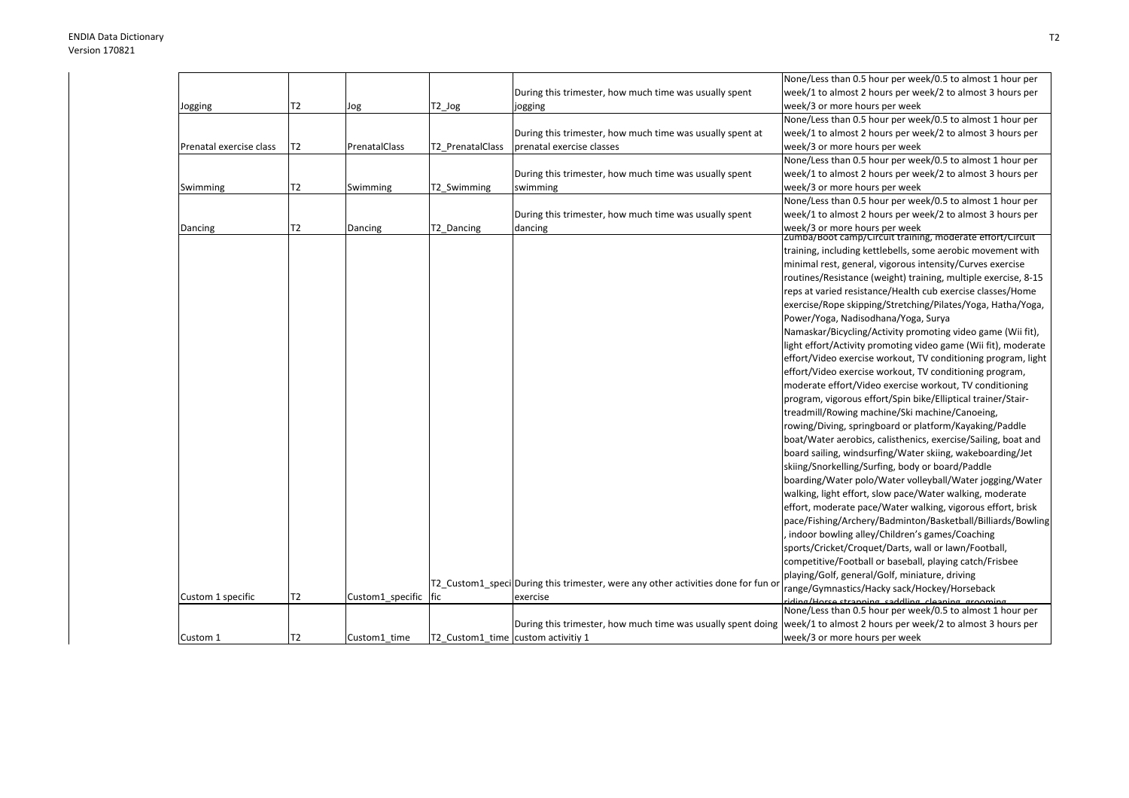|                         |                |                      |                                    |                                                                                   | None/Less than 0.5 hour per week/0.5 to almost 1 hour per                                                              |
|-------------------------|----------------|----------------------|------------------------------------|-----------------------------------------------------------------------------------|------------------------------------------------------------------------------------------------------------------------|
|                         |                |                      |                                    | During this trimester, how much time was usually spent                            | week/1 to almost 2 hours per week/2 to almost 3 hours per                                                              |
| Jogging                 | T <sub>2</sub> | Jog                  | T2_Jog                             | jogging                                                                           | week/3 or more hours per week                                                                                          |
|                         |                |                      |                                    |                                                                                   | None/Less than 0.5 hour per week/0.5 to almost 1 hour per                                                              |
|                         |                |                      |                                    | During this trimester, how much time was usually spent at                         | week/1 to almost 2 hours per week/2 to almost 3 hours per                                                              |
| Prenatal exercise class | T <sub>2</sub> | PrenatalClass        | T2 PrenatalClass                   | prenatal exercise classes                                                         | week/3 or more hours per week                                                                                          |
|                         |                |                      |                                    |                                                                                   | None/Less than 0.5 hour per week/0.5 to almost 1 hour per                                                              |
|                         |                |                      |                                    | During this trimester, how much time was usually spent                            | week/1 to almost 2 hours per week/2 to almost 3 hours per                                                              |
| Swimming                | T <sub>2</sub> | Swimming             | T2_Swimming                        | swimming                                                                          | week/3 or more hours per week                                                                                          |
|                         |                |                      |                                    |                                                                                   | None/Less than 0.5 hour per week/0.5 to almost 1 hour per                                                              |
|                         |                |                      |                                    | During this trimester, how much time was usually spent                            | week/1 to almost 2 hours per week/2 to almost 3 hours per                                                              |
| Dancing                 | T2             | Dancing              | T2 Dancing                         | dancing                                                                           | week/3 or more hours per week                                                                                          |
|                         |                |                      |                                    |                                                                                   | zumba/Boot camp/Circuit training, moderate effort/Circuit                                                              |
|                         |                |                      |                                    |                                                                                   | training, including kettlebells, some aerobic movement with                                                            |
|                         |                |                      |                                    |                                                                                   | minimal rest, general, vigorous intensity/Curves exercise                                                              |
|                         |                |                      |                                    |                                                                                   | routines/Resistance (weight) training, multiple exercise, 8-15                                                         |
|                         |                |                      |                                    |                                                                                   | reps at varied resistance/Health cub exercise classes/Home                                                             |
|                         |                |                      |                                    |                                                                                   | exercise/Rope skipping/Stretching/Pilates/Yoga, Hatha/Yoga,                                                            |
|                         |                |                      |                                    |                                                                                   | Power/Yoga, Nadisodhana/Yoga, Surya                                                                                    |
|                         |                |                      |                                    |                                                                                   | Namaskar/Bicycling/Activity promoting video game (Wii fit),                                                            |
|                         |                |                      |                                    |                                                                                   | light effort/Activity promoting video game (Wii fit), moderate                                                         |
|                         |                |                      |                                    |                                                                                   | effort/Video exercise workout, TV conditioning program, light                                                          |
|                         |                |                      |                                    |                                                                                   | effort/Video exercise workout, TV conditioning program,                                                                |
|                         |                |                      |                                    |                                                                                   | moderate effort/Video exercise workout, TV conditioning                                                                |
|                         |                |                      |                                    |                                                                                   | program, vigorous effort/Spin bike/Elliptical trainer/Stair-                                                           |
|                         |                |                      |                                    |                                                                                   | treadmill/Rowing machine/Ski machine/Canoeing,                                                                         |
|                         |                |                      |                                    |                                                                                   | rowing/Diving, springboard or platform/Kayaking/Paddle                                                                 |
|                         |                |                      |                                    |                                                                                   | boat/Water aerobics, calisthenics, exercise/Sailing, boat and                                                          |
|                         |                |                      |                                    |                                                                                   | board sailing, windsurfing/Water skiing, wakeboarding/Jet                                                              |
|                         |                |                      |                                    |                                                                                   | skiing/Snorkelling/Surfing, body or board/Paddle                                                                       |
|                         |                |                      |                                    |                                                                                   | boarding/Water polo/Water volleyball/Water jogging/Water                                                               |
|                         |                |                      |                                    |                                                                                   | walking, light effort, slow pace/Water walking, moderate                                                               |
|                         |                |                      |                                    |                                                                                   | effort, moderate pace/Water walking, vigorous effort, brisk                                                            |
|                         |                |                      |                                    |                                                                                   | pace/Fishing/Archery/Badminton/Basketball/Billiards/Bowling                                                            |
|                         |                |                      |                                    |                                                                                   | indoor bowling alley/Children's games/Coaching                                                                         |
|                         |                |                      |                                    |                                                                                   | sports/Cricket/Croquet/Darts, wall or lawn/Football,                                                                   |
|                         |                |                      |                                    |                                                                                   | competitive/Football or baseball, playing catch/Frisbee                                                                |
|                         |                |                      |                                    |                                                                                   | playing/Golf, general/Golf, miniature, driving                                                                         |
|                         |                |                      |                                    | T2 Custom1 speci During this trimester, were any other activities done for fun or | range/Gymnastics/Hacky sack/Hockey/Horseback                                                                           |
| Custom 1 specific       | T2             | Custom1 specific fic |                                    | exercise                                                                          | riding/Horse stranning saddling cleaning grooming<br>None/Less than 0.5 hour per week/0.5 to almost 1 hour per         |
|                         |                |                      |                                    |                                                                                   |                                                                                                                        |
|                         |                |                      |                                    |                                                                                   | During this trimester, how much time was usually spent doing week/1 to almost 2 hours per week/2 to almost 3 hours per |
| Custom 1                | T <sub>2</sub> | Custom1 time         | T2 Custom1 time custom activitiv 1 |                                                                                   | week/3 or more hours per week                                                                                          |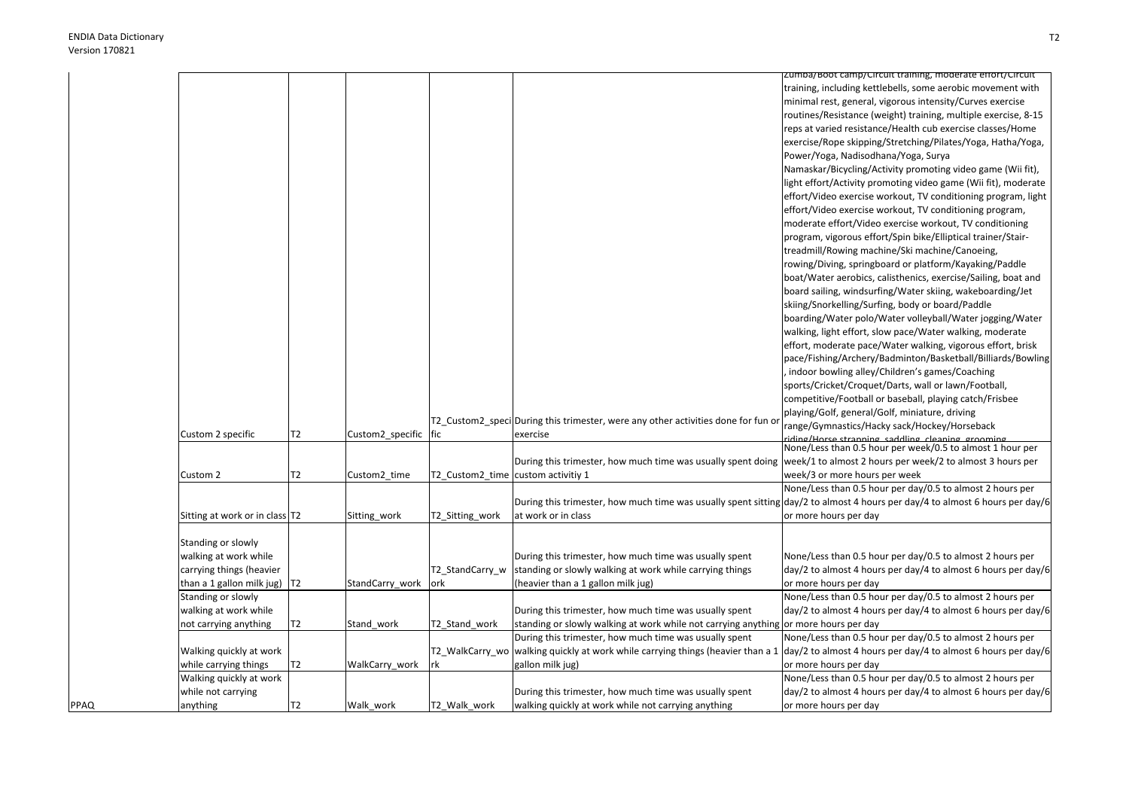PPAQ

|   |                                  |                |                  |                                    |                                                                                                                              | Zumba/Boot camp/Circuit training, moderate effort/Circuit                                         |
|---|----------------------------------|----------------|------------------|------------------------------------|------------------------------------------------------------------------------------------------------------------------------|---------------------------------------------------------------------------------------------------|
|   |                                  |                |                  |                                    |                                                                                                                              | training, including kettlebells, some aerobic movement with                                       |
|   |                                  |                |                  |                                    |                                                                                                                              | minimal rest, general, vigorous intensity/Curves exercise                                         |
|   |                                  |                |                  |                                    |                                                                                                                              | routines/Resistance (weight) training, multiple exercise, 8-15                                    |
|   |                                  |                |                  |                                    |                                                                                                                              | reps at varied resistance/Health cub exercise classes/Home                                        |
|   |                                  |                |                  |                                    |                                                                                                                              | exercise/Rope skipping/Stretching/Pilates/Yoga, Hatha/Yoga,                                       |
|   |                                  |                |                  |                                    |                                                                                                                              | Power/Yoga, Nadisodhana/Yoga, Surya                                                               |
|   |                                  |                |                  |                                    |                                                                                                                              | Namaskar/Bicycling/Activity promoting video game (Wii fit),                                       |
|   |                                  |                |                  |                                    |                                                                                                                              | light effort/Activity promoting video game (Wii fit), moderate                                    |
|   |                                  |                |                  |                                    |                                                                                                                              | effort/Video exercise workout, TV conditioning program, light                                     |
|   |                                  |                |                  |                                    |                                                                                                                              | effort/Video exercise workout, TV conditioning program,                                           |
|   |                                  |                |                  |                                    |                                                                                                                              | moderate effort/Video exercise workout, TV conditioning                                           |
|   |                                  |                |                  |                                    |                                                                                                                              | program, vigorous effort/Spin bike/Elliptical trainer/Stair-                                      |
|   |                                  |                |                  |                                    |                                                                                                                              | treadmill/Rowing machine/Ski machine/Canoeing,                                                    |
|   |                                  |                |                  |                                    |                                                                                                                              | rowing/Diving, springboard or platform/Kayaking/Paddle                                            |
|   |                                  |                |                  |                                    |                                                                                                                              |                                                                                                   |
|   |                                  |                |                  |                                    |                                                                                                                              | boat/Water aerobics, calisthenics, exercise/Sailing, boat and                                     |
|   |                                  |                |                  |                                    |                                                                                                                              | board sailing, windsurfing/Water skiing, wakeboarding/Jet                                         |
|   |                                  |                |                  |                                    |                                                                                                                              | skiing/Snorkelling/Surfing, body or board/Paddle                                                  |
|   |                                  |                |                  |                                    |                                                                                                                              | boarding/Water polo/Water volleyball/Water jogging/Water                                          |
|   |                                  |                |                  |                                    |                                                                                                                              | walking, light effort, slow pace/Water walking, moderate                                          |
|   |                                  |                |                  |                                    |                                                                                                                              | effort, moderate pace/Water walking, vigorous effort, brisk                                       |
|   |                                  |                |                  |                                    |                                                                                                                              | pace/Fishing/Archery/Badminton/Basketball/Billiards/Bowling                                       |
|   |                                  |                |                  |                                    |                                                                                                                              | indoor bowling alley/Children's games/Coaching                                                    |
|   |                                  |                |                  |                                    |                                                                                                                              | sports/Cricket/Croquet/Darts, wall or lawn/Football,                                              |
|   |                                  |                |                  |                                    |                                                                                                                              | competitive/Football or baseball, playing catch/Frisbee                                           |
|   |                                  |                |                  |                                    | T2_Custom2_speci During this trimester, were any other activities done for fun c                                             | playing/Golf, general/Golf, miniature, driving                                                    |
|   | Custom 2 specific                | T2             | Custom2 specific | fic                                | exercise                                                                                                                     | range/Gymnastics/Hacky sack/Hockey/Horseback<br>riding/Horse stranning saddling cleaning grooming |
|   |                                  |                |                  |                                    |                                                                                                                              | None/Less than 0.5 hour per week/0.5 to almost 1 hour per                                         |
|   |                                  |                |                  |                                    | During this trimester, how much time was usually spent doing week/1 to almost 2 hours per week/2 to almost 3 hours per       |                                                                                                   |
|   | Custom 2                         | T2             | Custom2_time     | T2_Custom2_time custom activitiy 1 |                                                                                                                              | week/3 or more hours per week                                                                     |
|   |                                  |                |                  |                                    |                                                                                                                              | None/Less than 0.5 hour per day/0.5 to almost 2 hours per                                         |
|   |                                  |                |                  |                                    | During this trimester, how much time was usually spent sitting day/2 to almost 4 hours per day/4 to almost 6 hours per day/6 |                                                                                                   |
|   | Sitting at work or in class T2   |                | Sitting_work     | T2 Sitting work                    | at work or in class                                                                                                          | or more hours per day                                                                             |
|   |                                  |                |                  |                                    |                                                                                                                              |                                                                                                   |
|   | Standing or slowly               |                |                  |                                    |                                                                                                                              |                                                                                                   |
|   | walking at work while            |                |                  |                                    | During this trimester, how much time was usually spent                                                                       | None/Less than 0.5 hour per day/0.5 to almost 2 hours per                                         |
|   | carrying things (heavier         |                |                  | T2_StandCarry_w                    | standing or slowly walking at work while carrying things                                                                     | day/2 to almost 4 hours per day/4 to almost 6 hours per day/6                                     |
|   | than a 1 gallon milk jug) $ T2 $ |                | StandCarry work  | ork                                | (heavier than a 1 gallon milk jug)                                                                                           | or more hours per day                                                                             |
|   | Standing or slowly               |                |                  |                                    |                                                                                                                              | None/Less than 0.5 hour per day/0.5 to almost 2 hours per                                         |
|   | walking at work while            |                |                  |                                    | During this trimester, how much time was usually spent                                                                       | day/2 to almost 4 hours per day/4 to almost 6 hours per day/6                                     |
|   | not carrying anything            | T <sub>2</sub> | Stand_work       | T2_Stand_work                      | standing or slowly walking at work while not carrying anything                                                               | or more hours per day                                                                             |
|   |                                  |                |                  |                                    | During this trimester, how much time was usually spent                                                                       | None/Less than 0.5 hour per day/0.5 to almost 2 hours per                                         |
|   | Walking quickly at work          |                |                  |                                    | T2_WalkCarry_wo  walking quickly at work while carrying things (heavier than a 1                                             | day/2 to almost 4 hours per day/4 to almost 6 hours per day/6                                     |
|   | while carrying things            | T <sub>2</sub> | WalkCarry_work   | rk                                 | gallon milk jug)                                                                                                             | or more hours per day                                                                             |
|   | Walking quickly at work          |                |                  |                                    |                                                                                                                              | None/Less than 0.5 hour per day/0.5 to almost 2 hours per                                         |
|   | while not carrying               |                |                  |                                    | During this trimester, how much time was usually spent                                                                       | day/2 to almost 4 hours per day/4 to almost 6 hours per day/6                                     |
| Q | anything                         | T <sub>2</sub> | Walk_work        | T2 Walk work                       | walking quickly at work while not carrying anything                                                                          | or more hours per day                                                                             |
|   |                                  |                |                  |                                    |                                                                                                                              |                                                                                                   |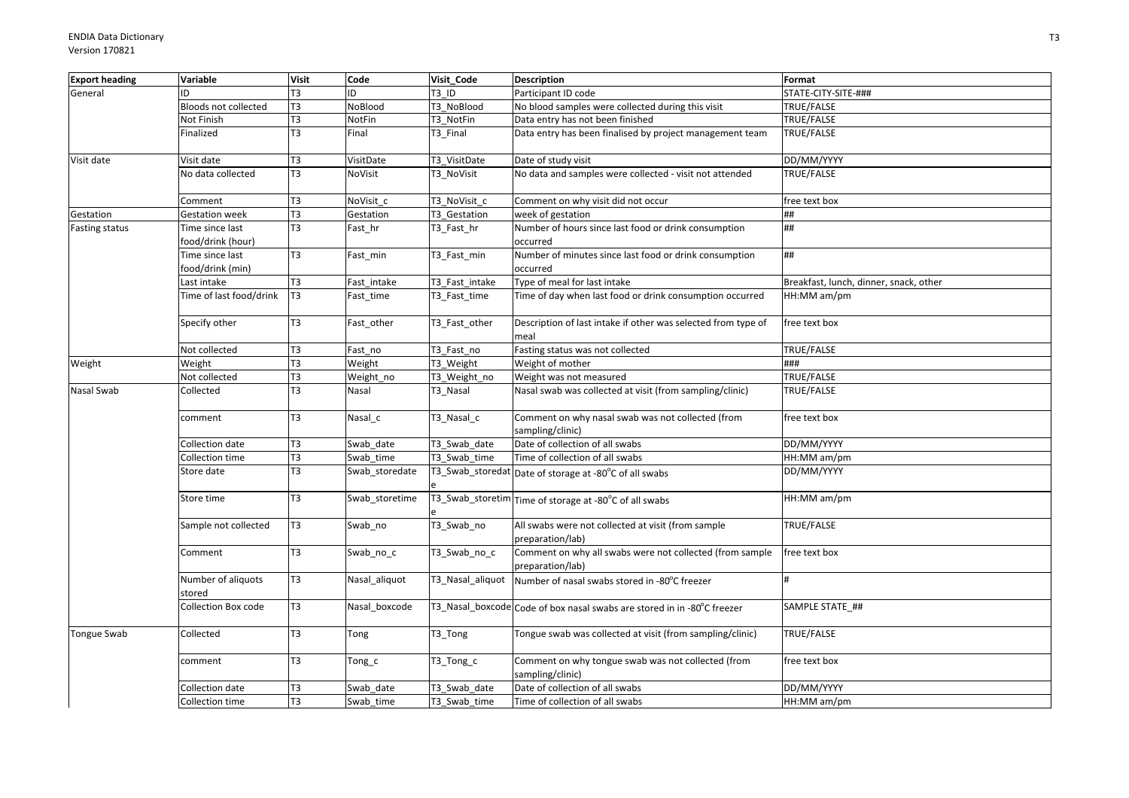| <b>Export heading</b> | Variable                             | <b>Visit</b>   | Code           | Visit Code       | <b>Description</b>                                                           | Format                                 |
|-----------------------|--------------------------------------|----------------|----------------|------------------|------------------------------------------------------------------------------|----------------------------------------|
| General               | ID                                   | T <sub>3</sub> | ID             | <b>T3 ID</b>     | Participant ID code                                                          | STATE-CITY-SITE-###                    |
|                       | Bloods not collected                 | T <sub>3</sub> | NoBlood        | T3 NoBlood       | No blood samples were collected during this visit                            | TRUE/FALSE                             |
|                       | Not Finish                           | T <sub>3</sub> | NotFin         | T3 NotFin        | Data entry has not been finished                                             | TRUE/FALSE                             |
|                       | Finalized                            | T <sub>3</sub> | Final          | T3 Final         | Data entry has been finalised by project management team                     | TRUE/FALSE                             |
| Visit date            | Visit date                           | T <sub>3</sub> | VisitDate      | T3 VisitDate     | Date of study visit                                                          | DD/MM/YYYY                             |
|                       | No data collected                    | T <sub>3</sub> | <b>NoVisit</b> | T3_NoVisit       | No data and samples were collected - visit not attended                      | TRUE/FALSE                             |
|                       | Comment                              | T <sub>3</sub> | NoVisit_c      | T3_NoVisit_c     | Comment on why visit did not occur                                           | free text box                          |
| Gestation             | <b>Gestation week</b>                | T <sub>3</sub> | Gestation      | T3 Gestation     | week of gestation                                                            | ##                                     |
| Fasting status        | Time since last<br>food/drink (hour) | T <sub>3</sub> | Fast_hr        | T3_Fast_hr       | Number of hours since last food or drink consumption<br>occurred             | ##                                     |
|                       | Time since last<br>food/drink (min)  | T3             | Fast_min       | T3_Fast_min      | Number of minutes since last food or drink consumption<br>occurred           | ##                                     |
|                       | Last intake                          | T3             | Fast_intake    | T3 Fast intake   | Type of meal for last intake                                                 | Breakfast, lunch, dinner, snack, other |
|                       | Time of last food/drink              | T <sub>3</sub> | Fast_time      | T3 Fast time     | Time of day when last food or drink consumption occurred                     | HH:MM am/pm                            |
|                       | Specify other                        | T <sub>3</sub> | Fast_other     | T3_Fast_other    | Description of last intake if other was selected from type of<br>meal        | free text box                          |
|                       | Not collected                        | T <sub>3</sub> | Fast_no        | T3_Fast_no       | Fasting status was not collected                                             | TRUE/FALSE                             |
| Weight                | Weight                               | EL             | Weight         | T3_Weight        | Weight of mother                                                             | ###                                    |
|                       | Not collected                        | T <sub>3</sub> | Weight_no      | T3 Weight no     | Weight was not measured                                                      | TRUE/FALSE                             |
| Nasal Swab            | Collected                            | T <sub>3</sub> | Nasal          | T3_Nasal         | Nasal swab was collected at visit (from sampling/clinic)                     | TRUE/FALSE                             |
|                       | comment                              | T <sub>3</sub> | Nasal_c        | T3_Nasal_c       | Comment on why nasal swab was not collected (from<br>sampling/clinic)        | free text box                          |
|                       | Collection date                      | T <sub>3</sub> | Swab date      | T3 Swab date     | Date of collection of all swabs                                              | DD/MM/YYYY                             |
|                       | Collection time                      | T <sub>3</sub> | Swab time      | T3 Swab time     | Time of collection of all swabs                                              | HH:MM am/pm                            |
|                       | Store date                           | T <sub>3</sub> | Swab_storedate |                  | T3_Swab_storedat Date of storage at -80°C of all swabs                       | DD/MM/YYYY                             |
|                       | Store time                           | T <sub>3</sub> | Swab_storetime |                  | T3_Swab_storetim Time of storage at -80°C of all swabs                       | HH:MM am/pm                            |
|                       | Sample not collected                 | T <sub>3</sub> | Swab_no        | T3_Swab_no       | All swabs were not collected at visit (from sample<br>preparation/lab)       | TRUE/FALSE                             |
|                       | Comment                              | T <sub>3</sub> | Swab_no_c      | T3_Swab_no_c     | Comment on why all swabs were not collected (from sample<br>preparation/lab) | free text box                          |
|                       | Number of aliquots<br>stored         | T <sub>3</sub> | Nasal_aliquot  | T3_Nasal_aliquot | Number of nasal swabs stored in -80°C freezer                                |                                        |
|                       | <b>Collection Box code</b>           | T <sub>3</sub> | Nasal boxcode  |                  | T3_Nasal_boxcode Code of box nasal swabs are stored in in -80°C freezer      | SAMPLE STATE ##                        |
| <b>Tongue Swab</b>    | Collected                            | T <sub>3</sub> | Tong           | T3_Tong          | Tongue swab was collected at visit (from sampling/clinic)                    | TRUE/FALSE                             |
|                       | comment                              | T <sub>3</sub> | Tong_c         | T3_Tong_c        | Comment on why tongue swab was not collected (from<br>sampling/clinic)       | free text box                          |
|                       | Collection date                      | T <sub>3</sub> | Swab date      | T3 Swab date     | Date of collection of all swabs                                              | DD/MM/YYYY                             |
|                       | Collection time                      | T <sub>3</sub> | Swab time      | T3 Swab time     | Time of collection of all swabs                                              | HH:MM am/pm                            |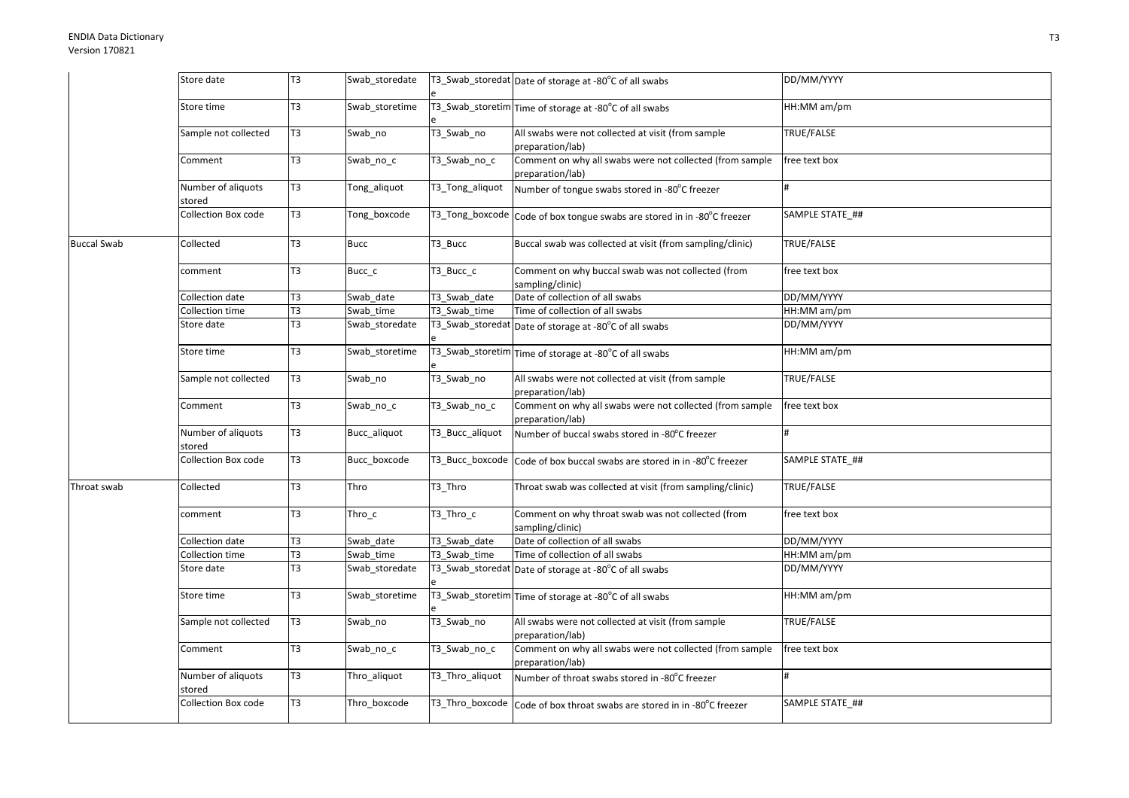|                    | Store date                   | T <sub>3</sub> | Swab_storedate |                 | T3_Swab_storedat Date of storage at -80°C of all swabs                       | DD/MM/YYYY      |
|--------------------|------------------------------|----------------|----------------|-----------------|------------------------------------------------------------------------------|-----------------|
|                    | Store time                   | T <sub>3</sub> | Swab_storetime |                 | T3_Swab_storetim Time of storage at -80°C of all swabs                       | HH:MM am/pm     |
|                    | Sample not collected         | T <sub>3</sub> | Swab_no        | T3_Swab_no      | All swabs were not collected at visit (from sample<br>preparation/lab)       | TRUE/FALSE      |
|                    | Comment                      | T <sub>3</sub> | Swab_no_c      | T3_Swab_no_c    | Comment on why all swabs were not collected (from sample<br>preparation/lab) | free text box   |
|                    | Number of aliquots<br>stored | T3             | Tong_aliquot   | T3_Tong_aliquot | Number of tongue swabs stored in -80°C freezer                               | #               |
|                    | Collection Box code          | T3             | Tong boxcode   |                 | T3_Tong_boxcode Code of box tongue swabs are stored in in -80°C freezer      | SAMPLE STATE ## |
| <b>Buccal Swab</b> | Collected                    | T3             | <b>Bucc</b>    | T3 Bucc         | Buccal swab was collected at visit (from sampling/clinic)                    | TRUE/FALSE      |
|                    | comment                      | T <sub>3</sub> | Bucc_c         | T3_Bucc_c       | Comment on why buccal swab was not collected (from<br>sampling/clinic)       | free text box   |
|                    | Collection date              | T3             | Swab date      | T3 Swab date    | Date of collection of all swabs                                              | DD/MM/YYYY      |
|                    | Collection time              | T <sub>3</sub> | Swab time      | T3 Swab time    | Time of collection of all swabs                                              | HH:MM am/pm     |
|                    | Store date                   | T <sub>3</sub> | Swab_storedate |                 | T3_Swab_storedat Date of storage at -80°C of all swabs                       | DD/MM/YYYY      |
|                    | Store time                   | T <sub>3</sub> | Swab_storetime |                 | T3_Swab_storetim Time of storage at -80°C of all swabs                       | HH:MM am/pm     |
|                    | Sample not collected         | T <sub>3</sub> | Swab_no        | T3_Swab_no      | All swabs were not collected at visit (from sample<br>preparation/lab)       | TRUE/FALSE      |
|                    | Comment                      | T <sub>3</sub> | Swab_no_c      | T3_Swab_no_c    | Comment on why all swabs were not collected (from sample<br>preparation/lab) | free text box   |
|                    | Number of aliquots<br>stored | T3             | Bucc_aliquot   | T3_Bucc_aliquot | Number of buccal swabs stored in -80°C freezer                               |                 |
|                    | <b>Collection Box code</b>   | T <sub>3</sub> | Bucc boxcode   | T3_Bucc_boxcode | Code of box buccal swabs are stored in in -80°C freezer                      | SAMPLE STATE ## |
| Throat swab        | Collected                    | T <sub>3</sub> | Thro           | T3 Thro         | Throat swab was collected at visit (from sampling/clinic)                    | TRUE/FALSE      |
|                    | comment                      | T <sub>3</sub> | Thro_c         | T3_Thro_c       | Comment on why throat swab was not collected (from<br>sampling/clinic)       | free text box   |
|                    | Collection date              | T <sub>3</sub> | Swab date      | T3_Swab_date    | Date of collection of all swabs                                              | DD/MM/YYYY      |
|                    | Collection time              | T3             | Swab time      | T3 Swab time    | Time of collection of all swabs                                              | HH:MM am/pm     |
|                    | Store date                   | T <sub>3</sub> | Swab_storedate |                 | T3_Swab_storedat Date of storage at -80°C of all swabs                       | DD/MM/YYYY      |
|                    | Store time                   | T3             | Swab storetime |                 | T3_Swab_storetim Time of storage at -80°C of all swabs                       | HH:MM am/pm     |
|                    | Sample not collected         | T3             | Swab_no        | T3_Swab_no      | All swabs were not collected at visit (from sample<br>preparation/lab)       | TRUE/FALSE      |
|                    | Comment                      | T <sub>3</sub> | Swab_no_c      | T3_Swab_no_c    | Comment on why all swabs were not collected (from sample<br>preparation/lab) | free text box   |
|                    | Number of aliquots<br>stored | T <sub>3</sub> | Thro_aliquot   | T3_Thro_aliquot | Number of throat swabs stored in -80°C freezer                               | #               |
|                    | Collection Box code          | T3             | Thro_boxcode   |                 | T3_Thro_boxcode Code of box throat swabs are stored in in -80°C freezer      | SAMPLE STATE ## |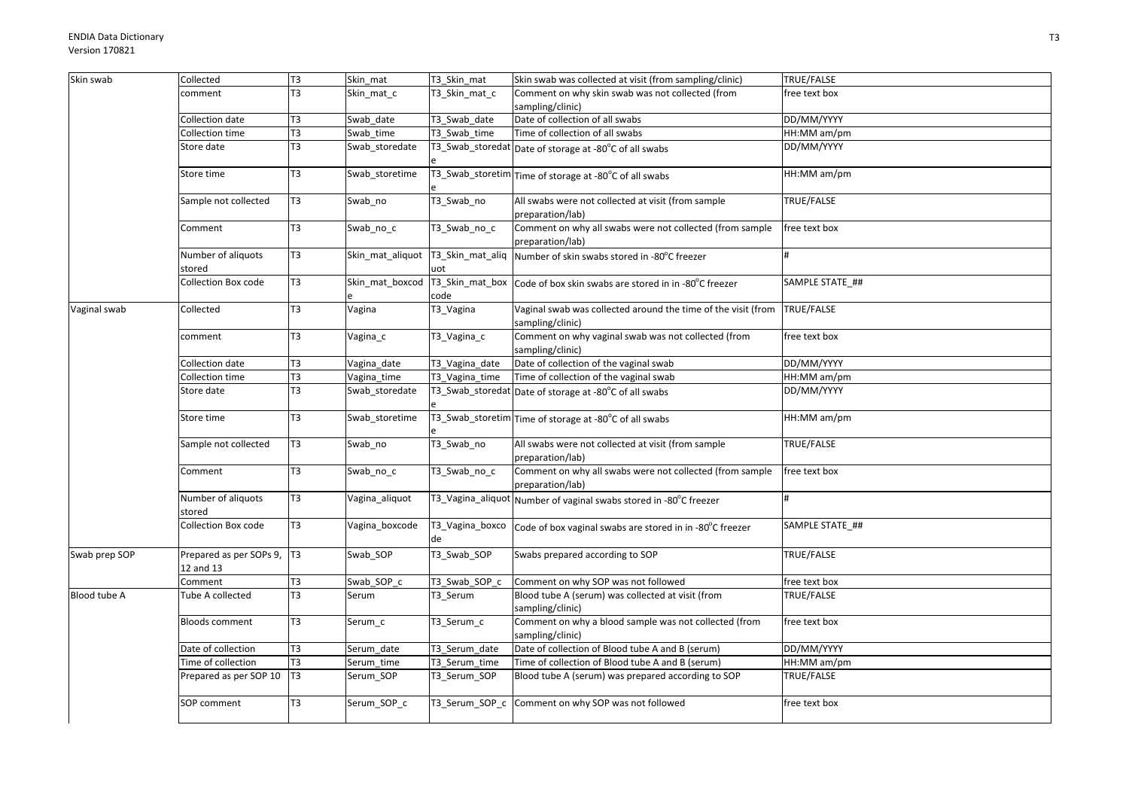| Skin swab     | Collected                               | T3             | Skin_mat         | T3_Skin_mat           | Skin swab was collected at visit (from sampling/clinic)                           | TRUE/FALSE      |
|---------------|-----------------------------------------|----------------|------------------|-----------------------|-----------------------------------------------------------------------------------|-----------------|
|               | comment                                 | T <sub>3</sub> | Skin mat c       | T3 Skin mat c         | Comment on why skin swab was not collected (from                                  | free text box   |
|               |                                         |                |                  |                       | sampling/clinic)                                                                  |                 |
|               | Collection date                         | T3             | Swab date        | T3 Swab date          | Date of collection of all swabs                                                   | DD/MM/YYYY      |
|               | Collection time                         | T3             | Swab time        | T3_Swab_time          | Time of collection of all swabs                                                   | HH:MM am/pm     |
|               | Store date                              | T <sub>3</sub> | Swab storedate   |                       | T3_Swab_storedat Date of storage at -80°C of all swabs                            | DD/MM/YYYY      |
|               | Store time                              | T <sub>3</sub> | Swab_storetime   |                       | T3_Swab_storetim Time of storage at -80°C of all swabs                            | HH:MM am/pm     |
|               | Sample not collected                    | T <sub>3</sub> | Swab_no          | T3_Swab_no            | All swabs were not collected at visit (from sample<br>preparation/lab)            | TRUE/FALSE      |
|               | Comment                                 | T <sub>3</sub> | Swab_no_c        | T3_Swab_no_c          | Comment on why all swabs were not collected (from sample<br>preparation/lab)      | free text box   |
|               | Number of aliquots<br>stored            | T <sub>3</sub> | Skin mat aliquot | uot                   | T3_Skin_mat_aliq   Number of skin swabs stored in -80°C freezer                   | #               |
|               | <b>Collection Box code</b>              | T <sub>3</sub> | Skin mat boxcod  | code                  | T3_Skin_mat_box   Code of box skin swabs are stored in in -80°C freezer           | SAMPLE STATE ## |
| Vaginal swab  | Collected                               | T <sub>3</sub> | Vagina           | T3_Vagina             | Vaginal swab was collected around the time of the visit (from<br>sampling/clinic) | TRUE/FALSE      |
|               | comment                                 | T3             | Vagina_c         | T3_Vagina_c           | Comment on why vaginal swab was not collected (from<br>sampling/clinic)           | free text box   |
|               | Collection date                         | T <sub>3</sub> | Vagina_date      | T3 Vagina date        | Date of collection of the vaginal swab                                            | DD/MM/YYYY      |
|               | Collection time                         | T3             | Vagina_time      | T3_Vagina_time        | Time of collection of the vaginal swab                                            | HH:MM am/pm     |
|               | Store date                              | T <sub>3</sub> | Swab storedate   |                       | T3_Swab_storedat Date of storage at -80°C of all swabs                            | DD/MM/YYYY      |
|               | Store time                              | T <sub>3</sub> | Swab storetime   |                       | T3_Swab_storetim Time of storage at -80°C of all swabs                            | HH:MM am/pm     |
|               | Sample not collected                    | T3             | Swab_no          | T3_Swab_no            | All swabs were not collected at visit (from sample<br>preparation/lab)            | TRUE/FALSE      |
|               | Comment                                 | T3             | Swab_no_c        | T3_Swab_no_c          | Comment on why all swabs were not collected (from sample<br>preparation/lab)      | free text box   |
|               | Number of aliquots<br>stored            | T3             | Vagina_aliquot   |                       | T3_Vagina_aliquot Number of vaginal swabs stored in -80°C freezer                 |                 |
|               | Collection Box code                     | T <sub>3</sub> | Vagina boxcode   | T3_Vagina_boxco<br>de | Code of box vaginal swabs are stored in in -80°C freezer                          | SAMPLE STATE ## |
| Swab prep SOP | Prepared as per SOPs 9, T3<br>12 and 13 |                | Swab_SOP         | T3_Swab_SOP           | Swabs prepared according to SOP                                                   | TRUE/FALSE      |
|               | Comment                                 | T3             | Swab SOP c       | T3 Swab SOP c         | Comment on why SOP was not followed                                               | free text box   |
| Blood tube A  | Tube A collected                        | T <sub>3</sub> | Serum            | T3 Serum              | Blood tube A (serum) was collected at visit (from<br>sampling/clinic)             | TRUE/FALSE      |
|               | <b>Bloods comment</b>                   | T <sub>3</sub> | Serum c          | T3_Serum_c            | Comment on why a blood sample was not collected (from<br>sampling/clinic)         | free text box   |
|               | Date of collection                      | T <sub>3</sub> | Serum date       | T3 Serum date         | Date of collection of Blood tube A and B (serum)                                  | DD/MM/YYYY      |
|               | Time of collection                      | T3             | Serum time       | T3 Serum time         | Time of collection of Blood tube A and B (serum)                                  | HH:MM am/pm     |
|               | Prepared as per SOP 10   T3             |                | Serum_SOP        | T3_Serum_SOP          | Blood tube A (serum) was prepared according to SOP                                | TRUE/FALSE      |
|               | SOP comment                             | T <sub>3</sub> | Serum_SOP_c      |                       | T3_Serum_SOP_c Comment on why SOP was not followed                                | free text box   |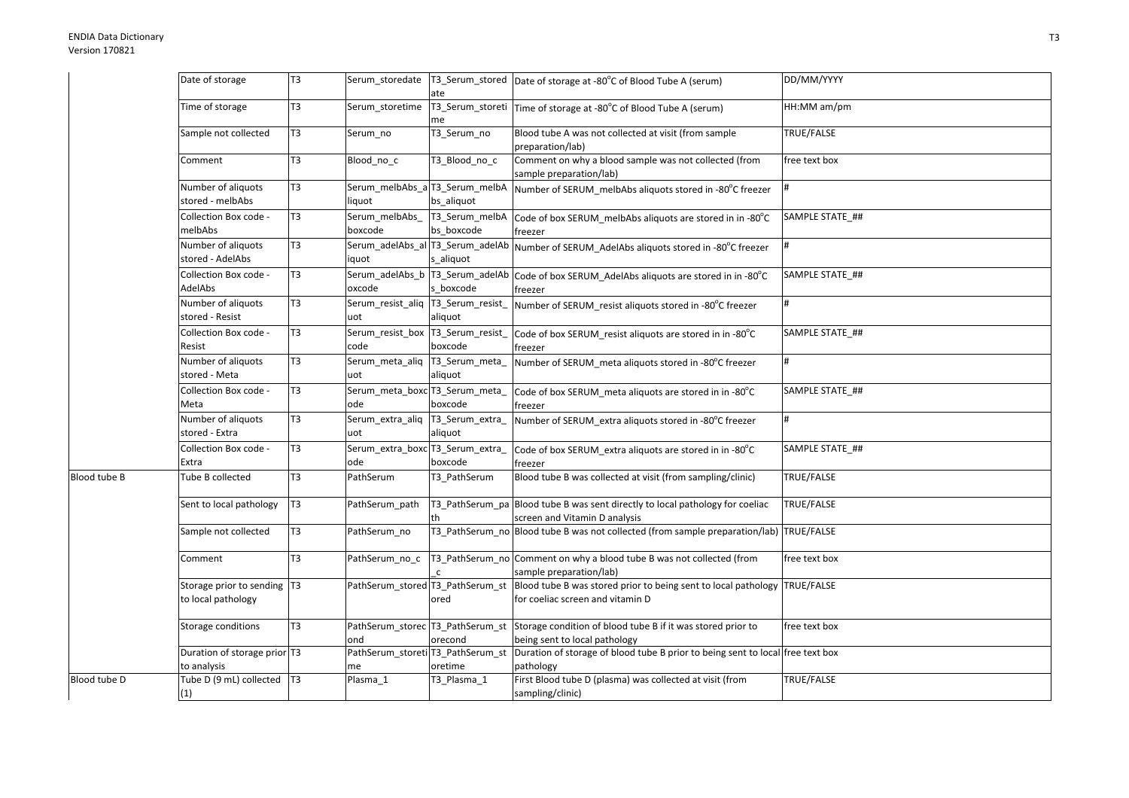|              | Date of storage                                   | T <sub>3</sub> |                                            | ate                                          | Serum_storedate   T3_Serum_stored   Date of storage at -80°C of Blood Tube A (serum)                                          | DD/MM/YYYY      |
|--------------|---------------------------------------------------|----------------|--------------------------------------------|----------------------------------------------|-------------------------------------------------------------------------------------------------------------------------------|-----------------|
|              | Time of storage                                   | T <sub>3</sub> | Serum storetime                            | me                                           | T3_Serum_storeti Time of storage at -80°C of Blood Tube A (serum)                                                             | HH:MM am/pm     |
|              | Sample not collected                              | T <sub>3</sub> | Serum_no                                   | T3_Serum_no                                  | Blood tube A was not collected at visit (from sample<br>preparation/lab)                                                      | TRUE/FALSE      |
|              | Comment                                           | T <sub>3</sub> | Blood_no_c                                 | T3_Blood_no_c                                | Comment on why a blood sample was not collected (from<br>sample preparation/lab)                                              | free text box   |
|              | Number of aliquots<br>stored - melbAbs            | T <sub>3</sub> | iquot                                      | bs_aliquot                                   | Serum_melbAbs_a T3_Serum_melbA  Number of SERUM_melbAbs aliquots stored in -80°C freezer                                      |                 |
|              | Collection Box code -<br>melbAbs                  | T <sub>3</sub> | Serum melbAbs<br>boxcode                   | T3_Serum_melbA<br>bs boxcode                 | Code of box SERUM_melbAbs aliquots are stored in in -80°C<br>freezer                                                          | SAMPLE STATE ## |
|              | Number of aliquots<br>stored - AdelAbs            | T <sub>3</sub> | iquot                                      | s aliquot                                    | Serum_adelAbs_al T3_Serum_adelAb Number of SERUM_AdelAbs aliquots stored in -80°C freezer                                     |                 |
|              | Collection Box code -<br>AdelAbs                  | T <sub>3</sub> | oxcode                                     | s boxcode                                    | Serum_adelAbs_b   T3_Serum_adelAb   Code of box SERUM_AdelAbs aliquots are stored in in -80°C<br>freezer                      | SAMPLE STATE ## |
|              | Number of aliquots<br>stored - Resist             | T <sub>3</sub> | Serum_resist_aliq  T3_Serum_resist_<br>uot | aliquot                                      | Number of SERUM_resist aliquots stored in -80°C freezer                                                                       |                 |
|              | Collection Box code -<br>Resist                   | T <sub>3</sub> | Serum_resist_box  T3_Serum_resist_<br>code | boxcode                                      | Code of box SERUM_resist aliquots are stored in in -80°C<br>freezer                                                           | SAMPLE STATE ## |
|              | Number of aliquots<br>stored - Meta               | T <sub>3</sub> | Serum_meta_aliq  T3_Serum_meta_<br>uot     | aliquot                                      | Number of SERUM_meta aliquots stored in -80°C freezer                                                                         |                 |
|              | Collection Box code -<br>Meta                     | T <sub>3</sub> | Serum_meta_boxc T3_Serum_meta_<br>ode      | boxcode                                      | Code of box SERUM meta aliquots are stored in in -80°C<br>freezer                                                             | SAMPLE STATE ## |
|              | Number of aliquots<br>stored - Extra              | T <sub>3</sub> | Serum_extra_aliq T3_Serum_extra_<br>uot    | aliquot                                      | Number of SERUM_extra aliquots stored in -80°C freezer                                                                        |                 |
|              | Collection Box code -<br>Extra                    | T <sub>3</sub> | Serum_extra_boxc T3_Serum_extra_<br>ode    | boxcode                                      | Code of box SERUM_extra aliquots are stored in in -80°C<br>freezer                                                            | SAMPLE STATE ## |
| Blood tube B | Tube B collected                                  | T <sub>3</sub> | PathSerum                                  | T3_PathSerum                                 | Blood tube B was collected at visit (from sampling/clinic)                                                                    | TRUE/FALSE      |
|              | Sent to local pathology                           | T <sub>3</sub> | PathSerum path                             |                                              | T3_PathSerum_pa Blood tube B was sent directly to local pathology for coeliac<br>screen and Vitamin D analysis                | TRUE/FALSE      |
|              | Sample not collected                              | T <sub>3</sub> | PathSerum no                               |                                              | T3_PathSerum_no Blood tube B was not collected (from sample preparation/lab) TRUE/FALSE                                       |                 |
|              | Comment                                           | T <sub>3</sub> | PathSerum no c                             |                                              | T3_PathSerum_no Comment on why a blood tube B was not collected (from<br>sample preparation/lab)                              | free text box   |
|              | Storage prior to sending T3<br>to local pathology |                | PathSerum_stored T3_PathSerum_st           | ored                                         | Blood tube B was stored prior to being sent to local pathology TRUE/FALSE<br>for coeliac screen and vitamin D                 |                 |
|              | Storage conditions                                | T <sub>3</sub> | ond                                        | orecond                                      | PathSerum_storec T3_PathSerum_st Storage condition of blood tube B if it was stored prior to<br>being sent to local pathology | free text box   |
|              | Duration of storage prior T3<br>to analysis       |                | ne                                         | PathSerum_storeti T3_PathSerum_st<br>oretime | Duration of storage of blood tube B prior to being sent to local free text box<br>pathology                                   |                 |
| Blood tube D | Tube D (9 mL) collected   T3<br>(1)               |                | Plasma_1                                   | T3 Plasma 1                                  | First Blood tube D (plasma) was collected at visit (from<br>sampling/clinic)                                                  | TRUE/FALSE      |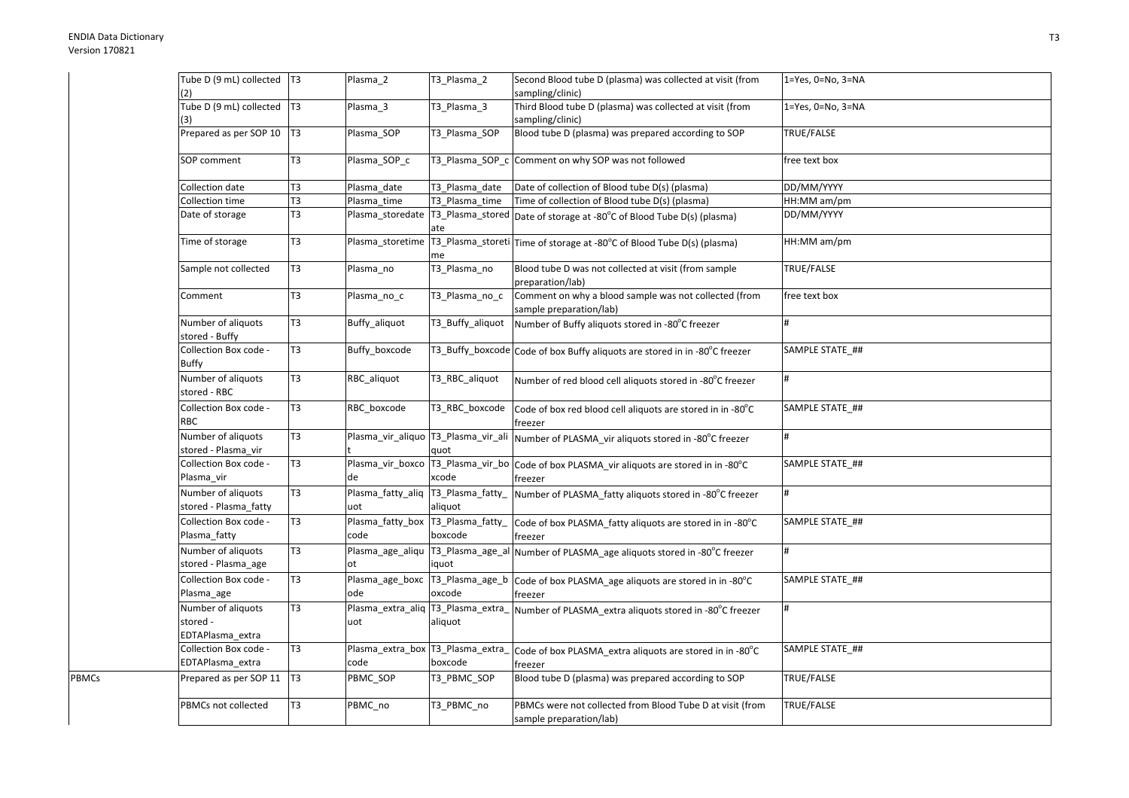PBMCs

| Tube D (9 mL) collected   T3                       |                | Plasma_2                                  | T3_Plasma_2      | Second Blood tube D (plasma) was collected at visit (from                                                 | $1 = Yes, 0 = No, 3 = NA$ |
|----------------------------------------------------|----------------|-------------------------------------------|------------------|-----------------------------------------------------------------------------------------------------------|---------------------------|
| (2)                                                |                |                                           |                  | sampling/clinic)                                                                                          |                           |
| Tube D (9 mL) collected   T3<br>(3)                |                | Plasma 3                                  | T3_Plasma_3      | Third Blood tube D (plasma) was collected at visit (from<br>sampling/clinic)                              | 1=Yes, 0=No, 3=NA         |
| Prepared as per SOP 10                             | T <sub>3</sub> | Plasma SOP                                | T3 Plasma SOP    | Blood tube D (plasma) was prepared according to SOP                                                       | TRUE/FALSE                |
| SOP comment                                        | T <sub>3</sub> | Plasma_SOP_c                              |                  | T3_Plasma_SOP_c Comment on why SOP was not followed                                                       | free text box             |
| Collection date                                    | T3             | Plasma date                               | T3 Plasma date   | Date of collection of Blood tube D(s) (plasma)                                                            | DD/MM/YYYY                |
| Collection time                                    | T <sub>3</sub> | Plasma_time                               | T3_Plasma_time   | Time of collection of Blood tube D(s) (plasma)                                                            | HH:MM am/pm               |
| Date of storage                                    | T <sub>3</sub> |                                           | ate              | Plasma_storedate   T3_Plasma_stored   Date of storage at -80°C of Blood Tube D(s) (plasma)                | DD/MM/YYYY                |
| Time of storage                                    | T <sub>3</sub> |                                           | me               | Plasma_storetime T3_Plasma_storeti Time of storage at -80°C of Blood Tube D(s) (plasma)                   | HH:MM am/pm               |
| Sample not collected                               | T <sub>3</sub> | Plasma_no                                 | T3_Plasma_no     | Blood tube D was not collected at visit (from sample<br>preparation/lab)                                  | TRUE/FALSE                |
| Comment                                            | T <sub>3</sub> | Plasma_no_c                               | T3_Plasma_no_c   | Comment on why a blood sample was not collected (from<br>sample preparation/lab)                          | free text box             |
| Number of aliquots<br>stored - Buffy               | T <sub>3</sub> | Buffy_aliquot                             | T3_Buffy_aliquot | Number of Buffy aliquots stored in -80°C freezer                                                          |                           |
| Collection Box code -<br><b>Buffy</b>              | T <sub>3</sub> | Buffy boxcode                             |                  | T3_Buffy_boxcode Code of box Buffy aliquots are stored in in -80°C freezer                                | SAMPLE STATE ##           |
| Number of aliquots<br>stored - RBC                 | T <sub>3</sub> | RBC_aliquot                               | T3_RBC_aliquot   | Number of red blood cell aliquots stored in -80°C freezer                                                 | #                         |
| Collection Box code -<br><b>RBC</b>                | T <sub>3</sub> | RBC boxcode                               | T3_RBC_boxcode   | Code of box red blood cell aliquots are stored in in -80°C<br>freezer                                     | SAMPLE STATE ##           |
| Number of aliquots<br>stored - Plasma vir          | T <sub>3</sub> |                                           | quot             | Plasma_vir_aliquo T3_Plasma_vir_ali Number of PLASMA_vir aliquots stored in -80°C freezer                 |                           |
| Collection Box code -<br>Plasma vir                | T <sub>3</sub> | de                                        | xcode            | Plasma_vir_boxco T3_Plasma_vir_bo Code of box PLASMA_vir aliquots are stored in in -80°C<br>freezer       | SAMPLE STATE ##           |
| Number of aliquots<br>stored - Plasma_fatty        | T <sub>3</sub> | Plasma_fatty_aliq T3_Plasma_fatty_<br>uot | aliquot          | Number of PLASMA fatty aliquots stored in -80°C freezer                                                   | #                         |
| Collection Box code -<br>Plasma_fatty              | T <sub>3</sub> | Plasma_fatty_box T3_Plasma_fatty_<br>code | boxcode          | Code of box PLASMA_fatty aliquots are stored in in -80°C<br>freezer                                       | SAMPLE STATE ##           |
| Number of aliquots<br>stored - Plasma_age          | T3             | ot                                        | iquot            | Plasma_age_aliqu   T3_Plasma_age_al   Number of PLASMA_age aliquots stored in -80°C freezer               |                           |
| Collection Box code -<br>Plasma_age                | T <sub>3</sub> | ode                                       | oxcode           | Plasma_age_boxc   T3_Plasma_age_b   Code of box PLASMA_age aliquots are stored in in -80°C<br>freezer     | SAMPLE STATE ##           |
| Number of aliquots<br>stored -<br>EDTAPlasma_extra | T <sub>3</sub> | uot                                       | aliquot          | Plasma_extra_aliq 13_Plasma_extra_ Number of PLASMA_extra aliquots stored in -80°C freezer                |                           |
| Collection Box code -<br>EDTAPlasma_extra          | T <sub>3</sub> | code                                      | boxcode          | Plasma_extra_box   T3_Plasma_extra_   Code of box PLASMA_extra aliquots are stored in in -80°C<br>freezer | SAMPLE STATE_##           |
| Prepared as per SOP 11   T3                        |                | PBMC_SOP                                  | T3 PBMC SOP      | Blood tube D (plasma) was prepared according to SOP                                                       | TRUE/FALSE                |
| PBMCs not collected                                | T <sub>3</sub> | PBMC_no                                   | T3_PBMC_no       | PBMCs were not collected from Blood Tube D at visit (from<br>sample preparation/lab)                      | TRUE/FALSE                |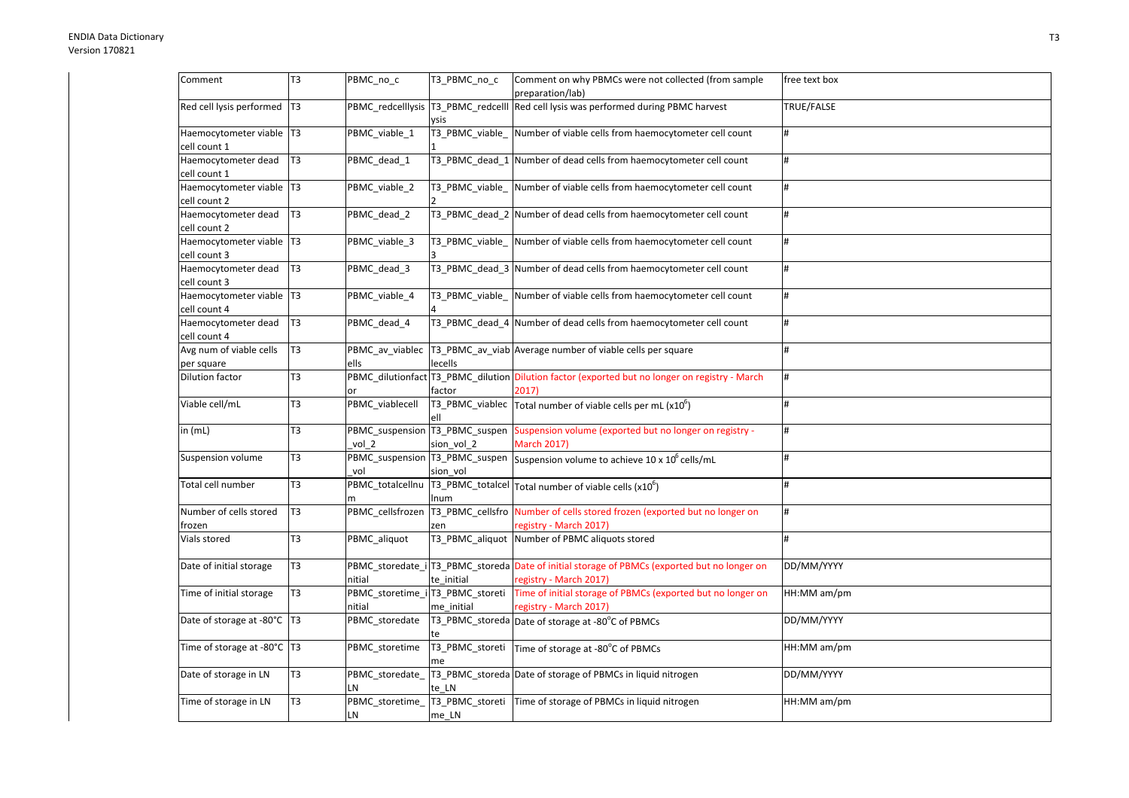| Comment                       | T3             | PBMC_no_c                           | T3 PBMC no c    | Comment on why PBMCs were not collected (from sample                                           | free text box |
|-------------------------------|----------------|-------------------------------------|-----------------|------------------------------------------------------------------------------------------------|---------------|
|                               |                |                                     |                 | preparation/lab)                                                                               |               |
| Red cell lysis performed   T3 |                | PBMC_redcelllysis  T3_PBMC_redcelll |                 | Red cell lysis was performed during PBMC harvest                                               | TRUE/FALSE    |
|                               |                |                                     | vsis            |                                                                                                |               |
| Haemocytometer viable   T3    |                | PBMC viable 1                       | T3 PBMC viable  | Number of viable cells from haemocytometer cell count                                          | #             |
| cell count 1                  |                |                                     |                 |                                                                                                |               |
| Haemocytometer dead           | T <sub>3</sub> | PBMC dead 1                         |                 | T3 PBMC dead 1 Number of dead cells from haemocytometer cell count                             | #             |
| cell count 1                  |                |                                     |                 |                                                                                                |               |
| Haemocytometer viable   T3    |                | PBMC_viable_2                       | T3_PBMC_viable_ | Number of viable cells from haemocytometer cell count                                          | #             |
| cell count 2                  |                |                                     |                 |                                                                                                |               |
| Haemocytometer dead           | T <sub>3</sub> | PBMC_dead_2                         |                 | T3 PBMC dead 2 Number of dead cells from haemocytometer cell count                             | #             |
| cell count 2                  |                |                                     |                 |                                                                                                |               |
| Haemocytometer viable   T3    |                | PBMC viable 3                       | T3 PBMC viable  | Number of viable cells from haemocytometer cell count                                          | #             |
| cell count 3                  |                |                                     |                 |                                                                                                |               |
| Haemocytometer dead           | T <sub>3</sub> | PBMC dead 3                         |                 | T3 PBMC dead 3 Number of dead cells from haemocytometer cell count                             | #             |
| cell count 3                  |                |                                     |                 |                                                                                                |               |
| Haemocytometer viable T3      |                | PBMC_viable_4                       | T3 PBMC viable  | Number of viable cells from haemocytometer cell count                                          | #             |
| cell count 4                  |                |                                     |                 |                                                                                                |               |
| Haemocytometer dead           | T <sub>3</sub> | PBMC_dead_4                         |                 | T3 PBMC dead 4 Number of dead cells from haemocytometer cell count                             | #             |
| cell count 4                  |                |                                     |                 |                                                                                                |               |
| Avg num of viable cells       | T <sub>3</sub> |                                     |                 | PBMC_av_viablec  T3_PBMC_av_viab   Average number of viable cells per square                   | #             |
| per square                    |                | ells                                | lecells         |                                                                                                |               |
| <b>Dilution factor</b>        | T3             |                                     |                 | PBMC_dilutionfact T3_PBMC_dilution Dilution factor (exported but no longer on registry - March | #             |
|                               |                | or                                  | factor          | 2017)                                                                                          |               |
| Viable cell/mL                | T3             | PBMC_viablecell                     | T3_PBMC_viablec | Total number of viable cells per mL $(x10^6)$                                                  | #             |
|                               |                |                                     |                 |                                                                                                |               |
| in $(mL)$                     | T3             | PBMC_suspension T3_PBMC_suspen      |                 | Suspension volume (exported but no longer on registry -                                        | #             |
|                               |                | vol 2                               | sion vol 2      | <b>March 2017)</b>                                                                             |               |
| Suspension volume             | T3             | PBMC_suspension T3_PBMC_suspen      |                 | Suspension volume to achieve 10 x 10 <sup>6</sup> cells/mL                                     | #             |
|                               |                | vol                                 | sion vol        |                                                                                                |               |
| Total cell number             | T3             | PBMC_totalcellnu                    |                 | $\sqrt{13}$ PBMC_totalcel $\sqrt{10}$ Total number of viable cells (x10 <sup>6</sup> )         | #             |
|                               |                |                                     | Inum            |                                                                                                |               |
| Number of cells stored        | T <sub>3</sub> | PBMC cellsfrozen                    |                 | T3_PBMC_cellsfro Number of cells stored frozen (exported but no longer on                      | #             |
| frozen                        |                |                                     | zen             | registry - March 2017)                                                                         |               |
| Vials stored                  | T3             | PBMC aliquot                        | T3 PBMC aliquot | Number of PBMC aliquots stored                                                                 | #             |
|                               |                |                                     |                 |                                                                                                |               |
| Date of initial storage       | T <sub>3</sub> |                                     |                 | PBMC_storedate_i T3_PBMC_storeda Date of initial storage of PBMCs (exported but no longer on   | DD/MM/YYYY    |
|                               |                | nitial                              | te initial      | registry - March 2017)                                                                         |               |
| Time of initial storage       | T3             | PBMC storetime i T3 PBMC storeti    |                 | Time of initial storage of PBMCs (exported but no longer on                                    | HH:MM am/pm   |
|                               |                | nitial                              | me initial      | registry - March 2017)                                                                         |               |
| Date of storage at -80°C   T3 |                | PBMC storedate                      |                 | T3_PBMC_storeda Date of storage at -80°C of PBMCs                                              | DD/MM/YYYY    |
|                               |                |                                     |                 |                                                                                                |               |
| Time of storage at -80°C   T3 |                | PBMC storetime                      | T3_PBMC_storeti | Time of storage at -80°C of PBMCs                                                              | HH:MM am/pm   |
|                               |                |                                     |                 |                                                                                                |               |
| Date of storage in LN         | T3             | PBMC_storedate_                     |                 | T3_PBMC_storeda Date of storage of PBMCs in liquid nitrogen                                    | DD/MM/YYYY    |
|                               |                | LN                                  | te LN           |                                                                                                |               |
| Time of storage in LN         | T3             | PBMC_storetime_                     | T3_PBMC_storeti | Time of storage of PBMCs in liquid nitrogen                                                    | HH:MM am/pm   |
|                               |                | LN                                  | me LN           |                                                                                                |               |
|                               |                |                                     |                 |                                                                                                |               |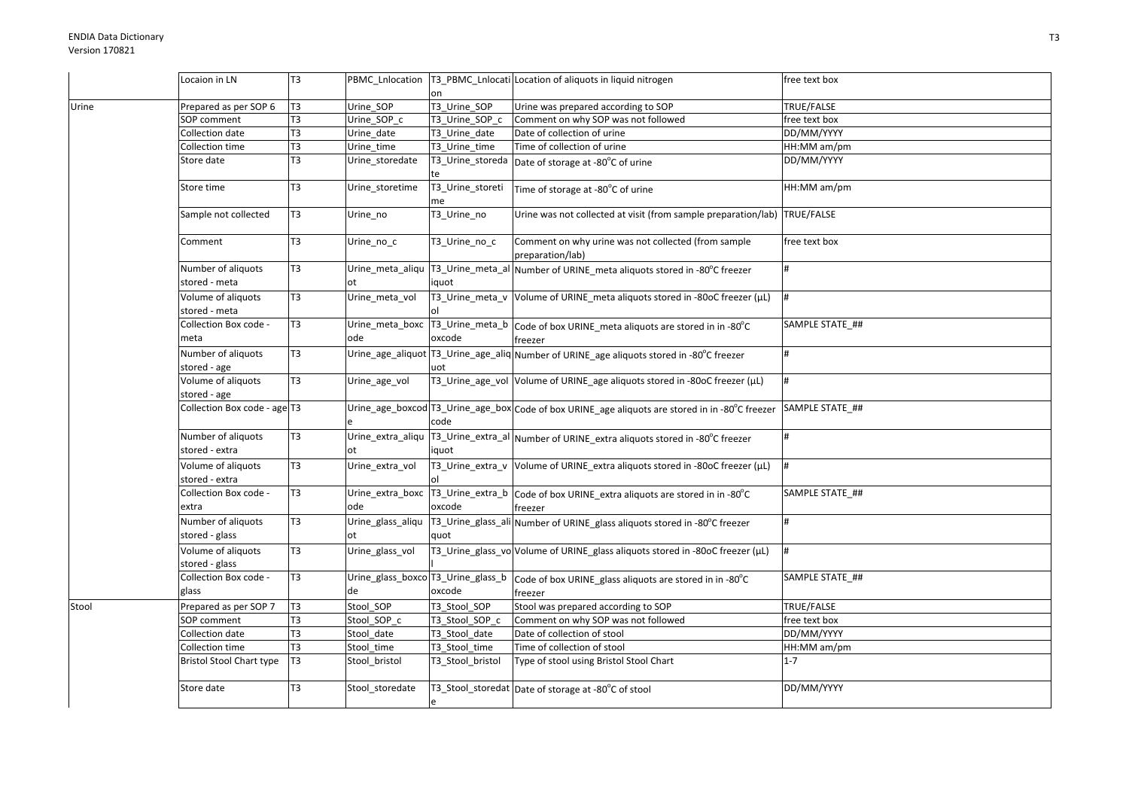|       | Locaion in LN                           | T <sub>3</sub> |                         |                        | PBMC_Lnlocation  T3_PBMC_Lnlocati Location of aliquots in liquid nitrogen                              | free text box     |
|-------|-----------------------------------------|----------------|-------------------------|------------------------|--------------------------------------------------------------------------------------------------------|-------------------|
|       |                                         |                |                         | on                     |                                                                                                        |                   |
| Urine | Prepared as per SOP 6                   | T <sub>3</sub> | Urine_SOP               | T3_Urine_SOP           | Urine was prepared according to SOP                                                                    | TRUE/FALSE        |
|       | SOP comment                             | T <sub>3</sub> | Urine_SOP_c             | T3_Urine_SOP_c         | Comment on why SOP was not followed                                                                    | free text box     |
|       | Collection date                         | T <sub>3</sub> | Urine date              | T3 Urine date          | Date of collection of urine                                                                            | DD/MM/YYYY        |
|       | Collection time                         | T <sub>3</sub> | Urine time              | T3_Urine_time          | Time of collection of urine                                                                            | HH:MM am/pm       |
|       | Store date                              | T <sub>3</sub> | Urine_storedate         |                        | T3_Urine_storeda Date of storage at -80°C of urine                                                     | DD/MM/YYYY        |
|       | Store time                              | T <sub>3</sub> | Urine_storetime         | T3_Urine_storeti<br>me | Time of storage at -80°C of urine                                                                      | HH:MM am/pm       |
|       | Sample not collected                    | T <sub>3</sub> | Urine_no                | T3_Urine_no            | Urine was not collected at visit (from sample preparation/lab) TRUE/FALSE                              |                   |
|       | Comment                                 | T <sub>3</sub> | Urine_no_c              | T3_Urine_no_c          | Comment on why urine was not collected (from sample<br>preparation/lab)                                | free text box     |
|       | Number of aliquots<br>stored - meta     | T3             | ot                      | iquot                  | Urine_meta_aliqu 13_Urine_meta_al Number of URINE_meta aliquots stored in -80°C freezer                |                   |
|       | Volume of aliquots<br>stored - meta     | T <sub>3</sub> | Urine_meta_vol          |                        | T3_Urine_meta_v Volume of URINE_meta aliquots stored in -80oC freezer (µL)                             |                   |
|       | Collection Box code -<br>meta           | T <sub>3</sub> | ode                     | oxcode                 | Urine_meta_boxc T3_Urine_meta_b Code of box URINE_meta aliquots are stored in in -80°C<br>freezer      | SAMPLE STATE_##   |
|       | Number of aliquots<br>stored - age      | T <sub>3</sub> |                         | uot                    | Urine_age_aliquot   T3_Urine_age_aliq   Number of URINE_age aliquots stored in -80°C freezer           |                   |
|       | Volume of aliquots<br>stored - age      | T <sub>3</sub> | Urine_age_vol           |                        | T3_Urine_age_vol Volume of URINE_age aliquots stored in -80oC freezer (µL)                             | #                 |
|       | Collection Box code - age <sup>T3</sup> |                |                         | code                   | Urine_age_boxcod 13_Urine_age_box Code of box URINE_age aliquots are stored in in -80°C freezer        | SAMPLE STATE ##   |
|       | Number of aliquots<br>stored - extra    | T <sub>3</sub> | оt                      | iquot                  | Urine_extra_aliqu   T3_Urine_extra_al   Number of URINE_extra aliquots stored in -80°C freezer         |                   |
|       | Volume of aliquots<br>stored - extra    | T <sub>3</sub> | Urine extra vol         |                        | T3_Urine_extra_v Volume of URINE_extra aliquots stored in -80oC freezer (µL)                           |                   |
|       | Collection Box code -<br>extra          | T <sub>3</sub> | Urine_extra_boxc<br>ode | oxcode                 | T3_Urine_extra_b Code of box URINE_extra aliquots are stored in in -80°C<br>freezer                    | SAMPLE STATE_##   |
|       | Number of aliquots<br>stored - glass    | T <sub>3</sub> | Urine_glass_aliqu<br>оt | quot                   | T3_Urine_glass_ali Number of URINE_glass aliquots stored in -80°C freezer                              |                   |
|       | Volume of aliquots<br>stored - glass    | T <sub>3</sub> | Urine_glass_vol         |                        | T3_Urine_glass_vo Volume of URINE_glass aliquots stored in -80oC freezer (µL)                          |                   |
|       | Collection Box code -<br>glass          | T <sub>3</sub> | de                      | oxcode                 | Urine_glass_boxco T3_Urine_glass_b  Code of box URINE_glass aliquots are stored in in -80°C<br>freezer | SAMPLE STATE_##   |
| Stool | Prepared as per SOP 7                   | T <sub>3</sub> | Stool_SOP               | T3_Stool_SOP           | Stool was prepared according to SOP                                                                    | <b>TRUE/FALSE</b> |
|       | SOP comment                             | T <sub>3</sub> | Stool SOP c             | T3_Stool_SOP_c         | Comment on why SOP was not followed                                                                    | free text box     |
|       | Collection date                         | T <sub>3</sub> | Stool date              | T3 Stool date          | Date of collection of stool                                                                            | DD/MM/YYYY        |
|       | Collection time                         | T <sub>3</sub> | Stool_time              | T3_Stool_time          | Time of collection of stool                                                                            | HH:MM am/pm       |
|       | <b>Bristol Stool Chart type</b>         | T <sub>3</sub> | Stool_bristol           | T3_Stool_bristol       | Type of stool using Bristol Stool Chart                                                                | $1 - 7$           |
|       | Store date                              | T <sub>3</sub> | Stool_storedate         |                        | T3_Stool_storedat Date of storage at -80°C of stool                                                    | DD/MM/YYYY        |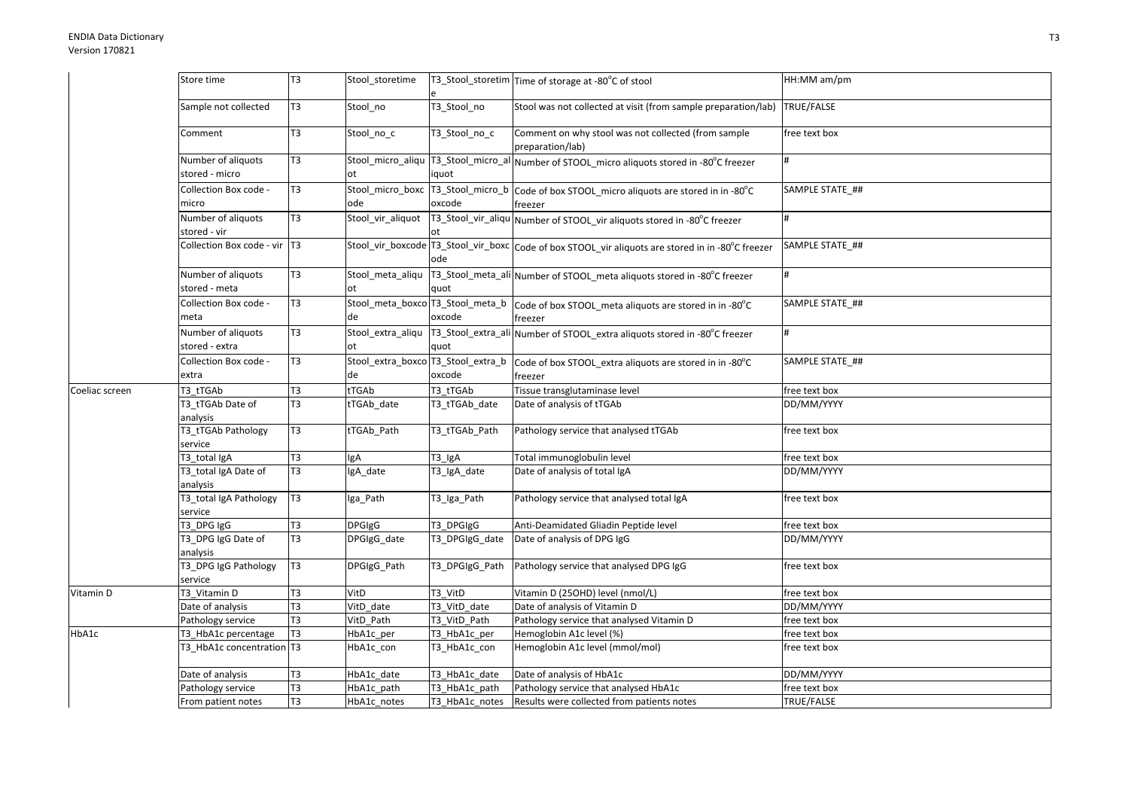|                | Store time                           | T <sub>3</sub> | Stool_storetime                          |                | T3_Stool_storetim Time of storage at -80°C of stool                                                  | HH:MM am/pm     |
|----------------|--------------------------------------|----------------|------------------------------------------|----------------|------------------------------------------------------------------------------------------------------|-----------------|
|                | Sample not collected                 | T <sub>3</sub> | Stool_no                                 | T3_Stool_no    | Stool was not collected at visit (from sample preparation/lab) TRUE/FALSE                            |                 |
|                | Comment                              | T <sub>3</sub> | Stool_no_c                               | T3_Stool_no_c  | Comment on why stool was not collected (from sample<br>preparation/lab)                              | free text box   |
|                | Number of aliquots<br>stored - micro | T <sub>3</sub> | ot                                       | iquot          | Stool_micro_aliqu   T3_Stool_micro_al   Number of STOOL_micro aliquots stored in -80°C freezer       | #               |
|                | Collection Box code -<br>micro       | T <sub>3</sub> | ode                                      | oxcode         | Stool_micro_boxc T3_Stool_micro_b Code of box STOOL_micro aliquots are stored in in -80°C<br>freezer | SAMPLE STATE ## |
|                | Number of aliquots<br>stored - vir   | T <sub>3</sub> | Stool_vir_aliquot                        |                | T3_Stool_vir_aliqu Number of STOOL_vir aliquots stored in -80°C freezer                              | #               |
|                | Collection Box code - vir T3         |                |                                          | ode            | Stool_vir_boxcode T3_Stool_vir_boxc code of box STOOL_vir aliquots are stored in in -80°C freezer    | SAMPLE STATE ## |
|                | Number of aliquots<br>stored - meta  | T <sub>3</sub> | Stool_meta_aliqu<br>ot                   | quot           | T3_Stool_meta_ali Number of STOOL_meta aliquots stored in -80°C freezer                              |                 |
|                | Collection Box code -<br>meta        | T <sub>3</sub> | de                                       | oxcode         | Stool_meta_boxco 13_Stool_meta_b code of box STOOL_meta aliquots are stored in in -80°C<br>freezer   | SAMPLE STATE ## |
|                | Number of aliquots<br>stored - extra | T <sub>3</sub> | Stool extra aliqu<br>оt                  | quot           | T3_Stool_extra_ali Number of STOOL_extra aliquots stored in -80°C freezer                            | #               |
|                | Collection Box code -<br>extra       | T <sub>3</sub> | Stool_extra_boxco T3_Stool_extra_b<br>de | oxcode         | Code of box STOOL_extra aliquots are stored in in -80°C<br>freezer                                   | SAMPLE STATE ## |
| Coeliac screen | T3 tTGAb                             | T <sub>3</sub> | tTGAb                                    | T3 tTGAb       | Tissue transglutaminase level                                                                        | free text box   |
|                | T3_tTGAb Date of<br>analysis         | T <sub>3</sub> | tTGAb_date                               | T3_tTGAb_date  | Date of analysis of tTGAb                                                                            | DD/MM/YYYY      |
|                | T3_tTGAb Pathology<br>service        | T <sub>3</sub> | tTGAb_Path                               | T3_tTGAb_Path  | Pathology service that analysed tTGAb                                                                | free text box   |
|                | T3 total IgA                         | T <sub>3</sub> | lgA                                      | T3_IgA         | Total immunoglobulin level                                                                           | free text box   |
|                | T3_total IgA Date of<br>analysis     | T <sub>3</sub> | IgA_date                                 | T3_IgA_date    | Date of analysis of total IgA                                                                        | DD/MM/YYYY      |
|                | T3_total IgA Pathology<br>service    | T <sub>3</sub> | Iga_Path                                 | T3_Iga_Path    | Pathology service that analysed total IgA                                                            | free text box   |
|                | T3 DPG IgG                           | T <sub>3</sub> | <b>DPGIgG</b>                            | T3_DPGIgG      | Anti-Deamidated Gliadin Peptide level                                                                | free text box   |
|                | T3_DPG IgG Date of<br>analysis       | T3             | DPGIgG_date                              | T3_DPGIgG_date | Date of analysis of DPG IgG                                                                          | DD/MM/YYYY      |
|                | T3 DPG IgG Pathology<br>service      | T <sub>3</sub> | DPGIgG Path                              | T3 DPGIgG Path | Pathology service that analysed DPG IgG                                                              | free text box   |
| Vitamin D      | T3 Vitamin D                         | T <sub>3</sub> | VitD                                     | T3_VitD        | Vitamin D (25OHD) level (nmol/L)                                                                     | free text box   |
|                | Date of analysis                     | T <sub>3</sub> | VitD date                                | T3_VitD_date   | Date of analysis of Vitamin D                                                                        | DD/MM/YYYY      |
|                | Pathology service                    | T <sub>3</sub> | VitD Path                                | T3_VitD_Path   | Pathology service that analysed Vitamin D                                                            | free text box   |
| HbA1c          | T3_HbA1c percentage                  | T <sub>3</sub> | HbA1c_per                                | T3_HbA1c_per   | Hemoglobin A1c level (%)                                                                             | free text box   |
|                | T3 HbA1c concentration T3            |                | HbA1c con                                | T3 HbA1c con   | Hemoglobin A1c level (mmol/mol)                                                                      | free text box   |
|                | Date of analysis                     | T <sub>3</sub> | HbA1c date                               | T3 HbA1c date  | Date of analysis of HbA1c                                                                            | DD/MM/YYYY      |
|                | Pathology service                    | T <sub>3</sub> | HbA1c_path                               | T3 HbA1c path  | Pathology service that analysed HbA1c                                                                | free text box   |
|                | From patient notes                   | T <sub>3</sub> | HbA1c_notes                              | T3_HbA1c_notes | Results were collected from patients notes                                                           | TRUE/FALSE      |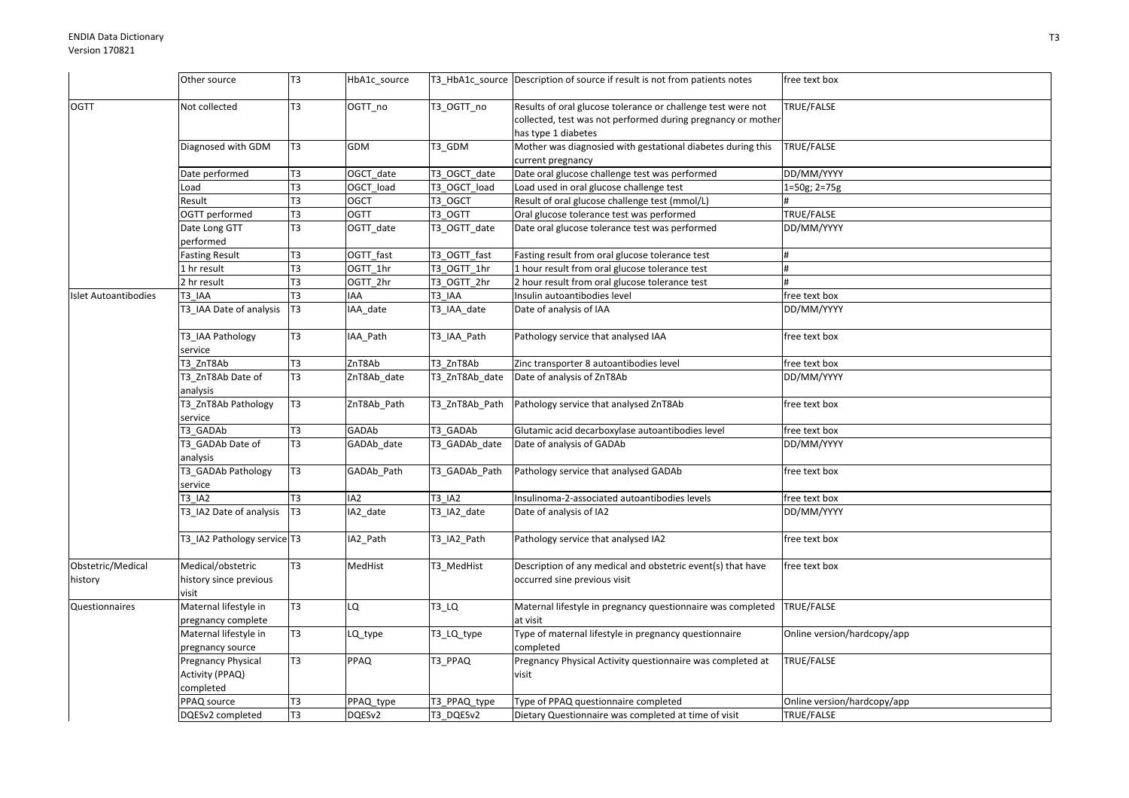|                      | Other source                   | T <sub>3</sub> | HbA1c source           |                | T3 HbA1c source Description of source if result is not from patients notes | free text box               |
|----------------------|--------------------------------|----------------|------------------------|----------------|----------------------------------------------------------------------------|-----------------------------|
|                      |                                |                |                        |                |                                                                            |                             |
| <b>OGTT</b>          | Not collected                  | T <sub>3</sub> | OGTT no                | T3 OGTT no     | Results of oral glucose tolerance or challenge test were not               | TRUE/FALSE                  |
|                      |                                |                |                        |                | collected, test was not performed during pregnancy or mother               |                             |
|                      |                                |                |                        |                | has type 1 diabetes                                                        |                             |
|                      | Diagnosed with GDM             | T <sub>3</sub> | GDM                    | T3_GDM         | Mother was diagnosied with gestational diabetes during this                | TRUE/FALSE                  |
|                      |                                |                |                        |                | current pregnancy                                                          |                             |
|                      | Date performed                 | T <sub>3</sub> | OGCT_date              | T3_OGCT_date   | Date oral glucose challenge test was performed                             | DD/MM/YYYY                  |
|                      | Load                           | T <sub>3</sub> | OGCT load              | T3_OGCT_load   | Load used in oral glucose challenge test                                   | 1=50g; 2=75g                |
|                      | Result                         | T3             | <b>OGCT</b>            | T3_OGCT        | Result of oral glucose challenge test (mmol/L)                             |                             |
|                      | OGTT performed                 | T3             | <b>OGTT</b>            | T3 OGTT        | Oral glucose tolerance test was performed                                  | TRUE/FALSE                  |
|                      | Date Long GTT                  | T <sub>3</sub> | OGTT_date              | T3_OGTT_date   | Date oral glucose tolerance test was performed                             | DD/MM/YYYY                  |
|                      | performed                      |                |                        |                |                                                                            |                             |
|                      | <b>Fasting Result</b>          | T <sub>3</sub> | OGTT_fast              | T3_OGTT_fast   | Fasting result from oral glucose tolerance test                            | #                           |
|                      | 1 hr result                    | T <sub>3</sub> | $\overline{OGTT_1}$ hr | T3_OGTT_1hr    | 1 hour result from oral glucose tolerance test                             | #                           |
|                      | 2 hr result                    | T <sub>3</sub> | OGTT 2hr               | T3_OGTT_2hr    | 2 hour result from oral glucose tolerance test                             | #                           |
| Islet Autoantibodies | T3 IAA                         | T <sub>3</sub> | <b>IAA</b>             | T3 IAA         | Insulin autoantibodies level                                               | free text box               |
|                      | T3_IAA Date of analysis        | T <sub>3</sub> | IAA_date               | T3_IAA_date    | Date of analysis of IAA                                                    | DD/MM/YYYY                  |
|                      | T3_IAA Pathology               | T <sub>3</sub> | IAA_Path               | T3_IAA_Path    | Pathology service that analysed IAA                                        | free text box               |
|                      | service                        |                |                        |                |                                                                            |                             |
|                      | T3 ZnT8Ab                      | T <sub>3</sub> | ZnT8Ab                 | T3 ZnT8Ab      | Zinc transporter 8 autoantibodies level                                    | free text box               |
|                      | T3 ZnT8Ab Date of              | T <sub>3</sub> | ZnT8Ab_date            | T3_ZnT8Ab_date | Date of analysis of ZnT8Ab                                                 | DD/MM/YYYY                  |
|                      | analysis                       |                |                        |                |                                                                            |                             |
|                      | T3_ZnT8Ab Pathology<br>service | T <sub>3</sub> | ZnT8Ab_Path            | T3_ZnT8Ab_Path | Pathology service that analysed ZnT8Ab                                     | free text box               |
|                      | T3 GADAb                       | T <sub>3</sub> | GADAb                  | T3 GADAb       | Glutamic acid decarboxylase autoantibodies level                           | free text box               |
|                      | T3 GADAb Date of               | T3             | GADAb_date             | T3_GADAb_date  | Date of analysis of GADAb                                                  | DD/MM/YYYY                  |
|                      | analysis                       |                |                        |                |                                                                            |                             |
|                      | T3_GADAb Pathology             | T <sub>3</sub> | GADAb_Path             | T3 GADAb Path  | Pathology service that analysed GADAb                                      | free text box               |
|                      | service                        |                |                        |                |                                                                            |                             |
|                      | T3 IA2                         | T <sub>3</sub> | IA2                    | T3 IA2         | Insulinoma-2-associated autoantibodies levels                              | free text box               |
|                      | T3 IA2 Date of analysis        | T <sub>3</sub> | IA2 date               | T3_IA2_date    | Date of analysis of IA2                                                    | DD/MM/YYYY                  |
|                      |                                |                |                        |                |                                                                            |                             |
|                      | T3 IA2 Pathology service T3    |                | IA2_Path               | T3_IA2_Path    | Pathology service that analysed IA2                                        | free text box               |
| Obstetric/Medical    | Medical/obstetric              | T <sub>3</sub> | MedHist                | T3_MedHist     | Description of any medical and obstetric event(s) that have                | free text box               |
| history              | history since previous         |                |                        |                | occurred sine previous visit                                               |                             |
|                      | visit                          |                |                        |                |                                                                            |                             |
| Questionnaires       | Maternal lifestyle in          | T3             | БJ                     | $T3_l$ LQ      | Maternal lifestyle in pregnancy questionnaire was completed                | TRUE/FALSE                  |
|                      | pregnancy complete             |                |                        |                | at visit                                                                   |                             |
|                      | Maternal lifestyle in          | T <sub>3</sub> | LQ_type                | T3_LQ_type     | Type of maternal lifestyle in pregnancy questionnaire                      | Online version/hardcopy/app |
|                      | pregnancy source               |                |                        |                | completed                                                                  |                             |
|                      | Pregnancy Physical             | T <sub>3</sub> | PPAQ                   | T3_PPAQ        | Pregnancy Physical Activity questionnaire was completed at                 | TRUE/FALSE                  |
|                      | Activity (PPAQ)                |                |                        |                | visit                                                                      |                             |
|                      | completed                      |                |                        |                |                                                                            |                             |
|                      | PPAQ source                    | T <sub>3</sub> | PPAQ_type              | T3 PPAQ type   | Type of PPAQ questionnaire completed                                       | Online version/hardcopy/app |
|                      | DQESv2 completed               | T <sub>3</sub> | DQESv2                 | T3 DQESv2      | Dietary Questionnaire was completed at time of visit                       | TRUE/FALSE                  |
|                      |                                |                |                        |                |                                                                            |                             |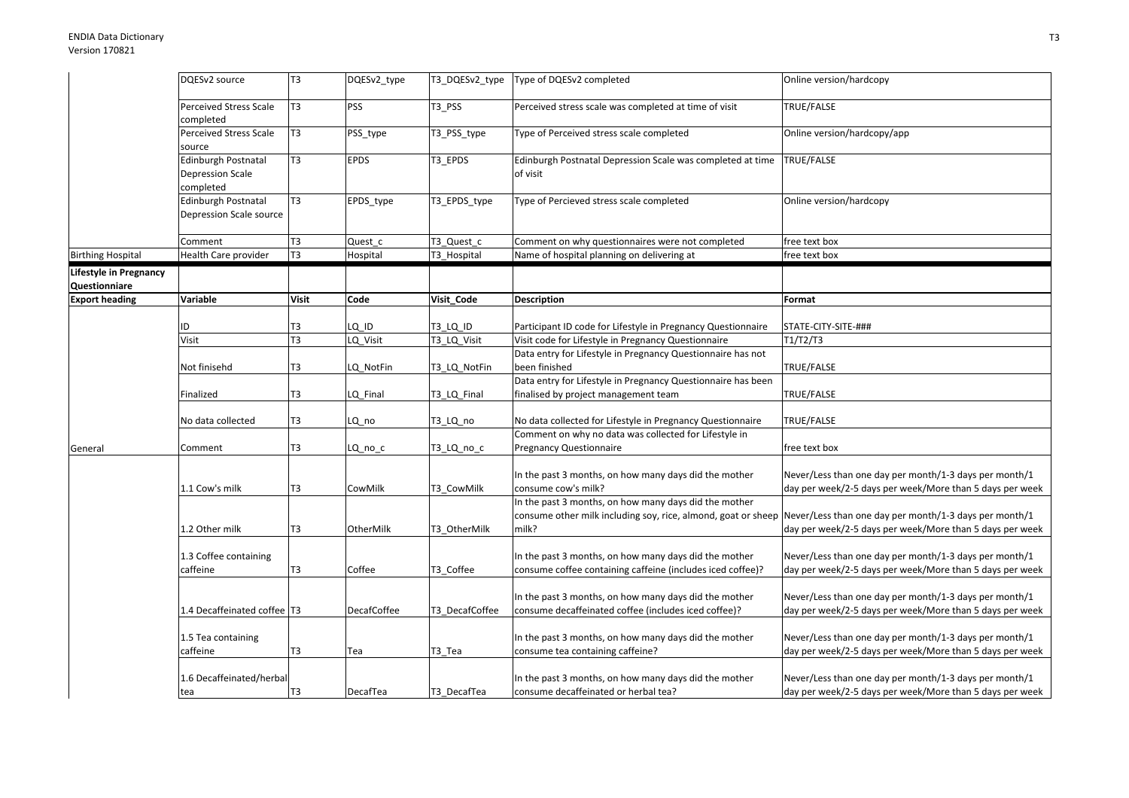|                                         | DQESv2 source                                         | T <sub>3</sub> | DQESv2_type        | T3_DQESv2_type | Type of DQESv2 completed                                                                                                                                                               | Online version/hardcopy                                                                                            |
|-----------------------------------------|-------------------------------------------------------|----------------|--------------------|----------------|----------------------------------------------------------------------------------------------------------------------------------------------------------------------------------------|--------------------------------------------------------------------------------------------------------------------|
|                                         | <b>Perceived Stress Scale</b><br>completed            | T <sub>3</sub> | <b>PSS</b>         | T3_PSS         | Perceived stress scale was completed at time of visit                                                                                                                                  | TRUE/FALSE                                                                                                         |
|                                         | <b>Perceived Stress Scale</b><br>source               | T <sub>3</sub> | PSS_type           | T3_PSS_type    | Type of Perceived stress scale completed                                                                                                                                               | Online version/hardcopy/app                                                                                        |
|                                         | Edinburgh Postnatal<br>Depression Scale<br>completed  | T3             | <b>EPDS</b>        | T3 EPDS        | Edinburgh Postnatal Depression Scale was completed at time<br>of visit                                                                                                                 | TRUE/FALSE                                                                                                         |
|                                         | <b>Edinburgh Postnatal</b><br>Depression Scale source | T <sub>3</sub> | EPDS_type          | T3_EPDS_type   | Type of Percieved stress scale completed                                                                                                                                               | Online version/hardcopy                                                                                            |
|                                         | Comment                                               | T3             | Quest_c            | T3 Quest c     | Comment on why questionnaires were not completed                                                                                                                                       | free text box                                                                                                      |
| <b>Birthing Hospital</b>                | Health Care provider                                  | T <sub>3</sub> | Hospital           | T3_Hospital    | Name of hospital planning on delivering at                                                                                                                                             | free text box                                                                                                      |
| Lifestyle in Pregnancy<br>Questionniare |                                                       |                |                    |                |                                                                                                                                                                                        |                                                                                                                    |
| <b>Export heading</b>                   | Variable                                              | <b>Visit</b>   | Code               | Visit_Code     | <b>Description</b>                                                                                                                                                                     | Format                                                                                                             |
|                                         | ID                                                    | T3             | LQ ID              | T3 LQ ID       | Participant ID code for Lifestyle in Pregnancy Questionnaire                                                                                                                           | STATE-CITY-SITE-###                                                                                                |
|                                         | Visit                                                 | T3             | LQ_Visit           | T3_LQ_Visit    | Visit code for Lifestyle in Pregnancy Questionnaire                                                                                                                                    | T1/T2/T3                                                                                                           |
|                                         | Not finisehd                                          | T3             | LQ_NotFin          | T3_LQ_NotFin   | Data entry for Lifestyle in Pregnancy Questionnaire has not<br>been finished                                                                                                           | TRUE/FALSE                                                                                                         |
|                                         | Finalized                                             | T3             | LQ Final           | T3_LQ_Final    | Data entry for Lifestyle in Pregnancy Questionnaire has been<br>finalised by project management team                                                                                   | TRUE/FALSE                                                                                                         |
|                                         | No data collected                                     | T3             | LQ no              | T3 LQ no       | No data collected for Lifestyle in Pregnancy Questionnaire                                                                                                                             | TRUE/FALSE                                                                                                         |
| General                                 | Comment                                               | T3             | LQ_no_c            | T3_LQ_no_c     | Comment on why no data was collected for Lifestyle in<br>Pregnancy Questionnaire                                                                                                       | free text box                                                                                                      |
|                                         | 1.1 Cow's milk                                        | T <sub>3</sub> | CowMilk            | T3 CowMilk     | In the past 3 months, on how many days did the mother<br>consume cow's milk?                                                                                                           | Never/Less than one day per month/1-3 days per month/1<br>day per week/2-5 days per week/More than 5 days per week |
|                                         | 1.2 Other milk                                        | T <sub>3</sub> | OtherMilk          | T3 OtherMilk   | In the past 3 months, on how many days did the mother<br>consume other milk including soy, rice, almond, goat or sheep Never/Less than one day per month/1-3 days per month/1<br>milk? | day per week/2-5 days per week/More than 5 days per week                                                           |
|                                         | 1.3 Coffee containing<br>caffeine                     | T <sub>3</sub> | Coffee             | T3 Coffee      | In the past 3 months, on how many days did the mother<br>consume coffee containing caffeine (includes iced coffee)?                                                                    | Never/Less than one day per month/1-3 days per month/1<br>day per week/2-5 days per week/More than 5 days per week |
|                                         | 1.4 Decaffeinated coffee T3                           |                | <b>DecafCoffee</b> | T3 DecafCoffee | In the past 3 months, on how many days did the mother<br>consume decaffeinated coffee (includes iced coffee)?                                                                          | Never/Less than one day per month/1-3 days per month/1<br>day per week/2-5 days per week/More than 5 days per week |
|                                         | 1.5 Tea containing<br>caffeine                        | T <sub>3</sub> | Tea                | T3_Tea         | In the past 3 months, on how many days did the mother<br>consume tea containing caffeine?                                                                                              | Never/Less than one day per month/1-3 days per month/1<br>day per week/2-5 days per week/More than 5 days per week |
|                                         | 1.6 Decaffeinated/herbal<br>tea                       | T <sub>3</sub> | DecafTea           | T3 DecafTea    | In the past 3 months, on how many days did the mother<br>consume decaffeinated or herbal tea?                                                                                          | Never/Less than one day per month/1-3 days per month/1<br>day per week/2-5 days per week/More than 5 days per week |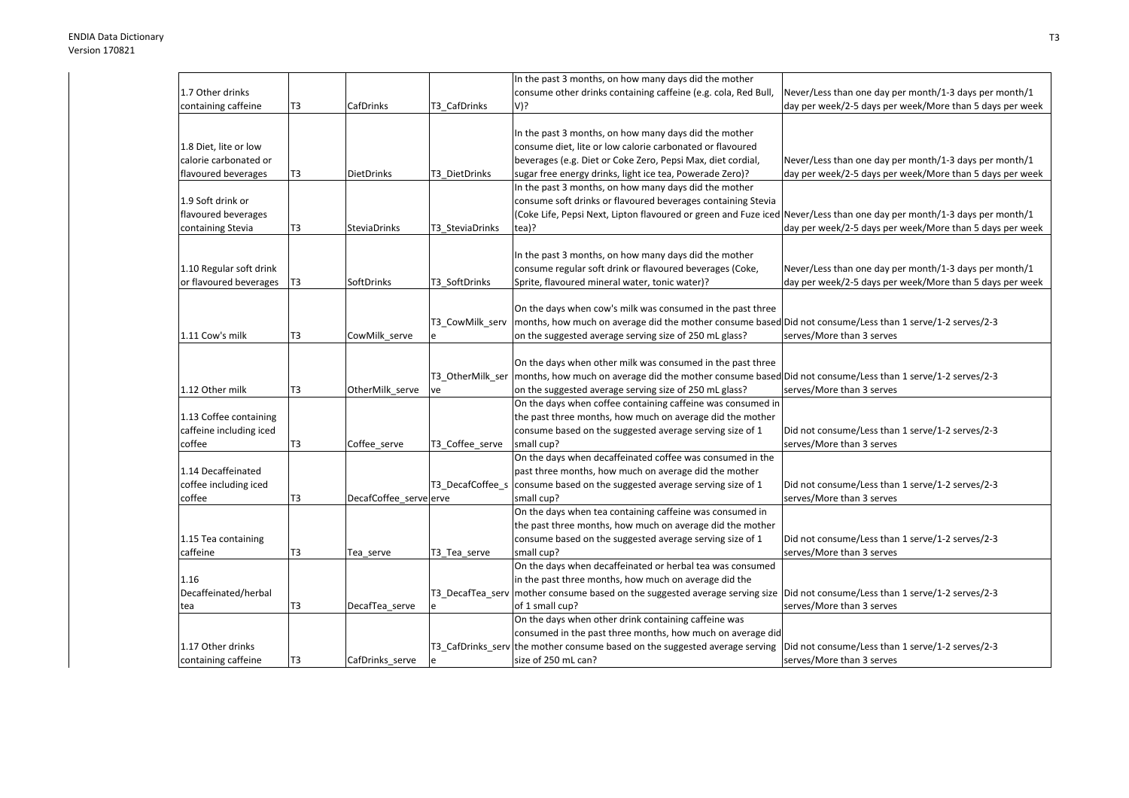|                         |    |                        |                  | In the past 3 months, on how many days did the mother                                                                  |                                                          |
|-------------------------|----|------------------------|------------------|------------------------------------------------------------------------------------------------------------------------|----------------------------------------------------------|
| 1.7 Other drinks        |    |                        |                  | consume other drinks containing caffeine (e.g. cola, Red Bull,                                                         | Never/Less than one day per month/1-3 days per month/1   |
| containing caffeine     | T3 | CafDrinks              | T3 CafDrinks     | V)?                                                                                                                    | day per week/2-5 days per week/More than 5 days per week |
|                         |    |                        |                  |                                                                                                                        |                                                          |
|                         |    |                        |                  | In the past 3 months, on how many days did the mother                                                                  |                                                          |
| 1.8 Diet, lite or low   |    |                        |                  | consume diet, lite or low calorie carbonated or flavoured                                                              |                                                          |
| calorie carbonated or   |    |                        |                  | beverages (e.g. Diet or Coke Zero, Pepsi Max, diet cordial,                                                            | Never/Less than one day per month/1-3 days per month/1   |
| flavoured beverages     | T3 | <b>DietDrinks</b>      | T3 DietDrinks    | sugar free energy drinks, light ice tea, Powerade Zero)?                                                               | day per week/2-5 days per week/More than 5 days per week |
|                         |    |                        |                  | In the past 3 months, on how many days did the mother                                                                  |                                                          |
| 1.9 Soft drink or       |    |                        |                  | consume soft drinks or flavoured beverages containing Stevia                                                           |                                                          |
| flavoured beverages     |    |                        |                  | (Coke Life, Pepsi Next, Lipton flavoured or green and Fuze iced Never/Less than one day per month/1-3 days per month/1 |                                                          |
| containing Stevia       | T3 | <b>SteviaDrinks</b>    | T3 SteviaDrinks  | tea)?                                                                                                                  | day per week/2-5 days per week/More than 5 days per week |
|                         |    |                        |                  |                                                                                                                        |                                                          |
|                         |    |                        |                  | In the past 3 months, on how many days did the mother                                                                  |                                                          |
| 1.10 Regular soft drink |    |                        |                  | consume regular soft drink or flavoured beverages (Coke,                                                               | Never/Less than one day per month/1-3 days per month/1   |
| or flavoured beverages  | T3 | SoftDrinks             | T3 SoftDrinks    | Sprite, flavoured mineral water, tonic water)?                                                                         | day per week/2-5 days per week/More than 5 days per week |
|                         |    |                        |                  |                                                                                                                        |                                                          |
|                         |    |                        |                  | On the days when cow's milk was consumed in the past three                                                             |                                                          |
|                         |    |                        | T3_CowMilk_serv  | months, how much on average did the mother consume based Did not consume/Less than 1 serve/1-2 serves/2-3              |                                                          |
| 1.11 Cow's milk         | T3 | CowMilk_serve          |                  | on the suggested average serving size of 250 mL glass?                                                                 | serves/More than 3 serves                                |
|                         |    |                        |                  |                                                                                                                        |                                                          |
|                         |    |                        |                  | On the days when other milk was consumed in the past three                                                             |                                                          |
|                         |    |                        | T3 OtherMilk ser | months, how much on average did the mother consume based Did not consume/Less than 1 serve/1-2 serves/2-3              |                                                          |
| 1.12 Other milk         | T3 | OtherMilk_serve        | ve               | on the suggested average serving size of 250 mL glass?                                                                 | serves/More than 3 serves                                |
|                         |    |                        |                  | On the days when coffee containing caffeine was consumed in                                                            |                                                          |
| 1.13 Coffee containing  |    |                        |                  | the past three months, how much on average did the mother                                                              |                                                          |
| caffeine including iced |    |                        |                  | consume based on the suggested average serving size of 1                                                               | Did not consume/Less than 1 serve/1-2 serves/2-3         |
| coffee                  | T3 | Coffee_serve           | T3_Coffee_serve  | small cup?                                                                                                             | serves/More than 3 serves                                |
|                         |    |                        |                  | On the days when decaffeinated coffee was consumed in the                                                              |                                                          |
| 1.14 Decaffeinated      |    |                        |                  | past three months, how much on average did the mother                                                                  |                                                          |
| coffee including iced   |    |                        | T3 DecafCoffee s | consume based on the suggested average serving size of 1                                                               | Did not consume/Less than 1 serve/1-2 serves/2-3         |
| coffee                  | T3 | DecafCoffee_serve erve |                  | small cup?                                                                                                             | serves/More than 3 serves                                |
|                         |    |                        |                  | On the days when tea containing caffeine was consumed in                                                               |                                                          |
|                         |    |                        |                  | the past three months, how much on average did the mother                                                              |                                                          |
| 1.15 Tea containing     |    |                        |                  | consume based on the suggested average serving size of 1                                                               | Did not consume/Less than 1 serve/1-2 serves/2-3         |
| caffeine                | T3 | Tea_serve              | T3_Tea_serve     | small cup?                                                                                                             | serves/More than 3 serves                                |
|                         |    |                        |                  | On the days when decaffeinated or herbal tea was consumed                                                              |                                                          |
| 1.16                    |    |                        |                  | in the past three months, how much on average did the                                                                  |                                                          |
| Decaffeinated/herbal    |    |                        | T3_DecafTea_serv | mother consume based on the suggested average serving size  Did not consume/Less than 1 serve/1-2 serves/2-3           |                                                          |
| tea                     | T3 | DecafTea_serve         |                  | of 1 small cup?                                                                                                        | serves/More than 3 serves                                |
|                         |    |                        |                  | On the days when other drink containing caffeine was                                                                   |                                                          |
|                         |    |                        |                  | consumed in the past three months, how much on average did                                                             |                                                          |
| 1.17 Other drinks       |    |                        |                  | T3_CafDrinks_serv the mother consume based on the suggested average serving                                            | Did not consume/Less than 1 serve/1-2 serves/2-3         |
| containing caffeine     | T3 | CafDrinks serve        |                  | size of 250 mL can?                                                                                                    | serves/More than 3 serves                                |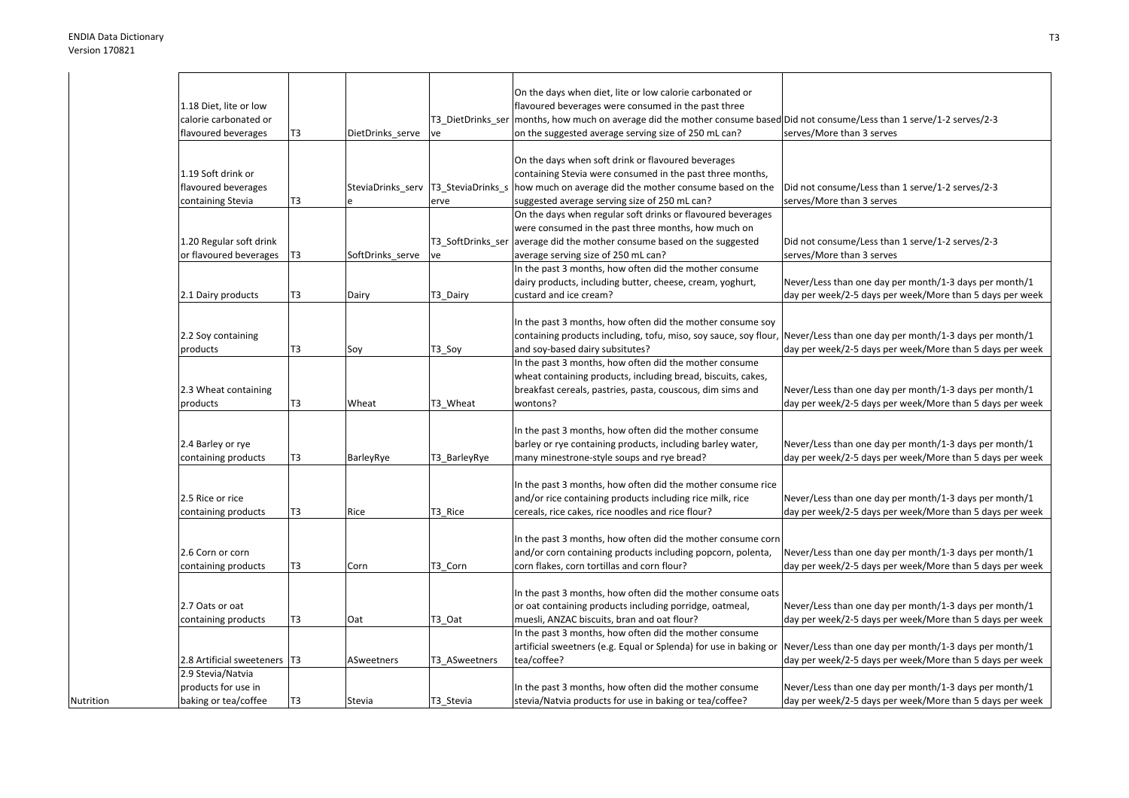Nutrition

|                              |                |                  |               | On the days when diet, lite or low calorie carbonated or                                                                     |                                                          |
|------------------------------|----------------|------------------|---------------|------------------------------------------------------------------------------------------------------------------------------|----------------------------------------------------------|
| 1.18 Diet, lite or low       |                |                  |               | flavoured beverages were consumed in the past three                                                                          |                                                          |
| calorie carbonated or        |                |                  |               | T3_DietDrinks_ser  months, how much on average did the mother consume based Did not consume/Less than 1 serve/1-2 serves/2-3 |                                                          |
| flavoured beverages          | T3             | DietDrinks serve | ve            | on the suggested average serving size of 250 mL can?                                                                         | serves/More than 3 serves                                |
|                              |                |                  |               |                                                                                                                              |                                                          |
|                              |                |                  |               | On the days when soft drink or flavoured beverages                                                                           |                                                          |
| 1.19 Soft drink or           |                |                  |               | containing Stevia were consumed in the past three months,                                                                    |                                                          |
| flavoured beverages          |                |                  |               | SteviaDrinks serv T3 SteviaDrinks s how much on average did the mother consume based on the                                  | Did not consume/Less than 1 serve/1-2 serves/2-3         |
| containing Stevia            | T3             |                  | erve          | suggested average serving size of 250 mL can?                                                                                | serves/More than 3 serves                                |
|                              |                |                  |               | On the days when regular soft drinks or flavoured beverages                                                                  |                                                          |
|                              |                |                  |               |                                                                                                                              |                                                          |
|                              |                |                  |               | were consumed in the past three months, how much on                                                                          |                                                          |
| 1.20 Regular soft drink      |                |                  |               | T3_SoftDrinks_ser average did the mother consume based on the suggested                                                      | Did not consume/Less than 1 serve/1-2 serves/2-3         |
| or flavoured beverages       | T <sub>3</sub> | SoftDrinks serve | ve            | average serving size of 250 mL can?                                                                                          | serves/More than 3 serves                                |
|                              |                |                  |               | In the past 3 months, how often did the mother consume                                                                       |                                                          |
|                              |                |                  |               | dairy products, including butter, cheese, cream, yoghurt,                                                                    | Never/Less than one day per month/1-3 days per month/1   |
| 2.1 Dairy products           | T3             | Dairy            | T3_Dairy      | custard and ice cream?                                                                                                       | day per week/2-5 days per week/More than 5 days per week |
|                              |                |                  |               |                                                                                                                              |                                                          |
|                              |                |                  |               | In the past 3 months, how often did the mother consume soy                                                                   |                                                          |
| 2.2 Soy containing           |                |                  |               | containing products including, tofu, miso, soy sauce, soy flour, Never/Less than one day per month/1-3 days per month/1      |                                                          |
| products                     | T3             | Soy              | T3_Soy        | and soy-based dairy subsitutes?                                                                                              | day per week/2-5 days per week/More than 5 days per week |
|                              |                |                  |               | In the past 3 months, how often did the mother consume                                                                       |                                                          |
|                              |                |                  |               | wheat containing products, including bread, biscuits, cakes,                                                                 |                                                          |
| 2.3 Wheat containing         |                |                  |               | breakfast cereals, pastries, pasta, couscous, dim sims and                                                                   | Never/Less than one day per month/1-3 days per month/1   |
| products                     | T3             | Wheat            | T3 Wheat      | wontons?                                                                                                                     | day per week/2-5 days per week/More than 5 days per week |
|                              |                |                  |               |                                                                                                                              |                                                          |
|                              |                |                  |               | In the past 3 months, how often did the mother consume                                                                       |                                                          |
| 2.4 Barley or rye            |                |                  |               | barley or rye containing products, including barley water,                                                                   | Never/Less than one day per month/1-3 days per month/1   |
| containing products          | T3             | BarleyRye        | T3_BarleyRye  | many minestrone-style soups and rye bread?                                                                                   | day per week/2-5 days per week/More than 5 days per week |
|                              |                |                  |               |                                                                                                                              |                                                          |
|                              |                |                  |               | In the past 3 months, how often did the mother consume rice                                                                  |                                                          |
|                              |                |                  |               |                                                                                                                              |                                                          |
| 2.5 Rice or rice             |                |                  |               | and/or rice containing products including rice milk, rice                                                                    | Never/Less than one day per month/1-3 days per month/1   |
| containing products          | T3             | Rice             | T3 Rice       | cereals, rice cakes, rice noodles and rice flour?                                                                            | day per week/2-5 days per week/More than 5 days per week |
|                              |                |                  |               |                                                                                                                              |                                                          |
|                              |                |                  |               | In the past 3 months, how often did the mother consume corn                                                                  |                                                          |
| 2.6 Corn or corn             |                |                  |               | and/or corn containing products including popcorn, polenta,                                                                  | Never/Less than one day per month/1-3 days per month/1   |
| containing products          | T3             | Corn             | T3_Corn       | corn flakes, corn tortillas and corn flour?                                                                                  | day per week/2-5 days per week/More than 5 days per week |
|                              |                |                  |               |                                                                                                                              |                                                          |
|                              |                |                  |               | In the past 3 months, how often did the mother consume oats                                                                  |                                                          |
| 2.7 Oats or oat              |                |                  |               | or oat containing products including porridge, oatmeal,                                                                      | Never/Less than one day per month/1-3 days per month/1   |
| containing products          | T3             | Oat              | T3 Oat        | muesli, ANZAC biscuits, bran and oat flour?                                                                                  | day per week/2-5 days per week/More than 5 days per week |
|                              |                |                  |               | In the past 3 months, how often did the mother consume                                                                       |                                                          |
|                              |                |                  |               | artificial sweetners (e.g. Equal or Splenda) for use in baking or Never/Less than one day per month/1-3 days per month/1     |                                                          |
| 2.8 Artificial sweeteners T3 |                | ASweetners       | T3 ASweetners | tea/coffee?                                                                                                                  | day per week/2-5 days per week/More than 5 days per week |
| 2.9 Stevia/Natvia            |                |                  |               |                                                                                                                              |                                                          |
| products for use in          |                |                  |               | In the past 3 months, how often did the mother consume                                                                       | Never/Less than one day per month/1-3 days per month/1   |
| baking or tea/coffee         | T3             | Stevia           | T3_Stevia     | stevia/Natvia products for use in baking or tea/coffee?                                                                      | day per week/2-5 days per week/More than 5 days per week |
|                              |                |                  |               |                                                                                                                              |                                                          |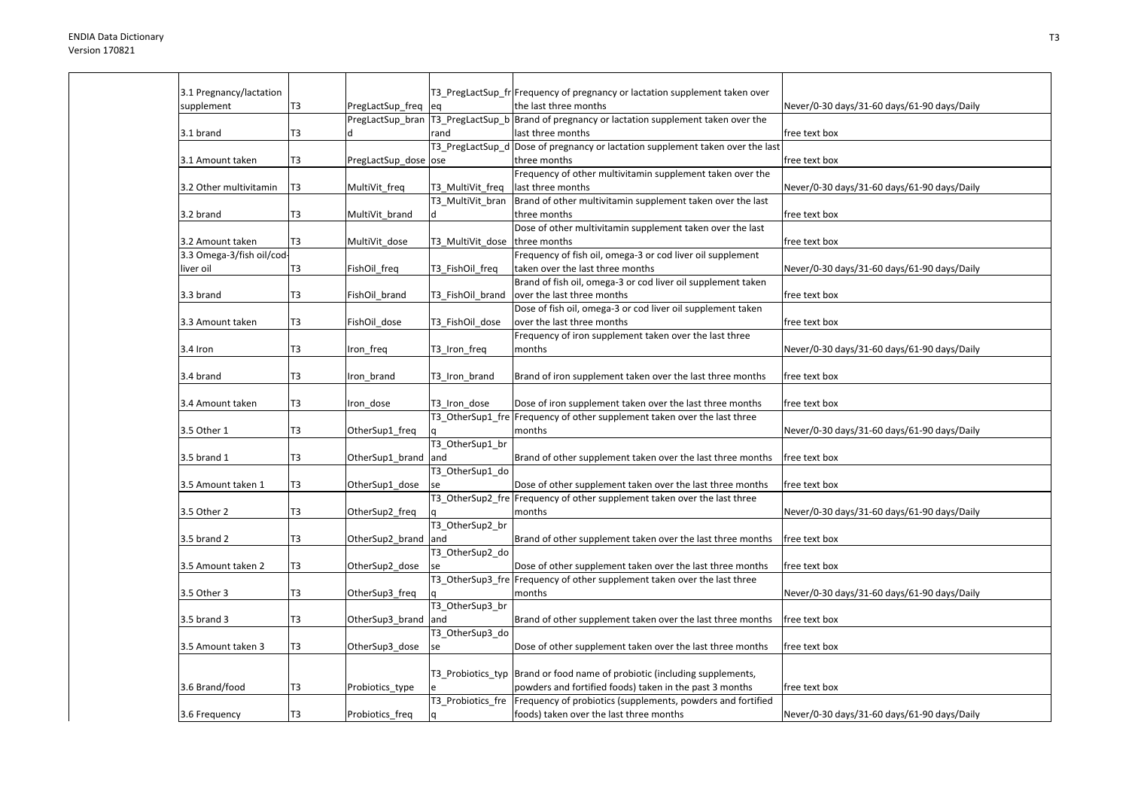| 3.1 Pregnancy/lactation   |                |                      |                   | T3_PregLactSup_fr Frequency of pregnancy or lactation supplement taken over                     |                                             |
|---------------------------|----------------|----------------------|-------------------|-------------------------------------------------------------------------------------------------|---------------------------------------------|
| supplement                | T3             | PregLactSup_freq eq  |                   | the last three months                                                                           | Never/0-30 days/31-60 days/61-90 days/Daily |
|                           |                |                      |                   | PregLactSup_bran   T3_PregLactSup_b   Brand of pregnancy or lactation supplement taken over the |                                             |
| 3.1 brand                 | T3             |                      | rand              | last three months                                                                               | free text box                               |
|                           |                |                      |                   | T3_PregLactSup_d Dose of pregnancy or lactation supplement taken over the last                  |                                             |
| 3.1 Amount taken          | T3             | PregLactSup_dose ose |                   | three months                                                                                    | free text box                               |
|                           |                |                      |                   | Frequency of other multivitamin supplement taken over the                                       |                                             |
| 3.2 Other multivitamin    | T <sub>3</sub> | MultiVit freq        | T3 MultiVit freq  | last three months                                                                               | Never/0-30 days/31-60 days/61-90 days/Daily |
|                           |                |                      | T3 MultiVit bran  | Brand of other multivitamin supplement taken over the last                                      |                                             |
| 3.2 brand                 | T3             |                      |                   | three months                                                                                    | free text box                               |
|                           |                | MultiVit_brand       | ld.               |                                                                                                 |                                             |
|                           |                |                      |                   | Dose of other multivitamin supplement taken over the last                                       |                                             |
| 3.2 Amount taken          | T3             | MultiVit_dose        | T3_MultiVit_dose  | three months                                                                                    | free text box                               |
| 3.3 Omega-3/fish oil/cod- |                |                      |                   | Frequency of fish oil, omega-3 or cod liver oil supplement                                      |                                             |
| liver oil                 | T3             | FishOil_freq         | T3 FishOil freq   | taken over the last three months                                                                | Never/0-30 days/31-60 days/61-90 days/Daily |
|                           |                |                      |                   | Brand of fish oil, omega-3 or cod liver oil supplement taken                                    |                                             |
| 3.3 brand                 | T3             | FishOil brand        | T3 FishOil brand  | over the last three months                                                                      | free text box                               |
|                           |                |                      |                   | Dose of fish oil, omega-3 or cod liver oil supplement taken                                     |                                             |
| 3.3 Amount taken          | T3             | FishOil dose         | T3 FishOil dose   | over the last three months                                                                      | free text box                               |
|                           |                |                      |                   | Frequency of iron supplement taken over the last three                                          |                                             |
| 3.4 Iron                  | T3             | Iron freq            | T3 Iron freq      | months                                                                                          | Never/0-30 days/31-60 days/61-90 days/Daily |
|                           |                |                      |                   |                                                                                                 |                                             |
| 3.4 brand                 | T3             | Iron brand           | T3 Iron brand     | Brand of iron supplement taken over the last three months                                       | free text box                               |
|                           |                |                      |                   |                                                                                                 |                                             |
| 3.4 Amount taken          | T3             | Iron dose            | T3 Iron dose      | Dose of iron supplement taken over the last three months                                        | free text box                               |
|                           |                |                      |                   | T3_OtherSup1_fre Frequency of other supplement taken over the last three                        |                                             |
| 3.5 Other 1               | T3             | OtherSup1_freq       |                   | months                                                                                          | Never/0-30 days/31-60 days/61-90 days/Daily |
|                           |                |                      | T3 OtherSup1 br   |                                                                                                 |                                             |
| 3.5 brand 1               | T3             | OtherSup1_brand      | and               | Brand of other supplement taken over the last three months                                      | free text box                               |
|                           |                |                      | T3_OtherSup1_do   |                                                                                                 |                                             |
| 3.5 Amount taken 1        | T <sub>3</sub> | OtherSup1_dose       |                   | Dose of other supplement taken over the last three months                                       | free text box                               |
|                           |                |                      |                   | T3_OtherSup2_fre Frequency of other supplement taken over the last three                        |                                             |
| 3.5 Other 2               | T3             | OtherSup2 freq       |                   | months                                                                                          | Never/0-30 days/31-60 days/61-90 days/Daily |
|                           |                |                      | T3 OtherSup2 br   |                                                                                                 |                                             |
| 3.5 brand 2               | T3             | OtherSup2 brand and  |                   | Brand of other supplement taken over the last three months                                      | free text box                               |
|                           |                |                      | T3_OtherSup2_do   |                                                                                                 |                                             |
| 3.5 Amount taken 2        | T3             | OtherSup2_dose       |                   | Dose of other supplement taken over the last three months                                       | free text box                               |
|                           |                |                      |                   | T3 OtherSup3 fre Frequency of other supplement taken over the last three                        |                                             |
| 3.5 Other 3               | T3             | OtherSup3 freq       |                   | months                                                                                          | Never/0-30 days/31-60 days/61-90 days/Daily |
|                           |                |                      | T3 OtherSup3 br   |                                                                                                 |                                             |
| 3.5 brand 3               | T3             | OtherSup3_brand and  |                   | Brand of other supplement taken over the last three months                                      | free text box                               |
|                           |                |                      | T3 OtherSup3 do   |                                                                                                 |                                             |
| 3.5 Amount taken 3        | T3             | OtherSup3_dose       | se                | Dose of other supplement taken over the last three months                                       | free text box                               |
|                           |                |                      |                   |                                                                                                 |                                             |
|                           |                |                      |                   | T3 Probiotics typ Brand or food name of probiotic (including supplements,                       |                                             |
|                           |                |                      |                   |                                                                                                 |                                             |
| 3.6 Brand/food            | T <sub>3</sub> | Probiotics_type      |                   | powders and fortified foods) taken in the past 3 months                                         | free text box                               |
|                           |                |                      | T3 Probiotics fre | Frequency of probiotics (supplements, powders and fortified                                     |                                             |
| 3.6 Frequency             | T <sub>3</sub> | Probiotics_freq      | l q               | foods) taken over the last three months                                                         | Never/0-30 days/31-60 days/61-90 days/Daily |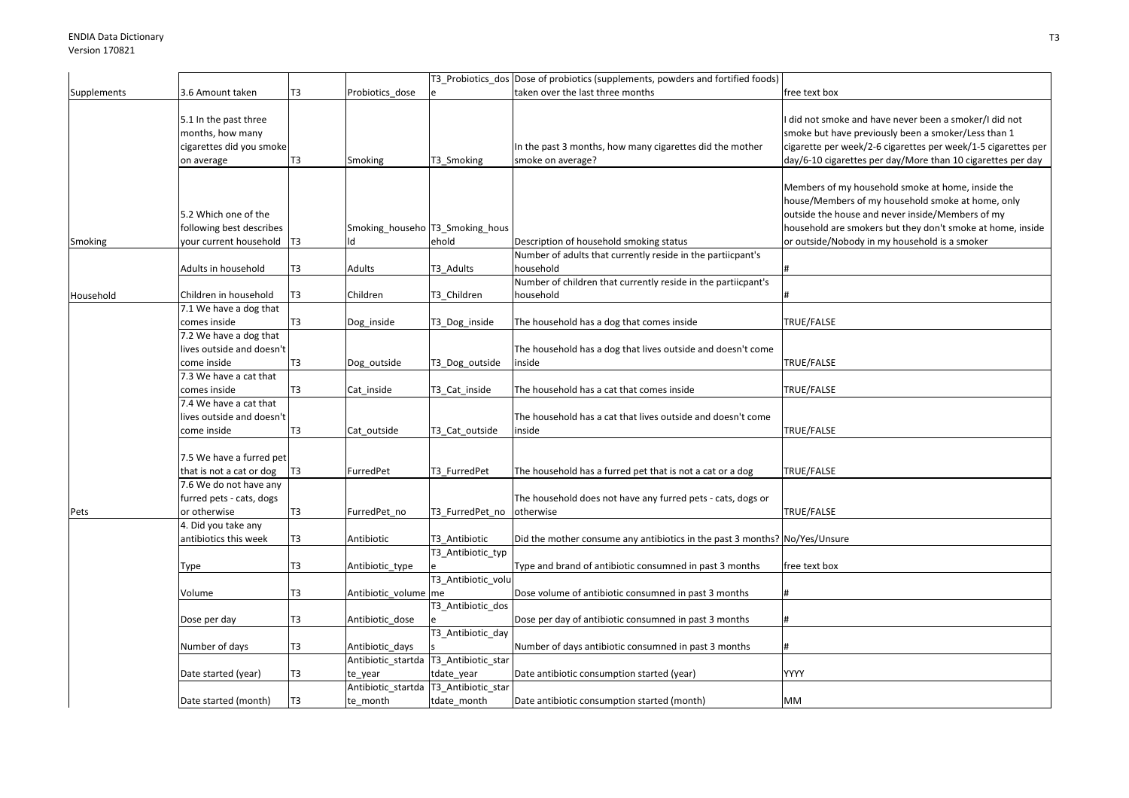|             |                                                                                     |                |                                                    |                                         | T3_Probiotics_dos Dose of probiotics (supplements, powders and fortified foods) |                                                                                                                                                                                                                                                                           |
|-------------|-------------------------------------------------------------------------------------|----------------|----------------------------------------------------|-----------------------------------------|---------------------------------------------------------------------------------|---------------------------------------------------------------------------------------------------------------------------------------------------------------------------------------------------------------------------------------------------------------------------|
| Supplements | 3.6 Amount taken                                                                    | T3             | Probiotics dose                                    |                                         | taken over the last three months                                                | free text box                                                                                                                                                                                                                                                             |
|             | 5.1 In the past three<br>months, how many<br>cigarettes did you smoke<br>on average | T3             | Smoking                                            | T3_Smoking                              | In the past 3 months, how many cigarettes did the mother<br>smoke on average?   | did not smoke and have never been a smoker/I did not<br>smoke but have previously been a smoker/Less than 1<br>cigarette per week/2-6 cigarettes per week/1-5 cigarettes per<br>day/6-10 cigarettes per day/More than 10 cigarettes per day                               |
| Smoking     | 5.2 Which one of the<br>following best describes<br>your current household          | T <sub>3</sub> | Smoking_househo  T3_Smoking_hous<br>ld             | ehold                                   | Description of household smoking status                                         | Members of my household smoke at home, inside the<br>house/Members of my household smoke at home, only<br>outside the house and never inside/Members of my<br>household are smokers but they don't smoke at home, inside<br>or outside/Nobody in my household is a smoker |
|             | Adults in household                                                                 | T3             | Adults                                             | T3_Adults                               | Number of adults that currently reside in the partiicpant's<br>household        |                                                                                                                                                                                                                                                                           |
| Household   | Children in household                                                               | T <sub>3</sub> | Children                                           | T3 Children                             | Number of children that currently reside in the partiicpant's<br>household      |                                                                                                                                                                                                                                                                           |
|             | 7.1 We have a dog that<br>comes inside                                              | T <sub>3</sub> | Dog_inside                                         | T3_Dog_inside                           | The household has a dog that comes inside                                       | TRUE/FALSE                                                                                                                                                                                                                                                                |
|             | 7.2 We have a dog that<br>lives outside and doesn't<br>come inside                  | T3             | Dog_outside                                        | T3_Dog_outside                          | The household has a dog that lives outside and doesn't come<br>inside           | TRUE/FALSE                                                                                                                                                                                                                                                                |
|             | 7.3 We have a cat that<br>comes inside                                              | T <sub>3</sub> | Cat inside                                         | T3 Cat inside                           | The household has a cat that comes inside                                       | TRUE/FALSE                                                                                                                                                                                                                                                                |
|             | 7.4 We have a cat that<br>lives outside and doesn't<br>come inside                  | T3             | Cat_outside                                        | T3_Cat_outside                          | The household has a cat that lives outside and doesn't come<br>inside           | TRUE/FALSE                                                                                                                                                                                                                                                                |
|             | 7.5 We have a furred pet<br>that is not a cat or dog                                | T <sub>3</sub> | FurredPet                                          | T3 FurredPet                            | The household has a furred pet that is not a cat or a dog                       | TRUE/FALSE                                                                                                                                                                                                                                                                |
| Pets        | 7.6 We do not have any<br>furred pets - cats, dogs<br>or otherwise                  | T <sub>3</sub> | FurredPet no                                       | T3 FurredPet no                         | The household does not have any furred pets - cats, dogs or<br>otherwise        | TRUE/FALSE                                                                                                                                                                                                                                                                |
|             | 4. Did you take any<br>antibiotics this week                                        | T3             | Antibiotic                                         | T3_Antibiotic                           | Did the mother consume any antibiotics in the past 3 months? No/Yes/Unsure      |                                                                                                                                                                                                                                                                           |
|             | Type                                                                                | T3             | Antibiotic_type                                    | T3_Antibiotic_typ<br>T3_Antibiotic_volu | Type and brand of antibiotic consumned in past 3 months                         | free text box                                                                                                                                                                                                                                                             |
|             | Volume                                                                              | T3             | Antibiotic_volume me                               |                                         | Dose volume of antibiotic consumned in past 3 months                            |                                                                                                                                                                                                                                                                           |
|             | Dose per day                                                                        | T <sub>3</sub> | Antibiotic_dose                                    | T3_Antibiotic_dos                       | Dose per day of antibiotic consumned in past 3 months                           |                                                                                                                                                                                                                                                                           |
|             | Number of days                                                                      | T <sub>3</sub> | Antibiotic days                                    | T3_Antibiotic_day                       | Number of days antibiotic consumned in past 3 months                            |                                                                                                                                                                                                                                                                           |
|             | Date started (year)                                                                 | T3             | Antibiotic_startda T3_Antibiotic_star<br>te_year   | tdate_year                              | Date antibiotic consumption started (year)                                      | YYYY                                                                                                                                                                                                                                                                      |
|             | Date started (month)                                                                | T <sub>3</sub> | Antibiotic_startda  T3_Antibiotic_star<br>te_month | tdate_month                             | Date antibiotic consumption started (month)                                     | MM                                                                                                                                                                                                                                                                        |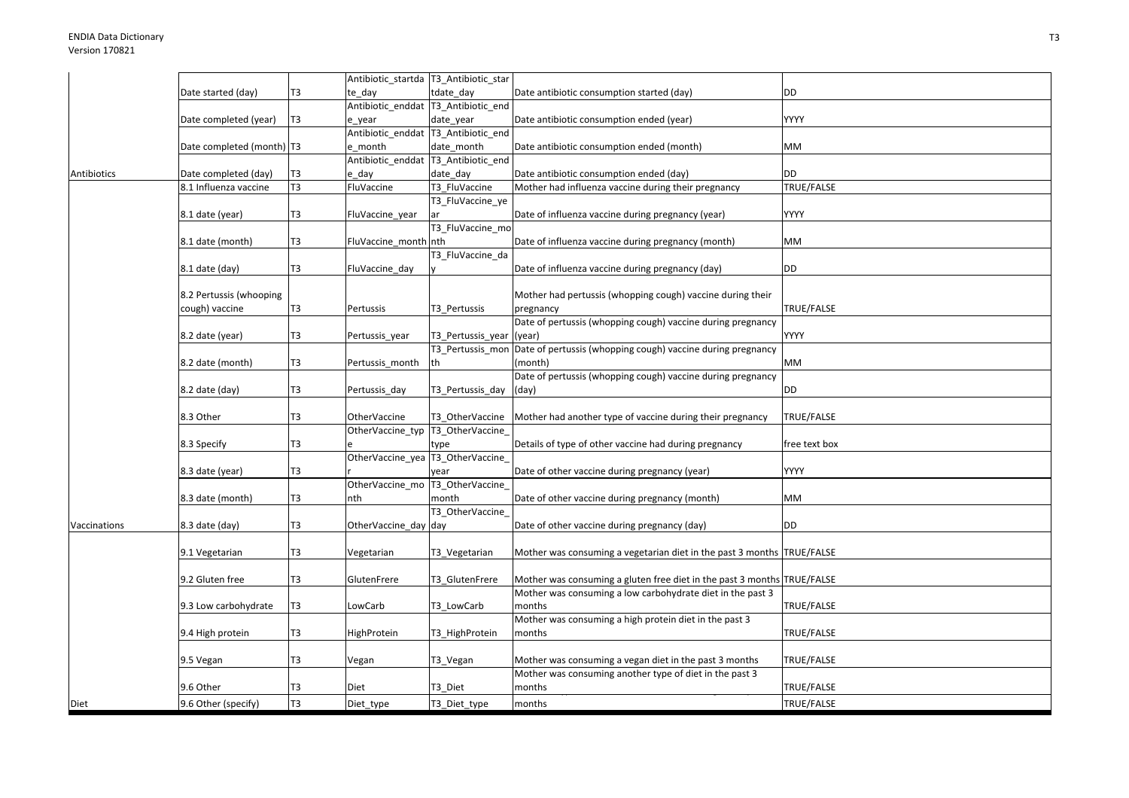|              |                             |                 | Antibiotic_startda  T3_Antibiotic_star |                                     |                                                                         |               |
|--------------|-----------------------------|-----------------|----------------------------------------|-------------------------------------|-------------------------------------------------------------------------|---------------|
|              | Date started (day)          | T3              | te day                                 | tdate day                           | Date antibiotic consumption started (day)                               | <b>DD</b>     |
|              |                             |                 | Antibiotic enddat  T3 Antibiotic end   |                                     |                                                                         |               |
|              | Date completed (year)       | T <sub>3</sub>  | e year                                 | date_year                           | Date antibiotic consumption ended (year)                                | YYYY          |
|              |                             |                 |                                        | Antibiotic_enddat T3_Antibiotic_end |                                                                         |               |
|              | Date completed (month)   T3 |                 | e_month                                | date_month                          | Date antibiotic consumption ended (month)                               | МM            |
|              |                             |                 |                                        | Antibiotic enddat T3 Antibiotic end |                                                                         |               |
| Antibiotics  | Date completed (day)        | T3              | e day                                  | date day                            | Date antibiotic consumption ended (day)                                 | DD            |
|              | 8.1 Influenza vaccine       | $\overline{13}$ | FluVaccine                             | T3 FluVaccine                       | Mother had influenza vaccine during their pregnancy                     | TRUE/FALSE    |
|              |                             |                 |                                        | T3_FluVaccine_ye                    |                                                                         |               |
|              | 8.1 date (year)             | T <sub>3</sub>  | FluVaccine_year                        | ar                                  | Date of influenza vaccine during pregnancy (year)                       | YYYY          |
|              |                             |                 |                                        | T3_FluVaccine_mo                    |                                                                         |               |
|              | 8.1 date (month)            | T <sub>3</sub>  | FluVaccine_month nth                   |                                     | Date of influenza vaccine during pregnancy (month)                      | МM            |
|              |                             |                 |                                        | T3_FluVaccine_da                    |                                                                         |               |
|              | 8.1 date (day)              | T <sub>3</sub>  | FluVaccine_day                         |                                     | Date of influenza vaccine during pregnancy (day)                        | DD            |
|              |                             |                 |                                        |                                     |                                                                         |               |
|              | 8.2 Pertussis (whooping     |                 |                                        |                                     | Mother had pertussis (whopping cough) vaccine during their              |               |
|              | cough) vaccine              | T3              | Pertussis                              | T3 Pertussis                        | pregnancy                                                               | TRUE/FALSE    |
|              |                             |                 |                                        |                                     | Date of pertussis (whopping cough) vaccine during pregnancy             |               |
|              | 8.2 date (year)             | T <sub>3</sub>  | Pertussis_year                         | T3 Pertussis year                   | (year)                                                                  | YYYY          |
|              |                             |                 |                                        | T3 Pertussis mor                    | Date of pertussis (whopping cough) vaccine during pregnancy             |               |
|              | 8.2 date (month)            | T <sub>3</sub>  | Pertussis_month                        | lth                                 | (month                                                                  | МM            |
|              |                             |                 |                                        |                                     | Date of pertussis (whopping cough) vaccine during pregnancy             |               |
|              | 8.2 date (day)              | T3              | Pertussis_day                          | T3_Pertussis_day                    | (day)                                                                   | DD            |
|              |                             |                 |                                        |                                     |                                                                         |               |
|              | 8.3 Other                   | T <sub>3</sub>  | <b>OtherVaccine</b>                    | T3 OtherVaccine                     | Mother had another type of vaccine during their pregnancy               | TRUE/FALSE    |
|              |                             |                 | OtherVaccine_typ  T3_OtherVaccine_     |                                     |                                                                         |               |
|              | 8.3 Specify                 | T <sub>3</sub>  |                                        | type                                | Details of type of other vaccine had during pregnancy                   | free text box |
|              |                             |                 | OtherVaccine_yea  T3_OtherVaccine_     |                                     |                                                                         |               |
|              | 8.3 date (year)             | T3              |                                        | vear                                | Date of other vaccine during pregnancy (year)                           | YYYY          |
|              |                             |                 | OtherVaccine_mo  T3_OtherVaccine_      |                                     |                                                                         |               |
|              | 8.3 date (month)            | T <sub>3</sub>  | nth                                    | month                               | Date of other vaccine during pregnancy (month)                          | MМ            |
|              |                             |                 |                                        | T3 OtherVaccine                     |                                                                         |               |
| Vaccinations | 8.3 date (day)              | T <sub>3</sub>  | OtherVaccine_day day                   |                                     | Date of other vaccine during pregnancy (day)                            | <b>DD</b>     |
|              |                             |                 |                                        |                                     |                                                                         |               |
|              | 9.1 Vegetarian              | T <sub>3</sub>  | Vegetarian                             | T3_Vegetarian                       | Mother was consuming a vegetarian diet in the past 3 months TRUE/FALSE  |               |
|              |                             |                 |                                        |                                     |                                                                         |               |
|              | 9.2 Gluten free             | T <sub>3</sub>  | GlutenFrere                            | T3 GlutenFrere                      | Mother was consuming a gluten free diet in the past 3 months TRUE/FALSE |               |
|              |                             |                 |                                        |                                     | Mother was consuming a low carbohydrate diet in the past 3              |               |
|              | 9.3 Low carbohydrate        | T <sub>3</sub>  | LowCarb                                | T3_LowCarb                          | months                                                                  | TRUE/FALSE    |
|              |                             |                 |                                        |                                     | Mother was consuming a high protein diet in the past 3                  |               |
|              | 9.4 High protein            | T3              | HighProtein                            | T3_HighProtein                      | months                                                                  | TRUE/FALSE    |
|              |                             |                 |                                        |                                     |                                                                         |               |
|              | 9.5 Vegan                   | T3              | Vegan                                  | T3_Vegan                            | Mother was consuming a vegan diet in the past 3 months                  | TRUE/FALSE    |
|              |                             |                 |                                        |                                     | Mother was consuming another type of diet in the past 3                 |               |
|              | 9.6 Other                   | T3              | Diet                                   | T3_Diet                             | months                                                                  | TRUE/FALSE    |
| Diet         | 9.6 Other (specify)         | T <sub>3</sub>  | Diet_type                              | T3_Diet_type                        | months                                                                  | TRUE/FALSE    |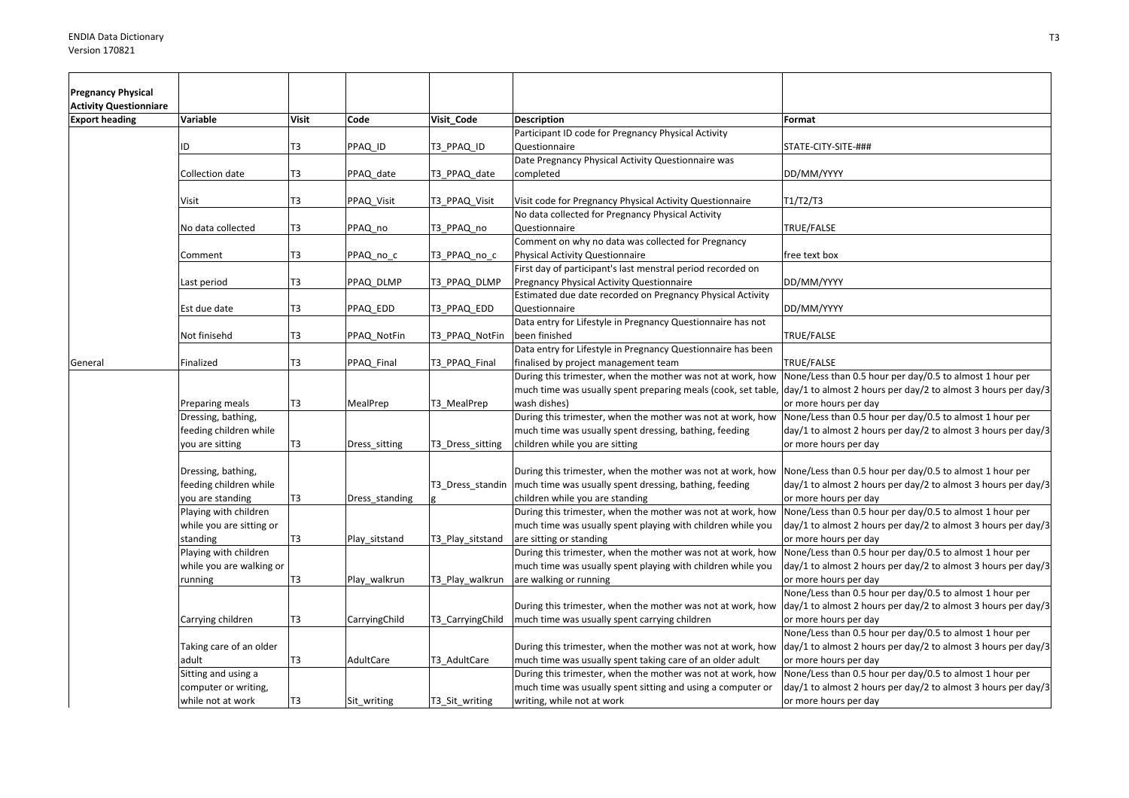| <b>Pregnancy Physical</b>     |                                                                  |              |                |                  |                                                                                                                                                          |                                                                                                                                                                                                                  |
|-------------------------------|------------------------------------------------------------------|--------------|----------------|------------------|----------------------------------------------------------------------------------------------------------------------------------------------------------|------------------------------------------------------------------------------------------------------------------------------------------------------------------------------------------------------------------|
| <b>Activity Questionniare</b> |                                                                  |              |                |                  |                                                                                                                                                          |                                                                                                                                                                                                                  |
| <b>Export heading</b>         | Variable                                                         | <b>Visit</b> | Code           | Visit Code       | <b>Description</b>                                                                                                                                       | Format                                                                                                                                                                                                           |
|                               | ID                                                               | T3           | PPAQ_ID        | T3 PPAQ ID       | Participant ID code for Pregnancy Physical Activity<br>Questionnaire                                                                                     | STATE-CITY-SITE-###                                                                                                                                                                                              |
|                               | Collection date                                                  | T3           | PPAQ date      | T3 PPAQ date     | Date Pregnancy Physical Activity Questionnaire was<br>completed                                                                                          | DD/MM/YYYY                                                                                                                                                                                                       |
|                               | Visit                                                            | T3           | PPAQ Visit     | T3_PPAQ_Visit    | Visit code for Pregnancy Physical Activity Questionnaire                                                                                                 | T1/T2/T3                                                                                                                                                                                                         |
|                               | No data collected                                                | T3           | PPAQ no        | T3 PPAQ no       | No data collected for Pregnancy Physical Activity<br>Questionnaire                                                                                       | TRUE/FALSE                                                                                                                                                                                                       |
|                               | Comment                                                          | T3           | PPAQ_no_c      | T3_PPAQ_no_c     | Comment on why no data was collected for Pregnancy<br>Physical Activity Questionnaire                                                                    | free text box                                                                                                                                                                                                    |
|                               | Last period                                                      | T3           | PPAQ DLMP      | T3 PPAQ DLMP     | First day of participant's last menstral period recorded on<br>Pregnancy Physical Activity Questionnaire                                                 | DD/MM/YYYY                                                                                                                                                                                                       |
|                               | Est due date                                                     | T3           | PPAQ_EDD       | T3 PPAQ EDD      | Estimated due date recorded on Pregnancy Physical Activity<br>Questionnaire                                                                              | DD/MM/YYYY                                                                                                                                                                                                       |
|                               | Not finisehd                                                     | T3           | PPAQ NotFin    | T3_PPAQ_NotFin   | Data entry for Lifestyle in Pregnancy Questionnaire has not<br>been finished                                                                             | TRUE/FALSE                                                                                                                                                                                                       |
| General                       | Finalized                                                        | T3           | PPAQ_Final     | T3_PPAQ_Final    | Data entry for Lifestyle in Pregnancy Questionnaire has been<br>finalised by project management team                                                     | TRUE/FALSE                                                                                                                                                                                                       |
|                               | Preparing meals                                                  | T3           | MealPrep       | T3_MealPrep      | During this trimester, when the mother was not at work, how<br>wash dishes)                                                                              | None/Less than 0.5 hour per day/0.5 to almost 1 hour per<br>much time was usually spent preparing meals (cook, set table, day/1 to almost 2 hours per day/2 to almost 3 hours per day/3<br>or more hours per day |
|                               | Dressing, bathing,<br>feeding children while<br>you are sitting  | T3           | Dress_sitting  | T3_Dress_sitting | During this trimester, when the mother was not at work, how<br>much time was usually spent dressing, bathing, feeding<br>children while you are sitting  | None/Less than 0.5 hour per day/0.5 to almost 1 hour per<br>day/1 to almost 2 hours per day/2 to almost 3 hours per day/3<br>or more hours per day                                                               |
|                               | Dressing, bathing,<br>feeding children while<br>you are standing | T3           | Dress_standing | T3 Dress standin | During this trimester, when the mother was not at work, how<br>much time was usually spent dressing, bathing, feeding<br>children while you are standing | None/Less than 0.5 hour per day/0.5 to almost 1 hour per<br>day/1 to almost 2 hours per day/2 to almost 3 hours per day/3<br>or more hours per day                                                               |
|                               | Playing with children<br>while you are sitting or<br>standing    | T3           | Play_sitstand  | T3_Play_sitstand | During this trimester, when the mother was not at work, how<br>much time was usually spent playing with children while you<br>are sitting or standing    | None/Less than 0.5 hour per day/0.5 to almost 1 hour per<br>day/1 to almost 2 hours per day/2 to almost 3 hours per day/3<br>or more hours per day                                                               |
|                               | Playing with children<br>while you are walking or                |              |                |                  | During this trimester, when the mother was not at work, how<br>much time was usually spent playing with children while you                               | None/Less than 0.5 hour per day/0.5 to almost 1 hour per<br>day/1 to almost 2 hours per day/2 to almost 3 hours per day/3                                                                                        |
|                               | running                                                          | T3           | Play_walkrun   | T3_Play_walkrun  | are walking or running                                                                                                                                   | or more hours per day<br>None/Less than 0.5 hour per day/0.5 to almost 1 hour per                                                                                                                                |
|                               | Carrying children                                                | T3           | CarryingChild  | T3_CarryingChild | During this trimester, when the mother was not at work, how<br>much time was usually spent carrying children                                             | day/1 to almost 2 hours per day/2 to almost 3 hours per day/3<br>or more hours per day<br>None/Less than 0.5 hour per day/0.5 to almost 1 hour per                                                               |
|                               | Taking care of an older<br>adult                                 | T3           | AdultCare      | T3_AdultCare     | During this trimester, when the mother was not at work, how<br>much time was usually spent taking care of an older adult                                 | day/1 to almost 2 hours per day/2 to almost 3 hours per day/3<br>or more hours per day                                                                                                                           |
|                               | Sitting and using a<br>computer or writing,                      |              |                |                  | During this trimester, when the mother was not at work, how<br>much time was usually spent sitting and using a computer or                               | None/Less than 0.5 hour per day/0.5 to almost 1 hour per<br>day/1 to almost 2 hours per day/2 to almost 3 hours per day/3                                                                                        |
|                               | while not at work                                                | T3           | Sit_writing    | T3 Sit writing   | writing, while not at work                                                                                                                               | or more hours per day                                                                                                                                                                                            |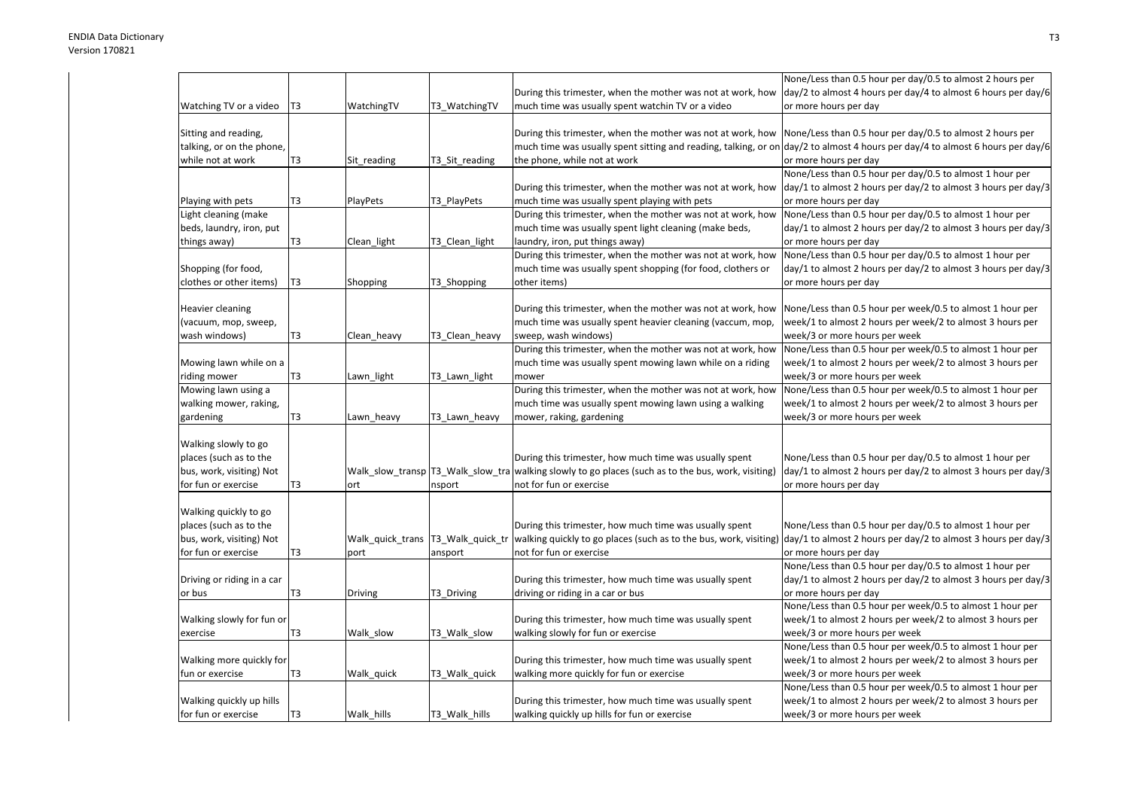|                            |    |                                    |                |                                                                                                                       | None/Less than 0.5 hour per day/0.5 to almost 2 hours per                                                                               |
|----------------------------|----|------------------------------------|----------------|-----------------------------------------------------------------------------------------------------------------------|-----------------------------------------------------------------------------------------------------------------------------------------|
|                            |    |                                    |                | During this trimester, when the mother was not at work, how                                                           | day/2 to almost 4 hours per day/4 to almost 6 hours per day/6                                                                           |
| Watching TV or a video     | T3 | WatchingTV                         | T3 WatchingTV  | much time was usually spent watchin TV or a video                                                                     | or more hours per day                                                                                                                   |
|                            |    |                                    |                |                                                                                                                       |                                                                                                                                         |
| Sitting and reading,       |    |                                    |                | During this trimester, when the mother was not at work, how None/Less than 0.5 hour per day/0.5 to almost 2 hours per |                                                                                                                                         |
| talking, or on the phone,  |    |                                    |                |                                                                                                                       | much time was usually spent sitting and reading, talking, or on $\frac{day}{2}$ to almost 4 hours per day/4 to almost 6 hours per day/6 |
| while not at work          | T3 | Sit_reading                        | T3_Sit_reading | the phone, while not at work                                                                                          | or more hours per day                                                                                                                   |
|                            |    |                                    |                |                                                                                                                       | None/Less than 0.5 hour per day/0.5 to almost 1 hour per                                                                                |
|                            |    |                                    |                | During this trimester, when the mother was not at work, how                                                           | day/1 to almost 2 hours per day/2 to almost 3 hours per day/3                                                                           |
| Playing with pets          | T3 | <b>PlayPets</b>                    | T3 PlayPets    | much time was usually spent playing with pets                                                                         | or more hours per day                                                                                                                   |
| Light cleaning (make       |    |                                    |                | During this trimester, when the mother was not at work, how                                                           | None/Less than 0.5 hour per day/0.5 to almost 1 hour per                                                                                |
| beds, laundry, iron, put   |    |                                    |                | much time was usually spent light cleaning (make beds,                                                                | day/1 to almost 2 hours per day/2 to almost 3 hours per day/3                                                                           |
| things away)               | T3 | Clean_light                        | T3_Clean_light | laundry, iron, put things away)                                                                                       | or more hours per day                                                                                                                   |
|                            |    |                                    |                | During this trimester, when the mother was not at work, how                                                           | None/Less than 0.5 hour per day/0.5 to almost 1 hour per                                                                                |
| Shopping (for food,        |    |                                    |                | much time was usually spent shopping (for food, clothers or                                                           | day/1 to almost 2 hours per day/2 to almost 3 hours per day/3                                                                           |
| clothes or other items)    | T3 | Shopping                           | T3_Shopping    | other items)                                                                                                          | or more hours per day                                                                                                                   |
|                            |    |                                    |                |                                                                                                                       |                                                                                                                                         |
| Heavier cleaning           |    |                                    |                | During this trimester, when the mother was not at work, how                                                           | None/Less than 0.5 hour per week/0.5 to almost 1 hour per                                                                               |
|                            |    |                                    |                | much time was usually spent heavier cleaning (vaccum, mop,                                                            | week/1 to almost 2 hours per week/2 to almost 3 hours per                                                                               |
| (vacuum, mop, sweep,       |    |                                    |                |                                                                                                                       |                                                                                                                                         |
| wash windows)              | T3 | Clean_heavy                        | T3_Clean_heavy | sweep, wash windows)                                                                                                  | week/3 or more hours per week                                                                                                           |
|                            |    |                                    |                | During this trimester, when the mother was not at work, how                                                           | None/Less than 0.5 hour per week/0.5 to almost 1 hour per                                                                               |
| Mowing lawn while on a     |    |                                    |                | much time was usually spent mowing lawn while on a riding                                                             | week/1 to almost 2 hours per week/2 to almost 3 hours per                                                                               |
| riding mower               | T3 | Lawn_light                         | T3_Lawn_light  | mower                                                                                                                 | week/3 or more hours per week                                                                                                           |
| Mowing lawn using a        |    |                                    |                | During this trimester, when the mother was not at work, how                                                           | None/Less than 0.5 hour per week/0.5 to almost 1 hour per                                                                               |
| walking mower, raking,     |    |                                    |                | much time was usually spent mowing lawn using a walking                                                               | week/1 to almost 2 hours per week/2 to almost 3 hours per                                                                               |
| gardening                  | Т3 | Lawn heavy                         | T3_Lawn_heavy  | mower, raking, gardening                                                                                              | week/3 or more hours per week                                                                                                           |
|                            |    |                                    |                |                                                                                                                       |                                                                                                                                         |
| Walking slowly to go       |    |                                    |                |                                                                                                                       |                                                                                                                                         |
| places (such as to the     |    |                                    |                | During this trimester, how much time was usually spent                                                                | None/Less than 0.5 hour per day/0.5 to almost 1 hour per                                                                                |
| bus, work, visiting) Not   |    |                                    |                | Walk slow transp T3 Walk slow tra walking slowly to go places (such as to the bus, work, visiting)                    | day/1 to almost 2 hours per day/2 to almost 3 hours per day/3                                                                           |
| for fun or exercise        | Т3 | ort                                | nsport         | not for fun or exercise                                                                                               | or more hours per day                                                                                                                   |
|                            |    |                                    |                |                                                                                                                       |                                                                                                                                         |
| Walking quickly to go      |    |                                    |                |                                                                                                                       |                                                                                                                                         |
| places (such as to the     |    |                                    |                | During this trimester, how much time was usually spent                                                                | None/Less than 0.5 hour per day/0.5 to almost 1 hour per                                                                                |
| bus, work, visiting) Not   |    | Walk_quick_trans  T3_Walk_quick_tr |                | walking quickly to go places (such as to the bus, work, visiting)                                                     | day/1 to almost 2 hours per day/2 to almost 3 hours per day/3                                                                           |
| for fun or exercise        | T3 | port                               | ansport        | not for fun or exercise                                                                                               | or more hours per day                                                                                                                   |
|                            |    |                                    |                |                                                                                                                       | None/Less than 0.5 hour per day/0.5 to almost 1 hour per                                                                                |
| Driving or riding in a car |    |                                    |                | During this trimester, how much time was usually spent                                                                | day/1 to almost 2 hours per day/2 to almost 3 hours per day/3                                                                           |
| or bus                     | T3 | Driving                            | T3_Driving     | driving or riding in a car or bus                                                                                     | or more hours per day                                                                                                                   |
|                            |    |                                    |                |                                                                                                                       | None/Less than 0.5 hour per week/0.5 to almost 1 hour per                                                                               |
| Walking slowly for fun or  |    |                                    |                | During this trimester, how much time was usually spent                                                                | week/1 to almost 2 hours per week/2 to almost 3 hours per                                                                               |
| exercise                   | T3 | Walk slow                          | T3 Walk slow   | walking slowly for fun or exercise                                                                                    | week/3 or more hours per week                                                                                                           |
|                            |    |                                    |                |                                                                                                                       | None/Less than 0.5 hour per week/0.5 to almost 1 hour per                                                                               |
| Walking more quickly for   |    |                                    |                | During this trimester, how much time was usually spent                                                                | week/1 to almost 2 hours per week/2 to almost 3 hours per                                                                               |
| fun or exercise            | T3 | Walk_quick                         | T3_Walk_quick  | walking more quickly for fun or exercise                                                                              | week/3 or more hours per week                                                                                                           |
|                            |    |                                    |                |                                                                                                                       | None/Less than 0.5 hour per week/0.5 to almost 1 hour per                                                                               |
| Walking quickly up hills   |    |                                    |                | During this trimester, how much time was usually spent                                                                | week/1 to almost 2 hours per week/2 to almost 3 hours per                                                                               |
|                            |    |                                    |                |                                                                                                                       |                                                                                                                                         |
| for fun or exercise        | T3 | Walk hills                         | T3 Walk hills  | walking quickly up hills for fun or exercise                                                                          | week/3 or more hours per week                                                                                                           |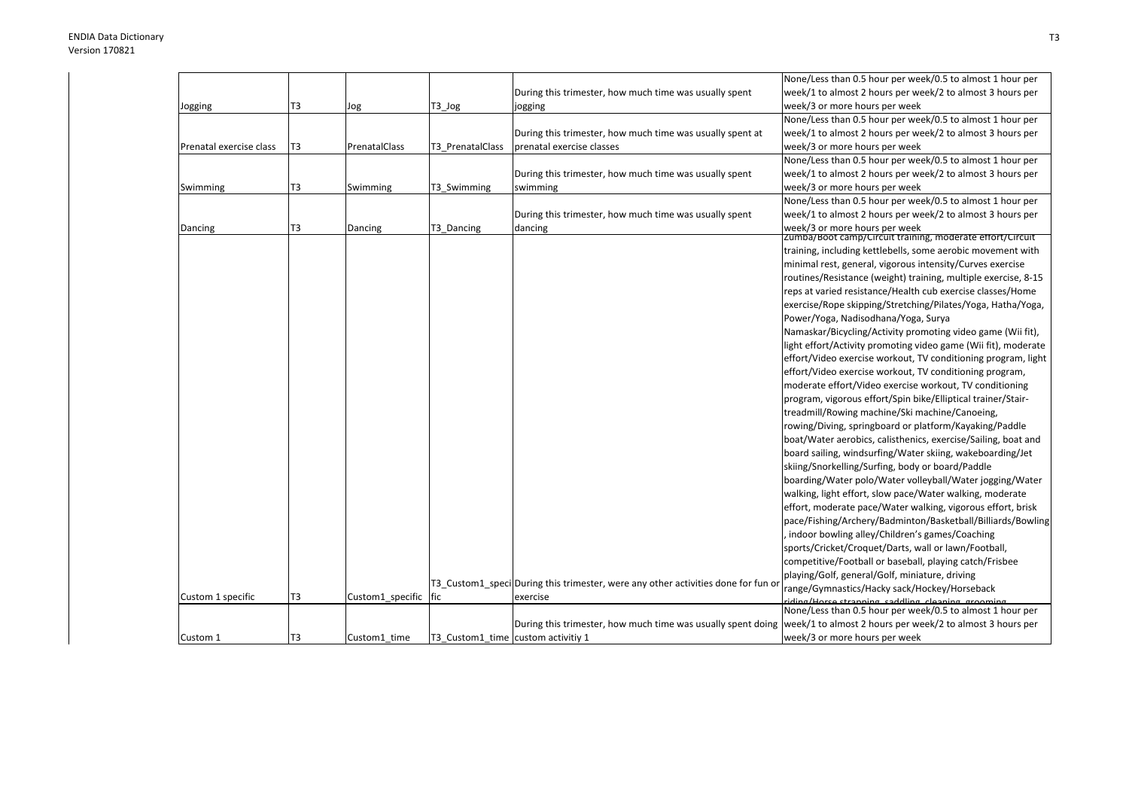|                         |                |                      |                                    |                                                                                   | None/Less than 0.5 hour per week/0.5 to almost 1 hour per                                                              |
|-------------------------|----------------|----------------------|------------------------------------|-----------------------------------------------------------------------------------|------------------------------------------------------------------------------------------------------------------------|
|                         |                |                      |                                    | During this trimester, how much time was usually spent                            | week/1 to almost 2 hours per week/2 to almost 3 hours per                                                              |
| Jogging                 | T3             | Jog                  | T3_Jog                             | jogging                                                                           | week/3 or more hours per week                                                                                          |
|                         |                |                      |                                    |                                                                                   | None/Less than 0.5 hour per week/0.5 to almost 1 hour per                                                              |
|                         |                |                      |                                    | During this trimester, how much time was usually spent at                         | week/1 to almost 2 hours per week/2 to almost 3 hours per                                                              |
| Prenatal exercise class | T <sub>3</sub> | PrenatalClass        | T3 PrenatalClass                   | prenatal exercise classes                                                         | week/3 or more hours per week                                                                                          |
|                         |                |                      |                                    |                                                                                   | None/Less than 0.5 hour per week/0.5 to almost 1 hour per                                                              |
|                         |                |                      |                                    | During this trimester, how much time was usually spent                            | week/1 to almost 2 hours per week/2 to almost 3 hours per                                                              |
| Swimming                | T <sub>3</sub> | Swimming             | T3_Swimming                        | swimming                                                                          | week/3 or more hours per week                                                                                          |
|                         |                |                      |                                    |                                                                                   | None/Less than 0.5 hour per week/0.5 to almost 1 hour per                                                              |
|                         |                |                      |                                    | During this trimester, how much time was usually spent                            | week/1 to almost 2 hours per week/2 to almost 3 hours per                                                              |
| Dancing                 | T3             | Dancing              | T3 Dancing                         | dancing                                                                           | week/3 or more hours per week                                                                                          |
|                         |                |                      |                                    |                                                                                   | zumba/Boot camp/Circuit training, moderate effort/Circuit                                                              |
|                         |                |                      |                                    |                                                                                   | training, including kettlebells, some aerobic movement with                                                            |
|                         |                |                      |                                    |                                                                                   | minimal rest, general, vigorous intensity/Curves exercise                                                              |
|                         |                |                      |                                    |                                                                                   | routines/Resistance (weight) training, multiple exercise, 8-15                                                         |
|                         |                |                      |                                    |                                                                                   | reps at varied resistance/Health cub exercise classes/Home                                                             |
|                         |                |                      |                                    |                                                                                   | exercise/Rope skipping/Stretching/Pilates/Yoga, Hatha/Yoga,                                                            |
|                         |                |                      |                                    |                                                                                   | Power/Yoga, Nadisodhana/Yoga, Surya                                                                                    |
|                         |                |                      |                                    |                                                                                   | Namaskar/Bicycling/Activity promoting video game (Wii fit),                                                            |
|                         |                |                      |                                    |                                                                                   | light effort/Activity promoting video game (Wii fit), moderate                                                         |
|                         |                |                      |                                    |                                                                                   | effort/Video exercise workout, TV conditioning program, light                                                          |
|                         |                |                      |                                    |                                                                                   | effort/Video exercise workout, TV conditioning program,                                                                |
|                         |                |                      |                                    |                                                                                   | moderate effort/Video exercise workout, TV conditioning                                                                |
|                         |                |                      |                                    |                                                                                   | program, vigorous effort/Spin bike/Elliptical trainer/Stair-                                                           |
|                         |                |                      |                                    |                                                                                   | treadmill/Rowing machine/Ski machine/Canoeing,                                                                         |
|                         |                |                      |                                    |                                                                                   | rowing/Diving, springboard or platform/Kayaking/Paddle                                                                 |
|                         |                |                      |                                    |                                                                                   | boat/Water aerobics, calisthenics, exercise/Sailing, boat and                                                          |
|                         |                |                      |                                    |                                                                                   | board sailing, windsurfing/Water skiing, wakeboarding/Jet                                                              |
|                         |                |                      |                                    |                                                                                   | skiing/Snorkelling/Surfing, body or board/Paddle                                                                       |
|                         |                |                      |                                    |                                                                                   | boarding/Water polo/Water volleyball/Water jogging/Water                                                               |
|                         |                |                      |                                    |                                                                                   | walking, light effort, slow pace/Water walking, moderate                                                               |
|                         |                |                      |                                    |                                                                                   | effort, moderate pace/Water walking, vigorous effort, brisk                                                            |
|                         |                |                      |                                    |                                                                                   | pace/Fishing/Archery/Badminton/Basketball/Billiards/Bowling                                                            |
|                         |                |                      |                                    |                                                                                   | indoor bowling alley/Children's games/Coaching                                                                         |
|                         |                |                      |                                    |                                                                                   | sports/Cricket/Croquet/Darts, wall or lawn/Football,                                                                   |
|                         |                |                      |                                    |                                                                                   | competitive/Football or baseball, playing catch/Frisbee                                                                |
|                         |                |                      |                                    |                                                                                   | playing/Golf, general/Golf, miniature, driving                                                                         |
|                         |                |                      |                                    | T3 Custom1 speci During this trimester, were any other activities done for fun or | range/Gymnastics/Hacky sack/Hockey/Horseback                                                                           |
| Custom 1 specific       | T3             | Custom1 specific fic |                                    | exercise                                                                          | riding/Horse stranning saddling cleaning grooming<br>None/Less than 0.5 hour per week/0.5 to almost 1 hour per         |
|                         |                |                      |                                    |                                                                                   |                                                                                                                        |
|                         |                |                      |                                    |                                                                                   | During this trimester, how much time was usually spent doing week/1 to almost 2 hours per week/2 to almost 3 hours per |
| Custom 1                | T3             | Custom1 time         | T3 Custom1 time custom activitiv 1 |                                                                                   | week/3 or more hours per week                                                                                          |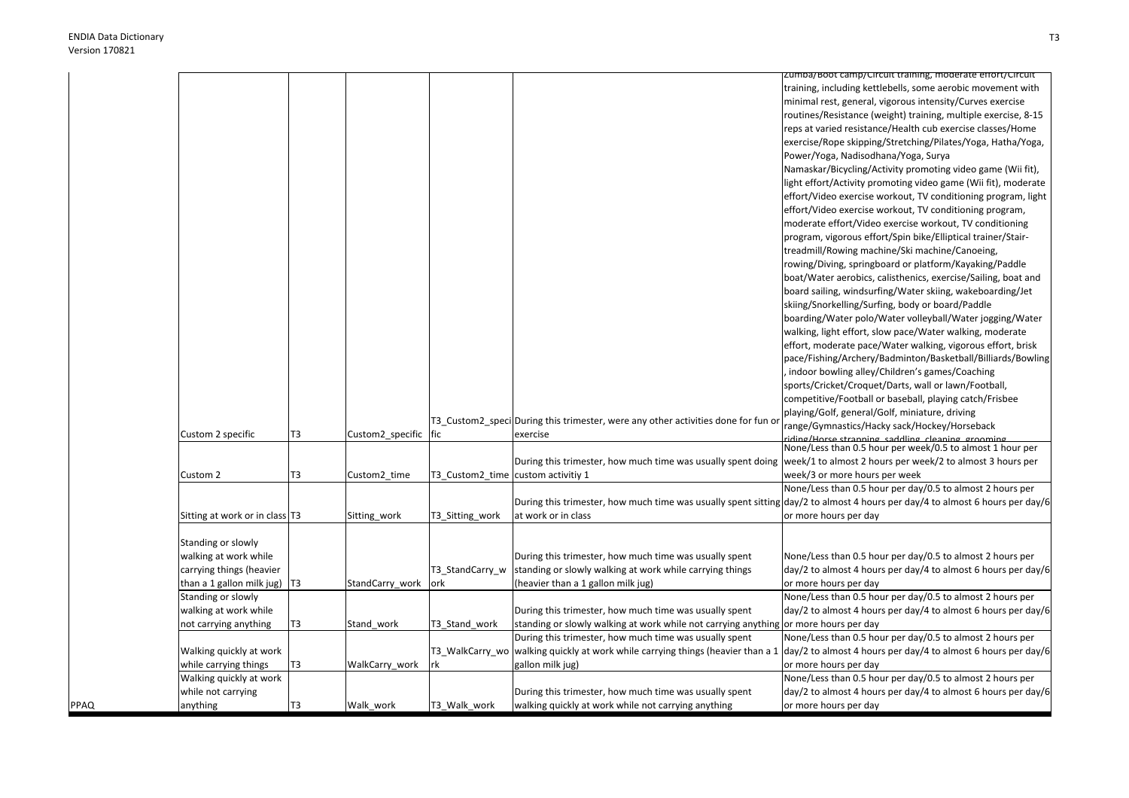PPAQ

|                                  |                |                  |                                    |                                                                                                                        | Zumba/Boot camp/Circuit training, moderate effort/Circuit                                                                    |
|----------------------------------|----------------|------------------|------------------------------------|------------------------------------------------------------------------------------------------------------------------|------------------------------------------------------------------------------------------------------------------------------|
|                                  |                |                  |                                    |                                                                                                                        | training, including kettlebells, some aerobic movement with                                                                  |
|                                  |                |                  |                                    |                                                                                                                        | minimal rest, general, vigorous intensity/Curves exercise                                                                    |
|                                  |                |                  |                                    |                                                                                                                        | routines/Resistance (weight) training, multiple exercise, 8-15                                                               |
|                                  |                |                  |                                    |                                                                                                                        | reps at varied resistance/Health cub exercise classes/Home                                                                   |
|                                  |                |                  |                                    |                                                                                                                        | exercise/Rope skipping/Stretching/Pilates/Yoga, Hatha/Yoga,                                                                  |
|                                  |                |                  |                                    |                                                                                                                        | Power/Yoga, Nadisodhana/Yoga, Surya                                                                                          |
|                                  |                |                  |                                    |                                                                                                                        | Namaskar/Bicycling/Activity promoting video game (Wii fit),                                                                  |
|                                  |                |                  |                                    |                                                                                                                        | light effort/Activity promoting video game (Wii fit), moderate                                                               |
|                                  |                |                  |                                    |                                                                                                                        | effort/Video exercise workout, TV conditioning program, light                                                                |
|                                  |                |                  |                                    |                                                                                                                        | effort/Video exercise workout, TV conditioning program,                                                                      |
|                                  |                |                  |                                    |                                                                                                                        | moderate effort/Video exercise workout, TV conditioning                                                                      |
|                                  |                |                  |                                    |                                                                                                                        | program, vigorous effort/Spin bike/Elliptical trainer/Stair-                                                                 |
|                                  |                |                  |                                    |                                                                                                                        | treadmill/Rowing machine/Ski machine/Canoeing,                                                                               |
|                                  |                |                  |                                    |                                                                                                                        | rowing/Diving, springboard or platform/Kayaking/Paddle                                                                       |
|                                  |                |                  |                                    |                                                                                                                        | boat/Water aerobics, calisthenics, exercise/Sailing, boat and                                                                |
|                                  |                |                  |                                    |                                                                                                                        | board sailing, windsurfing/Water skiing, wakeboarding/Jet                                                                    |
|                                  |                |                  |                                    |                                                                                                                        | skiing/Snorkelling/Surfing, body or board/Paddle                                                                             |
|                                  |                |                  |                                    |                                                                                                                        | boarding/Water polo/Water volleyball/Water jogging/Water                                                                     |
|                                  |                |                  |                                    |                                                                                                                        | walking, light effort, slow pace/Water walking, moderate                                                                     |
|                                  |                |                  |                                    |                                                                                                                        | effort, moderate pace/Water walking, vigorous effort, brisk                                                                  |
|                                  |                |                  |                                    |                                                                                                                        | pace/Fishing/Archery/Badminton/Basketball/Billiards/Bowling                                                                  |
|                                  |                |                  |                                    |                                                                                                                        | indoor bowling alley/Children's games/Coaching                                                                               |
|                                  |                |                  |                                    |                                                                                                                        | sports/Cricket/Croquet/Darts, wall or lawn/Football,                                                                         |
|                                  |                |                  |                                    |                                                                                                                        | competitive/Football or baseball, playing catch/Frisbee                                                                      |
|                                  |                |                  |                                    |                                                                                                                        | playing/Golf, general/Golf, miniature, driving                                                                               |
|                                  |                |                  |                                    | T3_Custom2_speci During this trimester, were any other activities done for fun c                                       | range/Gymnastics/Hacky sack/Hockey/Horseback                                                                                 |
| Custom 2 specific                | T <sub>3</sub> | Custom2 specific | fic                                | exercise                                                                                                               | riding/Horse stranning saddling cleaning grooming                                                                            |
|                                  |                |                  |                                    |                                                                                                                        | None/Less than 0.5 hour per week/0.5 to almost 1 hour per                                                                    |
|                                  |                |                  |                                    | During this trimester, how much time was usually spent doing week/1 to almost 2 hours per week/2 to almost 3 hours per |                                                                                                                              |
| Custom 2                         | T3             | Custom2_time     | T3_Custom2_time custom activitiy 1 |                                                                                                                        | week/3 or more hours per week                                                                                                |
|                                  |                |                  |                                    |                                                                                                                        | None/Less than 0.5 hour per day/0.5 to almost 2 hours per                                                                    |
|                                  |                |                  |                                    |                                                                                                                        | During this trimester, how much time was usually spent sitting day/2 to almost 4 hours per day/4 to almost 6 hours per day/6 |
| Sitting at work or in class T3   |                | Sitting_work     | T3 Sitting work                    | at work or in class                                                                                                    | or more hours per day                                                                                                        |
|                                  |                |                  |                                    |                                                                                                                        |                                                                                                                              |
| Standing or slowly               |                |                  |                                    |                                                                                                                        |                                                                                                                              |
| walking at work while            |                |                  |                                    | During this trimester, how much time was usually spent                                                                 | None/Less than 0.5 hour per day/0.5 to almost 2 hours per                                                                    |
| carrying things (heavier         |                |                  | T3_StandCarry_w                    | standing or slowly walking at work while carrying things                                                               | day/2 to almost 4 hours per day/4 to almost 6 hours per day/6                                                                |
| than a 1 gallon milk jug) $ T3 $ |                | StandCarry work  | ork                                | (heavier than a 1 gallon milk jug)                                                                                     | or more hours per day                                                                                                        |
| Standing or slowly               |                |                  |                                    |                                                                                                                        | None/Less than 0.5 hour per day/0.5 to almost 2 hours per                                                                    |
| walking at work while            |                |                  |                                    | During this trimester, how much time was usually spent                                                                 | day/2 to almost 4 hours per day/4 to almost 6 hours per day/6                                                                |
| not carrying anything            | T <sub>3</sub> | Stand_work       | T3_Stand_work                      | standing or slowly walking at work while not carrying anything                                                         | or more hours per day                                                                                                        |
|                                  |                |                  |                                    | During this trimester, how much time was usually spent                                                                 | None/Less than 0.5 hour per day/0.5 to almost 2 hours per                                                                    |
| Walking quickly at work          |                |                  |                                    | T3_WalkCarry_wo  walking quickly at work while carrying things (heavier than a 1                                       | day/2 to almost 4 hours per day/4 to almost 6 hours per day/6                                                                |
| while carrying things            | T <sub>3</sub> | WalkCarry_work   | rk                                 | gallon milk jug)                                                                                                       | or more hours per day                                                                                                        |
|                                  |                |                  |                                    |                                                                                                                        | None/Less than 0.5 hour per day/0.5 to almost 2 hours per                                                                    |
| Walking quickly at work          |                |                  |                                    |                                                                                                                        |                                                                                                                              |
| while not carrying               |                |                  |                                    | During this trimester, how much time was usually spent                                                                 | day/2 to almost 4 hours per day/4 to almost 6 hours per day/6                                                                |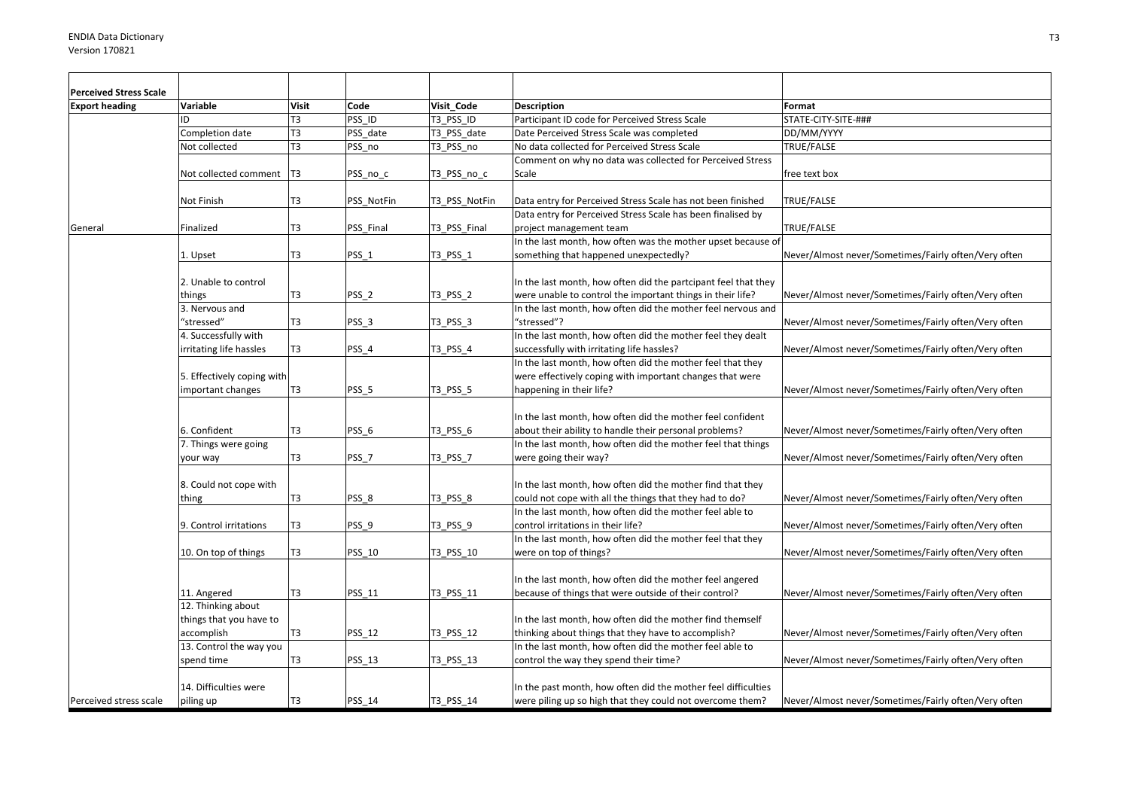| <b>Perceived Stress Scale</b> |                            |                |                  |               |                                                                                                       |                                                      |
|-------------------------------|----------------------------|----------------|------------------|---------------|-------------------------------------------------------------------------------------------------------|------------------------------------------------------|
| <b>Export heading</b>         | Variable                   | <b>Visit</b>   | Code             | Visit Code    | <b>Description</b>                                                                                    | Format                                               |
|                               | ID                         | T3             | PSS ID           | T3 PSS ID     | Participant ID code for Perceived Stress Scale                                                        | STATE-CITY-SITE-###                                  |
|                               | Completion date            | T <sub>3</sub> | PSS_date         | T3 PSS date   | Date Perceived Stress Scale was completed                                                             | DD/MM/YYYY                                           |
|                               | Not collected              | T3             | PSS no           | T3 PSS no     | No data collected for Perceived Stress Scale                                                          | TRUE/FALSE                                           |
|                               | Not collected comment      | T3             | PSS_no_c         | T3_PSS_no_c   | Comment on why no data was collected for Perceived Stress<br>Scale                                    | free text box                                        |
|                               | Not Finish                 | T <sub>3</sub> | PSS_NotFin       | T3 PSS NotFin | Data entry for Perceived Stress Scale has not been finished                                           | <b>TRUE/FALSE</b>                                    |
|                               |                            |                |                  |               | Data entry for Perceived Stress Scale has been finalised by                                           |                                                      |
| General                       | Finalized                  | T3             | PSS Final        | T3 PSS Final  | project management team                                                                               | TRUE/FALSE                                           |
|                               | 1. Upset                   | T <sub>3</sub> | PSS_1            | T3_PSS_1      | In the last month, how often was the mother upset because of<br>something that happened unexpectedly? | Never/Almost never/Sometimes/Fairly often/Very often |
|                               | 2. Unable to control       |                |                  |               | In the last month, how often did the partcipant feel that they                                        |                                                      |
|                               | things                     | T <sub>3</sub> | PSS <sub>2</sub> | T3 PSS 2      | were unable to control the important things in their life?                                            | Never/Almost never/Sometimes/Fairly often/Very often |
|                               | 3. Nervous and             |                |                  |               | In the last month, how often did the mother feel nervous and                                          |                                                      |
|                               | "stressed"                 | T <sub>3</sub> | PSS <sub>3</sub> | T3 PSS 3      | "stressed"?                                                                                           | Never/Almost never/Sometimes/Fairly often/Very often |
|                               | 4. Successfully with       |                |                  |               | In the last month, how often did the mother feel they dealt                                           |                                                      |
|                               | irritating life hassles    | T3             | PSS_4            | T3_PSS_4      | successfully with irritating life hassles?                                                            | Never/Almost never/Sometimes/Fairly often/Very often |
|                               |                            |                |                  |               | In the last month, how often did the mother feel that they                                            |                                                      |
|                               | 5. Effectively coping with |                |                  |               | were effectively coping with important changes that were                                              |                                                      |
|                               | important changes          | T3             | PSS 5            | T3 PSS 5      | happening in their life?                                                                              | Never/Almost never/Sometimes/Fairly often/Very often |
|                               |                            |                |                  |               |                                                                                                       |                                                      |
|                               |                            |                |                  |               | In the last month, how often did the mother feel confident                                            |                                                      |
|                               | 6. Confident               | T <sub>3</sub> | PSS <sub>6</sub> | T3 PSS 6      | about their ability to handle their personal problems?                                                | Never/Almost never/Sometimes/Fairly often/Very often |
|                               | 7. Things were going       |                |                  |               | In the last month, how often did the mother feel that things                                          |                                                      |
|                               | your way                   | T <sub>3</sub> | PSS <sub>7</sub> | T3 PSS 7      | were going their way?                                                                                 | Never/Almost never/Sometimes/Fairly often/Very often |
|                               |                            |                |                  |               |                                                                                                       |                                                      |
|                               | 8. Could not cope with     |                |                  |               | In the last month, how often did the mother find that they                                            |                                                      |
|                               | thing                      | T <sub>3</sub> | PSS 8            | T3 PSS 8      | could not cope with all the things that they had to do?                                               | Never/Almost never/Sometimes/Fairly often/Very often |
|                               |                            |                |                  |               | In the last month, how often did the mother feel able to                                              |                                                      |
|                               | 9. Control irritations     | T <sub>3</sub> | PSS <sub>9</sub> | T3 PSS 9      | control irritations in their life?                                                                    | Never/Almost never/Sometimes/Fairly often/Very often |
|                               |                            |                |                  |               | In the last month, how often did the mother feel that they                                            |                                                      |
|                               | 10. On top of things       | T <sub>3</sub> | PSS 10           | T3 PSS 10     | were on top of things?                                                                                | Never/Almost never/Sometimes/Fairly often/Very often |
|                               |                            |                |                  |               |                                                                                                       |                                                      |
|                               |                            |                |                  |               | In the last month, how often did the mother feel angered                                              |                                                      |
|                               | 11. Angered                | T <sub>3</sub> | PSS 11           | T3 PSS 11     | because of things that were outside of their control?                                                 | Never/Almost never/Sometimes/Fairly often/Very often |
|                               | 12. Thinking about         |                |                  |               |                                                                                                       |                                                      |
|                               | things that you have to    |                |                  |               | In the last month, how often did the mother find themself                                             |                                                      |
|                               | accomplish                 | T <sub>3</sub> | PSS 12           | T3 PSS 12     | thinking about things that they have to accomplish?                                                   | Never/Almost never/Sometimes/Fairly often/Very often |
|                               | 13. Control the way you    |                |                  |               | In the last month, how often did the mother feel able to                                              |                                                      |
|                               | spend time                 | T <sub>3</sub> | <b>PSS 13</b>    | T3_PSS_13     | control the way they spend their time?                                                                | Never/Almost never/Sometimes/Fairly often/Very often |
|                               | 14. Difficulties were      |                |                  |               | In the past month, how often did the mother feel difficulties                                         |                                                      |
| Perceived stress scale        |                            | T <sub>3</sub> | PSS 14           | T3 PSS 14     |                                                                                                       | Never/Almost never/Sometimes/Fairly often/Very often |
|                               | piling up                  |                |                  |               | were piling up so high that they could not overcome them?                                             |                                                      |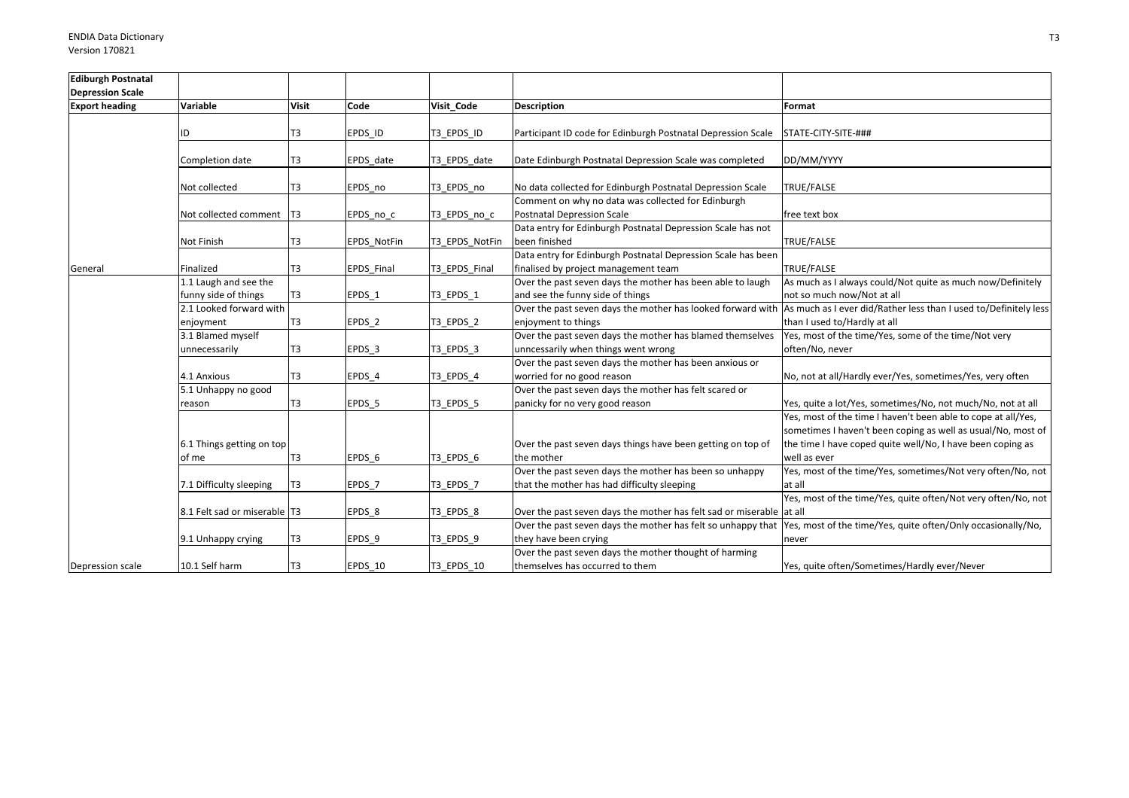| <b>Ediburgh Postnatal</b> |                                |                |             |                |                                                                      |                                                                  |
|---------------------------|--------------------------------|----------------|-------------|----------------|----------------------------------------------------------------------|------------------------------------------------------------------|
| <b>Depression Scale</b>   |                                |                |             |                |                                                                      |                                                                  |
| <b>Export heading</b>     | Variable                       | <b>Visit</b>   | Code        | Visit Code     | Description                                                          | Format                                                           |
|                           |                                |                |             |                |                                                                      |                                                                  |
|                           | ID                             | T3             | EPDS ID     | T3 EPDS ID     | Participant ID code for Edinburgh Postnatal Depression Scale         | STATE-CITY-SITE-###                                              |
|                           |                                |                |             |                |                                                                      |                                                                  |
|                           | Completion date                | T <sub>3</sub> | EPDS date   | T3 EPDS date   | Date Edinburgh Postnatal Depression Scale was completed              | DD/MM/YYYY                                                       |
|                           |                                |                |             |                |                                                                      |                                                                  |
|                           | Not collected                  | T3             | EPDS no     | T3_EPDS_no     | No data collected for Edinburgh Postnatal Depression Scale           | TRUE/FALSE                                                       |
|                           |                                |                |             |                | Comment on why no data was collected for Edinburgh                   |                                                                  |
|                           | Not collected comment   T3     |                | EPDS_no_c   | T3_EPDS_no_c   | Postnatal Depression Scale                                           | free text box                                                    |
|                           |                                |                |             |                | Data entry for Edinburgh Postnatal Depression Scale has not          |                                                                  |
|                           | Not Finish                     | T <sub>3</sub> | EPDS_NotFin | T3_EPDS_NotFin | been finished                                                        | TRUE/FALSE                                                       |
|                           |                                |                |             |                | Data entry for Edinburgh Postnatal Depression Scale has been         |                                                                  |
| General                   | Finalized                      | T <sub>3</sub> | EPDS Final  | T3_EPDS_Final  | finalised by project management team                                 | <b>TRUE/FALSE</b>                                                |
|                           | 1.1 Laugh and see the          |                |             |                | Over the past seven days the mother has been able to laugh           | As much as I always could/Not quite as much now/Definitely       |
|                           | funny side of things           | T3             | EPDS 1      | T3_EPDS_1      | and see the funny side of things                                     | not so much now/Not at all                                       |
|                           | 2.1 Looked forward with        |                |             |                | Over the past seven days the mother has looked forward with          | As much as I ever did/Rather less than I used to/Definitely less |
|                           | enjoyment                      | T <sub>3</sub> | EPDS_2      | T3_EPDS_2      | enjoyment to things                                                  | than I used to/Hardly at all                                     |
|                           | 3.1 Blamed myself              |                |             |                | Over the past seven days the mother has blamed themselves            | Yes, most of the time/Yes, some of the time/Not very             |
|                           | unnecessarily                  | T <sub>3</sub> | EPDS_3      | T3_EPDS_3      | unncessarily when things went wrong                                  | often/No, never                                                  |
|                           |                                |                |             |                | Over the past seven days the mother has been anxious or              |                                                                  |
|                           | 4.1 Anxious                    | T <sub>3</sub> | EPDS 4      | T3 EPDS 4      | worried for no good reason                                           | No, not at all/Hardly ever/Yes, sometimes/Yes, very often        |
|                           | 5.1 Unhappy no good            |                |             |                | Over the past seven days the mother has felt scared or               |                                                                  |
|                           | reason                         | T <sub>3</sub> | EPDS 5      | T3 EPDS 5      | panicky for no very good reason                                      | Yes, quite a lot/Yes, sometimes/No, not much/No, not at all      |
|                           |                                |                |             |                |                                                                      | Yes, most of the time I haven't been able to cope at all/Yes,    |
|                           |                                |                |             |                |                                                                      | sometimes I haven't been coping as well as usual/No, most of     |
|                           | 6.1 Things getting on top      |                |             |                | Over the past seven days things have been getting on top of          | the time I have coped quite well/No, I have been coping as       |
|                           | of me                          | T <sub>3</sub> | EPDS 6      | T3_EPDS_6      | the mother                                                           | well as ever                                                     |
|                           |                                |                |             |                | Over the past seven days the mother has been so unhappy              | Yes, most of the time/Yes, sometimes/Not very often/No, not      |
|                           | 7.1 Difficulty sleeping        | T <sub>3</sub> | EPDS 7      | T3 EPDS 7      | that the mother has had difficulty sleeping                          | at all                                                           |
|                           |                                |                |             |                |                                                                      | Yes, most of the time/Yes, quite often/Not very often/No, not    |
|                           | 8.1 Felt sad or miserable   T3 |                | EPDS_8      | T3 EPDS 8      | Over the past seven days the mother has felt sad or miserable at all |                                                                  |
|                           |                                |                |             |                | Over the past seven days the mother has felt so unhappy that         | Yes, most of the time/Yes, quite often/Only occasionally/No,     |
|                           | 9.1 Unhappy crying             | T <sub>3</sub> | EPDS 9      | T3 EPDS 9      | they have been crying                                                | never                                                            |
|                           |                                |                |             |                | Over the past seven days the mother thought of harming               |                                                                  |
| Depression scale          | 10.1 Self harm                 | T <sub>3</sub> | EPDS 10     | T3 EPDS 10     | themselves has occurred to them                                      | Yes, quite often/Sometimes/Hardly ever/Never                     |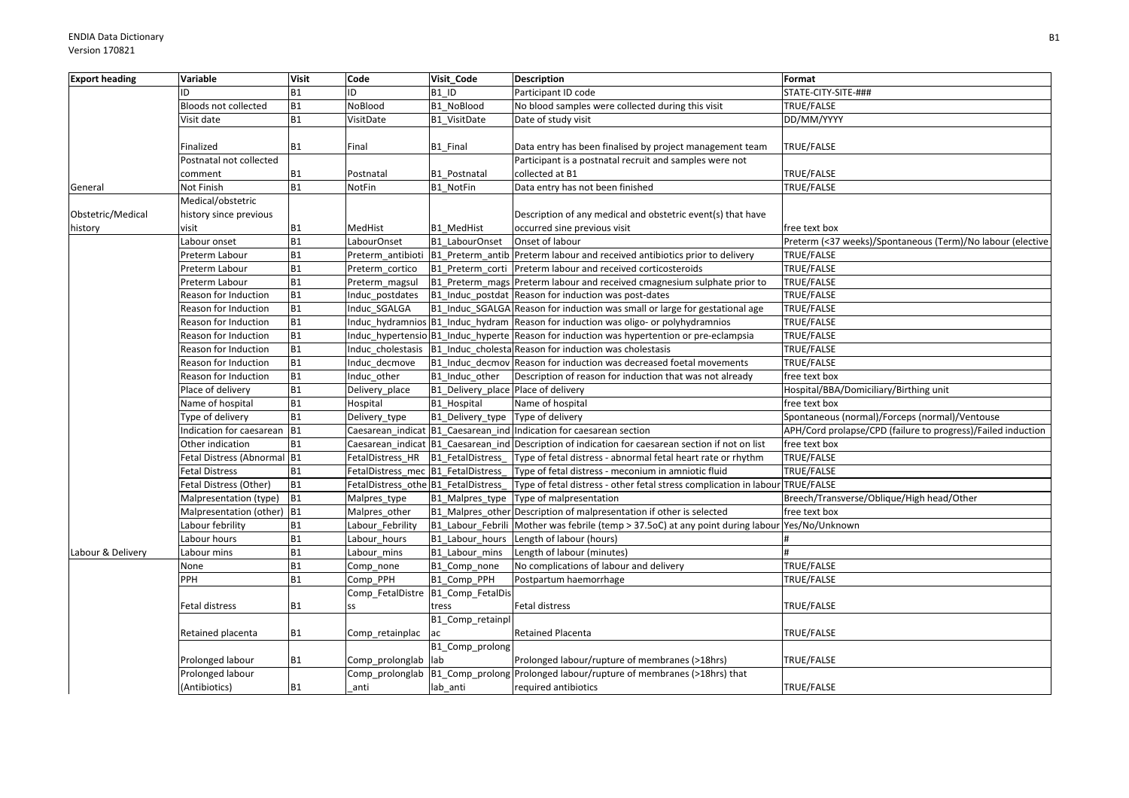| <b>Export heading</b> | Variable                    | <b>Visit</b> | Code                                 | Visit Code                          | <b>Description</b>                                                                                | Format                                                       |
|-----------------------|-----------------------------|--------------|--------------------------------------|-------------------------------------|---------------------------------------------------------------------------------------------------|--------------------------------------------------------------|
|                       | ID                          | <b>B1</b>    | ID                                   | B1 ID                               | Participant ID code                                                                               | STATE-CITY-SITE-###                                          |
|                       | Bloods not collected        | <b>B1</b>    | NoBlood                              | <b>B1 NoBlood</b>                   | No blood samples were collected during this visit                                                 | TRUE/FALSE                                                   |
|                       | Visit date                  | <b>B1</b>    | VisitDate                            | B1 VisitDate                        | Date of study visit                                                                               | DD/MM/YYYY                                                   |
|                       | Finalized                   | <b>B1</b>    | Final                                | B1 Final                            | Data entry has been finalised by project management team                                          | <b>TRUE/FALSE</b>                                            |
|                       | Postnatal not collected     |              |                                      |                                     | Participant is a postnatal recruit and samples were not                                           |                                                              |
|                       | comment                     | <b>B1</b>    | Postnatal                            | B1_Postnatal                        | collected at B1                                                                                   | TRUE/FALSE                                                   |
| General               | Not Finish                  | <b>B1</b>    | NotFin                               | B1 NotFin                           | Data entry has not been finished                                                                  | TRUE/FALSE                                                   |
|                       | Medical/obstetric           |              |                                      |                                     |                                                                                                   |                                                              |
| Obstetric/Medical     | history since previous      |              |                                      |                                     | Description of any medical and obstetric event(s) that have                                       |                                                              |
| history               | visit                       | <b>B1</b>    | MedHist                              | <b>B1 MedHist</b>                   | occurred sine previous visit                                                                      | free text box                                                |
|                       | Labour onset                | <b>B1</b>    | LabourOnset                          | B1 LabourOnset                      | Onset of labour                                                                                   | Preterm (<37 weeks)/Spontaneous (Term)/No labour (elective   |
|                       | Preterm Labour              | <b>B1</b>    |                                      |                                     | Preterm antibioti B1 Preterm antib Preterm labour and received antibiotics prior to delivery      | TRUE/FALSE                                                   |
|                       | Preterm Labour              | <b>B1</b>    | Preterm cortico                      | B1 Preterm_corti                    | Preterm labour and received corticosteroids                                                       | TRUE/FALSE                                                   |
|                       | Preterm Labour              | <b>B1</b>    | Preterm magsul                       |                                     | B1_Preterm_mags Preterm labour and received cmagnesium sulphate prior to                          | TRUE/FALSE                                                   |
|                       | Reason for Induction        | <b>B1</b>    | Induc_postdates                      |                                     | B1 Induc postdat Reason for induction was post-dates                                              | TRUE/FALSE                                                   |
|                       | Reason for Induction        | <b>B1</b>    | Induc SGALGA                         |                                     | B1 Induc SGALGA Reason for induction was small or large for gestational age                       | <b>TRUE/FALSE</b>                                            |
|                       | Reason for Induction        | <b>B1</b>    |                                      |                                     | Induc_hydramnios B1_Induc_hydram Reason for induction was oligo- or polyhydramnios                | TRUE/FALSE                                                   |
|                       | Reason for Induction        | <b>B1</b>    |                                      |                                     | Induc hypertensio B1 Induc hyperte Reason for induction was hypertention or pre-eclampsia         | TRUE/FALSE                                                   |
|                       | Reason for Induction        | <b>B1</b>    |                                      |                                     | Induc cholestasis B1 Induc cholesta Reason for induction was cholestasis                          | TRUE/FALSE                                                   |
|                       | Reason for Induction        | <b>B1</b>    | Induc decmove                        |                                     | B1_Induc_decmov Reason for induction was decreased foetal movements                               | TRUE/FALSE                                                   |
|                       | Reason for Induction        | <b>B1</b>    | Induc other                          | B1 Induc other                      | Description of reason for induction that was not already                                          | free text box                                                |
|                       | Place of delivery           | <b>B1</b>    | Delivery place                       | B1 Delivery place Place of delivery |                                                                                                   | Hospital/BBA/Domiciliary/Birthing unit                       |
|                       | Name of hospital            | <b>B1</b>    | Hospital                             | B1 Hospital                         | Name of hospital                                                                                  | free text box                                                |
|                       | Type of delivery            | <b>B1</b>    | Delivery_type                        | B1_Delivery_type Type of delivery   |                                                                                                   | Spontaneous (normal)/Forceps (normal)/Ventouse               |
|                       | Indication for caesarean B1 |              |                                      |                                     | Caesarean indicat B1 Caesarean ind Indication for caesarean section                               | APH/Cord prolapse/CPD (failure to progress)/Failed induction |
|                       | Other indication            | <b>B1</b>    |                                      |                                     | Caesarean indicat B1 Caesarean ind Description of indication for caesarean section if not on list | free text box                                                |
|                       | Fetal Distress (Abnormal B1 |              | FetalDistress HR                     | <b>B1</b> FetalDistress             | Type of fetal distress - abnormal fetal heart rate or rhythm                                      | TRUE/FALSE                                                   |
|                       | Fetal Distress              | <b>B1</b>    | FetalDistress mec B1 FetalDistress   |                                     | Type of fetal distress - meconium in amniotic fluid                                               | <b>TRUE/FALSE</b>                                            |
|                       | Fetal Distress (Other)      | <b>B1</b>    | FetalDistress_othe B1_FetalDistress_ |                                     | Type of fetal distress - other fetal stress complication in labour                                | TRUE/FALSE                                                   |
|                       | Malpresentation (type)      | <b>B1</b>    | Malpres_type                         | B1_Malpres_type                     | Type of malpresentation                                                                           | Breech/Transverse/Oblique/High head/Other                    |
|                       | Malpresentation (other) B1  |              | Malpres other                        |                                     | B1_Malpres_other Description of malpresentation if other is selected                              | free text box                                                |
|                       | Labour febrility            | <b>B1</b>    | Labour_Febrility                     |                                     | B1_Labour_Febrili Mother was febrile (temp > 37.5oC) at any point during labour Yes/No/Unknown    |                                                              |
|                       | Labour hours                | <b>B1</b>    | Labour hours                         | B1_Labour_hours                     | Length of labour (hours)                                                                          |                                                              |
| Labour & Delivery     | Labour mins                 | <b>B1</b>    | Labour_mins                          | B1 Labour mins                      | Length of labour (minutes)                                                                        |                                                              |
|                       | None                        | <b>B1</b>    | Comp_none                            | B1 Comp none                        | No complications of labour and delivery                                                           | TRUE/FALSE                                                   |
|                       | PPH                         | <b>B1</b>    | Comp PPH                             | B1 Comp PPH                         | Postpartum haemorrhage                                                                            | <b>TRUE/FALSE</b>                                            |
|                       |                             |              |                                      | Comp_FetalDistre B1_Comp_FetalDis   |                                                                                                   |                                                              |
|                       | Fetal distress              | <b>B1</b>    | SS                                   | tress                               | Fetal distress                                                                                    | TRUE/FALSE                                                   |
|                       |                             |              |                                      | B1_Comp_retainpl                    |                                                                                                   |                                                              |
|                       | Retained placenta           | <b>B1</b>    | Comp_retainplac                      | lac                                 | Retained Placenta                                                                                 | TRUE/FALSE                                                   |
|                       |                             |              |                                      | B1_Comp_prolong                     |                                                                                                   |                                                              |
|                       | Prolonged labour            | <b>B1</b>    | Comp prolonglab lab                  |                                     | Prolonged labour/rupture of membranes (>18hrs)                                                    | TRUE/FALSE                                                   |
|                       | Prolonged labour            |              |                                      |                                     | Comp_prolonglab   B1_Comp_prolong   Prolonged labour/rupture of membranes (>18hrs) that           |                                                              |
|                       | (Antibiotics)               | <b>B1</b>    | anti                                 | lab anti                            | required antibiotics                                                                              | TRUE/FALSE                                                   |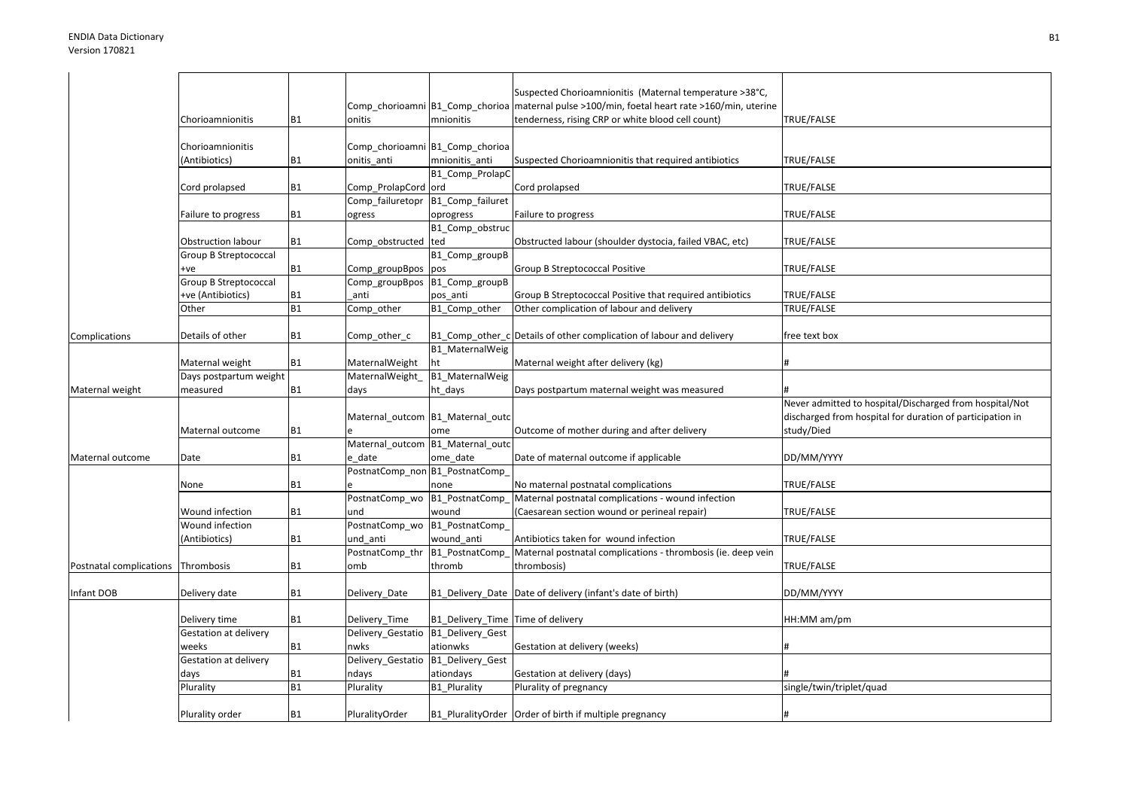|                                      | Chorioamnionitis          | <b>B1</b> | onitis                           | mnionitis                          | Suspected Chorioamnionitis (Maternal temperature >38°C,<br>Comp_chorioamni   B1_Comp_chorioa   maternal pulse >100/min, foetal heart rate >160/min, uterine<br>tenderness, rising CRP or white blood cell count) | TRUE/FALSE                                                |
|--------------------------------------|---------------------------|-----------|----------------------------------|------------------------------------|------------------------------------------------------------------------------------------------------------------------------------------------------------------------------------------------------------------|-----------------------------------------------------------|
|                                      |                           |           |                                  |                                    |                                                                                                                                                                                                                  |                                                           |
|                                      | Chorioamnionitis          |           | Comp chorioamni B1 Comp chorioa  |                                    |                                                                                                                                                                                                                  |                                                           |
|                                      | (Antibiotics)             | <b>B1</b> | onitis anti                      | mnionitis anti                     | Suspected Chorioamnionitis that required antibiotics                                                                                                                                                             | TRUE/FALSE                                                |
|                                      |                           |           |                                  | B1_Comp_ProlapC                    |                                                                                                                                                                                                                  |                                                           |
|                                      | Cord prolapsed            | <b>B1</b> | Comp_ProlapCord ord              |                                    | Cord prolapsed                                                                                                                                                                                                   | TRUE/FALSE                                                |
|                                      |                           |           | Comp_failuretopr                 | B1_Comp_failuret                   |                                                                                                                                                                                                                  |                                                           |
|                                      | Failure to progress       | <b>B1</b> | ogress                           | oprogress                          | Failure to progress                                                                                                                                                                                              | TRUE/FALSE                                                |
|                                      |                           |           |                                  | B1_Comp_obstruc                    |                                                                                                                                                                                                                  |                                                           |
|                                      | <b>Obstruction labour</b> | <b>B1</b> | Comp_obstructed                  | ted                                | Obstructed labour (shoulder dystocia, failed VBAC, etc)                                                                                                                                                          | TRUE/FALSE                                                |
|                                      | Group B Streptococcal     |           |                                  | B1_Comp_groupB                     |                                                                                                                                                                                                                  |                                                           |
|                                      | +ve                       | <b>B1</b> | Comp_groupBpos                   | pos                                | Group B Streptococcal Positive                                                                                                                                                                                   | TRUE/FALSE                                                |
|                                      | Group B Streptococcal     |           | Comp_groupBpos B1_Comp_groupB    |                                    |                                                                                                                                                                                                                  |                                                           |
|                                      | +ve (Antibiotics)         | <b>B1</b> | anti                             | pos_anti                           | Group B Streptococcal Positive that required antibiotics                                                                                                                                                         | TRUE/FALSE                                                |
|                                      | Other                     | <b>B1</b> | Comp_other                       | B1_Comp_other                      | Other complication of labour and delivery                                                                                                                                                                        | TRUE/FALSE                                                |
|                                      | Details of other          |           |                                  |                                    | Details of other complication of labour and delivery                                                                                                                                                             |                                                           |
| Complications                        |                           | <b>B1</b> | Comp_other_c                     | B1 Comp other c<br>B1_MaternalWeig |                                                                                                                                                                                                                  | free text box                                             |
|                                      | Maternal weight           | <b>B1</b> | MaternalWeight                   | ht                                 | Maternal weight after delivery (kg)                                                                                                                                                                              |                                                           |
|                                      | Days postpartum weight    |           | MaternalWeight                   | B1_MaternalWeig                    |                                                                                                                                                                                                                  |                                                           |
| Maternal weight                      | measured                  | <b>B1</b> | days                             | ht_days                            | Days postpartum maternal weight was measured                                                                                                                                                                     |                                                           |
|                                      |                           |           |                                  |                                    |                                                                                                                                                                                                                  | Never admitted to hospital/Discharged from hospital/Not   |
|                                      |                           |           |                                  | Maternal_outcom B1_Maternal_outc   |                                                                                                                                                                                                                  | discharged from hospital for duration of participation in |
|                                      | Maternal outcome          | <b>B1</b> |                                  | ome                                | Outcome of mother during and after delivery                                                                                                                                                                      | study/Died                                                |
|                                      |                           |           | Maternal_outcom B1_Maternal_outc |                                    |                                                                                                                                                                                                                  |                                                           |
| Maternal outcome                     | Date                      | <b>B1</b> | e date                           | ome_date                           | Date of maternal outcome if applicable                                                                                                                                                                           | DD/MM/YYYY                                                |
|                                      |                           |           | PostnatComp non B1 PostnatComp   |                                    |                                                                                                                                                                                                                  |                                                           |
|                                      | None                      | <b>B1</b> |                                  | none                               | No maternal postnatal complications                                                                                                                                                                              | TRUE/FALSE                                                |
|                                      |                           |           | PostnatComp_wo B1_PostnatComp_   |                                    | Maternal postnatal complications - wound infection                                                                                                                                                               |                                                           |
|                                      | Wound infection           |           |                                  |                                    |                                                                                                                                                                                                                  |                                                           |
|                                      |                           | <b>B1</b> | und                              | wound                              | (Caesarean section wound or perineal repair)                                                                                                                                                                     | TRUE/FALSE                                                |
|                                      | Wound infection           |           | PostnatComp wo B1 PostnatComp    |                                    |                                                                                                                                                                                                                  |                                                           |
|                                      | (Antibiotics)             | <b>B1</b> | und anti                         | wound anti                         | Antibiotics taken for wound infection                                                                                                                                                                            | TRUE/FALSE                                                |
|                                      |                           |           | PostnatComp_thr                  | B1_PostnatComp_                    | Maternal postnatal complications - thrombosis (ie. deep vein                                                                                                                                                     |                                                           |
| Postnatal complications   Thrombosis |                           | <b>B1</b> | omb                              | thromb                             | thrombosis)                                                                                                                                                                                                      | TRUE/FALSE                                                |
|                                      |                           |           |                                  |                                    |                                                                                                                                                                                                                  |                                                           |
| Infant DOB                           | Delivery date             | <b>B1</b> | Delivery_Date                    |                                    | B1_Delivery_Date Date of delivery (infant's date of birth)                                                                                                                                                       | DD/MM/YYYY                                                |
|                                      |                           |           |                                  |                                    |                                                                                                                                                                                                                  |                                                           |
|                                      | Delivery time             | <b>B1</b> | Delivery_Time                    | B1_Delivery_Time Time of delivery  |                                                                                                                                                                                                                  | HH:MM am/pm                                               |
|                                      | Gestation at delivery     |           | Delivery Gestatio                | <b>B1 Delivery Gest</b>            |                                                                                                                                                                                                                  |                                                           |
|                                      | weeks                     | <b>B1</b> | nwks                             | ationwks                           | Gestation at delivery (weeks)                                                                                                                                                                                    |                                                           |
|                                      | Gestation at delivery     |           | Delivery_Gestatio                | B1_Delivery_Gest                   |                                                                                                                                                                                                                  |                                                           |
|                                      | days                      | <b>B1</b> | ndays                            | ationdays                          | Gestation at delivery (days)                                                                                                                                                                                     |                                                           |
|                                      | Plurality                 | <b>B1</b> | Plurality                        | <b>B1 Plurality</b>                | Plurality of pregnancy                                                                                                                                                                                           | single/twin/triplet/quad                                  |
|                                      | Plurality order           | <b>B1</b> | PluralityOrder                   |                                    | B1_PluralityOrder   Order of birth if multiple pregnancy                                                                                                                                                         |                                                           |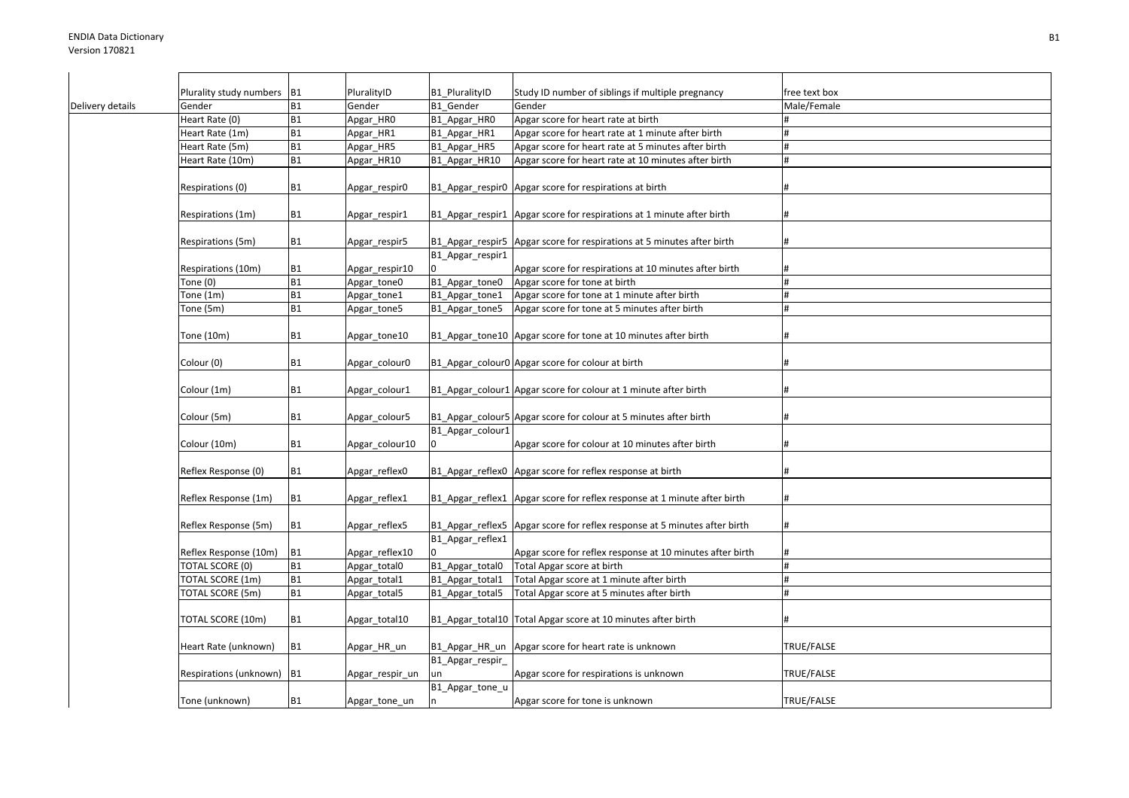|                  | Plurality study numbers B1 |           | PluralityID     | B1 PluralityID         | Study ID number of siblings if multiple pregnancy                           | free text box |
|------------------|----------------------------|-----------|-----------------|------------------------|-----------------------------------------------------------------------------|---------------|
| Delivery details | Gender                     | <b>B1</b> | Gender          | B1 Gender              | Gender                                                                      | Male/Female   |
|                  | Heart Rate (0)             | <b>B1</b> | Apgar_HRO       | B1_Apgar_HRO           | Apgar score for heart rate at birth                                         |               |
|                  | Heart Rate (1m)            | <b>B1</b> | Apgar_HR1       | B1_Apgar_HR1           | Apgar score for heart rate at 1 minute after birth                          |               |
|                  | Heart Rate (5m)            | <b>B1</b> | Apgar_HR5       | B1 Apgar HR5           | Apgar score for heart rate at 5 minutes after birth                         | #             |
|                  | Heart Rate (10m)           | <b>B1</b> | Apgar_HR10      | B1_Apgar_HR10          | Apgar score for heart rate at 10 minutes after birth                        | #             |
|                  | Respirations (0)           | <b>B1</b> | Apgar_respir0   |                        | B1_Apgar_respir0   Apgar score for respirations at birth                    |               |
|                  | Respirations (1m)          | <b>B1</b> | Apgar_respir1   |                        | B1 Apgar respir1 Apgar score for respirations at 1 minute after birth       | #             |
|                  | Respirations (5m)          | <b>B1</b> | Apgar_respir5   |                        | B1_Apgar_respir5   Apgar score for respirations at 5 minutes after birth    | #             |
|                  | Respirations (10m)         | <b>B1</b> | Apgar_respir10  | B1_Apgar_respir1       | Apgar score for respirations at 10 minutes after birth                      |               |
|                  | Tone (0)                   | <b>B1</b> | Apgar tone0     | B1_Apgar_tone0         | Apgar score for tone at birth                                               | #             |
|                  | Tone (1m)                  | <b>B1</b> | Apgar_tone1     | B1_Apgar_tone1         | Apgar score for tone at 1 minute after birth                                | #             |
|                  | Tone (5m)                  | <b>B1</b> | Apgar_tone5     | B1 Apgar tone5         | Apgar score for tone at 5 minutes after birth                               | #             |
|                  | Tone (10m)                 | <b>B1</b> | Apgar_tone10    |                        | B1_Apgar_tone10   Apgar score for tone at 10 minutes after birth            |               |
|                  | Colour (0)                 | <b>B1</b> | Apgar_colour0   |                        | B1_Apgar_colour0 Apgar score for colour at birth                            |               |
|                  | Colour (1m)                | <b>B1</b> | Apgar_colour1   |                        | B1_Apgar_colour1   Apgar score for colour at 1 minute after birth           |               |
|                  | Colour (5m)                | <b>B1</b> | Apgar_colour5   | B1 Apgar colour1       | B1_Apgar_colour5 Apgar score for colour at 5 minutes after birth            |               |
|                  | Colour (10m)               | <b>B1</b> | Apgar_colour10  |                        | Apgar score for colour at 10 minutes after birth                            |               |
|                  | Reflex Response (0)        | <b>B1</b> | Apgar_reflex0   |                        | B1_Apgar_reflex0   Apgar score for reflex response at birth                 |               |
|                  | Reflex Response (1m)       | <b>B1</b> | Apgar_reflex1   |                        | B1_Apgar_reflex1   Apgar score for reflex response at 1 minute after birth  | #             |
|                  | Reflex Response (5m)       | <b>B1</b> | Apgar_reflex5   |                        | B1_Apgar_reflex5   Apgar score for reflex response at 5 minutes after birth | #             |
|                  | Reflex Response (10m)      | <b>B1</b> | Apgar_reflex10  | B1_Apgar_reflex1       | Apgar score for reflex response at 10 minutes after birth                   | #             |
|                  | <b>TOTAL SCORE (0)</b>     | <b>B1</b> | Apgar_total0    | B1_Apgar_total0        | Total Apgar score at birth                                                  | #             |
|                  | TOTAL SCORE (1m)           | <b>B1</b> | Apgar total1    | B1 Apgar total1        | Total Apgar score at 1 minute after birth                                   | #             |
|                  | TOTAL SCORE (5m)           | <b>B1</b> | Apgar_total5    | B1_Apgar_total5        | Total Apgar score at 5 minutes after birth                                  | #             |
|                  | TOTAL SCORE (10m)          | <b>B1</b> | Apgar_total10   |                        | B1_Apgar_total10  Total Apgar score at 10 minutes after birth               |               |
|                  | Heart Rate (unknown)       | <b>B1</b> | Apgar_HR_un     |                        | B1 Apgar HR un Apgar score for heart rate is unknown                        | TRUE/FALSE    |
|                  | Respirations (unknown)     | <b>B1</b> | Apgar_respir_un | B1_Apgar_respir_<br>un | Apgar score for respirations is unknown                                     | TRUE/FALSE    |
|                  | Tone (unknown)             | <b>B1</b> | Apgar_tone_un   | B1_Apgar_tone_u        | Apgar score for tone is unknown                                             | TRUE/FALSE    |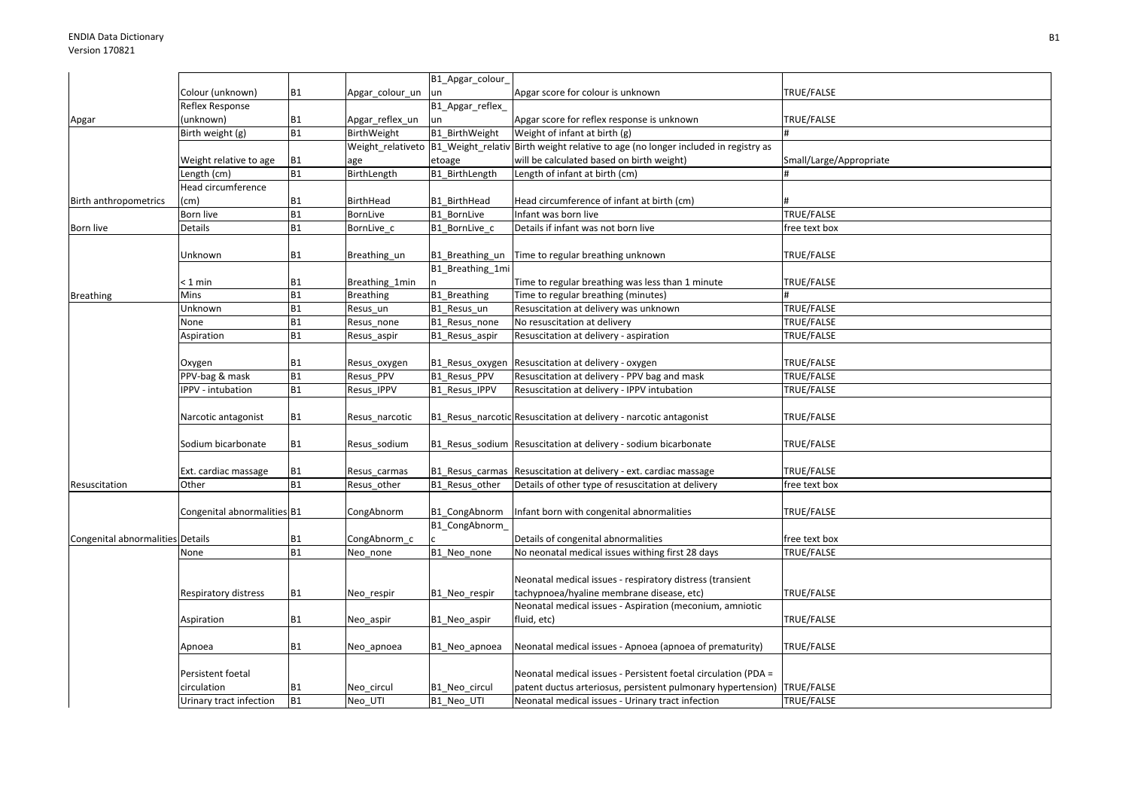|                                  |                             |           |                  | B1_Apgar_colour_    |                                                                                                      |                         |
|----------------------------------|-----------------------------|-----------|------------------|---------------------|------------------------------------------------------------------------------------------------------|-------------------------|
|                                  | Colour (unknown)            | <b>B1</b> | Apgar_colour_un  | un                  | Apgar score for colour is unknown                                                                    | TRUE/FALSE              |
|                                  | Reflex Response             |           |                  | B1_Apgar_reflex_    |                                                                                                      |                         |
| Apgar                            | (unknown)                   | <b>B1</b> | Apgar_reflex_un  | un                  | Apgar score for reflex response is unknown                                                           | TRUE/FALSE              |
|                                  | Birth weight (g)            | <b>B1</b> | BirthWeight      | B1_BirthWeight      | Weight of infant at birth (g)                                                                        |                         |
|                                  |                             |           |                  |                     | Weight_relativeto  B1_Weight_relativ Birth weight relative to age (no longer included in registry as |                         |
|                                  | Weight relative to age      | <b>B1</b> | age              | etoage              | will be calculated based on birth weight)                                                            | Small/Large/Appropriate |
|                                  | Length (cm)                 | <b>B1</b> | BirthLength      | B1_BirthLength      | Length of infant at birth (cm)                                                                       |                         |
|                                  | Head circumference          |           |                  |                     |                                                                                                      |                         |
| Birth anthropometrics            | (cm)                        | <b>B1</b> | BirthHead        | B1 BirthHead        | Head circumference of infant at birth (cm)                                                           |                         |
|                                  | Born live                   | <b>B1</b> | <b>BornLive</b>  | B1 BornLive         | Infant was born live                                                                                 | <b>TRUE/FALSE</b>       |
| Born live                        | Details                     | <b>B1</b> | BornLive_c       | B1 BornLive c       | Details if infant was not born live                                                                  | free text box           |
|                                  | Unknown                     | <b>B1</b> | Breathing_un     | B1_Breathing_un     | Time to regular breathing unknown                                                                    | TRUE/FALSE              |
|                                  |                             |           |                  | B1 Breathing 1mi    |                                                                                                      |                         |
|                                  | < 1 min                     | <b>B1</b> | Breathing 1min   |                     | Time to regular breathing was less than 1 minute                                                     | TRUE/FALSE              |
| <b>Breathing</b>                 | Mins                        | <b>B1</b> | <b>Breathing</b> | <b>B1</b> Breathing | Time to regular breathing (minutes)                                                                  |                         |
|                                  | Unknown                     | <b>B1</b> | Resus un         | B1_Resus_un         | Resuscitation at delivery was unknown                                                                | TRUE/FALSE              |
|                                  | None                        | <b>B1</b> | Resus_none       | B1_Resus_none       | No resuscitation at delivery                                                                         | TRUE/FALSE              |
|                                  | Aspiration                  | <b>B1</b> | Resus_aspir      | B1_Resus_aspir      | Resuscitation at delivery - aspiration                                                               | TRUE/FALSE              |
|                                  | Oxygen                      | <b>B1</b> | Resus_oxygen     | B1_Resus_oxygen     | Resuscitation at delivery - oxygen                                                                   | TRUE/FALSE              |
|                                  | PPV-bag & mask              | <b>B1</b> | Resus PPV        | B1 Resus PPV        | Resuscitation at delivery - PPV bag and mask                                                         | TRUE/FALSE              |
|                                  | <b>IPPV</b> - intubation    | <b>B1</b> | Resus_IPPV       | B1_Resus_IPPV       | Resuscitation at delivery - IPPV intubation                                                          | TRUE/FALSE              |
|                                  | Narcotic antagonist         | <b>B1</b> | Resus_narcotic   |                     | B1_Resus_narcotic Resuscitation at delivery - narcotic antagonist                                    | TRUE/FALSE              |
|                                  | Sodium bicarbonate          | <b>B1</b> | Resus sodium     |                     | B1 Resus sodium Resuscitation at delivery - sodium bicarbonate                                       | TRUE/FALSE              |
|                                  | Ext. cardiac massage        | <b>B1</b> | Resus carmas     |                     | B1 Resus carmas Resuscitation at delivery - ext. cardiac massage                                     | TRUE/FALSE              |
| Resuscitation                    | Other                       | <b>B1</b> | Resus_other      | B1_Resus_other      | Details of other type of resuscitation at delivery                                                   | free text box           |
|                                  | Congenital abnormalities B1 |           | CongAbnorm       | B1_CongAbnorm       | Infant born with congenital abnormalities                                                            | TRUE/FALSE              |
|                                  |                             |           |                  | B1 CongAbnorm       |                                                                                                      |                         |
| Congenital abnormalities Details |                             | <b>B1</b> | CongAbnorm_c     |                     | Details of congenital abnormalities                                                                  | free text box           |
|                                  | None                        | <b>B1</b> | Neo none         | B1 Neo none         | No neonatal medical issues withing first 28 days                                                     | TRUE/FALSE              |
|                                  |                             |           |                  |                     | Neonatal medical issues - respiratory distress (transient                                            |                         |
|                                  | Respiratory distress        | <b>B1</b> | Neo_respir       | B1_Neo_respir       | tachypnoea/hyaline membrane disease, etc)                                                            | TRUE/FALSE              |
|                                  | Aspiration                  | <b>B1</b> | Neo aspir        | B1_Neo_aspir        | Neonatal medical issues - Aspiration (meconium, amniotic<br>fluid, etc)                              | TRUE/FALSE              |
|                                  | Apnoea                      | <b>B1</b> | Neo apnoea       | B1_Neo_apnoea       | Neonatal medical issues - Apnoea (apnoea of prematurity)                                             | TRUE/FALSE              |
|                                  |                             |           |                  |                     |                                                                                                      |                         |
|                                  | Persistent foetal           |           |                  |                     | Neonatal medical issues - Persistent foetal circulation (PDA =                                       |                         |
|                                  | circulation                 | <b>B1</b> | Neo circul       | B1 Neo circul       | patent ductus arteriosus, persistent pulmonary hypertension)                                         | TRUE/FALSE              |
|                                  | Urinary tract infection     | <b>B1</b> | Neo UTI          | B1_Neo_UTI          | Neonatal medical issues - Urinary tract infection                                                    | TRUE/FALSE              |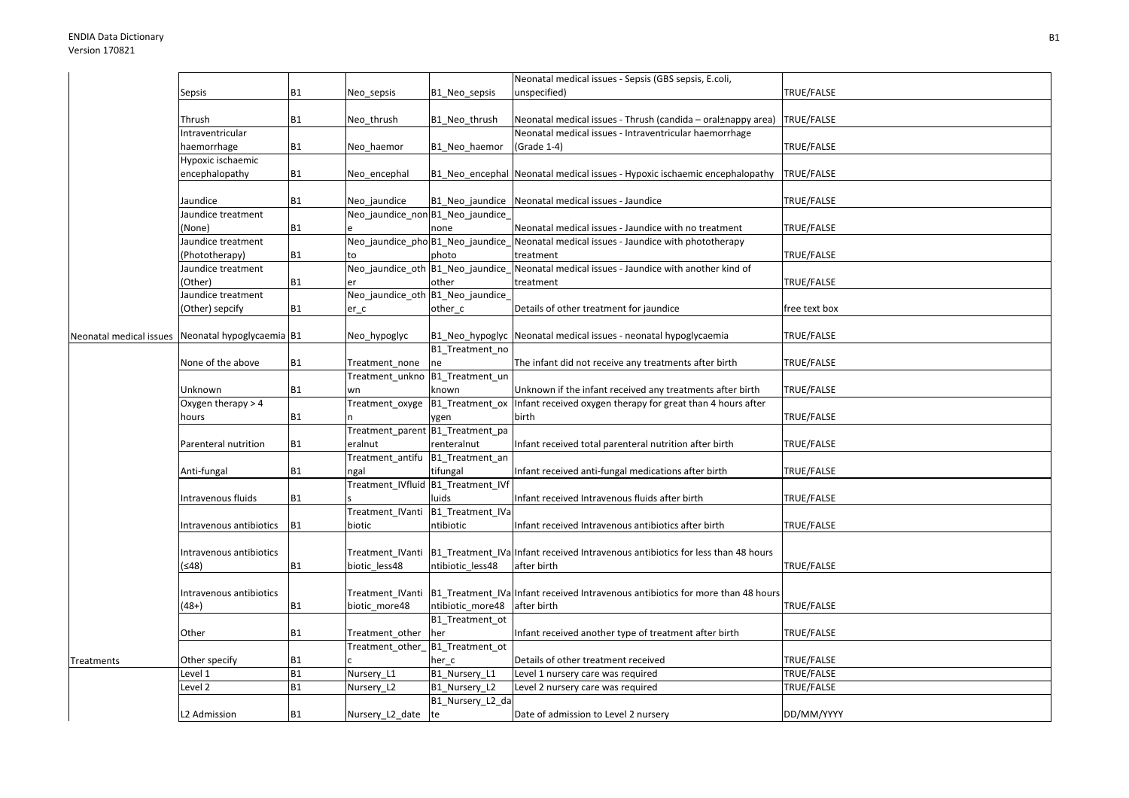|                         |                           |           |                                  |                                    | Neonatal medical issues - Sepsis (GBS sepsis, E.coli,                           |               |
|-------------------------|---------------------------|-----------|----------------------------------|------------------------------------|---------------------------------------------------------------------------------|---------------|
|                         | Sepsis                    | <b>B1</b> | Neo_sepsis                       | B1 Neo sepsis                      | unspecified)                                                                    | TRUE/FALSE    |
|                         |                           |           |                                  |                                    |                                                                                 |               |
|                         | Thrush                    | <b>B1</b> | Neo thrush                       | B1_Neo_thrush                      | Neonatal medical issues - Thrush (candida – oral±nappy area)                    | TRUE/FALSE    |
|                         | Intraventricular          |           |                                  |                                    | Neonatal medical issues - Intraventricular haemorrhage                          |               |
|                         | haemorrhage               | <b>B1</b> | Neo haemor                       | B1 Neo_haemor                      | (Grade 1-4)                                                                     | TRUE/FALSE    |
|                         | Hypoxic ischaemic         |           |                                  |                                    |                                                                                 |               |
|                         | encephalopathy            | <b>B1</b> | Neo encephal                     |                                    | B1_Neo_encephal   Neonatal medical issues - Hypoxic ischaemic encephalopathy    | TRUE/FALSE    |
|                         | Jaundice                  | <b>B1</b> | Neo jaundice                     | B1_Neo_jaundice                    | Neonatal medical issues - Jaundice                                              | TRUE/FALSE    |
|                         | Jaundice treatment        |           | Neo_jaundice_non B1_Neo_jaundice |                                    |                                                                                 |               |
|                         | (None)                    | <b>B1</b> |                                  | none                               | Neonatal medical issues - Jaundice with no treatment                            | TRUE/FALSE    |
|                         | Jaundice treatment        |           | Neo_jaundice_phoB1_Neo_jaundice  |                                    | Neonatal medical issues - Jaundice with phototherapy                            |               |
|                         | (Phototherapy)            | <b>B1</b> |                                  | photo                              | treatment                                                                       | TRUE/FALSE    |
|                         | laundice treatment        |           |                                  | Neo_jaundice_oth B1_Neo_jaundice_  | Neonatal medical issues - Jaundice with another kind of                         |               |
|                         | (Other)                   | <b>B1</b> | er                               | other                              | treatment                                                                       | TRUE/FALSE    |
|                         | Jaundice treatment        |           | Neo_jaundice_oth B1_Neo_jaundice |                                    |                                                                                 |               |
|                         |                           | <b>B1</b> |                                  |                                    |                                                                                 | free text box |
|                         | (Other) sepcify           |           | er c                             | other_c                            | Details of other treatment for jaundice                                         |               |
| Neonatal medical issues | Neonatal hypoglycaemia B1 |           | Neo_hypoglyc                     | B1_Neo_hypoglyc                    | Neonatal medical issues - neonatal hypoglycaemia                                | TRUE/FALSE    |
|                         |                           |           |                                  | B1 Treatment no                    |                                                                                 |               |
|                         | None of the above         | <b>B1</b> | Treatment none                   | ne                                 | The infant did not receive any treatments after birth                           | TRUE/FALSE    |
|                         |                           |           | Treatment_unkno B1_Treatment_un  |                                    |                                                                                 |               |
|                         | Unknown                   | <b>B1</b> | wn                               | known                              | Unknown if the infant received any treatments after birth                       | TRUE/FALSE    |
|                         | Oxygen therapy > 4        |           | Treatment_oxyge                  |                                    | B1 Treatment ox Infant received oxygen therapy for great than 4 hours after     |               |
|                         | hours                     | <b>B1</b> |                                  | ygen                               | birth                                                                           | TRUE/FALSE    |
|                         |                           |           |                                  | Treatment_parent B1_Treatment_pa   |                                                                                 |               |
|                         | Parenteral nutrition      | <b>B1</b> | eralnut                          | renteralnut                        | Infant received total parenteral nutrition after birth                          | TRUE/FALSE    |
|                         |                           |           | Treatment_antifu                 | B1_Treatment_an                    |                                                                                 |               |
|                         | Anti-fungal               | <b>B1</b> | ngal                             | tifungal                           | Infant received anti-fungal medications after birth                             | TRUE/FALSE    |
|                         |                           |           |                                  | Treatment_IVfluid B1_Treatment_IVf |                                                                                 |               |
|                         | Intravenous fluids        | <b>B1</b> |                                  | luids                              | Infant received Intravenous fluids after birth                                  | TRUE/FALSE    |
|                         |                           |           | Treatment IVanti                 | B1 Treatment IVa                   |                                                                                 |               |
|                         | Intravenous antibiotics   | <b>B1</b> | biotic                           | ntibiotic                          | Infant received Intravenous antibiotics after birth                             | TRUE/FALSE    |
|                         |                           |           |                                  |                                    |                                                                                 |               |
|                         |                           |           |                                  |                                    |                                                                                 |               |
|                         | Intravenous antibiotics   |           | Treatment_IVanti                 |                                    | B1_Treatment_IVa Infant received Intravenous antibiotics for less than 48 hours |               |
|                         | (≤48)                     | <b>B1</b> | biotic_less48                    | ntibiotic less48                   | after birth                                                                     | TRUE/FALSE    |
|                         | Intravenous antibiotics   |           | Treatment_IVanti                 |                                    | B1_Treatment_IVa Infant received Intravenous antibiotics for more than 48 hours |               |
|                         | (48+)                     | <b>B1</b> | biotic_more48                    | ntibiotic_more48                   | after birth                                                                     | TRUE/FALSE    |
|                         |                           |           |                                  | B1_Treatment_ot                    |                                                                                 |               |
|                         | Other                     | <b>B1</b> | Treatment_other                  | her                                | Infant received another type of treatment after birth                           | TRUE/FALSE    |
|                         |                           |           | Treatment_other_                 | B1 Treatment ot                    |                                                                                 |               |
| Treatments              | Other specify             | <b>B1</b> |                                  | her c                              | Details of other treatment received                                             | TRUE/FALSE    |
|                         | Level 1                   | <b>B1</b> | Nursery_L1                       | B1 Nursery L1                      | Level 1 nursery care was required                                               | TRUE/FALSE    |
|                         | Level 2                   | <b>B1</b> | Nursery_L2                       | B1 Nursery L2                      | Level 2 nursery care was required                                               | TRUE/FALSE    |
|                         |                           |           |                                  | B1_Nursery_L2_da                   |                                                                                 |               |
|                         |                           |           |                                  |                                    |                                                                                 |               |
|                         | L2 Admission              | <b>B1</b> | Nursery_L2_date te               |                                    | Date of admission to Level 2 nursery                                            | DD/MM/YYYY    |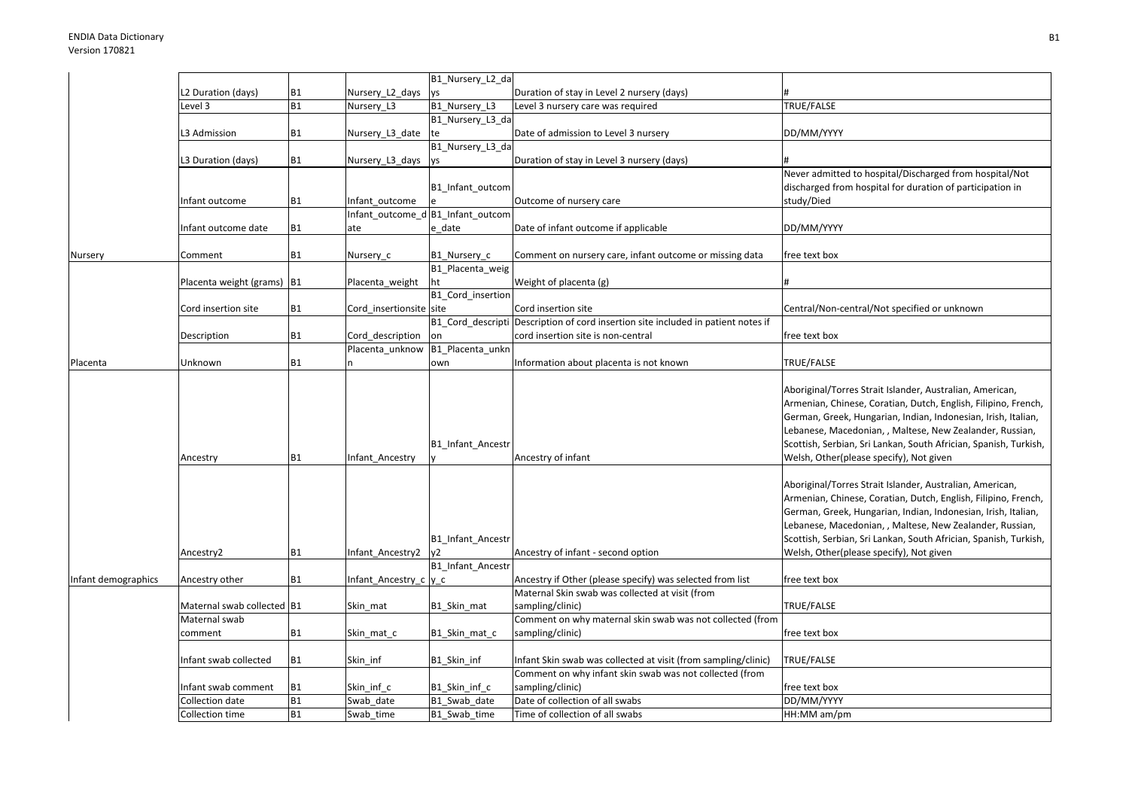|                     |                            |           |                         | B1_Nursery_L2_da                                         |                                                                                   |                                                                                                                                                                                                                                                                                                                                                                        |
|---------------------|----------------------------|-----------|-------------------------|----------------------------------------------------------|-----------------------------------------------------------------------------------|------------------------------------------------------------------------------------------------------------------------------------------------------------------------------------------------------------------------------------------------------------------------------------------------------------------------------------------------------------------------|
|                     | L2 Duration (days)         | <b>B1</b> | Nursery_L2_days         | ys                                                       | Duration of stay in Level 2 nursery (days)                                        |                                                                                                                                                                                                                                                                                                                                                                        |
|                     | Level 3                    | <b>B1</b> | Nursery_L3              | B1_Nursery_L3                                            | Level 3 nursery care was required                                                 | TRUE/FALSE                                                                                                                                                                                                                                                                                                                                                             |
|                     |                            |           |                         | B1_Nursery_L3_da                                         |                                                                                   |                                                                                                                                                                                                                                                                                                                                                                        |
|                     | L3 Admission               | <b>B1</b> | Nursery_L3_date         | Ite                                                      | Date of admission to Level 3 nursery                                              | DD/MM/YYYY                                                                                                                                                                                                                                                                                                                                                             |
|                     |                            |           |                         | B1_Nursery_L3_da                                         |                                                                                   |                                                                                                                                                                                                                                                                                                                                                                        |
|                     | L3 Duration (days)         | <b>B1</b> | Nursery_L3_days ys      |                                                          | Duration of stay in Level 3 nursery (days)                                        |                                                                                                                                                                                                                                                                                                                                                                        |
|                     |                            |           |                         |                                                          |                                                                                   | Never admitted to hospital/Discharged from hospital/Not                                                                                                                                                                                                                                                                                                                |
|                     |                            |           |                         | B1_Infant_outcom                                         |                                                                                   | discharged from hospital for duration of participation in                                                                                                                                                                                                                                                                                                              |
|                     | Infant outcome             | <b>B1</b> | Infant outcome          |                                                          | Outcome of nursery care                                                           | study/Died                                                                                                                                                                                                                                                                                                                                                             |
|                     |                            |           |                         | Infant outcome d B1 Infant outcom                        |                                                                                   |                                                                                                                                                                                                                                                                                                                                                                        |
|                     | Infant outcome date        | <b>B1</b> | ate                     | e date                                                   | Date of infant outcome if applicable                                              | DD/MM/YYYY                                                                                                                                                                                                                                                                                                                                                             |
|                     |                            |           |                         |                                                          |                                                                                   |                                                                                                                                                                                                                                                                                                                                                                        |
| Nursery             | Comment                    | <b>B1</b> | Nursery_c               | B1 Nursery c                                             | Comment on nursery care, infant outcome or missing data                           | free text box                                                                                                                                                                                                                                                                                                                                                          |
|                     |                            |           |                         | B1_Placenta_weig                                         |                                                                                   |                                                                                                                                                                                                                                                                                                                                                                        |
|                     | Placenta weight (grams)    | <b>B1</b> | Placenta_weight         | ht                                                       | Weight of placenta (g)                                                            |                                                                                                                                                                                                                                                                                                                                                                        |
|                     |                            |           |                         | B1 Cord insertion                                        |                                                                                   |                                                                                                                                                                                                                                                                                                                                                                        |
|                     | Cord insertion site        | <b>B1</b> | Cord insertionsite site |                                                          | Cord insertion site                                                               | Central/Non-central/Not specified or unknown                                                                                                                                                                                                                                                                                                                           |
|                     |                            |           |                         |                                                          | B1_Cord_descripti Description of cord insertion site included in patient notes if |                                                                                                                                                                                                                                                                                                                                                                        |
|                     | Description                | <b>B1</b> | Cord_description        | on                                                       | cord insertion site is non-central                                                | free text box                                                                                                                                                                                                                                                                                                                                                          |
|                     |                            |           | Placenta_unknow         | B1_Placenta_unkn                                         |                                                                                   |                                                                                                                                                                                                                                                                                                                                                                        |
| Placenta            | Unknown                    | <b>B1</b> |                         | own                                                      | Information about placenta is not known                                           | TRUE/FALSE                                                                                                                                                                                                                                                                                                                                                             |
|                     | Ancestry                   | <b>B1</b> | Infant Ancestry         | <b>B1 Infant Ancestr</b>                                 | Ancestry of infant                                                                | Aboriginal/Torres Strait Islander, Australian, American,<br>Armenian, Chinese, Coratian, Dutch, English, Filipino, French,<br>German, Greek, Hungarian, Indian, Indonesian, Irish, Italian,<br>Lebanese, Macedonian, , Maltese, New Zealander, Russian,<br>Scottish, Serbian, Sri Lankan, South Africian, Spanish, Turkish,<br>Welsh, Other(please specify), Not given |
|                     | Ancestry2                  | <b>B1</b> | Infant Ancestry2        | B1 Infant Ancestr<br>v <sub>2</sub><br>B1 Infant Ancestr | Ancestry of infant - second option                                                | Aboriginal/Torres Strait Islander, Australian, American,<br>Armenian, Chinese, Coratian, Dutch, English, Filipino, French,<br>German, Greek, Hungarian, Indian, Indonesian, Irish, Italian,<br>Lebanese, Macedonian, , Maltese, New Zealander, Russian,<br>Scottish, Serbian, Sri Lankan, South Africian, Spanish, Turkish,<br>Welsh, Other(please specify), Not given |
| Infant demographics | Ancestry other             | <b>B1</b> | Infant Ancestry c y c   |                                                          | Ancestry if Other (please specify) was selected from list                         | free text box                                                                                                                                                                                                                                                                                                                                                          |
|                     |                            |           |                         |                                                          | Maternal Skin swab was collected at visit (from                                   |                                                                                                                                                                                                                                                                                                                                                                        |
|                     | Maternal swab collected B1 |           | Skin mat                | B1 Skin mat                                              | sampling/clinic)                                                                  | TRUE/FALSE                                                                                                                                                                                                                                                                                                                                                             |
|                     | Maternal swab              |           |                         |                                                          | Comment on why maternal skin swab was not collected (from                         |                                                                                                                                                                                                                                                                                                                                                                        |
|                     | comment                    | <b>B1</b> | Skin mat c              | B1 Skin mat c                                            | sampling/clinic)                                                                  | free text box                                                                                                                                                                                                                                                                                                                                                          |
|                     |                            |           |                         |                                                          |                                                                                   |                                                                                                                                                                                                                                                                                                                                                                        |
|                     | Infant swab collected      | <b>B1</b> | Skin inf                | B1_Skin_inf                                              | Infant Skin swab was collected at visit (from sampling/clinic)                    | TRUE/FALSE                                                                                                                                                                                                                                                                                                                                                             |
|                     |                            |           |                         |                                                          | Comment on why infant skin swab was not collected (from                           |                                                                                                                                                                                                                                                                                                                                                                        |
|                     | Infant swab comment        | <b>B1</b> | Skin inf c              | B1 Skin inf c                                            | sampling/clinic)                                                                  | free text box                                                                                                                                                                                                                                                                                                                                                          |
|                     | Collection date            | <b>B1</b> | Swab date               | B1 Swab date                                             | Date of collection of all swabs                                                   | DD/MM/YYYY                                                                                                                                                                                                                                                                                                                                                             |
|                     | Collection time            | <b>B1</b> | Swab time               | B1 Swab time                                             | Time of collection of all swabs                                                   | HH:MM am/pm                                                                                                                                                                                                                                                                                                                                                            |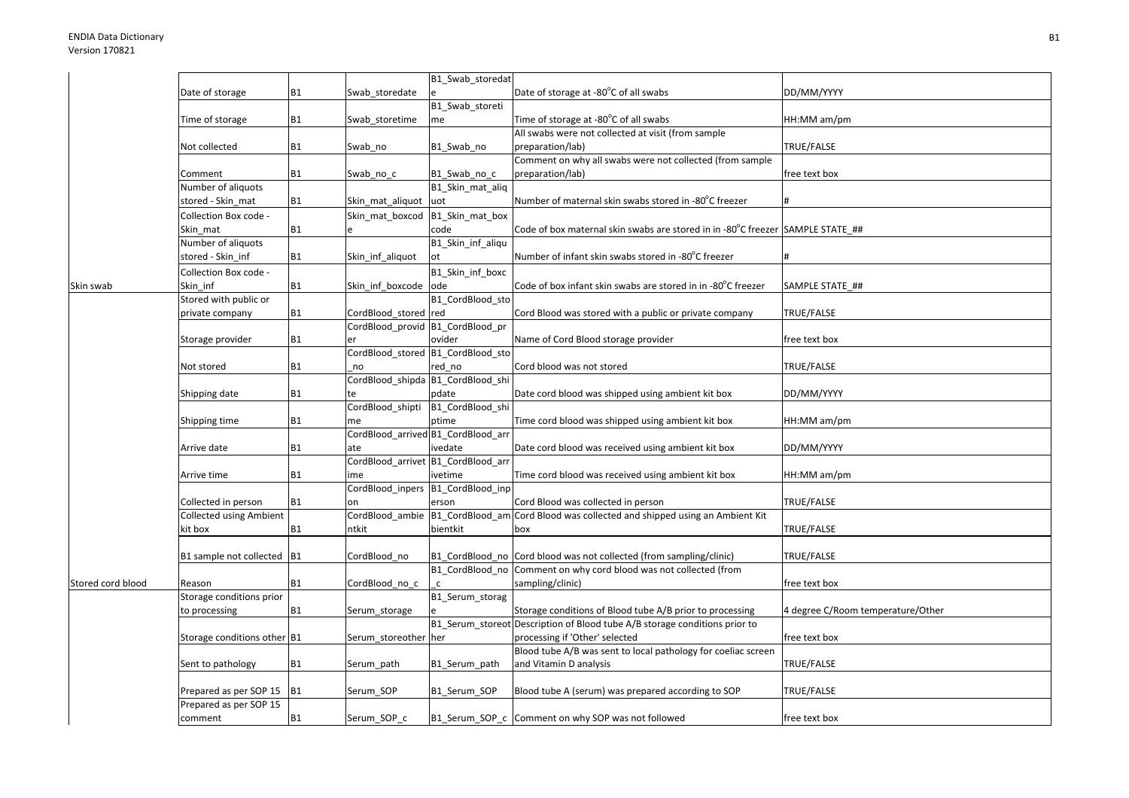|                   |                                |                |                                    | B1_Swab_storedat                  |                                                                                          |                                   |
|-------------------|--------------------------------|----------------|------------------------------------|-----------------------------------|------------------------------------------------------------------------------------------|-----------------------------------|
|                   | Date of storage                | <b>B1</b>      | Swab_storedate                     |                                   | Date of storage at -80°C of all swabs                                                    | DD/MM/YYYY                        |
|                   |                                |                |                                    | B1_Swab_storeti                   |                                                                                          |                                   |
|                   | Time of storage                | <b>B1</b>      | Swab_storetime                     | me                                | Time of storage at -80°C of all swabs                                                    | HH:MM am/pm                       |
|                   |                                |                |                                    |                                   | All swabs were not collected at visit (from sample                                       |                                   |
|                   | Not collected                  | <b>B1</b>      | Swab_no                            | B1 Swab no                        | preparation/lab)                                                                         | TRUE/FALSE                        |
|                   |                                |                |                                    |                                   | Comment on why all swabs were not collected (from sample                                 |                                   |
|                   | Comment                        | <b>B1</b>      | Swab no c                          | B1 Swab no c                      | preparation/lab)                                                                         | free text box                     |
|                   | Number of aliquots             |                |                                    | B1 Skin mat aliq                  |                                                                                          |                                   |
|                   | stored - Skin mat              | <b>B1</b>      | Skin mat aliquot                   | uot                               | Number of maternal skin swabs stored in -80°C freezer                                    |                                   |
|                   | Collection Box code -          |                | Skin mat boxcod                    | B1 Skin mat box                   |                                                                                          |                                   |
|                   | Skin mat                       | <b>B1</b>      |                                    | code                              | Code of box maternal skin swabs are stored in in -80 $\degree$ C freezer SAMPLE STATE ## |                                   |
|                   | Number of aliquots             |                |                                    | B1_Skin_inf_aliqu                 |                                                                                          |                                   |
|                   | stored - Skin inf              | <b>B1</b>      | Skin_inf_aliquot                   | ot                                | Number of infant skin swabs stored in -80°C freezer                                      |                                   |
|                   | Collection Box code -          |                |                                    | B1_Skin_inf_boxc                  |                                                                                          |                                   |
| Skin swab         | Skin inf                       | <b>B1</b>      | Skin_inf_boxcode                   | ode                               | Code of box infant skin swabs are stored in in -80°C freezer                             | SAMPLE STATE ##                   |
|                   | Stored with public or          |                |                                    | B1 CordBlood sto                  |                                                                                          |                                   |
|                   | private company                | <b>B1</b>      | CordBlood_stored red               |                                   | Cord Blood was stored with a public or private company                                   | TRUE/FALSE                        |
|                   |                                |                | CordBlood_provid B1_CordBlood_pr   |                                   |                                                                                          |                                   |
|                   | Storage provider               | <b>B1</b>      | er                                 | ovider                            | Name of Cord Blood storage provider                                                      | free text box                     |
|                   |                                |                |                                    | CordBlood stored B1 CordBlood sto |                                                                                          |                                   |
|                   | Not stored                     | <b>B1</b>      | no                                 | red no                            | Cord blood was not stored                                                                | TRUE/FALSE                        |
|                   |                                |                |                                    | CordBlood_shipda B1_CordBlood_shi |                                                                                          |                                   |
|                   | Shipping date                  | <b>B1</b>      |                                    | pdate                             | Date cord blood was shipped using ambient kit box                                        | DD/MM/YYYY                        |
|                   |                                |                | CordBlood shipti                   | B1_CordBlood_shi                  |                                                                                          |                                   |
|                   | Shipping time                  | <b>B1</b>      | me                                 | ptime                             | Time cord blood was shipped using ambient kit box                                        | HH:MM am/pm                       |
|                   |                                |                | CordBlood_arrived B1_CordBlood_arr |                                   |                                                                                          |                                   |
|                   | Arrive date                    | <b>B1</b>      | ate                                | ivedate                           | Date cord blood was received using ambient kit box                                       | DD/MM/YYYY                        |
|                   |                                |                | CordBlood arrivet B1 CordBlood arr |                                   |                                                                                          |                                   |
|                   | Arrive time                    | <b>B1</b>      | ime                                | ivetime                           | Time cord blood was received using ambient kit box                                       | HH:MM am/pm                       |
|                   |                                |                | CordBlood_inpers                   | B1_CordBlood_inp                  |                                                                                          |                                   |
|                   | Collected in person            | <b>B1</b>      | on                                 | erson                             | Cord Blood was collected in person                                                       | TRUE/FALSE                        |
|                   | <b>Collected using Ambient</b> |                | CordBlood_ambie                    |                                   | B1 CordBlood am Cord Blood was collected and shipped using an Ambient Kit                |                                   |
|                   | kit box                        | <b>B1</b>      | ntkit                              | bientkit                          | box                                                                                      | TRUE/FALSE                        |
|                   | B1 sample not collected        | B <sub>1</sub> | CordBlood no                       |                                   | B1_CordBlood_no Cord blood was not collected (from sampling/clinic)                      | TRUE/FALSE                        |
|                   |                                |                |                                    |                                   | B1 CordBlood no Comment on why cord blood was not collected (from                        |                                   |
| Stored cord blood | Reason                         | <b>B1</b>      | CordBlood_no_c                     | $\mathsf{c}$                      | sampling/clinic)                                                                         | free text box                     |
|                   | Storage conditions prior       |                |                                    | B1_Serum_storag                   |                                                                                          |                                   |
|                   | to processing                  | <b>B1</b>      | Serum_storage                      |                                   | Storage conditions of Blood tube A/B prior to processing                                 | 4 degree C/Room temperature/Other |
|                   |                                |                |                                    |                                   | B1_Serum_storeot Description of Blood tube A/B storage conditions prior to               |                                   |
|                   | Storage conditions other B1    |                | Serum_storeother                   | her                               | processing if 'Other' selected                                                           | free text box                     |
|                   |                                |                |                                    |                                   | Blood tube A/B was sent to local pathology for coeliac screen                            |                                   |
|                   | Sent to pathology              | <b>B1</b>      | Serum_path                         | B1 Serum path                     | and Vitamin D analysis                                                                   | TRUE/FALSE                        |
|                   |                                |                |                                    |                                   |                                                                                          |                                   |
|                   | Prepared as per SOP 15         | <b>B1</b>      | Serum SOP                          | B1 Serum SOP                      | Blood tube A (serum) was prepared according to SOP                                       | TRUE/FALSE                        |
|                   | Prepared as per SOP 15         |                |                                    |                                   |                                                                                          |                                   |
|                   | comment                        | <b>B1</b>      | Serum SOP c                        |                                   | B1_Serum_SOP_c Comment on why SOP was not followed                                       | free text box                     |
|                   |                                |                |                                    |                                   |                                                                                          |                                   |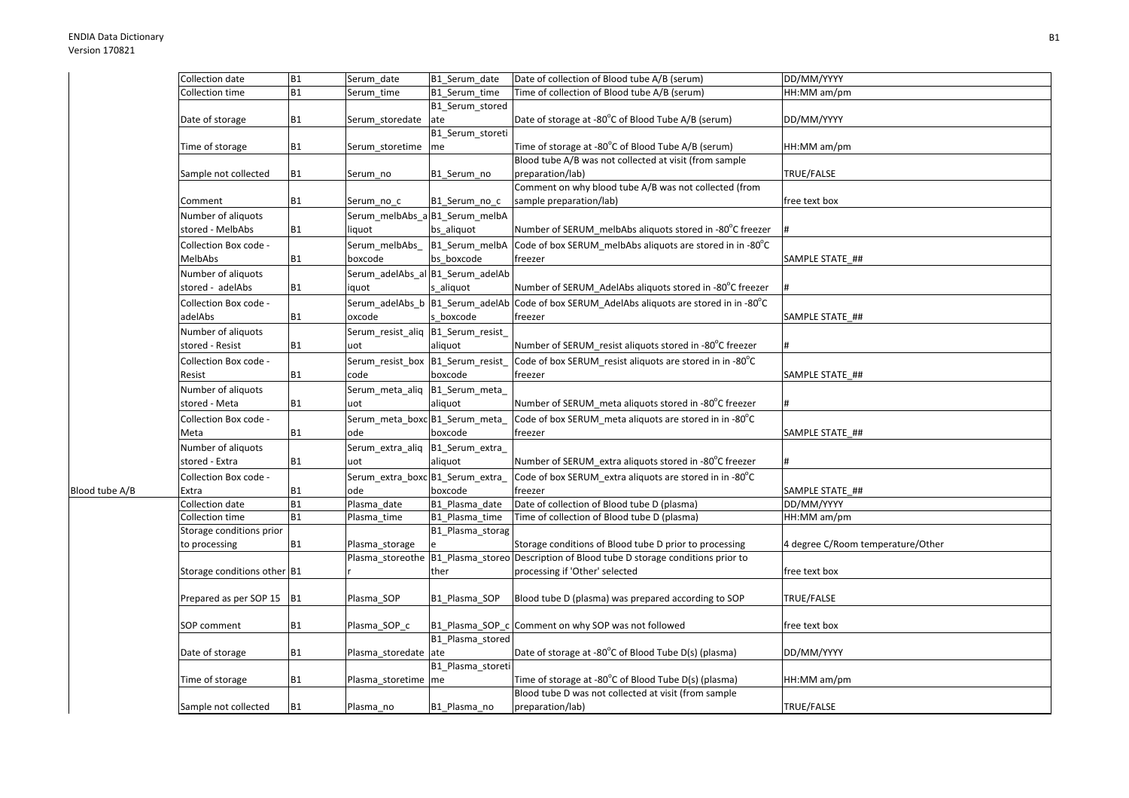Blood tube A/B

| Collection date             | <b>B1</b> | Serum_date                         | B1_Serum_date                    | Date of collection of Blood tube A/B (serum)                                              | DD/MM/YYYY                        |
|-----------------------------|-----------|------------------------------------|----------------------------------|-------------------------------------------------------------------------------------------|-----------------------------------|
| Collection time             | <b>B1</b> | Serum time                         | B1 Serum time                    | Time of collection of Blood tube A/B (serum)                                              | HH:MM am/pm                       |
|                             |           |                                    | B1 Serum stored                  |                                                                                           |                                   |
| Date of storage             | <b>B1</b> | Serum_storedate                    | ate                              | Date of storage at -80°C of Blood Tube A/B (serum)                                        | DD/MM/YYYY                        |
|                             |           |                                    | B1 Serum storeti                 |                                                                                           |                                   |
| Time of storage             | <b>B1</b> | Serum storetime                    | me                               | Time of storage at -80°C of Blood Tube A/B (serum)                                        | HH:MM am/pm                       |
|                             |           |                                    |                                  | Blood tube A/B was not collected at visit (from sample                                    |                                   |
| Sample not collected        | <b>B1</b> | Serum_no                           | B1_Serum_no                      | preparation/lab)                                                                          | TRUE/FALSE                        |
|                             |           |                                    |                                  | Comment on why blood tube A/B was not collected (from                                     |                                   |
| Comment                     | <b>B1</b> | Serum no c                         | B1_Serum_no_c                    | sample preparation/lab)                                                                   | free text box                     |
|                             |           |                                    | Serum_melbAbs_a B1_Serum_melbA   |                                                                                           |                                   |
| Number of aliquots          |           |                                    |                                  |                                                                                           |                                   |
| stored - MelbAbs            | <b>B1</b> | liquot                             | bs aliquot                       | Number of SERUM melbAbs aliquots stored in -80°C freezer                                  | #                                 |
| Collection Box code -       |           | Serum_melbAbs_                     | B1_Serum_melbA                   | Code of box SERUM melbAbs aliquots are stored in in -80 $^{\circ}$ C                      |                                   |
| MelbAbs                     | <b>B1</b> | boxcode                            | bs boxcode                       | freezer                                                                                   | SAMPLE STATE ##                   |
| Number of aliquots          |           |                                    | Serum_adelAbs_al B1_Serum_adelAb |                                                                                           |                                   |
| stored - adelAbs            | <b>B1</b> | iquot                              | s aliquot                        | Number of SERUM AdelAbs aliquots stored in -80°C freezer                                  |                                   |
| Collection Box code -       |           |                                    | Serum_adelAbs_b B1_Serum_adelAb  | Code of box SERUM AdelAbs aliquots are stored in in -80°C                                 |                                   |
| adelAbs                     | <b>B1</b> | oxcode                             | s boxcode                        | freezer                                                                                   | SAMPLE STATE_##                   |
|                             |           |                                    |                                  |                                                                                           |                                   |
| Number of aliquots          |           | Serum_resist_aliq B1_Serum_resist_ |                                  |                                                                                           |                                   |
| stored - Resist             | <b>B1</b> | uot                                | aliquot                          | Number of SERUM resist aliquots stored in -80°C freezer                                   | l#                                |
| Collection Box code -       |           | Serum_resist_box B1_Serum_resist   |                                  | Code of box SERUM_resist aliquots are stored in in -80°C                                  |                                   |
| Resist                      | <b>B1</b> | code                               | boxcode                          | freezer                                                                                   | SAMPLE STATE ##                   |
| Number of aliquots          |           | Serum_meta_aliq                    | B1_Serum_meta_                   |                                                                                           |                                   |
| stored - Meta               | <b>B1</b> | uot                                | aliquot                          | Number of SERUM_meta aliquots stored in -80°C freezer                                     | #                                 |
| Collection Box code -       |           | Serum meta boxc B1 Serum meta      |                                  | Code of box SERUM meta aliquots are stored in in -80 $^{\circ}$ C                         |                                   |
| Meta                        | <b>B1</b> | ode                                | boxcode                          | freezer                                                                                   | SAMPLE STATE ##                   |
| Number of aliquots          |           | Serum_extra_aliq                   | B1_Serum_extra_                  |                                                                                           |                                   |
| stored - Extra              | <b>B1</b> | uot                                | aliquot                          | Number of SERUM extra aliquots stored in -80°C freezer                                    | #                                 |
|                             |           |                                    |                                  |                                                                                           |                                   |
| Collection Box code -       |           | Serum_extra_boxc B1_Serum_extra_   |                                  | Code of box SERUM_extra aliquots are stored in in -80°C                                   |                                   |
| Extra                       | <b>B1</b> | ode                                | boxcode                          | freezer                                                                                   | SAMPLE STATE ##                   |
| Collection date             | <b>B1</b> | Plasma date                        | B1 Plasma date                   | Date of collection of Blood tube D (plasma)                                               | DD/MM/YYYY                        |
| Collection time             | <b>B1</b> | Plasma time                        | B1_Plasma_time                   | Time of collection of Blood tube D (plasma)                                               | HH:MM am/pm                       |
| Storage conditions prior    |           |                                    | B1_Plasma_storag                 |                                                                                           |                                   |
| to processing               | <b>B1</b> | Plasma_storage                     |                                  | Storage conditions of Blood tube D prior to processing                                    | 4 degree C/Room temperature/Other |
|                             |           |                                    |                                  | Plasma storeothe B1 Plasma storeo Description of Blood tube D storage conditions prior to |                                   |
| Storage conditions other B1 |           |                                    | ther                             | processing if 'Other' selected                                                            | free text box                     |
|                             |           |                                    |                                  |                                                                                           |                                   |
| Prepared as per SOP 15      | <b>B1</b> | Plasma SOP                         | B1 Plasma SOP                    | Blood tube D (plasma) was prepared according to SOP                                       | TRUE/FALSE                        |
|                             |           |                                    |                                  |                                                                                           |                                   |
| SOP comment                 | <b>B1</b> | Plasma_SOP_c                       |                                  | B1_Plasma_SOP_c Comment on why SOP was not followed                                       | free text box                     |
|                             |           |                                    | B1_Plasma_stored                 |                                                                                           |                                   |
| Date of storage             | <b>B1</b> | Plasma_storedate ate               |                                  | Date of storage at -80°C of Blood Tube D(s) (plasma)                                      | DD/MM/YYYY                        |
|                             |           |                                    | B1_Plasma_storeti                |                                                                                           |                                   |
| Time of storage             | <b>B1</b> | Plasma_storetime me                |                                  | Time of storage at -80°C of Blood Tube D(s) (plasma)                                      | HH:MM am/pm                       |
|                             |           |                                    |                                  | Blood tube D was not collected at visit (from sample                                      |                                   |
| Sample not collected        | <b>B1</b> | Plasma no                          | B1 Plasma no                     | preparation/lab)                                                                          | TRUE/FALSE                        |
|                             |           |                                    |                                  |                                                                                           |                                   |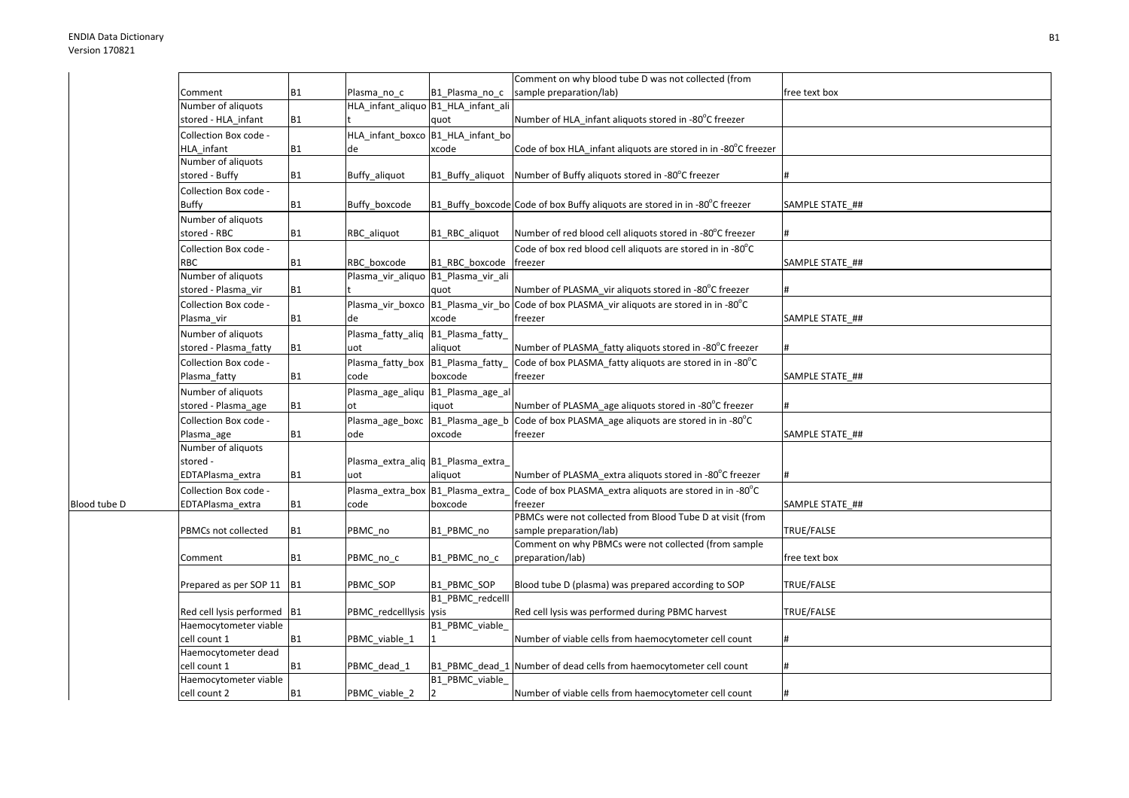Blood tube D

|                             |                |                                    |                                       | Comment on why blood tube D was not collected (from                                      |                 |
|-----------------------------|----------------|------------------------------------|---------------------------------------|------------------------------------------------------------------------------------------|-----------------|
| Comment                     | B <sub>1</sub> | Plasma no c                        | B1 Plasma no c                        | sample preparation/lab)                                                                  | free text box   |
| Number of aliquots          |                |                                    | HLA_infant_aliquo B1_HLA_infant_ali   |                                                                                          |                 |
| stored - HLA_infant         | <b>B1</b>      |                                    | quot                                  | Number of HLA infant aliquots stored in -80°C freezer                                    |                 |
| Collection Box code -       |                |                                    | HLA_infant_boxco B1_HLA_infant_bo     |                                                                                          |                 |
| HLA infant                  | <b>B1</b>      | de                                 | xcode                                 | Code of box HLA_infant aliquots are stored in in -80°C freezer                           |                 |
| Number of aliquots          |                |                                    |                                       |                                                                                          |                 |
| stored - Buffy              | <b>B1</b>      | Buffy aliquot                      | B1 Buffy aliquot                      | Number of Buffy aliquots stored in -80°C freezer                                         |                 |
| Collection Box code -       |                |                                    |                                       |                                                                                          |                 |
| Buffy                       | <b>B1</b>      | Buffy_boxcode                      |                                       | B1_Buffy_boxcode Code of box Buffy aliquots are stored in in -80°C freezer               | SAMPLE STATE ## |
| Number of aliquots          |                |                                    |                                       |                                                                                          |                 |
| stored - RBC                | <b>B1</b>      | RBC aliquot                        | B1_RBC_aliquot                        | Number of red blood cell aliquots stored in -80°C freezer                                |                 |
| Collection Box code -       |                |                                    |                                       | Code of box red blood cell aliquots are stored in in -80°C                               |                 |
| RBC                         | <b>B1</b>      | RBC boxcode                        | B1 RBC boxcode                        | freezer                                                                                  | SAMPLE STATE ## |
| Number of aliquots          |                |                                    | Plasma_vir_aliquo   B1_Plasma_vir_ali |                                                                                          |                 |
| stored - Plasma_vir         | <b>B1</b>      |                                    | quot                                  | Number of PLASMA vir aliquots stored in -80°C freezer                                    |                 |
| Collection Box code -       |                |                                    |                                       | Plasma_vir_boxco B1_Plasma_vir_bo Code of box PLASMA_vir aliquots are stored in in -80°C |                 |
| Plasma vir                  | <b>B1</b>      | de                                 | xcode                                 | freezer                                                                                  | SAMPLE STATE ## |
| Number of aliquots          |                | Plasma_fatty_aliq B1_Plasma_fatty_ |                                       |                                                                                          |                 |
| stored - Plasma_fatty       | <b>B1</b>      | uot                                | aliquot                               | Number of PLASMA_fatty aliquots stored in -80°C freezer                                  | #               |
|                             |                |                                    |                                       |                                                                                          |                 |
| Collection Box code -       |                | Plasma_fatty_box B1_Plasma_fatty_  |                                       | Code of box PLASMA_fatty aliquots are stored in in -80°C                                 |                 |
| Plasma_fatty                | <b>B1</b>      | code                               | boxcode                               | freezer                                                                                  | SAMPLE STATE ## |
| Number of aliquots          |                |                                    | Plasma_age_aliqu B1_Plasma_age_al     |                                                                                          |                 |
| stored - Plasma_age         | <b>B1</b>      | ot                                 | iquot                                 | Number of PLASMA age aliquots stored in -80°C freezer                                    |                 |
| Collection Box code -       |                | Plasma_age_boxc                    | B1_Plasma_age_b                       | Code of box PLASMA_age aliquots are stored in in -80°C                                   |                 |
| Plasma_age                  | <b>B1</b>      | ode                                | oxcode                                | freezer                                                                                  | SAMPLE STATE ## |
| Number of aliquots          |                |                                    |                                       |                                                                                          |                 |
| stored -                    |                | Plasma_extra_aliq B1_Plasma_extra_ |                                       |                                                                                          |                 |
| EDTAPlasma extra            | <b>B1</b>      | uot                                | aliquot                               | Number of PLASMA extra aliquots stored in -80°C freezer                                  |                 |
| Collection Box code -       |                | Plasma extra box B1 Plasma extra   |                                       | Code of box PLASMA extra aliquots are stored in in -80°C                                 |                 |
| EDTAPlasma_extra            | <b>B1</b>      | code                               | boxcode                               | freezer                                                                                  | SAMPLE STATE_## |
|                             |                |                                    |                                       | PBMCs were not collected from Blood Tube D at visit (from                                |                 |
| PBMCs not collected         | <b>B1</b>      | PBMC no                            | B1_PBMC_no                            | sample preparation/lab)                                                                  | TRUE/FALSE      |
|                             |                |                                    |                                       | Comment on why PBMCs were not collected (from sample                                     |                 |
| Comment                     | <b>B1</b>      | PBMC_no_c                          | B1_PBMC_no_c                          | preparation/lab)                                                                         | free text box   |
|                             |                |                                    |                                       |                                                                                          |                 |
| Prepared as per SOP 11 B1   |                | PBMC SOP                           | B1_PBMC_SOP                           | Blood tube D (plasma) was prepared according to SOP                                      | TRUE/FALSE      |
|                             |                |                                    | B1_PBMC_redcelll                      |                                                                                          |                 |
| Red cell lysis performed B1 |                | PBMC_redcelllysis ysis             |                                       | Red cell lysis was performed during PBMC harvest                                         | TRUE/FALSE      |
| Haemocytometer viable       |                |                                    | B1_PBMC_viable_                       |                                                                                          |                 |
| cell count 1                | <b>B1</b>      | PBMC_viable_1                      |                                       | Number of viable cells from haemocytometer cell count                                    |                 |
| Haemocytometer dead         |                |                                    |                                       |                                                                                          |                 |
| cell count 1                | <b>B1</b>      | PBMC_dead_1                        |                                       | B1_PBMC_dead_1 Number of dead cells from haemocytometer cell count                       |                 |
| Haemocytometer viable       |                |                                    | B1 PBMC viable                        |                                                                                          |                 |
| cell count 2                | <b>B1</b>      | PBMC_viable_2                      |                                       | Number of viable cells from haemocytometer cell count                                    |                 |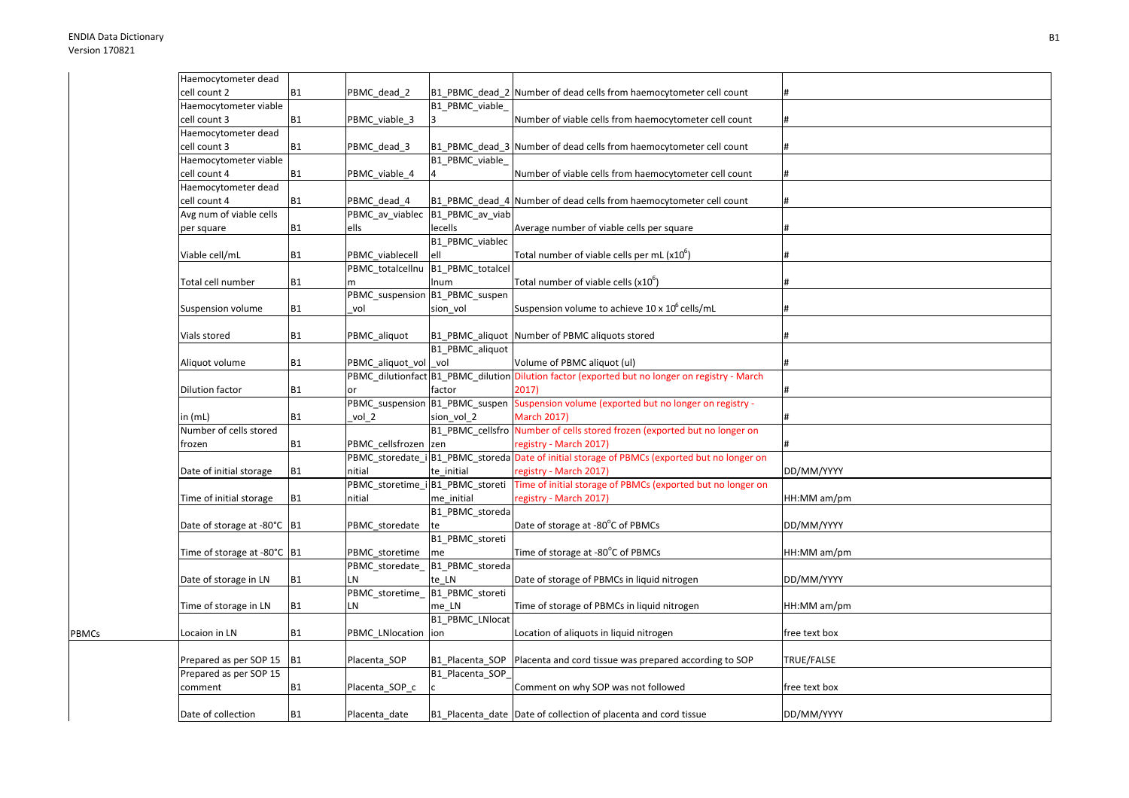PBMCs

| Haemocytometer dead           |                |                                  |                                   |                                                                                                |               |
|-------------------------------|----------------|----------------------------------|-----------------------------------|------------------------------------------------------------------------------------------------|---------------|
| cell count 2                  | <b>B1</b>      | PBMC dead 2                      |                                   | B1 PBMC dead 2 Number of dead cells from haemocytometer cell count                             |               |
| Haemocytometer viable         |                |                                  | B1 PBMC viable                    |                                                                                                |               |
| cell count 3                  | <b>B1</b>      | PBMC_viable_3                    | 3                                 | Number of viable cells from haemocytometer cell count                                          |               |
| Haemocytometer dead           |                |                                  |                                   |                                                                                                |               |
| cell count 3                  | <b>B1</b>      | PBMC_dead_3                      | B1_PBMC_dead_3                    | Number of dead cells from haemocytometer cell count                                            |               |
| Haemocytometer viable         |                |                                  | B1 PBMC viable                    |                                                                                                |               |
| cell count 4                  | <b>B1</b>      | PBMC_viable_4                    |                                   | Number of viable cells from haemocytometer cell count                                          |               |
| Haemocytometer dead           |                |                                  |                                   |                                                                                                |               |
| cell count 4                  | <b>B1</b>      | PBMC dead 4                      | B1 PBMC dead 4                    | Number of dead cells from haemocytometer cell count                                            |               |
| Avg num of viable cells       |                | PBMC av viablec                  | B1_PBMC_av_viab                   |                                                                                                |               |
| per square                    | <b>B1</b>      | ells                             | lecells                           | Average number of viable cells per square                                                      |               |
|                               |                |                                  | B1_PBMC_viablec                   |                                                                                                |               |
| Viable cell/mL                | <b>B1</b>      | PBMC viablecell                  | ell                               | Total number of viable cells per mL $(x10b)$                                                   |               |
|                               |                |                                  | PBMC_totalcellnu B1_PBMC_totalcel |                                                                                                |               |
| Total cell number             | <b>B1</b>      |                                  | Inum                              | Total number of viable cells $(x10^6)$                                                         |               |
|                               |                | PBMC_suspension B1_PBMC_suspen   |                                   |                                                                                                |               |
| Suspension volume             | <b>B1</b>      | vol                              | sion vol                          | Suspension volume to achieve 10 x 10 <sup>6</sup> cells/mL                                     |               |
|                               |                |                                  |                                   |                                                                                                |               |
| Vials stored                  | <b>B1</b>      | PBMC_aliquot                     | B1_PBMC_aliquot                   | Number of PBMC aliquots stored                                                                 |               |
|                               |                |                                  | B1_PBMC_aliquot                   |                                                                                                |               |
| Aliquot volume                | <b>B1</b>      | PBMC_aliquot_vol                 | vol                               | Volume of PBMC aliquot (ul)                                                                    |               |
|                               |                |                                  |                                   | PBMC_dilutionfact B1_PBMC_dilution Dilution factor (exported but no longer on registry - March |               |
| Dilution factor               | <b>B1</b>      | or                               | factor                            | 2017)                                                                                          |               |
|                               |                |                                  | PBMC_suspension_B1_PBMC_suspen    | Suspension volume (exported but no longer on registry -                                        |               |
| in (mL)                       | <b>B1</b>      | vol 2                            | sion vol 2                        | <b>March 2017)</b>                                                                             |               |
| Number of cells stored        |                |                                  |                                   | B1_PBMC_cellsfro Number of cells stored frozen (exported but no longer on                      |               |
| frozen                        | <b>B1</b>      | PBMC cellsfrozen                 | zen                               | registry - March 2017)                                                                         |               |
|                               |                |                                  |                                   | PBMC_storedate_i B1_PBMC_storeda Date of initial storage of PBMCs (exported but no longer on   |               |
| Date of initial storage       | <b>B1</b>      | nitial                           | te initial                        | registry - March 2017)                                                                         | DD/MM/YYYY    |
|                               |                | PBMC_storetime_i B1_PBMC_storeti |                                   | Time of initial storage of PBMCs (exported but no longer on                                    |               |
| Time of initial storage       | <b>B1</b>      | nitial                           | me initial                        | registry - March 2017)                                                                         | HH:MM am/pm   |
|                               |                |                                  | B1 PBMC storeda                   |                                                                                                |               |
| Date of storage at -80°C B1   |                | PBMC_storedate                   | te                                | Date of storage at -80°C of PBMCs                                                              | DD/MM/YYYY    |
|                               |                |                                  | B1_PBMC_storeti                   |                                                                                                |               |
| Time of storage at -80°C   B1 |                | PBMC storetime                   | me                                | Time of storage at -80°C of PBMCs                                                              | HH:MM am/pm   |
|                               |                | PBMC storedate                   | B1_PBMC_storeda                   |                                                                                                |               |
| Date of storage in LN         | <b>B1</b>      | LN                               | te LN                             | Date of storage of PBMCs in liquid nitrogen                                                    | DD/MM/YYYY    |
|                               |                | PBMC_storetime_B1_PBMC_storeti   |                                   |                                                                                                |               |
| Time of storage in LN         | <b>B1</b>      | LN                               | me LN                             | Time of storage of PBMCs in liquid nitrogen                                                    | HH:MM am/pm   |
|                               |                |                                  | B1_PBMC_LNlocat                   |                                                                                                |               |
| Locaion in LN                 | <b>B1</b>      |                                  |                                   |                                                                                                |               |
|                               |                | PBMC_LNlocation ion              |                                   | Location of aliquots in liquid nitrogen                                                        | free text box |
| Prepared as per SOP 15        |                |                                  | B1 Placenta SOP                   | Placenta and cord tissue was prepared according to SOP                                         | TRUE/FALSE    |
| Prepared as per SOP 15        | <b>B1</b>      | Placenta SOP                     | B1_Placenta_SOP                   |                                                                                                |               |
|                               |                |                                  |                                   |                                                                                                |               |
| comment                       | B <sub>1</sub> | Placenta_SOP_c                   |                                   | Comment on why SOP was not followed                                                            | free text box |
|                               |                |                                  |                                   |                                                                                                |               |
| Date of collection            | B <sub>1</sub> | Placenta date                    |                                   | B1_Placenta_date Date of collection of placenta and cord tissue                                | DD/MM/YYYY    |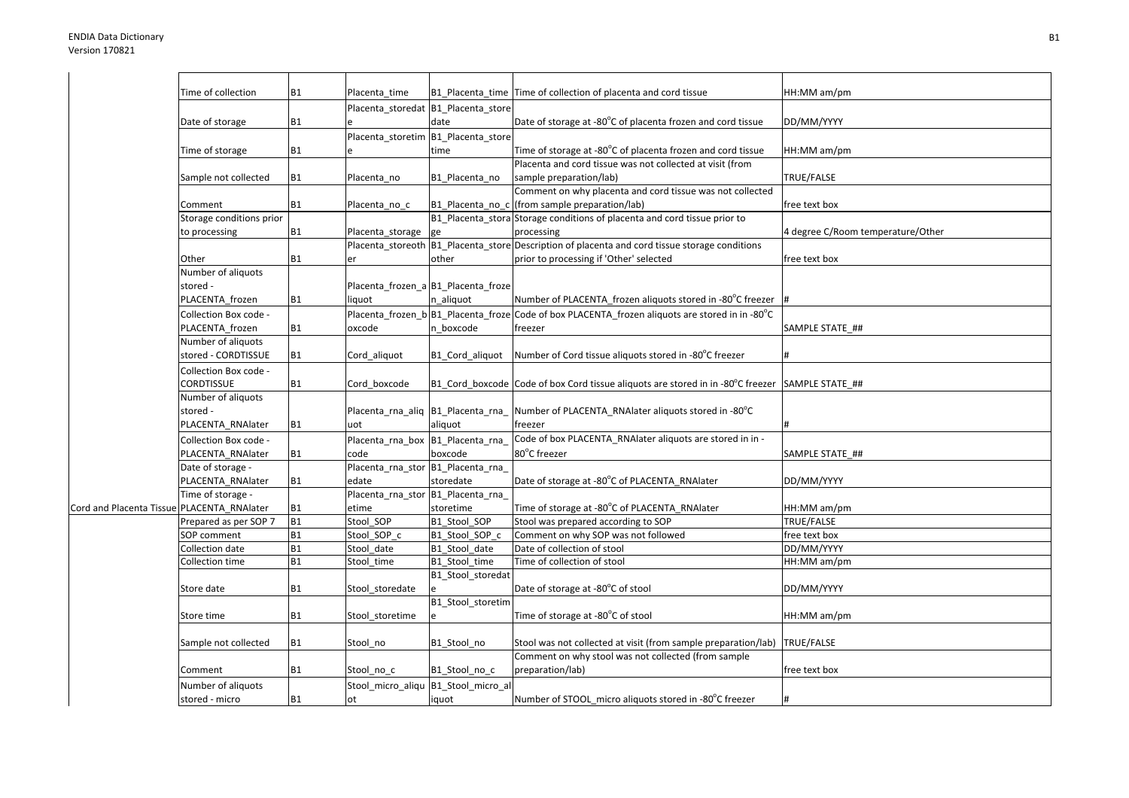|                                            | Time of collection       | <b>B1</b> | Placenta time                      |                                     | B1 Placenta time Time of collection of placenta and cord tissue                                            | HH:MM am/pm                       |
|--------------------------------------------|--------------------------|-----------|------------------------------------|-------------------------------------|------------------------------------------------------------------------------------------------------------|-----------------------------------|
|                                            |                          |           |                                    | Placenta_storedat B1_Placenta_store |                                                                                                            |                                   |
|                                            | Date of storage          | <b>B1</b> |                                    | date                                | Date of storage at -80°C of placenta frozen and cord tissue                                                | DD/MM/YYYY                        |
|                                            |                          |           | Placenta storetim                  | B1_Placenta_store                   |                                                                                                            |                                   |
|                                            | Time of storage          | <b>B1</b> |                                    | time                                | Time of storage at -80°C of placenta frozen and cord tissue                                                | HH:MM am/pm                       |
|                                            |                          |           |                                    |                                     | Placenta and cord tissue was not collected at visit (from                                                  |                                   |
|                                            | Sample not collected     | <b>B1</b> | Placenta_no                        | B1_Placenta_no                      | sample preparation/lab)                                                                                    | TRUE/FALSE                        |
|                                            |                          |           |                                    |                                     | Comment on why placenta and cord tissue was not collected                                                  |                                   |
|                                            | Comment                  | <b>B1</b> | Placenta no c                      |                                     | B1 Placenta no c (from sample preparation/lab)                                                             | free text box                     |
|                                            | Storage conditions prior |           |                                    |                                     | B1_Placenta_stora Storage conditions of placenta and cord tissue prior to                                  |                                   |
|                                            | to processing            | <b>B1</b> | Placenta_storage                   | ge                                  | processing                                                                                                 | 4 degree C/Room temperature/Other |
|                                            |                          |           |                                    |                                     | Placenta_storeoth B1_Placenta_store Description of placenta and cord tissue storage conditions             |                                   |
|                                            | Other                    | <b>B1</b> | er                                 | other                               | prior to processing if 'Other' selected                                                                    | free text box                     |
|                                            | Number of aliquots       |           |                                    |                                     |                                                                                                            |                                   |
|                                            | stored -                 |           |                                    | Placenta frozen a B1 Placenta froze |                                                                                                            |                                   |
|                                            | PLACENTA_frozen          | <b>B1</b> | liquot                             | n aliquot                           | Number of PLACENTA frozen aliquots stored in -80°C freezer                                                 |                                   |
|                                            | Collection Box code -    |           |                                    |                                     | Placenta frozen b B1 Placenta froze Code of box PLACENTA frozen aliquots are stored in in -80 $^{\circ}$ C |                                   |
|                                            | PLACENTA frozen          | <b>B1</b> | oxcode                             | n boxcode                           | freezer                                                                                                    | SAMPLE STATE ##                   |
|                                            | Number of aliquots       |           |                                    |                                     |                                                                                                            |                                   |
|                                            | stored - CORDTISSUE      | <b>B1</b> | Cord aliquot                       | B1 Cord aliquot                     | Number of Cord tissue aliquots stored in -80°C freezer                                                     |                                   |
|                                            | Collection Box code -    |           |                                    |                                     |                                                                                                            |                                   |
|                                            | CORDTISSUE               | <b>B1</b> | Cord_boxcode                       |                                     | B1 Cord boxcode Code of box Cord tissue aliquots are stored in in -80°C freezer                            | SAMPLE STATE ##                   |
|                                            | Number of aliquots       |           |                                    |                                     |                                                                                                            |                                   |
|                                            | stored -                 |           |                                    |                                     | Placenta rna aliq $ B1 $ Placenta rna Number of PLACENTA RNAIater aliquots stored in -80 $^{\circ}$ C      |                                   |
|                                            | PLACENTA_RNAlater        | <b>B1</b> | uot                                | aliquot                             | freezer                                                                                                    |                                   |
|                                            | Collection Box code -    |           | Placenta_rna_box B1_Placenta_rna_  |                                     | Code of box PLACENTA_RNAlater aliquots are stored in in -                                                  |                                   |
|                                            | PLACENTA RNAlater        | <b>B1</b> | code                               | boxcode                             | 80°C freezer                                                                                               | SAMPLE STATE ##                   |
|                                            | Date of storage -        |           | Placenta_rna_stor B1_Placenta_rna_ |                                     |                                                                                                            |                                   |
|                                            | PLACENTA RNAlater        | <b>B1</b> | edate                              | storedate                           | Date of storage at -80°C of PLACENTA_RNAlater                                                              | DD/MM/YYYY                        |
|                                            | Time of storage -        |           | Placenta_rna_stor B1_Placenta_rna_ |                                     |                                                                                                            |                                   |
| Cord and Placenta Tissue PLACENTA_RNAlater |                          | <b>B1</b> | etime                              | storetime                           | Time of storage at -80°C of PLACENTA_RNAlater                                                              | HH:MM am/pm                       |
|                                            | Prepared as per SOP 7    | <b>B1</b> | Stool_SOP                          | B1 Stool SOP                        | Stool was prepared according to SOP                                                                        | TRUE/FALSE                        |
|                                            | SOP comment              | <b>B1</b> | Stool SOP c                        | B1 Stool SOP c                      | Comment on why SOP was not followed                                                                        | free text box                     |
|                                            | Collection date          | <b>B1</b> | Stool date                         | B1 Stool date                       | Date of collection of stool                                                                                | DD/MM/YYYY                        |
|                                            | Collection time          | <b>B1</b> | Stool_time                         | B1_Stool_time                       | Time of collection of stool                                                                                | HH:MM am/pm                       |
|                                            |                          |           |                                    | B1 Stool storedat                   |                                                                                                            |                                   |
|                                            | Store date               | <b>B1</b> | Stool storedate                    |                                     | Date of storage at -80°C of stool                                                                          | DD/MM/YYYY                        |
|                                            |                          |           |                                    | B1_Stool_storetim                   |                                                                                                            |                                   |
|                                            | Store time               | <b>B1</b> | Stool storetime                    |                                     | Time of storage at -80°C of stool                                                                          | HH:MM am/pm                       |
|                                            |                          |           |                                    |                                     |                                                                                                            |                                   |
|                                            | Sample not collected     | <b>B1</b> | Stool no                           | B1_Stool_no                         | Stool was not collected at visit (from sample preparation/lab)                                             | TRUE/FALSE                        |
|                                            |                          |           |                                    |                                     | Comment on why stool was not collected (from sample                                                        |                                   |
|                                            | Comment                  | <b>B1</b> | Stool no c                         | B1 Stool no c                       | preparation/lab)                                                                                           | free text box                     |
|                                            | Number of aliquots       |           | Stool micro aliqu                  | B1_Stool_micro_al                   |                                                                                                            |                                   |
|                                            | stored - micro           | <b>B1</b> | ot                                 | iquot                               | Number of STOOL_micro aliquots stored in -80°C freezer                                                     |                                   |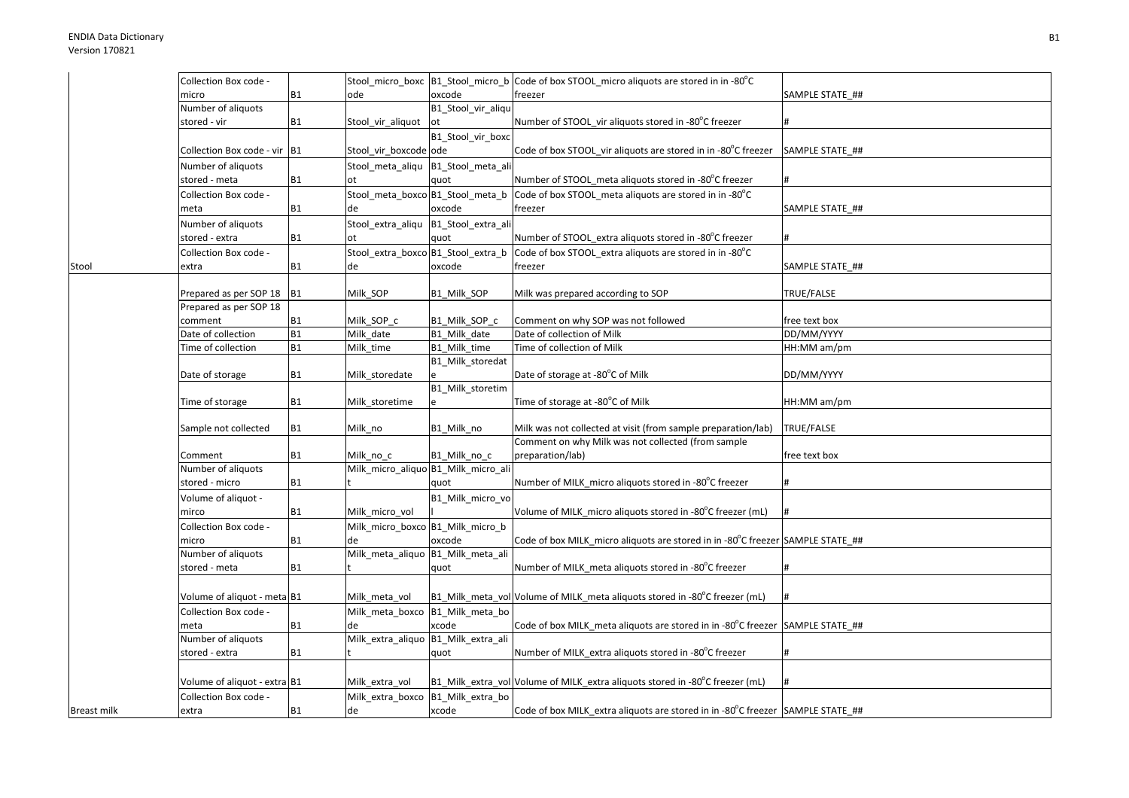|             | Collection Box code -        |                |                                     |                                   | Stool_micro_boxc B1_Stool_micro_b Code of box STOOL_micro aliquots are stored in in -80°C |                 |
|-------------|------------------------------|----------------|-------------------------------------|-----------------------------------|-------------------------------------------------------------------------------------------|-----------------|
|             | micro                        | <b>B1</b>      | ode                                 | oxcode                            | freezer                                                                                   | SAMPLE STATE ## |
|             | Number of aliquots           |                |                                     | B1_Stool_vir_aliqu                |                                                                                           |                 |
|             | stored - vir                 | <b>B1</b>      | Stool_vir_aliquot                   | ot                                | Number of STOOL vir aliquots stored in -80°C freezer                                      |                 |
|             |                              |                |                                     | B1_Stool_vir_boxc                 |                                                                                           |                 |
|             | Collection Box code - vir B1 |                | Stool_vir_boxcode ode               |                                   | Code of box STOOL vir aliquots are stored in in -80°C freezer                             | SAMPLE STATE ## |
|             | Number of aliguots           |                | Stool meta aliqu B1 Stool meta ali  |                                   |                                                                                           |                 |
|             | stored - meta                | <b>B1</b>      | ot                                  | quot                              | Number of STOOL meta aliquots stored in -80°C freezer                                     | #               |
|             | Collection Box code -        |                | Stool meta boxco B1 Stool meta b    |                                   | Code of box STOOL meta aliquots are stored in in -80°C                                    |                 |
|             | meta                         | <b>B1</b>      | de                                  | oxcode                            | freezer                                                                                   | SAMPLE STATE ## |
|             | Number of aliquots           |                | Stool extra aliqu                   | B1_Stool_extra_ali                |                                                                                           |                 |
|             | stored - extra               | <b>B1</b>      | ot                                  | quot                              | Number of STOOL extra aliquots stored in -80°C freezer                                    |                 |
|             | Collection Box code -        |                | Stool_extra_boxco B1_Stool_extra_b  |                                   | Code of box STOOL extra aliquots are stored in in -80°C                                   |                 |
| Stool       | extra                        | <b>B1</b>      | de                                  | oxcode                            | freezer                                                                                   | SAMPLE STATE ## |
|             |                              |                |                                     |                                   |                                                                                           |                 |
|             | Prepared as per SOP 18 B1    |                | Milk SOP                            | B1 Milk SOP                       | Milk was prepared according to SOP                                                        | TRUE/FALSE      |
|             | Prepared as per SOP 18       |                |                                     |                                   |                                                                                           |                 |
|             | comment                      | <b>B1</b>      | Milk SOP c                          | B1 Milk SOP c                     | Comment on why SOP was not followed                                                       | free text box   |
|             | Date of collection           | <b>B1</b>      | Milk date                           | B1 Milk date                      | Date of collection of Milk                                                                | DD/MM/YYYY      |
|             | Time of collection           | <b>B1</b>      | Milk time                           | B1_Milk_time                      | Time of collection of Milk                                                                | HH:MM am/pm     |
|             |                              |                |                                     | B1_Milk_storedat                  |                                                                                           |                 |
|             | Date of storage              | <b>B1</b>      | Milk_storedate                      |                                   | Date of storage at -80°C of Milk                                                          | DD/MM/YYYY      |
|             |                              |                |                                     | B1_Milk_storetim                  |                                                                                           |                 |
|             | Time of storage              | <b>B1</b>      | Milk storetime                      |                                   | Time of storage at -80°C of Milk                                                          | HH:MM am/pm     |
|             |                              | <b>B1</b>      |                                     |                                   | Milk was not collected at visit (from sample preparation/lab)                             | TRUE/FALSE      |
|             | Sample not collected         |                | Milk no                             | B1 Milk no                        | Comment on why Milk was not collected (from sample                                        |                 |
|             | Comment                      | <b>B1</b>      | Milk no c                           | B1 Milk no c                      | preparation/lab)                                                                          | free text box   |
|             | Number of aliquots           |                | Milk_micro_aliquo B1_Milk_micro_ali |                                   |                                                                                           |                 |
|             | stored - micro               | <b>B1</b>      |                                     | quot                              | Number of MILK micro aliquots stored in -80°C freezer                                     |                 |
|             | Volume of aliquot -          |                |                                     | B1_Milk_micro_vo                  |                                                                                           |                 |
|             | mirco                        | <b>B1</b>      | Milk micro vol                      |                                   | Volume of MILK micro aliquots stored in -80°C freezer (mL)                                |                 |
|             | Collection Box code -        |                | Milk_micro_boxco B1_Milk_micro_b    |                                   |                                                                                           |                 |
|             | micro                        | <b>B1</b>      | de                                  | oxcode                            | Code of box MILK_micro aliquots are stored in in -80°C freezer SAMPLE STATE_##            |                 |
|             | Number of aliquots           |                | Milk_meta_aliquo B1_Milk_meta_ali   |                                   |                                                                                           |                 |
|             | stored - meta                | <b>B1</b>      |                                     | quot                              | Number of MILK_meta aliquots stored in -80°C freezer                                      |                 |
|             |                              |                |                                     |                                   |                                                                                           |                 |
|             | Volume of aliquot - meta B1  |                | Milk meta vol                       |                                   | B1_Milk_meta_vol Volume of MILK_meta aliquots stored in -80°C freezer (mL)                |                 |
|             | Collection Box code -        |                | Milk meta boxco                     | B1_Milk_meta_bo                   |                                                                                           |                 |
|             | meta                         | <b>B1</b>      | de                                  | xcode                             | Code of box MILK meta aliquots are stored in in -80°C freezer SAMPLE STATE ##             |                 |
|             | Number of aliquots           |                | Milk_extra_aliquo B1_Milk_extra_ali |                                   |                                                                                           |                 |
|             | stored - extra               | <b>B1</b>      |                                     | quot                              | Number of MILK extra aliquots stored in -80°C freezer                                     |                 |
|             |                              |                |                                     |                                   |                                                                                           |                 |
|             | Volume of aliquot - extra B1 |                | Milk extra vol                      |                                   | B1_Milk_extra_vol Volume of MILK_extra aliquots stored in -80°C freezer (mL)              |                 |
|             | Collection Box code -        |                |                                     | Milk_extra_boxco B1_Milk_extra_bo |                                                                                           |                 |
| Breast milk | extra                        | B <sub>1</sub> | de                                  | xcode                             | Code of box MILK_extra aliquots are stored in in -80°C freezer SAMPLE STATE_##            |                 |
|             |                              |                |                                     |                                   |                                                                                           |                 |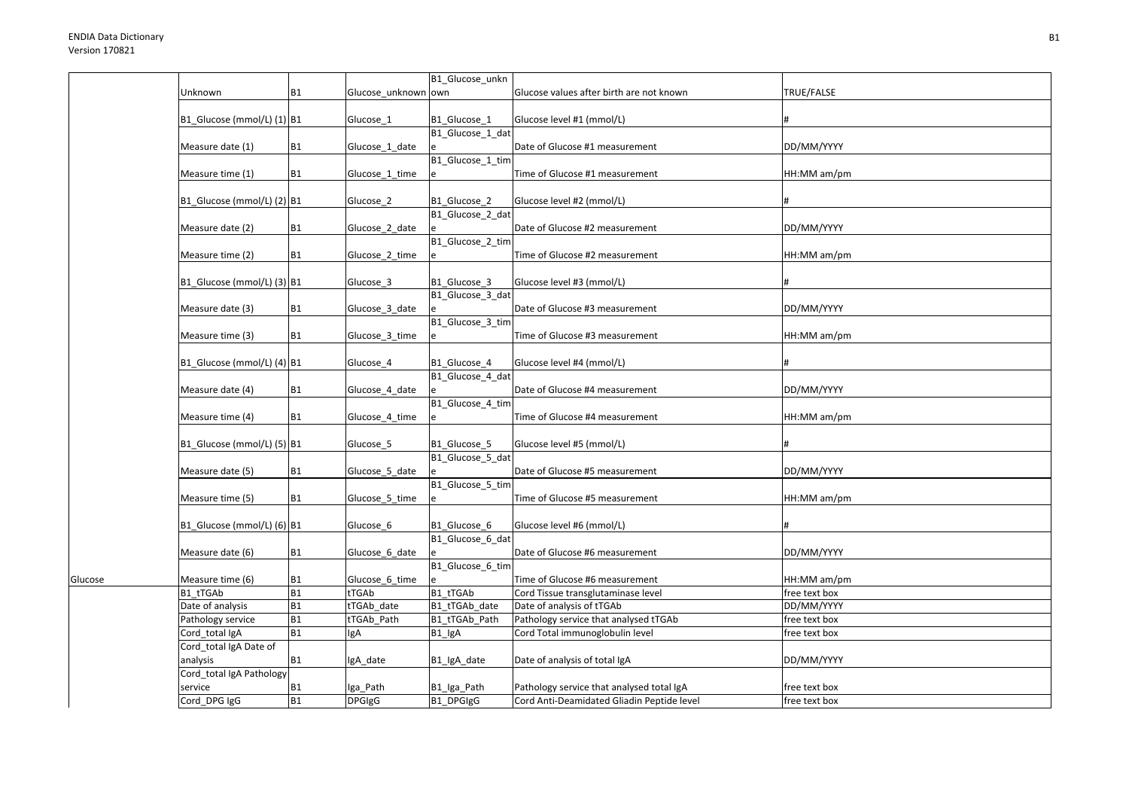Glucose

|                                     |                        |                     | B1_Glucose_unkn         |                                                                          |                             |
|-------------------------------------|------------------------|---------------------|-------------------------|--------------------------------------------------------------------------|-----------------------------|
| Unknown                             | <b>B1</b>              | Glucose unknown own |                         | Glucose values after birth are not known                                 | TRUE/FALSE                  |
| B1_Glucose (mmol/L) (1) B1          |                        | Glucose_1           | B1_Glucose_1            | Glucose level #1 (mmol/L)                                                |                             |
| Measure date (1)                    | <b>B1</b>              | Glucose_1_date      | B1_Glucose_1_dat        | Date of Glucose #1 measurement                                           | DD/MM/YYYY                  |
| Measure time (1)                    | <b>B1</b>              | Glucose_1_time      | B1_Glucose_1_tim        | Time of Glucose #1 measurement                                           | HH:MM am/pm                 |
| B1_Glucose (mmol/L) (2) B1          |                        | Glucose 2           | B1_Glucose_2            | Glucose level #2 (mmol/L)                                                |                             |
| Measure date (2)                    | <b>B1</b>              | Glucose_2_date      | B1 Glucose 2 dat        | Date of Glucose #2 measurement                                           | DD/MM/YYYY                  |
| Measure time (2)                    | <b>B1</b>              | Glucose_2_time      | B1_Glucose_2_tim        | Time of Glucose #2 measurement                                           | HH:MM am/pm                 |
| B1_Glucose (mmol/L) (3) B1          |                        | Glucose 3           | B1 Glucose 3            | Glucose level #3 (mmol/L)                                                |                             |
| Measure date (3)                    | <b>B1</b>              | Glucose 3 date      | B1_Glucose_3_dat        | Date of Glucose #3 measurement                                           | DD/MM/YYYY                  |
| Measure time (3)                    | <b>B1</b>              | Glucose_3_time      | B1_Glucose_3_tim        | Time of Glucose #3 measurement                                           | HH:MM am/pm                 |
| B1_Glucose (mmol/L) (4) B1          |                        | Glucose_4           | B1_Glucose_4            | Glucose level #4 (mmol/L)                                                |                             |
| Measure date (4)                    | <b>B1</b>              | Glucose_4_date      | B1_Glucose_4_dat        | Date of Glucose #4 measurement                                           | DD/MM/YYYY                  |
| Measure time (4)                    | <b>B1</b>              | Glucose_4_time      | B1 Glucose 4 tim        | Time of Glucose #4 measurement                                           | HH:MM am/pm                 |
| B1_Glucose (mmol/L) (5) B1          |                        | Glucose 5           | B1 Glucose 5            | Glucose level #5 (mmol/L)                                                |                             |
| Measure date (5)                    | <b>B1</b>              | Glucose_5_date      | B1_Glucose_5_dat        | Date of Glucose #5 measurement                                           | DD/MM/YYYY                  |
| Measure time (5)                    | <b>B1</b>              | Glucose_5_time      | B1_Glucose_5_tim        | Time of Glucose #5 measurement                                           | HH:MM am/pm                 |
| B1_Glucose (mmol/L) (6) B1          |                        | Glucose 6           | B1 Glucose 6            | Glucose level #6 (mmol/L)                                                |                             |
| Measure date (6)                    | <b>B1</b>              | Glucose 6_date      | B1_Glucose_6_dat        | Date of Glucose #6 measurement                                           | DD/MM/YYYY                  |
| Measure time (6)                    | <b>B1</b>              | Glucose_6_time      | B1 Glucose 6 tim        | Time of Glucose #6 measurement                                           | HH:MM am/pm                 |
| B1 tTGAb                            | <b>B1</b>              | tTGAb               | B1 tTGAb                | Cord Tissue transglutaminase level                                       | free text box               |
| Date of analysis                    | <b>B1</b>              | tTGAb date          | B1 tTGAb date           | Date of analysis of tTGAb                                                | DD/MM/YYYY                  |
| Pathology service<br>Cord total IgA | <b>B1</b><br><b>B1</b> | tTGAb Path          | B1 tTGAb Path<br>B1 IgA | Pathology service that analysed tTGAb<br>Cord Total immunoglobulin level | free text box               |
| Cord_total IgA Date of<br>analysis  | <b>B1</b>              | lgA<br>IgA date     | B1_lgA_date             | Date of analysis of total IgA                                            | free text box<br>DD/MM/YYYY |
| Cord_total IgA Pathology<br>service | <b>B1</b>              | Iga_Path            | B1_Iga_Path             | Pathology service that analysed total IgA                                | free text box               |
| Cord_DPG IgG                        | <b>B1</b>              | <b>DPGIgG</b>       | B1 DPGIgG               | Cord Anti-Deamidated Gliadin Peptide level                               | free text box               |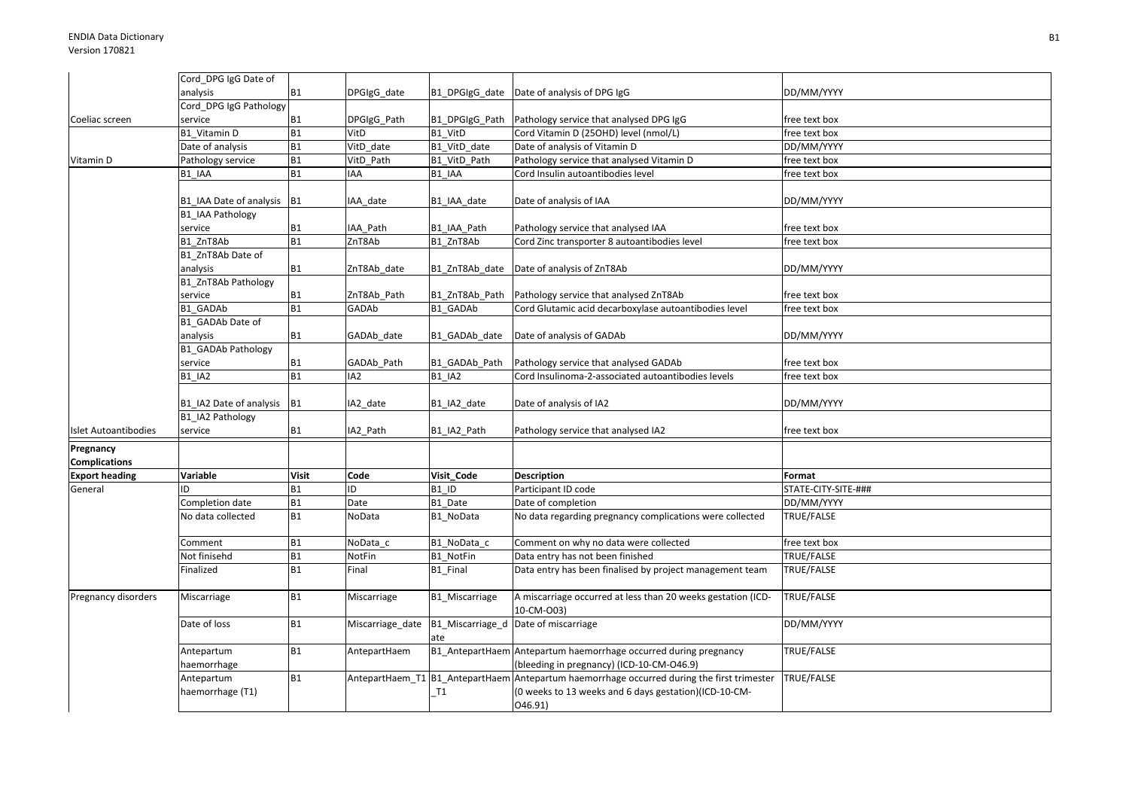|                             | Cord DPG IgG Date of            |                        |                  |                         |                                                                                                |                     |
|-----------------------------|---------------------------------|------------------------|------------------|-------------------------|------------------------------------------------------------------------------------------------|---------------------|
|                             | analysis                        | <b>B1</b>              | DPGIgG_date      | B1 DPGIgG date          | Date of analysis of DPG IgG                                                                    | DD/MM/YYYY          |
|                             | Cord_DPG IgG Pathology          |                        |                  |                         |                                                                                                |                     |
| Coeliac screen              | service                         | <b>B1</b>              | DPGIgG_Path      | B1 DPGIgG Path          | Pathology service that analysed DPG IgG                                                        | free text box       |
|                             | B1 Vitamin D                    | <b>B1</b>              | VitD             | B1 VitD                 | Cord Vitamin D (25OHD) level (nmol/L)                                                          | free text box       |
|                             | Date of analysis                | <b>B1</b>              | VitD_date        | B1_VitD_date            | Date of analysis of Vitamin D                                                                  | DD/MM/YYYY          |
| Vitamin D                   | Pathology service               | <b>B1</b>              | VitD Path        | B1 VitD Path            | Pathology service that analysed Vitamin D                                                      | free text box       |
|                             | B1 IAA                          | <b>B1</b>              | <b>IAA</b>       | B1 IAA                  | Cord Insulin autoantibodies level                                                              | free text box       |
|                             |                                 |                        |                  |                         |                                                                                                |                     |
|                             | B1_IAA Date of analysis B1      |                        | IAA date         | B1_IAA_date             | Date of analysis of IAA                                                                        | DD/MM/YYYY          |
|                             | <b>B1 IAA Pathology</b>         |                        |                  |                         |                                                                                                |                     |
|                             | service                         | <b>B1</b><br><b>B1</b> | IAA Path         | B1_IAA_Path             | Pathology service that analysed IAA                                                            | free text box       |
|                             | B1 ZnT8Ab                       |                        | ZnT8Ab           | B1 ZnT8Ab               | Cord Zinc transporter 8 autoantibodies level                                                   | free text box       |
|                             | B1 ZnT8Ab Date of               |                        |                  |                         |                                                                                                | DD/MM/YYYY          |
|                             | analysis<br>B1 ZnT8Ab Pathology | <b>B1</b>              | ZnT8Ab date      | B1 ZnT8Ab date          | Date of analysis of ZnT8Ab                                                                     |                     |
|                             | service                         | <b>B1</b>              | ZnT8Ab_Path      | B1_ZnT8Ab_Path          | Pathology service that analysed ZnT8Ab                                                         | free text box       |
|                             | <b>B1 GADAb</b>                 | <b>B1</b>              | GADAb            | B1 GADAb                | Cord Glutamic acid decarboxylase autoantibodies level                                          | free text box       |
|                             | B1 GADAb Date of                |                        |                  |                         |                                                                                                |                     |
|                             | analysis                        | <b>B1</b>              | GADAb_date       | B1 GADAb date           | Date of analysis of GADAb                                                                      | DD/MM/YYYY          |
|                             | <b>B1 GADAb Pathology</b>       |                        |                  |                         |                                                                                                |                     |
|                             | service                         | B <sub>1</sub>         | GADAb_Path       | B1_GADAb_Path           | Pathology service that analysed GADAb                                                          | free text box       |
|                             | <b>B1 IA2</b>                   | B1                     | IA <sub>2</sub>  | <b>B1 IA2</b>           | Cord Insulinoma-2-associated autoantibodies levels                                             | free text box       |
|                             | B1 IA2 Date of analysis B1      |                        | A2 date          | B1 IA2 date             | Date of analysis of IA2                                                                        | DD/MM/YYYY          |
|                             | B1 IA2 Pathology                |                        |                  |                         |                                                                                                |                     |
| <b>Islet Autoantibodies</b> | service                         | <b>B1</b>              | IA2 Path         | B1 IA2 Path             | Pathology service that analysed IA2                                                            | free text box       |
| Pregnancy                   |                                 |                        |                  |                         |                                                                                                |                     |
| <b>Complications</b>        |                                 |                        |                  |                         |                                                                                                |                     |
| <b>Export heading</b>       | Variable                        | <b>Visit</b>           | Code             | Visit_Code              | <b>Description</b>                                                                             | Format              |
| General                     | ID                              | <b>B1</b>              | D                | B1 ID                   | Participant ID code                                                                            | STATE-CITY-SITE-### |
|                             | Completion date                 | <b>B1</b>              | Date             | B1 Date                 | Date of completion                                                                             | DD/MM/YYYY          |
|                             | No data collected               | <b>B1</b>              | NoData           | B1 NoData               | No data regarding pregnancy complications were collected                                       | TRUE/FALSE          |
|                             | Comment                         | <b>B1</b>              | NoData_c         | B1_NoData_c             | Comment on why no data were collected                                                          | free text box       |
|                             | Not finisehd                    | <b>B1</b>              | NotFin           | B1 NotFin               | Data entry has not been finished                                                               | TRUE/FALSE          |
|                             | Finalized                       | <b>B1</b>              | Final            | B1_Final                | Data entry has been finalised by project management team                                       | TRUE/FALSE          |
| Pregnancy disorders         | Miscarriage                     | <b>B1</b>              | Miscarriage      | B1 Miscarriage          | A miscarriage occurred at less than 20 weeks gestation (ICD-<br>10-CM-O03)                     | TRUE/FALSE          |
|                             | Date of loss                    | <b>B1</b>              | Miscarriage_date | B1_Miscarriage_d<br>ate | Date of miscarriage                                                                            | DD/MM/YYYY          |
|                             | Antepartum                      | <b>B1</b>              | AntepartHaem     |                         | B1_AntepartHaem Antepartum haemorrhage occurred during pregnancy                               | TRUE/FALSE          |
|                             | haemorrhage                     |                        |                  |                         | (bleeding in pregnancy) (ICD-10-CM-O46.9)                                                      |                     |
|                             | Antepartum                      | <b>B1</b>              |                  |                         | AntepartHaem_T1   B1_AntepartHaem   Antepartum haemorrhage occurred during the first trimester | TRUE/FALSE          |
|                             | haemorrhage (T1)                |                        |                  | T1                      | (0 weeks to 13 weeks and 6 days gestation)(ICD-10-CM-                                          |                     |
|                             |                                 |                        |                  |                         | 046.91)                                                                                        |                     |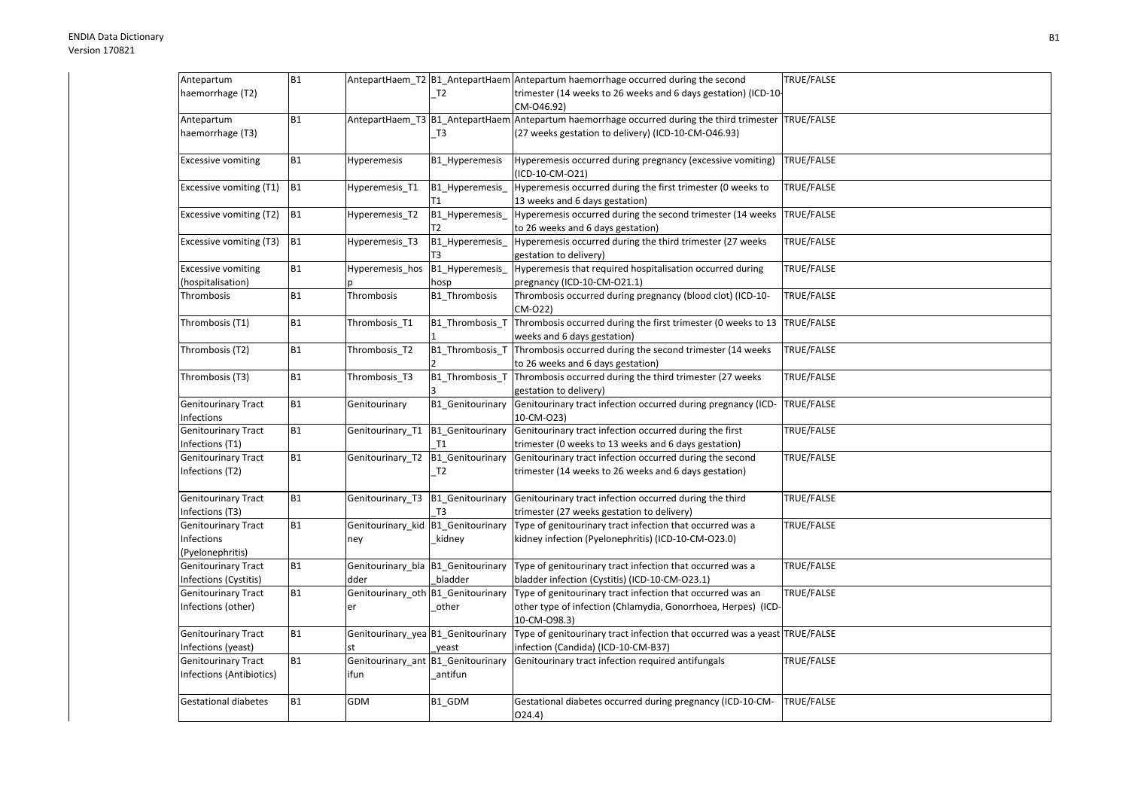| Antepartum                  | <b>B1</b>      |                                    |                  | AntepartHaem_T2  B1_AntepartHaem Antepartum haemorrhage occurred during the second                    | TRUE/FALSE        |
|-----------------------------|----------------|------------------------------------|------------------|-------------------------------------------------------------------------------------------------------|-------------------|
| haemorrhage (T2)            |                |                                    | T <sub>2</sub>   | trimester (14 weeks to 26 weeks and 6 days gestation) (ICD-10-                                        |                   |
|                             |                |                                    |                  | CM-046.92)                                                                                            |                   |
| Antepartum                  | <b>B1</b>      |                                    |                  | AntepartHaem_T3 B1_AntepartHaem Antepartum haemorrhage occurred during the third trimester TRUE/FALSE |                   |
| haemorrhage (T3)            |                |                                    | T3               | (27 weeks gestation to delivery) (ICD-10-CM-O46.93)                                                   |                   |
|                             |                |                                    |                  |                                                                                                       |                   |
| <b>Excessive vomiting</b>   | <b>B1</b>      | Hyperemesis                        | B1 Hyperemesis   | Hyperemesis occurred during pregnancy (excessive vomiting)                                            | TRUE/FALSE        |
|                             |                |                                    |                  | (ICD-10-CM-O21)                                                                                       |                   |
| Excessive vomiting (T1)     | B <sub>1</sub> | Hyperemesis_T1                     | B1_Hyperemesis_  | Hyperemesis occurred during the first trimester (0 weeks to                                           | TRUE/FALSE        |
|                             |                |                                    |                  | 13 weeks and 6 days gestation)                                                                        |                   |
| Excessive vomiting (T2)     | <b>B1</b>      | Hyperemesis T2                     | B1 Hyperemesis   | Hyperemesis occurred during the second trimester (14 weeks                                            | TRUE/FALSE        |
|                             |                |                                    | Т2               | to 26 weeks and 6 days gestation)                                                                     |                   |
| Excessive vomiting (T3)     | B <sub>1</sub> | Hyperemesis T3                     | B1_Hyperemesis_  | Hyperemesis occurred during the third trimester (27 weeks                                             | TRUE/FALSE        |
|                             |                |                                    | T3               | gestation to delivery)                                                                                |                   |
| <b>Excessive vomiting</b>   | <b>B1</b>      | Hyperemesis_hos                    | B1_Hyperemesis_  | Hyperemesis that required hospitalisation occurred during                                             | TRUE/FALSE        |
| (hospitalisation)           |                |                                    | hosp             | pregnancy (ICD-10-CM-O21.1)                                                                           |                   |
| Thrombosis                  | <b>B1</b>      | Thrombosis                         | B1 Thrombosis    | Thrombosis occurred during pregnancy (blood clot) (ICD-10-                                            | TRUE/FALSE        |
|                             |                |                                    |                  | CM-022)                                                                                               |                   |
| Thrombosis (T1)             | <b>B1</b>      | Thrombosis_T1                      | B1_Thrombosis_T  | Thrombosis occurred during the first trimester (0 weeks to 13   TRUE/FALSE                            |                   |
|                             |                |                                    |                  | weeks and 6 days gestation)                                                                           |                   |
| Thrombosis (T2)             | <b>B1</b>      | Thrombosis T2                      | B1_Thrombosis_T  | Thrombosis occurred during the second trimester (14 weeks                                             | TRUE/FALSE        |
|                             |                |                                    |                  | to 26 weeks and 6 days gestation)                                                                     |                   |
| Thrombosis (T3)             | <b>B1</b>      | Thrombosis_T3                      | B1_Thrombosis_T  | Thrombosis occurred during the third trimester (27 weeks                                              | TRUE/FALSE        |
|                             |                |                                    |                  | gestation to delivery)                                                                                |                   |
| <b>Genitourinary Tract</b>  | <b>B1</b>      | Genitourinary                      | B1_Genitourinary | Genitourinary tract infection occurred during pregnancy (ICD-                                         | TRUE/FALSE        |
| Infections                  |                |                                    |                  | 10-CM-O23)                                                                                            |                   |
| Genitourinary Tract         | <b>B1</b>      | Genitourinary_T1                   | B1_Genitourinary | Genitourinary tract infection occurred during the first                                               | TRUE/FALSE        |
| Infections (T1)             |                |                                    | T1               | trimester (0 weeks to 13 weeks and 6 days gestation)                                                  |                   |
| <b>Genitourinary Tract</b>  | <b>B1</b>      | Genitourinary_T2                   | B1_Genitourinary | Genitourinary tract infection occurred during the second                                              | TRUE/FALSE        |
| Infections (T2)             |                |                                    | T2               | trimester (14 weeks to 26 weeks and 6 days gestation)                                                 |                   |
|                             |                |                                    |                  |                                                                                                       |                   |
| <b>Genitourinary Tract</b>  | <b>B1</b>      | Genitourinary_T3                   | B1_Genitourinary | Genitourinary tract infection occurred during the third                                               | <b>TRUE/FALSE</b> |
| Infections (T3)             |                |                                    | T <sub>3</sub>   | trimester (27 weeks gestation to delivery)                                                            |                   |
| <b>Genitourinary Tract</b>  | <b>B1</b>      | Genitourinary_kid                  | B1_Genitourinary | Type of genitourinary tract infection that occurred was a                                             | TRUE/FALSE        |
| Infections                  |                | ney                                | kidney           | kidney infection (Pyelonephritis) (ICD-10-CM-O23.0)                                                   |                   |
| (Pyelonephritis)            |                |                                    |                  |                                                                                                       |                   |
| Genitourinary Tract         | <b>B1</b>      | Genitourinary_bla B1_Genitourinary |                  | Type of genitourinary tract infection that occurred was a                                             | TRUE/FALSE        |
| Infections (Cystitis)       |                | dder                               | bladder          | bladder infection (Cystitis) (ICD-10-CM-O23.1)                                                        |                   |
| <b>Genitourinary Tract</b>  | <b>B1</b>      | Genitourinary_oth B1_Genitourinary |                  | Type of genitourinary tract infection that occurred was an                                            | TRUE/FALSE        |
| Infections (other)          |                | er                                 | other            | other type of infection (Chlamydia, Gonorrhoea, Herpes) (ICD-                                         |                   |
|                             |                |                                    |                  | 10-CM-098.3)                                                                                          |                   |
| <b>Genitourinary Tract</b>  | <b>B1</b>      | Genitourinary_yea B1_Genitourinary |                  | Type of genitourinary tract infection that occurred was a yeast TRUE/FALSE                            |                   |
| Infections (yeast)          |                | st                                 | yeast            | infection (Candida) (ICD-10-CM-B37)                                                                   |                   |
| <b>Genitourinary Tract</b>  | <b>B1</b>      | Genitourinary_ant B1_Genitourinary |                  | Genitourinary tract infection required antifungals                                                    | TRUE/FALSE        |
| Infections (Antibiotics)    |                | ifun                               | antifun          |                                                                                                       |                   |
|                             |                |                                    |                  |                                                                                                       |                   |
| <b>Gestational diabetes</b> | <b>B1</b>      | <b>GDM</b>                         | B1 GDM           | Gestational diabetes occurred during pregnancy (ICD-10-CM-                                            | <b>TRUE/FALSE</b> |
|                             |                |                                    |                  | O(24.4)                                                                                               |                   |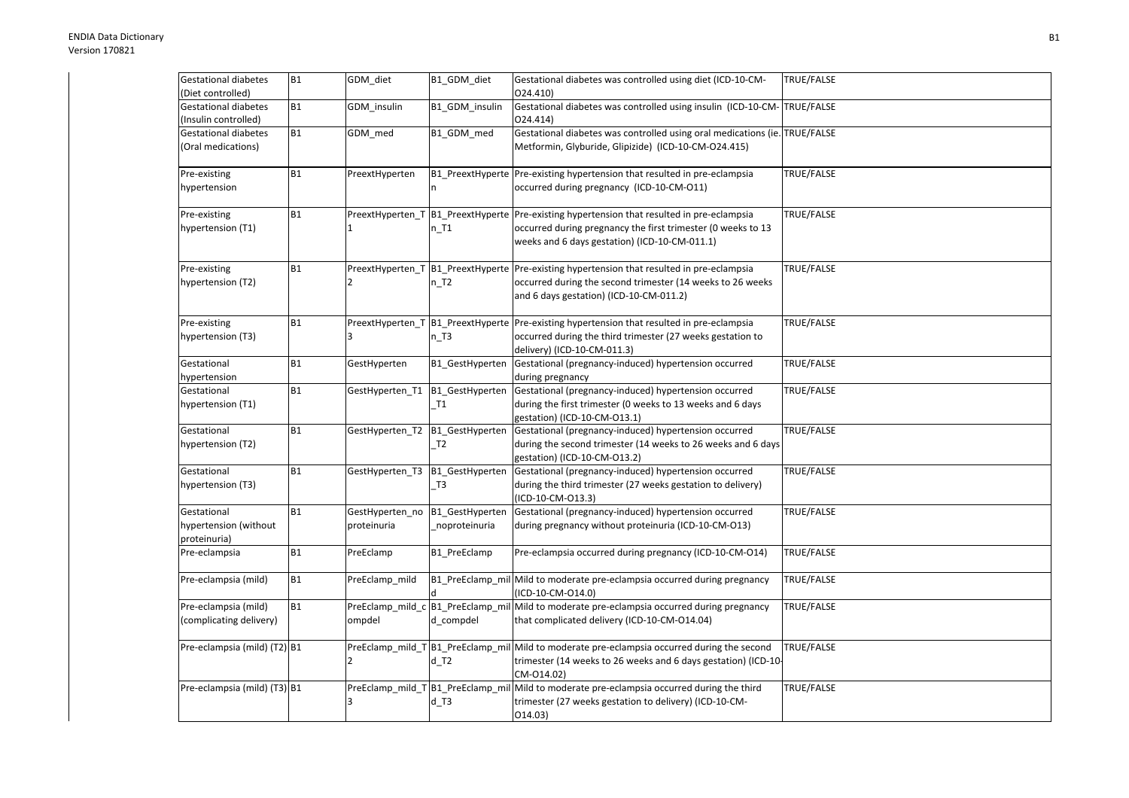| <b>Gestational diabetes</b><br>(Diet controlled)     | <b>B1</b> | GDM_diet                           | B1_GDM_diet                                 | Gestational diabetes was controlled using diet (ICD-10-CM-<br>024.410)                                                                                                                  | TRUE/FALSE        |
|------------------------------------------------------|-----------|------------------------------------|---------------------------------------------|-----------------------------------------------------------------------------------------------------------------------------------------------------------------------------------------|-------------------|
| <b>Gestational diabetes</b><br>(Insulin controlled)  | <b>B1</b> | GDM_insulin                        | B1_GDM_insulin                              | Gestational diabetes was controlled using insulin (ICD-10-CM-TRUE/FALSE<br>024.414)                                                                                                     |                   |
| <b>Gestational diabetes</b><br>(Oral medications)    | <b>B1</b> | GDM_med                            | B1_GDM_med                                  | Gestational diabetes was controlled using oral medications (ie. TRUE/FALSE<br>Metformin, Glyburide, Glipizide) (ICD-10-CM-O24.415)                                                      |                   |
| Pre-existing<br>hypertension                         | <b>B1</b> | PreextHyperten                     |                                             | B1_PreextHyperte Pre-existing hypertension that resulted in pre-eclampsia<br>occurred during pregnancy (ICD-10-CM-O11)                                                                  | TRUE/FALSE        |
| Pre-existing<br>hypertension (T1)                    | <b>B1</b> | $\mathbf{1}$                       | PreextHyperten_T B1_PreextHyperte<br>$n$ T1 | Pre-existing hypertension that resulted in pre-eclampsia<br>occurred during pregnancy the first trimester (0 weeks to 13<br>weeks and 6 days gestation) (ICD-10-CM-011.1)               | TRUE/FALSE        |
| Pre-existing<br>hypertension (T2)                    | <b>B1</b> | PreextHyperten_T<br>$\overline{2}$ | $n_T$                                       | B1_PreextHyperte Pre-existing hypertension that resulted in pre-eclampsia<br>occurred during the second trimester (14 weeks to 26 weeks<br>and 6 days gestation) (ICD-10-CM-011.2)      | TRUE/FALSE        |
| Pre-existing<br>hypertension (T3)                    | <b>B1</b> | $\overline{3}$                     | $n$ T3                                      | PreextHyperten_T B1_PreextHyperte Pre-existing hypertension that resulted in pre-eclampsia<br>occurred during the third trimester (27 weeks gestation to<br>delivery) (ICD-10-CM-011.3) | TRUE/FALSE        |
| Gestational<br>hypertension                          | <b>B1</b> | GestHyperten                       | B1_GestHyperten                             | Gestational (pregnancy-induced) hypertension occurred<br>during pregnancy                                                                                                               | TRUE/FALSE        |
| Gestational<br>hypertension (T1)                     | <b>B1</b> | GestHyperten_T1                    | B1_GestHyperten<br>T1                       | Gestational (pregnancy-induced) hypertension occurred<br>during the first trimester (0 weeks to 13 weeks and 6 days<br>gestation) (ICD-10-CM-O13.1)                                     | TRUE/FALSE        |
| Gestational<br>hypertension (T2)                     | <b>B1</b> | GestHyperten_T2                    | B1_GestHyperten<br>T <sub>2</sub>           | Gestational (pregnancy-induced) hypertension occurred<br>during the second trimester (14 weeks to 26 weeks and 6 days<br>gestation) (ICD-10-CM-O13.2)                                   | <b>TRUE/FALSE</b> |
| Gestational<br>hypertension (T3)                     | <b>B1</b> | GestHyperten T3                    | B1_GestHyperten<br>T <sub>3</sub>           | Gestational (pregnancy-induced) hypertension occurred<br>during the third trimester (27 weeks gestation to delivery)<br>(ICD-10-CM-013.3)                                               | TRUE/FALSE        |
| Gestational<br>hypertension (without<br>proteinuria) | <b>B1</b> | GestHyperten_no<br>proteinuria     | B1_GestHyperten<br>noproteinuria            | Gestational (pregnancy-induced) hypertension occurred<br>during pregnancy without proteinuria (ICD-10-CM-O13)                                                                           | TRUE/FALSE        |
| Pre-eclampsia                                        | <b>B1</b> | PreEclamp                          | B1_PreEclamp                                | Pre-eclampsia occurred during pregnancy (ICD-10-CM-O14)                                                                                                                                 | TRUE/FALSE        |
| Pre-eclampsia (mild)                                 | <b>B1</b> | PreEclamp_mild                     |                                             | B1_PreEclamp_mil Mild to moderate pre-eclampsia occurred during pregnancy<br>(ICD-10-CM-O14.0)                                                                                          | TRUE/FALSE        |
| Pre-eclampsia (mild)<br>(complicating delivery)      | <b>B1</b> | ompdel                             | d compdel                                   | PreEclamp_mild_c B1_PreEclamp_mil Mild to moderate pre-eclampsia occurred during pregnancy<br>that complicated delivery (ICD-10-CM-O14.04)                                              | TRUE/FALSE        |
| Pre-eclampsia (mild) (T2) B1                         |           | $\overline{2}$                     | $d$ T2                                      | PreEclamp mild T B1 PreEclamp mil Mild to moderate pre-eclampsia occurred during the second<br>trimester (14 weeks to 26 weeks and 6 days gestation) (ICD-10-<br>CM-014.02)             | TRUE/FALSE        |
| Pre-eclampsia (mild) (T3) B1                         |           | 3                                  | $d$ T3                                      | PreEclamp_mild_T  B1_PreEclamp_mil   Mild to moderate pre-eclampsia occurred during the third<br>trimester (27 weeks gestation to delivery) (ICD-10-CM-<br>014.03)                      | TRUE/FALSE        |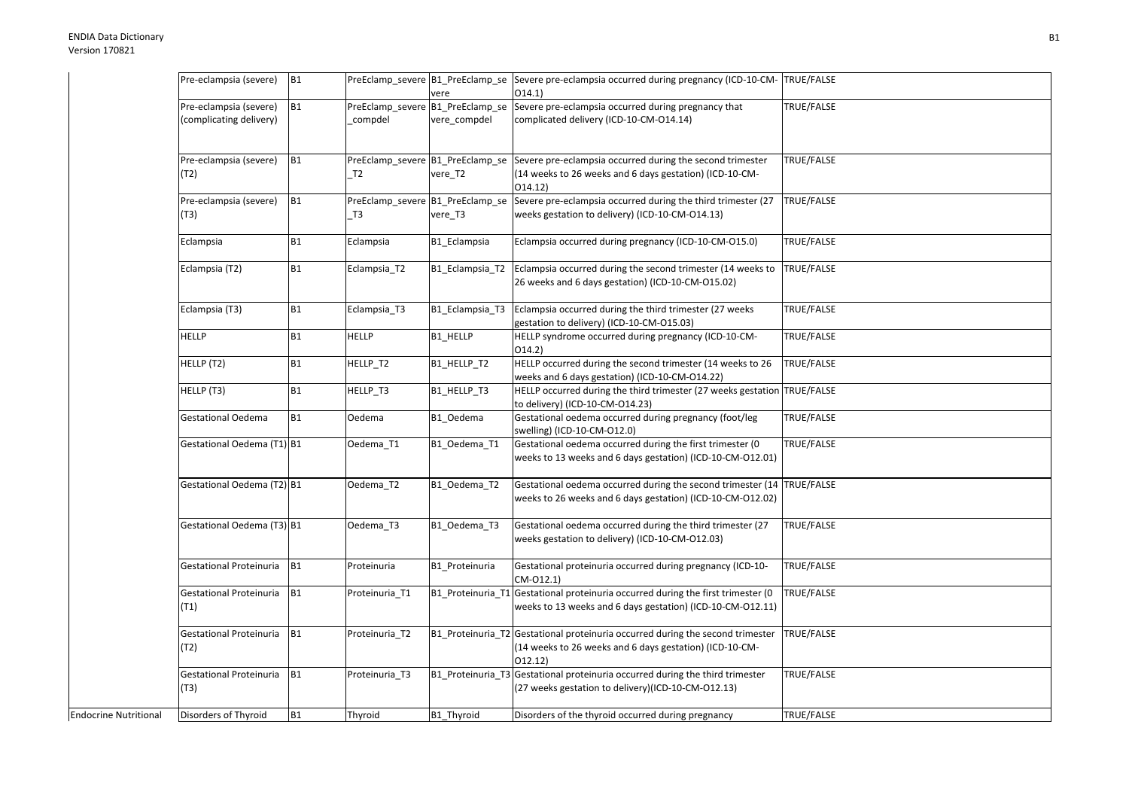| Pre-eclampsia (severe)                               | <b>B1</b> |                | vere                                             | PreEclamp_severe  B1_PreEclamp_se  Severe pre-eclampsia occurred during pregnancy (ICD-10-CM-  TRUE/FALSE<br>O(14.1)                                 |                   |
|------------------------------------------------------|-----------|----------------|--------------------------------------------------|------------------------------------------------------------------------------------------------------------------------------------------------------|-------------------|
| Pre-eclampsia (severe)<br>(complicating delivery)    | <b>B1</b> | compdel        | PreEclamp_severe B1_PreEclamp_se<br>vere_compdel | Severe pre-eclampsia occurred during pregnancy that<br>complicated delivery (ICD-10-CM-O14.14)                                                       | TRUE/FALSE        |
| Pre-eclampsia (severe)<br>(T2)                       | <b>B1</b> | T <sub>2</sub> | PreEclamp severe B1 PreEclamp se<br>vere T2      | Severe pre-eclampsia occurred during the second trimester<br>(14 weeks to 26 weeks and 6 days gestation) (ICD-10-CM-<br>014.12)                      | TRUE/FALSE        |
| Pre-eclampsia (severe)<br>(T3)                       | <b>B1</b> | T <sub>3</sub> | vere T3                                          | PreEclamp_severe   B1_PreEclamp_se   Severe pre-eclampsia occurred during the third trimester (27<br>weeks gestation to delivery) (ICD-10-CM-O14.13) | TRUE/FALSE        |
| Eclampsia                                            | <b>B1</b> | Eclampsia      | B1_Eclampsia                                     | Eclampsia occurred during pregnancy (ICD-10-CM-O15.0)                                                                                                | TRUE/FALSE        |
| Eclampsia (T2)                                       | <b>B1</b> | Eclampsia_T2   | B1_Eclampsia_T2                                  | Eclampsia occurred during the second trimester (14 weeks to<br>26 weeks and 6 days gestation) (ICD-10-CM-O15.02)                                     | <b>TRUE/FALSE</b> |
| Eclampsia (T3)                                       | <b>B1</b> | Eclampsia_T3   | B1 Eclampsia T3                                  | Eclampsia occurred during the third trimester (27 weeks<br>gestation to delivery) (ICD-10-CM-O15.03)                                                 | TRUE/FALSE        |
| <b>HELLP</b>                                         | B1        | <b>HELLP</b>   | <b>B1 HELLP</b>                                  | HELLP syndrome occurred during pregnancy (ICD-10-CM-<br>O(14.2)                                                                                      | TRUE/FALSE        |
| HELLP (T2)                                           | <b>B1</b> | HELLP_T2       | B1_HELLP_T2                                      | HELLP occurred during the second trimester (14 weeks to 26<br>weeks and 6 days gestation) (ICD-10-CM-O14.22)                                         | TRUE/FALSE        |
| HELLP (T3)                                           | <b>B1</b> | HELLP_T3       | B1_HELLP_T3                                      | HELLP occurred during the third trimester (27 weeks gestation TRUE/FALSE<br>to delivery) (ICD-10-CM-014.23)                                          |                   |
| <b>Gestational Oedema</b>                            | <b>B1</b> | Oedema         | B1_Oedema                                        | Gestational oedema occurred during pregnancy (foot/leg<br>swelling) (ICD-10-CM-O12.0)                                                                | TRUE/FALSE        |
| Gestational Oedema (T1) B1                           |           | Oedema_T1      | B1_Oedema_T1                                     | Gestational oedema occurred during the first trimester (0<br>weeks to 13 weeks and 6 days gestation) (ICD-10-CM-O12.01)                              | TRUE/FALSE        |
| Gestational Oedema (T2) B1                           |           | Oedema T2      | B1 Oedema T2                                     | Gestational oedema occurred during the second trimester (14 TRUE/FALSE<br>weeks to 26 weeks and 6 days gestation) (ICD-10-CM-012.02)                 |                   |
| Gestational Oedema (T3) B1                           |           | Oedema_T3      | B1_Oedema_T3                                     | Gestational oedema occurred during the third trimester (27<br>weeks gestation to delivery) (ICD-10-CM-O12.03)                                        | TRUE/FALSE        |
| Gestational Proteinuria                              | <b>B1</b> | Proteinuria    | B1 Proteinuria                                   | Gestational proteinuria occurred during pregnancy (ICD-10-<br>CM-012.1)                                                                              | TRUE/FALSE        |
| Gestational Proteinuria<br>(T1)                      | <b>B1</b> | Proteinuria_T1 |                                                  | B1_Proteinuria_T1 Gestational proteinuria occurred during the first trimester (0<br>weeks to 13 weeks and 6 days gestation) (ICD-10-CM-012.11)       | TRUE/FALSE        |
| Gestational Proteinuria<br>(T2)                      | <b>B1</b> | Proteinuria_T2 |                                                  | B1 Proteinuria T2 Gestational proteinuria occurred during the second trimester<br>(14 weeks to 26 weeks and 6 days gestation) (ICD-10-CM-<br>012.12) | TRUE/FALSE        |
| Gestational Proteinuria<br>(T3)                      | <b>B1</b> | Proteinuria_T3 |                                                  | B1_Proteinuria_T3 Gestational proteinuria occurred during the third trimester<br>(27 weeks gestation to delivery)(ICD-10-CM-O12.13)                  | TRUE/FALSE        |
| <b>Endocrine Nutritional</b><br>Disorders of Thyroid | <b>B1</b> | Thyroid        | B1_Thyroid                                       | Disorders of the thyroid occurred during pregnancy                                                                                                   | TRUE/FALSE        |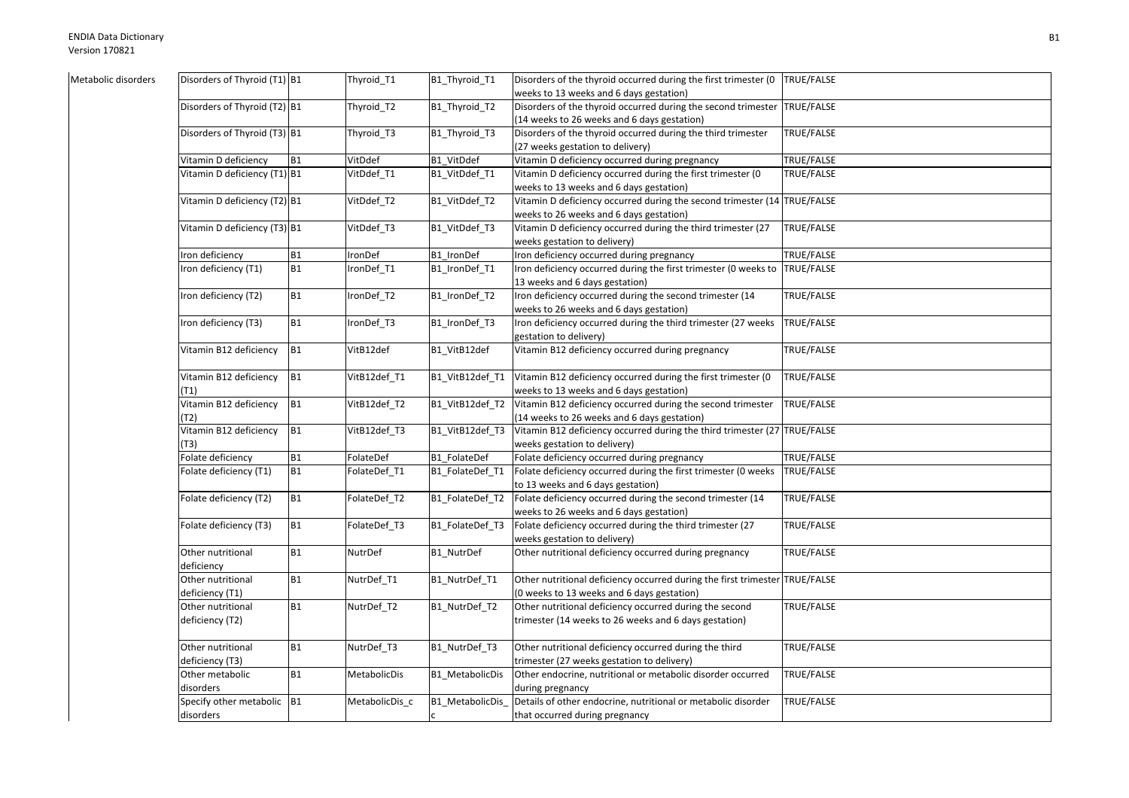| Metabolic disorders | Disorders of Thyroid (T1) B1 |           | Thyroid_T1     | B1_Thyroid_T1    | Disorders of the thyroid occurred during the first trimester (0             | TRUE/FALSE |
|---------------------|------------------------------|-----------|----------------|------------------|-----------------------------------------------------------------------------|------------|
|                     |                              |           |                |                  | weeks to 13 weeks and 6 days gestation)                                     |            |
|                     | Disorders of Thyroid (T2) B1 |           | Thyroid_T2     | B1_Thyroid_T2    | Disorders of the thyroid occurred during the second trimester               | TRUE/FALSE |
|                     |                              |           |                |                  | (14 weeks to 26 weeks and 6 days gestation)                                 |            |
|                     | Disorders of Thyroid (T3) B1 |           | Thyroid_T3     | B1_Thyroid_T3    | Disorders of the thyroid occurred during the third trimester                | TRUE/FALSE |
|                     |                              |           |                |                  | (27 weeks gestation to delivery)                                            |            |
|                     | Vitamin D deficiency         | <b>B1</b> | VitDdef        | B1 VitDdef       | Vitamin D deficiency occurred during pregnancy                              | TRUE/FALSE |
|                     | Vitamin D deficiency (T1) B1 |           | VitDdef_T1     | B1_VitDdef_T1    | Vitamin D deficiency occurred during the first trimester (0                 | TRUE/FALSE |
|                     |                              |           |                |                  | weeks to 13 weeks and 6 days gestation)                                     |            |
|                     | Vitamin D deficiency (T2) B1 |           | VitDdef T2     | B1_VitDdef_T2    | Vitamin D deficiency occurred during the second trimester (14 TRUE/FALSE    |            |
|                     |                              |           |                |                  | weeks to 26 weeks and 6 days gestation)                                     |            |
|                     | Vitamin D deficiency (T3) B1 |           | VitDdef_T3     | B1_VitDdef_T3    | Vitamin D deficiency occurred during the third trimester (27                | TRUE/FALSE |
|                     |                              |           |                |                  | weeks gestation to delivery)                                                |            |
|                     | Iron deficiency              | <b>B1</b> | IronDef        | B1_IronDef       | Iron deficiency occurred during pregnancy                                   | TRUE/FALSE |
|                     | Iron deficiency (T1)         | B1        | ronDef_T1      | B1_IronDef_T1    | Iron deficiency occurred during the first trimester (0 weeks to             | TRUE/FALSE |
|                     |                              |           |                |                  | 13 weeks and 6 days gestation)                                              |            |
|                     | Iron deficiency (T2)         | <b>B1</b> | ronDef_T2      | B1_IronDef_T2    | Iron deficiency occurred during the second trimester (14                    | TRUE/FALSE |
|                     |                              |           |                |                  | weeks to 26 weeks and 6 days gestation)                                     |            |
|                     | Iron deficiency (T3)         | B1        | ronDef_T3      | B1_IronDef_T3    | Iron deficiency occurred during the third trimester (27 weeks               | TRUE/FALSE |
|                     |                              |           |                |                  | gestation to delivery)                                                      |            |
|                     | Vitamin B12 deficiency       | <b>B1</b> | VitB12def      | B1 VitB12def     | Vitamin B12 deficiency occurred during pregnancy                            | TRUE/FALSE |
|                     | Vitamin B12 deficiency       | <b>B1</b> | VitB12def_T1   | B1_VitB12def_T1  | Vitamin B12 deficiency occurred during the first trimester (0               | TRUE/FALSE |
|                     | (T1)                         |           |                |                  | weeks to 13 weeks and 6 days gestation)                                     |            |
|                     | Vitamin B12 deficiency       | <b>B1</b> | VitB12def_T2   | B1_VitB12def_T2  | Vitamin B12 deficiency occurred during the second trimester                 | TRUE/FALSE |
|                     | (T2)                         |           |                |                  | (14 weeks to 26 weeks and 6 days gestation)                                 |            |
|                     | Vitamin B12 deficiency       | <b>B1</b> | VitB12def_T3   | B1_VitB12def_T3  | Vitamin B12 deficiency occurred during the third trimester (27 TRUE/FALSE   |            |
|                     | (T3)                         |           |                |                  | weeks gestation to delivery)                                                |            |
|                     | Folate deficiency            | <b>B1</b> | FolateDef      | B1_FolateDef     | Folate deficiency occurred during pregnancy                                 | TRUE/FALSE |
|                     | Folate deficiency (T1)       | <b>B1</b> | FolateDef_T1   | B1_FolateDef_T1  | Folate deficiency occurred during the first trimester (0 weeks              | TRUE/FALSE |
|                     |                              |           |                |                  | to 13 weeks and 6 days gestation)                                           |            |
|                     | Folate deficiency (T2)       | <b>B1</b> | FolateDef_T2   | B1_FolateDef_T2  | Folate deficiency occurred during the second trimester (14                  | TRUE/FALSE |
|                     |                              |           |                |                  | weeks to 26 weeks and 6 days gestation)                                     |            |
|                     | Folate deficiency (T3)       | <b>B1</b> | FolateDef_T3   | B1_FolateDef_T3  | Folate deficiency occurred during the third trimester (27                   | TRUE/FALSE |
|                     |                              |           |                |                  | weeks gestation to delivery)                                                |            |
|                     | Other nutritional            | <b>B1</b> | NutrDef        | B1 NutrDef       | Other nutritional deficiency occurred during pregnancy                      | TRUE/FALSE |
|                     | deficiency                   |           |                |                  |                                                                             |            |
|                     | Other nutritional            | <b>B1</b> | NutrDef T1     | B1_NutrDef_T1    | Other nutritional deficiency occurred during the first trimester TRUE/FALSE |            |
|                     | deficiency (T1)              |           |                |                  | (0 weeks to 13 weeks and 6 days gestation)                                  |            |
|                     | Other nutritional            | <b>B1</b> | NutrDef T2     | B1 NutrDef T2    | Other nutritional deficiency occurred during the second                     | TRUE/FALSE |
|                     | deficiency (T2)              |           |                |                  | trimester (14 weeks to 26 weeks and 6 days gestation)                       |            |
|                     | Other nutritional            | <b>B1</b> | NutrDef_T3     | B1_NutrDef_T3    | Other nutritional deficiency occurred during the third                      | TRUE/FALSE |
|                     | deficiency (T3)              |           |                |                  | trimester (27 weeks gestation to delivery)                                  |            |
|                     | Other metabolic              | <b>B1</b> | MetabolicDis   | B1_MetabolicDis  | Other endocrine, nutritional or metabolic disorder occurred                 | TRUE/FALSE |
|                     | disorders                    |           |                |                  | during pregnancy                                                            |            |
|                     | Specify other metabolic B1   |           | MetabolicDis_c | B1_MetabolicDis_ | Details of other endocrine, nutritional or metabolic disorder               | TRUE/FALSE |
|                     | disorders                    |           |                |                  | that occurred during pregnancy                                              |            |
|                     |                              |           |                |                  |                                                                             |            |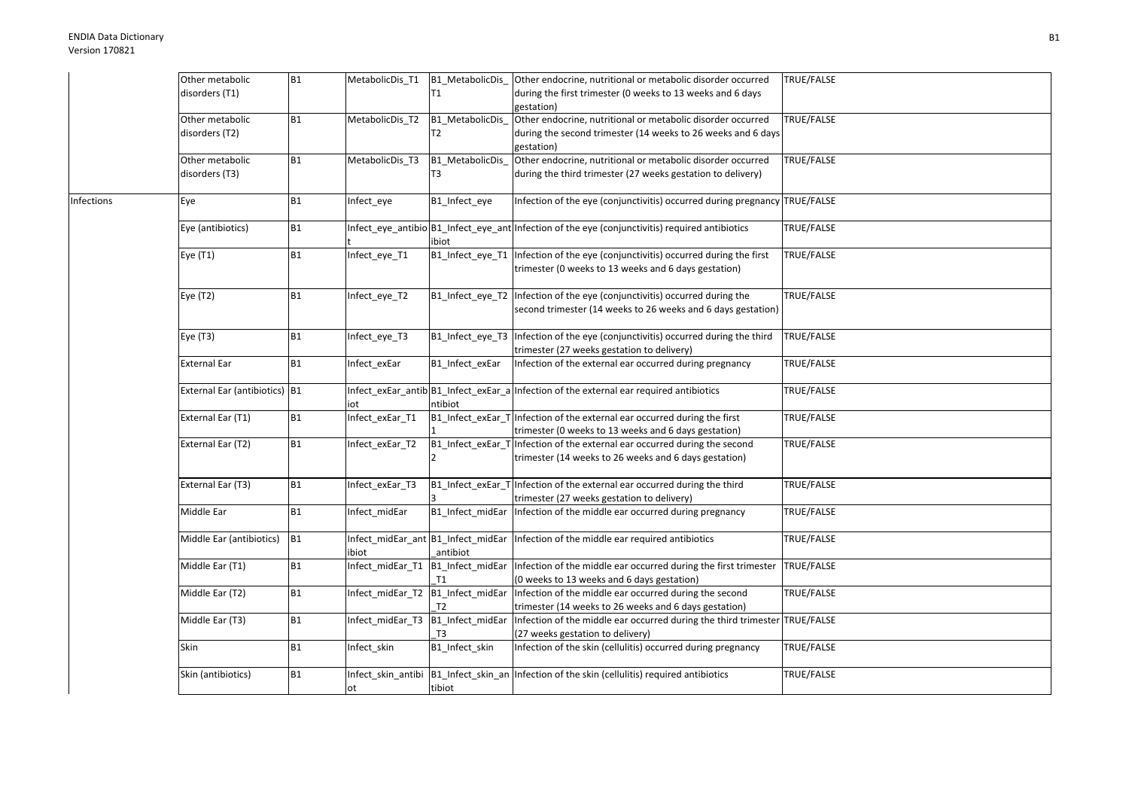|            | Other metabolic               | <b>B1</b>      | MetabolicDis_T1                    | B1_MetabolicDis_                     | Other endocrine, nutritional or metabolic disorder occurred                                     | TRUE/FALSE |
|------------|-------------------------------|----------------|------------------------------------|--------------------------------------|-------------------------------------------------------------------------------------------------|------------|
|            | disorders (T1)                |                |                                    | T <sub>1</sub>                       | during the first trimester (0 weeks to 13 weeks and 6 days                                      |            |
|            |                               |                |                                    |                                      | gestation)                                                                                      |            |
|            | Other metabolic               | B1             | MetabolicDis_T2                    | B1_MetabolicDis_                     | Other endocrine, nutritional or metabolic disorder occurred                                     | TRUE/FALSE |
|            | disorders (T2)                |                |                                    | T <sub>2</sub>                       | during the second trimester (14 weeks to 26 weeks and 6 days                                    |            |
|            |                               |                |                                    |                                      | gestation)                                                                                      |            |
|            | Other metabolic               | <b>B1</b>      | MetabolicDis_T3                    | B1_MetabolicDis_                     | Other endocrine, nutritional or metabolic disorder occurred                                     | TRUE/FALSE |
|            | disorders (T3)                |                |                                    | T <sub>3</sub>                       | during the third trimester (27 weeks gestation to delivery)                                     |            |
|            |                               |                |                                    |                                      |                                                                                                 |            |
| Infections | Eye                           | <b>B1</b>      | Infect_eye                         | B1_Infect_eye                        | Infection of the eye (conjunctivitis) occurred during pregnancy TRUE/FALSE                      |            |
|            |                               |                |                                    |                                      |                                                                                                 |            |
|            | Eye (antibiotics)             | <b>B1</b>      |                                    |                                      | Infect_eye_antibio B1_Infect_eye_ant Infection of the eye (conjunctivitis) required antibiotics | TRUE/FALSE |
|            |                               |                |                                    | ibiot                                |                                                                                                 |            |
|            | Eye (T1)                      | B1             | Infect_eye_T1                      | B1_Infect_eye_T1                     | Infection of the eye (conjunctivitis) occurred during the first                                 | TRUE/FALSE |
|            |                               |                |                                    |                                      | trimester (0 weeks to 13 weeks and 6 days gestation)                                            |            |
|            |                               |                |                                    |                                      |                                                                                                 |            |
|            | Eye (T2)                      | <b>B1</b>      | Infect_eye_T2                      | B1_Infect_eye_T2                     | Infection of the eye (conjunctivitis) occurred during the                                       | TRUE/FALSE |
|            |                               |                |                                    |                                      | second trimester (14 weeks to 26 weeks and 6 days gestation)                                    |            |
|            |                               |                |                                    |                                      |                                                                                                 |            |
|            | Eye (T3)                      | <b>B1</b>      | Infect eye T3                      | B1 Infect eye T3                     | Infection of the eye (conjunctivitis) occurred during the third                                 | TRUE/FALSE |
|            |                               |                |                                    |                                      | trimester (27 weeks gestation to delivery)                                                      |            |
|            | External Ear                  | <b>B1</b>      | Infect exEar                       | B1 Infect exEar                      | Infection of the external ear occurred during pregnancy                                         | TRUE/FALSE |
|            |                               |                |                                    |                                      |                                                                                                 |            |
|            | External Ear (antibiotics) B1 |                |                                    |                                      | Infect extar antib $ B1 $ Infect extar a Infection of the external ear required antibiotics     | TRUE/FALSE |
|            |                               |                | iot                                | ntibiot                              |                                                                                                 |            |
|            | External Ear (T1)             | <b>B1</b>      | Infect exEar T1                    | B1_Infect_exEar_T                    | Infection of the external ear occurred during the first                                         | TRUE/FALSE |
|            |                               |                |                                    |                                      | trimester (0 weeks to 13 weeks and 6 days gestation)                                            |            |
|            | External Ear (T2)             | B1             | Infect_exEar_T2                    | B1_Infect_exEar_T                    | Infection of the external ear occurred during the second                                        | TRUE/FALSE |
|            |                               |                |                                    |                                      | trimester (14 weeks to 26 weeks and 6 days gestation)                                           |            |
|            |                               |                |                                    |                                      |                                                                                                 |            |
|            | External Ear (T3)             | <b>B1</b>      | Infect_exEar_T3                    | B1_Infect_exEar_T                    | Infection of the external ear occurred during the third                                         | TRUE/FALSE |
|            |                               |                |                                    |                                      | trimester (27 weeks gestation to delivery)                                                      |            |
|            | Middle Ear                    | <b>B1</b>      | Infect midEar                      | B1_Infect_midEar                     | Infection of the middle ear occurred during pregnancy                                           | TRUE/FALSE |
|            |                               |                |                                    |                                      |                                                                                                 |            |
|            | Middle Ear (antibiotics)      | B <sub>1</sub> | Infect_midEar_ant B1_Infect_midEar |                                      | Infection of the middle ear required antibiotics                                                | TRUE/FALSE |
|            |                               |                | ibiot                              | antibiot                             |                                                                                                 |            |
|            | Middle Ear (T1)               | <b>B1</b>      | Infect_midEar_T1                   | B1_Infect_midEar                     | Infection of the middle ear occurred during the first trimester                                 | TRUE/FALSE |
|            |                               |                |                                    | T1                                   | (0 weeks to 13 weeks and 6 days gestation)                                                      |            |
|            | Middle Ear (T2)               | B1             | Infect_midEar_T2                   | B1_Infect_midEar                     | Infection of the middle ear occurred during the second                                          | TRUE/FALSE |
|            |                               |                |                                    | T2                                   | trimester (14 weeks to 26 weeks and 6 days gestation)                                           |            |
|            | Middle Ear (T3)               | <b>B1</b>      | Infect midEar T3                   | B1_Infect_midEar                     | Infection of the middle ear occurred during the third trimester TRUE/FALSE                      |            |
|            |                               |                |                                    | T <sub>3</sub>                       | (27 weeks gestation to delivery)                                                                |            |
|            | <b>Skin</b>                   | <b>B1</b>      | Infect skin                        | B1_Infect_skin                       | Infection of the skin (cellulitis) occurred during pregnancy                                    | TRUE/FALSE |
|            |                               |                |                                    |                                      |                                                                                                 |            |
|            | Skin (antibiotics)            | <b>B1</b>      |                                    | Infect_skin_antibi B1_Infect_skin_an | Infection of the skin (cellulitis) required antibiotics                                         | TRUE/FALSE |
|            |                               |                | оt                                 | tibiot                               |                                                                                                 |            |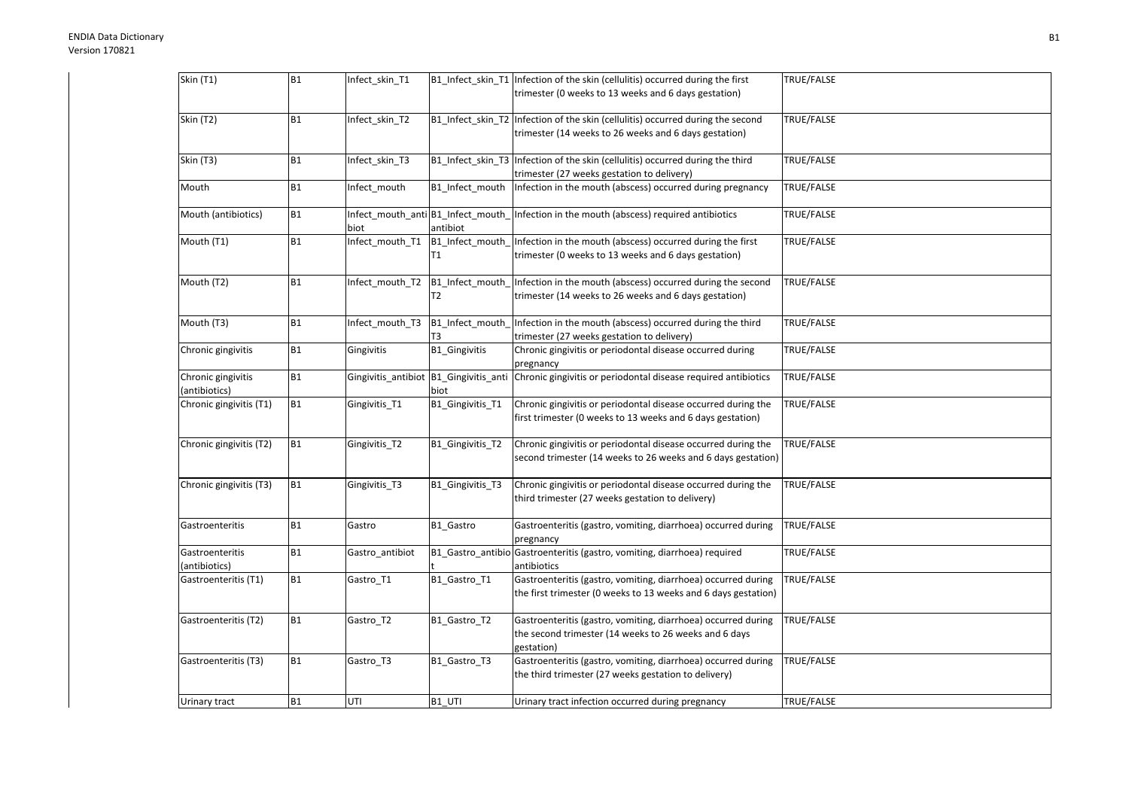| Skin (T1)                           | <b>B1</b> | Infect_skin_T1                            |                                   | B1_Infect_skin_T1  Infection of the skin (cellulitis) occurred during the first<br>trimester (0 weeks to 13 weeks and 6 days gestation)  | TRUE/FALSE |
|-------------------------------------|-----------|-------------------------------------------|-----------------------------------|------------------------------------------------------------------------------------------------------------------------------------------|------------|
| Skin (T2)                           | <b>B1</b> | Infect_skin_T2                            |                                   | B1_Infect_skin_T2 Infection of the skin (cellulitis) occurred during the second<br>trimester (14 weeks to 26 weeks and 6 days gestation) | TRUE/FALSE |
| Skin (T3)                           | <b>B1</b> | Infect skin T3                            |                                   | B1_Infect_skin_T3 Infection of the skin (cellulitis) occurred during the third<br>trimester (27 weeks gestation to delivery)             | TRUE/FALSE |
| Mouth                               | <b>B1</b> | Infect mouth                              | B1_Infect_mouth                   | Infection in the mouth (abscess) occurred during pregnancy                                                                               | TRUE/FALSE |
| Mouth (antibiotics)                 | <b>B1</b> | Infect_mouth_anti B1_Infect_mouth<br>biot | antibiot                          | Infection in the mouth (abscess) required antibiotics                                                                                    | TRUE/FALSE |
| Mouth (T1)                          | <b>B1</b> | Infect_mouth_T1                           | B1_Infect_mouth<br>Τ1             | Infection in the mouth (abscess) occurred during the first<br>trimester (0 weeks to 13 weeks and 6 days gestation)                       | TRUE/FALSE |
| Mouth (T2)                          | <b>B1</b> | Infect_mouth_T2                           | B1_Infect_mouth<br>T <sub>2</sub> | Infection in the mouth (abscess) occurred during the second<br>trimester (14 weeks to 26 weeks and 6 days gestation)                     | TRUE/FALSE |
| Mouth (T3)                          | <b>B1</b> | Infect_mouth_T3                           | B1_Infect_mouth<br>T3             | Infection in the mouth (abscess) occurred during the third<br>trimester (27 weeks gestation to delivery)                                 | TRUE/FALSE |
| Chronic gingivitis                  | B1        | Gingivitis                                | B1_Gingivitis                     | Chronic gingivitis or periodontal disease occurred during<br>pregnancy                                                                   | TRUE/FALSE |
| Chronic gingivitis<br>(antibiotics) | <b>B1</b> | Gingivitis_antibiot B1_Gingivitis_anti    | biot                              | Chronic gingivitis or periodontal disease required antibiotics                                                                           | TRUE/FALSE |
| Chronic gingivitis (T1)             | <b>B1</b> | Gingivitis_T1                             | B1_Gingivitis_T1                  | Chronic gingivitis or periodontal disease occurred during the<br>first trimester (0 weeks to 13 weeks and 6 days gestation)              | TRUE/FALSE |
| Chronic gingivitis (T2)             | <b>B1</b> | Gingivitis_T2                             | B1_Gingivitis_T2                  | Chronic gingivitis or periodontal disease occurred during the<br>second trimester (14 weeks to 26 weeks and 6 days gestation)            | TRUE/FALSE |
| Chronic gingivitis (T3)             | <b>B1</b> | Gingivitis T3                             | B1 Gingivitis T3                  | Chronic gingivitis or periodontal disease occurred during the<br>third trimester (27 weeks gestation to delivery)                        | TRUE/FALSE |
| Gastroenteritis                     | <b>B1</b> | Gastro                                    | B1_Gastro                         | Gastroenteritis (gastro, vomiting, diarrhoea) occurred during<br>pregnancy                                                               | TRUE/FALSE |
| Gastroenteritis<br>(antibiotics)    | <b>B1</b> | Gastro_antibiot                           | B1_Gastro_antibio                 | Gastroenteritis (gastro, vomiting, diarrhoea) required<br>antibiotics                                                                    | TRUE/FALSE |
| Gastroenteritis (T1)                | <b>B1</b> | Gastro T1                                 | B1_Gastro_T1                      | Gastroenteritis (gastro, vomiting, diarrhoea) occurred during<br>the first trimester (0 weeks to 13 weeks and 6 days gestation)          | TRUE/FALSE |
| Gastroenteritis (T2)                | <b>B1</b> | Gastro_T2                                 | B1_Gastro_T2                      | Gastroenteritis (gastro, vomiting, diarrhoea) occurred during<br>the second trimester (14 weeks to 26 weeks and 6 days<br>gestation)     | TRUE/FALSE |
| Gastroenteritis (T3)                | <b>B1</b> | Gastro T3                                 | B1_Gastro_T3                      | Gastroenteritis (gastro, vomiting, diarrhoea) occurred during<br>the third trimester (27 weeks gestation to delivery)                    | TRUE/FALSE |
| Urinary tract                       | <b>B1</b> | UTI                                       | B1 UTI                            | Urinary tract infection occurred during pregnancy                                                                                        | TRUE/FALSE |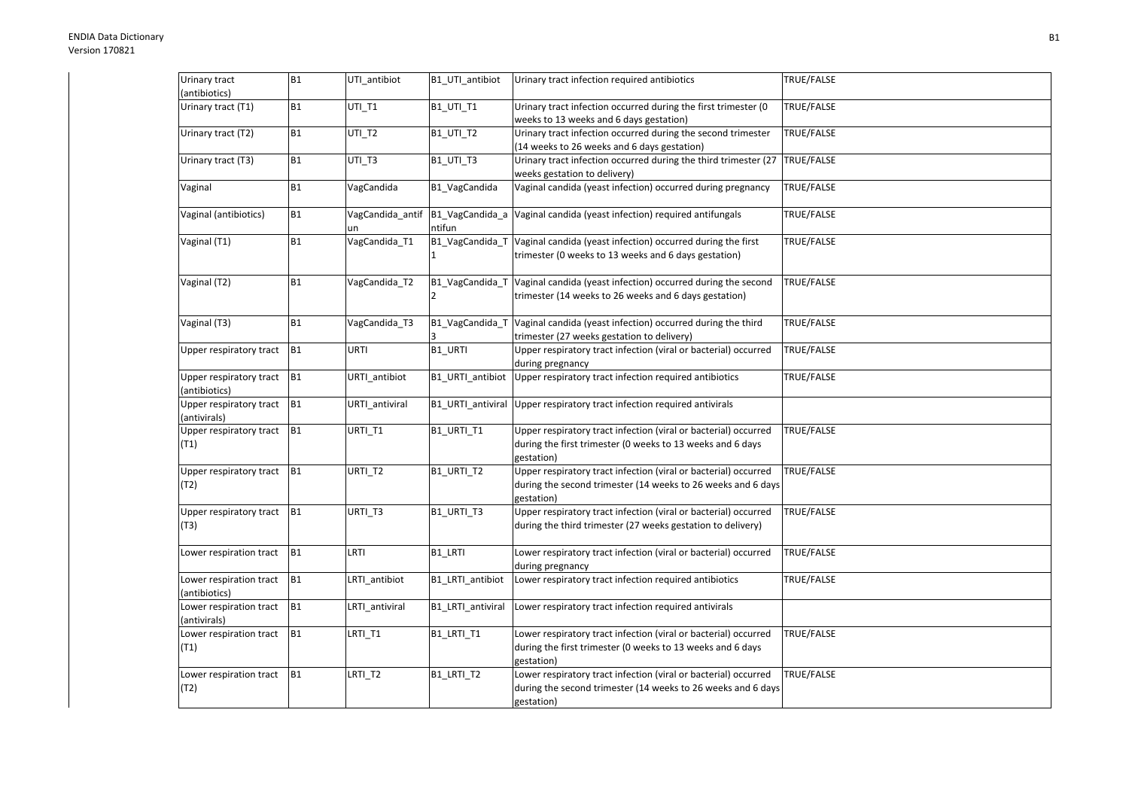| Urinary tract<br>(antibiotics)           | <b>B1</b>      | UTI_antibiot           | B1_UTI_antibiot           | Urinary tract infection required antibiotics                                                                                  | TRUE/FALSE        |
|------------------------------------------|----------------|------------------------|---------------------------|-------------------------------------------------------------------------------------------------------------------------------|-------------------|
|                                          |                |                        |                           |                                                                                                                               |                   |
| Urinary tract (T1)                       | <b>B1</b>      | UTI_T1                 | B1_UTI_T1                 | Urinary tract infection occurred during the first trimester (0<br>weeks to 13 weeks and 6 days gestation)                     | TRUE/FALSE        |
| Urinary tract (T2)                       | <b>B1</b>      | UTI_T2                 | <b>B1_UTI_T2</b>          | Urinary tract infection occurred during the second trimester<br>(14 weeks to 26 weeks and 6 days gestation)                   | TRUE/FALSE        |
| Urinary tract (T3)                       | <b>B1</b>      | UTI_T3                 | <b>B1_UTI_T3</b>          | Urinary tract infection occurred during the third trimester (27<br>weeks gestation to delivery)                               | <b>TRUE/FALSE</b> |
| Vaginal                                  | <b>B1</b>      | VagCandida             | B1 VagCandida             | Vaginal candida (yeast infection) occurred during pregnancy                                                                   | TRUE/FALSE        |
|                                          |                |                        |                           |                                                                                                                               |                   |
| Vaginal (antibiotics)                    | <b>B1</b>      | VagCandida_antif<br>un | B1_VagCandida_a<br>ntifun | Vaginal candida (yeast infection) required antifungals                                                                        | TRUE/FALSE        |
| Vaginal (T1)                             | <b>B1</b>      | VagCandida_T1          | B1_VagCandida_T           | Vaginal candida (yeast infection) occurred during the first                                                                   | TRUE/FALSE        |
|                                          |                |                        |                           | trimester (0 weeks to 13 weeks and 6 days gestation)                                                                          |                   |
| Vaginal (T2)                             | B1             | VagCandida_T2          | B1_VagCandida_T           | Vaginal candida (yeast infection) occurred during the second                                                                  | TRUE/FALSE        |
|                                          |                |                        | $\overline{2}$            | trimester (14 weeks to 26 weeks and 6 days gestation)                                                                         |                   |
| Vaginal (T3)                             | <b>B1</b>      | VagCandida_T3          | B1_VagCandida_T           | Vaginal candida (yeast infection) occurred during the third                                                                   | TRUE/FALSE        |
|                                          |                |                        |                           | trimester (27 weeks gestation to delivery)                                                                                    |                   |
| Upper respiratory tract                  | B <sub>1</sub> | URTI                   | B1_URTI                   | Upper respiratory tract infection (viral or bacterial) occurred<br>during pregnancy                                           | TRUE/FALSE        |
| Upper respiratory tract                  | B <sub>1</sub> | URTI_antibiot          | B1_URTI_antibiot          | Upper respiratory tract infection required antibiotics                                                                        | TRUE/FALSE        |
| (antibiotics)                            |                |                        |                           |                                                                                                                               |                   |
| Upper respiratory tract<br>(antivirals)  | B <sub>1</sub> | URTI_antiviral         | B1_URTI_antiviral         | Upper respiratory tract infection required antivirals                                                                         |                   |
| Upper respiratory tract                  | B <sub>1</sub> | URTI_T1                | B1 URTI T1                | Upper respiratory tract infection (viral or bacterial) occurred                                                               | TRUE/FALSE        |
| (T1)                                     |                |                        |                           | during the first trimester (0 weeks to 13 weeks and 6 days<br>gestation)                                                      |                   |
| Upper respiratory tract                  | B <sub>1</sub> | URTI_T2                | B1_URTI_T2                | Upper respiratory tract infection (viral or bacterial) occurred                                                               | TRUE/FALSE        |
| (T2)                                     |                |                        |                           | during the second trimester (14 weeks to 26 weeks and 6 days<br>gestation)                                                    |                   |
| Upper respiratory tract                  | B <sub>1</sub> | URTI_T3                | B1_URTI_T3                | Upper respiratory tract infection (viral or bacterial) occurred                                                               | TRUE/FALSE        |
| (T3)                                     |                |                        |                           | during the third trimester (27 weeks gestation to delivery)                                                                   |                   |
| Lower respiration tract                  | B <sub>1</sub> | LRTI                   | B1_LRTI                   | Lower respiratory tract infection (viral or bacterial) occurred                                                               | TRUE/FALSE        |
|                                          |                |                        |                           | during pregnancy                                                                                                              |                   |
| Lower respiration tract<br>(antibiotics) | B <sub>1</sub> | LRTI antibiot          | B1 LRTI antibiot          | Lower respiratory tract infection required antibiotics                                                                        | TRUE/FALSE        |
| Lower respiration tract                  | B <sub>1</sub> | LRTI antiviral         | B1 LRTI antiviral         | Lower respiratory tract infection required antivirals                                                                         |                   |
| (antivirals)                             |                |                        |                           |                                                                                                                               |                   |
| Lower respiration tract<br>(T1)          | B <sub>1</sub> | LRTI_T1                | B1_LRTI_T1                | Lower respiratory tract infection (viral or bacterial) occurred<br>during the first trimester (0 weeks to 13 weeks and 6 days | TRUE/FALSE        |
|                                          |                |                        |                           | gestation)                                                                                                                    |                   |
| Lower respiration tract                  | <b>B1</b>      | LRTI_T2                | B1_LRTI_T2                | Lower respiratory tract infection (viral or bacterial) occurred                                                               | TRUE/FALSE        |
| (T2)                                     |                |                        |                           | during the second trimester (14 weeks to 26 weeks and 6 days                                                                  |                   |
|                                          |                |                        |                           | gestation)                                                                                                                    |                   |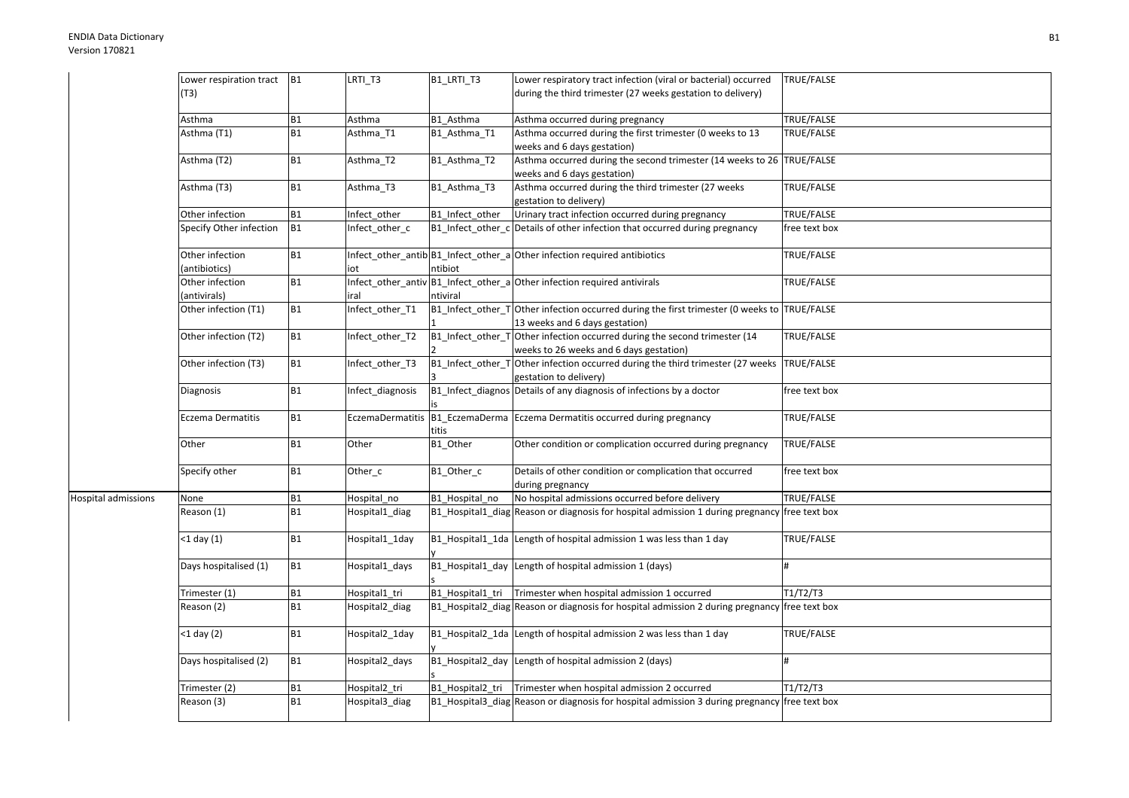|                            | Lower respiration tract   B1 |           | LRTI_T3          | B1_LRTI_T3        | Lower respiratory tract infection (viral or bacterial) occurred                               | TRUE/FALSE        |
|----------------------------|------------------------------|-----------|------------------|-------------------|-----------------------------------------------------------------------------------------------|-------------------|
|                            | (T3)                         |           |                  |                   | during the third trimester (27 weeks gestation to delivery)                                   |                   |
|                            |                              |           |                  |                   |                                                                                               |                   |
|                            | Asthma                       | <b>B1</b> | Asthma           | B1_Asthma         | Asthma occurred during pregnancy                                                              | <b>TRUE/FALSE</b> |
|                            | Asthma (T1)                  | <b>B1</b> | Asthma_T1        | B1_Asthma_T1      | Asthma occurred during the first trimester (0 weeks to 13                                     | TRUE/FALSE        |
|                            |                              |           |                  |                   | weeks and 6 days gestation)                                                                   |                   |
|                            | Asthma (T2)                  | <b>B1</b> | Asthma_T2        | B1_Asthma_T2      | Asthma occurred during the second trimester (14 weeks to 26 TRUE/FALSE                        |                   |
|                            |                              |           |                  |                   | weeks and 6 days gestation)                                                                   |                   |
|                            | Asthma (T3)                  | <b>B1</b> | Asthma_T3        | B1_Asthma_T3      | Asthma occurred during the third trimester (27 weeks                                          | TRUE/FALSE        |
|                            |                              |           |                  |                   | gestation to delivery)                                                                        |                   |
|                            | Other infection              | <b>B1</b> | Infect_other     | B1_Infect_other   | Urinary tract infection occurred during pregnancy                                             | TRUE/FALSE        |
|                            | Specify Other infection      | <b>B1</b> | Infect_other_c   | B1_Infect_other_c | Details of other infection that occurred during pregnancy                                     | free text box     |
|                            |                              |           |                  |                   |                                                                                               |                   |
|                            | Other infection              | <b>B1</b> |                  |                   | Infect_other_antib B1_Infect_other_a Other infection required antibiotics                     | TRUE/FALSE        |
|                            | (antibiotics)                |           | iot              | ntibiot           |                                                                                               |                   |
|                            | Other infection              | <b>B1</b> |                  |                   | Infect_other_antiv B1_Infect_other_a Other infection required antivirals                      | TRUE/FALSE        |
|                            | (antivirals)                 |           | iral             | ntiviral          |                                                                                               |                   |
|                            | Other infection (T1)         | B1        | Infect_other_T1  |                   | B1_Infect_other_T Other infection occurred during the first trimester (0 weeks to TRUE/FALSE  |                   |
|                            |                              |           |                  |                   | 13 weeks and 6 days gestation)                                                                |                   |
|                            | Other infection (T2)         | <b>B1</b> | Infect_other_T2  |                   | B1_Infect_other_T Other infection occurred during the second trimester (14                    | TRUE/FALSE        |
|                            |                              |           |                  |                   | weeks to 26 weeks and 6 days gestation)                                                       |                   |
|                            | Other infection (T3)         | <b>B1</b> | Infect_other_T3  | B1_Infect_other_T | Other infection occurred during the third trimester (27 weeks                                 | <b>TRUE/FALSE</b> |
|                            |                              |           |                  |                   | gestation to delivery)                                                                        |                   |
|                            | Diagnosis                    | <b>B1</b> | Infect_diagnosis |                   | B1_Infect_diagnos Details of any diagnosis of infections by a doctor                          | free text box     |
|                            |                              |           |                  |                   |                                                                                               |                   |
|                            | Eczema Dermatitis            | B1        |                  |                   | EczemaDermatitis B1_EczemaDerma Eczema Dermatitis occurred during pregnancy                   | TRUE/FALSE        |
|                            |                              |           |                  | titis             |                                                                                               |                   |
|                            | Other                        | B1        | Other            | B1_Other          | Other condition or complication occurred during pregnancy                                     | TRUE/FALSE        |
|                            |                              |           |                  |                   |                                                                                               |                   |
|                            | Specify other                | <b>B1</b> | Other_c          | B1_Other_c        | Details of other condition or complication that occurred                                      | free text box     |
|                            |                              |           |                  |                   | during pregnancy                                                                              |                   |
| <b>Hospital admissions</b> | None                         | <b>B1</b> | Hospital_no      | B1_Hospital_no    | No hospital admissions occurred before delivery                                               | TRUE/FALSE        |
|                            | Reason (1)                   | <b>B1</b> | Hospital1_diag   |                   | B1 Hospital1 diag Reason or diagnosis for hospital admission 1 during pregnancy free text box |                   |
|                            |                              |           |                  |                   |                                                                                               |                   |
|                            | $<$ 1 day $(1)$              | B1        | Hospital1_1day   |                   | B1_Hospital1_1da Length of hospital admission 1 was less than 1 day                           | TRUE/FALSE        |
|                            |                              |           |                  |                   |                                                                                               |                   |
|                            | Days hospitalised (1)        | B1        | Hospital1_days   |                   | B1_Hospital1_day Length of hospital admission 1 (days)                                        | $\bf{H}$          |
|                            |                              |           |                  |                   |                                                                                               |                   |
|                            | Trimester (1)                | <b>B1</b> | Hospital1_tri    | B1 Hospital1 tri  | Trimester when hospital admission 1 occurred                                                  | T1/T2/T3          |
|                            | Reason (2)                   | <b>B1</b> | Hospital2_diag   |                   | B1_Hospital2_diag Reason or diagnosis for hospital admission 2 during pregnancy free text box |                   |
|                            |                              |           |                  |                   |                                                                                               |                   |
|                            | $<$ 1 day (2)                | <b>B1</b> | Hospital2_1day   |                   | B1_Hospital2_1da Length of hospital admission 2 was less than 1 day                           | TRUE/FALSE        |
|                            |                              |           |                  |                   |                                                                                               |                   |
|                            | Days hospitalised (2)        | B1        | Hospital2_days   |                   | B1_Hospital2_day Length of hospital admission 2 (days)                                        | #                 |
|                            |                              |           |                  |                   |                                                                                               |                   |
|                            | Frimester (2)                | <b>B1</b> | Hospital2_tri    | B1 Hospital2_tri  | Trimester when hospital admission 2 occurred                                                  | T1/T2/T3          |
|                            | Reason (3)                   | <b>B1</b> | Hospital3_diag   |                   | B1_Hospital3_diag Reason or diagnosis for hospital admission 3 during pregnancy free text box |                   |
|                            |                              |           |                  |                   |                                                                                               |                   |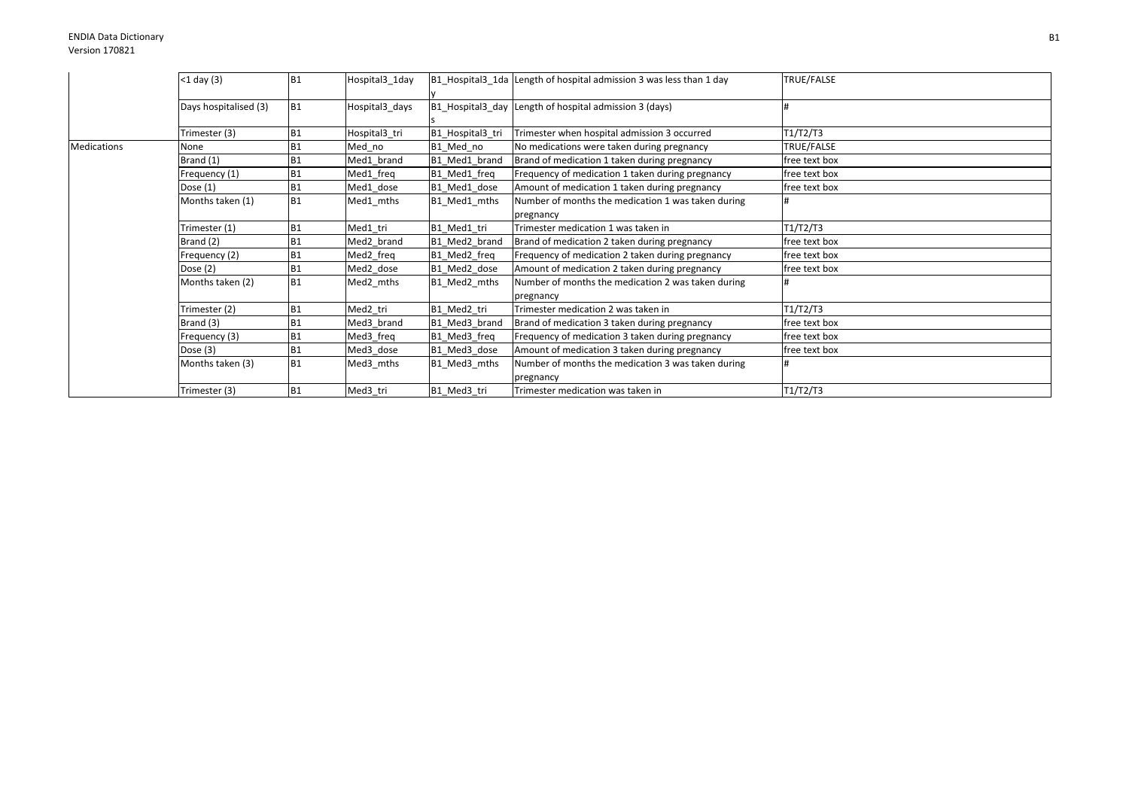|                    | $<$ 1 day (3)         | IB <sub>1</sub> | Hospital3_1day |                  | B1_Hospital3_1da Length of hospital admission 3 was less than 1 day | TRUE/FALSE    |
|--------------------|-----------------------|-----------------|----------------|------------------|---------------------------------------------------------------------|---------------|
|                    | Days hospitalised (3) | <b>B1</b>       | Hospital3 days |                  | B1 Hospital3 day Length of hospital admission 3 (days)              |               |
|                    | Trimester (3)         | <b>B1</b>       | Hospital3 tri  | B1 Hospital3 tri | Trimester when hospital admission 3 occurred                        | T1/T2/T3      |
| <b>Medications</b> | None                  | <b>B1</b>       | Med_no         | B1 Med no        | No medications were taken during pregnancy                          | TRUE/FALSE    |
|                    | Brand (1)             | <b>B1</b>       | Med1 brand     | B1 Med1 brand    | Brand of medication 1 taken during pregnancy                        | free text box |
|                    | Frequency (1)         | <b>B1</b>       | Med1 freq      | B1 Med1 freq     | Frequency of medication 1 taken during pregnancy                    | free text box |
|                    | Dose $(1)$            | <b>B1</b>       | Med1 dose      | B1_Med1_dose     | Amount of medication 1 taken during pregnancy                       | free text box |
|                    | Months taken (1)      | <b>B1</b>       | Med1 mths      | B1 Med1 mths     | Number of months the medication 1 was taken during                  |               |
|                    |                       |                 |                |                  | pregnancy                                                           |               |
|                    | Trimester (1)         | <b>B1</b>       | Med1 tri       | B1 Med1 tri      | Trimester medication 1 was taken in                                 | T1/T2/T3      |
|                    | Brand (2)             | <b>B1</b>       | Med2 brand     | B1 Med2 brand    | Brand of medication 2 taken during pregnancy                        | free text box |
|                    | Frequency (2)         | <b>B1</b>       | Med2 freq      | B1 Med2 freq     | Frequency of medication 2 taken during pregnancy                    | free text box |
|                    | Dose $(2)$            | <b>B1</b>       | Med2 dose      | B1_Med2_dose     | Amount of medication 2 taken during pregnancy                       | free text box |
|                    | Months taken (2)      | <b>B1</b>       | Med2 mths      | B1_Med2_mths     | Number of months the medication 2 was taken during                  |               |
|                    |                       |                 |                |                  | pregnancy                                                           |               |
|                    | Trimester (2)         | B <sub>1</sub>  | Med2 tri       | B1_Med2_tri      | Trimester medication 2 was taken in                                 | T1/T2/T3      |
|                    | Brand (3)             | <b>B1</b>       | Med3 brand     | B1 Med3 brand    | Brand of medication 3 taken during pregnancy                        | free text box |
|                    | Frequency (3)         | <b>B1</b>       | Med3 freq      | B1 Med3 freq     | Frequency of medication 3 taken during pregnancy                    | free text box |
|                    | Dose (3)              | B <sub>1</sub>  | Med3 dose      | B1 Med3 dose     | Amount of medication 3 taken during pregnancy                       | free text box |
|                    | Months taken (3)      | <b>B1</b>       | Med3_mths      | B1_Med3_mths     | Number of months the medication 3 was taken during<br>pregnancy     |               |
|                    | Trimester (3)         | <b>B1</b>       | Med3_tri       | B1 Med3 tri      | Trimester medication was taken in                                   | T1/T2/T3      |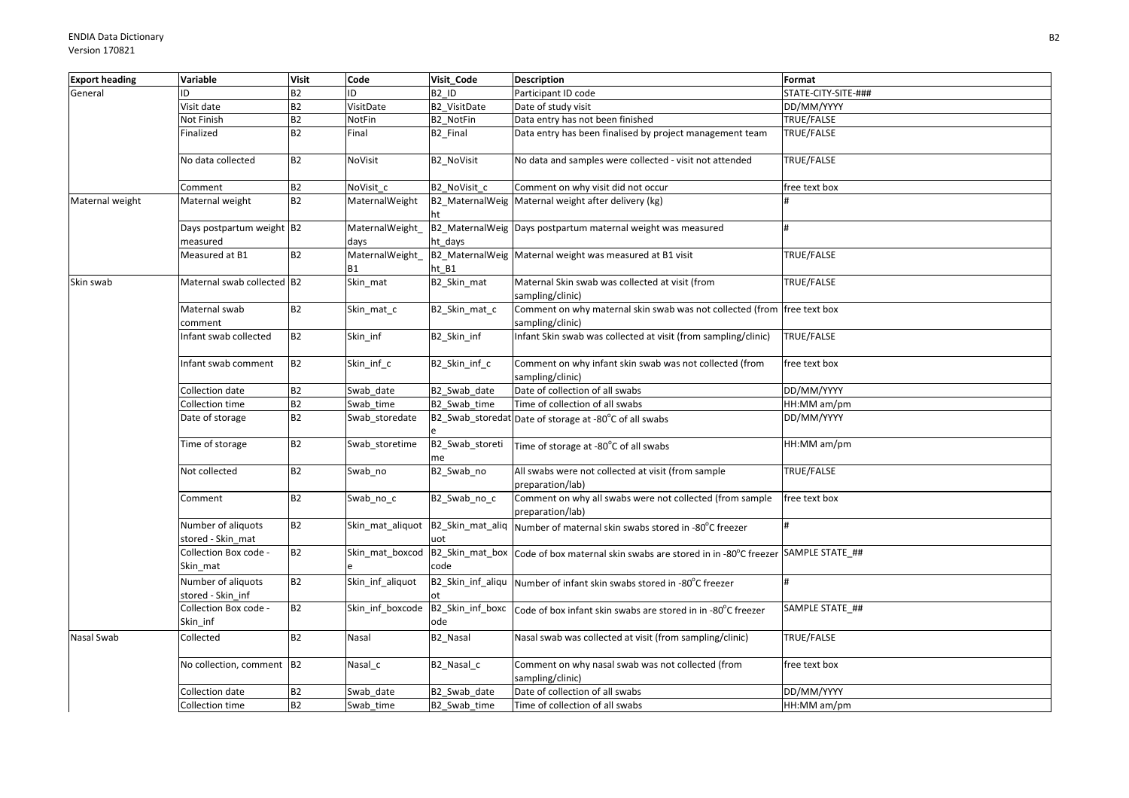| <b>B2</b><br>General<br>ID<br>B <sub>2</sub> ID<br>Participant ID code<br>STATE-CITY-SITE-###<br>ID<br>B2<br>VisitDate<br>B2_VisitDate<br>Visit date<br>Date of study visit<br>DD/MM/YYYY<br><b>B2</b><br>Not Finish<br>B2_NotFin<br>Data entry has not been finished<br>TRUE/FALSE<br><b>NotFin</b><br><b>B2</b><br>Finalized<br>Final<br>Data entry has been finalised by project management team<br>TRUE/FALSE<br><b>B2 Final</b><br><b>B2</b><br>TRUE/FALSE<br>No data collected<br><b>B2 NoVisit</b><br>No data and samples were collected - visit not attended<br>NoVisit<br><b>B2</b><br>B2 NoVisit c<br>NoVisit c<br>Comment on why visit did not occur<br>free text box<br>Comment<br>B2<br>B2_MaternalWeig Maternal weight after delivery (kg)<br>Maternal weight<br>Maternal weight<br>MaternalWeight<br>ht<br>B2_MaternalWeig Days postpartum maternal weight was measured<br>Days postpartum weight B2<br>MaternalWeight |  |
|---------------------------------------------------------------------------------------------------------------------------------------------------------------------------------------------------------------------------------------------------------------------------------------------------------------------------------------------------------------------------------------------------------------------------------------------------------------------------------------------------------------------------------------------------------------------------------------------------------------------------------------------------------------------------------------------------------------------------------------------------------------------------------------------------------------------------------------------------------------------------------------------------------------------------------------|--|
|                                                                                                                                                                                                                                                                                                                                                                                                                                                                                                                                                                                                                                                                                                                                                                                                                                                                                                                                       |  |
|                                                                                                                                                                                                                                                                                                                                                                                                                                                                                                                                                                                                                                                                                                                                                                                                                                                                                                                                       |  |
|                                                                                                                                                                                                                                                                                                                                                                                                                                                                                                                                                                                                                                                                                                                                                                                                                                                                                                                                       |  |
|                                                                                                                                                                                                                                                                                                                                                                                                                                                                                                                                                                                                                                                                                                                                                                                                                                                                                                                                       |  |
|                                                                                                                                                                                                                                                                                                                                                                                                                                                                                                                                                                                                                                                                                                                                                                                                                                                                                                                                       |  |
|                                                                                                                                                                                                                                                                                                                                                                                                                                                                                                                                                                                                                                                                                                                                                                                                                                                                                                                                       |  |
|                                                                                                                                                                                                                                                                                                                                                                                                                                                                                                                                                                                                                                                                                                                                                                                                                                                                                                                                       |  |
|                                                                                                                                                                                                                                                                                                                                                                                                                                                                                                                                                                                                                                                                                                                                                                                                                                                                                                                                       |  |
| measured<br>ht days<br>days                                                                                                                                                                                                                                                                                                                                                                                                                                                                                                                                                                                                                                                                                                                                                                                                                                                                                                           |  |
| MaternalWeight_<br><b>TRUE/FALSE</b><br>Measured at B1<br><b>B2</b><br>B2_MaternalWeig Maternal weight was measured at B1 visit                                                                                                                                                                                                                                                                                                                                                                                                                                                                                                                                                                                                                                                                                                                                                                                                       |  |
| ht B1<br><b>B1</b>                                                                                                                                                                                                                                                                                                                                                                                                                                                                                                                                                                                                                                                                                                                                                                                                                                                                                                                    |  |
| Skin_mat<br>Maternal Skin swab was collected at visit (from<br>Skin swab<br>Maternal swab collected B2<br>B2_Skin_mat<br>TRUE/FALSE<br>sampling/clinic)                                                                                                                                                                                                                                                                                                                                                                                                                                                                                                                                                                                                                                                                                                                                                                               |  |
| <b>B2</b><br>Comment on why maternal skin swab was not collected (from free text box<br>Maternal swab<br>Skin mat c<br>B2_Skin_mat_c<br>comment<br>sampling/clinic)                                                                                                                                                                                                                                                                                                                                                                                                                                                                                                                                                                                                                                                                                                                                                                   |  |
| <b>B2</b><br>B2_Skin_inf<br>Infant Skin swab was collected at visit (from sampling/clinic)<br>TRUE/FALSE<br>Infant swab collected<br>Skin inf                                                                                                                                                                                                                                                                                                                                                                                                                                                                                                                                                                                                                                                                                                                                                                                         |  |
| <b>B2</b><br>Skin_inf_c<br>B2_Skin_inf_c<br>Comment on why infant skin swab was not collected (from<br>free text box<br>Infant swab comment<br>sampling/clinic)                                                                                                                                                                                                                                                                                                                                                                                                                                                                                                                                                                                                                                                                                                                                                                       |  |
| <b>B2</b><br>B2_Swab_date<br>Date of collection of all swabs<br>DD/MM/YYYY<br>Collection date<br>Swab_date                                                                                                                                                                                                                                                                                                                                                                                                                                                                                                                                                                                                                                                                                                                                                                                                                            |  |
| B2<br>Time of collection of all swabs<br>Collection time<br>Swab time<br>B2 Swab time<br>HH:MM am/pm                                                                                                                                                                                                                                                                                                                                                                                                                                                                                                                                                                                                                                                                                                                                                                                                                                  |  |
| <b>B2</b><br>DD/MM/YYYY<br>Date of storage<br>Swab storedate<br>B2_Swab_storedat Date of storage at -80°C of all swabs                                                                                                                                                                                                                                                                                                                                                                                                                                                                                                                                                                                                                                                                                                                                                                                                                |  |
| <b>B2</b><br>Time of storage<br>Swab_storetime<br>B2_Swab_storeti<br>HH:MM am/pm<br>Time of storage at -80°C of all swabs<br>me                                                                                                                                                                                                                                                                                                                                                                                                                                                                                                                                                                                                                                                                                                                                                                                                       |  |
| <b>B2</b><br>Not collected<br>B2_Swab_no<br>All swabs were not collected at visit (from sample<br>TRUE/FALSE<br>Swab no<br>preparation/lab)                                                                                                                                                                                                                                                                                                                                                                                                                                                                                                                                                                                                                                                                                                                                                                                           |  |
| <b>B2</b><br>Comment on why all swabs were not collected (from sample<br>B2 Swab no c<br>free text box<br>Comment<br>Swab no c<br>preparation/lab)                                                                                                                                                                                                                                                                                                                                                                                                                                                                                                                                                                                                                                                                                                                                                                                    |  |
| B2<br>Number of aliquots<br>B2_Skin_mat_aliq Number of maternal skin swabs stored in -80°C freezer<br>#<br>Skin_mat_aliquot<br>stored - Skin mat<br>uot                                                                                                                                                                                                                                                                                                                                                                                                                                                                                                                                                                                                                                                                                                                                                                               |  |
| <b>B2</b><br>Collection Box code -<br>Skin_mat_boxcod B2_Skin_mat_box Code of box maternal skin swabs are stored in in -80°C freezer SAMPLE STATE_##<br>Skin mat<br>code                                                                                                                                                                                                                                                                                                                                                                                                                                                                                                                                                                                                                                                                                                                                                              |  |
| Number of aliquots<br><b>B2</b><br>Skin_inf_aliquot<br>B2_Skin_inf_aliqu   Number of infant skin swabs stored in -80°C freezer<br>#<br>stored - Skin inf                                                                                                                                                                                                                                                                                                                                                                                                                                                                                                                                                                                                                                                                                                                                                                              |  |
| <b>B2</b><br>Collection Box code -<br>Skin inf boxcode<br>B2_Skin_inf_boxc<br>SAMPLE STATE ##<br>Code of box infant skin swabs are stored in in -80°C freezer<br>Skin_inf<br>ode                                                                                                                                                                                                                                                                                                                                                                                                                                                                                                                                                                                                                                                                                                                                                      |  |
| <b>B2</b><br>TRUE/FALSE<br>Collected<br>Nasal<br>B2 Nasal<br>Nasal swab was collected at visit (from sampling/clinic)<br>Nasal Swab                                                                                                                                                                                                                                                                                                                                                                                                                                                                                                                                                                                                                                                                                                                                                                                                   |  |
| No collection, comment B2<br>Comment on why nasal swab was not collected (from<br>Nasal_c<br>B2_Nasal_c<br>free text box<br>sampling/clinic)                                                                                                                                                                                                                                                                                                                                                                                                                                                                                                                                                                                                                                                                                                                                                                                          |  |
| Date of collection of all swabs<br><b>B2</b><br>B2 Swab date<br>DD/MM/YYYY<br>Collection date<br>Swab date                                                                                                                                                                                                                                                                                                                                                                                                                                                                                                                                                                                                                                                                                                                                                                                                                            |  |
| <b>B2</b><br>Time of collection of all swabs<br>Collection time<br>Swab_time<br>B2 Swab time<br>HH:MM am/pm                                                                                                                                                                                                                                                                                                                                                                                                                                                                                                                                                                                                                                                                                                                                                                                                                           |  |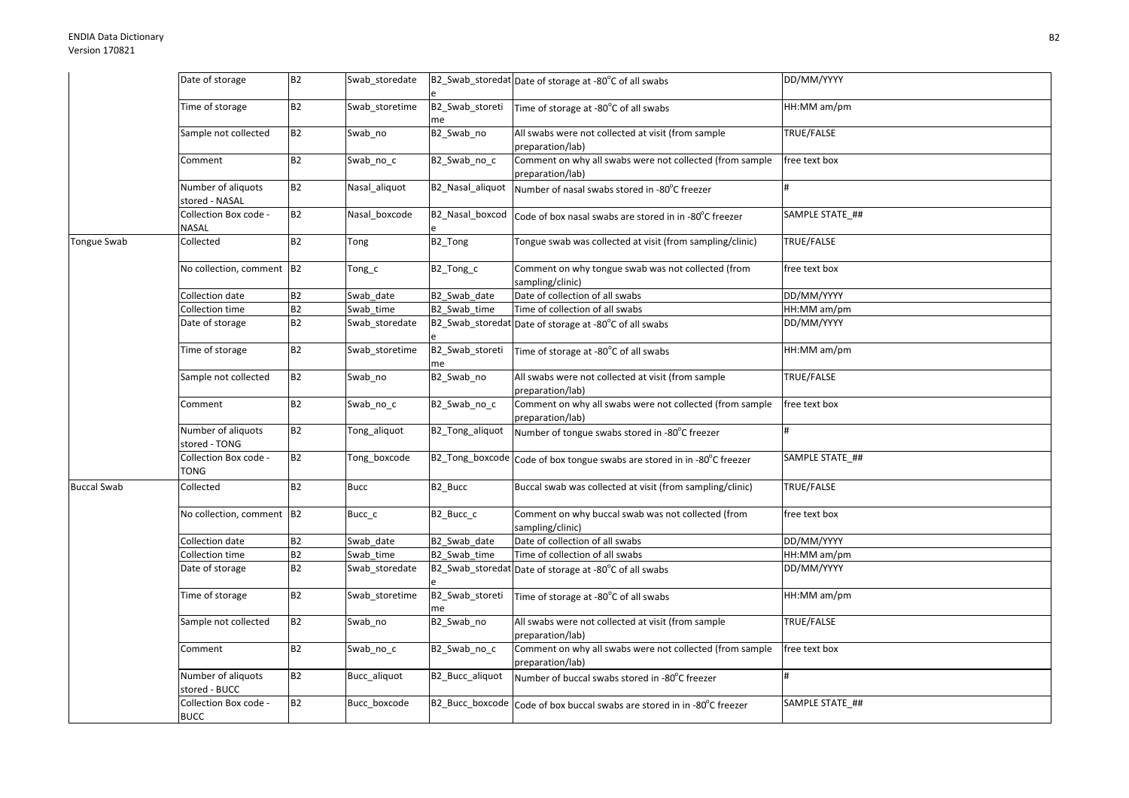|                    | Date of storage                      | B2             | Swab_storedate |                       | B2_Swab_storedat Date of storage at -80°C of all swabs                       | DD/MM/YYYY      |
|--------------------|--------------------------------------|----------------|----------------|-----------------------|------------------------------------------------------------------------------|-----------------|
|                    | Time of storage                      | <b>B2</b>      | Swab storetime | B2_Swab_storeti<br>me | Time of storage at -80°C of all swabs                                        | HH:MM am/pm     |
|                    | Sample not collected                 | <b>B2</b>      | Swab_no        | B2_Swab_no            | All swabs were not collected at visit (from sample<br>preparation/lab)       | TRUE/FALSE      |
|                    | Comment                              | B2             | Swab_no_c      | B2_Swab_no_c          | Comment on why all swabs were not collected (from sample<br>preparation/lab) | free text box   |
|                    | Number of aliquots<br>stored - NASAL | B2             | Nasal_aliquot  | B2_Nasal_aliquot      | Number of nasal swabs stored in -80°C freezer                                |                 |
|                    | Collection Box code -<br>NASAL       | <b>B2</b>      | Nasal boxcode  |                       | B2_Nasal_boxcod Code of box nasal swabs are stored in in -80°C freezer       | SAMPLE STATE ## |
| Tongue Swab        | Collected                            | <b>B2</b>      | Tong           | B <sub>2_</sub> Tong  | Tongue swab was collected at visit (from sampling/clinic)                    | TRUE/FALSE      |
|                    | No collection, comment B2            |                | $Tong_c$       | B2_Tong_c             | Comment on why tongue swab was not collected (from<br>sampling/clinic)       | free text box   |
|                    | Collection date                      | <b>B2</b>      | Swab date      | B2 Swab date          | Date of collection of all swabs                                              | DD/MM/YYYY      |
|                    | Collection time                      | B <sub>2</sub> | Swab time      | B2 Swab time          | Time of collection of all swabs                                              | HH:MM am/pm     |
|                    | Date of storage                      | B2             | Swab storedate |                       | B2_Swab_storedat Date of storage at -80°C of all swabs                       | DD/MM/YYYY      |
|                    | Time of storage                      | <b>B2</b>      | Swab_storetime | B2_Swab_storeti<br>me | Time of storage at -80°C of all swabs                                        | HH:MM am/pm     |
|                    | Sample not collected                 | B <sub>2</sub> | Swab_no        | B2_Swab_no            | All swabs were not collected at visit (from sample<br>preparation/lab)       | TRUE/FALSE      |
|                    | Comment                              | <b>B2</b>      | Swab_no_c      | B2_Swab_no_c          | Comment on why all swabs were not collected (from sample<br>preparation/lab) | free text box   |
|                    | Number of aliquots<br>stored - TONG  | <b>B2</b>      | Tong aliquot   | B2 Tong aliquot       | Number of tongue swabs stored in -80°C freezer                               |                 |
|                    | Collection Box code -<br>TONG        | <b>B2</b>      | Tong_boxcode   |                       | B2_Tong_boxcode Code of box tongue swabs are stored in in -80°C freezer      | SAMPLE STATE ## |
| <b>Buccal Swab</b> | Collected                            | <b>B2</b>      | <b>Bucc</b>    | B2_Bucc               | Buccal swab was collected at visit (from sampling/clinic)                    | TRUE/FALSE      |
|                    | No collection, comment B2            |                | Bucc_c         | B2_Bucc_c             | Comment on why buccal swab was not collected (from<br>sampling/clinic)       | free text box   |
|                    | Collection date                      | <b>B2</b>      | Swab date      | B2 Swab date          | Date of collection of all swabs                                              | DD/MM/YYYY      |
|                    | Collection time                      | B <sub>2</sub> | Swab time      | B2 Swab time          | Time of collection of all swabs                                              | HH:MM am/pm     |
|                    | Date of storage                      | <b>B2</b>      | Swab_storedate |                       | B2_Swab_storedat Date of storage at -80°C of all swabs                       | DD/MM/YYYY      |
|                    | Time of storage                      | <b>B2</b>      | Swab storetime | B2_Swab_storeti<br>me | Time of storage at -80°C of all swabs                                        | HH:MM am/pm     |
|                    | Sample not collected                 | <b>B2</b>      | Swab_no        | B2_Swab_no            | All swabs were not collected at visit (from sample<br>preparation/lab)       | TRUE/FALSE      |
|                    | Comment                              | <b>B2</b>      | Swab_no_c      | B2_Swab_no_c          | Comment on why all swabs were not collected (from sample<br>preparation/lab) | free text box   |
|                    | Number of aliquots<br>stored - BUCC  | <b>B2</b>      | Bucc aliquot   | B2 Bucc aliquot       | Number of buccal swabs stored in -80°C freezer                               |                 |
|                    | Collection Box code -<br><b>BUCC</b> | <b>B2</b>      | Bucc_boxcode   |                       | B2_Bucc_boxcode Code of box buccal swabs are stored in in -80°C freezer      | SAMPLE STATE ## |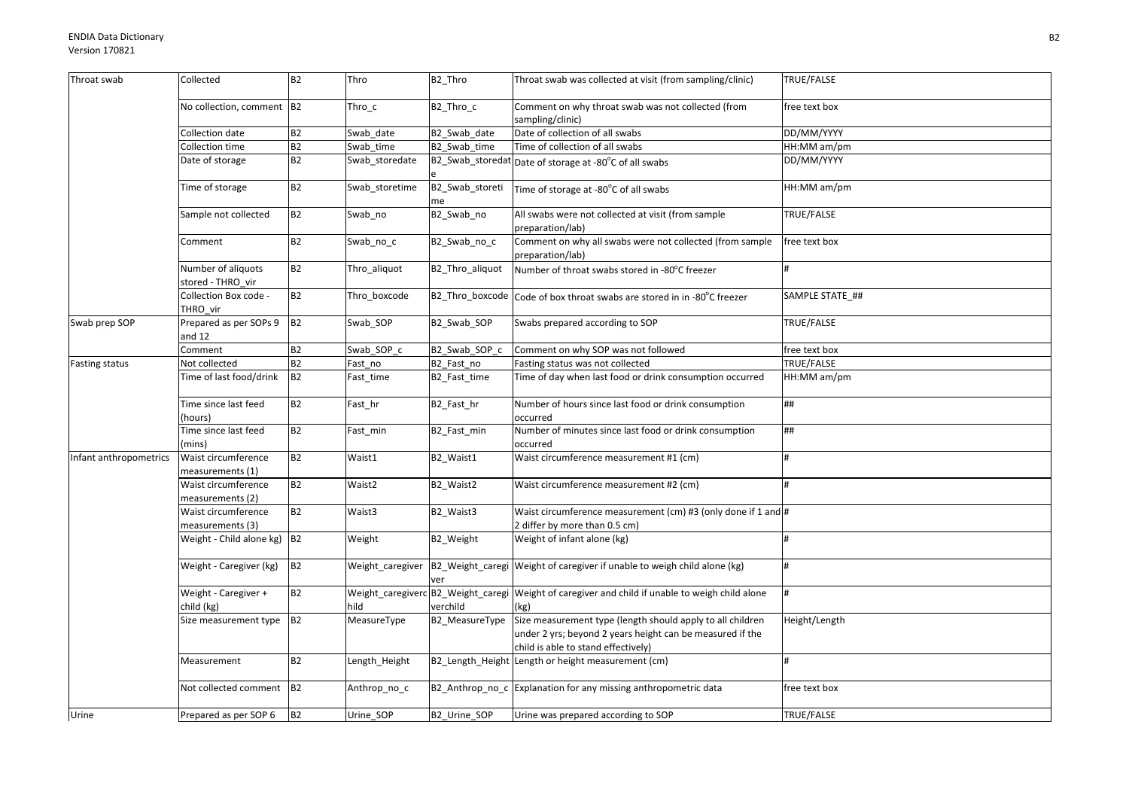| Throat swab            | Collected                               | <b>B2</b>      | Thro               | B <sub>2_Thro</sub>   | Throat swab was collected at visit (from sampling/clinic)                                                                                                      | TRUE/FALSE       |
|------------------------|-----------------------------------------|----------------|--------------------|-----------------------|----------------------------------------------------------------------------------------------------------------------------------------------------------------|------------------|
|                        | No collection, comment B2               |                | Thro c             | B2 Thro c             | Comment on why throat swab was not collected (from<br>sampling/clinic)                                                                                         | free text box    |
|                        | Collection date                         | <b>B2</b>      | Swab date          | B2 Swab date          | Date of collection of all swabs                                                                                                                                | DD/MM/YYYY       |
|                        | Collection time                         | B2             | Swab time          | B2 Swab time          | Time of collection of all swabs                                                                                                                                | HH:MM am/pm      |
|                        | Date of storage                         | <b>B2</b>      | Swab storedate     |                       | B2_Swab_storedat Date of storage at -80°C of all swabs                                                                                                         | DD/MM/YYYY       |
|                        | Time of storage                         | <b>B2</b>      | Swab_storetime     | B2_Swab_storeti<br>me | Time of storage at -80°C of all swabs                                                                                                                          | HH:MM am/pm      |
|                        | Sample not collected                    | <b>B2</b>      | Swab_no            | B2_Swab_no            | All swabs were not collected at visit (from sample<br>preparation/lab)                                                                                         | TRUE/FALSE       |
|                        | Comment                                 | <b>B2</b>      | Swab_no_c          | B2_Swab_no_c          | Comment on why all swabs were not collected (from sample<br>preparation/lab)                                                                                   | free text box    |
|                        | Number of aliquots<br>stored - THRO vir | B <sub>2</sub> | Thro_aliquot       | B2_Thro_aliquot       | Number of throat swabs stored in -80°C freezer                                                                                                                 | #                |
|                        | Collection Box code -<br>THRO vir       | B2             | Thro_boxcode       |                       | B2_Thro_boxcode Code of box throat swabs are stored in in -80°C freezer                                                                                        | SAMPLE STATE_##  |
| Swab prep SOP          | Prepared as per SOPs 9<br>and $12$      | B <sub>2</sub> | Swab_SOP           | B2_Swab_SOP           | Swabs prepared according to SOP                                                                                                                                | TRUE/FALSE       |
|                        | Comment                                 | B <sub>2</sub> | Swab SOP c         | B2 Swab SOP c         | Comment on why SOP was not followed                                                                                                                            | free text box    |
| <b>Fasting status</b>  | Not collected                           | <b>B2</b>      | Fast_no            | B2_Fast_no            | Fasting status was not collected                                                                                                                               | TRUE/FALSE       |
|                        | Time of last food/drink                 | <b>B2</b>      | Fast_time          | B2_Fast_time          | Time of day when last food or drink consumption occurred                                                                                                       | HH:MM am/pm      |
|                        | Time since last feed<br>(hours)         | <b>B2</b>      | Fast_hr            | B2_Fast_hr            | Number of hours since last food or drink consumption<br>occurred                                                                                               | ##               |
|                        | Time since last feed<br>(mins)          | <b>B2</b>      | Fast_min           | B2_Fast_min           | Number of minutes since last food or drink consumption<br>occurred                                                                                             | ##               |
| Infant anthropometrics | Waist circumference<br>measurements (1) | B2             | Waist1             | B2_Waist1             | Waist circumference measurement #1 (cm)                                                                                                                        | H                |
|                        | Waist circumference<br>measurements (2) | <b>B2</b>      | Waist <sub>2</sub> | B2_Waist2             | Waist circumference measurement #2 (cm)                                                                                                                        |                  |
|                        | Waist circumference<br>measurements (3) | B <sub>2</sub> | Waist3             | B2_Waist3             | Waist circumference measurement (cm) #3 (only done if 1 and #<br>2 differ by more than 0.5 cm)                                                                 |                  |
|                        | Weight - Child alone $kg$ ) $B2$        |                | Weight             | B2 Weight             | Weight of infant alone (kg)                                                                                                                                    |                  |
|                        | Weight - Caregiver (kg)                 | B2             |                    | ver                   | Weight_caregiver  B2_Weight_caregi Weight of caregiver if unable to weigh child alone (kg)                                                                     | $\pmb{\text{H}}$ |
|                        | Weight - Caregiver +<br>child (kg)      | B <sub>2</sub> | hild               | verchild              | Weight_caregiverc <sup>B2_Weight_caregi Weight of caregiver and child if unable to weigh child alone</sup><br>(kg)                                             |                  |
|                        | Size measurement type B2                |                | MeasureType        | B2_MeasureType        | Size measurement type (length should apply to all children<br>under 2 yrs; beyond 2 years height can be measured if the<br>child is able to stand effectively) | Height/Length    |
|                        | Measurement                             | B2             | Length_Height      |                       | B2_Length_Height Length or height measurement (cm)                                                                                                             |                  |
|                        | Not collected comment B2                |                | Anthrop_no_c       |                       | B2_Anthrop_no_c Explanation for any missing anthropometric data                                                                                                | free text box    |
| Urine                  | Prepared as per SOP 6                   | B <sub>2</sub> | Urine_SOP          | B2_Urine_SOP          | Urine was prepared according to SOP                                                                                                                            | TRUE/FALSE       |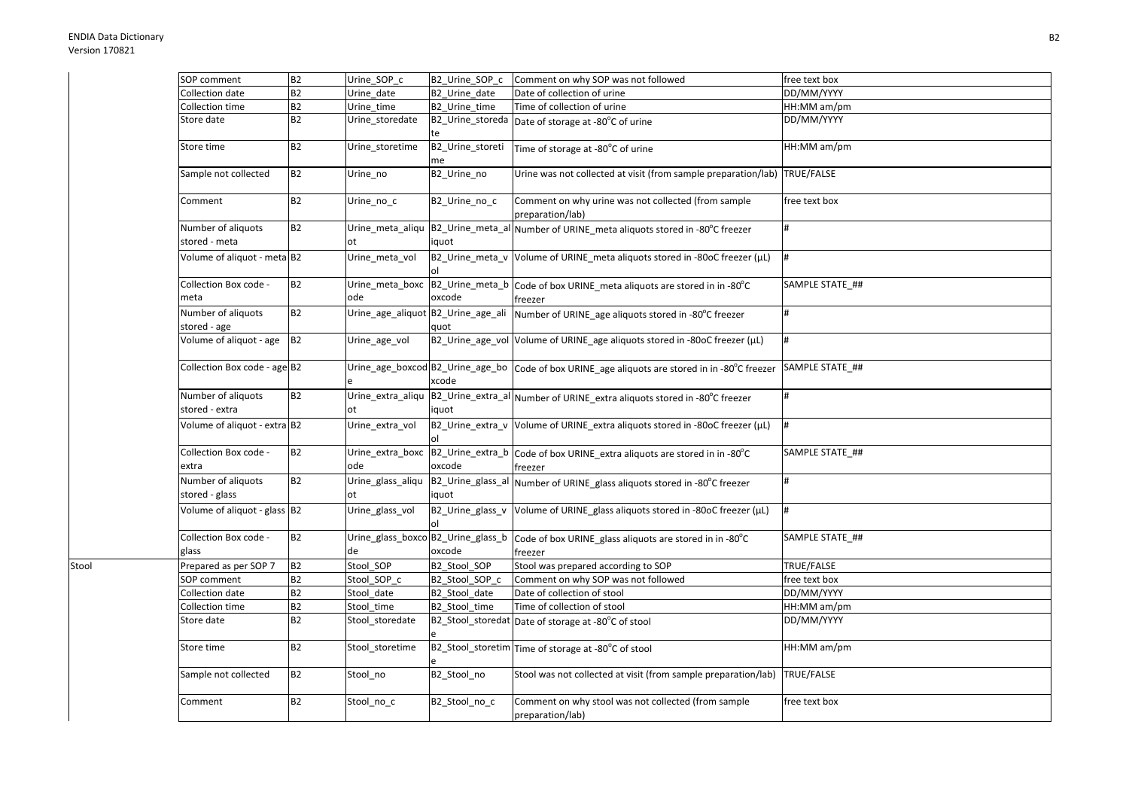Stool

| SOP comment                  | <b>B2</b>      | Urine SOP c       | B2_Urine_SOP_c                     | Comment on why SOP was not followed                                                            | free text box   |
|------------------------------|----------------|-------------------|------------------------------------|------------------------------------------------------------------------------------------------|-----------------|
| Collection date              | <b>B2</b>      | Urine date        | B2 Urine date                      | Date of collection of urine                                                                    | DD/MM/YYYY      |
| Collection time              | <b>B2</b>      | Urine time        | B2_Urine_time                      | Time of collection of urine                                                                    | HH:MM am/pm     |
| Store date                   | <b>B2</b>      | Urine_storedate   |                                    | B2_Urine_storeda Date of storage at -80°C of urine                                             | DD/MM/YYYY      |
|                              |                |                   |                                    |                                                                                                |                 |
| Store time                   | <b>B2</b>      | Urine_storetime   | B2_Urine_storeti                   | Time of storage at -80°C of urine                                                              | HH:MM am/pm     |
|                              |                |                   | me                                 |                                                                                                |                 |
| Sample not collected         | <b>B2</b>      | Urine_no          | B2_Urine_no                        | Urine was not collected at visit (from sample preparation/lab) TRUE/FALSE                      |                 |
| Comment                      | <b>B2</b>      | Urine_no_c        | B2_Urine_no_c                      | Comment on why urine was not collected (from sample                                            | free text box   |
|                              |                |                   |                                    | preparation/lab)                                                                               |                 |
| Number of aliquots           | <b>B2</b>      | Urine_meta_aliqu  |                                    | B2_Urine_meta_al Number of URINE_meta aliquots stored in -80°C freezer                         |                 |
| stored - meta                |                | ot                | iquot                              |                                                                                                |                 |
| Volume of aliquot - meta B2  |                | Urine_meta_vol    |                                    | B2_Urine_meta_v Volume of URINE_meta aliquots stored in -80oC freezer (µL)                     | #               |
|                              |                |                   |                                    |                                                                                                |                 |
| Collection Box code -        | <b>B2</b>      |                   |                                    | Urine_meta_boxc B2_Urine_meta_b Code of box URINE_meta aliquots are stored in in -80°C         | SAMPLE STATE ## |
| meta                         |                | ode               | oxcode                             | freezer                                                                                        |                 |
| Number of aliquots           | <b>B2</b>      |                   |                                    | Urine_age_aliquot B2_Urine_age_ali Number of URINE_age aliquots stored in -80°C freezer        |                 |
| stored - age                 |                |                   | quot                               |                                                                                                |                 |
| Volume of aliquot - age      | B <sub>2</sub> | Urine age vol     |                                    | B2_Urine_age_vol Volume of URINE_age aliquots stored in -80oC freezer (µL)                     |                 |
|                              |                |                   |                                    |                                                                                                |                 |
| Collection Box code - age B2 |                |                   |                                    | Urine_age_boxcod B2_Urine_age_bo code of box URINE_age aliquots are stored in in -80°C freezer | SAMPLE STATE ## |
|                              |                |                   | xcode                              |                                                                                                |                 |
| Number of aliquots           | <b>B2</b>      | Urine_extra_aliqu |                                    | B2_Urine_extra_al Number of URINE_extra aliquots stored in -80°C freezer                       |                 |
| stored - extra               |                | ot                | iquot                              |                                                                                                |                 |
| Volume of aliquot - extra B2 |                | Urine extra vol   |                                    | B2_Urine_extra_v Volume of URINE_extra aliquots stored in -80oC freezer (µL)                   |                 |
|                              |                |                   |                                    |                                                                                                |                 |
| Collection Box code -        | <b>B2</b>      |                   |                                    | Urine_extra_boxc B2_Urine_extra_b Code of box URINE_extra aliquots are stored in in -80°C      | SAMPLE STATE ## |
| extra                        |                | ode               | oxcode                             | freezer                                                                                        |                 |
| Number of aliquots           | B2             |                   |                                    | Urine_glass_aliqu  B2_Urine_glass_al  Number of URINE_glass aliquots stored in -80°C freezer   |                 |
| stored - glass               |                | ot                | iquot                              |                                                                                                |                 |
| Volume of aliquot - glass B2 |                | Urine_glass_vol   |                                    | B2_Urine_glass_v Volume of URINE_glass aliquots stored in -80oC freezer (µL)                   |                 |
|                              |                |                   |                                    |                                                                                                |                 |
| Collection Box code -        | <b>B2</b>      |                   | Urine_glass_boxco B2_Urine_glass_b | Code of box URINE_glass aliquots are stored in in -80°C                                        | SAMPLE STATE_## |
| glass                        |                | de                | oxcode                             | freezer                                                                                        |                 |
| Prepared as per SOP 7        | <b>B2</b>      | Stool_SOP         | B2_Stool_SOP                       | Stool was prepared according to SOP                                                            | TRUE/FALSE      |
| SOP comment                  | <b>B2</b>      | Stool SOP c       | B2 Stool SOP c                     | Comment on why SOP was not followed                                                            | free text box   |
| Collection date              | <b>B2</b>      | Stool date        | B2 Stool date                      | Date of collection of stool                                                                    | DD/MM/YYYY      |
| Collection time              | <b>B2</b>      | Stool time        | B2 Stool time                      | Time of collection of stool                                                                    | HH:MM am/pm     |
| Store date                   | <b>B2</b>      | Stool_storedate   |                                    |                                                                                                | DD/MM/YYYY      |
|                              |                |                   |                                    | B2_Stool_storedat Date of storage at -80°C of stool                                            |                 |
| Store time                   | <b>B2</b>      | Stool_storetime   |                                    | B2_Stool_storetim Time of storage at -80°C of stool                                            | HH:MM am/pm     |
|                              |                |                   |                                    |                                                                                                |                 |
| Sample not collected         | <b>B2</b>      | Stool_no          | B2_Stool_no                        | Stool was not collected at visit (from sample preparation/lab)                                 | TRUE/FALSE      |
|                              |                |                   |                                    |                                                                                                |                 |
| Comment                      | <b>B2</b>      | Stool_no_c        | B2_Stool_no_c                      | Comment on why stool was not collected (from sample                                            | free text box   |
|                              |                |                   |                                    | preparation/lab)                                                                               |                 |
|                              |                |                   |                                    |                                                                                                |                 |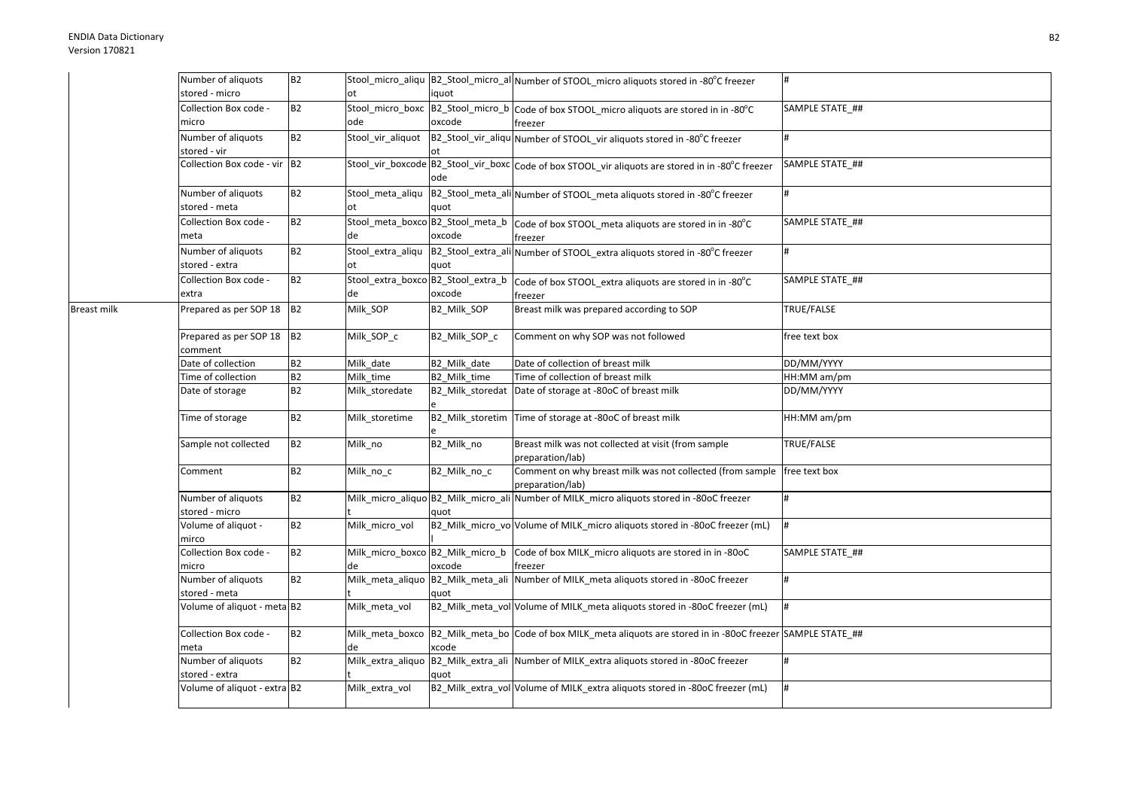Breast milk

| Number of aliquots                   | <b>B2</b> |                                          |                                            | Stool_micro_aliqu  B2_Stool_micro_al Number of STOOL_micro aliquots stored in -80°C freezer                   | #               |
|--------------------------------------|-----------|------------------------------------------|--------------------------------------------|---------------------------------------------------------------------------------------------------------------|-----------------|
| stored - micro                       |           | ot                                       | iquot                                      |                                                                                                               |                 |
| Collection Box code -<br>micro       | <b>B2</b> | Stool_micro_boxc<br>ode                  | oxcode                                     | B2_Stool_micro_b Code of box STOOL_micro aliquots are stored in in -80°C<br>freezer                           | SAMPLE STATE_## |
| Number of aliquots<br>stored - vir   | <b>B2</b> | Stool_vir_aliquot                        |                                            | B2_Stool_vir_aliqu Number of STOOL_vir aliquots stored in -80°C freezer                                       | #               |
| Collection Box code - vir B2         |           |                                          | ode                                        | Stool_vir_boxcode B2_Stool_vir_boxc Code of box STOOL_vir aliquots are stored in in -80°C freezer             | SAMPLE STATE ## |
| Number of aliquots<br>stored - meta  | <b>B2</b> | Stool_meta_aliqu<br>ot                   | quot                                       | B2_Stool_meta_ali Number of STOOL_meta aliquots stored in -80°C freezer                                       | #               |
| Collection Box code -<br>meta        | <b>B2</b> | de                                       | Stool_meta_boxco B2_Stool_meta_b<br>oxcode | Code of box STOOL_meta aliquots are stored in in -80°C<br>freezer                                             | SAMPLE STATE ## |
| Number of aliquots<br>stored - extra | <b>B2</b> | ot                                       | quot                                       | Stool_extra_aliqu  B2_Stool_extra_ali Number of STOOL_extra aliquots stored in -80°C freezer                  | <sup>#</sup>    |
| Collection Box code -<br>extra       | <b>B2</b> | Stool_extra_boxco B2_Stool_extra_b<br>de | oxcode                                     | Code of box STOOL_extra aliquots are stored in in -80°C<br>freezer                                            | SAMPLE STATE ## |
| Prepared as per SOP 18 B2            |           | Milk_SOP                                 | B2_Milk_SOP                                | Breast milk was prepared according to SOP                                                                     | TRUE/FALSE      |
| Prepared as per SOP 18<br>comment    | <b>B2</b> | Milk_SOP_c                               | B2_Milk_SOP_c                              | Comment on why SOP was not followed                                                                           | free text box   |
| Date of collection                   | <b>B2</b> | Milk date                                | B2 Milk date                               | Date of collection of breast milk                                                                             | DD/MM/YYYY      |
| Time of collection                   | B2        | Milk time                                | B2 Milk time                               | Time of collection of breast milk                                                                             | HH:MM am/pm     |
| Date of storage                      | <b>B2</b> | Milk_storedate                           | B2_Milk_storedat                           | Date of storage at -80oC of breast milk                                                                       | DD/MM/YYYY      |
| Time of storage                      | B2        | Milk storetime                           | B2_Milk_storetim                           | Time of storage at -80oC of breast milk                                                                       | HH:MM am/pm     |
| Sample not collected                 | <b>B2</b> | Milk_no                                  | B2_Milk_no                                 | Breast milk was not collected at visit (from sample<br>preparation/lab)                                       | TRUE/FALSE      |
| Comment                              | <b>B2</b> | Milk_no_c                                | B2_Milk_no_c                               | Comment on why breast milk was not collected (from sample free text box<br>preparation/lab)                   |                 |
| Number of aliquots<br>stored - micro | <b>B2</b> |                                          | quot                                       | Milk_micro_aliquo B2_Milk_micro_ali Number of MILK_micro aliquots stored in -80oC freezer                     | #               |
| Volume of aliquot -<br>mirco         | <b>B2</b> | Milk_micro_vol                           |                                            | B2_Milk_micro_vo Volume of MILK_micro aliquots stored in -80oC freezer (mL)                                   | 1#              |
| Collection Box code -<br>micro       | <b>B2</b> | de                                       | oxcode                                     | Milk_micro_boxco B2_Milk_micro_b Code of box MILK_micro aliquots are stored in in -80oC<br>freezer            | SAMPLE STATE ## |
| Number of aliquots<br>stored - meta  | <b>B2</b> | Milk_meta_aliquo                         | quot                                       | B2_Milk_meta_ali Number of MILK_meta aliquots stored in -80oC freezer                                         | #               |
| Volume of aliquot - meta B2          |           | Milk meta vol                            |                                            | B2_Milk_meta_vol Volume of MILK_meta aliquots stored in -80oC freezer (mL)                                    | #               |
| Collection Box code -<br>meta        | <b>B2</b> | de                                       | xcode                                      | Milk_meta_boxco B2_Milk_meta_bo Code of box MILK_meta aliquots are stored in in -80oC freezer SAMPLE STATE_## |                 |
| Number of aliquots<br>stored - extra | <b>B2</b> | Milk_extra_aliquo                        | quot                                       | B2_Milk_extra_ali Number of MILK_extra aliquots stored in -80oC freezer                                       | <sup>#</sup>    |
| Volume of aliquot - extra B2         |           | Milk_extra_vol                           |                                            | B2_Milk_extra_vol Volume of MILK_extra aliquots stored in -80oC freezer (mL)                                  | #               |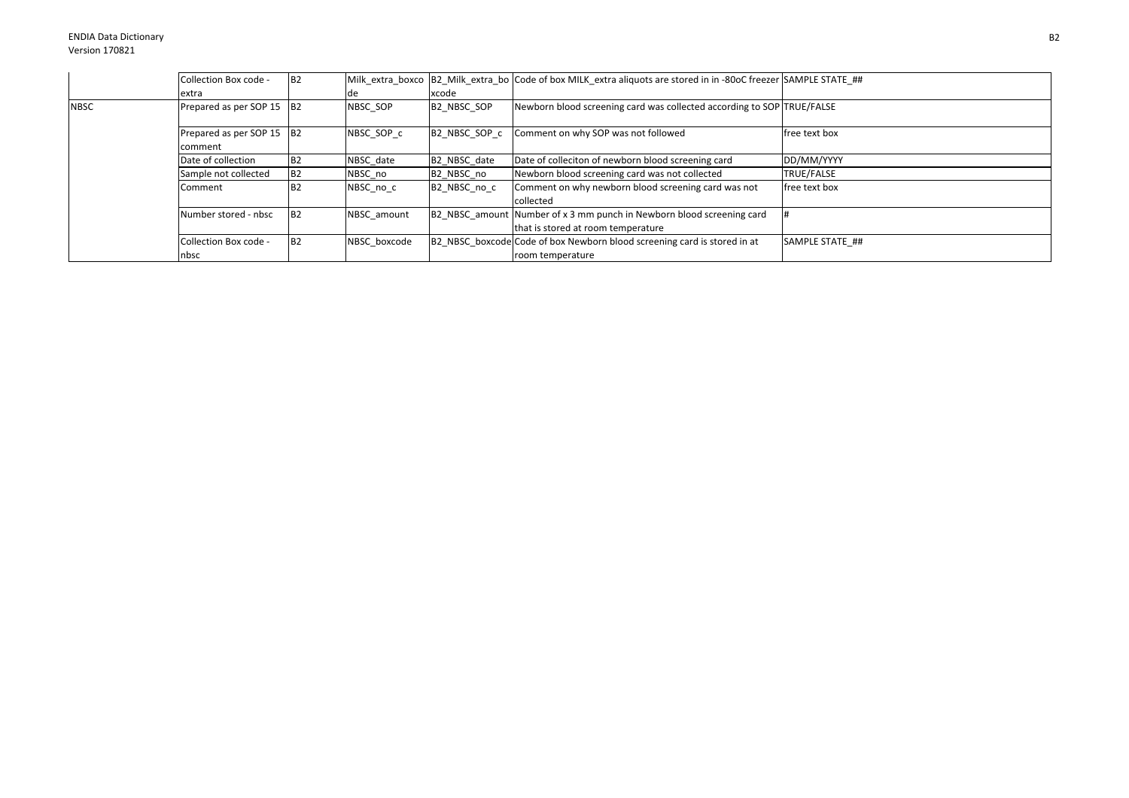|             | Collection Box code -                | B <sub>2</sub> |              |                        | Milk extra boxco B2 Milk extra bo Code of box MILK extra aliquots are stored in in -80oC freezer SAMPLE STATE ## |                   |
|-------------|--------------------------------------|----------------|--------------|------------------------|------------------------------------------------------------------------------------------------------------------|-------------------|
|             | extra                                |                | de           | xcode                  |                                                                                                                  |                   |
| <b>NBSC</b> | Prepared as per SOP 15 B2            |                | NBSC SOP     | B2 NBSC SOP            | Newborn blood screening card was collected according to SOP TRUE/FALSE                                           |                   |
|             | Prepared as per SOP 15 B2<br>comment |                | NBSC SOP c   | B2 NBSC SOP c          | Comment on why SOP was not followed                                                                              | free text box     |
|             | Date of collection                   | B <sub>2</sub> | NBSC date    | B2 NBSC date           | Date of colleciton of newborn blood screening card                                                               | DD/MM/YYYY        |
|             | Sample not collected                 | <b>B2</b>      | NBSC no      | B <sub>2</sub> NBSC no | Newborn blood screening card was not collected                                                                   | <b>TRUE/FALSE</b> |
|             | Comment                              | <b>B2</b>      | NBSC_no_c    | B2 NBSC no c           | Comment on why newborn blood screening card was not<br>collected                                                 | free text box     |
|             | Number stored - nbsc                 | <b>B2</b>      | NBSC amount  |                        | B2 NBSC amount Number of x 3 mm punch in Newborn blood screening card<br>that is stored at room temperature      |                   |
|             | Collection Box code -<br>nbsc        | <b>B2</b>      | NBSC boxcode |                        | B2 NBSC boxcode Code of box Newborn blood screening card is stored in at<br>room temperature                     | SAMPLE STATE ##   |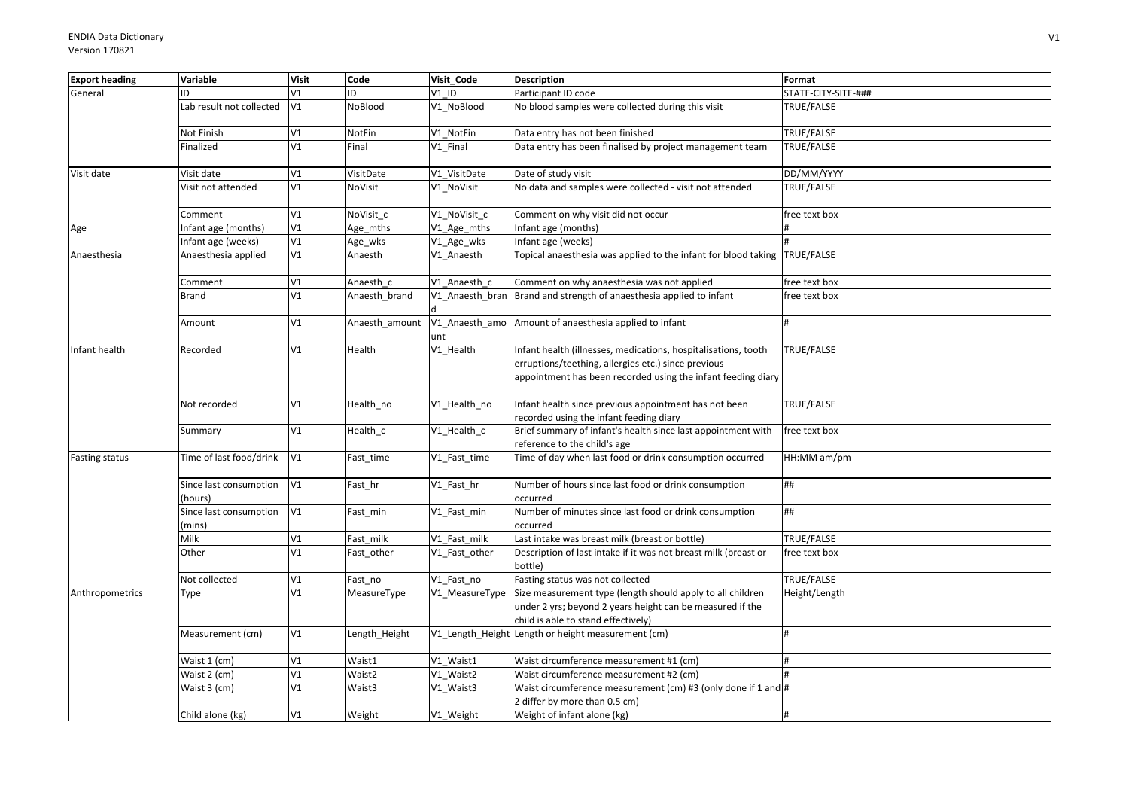| <b>Export heading</b> | Variable                          | <b>Visit</b>  | Code           | Visit Code      | <b>Description</b>                                                                                                                                                                    | Format              |
|-----------------------|-----------------------------------|---------------|----------------|-----------------|---------------------------------------------------------------------------------------------------------------------------------------------------------------------------------------|---------------------|
| General               | ID                                | V1            | ID             | $V1$ ID         | Participant ID code                                                                                                                                                                   | STATE-CITY-SITE-### |
|                       | Lab result not collected          | V1            | NoBlood        | V1 NoBlood      | No blood samples were collected during this visit                                                                                                                                     | TRUE/FALSE          |
|                       | Not Finish                        | V1            | NotFin         | V1 NotFin       | Data entry has not been finished                                                                                                                                                      | TRUE/FALSE          |
|                       | Finalized                         | V1            | Final          | V1 Final        | Data entry has been finalised by project management team                                                                                                                              | TRUE/FALSE          |
| Visit date            | Visit date                        | V1            | VisitDate      | V1_VisitDate    | Date of study visit                                                                                                                                                                   | DD/MM/YYYY          |
|                       | Visit not attended                | V1            | NoVisit        | V1_NoVisit      | No data and samples were collected - visit not attended                                                                                                                               | TRUE/FALSE          |
|                       | Comment                           | V1            | NoVisit c      | V1 NoVisit c    | Comment on why visit did not occur                                                                                                                                                    | free text box       |
| Age                   | Infant age (months)               | $\mathtt{V1}$ | Age_mths       | V1_Age_mths     | nfant age (months)                                                                                                                                                                    |                     |
|                       | Infant age (weeks)                | V1            | Age_wks        | V1_Age_wks      | Infant age (weeks)                                                                                                                                                                    |                     |
| Anaesthesia           | Anaesthesia applied               | V1            | Anaesth        | V1_Anaesth      | Topical anaesthesia was applied to the infant for blood taking TRUE/FALSE                                                                                                             |                     |
|                       | Comment                           | V1            | Anaesth c      | V1 Anaesth c    | Comment on why anaesthesia was not applied                                                                                                                                            | free text box       |
|                       | <b>Brand</b>                      | V1            | Anaesth_brand  | V1_Anaesth_bran | Brand and strength of anaesthesia applied to infant                                                                                                                                   | free text box       |
|                       | Amount                            | V1            | Anaesth_amount | unt             | V1_Anaesth_amo Amount of anaesthesia applied to infant                                                                                                                                |                     |
| Infant health         | Recorded                          | V1            | Health         | V1_Health       | Infant health (illnesses, medications, hospitalisations, tooth<br>erruptions/teething, allergies etc.) since previous<br>appointment has been recorded using the infant feeding diary | TRUE/FALSE          |
|                       | Not recorded                      | V1            | Health_no      | V1_Health_no    | Infant health since previous appointment has not been<br>recorded using the infant feeding diary                                                                                      | TRUE/FALSE          |
|                       | Summary                           | V1            | Health_c       | V1_Health_c     | Brief summary of infant's health since last appointment with<br>reference to the child's age                                                                                          | free text box       |
| Fasting status        | Time of last food/drink           | V1            | Fast_time      | V1_Fast_time    | Time of day when last food or drink consumption occurred                                                                                                                              | HH:MM am/pm         |
|                       | Since last consumption<br>(hours) | V1            | Fast_hr        | V1_Fast_hr      | Number of hours since last food or drink consumption<br>occurred                                                                                                                      | ##                  |
|                       | Since last consumption<br>(mins)  | V1            | Fast_min       | V1_Fast_min     | Number of minutes since last food or drink consumption<br>occurred                                                                                                                    | ##                  |
|                       | Milk                              | V1            | Fast milk      | V1 Fast milk    | Last intake was breast milk (breast or bottle)                                                                                                                                        | TRUE/FALSE          |
|                       | Other                             | V1            | Fast_other     | V1_Fast_other   | Description of last intake if it was not breast milk (breast or<br>bottle)                                                                                                            | free text box       |
|                       | Not collected                     | V1            | Fast no        | V1 Fast no      | Fasting status was not collected                                                                                                                                                      | TRUE/FALSE          |
| Anthropometrics       | Type                              | V1            | MeasureType    | V1_MeasureType  | Size measurement type (length should apply to all children<br>under 2 yrs; beyond 2 years height can be measured if the<br>child is able to stand effectively)                        | Height/Length       |
|                       | Measurement (cm)                  | V1            | Length_Height  |                 | V1_Length_Height Length or height measurement (cm)                                                                                                                                    |                     |
|                       | Waist 1 (cm)                      | V1            | Waist1         | V1 Waist1       | Waist circumference measurement #1 (cm)                                                                                                                                               |                     |
|                       | Waist 2 (cm)                      | V1            | Waist2         | V1 Waist2       | Waist circumference measurement #2 (cm)                                                                                                                                               |                     |
|                       | Waist 3 (cm)                      | V1            | Waist3         | V1_Waist3       | Waist circumference measurement (cm) #3 (only done if 1 and #<br>2 differ by more than 0.5 cm)                                                                                        |                     |
|                       | Child alone (kg)                  | V1            | Weight         | V1_Weight       | Weight of infant alone (kg)                                                                                                                                                           |                     |
|                       |                                   |               |                |                 |                                                                                                                                                                                       |                     |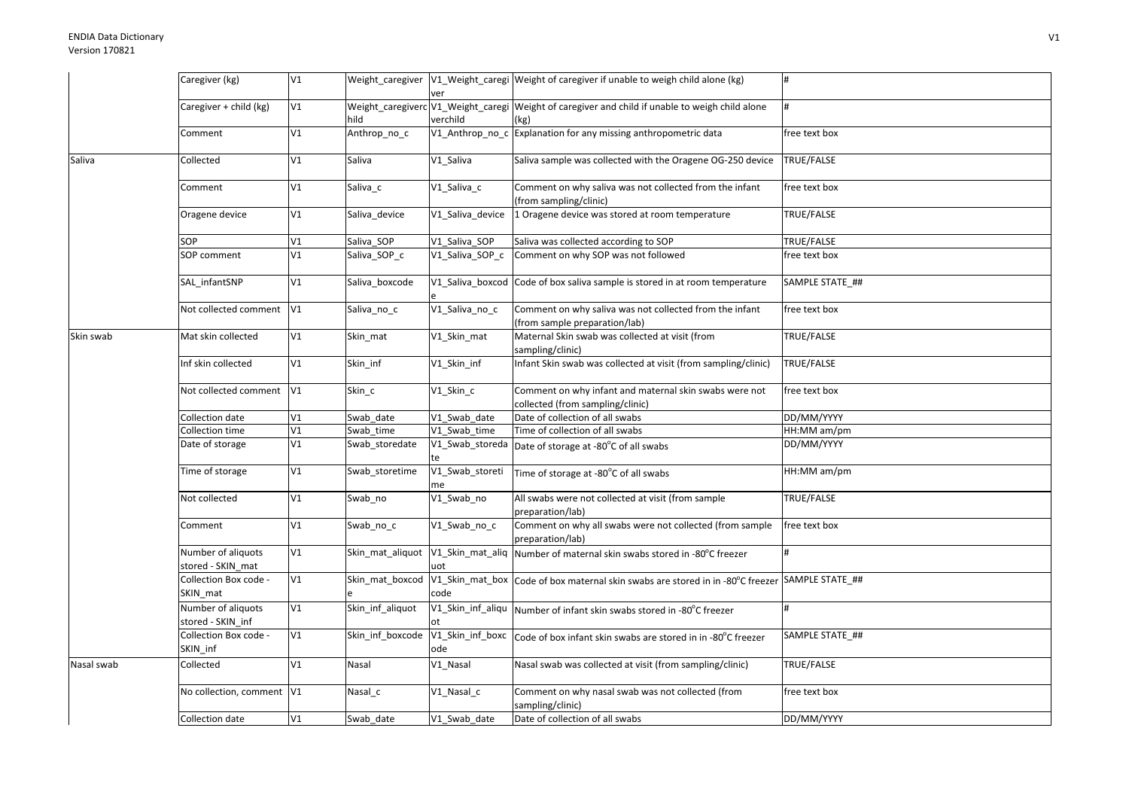|            | Caregiver (kg)                          | V1            |                                |                         | Weight_caregiver  V1_Weight_caregi  Weight of caregiver if unable to weigh child alone (kg)             | #               |
|------------|-----------------------------------------|---------------|--------------------------------|-------------------------|---------------------------------------------------------------------------------------------------------|-----------------|
|            |                                         |               |                                | ver                     |                                                                                                         |                 |
|            | Caregiver + child (kg)                  | V1            | hild                           | verchild                | Weight_caregiverc V1_Weight_caregi Weight of caregiver and child if unable to weigh child alone<br>(kg) |                 |
|            | Comment                                 | V1            | Anthrop_no_c                   |                         | V1_Anthrop_no_c Explanation for any missing anthropometric data                                         | free text box   |
| Saliva     | Collected                               | V1            | Saliva                         | V1 Saliva               | Saliva sample was collected with the Oragene OG-250 device                                              | TRUE/FALSE      |
|            | Comment                                 | V1            | Saliva_c                       | V1_Saliva_c             | Comment on why saliva was not collected from the infant<br>(from sampling/clinic)                       | free text box   |
|            | Oragene device                          | V1            | Saliva device                  | V1 Saliva device        | 1 Oragene device was stored at room temperature                                                         | TRUE/FALSE      |
|            | SOP                                     | V1            | Saliva SOP                     | V1 Saliva SOP           | Saliva was collected according to SOP                                                                   | TRUE/FALSE      |
|            | SOP comment                             | V1            | Saliva_SOP_c                   | V1_Saliva_SOP_c         | Comment on why SOP was not followed                                                                     | free text box   |
|            | SAL_infantSNP                           | V1            | Saliva_boxcode                 |                         | V1_Saliva_boxcod Code of box saliva sample is stored in at room temperature                             | SAMPLE STATE ## |
|            | Not collected comment                   | V1            | Saliva_no_c                    | V1_Saliva_no_c          | Comment on why saliva was not collected from the infant<br>(from sample preparation/lab)                | free text box   |
| Skin swab  | Mat skin collected                      | V1            | Skin_mat                       | V1_Skin_mat             | Maternal Skin swab was collected at visit (from<br>sampling/clinic)                                     | TRUE/FALSE      |
|            | Inf skin collected                      | V1            | Skin_inf                       | V1_Skin_inf             | Infant Skin swab was collected at visit (from sampling/clinic)                                          | TRUE/FALSE      |
|            | Not collected comment                   | V1            | Skin c                         | V1_Skin_c               | Comment on why infant and maternal skin swabs were not<br>collected (from sampling/clinic)              | free text box   |
|            | Collection date                         | $\mathtt{V1}$ | Swab date                      | V1 Swab date            | Date of collection of all swabs                                                                         | DD/MM/YYYY      |
|            | Collection time                         | V1            | Swab time                      | V1 Swab time            | Time of collection of all swabs                                                                         | HH:MM am/pm     |
|            | Date of storage                         | V1            | Swab_storedate                 | te                      | V1_Swab_storeda Date of storage at -80°C of all swabs                                                   | DD/MM/YYYY      |
|            | Time of storage                         | V1            | Swab storetime                 | V1_Swab_storeti<br>me   | Time of storage at -80°C of all swabs                                                                   | HH:MM am/pm     |
|            | Not collected                           | V1            | Swab_no                        | V1_Swab_no              | All swabs were not collected at visit (from sample<br>preparation/lab)                                  | TRUE/FALSE      |
|            | Comment                                 | V1            | Swab_no_c                      | V1_Swab_no_c            | Comment on why all swabs were not collected (from sample<br>preparation/lab)                            | free text box   |
|            | Number of aliquots<br>stored - SKIN mat | V1            | Skin mat aliquot               | uot                     | V1_Skin_mat_aliq Number of maternal skin swabs stored in -80°C freezer                                  |                 |
|            | Collection Box code -<br>SKIN_mat       | V1            | Skin_mat_boxcod                | code                    | V1_Skin_mat_box Code of box maternal skin swabs are stored in in -80°C freezer SAMPLE STATE_##          |                 |
|            | Number of aliquots<br>stored - SKIN inf | V1            | Skin_inf_aliquot               |                         | V1_Skin_inf_aliqu   Number of infant skin swabs stored in -80°C freezer                                 | #               |
|            | Collection Box code -<br>SKIN_inf       | $\verb V1 $   | Skin_inf_boxcode               | V1_Skin_inf_boxc<br>ode | Code of box infant skin swabs are stored in in -80°C freezer                                            | SAMPLE STATE_## |
| Nasal swab | Collected                               | V1            | Nasal                          | V1 Nasal                | Nasal swab was collected at visit (from sampling/clinic)                                                | TRUE/FALSE      |
|            | No collection, comment V1               |               | $\overline{\mathsf{N}}$ asal_c | V1 Nasal c              | Comment on why nasal swab was not collected (from<br>sampling/clinic)                                   | free text box   |
|            | Collection date                         | V1            | Swab date                      | V1_Swab_date            | Date of collection of all swabs                                                                         | DD/MM/YYYY      |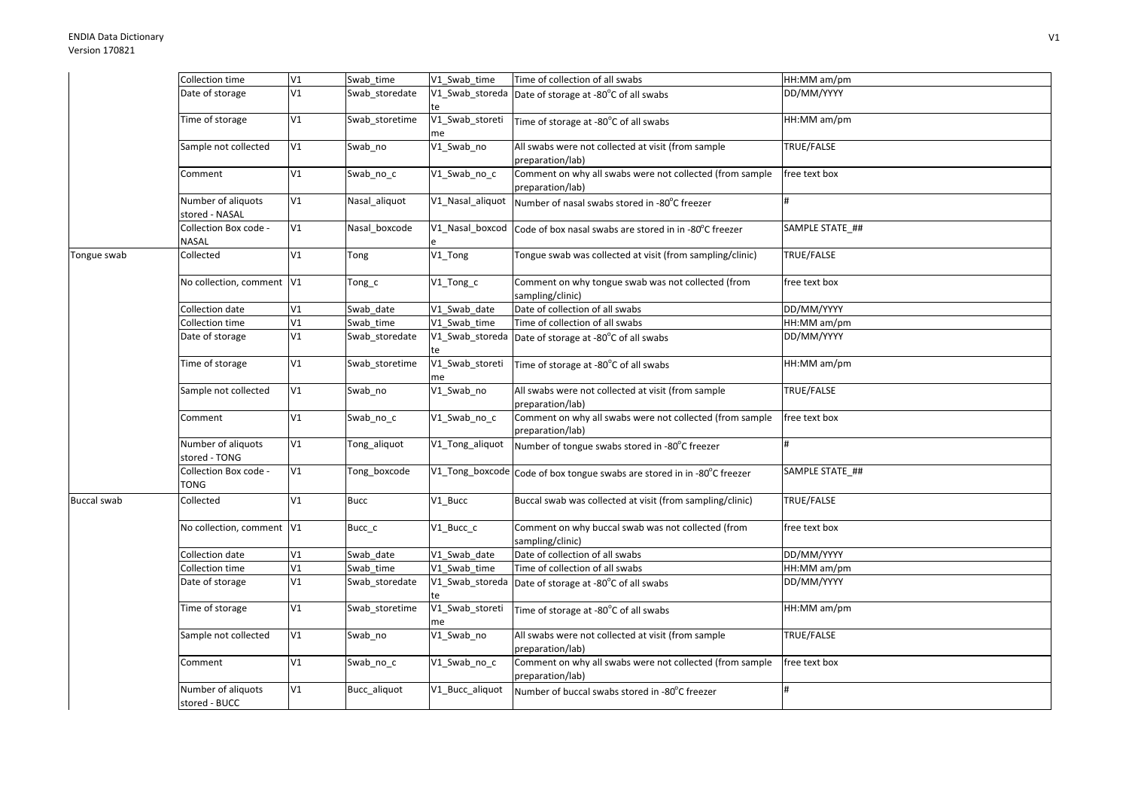|                    | Collection time                      | V1 | Swab_time      | V1 Swab time          | Time of collection of all swabs                                              | HH:MM am/pm     |
|--------------------|--------------------------------------|----|----------------|-----------------------|------------------------------------------------------------------------------|-----------------|
|                    | Date of storage                      | V1 | Swab storedate | V1 Swab storeda<br>te | Date of storage at -80°C of all swabs                                        | DD/MM/YYYY      |
|                    | Time of storage                      | V1 | Swab storetime | V1_Swab_storeti<br>me | Time of storage at -80°C of all swabs                                        | HH:MM am/pm     |
|                    | Sample not collected                 | V1 | Swab_no        | V1_Swab_no            | All swabs were not collected at visit (from sample<br>preparation/lab)       | TRUE/FALSE      |
|                    | Comment                              | V1 | Swab_no_c      | V1_Swab_no_c          | Comment on why all swabs were not collected (from sample<br>preparation/lab) | free text box   |
|                    | Number of aliquots<br>stored - NASAL | V1 | Nasal aliquot  | V1_Nasal_aliquot      | Number of nasal swabs stored in -80°C freezer                                |                 |
|                    | Collection Box code -<br>NASAL       | V1 | Nasal boxcode  | V1_Nasal_boxcod       | Code of box nasal swabs are stored in in -80°C freezer                       | SAMPLE STATE_## |
| Tongue swab        | Collected                            | V1 | Tong           | V1_Tong               | Tongue swab was collected at visit (from sampling/clinic)                    | TRUE/FALSE      |
|                    | No collection, comment V1            |    | Tong_c         | V1_Tong_c             | Comment on why tongue swab was not collected (from<br>sampling/clinic)       | free text box   |
|                    | Collection date                      | V1 | Swab date      | V1 Swab date          | Date of collection of all swabs                                              | DD/MM/YYYY      |
|                    | Collection time                      | V1 | Swab time      | V1 Swab time          | Time of collection of all swabs                                              | HH:MM am/pm     |
|                    | Date of storage                      | V1 | Swab storedate | te                    | V1_Swab_storeda Date of storage at -80°C of all swabs                        | DD/MM/YYYY      |
|                    | Time of storage                      | V1 | Swab_storetime | V1_Swab_storeti<br>me | Time of storage at -80°C of all swabs                                        | HH:MM am/pm     |
|                    | Sample not collected                 | V1 | Swab_no        | V1_Swab_no            | All swabs were not collected at visit (from sample<br>preparation/lab)       | TRUE/FALSE      |
|                    | Comment                              | V1 | Swab no c      | V1_Swab_no_c          | Comment on why all swabs were not collected (from sample<br>preparation/lab) | free text box   |
|                    | Number of aliquots<br>stored - TONG  | V1 | Tong_aliquot   | V1_Tong_aliquot       | Number of tongue swabs stored in -80°C freezer                               |                 |
|                    | Collection Box code -<br>TONG        | V1 | Tong boxcode   |                       | V1_Tong_boxcode Code of box tongue swabs are stored in in -80°C freezer      | SAMPLE STATE ## |
| <b>Buccal swab</b> | Collected                            | V1 | <b>Bucc</b>    | V1 Bucc               | Buccal swab was collected at visit (from sampling/clinic)                    | TRUE/FALSE      |
|                    | No collection, comment V1            |    | Bucc_c         | V1_Bucc_c             | Comment on why buccal swab was not collected (from<br>sampling/clinic)       | free text box   |
|                    | Collection date                      | V1 | Swab date      | V1 Swab date          | Date of collection of all swabs                                              | DD/MM/YYYY      |
|                    | Collection time                      | V1 | Swab_time      | V1 Swab time          | Time of collection of all swabs                                              | HH:MM am/pm     |
|                    | Date of storage                      | V1 | Swab storedate | V1_Swab_storeda<br>te | Date of storage at -80°C of all swabs                                        | DD/MM/YYYY      |
|                    | Time of storage                      | V1 | Swab storetime | V1_Swab_storeti<br>me | Time of storage at -80°C of all swabs                                        | HH:MM am/pm     |
|                    | Sample not collected                 | V1 | Swab_no        | V1_Swab_no            | All swabs were not collected at visit (from sample<br>preparation/lab)       | TRUE/FALSE      |
|                    | Comment                              | V1 | Swab_no_c      | V1_Swab_no_c          | Comment on why all swabs were not collected (from sample<br>preparation/lab) | free text box   |
|                    | Number of aliquots<br>stored - BUCC  | V1 | Bucc aliquot   | V1 Bucc aliquot       | Number of buccal swabs stored in -80°C freezer                               | #               |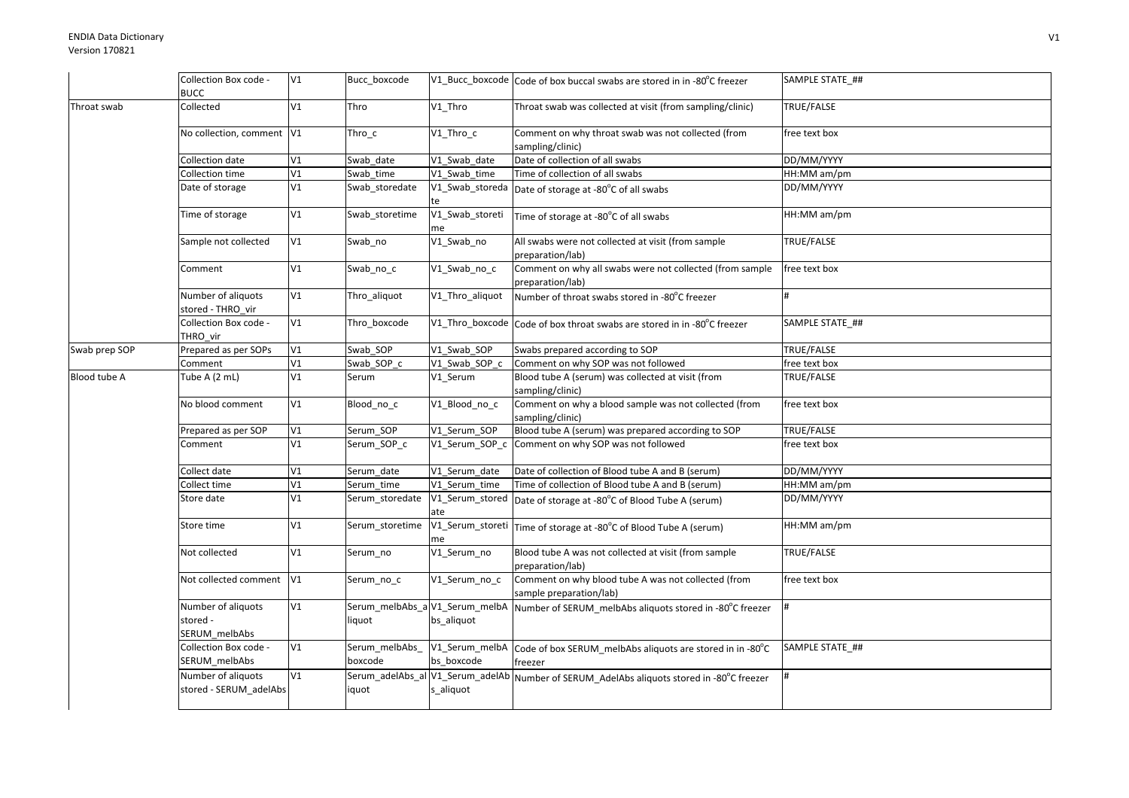|               | Collection Box code -                           | V1 | Bucc_boxcode              |                                              | V1_Bucc_boxcode Code of box buccal swabs are stored in in -80°C freezer                   | SAMPLE STATE ##   |
|---------------|-------------------------------------------------|----|---------------------------|----------------------------------------------|-------------------------------------------------------------------------------------------|-------------------|
|               | <b>BUCC</b>                                     |    |                           |                                              |                                                                                           |                   |
| Throat swab   | Collected                                       | V1 | Thro                      | V1_Thro                                      | Throat swab was collected at visit (from sampling/clinic)                                 | TRUE/FALSE        |
|               | No collection, comment V1                       |    | $Thro_c$                  | V1_Thro_c                                    | Comment on why throat swab was not collected (from<br>sampling/clinic)                    | free text box     |
|               | Collection date                                 | V1 | Swab date                 | V1 Swab date                                 | Date of collection of all swabs                                                           | DD/MM/YYYY        |
|               | Collection time                                 | V1 | Swab time                 | V1 Swab time                                 | Time of collection of all swabs                                                           | HH:MM am/pm       |
|               | Date of storage                                 | V1 | Swab_storedate            |                                              | V1_Swab_storeda Date of storage at -80°C of all swabs                                     | DD/MM/YYYY        |
|               | Time of storage                                 | V1 | Swab storetime            | V1_Swab_storeti<br>me                        | Time of storage at -80°C of all swabs                                                     | HH:MM am/pm       |
|               | Sample not collected                            | V1 | Swab no                   | V1_Swab_no                                   | All swabs were not collected at visit (from sample<br>preparation/lab)                    | TRUE/FALSE        |
|               | Comment                                         | V1 | Swab_no_c                 | V1_Swab_no_c                                 | Comment on why all swabs were not collected (from sample<br>preparation/lab)              | free text box     |
|               | Number of aliquots<br>stored - THRO vir         | V1 | Thro_aliquot              | V1 Thro aliquot                              | Number of throat swabs stored in -80°C freezer                                            | #                 |
|               | Collection Box code -<br>THRO vir               | V1 | Thro boxcode              |                                              | V1_Thro_boxcode Code of box throat swabs are stored in in -80°C freezer                   | SAMPLE STATE_##   |
| Swab prep SOP | Prepared as per SOPs                            | V1 | Swab_SOP                  | V1_Swab_SOP                                  | Swabs prepared according to SOP                                                           | TRUE/FALSE        |
|               | Comment                                         | V1 | Swab SOP c                | V1_Swab_SOP_c                                | Comment on why SOP was not followed                                                       | free text box     |
| Blood tube A  | Tube A (2 mL)                                   | V1 | Serum                     | V1 Serum                                     | Blood tube A (serum) was collected at visit (from<br>sampling/clinic)                     | <b>TRUE/FALSE</b> |
|               | No blood comment                                | V1 | Blood_no_c                | V1_Blood_no_c                                | Comment on why a blood sample was not collected (from<br>sampling/clinic)                 | free text box     |
|               | Prepared as per SOP                             | V1 | Serum SOP                 | V1_Serum_SOP                                 | Blood tube A (serum) was prepared according to SOP                                        | TRUE/FALSE        |
|               | Comment                                         | V1 | Serum_SOP_c               |                                              | V1_Serum_SOP_c Comment on why SOP was not followed                                        | free text box     |
|               | Collect date                                    | V1 | Serum date                | V1 Serum date                                | Date of collection of Blood tube A and B (serum)                                          | DD/MM/YYYY        |
|               | Collect time                                    | V1 | Serum time                | V1 Serum time                                | Time of collection of Blood tube A and B (serum)                                          | HH:MM am/pm       |
|               | Store date                                      | V1 | Serum_storedate           | V1_Serum_stored<br>ate                       | Date of storage at -80°C of Blood Tube A (serum)                                          | DD/MM/YYYY        |
|               | Store time                                      | V1 | Serum storetime           | me                                           | V1_Serum_storeti Time of storage at -80°C of Blood Tube A (serum)                         | HH:MM am/pm       |
|               | Not collected                                   | V1 | Serum no                  | V1_Serum_no                                  | Blood tube A was not collected at visit (from sample<br>preparation/lab)                  | TRUE/FALSE        |
|               | Not collected comment                           | V1 | Serum_no_c                | V1_Serum_no_c                                | Comment on why blood tube A was not collected (from<br>sample preparation/lab)            | free text box     |
|               | Number of aliquots<br>stored -<br>SERUM_melbAbs | V1 | liquot                    | Serum_melbAbs_a V1_Serum_melbA<br>bs_aliquot | Number of SERUM_melbAbs aliquots stored in -80°C freezer                                  |                   |
|               | Collection Box code -<br>SERUM melbAbs          | V1 | Serum_melbAbs_<br>boxcode | V1_Serum_melbA<br>bs boxcode                 | Code of box SERUM_melbAbs aliquots are stored in in -80°C<br>freezer                      | SAMPLE STATE ##   |
|               | Number of aliquots<br>stored - SERUM_adelAbs    | V1 | iquot                     | s_aliquot                                    | Serum_adelAbs_al V1_Serum_adelAb Number of SERUM_AdelAbs aliquots stored in -80°C freezer |                   |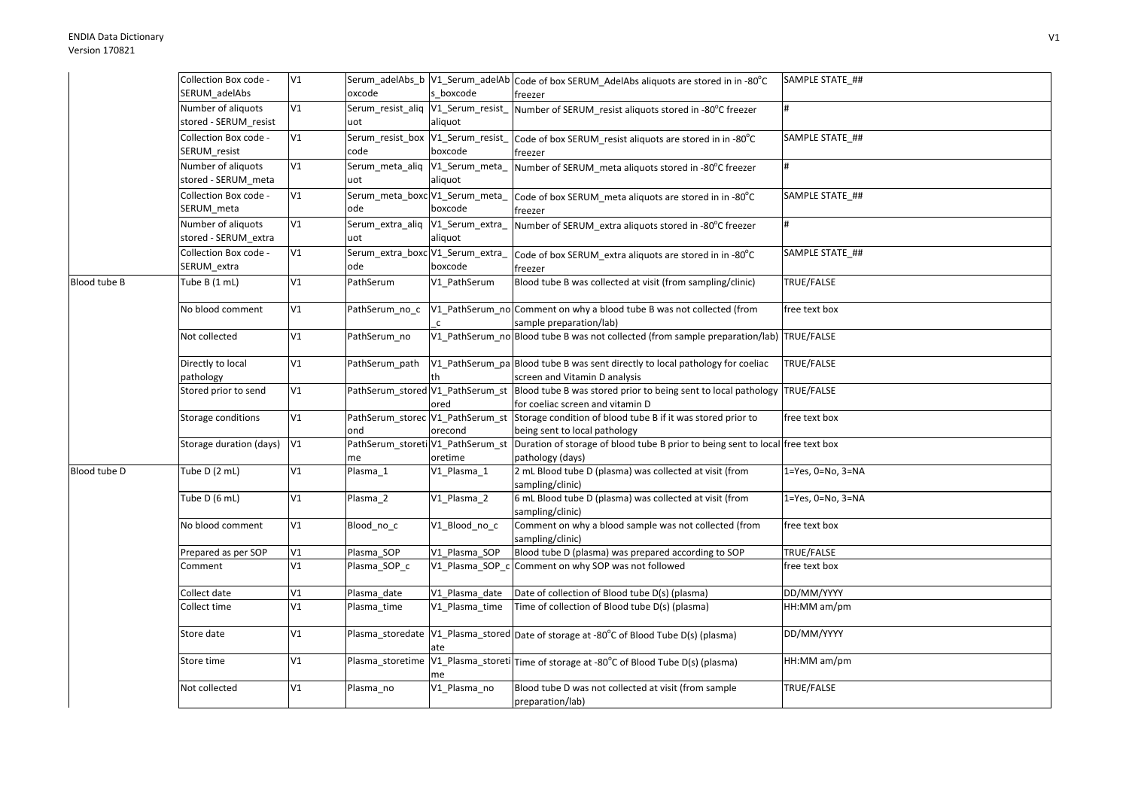|              | Collection Box code -   | V1 |                                          |                                  | Serum_adelAbs_b V1_Serum_adelAb Code of box SERUM_AdelAbs aliquots are stored in in -80°C                       | SAMPLE STATE ##           |
|--------------|-------------------------|----|------------------------------------------|----------------------------------|-----------------------------------------------------------------------------------------------------------------|---------------------------|
|              | SERUM_adelAbs           |    | oxcode                                   | s_boxcode                        | freezer                                                                                                         |                           |
|              | Number of aliquots      | V1 | Serum resist aliq                        | V1_Serum_resist                  | Number of SERUM_resist aliquots stored in -80°C freezer                                                         | #                         |
|              | stored - SERUM_resist   |    | uot                                      | aliquot                          |                                                                                                                 |                           |
|              | Collection Box code -   | V1 | Serum_resist_box V1_Serum_resist_        |                                  | Code of box SERUM_resist aliquots are stored in in -80°C                                                        | SAMPLE STATE ##           |
|              | SERUM_resist            |    | code                                     | boxcode                          | freezer                                                                                                         |                           |
|              | Number of aliquots      | V1 | Serum_meta_aliq V1_Serum_meta_           |                                  | Number of SERUM meta aliquots stored in -80°C freezer                                                           | #                         |
|              | stored - SERUM_meta     |    | uot                                      | aliquot                          |                                                                                                                 |                           |
|              | Collection Box code -   | V1 | Serum_meta_boxc V1_Serum_meta_           |                                  | Code of box SERUM meta aliquots are stored in in -80°C                                                          | SAMPLE STATE ##           |
|              | SERUM_meta              |    | ode                                      | boxcode                          | freezer                                                                                                         |                           |
|              | Number of aliquots      | V1 | Serum_extra_aliq V1_Serum_extra_         |                                  | Number of SERUM_extra aliquots stored in -80°C freezer                                                          | #                         |
|              | stored - SERUM_extra    |    | uot                                      | aliquot                          |                                                                                                                 |                           |
|              | Collection Box code -   | V1 | Serum_extra_boxc V1_Serum_extra          |                                  | Code of box SERUM_extra aliquots are stored in in -80°C                                                         | SAMPLE STATE_##           |
|              | SERUM extra             |    | ode                                      | boxcode                          | freezer                                                                                                         |                           |
| Blood tube B | Tube B (1 mL)           | V1 | PathSerum                                | V1 PathSerum                     | Blood tube B was collected at visit (from sampling/clinic)                                                      | TRUE/FALSE                |
|              | No blood comment        | V1 | PathSerum_no_c                           |                                  | V1_PathSerum_no Comment on why a blood tube B was not collected (from                                           | free text box             |
|              |                         |    |                                          |                                  | sample preparation/lab)                                                                                         |                           |
|              | Not collected           | V1 | PathSerum no                             |                                  | V1_PathSerum_no Blood tube B was not collected (from sample preparation/lab) TRUE/FALSE                         |                           |
|              |                         |    |                                          |                                  |                                                                                                                 |                           |
|              | Directly to local       | V1 | PathSerum path                           |                                  | V1_PathSerum_pa Blood tube B was sent directly to local pathology for coeliac                                   | TRUE/FALSE                |
|              | pathology               |    |                                          |                                  | screen and Vitamin D analysis                                                                                   |                           |
|              | Stored prior to send    | V1 | PathSerum_stored V1_PathSerum_st         |                                  | Blood tube B was stored prior to being sent to local pathology TRUE/FALSE                                       |                           |
|              |                         |    |                                          | ored                             | for coeliac screen and vitamin D                                                                                |                           |
|              | Storage conditions      | V1 |                                          | PathSerum_storec V1_PathSerum_st | Storage condition of blood tube B if it was stored prior to                                                     | free text box             |
|              |                         | V1 | ond<br>PathSerum_storeti V1_PathSerum_st | orecond                          | being sent to local pathology<br>Duration of storage of blood tube B prior to being sent to local free text box |                           |
|              | Storage duration (days) |    | me                                       | oretime                          | pathology (days)                                                                                                |                           |
| Blood tube D | Tube D (2 mL)           | V1 | Plasma_1                                 | V1_Plasma_1                      | 2 mL Blood tube D (plasma) was collected at visit (from                                                         | 1=Yes, 0=No, 3=NA         |
|              |                         |    |                                          |                                  | sampling/clinic)                                                                                                |                           |
|              | Tube D (6 mL)           | V1 | Plasma_2                                 | V1_Plasma_2                      | 6 mL Blood tube D (plasma) was collected at visit (from                                                         | $1 = Yes, 0 = No, 3 = NA$ |
|              |                         |    |                                          |                                  | sampling/clinic)                                                                                                |                           |
|              | No blood comment        | V1 | Blood_no_c                               | V1_Blood_no_c                    | Comment on why a blood sample was not collected (from                                                           | free text box             |
|              |                         |    |                                          |                                  | sampling/clinic)                                                                                                |                           |
|              | Prepared as per SOP     | V1 | Plasma SOP                               | V1 Plasma SOP                    | Blood tube D (plasma) was prepared according to SOP                                                             | TRUE/FALSE                |
|              | Comment                 | V1 | Plasma_SOP_c                             | V1_Plasma_SOP_c                  | Comment on why SOP was not followed                                                                             | free text box             |
|              | Collect date            | V1 | Plasma_date                              | V1_Plasma_date                   | Date of collection of Blood tube D(s) (plasma)                                                                  | DD/MM/YYYY                |
|              | Collect time            | V1 | Plasma time                              | V1 Plasma time                   | Time of collection of Blood tube D(s) (plasma)                                                                  | HH:MM am/pm               |
|              | Store date              | V1 |                                          |                                  | Plasma_storedate   V1_Plasma_stored   Date of storage at -80°C of Blood Tube D(s) (plasma)                      | DD/MM/YYYY                |
|              |                         |    |                                          | ate                              |                                                                                                                 |                           |
|              | Store time              | V1 |                                          |                                  | Plasma_storetime   V1_Plasma_storeti   Time of storage at -80°C of Blood Tube D(s) (plasma)                     | HH:MM am/pm               |
|              |                         |    |                                          | me                               |                                                                                                                 |                           |
|              | Not collected           | V1 | Plasma no                                | V1 Plasma no                     | Blood tube D was not collected at visit (from sample                                                            | TRUE/FALSE                |
|              |                         |    |                                          |                                  | preparation/lab)                                                                                                |                           |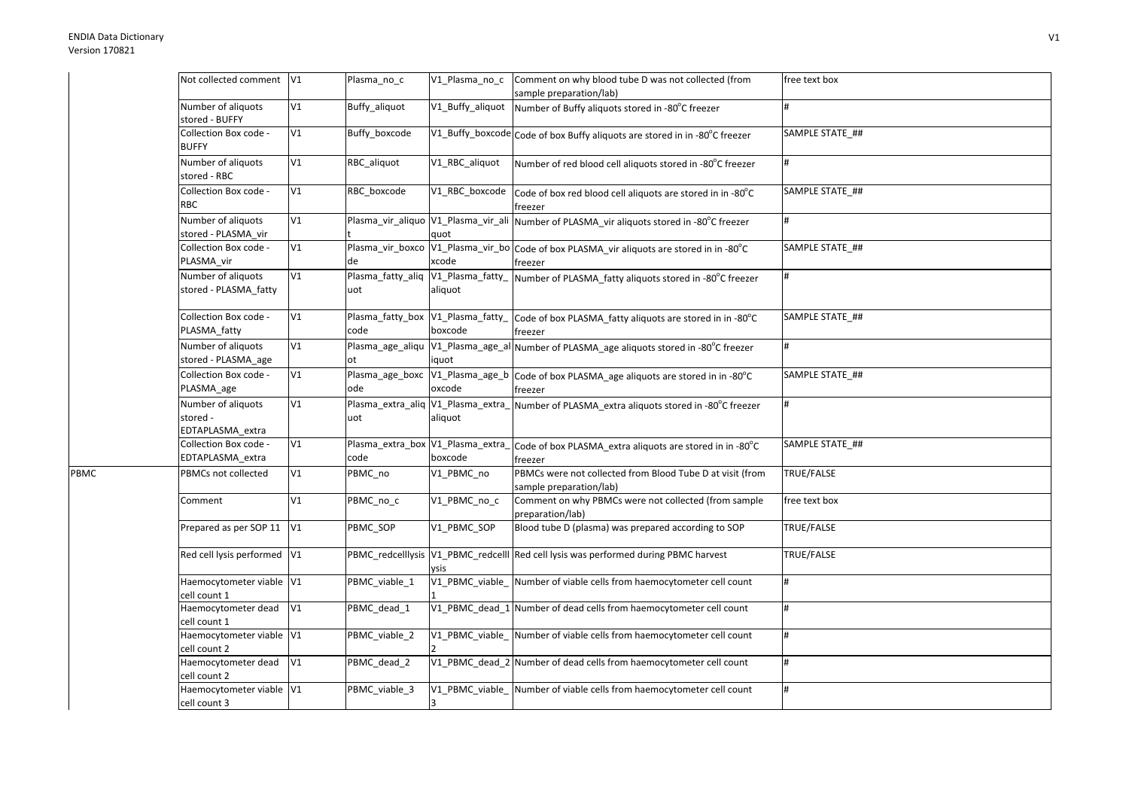PBMC

| Not collected comment V1                           |    | Plasma_no_c                               | V1_Plasma_no_c   | Comment on why blood tube D was not collected (from                                                   | free text box   |
|----------------------------------------------------|----|-------------------------------------------|------------------|-------------------------------------------------------------------------------------------------------|-----------------|
|                                                    |    |                                           |                  | sample preparation/lab)                                                                               |                 |
| Number of aliquots<br>stored - BUFFY               | V1 | Buffy_aliquot                             | V1_Buffy_aliquot | Number of Buffy aliquots stored in -80°C freezer                                                      |                 |
| Collection Box code -<br><b>BUFFY</b>              | V1 | Buffy boxcode                             |                  | V1_Buffy_boxcode Code of box Buffy aliquots are stored in in -80°C freezer                            | SAMPLE STATE ## |
| Number of aliquots<br>stored - RBC                 | V1 | RBC aliquot                               | V1_RBC_aliquot   | Number of red blood cell aliquots stored in -80°C freezer                                             | #               |
| Collection Box code -<br>RBC                       | V1 | RBC_boxcode                               |                  | V1_RBC_boxcode code of box red blood cell aliquots are stored in in -80°C<br>freezer                  | SAMPLE STATE_## |
| Number of aliquots<br>stored - PLASMA vir          | V1 |                                           | quot             | Plasma_vir_aliquo V1_Plasma_vir_ali Number of PLASMA_vir aliquots stored in -80°C freezer             | #               |
| Collection Box code -<br>PLASMA_vir                | V1 | de                                        | xcode            | Plasma_vir_boxco V1_Plasma_vir_bo Code of box PLASMA_vir aliquots are stored in in -80°C<br>freezer   | SAMPLE STATE ## |
| Number of aliquots<br>stored - PLASMA fatty        | V1 | Plasma_fatty_aliq<br>uot                  | aliquot          | V1_Plasma_fatty_ Number of PLASMA_fatty aliquots stored in -80°C freezer                              | #               |
| Collection Box code -<br>PLASMA_fatty              | V1 | code                                      | boxcode          | Plasma_fatty_box V1_Plasma_fatty_ Code of box PLASMA_fatty aliquots are stored in in -80°C<br>freezer | SAMPLE STATE_## |
| Number of aliquots<br>stored - PLASMA_age          | V1 | lot.                                      | iquot            | Plasma_age_aliqu  V1_Plasma_age_al Number of PLASMA_age aliquots stored in -80°C freezer              | #               |
| Collection Box code -<br>PLASMA_age                | V1 | Plasma_age_boxc V1_Plasma_age_b<br>ode    | oxcode           | Code of box PLASMA_age aliquots are stored in in -80°C<br>freezer                                     | SAMPLE STATE ## |
| Number of aliquots<br>stored -<br>EDTAPLASMA extra | V1 | uot                                       | aliquot          | Plasma_extra_aliq V1_Plasma_extra_ Number of PLASMA_extra aliquots stored in -80°C freezer            | l#              |
| Collection Box code -<br>EDTAPLASMA extra          | V1 | Plasma_extra_box V1_Plasma_extra_<br>code | boxcode          | Code of box PLASMA_extra aliquots are stored in in -80°C<br>freezer                                   | SAMPLE STATE_## |
| PBMCs not collected                                | V1 | PBMC_no                                   | V1_PBMC_no       | PBMCs were not collected from Blood Tube D at visit (from<br>sample preparation/lab)                  | TRUE/FALSE      |
| Comment                                            | V1 | PBMC_no_c                                 | V1_PBMC_no_c     | Comment on why PBMCs were not collected (from sample<br>preparation/lab)                              | free text box   |
| Prepared as per SOP 11 V1                          |    | PBMC SOP                                  | V1 PBMC SOP      | Blood tube D (plasma) was prepared according to SOP                                                   | TRUE/FALSE      |
| Red cell lysis performed V1                        |    |                                           | vsis             | PBMC_redcelllysis  V1_PBMC_redcelll Red cell lysis was performed during PBMC harvest                  | TRUE/FALSE      |
| Haemocytometer viable V1<br>cell count 1           |    | PBMC_viable_1                             |                  | V1_PBMC_viable_Number of viable cells from haemocytometer cell count                                  | <sup>#</sup>    |
| Haemocytometer dead<br>cell count 1                | V1 | PBMC dead 1                               |                  | V1_PBMC_dead_1 Number of dead cells from haemocytometer cell count                                    | #               |
| Haemocytometer viable V1<br>cell count 2           |    | PBMC viable 2                             |                  | V1_PBMC_viable_ Number of viable cells from haemocytometer cell count                                 | l#              |
| Haemocytometer dead<br>cell count 2                | V1 | PBMC_dead_2                               |                  | V1_PBMC_dead_2 Number of dead cells from haemocytometer cell count                                    | <sup>#</sup>    |
| Haemocytometer viable V1<br>cell count 3           |    | PBMC_viable_3                             |                  | V1_PBMC_viable_ Number of viable cells from haemocytometer cell count                                 | #               |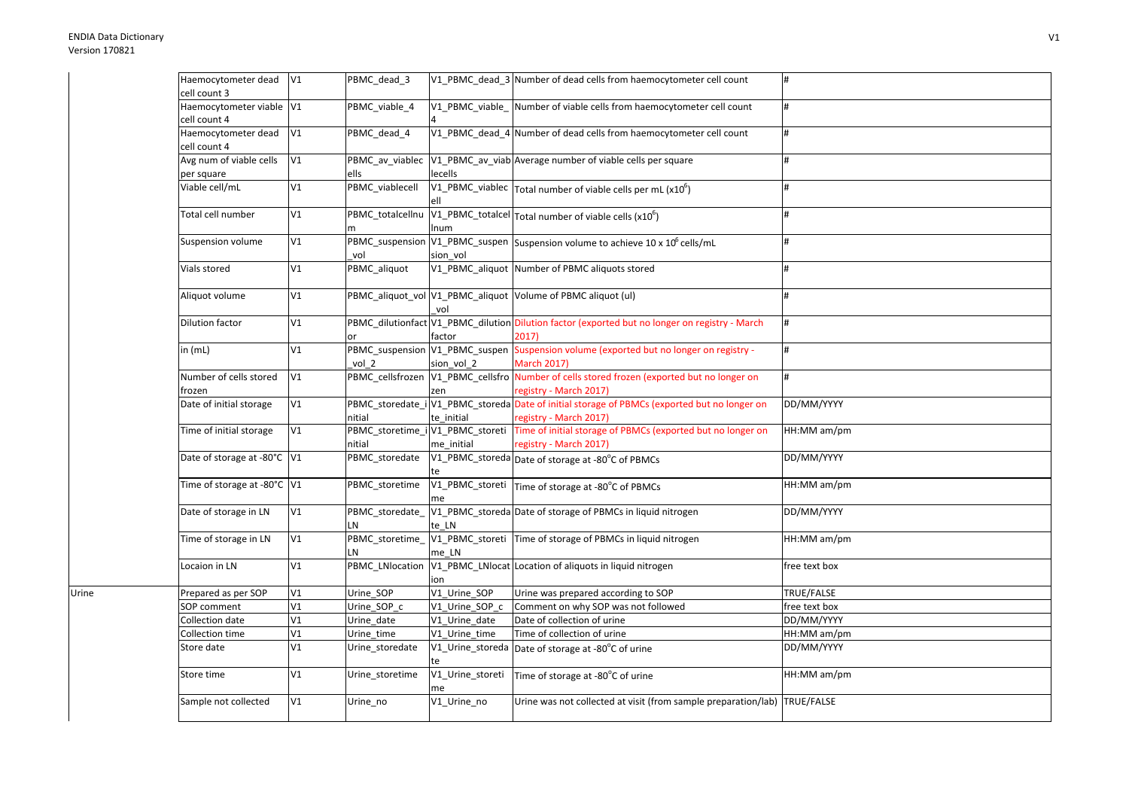Urine

| Haemocytometer dead V1                   |            | PBMC_dead_3            |                                              | V1 PBMC dead 3 Number of dead cells from haemocytometer cell count                                                     |               |
|------------------------------------------|------------|------------------------|----------------------------------------------|------------------------------------------------------------------------------------------------------------------------|---------------|
| cell count 3                             |            |                        |                                              |                                                                                                                        |               |
| Haemocytometer viable V1<br>cell count 4 |            | PBMC_viable_4          |                                              | V1_PBMC_viable_ Number of viable cells from haemocytometer cell count                                                  |               |
| Haemocytometer dead<br>cell count 4      | V1         | PBMC dead 4            |                                              | V1_PBMC_dead_4 Number of dead cells from haemocytometer cell count                                                     | #             |
| Avg num of viable cells                  | V1         | PBMC av viablec        |                                              | V1_PBMC_av_viab Average number of viable cells per square                                                              |               |
| per square                               |            | ells                   | lecells                                      |                                                                                                                        |               |
| Viable cell/mL                           | V1         | PBMC_viablecell        |                                              | $\sqrt{V1_PB}MC$ _viablec $\sqrt{T}$ otal number of viable cells per mL (x10 <sup>6</sup> )                            |               |
| Total cell number                        | V1         | PBMC_totalcellnu       | Inum                                         | $\sqrt{V1_PBMC_L}$ totalcel Total number of viable cells (x10 <sup>6</sup> )                                           |               |
| Suspension volume                        | V1         | PBMC_suspension<br>vol | sion vol                                     | V1_PBMC_suspen Suspension volume to achieve 10 x 10 <sup>6</sup> cells/mL                                              |               |
| Vials stored                             | V1         | PBMC_aliquot           |                                              | V1_PBMC_aliquot Number of PBMC aliquots stored                                                                         |               |
| Aliquot volume                           | V1         |                        | vol                                          | PBMC_aliquot_vol V1_PBMC_aliquot Volume of PBMC aliquot (ul)                                                           |               |
| <b>Dilution factor</b>                   | V1         | or                     | factor                                       | PBMC_dilutionfact V1_PBMC_dilution Dilution factor (exported but no longer on registry - March<br>2017)                |               |
| in $(mL)$                                | V1         | vol 2                  | PBMC_suspension V1_PBMC_suspen<br>sion vol 2 | Suspension volume (exported but no longer on registry -<br><b>March 2017)</b>                                          |               |
| Number of cells stored                   | V1         |                        |                                              | PBMC_cellsfrozen V1_PBMC_cellsfro Number of cells stored frozen (exported but no longer on                             |               |
| frozen                                   |            |                        | zen                                          | registry - March 2017)                                                                                                 |               |
| Date of initial storage                  | V1         | nitial                 | te initial                                   | PBMC_storedate_i V1_PBMC_storeda Date of initial storage of PBMCs (exported but no longer on<br>registry - March 2017) | DD/MM/YYYY    |
| Time of initial storage                  | V1         | nitial                 | me initial                                   | PBMC_storetime_i V1_PBMC_storeti Time of initial storage of PBMCs (exported but no longer on<br>registry - March 2017) | HH:MM am/pm   |
| Date of storage at -80°C V1              |            | PBMC_storedate         |                                              | V1_PBMC_storeda Date of storage at -80°C of PBMCs                                                                      | DD/MM/YYYY    |
| Time of storage at -80°C V1              |            | PBMC_storetime         | me                                           | V1_PBMC_storeti   Time of storage at -80°C of PBMCs                                                                    | HH:MM am/pm   |
| Date of storage in LN                    | V1         | PBMC_storedate_<br>LN  | te LN                                        | V1_PBMC_storeda Date of storage of PBMCs in liquid nitrogen                                                            | DD/MM/YYYY    |
| Time of storage in LN                    | V1         | PBMC_storetime_<br>LN  | me LN                                        | V1_PBMC_storeti Time of storage of PBMCs in liquid nitrogen                                                            | HH:MM am/pm   |
| Locaion in LN                            | V1         | PBMC_LNlocation        | ion                                          | V1_PBMC_LNlocat Location of aliquots in liquid nitrogen                                                                | free text box |
| Prepared as per SOP                      | ${\sf V1}$ | Urine SOP              | V1_Urine_SOP                                 | Urine was prepared according to SOP                                                                                    | TRUE/FALSE    |
| SOP comment                              | V1         | Urine_SOP_c            | V1 Urine SOP c                               | Comment on why SOP was not followed                                                                                    | free text box |
| Collection date                          | V1         | Urine date             | V1 Urine date                                | Date of collection of urine                                                                                            | DD/MM/YYYY    |
| Collection time                          | V1         | Urine_time             | V1_Urine_time                                | Time of collection of urine                                                                                            | HH:MM am/pm   |
| Store date                               | V1         | Urine_storedate        | V1_Urine_storeda                             | Date of storage at -80°C of urine                                                                                      | DD/MM/YYYY    |
| Store time                               | V1         | Urine_storetime        | V1_Urine_storeti                             | Time of storage at -80°C of urine                                                                                      | HH:MM am/pm   |
| Sample not collected                     | V1         | Urine_no               | V1_Urine_no                                  | Urine was not collected at visit (from sample preparation/lab) TRUE/FALSE                                              |               |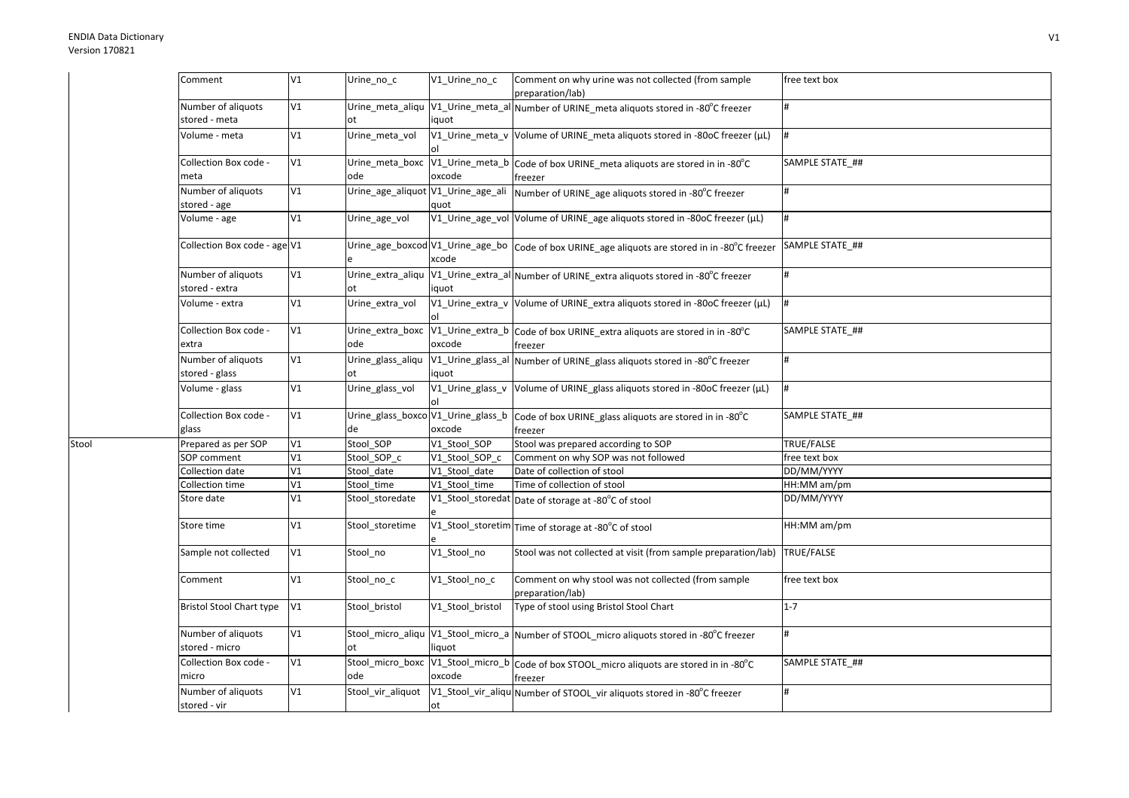Stool

| Comment                              | V1 | Urine_no_c                     | V1_Urine_no_c    | Comment on why urine was not collected (from sample<br>preparation/lab)                                | free text box   |
|--------------------------------------|----|--------------------------------|------------------|--------------------------------------------------------------------------------------------------------|-----------------|
| Number of aliquots<br>stored - meta  | V1 | ot                             | iquot            | Urine_meta_aliqu  V1_Urine_meta_al Number of URINE_meta aliquots stored in -80°C freezer               |                 |
| Volume - meta                        | V1 | Urine_meta_vol                 |                  | V1_Urine_meta_v Volume of URINE_meta aliquots stored in -80oC freezer (µL)                             | #               |
| Collection Box code -<br>meta        | V1 | Urine_meta_boxc<br>ode         | oxcode           | V1_Urine_meta_b Code of box URINE_meta aliquots are stored in in -80°C<br>freezer                      | SAMPLE STATE_## |
| Number of aliquots<br>stored - age   | V1 |                                | quot             | Urine_age_aliquot  V1_Urine_age_ali  Number of URINE_age aliquots stored in -80°C freezer              |                 |
| Volume - age                         | V1 | Urine age vol                  |                  | V1_Urine_age_vol Volume of URINE_age aliquots stored in -80oC freezer (µL)                             | #               |
| Collection Box code - age V1         |    |                                | xcode            | Urine_age_boxcod V1_Urine_age_bo   Code of box URINE_age aliquots are stored in in -80°C freezer       | SAMPLE STATE_## |
| Number of aliquots<br>stored - extra | V1 | Urine extra aliqu<br>lot       | iquot            | V1_Urine_extra_al Number of URINE_extra aliquots stored in -80°C freezer                               | #               |
| Volume - extra                       | V1 | Urine extra vol                | ٥I               | V1_Urine_extra_v Volume of URINE_extra aliquots stored in -80oC freezer (µL)                           |                 |
| Collection Box code -<br>extra       | V1 | Urine_extra_boxc<br>ode        | oxcode           | V1_Urine_extra_b Code of box URINE_extra aliquots are stored in in -80°C<br>freezer                    | SAMPLE STATE_## |
| Number of aliquots<br>stored - glass | V1 | Urine_glass_aliqu<br>ot        | iquot            | V1_Urine_glass_al Number of URINE_glass aliquots stored in -80°C freezer                               | #               |
| Volume - glass                       | V1 | Urine_glass_vol                | ٥I               | V1_Urine_glass_v Volume of URINE_glass aliquots stored in -80oC freezer (µL)                           | #               |
| Collection Box code -<br>glass       | V1 | de                             | oxcode           | Urine_glass_boxco V1_Urine_glass_b code of box URINE_glass aliquots are stored in in -80°C<br>freezer  | SAMPLE STATE ## |
| Prepared as per SOP                  | V1 | Stool_SOP                      | V1 Stool SOP     | Stool was prepared according to SOP                                                                    | TRUE/FALSE      |
| <b>SOP</b> comment                   | V1 | Stool SOP c                    | V1 Stool SOP c   | Comment on why SOP was not followed                                                                    | free text box   |
| Collection date                      | V1 | Stool date                     | V1 Stool date    | Date of collection of stool                                                                            | DD/MM/YYYY      |
| Collection time                      | V1 | Stool time                     | V1 Stool time    | Time of collection of stool                                                                            | HH:MM am/pm     |
| Store date                           | V1 | Stool_storedate                |                  | V1_Stool_storedat Date of storage at -80°C of stool                                                    | DD/MM/YYYY      |
| Store time                           | V1 | Stool_storetime                |                  | V1_Stool_storetim Time of storage at -80°C of stool                                                    | HH:MM am/pm     |
| Sample not collected                 | V1 | Stool no                       | V1 Stool no      | Stool was not collected at visit (from sample preparation/lab)                                         | TRUE/FALSE      |
| Comment                              | V1 | Stool_no_c                     | V1_Stool_no_c    | Comment on why stool was not collected (from sample<br>preparation/lab)                                | free text box   |
| <b>Bristol Stool Chart type</b>      | V1 | Stool bristol                  | V1 Stool bristol | Type of stool using Bristol Stool Chart                                                                | $1 - 7$         |
| Number of aliquots<br>stored - micro | V1 | Stool_micro_aliqu<br><b>ot</b> | liquot           | V1_Stool_micro_a Number of STOOL_micro aliquots stored in -80°C freezer                                | $\#$            |
| Collection Box code -<br>micro       | V1 | ode                            | oxcode           | Stool_micro_boxc  V1_Stool_micro_b  Code of box STOOL_micro aliquots are stored in in -80°C<br>freezer | SAMPLE STATE ## |
| Number of aliquots<br>stored - vir   | V1 | Stool vir aliquot              | ot               | V1_Stool_vir_aliqu Number of STOOL_vir aliquots stored in -80°C freezer                                | #               |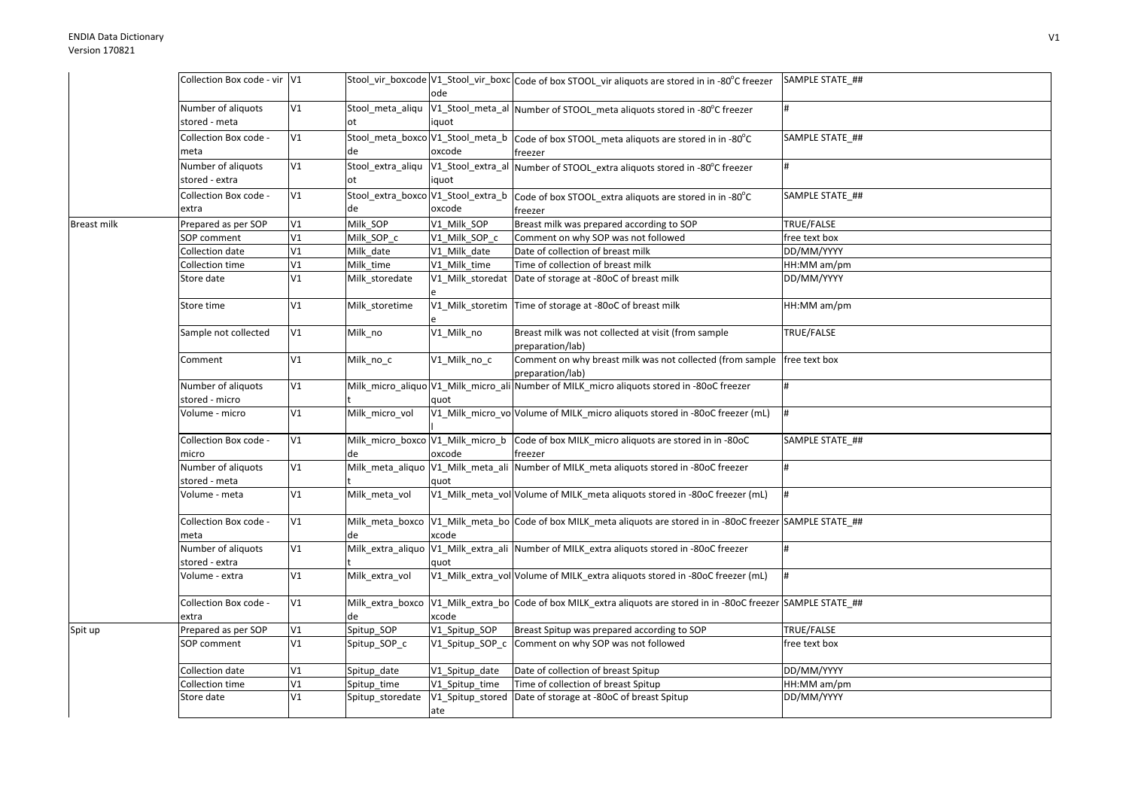|                    | Collection Box code - vir V1         |    |                         | ode            | Stool_vir_boxcode V1_Stool_vir_boxc Code of box STOOL vir aliquots are stored in in -80°C freezer                 | SAMPLE STATE ##          |
|--------------------|--------------------------------------|----|-------------------------|----------------|-------------------------------------------------------------------------------------------------------------------|--------------------------|
|                    | Number of aliquots<br>stored - meta  | V1 | ot                      | iquot          | Stool_meta_aliqu  V1_Stool_meta_al  Number of STOOL_meta aliquots stored in -80°C freezer                         |                          |
|                    | Collection Box code -<br>meta        | V1 | de                      | oxcode         | Stool_meta_boxco V1_Stool_meta_b  Code of box STOOL_meta aliquots are stored in in -80°C<br>freezer               | SAMPLE STATE ##          |
|                    | Number of aliquots<br>stored - extra | V1 | Stool_extra_aliqu<br>ot | iquot          | V1_Stool_extra_al Number of STOOL_extra aliquots stored in -80°C freezer                                          |                          |
|                    | Collection Box code -<br>extra       | V1 | de                      | oxcode         | Stool_extra_boxco V1_Stool_extra_b code of box STOOL_extra aliquots are stored in in -80°C<br>freezer             | SAMPLE STATE ##          |
| <b>Breast milk</b> | Prepared as per SOP                  | V1 | Milk_SOP                | V1_Milk_SOP    | Breast milk was prepared according to SOP                                                                         | TRUE/FALSE               |
|                    | SOP comment                          | V1 | Milk_SOP_c              | V1_Milk_SOP_c  | Comment on why SOP was not followed                                                                               | free text box            |
|                    | Collection date                      | V1 | Milk_date               | V1 Milk date   | Date of collection of breast milk                                                                                 | DD/MM/YYYY               |
|                    | Collection time                      | V1 | Milk_time               | V1 Milk time   | Time of collection of breast milk                                                                                 | HH:MM am/pm              |
|                    | Store date                           | V1 | Milk storedate          |                | V1 Milk storedat Date of storage at -80oC of breast milk                                                          | DD/MM/YYYY               |
|                    | Store time                           | V1 | Milk storetime          |                | V1_Milk_storetim Time of storage at -80oC of breast milk                                                          | HH:MM am/pm              |
|                    | Sample not collected                 | V1 | Milk_no                 | V1_Milk_no     | Breast milk was not collected at visit (from sample<br>preparation/lab)                                           | TRUE/FALSE               |
|                    | Comment                              | V1 | Milk_no_c               | V1_Milk_no_c   | Comment on why breast milk was not collected (from sample free text box<br>preparation/lab)                       |                          |
|                    | Number of aliquots<br>stored - micro | V1 |                         | quot           | Milk_micro_aliquo V1_Milk_micro_ali Number of MILK_micro aliquots stored in -80oC freezer                         | #                        |
|                    | Volume - micro                       | V1 | Milk micro vol          |                | V1_Milk_micro_vo Volume of MILK_micro aliquots stored in -80oC freezer (mL)                                       | #                        |
|                    | Collection Box code -<br>micro       | V1 | de                      | oxcode         | Milk_micro_boxco V1_Milk_micro_b Code of box MILK_micro aliquots are stored in in -80oC<br>freezer                | SAMPLE STATE_##          |
|                    | Number of aliquots<br>stored - meta  | V1 |                         | quot           | Milk_meta_aliquo V1_Milk_meta_ali Number of MILK_meta aliquots stored in -80oC freezer                            |                          |
|                    | Volume - meta                        | V1 | Milk meta vol           |                | V1 Milk meta vol Volume of MILK meta aliquots stored in -80oC freezer (mL)                                        |                          |
|                    | Collection Box code -<br>meta        | V1 |                         | xcode          | Milk_meta_boxco  V1_Milk_meta_bo  Code of box MILK_meta aliquots are stored in in -80oC freezer  SAMPLE STATE_##  |                          |
|                    | Number of aliquots<br>stored - extra | V1 |                         | quot           | Milk_extra_aliquo V1_Milk_extra_ali Number of MILK_extra aliquots stored in -80oC freezer                         |                          |
|                    | Volume - extra                       | V1 | Milk extra vol          |                | V1_Milk_extra_vol Volume of MILK_extra aliquots stored in -80oC freezer (mL)                                      |                          |
|                    | Collection Box code -<br>extra       | V1 | de                      | xcode          | Milk_extra_boxco  V1_Milk_extra_bo Code of box MILK_extra aliquots are stored in in -80oC freezer SAMPLE STATE_## |                          |
| Spit up            | Prepared as per SOP                  | V1 | Spitup_SOP              | V1_Spitup_SOP  | Breast Spitup was prepared according to SOP                                                                       | <b>TRUE/FALSE</b>        |
|                    | SOP comment                          | V1 | Spitup_SOP_c            |                | V1_Spitup_SOP_c Comment on why SOP was not followed                                                               | free text box            |
|                    | Collection date                      | V1 | Spitup date             | V1 Spitup date | Date of collection of breast Spitup                                                                               | DD/MM/YYYY               |
|                    | Collection time                      | V1 | Spitup time             | V1_Spitup_time | Time of collection of breast Spitup                                                                               | $\overline{HH:MM}$ am/pm |
|                    | Store date                           | V1 | Spitup_storedate        | ate            | V1_Spitup_stored Date of storage at -80oC of breast Spitup                                                        | DD/MM/YYYY               |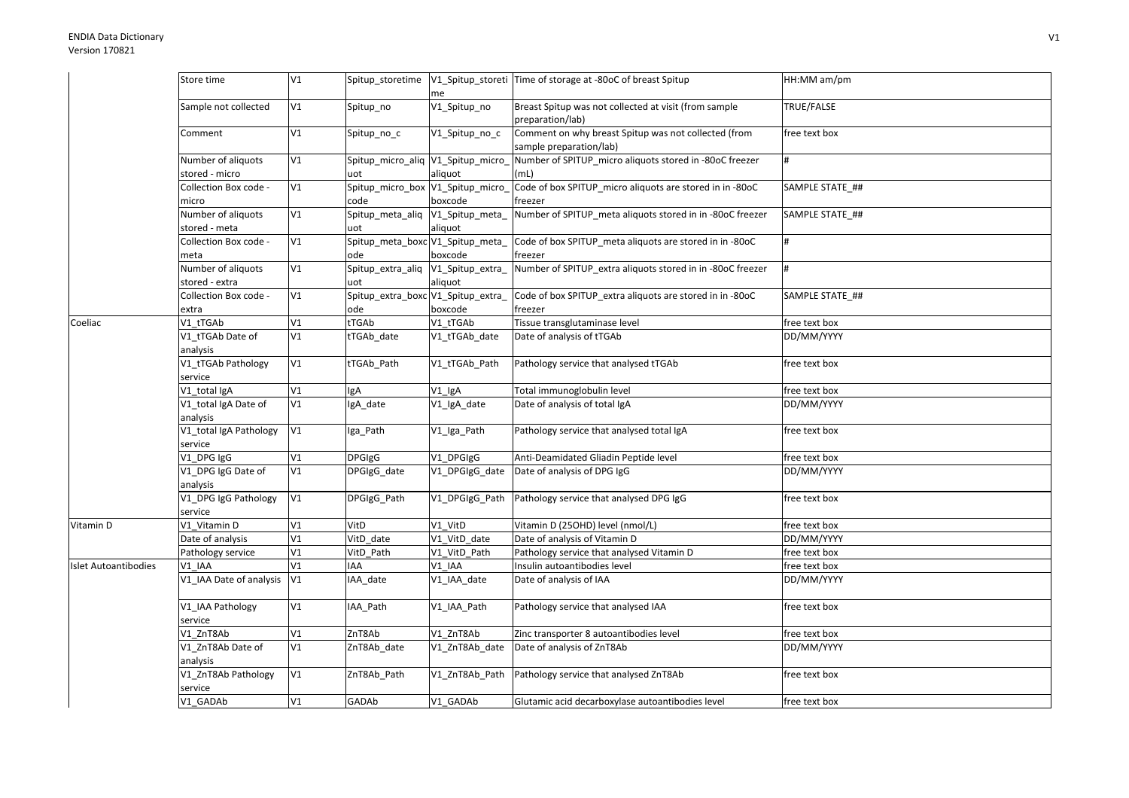|                      | Store time                       | V1 | Spitup_storetime                   | me             | V1_Spitup_storeti Time of storage at -80oC of breast Spitup                     | HH:MM am/pm     |
|----------------------|----------------------------------|----|------------------------------------|----------------|---------------------------------------------------------------------------------|-----------------|
|                      | Sample not collected             | V1 | Spitup_no                          | V1_Spitup_no   | Breast Spitup was not collected at visit (from sample<br>preparation/lab)       | TRUE/FALSE      |
|                      | Comment                          | V1 | Spitup_no_c                        | V1_Spitup_no_c | Comment on why breast Spitup was not collected (from<br>sample preparation/lab) | free text box   |
|                      | Number of aliquots               | V1 | Spitup_micro_aliq V1_Spitup_micro_ |                | Number of SPITUP_micro aliquots stored in -80oC freezer                         | #               |
|                      | stored - micro                   |    | uot                                | aliquot        | (mL)                                                                            |                 |
|                      | Collection Box code -            | V1 | Spitup_micro_box V1_Spitup_micro_  |                | Code of box SPITUP_micro aliquots are stored in in -80oC                        | SAMPLE STATE_## |
|                      | micro                            |    | code                               | boxcode        | freezer                                                                         |                 |
|                      | Number of aliquots               | V1 | Spitup_meta_aliq V1_Spitup_meta_   |                | Number of SPITUP_meta aliquots stored in in -80oC freezer                       | SAMPLE STATE_## |
|                      | stored - meta                    |    | uot                                | aliquot        |                                                                                 |                 |
|                      | Collection Box code -            | V1 | Spitup_meta_boxc V1_Spitup_meta_   |                | Code of box SPITUP_meta aliquots are stored in in -80oC                         |                 |
|                      | meta                             |    | ode                                | boxcode        | freezer                                                                         |                 |
|                      | Number of aliquots               | V1 | Spitup_extra_aliq V1_Spitup_extra_ |                | Number of SPITUP_extra aliquots stored in in -80oC freezer                      | #               |
|                      | stored - extra                   |    | uot                                | aliquot        |                                                                                 |                 |
|                      | Collection Box code -            | V1 | Spitup_extra_boxc V1_Spitup_extra_ |                | Code of box SPITUP_extra aliquots are stored in in -80oC                        | SAMPLE STATE ## |
|                      | extra                            |    | ode                                | boxcode        | freezer                                                                         |                 |
| Coeliac              | V1_tTGAb                         | V1 | tTGAb                              | V1_tTGAb       | Tissue transglutaminase level                                                   | free text box   |
|                      | V1_tTGAb Date of                 | V1 | tTGAb_date                         | V1_tTGAb_date  | Date of analysis of tTGAb                                                       | DD/MM/YYYY      |
|                      | analysis                         |    |                                    |                |                                                                                 |                 |
|                      | V1_tTGAb Pathology               | V1 | tTGAb_Path                         | V1_tTGAb_Path  | Pathology service that analysed tTGAb                                           | free text box   |
|                      | service                          |    |                                    |                |                                                                                 |                 |
|                      | V1_total IgA                     | V1 | lgA                                | $V1$ _IgA      | Total immunoglobulin level                                                      | free text box   |
|                      | V1_total IgA Date of<br>analysis | V1 | IgA_date                           | V1_IgA_date    | Date of analysis of total IgA                                                   | DD/MM/YYYY      |
|                      | V1_total IgA Pathology           | V1 | Iga_Path                           | V1_Iga_Path    | Pathology service that analysed total IgA                                       | free text box   |
|                      | service                          |    |                                    |                |                                                                                 |                 |
|                      | V1_DPG IgG                       | V1 | <b>DPGIgG</b>                      | V1 DPGIgG      | Anti-Deamidated Gliadin Peptide level                                           | free text box   |
|                      | V1_DPG IgG Date of<br>analysis   | V1 | DPGIgG_date                        | V1_DPGIgG_date | Date of analysis of DPG IgG                                                     | DD/MM/YYYY      |
|                      | V1_DPG IgG Pathology<br>service  | V1 | DPGIgG_Path                        | V1_DPGIgG_Path | Pathology service that analysed DPG IgG                                         | free text box   |
| Vitamin D            | V1 Vitamin D                     | V1 | VitD                               | V1_VitD        | Vitamin D (25OHD) level (nmol/L)                                                | free text box   |
|                      | Date of analysis                 | V1 | VitD date                          | V1_VitD_date   | Date of analysis of Vitamin D                                                   | DD/MM/YYYY      |
|                      | Pathology service                | V1 | VitD_Path                          | V1_VitD_Path   | Pathology service that analysed Vitamin D                                       | free text box   |
| Islet Autoantibodies | V1 IAA                           | V1 | IAA                                | V1_IAA         | Insulin autoantibodies level                                                    | free text box   |
|                      | V1 IAA Date of analysis          | V1 | IAA date                           | V1_IAA_date    | Date of analysis of IAA                                                         | DD/MM/YYYY      |
|                      | V1_IAA Pathology<br>service      | V1 | IAA_Path                           | V1_IAA_Path    | Pathology service that analysed IAA                                             | free text box   |
|                      | V1 ZnT8Ab                        | V1 | ZnT8Ab                             | V1 ZnT8Ab      | Zinc transporter 8 autoantibodies level                                         | free text box   |
|                      | V1_ZnT8Ab Date of                | V1 | ZnT8Ab_date                        | V1 ZnT8Ab date | Date of analysis of ZnT8Ab                                                      | DD/MM/YYYY      |
|                      | analysis                         |    |                                    |                |                                                                                 |                 |
|                      | V1_ZnT8Ab Pathology              | V1 | ZnT8Ab_Path                        | V1_ZnT8Ab_Path | Pathology service that analysed ZnT8Ab                                          | free text box   |
|                      | service                          |    |                                    |                |                                                                                 |                 |
|                      | V1 GADAb                         | V1 | GADAb                              | V1 GADAb       | Glutamic acid decarboxylase autoantibodies level                                | free text box   |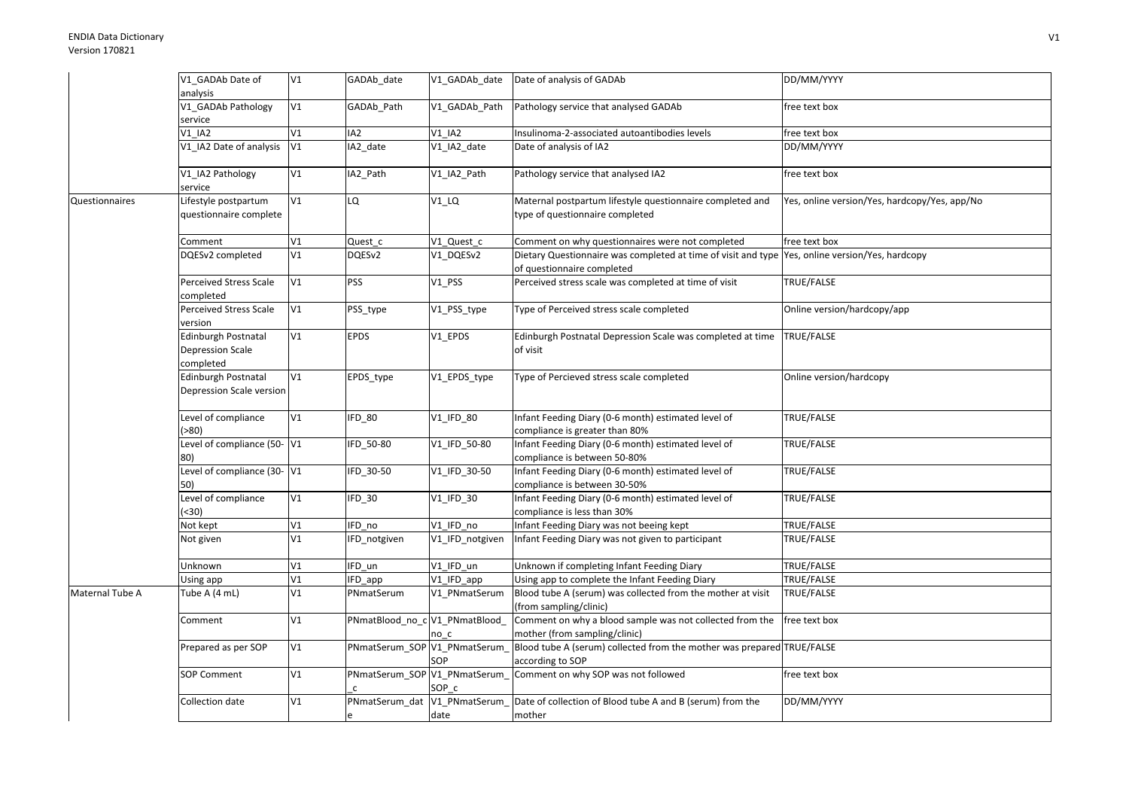|                 | V1_GADAb Date of            | V1 | GADAb_date                     | V1_GADAb_date                 | Date of analysis of GADAb                                                                       | DD/MM/YYYY                                    |
|-----------------|-----------------------------|----|--------------------------------|-------------------------------|-------------------------------------------------------------------------------------------------|-----------------------------------------------|
|                 | analysis                    |    |                                |                               |                                                                                                 |                                               |
|                 | V1_GADAb Pathology          | V1 | GADAb_Path                     | V1 GADAb Path                 | Pathology service that analysed GADAb                                                           | free text box                                 |
|                 | service                     |    |                                |                               |                                                                                                 |                                               |
|                 | V1 IA2                      | V1 | IA <sub>2</sub>                | <b>V1 IA2</b>                 | Insulinoma-2-associated autoantibodies levels                                                   | free text box                                 |
|                 | V1 IA2 Date of analysis     | V1 | IA2_date                       | V1_IA2_date                   | Date of analysis of IA2                                                                         | DD/MM/YYYY                                    |
|                 |                             |    |                                |                               |                                                                                                 |                                               |
|                 | V1_IA2 Pathology            | V1 | IA2_Path                       | V1_IA2_Path                   | Pathology service that analysed IA2                                                             | free text box                                 |
|                 | service                     |    |                                |                               |                                                                                                 |                                               |
| Questionnaires  | Lifestyle postpartum        | V1 | LQ                             | $V1_LQ$                       | Maternal postpartum lifestyle questionnaire completed and                                       | Yes, online version/Yes, hardcopy/Yes, app/No |
|                 | questionnaire complete      |    |                                |                               | type of questionnaire completed                                                                 |                                               |
|                 |                             |    |                                |                               |                                                                                                 |                                               |
|                 | Comment                     | V1 | Quest_c                        | V1_Quest_c                    | Comment on why questionnaires were not completed                                                | free text box                                 |
|                 | DQESv2 completed            | V1 | DQESv2                         | V1 DQESv2                     | Dietary Questionnaire was completed at time of visit and type Yes, online version/Yes, hardcopy |                                               |
|                 |                             |    |                                |                               | of questionnaire completed                                                                      |                                               |
|                 | Perceived Stress Scale      | V1 | PSS                            | $V1$ <sub>_PSS</sub>          | Perceived stress scale was completed at time of visit                                           | TRUE/FALSE                                    |
|                 | completed                   |    |                                |                               |                                                                                                 |                                               |
|                 | Perceived Stress Scale      | V1 | PSS_type                       | V1_PSS_type                   | Type of Perceived stress scale completed                                                        | Online version/hardcopy/app                   |
|                 | version                     |    |                                |                               |                                                                                                 |                                               |
|                 | Edinburgh Postnatal         | V1 | <b>EPDS</b>                    | V1_EPDS                       | Edinburgh Postnatal Depression Scale was completed at time                                      | TRUE/FALSE                                    |
|                 | Depression Scale            |    |                                |                               | of visit                                                                                        |                                               |
|                 | completed                   |    |                                |                               |                                                                                                 |                                               |
|                 | <b>Edinburgh Postnatal</b>  | V1 | EPDS_type                      | V1_EPDS_type                  | Type of Percieved stress scale completed                                                        | Online version/hardcopy                       |
|                 | Depression Scale version    |    |                                |                               |                                                                                                 |                                               |
|                 |                             |    |                                |                               |                                                                                                 |                                               |
|                 | Level of compliance         | V1 | IFD_80                         | V1 IFD 80                     | Infant Feeding Diary (0-6 month) estimated level of                                             | TRUE/FALSE                                    |
|                 | ( > 80)                     |    |                                |                               | compliance is greater than 80%                                                                  |                                               |
|                 | Level of compliance (50- V1 |    | IFD_50-80                      | V1_IFD_50-80                  | Infant Feeding Diary (0-6 month) estimated level of                                             | TRUE/FALSE                                    |
|                 | 80)                         |    |                                |                               | compliance is between 50-80%                                                                    |                                               |
|                 | Level of compliance (30-V1  |    | IFD 30-50                      | V1 IFD 30-50                  | Infant Feeding Diary (0-6 month) estimated level of                                             | TRUE/FALSE                                    |
|                 | 50)                         |    |                                |                               | compliance is between 30-50%                                                                    |                                               |
|                 | Level of compliance         | V1 | IFD 30                         | $V1$ <sub>_</sub> IFD_30      | Infant Feeding Diary (0-6 month) estimated level of                                             | TRUE/FALSE                                    |
|                 | (30)                        |    |                                |                               | compliance is less than 30%                                                                     |                                               |
|                 | Not kept                    | V1 | IFD no                         | V1 IFD no                     | Infant Feeding Diary was not beeing kept                                                        | TRUE/FALSE                                    |
|                 | Not given                   | V1 | IFD_notgiven                   | V1_IFD_notgiven               | Infant Feeding Diary was not given to participant                                               | TRUE/FALSE                                    |
|                 |                             |    |                                |                               |                                                                                                 |                                               |
|                 | Unknown                     | V1 | IFD un                         | V1_IFD_un                     | Unknown if completing Infant Feeding Diary                                                      | TRUE/FALSE                                    |
|                 | Using app                   | V1 | IFD_app                        | V1 IFD app                    | Using app to complete the Infant Feeding Diary                                                  | TRUE/FALSE                                    |
| Maternal Tube A | Tube A (4 mL)               | V1 | PNmatSerum                     | V1_PNmatSerum                 | Blood tube A (serum) was collected from the mother at visit                                     | TRUE/FALSE                                    |
|                 |                             |    |                                |                               | (from sampling/clinic)                                                                          |                                               |
|                 | Comment                     | V1 | PNmatBlood_no_c V1_PNmatBlood_ |                               | Comment on why a blood sample was not collected from the                                        | free text box                                 |
|                 |                             |    |                                | no c                          | mother (from sampling/clinic)                                                                   |                                               |
|                 | Prepared as per SOP         | V1 | PNmatSerum_SOP V1_PNmatSerum_  |                               | Blood tube A (serum) collected from the mother was prepared TRUE/FALSE                          |                                               |
|                 |                             |    |                                | SOP                           | according to SOP                                                                                |                                               |
|                 | <b>SOP Comment</b>          | V1 |                                | PNmatSerum_SOP V1_PNmatSerum_ | Comment on why SOP was not followed                                                             | free text box                                 |
|                 |                             |    |                                | SOP c                         |                                                                                                 |                                               |
|                 | Collection date             | V1 |                                | PNmatSerum_dat V1_PNmatSerum_ | Date of collection of Blood tube A and B (serum) from the                                       | DD/MM/YYYY                                    |
|                 |                             |    |                                | date                          | mother                                                                                          |                                               |
|                 |                             |    |                                |                               |                                                                                                 |                                               |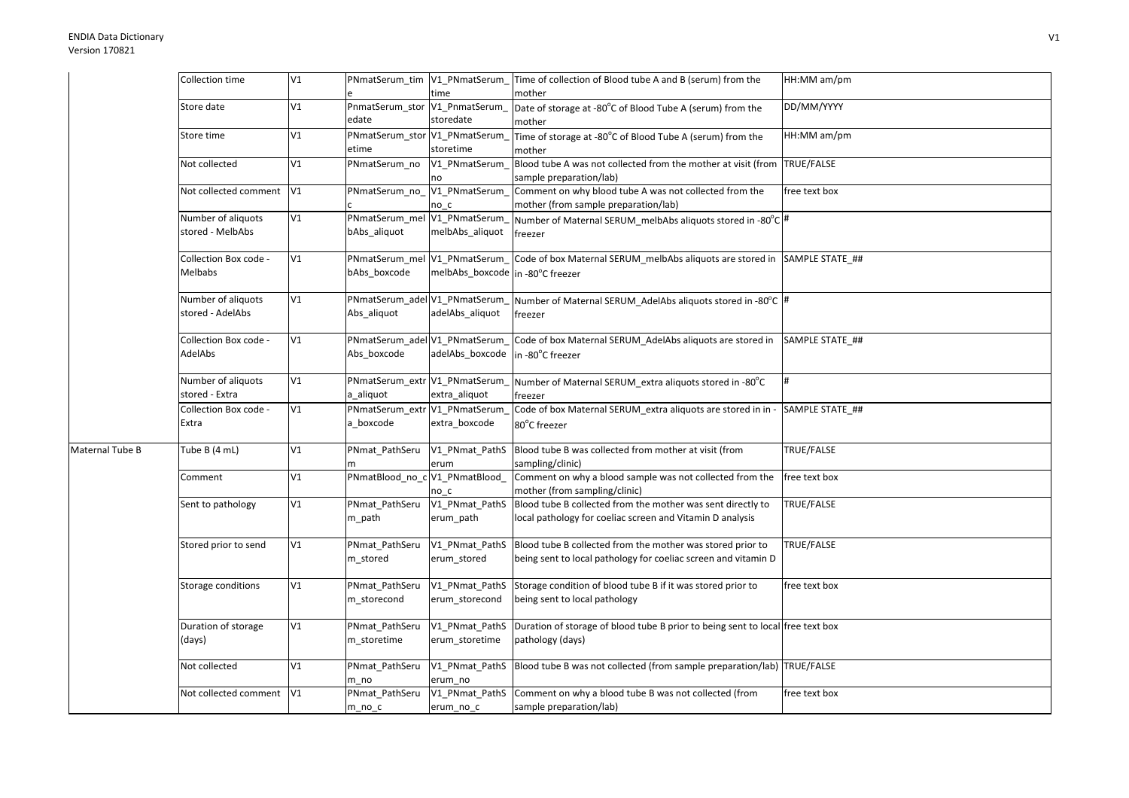|                 | Collection time           | V1 |                                |                                  | PNmatSerum_tim   V1_PNmatSerum_ Time of collection of Blood tube A and B (serum) from the | HH:MM am/pm     |
|-----------------|---------------------------|----|--------------------------------|----------------------------------|-------------------------------------------------------------------------------------------|-----------------|
|                 |                           |    |                                | time                             | mother                                                                                    |                 |
|                 | Store date                | V1 | PnmatSerum_stor V1_PnmatSerum_ |                                  | Date of storage at -80°C of Blood Tube A (serum) from the                                 | DD/MM/YYYY      |
|                 |                           |    | edate                          | storedate                        | mother                                                                                    |                 |
|                 | Store time                | V1 | PNmatSerum_stor V1_PNmatSerum  |                                  | Time of storage at -80°C of Blood Tube A (serum) from the                                 | HH:MM am/pm     |
|                 |                           |    | etime                          | storetime                        | mother                                                                                    |                 |
|                 | Not collected             | V1 | PNmatSerum_no                  | V1 PNmatSerum                    | Blood tube A was not collected from the mother at visit (from TRUE/FALSE                  |                 |
|                 |                           |    |                                | no                               | sample preparation/lab)                                                                   |                 |
|                 | Not collected comment     | V1 | PNmatSerum_no_V1_PNmatSerum_   |                                  | Comment on why blood tube A was not collected from the                                    | free text box   |
|                 | Number of aliquots        | V1 | PNmatSerum_mel V1_PNmatSerum   | no c                             | mother (from sample preparation/lab)                                                      |                 |
|                 | stored - MelbAbs          |    | bAbs aliquot                   | melbAbs_aliquot                  | Number of Maternal SERUM melbAbs aliquots stored in -80°C #<br>freezer                    |                 |
|                 |                           |    |                                |                                  |                                                                                           |                 |
|                 | Collection Box code -     | V1 | PNmatSerum_mel V1_PNmatSerum_  |                                  | Code of box Maternal SERUM melbAbs aliquots are stored in SAMPLE STATE ##                 |                 |
|                 | Melbabs                   |    | bAbs boxcode                   | melbAbs_boxcode in -80°C freezer |                                                                                           |                 |
|                 |                           |    |                                |                                  |                                                                                           |                 |
|                 | Number of aliquots        | V1 | PNmatSerum_adel V1_PNmatSerum_ |                                  | Number of Maternal SERUM_AdelAbs aliquots stored in -80°C  #                              |                 |
|                 | stored - AdelAbs          |    | Abs aliquot                    | adelAbs_aliquot                  | freezer                                                                                   |                 |
|                 |                           |    |                                |                                  |                                                                                           |                 |
|                 | Collection Box code -     | V1 | PNmatSerum_adel V1_PNmatSerum_ |                                  | Code of box Maternal SERUM_AdelAbs aliquots are stored in                                 | SAMPLE STATE ## |
|                 | AdelAbs                   |    | Abs boxcode                    | adelAbs boxcode                  | in -80°C freezer                                                                          |                 |
|                 |                           |    |                                |                                  |                                                                                           |                 |
|                 | Number of aliquots        | V1 | PNmatSerum_extr V1_PNmatSerum  |                                  | Number of Maternal SERUM extra aliquots stored in -80°C                                   |                 |
|                 | stored - Extra            |    | a aliquot                      | extra_aliquot                    | freezer                                                                                   |                 |
|                 | Collection Box code -     | V1 | PNmatSerum_extr V1_PNmatSerum  |                                  | Code of box Maternal SERUM_extra aliquots are stored in in -                              | SAMPLE STATE ## |
|                 | Extra                     |    | a_boxcode                      | extra_boxcode                    | 80°C freezer                                                                              |                 |
| Maternal Tube B | Tube B (4 mL)             | V1 | PNmat PathSeru                 |                                  | V1_PNmat_PathS  Blood tube B was collected from mother at visit (from                     | TRUE/FALSE      |
|                 |                           |    |                                | erum                             | sampling/clinic)                                                                          |                 |
|                 | Comment                   | V1 | PNmatBlood_no_c V1_PNmatBlood_ |                                  | Comment on why a blood sample was not collected from the                                  | free text box   |
|                 |                           |    |                                | no c                             | mother (from sampling/clinic)                                                             |                 |
|                 | Sent to pathology         | V1 | PNmat PathSeru                 | V1 PNmat PathS                   | Blood tube B collected from the mother was sent directly to                               | TRUE/FALSE      |
|                 |                           |    | m_path                         | erum_path                        | local pathology for coeliac screen and Vitamin D analysis                                 |                 |
|                 |                           |    |                                |                                  |                                                                                           |                 |
|                 | Stored prior to send      | V1 | PNmat_PathSeru                 | V1_PNmat_PathS                   | Blood tube B collected from the mother was stored prior to                                | TRUE/FALSE      |
|                 |                           |    | m_stored                       | erum_stored                      | being sent to local pathology for coeliac screen and vitamin D                            |                 |
|                 |                           |    |                                |                                  |                                                                                           |                 |
|                 | Storage conditions        | V1 | PNmat_PathSeru                 | V1_PNmat_PathS                   | Storage condition of blood tube B if it was stored prior to                               | free text box   |
|                 |                           |    | m_storecond                    | erum_storecond                   | being sent to local pathology                                                             |                 |
|                 |                           |    |                                |                                  |                                                                                           |                 |
|                 | Duration of storage       | V1 | PNmat_PathSeru                 | V1 PNmat PathS                   | Duration of storage of blood tube B prior to being sent to local free text box            |                 |
|                 | (days)                    |    | m_storetime                    | erum_storetime                   | pathology (days)                                                                          |                 |
|                 | Not collected             | V1 | PNmat_PathSeru                 |                                  | V1_PNmat_PathS Blood tube B was not collected (from sample preparation/lab) TRUE/FALSE    |                 |
|                 |                           |    | m no                           | erum no                          |                                                                                           |                 |
|                 | Not collected comment  V1 |    | PNmat PathSeru                 |                                  | V1_PNmat_PathS Comment on why a blood tube B was not collected (from                      | free text box   |
|                 |                           |    | $m\_no\_c$                     | erum_no_c                        | sample preparation/lab)                                                                   |                 |
|                 |                           |    |                                |                                  |                                                                                           |                 |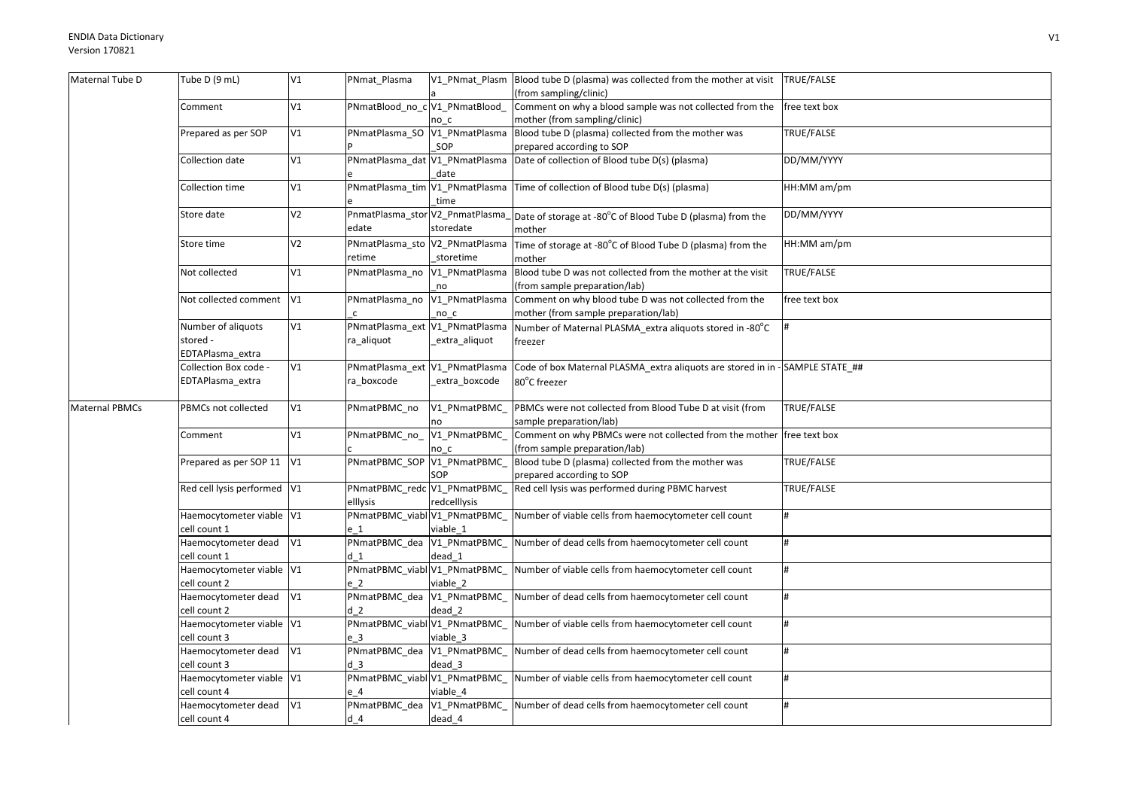| Maternal Tube D       | Tube D (9 mL)                             | V1             | PNmat_Plasma                         |                                             | V1 PNmat Plasm Blood tube D (plasma) was collected from the mother at visit TRUE/FALSE<br>(from sampling/clinic) |                    |
|-----------------------|-------------------------------------------|----------------|--------------------------------------|---------------------------------------------|------------------------------------------------------------------------------------------------------------------|--------------------|
|                       | Comment                                   | V1             | PNmatBlood_no_c V1_PNmatBlood_       |                                             | Comment on why a blood sample was not collected from the                                                         | free text box      |
|                       |                                           |                |                                      | no c                                        | mother (from sampling/clinic)                                                                                    |                    |
|                       | Prepared as per SOP                       | V1             |                                      | PNmatPlasma_SO V1_PNmatPlasma               | Blood tube D (plasma) collected from the mother was                                                              | TRUE/FALSE         |
|                       |                                           |                |                                      | SOP                                         | prepared according to SOP                                                                                        |                    |
|                       | Collection date                           | V1             |                                      | PNmatPlasma_dat V1_PNmatPlasma<br>date      | Date of collection of Blood tube D(s) (plasma)                                                                   | DD/MM/YYYY         |
|                       | Collection time                           | V1             |                                      | time                                        | PNmatPlasma_tim V1_PNmatPlasma Time of collection of Blood tube D(s) (plasma)                                    | HH:MM am/pm        |
|                       | Store date                                | V <sub>2</sub> |                                      |                                             | PnmatPlasma_stor V2_PnmatPlasma_Date of storage at -80°C of Blood Tube D (plasma) from the                       | DD/MM/YYYY         |
|                       |                                           |                | edate                                | storedate                                   | mother                                                                                                           |                    |
|                       | Store time                                | V <sub>2</sub> | retime                               | PNmatPlasma_sto V2_PNmatPlasma<br>storetime | Time of storage at -80°C of Blood Tube D (plasma) from the<br>mother                                             | HH:MM am/pm        |
|                       | Not collected                             | V1             |                                      | PNmatPlasma no V1 PNmatPlasma               | Blood tube D was not collected from the mother at the visit                                                      | TRUE/FALSE         |
|                       |                                           |                |                                      | no                                          | (from sample preparation/lab)                                                                                    |                    |
|                       | Not collected comment                     | V1             |                                      |                                             | PNmatPlasma_no V1_PNmatPlasma Comment on why blood tube D was not collected from the                             | free text box      |
|                       |                                           |                |                                      | no c                                        | mother (from sample preparation/lab)                                                                             |                    |
|                       | Number of aliquots                        | V1             | PNmatPlasma_ext V1_PNmatPlasma       |                                             | Number of Maternal PLASMA_extra aliquots stored in -80°C                                                         |                    |
|                       | stored -                                  |                | ra aliquot                           | extra_aliquot                               | freezer                                                                                                          |                    |
|                       | EDTAPlasma_extra<br>Collection Box code - | V1             | PNmatPlasma_ext V1_PNmatPlasma       |                                             | Code of box Maternal PLASMA_extra aliquots are stored in in - SAMPLE STATE_##                                    |                    |
|                       | EDTAPlasma_extra                          |                | ra boxcode                           | _extra_boxcode                              | 80°C freezer                                                                                                     |                    |
|                       |                                           |                |                                      |                                             |                                                                                                                  |                    |
| <b>Maternal PBMCs</b> | PBMCs not collected                       | V1             | PNmatPBMC_no                         | V1 PNmatPBMC                                | PBMCs were not collected from Blood Tube D at visit (from                                                        | TRUE/FALSE         |
|                       |                                           |                |                                      | no                                          | sample preparation/lab)                                                                                          |                    |
|                       | Comment                                   | V1             | PNmatPBMC no                         | V1 PNmatPBMC<br>no c                        | Comment on why PBMCs were not collected from the mother free text box<br>(from sample preparation/lab)           |                    |
|                       | Prepared as per SOP 11                    | V1             | PNmatPBMC SOP V1 PNmatPBMC           |                                             | Blood tube D (plasma) collected from the mother was                                                              | TRUE/FALSE         |
|                       |                                           |                |                                      | SOP                                         | prepared according to SOP                                                                                        |                    |
|                       | Red cell lysis performed V1               |                | PNmatPBMC_redc V1_PNmatPBMC          |                                             | Red cell lysis was performed during PBMC harvest                                                                 | TRUE/FALSE         |
|                       |                                           |                | elllysis                             | redcelllysis                                |                                                                                                                  |                    |
|                       | Haemocytometer viable V1                  |                | PNmatPBMC_viabl V1_PNmatPBMC_        |                                             | Number of viable cells from haemocytometer cell count                                                            | $\boldsymbol{\mu}$ |
|                       | cell count 1                              |                | e 1                                  | viable 1                                    |                                                                                                                  |                    |
|                       | Haemocytometer dead                       | V1             |                                      |                                             | PNmatPBMC_dea V1_PNmatPBMC_ Number of dead cells from haemocytometer cell count                                  | #                  |
|                       | cell count 1                              |                | d <sub>1</sub>                       | dead 1                                      |                                                                                                                  |                    |
|                       | Haemocytometer viable V1                  |                | PNmatPBMC_viabl V1_PNmatPBMC_        |                                             | Number of viable cells from haemocytometer cell count                                                            | #                  |
|                       | cell count 2<br>Haemocytometer dead       | V1             | e 2<br>PNmatPBMC_dea V1_PNmatPBMC_   | viable 2                                    | Number of dead cells from haemocytometer cell count                                                              |                    |
|                       | cell count 2                              |                | d <sub>2</sub>                       | dead 2                                      |                                                                                                                  |                    |
|                       | Haemocytometer viable V1                  |                | PNmatPBMC_viabl V1_PNmatPBMC_        |                                             | Number of viable cells from haemocytometer cell count                                                            |                    |
|                       | cell count 3                              |                | e <sub>3</sub>                       | viable 3                                    |                                                                                                                  |                    |
|                       | Haemocytometer dead                       | V1             | PNmatPBMC_dea V1_PNmatPBMC_          |                                             | Number of dead cells from haemocytometer cell count                                                              | #                  |
|                       | cell count 3                              |                | d <sub>3</sub>                       | dead 3                                      |                                                                                                                  |                    |
|                       | Haemocytometer viable V1                  |                | PNmatPBMC_viabl V1_PNmatPBMC_        |                                             | Number of viable cells from haemocytometer cell count                                                            | #                  |
|                       | cell count 4                              |                | e 4                                  | viable 4                                    |                                                                                                                  |                    |
|                       |                                           |                |                                      |                                             |                                                                                                                  |                    |
|                       | Haemocytometer dead<br>cell count 4       | V1             | PNmatPBMC_dea V1_PNmatPBMC_<br>$d$ 4 | dead 4                                      | Number of dead cells from haemocytometer cell count                                                              | #                  |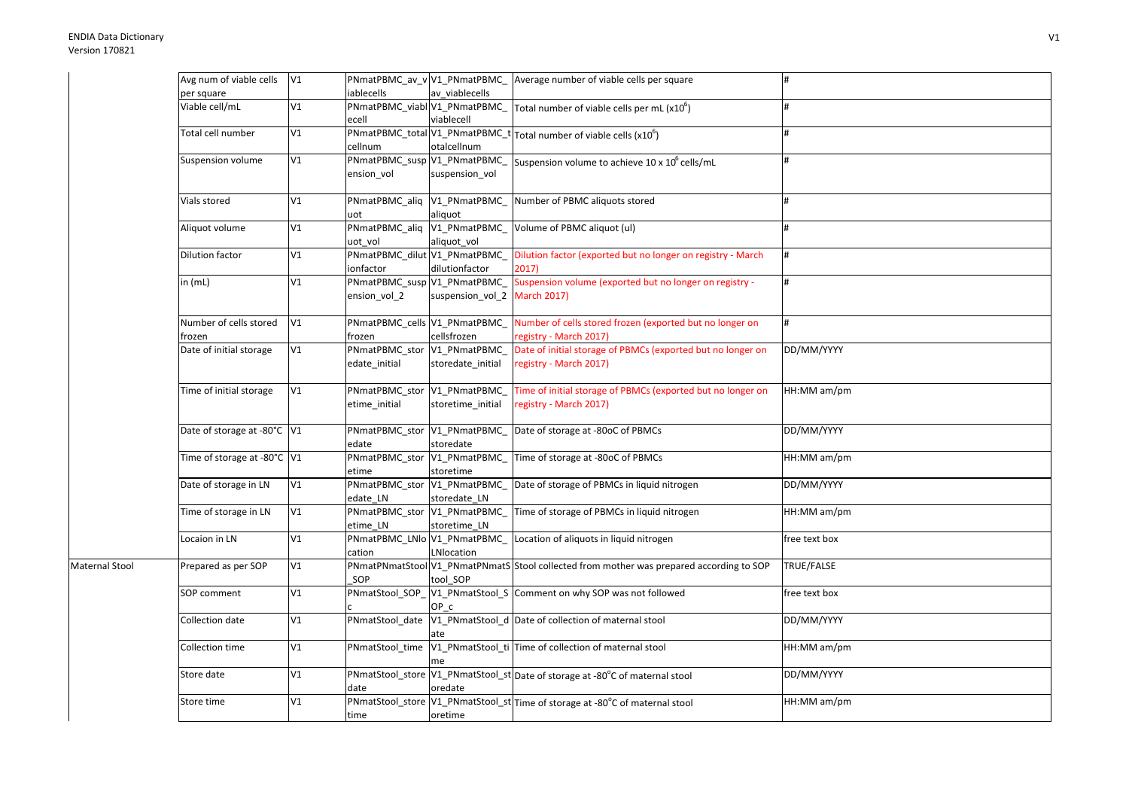|                | Avg num of viable cells     | V1 |                                            |                              | PNmatPBMC_av_v V1_PNmatPBMC_ Average number of viable cells per square                                            |               |
|----------------|-----------------------------|----|--------------------------------------------|------------------------------|-------------------------------------------------------------------------------------------------------------------|---------------|
|                | per square                  |    | iablecells                                 | av viablecells               |                                                                                                                   |               |
|                | Viable cell/mL              | V1 | ecell                                      | viablecell                   | $\overline{P}$ NmatPBMC_viabl $\overline{V}$ 1_PNmatPBMC_ Total number of viable cells per mL (x10 <sup>6</sup> ) | #             |
|                | Total cell number           | V1 | cellnum                                    | otalcellnum                  | PNmatPBMC_total V1_PNmatPBMC_t Total number of viable cells (x10 <sup>6</sup> )                                   | #             |
|                | Suspension volume           | V1 | PNmatPBMC_susp V1_PNmatPBMC_<br>ension vol | suspension_vol               | Suspension volume to achieve 10 x 10° cells/mL                                                                    | #             |
|                | Vials stored                | V1 | PNmatPBMC_aliq V1_PNmatPBMC                |                              | Number of PBMC aliquots stored                                                                                    | #             |
|                |                             |    | uot                                        | aliquot                      |                                                                                                                   |               |
|                | Aliquot volume              | V1 | PNmatPBMC_aliq V1_PNmatPBMC_               |                              | Volume of PBMC aliquot (ul)                                                                                       | #             |
|                |                             |    | uot vol                                    | aliquot_vol                  |                                                                                                                   |               |
|                | Dilution factor             | V1 | PNmatPBMC_dilut V1_PNmatPBMC_              |                              | Dilution factor (exported but no longer on registry - March                                                       | #             |
|                |                             |    | ionfactor                                  | dilutionfactor               | 2017)                                                                                                             |               |
|                | in (mL)                     | V1 | PNmatPBMC_susp V1_PNmatPBMC_               |                              | Suspension volume (exported but no longer on registry -                                                           | #             |
|                |                             |    | ension_vol_2                               | suspension_vol_2 March 2017) |                                                                                                                   |               |
|                | Number of cells stored      | V1 | PNmatPBMC_cells V1_PNmatPBMC_              |                              | Number of cells stored frozen (exported but no longer on                                                          | #             |
|                | frozen                      |    | frozen                                     | cellsfrozen                  | registry - March 2017)                                                                                            |               |
|                | Date of initial storage     | V1 | PNmatPBMC_stor V1_PNmatPBMC_               |                              | Date of initial storage of PBMCs (exported but no longer on                                                       | DD/MM/YYYY    |
|                |                             |    | edate initial                              | storedate_initial            | registry - March 2017)                                                                                            |               |
|                | Time of initial storage     | V1 | PNmatPBMC_stor V1_PNmatPBMC                |                              | Time of initial storage of PBMCs (exported but no longer on                                                       | HH:MM am/pm   |
|                |                             |    | etime_initial                              | storetime_initial            | registry - March 2017)                                                                                            |               |
|                | Date of storage at -80°C V1 |    | PNmatPBMC stor V1 PNmatPBMC<br>edate       | storedate                    | Date of storage at -80oC of PBMCs                                                                                 | DD/MM/YYYY    |
|                | Time of storage at -80°C V1 |    | PNmatPBMC_stor V1_PNmatPBMC_<br>etime      | storetime                    | Time of storage at -80oC of PBMCs                                                                                 | HH:MM am/pm   |
|                | Date of storage in LN       | V1 | PNmatPBMC_stor V1_PNmatPBMC_<br>edate_LN   | storedate_LN                 | Date of storage of PBMCs in liquid nitrogen                                                                       | DD/MM/YYYY    |
|                | Time of storage in LN       | V1 | PNmatPBMC_stor V1_PNmatPBMC_<br>etime_LN   | storetime_LN                 | Time of storage of PBMCs in liquid nitrogen                                                                       | HH:MM am/pm   |
|                | Locaion in LN               | V1 | PNmatPBMC_LNlo V1_PNmatPBMC_<br>cation     | LNlocation                   | Location of aliquots in liquid nitrogen                                                                           | free text box |
| Maternal Stool | Prepared as per SOP         | V1 | SOP                                        | tool SOP                     | PNmatPNmatStool V1 PNmatPNmatS Stool collected from mother was prepared according to SOP                          | TRUE/FALSE    |
|                | SOP comment                 | V1 |                                            | OP c                         | PNmatStool_SOP_V1_PNmatStool_S Comment on why SOP was not followed                                                | free text box |
|                | Collection date             | V1 |                                            | ate                          | PNmatStool_date V1_PNmatStool_d Date of collection of maternal stool                                              | DD/MM/YYYY    |
|                | Collection time             | V1 | PNmatStool_time                            | me                           | V1_PNmatStool_ti Time of collection of maternal stool                                                             | HH:MM am/pm   |
|                | Store date                  | V1 | date                                       | oredate                      | PNmatStool_store V1_PNmatStool_st Date of storage at -80°C of maternal stool                                      | DD/MM/YYYY    |
|                | Store time                  | V1 | time                                       | oretime                      | PNmatStool_store V1_PNmatStool_st Time of storage at -80°C of maternal stool                                      | HH:MM am/pm   |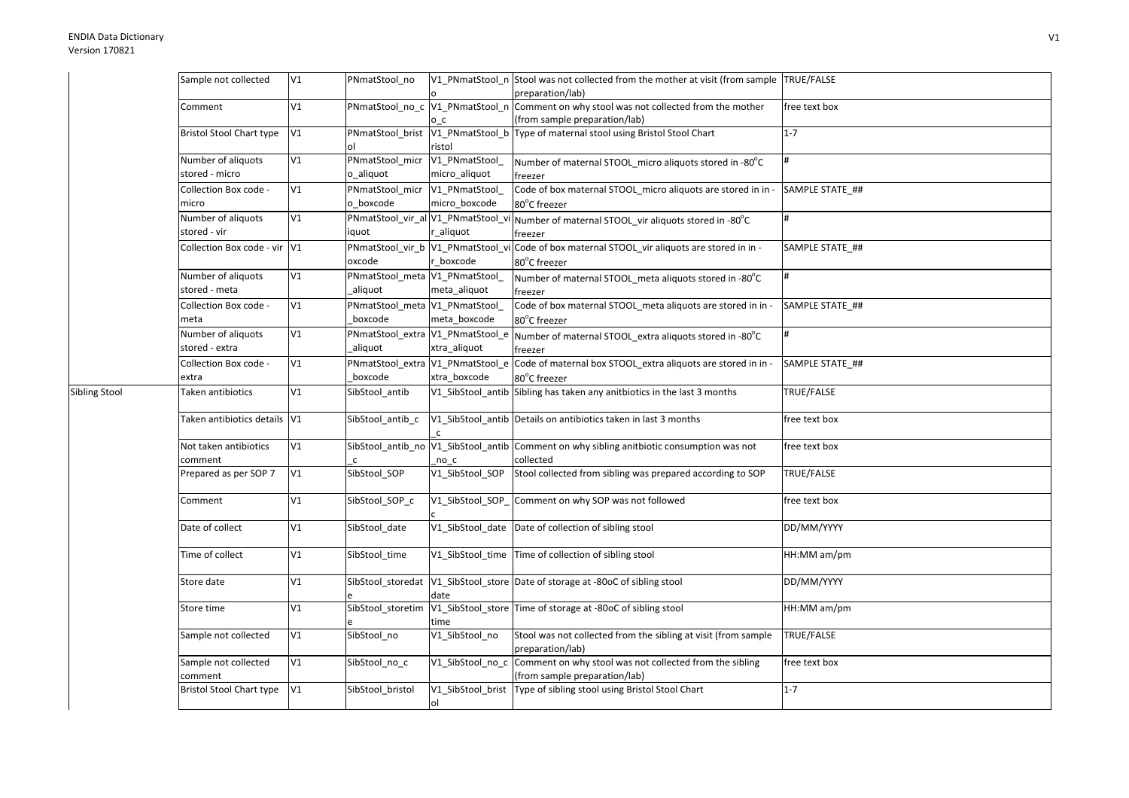Sibling Stool

| Sample not collected                 | V1 | PNmatStool no                               |                                 | V1 PNmatStool n Stool was not collected from the mother at visit (from sample TRUE/FALSE<br>preparation/lab) |                 |
|--------------------------------------|----|---------------------------------------------|---------------------------------|--------------------------------------------------------------------------------------------------------------|-----------------|
| Comment                              | V1 | PNmatStool_no_c V1_PNmatStool_n             | o c                             | Comment on why stool was not collected from the mother<br>(from sample preparation/lab)                      | free text box   |
| <b>Bristol Stool Chart type</b>      | V1 | PNmatStool_brist V1_PNmatStool_b            | ristol                          | Type of maternal stool using Bristol Stool Chart                                                             | $1 - 7$         |
| Number of aliquots<br>stored - micro | V1 | PNmatStool_micr<br>o_aliquot                | V1_PNmatStool_<br>micro_aliquot | Number of maternal STOOL micro aliquots stored in -80°C<br>freezer                                           | #               |
| Collection Box code -<br>micro       | V1 | PNmatStool_micr V1_PNmatStool_<br>o boxcode | micro_boxcode                   | Code of box maternal STOOL_micro aliquots are stored in in -<br>80°C freezer                                 | SAMPLE STATE_## |
| Number of aliquots<br>stored - vir   | V1 | PNmatStool_vir_al V1_PNmatStool_v<br>iquot  | r_aliquot                       | Number of maternal STOOL_vir aliquots stored in -80°C<br>freezer                                             | #               |
| Collection Box code - vir            | V1 | PNmatStool_vir_b V1_PNmatStool_vi<br>oxcode | boxcode                         | Code of box maternal STOOL_vir aliquots are stored in in -<br>80°C freezer                                   | SAMPLE STATE ## |
| Number of aliquots<br>stored - meta  | V1 | PNmatStool_meta V1_PNmatStool_<br>aliquot   | meta_aliquot                    | Number of maternal STOOL_meta aliquots stored in -80°C<br>freezer                                            | #               |
| Collection Box code -<br>meta        | V1 | PNmatStool_meta V1_PNmatStool_<br>boxcode   | meta_boxcode                    | Code of box maternal STOOL_meta aliquots are stored in in -<br>80°C freezer                                  | SAMPLE STATE_## |
| Number of aliquots<br>stored - extra | V1 | PNmatStool_extra V1_PNmatStool_e<br>aliquot | xtra_aliquot                    | Number of maternal STOOL_extra aliquots stored in -80°C<br>freezer                                           | #               |
| Collection Box code -<br>extra       | V1 | PNmatStool_extra V1_PNmatStool_e<br>boxcode | xtra_boxcode                    | Code of maternal box STOOL_extra aliquots are stored in in -<br>80°C freezer                                 | SAMPLE STATE ## |
| Taken antibiotics                    | V1 | SibStool_antib                              | V1_SibStool_antib               | Sibling has taken any anitbiotics in the last 3 months                                                       | TRUE/FALSE      |
| Taken antibiotics details            | V1 | SibStool_antib_c                            | $\mathsf{C}$                    | V1 SibStool antib Details on antibiotics taken in last 3 months                                              | free text box   |
| Not taken antibiotics<br>comment     | V1 |                                             | no c                            | SibStool_antib_no  V1_SibStool_antib  Comment on why sibling anitbiotic consumption was not<br>collected     | free text box   |
| Prepared as per SOP 7                | V1 | SibStool_SOP                                | V1_SibStool_SOP                 | Stool collected from sibling was prepared according to SOP                                                   | TRUE/FALSE      |
| Comment                              | V1 | SibStool SOP c                              | V1_SibStool_SOP_                | Comment on why SOP was not followed                                                                          | free text box   |
| Date of collect                      | V1 | SibStool_date                               | V1_SibStool_date                | Date of collection of sibling stool                                                                          | DD/MM/YYYY      |
| Time of collect                      | V1 | SibStool time                               | V1_SibStool_time                | Time of collection of sibling stool                                                                          | HH:MM am/pm     |
| Store date                           | V1 |                                             | date                            | SibStool_storedat  V1_SibStool_store  Date of storage at -80oC of sibling stool                              | DD/MM/YYYY      |
| Store time                           | V1 | SibStool_storetim                           | time                            | V1_SibStool_store Time of storage at -80oC of sibling stool                                                  | HH:MM am/pm     |
| Sample not collected                 | V1 | SibStool no                                 | V1 SibStool no                  | Stool was not collected from the sibling at visit (from sample<br>preparation/lab)                           | TRUE/FALSE      |
| Sample not collected<br>comment      | V1 | SibStool_no_c                               | V1_SibStool_no_c                | Comment on why stool was not collected from the sibling<br>(from sample preparation/lab)                     | free text box   |
| <b>Bristol Stool Chart type</b>      | V1 | SibStool_bristol                            | V1_SibStool_brist<br>ol         | Type of sibling stool using Bristol Stool Chart                                                              | $1 - 7$         |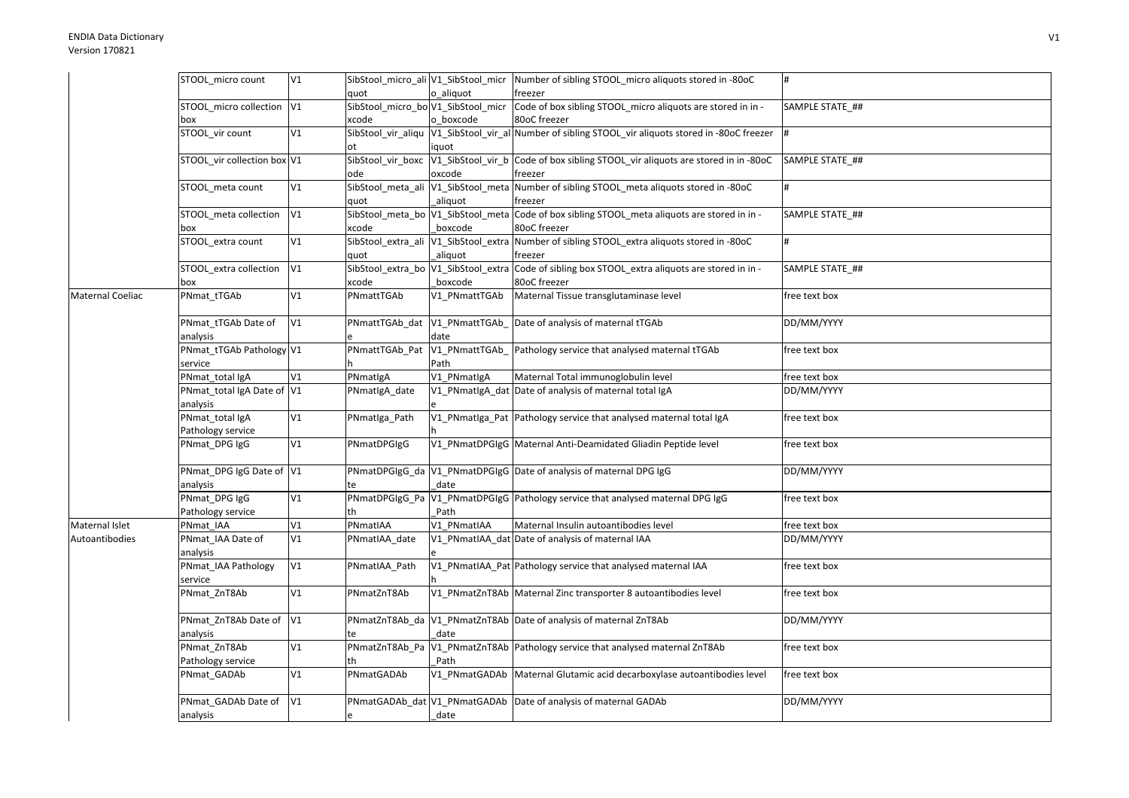|                  | STOOL micro count           | V1 |                                      |                | SibStool_micro_ali V1_SibStool_micr Number of sibling STOOL_micro aliquots stored in -80oC          | #               |
|------------------|-----------------------------|----|--------------------------------------|----------------|-----------------------------------------------------------------------------------------------------|-----------------|
|                  |                             |    | quot                                 | o aliguot      | freezer                                                                                             |                 |
|                  | STOOL_micro collection V1   |    | SibStool_micro_bo V1_SibStool_micr   |                | Code of box sibling STOOL_micro aliquots are stored in in -                                         | SAMPLE STATE_## |
|                  | box                         |    | xcode                                | o_boxcode      | 80oC freezer                                                                                        |                 |
|                  | STOOL_vir count             | V1 |                                      |                | SibStool_vir_aliqu V1_SibStool_vir_al Number of sibling STOOL_vir aliquots stored in -80oC freezer  |                 |
|                  |                             |    | ot                                   | iquot          |                                                                                                     |                 |
|                  | STOOL vir collection box V1 |    |                                      |                | SibStool_vir_boxc  V1_SibStool_vir_b  Code of box sibling STOOL_vir aliquots are stored in in -80oC | SAMPLE STATE ## |
|                  |                             |    | ode                                  | oxcode         | freezer                                                                                             |                 |
|                  | STOOL_meta count            | V1 | SibStool_meta_ali V1_SibStool_meta   |                | Number of sibling STOOL_meta aliquots stored in -80oC                                               | #               |
|                  |                             |    | quot                                 | _aliquot       | freezer                                                                                             |                 |
|                  | STOOL meta collection       | V1 | SibStool_meta_bo V1_SibStool_meta    |                | Code of box sibling STOOL meta aliquots are stored in in -                                          | SAMPLE STATE ## |
|                  | box                         |    | xcode                                | boxcode        | 80oC freezer                                                                                        |                 |
|                  | STOOL_extra count           | V1 | SibStool_extra_ali V1_SibStool_extra |                | Number of sibling STOOL_extra aliquots stored in -80oC                                              | #               |
|                  |                             |    | quot                                 | aliquot        | freezer                                                                                             |                 |
|                  | STOOL extra collection      | V1 | SibStool extra bo V1 SibStool extra  |                | Code of sibling box STOOL_extra aliquots are stored in in -                                         | SAMPLE STATE ## |
|                  | box                         |    | xcode                                | boxcode        | 80oC freezer                                                                                        |                 |
| Maternal Coeliac | PNmat tTGAb                 | V1 | PNmattTGAb                           | V1 PNmattTGAb  | Maternal Tissue transglutaminase level                                                              | free text box   |
|                  | PNmat tTGAb Date of         | V1 | PNmattTGAb dat                       | V1_PNmattTGAb_ | Date of analysis of maternal tTGAb                                                                  | DD/MM/YYYY      |
|                  | analysis                    |    |                                      | date           |                                                                                                     |                 |
|                  | PNmat_tTGAb Pathology V1    |    | PNmattTGAb_Pat V1_PNmattTGAb_        |                | Pathology service that analysed maternal tTGAb                                                      | free text box   |
|                  | service                     |    |                                      | Path           |                                                                                                     |                 |
|                  | PNmat_total IgA             | V1 | PNmatlgA                             | V1_PNmatlgA    | Maternal Total immunoglobulin level                                                                 | free text box   |
|                  | PNmat_total IgA Date of V1  |    | PNmatIgA_date                        |                | V1_PNmatlgA_dat Date of analysis of maternal total IgA                                              | DD/MM/YYYY      |
|                  | analysis                    |    |                                      |                |                                                                                                     |                 |
|                  | PNmat_total IgA             | V1 | PNmatIga_Path                        |                | V1_PNmatIga_Pat Pathology service that analysed maternal total IgA                                  | free text box   |
|                  | Pathology service           |    |                                      |                |                                                                                                     |                 |
|                  | PNmat_DPG IgG               | V1 | PNmatDPGIgG                          |                | V1 PNmatDPGIgG Maternal Anti-Deamidated Gliadin Peptide level                                       | free text box   |
|                  | PNmat_DPG IgG Date of V1    |    |                                      |                | PNmatDPGIgG_da V1_PNmatDPGIgG Date of analysis of maternal DPG IgG                                  | DD/MM/YYYY      |
|                  | analysis                    |    | te                                   | date           |                                                                                                     |                 |
|                  | PNmat_DPG IgG               | V1 |                                      |                | PNmatDPGIgG_Pa V1_PNmatDPGIgG Pathology service that analysed maternal DPG IgG                      | free text box   |
|                  | Pathology service           |    | th                                   | Path           |                                                                                                     |                 |
| Maternal Islet   | PNmat IAA                   | V1 | PNmatIAA                             | V1_PNmatIAA    | Maternal Insulin autoantibodies level                                                               | free text box   |
| Autoantibodies   | PNmat_IAA Date of           | V1 | PNmatIAA_date                        |                | V1 PNmatIAA dat Date of analysis of maternal IAA                                                    | DD/MM/YYYY      |
|                  | analysis                    |    |                                      |                |                                                                                                     |                 |
|                  | PNmat_IAA Pathology         | V1 | PNmatIAA_Path                        |                | V1 PNmatIAA Pat Pathology service that analysed maternal IAA                                        | free text box   |
|                  | service                     |    |                                      |                |                                                                                                     |                 |
|                  | PNmat ZnT8Ab                | V1 | PNmatZnT8Ab                          |                | V1_PNmatZnT8Ab Maternal Zinc transporter 8 autoantibodies level                                     | free text box   |
|                  | PNmat ZnT8Ab Date of V1     |    |                                      |                | PNmatZnT8Ab_da V1_PNmatZnT8Ab Date of analysis of maternal ZnT8Ab                                   | DD/MM/YYYY      |
|                  | analysis                    |    | te                                   | date           |                                                                                                     |                 |
|                  | PNmat_ZnT8Ab                | V1 |                                      |                | PNmatZnT8Ab_Pa V1_PNmatZnT8Ab Pathology service that analysed maternal ZnT8Ab                       | free text box   |
|                  | Pathology service           |    | th                                   | Path           |                                                                                                     |                 |
|                  | PNmat_GADAb                 | V1 | PNmatGADAb                           |                | V1 PNmatGADAb Maternal Glutamic acid decarboxylase autoantibodies level                             | free text box   |
|                  | PNmat_GADAb Date of V1      |    |                                      |                | PNmatGADAb_dat V1_PNmatGADAb Date of analysis of maternal GADAb                                     | DD/MM/YYYY      |
|                  | analysis                    |    | e                                    | date           |                                                                                                     |                 |
|                  |                             |    |                                      |                |                                                                                                     |                 |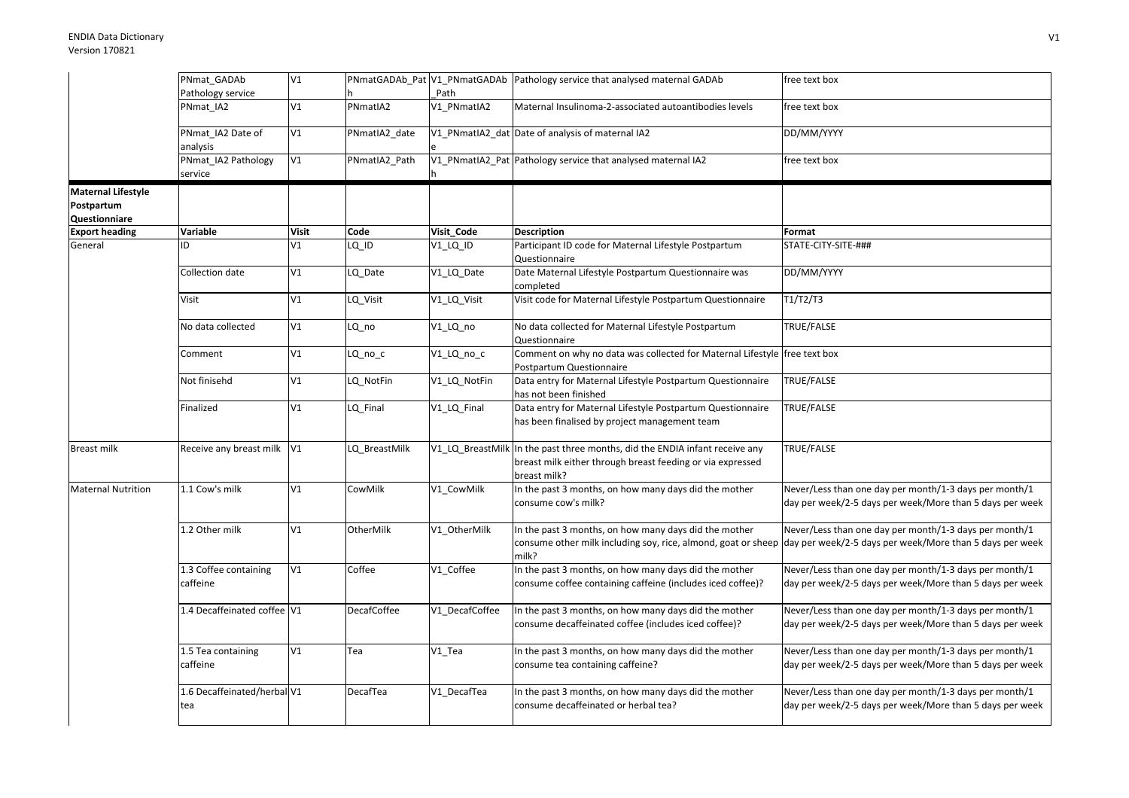|                                                          | PNmat_GADAb                        | V1           |                    |                  | PNmatGADAb_Pat V1_PNmatGADAb Pathology service that analysed maternal GADAb                                                              | free text box                                                                                                      |
|----------------------------------------------------------|------------------------------------|--------------|--------------------|------------------|------------------------------------------------------------------------------------------------------------------------------------------|--------------------------------------------------------------------------------------------------------------------|
|                                                          | Pathology service                  |              |                    | Path             |                                                                                                                                          |                                                                                                                    |
|                                                          | PNmat IA2                          | V1           | PNmatIA2           | V1 PNmatIA2      | Maternal Insulinoma-2-associated autoantibodies levels                                                                                   | free text box                                                                                                      |
|                                                          | PNmat_IA2 Date of<br>analysis      | V1           | PNmatIA2_date      |                  | V1_PNmatIA2_dat Date of analysis of maternal IA2                                                                                         | DD/MM/YYYY                                                                                                         |
|                                                          | PNmat IA2 Pathology<br>service     | V1           | PNmatIA2 Path      |                  | V1_PNmatIA2_Pat Pathology service that analysed maternal IA2                                                                             | free text box                                                                                                      |
| <b>Maternal Lifestyle</b><br>Postpartum<br>Questionniare |                                    |              |                    |                  |                                                                                                                                          |                                                                                                                    |
| <b>Export heading</b>                                    | Variable                           | <b>Visit</b> | Code               | Visit Code       | <b>Description</b>                                                                                                                       | Format                                                                                                             |
| General                                                  | ID                                 | V1           | $LQ$ $ID$          | V1_LQ_ID         | Participant ID code for Maternal Lifestyle Postpartum<br>Questionnaire                                                                   | STATE-CITY-SITE-###                                                                                                |
|                                                          | Collection date                    | V1           | LQ_Date            | V1_LQ_Date       | Date Maternal Lifestyle Postpartum Questionnaire was<br>completed                                                                        | DD/MM/YYYY                                                                                                         |
|                                                          | Visit                              | V1           | LQ Visit           | V1 LQ Visit      | Visit code for Maternal Lifestyle Postpartum Questionnaire                                                                               | T1/T2/T3                                                                                                           |
|                                                          | No data collected                  | V1           | LQ_no              | V1_LQ_no         | No data collected for Maternal Lifestyle Postpartum<br>Questionnaire                                                                     | TRUE/FALSE                                                                                                         |
|                                                          | Comment                            | V1           | $LQ_{no\_c}$       | V1_LQ_no_c       | Comment on why no data was collected for Maternal Lifestyle free text box<br>Postpartum Questionnaire                                    |                                                                                                                    |
|                                                          | Not finisehd                       | V1           | LQ_NotFin          | V1_LQ_NotFin     | Data entry for Maternal Lifestyle Postpartum Questionnaire<br>has not been finished                                                      | <b>TRUE/FALSE</b>                                                                                                  |
|                                                          | Finalized                          | V1           | LQ Final           | V1_LQ_Final      | Data entry for Maternal Lifestyle Postpartum Questionnaire<br>has been finalised by project management team                              | TRUE/FALSE                                                                                                         |
| <b>Breast milk</b>                                       | Receive any breast milk            | V1           | LQ_BreastMilk      | V1_LQ_BreastMilk | In the past three months, did the ENDIA infant receive any<br>breast milk either through breast feeding or via expressed<br>breast milk? | TRUE/FALSE                                                                                                         |
| <b>Maternal Nutrition</b>                                | 1.1 Cow's milk                     | V1           | CowMilk            | V1 CowMilk       | In the past 3 months, on how many days did the mother<br>consume cow's milk?                                                             | Never/Less than one day per month/1-3 days per month/1<br>day per week/2-5 days per week/More than 5 days per week |
|                                                          | 1.2 Other milk                     | V1           | OtherMilk          | V1 OtherMilk     | In the past 3 months, on how many days did the mother<br>consume other milk including soy, rice, almond, goat or sheep<br>milk?          | Never/Less than one day per month/1-3 days per month/1<br>day per week/2-5 days per week/More than 5 days per week |
|                                                          | 1.3 Coffee containing<br>caffeine  | V1           | Coffee             | V1_Coffee        | In the past 3 months, on how many days did the mother<br>consume coffee containing caffeine (includes iced coffee)?                      | Never/Less than one day per month/1-3 days per month/1<br>day per week/2-5 days per week/More than 5 days per week |
|                                                          | 1.4 Decaffeinated coffee V1        |              | <b>DecafCoffee</b> | V1 DecafCoffee   | In the past 3 months, on how many days did the mother<br>consume decaffeinated coffee (includes iced coffee)?                            | Never/Less than one day per month/1-3 days per month/1<br>day per week/2-5 days per week/More than 5 days per week |
|                                                          | 1.5 Tea containing<br>caffeine     | V1           | Tea                | $V1_T$ ea        | In the past 3 months, on how many days did the mother<br>consume tea containing caffeine?                                                | Never/Less than one day per month/1-3 days per month/1<br>day per week/2-5 days per week/More than 5 days per week |
|                                                          | 1.6 Decaffeinated/herbal V1<br>tea |              | DecafTea           | V1_DecafTea      | In the past 3 months, on how many days did the mother<br>consume decaffeinated or herbal tea?                                            | Never/Less than one day per month/1-3 days per month/1<br>day per week/2-5 days per week/More than 5 days per week |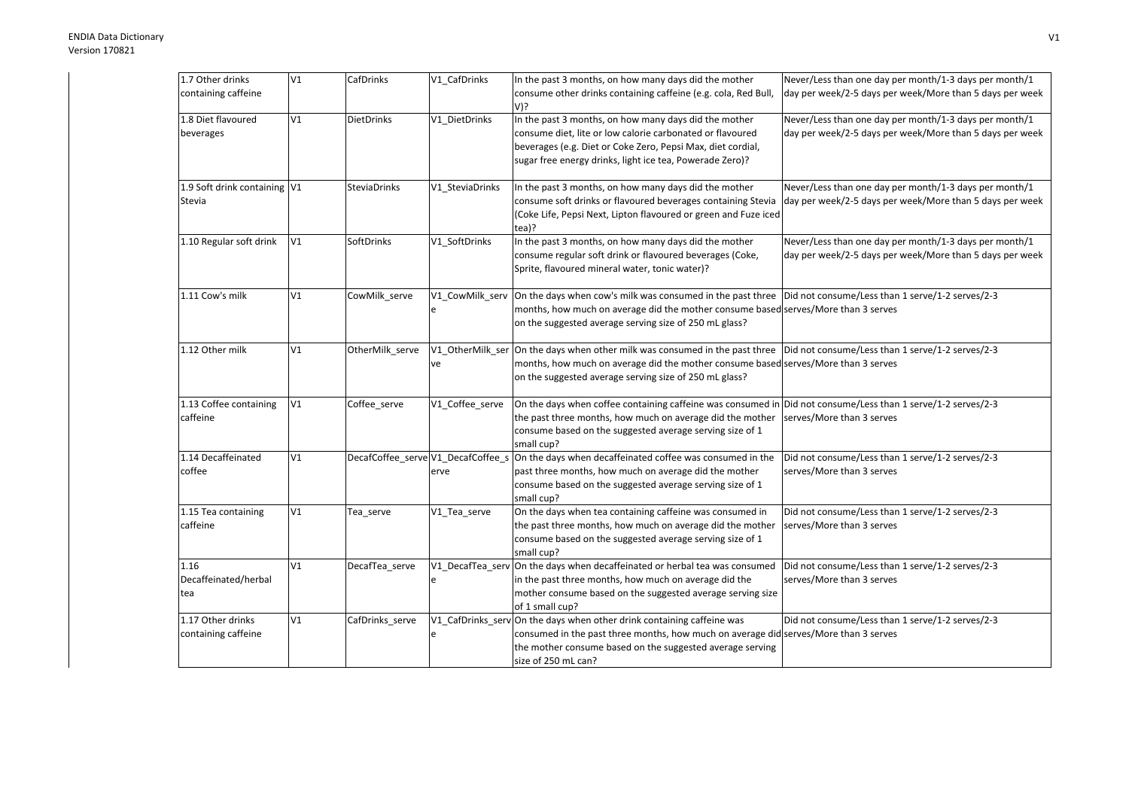| 1.7 Other drinks             | V1 | CafDrinks           | V1_CafDrinks    | In the past 3 months, on how many days did the mother                                                                        | Never/Less than one day per month/1-3 days per month/1   |
|------------------------------|----|---------------------|-----------------|------------------------------------------------------------------------------------------------------------------------------|----------------------------------------------------------|
| containing caffeine          |    |                     |                 | consume other drinks containing caffeine (e.g. cola, Red Bull,                                                               | day per week/2-5 days per week/More than 5 days per week |
|                              |    |                     |                 | V)?                                                                                                                          |                                                          |
| 1.8 Diet flavoured           | V1 | <b>DietDrinks</b>   | V1_DietDrinks   | In the past 3 months, on how many days did the mother                                                                        | Never/Less than one day per month/1-3 days per month/1   |
|                              |    |                     |                 |                                                                                                                              |                                                          |
| beverages                    |    |                     |                 | consume diet, lite or low calorie carbonated or flavoured                                                                    | day per week/2-5 days per week/More than 5 days per week |
|                              |    |                     |                 | beverages (e.g. Diet or Coke Zero, Pepsi Max, diet cordial,                                                                  |                                                          |
|                              |    |                     |                 | sugar free energy drinks, light ice tea, Powerade Zero)?                                                                     |                                                          |
|                              |    |                     |                 |                                                                                                                              |                                                          |
| 1.9 Soft drink containing V1 |    | <b>SteviaDrinks</b> | V1_SteviaDrinks | In the past 3 months, on how many days did the mother                                                                        | Never/Less than one day per month/1-3 days per month/1   |
| Stevia                       |    |                     |                 | consume soft drinks or flavoured beverages containing Stevia                                                                 | day per week/2-5 days per week/More than 5 days per week |
|                              |    |                     |                 | (Coke Life, Pepsi Next, Lipton flavoured or green and Fuze iced                                                              |                                                          |
|                              |    |                     |                 |                                                                                                                              |                                                          |
|                              |    |                     |                 | tea)?                                                                                                                        |                                                          |
| 1.10 Regular soft drink      | V1 | SoftDrinks          | V1 SoftDrinks   | In the past 3 months, on how many days did the mother                                                                        | Never/Less than one day per month/1-3 days per month/1   |
|                              |    |                     |                 | consume regular soft drink or flavoured beverages (Coke,                                                                     | day per week/2-5 days per week/More than 5 days per week |
|                              |    |                     |                 | Sprite, flavoured mineral water, tonic water)?                                                                               |                                                          |
|                              |    |                     |                 |                                                                                                                              |                                                          |
| 1.11 Cow's milk              | V1 | CowMilk serve       | V1 CowMilk serv | On the days when cow's milk was consumed in the past three  Did not consume/Less than 1 serve/1-2 serves/2-3                 |                                                          |
|                              |    |                     | e               | months, how much on average did the mother consume based serves/More than 3 serves                                           |                                                          |
|                              |    |                     |                 | on the suggested average serving size of 250 mL glass?                                                                       |                                                          |
|                              |    |                     |                 |                                                                                                                              |                                                          |
|                              |    |                     |                 |                                                                                                                              |                                                          |
| 1.12 Other milk              | V1 | OtherMilk_serve     |                 | V1 OtherMilk ser On the days when other milk was consumed in the past three Did not consume/Less than 1 serve/1-2 serves/2-3 |                                                          |
|                              |    |                     | ve              | months, how much on average did the mother consume based serves/More than 3 serves                                           |                                                          |
|                              |    |                     |                 | on the suggested average serving size of 250 mL glass?                                                                       |                                                          |
|                              |    |                     |                 |                                                                                                                              |                                                          |
| 1.13 Coffee containing       | V1 | Coffee_serve        | V1_Coffee_serve | On the days when coffee containing caffeine was consumed in Did not consume/Less than 1 serve/1-2 serves/2-3                 |                                                          |
| caffeine                     |    |                     |                 | the past three months, how much on average did the mother                                                                    | serves/More than 3 serves                                |
|                              |    |                     |                 | consume based on the suggested average serving size of 1                                                                     |                                                          |
|                              |    |                     |                 | small cup?                                                                                                                   |                                                          |
| 1.14 Decaffeinated           | V1 |                     |                 | DecafCoffee_serve V1_DecafCoffee_s On the days when decaffeinated coffee was consumed in the                                 | Did not consume/Less than 1 serve/1-2 serves/2-3         |
| coffee                       |    |                     | erve            | past three months, how much on average did the mother                                                                        | serves/More than 3 serves                                |
|                              |    |                     |                 | consume based on the suggested average serving size of 1                                                                     |                                                          |
|                              |    |                     |                 |                                                                                                                              |                                                          |
|                              | V1 |                     |                 | small cup?                                                                                                                   |                                                          |
| 1.15 Tea containing          |    | Tea_serve           | V1 Tea serve    | On the days when tea containing caffeine was consumed in                                                                     | Did not consume/Less than 1 serve/1-2 serves/2-3         |
| caffeine                     |    |                     |                 | the past three months, how much on average did the mother                                                                    | serves/More than 3 serves                                |
|                              |    |                     |                 | consume based on the suggested average serving size of 1                                                                     |                                                          |
|                              |    |                     |                 | small cup?                                                                                                                   |                                                          |
| 1.16                         | V1 | DecafTea_serve      |                 | V1_DecafTea_serv On the days when decaffeinated or herbal tea was consumed                                                   | Did not consume/Less than 1 serve/1-2 serves/2-3         |
| Decaffeinated/herbal         |    |                     | e               | in the past three months, how much on average did the                                                                        | serves/More than 3 serves                                |
| tea                          |    |                     |                 | mother consume based on the suggested average serving size                                                                   |                                                          |
|                              |    |                     |                 | of 1 small cup?                                                                                                              |                                                          |
| 1.17 Other drinks            | V1 |                     |                 | V1 CafDrinks serv On the days when other drink containing caffeine was                                                       |                                                          |
|                              |    | CafDrinks serve     |                 |                                                                                                                              | Did not consume/Less than 1 serve/1-2 serves/2-3         |
| containing caffeine          |    |                     | e               | consumed in the past three months, how much on average did serves/More than 3 serves                                         |                                                          |
|                              |    |                     |                 | the mother consume based on the suggested average serving                                                                    |                                                          |
|                              |    |                     |                 | size of 250 mL can?                                                                                                          |                                                          |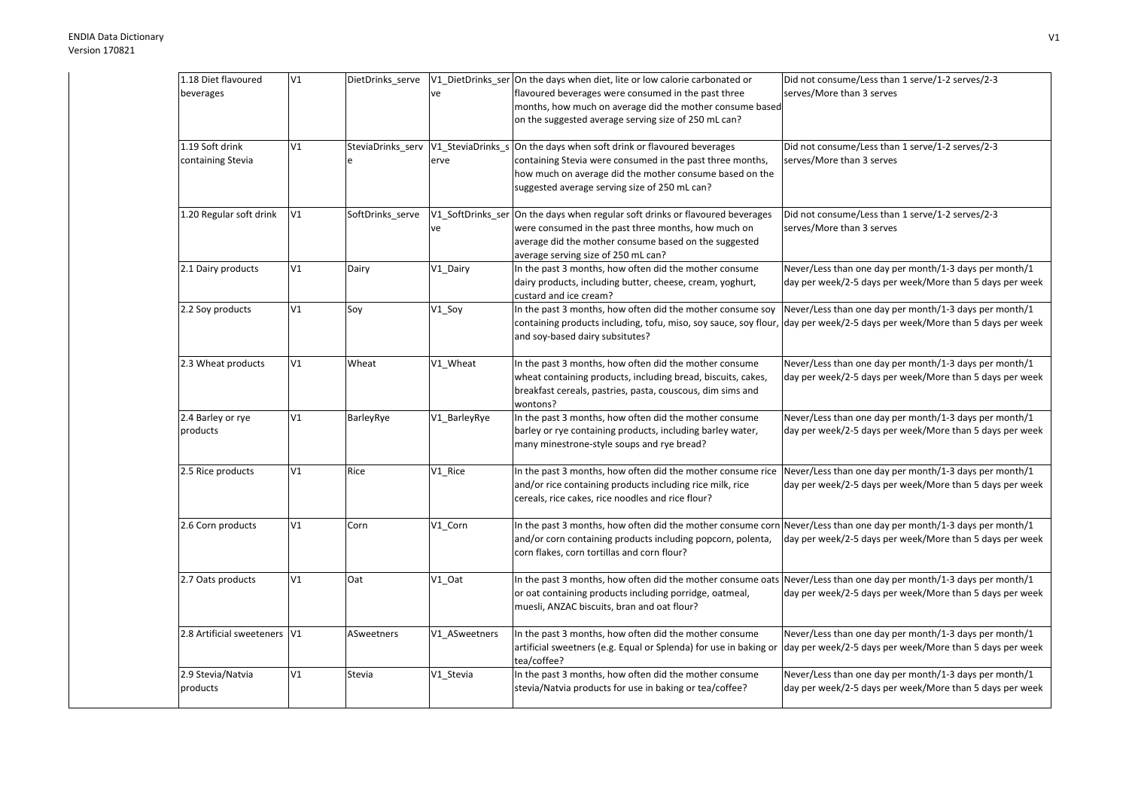| 1.18 Diet flavoured          | V1 | DietDrinks_serve |               | V1_DietDrinks_ser On the days when diet, lite or low calorie carbonated or                                         | Did not consume/Less than 1 serve/1-2 serves/2-3         |
|------------------------------|----|------------------|---------------|--------------------------------------------------------------------------------------------------------------------|----------------------------------------------------------|
| beverages                    |    |                  | ve            | flavoured beverages were consumed in the past three                                                                | serves/More than 3 serves                                |
|                              |    |                  |               | months, how much on average did the mother consume based                                                           |                                                          |
|                              |    |                  |               | on the suggested average serving size of 250 mL can?                                                               |                                                          |
| 1.19 Soft drink              | V1 |                  |               | SteviaDrinks_serv V1_SteviaDrinks_s On the days when soft drink or flavoured beverages                             | Did not consume/Less than 1 serve/1-2 serves/2-3         |
| containing Stevia            |    |                  | erve          | containing Stevia were consumed in the past three months,                                                          | serves/More than 3 serves                                |
|                              |    |                  |               | how much on average did the mother consume based on the                                                            |                                                          |
|                              |    |                  |               | suggested average serving size of 250 mL can?                                                                      |                                                          |
| 1.20 Regular soft drink      | V1 | SoftDrinks_serve |               | V1_SoftDrinks_ser On the days when regular soft drinks or flavoured beverages                                      | Did not consume/Less than 1 serve/1-2 serves/2-3         |
|                              |    |                  | ve            | were consumed in the past three months, how much on                                                                | serves/More than 3 serves                                |
|                              |    |                  |               | average did the mother consume based on the suggested                                                              |                                                          |
|                              |    |                  |               | average serving size of 250 mL can?                                                                                |                                                          |
| 2.1 Dairy products           | V1 | Dairy            | V1_Dairy      | In the past 3 months, how often did the mother consume                                                             | Never/Less than one day per month/1-3 days per month/1   |
|                              |    |                  |               | dairy products, including butter, cheese, cream, yoghurt,<br>custard and ice cream?                                | day per week/2-5 days per week/More than 5 days per week |
| 2.2 Soy products             | V1 | Soy              | V1_Soy        | In the past 3 months, how often did the mother consume soy                                                         | Never/Less than one day per month/1-3 days per month/1   |
|                              |    |                  |               | containing products including, tofu, miso, soy sauce, soy flour,                                                   | day per week/2-5 days per week/More than 5 days per week |
|                              |    |                  |               | and soy-based dairy subsitutes?                                                                                    |                                                          |
| 2.3 Wheat products           | V1 | Wheat            | V1_Wheat      | In the past 3 months, how often did the mother consume                                                             | Never/Less than one day per month/1-3 days per month/1   |
|                              |    |                  |               | wheat containing products, including bread, biscuits, cakes,                                                       | day per week/2-5 days per week/More than 5 days per week |
|                              |    |                  |               | breakfast cereals, pastries, pasta, couscous, dim sims and                                                         |                                                          |
|                              |    |                  |               | wontons?                                                                                                           |                                                          |
| 2.4 Barley or rye            | V1 | BarleyRye        | V1 BarleyRye  | In the past 3 months, how often did the mother consume                                                             | Never/Less than one day per month/1-3 days per month/1   |
| products                     |    |                  |               | barley or rye containing products, including barley water,                                                         | day per week/2-5 days per week/More than 5 days per week |
|                              |    |                  |               | many minestrone-style soups and rye bread?                                                                         |                                                          |
| 2.5 Rice products            | V1 | Rice             | V1_Rice       | In the past 3 months, how often did the mother consume rice                                                        | Never/Less than one day per month/1-3 days per month/1   |
|                              |    |                  |               | and/or rice containing products including rice milk, rice                                                          | day per week/2-5 days per week/More than 5 days per week |
|                              |    |                  |               | cereals, rice cakes, rice noodles and rice flour?                                                                  |                                                          |
| 2.6 Corn products            | V1 | Corn             | V1_Corn       | In the past 3 months, how often did the mother consume corn Never/Less than one day per month/1-3 days per month/1 |                                                          |
|                              |    |                  |               | and/or corn containing products including popcorn, polenta,                                                        | day per week/2-5 days per week/More than 5 days per week |
|                              |    |                  |               | corn flakes, corn tortillas and corn flour?                                                                        |                                                          |
| 2.7 Oats products            | V1 | Oat              | $V1_$ Oat     | In the past 3 months, how often did the mother consume oats                                                        | Never/Less than one day per month/1-3 days per month/1   |
|                              |    |                  |               | or oat containing products including porridge, oatmeal,                                                            | day per week/2-5 days per week/More than 5 days per week |
|                              |    |                  |               | muesli, ANZAC biscuits, bran and oat flour?                                                                        |                                                          |
| 2.8 Artificial sweeteners V1 |    | ASweetners       | V1_ASweetners | In the past 3 months, how often did the mother consume                                                             | Never/Less than one day per month/1-3 days per month/1   |
|                              |    |                  |               | artificial sweetners (e.g. Equal or Splenda) for use in baking or                                                  | day per week/2-5 days per week/More than 5 days per week |
|                              |    |                  |               | tea/coffee?                                                                                                        |                                                          |
| 2.9 Stevia/Natvia            | V1 | Stevia           | V1_Stevia     | In the past 3 months, how often did the mother consume                                                             | Never/Less than one day per month/1-3 days per month/1   |
| products                     |    |                  |               | stevia/Natvia products for use in baking or tea/coffee?                                                            | day per week/2-5 days per week/More than 5 days per week |
|                              |    |                  |               |                                                                                                                    |                                                          |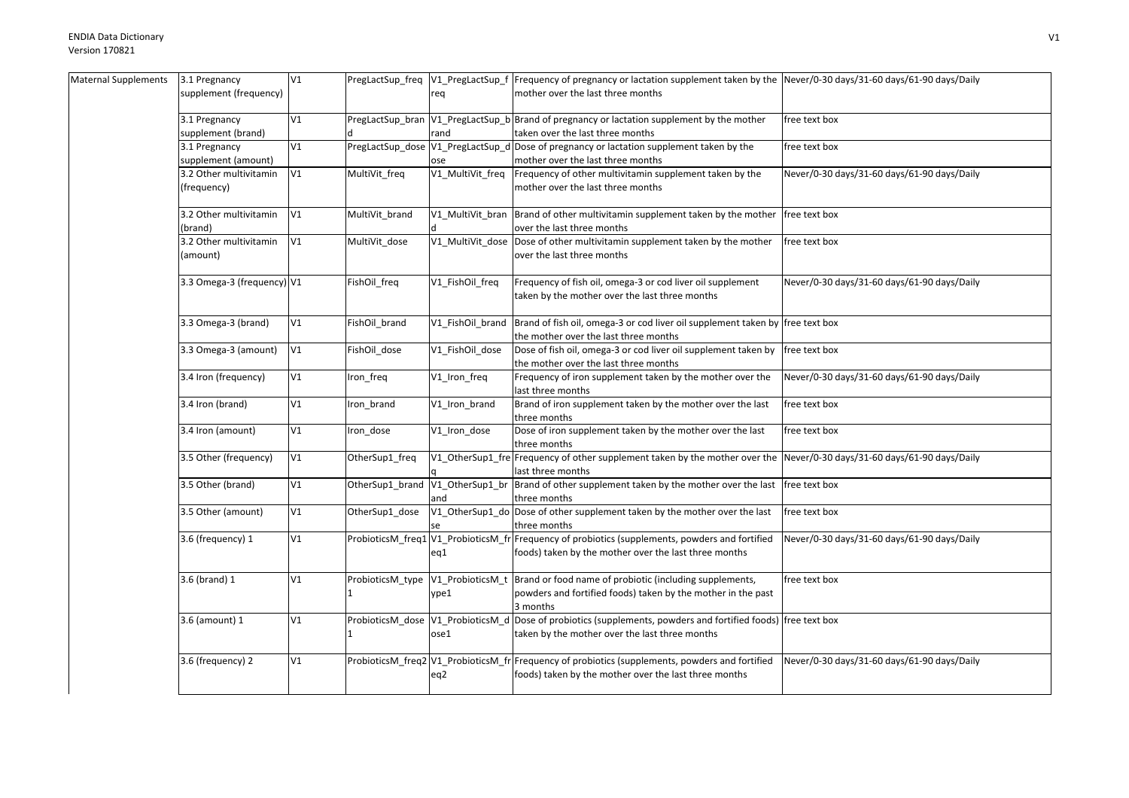| Maternal Supplements | 3.1 Pregnancy              | V1 |                                   |                  | PregLactSup_freq  V1_PregLactSup_f  Frequency of pregnancy or lactation supplement taken by the  Never/0-30 days/31-60 days/61-90 days/Daily |                                             |
|----------------------|----------------------------|----|-----------------------------------|------------------|----------------------------------------------------------------------------------------------------------------------------------------------|---------------------------------------------|
|                      | supplement (frequency)     |    |                                   | req              | mother over the last three months                                                                                                            |                                             |
|                      |                            |    |                                   |                  |                                                                                                                                              |                                             |
|                      | 3.1 Pregnancy              | V1 |                                   |                  | PregLactSup_bran V1_PregLactSup_b Brand of pregnancy or lactation supplement by the mother                                                   | free text box                               |
|                      | supplement (brand)         |    |                                   | rand             | taken over the last three months                                                                                                             |                                             |
|                      | 3.1 Pregnancy              | V1 |                                   |                  | PregLactSup_dose V1_PregLactSup_d Dose of pregnancy or lactation supplement taken by the                                                     | free text box                               |
|                      | supplement (amount)        |    |                                   | ose              | mother over the last three months                                                                                                            |                                             |
|                      | 3.2 Other multivitamin     | V1 | MultiVit_freq                     | V1 MultiVit freq | Frequency of other multivitamin supplement taken by the                                                                                      | Never/0-30 days/31-60 days/61-90 days/Daily |
|                      | (frequency)                |    |                                   |                  | mother over the last three months                                                                                                            |                                             |
|                      |                            |    |                                   |                  |                                                                                                                                              |                                             |
|                      | 3.2 Other multivitamin     | V1 | MultiVit_brand                    |                  | V1_MultiVit_bran  Brand of other multivitamin supplement taken by the mother                                                                 | free text box                               |
|                      | (brand)                    |    |                                   |                  | over the last three months                                                                                                                   |                                             |
|                      | 3.2 Other multivitamin     | V1 | MultiVit_dose                     | V1_MultiVit_dose | Dose of other multivitamin supplement taken by the mother                                                                                    | free text box                               |
|                      |                            |    |                                   |                  |                                                                                                                                              |                                             |
|                      | (amount)                   |    |                                   |                  | over the last three months                                                                                                                   |                                             |
|                      |                            |    |                                   |                  |                                                                                                                                              |                                             |
|                      | 3.3 Omega-3 (frequency) V1 |    | FishOil freq                      | V1_FishOil_freq  | Frequency of fish oil, omega-3 or cod liver oil supplement                                                                                   | Never/0-30 days/31-60 days/61-90 days/Daily |
|                      |                            |    |                                   |                  | taken by the mother over the last three months                                                                                               |                                             |
|                      |                            |    |                                   |                  |                                                                                                                                              |                                             |
|                      | 3.3 Omega-3 (brand)        | V1 | FishOil brand                     | V1 FishOil brand | Brand of fish oil, omega-3 or cod liver oil supplement taken by free text box                                                                |                                             |
|                      |                            |    |                                   |                  | the mother over the last three months                                                                                                        |                                             |
|                      | 3.3 Omega-3 (amount)       | V1 | FishOil_dose                      | V1_FishOil_dose  | Dose of fish oil, omega-3 or cod liver oil supplement taken by                                                                               | free text box                               |
|                      |                            |    |                                   |                  | the mother over the last three months                                                                                                        |                                             |
|                      | 3.4 Iron (frequency)       | V1 | Iron_freq                         | V1_Iron_freq     | Frequency of iron supplement taken by the mother over the                                                                                    | Never/0-30 days/31-60 days/61-90 days/Daily |
|                      |                            |    |                                   |                  | last three months                                                                                                                            |                                             |
|                      | 3.4 Iron (brand)           | V1 | Iron_brand                        | V1_Iron_brand    | Brand of iron supplement taken by the mother over the last                                                                                   | free text box                               |
|                      |                            |    |                                   |                  | three months                                                                                                                                 |                                             |
|                      | 3.4 Iron (amount)          | V1 | Iron_dose                         | V1_Iron_dose     | Dose of iron supplement taken by the mother over the last                                                                                    | free text box                               |
|                      |                            |    |                                   |                  | three months                                                                                                                                 |                                             |
|                      | 3.5 Other (frequency)      | V1 | OtherSup1_freq                    |                  | V1 OtherSup1 fre Frequency of other supplement taken by the mother over the                                                                  | Never/0-30 days/31-60 days/61-90 days/Daily |
|                      |                            |    |                                   |                  | last three months                                                                                                                            |                                             |
|                      | 3.5 Other (brand)          | V1 | OtherSup1_brand                   | V1 OtherSup1 br  | Brand of other supplement taken by the mother over the last                                                                                  | free text box                               |
|                      |                            |    |                                   | and              | three months                                                                                                                                 |                                             |
|                      | 3.5 Other (amount)         | V1 | OtherSup1 dose                    |                  | V1_OtherSup1_do Dose of other supplement taken by the mother over the last                                                                   | free text box                               |
|                      |                            |    |                                   |                  | three months                                                                                                                                 |                                             |
|                      | 3.6 (frequency) 1          | V1 |                                   |                  | ProbioticsM_freq1 V1_ProbioticsM_fr Frequency of probiotics (supplements, powders and fortified                                              | Never/0-30 days/31-60 days/61-90 days/Daily |
|                      |                            |    |                                   | eq1              | foods) taken by the mother over the last three months                                                                                        |                                             |
|                      |                            |    |                                   |                  |                                                                                                                                              |                                             |
|                      | $3.6$ (brand) $1$          | V1 | ProbioticsM_type                  |                  | V1_ProbioticsM_t Brand or food name of probiotic (including supplements,                                                                     | free text box                               |
|                      |                            |    |                                   | ype1             | powders and fortified foods) taken by the mother in the past                                                                                 |                                             |
|                      |                            |    |                                   |                  |                                                                                                                                              |                                             |
|                      |                            |    |                                   |                  | 3 months                                                                                                                                     |                                             |
|                      | 3.6 (amount) 1             | V1 | ProbioticsM_dose V1_ProbioticsM_d |                  | Dose of probiotics (supplements, powders and fortified foods) free text box                                                                  |                                             |
|                      |                            |    |                                   | ose1             | taken by the mother over the last three months                                                                                               |                                             |
|                      |                            |    |                                   |                  |                                                                                                                                              |                                             |
|                      | 3.6 (frequency) 2          | V1 |                                   |                  | ProbioticsM_freq2 V1_ProbioticsM_fr Frequency of probiotics (supplements, powders and fortified                                              | Never/0-30 days/31-60 days/61-90 days/Daily |
|                      |                            |    |                                   | eq2              | foods) taken by the mother over the last three months                                                                                        |                                             |
|                      |                            |    |                                   |                  |                                                                                                                                              |                                             |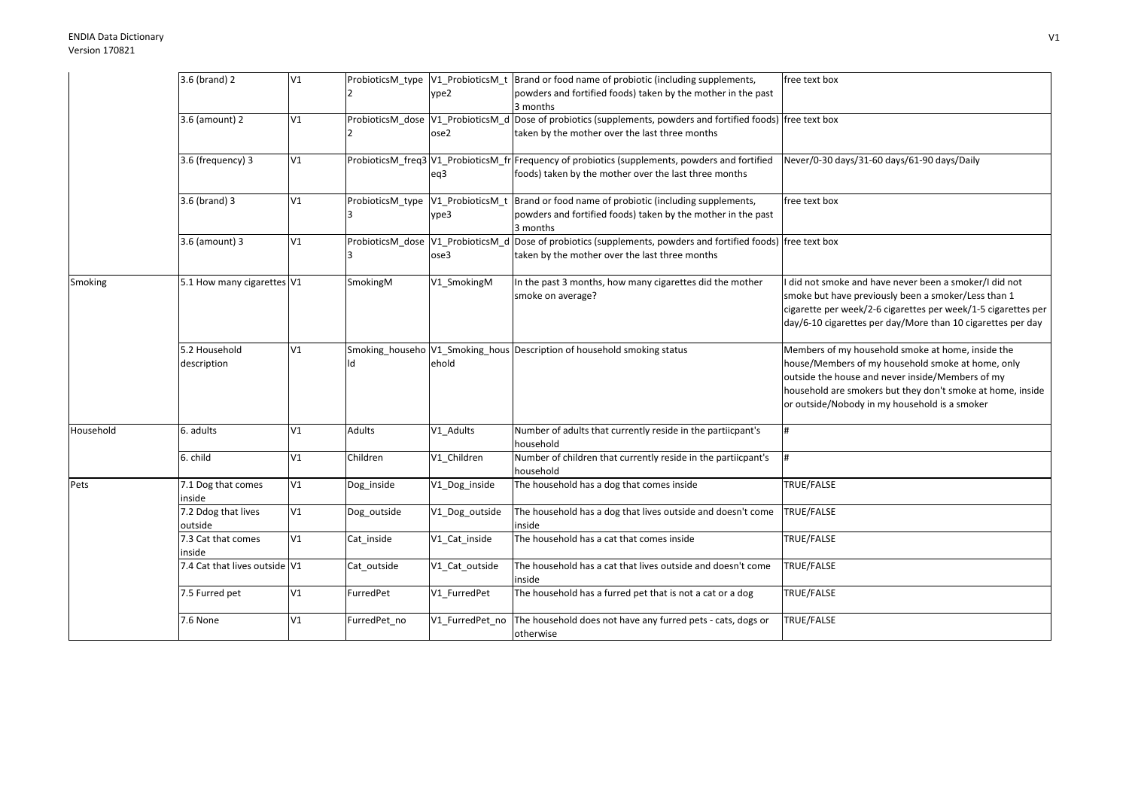## ENDIA Data DictionaryVersion 170821

|           | 3.6 (brand) 2                 | V1 |                  |                  | ProbioticsM_type  V1_ProbioticsM_t  Brand or food name of probiotic (including supplements,                      | free text box                                                 |
|-----------|-------------------------------|----|------------------|------------------|------------------------------------------------------------------------------------------------------------------|---------------------------------------------------------------|
|           |                               |    |                  | ype2             | powders and fortified foods) taken by the mother in the past                                                     |                                                               |
|           |                               |    |                  |                  | 3 months                                                                                                         |                                                               |
|           | 3.6 (amount) 2                | V1 |                  |                  | ProbioticsM_dose  V1_ProbioticsM_d  Dose of probiotics (supplements, powders and fortified foods)  free text box |                                                               |
|           |                               |    |                  | ose2             | taken by the mother over the last three months                                                                   |                                                               |
|           |                               |    |                  |                  |                                                                                                                  |                                                               |
|           | 3.6 (frequency) 3             | V1 |                  |                  | ProbioticsM_freq3 V1_ProbioticsM_fr Frequency of probiotics (supplements, powders and fortified                  | Never/0-30 days/31-60 days/61-90 days/Daily                   |
|           |                               |    |                  | eq3              | foods) taken by the mother over the last three months                                                            |                                                               |
|           |                               |    |                  |                  |                                                                                                                  |                                                               |
|           | 3.6 (brand) 3                 | V1 | ProbioticsM type | V1_ProbioticsM_t | Brand or food name of probiotic (including supplements,                                                          | free text box                                                 |
|           |                               |    |                  | ype3             | powders and fortified foods) taken by the mother in the past                                                     |                                                               |
|           |                               |    |                  |                  | 3 months                                                                                                         |                                                               |
|           | 3.6 (amount) 3                | V1 |                  |                  | ProbioticsM_dose  V1_ProbioticsM_d  Dose of probiotics (supplements, powders and fortified foods)  free text box |                                                               |
|           |                               |    |                  | ose3             | taken by the mother over the last three months                                                                   |                                                               |
|           |                               |    |                  |                  |                                                                                                                  |                                                               |
| Smoking   | 5.1 How many cigarettes V1    |    | SmokingM         | V1 SmokingM      | In the past 3 months, how many cigarettes did the mother                                                         | did not smoke and have never been a smoker/I did not          |
|           |                               |    |                  |                  | smoke on average?                                                                                                | smoke but have previously been a smoker/Less than 1           |
|           |                               |    |                  |                  |                                                                                                                  | cigarette per week/2-6 cigarettes per week/1-5 cigarettes per |
|           |                               |    |                  |                  |                                                                                                                  | day/6-10 cigarettes per day/More than 10 cigarettes per day   |
|           |                               |    |                  |                  |                                                                                                                  |                                                               |
|           | 5.2 Household                 | V1 |                  |                  | Smoking househo V1 Smoking hous Description of household smoking status                                          | Members of my household smoke at home, inside the             |
|           | description                   |    | ld               | ehold            |                                                                                                                  | house/Members of my household smoke at home, only             |
|           |                               |    |                  |                  |                                                                                                                  | outside the house and never inside/Members of my              |
|           |                               |    |                  |                  |                                                                                                                  | household are smokers but they don't smoke at home, inside    |
|           |                               |    |                  |                  |                                                                                                                  | or outside/Nobody in my household is a smoker                 |
|           |                               |    |                  |                  |                                                                                                                  |                                                               |
| Household | 6. adults                     | V1 | Adults           | V1_Adults        | Number of adults that currently reside in the partiicpant's                                                      | #                                                             |
|           |                               |    |                  |                  | household                                                                                                        |                                                               |
|           | 6. child                      | V1 | Children         | V1_Children      | Number of children that currently reside in the partiicpant's                                                    | #                                                             |
|           |                               |    |                  |                  | household                                                                                                        |                                                               |
| Pets      | 7.1 Dog that comes            | V1 | Dog_inside       | V1_Dog_inside    | The household has a dog that comes inside                                                                        | TRUE/FALSE                                                    |
|           | inside                        |    |                  |                  |                                                                                                                  |                                                               |
|           | 7.2 Ddog that lives           | V1 | Dog_outside      | V1_Dog_outside   | The household has a dog that lives outside and doesn't come                                                      | TRUE/FALSE                                                    |
|           | outside                       |    |                  |                  | inside                                                                                                           |                                                               |
|           | 7.3 Cat that comes            | V1 | Cat inside       | V1_Cat_inside    | The household has a cat that comes inside                                                                        | TRUE/FALSE                                                    |
|           | inside                        |    |                  |                  |                                                                                                                  |                                                               |
|           | 7.4 Cat that lives outside V1 |    | Cat_outside      | V1_Cat_outside   | The household has a cat that lives outside and doesn't come                                                      | TRUE/FALSE                                                    |
|           |                               |    |                  |                  | inside                                                                                                           |                                                               |
|           | 7.5 Furred pet                | V1 | FurredPet        | V1 FurredPet     | The household has a furred pet that is not a cat or a dog                                                        | TRUE/FALSE                                                    |
|           |                               |    |                  |                  |                                                                                                                  |                                                               |
|           | 7.6 None                      | V1 | FurredPet no     | V1_FurredPet_no  | The household does not have any furred pets - cats, dogs or                                                      | TRUE/FALSE                                                    |
|           |                               |    |                  |                  | otherwise                                                                                                        |                                                               |
|           |                               |    |                  |                  |                                                                                                                  |                                                               |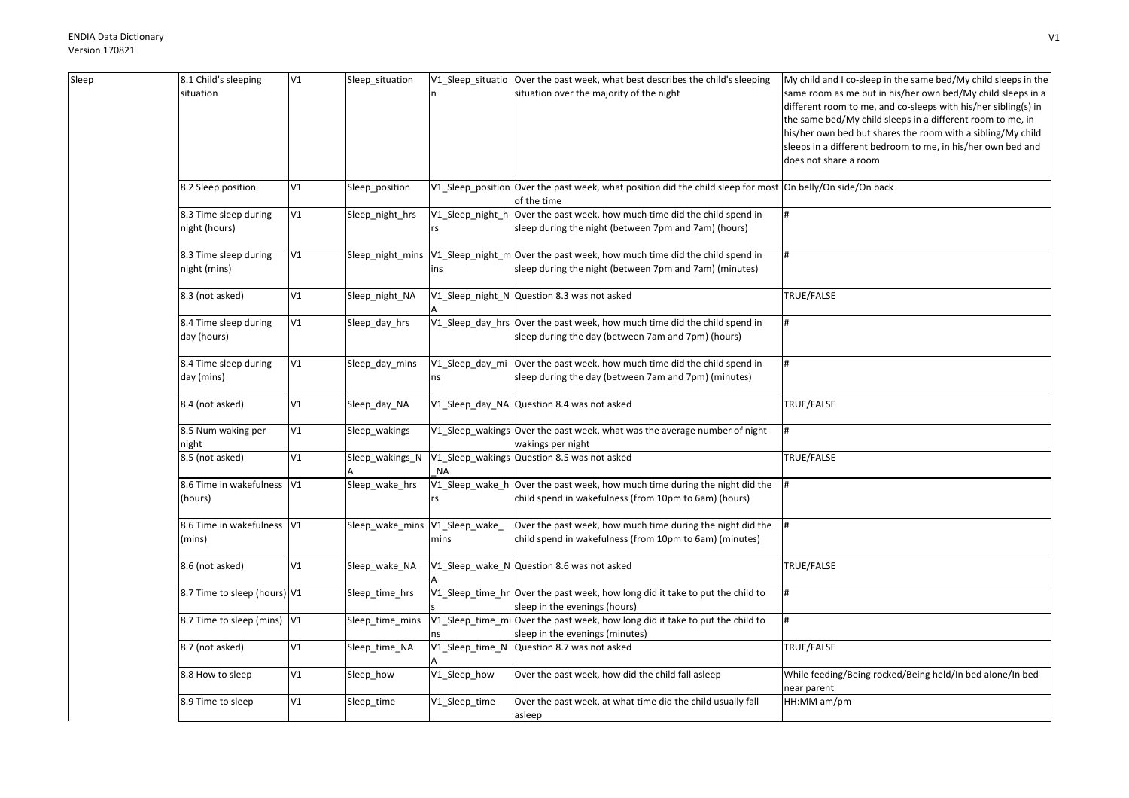| Sleep | 8.1 Child's sleeping         | V1          | Sleep_situation  |                       | V1_Sleep_situatio   Over the past week, what best describes the child's sleeping                          | My child and I co-sleep in the same bed/My child sleeps in the |
|-------|------------------------------|-------------|------------------|-----------------------|-----------------------------------------------------------------------------------------------------------|----------------------------------------------------------------|
|       | situation                    |             |                  |                       | situation over the majority of the night                                                                  | same room as me but in his/her own bed/My child sleeps in a    |
|       |                              |             |                  |                       |                                                                                                           | different room to me, and co-sleeps with his/her sibling(s) in |
|       |                              |             |                  |                       |                                                                                                           | the same bed/My child sleeps in a different room to me, in     |
|       |                              |             |                  |                       |                                                                                                           | his/her own bed but shares the room with a sibling/My child    |
|       |                              |             |                  |                       |                                                                                                           | sleeps in a different bedroom to me, in his/her own bed and    |
|       |                              |             |                  |                       |                                                                                                           | does not share a room                                          |
|       |                              |             |                  |                       |                                                                                                           |                                                                |
|       | 8.2 Sleep position           | V1          | Sleep_position   |                       | V1_Sleep_position Over the past week, what position did the child sleep for most On belly/On side/On back |                                                                |
|       |                              |             |                  |                       | of the time                                                                                               |                                                                |
|       | 8.3 Time sleep during        | $\verb V1 $ | Sleep_night_hrs  | V1_Sleep_night_h      | Over the past week, how much time did the child spend in                                                  | #                                                              |
|       | night (hours)                |             |                  | rs                    | sleep during the night (between 7pm and 7am) (hours)                                                      |                                                                |
|       |                              |             |                  |                       |                                                                                                           |                                                                |
|       | 8.3 Time sleep during        | V1          | Sleep_night_mins |                       | V1_Sleep_night_m Over the past week, how much time did the child spend in                                 | #                                                              |
|       | night (mins)                 |             |                  | ins                   | sleep during the night (between 7pm and 7am) (minutes)                                                    |                                                                |
|       | 8.3 (not asked)              | V1          | Sleep_night_NA   |                       | V1_Sleep_night_N Question 8.3 was not asked                                                               | TRUE/FALSE                                                     |
|       |                              |             |                  |                       |                                                                                                           |                                                                |
|       | 8.4 Time sleep during        | V1          | Sleep_day_hrs    |                       | V1_Sleep_day_hrs Over the past week, how much time did the child spend in                                 |                                                                |
|       | day (hours)                  |             |                  |                       | sleep during the day (between 7am and 7pm) (hours)                                                        |                                                                |
|       |                              |             |                  |                       |                                                                                                           |                                                                |
|       | 8.4 Time sleep during        | V1          | Sleep_day_mins   | V1_Sleep_day_mi       | Over the past week, how much time did the child spend in                                                  | #                                                              |
|       | day (mins)                   |             |                  | ns                    | sleep during the day (between 7am and 7pm) (minutes)                                                      |                                                                |
|       |                              |             |                  |                       |                                                                                                           |                                                                |
|       | 8.4 (not asked)              | V1          | Sleep_day_NA     |                       | V1_Sleep_day_NA Question 8.4 was not asked                                                                | TRUE/FALSE                                                     |
|       |                              | $\verb V1 $ |                  |                       |                                                                                                           | l#                                                             |
|       | 8.5 Num waking per           |             | Sleep_wakings    |                       | V1_Sleep_wakings Over the past week, what was the average number of night                                 |                                                                |
|       | night                        |             |                  |                       | wakings per night                                                                                         |                                                                |
|       | 8.5 (not asked)              | V1          | Sleep_wakings_N  |                       | V1_Sleep_wakings Question 8.5 was not asked                                                               | TRUE/FALSE                                                     |
|       | 8.6 Time in wakefulness V1   |             | Sleep_wake_hrs   | ΝA<br>V1_Sleep_wake_h | Over the past week, how much time during the night did the                                                |                                                                |
|       |                              |             |                  |                       |                                                                                                           |                                                                |
|       | (hours)                      |             |                  | rs                    | child spend in wakefulness (from 10pm to 6am) (hours)                                                     |                                                                |
|       | 8.6 Time in wakefulness V1   |             | Sleep_wake_mins  | V1_Sleep_wake_        | Over the past week, how much time during the night did the                                                | #                                                              |
|       | (mins)                       |             |                  | mins                  | child spend in wakefulness (from 10pm to 6am) (minutes)                                                   |                                                                |
|       |                              |             |                  |                       |                                                                                                           |                                                                |
|       | 8.6 (not asked)              | V1          | Sleep_wake_NA    |                       | V1_Sleep_wake_N Question 8.6 was not asked                                                                | TRUE/FALSE                                                     |
|       |                              |             |                  |                       |                                                                                                           |                                                                |
|       | 8.7 Time to sleep (hours) V1 |             | Sleep_time_hrs   |                       | V1_Sleep_time_hr Over the past week, how long did it take to put the child to                             |                                                                |
|       |                              |             |                  |                       | sleep in the evenings (hours)                                                                             |                                                                |
|       | 8.7 Time to sleep (mins) V1  |             | Sleep_time_mins  |                       | V1_Sleep_time_mi Over the past week, how long did it take to put the child to                             | #                                                              |
|       |                              |             |                  |                       | sleep in the evenings (minutes)                                                                           |                                                                |
|       | 8.7 (not asked)              | V1          | Sleep_time_NA    | V1_Sleep_time_N       | Question 8.7 was not asked                                                                                | TRUE/FALSE                                                     |
|       |                              |             |                  |                       |                                                                                                           |                                                                |
|       | 8.8 How to sleep             | V1          | Sleep_how        | V1_Sleep_how          | Over the past week, how did the child fall asleep                                                         | While feeding/Being rocked/Being held/In bed alone/In bed      |
|       |                              |             |                  |                       |                                                                                                           | near parent                                                    |
|       | 8.9 Time to sleep            | V1          | Sleep_time       | V1_Sleep_time         | Over the past week, at what time did the child usually fall                                               | HH:MM am/pm                                                    |
|       |                              |             |                  |                       | asleep                                                                                                    |                                                                |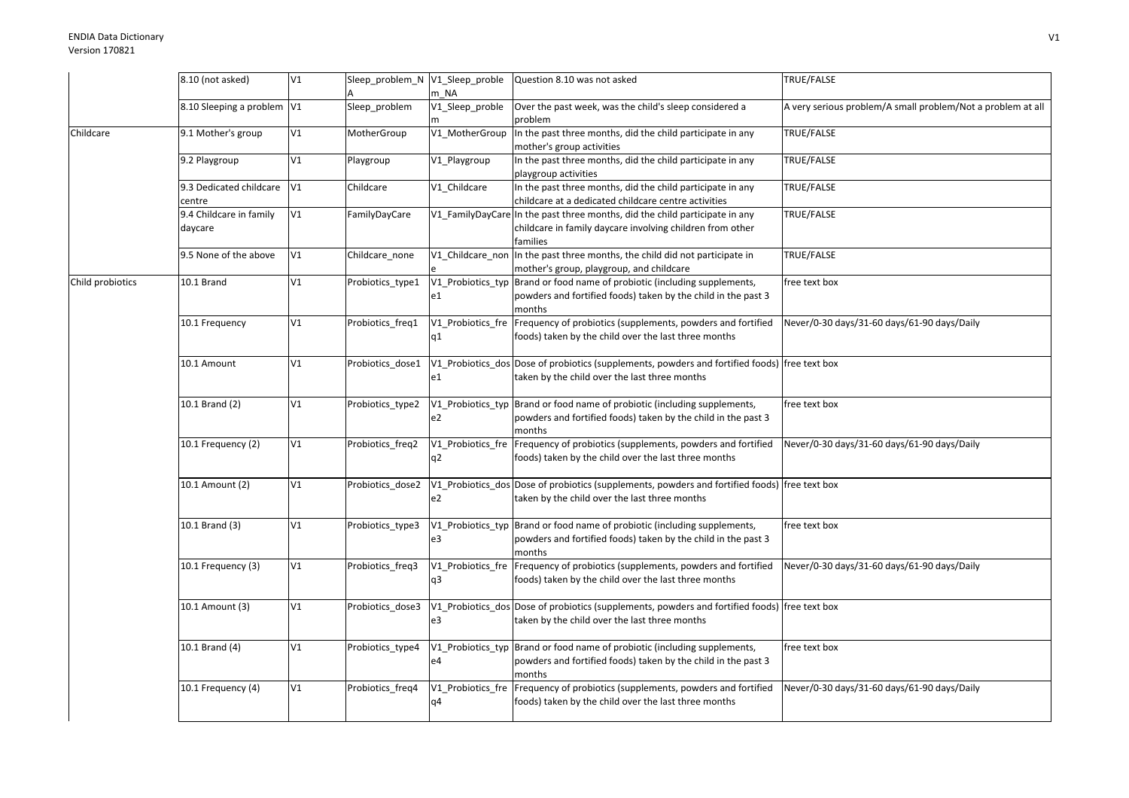|                  | 8.10 (not asked)           | V1 | Sleep_problem_N V1_Sleep_proble |                   | Question 8.10 was not asked                                                                   | TRUE/FALSE                                                  |
|------------------|----------------------------|----|---------------------------------|-------------------|-----------------------------------------------------------------------------------------------|-------------------------------------------------------------|
|                  |                            |    |                                 | m NA              |                                                                                               |                                                             |
|                  | 8.10 Sleeping a problem V1 |    | Sleep_problem                   | V1_Sleep_proble   | Over the past week, was the child's sleep considered a                                        | A very serious problem/A small problem/Not a problem at all |
|                  |                            |    |                                 |                   | problem                                                                                       |                                                             |
| Childcare        | 9.1 Mother's group         | V1 | MotherGroup                     | V1_MotherGroup    | In the past three months, did the child participate in any                                    | TRUE/FALSE                                                  |
|                  |                            |    |                                 |                   | mother's group activities                                                                     |                                                             |
|                  | 9.2 Playgroup              | V1 | Playgroup                       | V1_Playgroup      | In the past three months, did the child participate in any                                    | TRUE/FALSE                                                  |
|                  |                            |    |                                 |                   | playgroup activities                                                                          |                                                             |
|                  | 9.3 Dedicated childcare    | V1 | Childcare                       | V1_Childcare      | In the past three months, did the child participate in any                                    | TRUE/FALSE                                                  |
|                  | centre                     |    |                                 |                   | childcare at a dedicated childcare centre activities                                          |                                                             |
|                  | 9.4 Childcare in family    | V1 | FamilyDayCare                   |                   | V1 FamilyDayCare In the past three months, did the child participate in any                   | TRUE/FALSE                                                  |
|                  | daycare                    |    |                                 |                   | childcare in family daycare involving children from other                                     |                                                             |
|                  |                            |    |                                 |                   | families                                                                                      |                                                             |
|                  | 9.5 None of the above      | V1 | Childcare_none                  |                   | V1_Childcare_non In the past three months, the child did not participate in                   | TRUE/FALSE                                                  |
|                  |                            |    |                                 |                   | mother's group, playgroup, and childcare                                                      |                                                             |
| Child probiotics | 10.1 Brand                 | V1 | Probiotics_type1                | V1_Probiotics_typ | Brand or food name of probiotic (including supplements,                                       | free text box                                               |
|                  |                            |    |                                 | e1                | powders and fortified foods) taken by the child in the past 3                                 |                                                             |
|                  |                            |    |                                 |                   | months                                                                                        |                                                             |
|                  | 10.1 Frequency             | V1 | Probiotics_freq1                |                   | V1_Probiotics_fre Frequency of probiotics (supplements, powders and fortified                 | Never/0-30 days/31-60 days/61-90 days/Daily                 |
|                  |                            |    |                                 | q1                | foods) taken by the child over the last three months                                          |                                                             |
|                  |                            |    |                                 |                   |                                                                                               |                                                             |
|                  | 10.1 Amount                | V1 | Probiotics dose1                |                   | V1_Probiotics_dos Dose of probiotics (supplements, powders and fortified foods) free text box |                                                             |
|                  |                            |    |                                 | e1                | taken by the child over the last three months                                                 |                                                             |
|                  |                            |    |                                 |                   |                                                                                               |                                                             |
|                  | 10.1 Brand (2)             | V1 | Probiotics_type2                |                   | V1 Probiotics typ Brand or food name of probiotic (including supplements,                     | free text box                                               |
|                  |                            |    |                                 | e2                | powders and fortified foods) taken by the child in the past 3                                 |                                                             |
|                  |                            |    |                                 |                   | months                                                                                        |                                                             |
|                  | 10.1 Frequency (2)         | V1 | Probiotics_freq2                |                   | V1_Probiotics_fre Frequency of probiotics (supplements, powders and fortified                 | Never/0-30 days/31-60 days/61-90 days/Daily                 |
|                  |                            |    |                                 | q2                | foods) taken by the child over the last three months                                          |                                                             |
|                  |                            |    |                                 |                   |                                                                                               |                                                             |
|                  | 10.1 Amount (2)            | V1 | Probiotics_dose2                |                   | V1_Probiotics_dos Dose of probiotics (supplements, powders and fortified foods) free text box |                                                             |
|                  |                            |    |                                 | e2                | taken by the child over the last three months                                                 |                                                             |
|                  |                            |    |                                 |                   |                                                                                               |                                                             |
|                  | 10.1 Brand (3)             | V1 | Probiotics_type3                |                   | V1 Probiotics typ Brand or food name of probiotic (including supplements,                     | free text box                                               |
|                  |                            |    |                                 | e3                | powders and fortified foods) taken by the child in the past 3                                 |                                                             |
|                  |                            |    |                                 |                   | months                                                                                        |                                                             |
|                  | 10.1 Frequency (3)         | V1 | Probiotics_freq3                |                   | V1_Probiotics_fre Frequency of probiotics (supplements, powders and fortified                 | Never/0-30 days/31-60 days/61-90 days/Daily                 |
|                  |                            |    |                                 | q3                | foods) taken by the child over the last three months                                          |                                                             |
|                  |                            |    |                                 |                   |                                                                                               |                                                             |
|                  | 10.1 Amount (3)            | V1 | Probiotics_dose3                |                   | V1_Probiotics_dos Dose of probiotics (supplements, powders and fortified foods) free text box |                                                             |
|                  |                            |    |                                 | e3                | taken by the child over the last three months                                                 |                                                             |
|                  |                            |    |                                 |                   |                                                                                               |                                                             |
|                  | 10.1 Brand (4)             | V1 | Probiotics_type4                |                   | V1_Probiotics_typ Brand or food name of probiotic (including supplements,                     | free text box                                               |
|                  |                            |    |                                 | e4                | powders and fortified foods) taken by the child in the past 3                                 |                                                             |
|                  |                            |    |                                 |                   | months                                                                                        |                                                             |
|                  | 10.1 Frequency (4)         | V1 | Probiotics freq4                | V1 Probiotics fre | Frequency of probiotics (supplements, powders and fortified                                   | Never/0-30 days/31-60 days/61-90 days/Daily                 |
|                  |                            |    |                                 | q4                | foods) taken by the child over the last three months                                          |                                                             |
|                  |                            |    |                                 |                   |                                                                                               |                                                             |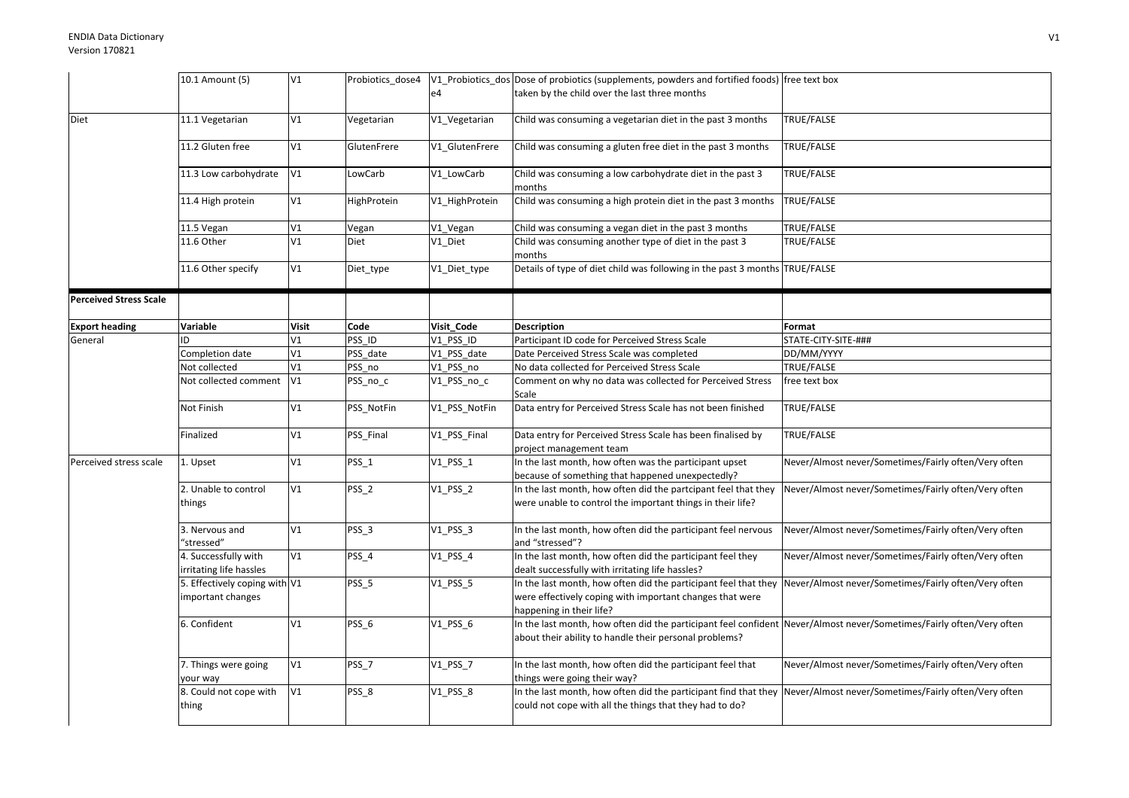|                               | 10.1 Amount (5)               | V1           | Probiotics_dose4 |                | V1_Probiotics_dos Dose of probiotics (supplements, powders and fortified foods) free text box |                                                      |
|-------------------------------|-------------------------------|--------------|------------------|----------------|-----------------------------------------------------------------------------------------------|------------------------------------------------------|
|                               |                               |              |                  | e4             | taken by the child over the last three months                                                 |                                                      |
|                               |                               |              |                  |                |                                                                                               |                                                      |
| Diet                          | 11.1 Vegetarian               | V1           | Vegetarian       | V1_Vegetarian  | Child was consuming a vegetarian diet in the past 3 months                                    | TRUE/FALSE                                           |
|                               |                               |              |                  |                |                                                                                               |                                                      |
|                               | 11.2 Gluten free              | V1           | GlutenFrere      | V1 GlutenFrere | Child was consuming a gluten free diet in the past 3 months                                   | TRUE/FALSE                                           |
|                               |                               |              |                  |                |                                                                                               |                                                      |
|                               | 11.3 Low carbohydrate         | V1           | LowCarb          | V1_LowCarb     | Child was consuming a low carbohydrate diet in the past 3                                     | TRUE/FALSE                                           |
|                               |                               |              |                  |                | months                                                                                        |                                                      |
|                               | 11.4 High protein             | V1           | HighProtein      | V1 HighProtein | Child was consuming a high protein diet in the past 3 months                                  | TRUE/FALSE                                           |
|                               |                               |              |                  |                |                                                                                               |                                                      |
|                               | 11.5 Vegan                    | V1           | Vegan            | V1_Vegan       | Child was consuming a vegan diet in the past 3 months                                         | TRUE/FALSE                                           |
|                               | 11.6 Other                    | V1           | Diet             | V1_Diet        | Child was consuming another type of diet in the past 3                                        | <b>TRUE/FALSE</b>                                    |
|                               |                               |              |                  |                | months                                                                                        |                                                      |
|                               | 11.6 Other specify            | V1           | Diet_type        | V1_Diet_type   | Details of type of diet child was following in the past 3 months TRUE/FALSE                   |                                                      |
|                               |                               |              |                  |                |                                                                                               |                                                      |
| <b>Perceived Stress Scale</b> |                               |              |                  |                |                                                                                               |                                                      |
|                               |                               |              |                  |                |                                                                                               |                                                      |
| <b>Export heading</b>         | Variable                      | <b>Visit</b> | Code             | Visit_Code     | <b>Description</b>                                                                            | Format                                               |
| General                       | ID                            | V1           | PSS ID           | V1_PSS_ID      | Participant ID code for Perceived Stress Scale                                                | STATE-CITY-SITE-###                                  |
|                               | Completion date               | V1           | PSS date         | V1 PSS date    | Date Perceived Stress Scale was completed                                                     | DD/MM/YYYY                                           |
|                               | Not collected                 | V1           | PSS no           | V1_PSS_no      | No data collected for Perceived Stress Scale                                                  | TRUE/FALSE                                           |
|                               | Not collected comment         | V1           | PSS_no_c         | V1_PSS_no_c    | Comment on why no data was collected for Perceived Stress                                     | free text box                                        |
|                               |                               |              |                  |                | Scale                                                                                         |                                                      |
|                               | Not Finish                    | V1           | PSS_NotFin       | V1_PSS_NotFin  | Data entry for Perceived Stress Scale has not been finished                                   | TRUE/FALSE                                           |
|                               |                               |              |                  |                |                                                                                               |                                                      |
|                               | Finalized                     | V1           | PSS Final        | V1_PSS_Final   | Data entry for Perceived Stress Scale has been finalised by                                   | <b>TRUE/FALSE</b>                                    |
|                               |                               |              |                  |                | project management team                                                                       |                                                      |
| Perceived stress scale        | 1. Upset                      | V1           | $PSS_1$          | $V1_PSS_1$     | In the last month, how often was the participant upset                                        | Never/Almost never/Sometimes/Fairly often/Very often |
|                               |                               |              |                  |                | because of something that happened unexpectedly?                                              |                                                      |
|                               | 2. Unable to control          | V1           | PSS_2            | $V1$ $PSS_2$   | In the last month, how often did the partcipant feel that they                                | Never/Almost never/Sometimes/Fairly often/Very often |
|                               | things                        |              |                  |                | were unable to control the important things in their life?                                    |                                                      |
|                               |                               |              |                  |                |                                                                                               |                                                      |
|                               | 3. Nervous and                | V1           | PSS_3            | $V1$ $PSS_3$   | In the last month, how often did the participant feel nervous                                 | Never/Almost never/Sometimes/Fairly often/Very often |
|                               | "stressed"                    |              |                  |                | and "stressed"?                                                                               |                                                      |
|                               | 4. Successfully with          | V1           | PSS_4            | $V1_PSS_4$     | In the last month, how often did the participant feel they                                    | Never/Almost never/Sometimes/Fairly often/Very often |
|                               | irritating life hassles       |              |                  |                | dealt successfully with irritating life hassles?                                              |                                                      |
|                               | 5. Effectively coping with V1 |              | PSS_5            | $V1$ PSS 5     | In the last month, how often did the participant feel that they                               | Never/Almost never/Sometimes/Fairly often/Very often |
|                               | important changes             |              |                  |                | were effectively coping with important changes that were                                      |                                                      |
|                               |                               |              |                  |                | happening in their life?                                                                      |                                                      |
|                               | 6. Confident                  | V1           | PSS_6            | $V1$ $PSS_6$   | In the last month, how often did the participant feel confident                               | Never/Almost never/Sometimes/Fairly often/Very often |
|                               |                               |              |                  |                | about their ability to handle their personal problems?                                        |                                                      |
|                               |                               |              |                  |                |                                                                                               |                                                      |
|                               | 7. Things were going          | V1           | PSS_7            | $V1_PSS_7$     | In the last month, how often did the participant feel that                                    | Never/Almost never/Sometimes/Fairly often/Very often |
|                               | your way                      |              |                  |                | things were going their way?                                                                  |                                                      |
|                               | 8. Could not cope with        | V1           | PSS_8            | $V1_PSS_8$     | In the last month, how often did the participant find that they                               | Never/Almost never/Sometimes/Fairly often/Very often |
|                               | thing                         |              |                  |                | could not cope with all the things that they had to do?                                       |                                                      |
|                               |                               |              |                  |                |                                                                                               |                                                      |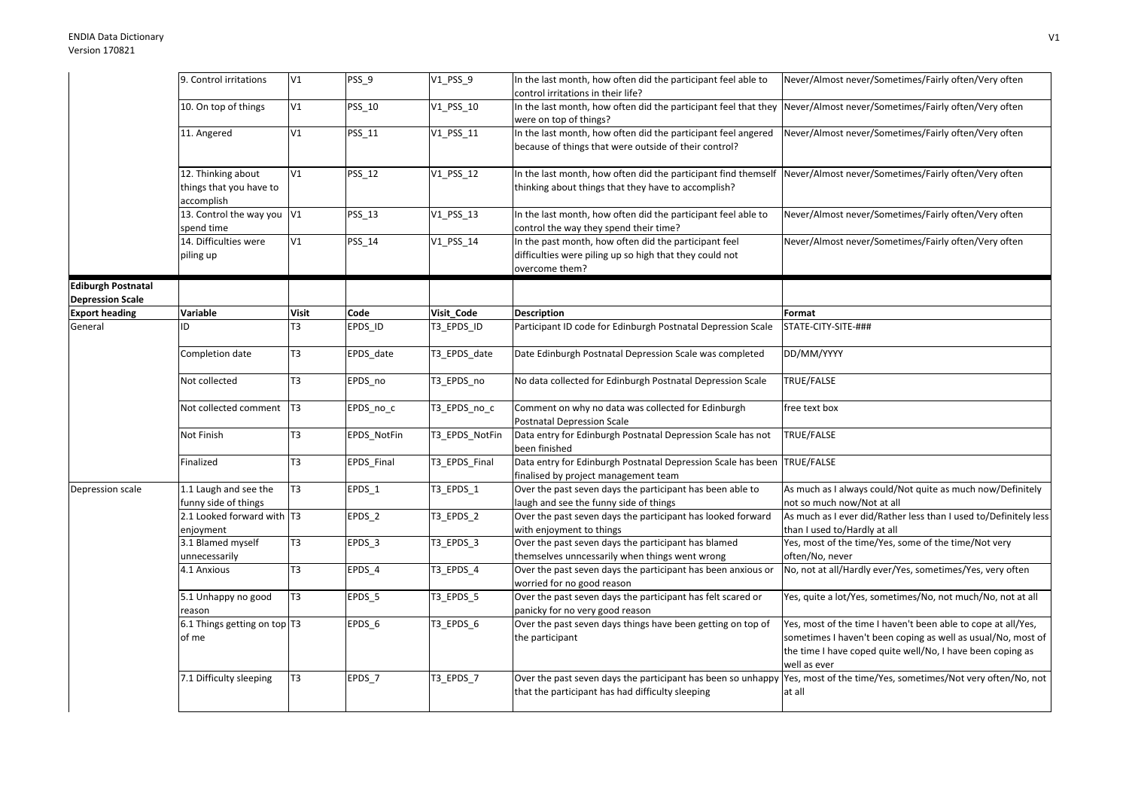## ENDIA Data DictionaryVersion 170821

|                                                      | 9. Control irritations                                      | V1             | PSS_9             | $V1$ PSS $9$   | In the last month, how often did the participant feel able to                                                                                                              | Never/Almost never/Sometimes/Fairly often/Very often                                                                                                                                                        |
|------------------------------------------------------|-------------------------------------------------------------|----------------|-------------------|----------------|----------------------------------------------------------------------------------------------------------------------------------------------------------------------------|-------------------------------------------------------------------------------------------------------------------------------------------------------------------------------------------------------------|
|                                                      |                                                             |                |                   |                | control irritations in their life?                                                                                                                                         |                                                                                                                                                                                                             |
|                                                      | 10. On top of things                                        | V1             | PSS_10            | V1_PSS_10      | In the last month, how often did the participant feel that they<br>were on top of things?                                                                                  | Never/Almost never/Sometimes/Fairly often/Very often                                                                                                                                                        |
|                                                      | 11. Angered                                                 | V1             | PSS_11            | V1_PSS_11      | In the last month, how often did the participant feel angered<br>because of things that were outside of their control?                                                     | Never/Almost never/Sometimes/Fairly often/Very often                                                                                                                                                        |
|                                                      | 12. Thinking about<br>things that you have to<br>accomplish | V1             | <b>PSS_12</b>     | V1_PSS_12      | In the last month, how often did the participant find themself Never/Almost never/Sometimes/Fairly often/Very often<br>thinking about things that they have to accomplish? |                                                                                                                                                                                                             |
|                                                      | 13. Control the way you<br>spend time                       | V1             | PSS_13            | V1_PSS_13      | In the last month, how often did the participant feel able to<br>control the way they spend their time?                                                                    | Never/Almost never/Sometimes/Fairly often/Very often                                                                                                                                                        |
|                                                      | 14. Difficulties were<br>piling up                          | V1             | PSS_14            | V1_PSS_14      | In the past month, how often did the participant feel<br>difficulties were piling up so high that they could not<br>overcome them?                                         | Never/Almost never/Sometimes/Fairly often/Very often                                                                                                                                                        |
| <b>Ediburgh Postnatal</b><br><b>Depression Scale</b> |                                                             |                |                   |                |                                                                                                                                                                            |                                                                                                                                                                                                             |
| <b>Export heading</b>                                | Variable                                                    | <b>Visit</b>   | Code              | Visit_Code     | <b>Description</b>                                                                                                                                                         | Format                                                                                                                                                                                                      |
| General                                              | ID                                                          | T3             | EPDS_ID           | T3 EPDS ID     | Participant ID code for Edinburgh Postnatal Depression Scale                                                                                                               | STATE-CITY-SITE-###                                                                                                                                                                                         |
|                                                      | Completion date                                             | T <sub>3</sub> | EPDS date         | T3_EPDS_date   | Date Edinburgh Postnatal Depression Scale was completed                                                                                                                    | DD/MM/YYYY                                                                                                                                                                                                  |
|                                                      | Not collected                                               | T <sub>3</sub> | EPDS no           | T3 EPDS no     | No data collected for Edinburgh Postnatal Depression Scale                                                                                                                 | TRUE/FALSE                                                                                                                                                                                                  |
|                                                      | Not collected comment                                       | T <sub>3</sub> | EPDS_no_c         | T3_EPDS_no_c   | Comment on why no data was collected for Edinburgh<br><b>Postnatal Depression Scale</b>                                                                                    | free text box                                                                                                                                                                                               |
|                                                      | Not Finish                                                  | T <sub>3</sub> | EPDS NotFin       | T3_EPDS_NotFin | Data entry for Edinburgh Postnatal Depression Scale has not<br>been finished                                                                                               | TRUE/FALSE                                                                                                                                                                                                  |
|                                                      | Finalized                                                   | T3             | EPDS_Final        | T3_EPDS_Final  | Data entry for Edinburgh Postnatal Depression Scale has been<br>finalised by project management team                                                                       | TRUE/FALSE                                                                                                                                                                                                  |
| Depression scale                                     | 1.1 Laugh and see the<br>funny side of things               | T3             | EPDS <sub>1</sub> | T3_EPDS_1      | Over the past seven days the participant has been able to<br>laugh and see the funny side of things                                                                        | As much as I always could/Not quite as much now/Definitely<br>not so much now/Not at all                                                                                                                    |
|                                                      | 2.1 Looked forward with T3<br>enjoyment                     |                | $EPDS_2$          | T3_EPDS_2      | Over the past seven days the participant has looked forward<br>with enjoyment to things                                                                                    | As much as I ever did/Rather less than I used to/Definitely less<br>than I used to/Hardly at all                                                                                                            |
|                                                      | 3.1 Blamed myself<br>unnecessarily                          | T <sub>3</sub> | EPDS <sub>3</sub> | T3_EPDS_3      | Over the past seven days the participant has blamed<br>themselves unncessarily when things went wrong                                                                      | Yes, most of the time/Yes, some of the time/Not very<br>often/No, never                                                                                                                                     |
|                                                      | 4.1 Anxious                                                 | T <sub>3</sub> | EPDS_4            | T3_EPDS_4      | Over the past seven days the participant has been anxious or<br>worried for no good reason                                                                                 | No, not at all/Hardly ever/Yes, sometimes/Yes, very often                                                                                                                                                   |
|                                                      | 5.1 Unhappy no good<br>reason                               | T <sub>3</sub> | EPDS_5            | T3_EPDS_5      | Over the past seven days the participant has felt scared or<br>panicky for no very good reason                                                                             | Yes, quite a lot/Yes, sometimes/No, not much/No, not at all                                                                                                                                                 |
|                                                      | 6.1 Things getting on top T3<br>of me                       |                | EPDS_6            | T3_EPDS_6      | Over the past seven days things have been getting on top of<br>the participant                                                                                             | Yes, most of the time I haven't been able to cope at all/Yes,<br>sometimes I haven't been coping as well as usual/No, most of<br>the time I have coped quite well/No, I have been coping as<br>well as ever |
|                                                      | 7.1 Difficulty sleeping                                     | T <sub>3</sub> | EPDS_7            | T3_EPDS_7      | Over the past seven days the participant has been so unhappy<br>that the participant has had difficulty sleeping                                                           | Yes, most of the time/Yes, sometimes/Not very often/No, not<br>at all                                                                                                                                       |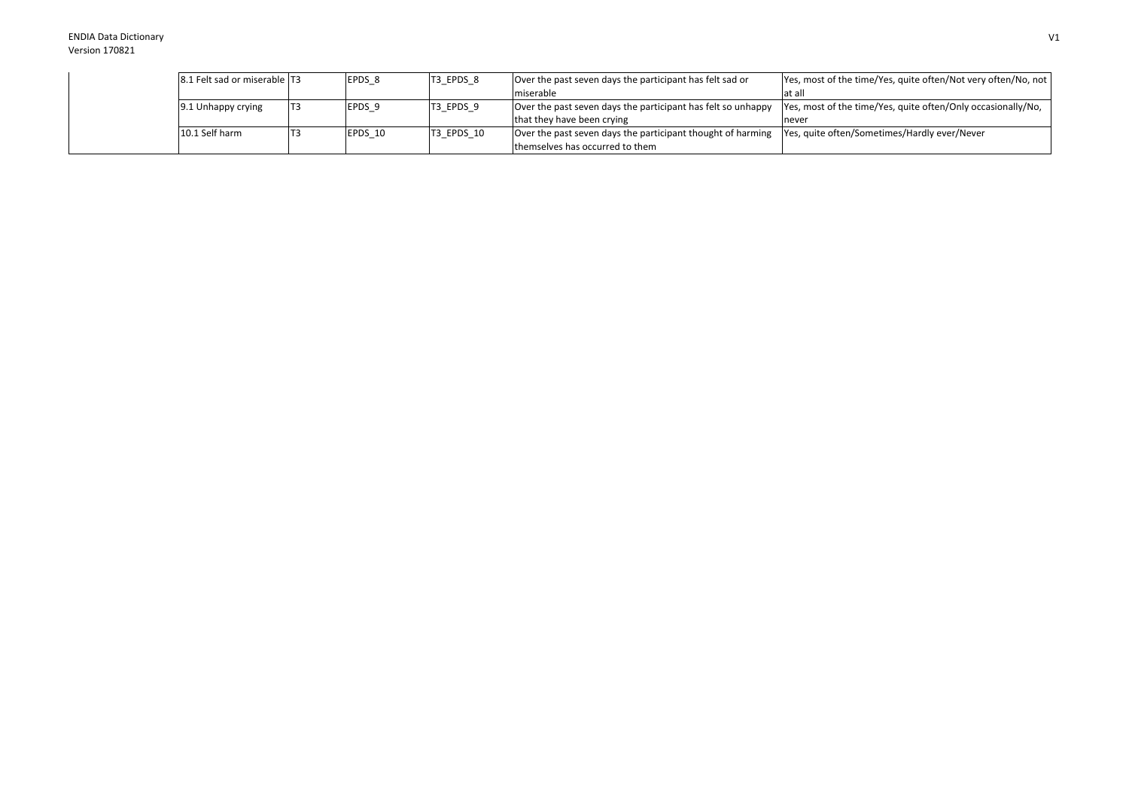## ENDIA Data DictionaryVersion 170821

|  | 8.1 Felt sad or miserable   T3 | EPDS 8            | T3 EPDS 8  | Over the past seven days the participant has felt sad or                                                 | Yes, most of the time/Yes, quite often/Not very often/No, not |
|--|--------------------------------|-------------------|------------|----------------------------------------------------------------------------------------------------------|---------------------------------------------------------------|
|  |                                |                   |            | Imiserable                                                                                               | at all                                                        |
|  | 9.1 Unhappy crying             | EPDS <sub>9</sub> | T3_EPDS_9  | Over the past seven days the participant has felt so unhappy                                             | Yes, most of the time/Yes, quite often/Only occasionally/No,  |
|  |                                |                   |            | that they have been crying                                                                               | never                                                         |
|  | 10.1 Self harm                 | EPDS 10           | T3 EPDS 10 | Over the past seven days the participant thought of harming Yes, quite often/Sometimes/Hardly ever/Never |                                                               |
|  |                                |                   |            | themselves has occurred to them                                                                          |                                                               |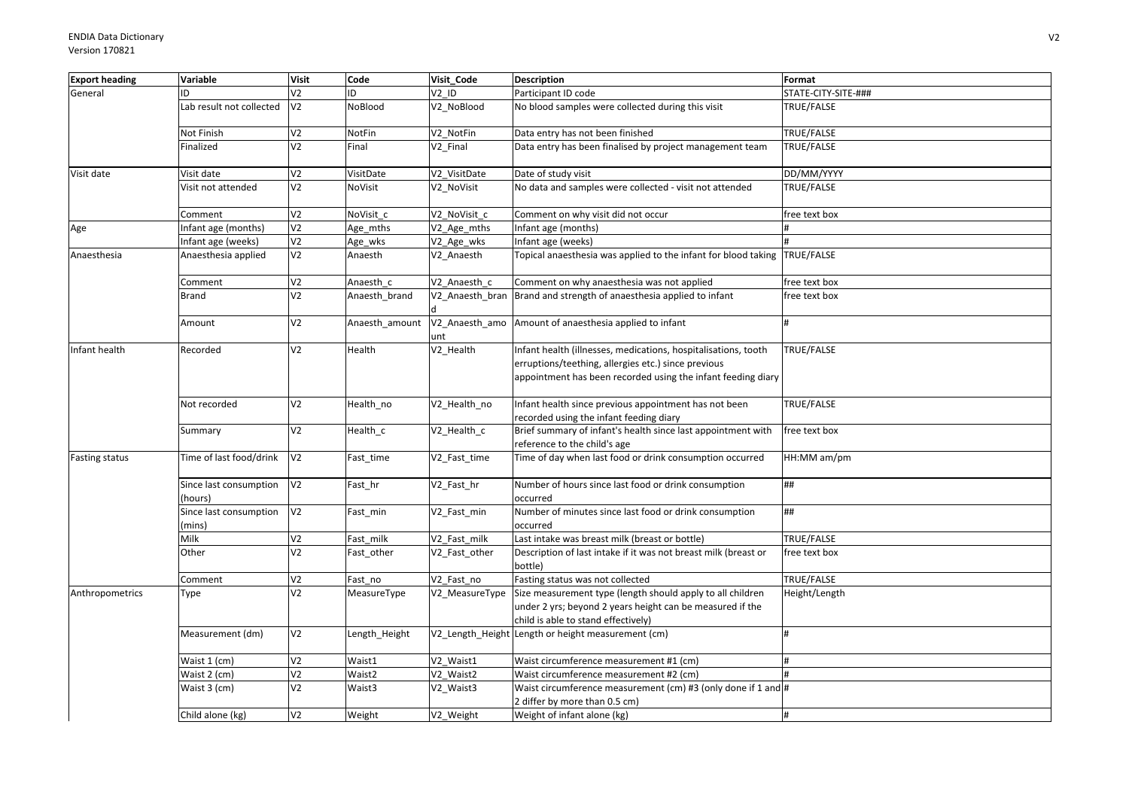| Variable                          | <b>Visit</b>               | Code                             | Visit Code           | <b>Description</b>                                                                                                                                                                    | Format                                                                                                                                                                                                                                                                                                                                                                              |
|-----------------------------------|----------------------------|----------------------------------|----------------------|---------------------------------------------------------------------------------------------------------------------------------------------------------------------------------------|-------------------------------------------------------------------------------------------------------------------------------------------------------------------------------------------------------------------------------------------------------------------------------------------------------------------------------------------------------------------------------------|
| ID                                | V <sub>2</sub>             | ID                               | V <sub>2</sub> ID    | Participant ID code                                                                                                                                                                   | STATE-CITY-SITE-###                                                                                                                                                                                                                                                                                                                                                                 |
| Lab result not collected          | V <sub>2</sub>             | NoBlood                          | V2_NoBlood           | No blood samples were collected during this visit                                                                                                                                     | TRUE/FALSE                                                                                                                                                                                                                                                                                                                                                                          |
| Not Finish                        | V <sub>2</sub>             | NotFin                           | V2_NotFin            | Data entry has not been finished                                                                                                                                                      | TRUE/FALSE                                                                                                                                                                                                                                                                                                                                                                          |
| Finalized                         | V <sub>2</sub>             | Final                            | V <sub>2</sub> Final | Data entry has been finalised by project management team                                                                                                                              | TRUE/FALSE                                                                                                                                                                                                                                                                                                                                                                          |
| Visit date                        | V <sub>2</sub>             | VisitDate                        | V2 VisitDate         | Date of study visit                                                                                                                                                                   | DD/MM/YYYY                                                                                                                                                                                                                                                                                                                                                                          |
| Visit not attended                | V <sub>2</sub>             | <b>NoVisit</b>                   | V2_NoVisit           | No data and samples were collected - visit not attended                                                                                                                               | <b>TRUE/FALSE</b>                                                                                                                                                                                                                                                                                                                                                                   |
| Comment                           |                            | NoVisit c                        | V2 NoVisit c         | Comment on why visit did not occur                                                                                                                                                    | free text box                                                                                                                                                                                                                                                                                                                                                                       |
| Infant age (months)               | V <sub>2</sub>             | Age_mths                         | V2 Age mths          | nfant age (months)                                                                                                                                                                    |                                                                                                                                                                                                                                                                                                                                                                                     |
| Infant age (weeks)                |                            | Age_wks                          | V2_Age_wks           |                                                                                                                                                                                       |                                                                                                                                                                                                                                                                                                                                                                                     |
| Anaesthesia applied               | V <sub>2</sub>             | Anaesth                          | V2 Anaesth           | Topical anaesthesia was applied to the infant for blood taking TRUE/FALSE                                                                                                             |                                                                                                                                                                                                                                                                                                                                                                                     |
| Comment                           | V <sub>2</sub>             | Anaesth c                        | V2_Anaesth_c         | Comment on why anaesthesia was not applied                                                                                                                                            | free text box                                                                                                                                                                                                                                                                                                                                                                       |
| <b>Brand</b>                      | V <sub>2</sub>             | Anaesth brand                    | V2 Anaesth bran      |                                                                                                                                                                                       | free text box                                                                                                                                                                                                                                                                                                                                                                       |
| Amount                            | V <sub>2</sub>             | Anaesth amount                   | unt                  |                                                                                                                                                                                       |                                                                                                                                                                                                                                                                                                                                                                                     |
| Recorded                          | V <sub>2</sub>             | Health                           | V2_Health            | Infant health (illnesses, medications, hospitalisations, tooth<br>erruptions/teething, allergies etc.) since previous<br>appointment has been recorded using the infant feeding diary | TRUE/FALSE                                                                                                                                                                                                                                                                                                                                                                          |
| Not recorded                      | V <sub>2</sub>             | Health_no                        | V2_Health_no         | Infant health since previous appointment has not been<br>recorded using the infant feeding diary                                                                                      | TRUE/FALSE                                                                                                                                                                                                                                                                                                                                                                          |
| Summary                           | V <sub>2</sub>             | Health_c                         | V2_Health_c          | Brief summary of infant's health since last appointment with<br>reference to the child's age                                                                                          | free text box                                                                                                                                                                                                                                                                                                                                                                       |
| Time of last food/drink           | V <sub>2</sub>             | Fast_time                        | V2_Fast_time         |                                                                                                                                                                                       | HH:MM am/pm                                                                                                                                                                                                                                                                                                                                                                         |
| Since last consumption<br>(hours) | V <sub>2</sub>             | Fast_hr                          | V2_Fast_hr           | Number of hours since last food or drink consumption<br>occurred                                                                                                                      | ##                                                                                                                                                                                                                                                                                                                                                                                  |
| Since last consumption            | V <sub>2</sub>             | Fast_min                         | V2_Fast_min          | Number of minutes since last food or drink consumption<br>occurred                                                                                                                    | ##                                                                                                                                                                                                                                                                                                                                                                                  |
| Milk                              | V <sub>2</sub>             | Fast milk                        | V2 Fast milk         | Last intake was breast milk (breast or bottle)                                                                                                                                        | TRUE/FALSE                                                                                                                                                                                                                                                                                                                                                                          |
| Other                             | V <sub>2</sub>             | Fast_other                       | V2_Fast_other        | Description of last intake if it was not breast milk (breast or<br>bottle)                                                                                                            | free text box                                                                                                                                                                                                                                                                                                                                                                       |
| Comment                           | V <sub>2</sub>             | Fast no                          | V2 Fast no           | Fasting status was not collected                                                                                                                                                      | TRUE/FALSE                                                                                                                                                                                                                                                                                                                                                                          |
| Type                              | V <sub>2</sub>             | MeasureType                      | V2 MeasureType       | under 2 yrs; beyond 2 years height can be measured if the<br>child is able to stand effectively)                                                                                      | Height/Length                                                                                                                                                                                                                                                                                                                                                                       |
| Measurement (dm)                  | V <sub>2</sub>             | Length_Height                    |                      |                                                                                                                                                                                       |                                                                                                                                                                                                                                                                                                                                                                                     |
| Waist 1 (cm)                      | V <sub>2</sub>             | Waist1                           | V2 Waist1            | Waist circumference measurement #1 (cm)                                                                                                                                               | #                                                                                                                                                                                                                                                                                                                                                                                   |
| Waist 2 (cm)                      | V <sub>2</sub>             | Waist2                           | V2 Waist2            | Waist circumference measurement #2 (cm)                                                                                                                                               |                                                                                                                                                                                                                                                                                                                                                                                     |
| Waist 3 (cm)                      | V <sub>2</sub>             | Waist3                           | V2_Waist3            | Waist circumference measurement (cm) #3 (only done if 1 and #                                                                                                                         |                                                                                                                                                                                                                                                                                                                                                                                     |
|                                   | V <sub>2</sub>             |                                  | V2_Weight            |                                                                                                                                                                                       |                                                                                                                                                                                                                                                                                                                                                                                     |
|                                   | (mins)<br>Child alone (kg) | V <sub>2</sub><br>V <sub>2</sub> | Weight               |                                                                                                                                                                                       | Infant age (weeks)<br>Brand and strength of anaesthesia applied to infant<br>V2_Anaesth_amo Amount of anaesthesia applied to infant<br>Time of day when last food or drink consumption occurred<br>Size measurement type (length should apply to all children<br>V2_Length_Height Length or height measurement (cm)<br>2 differ by more than 0.5 cm)<br>Weight of infant alone (kg) |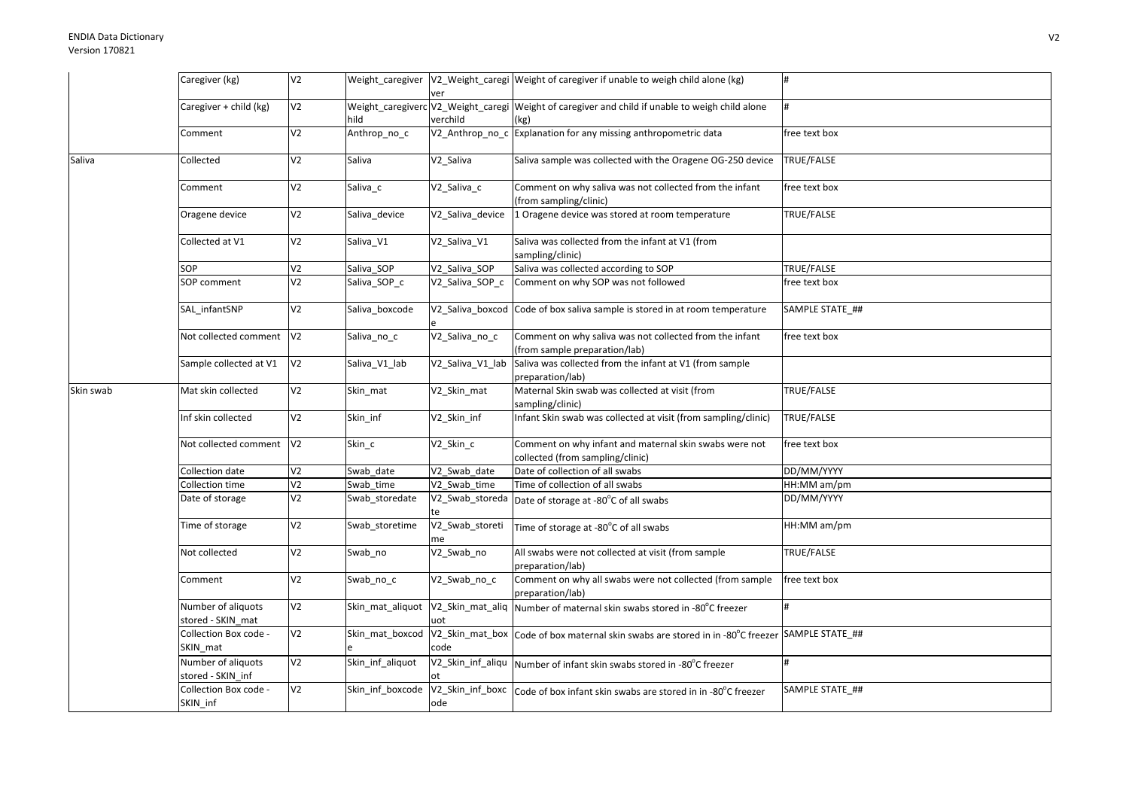|           | Caregiver (kg)                          | V <sub>2</sub> |                  | ver                         | Weight_caregiver  V2_Weight_caregi  Weight of caregiver if unable to weigh child alone (kg)             | #                 |
|-----------|-----------------------------------------|----------------|------------------|-----------------------------|---------------------------------------------------------------------------------------------------------|-------------------|
|           | Caregiver + child (kg)                  | V <sub>2</sub> | hild             | verchild                    | Weight_caregiverc V2_Weight_caregi Weight of caregiver and child if unable to weigh child alone<br>(kg) |                   |
|           | Comment                                 | V <sub>2</sub> | Anthrop_no_c     |                             | V2_Anthrop_no_c Explanation for any missing anthropometric data                                         | free text box     |
| Saliva    | Collected                               | V <sub>2</sub> | Saliva           | V2_Saliva                   | Saliva sample was collected with the Oragene OG-250 device                                              | TRUE/FALSE        |
|           | Comment                                 | V <sub>2</sub> | Saliva_c         | V2_Saliva_c                 | Comment on why saliva was not collected from the infant<br>(from sampling/clinic)                       | free text box     |
|           | Oragene device                          | V <sub>2</sub> | Saliva device    | V2 Saliva device            | 1 Oragene device was stored at room temperature                                                         | TRUE/FALSE        |
|           | Collected at V1                         | V <sub>2</sub> | Saliva V1        | V2 Saliva V1                | Saliva was collected from the infant at V1 (from<br>sampling/clinic)                                    |                   |
|           | SOP                                     | V <sub>2</sub> | Saliva_SOP       | V2_Saliva_SOP               | Saliva was collected according to SOP                                                                   | <b>TRUE/FALSE</b> |
|           | SOP comment                             | V <sub>2</sub> | Saliva SOP c     | V2 Saliva SOP c             | Comment on why SOP was not followed                                                                     | free text box     |
|           | SAL infantSNP                           | V <sub>2</sub> | Saliva_boxcode   |                             | V2_Saliva_boxcod Code of box saliva sample is stored in at room temperature                             | SAMPLE STATE_##   |
|           | Not collected comment                   | V <sub>2</sub> | Saliva_no_c      | V2_Saliva_no_c              | Comment on why saliva was not collected from the infant<br>(from sample preparation/lab)                | free text box     |
|           | Sample collected at V1                  | V <sub>2</sub> | Saliva V1 lab    | V2_Saliva_V1_lab            | Saliva was collected from the infant at V1 (from sample<br>preparation/lab)                             |                   |
| Skin swab | Mat skin collected                      | V <sub>2</sub> | Skin_mat         | V2_Skin_mat                 | Maternal Skin swab was collected at visit (from<br>sampling/clinic)                                     | <b>TRUE/FALSE</b> |
|           | Inf skin collected                      | V <sub>2</sub> | Skin inf         | V2_Skin_inf                 | Infant Skin swab was collected at visit (from sampling/clinic)                                          | TRUE/FALSE        |
|           | Not collected comment V2                |                | Skin_c           | V2_Skin_c                   | Comment on why infant and maternal skin swabs were not<br>collected (from sampling/clinic)              | free text box     |
|           | Collection date                         | V <sub>2</sub> | Swab date        | $V2$ <sub>_</sub> Swab_date | Date of collection of all swabs                                                                         | DD/MM/YYYY        |
|           | Collection time                         | V <sub>2</sub> | Swab_time        | V2 Swab time                | Time of collection of all swabs                                                                         | HH:MM am/pm       |
|           | Date of storage                         | V <sub>2</sub> | Swab_storedate   | te                          | V2_Swab_storeda Date of storage at -80°C of all swabs                                                   | DD/MM/YYYY        |
|           | Time of storage                         | V <sub>2</sub> | Swab_storetime   | V2_Swab_storeti<br>me       | Time of storage at -80°C of all swabs                                                                   | HH:MM am/pm       |
|           | Not collected                           | V <sub>2</sub> | Swab_no          | V2_Swab_no                  | All swabs were not collected at visit (from sample<br>preparation/lab)                                  | TRUE/FALSE        |
|           | Comment                                 | V <sub>2</sub> | Swab_no_c        | V2_Swab_no_c                | Comment on why all swabs were not collected (from sample<br>preparation/lab)                            | free text box     |
|           | Number of aliquots<br>stored - SKIN mat | V <sub>2</sub> | Skin_mat_aliquot | uot                         | V2_Skin_mat_aliq   Number of maternal skin swabs stored in -80°C freezer                                | #                 |
|           | Collection Box code -<br>SKIN_mat       | V <sub>2</sub> | Skin_mat_boxcod  | code                        | V2_Skin_mat_box Code of box maternal skin swabs are stored in in -80°C freezer                          | SAMPLE STATE_##   |
|           | Number of aliquots<br>stored - SKIN inf | V <sub>2</sub> | Skin_inf_aliquot | ot                          | V2_Skin_inf_aliqu Number of infant skin swabs stored in -80°C freezer                                   |                   |
|           | Collection Box code -<br>SKIN_inf       | V <sub>2</sub> | Skin_inf_boxcode | ode                         | V2_Skin_inf_boxc   Code of box infant skin swabs are stored in in -80°C freezer                         | SAMPLE STATE ##   |
|           |                                         |                |                  |                             |                                                                                                         |                   |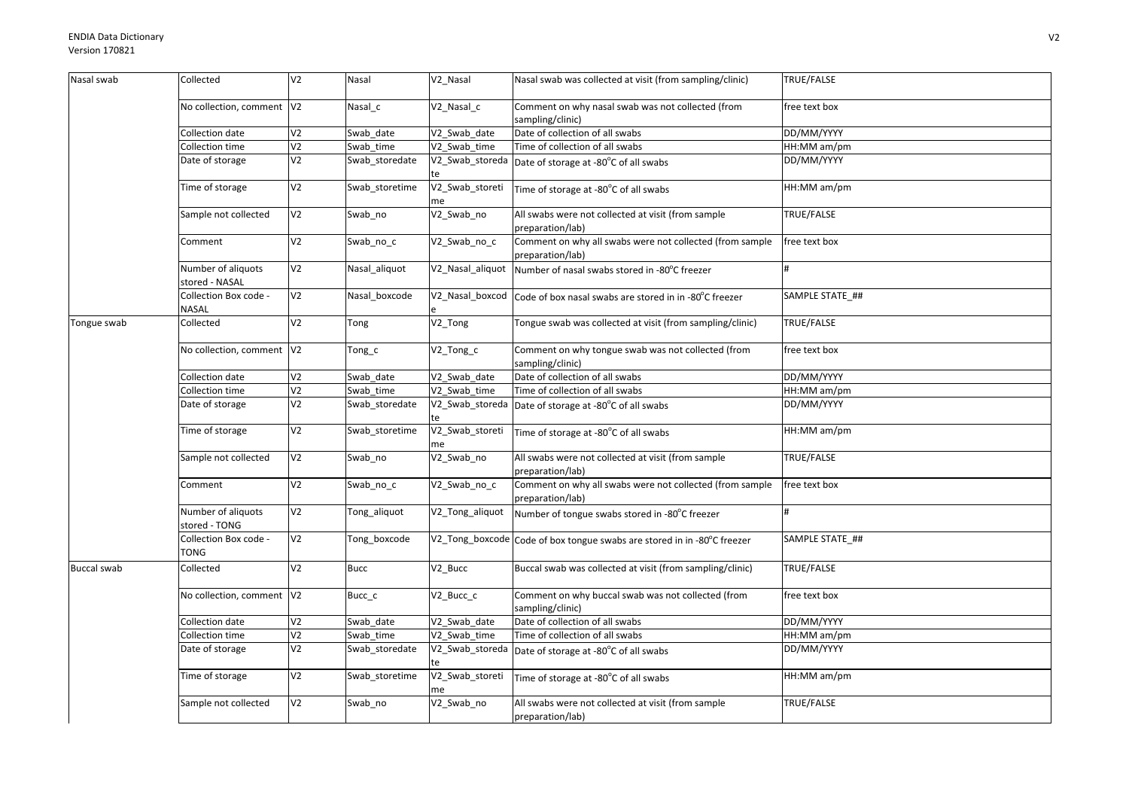| Nasal swab         | Collected                             | V <sub>2</sub>  | Nasal          | V2_Nasal              | Nasal swab was collected at visit (from sampling/clinic)                     | TRUE/FALSE      |
|--------------------|---------------------------------------|-----------------|----------------|-----------------------|------------------------------------------------------------------------------|-----------------|
|                    | No collection, comment V2             |                 | Nasal c        | V2_Nasal_c            | Comment on why nasal swab was not collected (from<br>sampling/clinic)        | free text box   |
|                    | Collection date                       | $\overline{V}$  | Swab date      | V2_Swab_date          | Date of collection of all swabs                                              | DD/MM/YYYY      |
|                    | Collection time                       | V <sub>2</sub>  | Swab time      | V2 Swab time          | Time of collection of all swabs                                              | HH:MM am/pm     |
|                    | Date of storage                       | V <sub>2</sub>  | Swab_storedate | V2_Swab_storeda       | Date of storage at -80°C of all swabs                                        | DD/MM/YYYY      |
|                    | Time of storage                       | V <sub>2</sub>  | Swab_storetime | V2_Swab_storeti<br>me | Time of storage at -80°C of all swabs                                        | HH:MM am/pm     |
|                    | Sample not collected                  | V <sub>2</sub>  | Swab_no        | V2_Swab_no            | All swabs were not collected at visit (from sample<br>preparation/lab)       | TRUE/FALSE      |
|                    | Comment                               | V <sub>2</sub>  | Swab_no_c      | V2_Swab_no_c          | Comment on why all swabs were not collected (from sample<br>preparation/lab) | free text box   |
|                    | Number of aliquots<br>stored - NASAL  | V <sub>2</sub>  | Nasal_aliquot  | V2_Nasal_aliquot      | Number of nasal swabs stored in -80°C freezer                                |                 |
|                    | Collection Box code -<br><b>NASAL</b> | V <sub>2</sub>  | Nasal boxcode  | V2_Nasal_boxcod       | Code of box nasal swabs are stored in in -80°C freezer                       | SAMPLE STATE_## |
| Tongue swab        | Collected                             | $\overline{V}$  | Tong           | V2_Tong               | Tongue swab was collected at visit (from sampling/clinic)                    | TRUE/FALSE      |
|                    | No collection, comment V2             |                 | Tong_c         | V2_Tong_c             | Comment on why tongue swab was not collected (from<br>sampling/clinic)       | free text box   |
|                    | Collection date                       | V <sub>2</sub>  | Swab_date      | V2_Swab_date          | Date of collection of all swabs                                              | DD/MM/YYYY      |
|                    | Collection time                       | V <sub>2</sub>  | Swab time      | V2 Swab time          | Time of collection of all swabs                                              | HH:MM am/pm     |
|                    | Date of storage                       | V <sub>2</sub>  | Swab storedate | V2_Swab_storeda       | Date of storage at -80°C of all swabs                                        | DD/MM/YYYY      |
|                    | Time of storage                       | V <sub>2</sub>  | Swab storetime | V2_Swab_storeti<br>me | Time of storage at -80°C of all swabs                                        | HH:MM am/pm     |
|                    | Sample not collected                  | V <sub>2</sub>  | Swab_no        | V2_Swab_no            | All swabs were not collected at visit (from sample<br>preparation/lab)       | TRUE/FALSE      |
|                    | Comment                               | V <sub>2</sub>  | Swab_no_c      | V2_Swab_no_c          | Comment on why all swabs were not collected (from sample<br>preparation/lab) | free text box   |
|                    | Number of aliquots<br>stored - TONG   | V <sub>2</sub>  | Tong_aliquot   | V2_Tong_aliquot       | Number of tongue swabs stored in -80°C freezer                               |                 |
|                    | Collection Box code -<br>TONG         | V <sub>2</sub>  | Tong boxcode   |                       | V2_Tong_boxcode Code of box tongue swabs are stored in in -80°C freezer      | SAMPLE STATE ## |
| <b>Buccal swab</b> | Collected                             | V <sub>2</sub>  | <b>Bucc</b>    | V2 Bucc               | Buccal swab was collected at visit (from sampling/clinic)                    | TRUE/FALSE      |
|                    | No collection, comment V2             |                 | Bucc_c         | V2 Bucc c             | Comment on why buccal swab was not collected (from<br>sampling/clinic)       | free text box   |
|                    | Collection date                       | V <sub>2</sub>  | Swab date      | V2 Swab date          | Date of collection of all swabs                                              | DD/MM/YYYY      |
|                    | Collection time                       | V <sub>2</sub>  | Swab time      | V2 Swab time          | Time of collection of all swabs                                              | HH:MM am/pm     |
|                    | Date of storage                       | $\overline{V}$  | Swab_storedate | V2_Swab_storeda       | Date of storage at -80°C of all swabs                                        | DD/MM/YYYY      |
|                    | Time of storage                       | $\overline{V2}$ | Swab_storetime | V2_Swab_storeti<br>me | Time of storage at -80°C of all swabs                                        | HH:MM am/pm     |
|                    | Sample not collected                  | V <sub>2</sub>  | Swab_no        | V2_Swab_no            | All swabs were not collected at visit (from sample<br>preparation/lab)       | TRUE/FALSE      |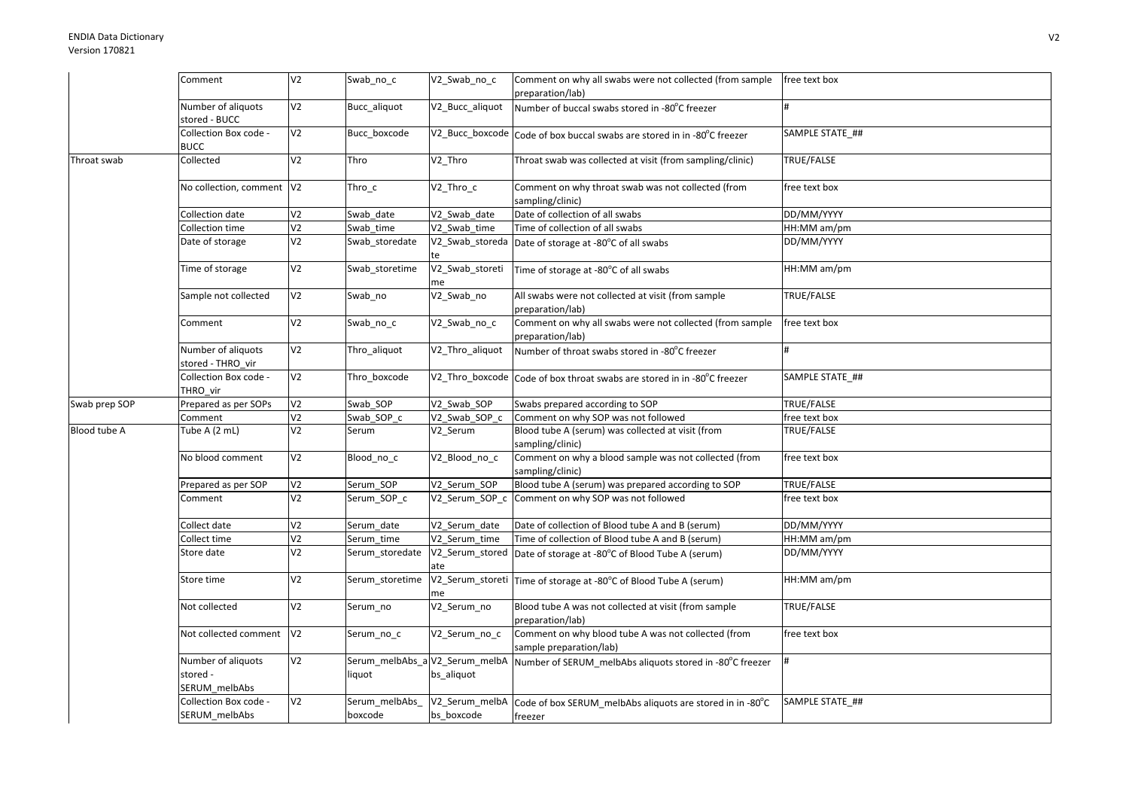|               | Comment                                         | V <sub>2</sub> | Swab_no_c                                | V2_Swab_no_c                 | Comment on why all swabs were not collected (from sample<br>preparation/lab)   | free text box     |
|---------------|-------------------------------------------------|----------------|------------------------------------------|------------------------------|--------------------------------------------------------------------------------|-------------------|
|               | Number of aliquots<br>stored - BUCC             | V <sub>2</sub> | Bucc_aliquot                             | V2_Bucc_aliquot              | Number of buccal swabs stored in -80°C freezer                                 |                   |
|               | Collection Box code -<br><b>BUCC</b>            | V <sub>2</sub> | Bucc boxcode                             |                              | V2_Bucc_boxcode Code of box buccal swabs are stored in in -80°C freezer        | SAMPLE STATE ##   |
| Throat swab   | Collected                                       | V <sub>2</sub> | Thro                                     | V2 Thro                      | Throat swab was collected at visit (from sampling/clinic)                      | TRUE/FALSE        |
|               | No collection, comment V2                       |                | Thro_c                                   | V2_Thro_c                    | Comment on why throat swab was not collected (from<br>sampling/clinic)         | free text box     |
|               | Collection date                                 | V <sub>2</sub> | Swab date                                | V2_Swab_date                 | Date of collection of all swabs                                                | DD/MM/YYYY        |
|               | Collection time                                 | V <sub>2</sub> | Swab_time                                | V2 Swab time                 | Time of collection of all swabs                                                | HH:MM am/pm       |
|               | Date of storage                                 | V <sub>2</sub> | Swab_storedate                           | V2_Swab_storeda<br>te        | Date of storage at -80°C of all swabs                                          | DD/MM/YYYY        |
|               | Time of storage                                 | V <sub>2</sub> | Swab storetime                           | V2_Swab_storeti<br>me        | Time of storage at -80°C of all swabs                                          | HH:MM am/pm       |
|               | Sample not collected                            | V <sub>2</sub> | Swab no                                  | V2 Swab no                   | All swabs were not collected at visit (from sample<br>preparation/lab)         | TRUE/FALSE        |
|               | Comment                                         | V <sub>2</sub> | Swab_no_c                                | V2_Swab_no_c                 | Comment on why all swabs were not collected (from sample<br>preparation/lab)   | free text box     |
|               | Number of aliquots<br>stored - THRO vir         | V <sub>2</sub> | Thro_aliquot                             | V2_Thro_aliquot              | Number of throat swabs stored in -80°C freezer                                 |                   |
|               | Collection Box code -<br>THRO vir               | V <sub>2</sub> | Thro_boxcode                             |                              | V2_Thro_boxcode Code of box throat swabs are stored in in -80°C freezer        | SAMPLE STATE_##   |
| Swab prep SOP | Prepared as per SOPs                            | V <sub>2</sub> | Swab SOP                                 | V2 Swab SOP                  | Swabs prepared according to SOP                                                | TRUE/FALSE        |
|               | Comment                                         | V <sub>2</sub> | Swab SOP c                               | V2 Swab SOP c                | Comment on why SOP was not followed                                            | free text box     |
| Blood tube A  | Tube A (2 mL)                                   | V <sub>2</sub> | Serum                                    | V2 Serum                     | Blood tube A (serum) was collected at visit (from<br>sampling/clinic)          | TRUE/FALSE        |
|               | No blood comment                                | V <sub>2</sub> | Blood_no_c                               | V2_Blood_no_c                | Comment on why a blood sample was not collected (from<br>sampling/clinic)      | free text box     |
|               | Prepared as per SOP                             | V <sub>2</sub> | Serum SOP                                | V2 Serum SOP                 | Blood tube A (serum) was prepared according to SOP                             | TRUE/FALSE        |
|               | Comment                                         | V <sub>2</sub> | Serum_SOP_c                              |                              | V2_Serum_SOP_c Comment on why SOP was not followed                             | free text box     |
|               | Collect date                                    | V <sub>2</sub> | Serum date                               | V2_Serum_date                | Date of collection of Blood tube A and B (serum)                               | DD/MM/YYYY        |
|               | Collect time                                    | V <sub>2</sub> | Serum time                               | V2_Serum_time                | Time of collection of Blood tube A and B (serum)                               | HH:MM am/pm       |
|               | Store date                                      | V <sub>2</sub> | Serum storedate                          | ate                          | V2_Serum_stored Date of storage at -80°C of Blood Tube A (serum)               | DD/MM/YYYY        |
|               | Store time                                      | V <sub>2</sub> | Serum_storetime                          | me                           | V2_Serum_storeti Time of storage at -80°C of Blood Tube A (serum)              | HH:MM am/pm       |
|               | Not collected                                   | V <sub>2</sub> | Serum_no                                 | V2_Serum_no                  | Blood tube A was not collected at visit (from sample<br>preparation/lab)       | <b>TRUE/FALSE</b> |
|               | Not collected comment                           | V <sub>2</sub> | Serum_no_c                               | V2_Serum_no_c                | Comment on why blood tube A was not collected (from<br>sample preparation/lab) | free text box     |
|               | Number of aliquots<br>stored -<br>SERUM_melbAbs | V <sub>2</sub> | Serum_melbAbs_a V2_Serum_melbA<br>liquot | bs_aliquot                   | Number of SERUM_melbAbs aliquots stored in -80°C freezer                       |                   |
|               | Collection Box code -<br>SERUM_melbAbs          | V <sub>2</sub> | Serum_melbAbs<br>boxcode                 | V2_Serum_melbA<br>bs boxcode | Code of box SERUM_melbAbs aliquots are stored in in -80°C<br>freezer           | SAMPLE STATE_##   |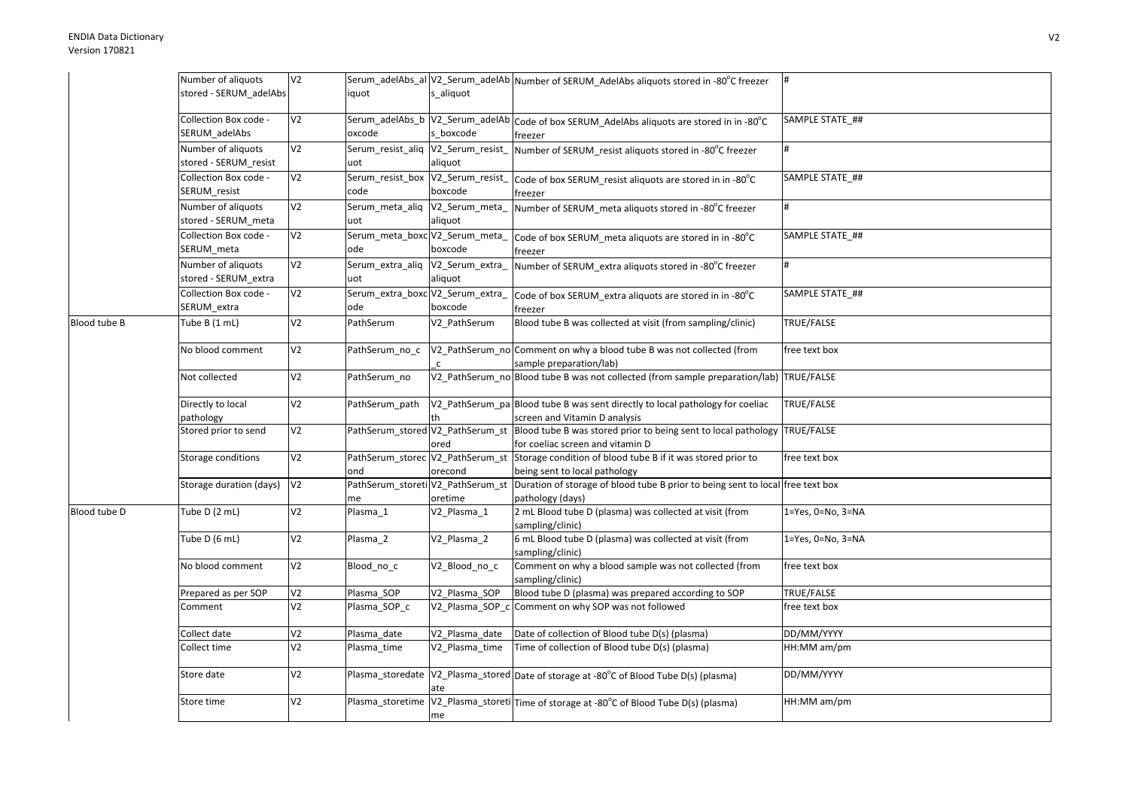|              | Number of aliquots      | V <sub>2</sub> |                                   |                                  | Serum_adelAbs_al V2_Serum_adelAb Number of SERUM_AdelAbs aliquots stored in -80°C freezer       | #                         |
|--------------|-------------------------|----------------|-----------------------------------|----------------------------------|-------------------------------------------------------------------------------------------------|---------------------------|
|              | stored - SERUM_adelAbs  |                | iquot                             | s_aliquot                        |                                                                                                 |                           |
|              |                         |                |                                   |                                  |                                                                                                 |                           |
|              | Collection Box code -   | V <sub>2</sub> |                                   |                                  | Serum_adelAbs_b  V2_Serum_adelAb  Code of box SERUM_AdelAbs aliquots are stored in in -80°C     | SAMPLE STATE_##           |
|              | SERUM_adelAbs           |                | oxcode                            | s boxcode                        | freezer                                                                                         |                           |
|              | Number of aliquots      | V <sub>2</sub> |                                   |                                  | Serum_resist_aliq V2_Serum_resist_ Number of SERUM_resist aliquots stored in -80°C freezer      | $\#$                      |
|              | stored - SERUM_resist   |                | uot                               | aliquot                          |                                                                                                 |                           |
|              |                         |                |                                   |                                  |                                                                                                 |                           |
|              | Collection Box code -   | V <sub>2</sub> | Serum_resist_box V2_Serum_resist_ |                                  | Code of box SERUM_resist aliquots are stored in in -80°C                                        | SAMPLE STATE ##           |
|              | SERUM resist            |                | code                              | boxcode                          | freezer                                                                                         |                           |
|              | Number of aliquots      | V <sub>2</sub> | Serum_meta_aliq                   | V2_Serum_meta_                   | Number of SERUM meta aliquots stored in -80°C freezer                                           | #                         |
|              | stored - SERUM_meta     |                | uot                               | aliquot                          |                                                                                                 |                           |
|              | Collection Box code -   | V <sub>2</sub> | Serum_meta_boxc V2_Serum_meta_    |                                  | Code of box SERUM_meta aliquots are stored in in -80°C                                          | SAMPLE STATE ##           |
|              | SERUM_meta              |                | ode                               | boxcode                          | freezer                                                                                         |                           |
|              | Number of aliquots      | V <sub>2</sub> | Serum_extra_aliq                  | V2_Serum_extra_                  | Number of SERUM extra aliquots stored in -80°C freezer                                          | #                         |
|              | stored - SERUM_extra    |                | uot                               | aliquot                          |                                                                                                 |                           |
|              | Collection Box code -   | V <sub>2</sub> | Serum_extra_boxc V2_Serum_extra_  |                                  |                                                                                                 | SAMPLE STATE_##           |
|              | SERUM_extra             |                | ode                               | boxcode                          | Code of box SERUM extra aliquots are stored in in -80°C                                         |                           |
|              |                         |                |                                   |                                  | freezer                                                                                         |                           |
| Blood tube B | Tube B (1 mL)           | V <sub>2</sub> | PathSerum                         | V2 PathSerum                     | Blood tube B was collected at visit (from sampling/clinic)                                      | TRUE/FALSE                |
|              |                         |                |                                   |                                  |                                                                                                 |                           |
|              | No blood comment        | V <sub>2</sub> | PathSerum no c                    |                                  | V2_PathSerum_no Comment on why a blood tube B was not collected (from                           | free text box             |
|              |                         |                |                                   | $\mathsf{C}$                     | sample preparation/lab)                                                                         |                           |
|              | Not collected           | V <sub>2</sub> | PathSerum_no                      |                                  | V2_PathSerum_no Blood tube B was not collected (from sample preparation/lab) TRUE/FALSE         |                           |
|              |                         |                |                                   |                                  |                                                                                                 |                           |
|              | Directly to local       | V <sub>2</sub> | PathSerum path                    |                                  | V2_PathSerum_pa Blood tube B was sent directly to local pathology for coeliac                   | TRUE/FALSE                |
|              | pathology               |                |                                   |                                  | screen and Vitamin D analysis                                                                   |                           |
|              | Stored prior to send    | V <sub>2</sub> |                                   |                                  | PathSerum_stored V2_PathSerum_st Blood tube B was stored prior to being sent to local pathology | TRUE/FALSE                |
|              |                         |                |                                   | ored                             | for coeliac screen and vitamin D                                                                |                           |
|              | Storage conditions      | V <sub>2</sub> |                                   | PathSerum_storec V2_PathSerum_st | Storage condition of blood tube B if it was stored prior to                                     | free text box             |
|              |                         |                | ond                               | orecond                          | being sent to local pathology                                                                   |                           |
|              | Storage duration (days) | V <sub>2</sub> | PathSerum_storeti V2_PathSerum_st |                                  | Duration of storage of blood tube B prior to being sent to local free text box                  |                           |
|              |                         |                | me                                | oretime                          | pathology (days)                                                                                |                           |
| Blood tube D | Tube D (2 mL)           | V <sub>2</sub> | Plasma 1                          | V2_Plasma_1                      | 2 mL Blood tube D (plasma) was collected at visit (from                                         | $1 = Yes, 0 = No, 3 = NA$ |
|              |                         |                |                                   |                                  | sampling/clinic)                                                                                |                           |
|              | Tube D (6 mL)           | V <sub>2</sub> | Plasma 2                          | V2 Plasma 2                      | 6 mL Blood tube D (plasma) was collected at visit (from                                         | $1 = Yes, 0 = No, 3 = NA$ |
|              |                         |                |                                   |                                  | sampling/clinic)                                                                                |                           |
|              | No blood comment        | V <sub>2</sub> | Blood no c                        | V2 Blood no c                    | Comment on why a blood sample was not collected (from                                           | free text box             |
|              |                         |                |                                   |                                  | sampling/clinic)                                                                                |                           |
|              | Prepared as per SOP     | V <sub>2</sub> | Plasma SOP                        | V2 Plasma SOP                    | Blood tube D (plasma) was prepared according to SOP                                             | TRUE/FALSE                |
|              | Comment                 | V <sub>2</sub> | Plasma_SOP_c                      | V2 Plasma SOP c                  | Comment on why SOP was not followed                                                             | free text box             |
|              |                         |                |                                   |                                  |                                                                                                 |                           |
|              | Collect date            | V <sub>2</sub> | Plasma date                       | V2 Plasma date                   | Date of collection of Blood tube D(s) (plasma)                                                  | DD/MM/YYYY                |
|              | Collect time            | V <sub>2</sub> | Plasma_time                       | V2_Plasma_time                   | Time of collection of Blood tube D(s) (plasma)                                                  | HH:MM am/pm               |
|              |                         |                |                                   |                                  |                                                                                                 |                           |
|              | Store date              | V <sub>2</sub> |                                   |                                  | Plasma_storedate V2_Plasma_stored Date of storage at -80°C of Blood Tube D(s) (plasma)          | DD/MM/YYYY                |
|              |                         |                |                                   | ate                              |                                                                                                 |                           |
|              | Store time              | V <sub>2</sub> | Plasma_storetime                  |                                  | V2_Plasma_storeti Time of storage at -80°C of Blood Tube D(s) (plasma)                          | HH:MM am/pm               |
|              |                         |                |                                   | me                               |                                                                                                 |                           |
|              |                         |                |                                   |                                  |                                                                                                 |                           |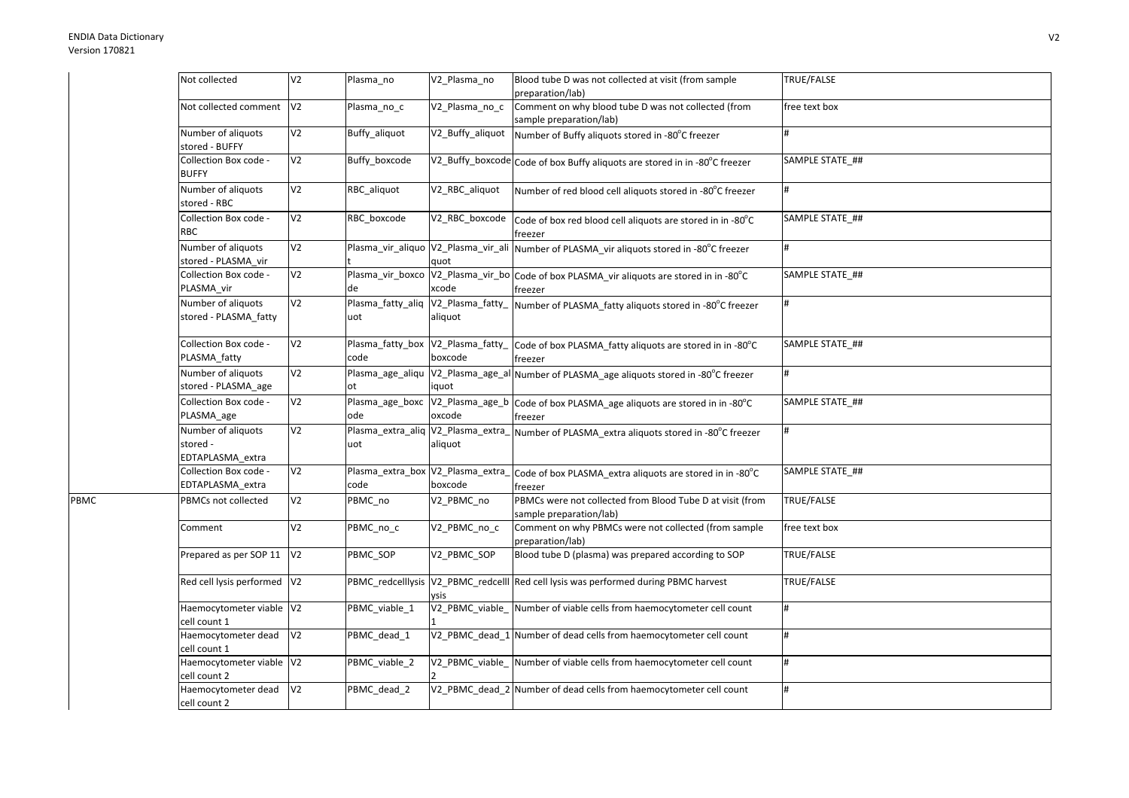PBMC

| Not collected                                      | V <sub>2</sub> | Plasma_no                                 | V2 Plasma no     | Blood tube D was not collected at visit (from sample<br>preparation/lab)                              | TRUE/FALSE      |
|----------------------------------------------------|----------------|-------------------------------------------|------------------|-------------------------------------------------------------------------------------------------------|-----------------|
| Not collected comment                              | V <sub>2</sub> | Plasma no c                               | V2 Plasma no c   | Comment on why blood tube D was not collected (from<br>sample preparation/lab)                        | free text box   |
| Number of aliquots<br>stored - BUFFY               | V <sub>2</sub> | Buffy aliquot                             | V2_Buffy_aliquot | Number of Buffy aliquots stored in -80°C freezer                                                      | #               |
| Collection Box code -<br><b>BUFFY</b>              | V <sub>2</sub> | Buffy boxcode                             |                  | V2_Buffy_boxcode Code of box Buffy aliquots are stored in in -80°C freezer                            | SAMPLE STATE ## |
| Number of aliquots<br>stored - RBC                 | V <sub>2</sub> | RBC_aliquot                               | V2_RBC_aliquot   | Number of red blood cell aliquots stored in -80°C freezer                                             | <sup>#</sup>    |
| Collection Box code -<br><b>RBC</b>                | V <sub>2</sub> | RBC boxcode                               | V2_RBC_boxcode   | Code of box red blood cell aliquots are stored in in -80°C<br>freezer                                 | SAMPLE STATE ## |
| Number of aliquots<br>stored - PLASMA_vir          | V <sub>2</sub> |                                           | quot             | Plasma_vir_aliquo V2_Plasma_vir_ali   Number of PLASMA_vir aliquots stored in -80°C freezer           | #               |
| Collection Box code -<br>PLASMA vir                | V <sub>2</sub> | de                                        | xcode            | Plasma_vir_boxco  V2_Plasma_vir_bo  Code of box PLASMA_vir aliquots are stored in in -80°C<br>freezer | SAMPLE STATE ## |
| Number of aliquots<br>stored - PLASMA fatty        | V <sub>2</sub> | Plasma_fatty_aliq V2_Plasma_fatty_<br>uot | aliquot          | Number of PLASMA_fatty aliquots stored in -80°C freezer                                               | $\#$            |
| Collection Box code -<br>PLASMA fatty              | V <sub>2</sub> | Plasma_fatty_box V2_Plasma_fatty_<br>code | boxcode          | Code of box PLASMA_fatty aliquots are stored in in -80°C<br>freezer                                   | SAMPLE STATE ## |
| Number of aliquots<br>stored - PLASMA age          | V <sub>2</sub> | ot                                        | iquot            | Plasma_age_aliqu  V2_Plasma_age_al Number of PLASMA_age aliquots stored in -80°C freezer              | #               |
| Collection Box code -<br>PLASMA_age                | V <sub>2</sub> | Plasma age boxc<br>ode                    | oxcode           | V2_Plasma_age_b Code of box PLASMA_age aliquots are stored in in -80°C<br>freezer                     | SAMPLE STATE ## |
| Number of aliquots<br>stored -<br>EDTAPLASMA_extra | V <sub>2</sub> | uot                                       | aliquot          | Plasma_extra_aliq  V2_Plasma_extra_ Number of PLASMA_extra aliquots stored in -80°C freezer           | #               |
| Collection Box code -<br>EDTAPLASMA_extra          | V <sub>2</sub> | Plasma_extra_box V2_Plasma_extra_<br>code | boxcode          | Code of box PLASMA_extra aliquots are stored in in -80°C<br>freezer                                   | SAMPLE STATE ## |
| PBMCs not collected                                | V <sub>2</sub> | PBMC_no                                   | V2_PBMC_no       | PBMCs were not collected from Blood Tube D at visit (from<br>sample preparation/lab)                  | TRUE/FALSE      |
| Comment                                            | V <sub>2</sub> | PBMC_no_c                                 | V2_PBMC_no_c     | Comment on why PBMCs were not collected (from sample<br>preparation/lab)                              | free text box   |
| Prepared as per SOP 11                             | V <sub>2</sub> | PBMC_SOP                                  | V2_PBMC_SOP      | Blood tube D (plasma) was prepared according to SOP                                                   | TRUE/FALSE      |
| Red cell lysis performed                           | V <sub>2</sub> |                                           | vsis             | PBMC_redcelllysis  V2_PBMC_redcelll Red cell lysis was performed during PBMC harvest                  | TRUE/FALSE      |
| Haemocytometer viable V2<br>cell count 1           |                | PBMC_viable_1                             |                  | V2 PBMC viable Number of viable cells from haemocytometer cell count                                  | #               |
| Haemocytometer dead<br>cell count 1                | V <sub>2</sub> | PBMC dead 1                               |                  | V2_PBMC_dead_1 Number of dead cells from haemocytometer cell count                                    | #               |
| Haemocytometer viable V2<br>cell count 2           |                | PBMC_viable_2                             |                  | V2 PBMC viable Number of viable cells from haemocytometer cell count                                  | #               |
| Haemocytometer dead<br>cell count 2                | V <sub>2</sub> | PBMC dead 2                               |                  | V2_PBMC_dead_2 Number of dead cells from haemocytometer cell count                                    | $\#$            |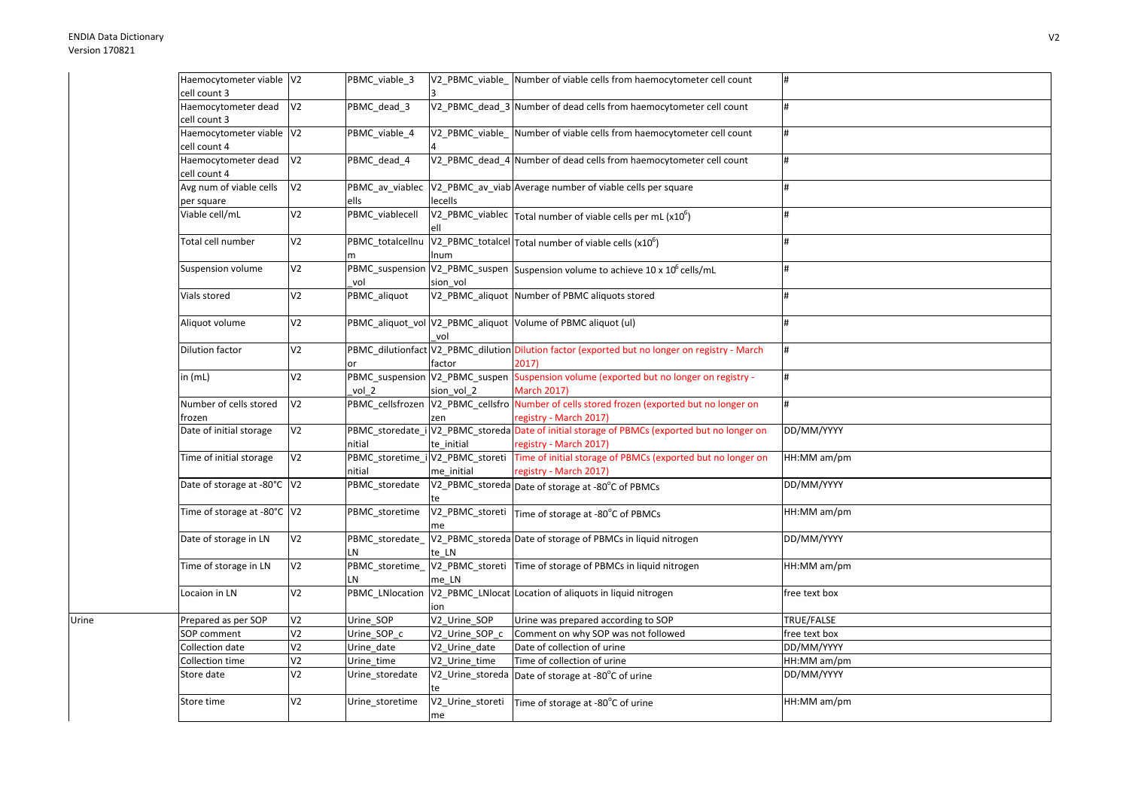Urine

| Haemocytometer viable V2     |                | PBMC_viable_3                    |                  | V2 PBMC viable Number of viable cells from haemocytometer cell count                           | l#            |
|------------------------------|----------------|----------------------------------|------------------|------------------------------------------------------------------------------------------------|---------------|
| cell count 3                 |                |                                  |                  |                                                                                                |               |
| Haemocytometer dead          | V <sub>2</sub> | PBMC dead 3                      |                  | V2_PBMC_dead_3 Number of dead cells from haemocytometer cell count                             | #             |
| cell count 3                 |                |                                  |                  |                                                                                                |               |
| Haemocytometer viable V2     |                | PBMC_viable_4                    |                  | V2 PBMC viable Number of viable cells from haemocytometer cell count                           | #             |
| cell count 4                 |                |                                  |                  |                                                                                                |               |
| Haemocytometer dead          | V <sub>2</sub> | PBMC dead 4                      |                  | V2_PBMC_dead_4 Number of dead cells from haemocytometer cell count                             | #             |
| cell count 4                 |                |                                  |                  |                                                                                                |               |
| Avg num of viable cells      | V <sub>2</sub> | PBMC av viablec                  |                  | V2 PBMC av viab Average number of viable cells per square                                      | #             |
| per square                   |                | ells                             | lecells          |                                                                                                |               |
| Viable cell/mL               | V <sub>2</sub> | PBMC_viablecell                  |                  | V2_PBMC_viablec $\vert$ Total number of viable cells per mL (x10 <sup>6</sup> )                |               |
|                              |                |                                  |                  |                                                                                                |               |
| Total cell number            | V <sub>2</sub> | PBMC_totalcellnu                 |                  | $V2$ <sub>-PBMC</sub> totalcel Total number of viable cells (x10 <sup>6</sup> )                |               |
|                              |                | m                                | Inum             |                                                                                                |               |
| Suspension volume            | V <sub>2</sub> |                                  |                  | PBMC_suspension V2_PBMC_suspen Suspension volume to achieve 10 x 10 <sup>6</sup> cells/mL      | #             |
|                              |                | vol                              | sion vol         |                                                                                                |               |
| Vials stored                 | V <sub>2</sub> | PBMC_aliquot                     |                  | V2 PBMC aliquot Number of PBMC aliquots stored                                                 |               |
|                              |                |                                  |                  |                                                                                                |               |
| Aliquot volume               | V <sub>2</sub> |                                  |                  | PBMC_aliquot_vol V2_PBMC_aliquot Volume of PBMC aliquot (ul)                                   |               |
|                              |                |                                  | vol              |                                                                                                |               |
| Dilution factor              | V <sub>2</sub> |                                  |                  | PBMC_dilutionfact V2_PBMC_dilution Dilution factor (exported but no longer on registry - March |               |
|                              |                | or                               | factor           | 2017                                                                                           |               |
| in $(mL)$                    | V <sub>2</sub> |                                  |                  | PBMC_suspension V2_PBMC_suspen Suspension volume (exported but no longer on registry -         | #             |
|                              |                | vol 2                            | sion vol 2       | <b>March 2017)</b>                                                                             |               |
| Number of cells stored       | V <sub>2</sub> |                                  |                  | PBMC_cellsfrozen V2_PBMC_cellsfro Number of cells stored frozen (exported but no longer on     | #             |
| frozen                       |                |                                  | zen              | registry - March 2017)                                                                         |               |
| Date of initial storage      | V <sub>2</sub> |                                  |                  | PBMC_storedate_i V2_PBMC_storeda Date of initial storage of PBMCs (exported but no longer on   | DD/MM/YYYY    |
|                              |                | nitial                           | te initial       | registry - March 2017)                                                                         |               |
| Time of initial storage      | V <sub>2</sub> | PBMC_storetime_i V2_PBMC_storeti |                  | Time of initial storage of PBMCs (exported but no longer on                                    | HH:MM am/pm   |
|                              |                | nitial                           | me initial       | registry - March 2017)                                                                         |               |
| Date of storage at -80°C  V2 |                | PBMC_storedate                   |                  | V2_PBMC_storeda Date of storage at -80°C of PBMCs                                              | DD/MM/YYYY    |
|                              |                |                                  |                  |                                                                                                |               |
| Time of storage at -80°C V2  |                | PBMC storetime                   |                  | V2_PBMC_storeti Time of storage at -80°C of PBMCs                                              | HH:MM am/pm   |
|                              |                |                                  | me               |                                                                                                |               |
| Date of storage in LN        | V <sub>2</sub> | PBMC_storedate_                  |                  | V2_PBMC_storeda Date of storage of PBMCs in liquid nitrogen                                    | DD/MM/YYYY    |
|                              |                | LN                               | te LN            |                                                                                                |               |
| Time of storage in LN        | V <sub>2</sub> | PBMC_storetime_                  |                  | V2_PBMC_storeti Time of storage of PBMCs in liquid nitrogen                                    | HH:MM am/pm   |
|                              |                | LN                               | me LN            |                                                                                                |               |
| Locaion in LN                | V <sub>2</sub> | PBMC_LNlocation                  |                  | V2_PBMC_LNlocat Location of aliquots in liquid nitrogen                                        | free text box |
|                              |                |                                  | ion              |                                                                                                |               |
| Prepared as per SOP          | V <sub>2</sub> | Urine_SOP                        | V2_Urine_SOP     | Urine was prepared according to SOP                                                            | TRUE/FALSE    |
| SOP comment                  | V <sub>2</sub> | Urine_SOP_c                      | V2_Urine_SOP_c   | Comment on why SOP was not followed                                                            | free text box |
| Collection date              | V <sub>2</sub> | Urine date                       | V2_Urine_date    | Date of collection of urine                                                                    | DD/MM/YYYY    |
| Collection time              | V <sub>2</sub> | Urine time                       | V2 Urine time    | Time of collection of urine                                                                    | HH:MM am/pm   |
| Store date                   | V <sub>2</sub> | Urine_storedate                  |                  | V2_Urine_storeda Date of storage at -80°C of urine                                             | DD/MM/YYYY    |
|                              |                |                                  |                  |                                                                                                |               |
| Store time                   | V <sub>2</sub> | Urine_storetime                  | V2_Urine_storeti | Time of storage at -80°C of urine                                                              | HH:MM am/pm   |
|                              |                |                                  | me               |                                                                                                |               |
|                              |                |                                  |                  |                                                                                                |               |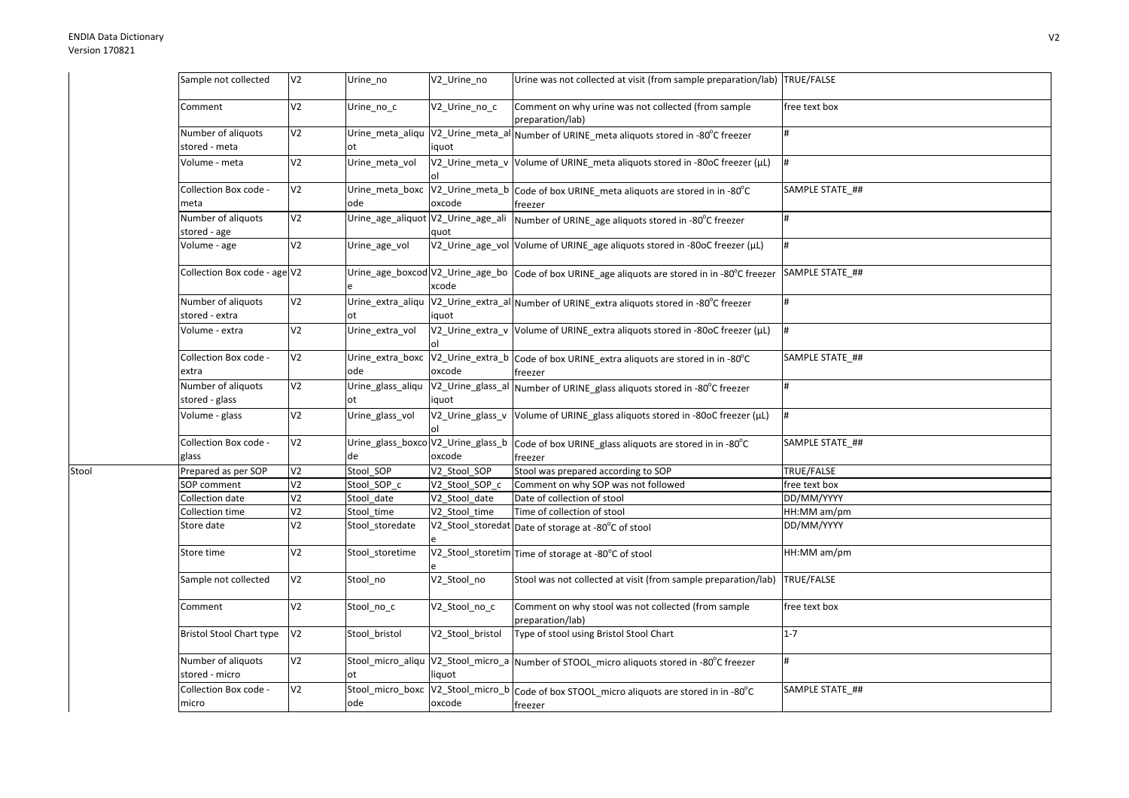Stool

| Sample not collected                 | V <sub>2</sub> | Urine no                                 | V2 Urine no                                | Urine was not collected at visit (from sample preparation/lab) TRUE/FALSE                              |                 |
|--------------------------------------|----------------|------------------------------------------|--------------------------------------------|--------------------------------------------------------------------------------------------------------|-----------------|
| Comment                              | V <sub>2</sub> | Urine no c                               | V2_Urine_no_c                              | Comment on why urine was not collected (from sample<br>preparation/lab)                                | free text box   |
| Number of aliquots<br>stored - meta  | V <sub>2</sub> | ot                                       | iquot                                      | Urine_meta_aliqu  V2_Urine_meta_al Number of URINE_meta aliquots stored in -80°C freezer               | #               |
| Volume - meta                        | V <sub>2</sub> | Urine_meta_vol                           |                                            | V2_Urine_meta_v Volume of URINE_meta aliquots stored in -80oC freezer (µL)                             | l#              |
| Collection Box code -<br>meta        | V <sub>2</sub> | Urine_meta_boxc<br>ode                   | oxcode                                     | V2_Urine_meta_b Code of box URINE_meta aliquots are stored in in -80°C<br>freezer                      | SAMPLE STATE ## |
| Number of aliquots<br>stored - age   | V <sub>2</sub> |                                          | Urine_age_aliquot V2_Urine_age_ali<br>quot | Number of URINE_age aliquots stored in -80°C freezer                                                   | #               |
| Volume - age                         | V <sub>2</sub> | Urine_age_vol                            |                                            | V2_Urine_age_vol Volume of URINE_age aliquots stored in -80oC freezer (µL)                             | l#              |
| Collection Box code - age V2         |                |                                          | xcode                                      | Urine_age_boxcod V2_Urine_age_bo  Code of box URINE_age aliquots are stored in in -80°C freezer        | SAMPLE STATE ## |
| Number of aliquots<br>stored - extra | V <sub>2</sub> | Urine extra aliqu<br>ot                  | iquot                                      | V2_Urine_extra_al Number of URINE_extra aliquots stored in -80°C freezer                               | #               |
| Volume - extra                       | V <sub>2</sub> | Urine_extra_vol                          |                                            | V2_Urine_extra_v Volume of URINE_extra aliquots stored in -80oC freezer (µL)                           | #               |
| Collection Box code -<br>extra       | V <sub>2</sub> | Urine_extra_boxc<br>ode                  | oxcode                                     | V2_Urine_extra_b Code of box URINE_extra aliquots are stored in in -80°C<br>freezer                    | SAMPLE STATE ## |
| Number of aliquots<br>stored - glass | V <sub>2</sub> | Urine_glass_aliqu<br>ot                  | iquot                                      | V2_Urine_glass_al Number of URINE_glass aliquots stored in -80°C freezer                               | #               |
| Volume - glass                       | V <sub>2</sub> | Urine_glass_vol                          |                                            | V2_Urine_glass_v  Volume of URINE_glass aliquots stored in -80oC freezer (µL)                          | #               |
| Collection Box code -<br>glass       | V <sub>2</sub> | Urine_glass_boxco V2_Urine_glass_b<br>de | oxcode                                     | Code of box URINE_glass aliquots are stored in in -80°C<br>freezer                                     | SAMPLE STATE ## |
| Prepared as per SOP                  | V <sub>2</sub> | Stool_SOP                                | V2 Stool SOP                               | Stool was prepared according to SOP                                                                    | TRUE/FALSE      |
| SOP comment                          | V <sub>2</sub> | Stool SOP c                              | V2 Stool SOP c                             | Comment on why SOP was not followed                                                                    | free text box   |
| Collection date                      | V <sub>2</sub> | Stool_date                               | V2_Stool_date                              | Date of collection of stool                                                                            | DD/MM/YYYY      |
| Collection time                      | V <sub>2</sub> | Stool time                               | V2 Stool time                              | Time of collection of stool                                                                            | HH:MM am/pm     |
| Store date                           | V <sub>2</sub> | Stool_storedate                          |                                            | V2_Stool_storedat Date of storage at -80°C of stool                                                    | DD/MM/YYYY      |
| Store time                           | V <sub>2</sub> | Stool storetime                          |                                            | V2_Stool_storetim Time of storage at -80°C of stool                                                    | HH:MM am/pm     |
| Sample not collected                 | V <sub>2</sub> | Stool no                                 | V2 Stool no                                | Stool was not collected at visit (from sample preparation/lab) TRUE/FALSE                              |                 |
| Comment                              | V <sub>2</sub> | Stool_no_c                               | V2_Stool_no_c                              | Comment on why stool was not collected (from sample<br>preparation/lab)                                | free text box   |
| <b>Bristol Stool Chart type</b>      | V <sub>2</sub> | Stool_bristol                            | V2_Stool_bristol                           | Type of stool using Bristol Stool Chart                                                                | $1 - 7$         |
| Number of aliquots<br>stored - micro | V <sub>2</sub> | ot                                       | liquot                                     | Stool_micro_aliqu V2_Stool_micro_a Number of STOOL_micro aliquots stored in -80°C freezer              | #               |
| Collection Box code -<br>micro       | V <sub>2</sub> | ode                                      | oxcode                                     | Stool_micro_boxc  V2_Stool_micro_b  Code of box STOOL_micro aliquots are stored in in -80°C<br>freezer | SAMPLE STATE ## |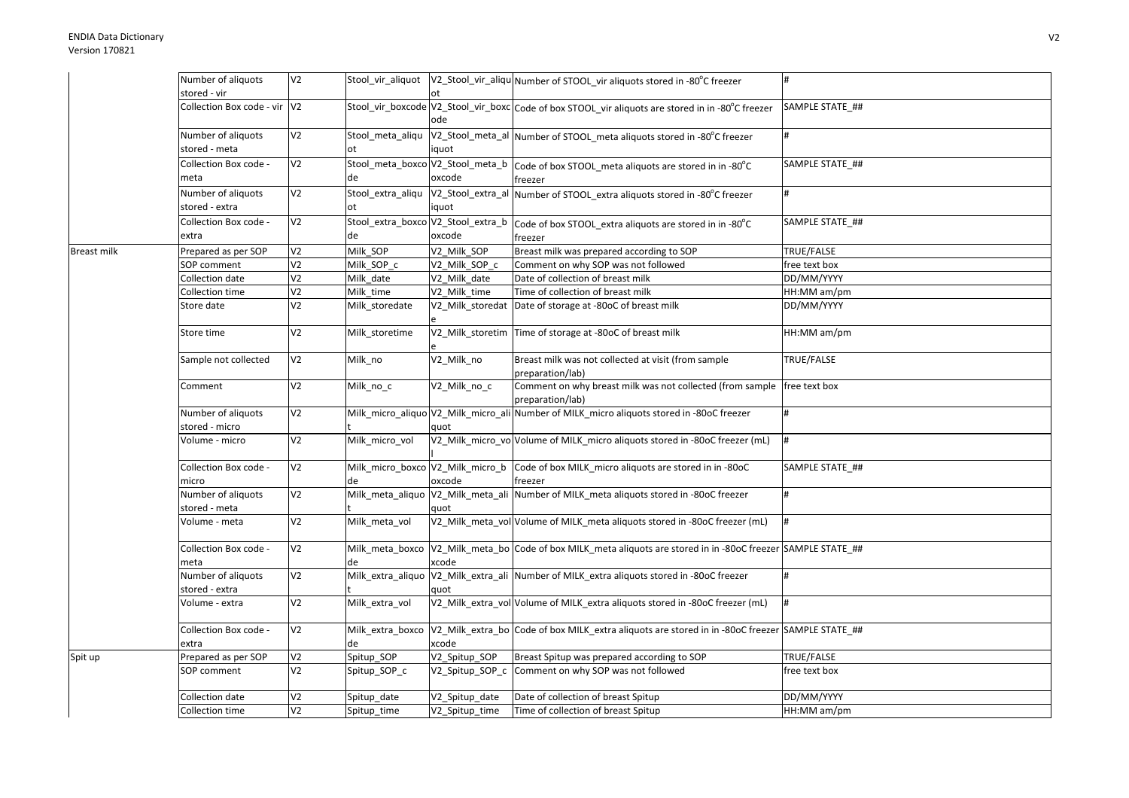|             | Number of aliquots                   | V <sub>2</sub> |                                        |                 | Stool_vir_aliquot  V2_Stool_vir_aliqu Number of STOOL_vir aliquots stored in -80°C freezer                        | #               |
|-------------|--------------------------------------|----------------|----------------------------------------|-----------------|-------------------------------------------------------------------------------------------------------------------|-----------------|
|             | stored - vir                         |                |                                        | l ot            |                                                                                                                   |                 |
|             | Collection Box code - vir V2         |                |                                        | ode             | Stool_vir_boxcode V2_Stool_vir_boxc Code of box STOOL vir aliquots are stored in in -80°C freezer                 | SAMPLE STATE ## |
|             | Number of aliquots<br>stored - meta  | V <sub>2</sub> | Stool meta aliqu<br>ot                 | iquot           | V2_Stool_meta_al Number of STOOL_meta aliquots stored in -80°C freezer                                            | #               |
|             | Collection Box code -<br>meta        | V <sub>2</sub> | Stool_meta_boxco V2_Stool_meta_b<br>de | oxcode          | Code of box STOOL_meta aliquots are stored in in -80°C<br>freezer                                                 | SAMPLE STATE ## |
|             | Number of aliquots                   | V <sub>2</sub> |                                        |                 | Stool_extra_aliqu  V2_Stool_extra_al  Number of STOOL_extra aliquots stored in -80°C freezer                      |                 |
|             | stored - extra                       |                | ot                                     | iquot           |                                                                                                                   |                 |
|             | Collection Box code -                | V <sub>2</sub> | Stool_extra_boxco V2_Stool_extra_b     |                 | Code of box STOOL extra aliquots are stored in in -80°C                                                           | SAMPLE STATE_## |
|             | extra                                |                | de                                     | oxcode          | freezer                                                                                                           |                 |
| Breast milk | Prepared as per SOP                  | V <sub>2</sub> | Milk_SOP                               | V2_Milk_SOP     | Breast milk was prepared according to SOP                                                                         | TRUE/FALSE      |
|             | SOP comment                          | V <sub>2</sub> | Milk SOP c                             | V2 Milk SOP c   | Comment on why SOP was not followed                                                                               | free text box   |
|             | Collection date                      | V <sub>2</sub> | Milk date                              | V2 Milk date    | Date of collection of breast milk                                                                                 | DD/MM/YYYY      |
|             | Collection time                      | V <sub>2</sub> | Milk time                              | V2 Milk time    | Time of collection of breast milk                                                                                 | HH:MM am/pm     |
|             | Store date                           | V <sub>2</sub> | Milk_storedate                         |                 | V2 Milk storedat Date of storage at -80oC of breast milk                                                          | DD/MM/YYYY      |
|             | Store time                           | V <sub>2</sub> | Milk storetime                         |                 | V2_Milk_storetim Time of storage at -80oC of breast milk                                                          | HH:MM am/pm     |
|             | Sample not collected                 | V <sub>2</sub> | Milk_no                                | V2_Milk_no      | Breast milk was not collected at visit (from sample<br>preparation/lab)                                           | TRUE/FALSE      |
|             | Comment                              | V <sub>2</sub> | Milk_no_c                              | V2_Milk_no_c    | Comment on why breast milk was not collected (from sample free text box<br>preparation/lab)                       |                 |
|             | Number of aliquots<br>stored - micro | V <sub>2</sub> |                                        | quot            | Milk_micro_aliquo V2_Milk_micro_ali Number of MILK_micro aliquots stored in -80oC freezer                         |                 |
|             | Volume - micro                       | V <sub>2</sub> | Milk_micro_vol                         |                 | V2_Milk_micro_vo Volume of MILK_micro aliquots stored in -80oC freezer (mL)                                       | #               |
|             | Collection Box code -<br>micro       | V <sub>2</sub> | Milk_micro_boxco V2_Milk_micro_b<br>de | oxcode          | Code of box MILK micro aliquots are stored in in -80oC<br>freezer                                                 | SAMPLE STATE ## |
|             | Number of aliquots                   | V <sub>2</sub> |                                        |                 | Milk_meta_aliquo V2_Milk_meta_ali Number of MILK_meta aliquots stored in -80oC freezer                            | #               |
|             | stored - meta                        |                |                                        | quot            |                                                                                                                   |                 |
|             | Volume - meta                        | V <sub>2</sub> | Milk meta vol                          |                 | V2_Milk_meta_vol Volume of MILK_meta aliquots stored in -80oC freezer (mL)                                        |                 |
|             | Collection Box code -<br>meta        | V <sub>2</sub> | de                                     | xcode           | Milk meta boxco  V2 Milk meta bo Code of box MILK meta aliquots are stored in in -80oC freezer SAMPLE STATE ##    |                 |
|             | Number of aliquots                   | V <sub>2</sub> |                                        |                 | Milk_extra_aliquo V2_Milk_extra_ali Number of MILK_extra aliquots stored in -80oC freezer                         | #               |
|             | stored - extra                       |                |                                        | quot            |                                                                                                                   |                 |
|             | Volume - extra                       | V <sub>2</sub> | Milk_extra_vol                         |                 | V2_Milk_extra_vol Volume of MILK_extra aliquots stored in -80oC freezer (mL)                                      | #               |
|             | Collection Box code -<br>extra       | V <sub>2</sub> | de                                     | xcode           | Milk_extra_boxco  V2_Milk_extra_bo Code of box MILK_extra aliquots are stored in in -80oC freezer SAMPLE STATE_## |                 |
| Spit up     | Prepared as per SOP                  | V <sub>2</sub> | Spitup_SOP                             | V2_Spitup_SOP   | Breast Spitup was prepared according to SOP                                                                       | TRUE/FALSE      |
|             | SOP comment                          | V <sub>2</sub> | Spitup_SOP_c                           | V2_Spitup_SOP_c | Comment on why SOP was not followed                                                                               | free text box   |
|             | Collection date                      | V2             | Spitup date                            | V2 Spitup date  | Date of collection of breast Spitup                                                                               | DD/MM/YYYY      |
|             | Collection time                      | V <sub>2</sub> | Spitup_time                            | V2_Spitup_time  | Time of collection of breast Spitup                                                                               | HH:MM am/pm     |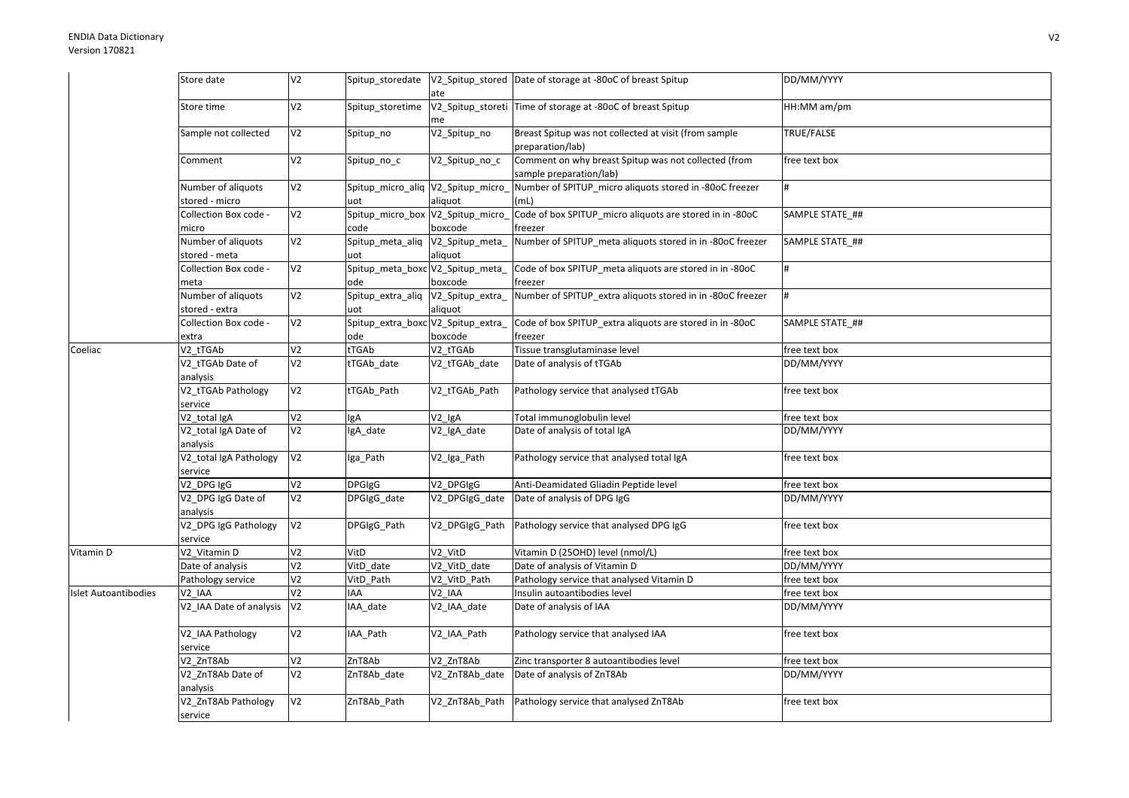|                      | Store date                           | V <sub>2</sub> |                                           | ate                 | Spitup_storedate   V2_Spitup_stored   Date of storage at -80oC of breast Spitup | DD/MM/YYYY        |
|----------------------|--------------------------------------|----------------|-------------------------------------------|---------------------|---------------------------------------------------------------------------------|-------------------|
|                      | Store time                           | V <sub>2</sub> | Spitup_storetime                          | me                  | V2_Spitup_storeti Time of storage at -80oC of breast Spitup                     | HH:MM am/pm       |
|                      | Sample not collected                 | V <sub>2</sub> | Spitup_no                                 | V2_Spitup_no        | Breast Spitup was not collected at visit (from sample<br>preparation/lab)       | <b>TRUE/FALSE</b> |
|                      | Comment                              | V <sub>2</sub> | Spitup_no_c                               | V2_Spitup_no_c      | Comment on why breast Spitup was not collected (from<br>sample preparation/lab) | free text box     |
|                      | Number of aliquots<br>stored - micro | V <sub>2</sub> | Spitup_micro_aliq V2_Spitup_micro<br>uot  | aliquot             | Number of SPITUP_micro aliquots stored in -80oC freezer<br>(mL)                 |                   |
|                      | Collection Box code -<br>micro       | V <sub>2</sub> | Spitup_micro_box V2_Spitup_micro<br>code  | boxcode             | Code of box SPITUP_micro aliquots are stored in in -80oC<br>freezer             | SAMPLE STATE ##   |
|                      | Number of aliquots<br>stored - meta  | V <sub>2</sub> | Spitup_meta_aliq V2_Spitup_meta_<br>uot   | aliquot             | Number of SPITUP_meta aliquots stored in in -80oC freezer                       | SAMPLE STATE ##   |
|                      | Collection Box code -<br>meta        | V <sub>2</sub> | Spitup_meta_boxc V2_Spitup_meta_<br>ode   | boxcode             | Code of box SPITUP meta aliquots are stored in in -80oC<br>freezer              |                   |
|                      | Number of aliquots<br>stored - extra | V <sub>2</sub> | Spitup_extra_aliq V2_Spitup_extra_<br>uot | aliquot             | Number of SPITUP_extra aliquots stored in in -80oC freezer                      |                   |
|                      | Collection Box code -<br>extra       | V <sub>2</sub> | Spitup_extra_boxc V2_Spitup_extra_<br>ode | boxcode             | Code of box SPITUP_extra aliquots are stored in in -80oC<br>freezer             | SAMPLE STATE_##   |
| Coeliac              | V2_tTGAb                             | V <sub>2</sub> | tTGAb                                     | V2_tTGAb            | Tissue transglutaminase level                                                   | free text box     |
|                      | V2_tTGAb Date of                     | V <sub>2</sub> | tTGAb_date                                | V2_tTGAb_date       | Date of analysis of tTGAb                                                       | DD/MM/YYYY        |
|                      | analysis                             |                |                                           |                     |                                                                                 |                   |
|                      | V2_tTGAb Pathology<br>service        | V <sub>2</sub> | tTGAb_Path                                | V2_tTGAb_Path       | Pathology service that analysed tTGAb                                           | free text box     |
|                      | V <sub>2</sub> total IgA             | V <sub>2</sub> | <b>IgA</b>                                | V2_IgA              | Total immunoglobulin level                                                      | free text box     |
|                      | V2_total IgA Date of<br>analysis     | V <sub>2</sub> | IgA_date                                  | V2_IgA_date         | Date of analysis of total IgA                                                   | DD/MM/YYYY        |
|                      | V2_total IgA Pathology<br>service    | V <sub>2</sub> | Iga_Path                                  | V2_Iga_Path         | Pathology service that analysed total IgA                                       | free text box     |
|                      | V <sub>2</sub> DPG IgG               | V <sub>2</sub> | <b>DPGIgG</b>                             | V2_DPGIgG           | Anti-Deamidated Gliadin Peptide level                                           | free text box     |
|                      | V2_DPG IgG Date of<br>analysis       | V <sub>2</sub> | DPGIgG_date                               | V2_DPGIgG_date      | Date of analysis of DPG IgG                                                     | DD/MM/YYYY        |
|                      | V2 DPG IgG Pathology<br>service      | V <sub>2</sub> | DPGIgG Path                               | V2 DPGIgG Path      | Pathology service that analysed DPG IgG                                         | free text box     |
| Vitamin D            | V2 Vitamin D                         | V <sub>2</sub> | VitD                                      | V2 VitD             | Vitamin D (25OHD) level (nmol/L)                                                | free text box     |
|                      | Date of analysis                     | V <sub>2</sub> | VitD date                                 | $V2$ _VitD_date     | Date of analysis of Vitamin D                                                   | DD/MM/YYYY        |
|                      | Pathology service                    | V <sub>2</sub> | VitD_Path                                 | V2_VitD_Path        | Pathology service that analysed Vitamin D                                       | free text box     |
| Islet Autoantibodies | V2_IAA                               | V <sub>2</sub> | <b>IAA</b>                                | V <sub>2_</sub> IAA | Insulin autoantibodies level                                                    | free text box     |
|                      | V2_IAA Date of analysis              | V <sub>2</sub> | IAA_date                                  | V2_IAA_date         | Date of analysis of IAA                                                         | DD/MM/YYYY        |
|                      | V2_IAA Pathology<br>service          | V <sub>2</sub> | IAA_Path                                  | V2_IAA_Path         | Pathology service that analysed IAA                                             | free text box     |
|                      | V2 ZnT8Ab                            | V <sub>2</sub> | ZnT8Ab                                    | V2 ZnT8Ab           | Zinc transporter 8 autoantibodies level                                         | free text box     |
|                      | V2_ZnT8Ab Date of<br>analysis        | V <sub>2</sub> | ZnT8Ab_date                               | V2_ZnT8Ab_date      | Date of analysis of ZnT8Ab                                                      | DD/MM/YYYY        |
|                      | V2_ZnT8Ab Pathology<br>service       | V <sub>2</sub> | ZnT8Ab_Path                               | V2_ZnT8Ab_Path      | Pathology service that analysed ZnT8Ab                                          | free text box     |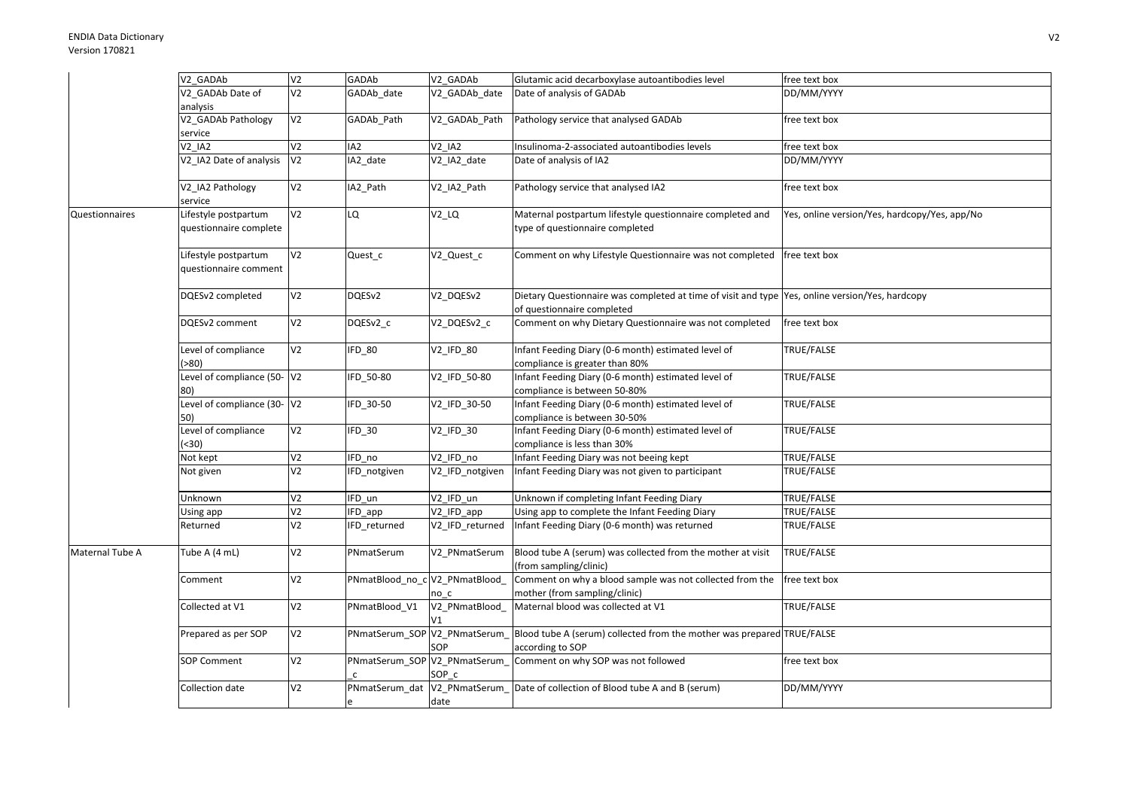|                 | V2 GADAb                       | V <sub>2</sub>  | GADAb                          | V2 GADAb         | Glutamic acid decarboxylase autoantibodies level                                                     | free text box                                 |
|-----------------|--------------------------------|-----------------|--------------------------------|------------------|------------------------------------------------------------------------------------------------------|-----------------------------------------------|
|                 | V2 GADAb Date of               | V <sub>2</sub>  | GADAb_date                     | V2_GADAb_date    | Date of analysis of GADAb                                                                            | DD/MM/YYYY                                    |
|                 | analysis                       |                 |                                |                  |                                                                                                      |                                               |
|                 | V2_GADAb Pathology             | V <sub>2</sub>  | GADAb_Path                     | V2 GADAb Path    | Pathology service that analysed GADAb                                                                | free text box                                 |
|                 | service                        |                 |                                |                  |                                                                                                      |                                               |
|                 | V <sub>2</sub> IA <sub>2</sub> | V <sub>2</sub>  | IA <sub>2</sub>                | $V2$ _IA2        | Insulinoma-2-associated autoantibodies levels                                                        | free text box                                 |
|                 | V2 IA2 Date of analysis        | V <sub>2</sub>  | IA2_date                       | V2_IA2_date      | Date of analysis of IA2                                                                              | DD/MM/YYYY                                    |
|                 |                                |                 |                                |                  |                                                                                                      |                                               |
|                 | V2_IA2 Pathology<br>service    | V <sub>2</sub>  | IA2_Path                       | V2_IA2_Path      | Pathology service that analysed IA2                                                                  | free text box                                 |
| Questionnaires  | Lifestyle postpartum           | V <sub>2</sub>  | LQ                             | $V2_lQ$          | Maternal postpartum lifestyle questionnaire completed and                                            | Yes, online version/Yes, hardcopy/Yes, app/No |
|                 | questionnaire complete         |                 |                                |                  | type of questionnaire completed                                                                      |                                               |
|                 |                                |                 |                                |                  |                                                                                                      |                                               |
|                 | Lifestyle postpartum           | V <sub>2</sub>  | Quest_c                        | V2_Quest_c       | Comment on why Lifestyle Questionnaire was not completed                                             | free text box                                 |
|                 | questionnaire comment          |                 |                                |                  |                                                                                                      |                                               |
|                 |                                |                 |                                |                  |                                                                                                      |                                               |
|                 | DQESv2 completed               | V2              | DQESv2                         | V2_DQESv2        | Dietary Questionnaire was completed at time of visit and type Yes, online version/Yes, hardcopy      |                                               |
|                 |                                |                 |                                |                  | of questionnaire completed                                                                           |                                               |
|                 | DQESv2 comment                 | V2              | DQESv2 c                       | V2_DQESv2_c      | Comment on why Dietary Questionnaire was not completed                                               | free text box                                 |
|                 |                                |                 |                                |                  |                                                                                                      |                                               |
|                 | Level of compliance            | V <sub>2</sub>  | IFD_80                         | <b>V2 IFD 80</b> | Infant Feeding Diary (0-6 month) estimated level of                                                  | TRUE/FALSE                                    |
|                 | ( > 80)                        |                 |                                |                  | compliance is greater than 80%                                                                       |                                               |
|                 | Level of compliance (50-V2     |                 | IFD 50-80                      | V2_IFD_50-80     | Infant Feeding Diary (0-6 month) estimated level of                                                  | TRUE/FALSE                                    |
|                 | 80)                            |                 |                                |                  | compliance is between 50-80%                                                                         |                                               |
|                 | Level of compliance (30-       | V <sub>2</sub>  | IFD 30-50                      | V2_IFD_30-50     | Infant Feeding Diary (0-6 month) estimated level of                                                  | TRUE/FALSE                                    |
|                 | 50)                            |                 |                                |                  | compliance is between 30-50%                                                                         |                                               |
|                 | Level of compliance            | V <sub>2</sub>  | IFD_30                         | V2_IFD_30        | Infant Feeding Diary (0-6 month) estimated level of                                                  | TRUE/FALSE                                    |
|                 | (30)                           |                 |                                |                  | compliance is less than 30%                                                                          |                                               |
|                 | Not kept                       | V2              | IFD no                         | V2 IFD no        | Infant Feeding Diary was not beeing kept                                                             | TRUE/FALSE                                    |
|                 | Not given                      | V <sub>2</sub>  | IFD_notgiven                   | V2 IFD notgiven  | Infant Feeding Diary was not given to participant                                                    | TRUE/FALSE                                    |
|                 | Unknown                        | V <sub>2</sub>  | IFD un                         | V2 IFD un        | Unknown if completing Infant Feeding Diary                                                           | TRUE/FALSE                                    |
|                 | Using app                      | V2              | IFD_app                        | V2_IFD_app       | Using app to complete the Infant Feeding Diary                                                       | TRUE/FALSE                                    |
|                 | Returned                       | V2              | IFD_returned                   | V2_IFD_returned  | Infant Feeding Diary (0-6 month) was returned                                                        | TRUE/FALSE                                    |
|                 |                                |                 |                                |                  |                                                                                                      |                                               |
| Maternal Tube A | Tube A (4 mL)                  | V2              | PNmatSerum                     | V2 PNmatSerum    | Blood tube A (serum) was collected from the mother at visit                                          | TRUE/FALSE                                    |
|                 |                                |                 |                                |                  | (from sampling/clinic)                                                                               |                                               |
|                 | Comment                        | V <sub>2</sub>  | PNmatBlood_no_c V2_PNmatBlood_ |                  | Comment on why a blood sample was not collected from the                                             | free text box                                 |
|                 |                                |                 |                                | no c             | mother (from sampling/clinic)                                                                        |                                               |
|                 | Collected at V1                | V <sub>2</sub>  | PNmatBlood V1                  | V2_PNmatBlood_   | Maternal blood was collected at V1                                                                   | TRUE/FALSE                                    |
|                 |                                |                 |                                | V1               |                                                                                                      |                                               |
|                 | Prepared as per SOP            | $\overline{V2}$ |                                |                  | PNmatSerum_SOP V2_PNmatSerum_Bllood tube A (serum) collected from the mother was prepared TRUE/FALSE |                                               |
|                 |                                |                 |                                | SOP              | according to SOP                                                                                     |                                               |
|                 | SOP Comment                    | V <sub>2</sub>  |                                |                  | PNmatSerum_SOP V2_PNmatSerum_ Comment on why SOP was not followed                                    | free text box                                 |
|                 |                                |                 |                                | SOP c            |                                                                                                      |                                               |
|                 | Collection date                | V2              | PNmatSerum dat                 |                  | V2_PNmatSerum_ Date of collection of Blood tube A and B (serum)                                      | DD/MM/YYYY                                    |
|                 |                                |                 |                                | date             |                                                                                                      |                                               |
|                 |                                |                 |                                |                  |                                                                                                      |                                               |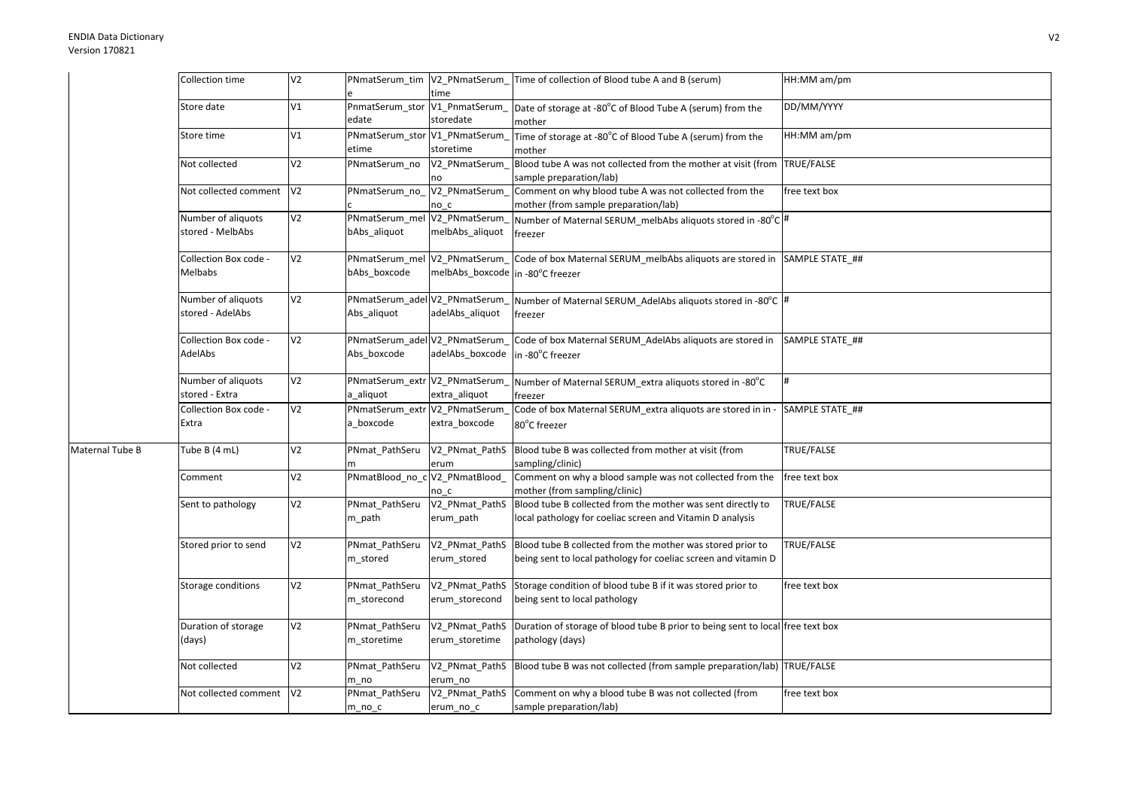|                 | Collection time                        | V <sub>2</sub> |                                               | time                                              | PNmatSerum tim   V2 PNmatSerum   Time of collection of Blood tube A and B (serum)                                            | HH:MM am/pm     |
|-----------------|----------------------------------------|----------------|-----------------------------------------------|---------------------------------------------------|------------------------------------------------------------------------------------------------------------------------------|-----------------|
|                 | Store date                             | V1             | edate                                         | PnmatSerum_stor V1_PnmatSerum_<br>storedate       | Date of storage at -80°C of Blood Tube A (serum) from the<br>mother                                                          | DD/MM/YYYY      |
|                 | Store time                             | V1             | PNmatSerum_stor V1_PNmatSerum<br>etime        | storetime                                         | Time of storage at -80°C of Blood Tube A (serum) from the<br>mother                                                          | HH:MM am/pm     |
|                 | Not collected                          | V <sub>2</sub> | PNmatSerum_no                                 | V2_PNmatSerum<br>no                               | Blood tube A was not collected from the mother at visit (from TRUE/FALSE<br>sample preparation/lab)                          |                 |
|                 | Not collected comment                  | V <sub>2</sub> | PNmatSerum no                                 | V2_PNmatSerum_<br>no c                            | Comment on why blood tube A was not collected from the<br>mother (from sample preparation/lab)                               | free text box   |
|                 | Number of aliquots<br>stored - MelbAbs | V <sub>2</sub> | PNmatSerum_mel V2_PNmatSerum<br>bAbs aliquot  | melbAbs_aliquot                                   | Number of Maternal SERUM melbAbs aliquots stored in -80°C #<br>freezer                                                       |                 |
|                 | Collection Box code -<br>Melbabs       | V <sub>2</sub> | PNmatSerum_mel V2_PNmatSerum_<br>bAbs boxcode | melbAbs_boxcode in -80°C freezer                  | Code of box Maternal SERUM melbAbs aliquots are stored in SAMPLE STATE ##                                                    |                 |
|                 | Number of aliquots<br>stored - AdelAbs | V <sub>2</sub> | PNmatSerum_adel V2_PNmatSerum_<br>Abs aliquot | adelAbs_aliquot                                   | Number of Maternal SERUM_AdelAbs aliquots stored in -80°C  #<br>freezer                                                      |                 |
|                 | Collection Box code -<br>AdelAbs       | V <sub>2</sub> | Abs boxcode                                   | PNmatSerum_adel V2_PNmatSerum_<br>adelAbs boxcode | Code of box Maternal SERUM_AdelAbs aliquots are stored in<br>in -80°C freezer                                                | SAMPLE STATE ## |
|                 | Number of aliquots<br>stored - Extra   | V <sub>2</sub> | PNmatSerum_extr V2_PNmatSerum<br>a aliquot    | extra_aliquot                                     | Number of Maternal SERUM extra aliquots stored in -80°C<br>freezer                                                           |                 |
|                 | Collection Box code -<br>Extra         | V <sub>2</sub> | PNmatSerum_extr<br>a_boxcode                  | V2_PNmatSerum<br>extra_boxcode                    | Code of box Maternal SERUM_extra aliquots are stored in in -<br>80°C freezer                                                 | SAMPLE STATE ## |
| Maternal Tube B | Tube B (4 mL)                          | V <sub>2</sub> | PNmat PathSeru                                | erum                                              | V2 PNmat PathS Blood tube B was collected from mother at visit (from<br>sampling/clinic)                                     | TRUE/FALSE      |
|                 | Comment                                | V <sub>2</sub> | PNmatBlood_no_c V2_PNmatBlood_                | no c                                              | Comment on why a blood sample was not collected from the<br>mother (from sampling/clinic)                                    | free text box   |
|                 | Sent to pathology                      | V <sub>2</sub> | PNmat PathSeru<br>m_path                      | V2 PNmat PathS<br>erum_path                       | Blood tube B collected from the mother was sent directly to<br>local pathology for coeliac screen and Vitamin D analysis     | TRUE/FALSE      |
|                 | Stored prior to send                   | V <sub>2</sub> | PNmat_PathSeru<br>m_stored                    | V2_PNmat_PathS<br>erum_stored                     | Blood tube B collected from the mother was stored prior to<br>being sent to local pathology for coeliac screen and vitamin D | TRUE/FALSE      |
|                 | Storage conditions                     | V <sub>2</sub> | PNmat_PathSeru<br>m_storecond                 | V2_PNmat_PathS<br>erum_storecond                  | Storage condition of blood tube B if it was stored prior to<br>being sent to local pathology                                 | free text box   |
|                 | Duration of storage<br>(days)          | V <sub>2</sub> | PNmat_PathSeru<br>m_storetime                 | V2 PNmat PathS<br>erum_storetime                  | Duration of storage of blood tube B prior to being sent to local free text box<br>pathology (days)                           |                 |
|                 | Not collected                          | V <sub>2</sub> | PNmat_PathSeru<br>m no                        | erum no                                           | V2_PNmat_PathS Blood tube B was not collected (from sample preparation/lab) TRUE/FALSE                                       |                 |
|                 | Not collected comment V2               |                | PNmat PathSeru<br>$m\_no\_c$                  | erum_no_c                                         | V2_PNmat_PathS Comment on why a blood tube B was not collected (from<br>sample preparation/lab)                              | free text box   |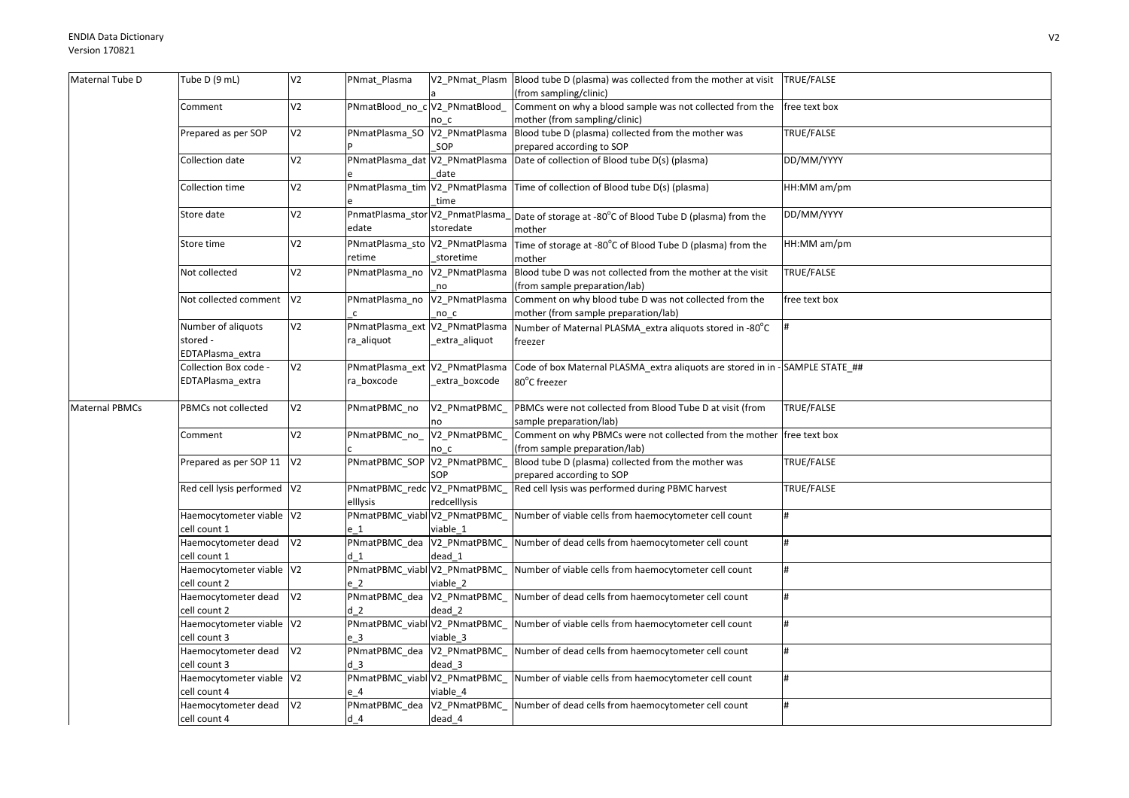| Maternal Tube D       | Tube D (9 mL)               | V <sub>2</sub> | PNmat_Plasma                   |                                | V2_PNmat_Plasm Blood tube D (plasma) was collected from the mother at visit TRUE/FALSE      |                    |
|-----------------------|-----------------------------|----------------|--------------------------------|--------------------------------|---------------------------------------------------------------------------------------------|--------------------|
|                       |                             |                |                                |                                | (from sampling/clinic)                                                                      |                    |
|                       | Comment                     | V <sub>2</sub> | PNmatBlood_no_c V2_PNmatBlood_ |                                | Comment on why a blood sample was not collected from the                                    | free text box      |
|                       |                             |                |                                | no c                           | mother (from sampling/clinic)                                                               |                    |
|                       | Prepared as per SOP         | V <sub>2</sub> |                                |                                | PNmatPlasma_SO  V2_PNmatPlasma  Blood tube D (plasma) collected from the mother was         | TRUE/FALSE         |
|                       |                             |                |                                | SOP                            | prepared according to SOP                                                                   |                    |
|                       | Collection date             | V <sub>2</sub> |                                | PNmatPlasma dat V2 PNmatPlasma | Date of collection of Blood tube D(s) (plasma)                                              | DD/MM/YYYY         |
|                       |                             |                |                                | date                           |                                                                                             |                    |
|                       | Collection time             | V <sub>2</sub> |                                |                                | PNmatPlasma_tim V2_PNmatPlasma Time of collection of Blood tube D(s) (plasma)               | HH:MM am/pm        |
|                       |                             |                |                                | time                           |                                                                                             |                    |
|                       | Store date                  | V <sub>2</sub> |                                |                                | PnmatPlasma_stor V2_PnmatPlasma_ Date of storage at -80°C of Blood Tube D (plasma) from the | DD/MM/YYYY         |
|                       |                             |                | edate                          | storedate                      | mother                                                                                      |                    |
|                       | Store time                  | V <sub>2</sub> | PNmatPlasma_sto V2_PNmatPlasma |                                | Time of storage at -80°C of Blood Tube D (plasma) from the                                  | HH:MM am/pm        |
|                       |                             |                | retime                         | storetime                      | mother                                                                                      |                    |
|                       | Not collected               | V <sub>2</sub> | PNmatPlasma_no V2_PNmatPlasma  |                                | Blood tube D was not collected from the mother at the visit                                 | TRUE/FALSE         |
|                       |                             |                |                                | no                             | (from sample preparation/lab)                                                               |                    |
|                       | Not collected comment       | V <sub>2</sub> |                                |                                | PNmatPlasma_no  V2_PNmatPlasma  Comment on why blood tube D was not collected from the      | free text box      |
|                       |                             |                |                                | no c                           | mother (from sample preparation/lab)                                                        |                    |
|                       | Number of aliquots          | V <sub>2</sub> | PNmatPlasma_ext V2_PNmatPlasma |                                | Number of Maternal PLASMA extra aliquots stored in -80°C                                    |                    |
|                       | stored -                    |                | ra aliquot                     | _extra_aliquot                 | freezer                                                                                     |                    |
|                       | EDTAPlasma extra            |                |                                |                                |                                                                                             |                    |
|                       | Collection Box code -       | V <sub>2</sub> | PNmatPlasma_ext V2_PNmatPlasma |                                | Code of box Maternal PLASMA_extra aliquots are stored in in - SAMPLE STATE_##               |                    |
|                       | EDTAPlasma_extra            |                | ra_boxcode                     | extra_boxcode                  | 80°C freezer                                                                                |                    |
| <b>Maternal PBMCs</b> | PBMCs not collected         | V <sub>2</sub> | PNmatPBMC no                   | V2 PNmatPBMC                   | PBMCs were not collected from Blood Tube D at visit (from                                   | TRUE/FALSE         |
|                       |                             |                |                                | nn                             | sample preparation/lab)                                                                     |                    |
|                       | Comment                     | V <sub>2</sub> | PNmatPBMC_no_                  | V2_PNmatPBMC_                  | Comment on why PBMCs were not collected from the mother free text box                       |                    |
|                       |                             |                |                                | no c                           | (from sample preparation/lab)                                                               |                    |
|                       | Prepared as per SOP 11      | V <sub>2</sub> | PNmatPBMC_SOP_V2_PNmatPBMC_    |                                | Blood tube D (plasma) collected from the mother was                                         | TRUE/FALSE         |
|                       |                             |                |                                | SOP                            | prepared according to SOP                                                                   |                    |
|                       | Red cell lysis performed V2 |                | PNmatPBMC_redc V2_PNmatPBMC    |                                | Red cell lysis was performed during PBMC harvest                                            | TRUE/FALSE         |
|                       |                             |                | elllysis                       | redcelllysis                   |                                                                                             |                    |
|                       | Haemocytometer viable V2    |                | PNmatPBMC_viabl V2_PNmatPBMC_  |                                | Number of viable cells from haemocytometer cell count                                       | $\boldsymbol{\mu}$ |
|                       | cell count 1                |                | e 1                            | viable 1                       |                                                                                             |                    |
|                       | Haemocytometer dead         | V <sub>2</sub> | PNmatPBMC_dea V2_PNmatPBMC     |                                | Number of dead cells from haemocytometer cell count                                         | #                  |
|                       | cell count 1                |                | d <sub>1</sub>                 | dead 1                         |                                                                                             |                    |
|                       | Haemocytometer viable V2    |                | PNmatPBMC_viabl V2_PNmatPBMC_  |                                | Number of viable cells from haemocytometer cell count                                       | #                  |
|                       | cell count 2                |                | e 2                            | viable 2                       |                                                                                             |                    |
|                       | Haemocytometer dead         | V <sub>2</sub> | PNmatPBMC_dea V2_PNmatPBMC_    |                                | Number of dead cells from haemocytometer cell count                                         |                    |
|                       | cell count 2                |                | d <sub>2</sub>                 | dead 2                         |                                                                                             |                    |
|                       | Haemocytometer viable V2    |                | PNmatPBMC_viabl V2_PNmatPBMC_  |                                | Number of viable cells from haemocytometer cell count                                       | #                  |
|                       | cell count 3                |                | e 3                            | viable 3                       |                                                                                             |                    |
|                       | Haemocytometer dead         | V <sub>2</sub> | PNmatPBMC_dea V2_PNmatPBMC_    |                                | Number of dead cells from haemocytometer cell count                                         | #                  |
|                       | cell count 3                |                | d <sub>3</sub>                 | dead 3                         |                                                                                             |                    |
|                       | Haemocytometer viable V2    |                | PNmatPBMC_viabl V2_PNmatPBMC_  |                                | Number of viable cells from haemocytometer cell count                                       | #                  |
|                       | cell count 4                |                | e 4                            | viable 4                       |                                                                                             |                    |
|                       | Haemocytometer dead         | V <sub>2</sub> | PNmatPBMC_dea V2_PNmatPBMC_    |                                | Number of dead cells from haemocytometer cell count                                         | #                  |
|                       | cell count 4                |                | $d$ 4                          | dead 4                         |                                                                                             |                    |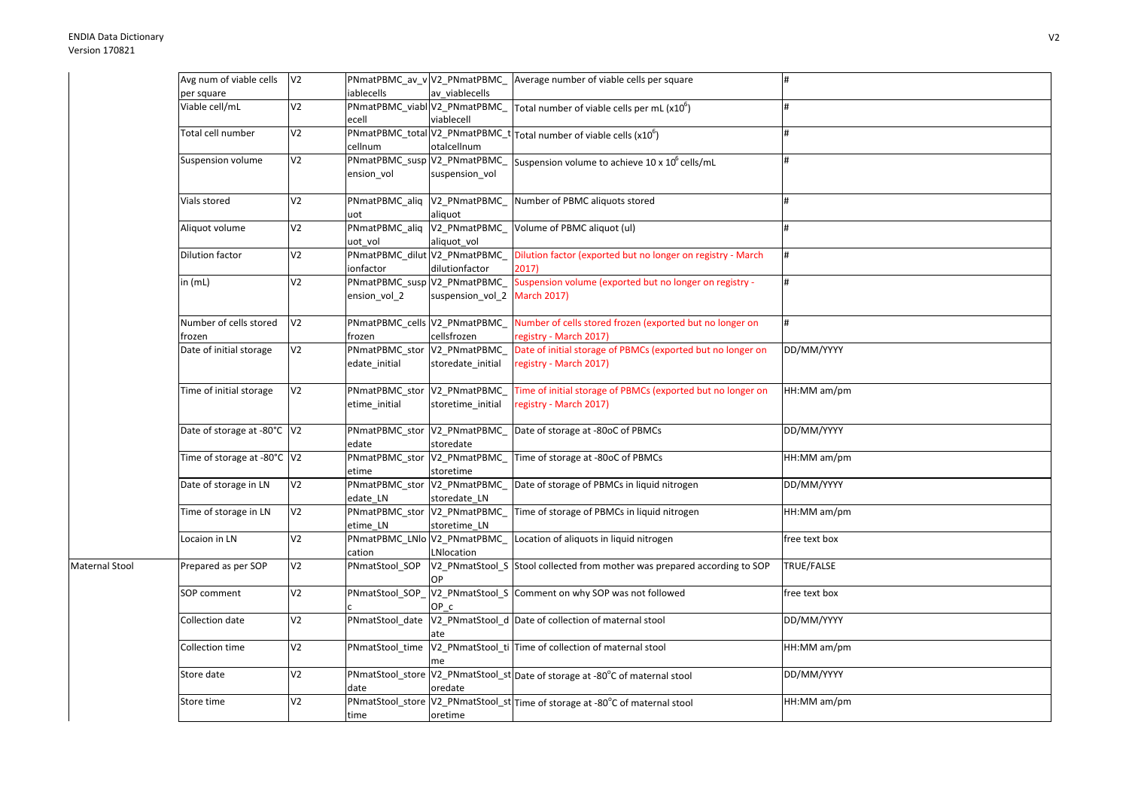|                | Avg num of viable cells          | V <sub>2</sub> |                                               |                              | PNmatPBMC_av_v V2_PNmatPBMC_ Average number of viable cells per square                                            |               |
|----------------|----------------------------------|----------------|-----------------------------------------------|------------------------------|-------------------------------------------------------------------------------------------------------------------|---------------|
|                | per square                       |                | iablecells                                    | av viablecells               |                                                                                                                   |               |
|                | Viable cell/mL                   | V <sub>2</sub> | ecell                                         | viablecell                   | $\overline{P}$ NmatPBMC_viabl $\overline{V}$ 2_PNmatPBMC_ Total number of viable cells per mL (x10 <sup>6</sup> ) | #             |
|                | Total cell number                | V <sub>2</sub> | cellnum                                       | otalcellnum                  | PNmatPBMC_total V2_PNmatPBMC_t Total number of viable cells (x10 <sup>6</sup> )                                   | #             |
|                | Suspension volume                | V <sub>2</sub> | PNmatPBMC_susp V2_PNmatPBMC_<br>ension vol    | suspension_vol               | Suspension volume to achieve 10 x 10° cells/mL                                                                    | #             |
|                | Vials stored                     | V <sub>2</sub> | PNmatPBMC_aliq V2_PNmatPBMC_<br>uot           | aliquot                      | Number of PBMC aliquots stored                                                                                    | #             |
|                | Aliquot volume                   | V <sub>2</sub> | PNmatPBMC_aliq V2_PNmatPBMC_<br>uot vol       | aliquot_vol                  | Volume of PBMC aliquot (ul)                                                                                       | #             |
|                | Dilution factor                  | V <sub>2</sub> | PNmatPBMC_dilut V2_PNmatPBMC_<br>ionfactor    | dilutionfactor               | Dilution factor (exported but no longer on registry - March<br>2017)                                              | #             |
|                | in (mL)                          | V <sub>2</sub> | PNmatPBMC_susp V2_PNmatPBMC_<br>ension_vol_2  | suspension_vol_2 March 2017) | Suspension volume (exported but no longer on registry -                                                           | #             |
|                | Number of cells stored<br>frozen | V <sub>2</sub> | PNmatPBMC_cells V2_PNmatPBMC_<br>frozen       | cellsfrozen                  | Number of cells stored frozen (exported but no longer on<br>registry - March 2017)                                | #             |
|                | Date of initial storage          | V <sub>2</sub> | PNmatPBMC_stor V2_PNmatPBMC_<br>edate initial | storedate_initial            | Date of initial storage of PBMCs (exported but no longer on<br>registry - March 2017)                             | DD/MM/YYYY    |
|                | Time of initial storage          | V <sub>2</sub> | PNmatPBMC_stor V2_PNmatPBMC<br>etime_initial  | storetime_initial            | Time of initial storage of PBMCs (exported but no longer on<br>registry - March 2017)                             | HH:MM am/pm   |
|                | Date of storage at -80°C   V2    |                | PNmatPBMC stor V2 PNmatPBMC<br>edate          | storedate                    | Date of storage at -80oC of PBMCs                                                                                 | DD/MM/YYYY    |
|                | Time of storage at -80°C V2      |                | PNmatPBMC_stor V2_PNmatPBMC_<br>etime         | storetime                    | Time of storage at -80oC of PBMCs                                                                                 | HH:MM am/pm   |
|                | Date of storage in LN            | V <sub>2</sub> | PNmatPBMC_stor V2_PNmatPBMC_<br>edate_LN      | storedate_LN                 | Date of storage of PBMCs in liquid nitrogen                                                                       | DD/MM/YYYY    |
|                | Time of storage in LN            | V <sub>2</sub> | PNmatPBMC_stor V2_PNmatPBMC_<br>etime_LN      | storetime_LN                 | Time of storage of PBMCs in liquid nitrogen                                                                       | HH:MM am/pm   |
|                | Locaion in LN                    | V <sub>2</sub> | PNmatPBMC_LNlo V2_PNmatPBMC_<br>cation        | LNlocation                   | Location of aliquots in liquid nitrogen                                                                           | free text box |
| Maternal Stool | Prepared as per SOP              | V <sub>2</sub> | PNmatStool_SOP                                | OP                           | V2 PNmatStool S Stool collected from mother was prepared according to SOP                                         | TRUE/FALSE    |
|                | SOP comment                      | V <sub>2</sub> |                                               | OP c                         | PNmatStool_SOP_V2_PNmatStool_S Comment on why SOP was not followed                                                | free text box |
|                | Collection date                  | V <sub>2</sub> |                                               | ate                          | PNmatStool_date V2_PNmatStool_d Date of collection of maternal stool                                              | DD/MM/YYYY    |
|                | Collection time                  | V <sub>2</sub> | PNmatStool_time                               | me                           | V2_PNmatStool_ti Time of collection of maternal stool                                                             | HH:MM am/pm   |
|                | Store date                       | V <sub>2</sub> | date                                          | oredate                      | PNmatStool_store V2_PNmatStool_st Date of storage at -80°C of maternal stool                                      | DD/MM/YYYY    |
|                | Store time                       | V <sub>2</sub> | time                                          | oretime                      | PNmatStool_store V2_PNmatStool_st Time of storage at -80°C of maternal stool                                      | HH:MM am/pm   |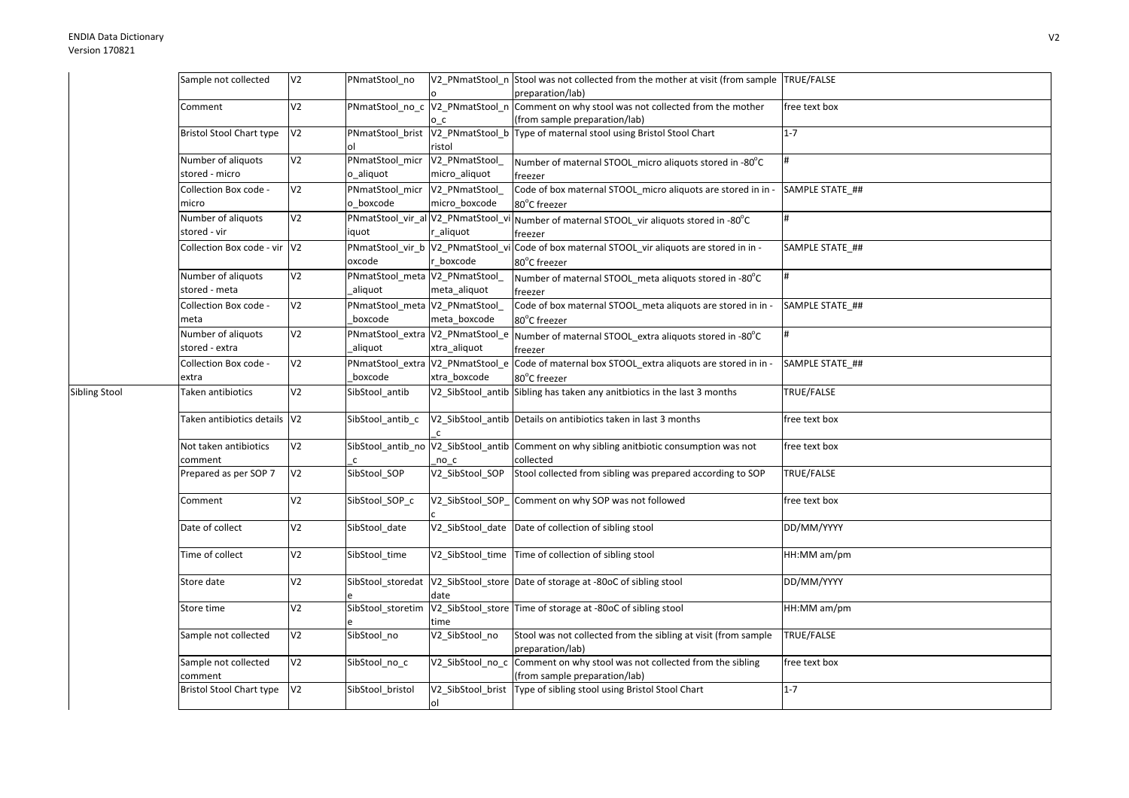Sibling Stool

| Sample not collected                 | V <sub>2</sub> | PNmatStool no                               |                                 | V2 PNmatStool n Stool was not collected from the mother at visit (from sample TRUE/FALSE<br>preparation/lab) |                 |
|--------------------------------------|----------------|---------------------------------------------|---------------------------------|--------------------------------------------------------------------------------------------------------------|-----------------|
| Comment                              | V <sub>2</sub> | PNmatStool_no_c V2_PNmatStool_n             |                                 | Comment on why stool was not collected from the mother                                                       | free text box   |
| <b>Bristol Stool Chart type</b>      | V <sub>2</sub> | PNmatStool_brist                            | o c<br>V2_PNmatStool_b          | (from sample preparation/lab)<br>Type of maternal stool using Bristol Stool Chart                            | $1 - 7$         |
| Number of aliquots                   | V <sub>2</sub> | ol<br>PNmatStool_micr                       | ristol<br>V2_PNmatStool_        | Number of maternal STOOL_micro aliquots stored in -80°C                                                      | #               |
| stored - micro                       | V <sub>2</sub> | o_aliquot                                   | micro_aliquot                   | freezer<br>Code of box maternal STOOL_micro aliquots are stored in in -                                      |                 |
| Collection Box code -<br>micro       |                | PNmatStool_micr<br>o boxcode                | V2_PNmatStool_<br>micro_boxcode | 80°C freezer                                                                                                 | SAMPLE STATE_## |
| Number of aliquots<br>stored - vir   | V <sub>2</sub> | PNmatStool_vir_al V2_PNmatStool_vi<br>iquot | r_aliquot                       | Number of maternal STOOL_vir aliquots stored in -80°C<br>freezer                                             | #               |
| Collection Box code - vir V2         |                | PNmatStool_vir_b V2_PNmatStool_vi<br>oxcode | boxcode                         | Code of box maternal STOOL_vir aliquots are stored in in -<br>80°C freezer                                   | SAMPLE STATE_## |
| Number of aliquots<br>stored - meta  | V <sub>2</sub> | PNmatStool_meta V2_PNmatStool_<br>aliquot   | meta_aliquot                    | Number of maternal STOOL_meta aliquots stored in -80°C<br>freezer                                            | #               |
| Collection Box code -<br>meta        | V <sub>2</sub> | PNmatStool_meta V2_PNmatStool_<br>boxcode   | meta_boxcode                    | Code of box maternal STOOL_meta aliquots are stored in in -<br>80°C freezer                                  | SAMPLE STATE_## |
| Number of aliquots<br>stored - extra | V <sub>2</sub> | PNmatStool_extra V2_PNmatStool_e<br>aliquot | xtra_aliquot                    | Number of maternal STOOL_extra aliquots stored in -80°C                                                      | #               |
| Collection Box code -<br>extra       | V <sub>2</sub> | PNmatStool_extra V2_PNmatStool_e<br>boxcode | xtra boxcode                    | freezer<br>Code of maternal box STOOL_extra aliquots are stored in in -<br>80°C freezer                      | SAMPLE STATE ## |
| Taken antibiotics                    | V <sub>2</sub> | SibStool_antib                              |                                 | V2_SibStool_antib Sibling has taken any anitbiotics in the last 3 months                                     | TRUE/FALSE      |
| Taken antibiotics details V2         |                | SibStool_antib_c                            | $\mathsf{C}$                    | V2 SibStool antib Details on antibiotics taken in last 3 months                                              | free text box   |
| Not taken antibiotics<br>comment     | V <sub>2</sub> | $\mathsf{C}$                                | $no_c$                          | SibStool_antib_no  V2_SibStool_antib   Comment on why sibling anitbiotic consumption was not<br>collected    | free text box   |
| Prepared as per SOP 7                | V <sub>2</sub> | SibStool_SOP                                | V2_SibStool_SOP                 | Stool collected from sibling was prepared according to SOP                                                   | TRUE/FALSE      |
| Comment                              | V <sub>2</sub> | SibStool_SOP_c                              | V2_SibStool_SOP_                | Comment on why SOP was not followed                                                                          | free text box   |
| Date of collect                      | V <sub>2</sub> | SibStool_date                               | V2_SibStool_date                | Date of collection of sibling stool                                                                          | DD/MM/YYYY      |
| Time of collect                      | V <sub>2</sub> | SibStool time                               | V2_SibStool_time                | Time of collection of sibling stool                                                                          | HH:MM am/pm     |
| Store date                           | V <sub>2</sub> |                                             | date                            | SibStool_storedat  V2_SibStool_store  Date of storage at -80oC of sibling stool                              | DD/MM/YYYY      |
| Store time                           | V <sub>2</sub> | SibStool_storetim                           | time                            | V2_SibStool_store Time of storage at -80oC of sibling stool                                                  | HH:MM am/pm     |
| Sample not collected                 | V <sub>2</sub> | SibStool_no                                 | V2_SibStool_no                  | Stool was not collected from the sibling at visit (from sample<br>preparation/lab)                           | TRUE/FALSE      |
| Sample not collected<br>comment      | V <sub>2</sub> | SibStool_no_c                               | V2_SibStool_no_c                | Comment on why stool was not collected from the sibling<br>(from sample preparation/lab)                     | free text box   |
| <b>Bristol Stool Chart type</b>      | V <sub>2</sub> | SibStool_bristol                            | V2_SibStool_brist<br>ol         | Type of sibling stool using Bristol Stool Chart                                                              | $1 - 7$         |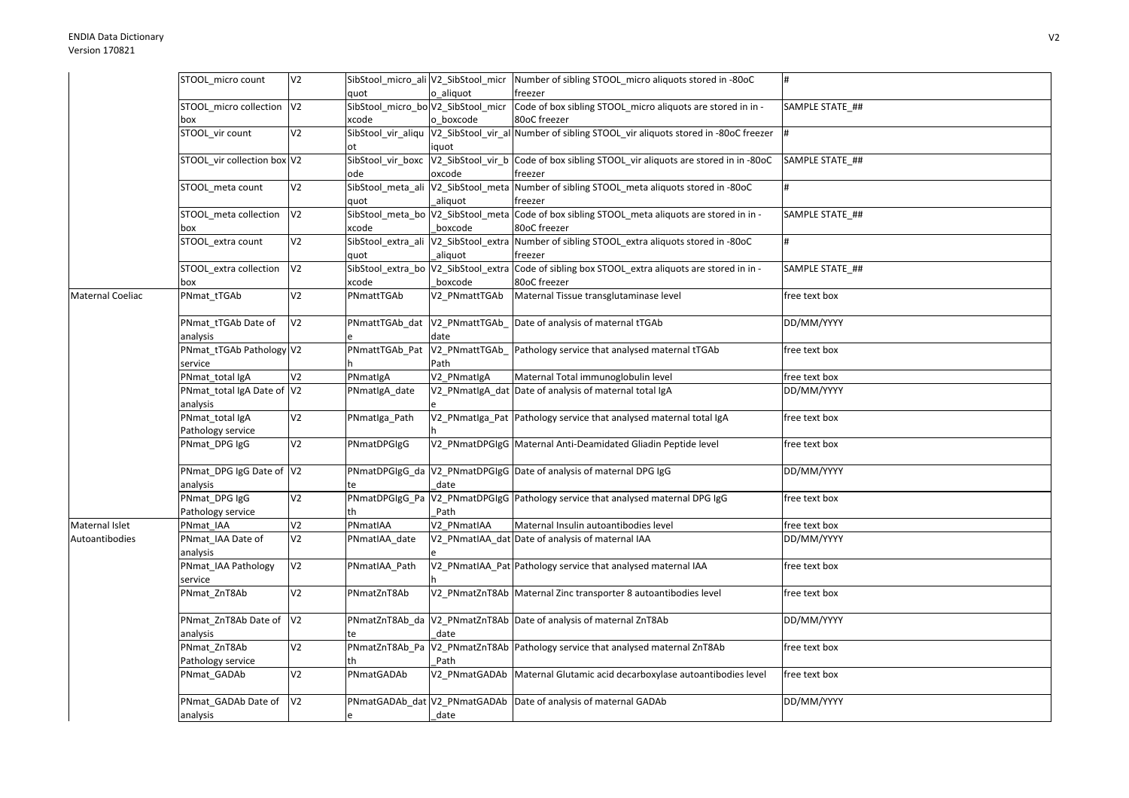|                  | STOOL micro count           | V <sub>2</sub> |                                      |                | SibStool_micro_ali V2_SibStool_micr  Number of sibling STOOL_micro aliquots stored in -80oC         | #               |
|------------------|-----------------------------|----------------|--------------------------------------|----------------|-----------------------------------------------------------------------------------------------------|-----------------|
|                  |                             |                | quot                                 | o aliguot      | freezer                                                                                             |                 |
|                  | STOOL_micro collection V2   |                | SibStool_micro_bo V2_SibStool_micr   |                | Code of box sibling STOOL_micro aliquots are stored in in -                                         | SAMPLE STATE_## |
|                  | box                         |                | xcode                                | o boxcode      | 80oC freezer                                                                                        |                 |
|                  | STOOL_vir count             | V <sub>2</sub> |                                      |                | SibStool_vir_aliqu  V2_SibStool_vir_al Number of sibling STOOL_vir aliquots stored in -80oC freezer |                 |
|                  |                             |                | ot                                   | iquot          |                                                                                                     |                 |
|                  | STOOL vir collection box V2 |                |                                      |                | SibStool_vir_boxc V2_SibStool_vir_b Code of box sibling STOOL_vir aliquots are stored in in -80oC   | SAMPLE STATE ## |
|                  |                             |                | ode                                  | oxcode         | freezer                                                                                             |                 |
|                  | STOOL_meta count            | V <sub>2</sub> | SibStool_meta_ali V2_SibStool_meta   |                | Number of sibling STOOL_meta aliquots stored in -80oC                                               | #               |
|                  |                             |                | quot                                 | aliquot        | freezer                                                                                             |                 |
|                  | STOOL meta collection       | V <sub>2</sub> | SibStool_meta_bo V2_SibStool_meta    |                | Code of box sibling STOOL_meta aliquots are stored in in -                                          | SAMPLE STATE ## |
|                  | xod                         |                | xcode                                | boxcode        | 80oC freezer                                                                                        |                 |
|                  | STOOL_extra count           | V <sub>2</sub> | SibStool_extra_ali V2_SibStool_extra |                | Number of sibling STOOL_extra aliquots stored in -80oC                                              | #               |
|                  |                             |                | quot                                 | aliquot        | freezer                                                                                             |                 |
|                  | STOOL extra collection      | V <sub>2</sub> | SibStool_extra_bo V2_SibStool_extra  |                | Code of sibling box STOOL_extra aliquots are stored in in -                                         | SAMPLE STATE ## |
|                  | xod                         |                | xcode                                | boxcode        | 80oC freezer                                                                                        |                 |
| Maternal Coeliac | PNmat_tTGAb                 | V <sub>2</sub> | PNmattTGAb                           | V2 PNmattTGAb  | Maternal Tissue transglutaminase level                                                              | free text box   |
|                  | PNmat tTGAb Date of         | V <sub>2</sub> | PNmattTGAb dat                       | V2 PNmattTGAb  | Date of analysis of maternal tTGAb                                                                  | DD/MM/YYYY      |
|                  | analysis                    |                |                                      | date           |                                                                                                     |                 |
|                  | PNmat_tTGAb Pathology V2    |                | PNmattTGAb_Pat                       | V2_PNmattTGAb_ | Pathology service that analysed maternal tTGAb                                                      | free text box   |
|                  | service                     |                |                                      | Path           |                                                                                                     |                 |
|                  | PNmat_total IgA             | V <sub>2</sub> | PNmatlgA                             | V2_PNmatlgA    | Maternal Total immunoglobulin level                                                                 | free text box   |
|                  | PNmat_total IgA Date of V2  |                | PNmatIgA_date                        |                | V2_PNmatlgA_dat Date of analysis of maternal total IgA                                              | DD/MM/YYYY      |
|                  | analysis                    |                |                                      |                |                                                                                                     |                 |
|                  | PNmat_total IgA             | V <sub>2</sub> | PNmatIga_Path                        |                | V2_PNmatIga_Pat Pathology service that analysed maternal total IgA                                  | free text box   |
|                  | Pathology service           |                |                                      |                |                                                                                                     |                 |
|                  | PNmat_DPG IgG               | V <sub>2</sub> | PNmatDPGIgG                          |                | V2 PNmatDPGIgG Maternal Anti-Deamidated Gliadin Peptide level                                       | free text box   |
|                  | PNmat_DPG IgG Date of V2    |                |                                      |                | PNmatDPGIgG_da V2_PNmatDPGIgG Date of analysis of maternal DPG IgG                                  | DD/MM/YYYY      |
|                  | analysis                    |                |                                      | date           |                                                                                                     |                 |
|                  | PNmat_DPG IgG               | V <sub>2</sub> |                                      |                | PNmatDPGIgG_Pa V2_PNmatDPGIgG Pathology service that analysed maternal DPG IgG                      | free text box   |
|                  | Pathology service           |                | th                                   | Path           |                                                                                                     |                 |
| Maternal Islet   | PNmat_IAA                   | V <sub>2</sub> | PNmatIAA                             | V2 PNmatIAA    | Maternal Insulin autoantibodies level                                                               | free text box   |
| Autoantibodies   | PNmat_IAA Date of           | V <sub>2</sub> | PNmatIAA_date                        |                | V2_PNmatIAA_dat Date of analysis of maternal IAA                                                    | DD/MM/YYYY      |
|                  | analysis                    |                |                                      |                |                                                                                                     |                 |
|                  | PNmat_IAA Pathology         | V <sub>2</sub> | PNmatIAA_Path                        |                | V2 PNmatIAA Pat Pathology service that analysed maternal IAA                                        | free text box   |
|                  | service                     |                |                                      |                |                                                                                                     |                 |
|                  | PNmat ZnT8Ab                | V <sub>2</sub> | PNmatZnT8Ab                          |                | V2_PNmatZnT8Ab Maternal Zinc transporter 8 autoantibodies level                                     | free text box   |
|                  | PNmat ZnT8Ab Date of V2     |                |                                      |                | PNmatZnT8Ab_da V2_PNmatZnT8Ab Date of analysis of maternal ZnT8Ab                                   | DD/MM/YYYY      |
|                  | analysis                    |                | te                                   | date           |                                                                                                     |                 |
|                  | PNmat ZnT8Ab                | V <sub>2</sub> |                                      |                | PNmatZnT8Ab_Pa V2_PNmatZnT8Ab Pathology service that analysed maternal ZnT8Ab                       | free text box   |
|                  | Pathology service           |                | th                                   | Path           |                                                                                                     |                 |
|                  | PNmat_GADAb                 | V <sub>2</sub> | PNmatGADAb                           |                | V2 PNmatGADAb   Maternal Glutamic acid decarboxylase autoantibodies level                           | free text box   |
|                  | PNmat_GADAb Date of V2      |                |                                      |                | PNmatGADAb_dat V2_PNmatGADAb Date of analysis of maternal GADAb                                     | DD/MM/YYYY      |
|                  | analysis                    |                | e                                    | date           |                                                                                                     |                 |
|                  |                             |                |                                      |                |                                                                                                     |                 |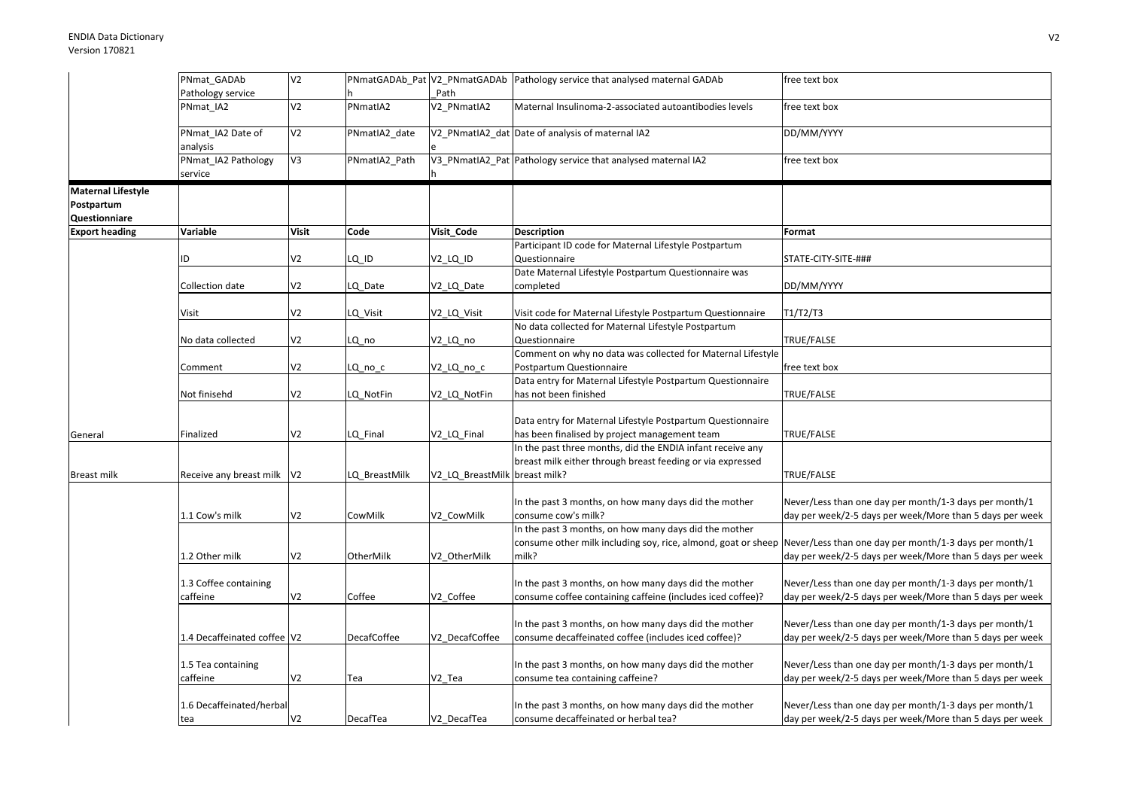|                                                          | PNmat_GADAb                    | V <sub>2</sub> |               |                 | PNmatGADAb_Pat V2_PNmatGADAb Pathology service that analysed maternal GADAb                                                     | free text box                                                                                                      |
|----------------------------------------------------------|--------------------------------|----------------|---------------|-----------------|---------------------------------------------------------------------------------------------------------------------------------|--------------------------------------------------------------------------------------------------------------------|
|                                                          | Pathology service              |                |               | Path            |                                                                                                                                 |                                                                                                                    |
|                                                          | PNmat IA2                      | V <sub>2</sub> | PNmatIA2      | V2 PNmatIA2     | Maternal Insulinoma-2-associated autoantibodies levels                                                                          | free text box                                                                                                      |
|                                                          | PNmat IA2 Date of<br>analysis  | V <sub>2</sub> | PNmatIA2_date |                 | V2 PNmatIA2 dat Date of analysis of maternal IA2                                                                                | DD/MM/YYYY                                                                                                         |
|                                                          | PNmat_IA2 Pathology<br>service | V3             | PNmatIA2_Path |                 | V3_PNmatIA2_Pat Pathology service that analysed maternal IA2                                                                    | free text box                                                                                                      |
| <b>Maternal Lifestyle</b><br>Postpartum<br>Questionniare |                                |                |               |                 |                                                                                                                                 |                                                                                                                    |
| <b>Export heading</b>                                    | Variable                       | <b>Visit</b>   | Code          | Visit_Code      | <b>Description</b>                                                                                                              | Format                                                                                                             |
|                                                          | ID                             | V <sub>2</sub> | LQ ID         | V2_LQ_ID        | Participant ID code for Maternal Lifestyle Postpartum<br>Questionnaire                                                          | STATE-CITY-SITE-###                                                                                                |
|                                                          | Collection date                | V <sub>2</sub> | LQ_Date       | V2_LQ_Date      | Date Maternal Lifestyle Postpartum Questionnaire was<br>completed                                                               | DD/MM/YYYY                                                                                                         |
|                                                          | Visit                          | V <sub>2</sub> | LQ_Visit      | V2_LQ_Visit     | Visit code for Maternal Lifestyle Postpartum Questionnaire                                                                      | T1/T2/T3                                                                                                           |
|                                                          | No data collected              | V <sub>2</sub> | LQ no         | V2_LQ_no        | No data collected for Maternal Lifestyle Postpartum<br>Questionnaire                                                            | TRUE/FALSE                                                                                                         |
|                                                          | Comment                        | V <sub>2</sub> | LQ_no_c       | V2_LQ_no_c      | Comment on why no data was collected for Maternal Lifestyle<br>Postpartum Questionnaire                                         | free text box                                                                                                      |
|                                                          | Not finisehd                   | V <sub>2</sub> | LQ NotFin     | V2_LQ_NotFin    | Data entry for Maternal Lifestyle Postpartum Questionnaire<br>has not been finished                                             | TRUE/FALSE                                                                                                         |
| General                                                  | Finalized                      | V <sub>2</sub> | LQ Final      | V2 LQ Final     | Data entry for Maternal Lifestyle Postpartum Questionnaire<br>has been finalised by project management team                     | TRUE/FALSE                                                                                                         |
|                                                          |                                |                |               |                 | In the past three months, did the ENDIA infant receive any<br>breast milk either through breast feeding or via expressed        |                                                                                                                    |
| <b>Breast milk</b>                                       | Receive any breast milk        | V <sub>2</sub> | LQ BreastMilk | V2_LQ_BreastMil | breast milk?                                                                                                                    | TRUE/FALSE                                                                                                         |
|                                                          | 1.1 Cow's milk                 | V <sub>2</sub> | CowMilk       | V2_CowMilk      | In the past 3 months, on how many days did the mother<br>consume cow's milk?                                                    | Never/Less than one day per month/1-3 days per month/1<br>day per week/2-5 days per week/More than 5 days per week |
|                                                          | 1.2 Other milk                 | V <sub>2</sub> | OtherMilk     | V2 OtherMilk    | In the past 3 months, on how many days did the mother<br>consume other milk including soy, rice, almond, goat or sheep<br>milk? | Never/Less than one day per month/1-3 days per month/1<br>day per week/2-5 days per week/More than 5 days per week |
|                                                          | 1.3 Coffee containing          |                |               |                 | In the past 3 months, on how many days did the mother                                                                           | Never/Less than one day per month/1-3 days per month/1                                                             |
|                                                          | caffeine                       | V <sub>2</sub> | Coffee        | V2 Coffee       | consume coffee containing caffeine (includes iced coffee)?                                                                      | day per week/2-5 days per week/More than 5 days per week                                                           |
|                                                          | 1.4 Decaffeinated coffee V2    |                | DecafCoffee   | V2 DecafCoffee  | In the past 3 months, on how many days did the mother<br>consume decaffeinated coffee (includes iced coffee)?                   | Never/Less than one day per month/1-3 days per month/1<br>day per week/2-5 days per week/More than 5 days per week |
|                                                          | 1.5 Tea containing<br>caffeine | V <sub>2</sub> | Tea           | V2 Tea          | In the past 3 months, on how many days did the mother<br>consume tea containing caffeine?                                       | Never/Less than one day per month/1-3 days per month/1<br>day per week/2-5 days per week/More than 5 days per week |
|                                                          | 1.6 Decaffeinated/herbal       |                |               |                 | In the past 3 months, on how many days did the mother                                                                           | Never/Less than one day per month/1-3 days per month/1                                                             |
|                                                          | tea                            | V <sub>2</sub> | DecafTea      | V2 DecafTea     | consume decaffeinated or herbal tea?                                                                                            | day per week/2-5 days per week/More than 5 days per week                                                           |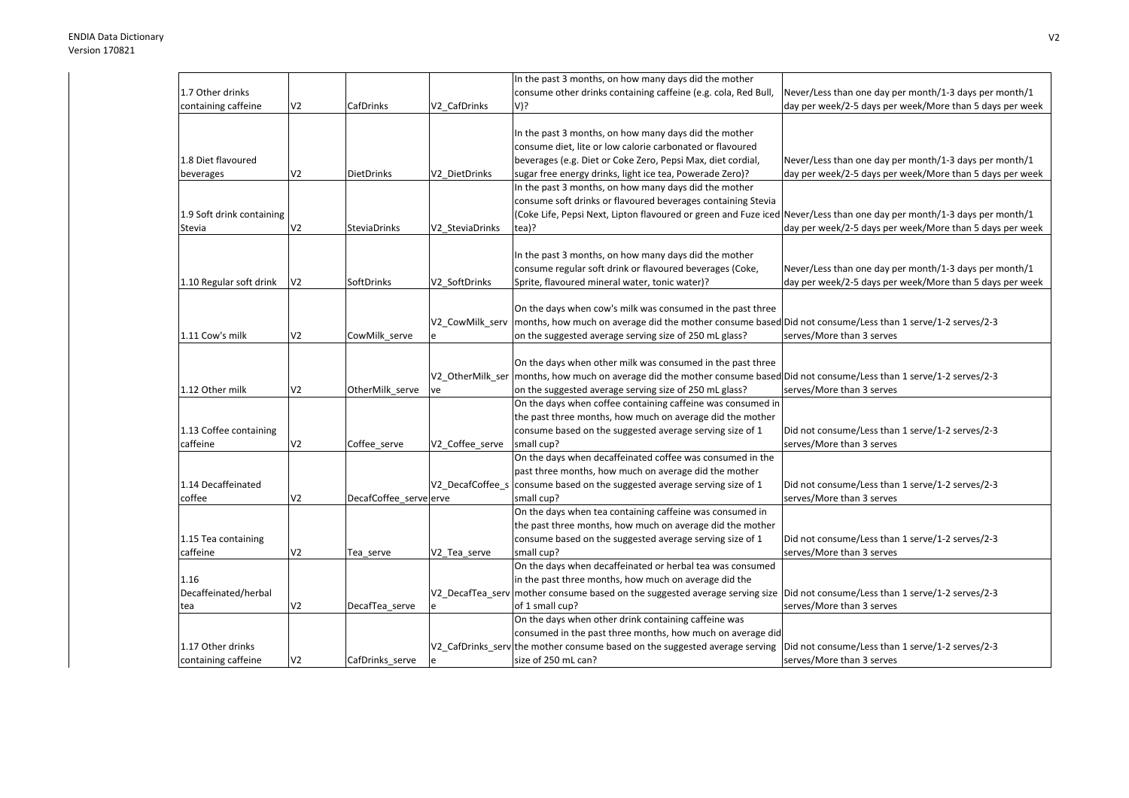|                           |                |                        |                  | In the past 3 months, on how many days did the mother                                                                         |                                                          |
|---------------------------|----------------|------------------------|------------------|-------------------------------------------------------------------------------------------------------------------------------|----------------------------------------------------------|
| 1.7 Other drinks          |                |                        |                  | consume other drinks containing caffeine (e.g. cola, Red Bull,                                                                | Never/Less than one day per month/1-3 days per month/1   |
| containing caffeine       | V <sub>2</sub> | CafDrinks              | V2 CafDrinks     | V)?                                                                                                                           | day per week/2-5 days per week/More than 5 days per week |
|                           |                |                        |                  |                                                                                                                               |                                                          |
|                           |                |                        |                  | In the past 3 months, on how many days did the mother                                                                         |                                                          |
|                           |                |                        |                  | consume diet, lite or low calorie carbonated or flavoured                                                                     |                                                          |
| 1.8 Diet flavoured        |                |                        |                  | beverages (e.g. Diet or Coke Zero, Pepsi Max, diet cordial,                                                                   | Never/Less than one day per month/1-3 days per month/1   |
| beverages                 | V <sub>2</sub> | <b>DietDrinks</b>      | V2 DietDrinks    | sugar free energy drinks, light ice tea, Powerade Zero)?                                                                      | day per week/2-5 days per week/More than 5 days per week |
|                           |                |                        |                  | In the past 3 months, on how many days did the mother                                                                         |                                                          |
|                           |                |                        |                  | consume soft drinks or flavoured beverages containing Stevia                                                                  |                                                          |
| 1.9 Soft drink containing |                |                        |                  | (Coke Life, Pepsi Next, Lipton flavoured or green and Fuze iced Never/Less than one day per month/1-3 days per month/1        |                                                          |
| Stevia                    | V <sub>2</sub> | <b>SteviaDrinks</b>    | V2 SteviaDrinks  | tea)?                                                                                                                         | day per week/2-5 days per week/More than 5 days per week |
|                           |                |                        |                  |                                                                                                                               |                                                          |
|                           |                |                        |                  | In the past 3 months, on how many days did the mother                                                                         |                                                          |
|                           |                |                        |                  | consume regular soft drink or flavoured beverages (Coke,                                                                      | Never/Less than one day per month/1-3 days per month/1   |
| 1.10 Regular soft drink   | V <sub>2</sub> | SoftDrinks             | V2 SoftDrinks    | Sprite, flavoured mineral water, tonic water)?                                                                                | day per week/2-5 days per week/More than 5 days per week |
|                           |                |                        |                  |                                                                                                                               |                                                          |
|                           |                |                        |                  | On the days when cow's milk was consumed in the past three                                                                    |                                                          |
|                           |                |                        | V2 CowMilk serv  | months, how much on average did the mother consume based Did not consume/Less than 1 serve/1-2 serves/2-3                     |                                                          |
| 1.11 Cow's milk           | V <sub>2</sub> | CowMilk_serve          |                  | on the suggested average serving size of 250 mL glass?                                                                        | serves/More than 3 serves                                |
|                           |                |                        |                  |                                                                                                                               |                                                          |
|                           |                |                        |                  | On the days when other milk was consumed in the past three                                                                    |                                                          |
|                           |                |                        |                  | V2 OtherMilk ser months, how much on average did the mother consume based Did not consume/Less than 1 serve/1-2 serves/2-3    |                                                          |
| 1.12 Other milk           | V <sub>2</sub> | OtherMilk serve        | ve               | on the suggested average serving size of 250 mL glass?                                                                        | serves/More than 3 serves                                |
|                           |                |                        |                  | On the days when coffee containing caffeine was consumed in                                                                   |                                                          |
|                           |                |                        |                  | the past three months, how much on average did the mother                                                                     |                                                          |
| 1.13 Coffee containing    |                |                        |                  | consume based on the suggested average serving size of 1                                                                      | Did not consume/Less than 1 serve/1-2 serves/2-3         |
| caffeine                  | V <sub>2</sub> | Coffee_serve           | V2_Coffee_serve  | small cup?                                                                                                                    | serves/More than 3 serves                                |
|                           |                |                        |                  | On the days when decaffeinated coffee was consumed in the                                                                     |                                                          |
|                           |                |                        |                  | past three months, how much on average did the mother                                                                         |                                                          |
| 1.14 Decaffeinated        |                |                        | V2 DecafCoffee s | consume based on the suggested average serving size of 1                                                                      | Did not consume/Less than 1 serve/1-2 serves/2-3         |
| coffee                    | V <sub>2</sub> | DecafCoffee serve erve |                  | small cup?                                                                                                                    | serves/More than 3 serves                                |
|                           |                |                        |                  | On the days when tea containing caffeine was consumed in                                                                      |                                                          |
|                           |                |                        |                  | the past three months, how much on average did the mother                                                                     |                                                          |
| 1.15 Tea containing       |                |                        |                  | consume based on the suggested average serving size of 1                                                                      | Did not consume/Less than 1 serve/1-2 serves/2-3         |
| caffeine                  | V <sub>2</sub> | Tea serve              | V2 Tea serve     | small cup?                                                                                                                    | serves/More than 3 serves                                |
|                           |                |                        |                  | On the days when decaffeinated or herbal tea was consumed                                                                     |                                                          |
| 1.16                      |                |                        |                  | in the past three months, how much on average did the                                                                         |                                                          |
| Decaffeinated/herbal      |                |                        |                  | V2_DecafTea_serv mother consume based on the suggested average serving size  Did not consume/Less than 1 serve/1-2 serves/2-3 |                                                          |
| tea                       | V <sub>2</sub> | DecafTea serve         |                  | of 1 small cup?                                                                                                               | serves/More than 3 serves                                |
|                           |                |                        |                  | On the days when other drink containing caffeine was                                                                          |                                                          |
|                           |                |                        |                  | consumed in the past three months, how much on average did                                                                    |                                                          |
| 1.17 Other drinks         |                |                        |                  | V2_CafDrinks_serv the mother consume based on the suggested average serving                                                   | Did not consume/Less than 1 serve/1-2 serves/2-3         |
| containing caffeine       | V <sub>2</sub> | CafDrinks serve        |                  | size of 250 mL can?                                                                                                           | serves/More than 3 serves                                |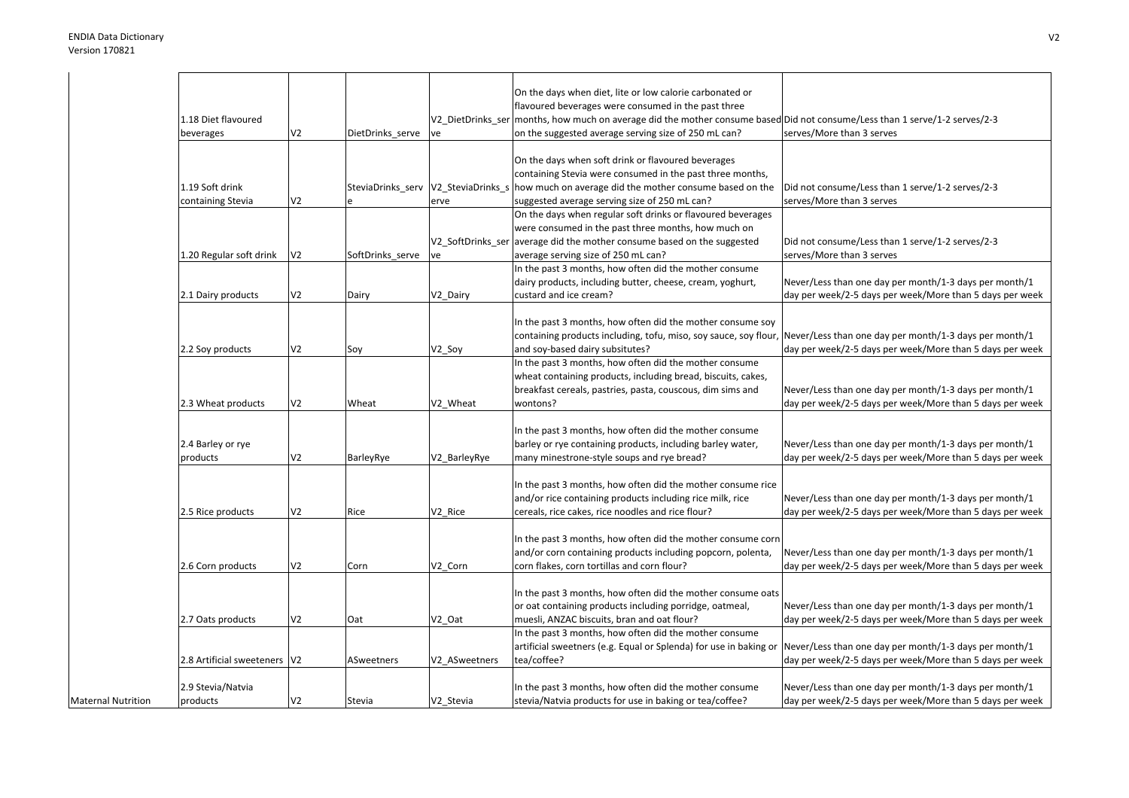|                           |                                |                |                                     |                   | On the days when diet, lite or low calorie carbonated or                                                  |                                                          |
|---------------------------|--------------------------------|----------------|-------------------------------------|-------------------|-----------------------------------------------------------------------------------------------------------|----------------------------------------------------------|
|                           |                                |                |                                     |                   | flavoured beverages were consumed in the past three                                                       |                                                          |
|                           | 1.18 Diet flavoured            |                |                                     | V2_DietDrinks_ser | months, how much on average did the mother consume based Did not consume/Less than 1 serve/1-2 serves/2-3 |                                                          |
|                           | beverages                      | V <sub>2</sub> | DietDrinks_serve                    | ve                | on the suggested average serving size of 250 mL can?                                                      | serves/More than 3 serves                                |
|                           |                                |                |                                     |                   |                                                                                                           |                                                          |
|                           |                                |                |                                     |                   | On the days when soft drink or flavoured beverages                                                        |                                                          |
|                           |                                |                |                                     |                   | containing Stevia were consumed in the past three months,                                                 |                                                          |
|                           | 1.19 Soft drink                |                | SteviaDrinks_serv V2_SteviaDrinks_s |                   | how much on average did the mother consume based on the                                                   | Did not consume/Less than 1 serve/1-2 serves/2-3         |
|                           | containing Stevia              | V <sub>2</sub> |                                     | erve              | suggested average serving size of 250 mL can?                                                             | serves/More than 3 serves                                |
|                           |                                |                |                                     |                   | On the days when regular soft drinks or flavoured beverages                                               |                                                          |
|                           |                                |                |                                     |                   | were consumed in the past three months, how much on                                                       |                                                          |
|                           |                                |                |                                     | V2 SoftDrinks ser | average did the mother consume based on the suggested                                                     | Did not consume/Less than 1 serve/1-2 serves/2-3         |
|                           | 1.20 Regular soft drink        | V <sub>2</sub> | SoftDrinks_serve                    | ve                | average serving size of 250 mL can?                                                                       | serves/More than 3 serves                                |
|                           |                                |                |                                     |                   | In the past 3 months, how often did the mother consume                                                    |                                                          |
|                           |                                |                |                                     |                   | dairy products, including butter, cheese, cream, yoghurt,                                                 | Never/Less than one day per month/1-3 days per month/1   |
|                           | 2.1 Dairy products             | V <sub>2</sub> | Dairy                               | V2_Dairy          | custard and ice cream?                                                                                    | day per week/2-5 days per week/More than 5 days per week |
|                           |                                |                |                                     |                   |                                                                                                           |                                                          |
|                           |                                |                |                                     |                   |                                                                                                           |                                                          |
|                           |                                |                |                                     |                   | In the past 3 months, how often did the mother consume soy                                                |                                                          |
|                           |                                |                |                                     |                   | containing products including, tofu, miso, soy sauce, soy flour,                                          | Never/Less than one day per month/1-3 days per month/1   |
|                           | 2.2 Soy products               | V <sub>2</sub> | Soy                                 | V2_Soy            | and soy-based dairy subsitutes?                                                                           | day per week/2-5 days per week/More than 5 days per week |
|                           |                                |                |                                     |                   | In the past 3 months, how often did the mother consume                                                    |                                                          |
|                           |                                |                |                                     |                   | wheat containing products, including bread, biscuits, cakes,                                              |                                                          |
|                           |                                |                |                                     |                   | breakfast cereals, pastries, pasta, couscous, dim sims and                                                | Never/Less than one day per month/1-3 days per month/1   |
|                           | 2.3 Wheat products             | V <sub>2</sub> | Wheat                               | V2 Wheat          | wontons?                                                                                                  | day per week/2-5 days per week/More than 5 days per week |
|                           |                                |                |                                     |                   |                                                                                                           |                                                          |
|                           |                                |                |                                     |                   | In the past 3 months, how often did the mother consume                                                    |                                                          |
|                           | 2.4 Barley or rye              |                |                                     |                   | barley or rye containing products, including barley water,                                                | Never/Less than one day per month/1-3 days per month/1   |
|                           | products                       | V <sub>2</sub> | BarleyRye                           | V2 BarleyRye      | many minestrone-style soups and rye bread?                                                                | day per week/2-5 days per week/More than 5 days per week |
|                           |                                |                |                                     |                   |                                                                                                           |                                                          |
|                           |                                |                |                                     |                   | In the past 3 months, how often did the mother consume rice                                               |                                                          |
|                           |                                |                |                                     |                   | and/or rice containing products including rice milk, rice                                                 | Never/Less than one day per month/1-3 days per month/1   |
|                           | 2.5 Rice products              | V <sub>2</sub> | Rice                                | V2 Rice           | cereals, rice cakes, rice noodles and rice flour?                                                         | day per week/2-5 days per week/More than 5 days per week |
|                           |                                |                |                                     |                   |                                                                                                           |                                                          |
|                           |                                |                |                                     |                   | In the past 3 months, how often did the mother consume corn                                               |                                                          |
|                           |                                |                |                                     |                   | and/or corn containing products including popcorn, polenta,                                               | Never/Less than one day per month/1-3 days per month/1   |
|                           | 2.6 Corn products              | V <sub>2</sub> | Corn                                | V2 Corn           | corn flakes, corn tortillas and corn flour?                                                               | day per week/2-5 days per week/More than 5 days per week |
|                           |                                |                |                                     |                   |                                                                                                           |                                                          |
|                           |                                |                |                                     |                   |                                                                                                           |                                                          |
|                           |                                |                |                                     |                   | In the past 3 months, how often did the mother consume oats                                               |                                                          |
|                           |                                |                |                                     |                   | or oat containing products including porridge, oatmeal,                                                   | Never/Less than one day per month/1-3 days per month/1   |
|                           | 2.7 Oats products              | V <sub>2</sub> | Oat                                 | V2 Oat            | muesli, ANZAC biscuits, bran and oat flour?                                                               | day per week/2-5 days per week/More than 5 days per week |
|                           |                                |                |                                     |                   | In the past 3 months, how often did the mother consume                                                    |                                                          |
|                           |                                |                |                                     |                   | artificial sweetners (e.g. Equal or Splenda) for use in baking or                                         | Never/Less than one day per month/1-3 days per month/1   |
|                           | 2.8 Artificial sweeteners   V2 |                | ASweetners                          | V2 ASweetners     | tea/coffee?                                                                                               | day per week/2-5 days per week/More than 5 days per week |
|                           |                                |                |                                     |                   |                                                                                                           |                                                          |
|                           | 2.9 Stevia/Natvia              |                |                                     |                   | In the past 3 months, how often did the mother consume                                                    | Never/Less than one day per month/1-3 days per month/1   |
| <b>Maternal Nutrition</b> | products                       | V <sub>2</sub> | Stevia                              | V2 Stevia         | stevia/Natvia products for use in baking or tea/coffee?                                                   | day per week/2-5 days per week/More than 5 days per week |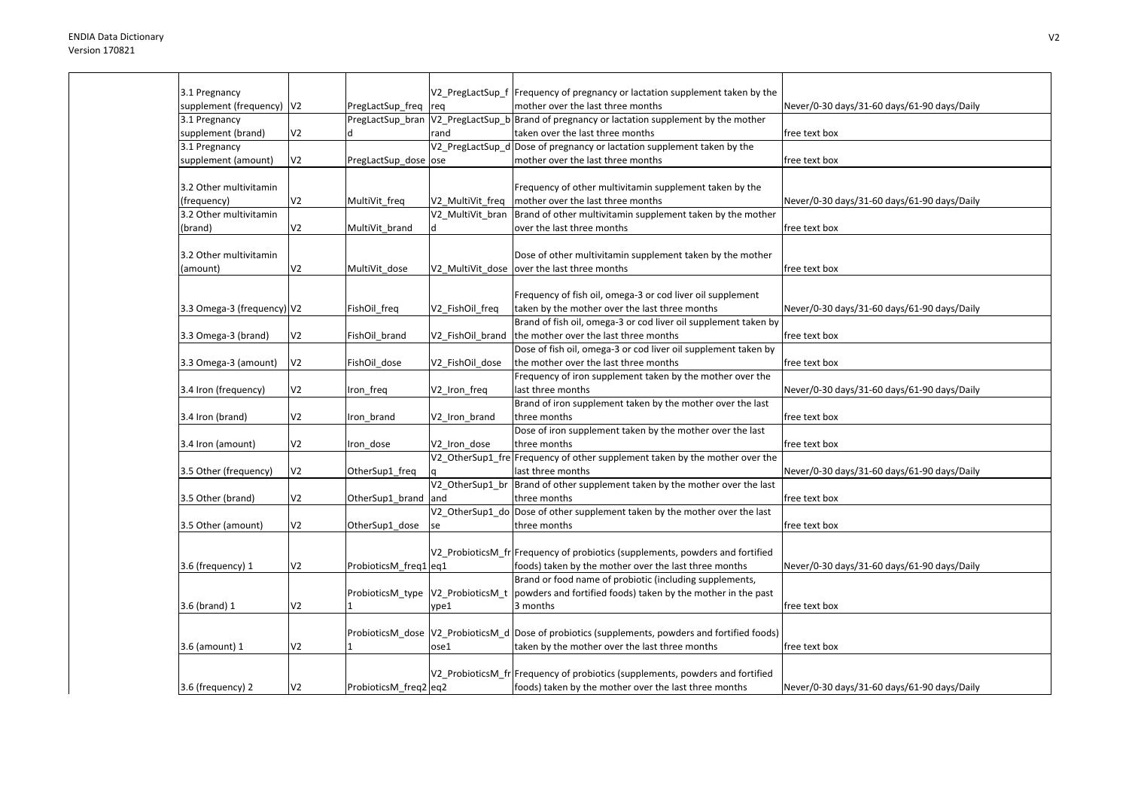| 3.1 Pregnancy               |                |                                   |                  | V2_PregLactSup_f  Frequency of pregnancy or lactation supplement taken by the                     |                                             |
|-----------------------------|----------------|-----------------------------------|------------------|---------------------------------------------------------------------------------------------------|---------------------------------------------|
| supplement (frequency)   V2 |                | PregLactSup_freq                  | req              | mother over the last three months                                                                 | Never/0-30 days/31-60 days/61-90 days/Daily |
| 3.1 Pregnancy               |                |                                   |                  | PreglactSup bran $V2$ PreglactSup b Brand of pregnancy or lactation supplement by the mother      |                                             |
| supplement (brand)          | V <sub>2</sub> |                                   | rand             | taken over the last three months                                                                  | free text box                               |
| 3.1 Pregnancy               |                |                                   |                  | V2 PregLactSup d Dose of pregnancy or lactation supplement taken by the                           |                                             |
| supplement (amount)         | V <sub>2</sub> | PregLactSup dose ose              |                  | mother over the last three months                                                                 | free text box                               |
|                             |                |                                   |                  |                                                                                                   |                                             |
| 3.2 Other multivitamin      |                |                                   |                  | Frequency of other multivitamin supplement taken by the                                           |                                             |
| (frequency)                 | V <sub>2</sub> | MultiVit_freq                     | V2 MultiVit freq | mother over the last three months                                                                 | Never/0-30 days/31-60 days/61-90 days/Daily |
| 3.2 Other multivitamin      |                |                                   | V2 MultiVit bran | Brand of other multivitamin supplement taken by the mother                                        |                                             |
| (brand)                     | V <sub>2</sub> | MultiVit brand                    | ld.              | over the last three months                                                                        | free text box                               |
|                             |                |                                   |                  |                                                                                                   |                                             |
| 3.2 Other multivitamin      |                |                                   |                  | Dose of other multivitamin supplement taken by the mother                                         |                                             |
| (amount)                    | V <sub>2</sub> | MultiVit dose                     |                  | V2_MultiVit_dose  over the last three months                                                      | free text box                               |
|                             |                |                                   |                  |                                                                                                   |                                             |
|                             |                |                                   |                  | Frequency of fish oil, omega-3 or cod liver oil supplement                                        |                                             |
| 3.3 Omega-3 (frequency) V2  |                | FishOil_freq                      | V2_FishOil_freq  | taken by the mother over the last three months                                                    | Never/0-30 days/31-60 days/61-90 days/Daily |
|                             |                |                                   |                  | Brand of fish oil, omega-3 or cod liver oil supplement taken by                                   |                                             |
| 3.3 Omega-3 (brand)         | V <sub>2</sub> | FishOil brand                     | V2_FishOil_brand | the mother over the last three months                                                             | free text box                               |
|                             |                |                                   |                  | Dose of fish oil, omega-3 or cod liver oil supplement taken by                                    |                                             |
| 3.3 Omega-3 (amount)        | V <sub>2</sub> | FishOil dose                      | V2 FishOil dose  | the mother over the last three months                                                             | free text box                               |
|                             |                |                                   |                  | Frequency of iron supplement taken by the mother over the                                         |                                             |
| 3.4 Iron (frequency)        | V <sub>2</sub> | Iron_freq                         | V2_Iron_freq     | last three months                                                                                 | Never/0-30 days/31-60 days/61-90 days/Daily |
|                             |                |                                   |                  | Brand of iron supplement taken by the mother over the last                                        |                                             |
| 3.4 Iron (brand)            | V <sub>2</sub> | Iron brand                        | V2_Iron_brand    | three months                                                                                      | free text box                               |
|                             |                |                                   |                  | Dose of iron supplement taken by the mother over the last                                         |                                             |
|                             | V <sub>2</sub> |                                   | V2 Iron dose     | three months                                                                                      | free text box                               |
| 3.4 Iron (amount)           |                | Iron_dose                         |                  |                                                                                                   |                                             |
|                             |                |                                   |                  | V2_OtherSup1_fre Frequency of other supplement taken by the mother over the                       |                                             |
| 3.5 Other (frequency)       | V <sub>2</sub> | OtherSup1_freq                    |                  | last three months                                                                                 | Never/0-30 days/31-60 days/61-90 days/Daily |
|                             |                |                                   | V2 OtherSup1 br  | Brand of other supplement taken by the mother over the last                                       |                                             |
| 3.5 Other (brand)           | V <sub>2</sub> | OtherSup1_brand                   | and              | three months                                                                                      | free text box                               |
|                             |                |                                   |                  | V2_OtherSup1_do Dose of other supplement taken by the mother over the last                        |                                             |
| 3.5 Other (amount)          | V <sub>2</sub> | OtherSup1_dose                    | se               | three months                                                                                      | free text box                               |
|                             |                |                                   |                  |                                                                                                   |                                             |
|                             |                |                                   |                  | V2 ProbioticsM fr Frequency of probiotics (supplements, powders and fortified                     |                                             |
| 3.6 (frequency) 1           | V <sub>2</sub> | ProbioticsM_freq1 eq1             |                  | foods) taken by the mother over the last three months                                             | Never/0-30 days/31-60 days/61-90 days/Daily |
|                             |                |                                   |                  | Brand or food name of probiotic (including supplements,                                           |                                             |
|                             |                | ProbioticsM_type V2_ProbioticsM_t |                  | powders and fortified foods) taken by the mother in the past                                      |                                             |
| 3.6 (brand) 1               | V <sub>2</sub> | 1                                 | vpe1             | 3 months                                                                                          | free text box                               |
|                             |                |                                   |                  |                                                                                                   |                                             |
|                             |                |                                   |                  | ProbioticsM_dose  V2_ProbioticsM_d  Dose of probiotics (supplements, powders and fortified foods) |                                             |
| 3.6 (amount) 1              | V <sub>2</sub> |                                   | ose1             | taken by the mother over the last three months                                                    | free text box                               |
|                             |                |                                   |                  |                                                                                                   |                                             |
|                             |                |                                   |                  | V2 ProbioticsM fr Frequency of probiotics (supplements, powders and fortified                     |                                             |
| 3.6 (frequency) 2           | V <sub>2</sub> | ProbioticsM freq2 eq2             |                  | foods) taken by the mother over the last three months                                             | Never/0-30 days/31-60 days/61-90 days/Daily |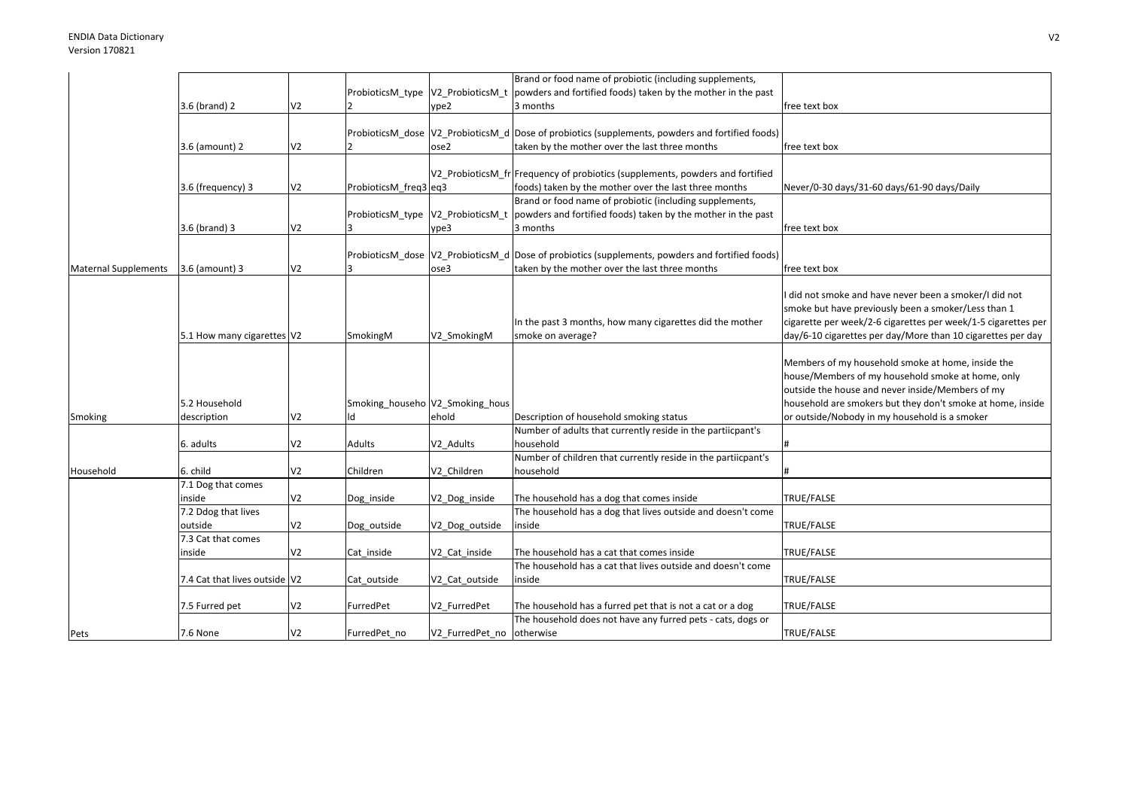|                             |                               |                |                       |                                 | Brand or food name of probiotic (including supplements,                                              |                                                               |
|-----------------------------|-------------------------------|----------------|-----------------------|---------------------------------|------------------------------------------------------------------------------------------------------|---------------------------------------------------------------|
|                             |                               |                |                       |                                 | ProbioticsM_type $ V2_P$ robioticsM_t   powders and fortified foods) taken by the mother in the past |                                                               |
|                             | 3.6 (brand) 2                 | V <sub>2</sub> |                       | ype2                            | 3 months                                                                                             | free text box                                                 |
|                             |                               |                |                       |                                 |                                                                                                      |                                                               |
|                             |                               |                |                       |                                 | ProbioticsM_dose  V2_ProbioticsM_d  Dose of probiotics (supplements, powders and fortified foods)    |                                                               |
|                             | 3.6 (amount) 2                | V <sub>2</sub> |                       | ose2                            | taken by the mother over the last three months                                                       | free text box                                                 |
|                             |                               |                |                       |                                 |                                                                                                      |                                                               |
|                             |                               |                |                       |                                 | V2 ProbioticsM fr Frequency of probiotics (supplements, powders and fortified                        |                                                               |
|                             | 3.6 (frequency) 3             | V <sub>2</sub> | ProbioticsM_freq3 eq3 |                                 | foods) taken by the mother over the last three months                                                | Never/0-30 days/31-60 days/61-90 days/Daily                   |
|                             |                               |                |                       |                                 | Brand or food name of probiotic (including supplements,                                              |                                                               |
|                             |                               |                |                       |                                 |                                                                                                      |                                                               |
|                             |                               |                |                       |                                 | ProbioticsM_type $ V2_P$ robioticsM_t   powders and fortified foods) taken by the mother in the past |                                                               |
|                             | 3.6 (brand) 3                 | V <sub>2</sub> |                       | ype3                            | 3 months                                                                                             | free text box                                                 |
|                             |                               |                |                       |                                 |                                                                                                      |                                                               |
|                             |                               |                |                       |                                 | ProbioticsM dose V2 ProbioticsM d Dose of probiotics (supplements, powders and fortified foods)      |                                                               |
| <b>Maternal Supplements</b> | 3.6 (amount) 3                | V <sub>2</sub> |                       | ose3                            | taken by the mother over the last three months                                                       | free text box                                                 |
|                             |                               |                |                       |                                 |                                                                                                      |                                                               |
|                             |                               |                |                       |                                 |                                                                                                      | did not smoke and have never been a smoker/I did not          |
|                             |                               |                |                       |                                 |                                                                                                      | smoke but have previously been a smoker/Less than 1           |
|                             |                               |                |                       |                                 | In the past 3 months, how many cigarettes did the mother                                             | cigarette per week/2-6 cigarettes per week/1-5 cigarettes per |
|                             | 5.1 How many cigarettes V2    |                | SmokingM              | V2 SmokingM                     | smoke on average?                                                                                    | day/6-10 cigarettes per day/More than 10 cigarettes per day   |
|                             |                               |                |                       |                                 |                                                                                                      |                                                               |
|                             |                               |                |                       |                                 |                                                                                                      | Members of my household smoke at home, inside the             |
|                             |                               |                |                       |                                 |                                                                                                      | house/Members of my household smoke at home, only             |
|                             |                               |                |                       |                                 |                                                                                                      | outside the house and never inside/Members of my              |
|                             | 5.2 Household                 |                |                       | Smoking_househo V2_Smoking_hous |                                                                                                      | household are smokers but they don't smoke at home, inside    |
|                             | description                   | V <sub>2</sub> |                       | ehold                           | Description of household smoking status                                                              | or outside/Nobody in my household is a smoker                 |
| Smoking                     |                               |                |                       |                                 | Number of adults that currently reside in the partiicpant's                                          |                                                               |
|                             |                               |                |                       |                                 |                                                                                                      |                                                               |
|                             | 6. adults                     | V <sub>2</sub> | Adults                | V2 Adults                       | household                                                                                            |                                                               |
|                             |                               |                |                       |                                 | Number of children that currently reside in the partiicpant's                                        |                                                               |
| Household                   | 6. child                      | V <sub>2</sub> | Children              | V2 Children                     | household                                                                                            |                                                               |
|                             | 7.1 Dog that comes            |                |                       |                                 |                                                                                                      |                                                               |
|                             | inside                        | V <sub>2</sub> | Dog_inside            | V2_Dog_inside                   | The household has a dog that comes inside                                                            | TRUE/FALSE                                                    |
|                             | 7.2 Ddog that lives           |                |                       |                                 | The household has a dog that lives outside and doesn't come                                          |                                                               |
|                             | outside                       | V <sub>2</sub> | Dog outside           | V2 Dog outside                  | inside                                                                                               | TRUE/FALSE                                                    |
|                             | 7.3 Cat that comes            |                |                       |                                 |                                                                                                      |                                                               |
|                             | inside                        | V <sub>2</sub> | Cat inside            | V2_Cat_inside                   | The household has a cat that comes inside                                                            | TRUE/FALSE                                                    |
|                             |                               |                |                       |                                 | The household has a cat that lives outside and doesn't come                                          |                                                               |
|                             | 7.4 Cat that lives outside V2 |                | Cat outside           | V2 Cat outside                  | inside                                                                                               | TRUE/FALSE                                                    |
|                             |                               |                |                       |                                 |                                                                                                      |                                                               |
|                             | 7.5 Furred pet                | V <sub>2</sub> | FurredPet             | V2 FurredPet                    | The household has a furred pet that is not a cat or a dog                                            | TRUE/FALSE                                                    |
|                             |                               |                |                       |                                 | The household does not have any furred pets - cats, dogs or                                          |                                                               |
|                             |                               |                |                       |                                 |                                                                                                      |                                                               |
| Pets                        | 7.6 None                      | V <sub>2</sub> | FurredPet no          | V2 FurredPet no otherwise       |                                                                                                      | TRUE/FALSE                                                    |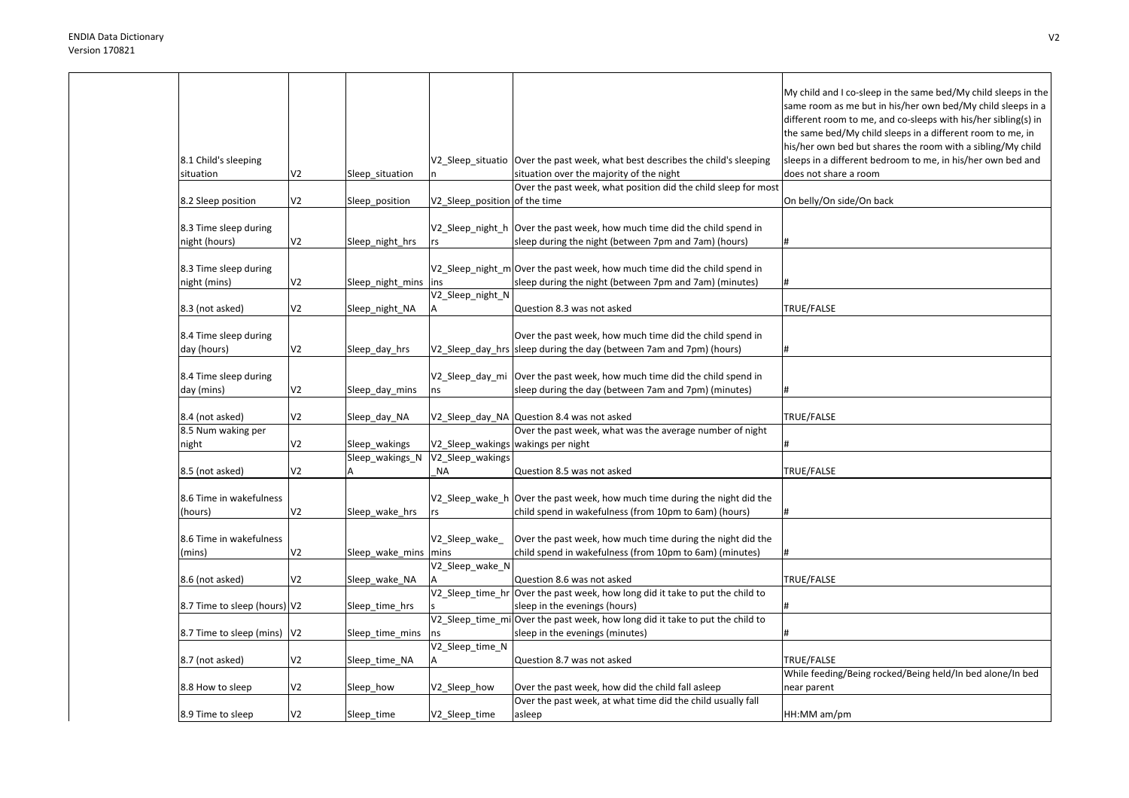|                              |                |                        |                                    |                                                                                                                | My child and I co-sleep in the same bed/My child sleeps in the<br>same room as me but in his/her own bed/My child sleeps in a<br>different room to me, and co-sleeps with his/her sibling(s) in<br>the same bed/My child sleeps in a different room to me, in<br>his/her own bed but shares the room with a sibling/My child |
|------------------------------|----------------|------------------------|------------------------------------|----------------------------------------------------------------------------------------------------------------|------------------------------------------------------------------------------------------------------------------------------------------------------------------------------------------------------------------------------------------------------------------------------------------------------------------------------|
| 8.1 Child's sleeping         |                |                        |                                    | V2_Sleep_situatio   Over the past week, what best describes the child's sleeping                               | sleeps in a different bedroom to me, in his/her own bed and                                                                                                                                                                                                                                                                  |
| situation                    | V2             | Sleep_situation        |                                    | situation over the majority of the night                                                                       | does not share a room                                                                                                                                                                                                                                                                                                        |
|                              | V2             |                        |                                    | Over the past week, what position did the child sleep for most                                                 |                                                                                                                                                                                                                                                                                                                              |
| 8.2 Sleep position           |                | Sleep_position         | V2_Sleep_position of the time      |                                                                                                                | On belly/On side/On back                                                                                                                                                                                                                                                                                                     |
| 8.3 Time sleep during        |                |                        |                                    | V2 Sleep night h Over the past week, how much time did the child spend in                                      |                                                                                                                                                                                                                                                                                                                              |
| night (hours)                | V <sub>2</sub> | Sleep_night_hrs        | rs                                 | sleep during the night (between 7pm and 7am) (hours)                                                           |                                                                                                                                                                                                                                                                                                                              |
|                              |                |                        |                                    |                                                                                                                |                                                                                                                                                                                                                                                                                                                              |
| 8.3 Time sleep during        |                |                        |                                    | V2_Sleep_night_m Over the past week, how much time did the child spend in                                      |                                                                                                                                                                                                                                                                                                                              |
| night (mins)                 | V2             | Sleep_night_mins       | ins                                | sleep during the night (between 7pm and 7am) (minutes)                                                         |                                                                                                                                                                                                                                                                                                                              |
|                              |                |                        | V2_Sleep_night_N                   |                                                                                                                |                                                                                                                                                                                                                                                                                                                              |
| 8.3 (not asked)              | V2             | Sleep_night_NA         | Α                                  | Question 8.3 was not asked                                                                                     | TRUE/FALSE                                                                                                                                                                                                                                                                                                                   |
|                              |                |                        |                                    |                                                                                                                |                                                                                                                                                                                                                                                                                                                              |
| 8.4 Time sleep during        |                |                        |                                    | Over the past week, how much time did the child spend in                                                       |                                                                                                                                                                                                                                                                                                                              |
| day (hours)                  | V <sub>2</sub> | Sleep_day_hrs          |                                    | V2_Sleep_day_hrs   sleep during the day (between 7am and 7pm) (hours)                                          |                                                                                                                                                                                                                                                                                                                              |
|                              |                |                        |                                    |                                                                                                                |                                                                                                                                                                                                                                                                                                                              |
| 8.4 Time sleep during        |                |                        |                                    | V2_Sleep_day_mi Over the past week, how much time did the child spend in                                       |                                                                                                                                                                                                                                                                                                                              |
| day (mins)                   | V <sub>2</sub> | Sleep_day_mins         | ns                                 | sleep during the day (between 7am and 7pm) (minutes)                                                           |                                                                                                                                                                                                                                                                                                                              |
|                              |                |                        |                                    |                                                                                                                |                                                                                                                                                                                                                                                                                                                              |
| 8.4 (not asked)              | V2             | Sleep_day_NA           |                                    | V2_Sleep_day_NA Question 8.4 was not asked                                                                     | TRUE/FALSE                                                                                                                                                                                                                                                                                                                   |
| 8.5 Num waking per           |                |                        |                                    | Over the past week, what was the average number of night                                                       |                                                                                                                                                                                                                                                                                                                              |
| night                        | V2             | Sleep wakings          | V2 Sleep wakings wakings per night |                                                                                                                |                                                                                                                                                                                                                                                                                                                              |
|                              |                | Sleep_wakings_N        | V2 Sleep wakings                   |                                                                                                                |                                                                                                                                                                                                                                                                                                                              |
| 8.5 (not asked)              | V2             |                        | <b>NA</b>                          | Question 8.5 was not asked                                                                                     | TRUE/FALSE                                                                                                                                                                                                                                                                                                                   |
|                              |                |                        |                                    |                                                                                                                |                                                                                                                                                                                                                                                                                                                              |
| 8.6 Time in wakefulness      |                |                        |                                    | V2_Sleep_wake_h Over the past week, how much time during the night did the                                     |                                                                                                                                                                                                                                                                                                                              |
| (hours)                      | V2             | Sleep_wake_hrs         | rs                                 | child spend in wakefulness (from 10pm to 6am) (hours)                                                          | #                                                                                                                                                                                                                                                                                                                            |
|                              |                |                        |                                    |                                                                                                                |                                                                                                                                                                                                                                                                                                                              |
| 8.6 Time in wakefulness      |                |                        | V2_Sleep_wake_                     | Over the past week, how much time during the night did the                                                     |                                                                                                                                                                                                                                                                                                                              |
| (mins)                       | V2             | Sleep_wake_mins   mins |                                    | child spend in wakefulness (from 10pm to 6am) (minutes)                                                        |                                                                                                                                                                                                                                                                                                                              |
|                              |                |                        | V2_Sleep_wake_N                    |                                                                                                                |                                                                                                                                                                                                                                                                                                                              |
| 8.6 (not asked)              | V2             | Sleep_wake_NA          |                                    | Question 8.6 was not asked                                                                                     | TRUE/FALSE                                                                                                                                                                                                                                                                                                                   |
|                              |                |                        | V2_Sleep_time_hr                   | Over the past week, how long did it take to put the child to                                                   |                                                                                                                                                                                                                                                                                                                              |
| 8.7 Time to sleep (hours) V2 |                | Sleep_time_hrs         |                                    | sleep in the evenings (hours)<br>V2_Sleep_time_mi Over the past week, how long did it take to put the child to |                                                                                                                                                                                                                                                                                                                              |
|                              |                |                        |                                    | sleep in the evenings (minutes)                                                                                |                                                                                                                                                                                                                                                                                                                              |
| 8.7 Time to sleep (mins) V2  |                | Sleep_time_mins        | ns<br>V2_Sleep_time_N              |                                                                                                                |                                                                                                                                                                                                                                                                                                                              |
| 8.7 (not asked)              | V2             | Sleep time NA          | A                                  | Question 8.7 was not asked                                                                                     | TRUE/FALSE                                                                                                                                                                                                                                                                                                                   |
|                              |                |                        |                                    |                                                                                                                | While feeding/Being rocked/Being held/In bed alone/In bed                                                                                                                                                                                                                                                                    |
| 8.8 How to sleep             | V <sub>2</sub> | Sleep_how              | V2_Sleep_how                       | Over the past week, how did the child fall asleep                                                              | near parent                                                                                                                                                                                                                                                                                                                  |
|                              |                |                        |                                    | Over the past week, at what time did the child usually fall                                                    |                                                                                                                                                                                                                                                                                                                              |
|                              | V2             |                        |                                    |                                                                                                                | HH:MM am/pm                                                                                                                                                                                                                                                                                                                  |
| 8.9 Time to sleep            |                | Sleep_time             | V2_Sleep_time                      | asleep                                                                                                         |                                                                                                                                                                                                                                                                                                                              |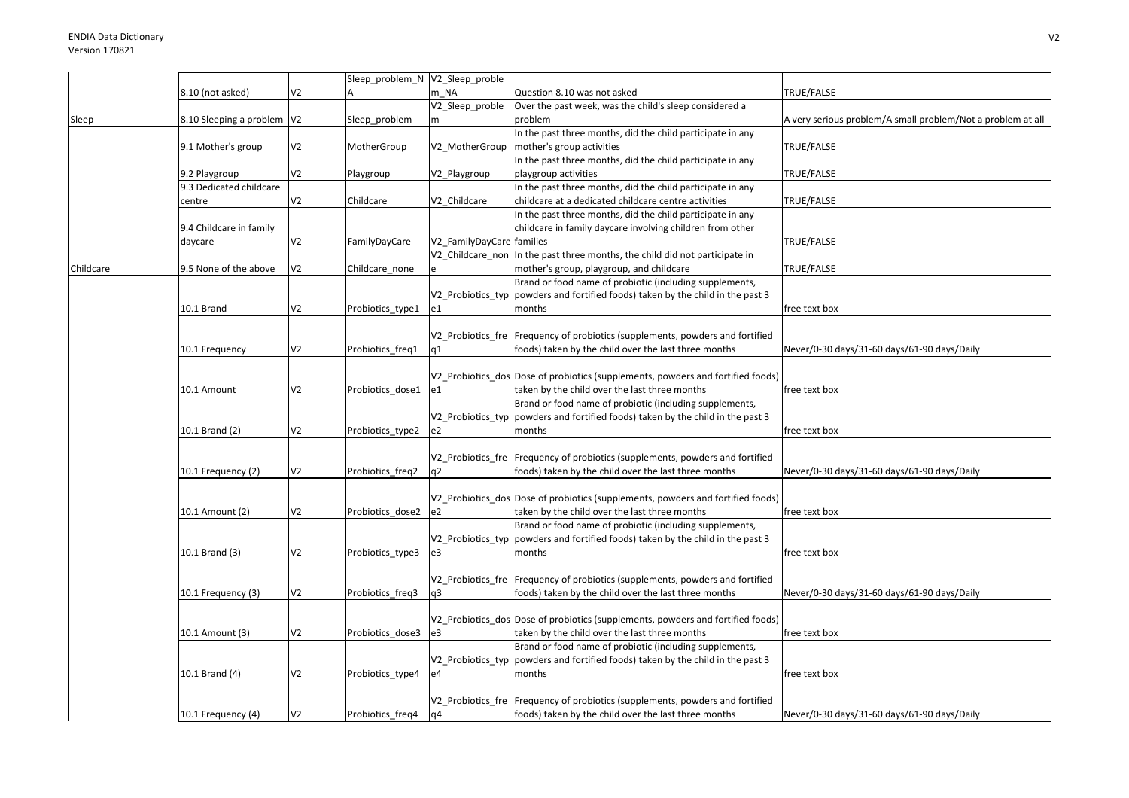|           |                              |                | Sleep_problem_N V2_Sleep_proble |                           |                                                                                 |                                                             |
|-----------|------------------------------|----------------|---------------------------------|---------------------------|---------------------------------------------------------------------------------|-------------------------------------------------------------|
|           | 8.10 (not asked)             | V <sub>2</sub> |                                 | m NA                      | Question 8.10 was not asked                                                     | TRUE/FALSE                                                  |
|           |                              |                |                                 | V2 Sleep proble           | Over the past week, was the child's sleep considered a                          |                                                             |
|           | 8.10 Sleeping a problem   V2 |                |                                 | m                         | problem                                                                         | A very serious problem/A small problem/Not a problem at all |
| Sleep     |                              |                | Sleep_problem                   |                           |                                                                                 |                                                             |
|           |                              |                |                                 |                           | In the past three months, did the child participate in any                      |                                                             |
|           | 9.1 Mother's group           | V <sub>2</sub> | MotherGroup                     | V2 MotherGroup            | mother's group activities                                                       | TRUE/FALSE                                                  |
|           |                              |                |                                 |                           | In the past three months, did the child participate in any                      |                                                             |
|           | 9.2 Playgroup                | V <sub>2</sub> | Playgroup                       | V2_Playgroup              | playgroup activities                                                            | TRUE/FALSE                                                  |
|           | 9.3 Dedicated childcare      |                |                                 |                           | In the past three months, did the child participate in any                      |                                                             |
|           | centre                       | V2             | Childcare                       | V2 Childcare              | childcare at a dedicated childcare centre activities                            | TRUE/FALSE                                                  |
|           |                              |                |                                 |                           | In the past three months, did the child participate in any                      |                                                             |
|           |                              |                |                                 |                           |                                                                                 |                                                             |
|           | 9.4 Childcare in family      |                |                                 |                           | childcare in family daycare involving children from other                       |                                                             |
|           | daycare                      | V <sub>2</sub> | FamilyDayCare                   | V2 FamilyDayCare families |                                                                                 | TRUE/FALSE                                                  |
|           |                              |                |                                 | V2 Childcare non          | In the past three months, the child did not participate in                      |                                                             |
| Childcare | 9.5 None of the above        | V <sub>2</sub> | Childcare_none                  |                           | mother's group, playgroup, and childcare                                        | TRUE/FALSE                                                  |
|           |                              |                |                                 |                           | Brand or food name of probiotic (including supplements,                         |                                                             |
|           |                              |                |                                 | V2 Probiotics typ         | powders and fortified foods) taken by the child in the past 3                   |                                                             |
|           | 10.1 Brand                   | V <sub>2</sub> | Probiotics_type1                | e1                        | months                                                                          | free text box                                               |
|           |                              |                |                                 |                           |                                                                                 |                                                             |
|           |                              |                |                                 |                           |                                                                                 |                                                             |
|           |                              |                |                                 |                           | V2 Probiotics fre Frequency of probiotics (supplements, powders and fortified   |                                                             |
|           | 10.1 Frequency               | V <sub>2</sub> | Probiotics freq1                | q1                        | foods) taken by the child over the last three months                            | Never/0-30 days/31-60 days/61-90 days/Daily                 |
|           |                              |                |                                 |                           |                                                                                 |                                                             |
|           |                              |                |                                 |                           | V2_Probiotics_dos Dose of probiotics (supplements, powders and fortified foods) |                                                             |
|           | 10.1 Amount                  | V <sub>2</sub> | Probiotics_dose1                | e1                        | taken by the child over the last three months                                   | free text box                                               |
|           |                              |                |                                 |                           | Brand or food name of probiotic (including supplements,                         |                                                             |
|           |                              |                |                                 | V2_Probiotics_typ         | powders and fortified foods) taken by the child in the past 3                   |                                                             |
|           | 10.1 Brand (2)               | V <sub>2</sub> | Probiotics type2                | e2                        | months                                                                          | free text box                                               |
|           |                              |                |                                 |                           |                                                                                 |                                                             |
|           |                              |                |                                 |                           |                                                                                 |                                                             |
|           |                              |                |                                 |                           | V2_Probiotics_fre Frequency of probiotics (supplements, powders and fortified   |                                                             |
|           | 10.1 Frequency (2)           | V <sub>2</sub> | Probiotics_freq2                | q2                        | foods) taken by the child over the last three months                            | Never/0-30 days/31-60 days/61-90 days/Daily                 |
|           |                              |                |                                 |                           |                                                                                 |                                                             |
|           |                              |                |                                 |                           | V2 Probiotics dos Dose of probiotics (supplements, powders and fortified foods) |                                                             |
|           | 10.1 Amount (2)              | V <sub>2</sub> | Probiotics_dose2                | e2                        | taken by the child over the last three months                                   | free text box                                               |
|           |                              |                |                                 |                           | Brand or food name of probiotic (including supplements,                         |                                                             |
|           |                              |                |                                 |                           |                                                                                 |                                                             |
|           |                              |                |                                 | V2 Probiotics typ         | powders and fortified foods) taken by the child in the past 3                   |                                                             |
|           | 10.1 Brand (3)               | V <sub>2</sub> | Probiotics type3                | e3                        | months                                                                          | free text box                                               |
|           |                              |                |                                 |                           |                                                                                 |                                                             |
|           |                              |                |                                 |                           | V2 Probiotics fre Frequency of probiotics (supplements, powders and fortified   |                                                             |
|           | 10.1 Frequency (3)           | V <sub>2</sub> | Probiotics freq3                | q3                        | foods) taken by the child over the last three months                            | Never/0-30 days/31-60 days/61-90 days/Daily                 |
|           |                              |                |                                 |                           |                                                                                 |                                                             |
|           |                              |                |                                 |                           | V2 Probiotics dos Dose of probiotics (supplements, powders and fortified foods) |                                                             |
|           |                              |                |                                 |                           |                                                                                 |                                                             |
|           | 10.1 Amount (3)              | V <sub>2</sub> | Probiotics dose3                | e3                        | taken by the child over the last three months                                   | free text box                                               |
|           |                              |                |                                 |                           | Brand or food name of probiotic (including supplements,                         |                                                             |
|           |                              |                |                                 | V2_Probiotics_typ         | powders and fortified foods) taken by the child in the past 3                   |                                                             |
|           | 10.1 Brand (4)               | V <sub>2</sub> | Probiotics_type4                | e4                        | months                                                                          | free text box                                               |
|           |                              |                |                                 |                           |                                                                                 |                                                             |
|           |                              |                |                                 |                           | V2_Probiotics_fre   Frequency of probiotics (supplements, powders and fortified |                                                             |
|           | 10.1 Frequency (4)           | V <sub>2</sub> | Probiotics_freq4                | q4                        | foods) taken by the child over the last three months                            | Never/0-30 days/31-60 days/61-90 days/Daily                 |
|           |                              |                |                                 |                           |                                                                                 |                                                             |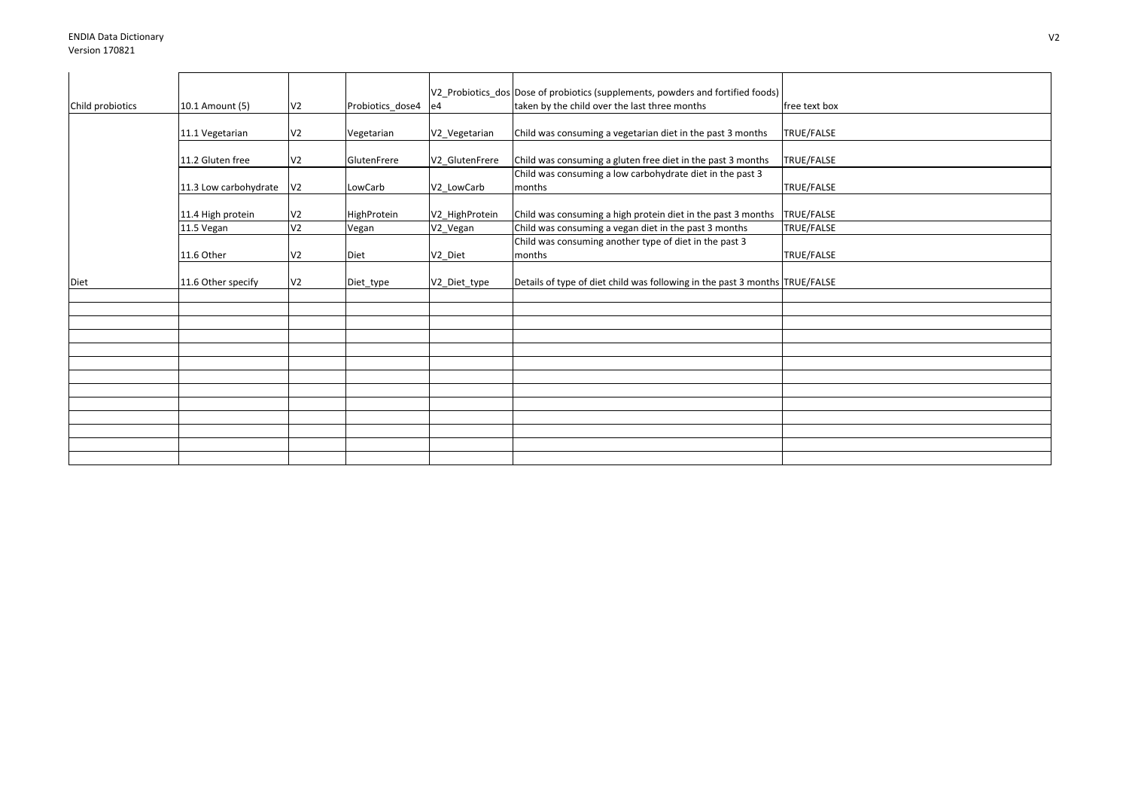|                  |                       |                                  |                  |                | V2_Probiotics_dos Dose of probiotics (supplements, powders and fortified foods) |               |
|------------------|-----------------------|----------------------------------|------------------|----------------|---------------------------------------------------------------------------------|---------------|
| Child probiotics | 10.1 Amount (5)       | V <sub>2</sub>                   | Probiotics_dose4 | e4             | taken by the child over the last three months                                   | free text box |
|                  |                       |                                  |                  |                |                                                                                 |               |
|                  | 11.1 Vegetarian       | V <sub>2</sub>                   | Vegetarian       | V2 Vegetarian  | Child was consuming a vegetarian diet in the past 3 months                      | TRUE/FALSE    |
|                  | 11.2 Gluten free      | V <sub>2</sub>                   | GlutenFrere      | V2 GlutenFrere | Child was consuming a gluten free diet in the past 3 months                     | TRUE/FALSE    |
|                  |                       |                                  |                  |                | Child was consuming a low carbohydrate diet in the past 3                       |               |
|                  | 11.3 Low carbohydrate | V <sub>2</sub>                   | LowCarb          | V2 LowCarb     | months                                                                          | TRUE/FALSE    |
|                  |                       |                                  |                  |                |                                                                                 |               |
|                  | 11.4 High protein     | V <sub>2</sub><br>V <sub>2</sub> | HighProtein      | V2 HighProtein | Child was consuming a high protein diet in the past 3 months                    | TRUE/FALSE    |
|                  | 11.5 Vegan            |                                  | Vegan            | V2_Vegan       | Child was consuming a vegan diet in the past 3 months                           | TRUE/FALSE    |
|                  |                       |                                  |                  |                | Child was consuming another type of diet in the past 3                          |               |
|                  | 11.6 Other            | V <sub>2</sub>                   | Diet             | V2_Diet        | months                                                                          | TRUE/FALSE    |
| Diet             | 11.6 Other specify    | V <sub>2</sub>                   | Diet_type        | V2_Diet_type   | Details of type of diet child was following in the past 3 months TRUE/FALSE     |               |
|                  |                       |                                  |                  |                |                                                                                 |               |
|                  |                       |                                  |                  |                |                                                                                 |               |
|                  |                       |                                  |                  |                |                                                                                 |               |
|                  |                       |                                  |                  |                |                                                                                 |               |
|                  |                       |                                  |                  |                |                                                                                 |               |
|                  |                       |                                  |                  |                |                                                                                 |               |
|                  |                       |                                  |                  |                |                                                                                 |               |
|                  |                       |                                  |                  |                |                                                                                 |               |
|                  |                       |                                  |                  |                |                                                                                 |               |
|                  |                       |                                  |                  |                |                                                                                 |               |
|                  |                       |                                  |                  |                |                                                                                 |               |
|                  |                       |                                  |                  |                |                                                                                 |               |
|                  |                       |                                  |                  |                |                                                                                 |               |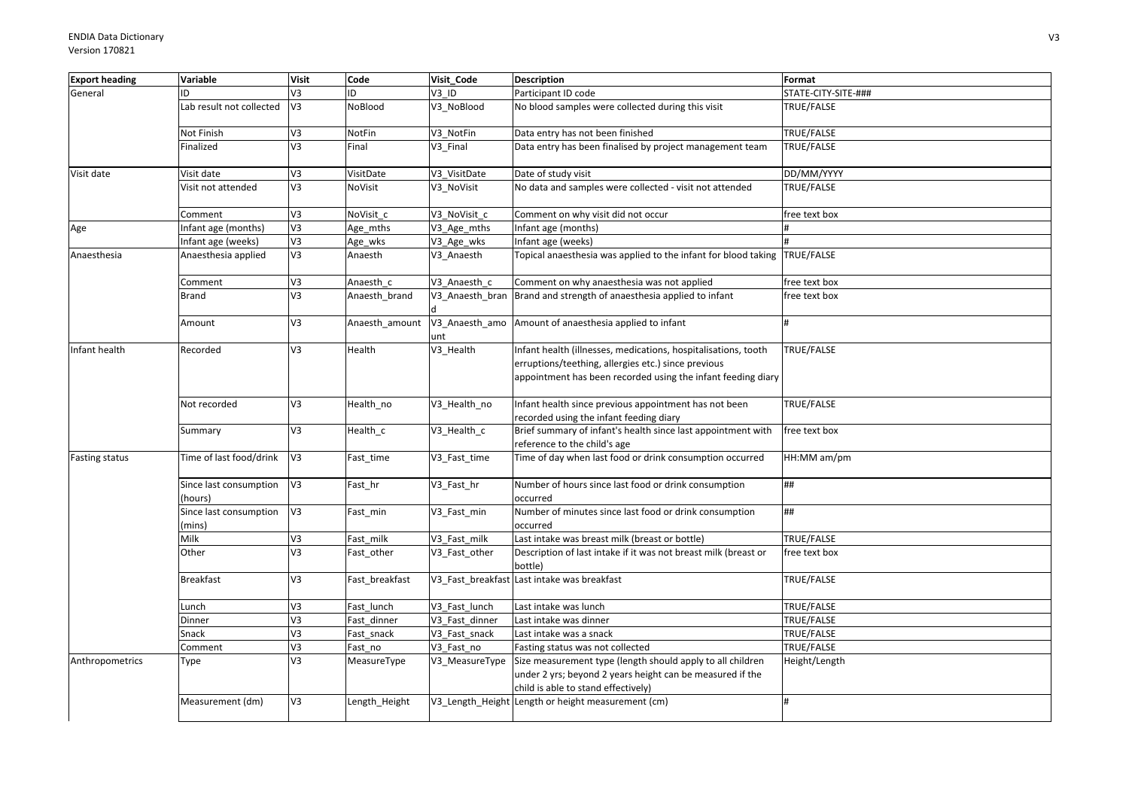| <b>Export heading</b> | Variable                          | <b>Visit</b>   | Code           | Visit Code      | <b>Description</b>                                                                                                                                                                    | Format              |
|-----------------------|-----------------------------------|----------------|----------------|-----------------|---------------------------------------------------------------------------------------------------------------------------------------------------------------------------------------|---------------------|
| General               | ID                                | V3             | ID             | V3 ID           | Participant ID code                                                                                                                                                                   | STATE-CITY-SITE-### |
|                       | Lab result not collected          | V3             | NoBlood        | V3 NoBlood      | No blood samples were collected during this visit                                                                                                                                     | TRUE/FALSE          |
|                       | Not Finish                        | V3             | NotFin         | V3 NotFin       | Data entry has not been finished                                                                                                                                                      | TRUE/FALSE          |
|                       | Finalized                         | V <sub>3</sub> | Final          | V3 Final        | Data entry has been finalised by project management team                                                                                                                              | TRUE/FALSE          |
| Visit date            | Visit date                        | V3             | VisitDate      | V3_VisitDate    | Date of study visit                                                                                                                                                                   | DD/MM/YYYY          |
|                       | Visit not attended                | V3             | NoVisit        | V3 NoVisit      | No data and samples were collected - visit not attended                                                                                                                               | TRUE/FALSE          |
|                       | Comment                           | V3             | NoVisit c      | V3 NoVisit c    | Comment on why visit did not occur                                                                                                                                                    | free text box       |
| Age                   | Infant age (months)               | V3             | Age_mths       | V3 Age mths     | Infant age (months)                                                                                                                                                                   |                     |
|                       | Infant age (weeks)                | V <sub>3</sub> | Age_wks        | V3_Age_wks      | Infant age (weeks)                                                                                                                                                                    |                     |
| Anaesthesia           | Anaesthesia applied               | V3             | Anaesth        | V3 Anaesth      | Topical anaesthesia was applied to the infant for blood taking TRUE/FALSE                                                                                                             |                     |
|                       | Comment                           | V3             | Anaesth c      | V3 Anaesth c    | Comment on why anaesthesia was not applied                                                                                                                                            | free text box       |
|                       | <b>Brand</b>                      | V3             | Anaesth brand  | V3 Anaesth bran | Brand and strength of anaesthesia applied to infant                                                                                                                                   | free text box       |
|                       | Amount                            | V3             | Anaesth amount | unt             | V3_Anaesth_amo Amount of anaesthesia applied to infant                                                                                                                                |                     |
| Infant health         | Recorded                          | V3             | Health         | V3_Health       | Infant health (illnesses, medications, hospitalisations, tooth<br>erruptions/teething, allergies etc.) since previous<br>appointment has been recorded using the infant feeding diary | TRUE/FALSE          |
|                       | Not recorded                      | V3             | Health_no      | V3_Health_no    | Infant health since previous appointment has not been<br>recorded using the infant feeding diary                                                                                      | TRUE/FALSE          |
|                       | Summary                           | V3             | Health_c       | V3_Health_c     | Brief summary of infant's health since last appointment with<br>reference to the child's age                                                                                          | free text box       |
| Fasting status        | Time of last food/drink           | V3             | Fast_time      | V3_Fast_time    | Time of day when last food or drink consumption occurred                                                                                                                              | HH:MM am/pm         |
|                       | Since last consumption<br>(hours) | V <sub>3</sub> | Fast hr        | V3_Fast_hr      | Number of hours since last food or drink consumption<br>occurred                                                                                                                      | ##                  |
|                       | Since last consumption<br>(mins)  | V3             | Fast_min       | V3 Fast min     | Number of minutes since last food or drink consumption<br>occurred                                                                                                                    | ##                  |
|                       | Milk                              | V3             | Fast milk      | V3 Fast milk    | Last intake was breast milk (breast or bottle)                                                                                                                                        | TRUE/FALSE          |
|                       | Other                             | V3             | Fast_other     | V3_Fast_other   | Description of last intake if it was not breast milk (breast or<br>bottle)                                                                                                            | free text box       |
|                       | <b>Breakfast</b>                  | V3             | Fast_breakfast |                 | V3 Fast breakfast Last intake was breakfast                                                                                                                                           | TRUE/FALSE          |
|                       | Lunch                             | V3             | Fast lunch     | V3 Fast lunch   | Last intake was lunch                                                                                                                                                                 | TRUE/FALSE          |
|                       | Dinner                            | V3             | Fast dinner    | V3 Fast dinner  | Last intake was dinner                                                                                                                                                                | TRUE/FALSE          |
|                       | Snack                             | V3             | Fast snack     | V3 Fast snack   | Last intake was a snack                                                                                                                                                               | TRUE/FALSE          |
|                       | Comment                           | V3             | Fast no        | V3 Fast no      | Fasting status was not collected                                                                                                                                                      | TRUE/FALSE          |
| Anthropometrics       | Type                              | V3             | MeasureType    | V3 MeasureType  | Size measurement type (length should apply to all children<br>under 2 yrs; beyond 2 years height can be measured if the<br>child is able to stand effectively)                        | Height/Length       |
|                       | Measurement (dm)                  | V3             | Length_Height  |                 | V3 Length Height Length or height measurement (cm)                                                                                                                                    | H                   |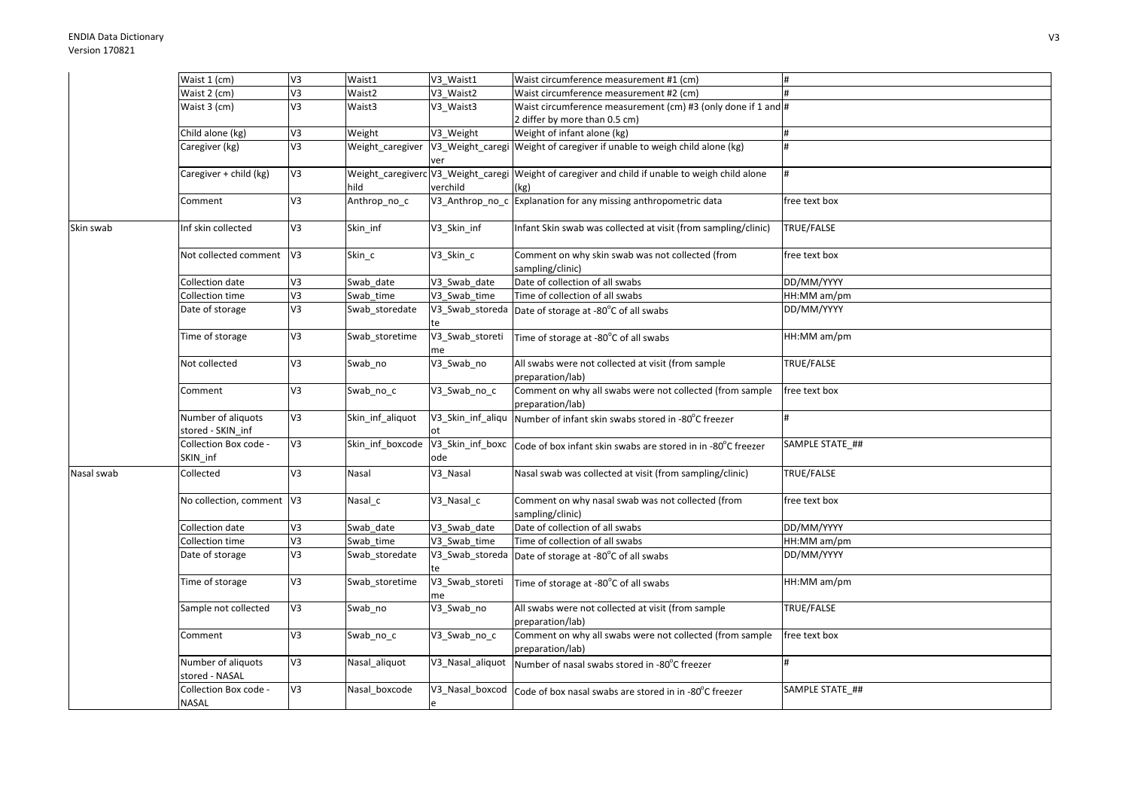| V3<br>Waist 2 (cm)<br>Waist2<br>V3 Waist2<br>Waist circumference measurement #2 (cm)<br>V3<br>Waist 3 (cm)<br>Waist circumference measurement (cm) #3 (only done if 1 and #<br>Waist3<br>V3_Waist3<br>2 differ by more than 0.5 cm)<br>EA<br>Weight of infant alone (kg)<br>Child alone (kg)<br>Weight<br>V3 Weight<br>#<br>V3<br>Weight caregiver<br>V3_Weight_caregi Weight of caregiver if unable to weigh child alone (kg)<br>Caregiver (kg)<br>ver<br>V <sub>3</sub><br>Weight_caregiverc V3_Weight_caregi Weight of caregiver and child if unable to weigh child alone<br>Caregiver + child (kg)<br>hild<br>verchild<br>(kg)<br>V3<br>V3_Anthrop_no_c Explanation for any missing anthropometric data<br>Anthrop_no_c<br>Comment<br>free text box<br>V3<br>Infant Skin swab was collected at visit (from sampling/clinic)<br>Inf skin collected<br>Skin inf<br>V3 Skin inf<br>TRUE/FALSE<br>Skin swab<br>Not collected comment<br>V <sub>3</sub><br>Skin_c<br>V3_Skin_c<br>Comment on why skin swab was not collected (from<br>free text box<br>sampling/clinic)<br>V3<br>Date of collection of all swabs<br>DD/MM/YYYY<br>Collection date<br>Swab date<br>V3 Swab date<br>V3<br>Time of collection of all swabs<br>$HH:MM$ am/pm<br>Collection time<br>Swab time<br>V3 Swab time<br>V3<br>DD/MM/YYYY<br>Date of storage<br>Swab storedate<br>V3_Swab_storeda<br>Date of storage at -80°C of all swabs<br>V3<br>V3_Swab_storeti<br>Time of storage<br>Swab_storetime<br>HH:MM am/pm<br>Time of storage at -80°C of all swabs<br>me<br>V3<br>Not collected<br>V3_Swab_no<br>All swabs were not collected at visit (from sample<br>TRUE/FALSE<br>Swab_no<br>preparation/lab)<br>Comment on why all swabs were not collected (from sample<br>V3<br>V3_Swab_no_c<br>Swab_no_c<br>free text box<br>Comment<br>preparation/lab)<br>Number of aliquots<br>V3<br>Skin_inf_aliquot<br>V3_Skin_inf_aliqu<br>Number of infant skin swabs stored in -80°C freezer<br>H<br>stored - SKIN_inf<br>V3<br>Collection Box code -<br>Skin inf boxcode<br>V3_Skin_inf_boxc<br>SAMPLE STATE ##<br>Code of box infant skin swabs are stored in in -80°C freezer<br>SKIN_inf<br>ode<br>V3<br>Nasal swab was collected at visit (from sampling/clinic)<br>TRUE/FALSE<br>Collected<br>Nasal<br>V3_Nasal<br>Nasal swab |
|----------------------------------------------------------------------------------------------------------------------------------------------------------------------------------------------------------------------------------------------------------------------------------------------------------------------------------------------------------------------------------------------------------------------------------------------------------------------------------------------------------------------------------------------------------------------------------------------------------------------------------------------------------------------------------------------------------------------------------------------------------------------------------------------------------------------------------------------------------------------------------------------------------------------------------------------------------------------------------------------------------------------------------------------------------------------------------------------------------------------------------------------------------------------------------------------------------------------------------------------------------------------------------------------------------------------------------------------------------------------------------------------------------------------------------------------------------------------------------------------------------------------------------------------------------------------------------------------------------------------------------------------------------------------------------------------------------------------------------------------------------------------------------------------------------------------------------------------------------------------------------------------------------------------------------------------------------------------------------------------------------------------------------------------------------------------------------------------------------------------------------------------------------------------------------------------------------------------------------------------------------------------------------------------------|
|                                                                                                                                                                                                                                                                                                                                                                                                                                                                                                                                                                                                                                                                                                                                                                                                                                                                                                                                                                                                                                                                                                                                                                                                                                                                                                                                                                                                                                                                                                                                                                                                                                                                                                                                                                                                                                                                                                                                                                                                                                                                                                                                                                                                                                                                                                    |
|                                                                                                                                                                                                                                                                                                                                                                                                                                                                                                                                                                                                                                                                                                                                                                                                                                                                                                                                                                                                                                                                                                                                                                                                                                                                                                                                                                                                                                                                                                                                                                                                                                                                                                                                                                                                                                                                                                                                                                                                                                                                                                                                                                                                                                                                                                    |
|                                                                                                                                                                                                                                                                                                                                                                                                                                                                                                                                                                                                                                                                                                                                                                                                                                                                                                                                                                                                                                                                                                                                                                                                                                                                                                                                                                                                                                                                                                                                                                                                                                                                                                                                                                                                                                                                                                                                                                                                                                                                                                                                                                                                                                                                                                    |
|                                                                                                                                                                                                                                                                                                                                                                                                                                                                                                                                                                                                                                                                                                                                                                                                                                                                                                                                                                                                                                                                                                                                                                                                                                                                                                                                                                                                                                                                                                                                                                                                                                                                                                                                                                                                                                                                                                                                                                                                                                                                                                                                                                                                                                                                                                    |
|                                                                                                                                                                                                                                                                                                                                                                                                                                                                                                                                                                                                                                                                                                                                                                                                                                                                                                                                                                                                                                                                                                                                                                                                                                                                                                                                                                                                                                                                                                                                                                                                                                                                                                                                                                                                                                                                                                                                                                                                                                                                                                                                                                                                                                                                                                    |
|                                                                                                                                                                                                                                                                                                                                                                                                                                                                                                                                                                                                                                                                                                                                                                                                                                                                                                                                                                                                                                                                                                                                                                                                                                                                                                                                                                                                                                                                                                                                                                                                                                                                                                                                                                                                                                                                                                                                                                                                                                                                                                                                                                                                                                                                                                    |
|                                                                                                                                                                                                                                                                                                                                                                                                                                                                                                                                                                                                                                                                                                                                                                                                                                                                                                                                                                                                                                                                                                                                                                                                                                                                                                                                                                                                                                                                                                                                                                                                                                                                                                                                                                                                                                                                                                                                                                                                                                                                                                                                                                                                                                                                                                    |
|                                                                                                                                                                                                                                                                                                                                                                                                                                                                                                                                                                                                                                                                                                                                                                                                                                                                                                                                                                                                                                                                                                                                                                                                                                                                                                                                                                                                                                                                                                                                                                                                                                                                                                                                                                                                                                                                                                                                                                                                                                                                                                                                                                                                                                                                                                    |
|                                                                                                                                                                                                                                                                                                                                                                                                                                                                                                                                                                                                                                                                                                                                                                                                                                                                                                                                                                                                                                                                                                                                                                                                                                                                                                                                                                                                                                                                                                                                                                                                                                                                                                                                                                                                                                                                                                                                                                                                                                                                                                                                                                                                                                                                                                    |
|                                                                                                                                                                                                                                                                                                                                                                                                                                                                                                                                                                                                                                                                                                                                                                                                                                                                                                                                                                                                                                                                                                                                                                                                                                                                                                                                                                                                                                                                                                                                                                                                                                                                                                                                                                                                                                                                                                                                                                                                                                                                                                                                                                                                                                                                                                    |
|                                                                                                                                                                                                                                                                                                                                                                                                                                                                                                                                                                                                                                                                                                                                                                                                                                                                                                                                                                                                                                                                                                                                                                                                                                                                                                                                                                                                                                                                                                                                                                                                                                                                                                                                                                                                                                                                                                                                                                                                                                                                                                                                                                                                                                                                                                    |
|                                                                                                                                                                                                                                                                                                                                                                                                                                                                                                                                                                                                                                                                                                                                                                                                                                                                                                                                                                                                                                                                                                                                                                                                                                                                                                                                                                                                                                                                                                                                                                                                                                                                                                                                                                                                                                                                                                                                                                                                                                                                                                                                                                                                                                                                                                    |
|                                                                                                                                                                                                                                                                                                                                                                                                                                                                                                                                                                                                                                                                                                                                                                                                                                                                                                                                                                                                                                                                                                                                                                                                                                                                                                                                                                                                                                                                                                                                                                                                                                                                                                                                                                                                                                                                                                                                                                                                                                                                                                                                                                                                                                                                                                    |
|                                                                                                                                                                                                                                                                                                                                                                                                                                                                                                                                                                                                                                                                                                                                                                                                                                                                                                                                                                                                                                                                                                                                                                                                                                                                                                                                                                                                                                                                                                                                                                                                                                                                                                                                                                                                                                                                                                                                                                                                                                                                                                                                                                                                                                                                                                    |
|                                                                                                                                                                                                                                                                                                                                                                                                                                                                                                                                                                                                                                                                                                                                                                                                                                                                                                                                                                                                                                                                                                                                                                                                                                                                                                                                                                                                                                                                                                                                                                                                                                                                                                                                                                                                                                                                                                                                                                                                                                                                                                                                                                                                                                                                                                    |
|                                                                                                                                                                                                                                                                                                                                                                                                                                                                                                                                                                                                                                                                                                                                                                                                                                                                                                                                                                                                                                                                                                                                                                                                                                                                                                                                                                                                                                                                                                                                                                                                                                                                                                                                                                                                                                                                                                                                                                                                                                                                                                                                                                                                                                                                                                    |
|                                                                                                                                                                                                                                                                                                                                                                                                                                                                                                                                                                                                                                                                                                                                                                                                                                                                                                                                                                                                                                                                                                                                                                                                                                                                                                                                                                                                                                                                                                                                                                                                                                                                                                                                                                                                                                                                                                                                                                                                                                                                                                                                                                                                                                                                                                    |
|                                                                                                                                                                                                                                                                                                                                                                                                                                                                                                                                                                                                                                                                                                                                                                                                                                                                                                                                                                                                                                                                                                                                                                                                                                                                                                                                                                                                                                                                                                                                                                                                                                                                                                                                                                                                                                                                                                                                                                                                                                                                                                                                                                                                                                                                                                    |
|                                                                                                                                                                                                                                                                                                                                                                                                                                                                                                                                                                                                                                                                                                                                                                                                                                                                                                                                                                                                                                                                                                                                                                                                                                                                                                                                                                                                                                                                                                                                                                                                                                                                                                                                                                                                                                                                                                                                                                                                                                                                                                                                                                                                                                                                                                    |
|                                                                                                                                                                                                                                                                                                                                                                                                                                                                                                                                                                                                                                                                                                                                                                                                                                                                                                                                                                                                                                                                                                                                                                                                                                                                                                                                                                                                                                                                                                                                                                                                                                                                                                                                                                                                                                                                                                                                                                                                                                                                                                                                                                                                                                                                                                    |
|                                                                                                                                                                                                                                                                                                                                                                                                                                                                                                                                                                                                                                                                                                                                                                                                                                                                                                                                                                                                                                                                                                                                                                                                                                                                                                                                                                                                                                                                                                                                                                                                                                                                                                                                                                                                                                                                                                                                                                                                                                                                                                                                                                                                                                                                                                    |
|                                                                                                                                                                                                                                                                                                                                                                                                                                                                                                                                                                                                                                                                                                                                                                                                                                                                                                                                                                                                                                                                                                                                                                                                                                                                                                                                                                                                                                                                                                                                                                                                                                                                                                                                                                                                                                                                                                                                                                                                                                                                                                                                                                                                                                                                                                    |
|                                                                                                                                                                                                                                                                                                                                                                                                                                                                                                                                                                                                                                                                                                                                                                                                                                                                                                                                                                                                                                                                                                                                                                                                                                                                                                                                                                                                                                                                                                                                                                                                                                                                                                                                                                                                                                                                                                                                                                                                                                                                                                                                                                                                                                                                                                    |
|                                                                                                                                                                                                                                                                                                                                                                                                                                                                                                                                                                                                                                                                                                                                                                                                                                                                                                                                                                                                                                                                                                                                                                                                                                                                                                                                                                                                                                                                                                                                                                                                                                                                                                                                                                                                                                                                                                                                                                                                                                                                                                                                                                                                                                                                                                    |
|                                                                                                                                                                                                                                                                                                                                                                                                                                                                                                                                                                                                                                                                                                                                                                                                                                                                                                                                                                                                                                                                                                                                                                                                                                                                                                                                                                                                                                                                                                                                                                                                                                                                                                                                                                                                                                                                                                                                                                                                                                                                                                                                                                                                                                                                                                    |
|                                                                                                                                                                                                                                                                                                                                                                                                                                                                                                                                                                                                                                                                                                                                                                                                                                                                                                                                                                                                                                                                                                                                                                                                                                                                                                                                                                                                                                                                                                                                                                                                                                                                                                                                                                                                                                                                                                                                                                                                                                                                                                                                                                                                                                                                                                    |
|                                                                                                                                                                                                                                                                                                                                                                                                                                                                                                                                                                                                                                                                                                                                                                                                                                                                                                                                                                                                                                                                                                                                                                                                                                                                                                                                                                                                                                                                                                                                                                                                                                                                                                                                                                                                                                                                                                                                                                                                                                                                                                                                                                                                                                                                                                    |
|                                                                                                                                                                                                                                                                                                                                                                                                                                                                                                                                                                                                                                                                                                                                                                                                                                                                                                                                                                                                                                                                                                                                                                                                                                                                                                                                                                                                                                                                                                                                                                                                                                                                                                                                                                                                                                                                                                                                                                                                                                                                                                                                                                                                                                                                                                    |
|                                                                                                                                                                                                                                                                                                                                                                                                                                                                                                                                                                                                                                                                                                                                                                                                                                                                                                                                                                                                                                                                                                                                                                                                                                                                                                                                                                                                                                                                                                                                                                                                                                                                                                                                                                                                                                                                                                                                                                                                                                                                                                                                                                                                                                                                                                    |
| No collection, comment V3<br>V3_Nasal_c<br>Comment on why nasal swab was not collected (from<br>free text box<br>Nasal_c                                                                                                                                                                                                                                                                                                                                                                                                                                                                                                                                                                                                                                                                                                                                                                                                                                                                                                                                                                                                                                                                                                                                                                                                                                                                                                                                                                                                                                                                                                                                                                                                                                                                                                                                                                                                                                                                                                                                                                                                                                                                                                                                                                           |
| sampling/clinic)                                                                                                                                                                                                                                                                                                                                                                                                                                                                                                                                                                                                                                                                                                                                                                                                                                                                                                                                                                                                                                                                                                                                                                                                                                                                                                                                                                                                                                                                                                                                                                                                                                                                                                                                                                                                                                                                                                                                                                                                                                                                                                                                                                                                                                                                                   |
| Date of collection of all swabs<br>Collection date<br>V3<br>V3 Swab date<br>DD/MM/YYYY<br>Swab date                                                                                                                                                                                                                                                                                                                                                                                                                                                                                                                                                                                                                                                                                                                                                                                                                                                                                                                                                                                                                                                                                                                                                                                                                                                                                                                                                                                                                                                                                                                                                                                                                                                                                                                                                                                                                                                                                                                                                                                                                                                                                                                                                                                                |
| $\overline{V}$<br>Collection time<br>Time of collection of all swabs<br>HH:MM am/pm<br>Swab time<br>V3 Swab time                                                                                                                                                                                                                                                                                                                                                                                                                                                                                                                                                                                                                                                                                                                                                                                                                                                                                                                                                                                                                                                                                                                                                                                                                                                                                                                                                                                                                                                                                                                                                                                                                                                                                                                                                                                                                                                                                                                                                                                                                                                                                                                                                                                   |
| V3<br>DD/MM/YYYY<br>Date of storage<br>Swab_storedate<br>V3_Swab_storeda<br>Date of storage at -80°C of all swabs                                                                                                                                                                                                                                                                                                                                                                                                                                                                                                                                                                                                                                                                                                                                                                                                                                                                                                                                                                                                                                                                                                                                                                                                                                                                                                                                                                                                                                                                                                                                                                                                                                                                                                                                                                                                                                                                                                                                                                                                                                                                                                                                                                                  |
| te                                                                                                                                                                                                                                                                                                                                                                                                                                                                                                                                                                                                                                                                                                                                                                                                                                                                                                                                                                                                                                                                                                                                                                                                                                                                                                                                                                                                                                                                                                                                                                                                                                                                                                                                                                                                                                                                                                                                                                                                                                                                                                                                                                                                                                                                                                 |
| V3<br>V3_Swab_storeti<br>HH:MM am/pm<br>Time of storage<br>Swab storetime<br>Time of storage at -80°C of all swabs                                                                                                                                                                                                                                                                                                                                                                                                                                                                                                                                                                                                                                                                                                                                                                                                                                                                                                                                                                                                                                                                                                                                                                                                                                                                                                                                                                                                                                                                                                                                                                                                                                                                                                                                                                                                                                                                                                                                                                                                                                                                                                                                                                                 |
| me                                                                                                                                                                                                                                                                                                                                                                                                                                                                                                                                                                                                                                                                                                                                                                                                                                                                                                                                                                                                                                                                                                                                                                                                                                                                                                                                                                                                                                                                                                                                                                                                                                                                                                                                                                                                                                                                                                                                                                                                                                                                                                                                                                                                                                                                                                 |
| V <sub>3</sub><br>TRUE/FALSE<br>V3_Swab_no<br>All swabs were not collected at visit (from sample<br>Sample not collected<br>Swab_no                                                                                                                                                                                                                                                                                                                                                                                                                                                                                                                                                                                                                                                                                                                                                                                                                                                                                                                                                                                                                                                                                                                                                                                                                                                                                                                                                                                                                                                                                                                                                                                                                                                                                                                                                                                                                                                                                                                                                                                                                                                                                                                                                                |
| preparation/lab)                                                                                                                                                                                                                                                                                                                                                                                                                                                                                                                                                                                                                                                                                                                                                                                                                                                                                                                                                                                                                                                                                                                                                                                                                                                                                                                                                                                                                                                                                                                                                                                                                                                                                                                                                                                                                                                                                                                                                                                                                                                                                                                                                                                                                                                                                   |
| V3<br>Comment on why all swabs were not collected (from sample<br>free text box<br>Comment<br>Swab_no_c<br>V3_Swab_no_c                                                                                                                                                                                                                                                                                                                                                                                                                                                                                                                                                                                                                                                                                                                                                                                                                                                                                                                                                                                                                                                                                                                                                                                                                                                                                                                                                                                                                                                                                                                                                                                                                                                                                                                                                                                                                                                                                                                                                                                                                                                                                                                                                                            |
| preparation/lab)                                                                                                                                                                                                                                                                                                                                                                                                                                                                                                                                                                                                                                                                                                                                                                                                                                                                                                                                                                                                                                                                                                                                                                                                                                                                                                                                                                                                                                                                                                                                                                                                                                                                                                                                                                                                                                                                                                                                                                                                                                                                                                                                                                                                                                                                                   |
| V3<br>Number of aliquots<br>Nasal aliquot<br>V3 Nasal aliquot<br>Number of nasal swabs stored in -80°C freezer                                                                                                                                                                                                                                                                                                                                                                                                                                                                                                                                                                                                                                                                                                                                                                                                                                                                                                                                                                                                                                                                                                                                                                                                                                                                                                                                                                                                                                                                                                                                                                                                                                                                                                                                                                                                                                                                                                                                                                                                                                                                                                                                                                                     |
| stored - NASAL                                                                                                                                                                                                                                                                                                                                                                                                                                                                                                                                                                                                                                                                                                                                                                                                                                                                                                                                                                                                                                                                                                                                                                                                                                                                                                                                                                                                                                                                                                                                                                                                                                                                                                                                                                                                                                                                                                                                                                                                                                                                                                                                                                                                                                                                                     |
| V3<br>Collection Box code -<br>Nasal boxcode<br>SAMPLE STATE ##<br>V3_Nasal_boxcod Code of box nasal swabs are stored in in -80°C freezer                                                                                                                                                                                                                                                                                                                                                                                                                                                                                                                                                                                                                                                                                                                                                                                                                                                                                                                                                                                                                                                                                                                                                                                                                                                                                                                                                                                                                                                                                                                                                                                                                                                                                                                                                                                                                                                                                                                                                                                                                                                                                                                                                          |
| NASAL                                                                                                                                                                                                                                                                                                                                                                                                                                                                                                                                                                                                                                                                                                                                                                                                                                                                                                                                                                                                                                                                                                                                                                                                                                                                                                                                                                                                                                                                                                                                                                                                                                                                                                                                                                                                                                                                                                                                                                                                                                                                                                                                                                                                                                                                                              |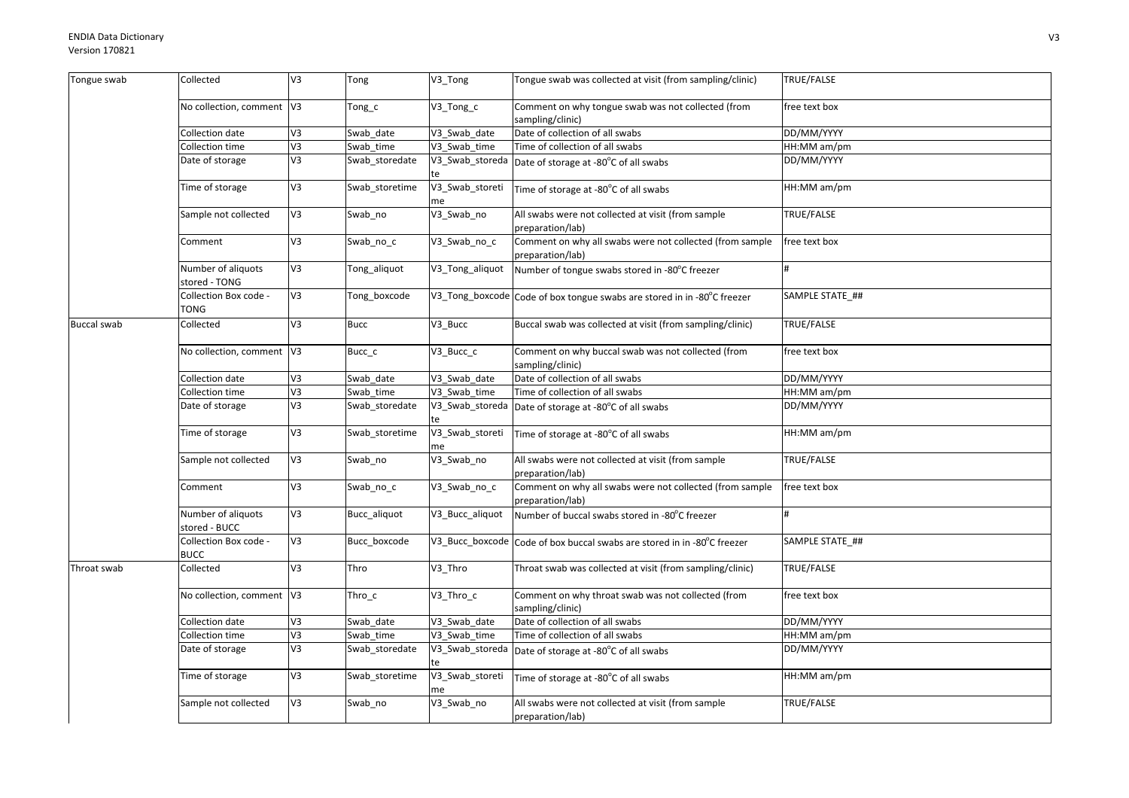| Tongue swab        | Collected                            | V3             | Tong           | V3_Tong               | Tongue swab was collected at visit (from sampling/clinic)                    | TRUE/FALSE      |
|--------------------|--------------------------------------|----------------|----------------|-----------------------|------------------------------------------------------------------------------|-----------------|
|                    | No collection, comment V3            |                | Tong_c         | V3_Tong_c             | Comment on why tongue swab was not collected (from<br>sampling/clinic)       | free text box   |
|                    | Collection date                      | V3             | Swab date      | V3_Swab_date          | Date of collection of all swabs                                              | DD/MM/YYYY      |
|                    | Collection time                      | V3             | Swab time      | V3 Swab time          | Time of collection of all swabs                                              | HH:MM am/pm     |
|                    | Date of storage                      | V3             | Swab_storedate | V3_Swab_storeda       | Date of storage at -80°C of all swabs                                        | DD/MM/YYYY      |
|                    | Time of storage                      | V3             | Swab_storetime | V3_Swab_storeti<br>me | Time of storage at -80°C of all swabs                                        | HH:MM am/pm     |
|                    | Sample not collected                 | V3             | Swab_no        | V3_Swab_no            | All swabs were not collected at visit (from sample<br>preparation/lab)       | TRUE/FALSE      |
|                    | Comment                              | V3             | Swab no c      | V3_Swab_no_c          | Comment on why all swabs were not collected (from sample<br>preparation/lab) | free text box   |
|                    | Number of aliquots<br>stored - TONG  | V3             | Tong_aliquot   | V3_Tong_aliquot       | Number of tongue swabs stored in -80°C freezer                               | H               |
|                    | Collection Box code -<br>TONG        | V3             | Tong_boxcode   |                       | V3_Tong_boxcode Code of box tongue swabs are stored in in -80°C freezer      | SAMPLE STATE_## |
| <b>Buccal swab</b> | Collected                            | V3             | <b>Bucc</b>    | V3 Bucc               | Buccal swab was collected at visit (from sampling/clinic)                    | TRUE/FALSE      |
|                    | No collection, comment V3            |                | Bucc c         | V3 Bucc c             | Comment on why buccal swab was not collected (from<br>sampling/clinic)       | free text box   |
|                    | Collection date                      | V3             | Swab date      | V3_Swab_date          | Date of collection of all swabs                                              | DD/MM/YYYY      |
|                    | Collection time                      | 5 <sup>2</sup> | Swab time      | V3 Swab time          | Time of collection of all swabs                                              | HH:MM am/pm     |
|                    | Date of storage                      | V3             | Swab_storedate | V3_Swab_storeda       | Date of storage at -80°C of all swabs                                        | DD/MM/YYYY      |
|                    | Time of storage                      | V3             | Swab_storetime | V3_Swab_storeti<br>me | Time of storage at -80°C of all swabs                                        | HH:MM am/pm     |
|                    | Sample not collected                 | V3             | Swab_no        | V3_Swab_no            | All swabs were not collected at visit (from sample<br>preparation/lab)       | TRUE/FALSE      |
|                    | Comment                              | V3             | Swab_no_c      | V3_Swab_no_c          | Comment on why all swabs were not collected (from sample<br>preparation/lab) | free text box   |
|                    | Number of aliquots<br>stored - BUCC  | V3             | Bucc_aliquot   | V3_Bucc_aliquot       | Number of buccal swabs stored in -80°C freezer                               |                 |
|                    | Collection Box code -<br><b>BUCC</b> | V3             | Bucc boxcode   |                       | V3_Bucc_boxcode Code of box buccal swabs are stored in in -80°C freezer      | SAMPLE STATE ## |
| Throat swab        | Collected                            | V3             | Thro           | V3 Thro               | Throat swab was collected at visit (from sampling/clinic)                    | TRUE/FALSE      |
|                    | No collection, comment V3            |                | Thro c         | V3 Thro c             | Comment on why throat swab was not collected (from<br>sampling/clinic)       | free text box   |
|                    | Collection date                      | V3             | Swab date      | V3 Swab date          | Date of collection of all swabs                                              | DD/MM/YYYY      |
|                    | Collection time                      | V3             | Swab time      | V3 Swab time          | Time of collection of all swabs                                              | HH:MM am/pm     |
|                    | Date of storage                      | V3             | Swab_storedate |                       | V3_Swab_storeda Date of storage at -80°C of all swabs                        | DD/MM/YYYY      |
|                    | Time of storage                      | V3             | Swab_storetime | V3_Swab_storeti<br>me | Time of storage at -80°C of all swabs                                        | HH:MM am/pm     |
|                    | Sample not collected                 | V <sub>3</sub> | Swab_no        | V3_Swab_no            | All swabs were not collected at visit (from sample<br>preparation/lab)       | TRUE/FALSE      |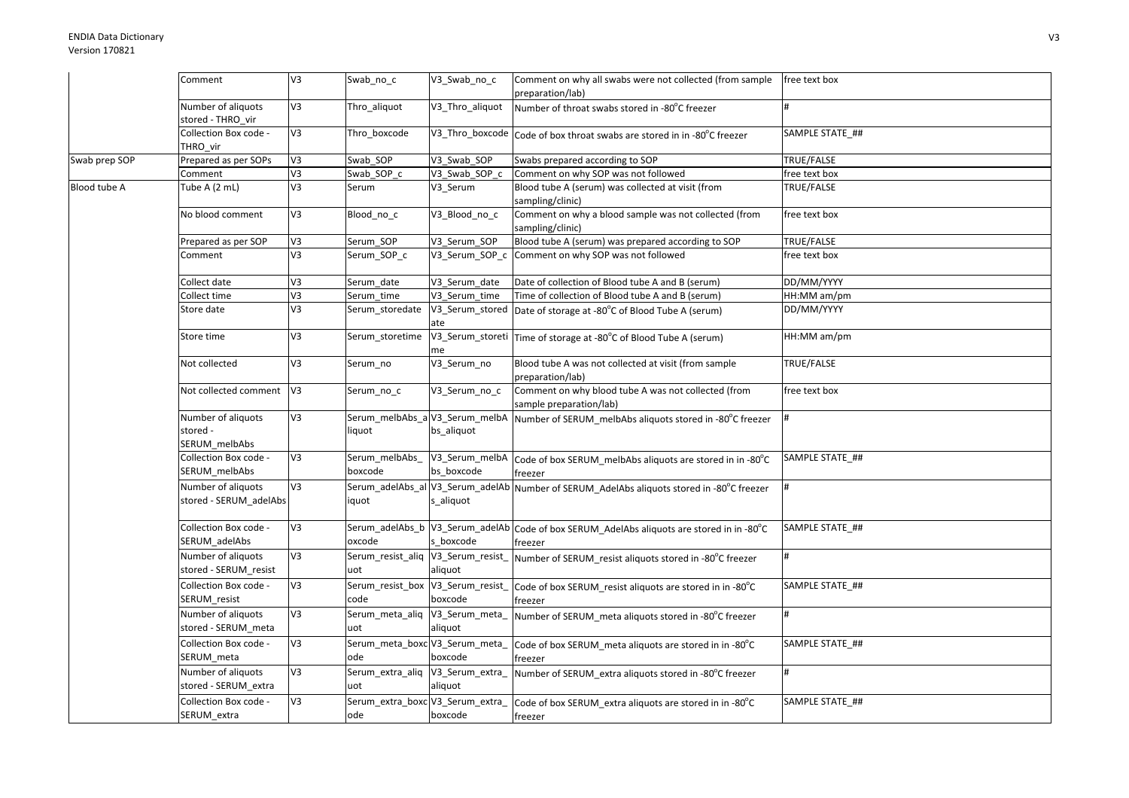| V3<br>Number of aliquots<br>V3_Thro_aliquot<br>Thro_aliquot<br>Number of throat swabs stored in -80°C freezer<br>stored - THRO vir<br>V3<br>Collection Box code -<br>SAMPLE STATE ##<br>Thro boxcode<br>V3_Thro_boxcode Code of box throat swabs are stored in in -80°C freezer<br>THRO vir<br>Swab prep SOP<br>Prepared as per SOPs<br>Swabs prepared according to SOP<br>TRUE/FALSE<br>V3<br>Swab SOP<br>V3 Swab SOP<br>V3<br>V3_Swab_SOP_c<br>Comment on why SOP was not followed<br>Comment<br>Swab_SOP_c<br>free text box<br>Blood tube A (serum) was collected at visit (from<br>V3<br>TRUE/FALSE<br>Blood tube A<br>Tube A (2 mL)<br>V3_Serum<br>Serum<br>sampling/clinic)<br>Comment on why a blood sample was not collected (from<br>No blood comment<br>V3<br>V3_Blood_no_c<br>free text box<br>Blood_no_c<br>sampling/clinic)<br>V3 Serum SOP<br>Blood tube A (serum) was prepared according to SOP<br>TRUE/FALSE<br>Prepared as per SOP<br>V3<br>Serum SOP<br>V3<br>Comment on why SOP was not followed<br>Serum_SOP_c<br>V3_Serum_SOP_c<br>Comment<br>ree text box<br>Collect date<br>V3<br>V3_Serum_date<br>Date of collection of Blood tube A and B (serum)<br>DD/MM/YYYY<br>Serum_date<br>V3<br>Collect time<br>V3 Serum time<br>Time of collection of Blood tube A and B (serum)<br>HH:MM am/pm<br>Serum time<br>V3<br>Store date<br>Serum storedate<br>V3_Serum_stored<br>DD/MM/YYYY<br>Date of storage at -80°C of Blood Tube A (serum)<br>ate<br>Store time<br>V3<br>V3_Serum_storeti Time of storage at -80°C of Blood Tube A (serum)<br>HH:MM am/pm<br>Serum storetime<br>me<br>V3_Serum_no<br>Not collected<br>V3<br>Blood tube A was not collected at visit (from sample<br>TRUE/FALSE<br>Serum_no<br>preparation/lab)<br>Comment on why blood tube A was not collected (from<br>V <sub>3</sub><br>Serum no c<br>V3 Serum no c<br>free text box<br>Not collected comment<br>sample preparation/lab)<br>EA<br>Serum_melbAbs_aV3_Serum_melbA<br>Number of aliquots<br>Number of SERUM_melbAbs aliquots stored in -80°C freezer<br>stored -<br>bs_aliquot<br>liquot<br>SERUM_melbAbs<br>Collection Box code -<br>V3<br>Serum melbAbs<br>V3_Serum_melbA<br>SAMPLE STATE ##<br>Code of box SERUM_melbAbs aliquots are stored in in -80°C<br>bs boxcode<br>SERUM melbAbs<br>boxcode<br>freezer<br>V <sub>3</sub><br>Number of aliquots<br>Serum_adelAbs_al V3_Serum_adelAb<br>Number of SERUM AdelAbs aliquots stored in -80°C freezer<br>stored - SERUM_adelAbs<br>iquot<br>s_aliquot<br>Serum_adelAbs_b V3_Serum_adelAb Code of box SERUM_AdelAbs aliquots are stored in in -80°C<br>Collection Box code -<br>V3<br>SAMPLE STATE ##<br>s boxcode<br>SERUM_adelAbs<br>oxcode<br>freezer<br>V <sub>3</sub><br>Number of aliquots<br>Serum_resist_aliq V3_Serum_resist<br>Number of SERUM resist aliquots stored in -80°C freezer<br>stored - SERUM_resist<br>uot<br>aliquot<br>Collection Box code -<br>V3<br>Serum_resist_box V3_Serum_resist<br>SAMPLE STATE_##<br>Code of box SERUM resist aliquots are stored in in -80°C<br>SERUM_resist<br>boxcode<br>code<br>freezer<br>V3<br>Number of aliquots<br>Serum_meta_aliq V3_Serum_meta_<br>Number of SERUM_meta aliquots stored in -80°C freezer<br>stored - SERUM_meta<br>uot<br>aliquot<br>Collection Box code -<br>V3<br>Serum_meta_boxc V3_Serum_meta_<br>SAMPLE STATE ##<br>Code of box SERUM meta aliquots are stored in in -80°C<br>SERUM_meta<br>ode<br>boxcode<br>freezer<br>Serum_extra_aliq V3_Serum_extra_<br>V3<br>Number of aliquots<br>Number of SERUM extra aliquots stored in -80°C freezer<br>stored - SERUM_extra<br>uot<br>aliquot<br>V3<br>Serum_extra_boxc V3_Serum_extra_<br>Collection Box code -<br>SAMPLE STATE ##<br>Code of box SERUM extra aliquots are stored in in -80°C<br>SERUM_extra<br>ode<br>boxcode<br>freezer |  | Comment | V3 | Swab_no_c | V3_Swab_no_c | Comment on why all swabs were not collected (from sample<br>preparation/lab) | free text box |
|-------------------------------------------------------------------------------------------------------------------------------------------------------------------------------------------------------------------------------------------------------------------------------------------------------------------------------------------------------------------------------------------------------------------------------------------------------------------------------------------------------------------------------------------------------------------------------------------------------------------------------------------------------------------------------------------------------------------------------------------------------------------------------------------------------------------------------------------------------------------------------------------------------------------------------------------------------------------------------------------------------------------------------------------------------------------------------------------------------------------------------------------------------------------------------------------------------------------------------------------------------------------------------------------------------------------------------------------------------------------------------------------------------------------------------------------------------------------------------------------------------------------------------------------------------------------------------------------------------------------------------------------------------------------------------------------------------------------------------------------------------------------------------------------------------------------------------------------------------------------------------------------------------------------------------------------------------------------------------------------------------------------------------------------------------------------------------------------------------------------------------------------------------------------------------------------------------------------------------------------------------------------------------------------------------------------------------------------------------------------------------------------------------------------------------------------------------------------------------------------------------------------------------------------------------------------------------------------------------------------------------------------------------------------------------------------------------------------------------------------------------------------------------------------------------------------------------------------------------------------------------------------------------------------------------------------------------------------------------------------------------------------------------------------------------------------------------------------------------------------------------------------------------------------------------------------------------------------------------------------------------------------------------------------------------------------------------------------------------------------------------------------------------------------------------------------------------------------------------------------------------------------------------------------------------------------------------------------------------------------------------------------------------------------------------------------------------------------------------------------------------------------------------------------------------------------------|--|---------|----|-----------|--------------|------------------------------------------------------------------------------|---------------|
|                                                                                                                                                                                                                                                                                                                                                                                                                                                                                                                                                                                                                                                                                                                                                                                                                                                                                                                                                                                                                                                                                                                                                                                                                                                                                                                                                                                                                                                                                                                                                                                                                                                                                                                                                                                                                                                                                                                                                                                                                                                                                                                                                                                                                                                                                                                                                                                                                                                                                                                                                                                                                                                                                                                                                                                                                                                                                                                                                                                                                                                                                                                                                                                                                                                                                                                                                                                                                                                                                                                                                                                                                                                                                                                                                                                                                         |  |         |    |           |              |                                                                              |               |
|                                                                                                                                                                                                                                                                                                                                                                                                                                                                                                                                                                                                                                                                                                                                                                                                                                                                                                                                                                                                                                                                                                                                                                                                                                                                                                                                                                                                                                                                                                                                                                                                                                                                                                                                                                                                                                                                                                                                                                                                                                                                                                                                                                                                                                                                                                                                                                                                                                                                                                                                                                                                                                                                                                                                                                                                                                                                                                                                                                                                                                                                                                                                                                                                                                                                                                                                                                                                                                                                                                                                                                                                                                                                                                                                                                                                                         |  |         |    |           |              |                                                                              |               |
|                                                                                                                                                                                                                                                                                                                                                                                                                                                                                                                                                                                                                                                                                                                                                                                                                                                                                                                                                                                                                                                                                                                                                                                                                                                                                                                                                                                                                                                                                                                                                                                                                                                                                                                                                                                                                                                                                                                                                                                                                                                                                                                                                                                                                                                                                                                                                                                                                                                                                                                                                                                                                                                                                                                                                                                                                                                                                                                                                                                                                                                                                                                                                                                                                                                                                                                                                                                                                                                                                                                                                                                                                                                                                                                                                                                                                         |  |         |    |           |              |                                                                              |               |
|                                                                                                                                                                                                                                                                                                                                                                                                                                                                                                                                                                                                                                                                                                                                                                                                                                                                                                                                                                                                                                                                                                                                                                                                                                                                                                                                                                                                                                                                                                                                                                                                                                                                                                                                                                                                                                                                                                                                                                                                                                                                                                                                                                                                                                                                                                                                                                                                                                                                                                                                                                                                                                                                                                                                                                                                                                                                                                                                                                                                                                                                                                                                                                                                                                                                                                                                                                                                                                                                                                                                                                                                                                                                                                                                                                                                                         |  |         |    |           |              |                                                                              |               |
|                                                                                                                                                                                                                                                                                                                                                                                                                                                                                                                                                                                                                                                                                                                                                                                                                                                                                                                                                                                                                                                                                                                                                                                                                                                                                                                                                                                                                                                                                                                                                                                                                                                                                                                                                                                                                                                                                                                                                                                                                                                                                                                                                                                                                                                                                                                                                                                                                                                                                                                                                                                                                                                                                                                                                                                                                                                                                                                                                                                                                                                                                                                                                                                                                                                                                                                                                                                                                                                                                                                                                                                                                                                                                                                                                                                                                         |  |         |    |           |              |                                                                              |               |
|                                                                                                                                                                                                                                                                                                                                                                                                                                                                                                                                                                                                                                                                                                                                                                                                                                                                                                                                                                                                                                                                                                                                                                                                                                                                                                                                                                                                                                                                                                                                                                                                                                                                                                                                                                                                                                                                                                                                                                                                                                                                                                                                                                                                                                                                                                                                                                                                                                                                                                                                                                                                                                                                                                                                                                                                                                                                                                                                                                                                                                                                                                                                                                                                                                                                                                                                                                                                                                                                                                                                                                                                                                                                                                                                                                                                                         |  |         |    |           |              |                                                                              |               |
|                                                                                                                                                                                                                                                                                                                                                                                                                                                                                                                                                                                                                                                                                                                                                                                                                                                                                                                                                                                                                                                                                                                                                                                                                                                                                                                                                                                                                                                                                                                                                                                                                                                                                                                                                                                                                                                                                                                                                                                                                                                                                                                                                                                                                                                                                                                                                                                                                                                                                                                                                                                                                                                                                                                                                                                                                                                                                                                                                                                                                                                                                                                                                                                                                                                                                                                                                                                                                                                                                                                                                                                                                                                                                                                                                                                                                         |  |         |    |           |              |                                                                              |               |
|                                                                                                                                                                                                                                                                                                                                                                                                                                                                                                                                                                                                                                                                                                                                                                                                                                                                                                                                                                                                                                                                                                                                                                                                                                                                                                                                                                                                                                                                                                                                                                                                                                                                                                                                                                                                                                                                                                                                                                                                                                                                                                                                                                                                                                                                                                                                                                                                                                                                                                                                                                                                                                                                                                                                                                                                                                                                                                                                                                                                                                                                                                                                                                                                                                                                                                                                                                                                                                                                                                                                                                                                                                                                                                                                                                                                                         |  |         |    |           |              |                                                                              |               |
|                                                                                                                                                                                                                                                                                                                                                                                                                                                                                                                                                                                                                                                                                                                                                                                                                                                                                                                                                                                                                                                                                                                                                                                                                                                                                                                                                                                                                                                                                                                                                                                                                                                                                                                                                                                                                                                                                                                                                                                                                                                                                                                                                                                                                                                                                                                                                                                                                                                                                                                                                                                                                                                                                                                                                                                                                                                                                                                                                                                                                                                                                                                                                                                                                                                                                                                                                                                                                                                                                                                                                                                                                                                                                                                                                                                                                         |  |         |    |           |              |                                                                              |               |
|                                                                                                                                                                                                                                                                                                                                                                                                                                                                                                                                                                                                                                                                                                                                                                                                                                                                                                                                                                                                                                                                                                                                                                                                                                                                                                                                                                                                                                                                                                                                                                                                                                                                                                                                                                                                                                                                                                                                                                                                                                                                                                                                                                                                                                                                                                                                                                                                                                                                                                                                                                                                                                                                                                                                                                                                                                                                                                                                                                                                                                                                                                                                                                                                                                                                                                                                                                                                                                                                                                                                                                                                                                                                                                                                                                                                                         |  |         |    |           |              |                                                                              |               |
|                                                                                                                                                                                                                                                                                                                                                                                                                                                                                                                                                                                                                                                                                                                                                                                                                                                                                                                                                                                                                                                                                                                                                                                                                                                                                                                                                                                                                                                                                                                                                                                                                                                                                                                                                                                                                                                                                                                                                                                                                                                                                                                                                                                                                                                                                                                                                                                                                                                                                                                                                                                                                                                                                                                                                                                                                                                                                                                                                                                                                                                                                                                                                                                                                                                                                                                                                                                                                                                                                                                                                                                                                                                                                                                                                                                                                         |  |         |    |           |              |                                                                              |               |
|                                                                                                                                                                                                                                                                                                                                                                                                                                                                                                                                                                                                                                                                                                                                                                                                                                                                                                                                                                                                                                                                                                                                                                                                                                                                                                                                                                                                                                                                                                                                                                                                                                                                                                                                                                                                                                                                                                                                                                                                                                                                                                                                                                                                                                                                                                                                                                                                                                                                                                                                                                                                                                                                                                                                                                                                                                                                                                                                                                                                                                                                                                                                                                                                                                                                                                                                                                                                                                                                                                                                                                                                                                                                                                                                                                                                                         |  |         |    |           |              |                                                                              |               |
|                                                                                                                                                                                                                                                                                                                                                                                                                                                                                                                                                                                                                                                                                                                                                                                                                                                                                                                                                                                                                                                                                                                                                                                                                                                                                                                                                                                                                                                                                                                                                                                                                                                                                                                                                                                                                                                                                                                                                                                                                                                                                                                                                                                                                                                                                                                                                                                                                                                                                                                                                                                                                                                                                                                                                                                                                                                                                                                                                                                                                                                                                                                                                                                                                                                                                                                                                                                                                                                                                                                                                                                                                                                                                                                                                                                                                         |  |         |    |           |              |                                                                              |               |
|                                                                                                                                                                                                                                                                                                                                                                                                                                                                                                                                                                                                                                                                                                                                                                                                                                                                                                                                                                                                                                                                                                                                                                                                                                                                                                                                                                                                                                                                                                                                                                                                                                                                                                                                                                                                                                                                                                                                                                                                                                                                                                                                                                                                                                                                                                                                                                                                                                                                                                                                                                                                                                                                                                                                                                                                                                                                                                                                                                                                                                                                                                                                                                                                                                                                                                                                                                                                                                                                                                                                                                                                                                                                                                                                                                                                                         |  |         |    |           |              |                                                                              |               |
|                                                                                                                                                                                                                                                                                                                                                                                                                                                                                                                                                                                                                                                                                                                                                                                                                                                                                                                                                                                                                                                                                                                                                                                                                                                                                                                                                                                                                                                                                                                                                                                                                                                                                                                                                                                                                                                                                                                                                                                                                                                                                                                                                                                                                                                                                                                                                                                                                                                                                                                                                                                                                                                                                                                                                                                                                                                                                                                                                                                                                                                                                                                                                                                                                                                                                                                                                                                                                                                                                                                                                                                                                                                                                                                                                                                                                         |  |         |    |           |              |                                                                              |               |
|                                                                                                                                                                                                                                                                                                                                                                                                                                                                                                                                                                                                                                                                                                                                                                                                                                                                                                                                                                                                                                                                                                                                                                                                                                                                                                                                                                                                                                                                                                                                                                                                                                                                                                                                                                                                                                                                                                                                                                                                                                                                                                                                                                                                                                                                                                                                                                                                                                                                                                                                                                                                                                                                                                                                                                                                                                                                                                                                                                                                                                                                                                                                                                                                                                                                                                                                                                                                                                                                                                                                                                                                                                                                                                                                                                                                                         |  |         |    |           |              |                                                                              |               |
|                                                                                                                                                                                                                                                                                                                                                                                                                                                                                                                                                                                                                                                                                                                                                                                                                                                                                                                                                                                                                                                                                                                                                                                                                                                                                                                                                                                                                                                                                                                                                                                                                                                                                                                                                                                                                                                                                                                                                                                                                                                                                                                                                                                                                                                                                                                                                                                                                                                                                                                                                                                                                                                                                                                                                                                                                                                                                                                                                                                                                                                                                                                                                                                                                                                                                                                                                                                                                                                                                                                                                                                                                                                                                                                                                                                                                         |  |         |    |           |              |                                                                              |               |
|                                                                                                                                                                                                                                                                                                                                                                                                                                                                                                                                                                                                                                                                                                                                                                                                                                                                                                                                                                                                                                                                                                                                                                                                                                                                                                                                                                                                                                                                                                                                                                                                                                                                                                                                                                                                                                                                                                                                                                                                                                                                                                                                                                                                                                                                                                                                                                                                                                                                                                                                                                                                                                                                                                                                                                                                                                                                                                                                                                                                                                                                                                                                                                                                                                                                                                                                                                                                                                                                                                                                                                                                                                                                                                                                                                                                                         |  |         |    |           |              |                                                                              |               |
|                                                                                                                                                                                                                                                                                                                                                                                                                                                                                                                                                                                                                                                                                                                                                                                                                                                                                                                                                                                                                                                                                                                                                                                                                                                                                                                                                                                                                                                                                                                                                                                                                                                                                                                                                                                                                                                                                                                                                                                                                                                                                                                                                                                                                                                                                                                                                                                                                                                                                                                                                                                                                                                                                                                                                                                                                                                                                                                                                                                                                                                                                                                                                                                                                                                                                                                                                                                                                                                                                                                                                                                                                                                                                                                                                                                                                         |  |         |    |           |              |                                                                              |               |
|                                                                                                                                                                                                                                                                                                                                                                                                                                                                                                                                                                                                                                                                                                                                                                                                                                                                                                                                                                                                                                                                                                                                                                                                                                                                                                                                                                                                                                                                                                                                                                                                                                                                                                                                                                                                                                                                                                                                                                                                                                                                                                                                                                                                                                                                                                                                                                                                                                                                                                                                                                                                                                                                                                                                                                                                                                                                                                                                                                                                                                                                                                                                                                                                                                                                                                                                                                                                                                                                                                                                                                                                                                                                                                                                                                                                                         |  |         |    |           |              |                                                                              |               |
|                                                                                                                                                                                                                                                                                                                                                                                                                                                                                                                                                                                                                                                                                                                                                                                                                                                                                                                                                                                                                                                                                                                                                                                                                                                                                                                                                                                                                                                                                                                                                                                                                                                                                                                                                                                                                                                                                                                                                                                                                                                                                                                                                                                                                                                                                                                                                                                                                                                                                                                                                                                                                                                                                                                                                                                                                                                                                                                                                                                                                                                                                                                                                                                                                                                                                                                                                                                                                                                                                                                                                                                                                                                                                                                                                                                                                         |  |         |    |           |              |                                                                              |               |
|                                                                                                                                                                                                                                                                                                                                                                                                                                                                                                                                                                                                                                                                                                                                                                                                                                                                                                                                                                                                                                                                                                                                                                                                                                                                                                                                                                                                                                                                                                                                                                                                                                                                                                                                                                                                                                                                                                                                                                                                                                                                                                                                                                                                                                                                                                                                                                                                                                                                                                                                                                                                                                                                                                                                                                                                                                                                                                                                                                                                                                                                                                                                                                                                                                                                                                                                                                                                                                                                                                                                                                                                                                                                                                                                                                                                                         |  |         |    |           |              |                                                                              |               |
|                                                                                                                                                                                                                                                                                                                                                                                                                                                                                                                                                                                                                                                                                                                                                                                                                                                                                                                                                                                                                                                                                                                                                                                                                                                                                                                                                                                                                                                                                                                                                                                                                                                                                                                                                                                                                                                                                                                                                                                                                                                                                                                                                                                                                                                                                                                                                                                                                                                                                                                                                                                                                                                                                                                                                                                                                                                                                                                                                                                                                                                                                                                                                                                                                                                                                                                                                                                                                                                                                                                                                                                                                                                                                                                                                                                                                         |  |         |    |           |              |                                                                              |               |
|                                                                                                                                                                                                                                                                                                                                                                                                                                                                                                                                                                                                                                                                                                                                                                                                                                                                                                                                                                                                                                                                                                                                                                                                                                                                                                                                                                                                                                                                                                                                                                                                                                                                                                                                                                                                                                                                                                                                                                                                                                                                                                                                                                                                                                                                                                                                                                                                                                                                                                                                                                                                                                                                                                                                                                                                                                                                                                                                                                                                                                                                                                                                                                                                                                                                                                                                                                                                                                                                                                                                                                                                                                                                                                                                                                                                                         |  |         |    |           |              |                                                                              |               |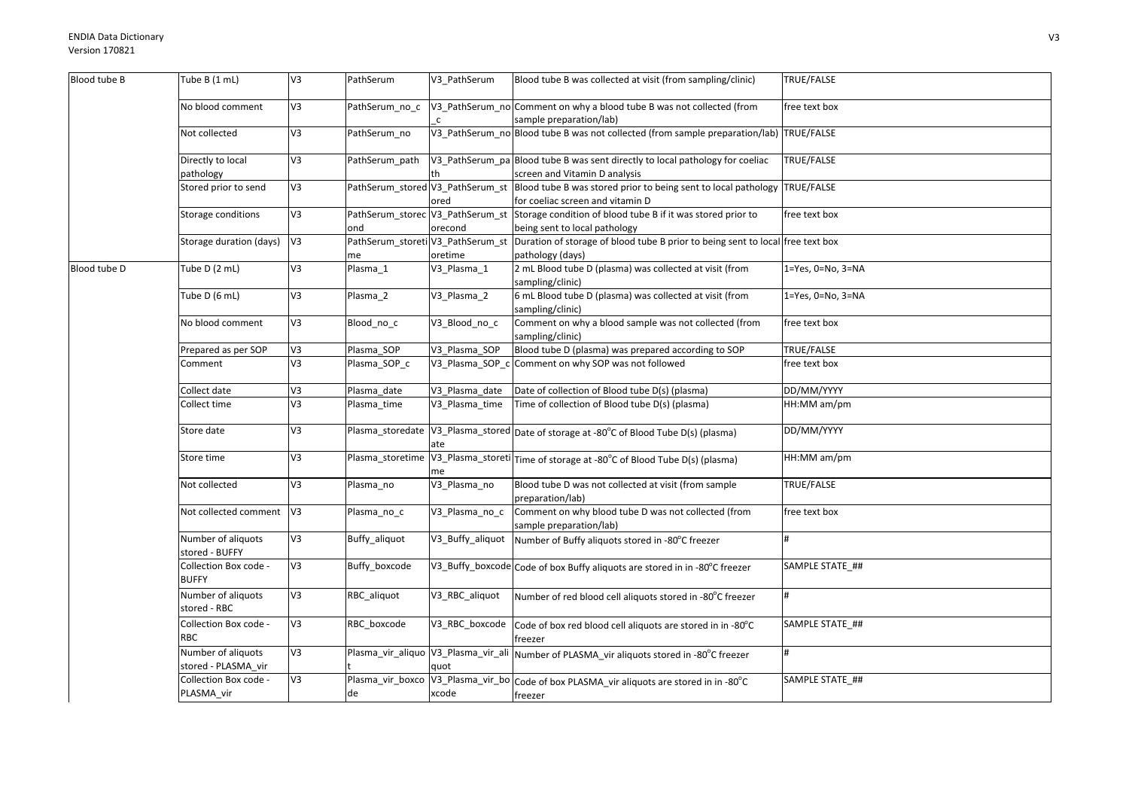| Blood tube B | Tube B (1 mL)                             | V3             | PathSerum              | V3_PathSerum     | Blood tube B was collected at visit (from sampling/clinic)                                                                            | TRUE/FALSE                |
|--------------|-------------------------------------------|----------------|------------------------|------------------|---------------------------------------------------------------------------------------------------------------------------------------|---------------------------|
|              | No blood comment                          | V3             | PathSerum no c         |                  | V3_PathSerum_no Comment on why a blood tube B was not collected (from<br>sample preparation/lab)                                      | free text box             |
|              | Not collected                             | V3             | PathSerum no           |                  | V3_PathSerum_no Blood tube B was not collected (from sample preparation/lab) TRUE/FALSE                                               |                           |
|              | Directly to local<br>pathology            | V3             | PathSerum_path         | th               | V3_PathSerum_pa Blood tube B was sent directly to local pathology for coeliac<br>screen and Vitamin D analysis                        | TRUE/FALSE                |
|              | Stored prior to send                      | V3             |                        | ored             | PathSerum_stored V3_PathSerum_st Blood tube B was stored prior to being sent to local pathology<br>for coeliac screen and vitamin D   | TRUE/FALSE                |
|              | Storage conditions                        | V3             | ond                    | orecond          | PathSerum_storec V3_PathSerum_st Storage condition of blood tube B if it was stored prior to<br>being sent to local pathology         | free text box             |
|              | Storage duration (days)                   | V <sub>3</sub> | me                     | oretime          | PathSerum_storeti V3_PathSerum_st  Duration of storage of blood tube B prior to being sent to local free text box<br>pathology (days) |                           |
| Blood tube D | Tube $D(2mL)$                             | V3             | Plasma_1               | V3_Plasma_1      | 2 mL Blood tube D (plasma) was collected at visit (from<br>sampling/clinic)                                                           | $1 = Yes, 0 = No, 3 = NA$ |
|              | Tube D (6 mL)                             | V3             | Plasma 2               | V3_Plasma_2      | 6 mL Blood tube D (plasma) was collected at visit (from<br>sampling/clinic)                                                           | 1=Yes, 0=No, 3=NA         |
|              | No blood comment                          | V3             | Blood no c             | V3_Blood_no_c    | Comment on why a blood sample was not collected (from<br>sampling/clinic)                                                             | free text box             |
|              | Prepared as per SOP                       | V3             | Plasma_SOP             | V3_Plasma_SOP    | Blood tube D (plasma) was prepared according to SOP                                                                                   | TRUE/FALSE                |
|              | Comment                                   | V3             | Plasma_SOP_c           |                  | V3_Plasma_SOP_c Comment on why SOP was not followed                                                                                   | free text box             |
|              | Collect date                              | V3             | Plasma_date            | V3 Plasma date   | Date of collection of Blood tube D(s) (plasma)                                                                                        | DD/MM/YYYY                |
|              | Collect time                              | V3             | Plasma_time            | V3_Plasma_time   | Time of collection of Blood tube D(s) (plasma)                                                                                        | HH:MM am/pm               |
|              | Store date                                | V3             | Plasma storedate       | ate              | V3_Plasma_stored Date of storage at -80°C of Blood Tube D(s) (plasma)                                                                 | DD/MM/YYYY                |
|              | Store time                                | V3             | Plasma storetime       | me               | V3_Plasma_storeti Time of storage at -80°C of Blood Tube D(s) (plasma)                                                                | HH:MM am/pm               |
|              | Not collected                             | V3             | Plasma_no              | V3_Plasma_no     | Blood tube D was not collected at visit (from sample<br>preparation/lab)                                                              | TRUE/FALSE                |
|              | Not collected comment V3                  |                | Plasma_no_c            | V3_Plasma_no_c   | Comment on why blood tube D was not collected (from<br>sample preparation/lab)                                                        | free text box             |
|              | Number of aliquots<br>stored - BUFFY      | V3             | Buffy_aliquot          | V3_Buffy_aliquot | Number of Buffy aliquots stored in -80°C freezer                                                                                      |                           |
|              | Collection Box code -<br><b>BUFFY</b>     | V3             | Buffy_boxcode          |                  | V3_Buffy_boxcode Code of box Buffy aliquots are stored in in -80°C freezer                                                            | SAMPLE STATE ##           |
|              | Number of aliquots<br>stored - RBC        | V3             | RBC aliquot            | V3_RBC_aliquot   | Number of red blood cell aliquots stored in -80°C freezer                                                                             | $\sharp$                  |
|              | Collection Box code -<br><b>RBC</b>       | V3             | RBC boxcode            | V3_RBC_boxcode   | Code of box red blood cell aliquots are stored in in -80°C<br>freezer                                                                 | SAMPLE STATE ##           |
|              | Number of aliquots<br>stored - PLASMA_vir | V <sub>3</sub> |                        | quot             | Plasma_vir_aliquo  V3_Plasma_vir_ali  Number of PLASMA_vir aliquots stored in -80°C freezer                                           |                           |
|              | Collection Box code -<br>PLASMA vir       | V3             | Plasma_vir_boxco<br>de | xcode            | V3_Plasma_vir_bo Code of box PLASMA_vir aliquots are stored in in -80°C<br>freezer                                                    | SAMPLE STATE_##           |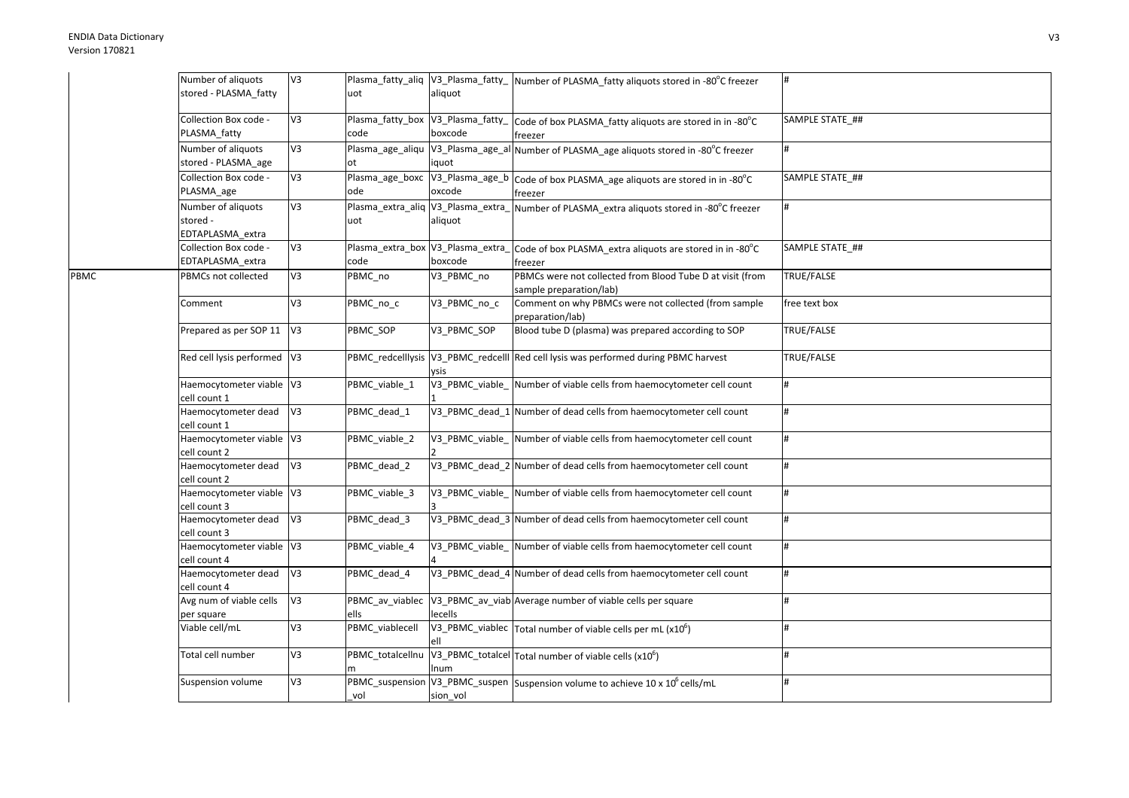|      | Number of aliquots          | V3             |                                   |                                    | Plasma_fatty_aliq  V3_Plasma_fatty_  Number of PLASMA_fatty aliquots stored in -80°C freezer |                         |
|------|-----------------------------|----------------|-----------------------------------|------------------------------------|----------------------------------------------------------------------------------------------|-------------------------|
|      | stored - PLASMA_fatty       |                | uot                               | aliquot                            |                                                                                              |                         |
|      |                             |                |                                   |                                    |                                                                                              |                         |
|      | Collection Box code -       | V <sub>3</sub> |                                   | Plasma_fatty_box V3_Plasma_fatty_  | Code of box PLASMA_fatty aliquots are stored in in -80°C                                     | SAMPLE STATE_##         |
|      | PLASMA fatty                |                | code                              | boxcode                            | freezer                                                                                      |                         |
|      | Number of aliquots          | V3             |                                   |                                    | Plasma_age_aliqu  V3_Plasma_age_al Number of PLASMA_age aliquots stored in -80°C freezer     | #                       |
|      | stored - PLASMA_age         |                | ot                                | iquot                              |                                                                                              |                         |
|      | Collection Box code -       | V3             |                                   |                                    | Plasma_age_boxc  V3_Plasma_age_b  Code of box PLASMA_age aliquots are stored in in -80°C     | SAMPLE STATE ##         |
|      | PLASMA_age                  |                | ode                               | oxcode                             |                                                                                              |                         |
|      |                             |                |                                   |                                    | freezer                                                                                      |                         |
|      | Number of aliquots          | V <sub>3</sub> |                                   | Plasma_extra_aliq V3_Plasma_extra_ | Number of PLASMA_extra aliquots stored in -80°C freezer                                      |                         |
|      | stored -                    |                | uot                               | aliquot                            |                                                                                              |                         |
|      | EDTAPLASMA extra            |                |                                   |                                    |                                                                                              |                         |
|      | Collection Box code -       | V3             | Plasma_extra_box V3_Plasma_extra_ |                                    | Code of box PLASMA extra aliquots are stored in in -80°C                                     | SAMPLE STATE ##         |
|      | EDTAPLASMA_extra            |                | code                              | boxcode                            | freezer                                                                                      |                         |
| PBMC | PBMCs not collected         | V3             | PBMC_no                           | V3_PBMC_no                         | PBMCs were not collected from Blood Tube D at visit (from                                    | TRUE/FALSE              |
|      |                             |                |                                   |                                    | sample preparation/lab)                                                                      |                         |
|      | Comment                     | V3             | PBMC_no_c                         | V3_PBMC_no_c                       | Comment on why PBMCs were not collected (from sample                                         | free text box           |
|      |                             |                |                                   |                                    | preparation/lab)                                                                             |                         |
|      | Prepared as per SOP 11      | V <sub>3</sub> | PBMC SOP                          | V3 PBMC SOP                        | Blood tube D (plasma) was prepared according to SOP                                          | TRUE/FALSE              |
|      |                             |                |                                   |                                    |                                                                                              |                         |
|      | Red cell lysis performed V3 |                |                                   |                                    | PBMC_redcelllysis V3_PBMC_redcelll Red cell lysis was performed during PBMC harvest          | TRUE/FALSE              |
|      |                             |                |                                   | /sis                               |                                                                                              |                         |
|      | Haemocytometer viable V3    |                | PBMC_viable_1                     |                                    | V3_PBMC_viable_Number of viable cells from haemocytometer cell count                         |                         |
|      | cell count 1                |                |                                   |                                    |                                                                                              |                         |
|      | Haemocytometer dead         | V <sub>3</sub> | PBMC_dead_1                       |                                    | V3_PBMC_dead_1 Number of dead cells from haemocytometer cell count                           | #                       |
|      | cell count 1                |                |                                   |                                    |                                                                                              |                         |
|      | Haemocytometer viable V3    |                | PBMC_viable_2                     |                                    | V3_PBMC_viable_ Number of viable cells from haemocytometer cell count                        |                         |
|      | cell count 2                |                |                                   |                                    |                                                                                              |                         |
|      | Haemocytometer dead         | V <sub>3</sub> | PBMC_dead_2                       |                                    | V3_PBMC_dead_2 Number of dead cells from haemocytometer cell count                           | $\pmb{\text{\tiny{H}}}$ |
|      | cell count 2                |                |                                   |                                    |                                                                                              |                         |
|      | Haemocytometer viable V3    |                | PBMC_viable_3                     |                                    | V3_PBMC_viable_ Number of viable cells from haemocytometer cell count                        |                         |
|      | cell count 3                |                |                                   |                                    |                                                                                              |                         |
|      | Haemocytometer dead         | V <sub>3</sub> | PBMC_dead_3                       |                                    | V3_PBMC_dead_3 Number of dead cells from haemocytometer cell count                           | #                       |
|      | cell count 3                |                |                                   |                                    |                                                                                              |                         |
|      | Haemocytometer viable V3    |                | PBMC_viable_4                     |                                    | V3_PBMC_viable_Number of viable cells from haemocytometer cell count                         | #                       |
|      | cell count 4                |                |                                   |                                    |                                                                                              |                         |
|      | Haemocytometer dead         | V <sub>3</sub> | PBMC_dead_4                       |                                    | V3_PBMC_dead_4 Number of dead cells from haemocytometer cell count                           | #                       |
|      | cell count 4                |                |                                   |                                    |                                                                                              |                         |
|      | Avg num of viable cells     | V <sub>3</sub> | PBMC_av_viablec                   |                                    | V3_PBMC_av_viab Average number of viable cells per square                                    |                         |
|      | per square                  |                | ells                              | lecells                            |                                                                                              |                         |
|      | Viable cell/mL              | V3             | PBMC viablecell                   |                                    | V3_PBMC_viablec $\vert$ Total number of viable cells per mL (x10 <sup>6</sup> )              |                         |
|      |                             |                |                                   |                                    |                                                                                              |                         |
|      | Total cell number           | V <sub>3</sub> | PBMC_totalcellnu                  |                                    | V3_PBMC_totalcel Total number of viable cells (x10 <sup>6</sup> )                            |                         |
|      |                             |                |                                   | Inum                               |                                                                                              |                         |
|      | Suspension volume           | V3             |                                   |                                    | PBMC_suspension $V3_P$ BMC_suspen Suspension volume to achieve 10 x 10 <sup>6</sup> cells/mL |                         |
|      |                             |                | vol                               | sion vol                           |                                                                                              |                         |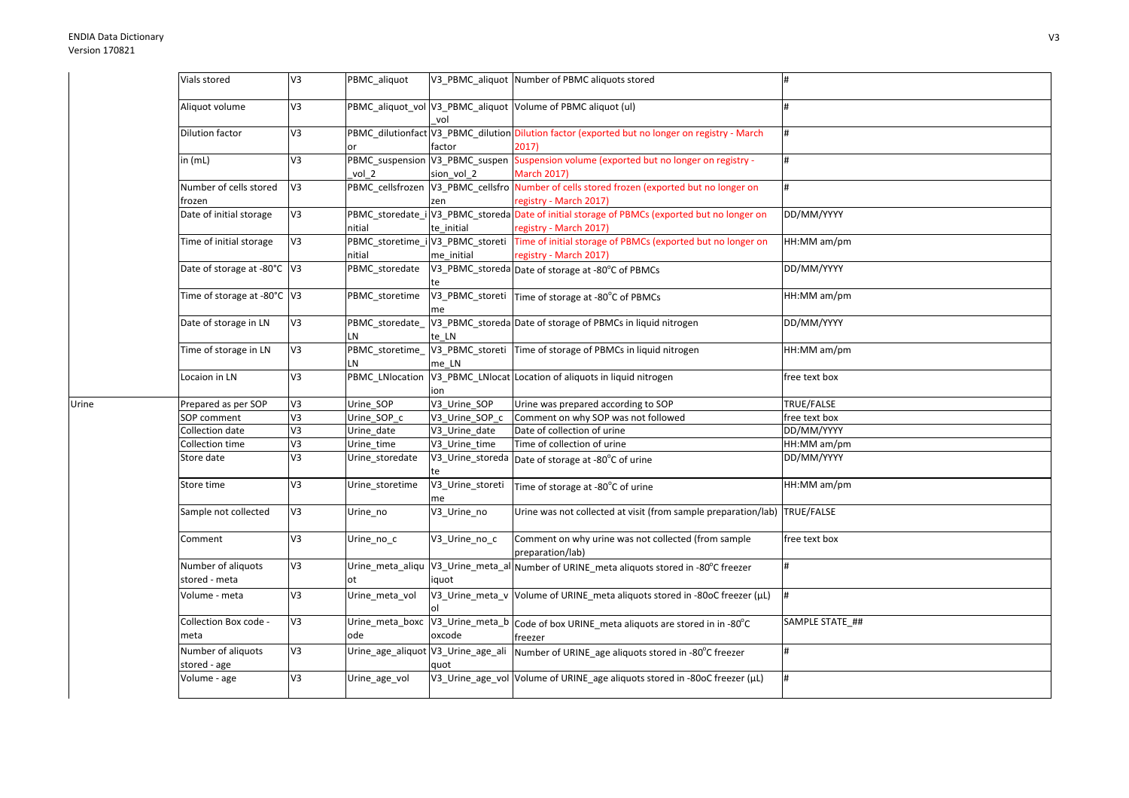Urine

| Vials stored                        | V3             | PBMC_aliquot          |                            | V3 PBMC aliquot Number of PBMC aliquots stored                                                                         | #               |
|-------------------------------------|----------------|-----------------------|----------------------------|------------------------------------------------------------------------------------------------------------------------|-----------------|
| Aliquot volume                      | V3             |                       | vol                        | PBMC_aliquot_vol V3_PBMC_aliquot Volume of PBMC aliquot (ul)                                                           | #               |
| Dilution factor                     | V3             | or                    | factor                     | PBMC_dilutionfact V3_PBMC_dilution Dilution factor (exported but no longer on registry - March<br>2017)                | #               |
| in (mL)                             | V <sub>3</sub> | vol 2                 | sion vol 2                 | PBMC_suspension V3_PBMC_suspen Suspension volume (exported but no longer on registry -<br><b>March 2017)</b>           | #               |
| Number of cells stored<br>frozen    | V3             |                       | zen                        | PBMC_cellsfrozen  V3_PBMC_cellsfro  Number of cells stored frozen (exported but no longer on<br>registry - March 2017) |                 |
| Date of initial storage             | V3             | nitial                | te initial                 | PBMC_storedate_i V3_PBMC_storeda Date of initial storage of PBMCs (exported but no longer on<br>registry - March 2017) | DD/MM/YYYY      |
| Time of initial storage             | V3             | nitial                | me initial                 | PBMC_storetime_i V3_PBMC_storeti Time of initial storage of PBMCs (exported but no longer on<br>registry - March 2017) | HH:MM am/pm     |
| Date of storage at -80°C V3         |                | PBMC_storedate        |                            | V3_PBMC_storeda Date of storage at -80°C of PBMCs                                                                      | DD/MM/YYYY      |
| Time of storage at -80°C V3         |                | PBMC_storetime        | me                         | V3_PBMC_storeti Time of storage at -80°C of PBMCs                                                                      | HH:MM am/pm     |
| Date of storage in LN               | V3             | PBMC storedate<br>LN  | te LN                      | V3_PBMC_storeda Date of storage of PBMCs in liquid nitrogen                                                            | DD/MM/YYYY      |
| Time of storage in LN               | V3             | PBMC_storetime_<br>LN | me LN                      | V3_PBMC_storeti Time of storage of PBMCs in liquid nitrogen                                                            | HH:MM am/pm     |
| Locaion in LN                       | V3             | PBMC_LNlocation       | ion                        | V3_PBMC_LNlocat Location of aliquots in liquid nitrogen                                                                | free text box   |
| Prepared as per SOP                 | V3             | Urine SOP             | V3 Urine SOP               | Urine was prepared according to SOP                                                                                    | TRUE/FALSE      |
| SOP comment                         | $5\lambda$     | Urine_SOP_c           | V3_Urine_SOP_c             | Comment on why SOP was not followed                                                                                    | free text box   |
| Collection date                     | V <sub>3</sub> | Urine_date            | V3 Urine date              | Date of collection of urine                                                                                            | DD/MM/YYYY      |
| Collection time                     | V <sub>3</sub> | Urine time            | $\overline{V3}$ Urine_time | Time of collection of urine                                                                                            | HH:MM am/pm     |
| Store date                          | V3             | Urine storedate       |                            | V3_Urine_storeda Date of storage at -80°C of urine                                                                     | DD/MM/YYYY      |
| Store time                          | V3             | Urine_storetime       | V3_Urine_storeti<br>me     | Time of storage at -80°C of urine                                                                                      | HH:MM am/pm     |
| Sample not collected                | V3             | Urine_no              | V3_Urine_no                | Urine was not collected at visit (from sample preparation/lab) TRUE/FALSE                                              |                 |
| Comment                             | V3             | Urine_no_c            | V3_Urine_no_c              | Comment on why urine was not collected (from sample<br>preparation/lab)                                                | free text box   |
| Number of aliquots<br>stored - meta | V3             | ot                    | iquot                      | Urine_meta_aliqu   V3_Urine_meta_al Number of URINE_meta aliquots stored in -80°C freezer                              | #               |
| Volume - meta                       | V3             | Urine_meta_vol        |                            | V3_Urine_meta_v Volume of URINE_meta aliquots stored in -80oC freezer (µL)                                             | #               |
| Collection Box code -<br>meta       | V3             | ode                   | oxcode                     | Urine_meta_boxc   V3_Urine_meta_b   Code of box URINE_meta aliquots are stored in in -80°C<br>freezer                  | SAMPLE STATE ## |
| Number of aliquots<br>stored - age  | V3             |                       | quot                       | Urine_age_aliquot V3_Urine_age_ali Number of URINE_age aliquots stored in -80°C freezer                                | #               |
| Volume - age                        | V3             | Urine age vol         |                            | V3_Urine_age_vol Volume of URINE_age aliquots stored in -80oC freezer (µL)                                             | #               |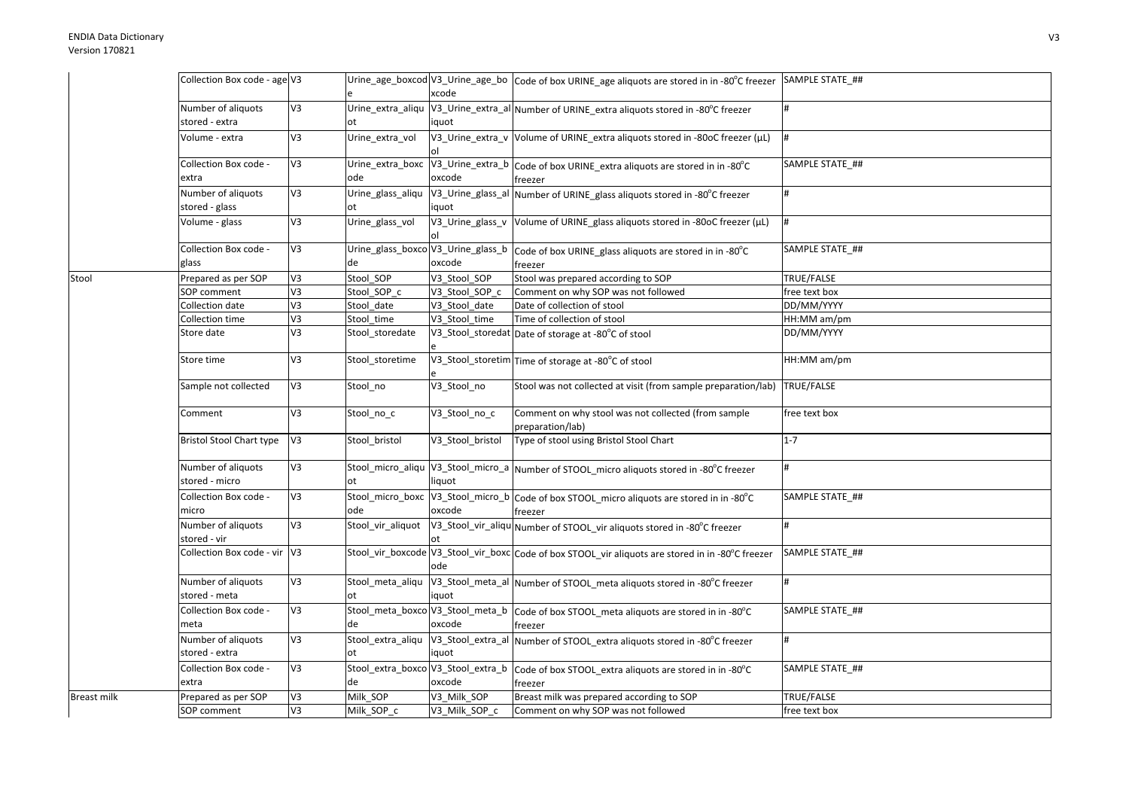|                    | Collection Box code - age V3         |                |                                          |                  | Urine_age_boxcod V3_Urine_age_bo   Code of box URINE_age aliquots are stored in in -80°C freezer SAMPLE STATE_## |                 |
|--------------------|--------------------------------------|----------------|------------------------------------------|------------------|------------------------------------------------------------------------------------------------------------------|-----------------|
|                    |                                      |                |                                          | xcode            |                                                                                                                  |                 |
|                    | Number of aliquots<br>stored - extra | V3             |                                          | iquot            | Urine_extra_aliqu V3_Urine_extra_al Number of URINE_extra aliquots stored in -80°C freezer                       | #               |
|                    | Volume - extra                       | V3             | Urine extra vol                          |                  | V3_Urine_extra_v Volume of URINE_extra aliquots stored in -80oC freezer (µL)                                     |                 |
|                    | Collection Box code -                | V <sub>3</sub> |                                          |                  | Urine_extra_boxc V3_Urine_extra_b Code of box URINE_extra aliquots are stored in in -80°C                        | SAMPLE STATE ## |
|                    | extra                                |                | ode                                      | oxcode           | freezer                                                                                                          |                 |
|                    | Number of aliquots<br>stored - glass | V3             | Urine_glass_aliqu<br>ot                  | iquot            | V3_Urine_glass_al Number of URINE_glass aliquots stored in -80°C freezer                                         |                 |
|                    | Volume - glass                       | V3             | Urine_glass_vol                          |                  | V3_Urine_glass_v Volume of URINE_glass aliquots stored in -80oC freezer (µL)                                     | #               |
|                    | Collection Box code -<br>glass       | V3             | de                                       | oxcode           | Urine_glass_boxco V3_Urine_glass_b  Code of box URINE_glass aliquots are stored in in -80°C<br>freezer           | SAMPLE STATE ## |
| Stool              | Prepared as per SOP                  | V <sub>3</sub> | Stool_SOP                                | V3_Stool_SOP     | Stool was prepared according to SOP                                                                              | TRUE/FALSE      |
|                    | SOP comment                          | V3             | Stool SOP c                              | V3 Stool SOP c   | Comment on why SOP was not followed                                                                              | free text box   |
|                    | Collection date                      | V3             | Stool_date                               | V3 Stool date    | Date of collection of stool                                                                                      | DD/MM/YYYY      |
|                    | Collection time                      | V3             | Stool_time                               | V3 Stool time    | Time of collection of stool                                                                                      | HH:MM am/pm     |
|                    | Store date                           | V <sub>3</sub> | Stool_storedate                          |                  | V3_Stool_storedat Date of storage at -80°C of stool                                                              | DD/MM/YYYY      |
|                    | Store time                           | V3             | Stool storetime                          |                  | V3_Stool_storetim Time of storage at -80°C of stool                                                              | HH:MM am/pm     |
|                    | Sample not collected                 | V3             | Stool_no                                 | V3_Stool_no      | Stool was not collected at visit (from sample preparation/lab)                                                   | TRUE/FALSE      |
|                    | Comment                              | V3             | Stool_no_c                               | V3_Stool_no_c    | Comment on why stool was not collected (from sample<br>preparation/lab)                                          | free text box   |
|                    | <b>Bristol Stool Chart type</b>      | V <sub>3</sub> | Stool bristol                            | V3 Stool bristol | Type of stool using Bristol Stool Chart                                                                          | $1 - 7$         |
|                    | Number of aliquots<br>stored - micro | V3             | оt                                       | liquot           | Stool_micro_aliqu V3_Stool_micro_a Number of STOOL_micro aliquots stored in -80°C freezer                        |                 |
|                    | Collection Box code -<br>micro       | V3             | ode                                      | oxcode           | Stool_micro_boxc V3_Stool_micro_b Code of box STOOL_micro aliquots are stored in in -80°C<br>freezer             | SAMPLE STATE ## |
|                    | Number of aliquots<br>stored - vir   | V <sub>3</sub> | Stool_vir_aliquot                        |                  | V3_Stool_vir_aliqu Number of STOOL_vir aliquots stored in -80°C freezer                                          |                 |
|                    | Collection Box code - vir V3         |                |                                          | ode              | Stool_vir_boxcode V3_Stool_vir_boxc Code of box STOOL_vir aliquots are stored in in -80°C freezer                | SAMPLE STATE ## |
|                    | Number of aliquots<br>stored - meta  | V3             | ot                                       | iquot            | Stool_meta_aliqu  V3_Stool_meta_al  Number of STOOL_meta aliquots stored in -80°C freezer                        |                 |
|                    | Collection Box code -<br>meta        | V3             | de                                       | oxcode           | Stool_meta_boxco V3_Stool_meta_b code of box STOOL_meta aliquots are stored in in -80°C                          | SAMPLE STATE ## |
|                    | Number of aliquots<br>stored - extra | V3             | Stool_extra_aliqu<br>ot                  | iquot            | freezer<br>V3_Stool_extra_al Number of STOOL_extra aliquots stored in -80°C freezer                              | #               |
|                    | Collection Box code -<br>extra       | V3             | Stool_extra_boxco V3_Stool_extra_b<br>de | oxcode           | Code of box STOOL_extra aliquots are stored in in -80°C<br>freezer                                               | SAMPLE STATE ## |
| <b>Breast milk</b> | Prepared as per SOP                  | V3             | Milk_SOP                                 | V3 Milk SOP      | Breast milk was prepared according to SOP                                                                        | TRUE/FALSE      |
|                    | SOP comment                          | V3             | Milk SOP c                               | V3 Milk SOP c    | Comment on why SOP was not followed                                                                              | free text box   |
|                    |                                      |                |                                          |                  |                                                                                                                  |                 |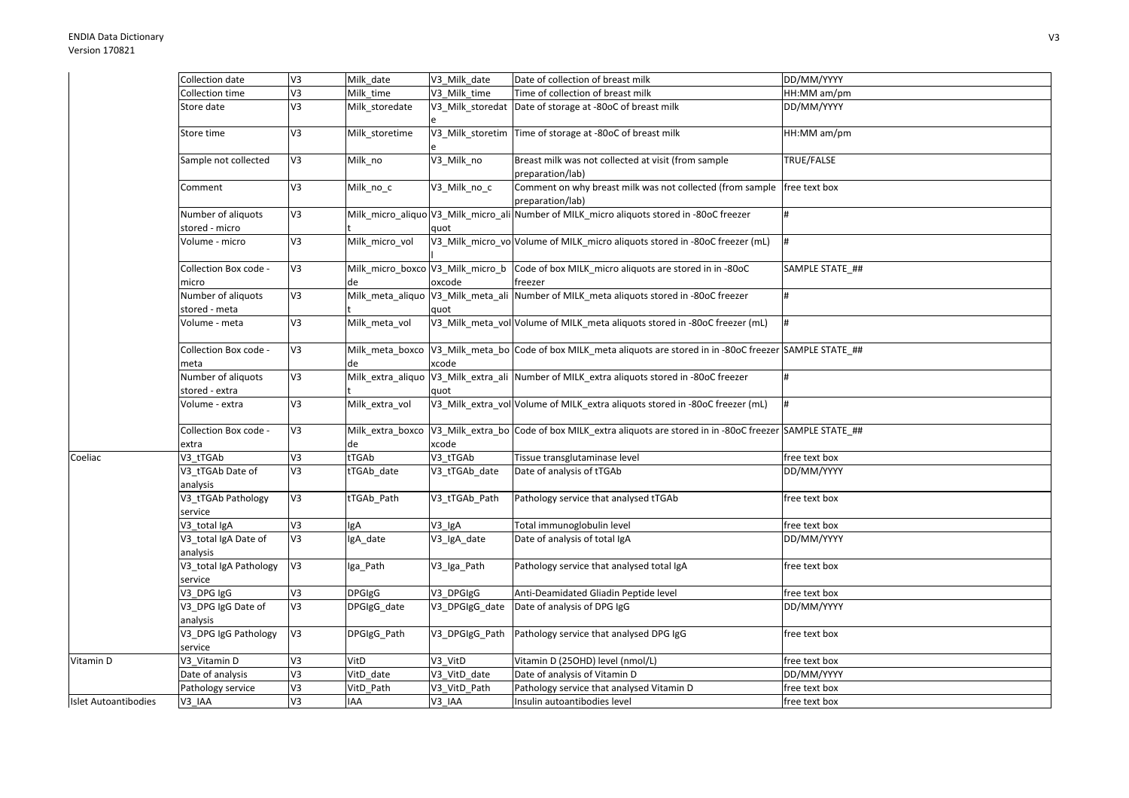|                             | Collection date                      | V <sub>3</sub> | Milk date      | V3 Milk date   | Date of collection of breast milk                                                                                | DD/MM/YYYY        |
|-----------------------------|--------------------------------------|----------------|----------------|----------------|------------------------------------------------------------------------------------------------------------------|-------------------|
|                             | Collection time                      | EA             | Milk time      | V3 Milk time   | Time of collection of breast milk                                                                                | HH:MM am/pm       |
|                             | Store date                           | V <sub>3</sub> | Milk_storedate |                | V3_Milk_storedat Date of storage at -80oC of breast milk                                                         | DD/MM/YYYY        |
|                             | Store time                           | V <sub>3</sub> | Milk_storetime |                | V3_Milk_storetim Time of storage at -80oC of breast milk                                                         | HH:MM am/pm       |
|                             | Sample not collected                 | V <sub>3</sub> | Milk_no        | V3_Milk_no     | Breast milk was not collected at visit (from sample<br>preparation/lab)                                          | <b>TRUE/FALSE</b> |
|                             | Comment                              | V <sub>3</sub> | Milk_no_c      | V3_Milk_no_c   | Comment on why breast milk was not collected (from sample<br>preparation/lab)                                    | free text box     |
|                             | Number of aliquots<br>stored - micro | V <sub>3</sub> |                | quot           | Milk_micro_aliquo V3_Milk_micro_ali Number of MILK_micro aliquots stored in -80oC freezer                        |                   |
|                             | Volume - micro                       | V <sub>3</sub> | Milk_micro_vol |                | V3_Milk_micro_vo Volume of MILK_micro aliquots stored in -80oC freezer (mL)                                      |                   |
|                             | Collection Box code -<br>micro       | V <sub>3</sub> | de             | oxcode         | Milk_micro_boxco V3_Milk_micro_b Code of box MILK_micro aliquots are stored in in -80oC<br>freezer               | SAMPLE STATE ##   |
|                             | Number of aliquots<br>stored - meta  | V <sub>3</sub> |                | quot           | Milk_meta_aliquo   V3_Milk_meta_ali   Number of MILK_meta aliquots stored in -80oC freezer                       | #                 |
|                             | Volume - meta                        | V <sub>3</sub> | Milk meta vol  |                | V3_Milk_meta_vol Volume of MILK_meta aliquots stored in -80oC freezer (mL)                                       | #                 |
|                             | Collection Box code -<br>meta        | V <sub>3</sub> | de             | xcode          | Milk_meta_boxco  V3_Milk_meta_bo  Code of box MILK_meta aliquots are stored in in -80oC freezer SAMPLE STATE_##  |                   |
|                             | Number of aliquots<br>stored - extra | V <sub>3</sub> |                | quot           | Milk_extra_aliquo V3_Milk_extra_ali Number of MILK_extra aliquots stored in -80oC freezer                        |                   |
|                             | Volume - extra                       | V <sub>3</sub> | Milk_extra_vol |                | V3_Milk_extra_vol Volume of MILK_extra aliquots stored in -80oC freezer (mL)                                     | #                 |
|                             | Collection Box code -<br>extra       | V <sub>3</sub> | de             | xcode          | Milk_extra_boxco V3_Milk_extra_bo Code of box MILK_extra aliquots are stored in in -80oC freezer SAMPLE STATE_## |                   |
| Coeliac                     | V3 tTGAb                             | V3             | tTGAb          | V3_tTGAb       | Tissue transglutaminase level                                                                                    | free text box     |
|                             | V3_tTGAb Date of<br>analysis         | V <sub>3</sub> | tTGAb_date     | V3 tTGAb date  | Date of analysis of tTGAb                                                                                        | DD/MM/YYYY        |
|                             | V3_tTGAb Pathology<br>service        | V <sub>3</sub> | tTGAb Path     | V3 tTGAb Path  | Pathology service that analysed tTGAb                                                                            | free text box     |
|                             | V3 total IgA                         | V <sub>3</sub> | lgA            | V3 IgA         | Total immunoglobulin level                                                                                       | free text box     |
|                             | V3_total IgA Date of<br>analysis     | V <sub>3</sub> | IgA_date       | V3_IgA_date    | Date of analysis of total IgA                                                                                    | DD/MM/YYYY        |
|                             | V3_total IgA Pathology<br>service    | V <sub>3</sub> | Iga Path       | V3_Iga_Path    | Pathology service that analysed total IgA                                                                        | free text box     |
|                             | V3_DPG IgG                           | V <sub>3</sub> | <b>DPGIgG</b>  | V3_DPGIgG      | Anti-Deamidated Gliadin Peptide level                                                                            | free text box     |
|                             | V3 DPG IgG Date of<br>analysis       | V <sub>3</sub> | DPGIgG_date    | V3_DPGIgG_date | Date of analysis of DPG IgG                                                                                      | DD/MM/YYYY        |
|                             | V3_DPG IgG Pathology<br>service      | V <sub>3</sub> | DPGIgG_Path    | V3_DPGIgG_Path | Pathology service that analysed DPG IgG                                                                          | free text box     |
| Vitamin D                   | V3_Vitamin D                         | V <sub>3</sub> | VitD           | V3 VitD        | Vitamin D (25OHD) level (nmol/L)                                                                                 | free text box     |
|                             | Date of analysis                     | V <sub>3</sub> | VitD_date      | V3_VitD_date   | Date of analysis of Vitamin D                                                                                    | DD/MM/YYYY        |
|                             | Pathology service                    | V <sub>3</sub> | VitD Path      | V3 VitD Path   | Pathology service that analysed Vitamin D                                                                        | free text box     |
| <b>Islet Autoantibodies</b> | V3 IAA                               | V <sub>3</sub> | IAA            | V3_IAA         | Insulin autoantibodies level                                                                                     | free text box     |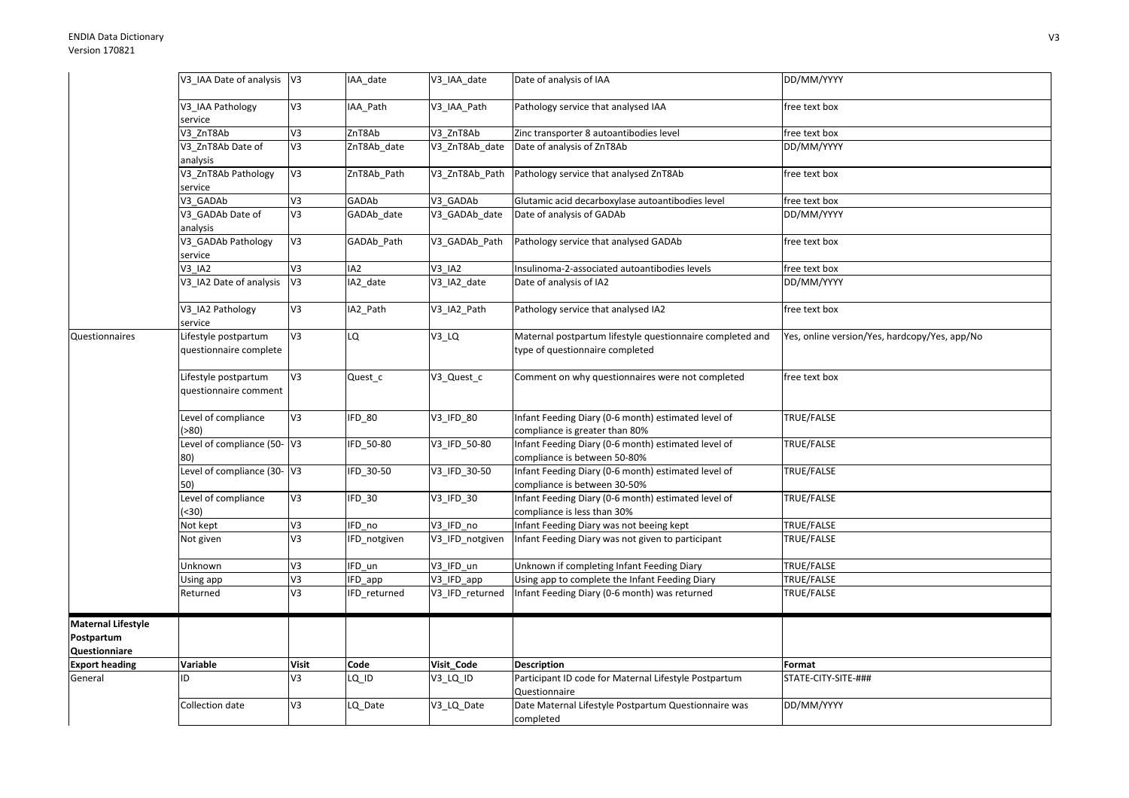|                           | V3 IAA Date of analysis                        | V <sub>3</sub> | IAA date        | V3_IAA_date                    | Date of analysis of IAA                                                                      | DD/MM/YYYY                                    |
|---------------------------|------------------------------------------------|----------------|-----------------|--------------------------------|----------------------------------------------------------------------------------------------|-----------------------------------------------|
|                           | V3 IAA Pathology<br>service                    | V3             | IAA Path        | V3 IAA Path                    | Pathology service that analysed IAA                                                          | free text box                                 |
|                           | V3 ZnT8Ab                                      | V3             | ZnT8Ab          | V3_ZnT8Ab                      | Zinc transporter 8 autoantibodies level                                                      | free text box                                 |
|                           | V3_ZnT8Ab Date of<br>analysis                  | V <sub>3</sub> | ZnT8Ab_date     | V3_ZnT8Ab_date                 | Date of analysis of ZnT8Ab                                                                   | DD/MM/YYYY                                    |
|                           | V3_ZnT8Ab Pathology                            | V3             | ZnT8Ab_Path     | V3_ZnT8Ab_Path                 | Pathology service that analysed ZnT8Ab                                                       | free text box                                 |
|                           | service                                        |                |                 |                                |                                                                                              |                                               |
|                           | V3 GADAb                                       | EA             | GADAb           | V3 GADAb                       | Glutamic acid decarboxylase autoantibodies level                                             | free text box                                 |
|                           | V3 GADAb Date of                               | V3             | GADAb_date      | V3_GADAb_date                  | Date of analysis of GADAb                                                                    | DD/MM/YYYY                                    |
|                           | analysis                                       |                |                 |                                |                                                                                              |                                               |
|                           | V3_GADAb Pathology<br>service                  | V3             | GADAb_Path      | V3_GADAb_Path                  | Pathology service that analysed GADAb                                                        | free text box                                 |
|                           | $V3$ $IA2$                                     | V <sub>3</sub> | IA <sub>2</sub> | V3 IA2                         | Insulinoma-2-associated autoantibodies levels                                                | free text box                                 |
|                           | V3 IA2 Date of analysis                        | V <sub>3</sub> | IA2 date        | V3_IA2_date                    | Date of analysis of IA2                                                                      | DD/MM/YYYY                                    |
|                           | V3_IA2 Pathology<br>service                    | V3             | IA2_Path        | V3_IA2_Path                    | Pathology service that analysed IA2                                                          | free text box                                 |
| <b>Questionnaires</b>     | Lifestyle postpartum<br>questionnaire complete | V <sub>3</sub> | LQ              | $V3_lQ$                        | Maternal postpartum lifestyle questionnaire completed and<br>type of questionnaire completed | Yes, online version/Yes, hardcopy/Yes, app/No |
|                           | Lifestyle postpartum<br>questionnaire comment  | V <sub>3</sub> | Quest_c         | V3_Quest_c                     | Comment on why questionnaires were not completed                                             | free text box                                 |
|                           | Level of compliance<br>( > 80)                 | V3             | IFD_80          | V3 IFD 80                      | Infant Feeding Diary (0-6 month) estimated level of<br>compliance is greater than 80%        | TRUE/FALSE                                    |
|                           | Level of compliance (50-V3<br>80)              |                | IFD 50-80       | V3_IFD_50-80                   | Infant Feeding Diary (0-6 month) estimated level of<br>compliance is between 50-80%          | TRUE/FALSE                                    |
|                           | Level of compliance (30- V3<br>50)             |                | IFD 30-50       | V3_IFD_30-50                   | Infant Feeding Diary (0-6 month) estimated level of<br>compliance is between 30-50%          | TRUE/FALSE                                    |
|                           | Level of compliance                            | V3             | IFD_30          | $\overline{\text{V3}}$ _IFD_30 | Infant Feeding Diary (0-6 month) estimated level of                                          | TRUE/FALSE                                    |
|                           | (30)                                           |                |                 |                                | compliance is less than 30%                                                                  |                                               |
|                           | Not kept                                       | V3             | IFD no          | V3 IFD no                      | Infant Feeding Diary was not beeing kept                                                     | TRUE/FALSE                                    |
|                           | Not given                                      | V <sub>3</sub> | IFD notgiven    | V3 IFD notgiven                | Infant Feeding Diary was not given to participant                                            | TRUE/FALSE                                    |
|                           | Unknown                                        | V3             | IFD un          | V3_IFD_un                      | Unknown if completing Infant Feeding Diary                                                   | TRUE/FALSE                                    |
|                           | Using app                                      | V3             | IFD_app         | V3_IFD_app                     | Using app to complete the Infant Feeding Diary                                               | TRUE/FALSE                                    |
|                           | Returned                                       | V3             | IFD returned    | V3 IFD returned                | Infant Feeding Diary (0-6 month) was returned                                                | TRUE/FALSE                                    |
| <b>Maternal Lifestyle</b> |                                                |                |                 |                                |                                                                                              |                                               |
| Postpartum                |                                                |                |                 |                                |                                                                                              |                                               |
| Questionniare             |                                                |                |                 |                                |                                                                                              |                                               |
| <b>Export heading</b>     | Variable                                       | <b>Visit</b>   | Code            | Visit_Code                     | <b>Description</b>                                                                           | Format                                        |
| General                   | ID                                             | V <sub>3</sub> | LQ ID           | V3 LQ ID                       | Participant ID code for Maternal Lifestyle Postpartum                                        | STATE-CITY-SITE-###                           |
|                           |                                                |                |                 |                                | Questionnaire                                                                                |                                               |
|                           | Collection date                                | V3             | LQ Date         | V3 LQ Date                     | Date Maternal Lifestyle Postpartum Questionnaire was<br>completed                            | DD/MM/YYYY                                    |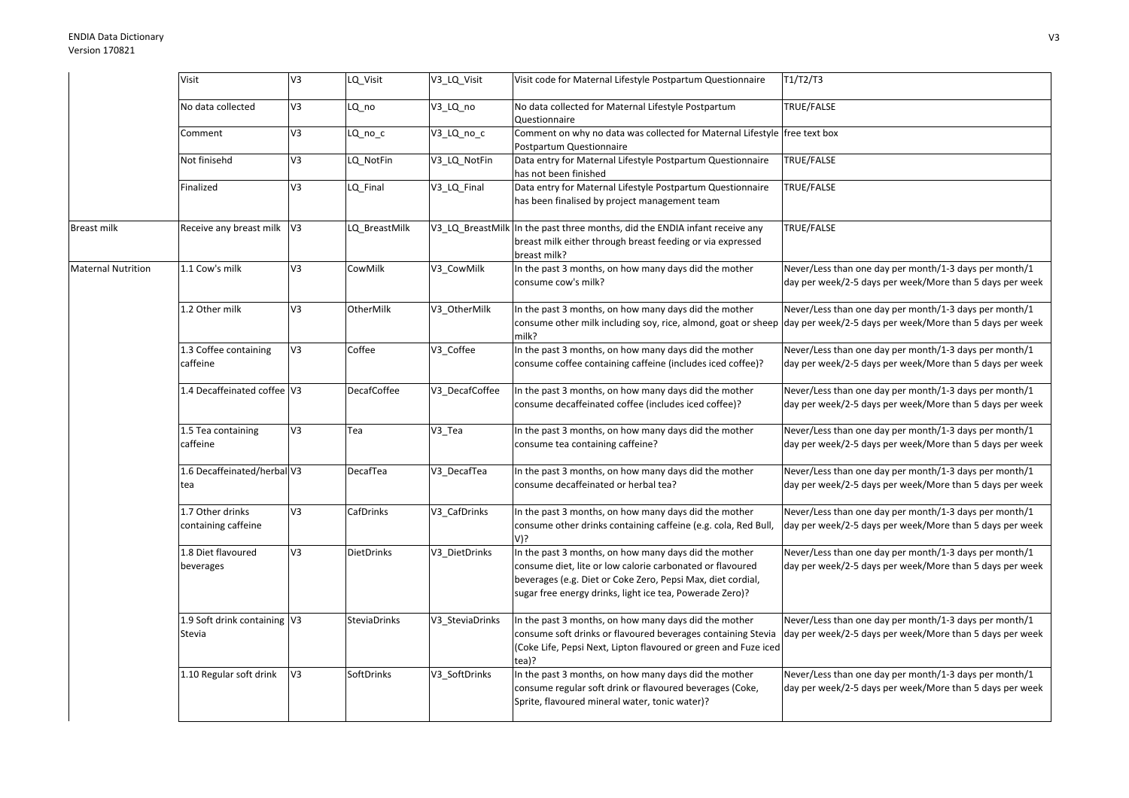## ENDIA Data DictionaryVersion 170821

|                           | Visit                                   | V <sub>3</sub> | LQ_Visit           | V3_LQ_Visit     | Visit code for Maternal Lifestyle Postpartum Questionnaire                                                                                                                                                                                    | T1/T2/T3                                                                                                           |
|---------------------------|-----------------------------------------|----------------|--------------------|-----------------|-----------------------------------------------------------------------------------------------------------------------------------------------------------------------------------------------------------------------------------------------|--------------------------------------------------------------------------------------------------------------------|
|                           | No data collected                       | V <sub>3</sub> | LQ no              | V3 LQ no        | No data collected for Maternal Lifestyle Postpartum<br>Questionnaire                                                                                                                                                                          | TRUE/FALSE                                                                                                         |
|                           | Comment                                 | V3             | LQ_no_c            | V3_LQ_no_c      | Comment on why no data was collected for Maternal Lifestyle free text box<br>Postpartum Questionnaire                                                                                                                                         |                                                                                                                    |
|                           | Not finisehd                            | V3             | LQ NotFin          | V3_LQ_NotFin    | Data entry for Maternal Lifestyle Postpartum Questionnaire<br>has not been finished                                                                                                                                                           | TRUE/FALSE                                                                                                         |
|                           | Finalized                               | V3             | LQ Final           | V3_LQ_Final     | Data entry for Maternal Lifestyle Postpartum Questionnaire<br>has been finalised by project management team                                                                                                                                   | TRUE/FALSE                                                                                                         |
| Breast milk               | Receive any breast milk   V3            |                | LQ_BreastMilk      |                 | V3_LQ_BreastMilk In the past three months, did the ENDIA infant receive any<br>breast milk either through breast feeding or via expressed<br>breast milk?                                                                                     | TRUE/FALSE                                                                                                         |
| <b>Maternal Nutrition</b> | 1.1 Cow's milk                          | V <sub>3</sub> | CowMilk            | V3_CowMilk      | In the past 3 months, on how many days did the mother<br>consume cow's milk?                                                                                                                                                                  | Never/Less than one day per month/1-3 days per month/1<br>day per week/2-5 days per week/More than 5 days per week |
|                           | 1.2 Other milk                          | V3             | OtherMilk          | V3 OtherMilk    | In the past 3 months, on how many days did the mother<br>consume other milk including soy, rice, almond, goat or sheep day per week/2-5 days per week/More than 5 days per week<br>milk?                                                      | Never/Less than one day per month/1-3 days per month/1                                                             |
|                           | 1.3 Coffee containing<br>caffeine       | V3             | Coffee             | V3_Coffee       | In the past 3 months, on how many days did the mother<br>consume coffee containing caffeine (includes iced coffee)?                                                                                                                           | Never/Less than one day per month/1-3 days per month/1<br>day per week/2-5 days per week/More than 5 days per week |
|                           | 1.4 Decaffeinated coffee V3             |                | <b>DecafCoffee</b> | V3 DecafCoffee  | In the past 3 months, on how many days did the mother<br>consume decaffeinated coffee (includes iced coffee)?                                                                                                                                 | Never/Less than one day per month/1-3 days per month/1<br>day per week/2-5 days per week/More than 5 days per week |
|                           | 1.5 Tea containing<br>caffeine          | V <sub>3</sub> | Tea                | V3_Tea          | In the past 3 months, on how many days did the mother<br>consume tea containing caffeine?                                                                                                                                                     | Never/Less than one day per month/1-3 days per month/1<br>day per week/2-5 days per week/More than 5 days per week |
|                           | 1.6 Decaffeinated/herbal V3<br>tea      |                | DecafTea           | V3_DecafTea     | In the past 3 months, on how many days did the mother<br>consume decaffeinated or herbal tea?                                                                                                                                                 | Never/Less than one day per month/1-3 days per month/1<br>day per week/2-5 days per week/More than 5 days per week |
|                           | 1.7 Other drinks<br>containing caffeine | V <sub>3</sub> | CafDrinks          | V3_CafDrinks    | In the past 3 months, on how many days did the mother<br>consume other drinks containing caffeine (e.g. cola, Red Bull,<br>V)?                                                                                                                | Never/Less than one day per month/1-3 days per month/1<br>day per week/2-5 days per week/More than 5 days per week |
|                           | 1.8 Diet flavoured<br>beverages         | V <sub>3</sub> | <b>DietDrinks</b>  | V3 DietDrinks   | In the past 3 months, on how many days did the mother<br>consume diet, lite or low calorie carbonated or flavoured<br>beverages (e.g. Diet or Coke Zero, Pepsi Max, diet cordial,<br>sugar free energy drinks, light ice tea, Powerade Zero)? | Never/Less than one day per month/1-3 days per month/1<br>day per week/2-5 days per week/More than 5 days per week |
|                           | 1.9 Soft drink containing V3<br>Stevia  |                | SteviaDrinks       | V3_SteviaDrinks | In the past 3 months, on how many days did the mother<br>consume soft drinks or flavoured beverages containing Stevia<br>(Coke Life, Pepsi Next, Lipton flavoured or green and Fuze iced<br>tea)?                                             | Never/Less than one day per month/1-3 days per month/1<br>day per week/2-5 days per week/More than 5 days per week |
|                           | 1.10 Regular soft drink                 | V3             | SoftDrinks         | V3_SoftDrinks   | In the past 3 months, on how many days did the mother<br>consume regular soft drink or flavoured beverages (Coke,<br>Sprite, flavoured mineral water, tonic water)?                                                                           | Never/Less than one day per month/1-3 days per month/1<br>day per week/2-5 days per week/More than 5 days per week |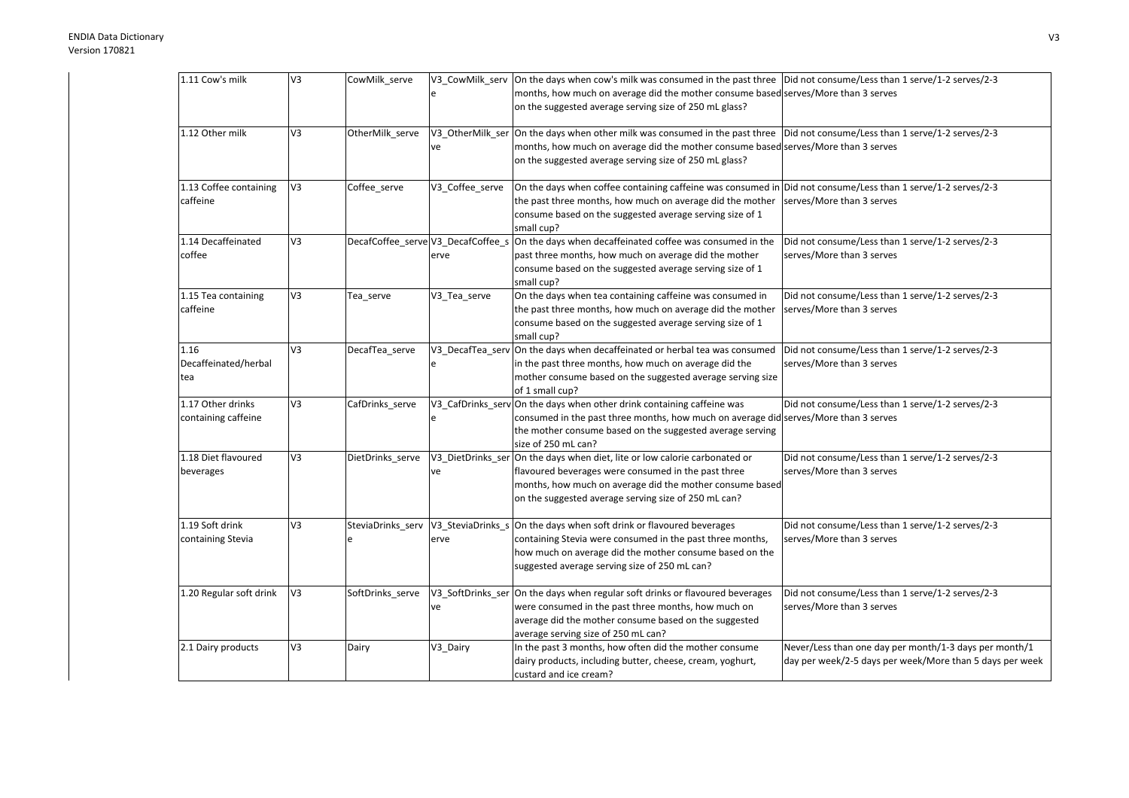| 1.11 Cow's milk         | V3             | CowMilk_serve    |                                    | V3_CowMilk_serv  On the days when cow's milk was consumed in the past three  Did not consume/Less than 1 serve/1-2 serves/2-3 |                                                                                                                    |
|-------------------------|----------------|------------------|------------------------------------|-------------------------------------------------------------------------------------------------------------------------------|--------------------------------------------------------------------------------------------------------------------|
|                         |                |                  |                                    | months, how much on average did the mother consume based serves/More than 3 serves                                            |                                                                                                                    |
|                         |                |                  |                                    | on the suggested average serving size of 250 mL glass?                                                                        |                                                                                                                    |
|                         |                |                  |                                    |                                                                                                                               |                                                                                                                    |
| 1.12 Other milk         | V3             | OtherMilk_serve  |                                    | V3_OtherMilk_ser On the days when other milk was consumed in the past three                                                   | Did not consume/Less than 1 serve/1-2 serves/2-3                                                                   |
|                         |                |                  | ve                                 | months, how much on average did the mother consume based serves/More than 3 serves                                            |                                                                                                                    |
|                         |                |                  |                                    | on the suggested average serving size of 250 mL glass?                                                                        |                                                                                                                    |
| 1.13 Coffee containing  | V3             | Coffee_serve     | V3_Coffee_serve                    | On the days when coffee containing caffeine was consumed in Did not consume/Less than 1 serve/1-2 serves/2-3                  |                                                                                                                    |
| caffeine                |                |                  |                                    | the past three months, how much on average did the mother                                                                     | serves/More than 3 serves                                                                                          |
|                         |                |                  |                                    | consume based on the suggested average serving size of 1                                                                      |                                                                                                                    |
|                         |                |                  |                                    | small cup?                                                                                                                    |                                                                                                                    |
| 1.14 Decaffeinated      | V3             |                  | DecafCoffee_serve V3_DecafCoffee_s | On the days when decaffeinated coffee was consumed in the                                                                     | Did not consume/Less than 1 serve/1-2 serves/2-3                                                                   |
| coffee                  |                |                  | erve                               | past three months, how much on average did the mother                                                                         | serves/More than 3 serves                                                                                          |
|                         |                |                  |                                    | consume based on the suggested average serving size of 1                                                                      |                                                                                                                    |
|                         |                |                  |                                    | small cup?                                                                                                                    |                                                                                                                    |
| 1.15 Tea containing     | V <sub>3</sub> | Tea serve        | V3 Tea serve                       | On the days when tea containing caffeine was consumed in                                                                      | Did not consume/Less than 1 serve/1-2 serves/2-3                                                                   |
| caffeine                |                |                  |                                    | the past three months, how much on average did the mother                                                                     | serves/More than 3 serves                                                                                          |
|                         |                |                  |                                    | consume based on the suggested average serving size of 1                                                                      |                                                                                                                    |
|                         |                |                  |                                    | small cup?                                                                                                                    |                                                                                                                    |
| 1.16                    | V3             | DecafTea_serve   |                                    | V3_DecafTea_serv On the days when decaffeinated or herbal tea was consumed                                                    | Did not consume/Less than 1 serve/1-2 serves/2-3                                                                   |
| Decaffeinated/herbal    |                |                  | e                                  | in the past three months, how much on average did the                                                                         | serves/More than 3 serves                                                                                          |
| tea                     |                |                  |                                    | mother consume based on the suggested average serving size                                                                    |                                                                                                                    |
|                         |                |                  |                                    | of 1 small cup?                                                                                                               |                                                                                                                    |
| 1.17 Other drinks       | V3             | CafDrinks_serve  |                                    | V3_CafDrinks_serv On the days when other drink containing caffeine was                                                        | Did not consume/Less than 1 serve/1-2 serves/2-3                                                                   |
| containing caffeine     |                |                  |                                    | consumed in the past three months, how much on average did serves/More than 3 serves                                          |                                                                                                                    |
|                         |                |                  |                                    | the mother consume based on the suggested average serving                                                                     |                                                                                                                    |
|                         |                |                  |                                    | size of 250 mL can?                                                                                                           |                                                                                                                    |
| 1.18 Diet flavoured     | V <sub>3</sub> | DietDrinks serve |                                    | V3_DietDrinks_ser On the days when diet, lite or low calorie carbonated or                                                    | Did not consume/Less than 1 serve/1-2 serves/2-3                                                                   |
| beverages               |                |                  | ve                                 | flavoured beverages were consumed in the past three                                                                           | serves/More than 3 serves                                                                                          |
|                         |                |                  |                                    | months, how much on average did the mother consume based                                                                      |                                                                                                                    |
|                         |                |                  |                                    | on the suggested average serving size of 250 mL can?                                                                          |                                                                                                                    |
| 1.19 Soft drink         | V3             |                  |                                    | SteviaDrinks_serv $\sqrt{V3}$ _SteviaDrinks_s On the days when soft drink or flavoured beverages                              | Did not consume/Less than 1 serve/1-2 serves/2-3                                                                   |
| containing Stevia       |                |                  | erve                               | containing Stevia were consumed in the past three months,                                                                     | serves/More than 3 serves                                                                                          |
|                         |                |                  |                                    | how much on average did the mother consume based on the                                                                       |                                                                                                                    |
|                         |                |                  |                                    | suggested average serving size of 250 mL can?                                                                                 |                                                                                                                    |
|                         |                |                  |                                    |                                                                                                                               |                                                                                                                    |
| 1.20 Regular soft drink | V3             | SoftDrinks_serve |                                    | V3_SoftDrinks_ser On the days when regular soft drinks or flavoured beverages                                                 | Did not consume/Less than 1 serve/1-2 serves/2-3                                                                   |
|                         |                |                  | ve                                 | were consumed in the past three months, how much on                                                                           | serves/More than 3 serves                                                                                          |
|                         |                |                  |                                    | average did the mother consume based on the suggested                                                                         |                                                                                                                    |
|                         |                |                  |                                    | average serving size of 250 mL can?                                                                                           |                                                                                                                    |
| 2.1 Dairy products      | V3             | Dairy            | V3_Dairy                           | In the past 3 months, how often did the mother consume                                                                        | Never/Less than one day per month/1-3 days per month/1<br>day per week/2-5 days per week/More than 5 days per week |
|                         |                |                  |                                    | dairy products, including butter, cheese, cream, yoghurt,<br>custard and ice cream?                                           |                                                                                                                    |
|                         |                |                  |                                    |                                                                                                                               |                                                                                                                    |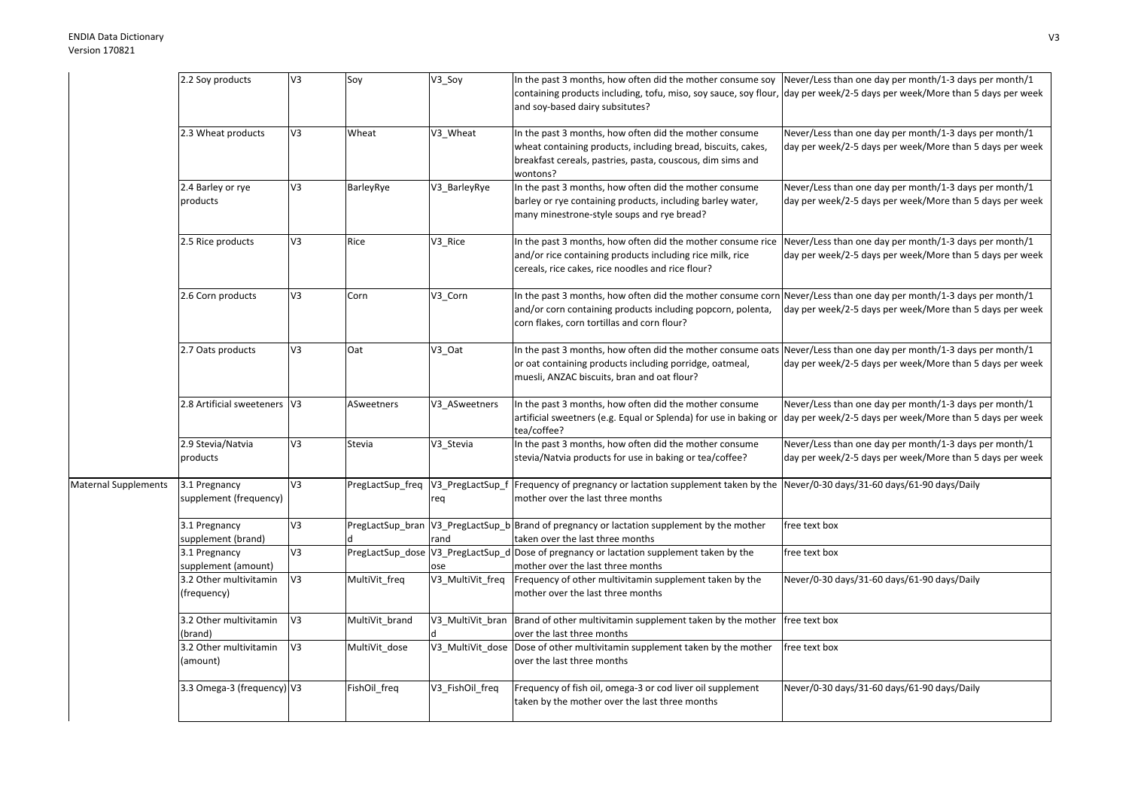|                             | 2.2 Soy products             | V3             | Soy               | V3_Soy           | In the past 3 months, how often did the mother consume soy Never/Less than one day per month/1-3 days per month/1          |                                                          |
|-----------------------------|------------------------------|----------------|-------------------|------------------|----------------------------------------------------------------------------------------------------------------------------|----------------------------------------------------------|
|                             |                              |                |                   |                  | containing products including, tofu, miso, soy sauce, soy flour, dday per week/2-5 days per week/More than 5 days per week |                                                          |
|                             |                              |                |                   |                  | and soy-based dairy subsitutes?                                                                                            |                                                          |
|                             |                              |                |                   |                  |                                                                                                                            |                                                          |
|                             | 2.3 Wheat products           | V3             | Wheat             | V3_Wheat         | In the past 3 months, how often did the mother consume                                                                     | Never/Less than one day per month/1-3 days per month/1   |
|                             |                              |                |                   |                  | wheat containing products, including bread, biscuits, cakes,                                                               | day per week/2-5 days per week/More than 5 days per week |
|                             |                              |                |                   |                  | breakfast cereals, pastries, pasta, couscous, dim sims and                                                                 |                                                          |
|                             |                              |                |                   |                  | wontons?                                                                                                                   |                                                          |
|                             | 2.4 Barley or rye            | V3             | BarleyRye         | V3_BarleyRye     | In the past 3 months, how often did the mother consume                                                                     | Never/Less than one day per month/1-3 days per month/1   |
|                             | products                     |                |                   |                  | barley or rye containing products, including barley water,                                                                 | day per week/2-5 days per week/More than 5 days per week |
|                             |                              |                |                   |                  | many minestrone-style soups and rye bread?                                                                                 |                                                          |
|                             |                              |                |                   |                  |                                                                                                                            |                                                          |
|                             | 2.5 Rice products            | V3             | Rice              | V3_Rice          | In the past 3 months, how often did the mother consume rice                                                                | Never/Less than one day per month/1-3 days per month/1   |
|                             |                              |                |                   |                  | and/or rice containing products including rice milk, rice                                                                  | day per week/2-5 days per week/More than 5 days per week |
|                             |                              |                |                   |                  | cereals, rice cakes, rice noodles and rice flour?                                                                          |                                                          |
|                             |                              |                |                   |                  |                                                                                                                            |                                                          |
|                             | 2.6 Corn products            | V3             | Corn              | V3_Corn          | In the past 3 months, how often did the mother consume corn Never/Less than one day per month/1-3 days per month/1         |                                                          |
|                             |                              |                |                   |                  | and/or corn containing products including popcorn, polenta,                                                                | day per week/2-5 days per week/More than 5 days per week |
|                             |                              |                |                   |                  | corn flakes, corn tortillas and corn flour?                                                                                |                                                          |
|                             |                              |                |                   |                  |                                                                                                                            |                                                          |
|                             | 2.7 Oats products            | V3             | Oat               | V3_Oat           | In the past 3 months, how often did the mother consume oats Never/Less than one day per month/1-3 days per month/1         |                                                          |
|                             |                              |                |                   |                  | or oat containing products including porridge, oatmeal,                                                                    | day per week/2-5 days per week/More than 5 days per week |
|                             |                              |                |                   |                  | muesli, ANZAC biscuits, bran and oat flour?                                                                                |                                                          |
|                             |                              |                |                   |                  |                                                                                                                            |                                                          |
|                             | 2.8 Artificial sweeteners V3 |                | <b>ASweetners</b> | V3_ASweetners    | In the past 3 months, how often did the mother consume                                                                     | Never/Less than one day per month/1-3 days per month/1   |
|                             |                              |                |                   |                  | artificial sweetners (e.g. Equal or Splenda) for use in baking or                                                          | day per week/2-5 days per week/More than 5 days per week |
|                             |                              |                |                   |                  | tea/coffee?                                                                                                                |                                                          |
|                             | 2.9 Stevia/Natvia            | V <sub>3</sub> | Stevia            | V3_Stevia        | In the past 3 months, how often did the mother consume                                                                     | Never/Less than one day per month/1-3 days per month/1   |
|                             | products                     |                |                   |                  | stevia/Natvia products for use in baking or tea/coffee?                                                                    | day per week/2-5 days per week/More than 5 days per week |
|                             |                              |                |                   |                  |                                                                                                                            |                                                          |
| <b>Maternal Supplements</b> | 3.1 Pregnancy                | V <sub>3</sub> | PregLactSup_freq  | V3_PregLactSup_f | Frequency of pregnancy or lactation supplement taken by the Never/0-30 days/31-60 days/61-90 days/Daily                    |                                                          |
|                             | supplement (frequency)       |                |                   | req              | mother over the last three months                                                                                          |                                                          |
|                             |                              |                |                   |                  |                                                                                                                            |                                                          |
|                             | 3.1 Pregnancy                | V3             |                   |                  | PregLactSup_bran  V3_PregLactSup_b Brand of pregnancy or lactation supplement by the mother                                | free text box                                            |
|                             | supplement (brand)           |                |                   | rand             | taken over the last three months                                                                                           |                                                          |
|                             | 3.1 Pregnancy                | V <sub>3</sub> |                   |                  | PregLactSup_dose V3_PregLactSup_d Dose of pregnancy or lactation supplement taken by the                                   | free text box                                            |
|                             | supplement (amount)          |                |                   | ose              | mother over the last three months                                                                                          |                                                          |
|                             | 3.2 Other multivitamin       | V <sub>3</sub> | MultiVit_freq     | V3_MultiVit_freq | Frequency of other multivitamin supplement taken by the                                                                    | Never/0-30 days/31-60 days/61-90 days/Daily              |
|                             | (frequency)                  |                |                   |                  | mother over the last three months                                                                                          |                                                          |
|                             |                              |                |                   |                  |                                                                                                                            |                                                          |
|                             | 3.2 Other multivitamin       | V <sub>3</sub> | MultiVit_brand    | V3_MultiVit_bran | Brand of other multivitamin supplement taken by the mother                                                                 | free text box                                            |
|                             | (brand)                      |                |                   |                  | over the last three months                                                                                                 |                                                          |
|                             | 3.2 Other multivitamin       | V <sub>3</sub> | MultiVit_dose     |                  | V3_MultiVit_dose Dose of other multivitamin supplement taken by the mother                                                 | free text box                                            |
|                             | (amount)                     |                |                   |                  | over the last three months                                                                                                 |                                                          |
|                             |                              |                |                   |                  |                                                                                                                            |                                                          |
|                             | 3.3 Omega-3 (frequency) V3   |                | FishOil_freq      | V3_FishOil_freq  | Frequency of fish oil, omega-3 or cod liver oil supplement                                                                 | Never/0-30 days/31-60 days/61-90 days/Daily              |
|                             |                              |                |                   |                  | taken by the mother over the last three months                                                                             |                                                          |
|                             |                              |                |                   |                  |                                                                                                                            |                                                          |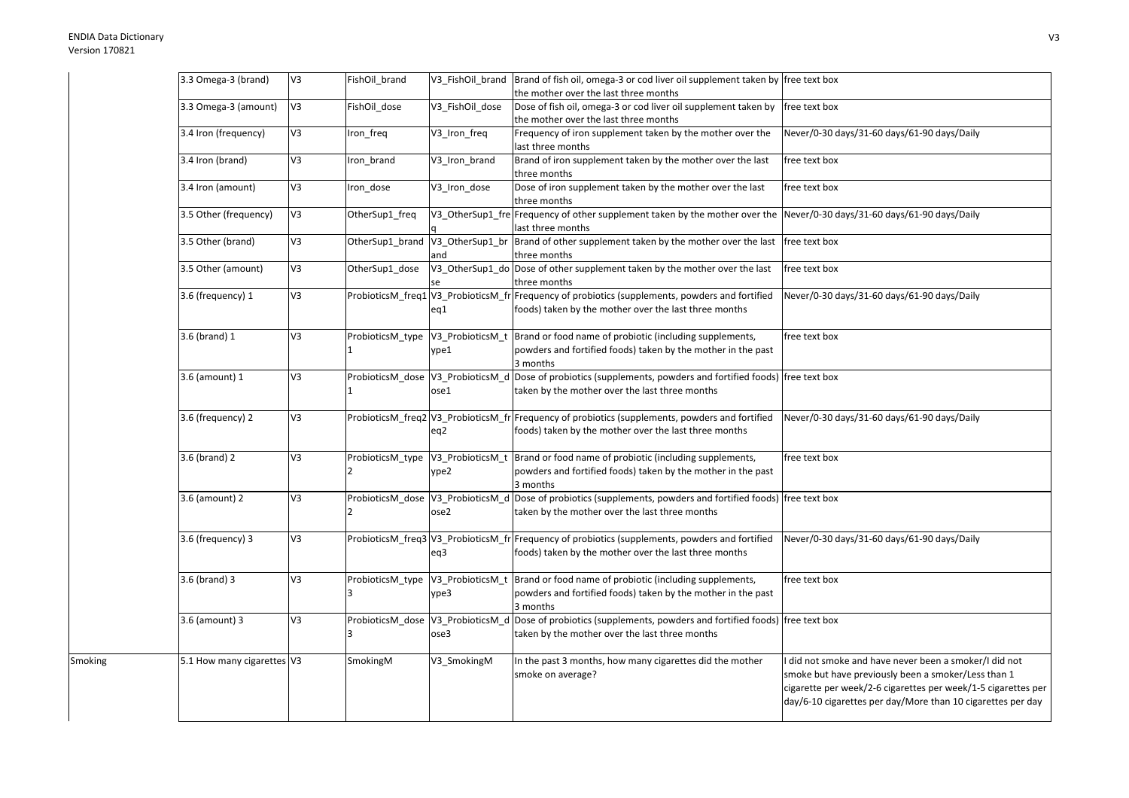Smoking

| 3.3 Omega-3 (brand)        | V3             | FishOil brand                                       |                          | V3_FishOil_brand Brand of fish oil, omega-3 or cod liver oil supplement taken by free text box                                                             |                                                                                                                                                                                                                                             |
|----------------------------|----------------|-----------------------------------------------------|--------------------------|------------------------------------------------------------------------------------------------------------------------------------------------------------|---------------------------------------------------------------------------------------------------------------------------------------------------------------------------------------------------------------------------------------------|
|                            |                |                                                     |                          | the mother over the last three months                                                                                                                      |                                                                                                                                                                                                                                             |
| 3.3 Omega-3 (amount)       | V3             | FishOil dose                                        | V3 FishOil dose          | Dose of fish oil, omega-3 or cod liver oil supplement taken by<br>the mother over the last three months                                                    | free text box                                                                                                                                                                                                                               |
| 3.4 Iron (frequency)       | V3             | Iron_freq                                           | V3_Iron_freq             | Frequency of iron supplement taken by the mother over the<br>last three months                                                                             | Never/0-30 days/31-60 days/61-90 days/Daily                                                                                                                                                                                                 |
| 3.4 Iron (brand)           | V3             | Iron brand                                          | V3 Iron brand            | Brand of iron supplement taken by the mother over the last<br>three months                                                                                 | free text box                                                                                                                                                                                                                               |
| 3.4 Iron (amount)          | V3             | Iron_dose                                           | V3_Iron_dose             | Dose of iron supplement taken by the mother over the last<br>three months                                                                                  | free text box                                                                                                                                                                                                                               |
| 3.5 Other (frequency)      | $5\lambda$     | OtherSup1_freq                                      |                          | V3_OtherSup1_fre Frequency of other supplement taken by the mother over the Never/0-30 days/31-60 days/61-90 days/Daily<br>last three months               |                                                                                                                                                                                                                                             |
| 3.5 Other (brand)          | V3             | OtherSup1_brand                                     | V3_OtherSup1_br<br>and   | Brand of other supplement taken by the mother over the last<br>three months                                                                                | free text box                                                                                                                                                                                                                               |
| 3.5 Other (amount)         | V3             | OtherSup1_dose                                      |                          | V3_OtherSup1_do Dose of other supplement taken by the mother over the last<br>three months                                                                 | free text box                                                                                                                                                                                                                               |
| 3.6 (frequency) 1          | V3             |                                                     | eq1                      | ProbioticsM_freq1   V3_ProbioticsM_fr Frequency of probiotics (supplements, powders and fortified<br>foods) taken by the mother over the last three months | Never/0-30 days/31-60 days/61-90 days/Daily                                                                                                                                                                                                 |
| 3.6 (brand) 1              | V <sub>3</sub> | ProbioticsM_type<br>$\mathbf{1}$                    | V3_ProbioticsM_t<br>ype1 | Brand or food name of probiotic (including supplements,<br>powders and fortified foods) taken by the mother in the past<br>3 months                        | free text box                                                                                                                                                                                                                               |
| 3.6 (amount) 1             | V3             | ProbioticsM_dose V3_ProbioticsM_d                   | ose1                     | Dose of probiotics (supplements, powders and fortified foods) free text box<br>taken by the mother over the last three months                              |                                                                                                                                                                                                                                             |
| 3.6 (frequency) 2          | V3             |                                                     | eq2                      | ProbioticsM_freq2 V3_ProbioticsM_fr Frequency of probiotics (supplements, powders and fortified<br>foods) taken by the mother over the last three months   | Never/0-30 days/31-60 days/61-90 days/Daily                                                                                                                                                                                                 |
| 3.6 (brand) 2              | V3             | ProbioticsM_type V3_ProbioticsM_t<br>$\overline{2}$ | ype2                     | Brand or food name of probiotic (including supplements,<br>powders and fortified foods) taken by the mother in the past<br>3 months                        | free text box                                                                                                                                                                                                                               |
| 3.6 (amount) 2             | V3             | ProbioticsM_dose V3_ProbioticsM_d                   | ose2                     | Dose of probiotics (supplements, powders and fortified foods) free text box<br>taken by the mother over the last three months                              |                                                                                                                                                                                                                                             |
| 3.6 (frequency) 3          | V3             |                                                     | eq3                      | ProbioticsM freq3 V3 ProbioticsM fr Frequency of probiotics (supplements, powders and fortified<br>foods) taken by the mother over the last three months   | Never/0-30 days/31-60 days/61-90 days/Daily                                                                                                                                                                                                 |
| 3.6 (brand) 3              | V3             | ProbioticsM_type<br>3                               | V3_ProbioticsM_t<br>ype3 | Brand or food name of probiotic (including supplements,<br>powders and fortified foods) taken by the mother in the past<br>3 months                        | free text box                                                                                                                                                                                                                               |
| 3.6 (amount) 3             | V3             | ProbioticsM_dose<br>3                               | V3_ProbioticsM_d<br>ose3 | Dose of probiotics (supplements, powders and fortified foods) free text box<br>taken by the mother over the last three months                              |                                                                                                                                                                                                                                             |
| 5.1 How many cigarettes V3 |                | SmokingM                                            | V3_SmokingM              | In the past 3 months, how many cigarettes did the mother<br>smoke on average?                                                                              | did not smoke and have never been a smoker/I did not<br>smoke but have previously been a smoker/Less than 1<br>cigarette per week/2-6 cigarettes per week/1-5 cigarettes per<br>day/6-10 cigarettes per day/More than 10 cigarettes per day |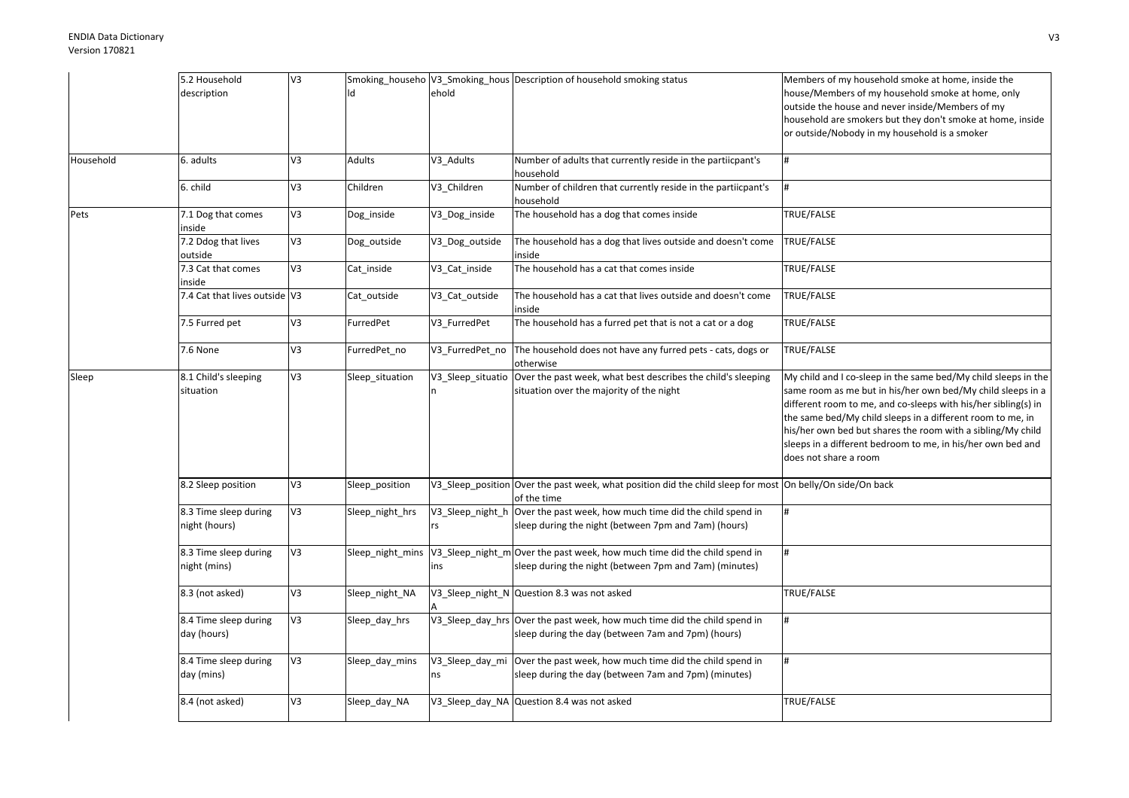|           | 5.2 Household                          | V3             |                  |                        | Smoking_househo  V3_Smoking_hous  Description of household smoking status                                                           | Members of my household smoke at home, inside the                                                                                                                                                                                                                                                                                                                                                                    |
|-----------|----------------------------------------|----------------|------------------|------------------------|-------------------------------------------------------------------------------------------------------------------------------------|----------------------------------------------------------------------------------------------------------------------------------------------------------------------------------------------------------------------------------------------------------------------------------------------------------------------------------------------------------------------------------------------------------------------|
|           | description                            |                |                  | ehold                  |                                                                                                                                     | house/Members of my household smoke at home, only<br>outside the house and never inside/Members of my<br>household are smokers but they don't smoke at home, inside<br>or outside/Nobody in my household is a smoker                                                                                                                                                                                                 |
| Household | 6. adults                              | V3             | Adults           | V3_Adults              | Number of adults that currently reside in the partiicpant's<br>household                                                            | #                                                                                                                                                                                                                                                                                                                                                                                                                    |
|           | 6. child                               | V3             | Children         | V3 Children            | Number of children that currently reside in the partiicpant's<br>household                                                          |                                                                                                                                                                                                                                                                                                                                                                                                                      |
| Pets      | 7.1 Dog that comes<br>inside           | V3             | Dog_inside       | V3_Dog_inside          | The household has a dog that comes inside                                                                                           | TRUE/FALSE                                                                                                                                                                                                                                                                                                                                                                                                           |
|           | 7.2 Ddog that lives<br>outside         | V3             | Dog_outside      | V3_Dog_outside         | The household has a dog that lives outside and doesn't come<br>inside                                                               | TRUE/FALSE                                                                                                                                                                                                                                                                                                                                                                                                           |
|           | 7.3 Cat that comes<br>inside           | V3             | Cat_inside       | V3_Cat_inside          | The household has a cat that comes inside                                                                                           | TRUE/FALSE                                                                                                                                                                                                                                                                                                                                                                                                           |
|           | 7.4 Cat that lives outside V3          |                | Cat_outside      | V3_Cat_outside         | The household has a cat that lives outside and doesn't come<br>inside                                                               | TRUE/FALSE                                                                                                                                                                                                                                                                                                                                                                                                           |
|           | 7.5 Furred pet                         | V3             | FurredPet        | V3 FurredPet           | The household has a furred pet that is not a cat or a dog                                                                           | TRUE/FALSE                                                                                                                                                                                                                                                                                                                                                                                                           |
|           | 7.6 None                               | V3             | FurredPet_no     | V3 FurredPet no        | The household does not have any furred pets - cats, dogs or<br>otherwise                                                            | TRUE/FALSE                                                                                                                                                                                                                                                                                                                                                                                                           |
| Sleep     | 8.1 Child's sleeping<br>situation      | V3             | Sleep_situation  | V3 Sleep situatio      | Over the past week, what best describes the child's sleeping<br>situation over the majority of the night                            | My child and I co-sleep in the same bed/My child sleeps in the<br>same room as me but in his/her own bed/My child sleeps in a<br>different room to me, and co-sleeps with his/her sibling(s) in<br>the same bed/My child sleeps in a different room to me, in<br>his/her own bed but shares the room with a sibling/My child<br>sleeps in a different bedroom to me, in his/her own bed and<br>does not share a room |
|           | 8.2 Sleep position                     | V3             | Sleep_position   |                        | V3_Sleep_position Over the past week, what position did the child sleep for most On belly/On side/On back<br>of the time            |                                                                                                                                                                                                                                                                                                                                                                                                                      |
|           | 8.3 Time sleep during<br>night (hours) | V <sub>3</sub> | Sleep_night_hrs  | V3_Sleep_night_h<br>rs | Over the past week, how much time did the child spend in<br>sleep during the night (between 7pm and 7am) (hours)                    | l#                                                                                                                                                                                                                                                                                                                                                                                                                   |
|           | 8.3 Time sleep during<br>night (mins)  | V3             | Sleep_night_mins | ins                    | V3_Sleep_night_m Over the past week, how much time did the child spend in<br>sleep during the night (between 7pm and 7am) (minutes) | #                                                                                                                                                                                                                                                                                                                                                                                                                    |
|           | 8.3 (not asked)                        | V3             | Sleep_night_NA   |                        | V3 Sleep night N Question 8.3 was not asked                                                                                         | TRUE/FALSE                                                                                                                                                                                                                                                                                                                                                                                                           |
|           | 8.4 Time sleep during<br>day (hours)   | V3             | Sleep_day_hrs    |                        | V3_Sleep_day_hrs Over the past week, how much time did the child spend in<br>sleep during the day (between 7am and 7pm) (hours)     | #                                                                                                                                                                                                                                                                                                                                                                                                                    |
|           | 8.4 Time sleep during<br>day (mins)    | V3             | Sleep_day_mins   | V3_Sleep_day_mi<br>ns  | Over the past week, how much time did the child spend in<br>sleep during the day (between 7am and 7pm) (minutes)                    | #                                                                                                                                                                                                                                                                                                                                                                                                                    |
|           | 8.4 (not asked)                        | V3             | Sleep_day_NA     |                        | V3_Sleep_day_NA Question 8.4 was not asked                                                                                          | TRUE/FALSE                                                                                                                                                                                                                                                                                                                                                                                                           |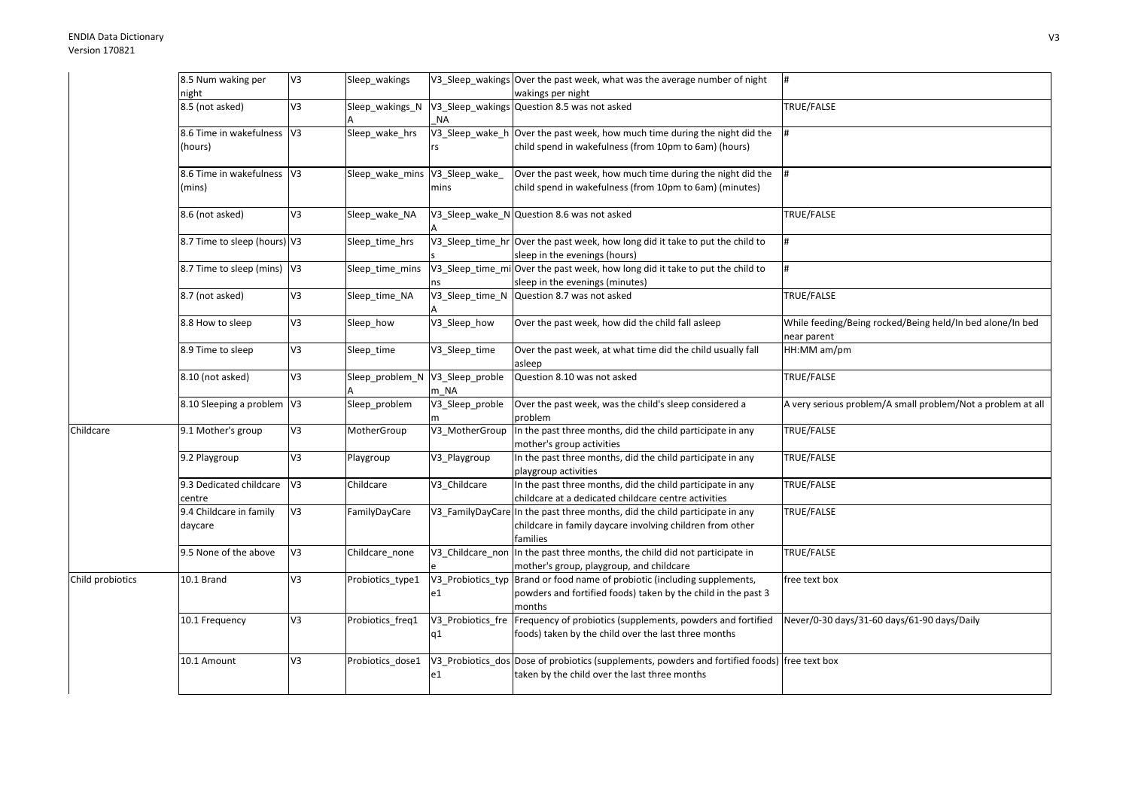|                  | 8.5 Num waking per                    | V <sub>3</sub> | Sleep wakings                   |                       | V3 Sleep wakings Over the past week, what was the average number of night                                                                            | $\vert \sharp$                                                          |
|------------------|---------------------------------------|----------------|---------------------------------|-----------------------|------------------------------------------------------------------------------------------------------------------------------------------------------|-------------------------------------------------------------------------|
|                  | night                                 |                |                                 |                       | wakings per night                                                                                                                                    |                                                                         |
|                  | 8.5 (not asked)                       | $5\lambda$     | Sleep_wakings_N                 | <b>NA</b>             | V3_Sleep_wakings Question 8.5 was not asked                                                                                                          | TRUE/FALSE                                                              |
|                  | 8.6 Time in wakefulness V3<br>(hours) |                | Sleep_wake_hrs                  |                       | V3_Sleep_wake_h Over the past week, how much time during the night did the<br>child spend in wakefulness (from 10pm to 6am) (hours)                  |                                                                         |
|                  | 8.6 Time in wakefulness V3<br>(mins)  |                | Sleep_wake_mins                 | V3 Sleep wake<br>mins | Over the past week, how much time during the night did the<br>child spend in wakefulness (from 10pm to 6am) (minutes)                                |                                                                         |
|                  | 8.6 (not asked)                       | V3             | Sleep_wake_NA                   |                       | V3_Sleep_wake_N Question 8.6 was not asked                                                                                                           | TRUE/FALSE                                                              |
|                  | 8.7 Time to sleep (hours) V3          |                | Sleep time hrs                  |                       | V3_Sleep_time_hr Over the past week, how long did it take to put the child to<br>sleep in the evenings (hours)                                       |                                                                         |
|                  | 8.7 Time to sleep (mins)              | V <sub>3</sub> | Sleep_time_mins                 |                       | V3_Sleep_time_mi Over the past week, how long did it take to put the child to<br>sleep in the evenings (minutes)                                     |                                                                         |
|                  | 8.7 (not asked)                       | V3             | Sleep_time_NA                   | V3_Sleep_time_N       | Question 8.7 was not asked                                                                                                                           | TRUE/FALSE                                                              |
|                  | 8.8 How to sleep                      | V3             | Sleep how                       | V3_Sleep_how          | Over the past week, how did the child fall asleep                                                                                                    | While feeding/Being rocked/Being held/In bed alone/In bed<br>ear parent |
|                  | 8.9 Time to sleep                     | V3             | Sleep_time                      | V3_Sleep_time         | Over the past week, at what time did the child usually fall<br>asleep                                                                                | HH:MM am/pm                                                             |
|                  | 8.10 (not asked)                      | V <sub>3</sub> | Sleep_problem_N V3_Sleep_proble | m NA                  | Question 8.10 was not asked                                                                                                                          | TRUE/FALSE                                                              |
|                  | 8.10 Sleeping a problem V3            |                | Sleep problem                   | V3 Sleep proble       | Over the past week, was the child's sleep considered a<br>problem                                                                                    | A very serious problem/A small problem/Not a problem at all             |
| Childcare        | 9.1 Mother's group                    | V3             | MotherGroup                     | V3_MotherGroup        | In the past three months, did the child participate in any<br>mother's group activities                                                              | TRUE/FALSE                                                              |
|                  | 9.2 Playgroup                         | V <sub>3</sub> | Playgroup                       | V3_Playgroup          | In the past three months, did the child participate in any<br>playgroup activities                                                                   | TRUE/FALSE                                                              |
|                  | 9.3 Dedicated childcare<br>centre     | V <sub>3</sub> | Childcare                       | V3 Childcare          | In the past three months, did the child participate in any<br>childcare at a dedicated childcare centre activities                                   | TRUE/FALSE                                                              |
|                  | 9.4 Childcare in family<br>daycare    | V3             | FamilyDayCare                   |                       | V3 FamilyDayCare In the past three months, did the child participate in any<br>childcare in family daycare involving children from other<br>families | TRUE/FALSE                                                              |
|                  | 9.5 None of the above                 | V <sub>3</sub> | Childcare none                  |                       | V3 Childcare non In the past three months, the child did not participate in<br>mother's group, playgroup, and childcare                              | TRUE/FALSE                                                              |
| Child probiotics | 10.1 Brand                            | V3             | Probiotics_type1                | e1                    | V3_Probiotics_typ Brand or food name of probiotic (including supplements,<br>powders and fortified foods) taken by the child in the past 3<br>months | free text box                                                           |
|                  | 10.1 Frequency                        | V3             | Probiotics freq1                | q1                    | V3 Probiotics fre Frequency of probiotics (supplements, powders and fortified<br>foods) taken by the child over the last three months                | Never/0-30 days/31-60 days/61-90 days/Daily                             |
|                  | 10.1 Amount                           | V3             | Probiotics dose1                | e1                    | V3 Probiotics dos Dose of probiotics (supplements, powders and fortified foods) free text box<br>taken by the child over the last three months       |                                                                         |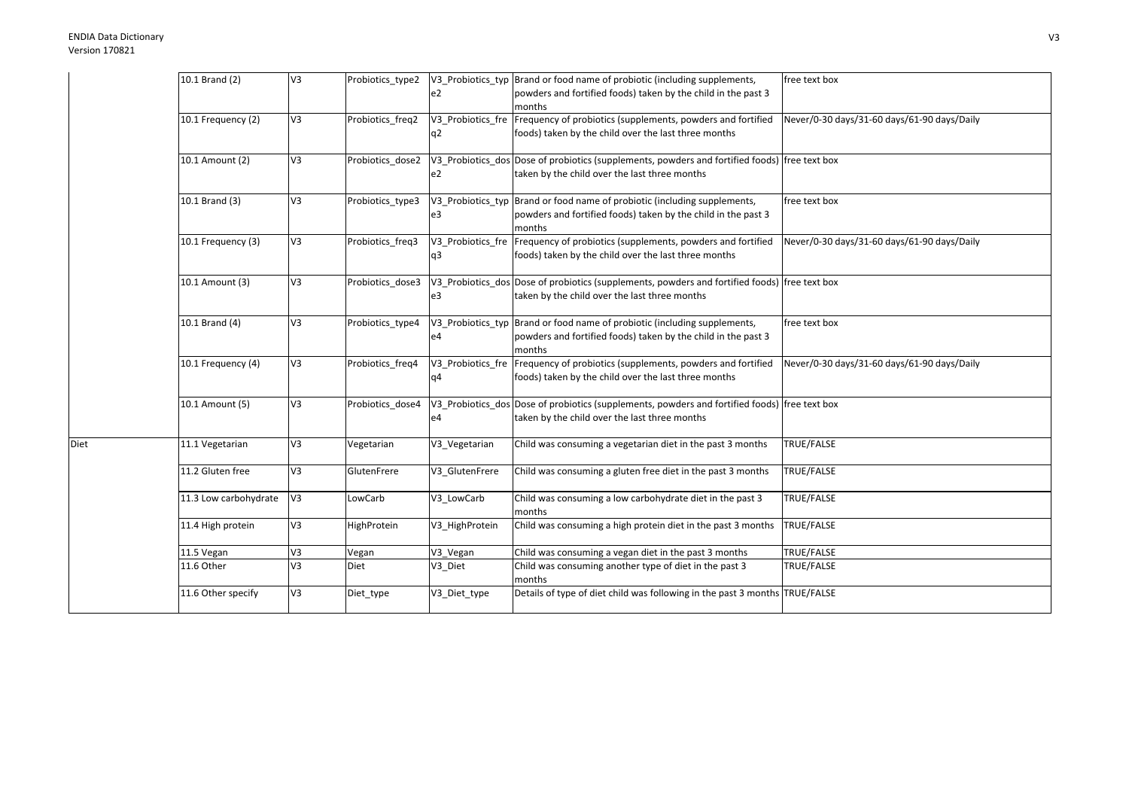Diet

| 10.1 Brand (2)        | V3             | Probiotics_type2 | e <sub>2</sub> | V3 Probiotics typ Brand or food name of probiotic (including supplements,<br>powders and fortified foods) taken by the child in the past 3 | free text box                               |
|-----------------------|----------------|------------------|----------------|--------------------------------------------------------------------------------------------------------------------------------------------|---------------------------------------------|
|                       |                |                  |                | months                                                                                                                                     |                                             |
| 10.1 Frequency (2)    | V <sub>3</sub> | Probiotics freq2 |                | V3_Probiotics_fre Frequency of probiotics (supplements, powders and fortified                                                              | Never/0-30 days/31-60 days/61-90 days/Daily |
|                       |                |                  | q <sub>2</sub> | foods) taken by the child over the last three months                                                                                       |                                             |
| 10.1 Amount (2)       | V <sub>3</sub> | Probiotics dose2 |                | V3_Probiotics_dos Dose of probiotics (supplements, powders and fortified foods) free text box                                              |                                             |
|                       |                |                  | e <sub>2</sub> | taken by the child over the last three months                                                                                              |                                             |
| 10.1 Brand (3)        | V3             | Probiotics_type3 |                | V3 Probiotics typ Brand or food name of probiotic (including supplements,                                                                  | free text box                               |
|                       |                |                  | e3             | powders and fortified foods) taken by the child in the past 3<br>months                                                                    |                                             |
| 10.1 Frequency (3)    | V <sub>3</sub> | Probiotics freq3 |                | V3_Probiotics_fre Frequency of probiotics (supplements, powders and fortified                                                              | Never/0-30 days/31-60 days/61-90 days/Daily |
|                       |                |                  | q3             | foods) taken by the child over the last three months                                                                                       |                                             |
| 10.1 Amount (3)       | V <sub>3</sub> | Probiotics dose3 |                | V3_Probiotics_dos Dose of probiotics (supplements, powders and fortified foods) free text box                                              |                                             |
|                       |                |                  | e <sub>3</sub> | taken by the child over the last three months                                                                                              |                                             |
| 10.1 Brand (4)        | V <sub>3</sub> | Probiotics_type4 |                | V3 Probiotics typ Brand or food name of probiotic (including supplements,                                                                  | free text box                               |
|                       |                |                  | e <sub>4</sub> | powders and fortified foods) taken by the child in the past 3<br>months                                                                    |                                             |
| 10.1 Frequency (4)    | V3             | Probiotics_freq4 |                | V3 Probiotics fre Frequency of probiotics (supplements, powders and fortified                                                              | Never/0-30 days/31-60 days/61-90 days/Daily |
|                       |                |                  | q4             | foods) taken by the child over the last three months                                                                                       |                                             |
| 10.1 Amount (5)       | V3             | Probiotics dose4 |                | V3 Probiotics dos Dose of probiotics (supplements, powders and fortified foods) free text box                                              |                                             |
|                       |                |                  | e <sub>4</sub> | taken by the child over the last three months                                                                                              |                                             |
| 11.1 Vegetarian       | V3             | Vegetarian       | V3 Vegetarian  | Child was consuming a vegetarian diet in the past 3 months                                                                                 | TRUE/FALSE                                  |
| 11.2 Gluten free      | V3             | GlutenFrere      | V3 GlutenFrere | Child was consuming a gluten free diet in the past 3 months                                                                                | TRUE/FALSE                                  |
| 11.3 Low carbohydrate | V <sub>3</sub> | LowCarb          | V3 LowCarb     | Child was consuming a low carbohydrate diet in the past 3                                                                                  | TRUE/FALSE                                  |
|                       | V3             |                  |                | months                                                                                                                                     |                                             |
| 11.4 High protein     |                | HighProtein      | V3 HighProtein | Child was consuming a high protein diet in the past 3 months                                                                               | TRUE/FALSE                                  |
| 11.5 Vegan            | V3             | Vegan            | V3_Vegan       | Child was consuming a vegan diet in the past 3 months                                                                                      | TRUE/FALSE                                  |
| 11.6 Other            | V3             | Diet             | V3_Diet        | Child was consuming another type of diet in the past 3<br>months                                                                           | TRUE/FALSE                                  |
|                       |                |                  |                |                                                                                                                                            |                                             |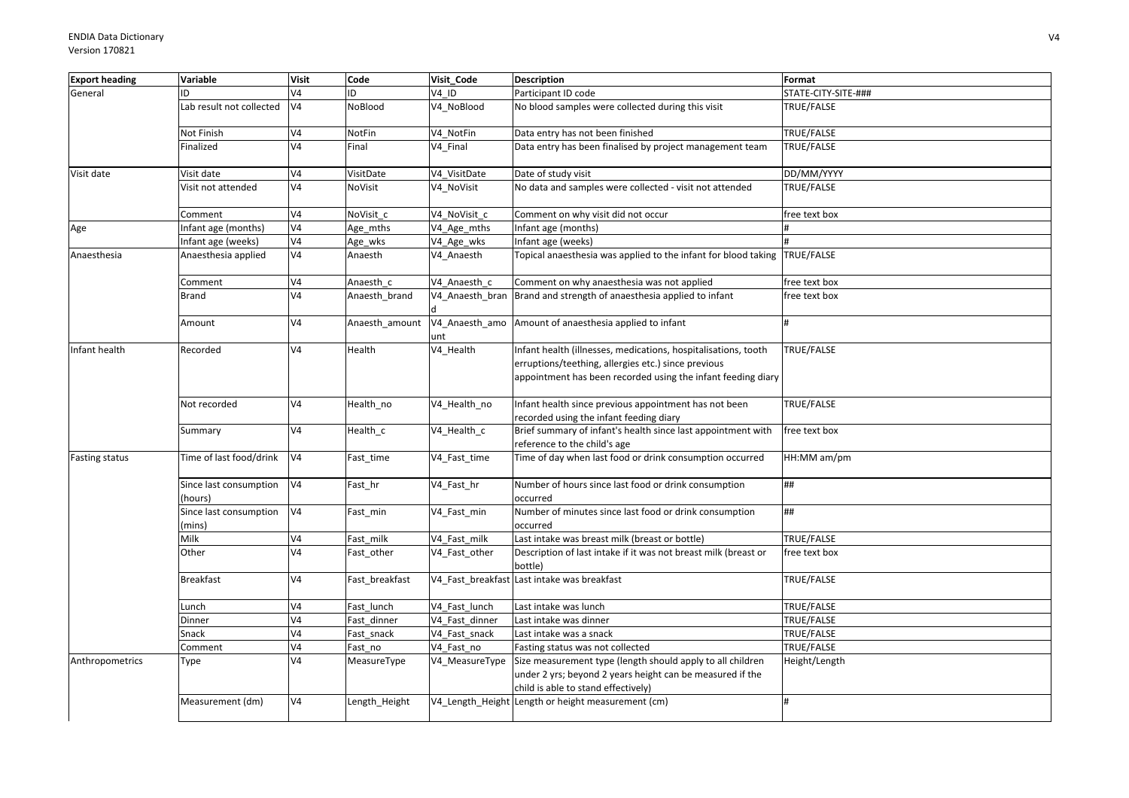| <b>Export heading</b> | Variable                          | <b>Visit</b>   | Code           | Visit_Code                | <b>Description</b>                                                                                                                                                                    | Format              |
|-----------------------|-----------------------------------|----------------|----------------|---------------------------|---------------------------------------------------------------------------------------------------------------------------------------------------------------------------------------|---------------------|
| General               | ID                                | V <sub>4</sub> | ID             | V4 ID                     | Participant ID code                                                                                                                                                                   | STATE-CITY-SITE-### |
|                       | Lab result not collected          | V <sub>4</sub> | NoBlood        | V4_NoBlood                | No blood samples were collected during this visit                                                                                                                                     | TRUE/FALSE          |
|                       | Not Finish                        | V <sub>4</sub> | NotFin         | V4_NotFin                 | Data entry has not been finished                                                                                                                                                      | TRUE/FALSE          |
|                       | Finalized                         | V <sub>4</sub> | Final          | V4 Final                  | Data entry has been finalised by project management team                                                                                                                              | TRUE/FALSE          |
| Visit date            | Visit date                        | V <sub>4</sub> | VisitDate      | V4_VisitDate              | Date of study visit                                                                                                                                                                   | DD/MM/YYYY          |
|                       | Visit not attended                | V <sub>4</sub> | <b>NoVisit</b> | V4_NoVisit                | No data and samples were collected - visit not attended                                                                                                                               | TRUE/FALSE          |
|                       | Comment                           | V <sub>4</sub> | NoVisit c      | V4 NoVisit c              | Comment on why visit did not occur                                                                                                                                                    | free text box       |
| Age                   | Infant age (months)               | V <sub>4</sub> | Age_mths       | V4_Age_mths               | nfant age (months)                                                                                                                                                                    |                     |
|                       | Infant age (weeks)                | V <sub>4</sub> | Age_wks        | V4_Age_wks                | Infant age (weeks)                                                                                                                                                                    |                     |
| Anaesthesia           | Anaesthesia applied               | V <sub>4</sub> | Anaesth        | V4_Anaesth                | Topical anaesthesia was applied to the infant for blood taking                                                                                                                        | TRUE/FALSE          |
|                       | Comment                           | V <sub>4</sub> | Anaesth c      | V4 Anaesth c              | Comment on why anaesthesia was not applied                                                                                                                                            | free text box       |
|                       | <b>Brand</b>                      | V <sub>4</sub> | Anaesth_brand  | V4_Anaesth_bran           | Brand and strength of anaesthesia applied to infant                                                                                                                                   | free text box       |
|                       | Amount                            | V <sub>4</sub> | Anaesth_amount | unt                       | V4_Anaesth_amo Amount of anaesthesia applied to infant                                                                                                                                |                     |
| Infant health         | Recorded                          | V <sub>4</sub> | Health         | V4_Health                 | Infant health (illnesses, medications, hospitalisations, tooth<br>erruptions/teething, allergies etc.) since previous<br>appointment has been recorded using the infant feeding diary | TRUE/FALSE          |
|                       | Not recorded                      | V <sub>4</sub> | Health_no      | V4_Health_no              | Infant health since previous appointment has not been<br>recorded using the infant feeding diary                                                                                      | TRUE/FALSE          |
|                       | Summary                           | V <sub>4</sub> | Health_c       | $\overline{V4}$ _Health_c | Brief summary of infant's health since last appointment with<br>reference to the child's age                                                                                          | free text box       |
| <b>Fasting status</b> | Time of last food/drink           | V <sub>4</sub> | Fast_time      | V4_Fast_time              | Time of day when last food or drink consumption occurred                                                                                                                              | HH:MM am/pm         |
|                       | Since last consumption<br>(hours) | V <sub>4</sub> | Fast_hr        | V4_Fast_hr                | Number of hours since last food or drink consumption<br>occurred                                                                                                                      | ##                  |
|                       | Since last consumption<br>(mins)  | V <sub>4</sub> | Fast_min       | V4_Fast_min               | Number of minutes since last food or drink consumption<br>occurred                                                                                                                    | ##                  |
|                       | Milk                              | V <sub>4</sub> | Fast milk      | V4 Fast milk              | Last intake was breast milk (breast or bottle)                                                                                                                                        | TRUE/FALSE          |
|                       | Other                             | V <sub>4</sub> | Fast_other     | V4_Fast_other             | Description of last intake if it was not breast milk (breast or<br>bottle)                                                                                                            | free text box       |
|                       | <b>Breakfast</b>                  | V <sub>4</sub> | Fast_breakfast |                           | V4_Fast_breakfast Last intake was breakfast                                                                                                                                           | TRUE/FALSE          |
|                       | Lunch                             | V <sub>4</sub> | Fast lunch     | V4 Fast lunch             | Last intake was lunch                                                                                                                                                                 | TRUE/FALSE          |
|                       | Dinner                            | V <sub>4</sub> | Fast dinner    | V4 Fast dinner            | Last intake was dinner                                                                                                                                                                | TRUE/FALSE          |
|                       | Snack                             | V <sub>4</sub> | Fast snack     | V4_Fast_snack             | Last intake was a snack                                                                                                                                                               | TRUE/FALSE          |
|                       | Comment                           | V              | Fast no        | V4 Fast no                | Fasting status was not collected                                                                                                                                                      | TRUE/FALSE          |
| Anthropometrics       | Type                              | V <sub>4</sub> | MeasureType    | V4 MeasureType            | Size measurement type (length should apply to all children<br>under 2 yrs; beyond 2 years height can be measured if the<br>child is able to stand effectively)                        | Height/Length       |
|                       | Measurement (dm)                  | V <sub>4</sub> | Length_Height  |                           | V4_Length_Height Length or height measurement (cm)                                                                                                                                    | H                   |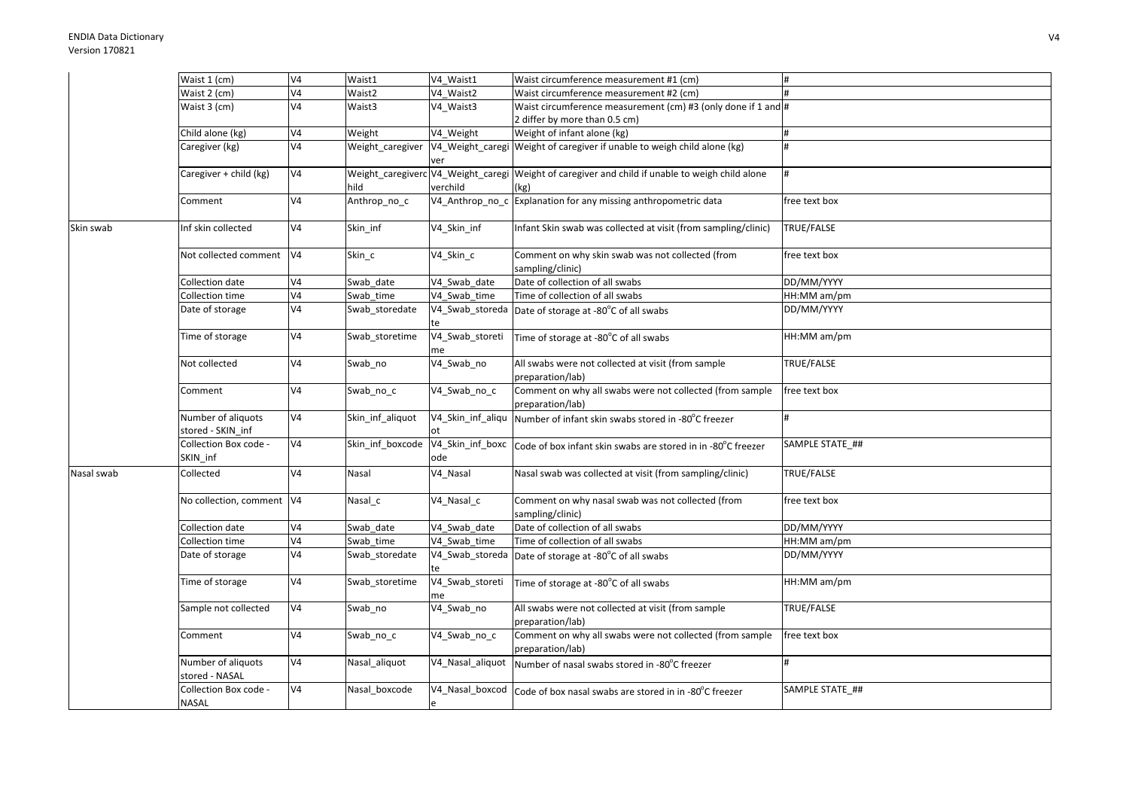| V <sub>4</sub><br>Waist 2 (cm)<br>Waist2<br>V4 Waist2<br>Waist circumference measurement #2 (cm)<br>Waist 3 (cm)<br>V <sub>4</sub><br>Waist circumference measurement (cm) #3 (only done if 1 and #<br>Waist3<br>V4 Waist3<br>2 differ by more than 0.5 cm)<br>V <sub>4</sub><br>Weight of infant alone (kg)<br>Child alone (kg)<br>Weight<br>V4 Weight<br>#<br>V <sub>4</sub><br>Weight caregiver<br>V4_Weight_caregi Weight of caregiver if unable to weigh child alone (kg)<br>Caregiver (kg)<br>ver<br>V <sub>4</sub><br>Weight_caregiverc V4_Weight_caregi Weight of caregiver and child if unable to weigh child alone<br>Caregiver + child (kg)<br>hild<br>verchild<br>(kg)<br>V <sub>4</sub><br>V4_Anthrop_no_c Explanation for any missing anthropometric data<br>Anthrop_no_c<br>Comment<br>free text box<br>V <sub>4</sub><br>Infant Skin swab was collected at visit (from sampling/clinic)<br>Inf skin collected<br>Skin inf<br>V4 Skin inf<br>TRUE/FALSE<br>Not collected comment<br>V <sub>4</sub><br>Skin_c<br>V4_Skin_c<br>Comment on why skin swab was not collected (from<br>free text box<br>sampling/clinic)<br>V <sub>4</sub><br>V4_Swab_date<br>Date of collection of all swabs<br>DD/MM/YYYY<br>Collection date<br>Swab date<br>V <sub>4</sub><br>Time of collection of all swabs<br>$HH:MM$ am/pm<br>Collection time<br>Swab time<br>V4 Swab time<br>V <sub>4</sub><br>DD/MM/YYYY<br>Date of storage<br>Swab storedate<br>V4_Swab_storeda<br>Date of storage at -80°C of all swabs<br>V <sub>4</sub><br>V4_Swab_storeti<br>Time of storage<br>Swab_storetime<br>HH:MM am/pm<br>Time of storage at -80°C of all swabs<br>me<br>V <sub>4</sub><br>Not collected<br>V4_Swab_no<br>All swabs were not collected at visit (from sample<br>TRUE/FALSE<br>Swab_no<br>preparation/lab)<br>Comment on why all swabs were not collected (from sample<br>V4<br>V4_Swab_no_c<br>Swab_no_c<br>free text box<br>Comment<br>preparation/lab)<br>Number of aliquots<br>V <sub>4</sub><br>Skin_inf_aliquot<br>V4_Skin_inf_aliqu<br>Number of infant skin swabs stored in -80°C freezer<br>H<br>stored - SKIN_inf<br>V <sub>4</sub><br>Collection Box code -<br>Skin inf boxcode<br>V4_Skin_inf_boxc<br>SAMPLE STATE ##<br>Code of box infant skin swabs are stored in in -80°C freezer<br>SKIN_inf<br>ode<br>V <sub>4</sub><br>Nasal swab was collected at visit (from sampling/clinic)<br>TRUE/FALSE<br>Collected<br>Nasal<br>V4_Nasal<br>No collection, comment V4<br>V4_Nasal_c<br>Comment on why nasal swab was not collected (from<br>free text box<br>Nasal_c<br>sampling/clinic)<br>Date of collection of all swabs<br>V <sub>4</sub><br>V4 Swab date<br>DD/MM/YYYY<br>Collection date<br>Swab date<br>$\overline{\mathsf{V4}}$<br>Collection time<br>V4 Swab time<br>Time of collection of all swabs<br>HH:MM am/pm<br>Swab time<br>V <sub>4</sub><br>DD/MM/YYYY<br>Date of storage<br>Swab_storedate<br>V4_Swab_storeda<br>Date of storage at -80°C of all swabs<br>te<br>V <sub>4</sub><br>V4_Swab_storeti<br>HH:MM am/pm<br>Time of storage<br>Swab storetime<br>Time of storage at -80°C of all swabs<br>me |            | Waist 1 (cm) | V <sub>4</sub> | Waist1 | V4 Waist1 | Waist circumference measurement #1 (cm) |  |
|---------------------------------------------------------------------------------------------------------------------------------------------------------------------------------------------------------------------------------------------------------------------------------------------------------------------------------------------------------------------------------------------------------------------------------------------------------------------------------------------------------------------------------------------------------------------------------------------------------------------------------------------------------------------------------------------------------------------------------------------------------------------------------------------------------------------------------------------------------------------------------------------------------------------------------------------------------------------------------------------------------------------------------------------------------------------------------------------------------------------------------------------------------------------------------------------------------------------------------------------------------------------------------------------------------------------------------------------------------------------------------------------------------------------------------------------------------------------------------------------------------------------------------------------------------------------------------------------------------------------------------------------------------------------------------------------------------------------------------------------------------------------------------------------------------------------------------------------------------------------------------------------------------------------------------------------------------------------------------------------------------------------------------------------------------------------------------------------------------------------------------------------------------------------------------------------------------------------------------------------------------------------------------------------------------------------------------------------------------------------------------------------------------------------------------------------------------------------------------------------------------------------------------------------------------------------------------------------------------------------------------------------------------------------------------------------------------------------------------------------------------------------------------------------------------------------------------------------------------------------------------------------------------------------------------------------------------------------------------------------------------------------------------------------------------------------------------------------------------------------------------|------------|--------------|----------------|--------|-----------|-----------------------------------------|--|
|                                                                                                                                                                                                                                                                                                                                                                                                                                                                                                                                                                                                                                                                                                                                                                                                                                                                                                                                                                                                                                                                                                                                                                                                                                                                                                                                                                                                                                                                                                                                                                                                                                                                                                                                                                                                                                                                                                                                                                                                                                                                                                                                                                                                                                                                                                                                                                                                                                                                                                                                                                                                                                                                                                                                                                                                                                                                                                                                                                                                                                                                                                                                 |            |              |                |        |           |                                         |  |
|                                                                                                                                                                                                                                                                                                                                                                                                                                                                                                                                                                                                                                                                                                                                                                                                                                                                                                                                                                                                                                                                                                                                                                                                                                                                                                                                                                                                                                                                                                                                                                                                                                                                                                                                                                                                                                                                                                                                                                                                                                                                                                                                                                                                                                                                                                                                                                                                                                                                                                                                                                                                                                                                                                                                                                                                                                                                                                                                                                                                                                                                                                                                 |            |              |                |        |           |                                         |  |
|                                                                                                                                                                                                                                                                                                                                                                                                                                                                                                                                                                                                                                                                                                                                                                                                                                                                                                                                                                                                                                                                                                                                                                                                                                                                                                                                                                                                                                                                                                                                                                                                                                                                                                                                                                                                                                                                                                                                                                                                                                                                                                                                                                                                                                                                                                                                                                                                                                                                                                                                                                                                                                                                                                                                                                                                                                                                                                                                                                                                                                                                                                                                 |            |              |                |        |           |                                         |  |
|                                                                                                                                                                                                                                                                                                                                                                                                                                                                                                                                                                                                                                                                                                                                                                                                                                                                                                                                                                                                                                                                                                                                                                                                                                                                                                                                                                                                                                                                                                                                                                                                                                                                                                                                                                                                                                                                                                                                                                                                                                                                                                                                                                                                                                                                                                                                                                                                                                                                                                                                                                                                                                                                                                                                                                                                                                                                                                                                                                                                                                                                                                                                 |            |              |                |        |           |                                         |  |
|                                                                                                                                                                                                                                                                                                                                                                                                                                                                                                                                                                                                                                                                                                                                                                                                                                                                                                                                                                                                                                                                                                                                                                                                                                                                                                                                                                                                                                                                                                                                                                                                                                                                                                                                                                                                                                                                                                                                                                                                                                                                                                                                                                                                                                                                                                                                                                                                                                                                                                                                                                                                                                                                                                                                                                                                                                                                                                                                                                                                                                                                                                                                 |            |              |                |        |           |                                         |  |
|                                                                                                                                                                                                                                                                                                                                                                                                                                                                                                                                                                                                                                                                                                                                                                                                                                                                                                                                                                                                                                                                                                                                                                                                                                                                                                                                                                                                                                                                                                                                                                                                                                                                                                                                                                                                                                                                                                                                                                                                                                                                                                                                                                                                                                                                                                                                                                                                                                                                                                                                                                                                                                                                                                                                                                                                                                                                                                                                                                                                                                                                                                                                 |            |              |                |        |           |                                         |  |
|                                                                                                                                                                                                                                                                                                                                                                                                                                                                                                                                                                                                                                                                                                                                                                                                                                                                                                                                                                                                                                                                                                                                                                                                                                                                                                                                                                                                                                                                                                                                                                                                                                                                                                                                                                                                                                                                                                                                                                                                                                                                                                                                                                                                                                                                                                                                                                                                                                                                                                                                                                                                                                                                                                                                                                                                                                                                                                                                                                                                                                                                                                                                 |            |              |                |        |           |                                         |  |
|                                                                                                                                                                                                                                                                                                                                                                                                                                                                                                                                                                                                                                                                                                                                                                                                                                                                                                                                                                                                                                                                                                                                                                                                                                                                                                                                                                                                                                                                                                                                                                                                                                                                                                                                                                                                                                                                                                                                                                                                                                                                                                                                                                                                                                                                                                                                                                                                                                                                                                                                                                                                                                                                                                                                                                                                                                                                                                                                                                                                                                                                                                                                 |            |              |                |        |           |                                         |  |
|                                                                                                                                                                                                                                                                                                                                                                                                                                                                                                                                                                                                                                                                                                                                                                                                                                                                                                                                                                                                                                                                                                                                                                                                                                                                                                                                                                                                                                                                                                                                                                                                                                                                                                                                                                                                                                                                                                                                                                                                                                                                                                                                                                                                                                                                                                                                                                                                                                                                                                                                                                                                                                                                                                                                                                                                                                                                                                                                                                                                                                                                                                                                 |            |              |                |        |           |                                         |  |
|                                                                                                                                                                                                                                                                                                                                                                                                                                                                                                                                                                                                                                                                                                                                                                                                                                                                                                                                                                                                                                                                                                                                                                                                                                                                                                                                                                                                                                                                                                                                                                                                                                                                                                                                                                                                                                                                                                                                                                                                                                                                                                                                                                                                                                                                                                                                                                                                                                                                                                                                                                                                                                                                                                                                                                                                                                                                                                                                                                                                                                                                                                                                 |            |              |                |        |           |                                         |  |
|                                                                                                                                                                                                                                                                                                                                                                                                                                                                                                                                                                                                                                                                                                                                                                                                                                                                                                                                                                                                                                                                                                                                                                                                                                                                                                                                                                                                                                                                                                                                                                                                                                                                                                                                                                                                                                                                                                                                                                                                                                                                                                                                                                                                                                                                                                                                                                                                                                                                                                                                                                                                                                                                                                                                                                                                                                                                                                                                                                                                                                                                                                                                 | Skin swab  |              |                |        |           |                                         |  |
|                                                                                                                                                                                                                                                                                                                                                                                                                                                                                                                                                                                                                                                                                                                                                                                                                                                                                                                                                                                                                                                                                                                                                                                                                                                                                                                                                                                                                                                                                                                                                                                                                                                                                                                                                                                                                                                                                                                                                                                                                                                                                                                                                                                                                                                                                                                                                                                                                                                                                                                                                                                                                                                                                                                                                                                                                                                                                                                                                                                                                                                                                                                                 |            |              |                |        |           |                                         |  |
|                                                                                                                                                                                                                                                                                                                                                                                                                                                                                                                                                                                                                                                                                                                                                                                                                                                                                                                                                                                                                                                                                                                                                                                                                                                                                                                                                                                                                                                                                                                                                                                                                                                                                                                                                                                                                                                                                                                                                                                                                                                                                                                                                                                                                                                                                                                                                                                                                                                                                                                                                                                                                                                                                                                                                                                                                                                                                                                                                                                                                                                                                                                                 |            |              |                |        |           |                                         |  |
|                                                                                                                                                                                                                                                                                                                                                                                                                                                                                                                                                                                                                                                                                                                                                                                                                                                                                                                                                                                                                                                                                                                                                                                                                                                                                                                                                                                                                                                                                                                                                                                                                                                                                                                                                                                                                                                                                                                                                                                                                                                                                                                                                                                                                                                                                                                                                                                                                                                                                                                                                                                                                                                                                                                                                                                                                                                                                                                                                                                                                                                                                                                                 |            |              |                |        |           |                                         |  |
|                                                                                                                                                                                                                                                                                                                                                                                                                                                                                                                                                                                                                                                                                                                                                                                                                                                                                                                                                                                                                                                                                                                                                                                                                                                                                                                                                                                                                                                                                                                                                                                                                                                                                                                                                                                                                                                                                                                                                                                                                                                                                                                                                                                                                                                                                                                                                                                                                                                                                                                                                                                                                                                                                                                                                                                                                                                                                                                                                                                                                                                                                                                                 |            |              |                |        |           |                                         |  |
|                                                                                                                                                                                                                                                                                                                                                                                                                                                                                                                                                                                                                                                                                                                                                                                                                                                                                                                                                                                                                                                                                                                                                                                                                                                                                                                                                                                                                                                                                                                                                                                                                                                                                                                                                                                                                                                                                                                                                                                                                                                                                                                                                                                                                                                                                                                                                                                                                                                                                                                                                                                                                                                                                                                                                                                                                                                                                                                                                                                                                                                                                                                                 |            |              |                |        |           |                                         |  |
|                                                                                                                                                                                                                                                                                                                                                                                                                                                                                                                                                                                                                                                                                                                                                                                                                                                                                                                                                                                                                                                                                                                                                                                                                                                                                                                                                                                                                                                                                                                                                                                                                                                                                                                                                                                                                                                                                                                                                                                                                                                                                                                                                                                                                                                                                                                                                                                                                                                                                                                                                                                                                                                                                                                                                                                                                                                                                                                                                                                                                                                                                                                                 |            |              |                |        |           |                                         |  |
|                                                                                                                                                                                                                                                                                                                                                                                                                                                                                                                                                                                                                                                                                                                                                                                                                                                                                                                                                                                                                                                                                                                                                                                                                                                                                                                                                                                                                                                                                                                                                                                                                                                                                                                                                                                                                                                                                                                                                                                                                                                                                                                                                                                                                                                                                                                                                                                                                                                                                                                                                                                                                                                                                                                                                                                                                                                                                                                                                                                                                                                                                                                                 |            |              |                |        |           |                                         |  |
|                                                                                                                                                                                                                                                                                                                                                                                                                                                                                                                                                                                                                                                                                                                                                                                                                                                                                                                                                                                                                                                                                                                                                                                                                                                                                                                                                                                                                                                                                                                                                                                                                                                                                                                                                                                                                                                                                                                                                                                                                                                                                                                                                                                                                                                                                                                                                                                                                                                                                                                                                                                                                                                                                                                                                                                                                                                                                                                                                                                                                                                                                                                                 |            |              |                |        |           |                                         |  |
|                                                                                                                                                                                                                                                                                                                                                                                                                                                                                                                                                                                                                                                                                                                                                                                                                                                                                                                                                                                                                                                                                                                                                                                                                                                                                                                                                                                                                                                                                                                                                                                                                                                                                                                                                                                                                                                                                                                                                                                                                                                                                                                                                                                                                                                                                                                                                                                                                                                                                                                                                                                                                                                                                                                                                                                                                                                                                                                                                                                                                                                                                                                                 |            |              |                |        |           |                                         |  |
|                                                                                                                                                                                                                                                                                                                                                                                                                                                                                                                                                                                                                                                                                                                                                                                                                                                                                                                                                                                                                                                                                                                                                                                                                                                                                                                                                                                                                                                                                                                                                                                                                                                                                                                                                                                                                                                                                                                                                                                                                                                                                                                                                                                                                                                                                                                                                                                                                                                                                                                                                                                                                                                                                                                                                                                                                                                                                                                                                                                                                                                                                                                                 |            |              |                |        |           |                                         |  |
|                                                                                                                                                                                                                                                                                                                                                                                                                                                                                                                                                                                                                                                                                                                                                                                                                                                                                                                                                                                                                                                                                                                                                                                                                                                                                                                                                                                                                                                                                                                                                                                                                                                                                                                                                                                                                                                                                                                                                                                                                                                                                                                                                                                                                                                                                                                                                                                                                                                                                                                                                                                                                                                                                                                                                                                                                                                                                                                                                                                                                                                                                                                                 |            |              |                |        |           |                                         |  |
|                                                                                                                                                                                                                                                                                                                                                                                                                                                                                                                                                                                                                                                                                                                                                                                                                                                                                                                                                                                                                                                                                                                                                                                                                                                                                                                                                                                                                                                                                                                                                                                                                                                                                                                                                                                                                                                                                                                                                                                                                                                                                                                                                                                                                                                                                                                                                                                                                                                                                                                                                                                                                                                                                                                                                                                                                                                                                                                                                                                                                                                                                                                                 |            |              |                |        |           |                                         |  |
|                                                                                                                                                                                                                                                                                                                                                                                                                                                                                                                                                                                                                                                                                                                                                                                                                                                                                                                                                                                                                                                                                                                                                                                                                                                                                                                                                                                                                                                                                                                                                                                                                                                                                                                                                                                                                                                                                                                                                                                                                                                                                                                                                                                                                                                                                                                                                                                                                                                                                                                                                                                                                                                                                                                                                                                                                                                                                                                                                                                                                                                                                                                                 |            |              |                |        |           |                                         |  |
|                                                                                                                                                                                                                                                                                                                                                                                                                                                                                                                                                                                                                                                                                                                                                                                                                                                                                                                                                                                                                                                                                                                                                                                                                                                                                                                                                                                                                                                                                                                                                                                                                                                                                                                                                                                                                                                                                                                                                                                                                                                                                                                                                                                                                                                                                                                                                                                                                                                                                                                                                                                                                                                                                                                                                                                                                                                                                                                                                                                                                                                                                                                                 |            |              |                |        |           |                                         |  |
|                                                                                                                                                                                                                                                                                                                                                                                                                                                                                                                                                                                                                                                                                                                                                                                                                                                                                                                                                                                                                                                                                                                                                                                                                                                                                                                                                                                                                                                                                                                                                                                                                                                                                                                                                                                                                                                                                                                                                                                                                                                                                                                                                                                                                                                                                                                                                                                                                                                                                                                                                                                                                                                                                                                                                                                                                                                                                                                                                                                                                                                                                                                                 |            |              |                |        |           |                                         |  |
|                                                                                                                                                                                                                                                                                                                                                                                                                                                                                                                                                                                                                                                                                                                                                                                                                                                                                                                                                                                                                                                                                                                                                                                                                                                                                                                                                                                                                                                                                                                                                                                                                                                                                                                                                                                                                                                                                                                                                                                                                                                                                                                                                                                                                                                                                                                                                                                                                                                                                                                                                                                                                                                                                                                                                                                                                                                                                                                                                                                                                                                                                                                                 |            |              |                |        |           |                                         |  |
|                                                                                                                                                                                                                                                                                                                                                                                                                                                                                                                                                                                                                                                                                                                                                                                                                                                                                                                                                                                                                                                                                                                                                                                                                                                                                                                                                                                                                                                                                                                                                                                                                                                                                                                                                                                                                                                                                                                                                                                                                                                                                                                                                                                                                                                                                                                                                                                                                                                                                                                                                                                                                                                                                                                                                                                                                                                                                                                                                                                                                                                                                                                                 | Nasal swab |              |                |        |           |                                         |  |
|                                                                                                                                                                                                                                                                                                                                                                                                                                                                                                                                                                                                                                                                                                                                                                                                                                                                                                                                                                                                                                                                                                                                                                                                                                                                                                                                                                                                                                                                                                                                                                                                                                                                                                                                                                                                                                                                                                                                                                                                                                                                                                                                                                                                                                                                                                                                                                                                                                                                                                                                                                                                                                                                                                                                                                                                                                                                                                                                                                                                                                                                                                                                 |            |              |                |        |           |                                         |  |
|                                                                                                                                                                                                                                                                                                                                                                                                                                                                                                                                                                                                                                                                                                                                                                                                                                                                                                                                                                                                                                                                                                                                                                                                                                                                                                                                                                                                                                                                                                                                                                                                                                                                                                                                                                                                                                                                                                                                                                                                                                                                                                                                                                                                                                                                                                                                                                                                                                                                                                                                                                                                                                                                                                                                                                                                                                                                                                                                                                                                                                                                                                                                 |            |              |                |        |           |                                         |  |
|                                                                                                                                                                                                                                                                                                                                                                                                                                                                                                                                                                                                                                                                                                                                                                                                                                                                                                                                                                                                                                                                                                                                                                                                                                                                                                                                                                                                                                                                                                                                                                                                                                                                                                                                                                                                                                                                                                                                                                                                                                                                                                                                                                                                                                                                                                                                                                                                                                                                                                                                                                                                                                                                                                                                                                                                                                                                                                                                                                                                                                                                                                                                 |            |              |                |        |           |                                         |  |
|                                                                                                                                                                                                                                                                                                                                                                                                                                                                                                                                                                                                                                                                                                                                                                                                                                                                                                                                                                                                                                                                                                                                                                                                                                                                                                                                                                                                                                                                                                                                                                                                                                                                                                                                                                                                                                                                                                                                                                                                                                                                                                                                                                                                                                                                                                                                                                                                                                                                                                                                                                                                                                                                                                                                                                                                                                                                                                                                                                                                                                                                                                                                 |            |              |                |        |           |                                         |  |
|                                                                                                                                                                                                                                                                                                                                                                                                                                                                                                                                                                                                                                                                                                                                                                                                                                                                                                                                                                                                                                                                                                                                                                                                                                                                                                                                                                                                                                                                                                                                                                                                                                                                                                                                                                                                                                                                                                                                                                                                                                                                                                                                                                                                                                                                                                                                                                                                                                                                                                                                                                                                                                                                                                                                                                                                                                                                                                                                                                                                                                                                                                                                 |            |              |                |        |           |                                         |  |
|                                                                                                                                                                                                                                                                                                                                                                                                                                                                                                                                                                                                                                                                                                                                                                                                                                                                                                                                                                                                                                                                                                                                                                                                                                                                                                                                                                                                                                                                                                                                                                                                                                                                                                                                                                                                                                                                                                                                                                                                                                                                                                                                                                                                                                                                                                                                                                                                                                                                                                                                                                                                                                                                                                                                                                                                                                                                                                                                                                                                                                                                                                                                 |            |              |                |        |           |                                         |  |
|                                                                                                                                                                                                                                                                                                                                                                                                                                                                                                                                                                                                                                                                                                                                                                                                                                                                                                                                                                                                                                                                                                                                                                                                                                                                                                                                                                                                                                                                                                                                                                                                                                                                                                                                                                                                                                                                                                                                                                                                                                                                                                                                                                                                                                                                                                                                                                                                                                                                                                                                                                                                                                                                                                                                                                                                                                                                                                                                                                                                                                                                                                                                 |            |              |                |        |           |                                         |  |
|                                                                                                                                                                                                                                                                                                                                                                                                                                                                                                                                                                                                                                                                                                                                                                                                                                                                                                                                                                                                                                                                                                                                                                                                                                                                                                                                                                                                                                                                                                                                                                                                                                                                                                                                                                                                                                                                                                                                                                                                                                                                                                                                                                                                                                                                                                                                                                                                                                                                                                                                                                                                                                                                                                                                                                                                                                                                                                                                                                                                                                                                                                                                 |            |              |                |        |           |                                         |  |
|                                                                                                                                                                                                                                                                                                                                                                                                                                                                                                                                                                                                                                                                                                                                                                                                                                                                                                                                                                                                                                                                                                                                                                                                                                                                                                                                                                                                                                                                                                                                                                                                                                                                                                                                                                                                                                                                                                                                                                                                                                                                                                                                                                                                                                                                                                                                                                                                                                                                                                                                                                                                                                                                                                                                                                                                                                                                                                                                                                                                                                                                                                                                 |            |              |                |        |           |                                         |  |
| V <sub>4</sub><br>TRUE/FALSE<br>V4_Swab_no<br>All swabs were not collected at visit (from sample<br>Sample not collected<br>Swab_no                                                                                                                                                                                                                                                                                                                                                                                                                                                                                                                                                                                                                                                                                                                                                                                                                                                                                                                                                                                                                                                                                                                                                                                                                                                                                                                                                                                                                                                                                                                                                                                                                                                                                                                                                                                                                                                                                                                                                                                                                                                                                                                                                                                                                                                                                                                                                                                                                                                                                                                                                                                                                                                                                                                                                                                                                                                                                                                                                                                             |            |              |                |        |           |                                         |  |
| preparation/lab)                                                                                                                                                                                                                                                                                                                                                                                                                                                                                                                                                                                                                                                                                                                                                                                                                                                                                                                                                                                                                                                                                                                                                                                                                                                                                                                                                                                                                                                                                                                                                                                                                                                                                                                                                                                                                                                                                                                                                                                                                                                                                                                                                                                                                                                                                                                                                                                                                                                                                                                                                                                                                                                                                                                                                                                                                                                                                                                                                                                                                                                                                                                |            |              |                |        |           |                                         |  |
| V <sub>4</sub><br>Comment on why all swabs were not collected (from sample<br>free text box<br>Comment<br>Swab_no_c<br>V4_Swab_no_c                                                                                                                                                                                                                                                                                                                                                                                                                                                                                                                                                                                                                                                                                                                                                                                                                                                                                                                                                                                                                                                                                                                                                                                                                                                                                                                                                                                                                                                                                                                                                                                                                                                                                                                                                                                                                                                                                                                                                                                                                                                                                                                                                                                                                                                                                                                                                                                                                                                                                                                                                                                                                                                                                                                                                                                                                                                                                                                                                                                             |            |              |                |        |           |                                         |  |
| preparation/lab)                                                                                                                                                                                                                                                                                                                                                                                                                                                                                                                                                                                                                                                                                                                                                                                                                                                                                                                                                                                                                                                                                                                                                                                                                                                                                                                                                                                                                                                                                                                                                                                                                                                                                                                                                                                                                                                                                                                                                                                                                                                                                                                                                                                                                                                                                                                                                                                                                                                                                                                                                                                                                                                                                                                                                                                                                                                                                                                                                                                                                                                                                                                |            |              |                |        |           |                                         |  |
| V <sub>4</sub><br>Number of aliquots<br>Nasal aliquot<br>V4 Nasal aliquot<br>Number of nasal swabs stored in -80°C freezer                                                                                                                                                                                                                                                                                                                                                                                                                                                                                                                                                                                                                                                                                                                                                                                                                                                                                                                                                                                                                                                                                                                                                                                                                                                                                                                                                                                                                                                                                                                                                                                                                                                                                                                                                                                                                                                                                                                                                                                                                                                                                                                                                                                                                                                                                                                                                                                                                                                                                                                                                                                                                                                                                                                                                                                                                                                                                                                                                                                                      |            |              |                |        |           |                                         |  |
| stored - NASAL                                                                                                                                                                                                                                                                                                                                                                                                                                                                                                                                                                                                                                                                                                                                                                                                                                                                                                                                                                                                                                                                                                                                                                                                                                                                                                                                                                                                                                                                                                                                                                                                                                                                                                                                                                                                                                                                                                                                                                                                                                                                                                                                                                                                                                                                                                                                                                                                                                                                                                                                                                                                                                                                                                                                                                                                                                                                                                                                                                                                                                                                                                                  |            |              |                |        |           |                                         |  |
| Collection Box code -<br>V <sub>4</sub><br>Nasal boxcode<br>V4_Nasal_boxcod Code of box nasal swabs are stored in in -80°C freezer<br>SAMPLE STATE ##                                                                                                                                                                                                                                                                                                                                                                                                                                                                                                                                                                                                                                                                                                                                                                                                                                                                                                                                                                                                                                                                                                                                                                                                                                                                                                                                                                                                                                                                                                                                                                                                                                                                                                                                                                                                                                                                                                                                                                                                                                                                                                                                                                                                                                                                                                                                                                                                                                                                                                                                                                                                                                                                                                                                                                                                                                                                                                                                                                           |            |              |                |        |           |                                         |  |
| NASAL                                                                                                                                                                                                                                                                                                                                                                                                                                                                                                                                                                                                                                                                                                                                                                                                                                                                                                                                                                                                                                                                                                                                                                                                                                                                                                                                                                                                                                                                                                                                                                                                                                                                                                                                                                                                                                                                                                                                                                                                                                                                                                                                                                                                                                                                                                                                                                                                                                                                                                                                                                                                                                                                                                                                                                                                                                                                                                                                                                                                                                                                                                                           |            |              |                |        |           |                                         |  |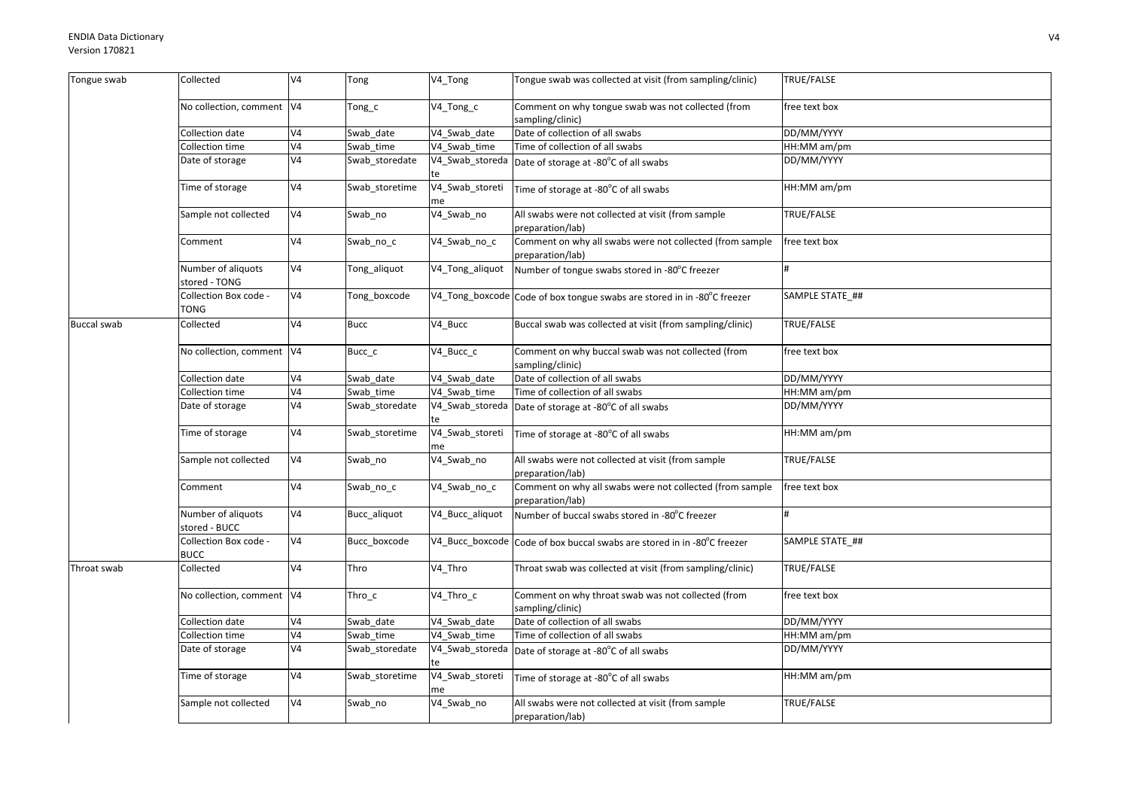| Tongue swab        | Collected                            | V <sub>4</sub> | Tong           | V4_Tong               | Tongue swab was collected at visit (from sampling/clinic)                    | TRUE/FALSE      |
|--------------------|--------------------------------------|----------------|----------------|-----------------------|------------------------------------------------------------------------------|-----------------|
|                    | No collection, comment V4            |                | Tong_c         | V4_Tong_c             | Comment on why tongue swab was not collected (from<br>sampling/clinic)       | free text box   |
|                    | Collection date                      | V <sub>4</sub> | Swab date      | V4_Swab_date          | Date of collection of all swabs                                              | DD/MM/YYYY      |
|                    | Collection time                      | V <sub>4</sub> | Swab time      | V4 Swab time          | Time of collection of all swabs                                              | HH:MM am/pm     |
|                    | Date of storage                      | V <sub>4</sub> | Swab_storedate | V4_Swab_storeda       | Date of storage at -80°C of all swabs                                        | DD/MM/YYYY      |
|                    | Time of storage                      | V <sub>4</sub> | Swab storetime | V4_Swab_storeti<br>me | Time of storage at -80°C of all swabs                                        | HH:MM am/pm     |
|                    | Sample not collected                 | V <sub>4</sub> | Swab_no        | V4_Swab_no            | All swabs were not collected at visit (from sample<br>preparation/lab)       | TRUE/FALSE      |
|                    | Comment                              | V <sub>4</sub> | Swab no c      | V4_Swab_no_c          | Comment on why all swabs were not collected (from sample<br>preparation/lab) | free text box   |
|                    | Number of aliquots<br>stored - TONG  | V <sub>4</sub> | Tong_aliquot   | V4_Tong_aliquot       | Number of tongue swabs stored in -80°C freezer                               | H               |
|                    | Collection Box code -<br>TONG        | V <sub>4</sub> | Tong_boxcode   |                       | V4_Tong_boxcode Code of box tongue swabs are stored in in -80°C freezer      | SAMPLE STATE_## |
| <b>Buccal swab</b> | Collected                            | V <sub>4</sub> | <b>Bucc</b>    | V4 Bucc               | Buccal swab was collected at visit (from sampling/clinic)                    | TRUE/FALSE      |
|                    | No collection, comment V4            |                | Bucc c         | V4 Bucc c             | Comment on why buccal swab was not collected (from<br>sampling/clinic)       | free text box   |
|                    | Collection date                      | V <sub>4</sub> | Swab date      | V4 Swab date          | Date of collection of all swabs                                              | DD/MM/YYYY      |
|                    | Collection time                      | V <sub>4</sub> | Swab time      | V4 Swab time          | Time of collection of all swabs                                              | HH:MM am/pm     |
|                    | Date of storage                      | V <sub>4</sub> | Swab_storedate | V4_Swab_storeda       | Date of storage at -80°C of all swabs                                        | DD/MM/YYYY      |
|                    | Time of storage                      | V <sub>4</sub> | Swab_storetime | V4_Swab_storeti<br>me | Time of storage at -80°C of all swabs                                        | HH:MM am/pm     |
|                    | Sample not collected                 | V <sub>4</sub> | Swab_no        | V4_Swab_no            | All swabs were not collected at visit (from sample<br>preparation/lab)       | TRUE/FALSE      |
|                    | Comment                              | V <sub>4</sub> | Swab_no_c      | V4_Swab_no_c          | Comment on why all swabs were not collected (from sample<br>preparation/lab) | free text box   |
|                    | Number of aliquots<br>stored - BUCC  | V <sub>4</sub> | Bucc_aliquot   | V4_Bucc_aliquot       | Number of buccal swabs stored in -80°C freezer                               |                 |
|                    | Collection Box code -<br><b>BUCC</b> | V <sub>4</sub> | Bucc boxcode   |                       | V4_Bucc_boxcode Code of box buccal swabs are stored in in -80°C freezer      | SAMPLE STATE ## |
| Throat swab        | Collected                            | V <sub>4</sub> | Thro           | V4 Thro               | Throat swab was collected at visit (from sampling/clinic)                    | TRUE/FALSE      |
|                    | No collection, comment V4            |                | Thro c         | V4 Thro c             | Comment on why throat swab was not collected (from<br>sampling/clinic)       | free text box   |
|                    | Collection date                      | V <sub>4</sub> | Swab date      | V4 Swab date          | Date of collection of all swabs                                              | DD/MM/YYYY      |
|                    | Collection time                      | V <sub>4</sub> | Swab time      | V4 Swab time          | Time of collection of all swabs                                              | HH:MM am/pm     |
|                    | Date of storage                      | V <sub>4</sub> | Swab_storedate |                       | V4_Swab_storeda Date of storage at -80°C of all swabs                        | DD/MM/YYYY      |
|                    | Time of storage                      | V <sub>4</sub> | Swab_storetime | V4_Swab_storeti<br>me | Time of storage at -80°C of all swabs                                        | HH:MM am/pm     |
|                    | Sample not collected                 | V <sub>4</sub> | Swab_no        | V4_Swab_no            | All swabs were not collected at visit (from sample<br>preparation/lab)       | TRUE/FALSE      |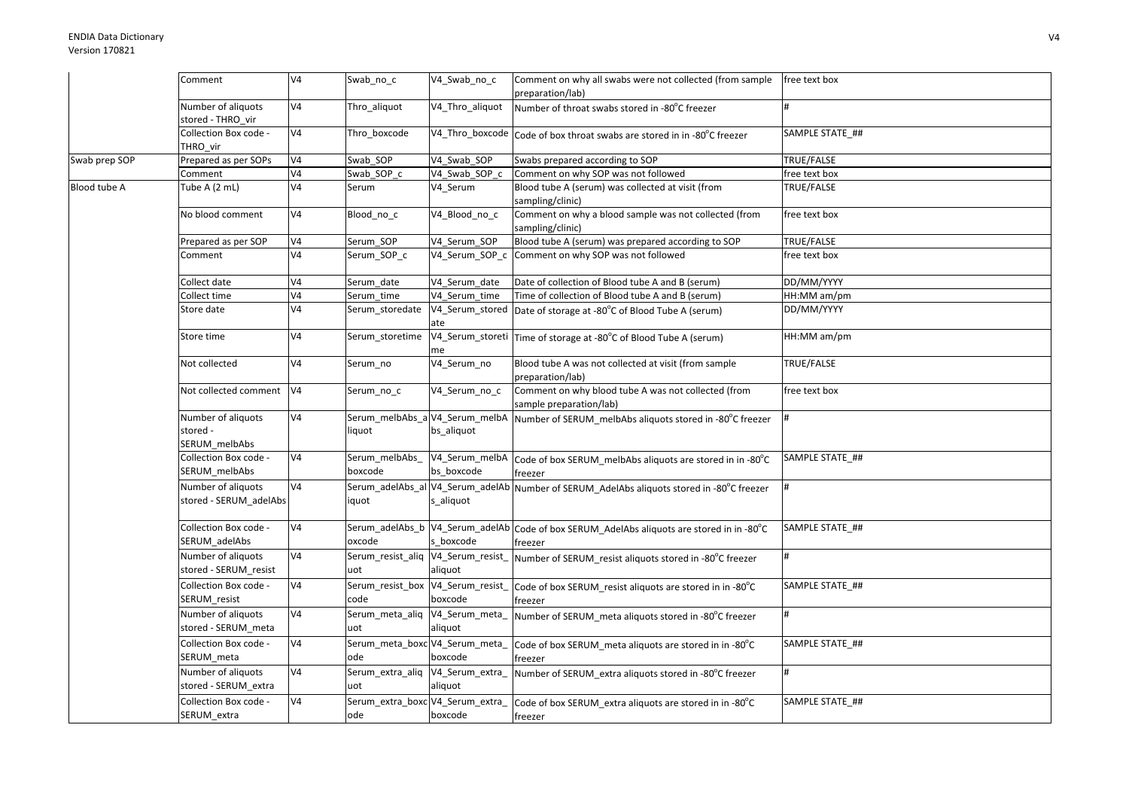|               | Comment                                         | V <sub>4</sub> | Swab_no_c                                 | V4_Swab_no_c                                 | Comment on why all swabs were not collected (from sample<br>preparation/lab)                         | free text box     |
|---------------|-------------------------------------------------|----------------|-------------------------------------------|----------------------------------------------|------------------------------------------------------------------------------------------------------|-------------------|
|               | Number of aliquots<br>stored - THRO vir         | V4             | Thro_aliquot                              | V4_Thro_aliquot                              | Number of throat swabs stored in -80°C freezer                                                       |                   |
|               | Collection Box code -<br>THRO vir               | V <sub>4</sub> | Thro boxcode                              |                                              | V4_Thro_boxcode Code of box throat swabs are stored in in -80°C freezer                              | SAMPLE STATE ##   |
| Swab prep SOP | Prepared as per SOPs                            | V <sub>4</sub> | Swab SOP                                  | V4 Swab SOP                                  | Swabs prepared according to SOP                                                                      | TRUE/FALSE        |
|               | Comment                                         | V <sub>4</sub> | Swab_SOP_c                                | V4_Swab_SOP_c                                | Comment on why SOP was not followed                                                                  | free text box     |
| Blood tube A  | Tube A (2 mL)                                   | V <sub>4</sub> | Serum                                     | V4_Serum                                     | Blood tube A (serum) was collected at visit (from<br>sampling/clinic)                                | TRUE/FALSE        |
|               | No blood comment                                | V4             | Blood_no_c                                | V4_Blood_no_c                                | Comment on why a blood sample was not collected (from<br>sampling/clinic)                            | free text box     |
|               | Prepared as per SOP                             | V4             | Serum SOP                                 | V4 Serum SOP                                 | Blood tube A (serum) was prepared according to SOP                                                   | TRUE/FALSE        |
|               | Comment                                         | V4             | Serum_SOP_c                               |                                              | V4_Serum_SOP_c Comment on why SOP was not followed                                                   | free text box     |
|               | Collect date                                    | V4             | Serum date                                | V4 Serum date                                | Date of collection of Blood tube A and B (serum)                                                     | DD/MM/YYYY        |
|               | Collect time                                    | V <sub>4</sub> | Serum time                                | V4 Serum time                                | Time of collection of Blood tube A and B (serum)                                                     | HH:MM am/pm       |
|               | Store date                                      | V <sub>4</sub> | Serum storedate                           | ate                                          | V4_Serum_stored Date of storage at -80°C of Blood Tube A (serum)                                     | DD/MM/YYYY        |
|               | Store time                                      | V <sub>4</sub> | Serum_storetime                           | me                                           | V4_Serum_storeti Time of storage at -80°C of Blood Tube A (serum)                                    | HH:MM am/pm       |
|               | Not collected                                   | V <sub>4</sub> | Serum_no                                  | V4_Serum_no                                  | Blood tube A was not collected at visit (from sample<br>preparation/lab)                             | <b>TRUE/FALSE</b> |
|               | Not collected comment                           | V <sub>4</sub> | Serum no c                                | V4_Serum_no_c                                | Comment on why blood tube A was not collected (from<br>sample preparation/lab)                       | free text box     |
|               | Number of aliquots<br>stored -<br>SERUM_melbAbs | V4             | liquot                                    | Serum_melbAbs_a V4_Serum_melbA<br>bs_aliquot | Number of SERUM melbAbs aliquots stored in -80°C freezer                                             |                   |
|               | Collection Box code -<br>SERUM melbAbs          | V4             | Serum melbAbs<br>boxcode                  | bs boxcode                                   | V4_Serum_melbA Code of box SERUM_melbAbs aliquots are stored in in -80°C<br>freezer                  | SAMPLE STATE ##   |
|               | Number of aliquots<br>stored - SERUM_adelAbs    | V <sub>4</sub> | iquot                                     | s_aliquot                                    | Serum_adelAbs_al V4_Serum_adelAb Number of SERUM_AdelAbs aliquots stored in -80°C freezer            |                   |
|               | Collection Box code -<br>SERUM_adelAbs          | V4             | oxcode                                    | s boxcode                                    | Serum_adelAbs_b V4_Serum_adelAb Code of box SERUM_AdelAbs aliquots are stored in in -80°C<br>freezer | SAMPLE STATE ##   |
|               | Number of aliquots<br>stored - SERUM resist     | V <sub>4</sub> | Serum_resist_aliq<br>uot                  | V4_Serum_resist_<br>aliquot                  | Number of SERUM resist aliquots stored in -80°C freezer                                              |                   |
|               | Collection Box code -<br>SERUM_resist           | V <sub>4</sub> | Serum_resist_box V4_Serum_resist_<br>code | boxcode                                      | Code of box SERUM resist aliquots are stored in in -80°C<br>freezer                                  | SAMPLE STATE_##   |
|               | Number of aliquots<br>stored - SERUM meta       | V <sub>4</sub> | Serum_meta_aliq V4_Serum_meta_<br>uot     | aliquot                                      | Number of SERUM_meta aliquots stored in -80°C freezer                                                |                   |
|               | Collection Box code -<br>SERUM_meta             | V <sub>4</sub> | Serum_meta_boxc V4_Serum_meta_<br>ode     | boxcode                                      | Code of box SERUM meta aliquots are stored in in -80°C<br>freezer                                    | SAMPLE STATE ##   |
|               | Number of aliquots<br>stored - SERUM_extra      | V <sub>4</sub> | Serum_extra_aliq V4_Serum_extra_<br>uot   | aliquot                                      | Number of SERUM extra aliquots stored in -80°C freezer                                               | $\bf{H}$          |
|               | Collection Box code -<br>SERUM_extra            | V <sub>4</sub> | Serum_extra_boxc V4_Serum_extra_<br>ode   | boxcode                                      | Code of box SERUM extra aliquots are stored in in -80°C<br>freezer                                   | SAMPLE STATE ##   |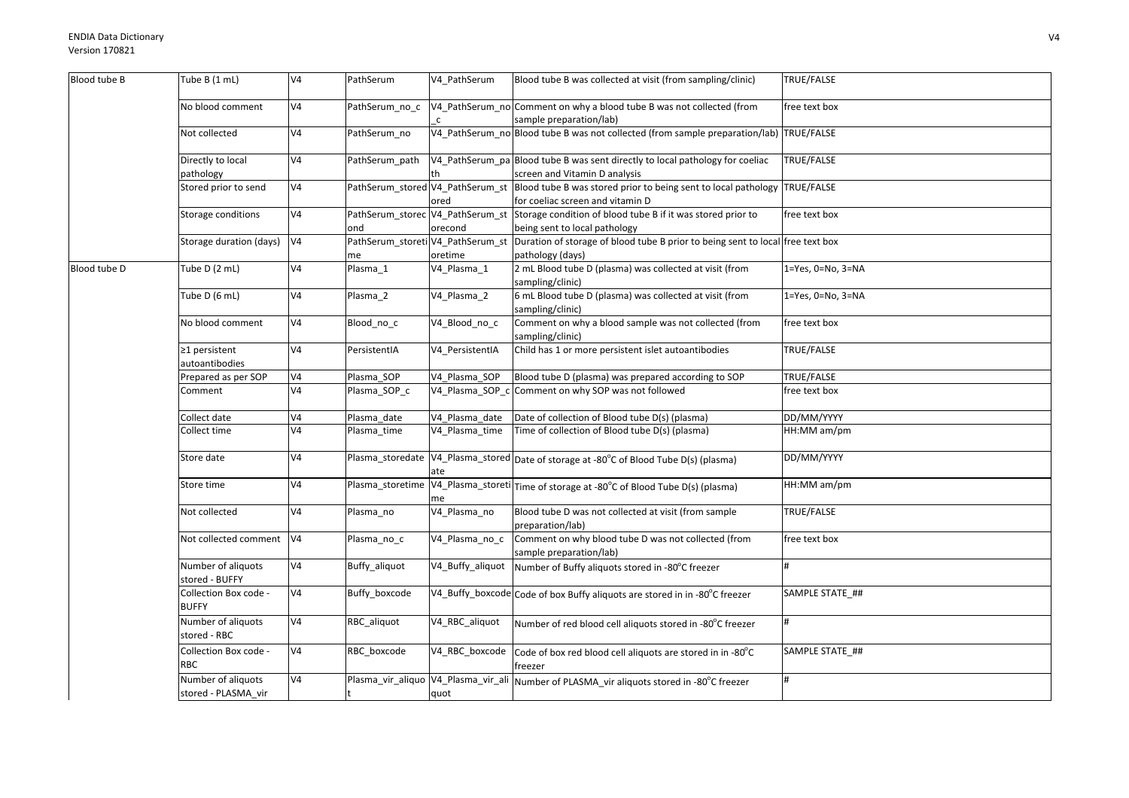| Blood tube B | Tube B (1 mL)                             | V <sub>4</sub> | PathSerum                               | V4_PathSerum     | Blood tube B was collected at visit (from sampling/clinic)                                                                          | TRUE/FALSE        |
|--------------|-------------------------------------------|----------------|-----------------------------------------|------------------|-------------------------------------------------------------------------------------------------------------------------------------|-------------------|
|              | No blood comment                          | V4             | PathSerum no c                          |                  | V4_PathSerum_no Comment on why a blood tube B was not collected (from<br>sample preparation/lab)                                    | free text box     |
|              | Not collected                             | V <sub>4</sub> | PathSerum no                            |                  | V4_PathSerum_no Blood tube B was not collected (from sample preparation/lab) TRUE/FALSE                                             |                   |
|              | Directly to local<br>pathology            | V4             | PathSerum path                          |                  | V4 PathSerum pa Blood tube B was sent directly to local pathology for coeliac<br>screen and Vitamin D analysis                      | TRUE/FALSE        |
|              | Stored prior to send                      | V <sub>4</sub> |                                         | ored             | PathSerum_stored V4_PathSerum_st Blood tube B was stored prior to being sent to local pathology<br>for coeliac screen and vitamin D | TRUE/FALSE        |
|              | Storage conditions                        | V <sub>4</sub> | ond                                     | orecond          | PathSerum_storec V4_PathSerum_st Storage condition of blood tube B if it was stored prior to<br>being sent to local pathology       | free text box     |
|              | Storage duration (days)                   | V <sub>4</sub> | PathSerum_storeti V4_PathSerum_st<br>me | oretime          | Duration of storage of blood tube B prior to being sent to local free text box<br>pathology (days)                                  |                   |
| Blood tube D | Tube D (2 mL)                             | V4             | Plasma_1                                | V4_Plasma_1      | 2 mL Blood tube D (plasma) was collected at visit (from<br>sampling/clinic)                                                         | 1=Yes, 0=No, 3=NA |
|              | Tube D (6 mL)                             | V <sub>4</sub> | Plasma_2                                | V4_Plasma_2      | 6 mL Blood tube D (plasma) was collected at visit (from<br>sampling/clinic)                                                         | 1=Yes, 0=No, 3=NA |
|              | No blood comment                          | V <sub>4</sub> | Blood_no_c                              | V4_Blood_no_c    | Comment on why a blood sample was not collected (from<br>sampling/clinic)                                                           | free text box     |
|              | $\geq$ 1 persistent<br>autoantibodies     | V <sub>4</sub> | PersistentIA                            | V4 PersistentIA  | Child has 1 or more persistent islet autoantibodies                                                                                 | TRUE/FALSE        |
|              | Prepared as per SOP                       | V4             | Plasma_SOP                              | V4 Plasma SOP    | Blood tube D (plasma) was prepared according to SOP                                                                                 | TRUE/FALSE        |
|              | Comment                                   | V <sub>4</sub> | Plasma_SOP_c                            |                  | V4_Plasma_SOP_c Comment on why SOP was not followed                                                                                 | free text box     |
|              | Collect date                              | V4             | Plasma_date                             | V4_Plasma_date   | Date of collection of Blood tube D(s) (plasma)                                                                                      | DD/MM/YYYY        |
|              | Collect time                              | V <sub>4</sub> | Plasma time                             | V4 Plasma time   | Time of collection of Blood tube D(s) (plasma)                                                                                      | HH:MM am/pm       |
|              | Store date                                | V <sub>4</sub> |                                         | ate              | Plasma_storedate V4_Plasma_stored Date of storage at -80°C of Blood Tube D(s) (plasma)                                              | DD/MM/YYYY        |
|              | Store time                                | V <sub>4</sub> | Plasma_storetime                        | me               | V4_Plasma_storeti Time of storage at -80°C of Blood Tube D(s) (plasma)                                                              | HH:MM am/pm       |
|              | Not collected                             | V <sub>4</sub> | Plasma_no                               | V4_Plasma_no     | Blood tube D was not collected at visit (from sample<br>preparation/lab)                                                            | TRUE/FALSE        |
|              | Not collected comment                     | V <sub>4</sub> | Plasma_no_c                             | V4_Plasma_no_c   | Comment on why blood tube D was not collected (from<br>sample preparation/lab)                                                      | free text box     |
|              | Number of aliquots<br>stored - BUFFY      | V <sub>4</sub> | Buffy_aliquot                           | V4_Buffy_aliquot | Number of Buffy aliquots stored in -80°C freezer                                                                                    |                   |
|              | Collection Box code -<br><b>BUFFY</b>     | V <sub>4</sub> | Buffy_boxcode                           |                  | V4_Buffy_boxcode Code of box Buffy aliquots are stored in in -80°C freezer                                                          | SAMPLE STATE_##   |
|              | Number of aliquots<br>stored - RBC        | V4             | RBC_aliquot                             | V4_RBC_aliquot   | Number of red blood cell aliquots stored in -80°C freezer                                                                           | $\sharp$          |
|              | Collection Box code -<br><b>RBC</b>       | V <sub>4</sub> | RBC_boxcode                             | V4_RBC_boxcode   | Code of box red blood cell aliquots are stored in in -80°C<br>freezer                                                               | SAMPLE STATE_##   |
|              | Number of aliquots<br>stored - PLASMA vir | V <sub>4</sub> |                                         | quot             | Plasma_vir_aliquo   V4_Plasma_vir_ali   Number of PLASMA_vir aliquots stored in -80°C freezer                                       | #                 |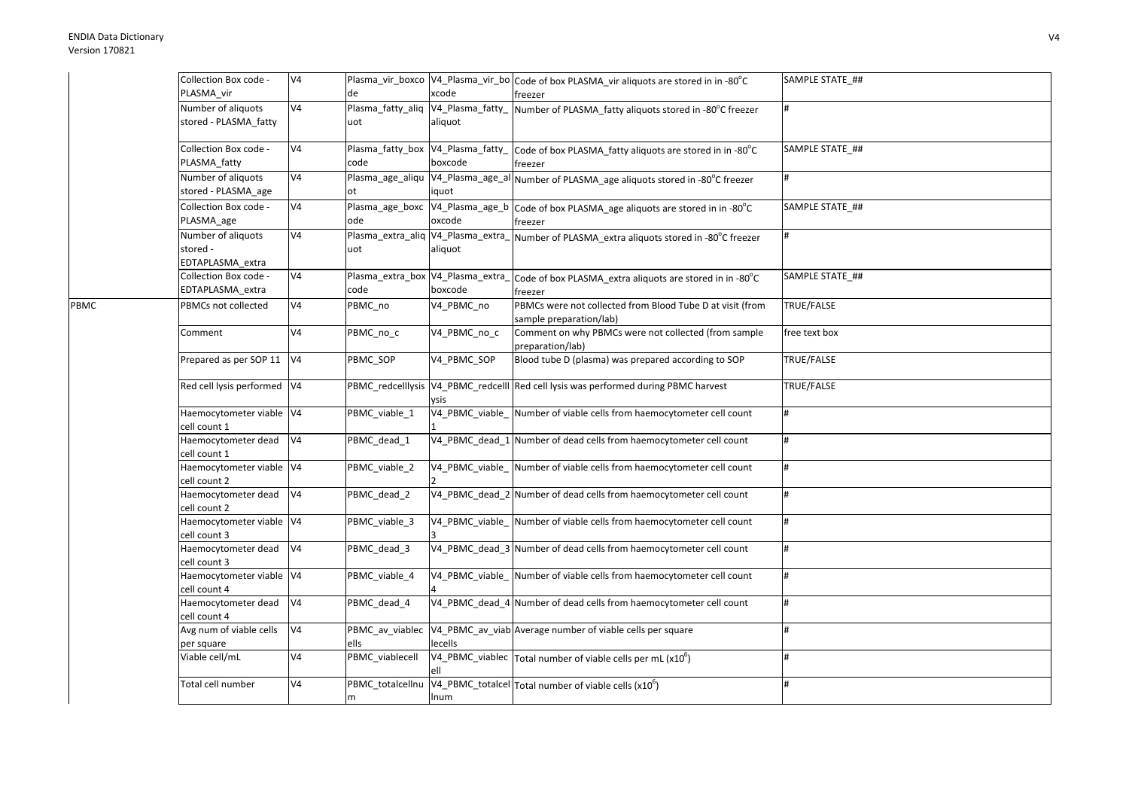PBMC

| Collection Box code -                              | V4             |                                           |                             | Plasma_vir_boxco   V4_Plasma_vir_bo   Code of box PLASMA_vir aliquots are stored in in -80°C      | SAMPLE STATE_## |
|----------------------------------------------------|----------------|-------------------------------------------|-----------------------------|---------------------------------------------------------------------------------------------------|-----------------|
| PLASMA vir                                         |                | de                                        | xcode                       | freezer                                                                                           |                 |
| Number of aliquots<br>stored - PLASMA_fatty        | V4             | Plasma_fatty_aliq<br>uot                  | V4_Plasma_fatty_<br>aliquot | Number of PLASMA_fatty aliquots stored in -80°C freezer                                           | #               |
| Collection Box code -<br>PLASMA_fatty              | V4             | Plasma_fatty_box V4_Plasma_fatty_<br>code | boxcode                     | Code of box PLASMA_fatty aliquots are stored in in -80°C<br>freezer                               | SAMPLE STATE ## |
| Number of aliquots<br>stored - PLASMA_age          | V4             | Plasma_age_aliqu<br>lot.                  | iquot                       | V4_Plasma_age_al Number of PLASMA_age aliquots stored in -80°C freezer                            | #               |
| Collection Box code -<br>PLASMA_age                | V4             | ode                                       | oxcode                      | Plasma_age_boxc V4_Plasma_age_b Code of box PLASMA_age aliquots are stored in in -80°C<br>freezer | SAMPLE STATE ## |
| Number of aliquots<br>stored -<br>EDTAPLASMA extra | V4             | uot                                       | aliquot                     | Plasma_extra_aliq V4_Plasma_extra_Number of PLASMA_extra aliquots stored in -80°C freezer         | #               |
| Collection Box code -<br>EDTAPLASMA_extra          | V4             | Plasma_extra_box V4_Plasma_extra_<br>code | boxcode                     | Code of box PLASMA_extra aliquots are stored in in -80°C<br>freezer                               | SAMPLE STATE ## |
| PBMCs not collected                                | V4             | PBMC_no                                   | V4_PBMC_no                  | PBMCs were not collected from Blood Tube D at visit (from<br>sample preparation/lab)              | TRUE/FALSE      |
| Comment                                            | V4             | PBMC no c                                 | V4_PBMC_no_c                | Comment on why PBMCs were not collected (from sample<br>preparation/lab)                          | free text box   |
| Prepared as per SOP 11 V4                          |                | PBMC_SOP                                  | V4_PBMC_SOP                 | Blood tube D (plasma) was prepared according to SOP                                               | TRUE/FALSE      |
| Red cell lysis performed V4                        |                |                                           | vsis                        | PBMC_redcelllysis   V4_PBMC_redcelll Red cell lysis was performed during PBMC harvest             | TRUE/FALSE      |
| Haemocytometer viable V4<br>cell count 1           |                | PBMC_viable_1                             | V4_PBMC_viable_             | Number of viable cells from haemocytometer cell count                                             | #               |
| Haemocytometer dead<br>cell count 1                | V4             | PBMC_dead_1                               |                             | V4_PBMC_dead_1 Number of dead cells from haemocytometer cell count                                | #               |
| Haemocytometer viable V4<br>cell count 2           |                | PBMC viable 2                             |                             | V4 PBMC viable Number of viable cells from haemocytometer cell count                              | $\sharp$        |
| Haemocytometer dead<br>cell count 2                | V <sub>4</sub> | PBMC_dead_2                               |                             | V4_PBMC_dead_2 Number of dead cells from haemocytometer cell count                                | #               |
| Haemocytometer viable V4<br>cell count 3           |                | PBMC_viable_3                             |                             | V4 PBMC viable Number of viable cells from haemocytometer cell count                              | #               |
| Haemocytometer dead<br>cell count 3                | V4             | PBMC_dead_3                               |                             | V4_PBMC_dead_3 Number of dead cells from haemocytometer cell count                                | #               |
| Haemocytometer viable V4<br>cell count 4           |                | PBMC viable 4                             |                             | V4_PBMC_viable_Number of viable cells from haemocytometer cell count                              | #               |
| Haemocytometer dead<br>cell count 4                | V <sub>4</sub> | PBMC dead 4                               |                             | V4_PBMC_dead_4 Number of dead cells from haemocytometer cell count                                | #               |
| Avg num of viable cells<br>per square              | V4             | PBMC_av_viablec<br>ells                   | lecells                     | V4_PBMC_av_viab Average number of viable cells per square                                         | #<br>$\sharp$   |
| Viable cell/mL                                     | V4             | PBMC_viablecell                           |                             | $\overline{V4\_PBMC\_v}$ iablec Total number of viable cells per mL (x10 <sup>6</sup> )           |                 |
| Total cell number                                  | V4             | PBMC totalcellnu<br>m                     | Inum                        | V4_PBMC_totalcel Total number of viable cells (x10 <sup>6</sup> )                                 | #               |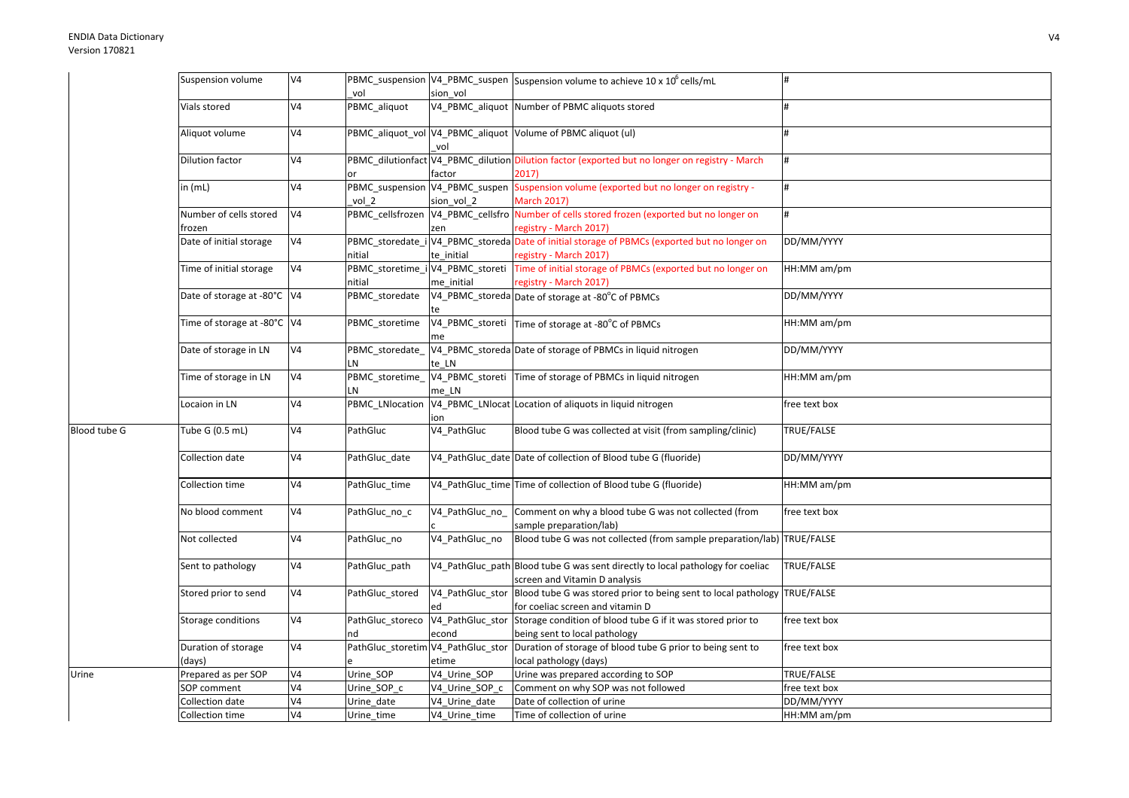|                     | Suspension volume           | V <sub>4</sub> |                  |                                  | PBMC_suspension V4_PBMC_suspen Suspension volume to achieve 10 x 10 <sup>6</sup> cells/mL                       |               |
|---------------------|-----------------------------|----------------|------------------|----------------------------------|-----------------------------------------------------------------------------------------------------------------|---------------|
|                     |                             |                | vol              | sion vol                         |                                                                                                                 |               |
|                     | Vials stored                | V <sub>4</sub> | PBMC_aliquot     |                                  | V4_PBMC_aliquot Number of PBMC aliquots stored                                                                  |               |
|                     | Aliquot volume              | V <sub>4</sub> |                  | vol                              | PBMC_aliquot_vol V4_PBMC_aliquot Volume of PBMC aliquot (ul)                                                    | <sup>#</sup>  |
|                     | Dilution factor             | V <sub>4</sub> |                  |                                  | PBMC_dilutionfact V4_PBMC_dilution Dilution factor (exported but no longer on registry - March                  | #             |
|                     |                             |                |                  | factor                           | 2017)                                                                                                           |               |
|                     | in (mL)                     | V <sub>4</sub> |                  |                                  | PBMC_suspension V4_PBMC_suspen Suspension volume (exported but no longer on registry -                          | #             |
|                     |                             |                | vol 2            | sion vol 2                       | <b>March 2017)</b>                                                                                              |               |
|                     | Number of cells stored      | V <sub>4</sub> |                  |                                  | PBMC_cellsfrozen V4_PBMC_cellsfro Number of cells stored frozen (exported but no longer on                      | #             |
|                     | frozen                      |                |                  | zen                              | registry - March 2017)                                                                                          |               |
|                     | Date of initial storage     | V <sub>4</sub> |                  |                                  | PBMC_storedate_i V4_PBMC_storeda Date of initial storage of PBMCs (exported but no longer on                    | DD/MM/YYYY    |
|                     |                             |                | hitial           | te initial                       | registry - March 2017)                                                                                          |               |
|                     | Time of initial storage     | V <sub>4</sub> |                  | PBMC storetime i V4 PBMC storeti | Time of initial storage of PBMCs (exported but no longer on                                                     | HH:MM am/pm   |
|                     |                             |                | hitial           | me initial                       | registry - March 2017)                                                                                          |               |
|                     | Date of storage at -80°C V4 |                | PBMC storedate   |                                  | V4_PBMC_storeda Date of storage at -80°C of PBMCs                                                               | DD/MM/YYYY    |
|                     |                             |                |                  |                                  |                                                                                                                 | HH:MM am/pm   |
|                     | Time of storage at -80°C V4 |                | PBMC storetime   | me                               | V4_PBMC_storeti Time of storage at -80°C of PBMCs                                                               |               |
|                     | Date of storage in LN       | V <sub>4</sub> | PBMC storedate   |                                  | V4_PBMC_storeda Date of storage of PBMCs in liquid nitrogen                                                     | DD/MM/YYYY    |
|                     |                             |                | LN               | te LN                            |                                                                                                                 |               |
|                     | Time of storage in LN       | V <sub>4</sub> | PBMC_storetime_  |                                  | V4_PBMC_storeti Time of storage of PBMCs in liquid nitrogen                                                     | HH:MM am/pm   |
|                     |                             |                | LN               | me LN                            |                                                                                                                 |               |
|                     | Locaion in LN               | V <sub>4</sub> |                  | ion                              | PBMC_LNlocation V4_PBMC_LNlocat Location of aliquots in liquid nitrogen                                         | free text box |
| <b>Blood tube G</b> | Tube G (0.5 mL)             | V <sub>4</sub> | PathGluc         | V4_PathGluc                      | Blood tube G was collected at visit (from sampling/clinic)                                                      | TRUE/FALSE    |
|                     | Collection date             | V <sub>4</sub> | PathGluc_date    |                                  | V4_PathGluc_date Date of collection of Blood tube G (fluoride)                                                  | DD/MM/YYYY    |
|                     | Collection time             | V <sub>4</sub> | PathGluc time    |                                  | V4_PathGluc_time Time of collection of Blood tube G (fluoride)                                                  | HH:MM am/pm   |
|                     | No blood comment            | V <sub>4</sub> | PathGluc no c    | V4 PathGluc no                   | Comment on why a blood tube G was not collected (from<br>sample preparation/lab)                                | free text box |
|                     | Not collected               | V <sub>4</sub> | PathGluc_no      | V4_PathGluc_no                   | Blood tube G was not collected (from sample preparation/lab) TRUE/FALSE                                         |               |
|                     | Sent to pathology           | V <sub>4</sub> | PathGluc_path    |                                  | V4 PathGluc path Blood tube G was sent directly to local pathology for coeliac<br>screen and Vitamin D analysis | TRUE/FALSE    |
|                     | Stored prior to send        | V <sub>4</sub> | PathGluc_stored  |                                  | V4_PathGluc_stor Blood tube G was stored prior to being sent to local pathology TRUE/FALSE                      |               |
|                     |                             |                |                  | ed                               | for coeliac screen and vitamin D                                                                                |               |
|                     | Storage conditions          | V <sub>4</sub> | PathGluc_storeco |                                  | V4_PathGluc_stor Storage condition of blood tube G if it was stored prior to                                    | free text box |
|                     |                             |                | nd               | econd                            | being sent to local pathology                                                                                   |               |
|                     | Duration of storage         | V <sub>4</sub> |                  |                                  | PathGluc_storetim V4_PathGluc_stor Duration of storage of blood tube G prior to being sent to                   | free text box |
|                     | (days)                      |                |                  | etime                            | local pathology (days)                                                                                          |               |
| Urine               | Prepared as per SOP         | V <sub>4</sub> | Urine SOP        | V4 Urine SOP                     | Urine was prepared according to SOP                                                                             | TRUE/FALSE    |
|                     | SOP comment                 | V <sub>4</sub> | Urine SOP c      | V4 Urine SOP c                   | Comment on why SOP was not followed                                                                             | free text box |
|                     | Collection date             | V <sub>4</sub> | Urine date       | V4 Urine date                    | Date of collection of urine                                                                                     | DD/MM/YYYY    |
|                     | Collection time             | V <sub>4</sub> | Urine_time       | V4_Urine_time                    | Time of collection of urine                                                                                     | HH:MM am/pm   |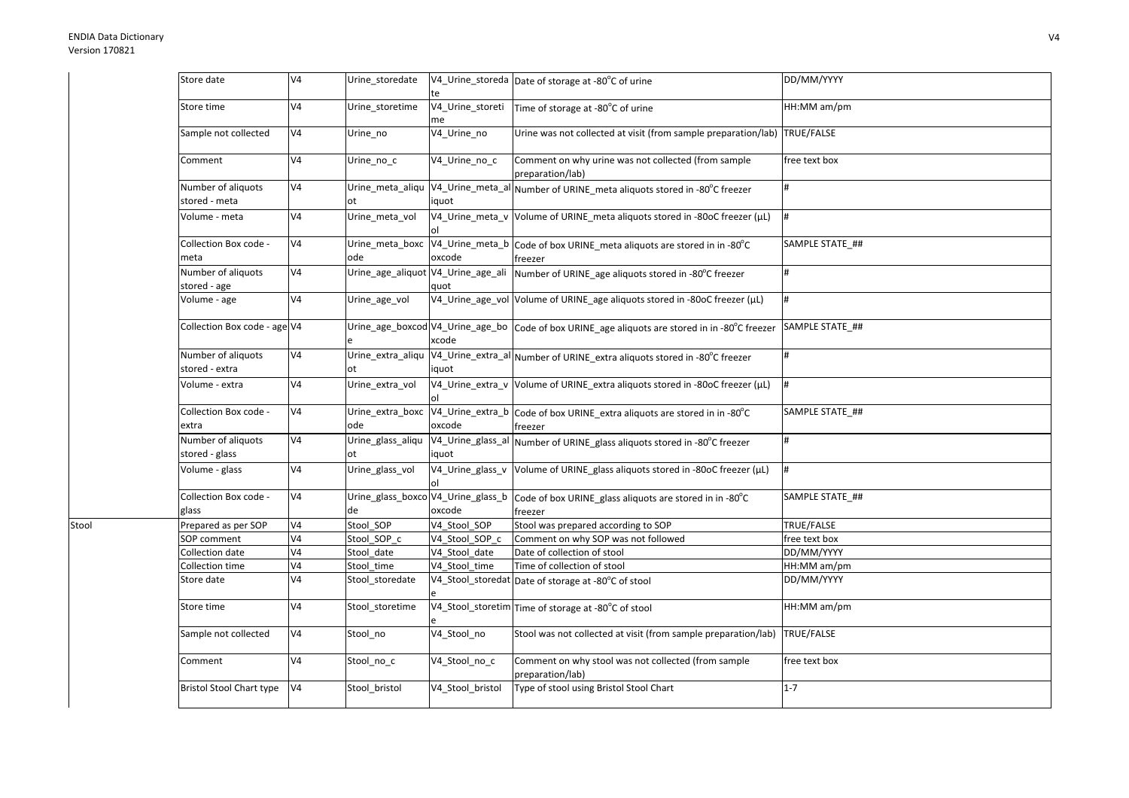Stool

| Store date                           | V <sub>4</sub> | Urine_storedate                          | te                     | V4_Urine_storeda Date of storage at -80°C of urine                                             | DD/MM/YYYY      |
|--------------------------------------|----------------|------------------------------------------|------------------------|------------------------------------------------------------------------------------------------|-----------------|
| Store time                           | V <sub>4</sub> | Urine_storetime                          | V4_Urine_storeti<br>me | Time of storage at -80°C of urine                                                              | HH:MM am/pm     |
| Sample not collected                 | V <sub>4</sub> | Urine_no                                 | V4_Urine_no            | Urine was not collected at visit (from sample preparation/lab) TRUE/FALSE                      |                 |
| Comment                              | V <sub>4</sub> | Urine_no_c                               | V4_Urine_no_c          | Comment on why urine was not collected (from sample<br>preparation/lab)                        | free text box   |
| Number of aliquots<br>stored - meta  | V <sub>4</sub> | Urine_meta_aliqu<br>ot                   | iquot                  | V4_Urine_meta_al Number of URINE_meta aliquots stored in -80°C freezer                         |                 |
| Volume - meta                        | V <sub>4</sub> | Urine_meta_vol                           | οI                     | V4_Urine_meta_v Volume of URINE_meta aliquots stored in -80oC freezer (µL)                     |                 |
| Collection Box code -<br>meta        | V <sub>4</sub> | Urine_meta_boxc<br>ode                   | oxcode                 | V4_Urine_meta_b Code of box URINE_meta aliquots are stored in in -80°C<br>freezer              | SAMPLE STATE ## |
| Number of aliquots<br>stored - age   | V <sub>4</sub> | Urine_age_aliquot V4_Urine_age_ali       | quot                   | Number of URINE_age aliquots stored in -80°C freezer                                           |                 |
| Volume - age                         | V <sub>4</sub> | Urine_age_vol                            |                        | V4_Urine_age_vol Volume of URINE_age aliquots stored in -80oC freezer (µL)                     | #               |
| Collection Box code - age V4         |                |                                          | xcode                  | Urine_age_boxcod V4_Urine_age_bo Code of box URINE_age aliquots are stored in in -80°C freezer | SAMPLE STATE ## |
| Number of aliquots<br>stored - extra | V <sub>4</sub> | Urine_extra_aliqu                        | iquot                  | V4_Urine_extra_al Number of URINE_extra aliquots stored in -80°C freezer                       | #               |
| Volume - extra                       | V <sub>4</sub> | Urine extra vol                          |                        | V4_Urine_extra_v Volume of URINE_extra aliquots stored in -80oC freezer (µL)                   | #               |
| Collection Box code -<br>extra       | V <sub>4</sub> | Urine_extra_boxc<br>ode                  | oxcode                 | V4_Urine_extra_b Code of box URINE_extra aliquots are stored in in -80°C<br>freezer            | SAMPLE STATE ## |
| Number of aliquots<br>stored - glass | V <sub>4</sub> | Urine_glass_aliqu<br>ot                  | iquot                  | V4_Urine_glass_al Number of URINE_glass aliquots stored in -80°C freezer                       | $\sharp$        |
| Volume - glass                       | V <sub>4</sub> | Urine_glass_vol                          | οI                     | V4_Urine_glass_v  Volume of URINE_glass aliquots stored in -80oC freezer (µL)                  | #               |
| Collection Box code -<br>glass       | V <sub>4</sub> | Urine_glass_boxco V4_Urine_glass_b<br>de | oxcode                 | Code of box URINE_glass aliquots are stored in in -80°C<br>freezer                             | SAMPLE STATE ## |
| Prepared as per SOP                  | V <sub>4</sub> | Stool_SOP                                | V4 Stool SOP           | Stool was prepared according to SOP                                                            | TRUE/FALSE      |
| SOP comment                          | V <sub>4</sub> | Stool SOP c                              | V4 Stool SOP c         | Comment on why SOP was not followed                                                            | free text box   |
| Collection date                      | V <sub>4</sub> | Stool date                               | V4 Stool date          | Date of collection of stool                                                                    | DD/MM/YYYY      |
| Collection time                      | V <sub>4</sub> | Stool_time                               | V4 Stool time          | Time of collection of stool                                                                    | HH:MM am/pm     |
| Store date                           | V <sub>4</sub> | Stool_storedate                          |                        | V4_Stool_storedat Date of storage at -80°C of stool                                            | DD/MM/YYYY      |
| Store time                           | V <sub>4</sub> | Stool_storetime                          |                        | V4_Stool_storetim Time of storage at -80°C of stool                                            | HH:MM am/pm     |
| Sample not collected                 | V <sub>4</sub> | Stool_no                                 | V4_Stool_no            | Stool was not collected at visit (from sample preparation/lab) TRUE/FALSE                      |                 |
| Comment                              | V <sub>4</sub> | Stool_no_c                               | V4_Stool_no_c          | Comment on why stool was not collected (from sample<br>preparation/lab)                        | free text box   |
| <b>Bristol Stool Chart type</b>      | V <sub>4</sub> | Stool_bristol                            | V4_Stool_bristol       | Type of stool using Bristol Stool Chart                                                        | $1 - 7$         |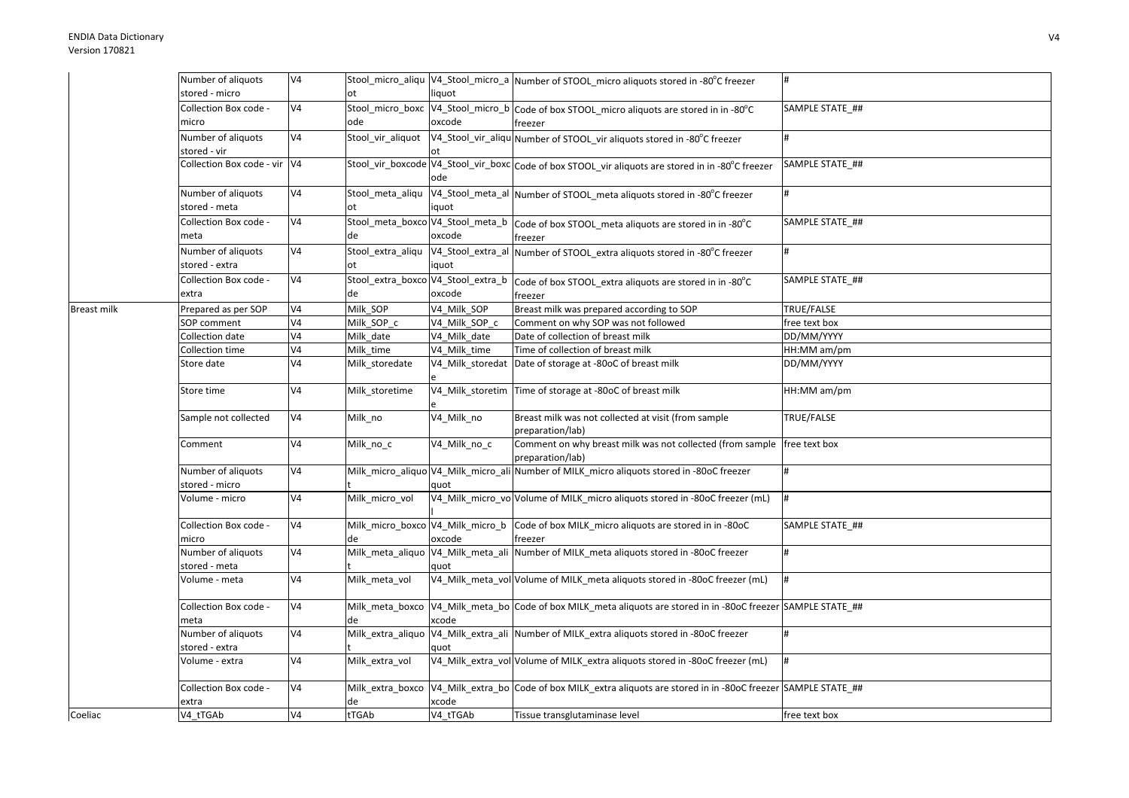|                    | Number of aliquots           | V <sub>4</sub> |                   |                   | Stool_micro_aliqu  V4_Stool_micro_a  Number of STOOL_micro aliquots stored in -80°C freezer                      | #               |
|--------------------|------------------------------|----------------|-------------------|-------------------|------------------------------------------------------------------------------------------------------------------|-----------------|
|                    | stored - micro               |                | ot                | liquot            |                                                                                                                  |                 |
|                    | Collection Box code -        | V4             |                   |                   | Stool_micro_boxc V4_Stool_micro_b Code of box STOOL_micro aliquots are stored in in -80°C                        | SAMPLE STATE ## |
|                    | micro                        |                | ode               | oxcode            | freezer                                                                                                          |                 |
|                    | Number of aliquots           | V4             | Stool vir aliquot |                   | V4_Stool_vir_aliqu Number of STOOL_vir aliquots stored in -80°C freezer                                          |                 |
|                    | stored - vir                 |                |                   |                   |                                                                                                                  |                 |
|                    | Collection Box code - vir V4 |                |                   |                   | Stool_vir_boxcode V4_Stool_vir_boxc Code of box STOOL_vir aliquots are stored in in -80°C freezer                | SAMPLE STATE ## |
|                    |                              |                |                   | ode               |                                                                                                                  |                 |
|                    | Number of aliquots           | V4             | Stool_meta_aliqu  |                   | V4_Stool_meta_al Number of STOOL_meta aliquots stored in -80°C freezer                                           |                 |
|                    | stored - meta                |                | ot                | iquot             |                                                                                                                  |                 |
|                    | Collection Box code -        | V4             |                   |                   | Stool_meta_boxco V4_Stool_meta_b   Code of box STOOL_meta aliquots are stored in in -80°C                        | SAMPLE STATE ## |
|                    | meta                         |                | de                | oxcode            | freezer                                                                                                          |                 |
|                    | Number of aliquots           | V <sub>4</sub> |                   |                   | Stool_extra_aliqu V4_Stool_extra_al Number of STOOL_extra aliquots stored in -80°C freezer                       | #               |
|                    | stored - extra               |                | ot                | iquot             |                                                                                                                  |                 |
|                    | Collection Box code -        | V4             |                   |                   | Stool_extra_boxco V4_Stool_extra_b code of box STOOL_extra aliquots are stored in in -80°C                       | SAMPLE STATE ## |
|                    | extra                        |                | de                | oxcode            | freezer                                                                                                          |                 |
| <b>Breast milk</b> | Prepared as per SOP          | V4             | Milk_SOP          | V4 Milk SOP       | Breast milk was prepared according to SOP                                                                        | TRUE/FALSE      |
|                    | <b>SOP</b> comment           | V4             | Milk SOP c        | V4 Milk SOP c     | Comment on why SOP was not followed                                                                              | free text box   |
|                    | Collection date              | V4             | Milk date         | V4 Milk date      | Date of collection of breast milk                                                                                | DD/MM/YYYY      |
|                    | Collection time              | V4             | Milk time         | V4 Milk time      | Time of collection of breast milk                                                                                | HH:MM am/pm     |
|                    | Store date                   | V4             | Milk_storedate    |                   | V4_Milk_storedat Date of storage at -80oC of breast milk                                                         | DD/MM/YYYY      |
|                    | Store time                   | V4             | Milk storetime    |                   | V4_Milk_storetim Time of storage at -80oC of breast milk                                                         | HH:MM am/pm     |
|                    | Sample not collected         | V <sub>4</sub> | Milk no           | V4 Milk no        | Breast milk was not collected at visit (from sample                                                              | TRUE/FALSE      |
|                    |                              |                |                   |                   | preparation/lab)                                                                                                 |                 |
|                    | Comment                      | V <sub>4</sub> | Milk_no_c         | V4 Milk no c      | Comment on why breast milk was not collected (from sample   free text box                                        |                 |
|                    |                              |                |                   |                   | preparation/lab)                                                                                                 |                 |
|                    | Number of aliquots           | V4             |                   |                   | Milk_micro_aliquo V4_Milk_micro_ali Number of MILK_micro aliquots stored in -80oC freezer                        |                 |
|                    | stored - micro               |                |                   | quot              |                                                                                                                  |                 |
|                    | Volume - micro               | V <sub>4</sub> | Milk micro vol    |                   | V4_Milk_micro_vo Volume of MILK_micro aliquots stored in -80oC freezer (mL)                                      | #               |
|                    | Collection Box code -        | V <sub>4</sub> |                   |                   | Milk_micro_boxco V4_Milk_micro_b Code of box MILK_micro aliquots are stored in in -80oC                          | SAMPLE STATE ## |
|                    | micro                        |                | de                | oxcode            | freezer                                                                                                          |                 |
|                    | Number of aliquots           | V4             |                   |                   | Milk_meta_aliquo V4_Milk_meta_ali Number of MILK_meta aliquots stored in -80oC freezer                           |                 |
|                    | stored - meta                |                |                   | quot              |                                                                                                                  |                 |
|                    | Volume - meta                | V4             | Milk_meta_vol     |                   | V4_Milk_meta_vol Volume of MILK_meta aliquots stored in -80oC freezer (mL)                                       | <sup>#</sup>    |
|                    | Collection Box code -        | V4             |                   |                   | Milk_meta_boxco  V4_Milk_meta_bo  Code of box MILK_meta aliquots are stored in in -80oC freezer  SAMPLE STATE_## |                 |
|                    | meta                         |                |                   | xcode             |                                                                                                                  |                 |
|                    | Number of aliquots           | V4             |                   |                   | Milk_extra_aliquo V4_Milk_extra_ali Number of MILK_extra aliquots stored in -80oC freezer                        |                 |
|                    | stored - extra               |                |                   | quot              |                                                                                                                  |                 |
|                    | Volume - extra               | V4             | Milk extra vol    |                   | V4_Milk_extra_vol Volume of MILK_extra aliquots stored in -80oC freezer (mL)                                     |                 |
|                    | Collection Box code -        | V <sub>4</sub> | Milk extra boxco  |                   | V4 Milk extra bo Code of box MILK extra aliquots are stored in in -80oC freezer SAMPLE STATE ##                  |                 |
| Coeliac            | extra<br>V4 tTGAb            | V <sub>4</sub> | de<br>tTGAb       | xcode<br>V4 tTGAb | Tissue transglutaminase level                                                                                    | free text box   |
|                    |                              |                |                   |                   |                                                                                                                  |                 |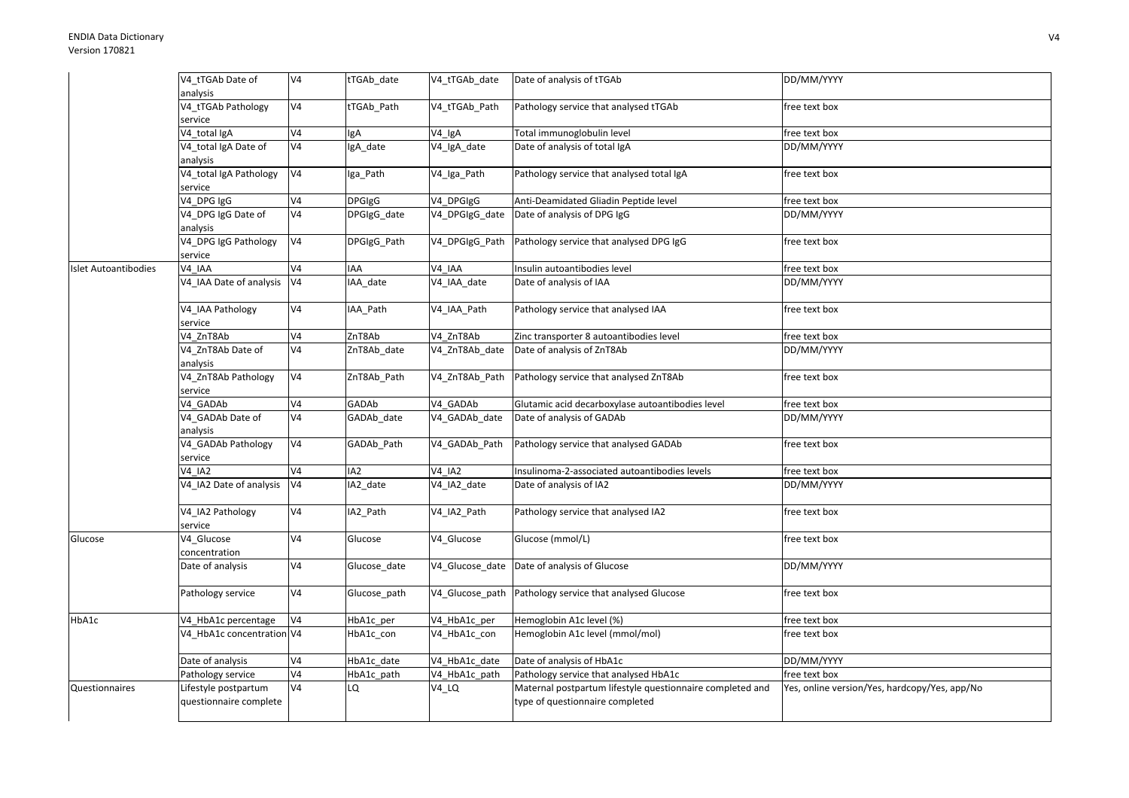|                             | V4_tTGAb Date of          | V <sub>4</sub> | tTGAb_date      | V4_tTGAb_date      | Date of analysis of tTGAb                                 | DD/MM/YYYY                                    |
|-----------------------------|---------------------------|----------------|-----------------|--------------------|-----------------------------------------------------------|-----------------------------------------------|
|                             | analysis                  |                |                 |                    |                                                           |                                               |
|                             | V4_tTGAb Pathology        | V <sub>4</sub> | tTGAb_Path      | V4_tTGAb_Path      | Pathology service that analysed tTGAb                     | free text box                                 |
|                             | service                   |                |                 |                    |                                                           |                                               |
|                             | V4 total IgA              | V4             | lgA             | V <sub>4_lgA</sub> | Total immunoglobulin level                                | free text box                                 |
|                             | V4 total IgA Date of      | V <sub>4</sub> | gA date         | V4_IgA_date        | Date of analysis of total IgA                             | DD/MM/YYYY                                    |
|                             | analysis                  |                |                 |                    |                                                           |                                               |
|                             | V4_total IgA Pathology    | V <sub>4</sub> | lga_Path        | V4_Iga_Path        | Pathology service that analysed total IgA                 | free text box                                 |
|                             | service                   |                |                 |                    |                                                           |                                               |
|                             | V4 DPG IgG                | V <sub>4</sub> | <b>DPGIgG</b>   | V4_DPGIgG          | Anti-Deamidated Gliadin Peptide level                     | free text box                                 |
|                             | V4_DPG IgG Date of        | V <sub>4</sub> | DPGIgG date     | V4 DPGIgG date     | Date of analysis of DPG IgG                               | DD/MM/YYYY                                    |
|                             | analysis                  |                |                 |                    |                                                           |                                               |
|                             | V4 DPG IgG Pathology      | V <sub>4</sub> | DPGIgG Path     | V4 DPGIgG Path     | Pathology service that analysed DPG IgG                   | free text box                                 |
|                             | service                   |                |                 |                    |                                                           |                                               |
| <b>Islet Autoantibodies</b> | V4 IAA                    | V <sub>4</sub> | <b>IAA</b>      | V4 IAA             | Insulin autoantibodies level                              | free text box                                 |
|                             | V4 IAA Date of analysis   | V <sub>4</sub> | IAA date        | V4_IAA_date        | Date of analysis of IAA                                   | DD/MM/YYYY                                    |
|                             |                           |                |                 |                    |                                                           |                                               |
|                             | V4 IAA Pathology          | V4             | IAA_Path        | V4_IAA_Path        | Pathology service that analysed IAA                       | free text box                                 |
|                             | service                   |                |                 |                    |                                                           |                                               |
|                             | V4 ZnT8Ab                 | V <sub>4</sub> | ZnT8Ab          | V4 ZnT8Ab          | Zinc transporter 8 autoantibodies level                   | free text box                                 |
|                             | V4_ZnT8Ab Date of         | V <sub>4</sub> | ZnT8Ab date     | V4 ZnT8Ab date     | Date of analysis of ZnT8Ab                                | DD/MM/YYYY                                    |
|                             | analysis                  |                |                 |                    |                                                           |                                               |
|                             | V4_ZnT8Ab Pathology       | V4             | ZnT8Ab Path     | V4 ZnT8Ab Path     | Pathology service that analysed ZnT8Ab                    | free text box                                 |
|                             | service                   |                |                 |                    |                                                           |                                               |
|                             | V4 GADAb                  | V4             | GADAb           | V4 GADAb           | Glutamic acid decarboxylase autoantibodies level          | free text box                                 |
|                             | V4_GADAb Date of          | V <sub>4</sub> | GADAb date      | V4 GADAb date      | Date of analysis of GADAb                                 | DD/MM/YYYY                                    |
|                             | analysis                  |                |                 |                    |                                                           |                                               |
|                             | V4 GADAb Pathology        | V <sub>4</sub> | GADAb Path      | V4 GADAb Path      | Pathology service that analysed GADAb                     | free text box                                 |
|                             | service                   |                |                 |                    |                                                           |                                               |
|                             | <b>V4 IA2</b>             | V <sub>4</sub> | IA <sub>2</sub> | <b>V4 IA2</b>      | Insulinoma-2-associated autoantibodies levels             | free text box                                 |
|                             | V4 IA2 Date of analysis   | V <sub>4</sub> | IA2 date        | V4_IA2_date        | Date of analysis of IA2                                   | DD/MM/YYYY                                    |
|                             |                           |                |                 |                    |                                                           |                                               |
|                             | V4 IA2 Pathology          | V <sub>4</sub> | IA2_Path        | V4_IA2_Path        | Pathology service that analysed IA2                       | free text box                                 |
|                             | service                   |                |                 |                    |                                                           |                                               |
| Glucose                     | V4 Glucose                | V <sub>4</sub> | Glucose         | V4 Glucose         | Glucose (mmol/L)                                          | free text box                                 |
|                             | concentration             |                |                 |                    |                                                           |                                               |
|                             | Date of analysis          | V4             | Glucose_date    |                    | V4 Glucose date Date of analysis of Glucose               | DD/MM/YYYY                                    |
|                             |                           |                |                 |                    |                                                           |                                               |
|                             | Pathology service         | V4             | Glucose path    | V4 Glucose path    | Pathology service that analysed Glucose                   | free text box                                 |
|                             |                           |                |                 |                    |                                                           |                                               |
| HbA1c                       | V4 HbA1c percentage       | V <sub>4</sub> | HbA1c per       | V4_HbA1c_per       | Hemoglobin A1c level (%)                                  | free text box                                 |
|                             | V4_HbA1c concentration V4 |                | HbA1c_con       | V4_HbA1c_con       | Hemoglobin A1c level (mmol/mol)                           | free text box                                 |
|                             |                           |                |                 |                    |                                                           |                                               |
|                             | Date of analysis          | V <sub>4</sub> | HbA1c_date      | V4 HbA1c date      | Date of analysis of HbA1c                                 | DD/MM/YYYY                                    |
|                             | Pathology service         | V <sub>4</sub> | HbA1c path      | V4 HbA1c path      | Pathology service that analysed HbA1c                     | free text box                                 |
| Questionnaires              | Lifestyle postpartum      | V <sub>4</sub> | LQ              | V4_LQ              | Maternal postpartum lifestyle questionnaire completed and | Yes, online version/Yes, hardcopy/Yes, app/No |
|                             | questionnaire complete    |                |                 |                    | type of questionnaire completed                           |                                               |
|                             |                           |                |                 |                    |                                                           |                                               |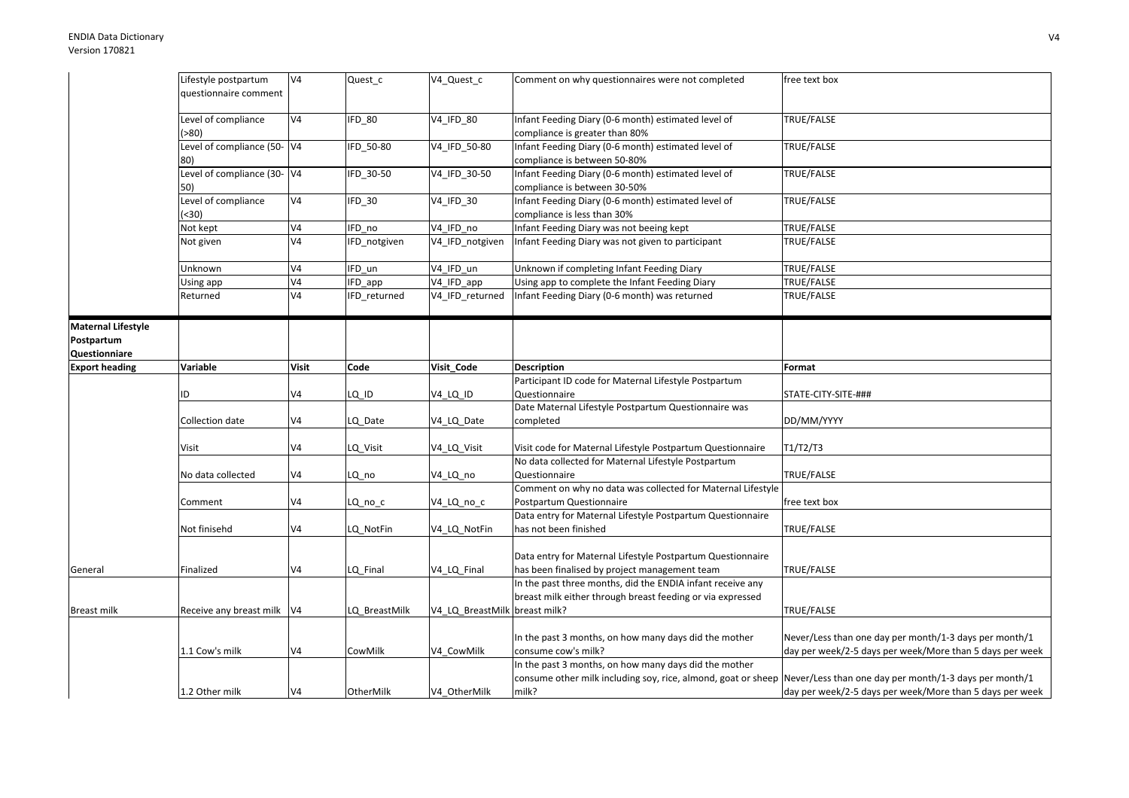|                           | Lifestyle postpartum<br>questionnaire comment | V <sub>4</sub> | Quest_c       | V4_Quest_c                    | Comment on why questionnaires were not completed                                                                                                                                       | free text box                                                                                                      |
|---------------------------|-----------------------------------------------|----------------|---------------|-------------------------------|----------------------------------------------------------------------------------------------------------------------------------------------------------------------------------------|--------------------------------------------------------------------------------------------------------------------|
|                           | Level of compliance<br>( > 80)                | V <sub>4</sub> | IFD_80        | V4_IFD_80                     | Infant Feeding Diary (0-6 month) estimated level of<br>compliance is greater than 80%                                                                                                  | TRUE/FALSE                                                                                                         |
|                           | Level of compliance (50- V4<br>80)            |                | IFD 50-80     | V4 IFD 50-80                  | Infant Feeding Diary (0-6 month) estimated level of<br>compliance is between 50-80%                                                                                                    | TRUE/FALSE                                                                                                         |
|                           | Level of compliance (30- V4<br>50)            |                | IFD_30-50     | V4_IFD_30-50                  | Infant Feeding Diary (0-6 month) estimated level of<br>compliance is between 30-50%                                                                                                    | TRUE/FALSE                                                                                                         |
|                           | Level of compliance<br>( < 30)                | V <sub>4</sub> | IFD_30        | V4_IFD_30                     | Infant Feeding Diary (0-6 month) estimated level of<br>compliance is less than 30%                                                                                                     | TRUE/FALSE                                                                                                         |
|                           | Not kept                                      | V <sub>4</sub> | $F_{D}$ no    | V4_IFD_no                     | Infant Feeding Diary was not beeing kept                                                                                                                                               | TRUE/FALSE                                                                                                         |
|                           | Not given                                     | V <sub>4</sub> | IFD notgiven  | V4 IFD notgiven               | Infant Feeding Diary was not given to participant                                                                                                                                      | TRUE/FALSE                                                                                                         |
|                           | Unknown                                       | V <sub>4</sub> | IFD un        | V4 IFD un                     | Unknown if completing Infant Feeding Diary                                                                                                                                             | TRUE/FALSE                                                                                                         |
|                           | Using app                                     | V4             | IFD_app       | V4_IFD_app                    | Using app to complete the Infant Feeding Diary                                                                                                                                         | TRUE/FALSE                                                                                                         |
|                           | Returned                                      | V <sub>4</sub> | IFD returned  | V4 IFD returned               | Infant Feeding Diary (0-6 month) was returned                                                                                                                                          | TRUE/FALSE                                                                                                         |
| <b>Maternal Lifestyle</b> |                                               |                |               |                               |                                                                                                                                                                                        |                                                                                                                    |
| Postpartum                |                                               |                |               |                               |                                                                                                                                                                                        |                                                                                                                    |
| Questionniare             |                                               |                |               |                               |                                                                                                                                                                                        |                                                                                                                    |
| <b>Export heading</b>     | Variable                                      | <b>Visit</b>   | Code          | Visit_Code                    | <b>Description</b>                                                                                                                                                                     | Format                                                                                                             |
|                           |                                               |                |               |                               | Participant ID code for Maternal Lifestyle Postpartum                                                                                                                                  |                                                                                                                    |
|                           | ID                                            | V <sub>4</sub> | LQ_ID         | V <sub>4_LQ_ID</sub>          | Questionnaire                                                                                                                                                                          | STATE-CITY-SITE-###                                                                                                |
|                           |                                               |                |               |                               | Date Maternal Lifestyle Postpartum Questionnaire was                                                                                                                                   |                                                                                                                    |
|                           | Collection date                               | V <sub>4</sub> | LQ_Date       | V4_LQ_Date                    | completed                                                                                                                                                                              | DD/MM/YYYY                                                                                                         |
|                           | Visit                                         | V <sub>4</sub> | LQ_Visit      | V4_LQ_Visit                   | Visit code for Maternal Lifestyle Postpartum Questionnaire                                                                                                                             | T1/T2/T3                                                                                                           |
|                           | No data collected                             | V <sub>4</sub> | LQ no         | V4 LQ no                      | No data collected for Maternal Lifestyle Postpartum<br>Questionnaire                                                                                                                   | TRUE/FALSE                                                                                                         |
|                           |                                               |                |               |                               | Comment on why no data was collected for Maternal Lifestyle                                                                                                                            |                                                                                                                    |
|                           | Comment                                       | V <sub>4</sub> | LQ_no_c       | V4_LQ_no_c                    | Postpartum Questionnaire                                                                                                                                                               | free text box                                                                                                      |
|                           | Not finisehd                                  | V4             | LQ NotFin     | V4 LQ NotFin                  | Data entry for Maternal Lifestyle Postpartum Questionnaire<br>has not been finished                                                                                                    | TRUE/FALSE                                                                                                         |
| General                   | Finalized                                     | V <sub>4</sub> | LQ Final      | V4 LQ Final                   | Data entry for Maternal Lifestyle Postpartum Questionnaire<br>has been finalised by project management team                                                                            | TRUE/FALSE                                                                                                         |
|                           |                                               |                |               |                               | In the past three months, did the ENDIA infant receive any<br>breast milk either through breast feeding or via expressed                                                               |                                                                                                                    |
| <b>Breast milk</b>        | Receive any breast milk V4                    |                | LQ BreastMilk | V4_LQ_BreastMilk breast milk? |                                                                                                                                                                                        | TRUE/FALSE                                                                                                         |
|                           | 1.1 Cow's milk                                | V <sub>4</sub> | CowMilk       | V4_CowMilk                    | In the past 3 months, on how many days did the mother<br>consume cow's milk?                                                                                                           | Never/Less than one day per month/1-3 days per month/1<br>day per week/2-5 days per week/More than 5 days per week |
|                           | 1.2 Other milk                                | V <sub>4</sub> | OtherMilk     | V4 OtherMilk                  | In the past 3 months, on how many days did the mother<br>consume other milk including soy, rice, almond, goat or sheep Never/Less than one day per month/1-3 days per month/1<br>milk? | day per week/2-5 days per week/More than 5 days per week                                                           |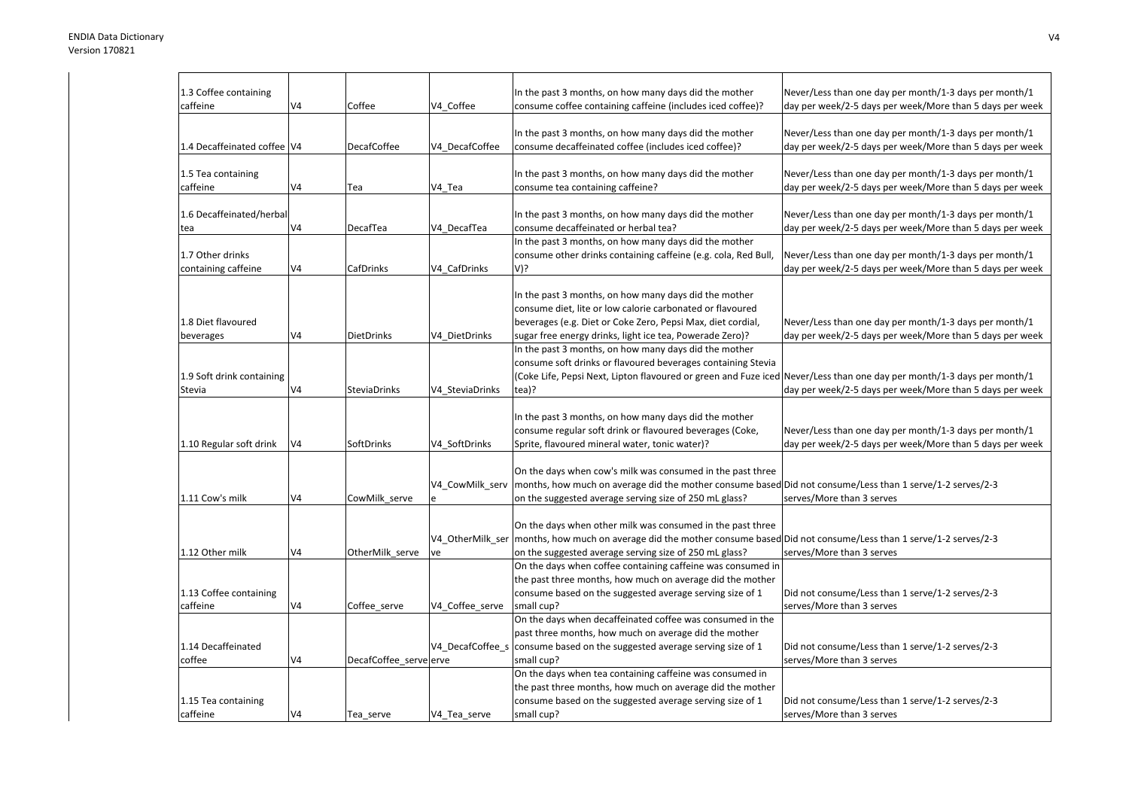| 1.3 Coffee containing       |                |                        |                 | In the past 3 months, on how many days did the mother                                                                      | Never/Less than one day per month/1-3 days per month/1   |
|-----------------------------|----------------|------------------------|-----------------|----------------------------------------------------------------------------------------------------------------------------|----------------------------------------------------------|
| caffeine                    | V4             | Coffee                 | V4 Coffee       | consume coffee containing caffeine (includes iced coffee)?                                                                 | day per week/2-5 days per week/More than 5 days per week |
|                             |                |                        |                 |                                                                                                                            |                                                          |
|                             |                |                        |                 | In the past 3 months, on how many days did the mother                                                                      | Never/Less than one day per month/1-3 days per month/1   |
| 1.4 Decaffeinated coffee V4 |                | <b>DecafCoffee</b>     | V4 DecafCoffee  | consume decaffeinated coffee (includes iced coffee)?                                                                       | day per week/2-5 days per week/More than 5 days per week |
|                             |                |                        |                 |                                                                                                                            |                                                          |
| 1.5 Tea containing          |                |                        |                 | In the past 3 months, on how many days did the mother                                                                      | Never/Less than one day per month/1-3 days per month/1   |
| caffeine                    | V <sub>4</sub> | Tea                    | V4 Tea          | consume tea containing caffeine?                                                                                           | day per week/2-5 days per week/More than 5 days per week |
|                             |                |                        |                 |                                                                                                                            |                                                          |
| 1.6 Decaffeinated/herbal    |                |                        |                 | In the past 3 months, on how many days did the mother                                                                      | Never/Less than one day per month/1-3 days per month/1   |
| tea                         | V4             | DecafTea               | V4 DecafTea     | consume decaffeinated or herbal tea?                                                                                       | day per week/2-5 days per week/More than 5 days per week |
|                             |                |                        |                 | In the past 3 months, on how many days did the mother                                                                      |                                                          |
| 1.7 Other drinks            |                |                        |                 | consume other drinks containing caffeine (e.g. cola, Red Bull,                                                             | Never/Less than one day per month/1-3 days per month/1   |
| containing caffeine         | V4             | CafDrinks              | V4 CafDrinks    | V)?                                                                                                                        | day per week/2-5 days per week/More than 5 days per week |
|                             |                |                        |                 |                                                                                                                            |                                                          |
|                             |                |                        |                 | In the past 3 months, on how many days did the mother                                                                      |                                                          |
|                             |                |                        |                 | consume diet, lite or low calorie carbonated or flavoured                                                                  |                                                          |
| 1.8 Diet flavoured          |                |                        |                 | beverages (e.g. Diet or Coke Zero, Pepsi Max, diet cordial,                                                                | Never/Less than one day per month/1-3 days per month/1   |
| beverages                   | V <sub>4</sub> | <b>DietDrinks</b>      | V4 DietDrinks   | sugar free energy drinks, light ice tea, Powerade Zero)?                                                                   | day per week/2-5 days per week/More than 5 days per week |
|                             |                |                        |                 | In the past 3 months, on how many days did the mother                                                                      |                                                          |
|                             |                |                        |                 | consume soft drinks or flavoured beverages containing Stevia                                                               |                                                          |
| 1.9 Soft drink containing   |                |                        |                 | (Coke Life, Pepsi Next, Lipton flavoured or green and Fuze iced Never/Less than one day per month/1-3 days per month/1     |                                                          |
| Stevia                      | V4             | SteviaDrinks           | V4 SteviaDrinks | tea)?                                                                                                                      | day per week/2-5 days per week/More than 5 days per week |
|                             |                |                        |                 |                                                                                                                            |                                                          |
|                             |                |                        |                 | In the past 3 months, on how many days did the mother                                                                      |                                                          |
|                             |                |                        |                 | consume regular soft drink or flavoured beverages (Coke,                                                                   | Never/Less than one day per month/1-3 days per month/1   |
| 1.10 Regular soft drink     | V <sub>4</sub> | SoftDrinks             | V4 SoftDrinks   | Sprite, flavoured mineral water, tonic water)?                                                                             | day per week/2-5 days per week/More than 5 days per week |
|                             |                |                        |                 |                                                                                                                            |                                                          |
|                             |                |                        |                 | On the days when cow's milk was consumed in the past three                                                                 |                                                          |
|                             |                |                        | V4_CowMilk_serv | months, how much on average did the mother consume based Did not consume/Less than 1 serve/1-2 serves/2-3                  |                                                          |
| 1.11 Cow's milk             | V <sub>4</sub> | CowMilk_serve          |                 | on the suggested average serving size of 250 mL glass?                                                                     | serves/More than 3 serves                                |
|                             |                |                        |                 |                                                                                                                            |                                                          |
|                             |                |                        |                 | On the days when other milk was consumed in the past three                                                                 |                                                          |
|                             |                |                        |                 | V4 OtherMilk ser months, how much on average did the mother consume based Did not consume/Less than 1 serve/1-2 serves/2-3 |                                                          |
| 1.12 Other milk             | V <sub>4</sub> |                        |                 |                                                                                                                            | serves/More than 3 serves                                |
|                             |                | OtherMilk serve        | ve              | on the suggested average serving size of 250 mL glass?                                                                     |                                                          |
|                             |                |                        |                 | On the days when coffee containing caffeine was consumed in                                                                |                                                          |
|                             |                |                        |                 | the past three months, how much on average did the mother                                                                  |                                                          |
| 1.13 Coffee containing      |                |                        |                 | consume based on the suggested average serving size of 1                                                                   | Did not consume/Less than 1 serve/1-2 serves/2-3         |
| caffeine                    | V <sub>4</sub> | Coffee serve           | V4 Coffee serve | small cup?                                                                                                                 | serves/More than 3 serves                                |
|                             |                |                        |                 | On the days when decaffeinated coffee was consumed in the                                                                  |                                                          |
|                             |                |                        |                 | past three months, how much on average did the mother                                                                      |                                                          |
| 1.14 Decaffeinated          |                |                        |                 | V4_DecafCoffee_s consume based on the suggested average serving size of 1                                                  | Did not consume/Less than 1 serve/1-2 serves/2-3         |
| coffee                      | V4             | DecafCoffee serve erve |                 | small cup?                                                                                                                 | serves/More than 3 serves                                |
|                             |                |                        |                 | On the days when tea containing caffeine was consumed in                                                                   |                                                          |
|                             |                |                        |                 | the past three months, how much on average did the mother                                                                  |                                                          |
| 1.15 Tea containing         |                |                        |                 | consume based on the suggested average serving size of 1                                                                   | Did not consume/Less than 1 serve/1-2 serves/2-3         |
| caffeine                    | V4             | Tea serve              | V4 Tea serve    | small cup?                                                                                                                 | serves/More than 3 serves                                |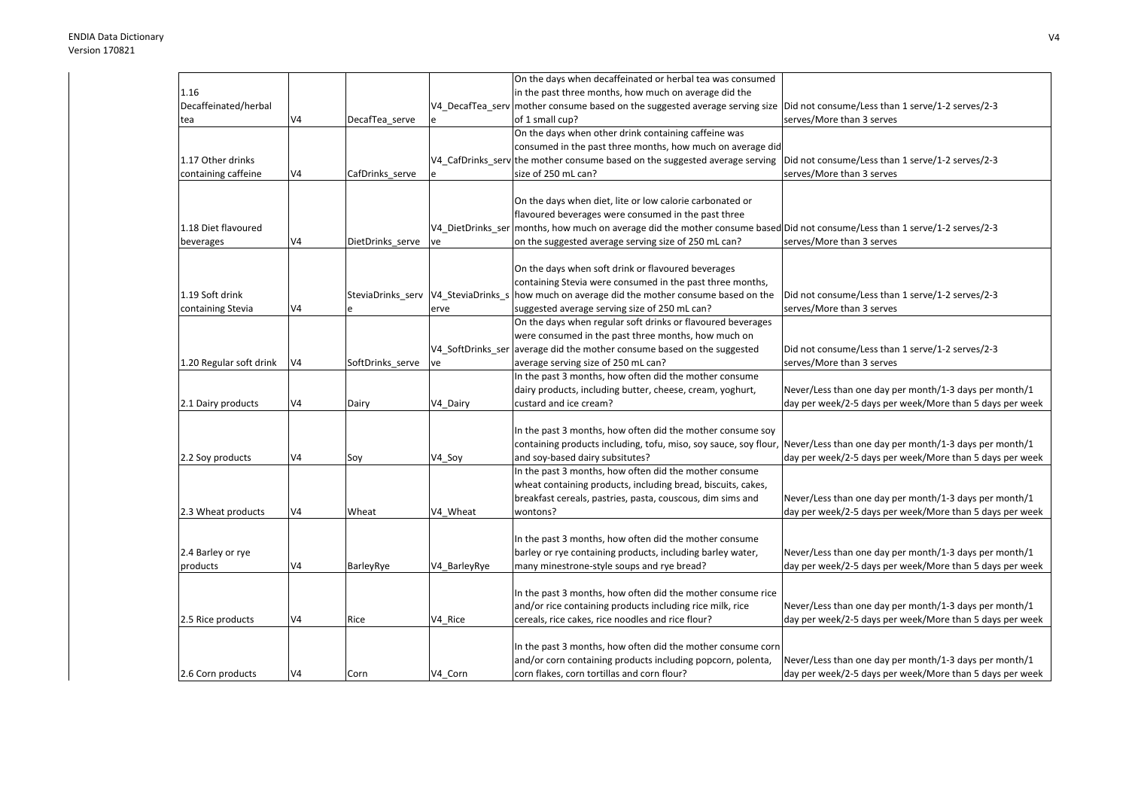|                         |                |                                     |              | On the days when decaffeinated or herbal tea was consumed                                                                   |                                                          |
|-------------------------|----------------|-------------------------------------|--------------|-----------------------------------------------------------------------------------------------------------------------------|----------------------------------------------------------|
| 1.16                    |                |                                     |              | in the past three months, how much on average did the                                                                       |                                                          |
| Decaffeinated/herbal    |                |                                     |              | V4_DecafTea_serv mother consume based on the suggested average serving size                                                 | Did not consume/Less than 1 serve/1-2 serves/2-3         |
| tea                     | V4             | DecafTea serve                      |              | of 1 small cup?                                                                                                             | serves/More than 3 serves                                |
|                         |                |                                     |              | On the days when other drink containing caffeine was                                                                        |                                                          |
|                         |                |                                     |              | consumed in the past three months, how much on average did                                                                  |                                                          |
| 1.17 Other drinks       |                |                                     |              | V4 CafDrinks serv the mother consume based on the suggested average serving                                                 | Did not consume/Less than 1 serve/1-2 serves/2-3         |
| containing caffeine     | V4             | CafDrinks_serve                     |              | size of 250 mL can?                                                                                                         | serves/More than 3 serves                                |
|                         |                |                                     |              |                                                                                                                             |                                                          |
|                         |                |                                     |              | On the days when diet, lite or low calorie carbonated or                                                                    |                                                          |
|                         |                |                                     |              | flavoured beverages were consumed in the past three                                                                         |                                                          |
| 1.18 Diet flavoured     |                |                                     |              | V4 DietDrinks ser months, how much on average did the mother consume based Did not consume/Less than 1 serve/1-2 serves/2-3 |                                                          |
| beverages               | V4             | DietDrinks_serve                    | ve           | on the suggested average serving size of 250 mL can?                                                                        | serves/More than 3 serves                                |
|                         |                |                                     |              |                                                                                                                             |                                                          |
|                         |                |                                     |              | On the days when soft drink or flavoured beverages                                                                          |                                                          |
|                         |                |                                     |              | containing Stevia were consumed in the past three months,                                                                   |                                                          |
| 1.19 Soft drink         |                | SteviaDrinks serv V4 SteviaDrinks s |              | how much on average did the mother consume based on the                                                                     | Did not consume/Less than 1 serve/1-2 serves/2-3         |
| containing Stevia       | V4             |                                     | erve         | suggested average serving size of 250 mL can?                                                                               | serves/More than 3 serves                                |
|                         |                |                                     |              | On the days when regular soft drinks or flavoured beverages                                                                 |                                                          |
|                         |                |                                     |              | were consumed in the past three months, how much on                                                                         |                                                          |
|                         |                |                                     |              | V4_SoftDrinks_ser average did the mother consume based on the suggested                                                     | Did not consume/Less than 1 serve/1-2 serves/2-3         |
| 1.20 Regular soft drink | V <sub>4</sub> | SoftDrinks serve                    | ve           | average serving size of 250 mL can?                                                                                         | serves/More than 3 serves                                |
|                         |                |                                     |              | In the past 3 months, how often did the mother consume                                                                      |                                                          |
|                         |                |                                     |              | dairy products, including butter, cheese, cream, yoghurt,                                                                   | Never/Less than one day per month/1-3 days per month/1   |
| 2.1 Dairy products      | V <sub>4</sub> | Dairy                               | V4 Dairy     | custard and ice cream?                                                                                                      | day per week/2-5 days per week/More than 5 days per week |
|                         |                |                                     |              |                                                                                                                             |                                                          |
|                         |                |                                     |              | In the past 3 months, how often did the mother consume soy                                                                  |                                                          |
|                         |                |                                     |              | containing products including, tofu, miso, soy sauce, soy flour,                                                            | Never/Less than one day per month/1-3 days per month/1   |
| 2.2 Soy products        | V4             | Soy                                 | V4 Soy       | and soy-based dairy subsitutes?                                                                                             | day per week/2-5 days per week/More than 5 days per week |
|                         |                |                                     |              | In the past 3 months, how often did the mother consume                                                                      |                                                          |
|                         |                |                                     |              | wheat containing products, including bread, biscuits, cakes,                                                                |                                                          |
|                         |                |                                     |              | breakfast cereals, pastries, pasta, couscous, dim sims and                                                                  | Never/Less than one day per month/1-3 days per month/1   |
| 2.3 Wheat products      | V4             | Wheat                               | V4 Wheat     | wontons?                                                                                                                    | day per week/2-5 days per week/More than 5 days per week |
|                         |                |                                     |              | In the past 3 months, how often did the mother consume                                                                      |                                                          |
| 2.4 Barley or rye       |                |                                     |              | barley or rye containing products, including barley water,                                                                  | Never/Less than one day per month/1-3 days per month/1   |
| products                | V4             | BarleyRye                           | V4 BarleyRye | many minestrone-style soups and rye bread?                                                                                  | day per week/2-5 days per week/More than 5 days per week |
|                         |                |                                     |              |                                                                                                                             |                                                          |
|                         |                |                                     |              | In the past 3 months, how often did the mother consume rice                                                                 |                                                          |
|                         |                |                                     |              | and/or rice containing products including rice milk, rice                                                                   | Never/Less than one day per month/1-3 days per month/1   |
| 2.5 Rice products       | V <sub>4</sub> | Rice                                | V4 Rice      | cereals, rice cakes, rice noodles and rice flour?                                                                           | day per week/2-5 days per week/More than 5 days per week |
|                         |                |                                     |              |                                                                                                                             |                                                          |
|                         |                |                                     |              | In the past 3 months, how often did the mother consume corn                                                                 |                                                          |
|                         |                |                                     |              | and/or corn containing products including popcorn, polenta,                                                                 | Never/Less than one day per month/1-3 days per month/1   |
| 2.6 Corn products       | V <sub>4</sub> | Corn                                | V4 Corn      | corn flakes, corn tortillas and corn flour?                                                                                 | day per week/2-5 days per week/More than 5 days per week |
|                         |                |                                     |              |                                                                                                                             |                                                          |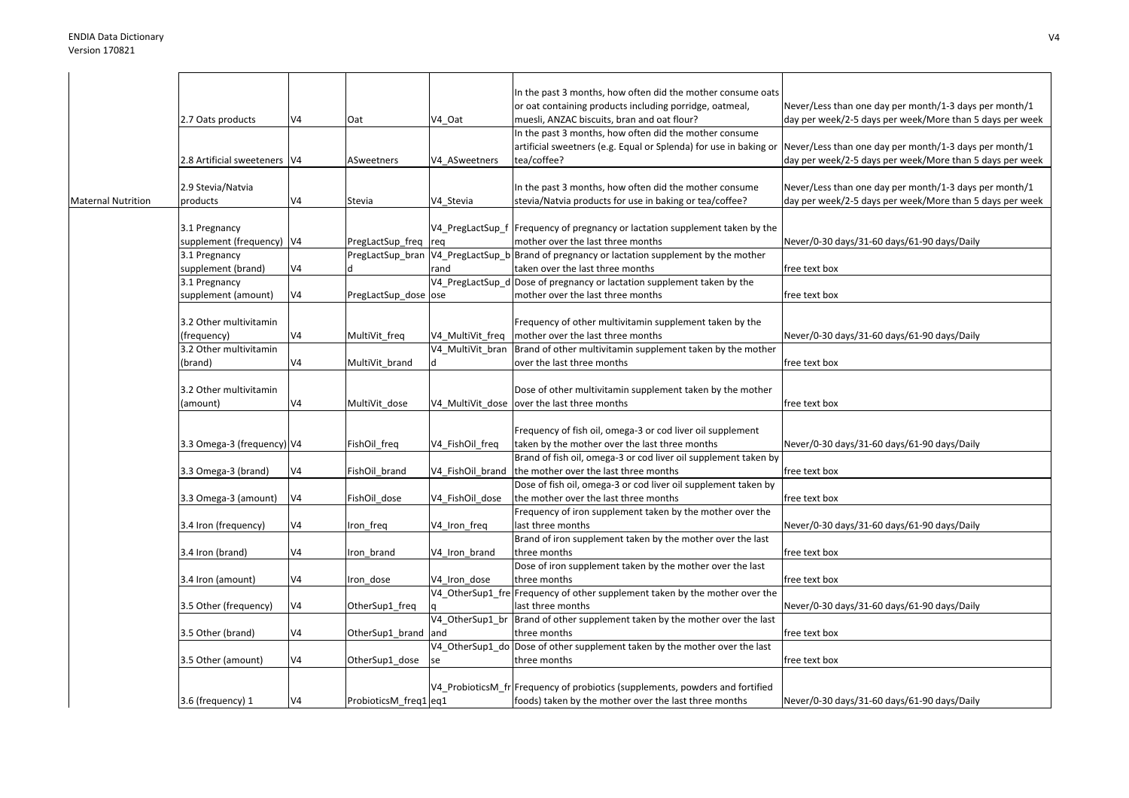|                           |                                |                |                       |                  | In the past 3 months, how often did the mother consume oats                                                       |                                                          |
|---------------------------|--------------------------------|----------------|-----------------------|------------------|-------------------------------------------------------------------------------------------------------------------|----------------------------------------------------------|
|                           |                                |                |                       |                  | or oat containing products including porridge, oatmeal,                                                           | Never/Less than one day per month/1-3 days per month/1   |
|                           | 2.7 Oats products              | V <sub>4</sub> | Oat                   | V4 Oat           | muesli, ANZAC biscuits, bran and oat flour?                                                                       | day per week/2-5 days per week/More than 5 days per week |
|                           |                                |                |                       |                  | In the past 3 months, how often did the mother consume                                                            |                                                          |
|                           |                                |                |                       |                  | artificial sweetners (e.g. Equal or Splenda) for use in baking or                                                 | Never/Less than one day per month/1-3 days per month/1   |
|                           | 2.8 Artificial sweeteners   V4 |                | ASweetners            | V4 ASweetners    | tea/coffee?                                                                                                       | day per week/2-5 days per week/More than 5 days per week |
|                           |                                |                |                       |                  |                                                                                                                   |                                                          |
|                           | 2.9 Stevia/Natvia              |                |                       |                  | In the past 3 months, how often did the mother consume                                                            | Never/Less than one day per month/1-3 days per month/1   |
| <b>Maternal Nutrition</b> | products                       | V4             | Stevia                | V4 Stevia        | stevia/Natvia products for use in baking or tea/coffee?                                                           | day per week/2-5 days per week/More than 5 days per week |
|                           |                                |                |                       |                  |                                                                                                                   |                                                          |
|                           | 3.1 Pregnancy                  |                |                       |                  | V4 PregLactSup f Frequency of pregnancy or lactation supplement taken by the                                      |                                                          |
|                           | supplement (frequency) V4      |                | PregLactSup_freq      | req              | mother over the last three months                                                                                 | Never/0-30 days/31-60 days/61-90 days/Daily              |
|                           | 3.1 Pregnancy                  |                | PregLactSup bran      |                  | V4_PregLactSup_b Brand of pregnancy or lactation supplement by the mother                                         |                                                          |
|                           | supplement (brand)             | V4             |                       | rand             | taken over the last three months                                                                                  | free text box                                            |
|                           | 3.1 Pregnancy                  |                |                       |                  | V4_PregLactSup_d Dose of pregnancy or lactation supplement taken by the                                           |                                                          |
|                           | supplement (amount)            | V <sub>4</sub> | PregLactSup dose ose  |                  | mother over the last three months                                                                                 | free text box                                            |
|                           |                                |                |                       |                  |                                                                                                                   |                                                          |
|                           | 3.2 Other multivitamin         |                |                       |                  | Frequency of other multivitamin supplement taken by the                                                           |                                                          |
|                           | (frequency)                    | V <sub>4</sub> | MultiVit_freq         | V4_MultiVit_freq | mother over the last three months                                                                                 | Never/0-30 days/31-60 days/61-90 days/Daily              |
|                           | 3.2 Other multivitamin         |                |                       | V4 MultiVit bran | Brand of other multivitamin supplement taken by the mother                                                        |                                                          |
|                           | (brand)                        | V <sub>4</sub> | MultiVit brand        |                  | over the last three months                                                                                        | free text box                                            |
|                           |                                |                |                       |                  |                                                                                                                   |                                                          |
|                           | 3.2 Other multivitamin         |                |                       |                  | Dose of other multivitamin supplement taken by the mother                                                         |                                                          |
|                           | (amount)                       | V4             | MultiVit_dose         |                  | V4 MultiVit dose over the last three months                                                                       | free text box                                            |
|                           |                                |                |                       |                  |                                                                                                                   |                                                          |
|                           |                                |                |                       |                  | Frequency of fish oil, omega-3 or cod liver oil supplement                                                        |                                                          |
|                           |                                |                |                       |                  |                                                                                                                   |                                                          |
|                           | 3.3 Omega-3 (frequency) V4     |                | FishOil_freq          | V4_FishOil_freq  | taken by the mother over the last three months<br>Brand of fish oil, omega-3 or cod liver oil supplement taken by | Never/0-30 days/31-60 days/61-90 days/Daily              |
|                           |                                |                |                       |                  |                                                                                                                   |                                                          |
|                           | 3.3 Omega-3 (brand)            | V4             | FishOil brand         | V4 FishOil brand | the mother over the last three months                                                                             | free text box                                            |
|                           |                                |                |                       |                  | Dose of fish oil, omega-3 or cod liver oil supplement taken by                                                    |                                                          |
|                           | 3.3 Omega-3 (amount)           | V <sub>4</sub> | FishOil dose          | V4 FishOil dose  | the mother over the last three months                                                                             | free text box                                            |
|                           |                                |                |                       |                  | Frequency of iron supplement taken by the mother over the                                                         |                                                          |
|                           | 3.4 Iron (frequency)           | V <sub>4</sub> | Iron freq             | V4_Iron_freq     | last three months                                                                                                 | Never/0-30 days/31-60 days/61-90 days/Daily              |
|                           |                                |                |                       |                  | Brand of iron supplement taken by the mother over the last                                                        |                                                          |
|                           | 3.4 Iron (brand)               | V4             | Iron_brand            | V4 Iron brand    | three months                                                                                                      | free text box                                            |
|                           |                                |                |                       |                  | Dose of iron supplement taken by the mother over the last                                                         |                                                          |
|                           | 3.4 Iron (amount)              | V4             | Iron dose             | V4 Iron dose     | three months                                                                                                      | free text box                                            |
|                           |                                |                |                       |                  | V4_OtherSup1_fre Frequency of other supplement taken by the mother over the                                       |                                                          |
|                           | 3.5 Other (frequency)          | V <sub>4</sub> | OtherSup1_freq        |                  | last three months                                                                                                 | Never/0-30 days/31-60 days/61-90 days/Daily              |
|                           |                                |                |                       |                  | V4_OtherSup1_br Brand of other supplement taken by the mother over the last                                       |                                                          |
|                           | 3.5 Other (brand)              | V4             | OtherSup1_brand       | and              | three months                                                                                                      | free text box                                            |
|                           |                                |                |                       |                  | V4_OtherSup1_do Dose of other supplement taken by the mother over the last                                        |                                                          |
|                           | 3.5 Other (amount)             | V4             | OtherSup1_dose        | se               | three months                                                                                                      | free text box                                            |
|                           |                                |                |                       |                  |                                                                                                                   |                                                          |
|                           |                                |                |                       |                  | V4 ProbioticsM fr Frequency of probiotics (supplements, powders and fortified                                     |                                                          |
|                           | 3.6 (frequency) 1              | V <sub>4</sub> | ProbioticsM freq1 eq1 |                  | foods) taken by the mother over the last three months                                                             | Never/0-30 days/31-60 days/61-90 days/Daily              |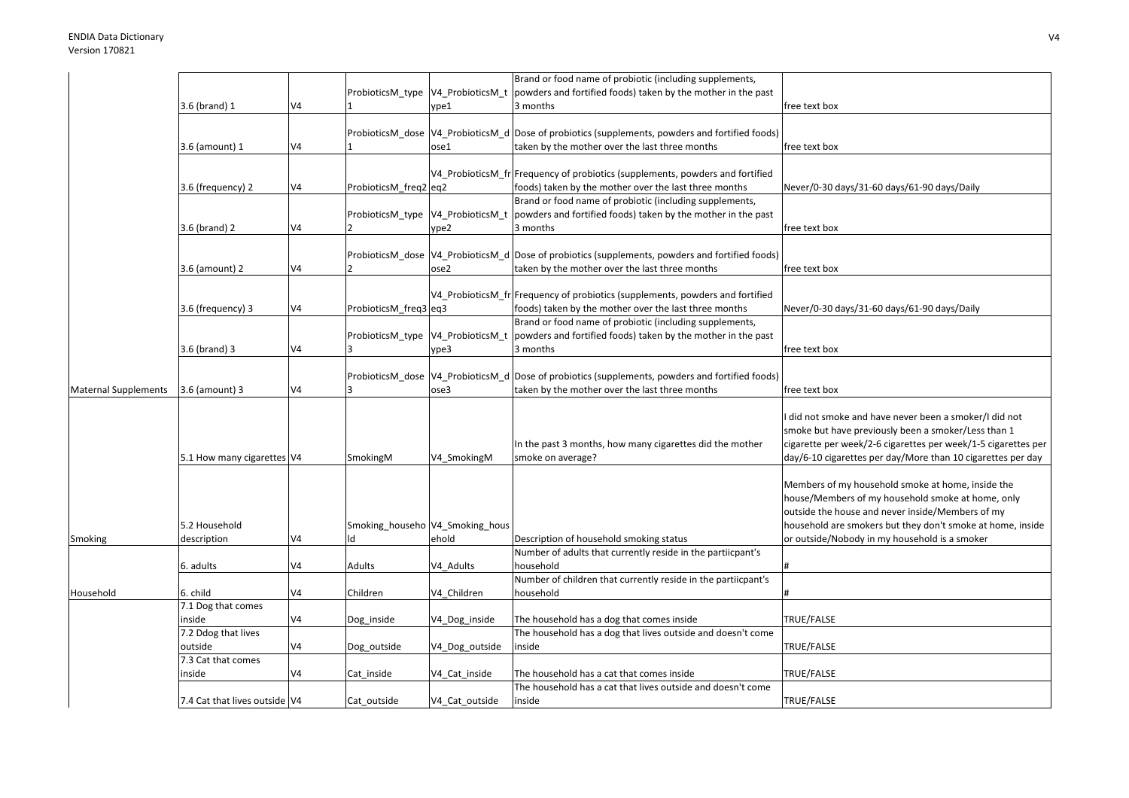|                             |                            |                |                                   |                                    | Brand or food name of probiotic (including supplements,                                           |                                                               |
|-----------------------------|----------------------------|----------------|-----------------------------------|------------------------------------|---------------------------------------------------------------------------------------------------|---------------------------------------------------------------|
|                             |                            |                | ProbioticsM_type V4_ProbioticsM_t |                                    | powders and fortified foods) taken by the mother in the past                                      |                                                               |
|                             | 3.6 (brand) 1              | V4             |                                   | ype1                               | 3 months                                                                                          | free text box                                                 |
|                             |                            |                |                                   |                                    |                                                                                                   |                                                               |
|                             |                            |                |                                   |                                    | ProbioticsM_dose  V4_ProbioticsM_d  Dose of probiotics (supplements, powders and fortified foods) |                                                               |
|                             | 3.6 (amount) 1             | V4             |                                   | ose1                               | taken by the mother over the last three months                                                    | free text box                                                 |
|                             |                            |                |                                   |                                    |                                                                                                   |                                                               |
|                             |                            |                |                                   |                                    | V4_ProbioticsM_fr Frequency of probiotics (supplements, powders and fortified                     |                                                               |
|                             | 3.6 (frequency) 2          | V4             | ProbioticsM freq2 eq2             |                                    | foods) taken by the mother over the last three months                                             | Never/0-30 days/31-60 days/61-90 days/Daily                   |
|                             |                            |                |                                   |                                    |                                                                                                   |                                                               |
|                             |                            |                |                                   |                                    | Brand or food name of probiotic (including supplements,                                           |                                                               |
|                             |                            |                |                                   |                                    | ProbioticsM_type  V4_ProbioticsM_t  powders and fortified foods) taken by the mother in the past  |                                                               |
|                             | 3.6 (brand) 2              | V4             |                                   | ype2                               | 3 months                                                                                          | free text box                                                 |
|                             |                            |                |                                   |                                    |                                                                                                   |                                                               |
|                             |                            |                |                                   |                                    | ProbioticsM_dose  V4_ProbioticsM_d  Dose of probiotics (supplements, powders and fortified foods) |                                                               |
|                             | 3.6 (amount) 2             | V <sub>4</sub> |                                   | ose2                               | taken by the mother over the last three months                                                    | free text box                                                 |
|                             |                            |                |                                   |                                    |                                                                                                   |                                                               |
|                             |                            |                |                                   |                                    | V4_ProbioticsM_fr Frequency of probiotics (supplements, powders and fortified                     |                                                               |
|                             | 3.6 (frequency) 3          | V4             | ProbioticsM_freq3 eq3             |                                    | foods) taken by the mother over the last three months                                             | Never/0-30 days/31-60 days/61-90 days/Daily                   |
|                             |                            |                |                                   |                                    | Brand or food name of probiotic (including supplements,                                           |                                                               |
|                             |                            |                |                                   | ProbioticsM_type  V4_ProbioticsM_t | powders and fortified foods) taken by the mother in the past                                      |                                                               |
|                             | 3.6 (brand) 3              | V4             |                                   | ype3                               | 3 months                                                                                          | free text box                                                 |
|                             |                            |                |                                   |                                    |                                                                                                   |                                                               |
|                             |                            |                |                                   |                                    | ProbioticsM dose V4 ProbioticsM d Dose of probiotics (supplements, powders and fortified foods)   |                                                               |
| <b>Maternal Supplements</b> | 3.6 (amount) 3             | V4             |                                   | ose3                               | taken by the mother over the last three months                                                    | free text box                                                 |
|                             |                            |                |                                   |                                    |                                                                                                   |                                                               |
|                             |                            |                |                                   |                                    |                                                                                                   | did not smoke and have never been a smoker/I did not          |
|                             |                            |                |                                   |                                    |                                                                                                   | smoke but have previously been a smoker/Less than 1           |
|                             |                            |                |                                   |                                    | In the past 3 months, how many cigarettes did the mother                                          | cigarette per week/2-6 cigarettes per week/1-5 cigarettes per |
|                             | 5.1 How many cigarettes V4 |                | SmokingM                          | V4 SmokingM                        | smoke on average?                                                                                 | day/6-10 cigarettes per day/More than 10 cigarettes per day   |
|                             |                            |                |                                   |                                    |                                                                                                   |                                                               |
|                             |                            |                |                                   |                                    |                                                                                                   | Members of my household smoke at home, inside the             |
|                             |                            |                |                                   |                                    |                                                                                                   | house/Members of my household smoke at home, only             |
|                             |                            |                |                                   |                                    |                                                                                                   | outside the house and never inside/Members of my              |
|                             | 5.2 Household              |                | Smoking_househo V4_Smoking_hous   |                                    |                                                                                                   | household are smokers but they don't smoke at home, inside    |
| Smoking                     | description                | V4             |                                   | ehold                              | Description of household smoking status                                                           | or outside/Nobody in my household is a smoker                 |
|                             |                            |                |                                   |                                    | Number of adults that currently reside in the partiicpant's                                       |                                                               |
|                             |                            | V4             | Adults                            | V4 Adults                          | household                                                                                         |                                                               |
|                             | 6. adults                  |                |                                   |                                    | Number of children that currently reside in the partiicpant's                                     |                                                               |
|                             |                            |                |                                   |                                    |                                                                                                   |                                                               |
| Household                   | 6. child                   | V4             | Children                          | V4 Children                        | household                                                                                         |                                                               |
|                             | 7.1 Dog that comes         |                |                                   |                                    |                                                                                                   |                                                               |
|                             | inside                     | V <sub>4</sub> | Dog_inside                        | V4_Dog_inside                      | The household has a dog that comes inside                                                         | TRUE/FALSE                                                    |
|                             | 7.2 Ddog that lives        |                |                                   |                                    | The household has a dog that lives outside and doesn't come                                       |                                                               |
|                             |                            |                |                                   |                                    |                                                                                                   |                                                               |
|                             | outside                    | V4             | Dog_outside                       | V4_Dog_outside                     | inside                                                                                            | TRUE/FALSE                                                    |
|                             | 7.3 Cat that comes         |                |                                   |                                    |                                                                                                   |                                                               |
|                             | inside                     | V4             | Cat inside                        | V4_Cat_inside                      | The household has a cat that comes inside                                                         | TRUE/FALSE                                                    |
|                             |                            |                |                                   |                                    | The household has a cat that lives outside and doesn't come<br>inside                             | TRUE/FALSE                                                    |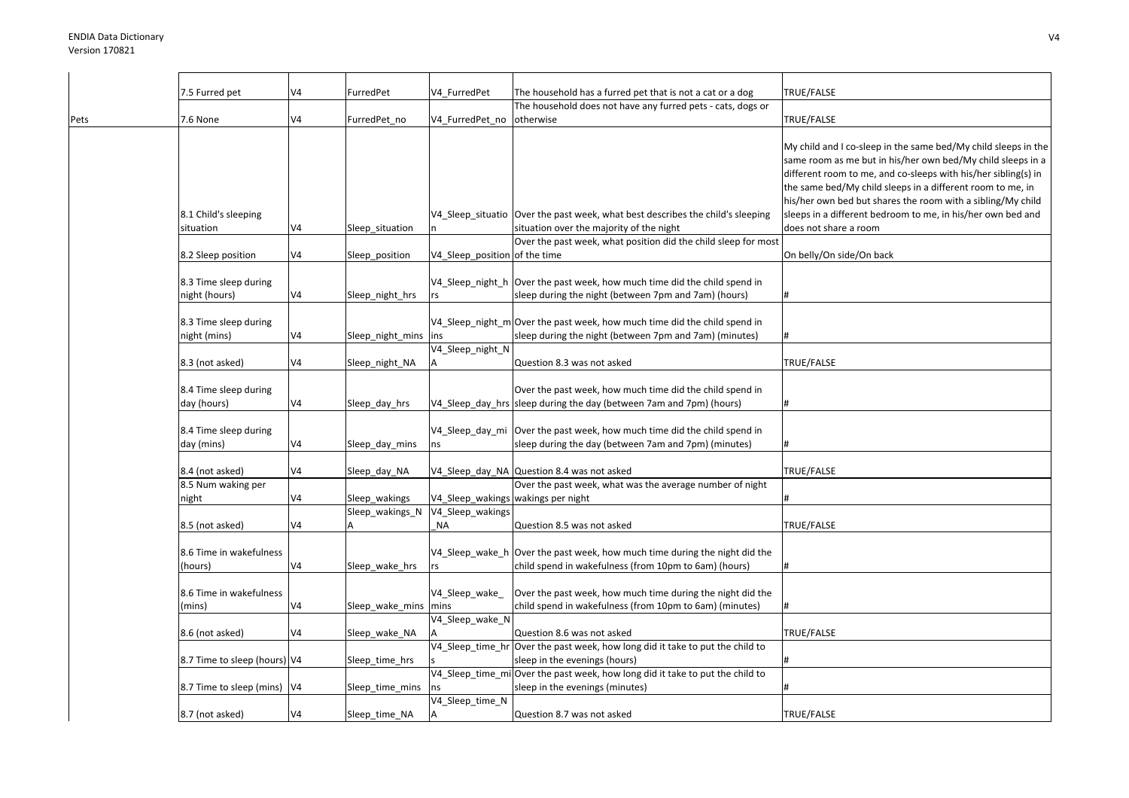|      | 7.5 Furred pet                         | V4             | FurredPet        | V4 FurredPet                       | The household has a furred pet that is not a cat or a dog                                                                           | TRUE/FALSE                                                                                                                                                                                                                                                                                                                   |
|------|----------------------------------------|----------------|------------------|------------------------------------|-------------------------------------------------------------------------------------------------------------------------------------|------------------------------------------------------------------------------------------------------------------------------------------------------------------------------------------------------------------------------------------------------------------------------------------------------------------------------|
|      |                                        |                |                  |                                    | The household does not have any furred pets - cats, dogs or                                                                         |                                                                                                                                                                                                                                                                                                                              |
| Pets | 7.6 None                               | V4             | FurredPet_no     | V4 FurredPet no                    | otherwise                                                                                                                           | TRUE/FALSE                                                                                                                                                                                                                                                                                                                   |
|      |                                        |                |                  |                                    |                                                                                                                                     | My child and I co-sleep in the same bed/My child sleeps in the<br>same room as me but in his/her own bed/My child sleeps in a<br>different room to me, and co-sleeps with his/her sibling(s) in<br>the same bed/My child sleeps in a different room to me, in<br>his/her own bed but shares the room with a sibling/My child |
|      | 8.1 Child's sleeping                   |                |                  |                                    | V4 Sleep situatio Over the past week, what best describes the child's sleeping                                                      | sleeps in a different bedroom to me, in his/her own bed and                                                                                                                                                                                                                                                                  |
|      | situation                              | V4             | Sleep_situation  |                                    | situation over the majority of the night                                                                                            | does not share a room                                                                                                                                                                                                                                                                                                        |
|      |                                        |                |                  |                                    | Over the past week, what position did the child sleep for most                                                                      |                                                                                                                                                                                                                                                                                                                              |
|      | 8.2 Sleep position                     | V4             | Sleep_position   | V4_Sleep_position of the time      |                                                                                                                                     | On belly/On side/On back                                                                                                                                                                                                                                                                                                     |
|      | 8.3 Time sleep during<br>night (hours) | V <sub>4</sub> | Sleep_night_hrs  | rs                                 | V4 Sleep night h Over the past week, how much time did the child spend in<br>sleep during the night (between 7pm and 7am) (hours)   | #                                                                                                                                                                                                                                                                                                                            |
|      | 8.3 Time sleep during                  |                |                  |                                    | V4_Sleep_night_m Over the past week, how much time did the child spend in                                                           |                                                                                                                                                                                                                                                                                                                              |
|      | night (mins)                           | V4             | Sleep_night_mins | ins                                | sleep during the night (between 7pm and 7am) (minutes)                                                                              |                                                                                                                                                                                                                                                                                                                              |
|      |                                        |                |                  | V4_Sleep_night_N                   |                                                                                                                                     |                                                                                                                                                                                                                                                                                                                              |
|      | 8.3 (not asked)                        | V4             |                  |                                    | Question 8.3 was not asked                                                                                                          | TRUE/FALSE                                                                                                                                                                                                                                                                                                                   |
|      |                                        |                | Sleep_night_NA   |                                    |                                                                                                                                     |                                                                                                                                                                                                                                                                                                                              |
|      | 8.4 Time sleep during<br>day (hours)   | V <sub>4</sub> | Sleep_day_hrs    |                                    | Over the past week, how much time did the child spend in<br>V4_Sleep_day_hrs sleep during the day (between 7am and 7pm) (hours)     |                                                                                                                                                                                                                                                                                                                              |
|      | 8.4 Time sleep during<br>day (mins)    | V4             | Sleep_day_mins   | ns                                 | V4_Sleep_day_mi   Over the past week, how much time did the child spend in<br>sleep during the day (between 7am and 7pm) (minutes)  |                                                                                                                                                                                                                                                                                                                              |
|      |                                        |                |                  |                                    |                                                                                                                                     |                                                                                                                                                                                                                                                                                                                              |
|      | 8.4 (not asked)                        | V <sub>4</sub> | Sleep_day_NA     |                                    | V4_Sleep_day_NA Question 8.4 was not asked                                                                                          | TRUE/FALSE                                                                                                                                                                                                                                                                                                                   |
|      | 8.5 Num waking per                     |                |                  |                                    | Over the past week, what was the average number of night                                                                            |                                                                                                                                                                                                                                                                                                                              |
|      | night                                  | V <sub>4</sub> | Sleep wakings    | V4_Sleep_wakings wakings per night |                                                                                                                                     |                                                                                                                                                                                                                                                                                                                              |
|      |                                        |                | Sleep_wakings_N  | V4 Sleep wakings                   |                                                                                                                                     |                                                                                                                                                                                                                                                                                                                              |
|      | 8.5 (not asked)                        | V4             |                  | NA                                 | Question 8.5 was not asked                                                                                                          | TRUE/FALSE                                                                                                                                                                                                                                                                                                                   |
|      | 8.6 Time in wakefulness<br>(hours)     | V4             | Sleep_wake_hrs   |                                    | V4_Sleep_wake_h Over the past week, how much time during the night did the<br>child spend in wakefulness (from 10pm to 6am) (hours) |                                                                                                                                                                                                                                                                                                                              |
|      | 8.6 Time in wakefulness                |                |                  | V4_Sleep_wake_                     | Over the past week, how much time during the night did the                                                                          |                                                                                                                                                                                                                                                                                                                              |
|      | (mins)                                 | V4             | Sleep_wake_mins  | mins                               | child spend in wakefulness (from 10pm to 6am) (minutes)                                                                             |                                                                                                                                                                                                                                                                                                                              |
|      |                                        |                |                  | V4_Sleep_wake_N                    |                                                                                                                                     |                                                                                                                                                                                                                                                                                                                              |
|      | 8.6 (not asked)                        | V4             | Sleep_wake_NA    |                                    | Question 8.6 was not asked                                                                                                          | TRUE/FALSE                                                                                                                                                                                                                                                                                                                   |
|      |                                        |                |                  |                                    | V4_Sleep_time_hr Over the past week, how long did it take to put the child to                                                       |                                                                                                                                                                                                                                                                                                                              |
|      | 8.7 Time to sleep (hours) V4           |                | Sleep_time_hrs   |                                    | sleep in the evenings (hours)                                                                                                       |                                                                                                                                                                                                                                                                                                                              |
|      |                                        |                |                  |                                    | V4_Sleep_time_mi Over the past week, how long did it take to put the child to                                                       |                                                                                                                                                                                                                                                                                                                              |
|      | 8.7 Time to sleep (mins)   V4          |                | Sleep_time_mins  |                                    | sleep in the evenings (minutes)                                                                                                     |                                                                                                                                                                                                                                                                                                                              |
|      |                                        |                |                  | V4_Sleep_time_N                    |                                                                                                                                     |                                                                                                                                                                                                                                                                                                                              |
|      | 8.7 (not asked)                        | V4             | Sleep time NA    |                                    | Question 8.7 was not asked                                                                                                          | TRUE/FALSE                                                                                                                                                                                                                                                                                                                   |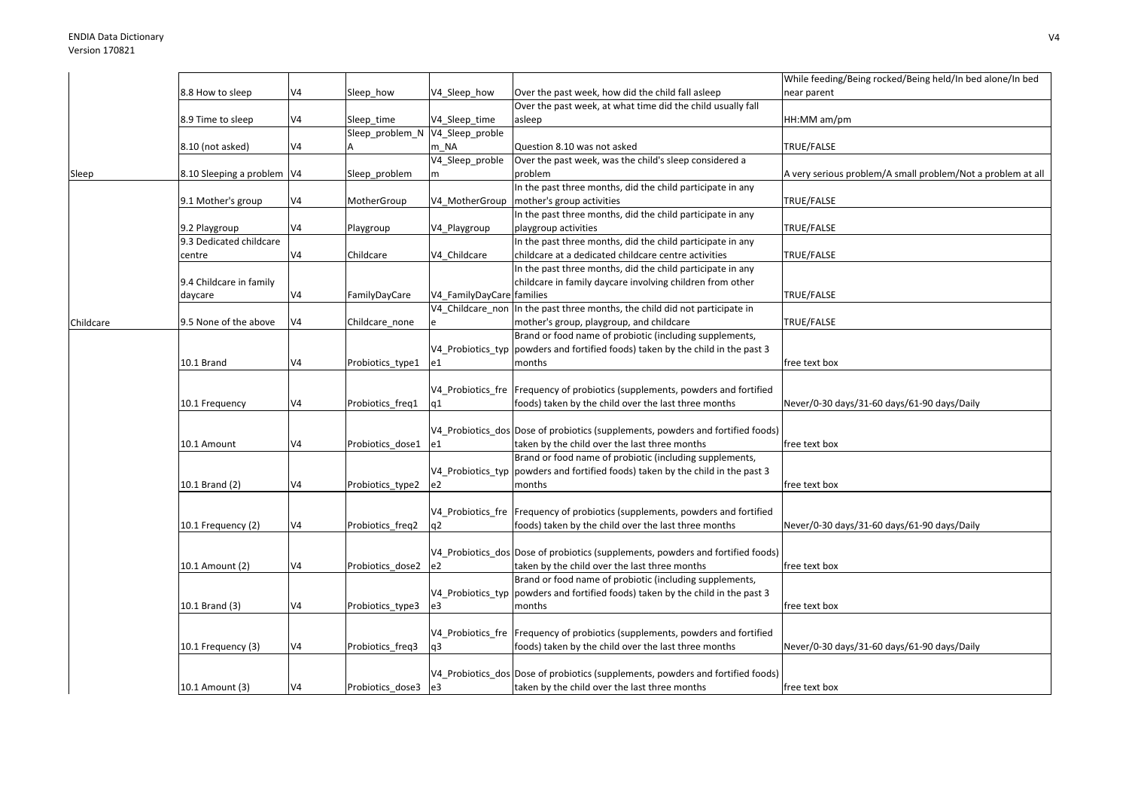|           |                              |                |                  |                           |                                                                                  | While feeding/Being rocked/Being held/In bed alone/In bed   |
|-----------|------------------------------|----------------|------------------|---------------------------|----------------------------------------------------------------------------------|-------------------------------------------------------------|
|           | 8.8 How to sleep             | V4             | Sleep how        | V4_Sleep_how              | Over the past week, how did the child fall asleep                                | near parent                                                 |
|           |                              |                |                  |                           | Over the past week, at what time did the child usually fall                      |                                                             |
|           | 8.9 Time to sleep            | V4             | Sleep time       | V4 Sleep time             | asleep                                                                           | HH:MM am/pm                                                 |
|           |                              |                | Sleep problem N  | V4 Sleep proble           |                                                                                  |                                                             |
|           | 8.10 (not asked)             | V4             |                  | m NA                      | Question 8.10 was not asked                                                      | TRUE/FALSE                                                  |
|           |                              |                |                  | V4 Sleep proble           | Over the past week, was the child's sleep considered a                           |                                                             |
| Sleep     | 8.10 Sleeping a problem   V4 |                | Sleep_problem    | m                         | problem                                                                          | A very serious problem/A small problem/Not a problem at all |
|           |                              |                |                  |                           | In the past three months, did the child participate in any                       |                                                             |
|           | 9.1 Mother's group           | V4             | MotherGroup      | V4 MotherGroup            | mother's group activities                                                        | TRUE/FALSE                                                  |
|           |                              |                |                  |                           | In the past three months, did the child participate in any                       |                                                             |
|           | 9.2 Playgroup                | V4             | Playgroup        | V4_Playgroup              | playgroup activities                                                             | TRUE/FALSE                                                  |
|           | 9.3 Dedicated childcare      |                |                  |                           | In the past three months, did the child participate in any                       |                                                             |
|           | centre                       | V4             | Childcare        | V4 Childcare              | childcare at a dedicated childcare centre activities                             | TRUE/FALSE                                                  |
|           |                              |                |                  |                           | In the past three months, did the child participate in any                       |                                                             |
|           | 9.4 Childcare in family      |                |                  |                           | childcare in family daycare involving children from other                        |                                                             |
|           | daycare                      | V4             | FamilyDayCare    | V4_FamilyDayCare families |                                                                                  | TRUE/FALSE                                                  |
|           |                              |                |                  |                           | V4_Childcare_non In the past three months, the child did not participate in      |                                                             |
| Childcare | 9.5 None of the above        | V4             | Childcare_none   |                           | mother's group, playgroup, and childcare                                         | TRUE/FALSE                                                  |
|           |                              |                |                  |                           | Brand or food name of probiotic (including supplements,                          |                                                             |
|           |                              |                |                  |                           | V4 Probiotics typ powders and fortified foods) taken by the child in the past 3  |                                                             |
|           | 10.1 Brand                   | V4             | Probiotics_type1 | e1                        | months                                                                           | free text box                                               |
|           |                              |                |                  |                           |                                                                                  |                                                             |
|           |                              |                |                  |                           | V4 Probiotics fre Frequency of probiotics (supplements, powders and fortified    |                                                             |
|           | 10.1 Frequency               | V4             | Probiotics freq1 | q1                        | foods) taken by the child over the last three months                             | Never/0-30 days/31-60 days/61-90 days/Daily                 |
|           |                              |                |                  |                           |                                                                                  |                                                             |
|           |                              |                |                  |                           | V4 Probiotics dos Dose of probiotics (supplements, powders and fortified foods)  |                                                             |
|           | 10.1 Amount                  | V4             | Probiotics dose1 | e1                        | taken by the child over the last three months                                    | free text box                                               |
|           |                              |                |                  |                           | Brand or food name of probiotic (including supplements,                          |                                                             |
|           |                              |                |                  |                           | V4 Probiotics typ powders and fortified foods) taken by the child in the past 3  |                                                             |
|           | 10.1 Brand (2)               | V4             | Probiotics_type2 | e2                        | months                                                                           | free text box                                               |
|           |                              |                |                  |                           |                                                                                  |                                                             |
|           |                              |                |                  |                           | V4 Probiotics fre Frequency of probiotics (supplements, powders and fortified    |                                                             |
|           | 10.1 Frequency (2)           | V4             | Probiotics_freq2 | q2                        | foods) taken by the child over the last three months                             | Never/0-30 days/31-60 days/61-90 days/Daily                 |
|           |                              |                |                  |                           |                                                                                  |                                                             |
|           |                              |                |                  |                           | V4 Probiotics dos Dose of probiotics (supplements, powders and fortified foods)  |                                                             |
|           |                              | V4             |                  |                           |                                                                                  |                                                             |
|           | 10.1 Amount (2)              |                | Probiotics_dose2 | e2                        | taken by the child over the last three months                                    | free text box                                               |
|           |                              |                |                  |                           | Brand or food name of probiotic (including supplements,                          |                                                             |
|           |                              |                |                  |                           | V4_Probiotics_typ  powders and fortified foods) taken by the child in the past 3 |                                                             |
|           | 10.1 Brand (3)               | V4             | Probiotics_type3 | e3                        | months                                                                           | free text box                                               |
|           |                              |                |                  |                           |                                                                                  |                                                             |
|           |                              |                |                  |                           | V4 Probiotics fre Frequency of probiotics (supplements, powders and fortified    |                                                             |
|           | 10.1 Frequency (3)           | V4             | Probiotics freq3 | q3                        | foods) taken by the child over the last three months                             | Never/0-30 days/31-60 days/61-90 days/Daily                 |
|           |                              |                |                  |                           |                                                                                  |                                                             |
|           |                              |                |                  |                           | V4 Probiotics dos Dose of probiotics (supplements, powders and fortified foods)  |                                                             |
|           | 10.1 Amount (3)              | V <sub>4</sub> | Probiotics dose3 | e <sub>3</sub>            | taken by the child over the last three months                                    | free text box                                               |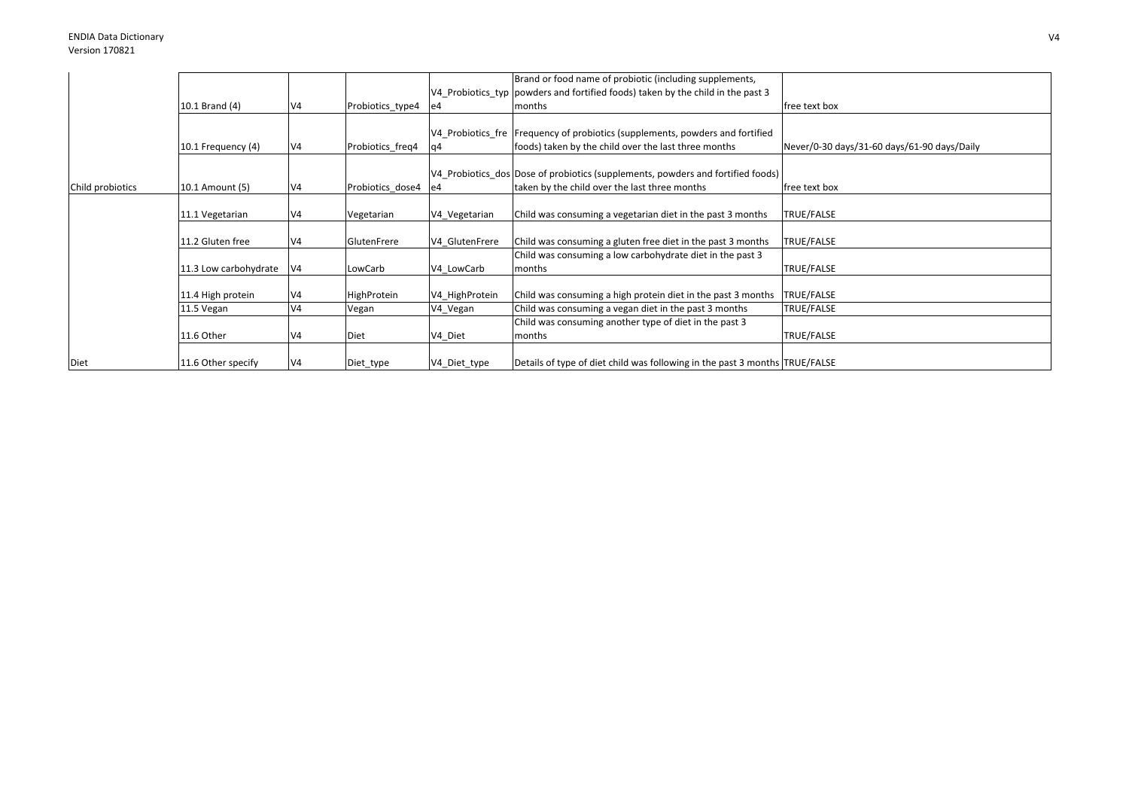|                  |                       |                |                  |                | Brand or food name of probiotic (including supplements,                         |                                             |
|------------------|-----------------------|----------------|------------------|----------------|---------------------------------------------------------------------------------|---------------------------------------------|
|                  |                       |                |                  |                | V4 Probiotics typ powders and fortified foods) taken by the child in the past 3 |                                             |
|                  | 10.1 Brand (4)        | V <sub>4</sub> | Probiotics_type4 | le4            | months                                                                          | free text box                               |
|                  |                       |                |                  |                |                                                                                 |                                             |
|                  |                       |                |                  |                | V4_Probiotics_fre   Frequency of probiotics (supplements, powders and fortified |                                             |
|                  | 10.1 Frequency (4)    | V <sub>4</sub> | Probiotics_freq4 | q4             | foods) taken by the child over the last three months                            | Never/0-30 days/31-60 days/61-90 days/Daily |
|                  |                       |                |                  |                |                                                                                 |                                             |
|                  |                       |                |                  |                | V4_Probiotics_dos Dose of probiotics (supplements, powders and fortified foods) |                                             |
| Child probiotics | 10.1 Amount (5)       | V <sub>4</sub> | Probiotics dose4 | e4             | taken by the child over the last three months                                   | free text box                               |
|                  |                       |                |                  |                |                                                                                 |                                             |
|                  | 11.1 Vegetarian       | V <sub>4</sub> | Vegetarian       | V4_Vegetarian  | Child was consuming a vegetarian diet in the past 3 months                      | TRUE/FALSE                                  |
|                  |                       |                |                  |                |                                                                                 |                                             |
|                  | 11.2 Gluten free      | V <sub>4</sub> | GlutenFrere      | V4 GlutenFrere | Child was consuming a gluten free diet in the past 3 months                     | TRUE/FALSE                                  |
|                  |                       |                |                  |                | Child was consuming a low carbohydrate diet in the past 3                       |                                             |
|                  | 11.3 Low carbohydrate | $\mathsf{N}4$  | LowCarb          | V4 LowCarb     | months                                                                          | TRUE/FALSE                                  |
|                  |                       |                |                  |                |                                                                                 |                                             |
|                  | 11.4 High protein     | V <sub>4</sub> | HighProtein      | V4 HighProtein | Child was consuming a high protein diet in the past 3 months                    | TRUE/FALSE                                  |
|                  | 11.5 Vegan            | V <sub>4</sub> | Vegan            | V4_Vegan       | Child was consuming a vegan diet in the past 3 months                           | TRUE/FALSE                                  |
|                  |                       |                |                  |                | Child was consuming another type of diet in the past 3                          |                                             |
|                  | 11.6 Other            | $\mathsf{N}4$  | Diet             | V4 Diet        | months                                                                          | TRUE/FALSE                                  |
|                  |                       |                |                  |                |                                                                                 |                                             |
| Diet             | 11.6 Other specify    | V <sub>4</sub> | Diet_type        | V4_Diet_type   | Details of type of diet child was following in the past 3 months TRUE/FALSE     |                                             |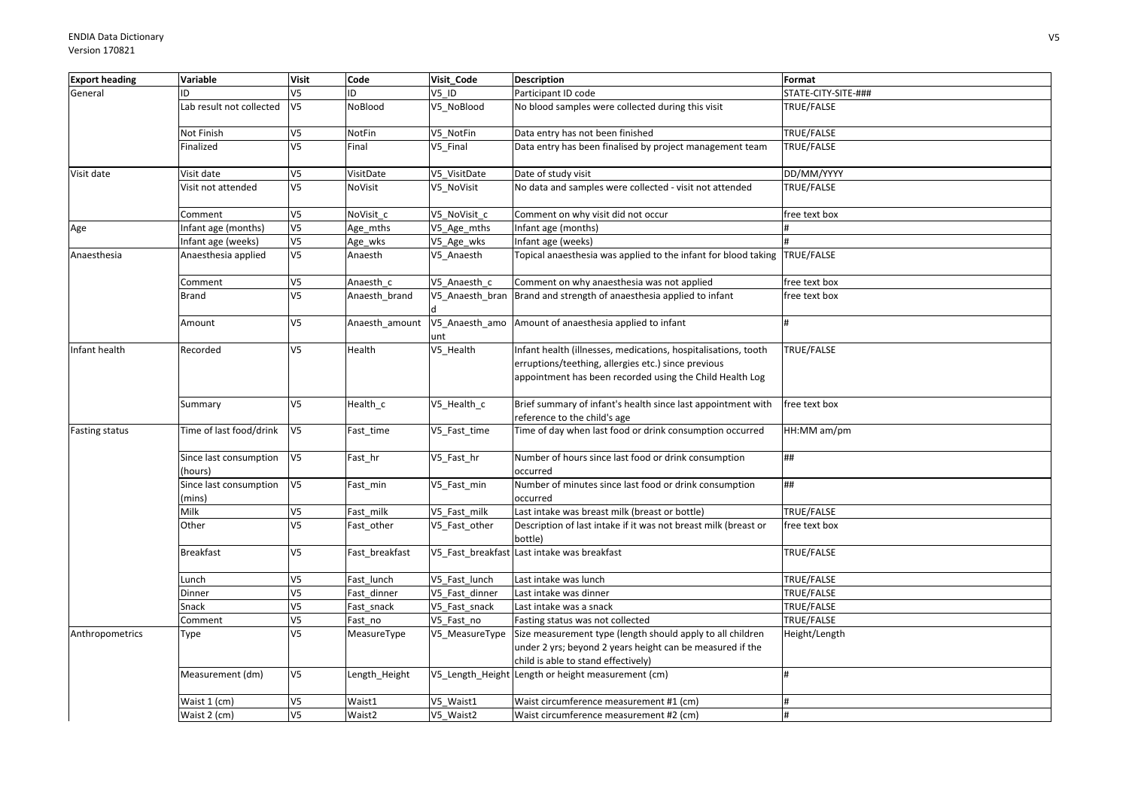| <b>Export heading</b> | Variable                          | <b>Visit</b>   | Code           | Visit Code            | <b>Description</b>                                                                                                                                                                | Format              |
|-----------------------|-----------------------------------|----------------|----------------|-----------------------|-----------------------------------------------------------------------------------------------------------------------------------------------------------------------------------|---------------------|
| General               | ID                                | V <sub>5</sub> | ID.            | V5 ID                 | Participant ID code                                                                                                                                                               | STATE-CITY-SITE-### |
|                       | Lab result not collected          | V <sub>5</sub> | NoBlood        | V5 NoBlood            | No blood samples were collected during this visit                                                                                                                                 | TRUE/FALSE          |
|                       | Not Finish                        | V <sub>5</sub> | NotFin         | V5 NotFin             | Data entry has not been finished                                                                                                                                                  | TRUE/FALSE          |
|                       | Finalized                         | V <sub>5</sub> | Final          | V5 Final              | Data entry has been finalised by project management team                                                                                                                          | TRUE/FALSE          |
| Visit date            | Visit date                        | V <sub>5</sub> | VisitDate      | V5_VisitDate          | Date of study visit                                                                                                                                                               | DD/MM/YYYY          |
|                       | Visit not attended                | V5             | NoVisit        | V5_NoVisit            | No data and samples were collected - visit not attended                                                                                                                           | TRUE/FALSE          |
|                       | Comment                           | V <sub>5</sub> | NoVisit c      | V5 NoVisit c          | Comment on why visit did not occur                                                                                                                                                | free text box       |
| Age                   | Infant age (months)               | V <sub>5</sub> | Age_mths       | V5_Age_mths           | Infant age (months)                                                                                                                                                               |                     |
|                       | Infant age (weeks)                | V <sub>5</sub> | Age_wks        | V5_Age_wks            | Infant age (weeks)                                                                                                                                                                |                     |
| Anaesthesia           | Anaesthesia applied               | V <sub>5</sub> | Anaesth        | V5_Anaesth            | Topical anaesthesia was applied to the infant for blood taking TRUE/FALSE                                                                                                         |                     |
|                       | Comment                           | V <sub>5</sub> | Anaesth c      | V5 Anaesth c          | Comment on why anaesthesia was not applied                                                                                                                                        | free text box       |
|                       | <b>Brand</b>                      | V <sub>5</sub> | Anaesth_brand  | V5_Anaesth_bran       | Brand and strength of anaesthesia applied to infant                                                                                                                               | free text box       |
|                       | Amount                            | V5             | Anaesth_amount | V5_Anaesth_amo<br>unt | Amount of anaesthesia applied to infant                                                                                                                                           |                     |
| Infant health         | Recorded                          | V <sub>5</sub> | Health         | V5_Health             | Infant health (illnesses, medications, hospitalisations, tooth<br>erruptions/teething, allergies etc.) since previous<br>appointment has been recorded using the Child Health Log | TRUE/FALSE          |
|                       | Summary                           | V <sub>5</sub> | Health_c       | V5_Health_c           | Brief summary of infant's health since last appointment with<br>reference to the child's age                                                                                      | free text box       |
| <b>Fasting status</b> | Time of last food/drink           | V <sub>5</sub> | Fast_time      | V5_Fast_time          | Time of day when last food or drink consumption occurred                                                                                                                          | HH:MM am/pm         |
|                       | Since last consumption<br>(hours) | V <sub>5</sub> | Fast_hr        | V5_Fast_hr            | Number of hours since last food or drink consumption<br>occurred                                                                                                                  | ##                  |
|                       | Since last consumption<br>(mins)  | V <sub>5</sub> | Fast_min       | V5_Fast_min           | Number of minutes since last food or drink consumption<br>occurred                                                                                                                | ##                  |
|                       | Milk                              | V <sub>5</sub> | Fast_milk      | V5 Fast milk          | Last intake was breast milk (breast or bottle)                                                                                                                                    | TRUE/FALSE          |
|                       | Other                             | V <sub>5</sub> | Fast_other     | V5_Fast_other         | Description of last intake if it was not breast milk (breast or<br>bottle)                                                                                                        | free text box       |
|                       | <b>Breakfast</b>                  | V <sub>5</sub> | Fast breakfast |                       | V5 Fast breakfast Last intake was breakfast                                                                                                                                       | TRUE/FALSE          |
|                       | Lunch                             | V <sub>5</sub> | Fast lunch     | V5 Fast lunch         | Last intake was lunch                                                                                                                                                             | TRUE/FALSE          |
|                       | Dinner                            | V <sub>5</sub> | Fast dinner    | V5 Fast dinner        | Last intake was dinner                                                                                                                                                            | TRUE/FALSE          |
|                       | Snack                             | V <sub>5</sub> | Fast_snack     | V5_Fast_snack         | Last intake was a snack                                                                                                                                                           | TRUE/FALSE          |
|                       | Comment                           | V <sub>5</sub> | Fast_no        | V5 Fast no            | Fasting status was not collected                                                                                                                                                  | TRUE/FALSE          |
| Anthropometrics       | Type                              | V <sub>5</sub> | MeasureType    | V5 MeasureType        | Size measurement type (length should apply to all children<br>under 2 yrs; beyond 2 years height can be measured if the<br>child is able to stand effectively)                    | Height/Length       |
|                       | Measurement (dm)                  | V5             | Length_Height  |                       | V5_Length_Height Length or height measurement (cm)                                                                                                                                | H                   |
|                       | Waist 1 (cm)                      | V5             | Waist1         | V5 Waist1             | Waist circumference measurement #1 (cm)                                                                                                                                           | #                   |
|                       | Waist 2 (cm)                      | V <sub>5</sub> | Waist2         | V5 Waist2             | Waist circumference measurement #2 (cm)                                                                                                                                           |                     |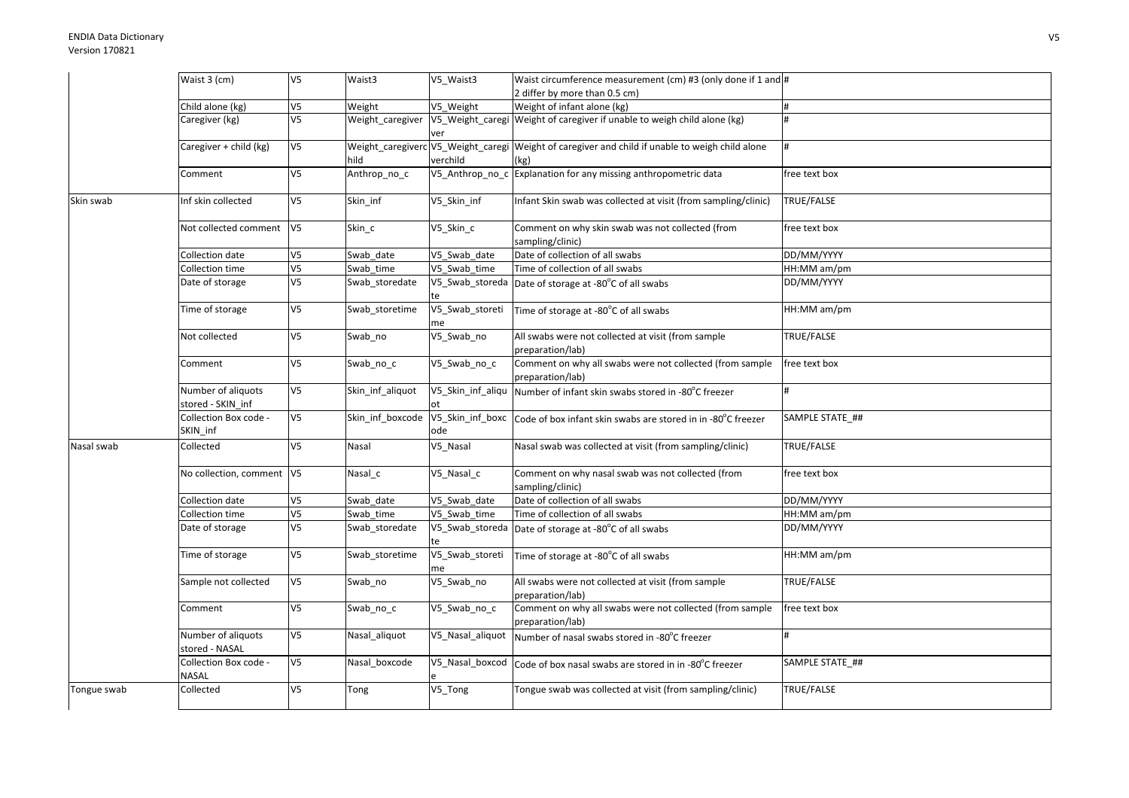|             | Waist 3 (cm)                            | V <sub>5</sub>           | Waist3           | V5 Waist3               | Waist circumference measurement (cm) #3 (only done if 1 and #                                           |                 |
|-------------|-----------------------------------------|--------------------------|------------------|-------------------------|---------------------------------------------------------------------------------------------------------|-----------------|
|             |                                         |                          |                  |                         | 2 differ by more than 0.5 cm)                                                                           |                 |
|             | Child alone (kg)                        | V <sub>5</sub>           | Weight           | V5 Weight               | Weight of infant alone (kg)                                                                             | #               |
|             | Caregiver (kg)                          | V5                       | Weight_caregiver | ver                     | V5_Weight_caregi Weight of caregiver if unable to weigh child alone (kg)                                |                 |
|             | Caregiver + child (kg)                  | V <sub>5</sub>           | hild             | verchild                | Weight_caregiverc V5_Weight_caregi Weight of caregiver and child if unable to weigh child alone<br>(kg) |                 |
|             | Comment                                 | V <sub>5</sub>           | Anthrop_no_c     |                         | V5_Anthrop_no_c Explanation for any missing anthropometric data                                         | free text box   |
| Skin swab   | Inf skin collected                      | V <sub>5</sub>           | Skin_inf         | V5_Skin_inf             | Infant Skin swab was collected at visit (from sampling/clinic)                                          | TRUE/FALSE      |
|             | Not collected comment V5                |                          | Skin_c           | V5_Skin_c               | Comment on why skin swab was not collected (from<br>sampling/clinic)                                    | free text box   |
|             | Collection date                         | V <sub>5</sub>           | Swab date        | V5_Swab_date            | Date of collection of all swabs                                                                         | DD/MM/YYYY      |
|             | Collection time                         | V <sub>5</sub>           | Swab time        | V5 Swab time            | Time of collection of all swabs                                                                         | HH:MM am/pm     |
|             | Date of storage                         | V <sub>5</sub>           | Swab_storedate   | V5_Swab_storeda         | Date of storage at -80°C of all swabs                                                                   | DD/MM/YYYY      |
|             | Time of storage                         | V <sub>5</sub>           | Swab storetime   | V5_Swab_storeti<br>me   | Time of storage at -80°C of all swabs                                                                   | HH:MM am/pm     |
|             | Not collected                           | V <sub>5</sub>           | Swab_no          | V5_Swab_no              | All swabs were not collected at visit (from sample<br>preparation/lab)                                  | TRUE/FALSE      |
|             | Comment                                 | V <sub>5</sub>           | Swab_no_c        | V5_Swab_no_c            | Comment on why all swabs were not collected (from sample<br>preparation/lab)                            | free text box   |
|             | Number of aliquots<br>stored - SKIN_inf | V <sub>5</sub>           | Skin_inf_aliquot | V5_Skin_inf_aliqu       | Number of infant skin swabs stored in -80°C freezer                                                     | #               |
|             | Collection Box code -<br>SKIN_inf       | V <sub>5</sub>           | Skin_inf_boxcode | V5_Skin_inf_boxc<br>ode | Code of box infant skin swabs are stored in in -80°C freezer                                            | SAMPLE STATE ## |
| Nasal swab  | Collected                               | V <sub>5</sub>           | Nasal            | V5_Nasal                | Nasal swab was collected at visit (from sampling/clinic)                                                | TRUE/FALSE      |
|             | No collection, comment V5               |                          | Nasal_c          | V5_Nasal_c              | Comment on why nasal swab was not collected (from<br>sampling/clinic)                                   | free text box   |
|             | Collection date                         | V <sub>5</sub>           | Swab_date        | V5 Swab date            | Date of collection of all swabs                                                                         | DD/MM/YYYY      |
|             | Collection time                         | $\overline{\mathsf{V5}}$ | Swab time        | V5 Swab time            | Time of collection of all swabs                                                                         | HH:MM am/pm     |
|             | Date of storage                         | V <sub>5</sub>           | Swab_storedate   | V5_Swab_storeda         | Date of storage at -80°C of all swabs                                                                   | DD/MM/YYYY      |
|             | Time of storage                         | V <sub>5</sub>           | Swab storetime   | V5_Swab_storeti<br>me   | Time of storage at -80°C of all swabs                                                                   | HH:MM am/pm     |
|             | Sample not collected                    | V <sub>5</sub>           | Swab no          | V5_Swab_no              | All swabs were not collected at visit (from sample<br>preparation/lab)                                  | TRUE/FALSE      |
|             | Comment                                 | V <sub>5</sub>           | Swab_no_c        | V5_Swab_no_c            | Comment on why all swabs were not collected (from sample<br>preparation/lab)                            | free text box   |
|             | Number of aliquots<br>stored - NASAL    | V <sub>5</sub>           | Nasal aliquot    | V5 Nasal aliquot        | Number of nasal swabs stored in -80°C freezer                                                           | #               |
|             | Collection Box code -<br>NASAL          | V <sub>5</sub>           | Nasal_boxcode    |                         | V5_Nasal_boxcod Code of box nasal swabs are stored in in -80°C freezer                                  | SAMPLE STATE_## |
| Tongue swab | Collected                               | V <sub>5</sub>           | Tong             | V5_Tong                 | Tongue swab was collected at visit (from sampling/clinic)                                               | TRUE/FALSE      |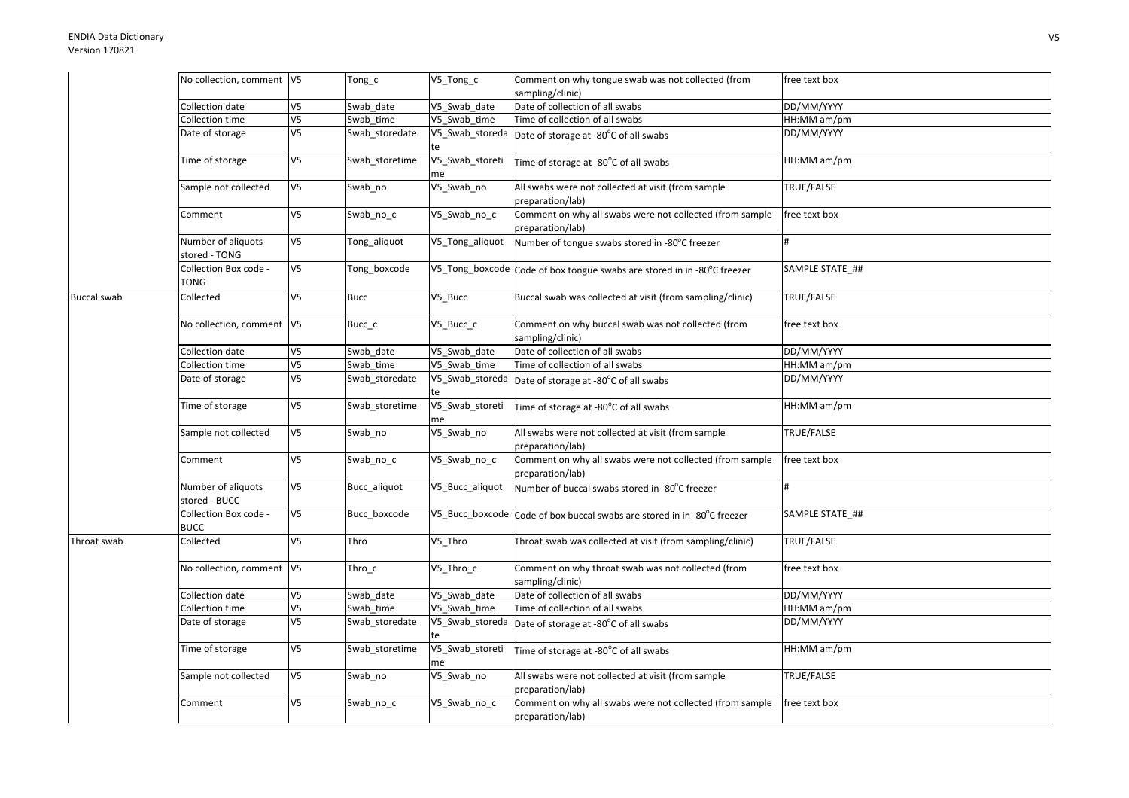## ENDIA Data DictionaryVersion 170821

|                    | No collection, comment V5            |                | Tong_c         | V5_Tong_c             | Comment on why tongue swab was not collected (from                           | free text box   |
|--------------------|--------------------------------------|----------------|----------------|-----------------------|------------------------------------------------------------------------------|-----------------|
|                    |                                      |                |                |                       | sampling/clinic)                                                             |                 |
|                    | Collection date                      | V <sub>5</sub> | Swab date      | V5_Swab_date          | Date of collection of all swabs                                              | DD/MM/YYYY      |
|                    | Collection time                      | V <sub>5</sub> | Swab time      | V5 Swab time          | Time of collection of all swabs                                              | HH:MM am/pm     |
|                    | Date of storage                      | V <sub>5</sub> | Swab_storedate | V5_Swab_storeda<br>te | Date of storage at -80°C of all swabs                                        | DD/MM/YYYY      |
|                    | Time of storage                      | V <sub>5</sub> | Swab storetime | V5_Swab_storeti<br>me | Time of storage at -80°C of all swabs                                        | HH:MM am/pm     |
|                    | Sample not collected                 | V <sub>5</sub> | Swab_no        | V5_Swab_no            | All swabs were not collected at visit (from sample<br>preparation/lab)       | TRUE/FALSE      |
|                    | Comment                              | V <sub>5</sub> | Swab_no_c      | V5_Swab_no_c          | Comment on why all swabs were not collected (from sample<br>preparation/lab) | free text box   |
|                    | Number of aliquots<br>stored - TONG  | V <sub>5</sub> | Tong_aliquot   | V5_Tong_aliquot       | Number of tongue swabs stored in -80°C freezer                               | #               |
|                    | Collection Box code -<br>TONG        | V <sub>5</sub> | Tong_boxcode   |                       | V5_Tong_boxcode Code of box tongue swabs are stored in in -80°C freezer      | SAMPLE STATE_## |
| <b>Buccal swab</b> | Collected                            | V <sub>5</sub> | <b>Bucc</b>    | V5_Bucc               | Buccal swab was collected at visit (from sampling/clinic)                    | TRUE/FALSE      |
|                    | No collection, comment  V5           |                | Bucc_c         | V5_Bucc_c             | Comment on why buccal swab was not collected (from<br>sampling/clinic)       | free text box   |
|                    | Collection date                      | V <sub>5</sub> | Swab date      | V5 Swab date          | Date of collection of all swabs                                              | DD/MM/YYYY      |
|                    | <b>Collection time</b>               | V <sub>5</sub> | Swab_time      | V5_Swab_time          | Time of collection of all swabs                                              | HH:MM am/pm     |
|                    | Date of storage                      | V <sub>5</sub> | Swab_storedate | V5_Swab_storeda<br>te | Date of storage at -80°C of all swabs                                        | DD/MM/YYYY      |
|                    | Time of storage                      | V <sub>5</sub> | Swab_storetime | V5_Swab_storeti<br>me | Time of storage at -80°C of all swabs                                        | HH:MM am/pm     |
|                    | Sample not collected                 | V <sub>5</sub> | Swab_no        | V5_Swab_no            | All swabs were not collected at visit (from sample<br>preparation/lab)       | TRUE/FALSE      |
|                    | Comment                              | V <sub>5</sub> | Swab_no_c      | V5_Swab_no_c          | Comment on why all swabs were not collected (from sample<br>preparation/lab) | free text box   |
|                    | Number of aliquots<br>stored - BUCC  | V <sub>5</sub> | Bucc_aliquot   | V5_Bucc_aliquot       | Number of buccal swabs stored in -80°C freezer                               |                 |
|                    | Collection Box code -<br><b>BUCC</b> | V <sub>5</sub> | Bucc_boxcode   | V5_Bucc_boxcode       | Code of box buccal swabs are stored in in -80°C freezer                      | SAMPLE STATE ## |
| Throat swab        | Collected                            | V <sub>5</sub> | Thro           | V5_Thro               | Throat swab was collected at visit (from sampling/clinic)                    | TRUE/FALSE      |
|                    | No collection, comment  V5           |                | $Thro_c$       | V5_Thro_c             | Comment on why throat swab was not collected (from<br>sampling/clinic)       | free text box   |
|                    | Collection date                      | V <sub>5</sub> | Swab date      | V5 Swab date          | Date of collection of all swabs                                              | DD/MM/YYYY      |
|                    | Collection time                      | V <sub>5</sub> | Swab time      | V5 Swab time          | Time of collection of all swabs                                              | HH:MM am/pm     |
|                    | Date of storage                      | V <sub>5</sub> | Swab_storedate | V5_Swab_storeda<br>te | Date of storage at -80°C of all swabs                                        | DD/MM/YYYY      |
|                    | Time of storage                      | V <sub>5</sub> | Swab storetime | V5_Swab_storeti<br>me | Time of storage at -80°C of all swabs                                        | HH:MM am/pm     |
|                    | Sample not collected                 | V <sub>5</sub> | Swab_no        | V5_Swab_no            | All swabs were not collected at visit (from sample<br>preparation/lab)       | TRUE/FALSE      |
|                    | Comment                              | V <sub>5</sub> | Swab_no_c      | V5_Swab_no_c          | Comment on why all swabs were not collected (from sample<br>preparation/lab) | free text box   |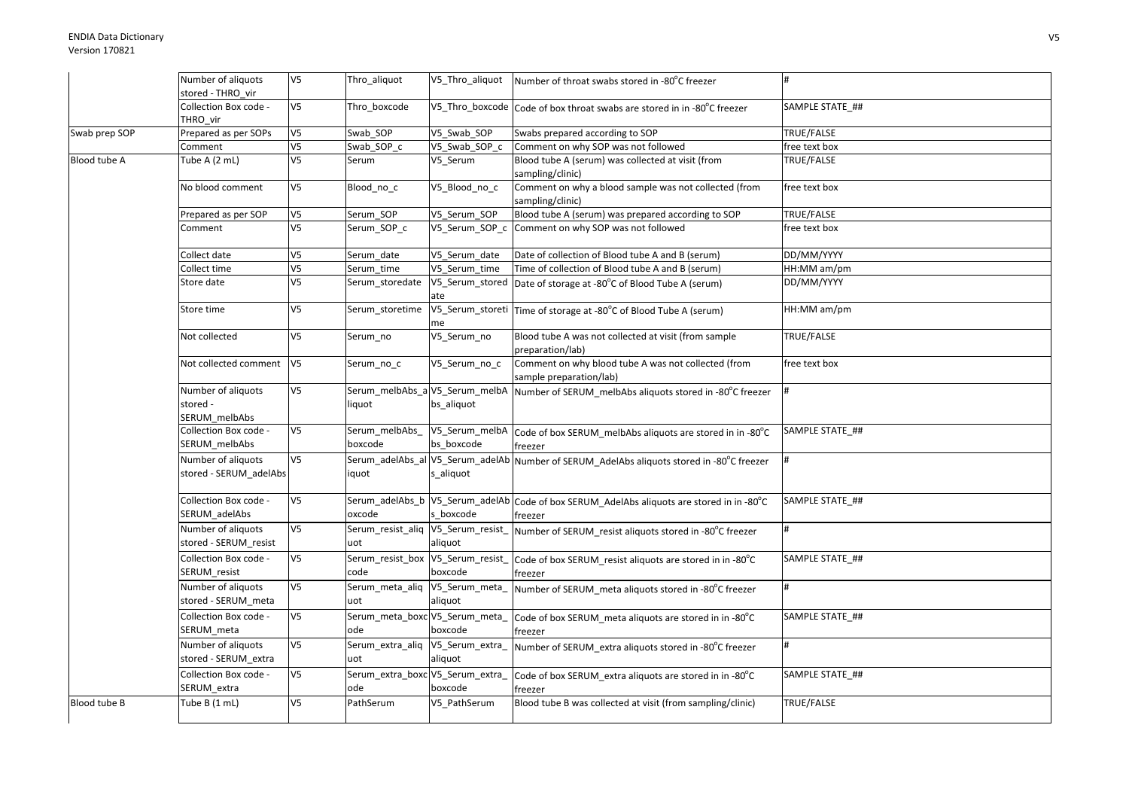|               | Number of aliquots                              | V <sub>5</sub> | Thro_aliquot                             | V5_Thro_aliquot                               | Number of throat swabs stored in -80°C freezer                                                       |                 |
|---------------|-------------------------------------------------|----------------|------------------------------------------|-----------------------------------------------|------------------------------------------------------------------------------------------------------|-----------------|
|               | stored - THRO vir                               |                |                                          |                                               |                                                                                                      |                 |
|               | Collection Box code -<br>THRO vir               | V <sub>5</sub> | Thro_boxcode                             |                                               | V5_Thro_boxcode Code of box throat swabs are stored in in -80°C freezer                              | SAMPLE STATE_## |
| Swab prep SOP | Prepared as per SOPs                            | V <sub>5</sub> | Swab SOP                                 | V5 Swab SOP                                   | Swabs prepared according to SOP                                                                      | TRUE/FALSE      |
|               | Comment                                         | V <sub>5</sub> | Swab SOP c                               | V5 Swab SOP c                                 | Comment on why SOP was not followed                                                                  | free text box   |
| Blood tube A  | Tube A (2 mL)                                   | V <sub>5</sub> | Serum                                    | V5 Serum                                      | Blood tube A (serum) was collected at visit (from<br>sampling/clinic)                                | TRUE/FALSE      |
|               | No blood comment                                | V <sub>5</sub> | Blood_no_c                               | V5_Blood_no_c                                 | Comment on why a blood sample was not collected (from<br>sampling/clinic)                            | free text box   |
|               | Prepared as per SOP                             | V <sub>5</sub> | Serum SOP                                | V5 Serum SOP                                  | Blood tube A (serum) was prepared according to SOP                                                   | TRUE/FALSE      |
|               | Comment                                         | V <sub>5</sub> | Serum_SOP_c                              |                                               | V5_Serum_SOP_c Comment on why SOP was not followed                                                   | free text box   |
|               | Collect date                                    | V5             | Serum_date                               | V5_Serum_date                                 | Date of collection of Blood tube A and B (serum)                                                     | DD/MM/YYYY      |
|               | Collect time                                    | V <sub>5</sub> | Serum time                               | V5 Serum time                                 | Time of collection of Blood tube A and B (serum)                                                     | HH:MM am/pm     |
|               | Store date                                      | V <sub>5</sub> | Serum_storedate                          | ate                                           | V5_Serum_stored   Date of storage at -80°C of Blood Tube A (serum)                                   | DD/MM/YYYY      |
|               | Store time                                      | V <sub>5</sub> | Serum storetime                          | me                                            | V5_Serum_storeti Time of storage at -80°C of Blood Tube A (serum)                                    | HH:MM am/pm     |
|               | Not collected                                   | V <sub>5</sub> | Serum_no                                 | V5_Serum_no                                   | Blood tube A was not collected at visit (from sample<br>preparation/lab)                             | TRUE/FALSE      |
|               | Not collected comment                           | V <sub>5</sub> | Serum_no_c                               | V5_Serum_no_c                                 | Comment on why blood tube A was not collected (from<br>sample preparation/lab)                       | free text box   |
|               | Number of aliquots<br>stored -<br>SERUM_melbAbs | V <sub>5</sub> | Serum_melbAbs_aV5_Serum_melbA<br>liquot  | bs aliquot                                    | Number of SERUM_melbAbs aliquots stored in -80°C freezer                                             |                 |
|               | Collection Box code -<br>SERUM melbAbs          | V <sub>5</sub> | Serum melbAbs<br>boxcode                 | V5 Serum melbA<br>bs boxcode                  | Code of box SERUM_melbAbs aliquots are stored in in -80°C<br>freezer                                 | SAMPLE STATE ## |
|               | Number of aliquots<br>stored - SERUM_adelAbs    | V <sub>5</sub> | iquot                                    | Serum_adelAbs_al V5_Serum_adelAb<br>s_aliquot | Number of SERUM AdelAbs aliquots stored in -80°C freezer                                             |                 |
|               | Collection Box code -<br>SERUM adelAbs          | V <sub>5</sub> | oxcode                                   | s boxcode                                     | Serum_adelAbs_b V5_Serum_adelAb Code of box SERUM_AdelAbs aliquots are stored in in -80°C<br>freezer | SAMPLE STATE ## |
|               | Number of aliquots<br>stored - SERUM_resist     | V <sub>5</sub> | Serum_resist_aliq V5_Serum_resist<br>uot | aliquot                                       | Number of SERUM resist aliquots stored in -80°C freezer                                              | #               |
|               | Collection Box code -<br>SERUM_resist           | V <sub>5</sub> | Serum_resist_box V5_Serum_resist<br>code | boxcode                                       | Code of box SERUM_resist aliquots are stored in in -80°C<br>freezer                                  | SAMPLE STATE ## |
|               | Number of aliquots<br>stored - SERUM_meta       | V <sub>5</sub> | Serum_meta_aliq V5_Serum_meta_<br>uot    | aliquot                                       | Number of SERUM meta aliquots stored in -80°C freezer                                                |                 |
|               | Collection Box code -<br>SERUM_meta             | V <sub>5</sub> | Serum_meta_boxc V5_Serum_meta_<br>ode    | boxcode                                       | Code of box SERUM meta aliquots are stored in in -80°C<br>freezer                                    | SAMPLE STATE ## |
|               | Number of aliquots<br>stored - SERUM_extra      | V <sub>5</sub> | Serum_extra_aliq V5_Serum_extra_<br>uot  | aliquot                                       | Number of SERUM_extra aliquots stored in -80°C freezer                                               |                 |
|               | Collection Box code -<br>SERUM_extra            | V <sub>5</sub> | Serum_extra_boxc V5_Serum_extra_<br>ode  | boxcode                                       | Code of box SERUM_extra aliquots are stored in in -80°C<br>freezer                                   | SAMPLE STATE ## |
| Blood tube B  | Tube $B(1 mL)$                                  | V <sub>5</sub> | PathSerum                                | V5 PathSerum                                  | Blood tube B was collected at visit (from sampling/clinic)                                           | TRUE/FALSE      |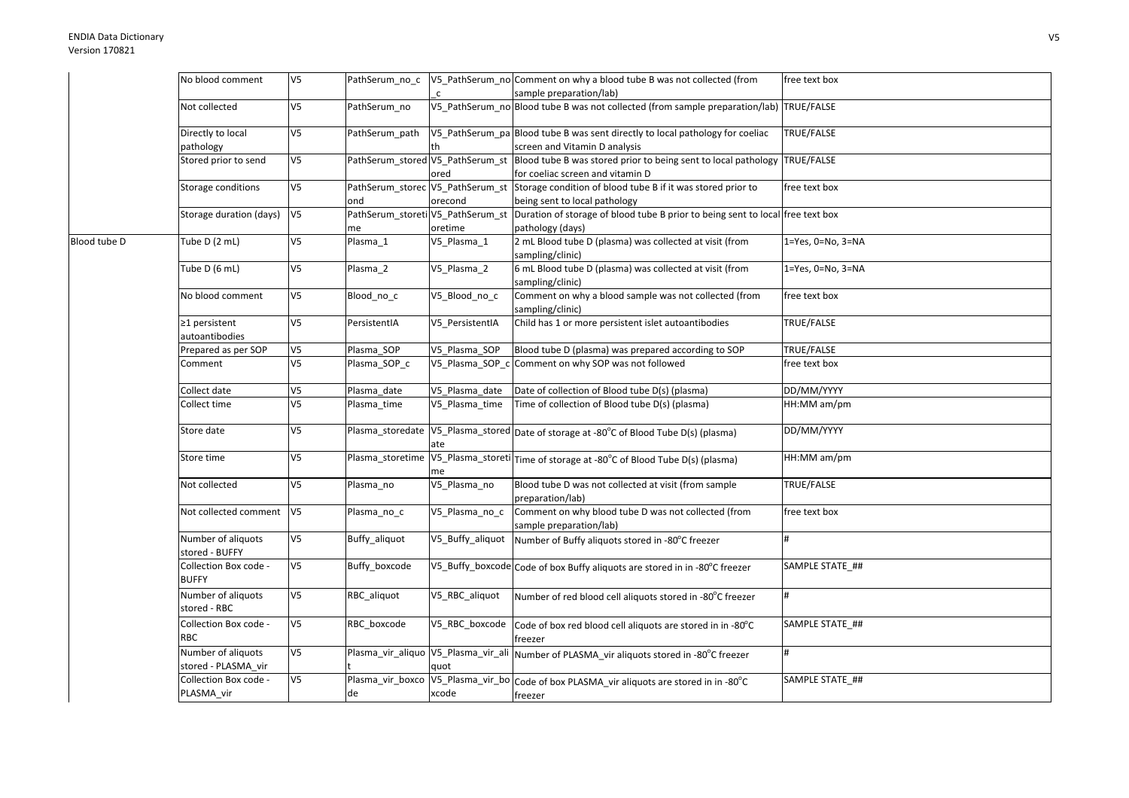|              | No blood comment                          | V5             | PathSerum_no_c                          |                  | V5_PathSerum_no Comment on why a blood tube B was not collected (from                                   | free text box     |
|--------------|-------------------------------------------|----------------|-----------------------------------------|------------------|---------------------------------------------------------------------------------------------------------|-------------------|
|              |                                           |                |                                         | $\mathsf{C}$     | sample preparation/lab)                                                                                 |                   |
|              | Not collected                             | V5             | PathSerum no                            |                  | V5_PathSerum_no Blood tube B was not collected (from sample preparation/lab) TRUE/FALSE                 |                   |
|              | Directly to local                         | V5             | PathSerum path                          |                  | V5_PathSerum_pa Blood tube B was sent directly to local pathology for coeliac                           | TRUE/FALSE        |
|              | pathology                                 |                |                                         |                  | screen and Vitamin D analysis                                                                           |                   |
|              | Stored prior to send                      | V5             | PathSerum_stored V5_PathSerum_st        | ored             | Blood tube B was stored prior to being sent to local pathology<br>for coeliac screen and vitamin D      | TRUE/FALSE        |
|              | Storage conditions                        | V5             | PathSerum_storec V5_PathSerum_st<br>ond | orecond          | Storage condition of blood tube B if it was stored prior to<br>being sent to local pathology            | free text box     |
|              | Storage duration (days)                   | V <sub>5</sub> | PathSerum_storeti V5_PathSerum_st       |                  | Duration of storage of blood tube B prior to being sent to local free text box                          |                   |
|              |                                           |                | me                                      | oretime          | pathology (days)                                                                                        |                   |
| Blood tube D | Tube D (2 mL)                             | V <sub>5</sub> | Plasma 1                                | V5_Plasma_1      | 2 mL Blood tube D (plasma) was collected at visit (from<br>sampling/clinic)                             | 1=Yes, 0=No, 3=NA |
|              | Tube D (6 mL)                             | V5             | Plasma 2                                | V5_Plasma_2      | 6 mL Blood tube D (plasma) was collected at visit (from<br>sampling/clinic)                             | 1=Yes, 0=No, 3=NA |
|              | No blood comment                          | V5             | Blood_no_c                              | V5_Blood_no_c    | Comment on why a blood sample was not collected (from<br>sampling/clinic)                               | free text box     |
|              | ≥1 persistent<br>autoantibodies           | V5             | PersistentIA                            | V5 PersistentIA  | Child has 1 or more persistent islet autoantibodies                                                     | TRUE/FALSE        |
|              | Prepared as per SOP                       | V5             | Plasma SOP                              | V5_Plasma_SOP    | Blood tube D (plasma) was prepared according to SOP                                                     | TRUE/FALSE        |
|              | Comment                                   | V5             | Plasma_SOP_c                            | V5_Plasma_SOP_c  | Comment on why SOP was not followed                                                                     | free text box     |
|              | Collect date                              | V5             | Plasma date                             | V5_Plasma_date   | Date of collection of Blood tube D(s) (plasma)                                                          | DD/MM/YYYY        |
|              | Collect time                              | V5             | Plasma_time                             | V5 Plasma time   | Time of collection of Blood tube D(s) (plasma)                                                          | HH:MM am/pm       |
|              | Store date                                | V5             |                                         | ate              | Plasma_storedate  V5_Plasma_stored  Date of storage at -80°C of Blood Tube D(s) (plasma)                | DD/MM/YYYY        |
|              | Store time                                | V5             |                                         | me               | Plasma_storetime V5_Plasma_storeti Time of storage at -80°C of Blood Tube D(s) (plasma)                 | HH:MM am/pm       |
|              | Not collected                             | V5             | Plasma_no                               | V5_Plasma_no     | Blood tube D was not collected at visit (from sample<br>preparation/lab)                                | TRUE/FALSE        |
|              | Not collected comment                     | V <sub>5</sub> | Plasma_no_c                             | V5 Plasma no c   | Comment on why blood tube D was not collected (from<br>sample preparation/lab)                          | free text box     |
|              | Number of aliquots<br>stored - BUFFY      | V5             | Buffy_aliquot                           | V5_Buffy_aliquot | Number of Buffy aliquots stored in -80°C freezer                                                        | #                 |
|              | Collection Box code -<br><b>BUFFY</b>     | V <sub>5</sub> | Buffy_boxcode                           |                  | V5_Buffy_boxcode Code of box Buffy aliquots are stored in in -80°C freezer                              | SAMPLE STATE ##   |
|              | Number of aliquots<br>stored - RBC        | V5             | RBC aliquot                             | V5_RBC_aliquot   | Number of red blood cell aliquots stored in -80°C freezer                                               |                   |
|              | Collection Box code -<br><b>RBC</b>       | V5             | RBC boxcode                             | V5_RBC_boxcode   | Code of box red blood cell aliquots are stored in in -80°C<br>freezer                                   | SAMPLE STATE ##   |
|              | Number of aliquots<br>stored - PLASMA_vir | V5             |                                         | quot             | Plasma_vir_aliquo V5_Plasma_vir_ali Number of PLASMA_vir aliquots stored in -80°C freezer               |                   |
|              | Collection Box code -<br>PLASMA_vir       | V5             | de                                      | xcode            | Plasma_vir_boxco   V5_Plasma_vir_bo   Code of box PLASMA_vir aliquots are stored in in -80°C<br>freezer | SAMPLE STATE_##   |
|              |                                           |                |                                         |                  |                                                                                                         |                   |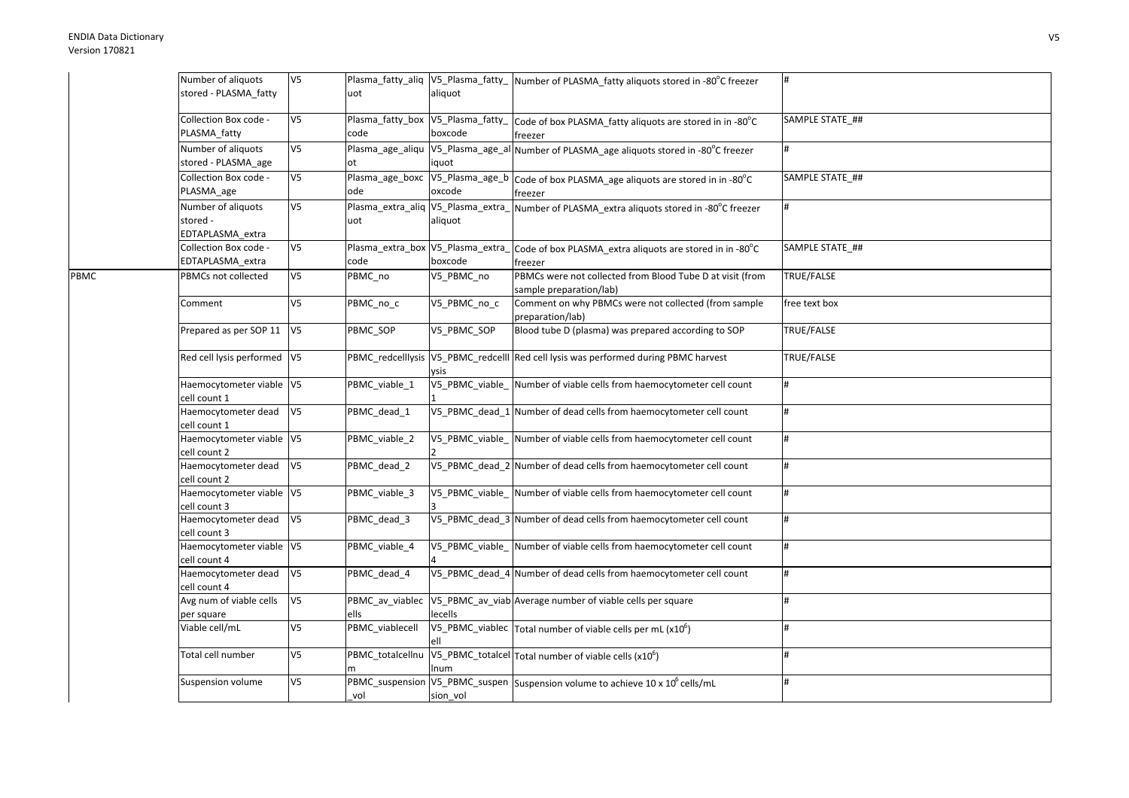|      | Number of aliquots          | V <sub>5</sub> |                                    |              | Plasma_fatty_aliq  V5_Plasma_fatty_  Number of PLASMA_fatty aliquots stored in -80°C freezer |                 |
|------|-----------------------------|----------------|------------------------------------|--------------|----------------------------------------------------------------------------------------------|-----------------|
|      | stored - PLASMA_fatty       |                | uot                                | aliquot      |                                                                                              |                 |
|      |                             |                |                                    |              |                                                                                              |                 |
|      | Collection Box code -       | V <sub>5</sub> | Plasma_fatty_box V5_Plasma_fatty_  |              | Code of box PLASMA_fatty aliquots are stored in in -80°C                                     | SAMPLE STATE_## |
|      | PLASMA fatty                |                | code                               | boxcode      | freezer                                                                                      |                 |
|      | Number of aliquots          | V5             |                                    |              | Plasma_age_aliqu  V5_Plasma_age_al Number of PLASMA_age aliquots stored in -80°C freezer     | #               |
|      | stored - PLASMA_age         |                | ot                                 | iquot        |                                                                                              |                 |
|      | Collection Box code -       | V <sub>5</sub> | Plasma age boxc                    |              | V5_Plasma_age_b Code of box PLASMA_age aliquots are stored in in -80°C                       | SAMPLE STATE ## |
|      |                             |                | ode                                | oxcode       |                                                                                              |                 |
|      | PLASMA_age                  |                |                                    |              | freezer                                                                                      |                 |
|      | Number of aliquots          | V <sub>5</sub> | Plasma_extra_aliq V5_Plasma_extra_ |              | Number of PLASMA_extra aliquots stored in -80°C freezer                                      |                 |
|      | stored -                    |                | uot                                | aliquot      |                                                                                              |                 |
|      | EDTAPLASMA extra            |                |                                    |              |                                                                                              |                 |
|      | Collection Box code -       | V <sub>5</sub> | Plasma_extra_box V5_Plasma_extra_  |              | Code of box PLASMA_extra aliquots are stored in in -80°C                                     | SAMPLE STATE ## |
|      | EDTAPLASMA_extra            |                | code                               | boxcode      | freezer                                                                                      |                 |
| PBMC | PBMCs not collected         | V <sub>5</sub> | PBMC no                            | V5_PBMC_no   | PBMCs were not collected from Blood Tube D at visit (from                                    | TRUE/FALSE      |
|      |                             |                |                                    |              | sample preparation/lab)                                                                      |                 |
|      | Comment                     | V <sub>5</sub> | PBMC no c                          | V5_PBMC_no_c | Comment on why PBMCs were not collected (from sample                                         | free text box   |
|      |                             |                |                                    |              | preparation/lab)                                                                             |                 |
|      | Prepared as per SOP 11 V5   |                | PBMC SOP                           | V5 PBMC SOP  | Blood tube D (plasma) was prepared according to SOP                                          | TRUE/FALSE      |
|      |                             |                |                                    |              |                                                                                              |                 |
|      | Red cell lysis performed V5 |                |                                    |              | PBMC_redcelllysis V5_PBMC_redcelll Red cell lysis was performed during PBMC harvest          | TRUE/FALSE      |
|      |                             |                |                                    | vsis         |                                                                                              |                 |
|      | Haemocytometer viable V5    |                | PBMC_viable_1                      |              | V5_PBMC_viable_ Number of viable cells from haemocytometer cell count                        | #               |
|      | cell count 1                |                |                                    |              |                                                                                              |                 |
|      | Haemocytometer dead         | V <sub>5</sub> | PBMC_dead_1                        |              | V5_PBMC_dead_1 Number of dead cells from haemocytometer cell count                           | #               |
|      | cell count 1                |                |                                    |              |                                                                                              |                 |
|      | Haemocytometer viable V5    |                | PBMC viable 2                      |              | V5 PBMC viable Number of viable cells from haemocytometer cell count                         | #               |
|      | cell count 2                |                |                                    |              |                                                                                              |                 |
|      | Haemocytometer dead         | V <sub>5</sub> | PBMC_dead_2                        |              | V5_PBMC_dead_2 Number of dead cells from haemocytometer cell count                           | #               |
|      | cell count 2                |                |                                    |              |                                                                                              |                 |
|      | Haemocytometer viable V5    |                | PBMC viable 3                      |              | V5_PBMC_viable_Number of viable cells from haemocytometer cell count                         | #               |
|      | cell count 3                |                |                                    |              |                                                                                              |                 |
|      | Haemocytometer dead         | V <sub>5</sub> | PBMC_dead_3                        |              | V5 PBMC dead 3 Number of dead cells from haemocytometer cell count                           | #               |
|      | cell count 3                |                |                                    |              |                                                                                              |                 |
|      | Haemocytometer viable V5    |                | PBMC_viable_4                      |              | V5_PBMC_viable_ Number of viable cells from haemocytometer cell count                        | #               |
|      | cell count 4                |                |                                    |              |                                                                                              |                 |
|      | Haemocytometer dead         | V <sub>5</sub> | PBMC dead 4                        |              | V5_PBMC_dead_4 Number of dead cells from haemocytometer cell count                           |                 |
|      | cell count 4                |                |                                    |              |                                                                                              |                 |
|      | Avg num of viable cells     | V <sub>5</sub> | PBMC_av_viablec                    |              | V5_PBMC_av_viab Average number of viable cells per square                                    |                 |
|      | per square                  |                | ells                               | lecells      |                                                                                              |                 |
|      | Viable cell/mL              | V <sub>5</sub> | PBMC viablecell                    |              | V5_PBMC_viablec $\vert$ Total number of viable cells per mL (x10 <sup>6</sup> )              |                 |
|      |                             |                |                                    |              |                                                                                              |                 |
|      | Total cell number           | V <sub>5</sub> | PBMC_totalcellnu                   |              | V5_PBMC_totalcel Total number of viable cells (x10 <sup>6</sup> )                            | #               |
|      |                             |                |                                    | num          |                                                                                              |                 |
|      | Suspension volume           | V <sub>5</sub> |                                    |              | PBMC_suspension V5_PBMC_suspen Suspension volume to achieve 10 x 10 <sup>6</sup> cells/mL    | #               |
|      |                             |                | vol                                | sion_vol     |                                                                                              |                 |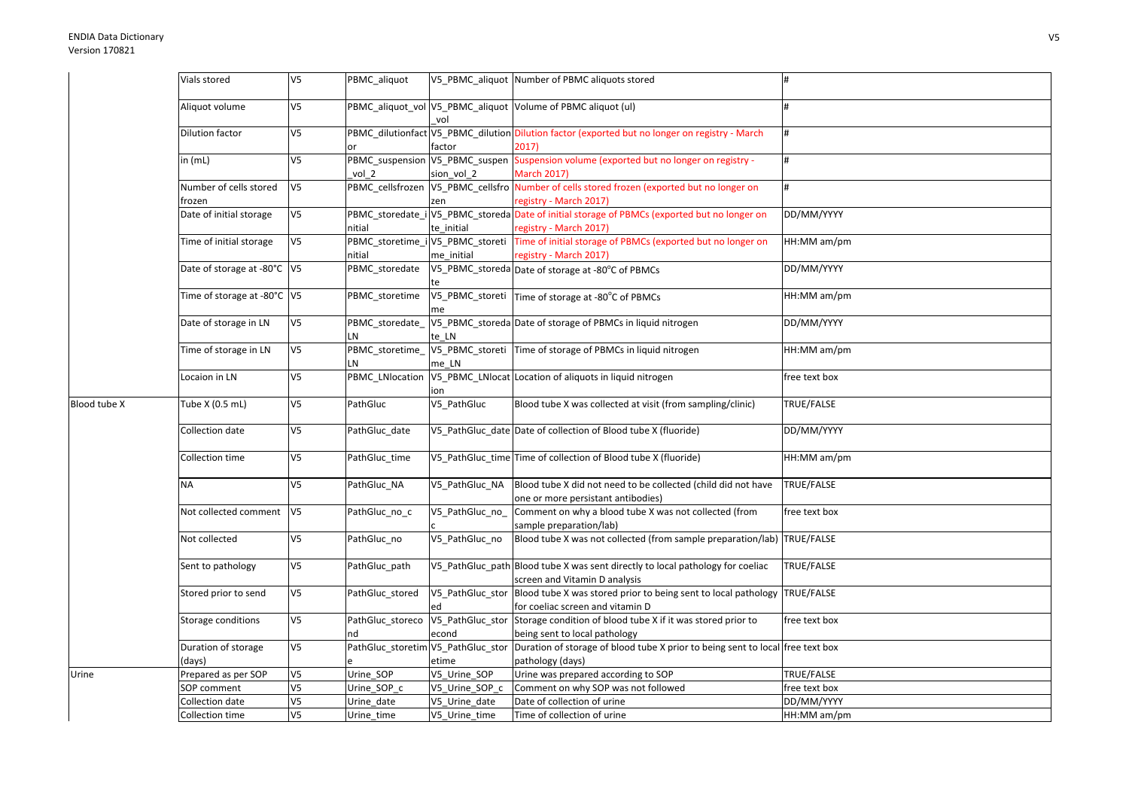|              | Vials stored                     | V <sub>5</sub> | PBMC_aliquot           |                                                | V5 PBMC aliquot Number of PBMC aliquots stored                                                                                        |               |
|--------------|----------------------------------|----------------|------------------------|------------------------------------------------|---------------------------------------------------------------------------------------------------------------------------------------|---------------|
|              | Aliquot volume                   | V <sub>5</sub> |                        | vol                                            | PBMC_aliquot_vol V5_PBMC_aliquot Volume of PBMC aliquot (ul)                                                                          | l#            |
|              | Dilution factor                  | V <sub>5</sub> | or                     | factor                                         | PBMC_dilutionfact V5_PBMC_dilution Dilution factor (exported but no longer on registry - March<br>2017)                               | #             |
|              | in $(mL)$                        | V <sub>5</sub> | vol 2                  | sion vol 2                                     | PBMC_suspension V5_PBMC_suspen Suspension volume (exported but no longer on registry -<br><b>March 2017)</b>                          | l#            |
|              | Number of cells stored<br>frozen | V <sub>5</sub> |                        | zen                                            | PBMC_cellsfrozen V5_PBMC_cellsfro Number of cells stored frozen (exported but no longer on<br>registry - March 2017)                  |               |
|              | Date of initial storage          | V <sub>5</sub> | iitial                 | te initial                                     | PBMC_storedate_i V5_PBMC_storeda Date of initial storage of PBMCs (exported but no longer on<br>registry - March 2017)                | DD/MM/YYYY    |
|              | Time of initial storage          | V <sub>5</sub> | hitial                 | PBMC_storetime_i V5_PBMC_storeti<br>me_initial | Time of initial storage of PBMCs (exported but no longer on<br>registry - March 2017)                                                 | HH:MM am/pm   |
|              | Date of storage at -80°C V5      |                | PBMC storedate         |                                                | V5_PBMC_storeda Date of storage at -80°C of PBMCs                                                                                     | DD/MM/YYYY    |
|              | Time of storage at -80°C V5      |                | PBMC storetime         | me                                             | V5_PBMC_storeti Time of storage at -80°C of PBMCs                                                                                     | HH:MM am/pm   |
|              | Date of storage in LN            | V <sub>5</sub> | PBMC storedate<br>LN.  | te LN                                          | V5_PBMC_storeda Date of storage of PBMCs in liquid nitrogen                                                                           | DD/MM/YYYY    |
|              | Time of storage in LN            | V <sub>5</sub> | PBMC_storetime_<br>LN  | me LN                                          | V5_PBMC_storeti Time of storage of PBMCs in liquid nitrogen                                                                           | HH:MM am/pm   |
|              | Locaion in LN                    | V <sub>5</sub> |                        | ion                                            | PBMC_LNlocation V5_PBMC_LNlocat Location of aliquots in liquid nitrogen                                                               | free text box |
| Blood tube X | Tube X (0.5 mL)                  | V <sub>5</sub> | PathGluc               | V5 PathGluc                                    | Blood tube X was collected at visit (from sampling/clinic)                                                                            | TRUE/FALSE    |
|              | Collection date                  | V <sub>5</sub> | PathGluc_date          |                                                | V5 PathGluc date Date of collection of Blood tube X (fluoride)                                                                        | DD/MM/YYYY    |
|              | Collection time                  | V <sub>5</sub> | PathGluc time          |                                                | V5 PathGluc time Time of collection of Blood tube X (fluoride)                                                                        | HH:MM am/pm   |
|              | <b>NA</b>                        | V <sub>5</sub> | PathGluc NA            | V5 PathGluc NA                                 | Blood tube X did not need to be collected (child did not have<br>one or more persistant antibodies)                                   | TRUE/FALSE    |
|              | Not collected comment            | V <sub>5</sub> | PathGluc_no_c          | V5_PathGluc_no_                                | Comment on why a blood tube X was not collected (from<br>sample preparation/lab)                                                      | free text box |
|              | Not collected                    | V <sub>5</sub> | PathGluc_no            | V5_PathGluc_no                                 | Blood tube X was not collected (from sample preparation/lab) TRUE/FALSE                                                               |               |
|              | Sent to pathology                | V <sub>5</sub> | PathGluc path          |                                                | V5 PathGluc path Blood tube X was sent directly to local pathology for coeliac<br>screen and Vitamin D analysis                       | TRUE/FALSE    |
|              | Stored prior to send             | V <sub>5</sub> | PathGluc_stored        | ed                                             | V5_PathGluc_stor Blood tube X was stored prior to being sent to local pathology TRUE/FALSE<br>for coeliac screen and vitamin D        |               |
|              | Storage conditions               | V <sub>5</sub> | PathGluc storeco<br>nd | econd                                          | V5_PathGluc_stor Storage condition of blood tube X if it was stored prior to<br>being sent to local pathology                         | free text box |
|              | Duration of storage<br>(days)    | V <sub>5</sub> |                        | etime                                          | PathGluc_storetim V5_PathGluc_stor Duration of storage of blood tube X prior to being sent to local free text box<br>pathology (days) |               |
| Urine        | Prepared as per SOP              | V <sub>5</sub> | Urine SOP              | V5_Urine_SOP                                   | Urine was prepared according to SOP                                                                                                   | TRUE/FALSE    |
|              | SOP comment                      | V <sub>5</sub> | Urine SOP c            | V5 Urine SOP c                                 | Comment on why SOP was not followed                                                                                                   | free text box |
|              | Collection date                  | V <sub>5</sub> | Urine date             | V5 Urine date                                  | Date of collection of urine                                                                                                           | DD/MM/YYYY    |
|              | Collection time                  | V <sub>5</sub> | Urine_time             | V5_Urine_time                                  | Time of collection of urine                                                                                                           | HH:MM am/pm   |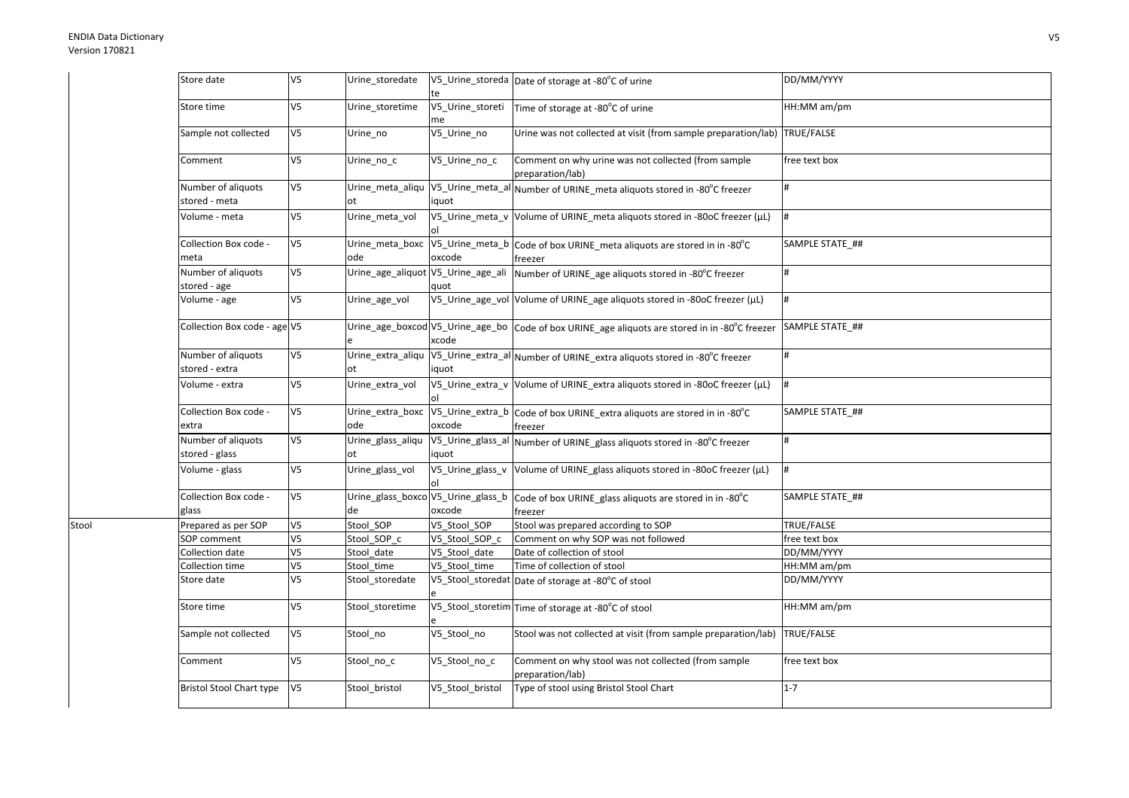Stool

| Store date                           | V <sub>5</sub> | Urine_storedate                          | te                     | V5_Urine_storeda Date of storage at -80°C of urine                                             | DD/MM/YYYY      |
|--------------------------------------|----------------|------------------------------------------|------------------------|------------------------------------------------------------------------------------------------|-----------------|
| Store time                           | V <sub>5</sub> | Urine_storetime                          | V5_Urine_storeti<br>me | Time of storage at -80°C of urine                                                              | HH:MM am/pm     |
| Sample not collected                 | V <sub>5</sub> | Urine_no                                 | V5_Urine_no            | Urine was not collected at visit (from sample preparation/lab) TRUE/FALSE                      |                 |
| Comment                              | V <sub>5</sub> | Urine_no_c                               | V5_Urine_no_c          | Comment on why urine was not collected (from sample<br>preparation/lab)                        | free text box   |
| Number of aliquots<br>stored - meta  | V <sub>5</sub> | Urine_meta_aliqu<br>ot                   | iquot                  | V5_Urine_meta_al Number of URINE_meta aliquots stored in -80°C freezer                         |                 |
| Volume - meta                        | V <sub>5</sub> | Urine_meta_vol                           |                        | V5_Urine_meta_v Volume of URINE_meta aliquots stored in -80oC freezer (µL)                     |                 |
| Collection Box code -<br>meta        | V <sub>5</sub> | Urine_meta_boxc<br>ode                   | oxcode                 | V5_Urine_meta_b Code of box URINE_meta aliquots are stored in in -80°C<br>freezer              | SAMPLE STATE ## |
| Number of aliquots<br>stored - age   | V <sub>5</sub> | Urine_age_aliquot V5_Urine_age_ali       | quot                   | Number of URINE_age aliquots stored in -80°C freezer                                           |                 |
| Volume - age                         | V <sub>5</sub> | Urine_age_vol                            |                        | V5_Urine_age_vol Volume of URINE_age aliquots stored in -80oC freezer (µL)                     | #               |
| Collection Box code - age V5         |                |                                          | xcode                  | Urine_age_boxcod V5_Urine_age_bo Code of box URINE_age aliquots are stored in in -80°C freezer | SAMPLE STATE ## |
| Number of aliquots<br>stored - extra | V <sub>5</sub> | Urine_extra_aliqu                        | iquot                  | V5_Urine_extra_al Number of URINE_extra aliquots stored in -80°C freezer                       | #               |
| Volume - extra                       | V <sub>5</sub> | Urine extra vol                          |                        | V5_Urine_extra_v Volume of URINE_extra aliquots stored in -80oC freezer (µL)                   | #               |
| Collection Box code -<br>extra       | V <sub>5</sub> | Urine_extra_boxc<br>ode                  | oxcode                 | V5_Urine_extra_b Code of box URINE_extra aliquots are stored in in -80°C<br>freezer            | SAMPLE STATE ## |
| Number of aliquots<br>stored - glass | V <sub>5</sub> | Urine_glass_aliqu<br>ot                  | iquot                  | V5_Urine_glass_al Number of URINE_glass aliquots stored in -80°C freezer                       | $\sharp$        |
| Volume - glass                       | V <sub>5</sub> | Urine_glass_vol                          |                        | V5_Urine_glass_v  Volume of URINE_glass aliquots stored in -80oC freezer (µL)                  | #               |
| Collection Box code -<br>glass       | V <sub>5</sub> | Urine_glass_boxco V5_Urine_glass_b<br>de | oxcode                 | Code of box URINE_glass aliquots are stored in in -80°C<br>freezer                             | SAMPLE STATE ## |
| Prepared as per SOP                  | V <sub>5</sub> | Stool_SOP                                | V5 Stool SOP           | Stool was prepared according to SOP                                                            | TRUE/FALSE      |
| SOP comment                          | V <sub>5</sub> | Stool SOP c                              | V5 Stool SOP c         | Comment on why SOP was not followed                                                            | free text box   |
| Collection date                      | V <sub>5</sub> | Stool date                               | V5 Stool date          | Date of collection of stool                                                                    | DD/MM/YYYY      |
| Collection time                      | V <sub>5</sub> | Stool_time                               | V5 Stool time          | Time of collection of stool                                                                    | HH:MM am/pm     |
| Store date                           | V <sub>5</sub> | Stool_storedate                          |                        | V5_Stool_storedat Date of storage at -80°C of stool                                            | DD/MM/YYYY      |
| Store time                           | V <sub>5</sub> | Stool_storetime                          |                        | V5_Stool_storetim Time of storage at -80°C of stool                                            | HH:MM am/pm     |
| Sample not collected                 | V <sub>5</sub> | Stool_no                                 | V5_Stool_no            | Stool was not collected at visit (from sample preparation/lab) TRUE/FALSE                      |                 |
| Comment                              | V <sub>5</sub> | Stool_no_c                               | V5_Stool_no_c          | Comment on why stool was not collected (from sample<br>preparation/lab)                        | free text box   |
| <b>Bristol Stool Chart type</b>      | V <sub>5</sub> | Stool_bristol                            | V5_Stool_bristol       | Type of stool using Bristol Stool Chart                                                        | $1 - 7$         |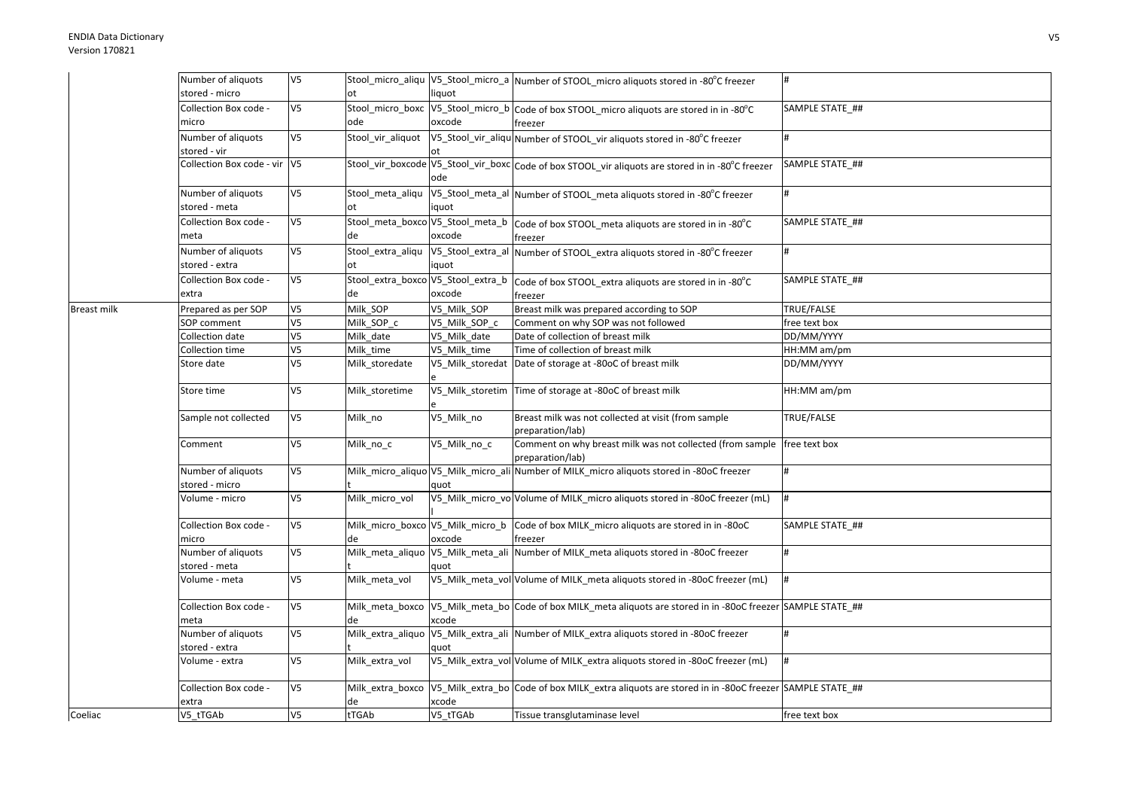|                    | Number of aliquots           | V5                       |                   |                   | Stool_micro_aliqu V5_Stool_micro_a Number of STOOL_micro aliquots stored in -80°C freezer                     | #               |
|--------------------|------------------------------|--------------------------|-------------------|-------------------|---------------------------------------------------------------------------------------------------------------|-----------------|
|                    | stored - micro               |                          | ot                | liquot            |                                                                                                               |                 |
|                    | Collection Box code -        | V5                       |                   |                   | Stool_micro_boxc V5_Stool_micro_b Code of box STOOL_micro aliquots are stored in in -80°C                     | SAMPLE STATE ## |
|                    | micro                        |                          | ode               | oxcode            | freezer                                                                                                       |                 |
|                    | Number of aliquots           | V5                       | Stool_vir_aliquot |                   | V5_Stool_vir_aliqu Number of STOOL_vir aliquots stored in -80°C freezer                                       |                 |
|                    | stored - vir                 |                          |                   |                   |                                                                                                               |                 |
|                    | Collection Box code - vir V5 |                          |                   |                   | Stool_vir_boxcode V5_Stool_vir_boxc Code of box STOOL_vir aliquots are stored in in -80°C freezer             | SAMPLE STATE ## |
|                    |                              |                          |                   | ode               |                                                                                                               |                 |
|                    | Number of aliquots           | V5                       | Stool_meta_aliqu  |                   | V5_Stool_meta_al Number of STOOL_meta aliquots stored in -80°C freezer                                        |                 |
|                    | stored - meta                |                          | ot                | iquot             |                                                                                                               |                 |
|                    | Collection Box code -        | V5                       |                   |                   | Stool_meta_boxco V5_Stool_meta_b   Code of box STOOL_meta aliquots are stored in in -80°C                     | SAMPLE STATE ## |
|                    | meta                         |                          | de                | oxcode            | freezer                                                                                                       |                 |
|                    | Number of aliquots           | V5                       |                   |                   | Stool_extra_aliqu V5_Stool_extra_al Number of STOOL_extra aliquots stored in -80°C freezer                    | #               |
|                    | stored - extra               |                          | ot                | iquot             |                                                                                                               |                 |
|                    | Collection Box code -        | V5                       |                   |                   | Stool_extra_boxco V5_Stool_extra_b code of box STOOL_extra aliquots are stored in in -80°C                    | SAMPLE STATE ## |
|                    | extra                        |                          | de                | oxcode            | freezer                                                                                                       |                 |
| <b>Breast milk</b> | Prepared as per SOP          | V5                       | Milk_SOP          | V5 Milk SOP       | Breast milk was prepared according to SOP                                                                     | TRUE/FALSE      |
|                    | <b>SOP</b> comment           | $\overline{\mathsf{V5}}$ | Milk SOP c        | V5 Milk SOP c     | Comment on why SOP was not followed                                                                           | free text box   |
|                    | Collection date              | V5                       | Milk date         | V5 Milk date      | Date of collection of breast milk                                                                             | DD/MM/YYYY      |
|                    | Collection time              | $\overline{\mathsf{V}5}$ | Milk time         | V5 Milk time      | Time of collection of breast milk                                                                             | HH:MM am/pm     |
|                    | Store date                   | V5                       | Milk_storedate    |                   | V5_Milk_storedat Date of storage at -80oC of breast milk                                                      | DD/MM/YYYY      |
|                    | Store time                   | V5                       | Milk storetime    |                   | V5_Milk_storetim Time of storage at -80oC of breast milk                                                      | HH:MM am/pm     |
|                    | Sample not collected         | V5                       | Milk no           | V5 Milk no        | Breast milk was not collected at visit (from sample                                                           | TRUE/FALSE      |
|                    |                              |                          |                   |                   | preparation/lab)                                                                                              |                 |
|                    | Comment                      | V5                       | Milk_no_c         | V5 Milk no c      | Comment on why breast milk was not collected (from sample   free text box                                     |                 |
|                    |                              |                          |                   |                   | preparation/lab)                                                                                              |                 |
|                    | Number of aliquots           | V5                       |                   |                   | Milk_micro_aliquo V5_Milk_micro_ali Number of MILK_micro aliquots stored in -80oC freezer                     |                 |
|                    | stored - micro               |                          |                   | quot              |                                                                                                               |                 |
|                    | Volume - micro               | V5                       | Milk micro vol    |                   | V5_Milk_micro_vo Volume of MILK_micro aliquots stored in -80oC freezer (mL)                                   | #               |
|                    | Collection Box code -        | V5                       |                   |                   | Milk_micro_boxco V5_Milk_micro_b Code of box MILK_micro aliquots are stored in in -80oC                       | SAMPLE STATE ## |
|                    | micro                        |                          | de                | oxcode            | freezer                                                                                                       |                 |
|                    | Number of aliquots           | V5                       | Milk_meta_aliquo  |                   | V5_Milk_meta_ali Number of MILK_meta aliquots stored in -80oC freezer                                         |                 |
|                    | stored - meta                |                          |                   | quot              |                                                                                                               |                 |
|                    | Volume - meta                | V5                       | Milk_meta_vol     |                   | V5_Milk_meta_vol Volume of MILK_meta aliquots stored in -80oC freezer (mL)                                    | <sup>#</sup>    |
|                    | Collection Box code -        | V5                       |                   |                   | Milk_meta_boxco V5_Milk_meta_bo Code of box MILK_meta aliquots are stored in in -80oC freezer SAMPLE STATE_## |                 |
|                    | meta                         |                          |                   | xcode             |                                                                                                               |                 |
|                    | Number of aliquots           | V5                       |                   |                   | Milk_extra_aliquo V5_Milk_extra_ali Number of MILK_extra aliquots stored in -80oC freezer                     |                 |
|                    | stored - extra               |                          |                   | quot              |                                                                                                               |                 |
|                    | Volume - extra               | V5                       | Milk extra vol    |                   | V5_Milk_extra_vol Volume of MILK_extra aliquots stored in -80oC freezer (mL)                                  |                 |
|                    | Collection Box code -        | V <sub>5</sub>           | Milk_extra_boxco  |                   | V5 Milk extra bo Code of box MILK extra aliquots are stored in in -80oC freezer SAMPLE STATE ##               |                 |
| Coeliac            | extra<br>V5_tTGAb            | V <sub>5</sub>           | de<br>tTGAb       | xcode<br>V5_tTGAb | Tissue transglutaminase level                                                                                 | free text box   |
|                    |                              |                          |                   |                   |                                                                                                               |                 |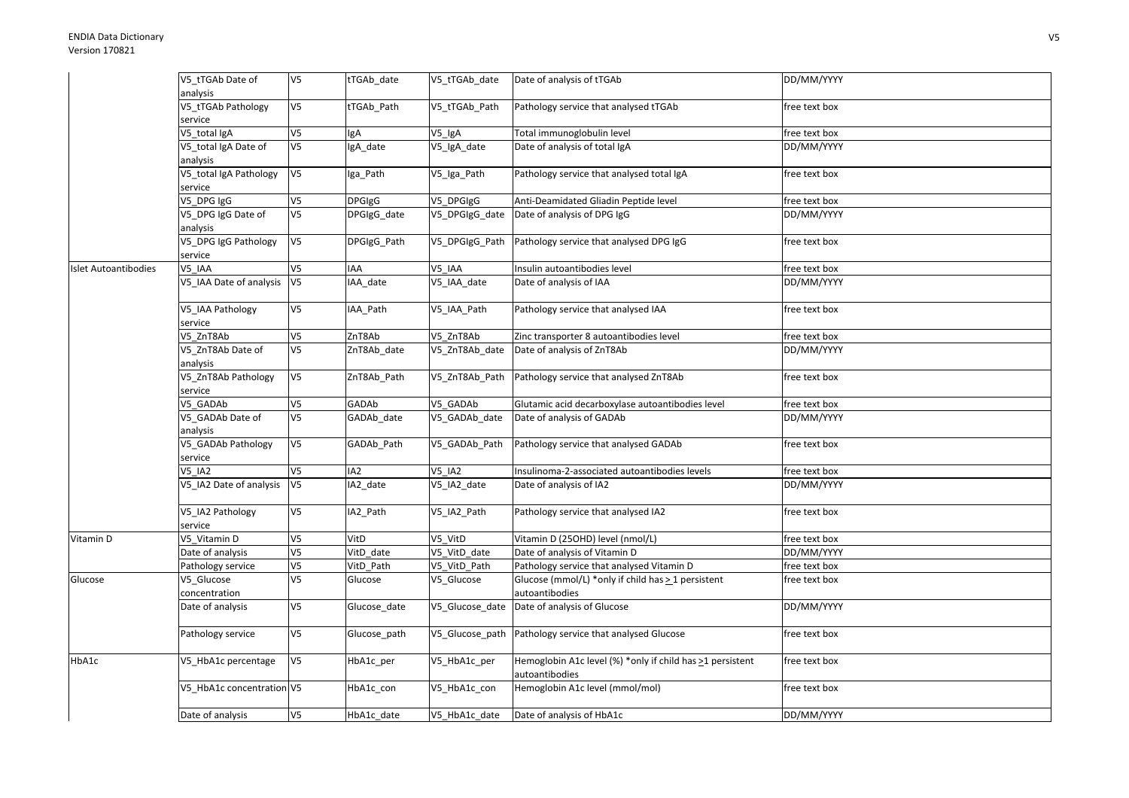|                      | V5 tTGAb Date of          | V5             | tTGAb date      | V5_tTGAb_date   | Date of analysis of tTGAb                                                   | DD/MM/YYYY    |
|----------------------|---------------------------|----------------|-----------------|-----------------|-----------------------------------------------------------------------------|---------------|
|                      | analysis                  |                |                 |                 |                                                                             |               |
|                      | V5 tTGAb Pathology        | V5             | tTGAb Path      | V5 tTGAb Path   | Pathology service that analysed tTGAb                                       | free text box |
|                      | service                   |                |                 |                 |                                                                             |               |
|                      | V5_total IgA              | V5             | IgA             | $V_5$ _IgA      | Total immunoglobulin level                                                  | free text box |
|                      | V5_total IgA Date of      | V5             | IgA date        | V5_IgA_date     | Date of analysis of total IgA                                               | DD/MM/YYYY    |
|                      | analysis                  |                |                 |                 |                                                                             |               |
|                      | V5_total IgA Pathology    | V5             | Iga_Path        | V5_Iga_Path     | Pathology service that analysed total IgA                                   | free text box |
|                      | service                   |                |                 |                 |                                                                             |               |
|                      | $\overline{V5}$ _DPG IgG  | V5             | <b>DPGIgG</b>   | V5_DPGIgG       | Anti-Deamidated Gliadin Peptide level                                       | free text box |
|                      | V5_DPG IgG Date of        | V5             | DPGIgG_date     | V5_DPGIgG_date  | Date of analysis of DPG IgG                                                 | DD/MM/YYYY    |
|                      | analysis                  |                |                 |                 |                                                                             |               |
|                      | V5_DPG IgG Pathology      | V5             | DPGIgG_Path     | V5_DPGIgG_Path  | Pathology service that analysed DPG IgG                                     | free text box |
|                      | service                   |                |                 |                 |                                                                             |               |
| Islet Autoantibodies | V5 IAA                    | V5             | IAA             | V5_IAA          | Insulin autoantibodies level                                                | free text box |
|                      | V5 IAA Date of analysis   | V <sub>5</sub> | IAA_date        | V5_IAA_date     | Date of analysis of IAA                                                     | DD/MM/YYYY    |
|                      | V5_IAA Pathology          | V5             | IAA_Path        | V5_IAA_Path     | Pathology service that analysed IAA                                         | free text box |
|                      | service                   |                |                 |                 |                                                                             |               |
|                      | V5_ZnT8Ab                 | V5             | ZnT8Ab          | V5 ZnT8Ab       | Zinc transporter 8 autoantibodies level                                     | free text box |
|                      | V5_ZnT8Ab Date of         | V5             | ZnT8Ab_date     | V5_ZnT8Ab_date  | Date of analysis of ZnT8Ab                                                  | DD/MM/YYYY    |
|                      | analysis                  |                |                 |                 |                                                                             |               |
|                      | V5_ZnT8Ab Pathology       | V5             | ZnT8Ab_Path     | V5_ZnT8Ab_Path  | Pathology service that analysed ZnT8Ab                                      | free text box |
|                      | service                   |                |                 |                 |                                                                             |               |
|                      | V5 GADAb                  | V5             | GADAb           | V5 GADAb        | Glutamic acid decarboxylase autoantibodies level                            | free text box |
|                      | V5_GADAb Date of          | V5             | GADAb_date      | V5_GADAb_date   | Date of analysis of GADAb                                                   | DD/MM/YYYY    |
|                      | analysis                  |                |                 |                 |                                                                             |               |
|                      | V5_GADAb Pathology        | V5             | GADAb_Path      | V5_GADAb_Path   | Pathology service that analysed GADAb                                       | free text box |
|                      | service                   |                |                 |                 |                                                                             |               |
|                      | V5_IA2                    | V5             | IA <sub>2</sub> | <b>V5 IA2</b>   | Insulinoma-2-associated autoantibodies levels                               | free text box |
|                      | V5_IA2 Date of analysis   | V5             | IA2_date        | V5_IA2_date     | Date of analysis of IA2                                                     | DD/MM/YYYY    |
|                      | V5_IA2 Pathology          | V5             | IA2_Path        | V5_IA2_Path     | Pathology service that analysed IA2                                         | free text box |
|                      | service                   |                |                 |                 |                                                                             |               |
| Vitamin D            | V5 Vitamin D              | V5             | VitD            | V5 VitD         | Vitamin D (25OHD) level (nmol/L)                                            | free text box |
|                      | Date of analysis          | V5             | VitD_date       | V5_VitD_date    | Date of analysis of Vitamin D                                               | DD/MM/YYYY    |
|                      | Pathology service         | V5             | VitD Path       | V5_VitD_Path    | Pathology service that analysed Vitamin D                                   | free text box |
| Glucose              | /5_Glucose                | V5             | Glucose         | V5_Glucose      | Glucose (mmol/L) *only if child has > 1 persistent                          | free text box |
|                      | concentration             |                |                 |                 | autoantibodies                                                              |               |
|                      | Date of analysis          | V5             | Glucose_date    | V5_Glucose_date | Date of analysis of Glucose                                                 | DD/MM/YYYY    |
|                      | Pathology service         | V5             | Glucose path    | V5_Glucose_path | Pathology service that analysed Glucose                                     | free text box |
|                      |                           |                |                 |                 |                                                                             |               |
| HbA1c                | V5_HbA1c percentage       | V5             | HbA1c_per       | V5_HbA1c_per    | Hemoglobin A1c level (%) *only if child has >1 persistent<br>autoantibodies | free text box |
|                      | V5 HbA1c concentration V5 |                | HbA1c_con       | V5_HbA1c_con    | Hemoglobin A1c level (mmol/mol)                                             | free text box |
|                      |                           |                |                 |                 |                                                                             |               |
|                      | Date of analysis          | V5             | HbA1c_date      | V5 HbA1c date   | Date of analysis of HbA1c                                                   | DD/MM/YYYY    |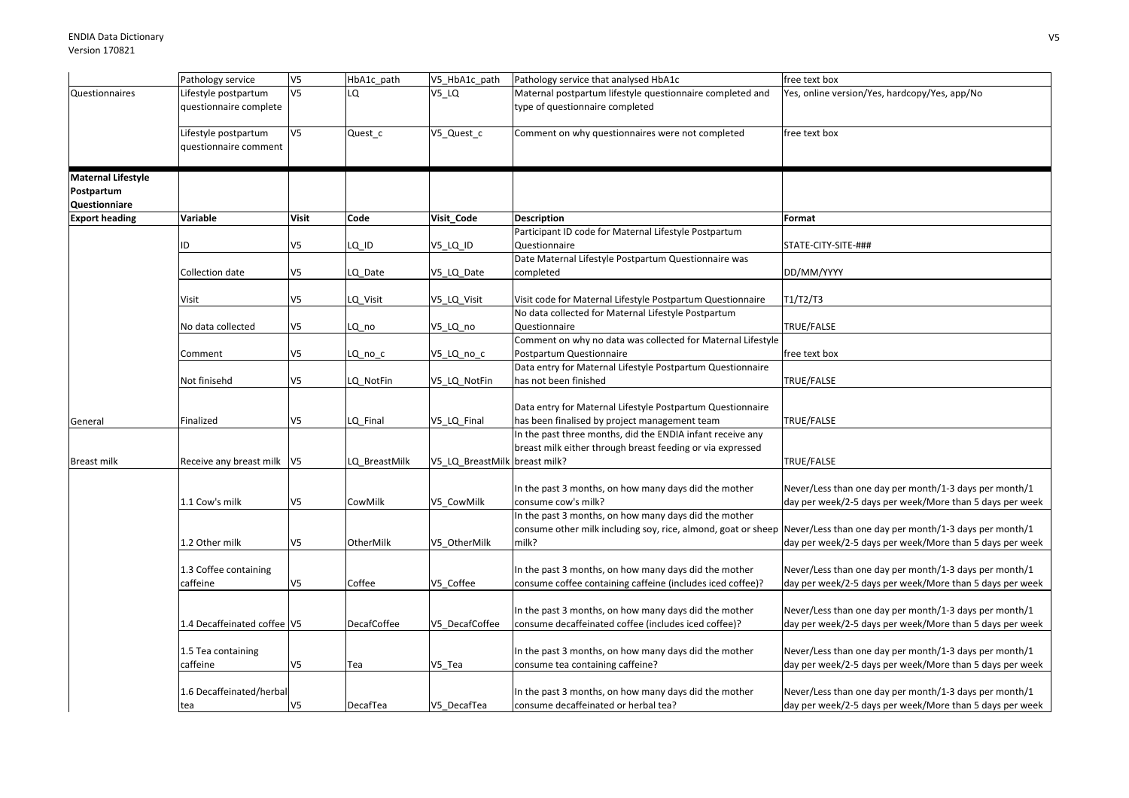|                           | Pathology service            | V <sub>5</sub> | HbA1c path         | V5_HbA1c_path                 | Pathology service that analysed HbA1c                         | free text box                                            |
|---------------------------|------------------------------|----------------|--------------------|-------------------------------|---------------------------------------------------------------|----------------------------------------------------------|
| Questionnaires            | Lifestyle postpartum         | V <sub>5</sub> | LO.                | V5_LQ                         | Maternal postpartum lifestyle questionnaire completed and     | Yes, online version/Yes, hardcopy/Yes, app/No            |
|                           | questionnaire complete       |                |                    |                               | type of questionnaire completed                               |                                                          |
|                           |                              |                |                    |                               |                                                               |                                                          |
|                           | Lifestyle postpartum         | V <sub>5</sub> | Quest_c            | V5_Quest_c                    | Comment on why questionnaires were not completed              | free text box                                            |
|                           | questionnaire comment        |                |                    |                               |                                                               |                                                          |
| <b>Maternal Lifestyle</b> |                              |                |                    |                               |                                                               |                                                          |
| Postpartum                |                              |                |                    |                               |                                                               |                                                          |
| Questionniare             |                              |                |                    |                               |                                                               |                                                          |
| <b>Export heading</b>     | Variable                     | <b>Visit</b>   | Code               | Visit_Code                    | <b>Description</b>                                            | Format                                                   |
|                           |                              |                |                    |                               | Participant ID code for Maternal Lifestyle Postpartum         |                                                          |
|                           | ID                           | V <sub>5</sub> | $LQ$ $ID$          | V5 LQ ID                      | Questionnaire                                                 | STATE-CITY-SITE-###                                      |
|                           |                              |                |                    |                               | Date Maternal Lifestyle Postpartum Questionnaire was          |                                                          |
|                           | Collection date              | V5             | LQ Date            | V5_LQ_Date                    | completed                                                     | DD/MM/YYYY                                               |
|                           | Visit                        | V5             | LQ Visit           | V5 LQ Visit                   | Visit code for Maternal Lifestyle Postpartum Questionnaire    | T1/T2/T3                                                 |
|                           |                              |                |                    |                               | No data collected for Maternal Lifestyle Postpartum           |                                                          |
|                           | No data collected            | V5             | LQ_no              | V5_LQ_no                      | Questionnaire                                                 | TRUE/FALSE                                               |
|                           |                              |                |                    |                               | Comment on why no data was collected for Maternal Lifestyle   |                                                          |
|                           | Comment                      | V5             | LQ_no_c            | V5_LQ_no_c                    | Postpartum Questionnaire                                      | free text box                                            |
|                           |                              |                |                    |                               | Data entry for Maternal Lifestyle Postpartum Questionnaire    |                                                          |
|                           | Not finisehd                 | V5             | LQ_NotFin          | V5_LQ_NotFin                  | has not been finished                                         | TRUE/FALSE                                               |
|                           |                              |                |                    |                               |                                                               |                                                          |
|                           |                              |                |                    |                               | Data entry for Maternal Lifestyle Postpartum Questionnaire    |                                                          |
| General                   | Finalized                    | V5             | LQ_Final           | V5_LQ_Final                   | has been finalised by project management team                 | TRUE/FALSE                                               |
|                           |                              |                |                    |                               | In the past three months, did the ENDIA infant receive any    |                                                          |
| Breast milk               | Receive any breast milk   V5 |                | LQ BreastMilk      | V5 LQ BreastMilk breast milk? | breast milk either through breast feeding or via expressed    | TRUE/FALSE                                               |
|                           |                              |                |                    |                               |                                                               |                                                          |
|                           |                              |                |                    |                               | In the past 3 months, on how many days did the mother         | Never/Less than one day per month/1-3 days per month/1   |
|                           | 1.1 Cow's milk               | V <sub>5</sub> | CowMilk            | V5_CowMilk                    | consume cow's milk?                                           | day per week/2-5 days per week/More than 5 days per week |
|                           |                              |                |                    |                               | In the past 3 months, on how many days did the mother         |                                                          |
|                           |                              |                |                    |                               | consume other milk including soy, rice, almond, goat or sheep | Never/Less than one day per month/1-3 days per month/1   |
|                           | 1.2 Other milk               | V5             | OtherMilk          | V5 OtherMilk                  | milk?                                                         | day per week/2-5 days per week/More than 5 days per week |
|                           |                              |                |                    |                               |                                                               |                                                          |
|                           | 1.3 Coffee containing        |                |                    |                               | In the past 3 months, on how many days did the mother         | Never/Less than one day per month/1-3 days per month/1   |
|                           | caffeine                     | V5             | Coffee             | V5 Coffee                     | consume coffee containing caffeine (includes iced coffee)?    | day per week/2-5 days per week/More than 5 days per week |
|                           |                              |                |                    |                               | In the past 3 months, on how many days did the mother         | Never/Less than one day per month/1-3 days per month/1   |
|                           | 1.4 Decaffeinated coffee V5  |                | <b>DecafCoffee</b> | V5 DecafCoffee                | consume decaffeinated coffee (includes iced coffee)?          | day per week/2-5 days per week/More than 5 days per week |
|                           |                              |                |                    |                               |                                                               |                                                          |
|                           | 1.5 Tea containing           |                |                    |                               | In the past 3 months, on how many days did the mother         | Never/Less than one day per month/1-3 days per month/1   |
|                           | caffeine                     | V5             | Tea                | V5 Tea                        | consume tea containing caffeine?                              | day per week/2-5 days per week/More than 5 days per week |
|                           |                              |                |                    |                               |                                                               |                                                          |
|                           | 1.6 Decaffeinated/herbal     |                |                    |                               | In the past 3 months, on how many days did the mother         | Never/Less than one day per month/1-3 days per month/1   |
|                           | tea                          | V5             | DecafTea           | V5 DecafTea                   | consume decaffeinated or herbal tea?                          | day per week/2-5 days per week/More than 5 days per week |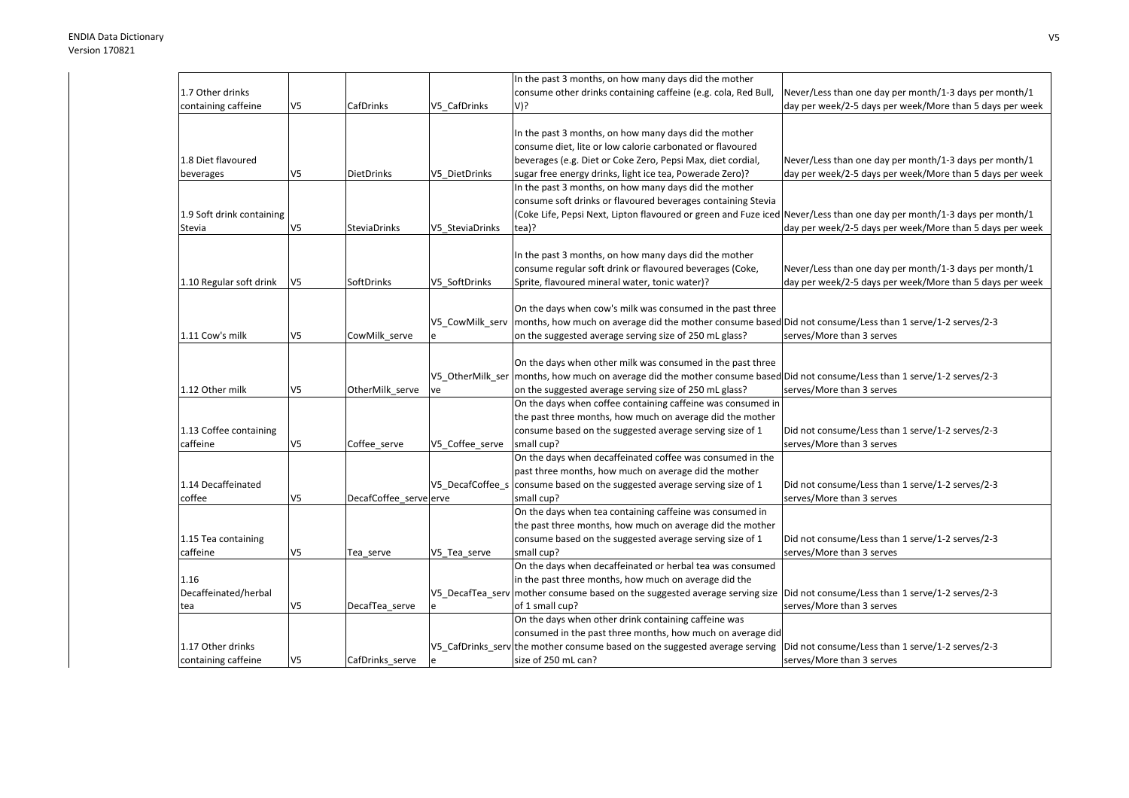|                           |                |                        |                  | In the past 3 months, on how many days did the mother                                                                         |                                                          |
|---------------------------|----------------|------------------------|------------------|-------------------------------------------------------------------------------------------------------------------------------|----------------------------------------------------------|
| 1.7 Other drinks          |                |                        |                  | consume other drinks containing caffeine (e.g. cola, Red Bull,                                                                | Never/Less than one day per month/1-3 days per month/1   |
| containing caffeine       | V5             | CafDrinks              | V5 CafDrinks     | V)?                                                                                                                           | day per week/2-5 days per week/More than 5 days per week |
|                           |                |                        |                  |                                                                                                                               |                                                          |
|                           |                |                        |                  | In the past 3 months, on how many days did the mother                                                                         |                                                          |
|                           |                |                        |                  | consume diet, lite or low calorie carbonated or flavoured                                                                     |                                                          |
| 1.8 Diet flavoured        |                |                        |                  | beverages (e.g. Diet or Coke Zero, Pepsi Max, diet cordial,                                                                   | Never/Less than one day per month/1-3 days per month/1   |
| beverages                 | V5             | <b>DietDrinks</b>      | V5_DietDrinks    | sugar free energy drinks, light ice tea, Powerade Zero)?                                                                      | day per week/2-5 days per week/More than 5 days per week |
|                           |                |                        |                  | In the past 3 months, on how many days did the mother                                                                         |                                                          |
|                           |                |                        |                  | consume soft drinks or flavoured beverages containing Stevia                                                                  |                                                          |
| 1.9 Soft drink containing |                |                        |                  | (Coke Life, Pepsi Next, Lipton flavoured or green and Fuze iced Never/Less than one day per month/1-3 days per month/1        |                                                          |
| Stevia                    | V5             | <b>SteviaDrinks</b>    | V5 SteviaDrinks  | tea)?                                                                                                                         | day per week/2-5 days per week/More than 5 days per week |
|                           |                |                        |                  |                                                                                                                               |                                                          |
|                           |                |                        |                  | In the past 3 months, on how many days did the mother                                                                         |                                                          |
|                           |                |                        |                  | consume regular soft drink or flavoured beverages (Coke,                                                                      | Never/Less than one day per month/1-3 days per month/1   |
| 1.10 Regular soft drink   | V5             | SoftDrinks             | V5 SoftDrinks    | Sprite, flavoured mineral water, tonic water)?                                                                                | day per week/2-5 days per week/More than 5 days per week |
|                           |                |                        |                  |                                                                                                                               |                                                          |
|                           |                |                        |                  | On the days when cow's milk was consumed in the past three                                                                    |                                                          |
|                           |                |                        | V5_CowMilk_serv  | months, how much on average did the mother consume based Did not consume/Less than 1 serve/1-2 serves/2-3                     |                                                          |
| 1.11 Cow's milk           | V5             | CowMilk_serve          |                  | on the suggested average serving size of 250 mL glass?                                                                        | serves/More than 3 serves                                |
|                           |                |                        |                  |                                                                                                                               |                                                          |
|                           |                |                        |                  | On the days when other milk was consumed in the past three                                                                    |                                                          |
|                           |                |                        |                  | V5_OtherMilk_ser   months, how much on average did the mother consume based Did not consume/Less than 1 serve/1-2 serves/2-3  |                                                          |
| 1.12 Other milk           | V5             | OtherMilk_serve        | ve               | on the suggested average serving size of 250 mL glass?                                                                        | serves/More than 3 serves                                |
|                           |                |                        |                  | On the days when coffee containing caffeine was consumed in                                                                   |                                                          |
|                           |                |                        |                  | the past three months, how much on average did the mother                                                                     |                                                          |
| 1.13 Coffee containing    |                |                        |                  | consume based on the suggested average serving size of 1                                                                      | Did not consume/Less than 1 serve/1-2 serves/2-3         |
| caffeine                  | V <sub>5</sub> | Coffee_serve           | V5_Coffee_serve  | small cup?                                                                                                                    | serves/More than 3 serves                                |
|                           |                |                        |                  | On the days when decaffeinated coffee was consumed in the                                                                     |                                                          |
|                           |                |                        |                  | past three months, how much on average did the mother                                                                         |                                                          |
| 1.14 Decaffeinated        |                |                        | V5 DecafCoffee s | consume based on the suggested average serving size of 1                                                                      | Did not consume/Less than 1 serve/1-2 serves/2-3         |
| coffee                    | V <sub>5</sub> | DecafCoffee_serve erve |                  | small cup?                                                                                                                    | serves/More than 3 serves                                |
|                           |                |                        |                  | On the days when tea containing caffeine was consumed in                                                                      |                                                          |
|                           |                |                        |                  | the past three months, how much on average did the mother                                                                     |                                                          |
| 1.15 Tea containing       |                |                        |                  | consume based on the suggested average serving size of 1                                                                      | Did not consume/Less than 1 serve/1-2 serves/2-3         |
| caffeine                  | V5             |                        | V5_Tea_serve     | small cup?                                                                                                                    | serves/More than 3 serves                                |
|                           |                | Tea_serve              |                  | On the days when decaffeinated or herbal tea was consumed                                                                     |                                                          |
| 1.16                      |                |                        |                  | in the past three months, how much on average did the                                                                         |                                                          |
| Decaffeinated/herbal      |                |                        |                  | V5_DecafTea_serv mother consume based on the suggested average serving size  Did not consume/Less than 1 serve/1-2 serves/2-3 |                                                          |
|                           |                |                        |                  |                                                                                                                               |                                                          |
| tea                       | V5             | DecafTea_serve         |                  | of 1 small cup?<br>On the days when other drink containing caffeine was                                                       | serves/More than 3 serves                                |
|                           |                |                        |                  |                                                                                                                               |                                                          |
|                           |                |                        |                  | consumed in the past three months, how much on average did                                                                    |                                                          |
| 1.17 Other drinks         |                |                        |                  | V5_CafDrinks_serv the mother consume based on the suggested average serving                                                   | Did not consume/Less than 1 serve/1-2 serves/2-3         |
| containing caffeine       | V <sub>5</sub> | CafDrinks serve        |                  | size of 250 mL can?                                                                                                           | serves/More than 3 serves                                |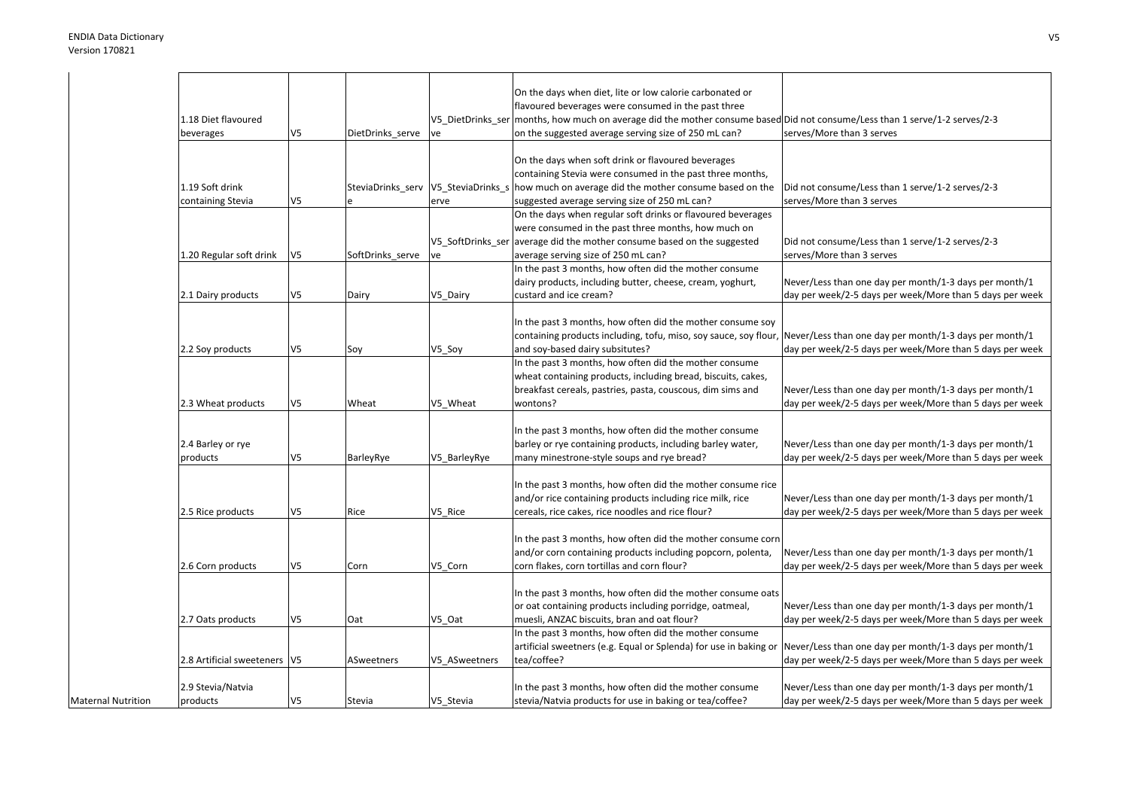|                           |                                |                |                                     |                   | On the days when diet, lite or low calorie carbonated or                                                  |                                                          |
|---------------------------|--------------------------------|----------------|-------------------------------------|-------------------|-----------------------------------------------------------------------------------------------------------|----------------------------------------------------------|
|                           |                                |                |                                     |                   | flavoured beverages were consumed in the past three                                                       |                                                          |
|                           | 1.18 Diet flavoured            |                |                                     | V5_DietDrinks_ser | months, how much on average did the mother consume based Did not consume/Less than 1 serve/1-2 serves/2-3 |                                                          |
|                           | beverages                      | V <sub>5</sub> | DietDrinks_serve                    | ve                | on the suggested average serving size of 250 mL can?                                                      | serves/More than 3 serves                                |
|                           |                                |                |                                     |                   |                                                                                                           |                                                          |
|                           |                                |                |                                     |                   | On the days when soft drink or flavoured beverages                                                        |                                                          |
|                           |                                |                |                                     |                   | containing Stevia were consumed in the past three months,                                                 |                                                          |
|                           | 1.19 Soft drink                |                | SteviaDrinks_serv V5_SteviaDrinks_s |                   | how much on average did the mother consume based on the                                                   | Did not consume/Less than 1 serve/1-2 serves/2-3         |
|                           | containing Stevia              | V <sub>5</sub> |                                     | erve              | suggested average serving size of 250 mL can?                                                             | serves/More than 3 serves                                |
|                           |                                |                |                                     |                   | On the days when regular soft drinks or flavoured beverages                                               |                                                          |
|                           |                                |                |                                     |                   | were consumed in the past three months, how much on                                                       |                                                          |
|                           |                                |                |                                     | V5 SoftDrinks ser | average did the mother consume based on the suggested                                                     | Did not consume/Less than 1 serve/1-2 serves/2-3         |
|                           |                                | V <sub>5</sub> |                                     |                   |                                                                                                           | serves/More than 3 serves                                |
|                           | 1.20 Regular soft drink        |                | SoftDrinks_serve                    | ve                | average serving size of 250 mL can?                                                                       |                                                          |
|                           |                                |                |                                     |                   | In the past 3 months, how often did the mother consume                                                    |                                                          |
|                           |                                |                |                                     |                   | dairy products, including butter, cheese, cream, yoghurt,                                                 | Never/Less than one day per month/1-3 days per month/1   |
|                           | 2.1 Dairy products             | V <sub>5</sub> | Dairy                               | V5_Dairy          | custard and ice cream?                                                                                    | day per week/2-5 days per week/More than 5 days per week |
|                           |                                |                |                                     |                   |                                                                                                           |                                                          |
|                           |                                |                |                                     |                   | In the past 3 months, how often did the mother consume soy                                                |                                                          |
|                           |                                |                |                                     |                   | containing products including, tofu, miso, soy sauce, soy flour,                                          | Never/Less than one day per month/1-3 days per month/1   |
|                           | 2.2 Soy products               | V <sub>5</sub> | Soy                                 | V5_Soy            | and soy-based dairy subsitutes?                                                                           | day per week/2-5 days per week/More than 5 days per week |
|                           |                                |                |                                     |                   | In the past 3 months, how often did the mother consume                                                    |                                                          |
|                           |                                |                |                                     |                   | wheat containing products, including bread, biscuits, cakes,                                              |                                                          |
|                           |                                |                |                                     |                   | breakfast cereals, pastries, pasta, couscous, dim sims and                                                | Never/Less than one day per month/1-3 days per month/1   |
|                           | 2.3 Wheat products             | V <sub>5</sub> | Wheat                               | V5 Wheat          | wontons?                                                                                                  | day per week/2-5 days per week/More than 5 days per week |
|                           |                                |                |                                     |                   |                                                                                                           |                                                          |
|                           |                                |                |                                     |                   | In the past 3 months, how often did the mother consume                                                    |                                                          |
|                           | 2.4 Barley or rye              |                |                                     |                   | barley or rye containing products, including barley water,                                                | Never/Less than one day per month/1-3 days per month/1   |
|                           | products                       | V <sub>5</sub> | BarleyRye                           | V5 BarleyRye      | many minestrone-style soups and rye bread?                                                                | day per week/2-5 days per week/More than 5 days per week |
|                           |                                |                |                                     |                   |                                                                                                           |                                                          |
|                           |                                |                |                                     |                   |                                                                                                           |                                                          |
|                           |                                |                |                                     |                   | In the past 3 months, how often did the mother consume rice                                               |                                                          |
|                           |                                |                |                                     |                   | and/or rice containing products including rice milk, rice                                                 | Never/Less than one day per month/1-3 days per month/1   |
|                           | 2.5 Rice products              | V <sub>5</sub> | Rice                                | V5 Rice           | cereals, rice cakes, rice noodles and rice flour?                                                         | day per week/2-5 days per week/More than 5 days per week |
|                           |                                |                |                                     |                   |                                                                                                           |                                                          |
|                           |                                |                |                                     |                   | In the past 3 months, how often did the mother consume corn                                               |                                                          |
|                           |                                |                |                                     |                   | and/or corn containing products including popcorn, polenta,                                               | Never/Less than one day per month/1-3 days per month/1   |
|                           | 2.6 Corn products              | V <sub>5</sub> | Corn                                | V5 Corn           | corn flakes, corn tortillas and corn flour?                                                               | day per week/2-5 days per week/More than 5 days per week |
|                           |                                |                |                                     |                   |                                                                                                           |                                                          |
|                           |                                |                |                                     |                   | In the past 3 months, how often did the mother consume oats                                               |                                                          |
|                           |                                |                |                                     |                   | or oat containing products including porridge, oatmeal,                                                   | Never/Less than one day per month/1-3 days per month/1   |
|                           | 2.7 Oats products              | V <sub>5</sub> | Oat                                 | V5 Oat            | muesli, ANZAC biscuits, bran and oat flour?                                                               | day per week/2-5 days per week/More than 5 days per week |
|                           |                                |                |                                     |                   | In the past 3 months, how often did the mother consume                                                    |                                                          |
|                           |                                |                |                                     |                   | artificial sweetners (e.g. Equal or Splenda) for use in baking or                                         | Never/Less than one day per month/1-3 days per month/1   |
|                           | 2.8 Artificial sweeteners   V5 |                | ASweetners                          | V5 ASweetners     | tea/coffee?                                                                                               | day per week/2-5 days per week/More than 5 days per week |
|                           |                                |                |                                     |                   |                                                                                                           |                                                          |
|                           |                                |                |                                     |                   |                                                                                                           |                                                          |
|                           | 2.9 Stevia/Natvia              |                |                                     |                   | In the past 3 months, how often did the mother consume                                                    | Never/Less than one day per month/1-3 days per month/1   |
| <b>Maternal Nutrition</b> | products                       | V <sub>5</sub> | Stevia                              | V5 Stevia         | stevia/Natvia products for use in baking or tea/coffee?                                                   | day per week/2-5 days per week/More than 5 days per week |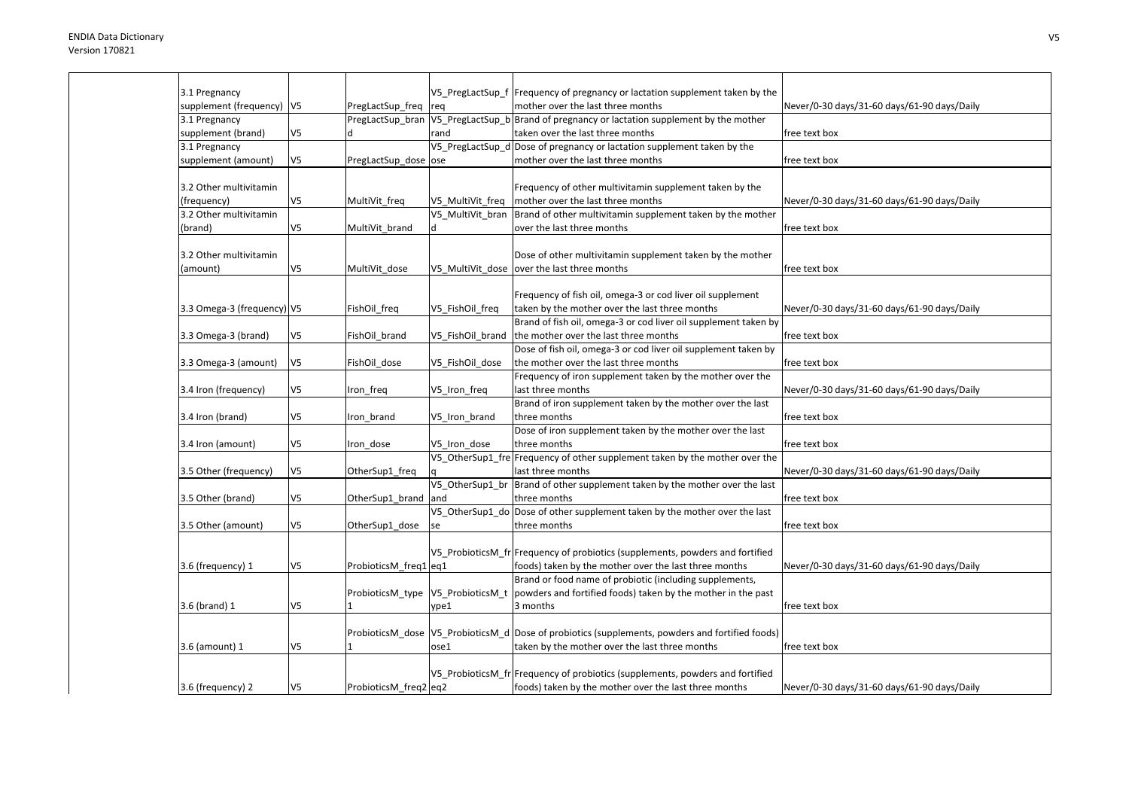| 3.1 Pregnancy               |                |                                   |                  | V5_PregLactSup_f  Frequency of pregnancy or lactation supplement taken by the                      |                                             |
|-----------------------------|----------------|-----------------------------------|------------------|----------------------------------------------------------------------------------------------------|---------------------------------------------|
| supplement (frequency)   V5 |                | PregLactSup_freq                  | req              | mother over the last three months                                                                  | Never/0-30 days/31-60 days/61-90 days/Daily |
| 3.1 Pregnancy               |                |                                   |                  | PreglactSup bran $\sqrt{5}$ PreglactSup b Brand of pregnancy or lactation supplement by the mother |                                             |
| supplement (brand)          | V <sub>5</sub> |                                   | rand             | taken over the last three months                                                                   | free text box                               |
| 3.1 Pregnancy               |                |                                   |                  | V5 PregLactSup d Dose of pregnancy or lactation supplement taken by the                            |                                             |
| supplement (amount)         | V <sub>5</sub> | PregLactSup dose ose              |                  | mother over the last three months                                                                  | free text box                               |
|                             |                |                                   |                  |                                                                                                    |                                             |
| 3.2 Other multivitamin      |                |                                   |                  | Frequency of other multivitamin supplement taken by the                                            |                                             |
| (frequency)                 | V <sub>5</sub> | MultiVit_freq                     | V5 MultiVit freq | mother over the last three months                                                                  | Never/0-30 days/31-60 days/61-90 days/Daily |
| 3.2 Other multivitamin      |                |                                   | V5 MultiVit bran | Brand of other multivitamin supplement taken by the mother                                         |                                             |
| (brand)                     | V5             | MultiVit brand                    | d                | over the last three months                                                                         | free text box                               |
|                             |                |                                   |                  |                                                                                                    |                                             |
| 3.2 Other multivitamin      |                |                                   |                  | Dose of other multivitamin supplement taken by the mother                                          |                                             |
| (amount)                    | V <sub>5</sub> | MultiVit dose                     |                  | V5_MultiVit_dose  over the last three months                                                       | free text box                               |
|                             |                |                                   |                  |                                                                                                    |                                             |
|                             |                |                                   |                  | Frequency of fish oil, omega-3 or cod liver oil supplement                                         |                                             |
| 3.3 Omega-3 (frequency) V5  |                | FishOil_freq                      | V5_FishOil_freq  | taken by the mother over the last three months                                                     | Never/0-30 days/31-60 days/61-90 days/Daily |
|                             |                |                                   |                  | Brand of fish oil, omega-3 or cod liver oil supplement taken by                                    |                                             |
| 3.3 Omega-3 (brand)         | V5             | FishOil brand                     | V5_FishOil_brand | the mother over the last three months                                                              | free text box                               |
|                             |                |                                   |                  | Dose of fish oil, omega-3 or cod liver oil supplement taken by                                     |                                             |
| 3.3 Omega-3 (amount)        | V <sub>5</sub> | FishOil dose                      | V5 FishOil dose  | the mother over the last three months                                                              | free text box                               |
|                             |                |                                   |                  | Frequency of iron supplement taken by the mother over the                                          |                                             |
| 3.4 Iron (frequency)        | V <sub>5</sub> | Iron_freq                         | V5_Iron_freq     | last three months                                                                                  | Never/0-30 days/31-60 days/61-90 days/Daily |
|                             |                |                                   |                  | Brand of iron supplement taken by the mother over the last                                         |                                             |
| 3.4 Iron (brand)            | V <sub>5</sub> | Iron brand                        | V5_Iron_brand    | three months                                                                                       | free text box                               |
|                             |                |                                   |                  | Dose of iron supplement taken by the mother over the last                                          |                                             |
|                             | V5             |                                   | V5 Iron dose     | three months                                                                                       | free text box                               |
| 3.4 Iron (amount)           |                | Iron_dose                         |                  |                                                                                                    |                                             |
|                             |                |                                   |                  | V5_OtherSup1_fre Frequency of other supplement taken by the mother over the                        |                                             |
| 3.5 Other (frequency)       | V <sub>5</sub> | OtherSup1_freq                    |                  | last three months                                                                                  | Never/0-30 days/31-60 days/61-90 days/Daily |
|                             |                |                                   | V5 OtherSup1 br  | Brand of other supplement taken by the mother over the last                                        |                                             |
| 3.5 Other (brand)           | V <sub>5</sub> | OtherSup1_brand                   | and              | three months                                                                                       | free text box                               |
|                             |                |                                   |                  | V5_OtherSup1_do Dose of other supplement taken by the mother over the last                         |                                             |
| 3.5 Other (amount)          | V5             | OtherSup1_dose                    | se               | three months                                                                                       | free text box                               |
|                             |                |                                   |                  |                                                                                                    |                                             |
|                             |                |                                   |                  | V5 ProbioticsM fr Frequency of probiotics (supplements, powders and fortified                      |                                             |
| 3.6 (frequency) 1           | V <sub>5</sub> | ProbioticsM_freq1 eq1             |                  | foods) taken by the mother over the last three months                                              | Never/0-30 days/31-60 days/61-90 days/Daily |
|                             |                |                                   |                  | Brand or food name of probiotic (including supplements,                                            |                                             |
|                             |                | ProbioticsM_type V5_ProbioticsM_t |                  | powders and fortified foods) taken by the mother in the past                                       |                                             |
| 3.6 (brand) 1               | V <sub>5</sub> | 1                                 | vpe1             | 3 months                                                                                           | free text box                               |
|                             |                |                                   |                  |                                                                                                    |                                             |
|                             |                |                                   |                  | ProbioticsM_dose  V5_ProbioticsM_d  Dose of probiotics (supplements, powders and fortified foods)  |                                             |
| 3.6 (amount) 1              | V <sub>5</sub> |                                   | ose1             | taken by the mother over the last three months                                                     | free text box                               |
|                             |                |                                   |                  |                                                                                                    |                                             |
|                             |                |                                   |                  | V5 ProbioticsM fr Frequency of probiotics (supplements, powders and fortified                      |                                             |
| 3.6 (frequency) 2           | V <sub>5</sub> | ProbioticsM freq2 eq2             |                  | foods) taken by the mother over the last three months                                              | Never/0-30 days/31-60 days/61-90 days/Daily |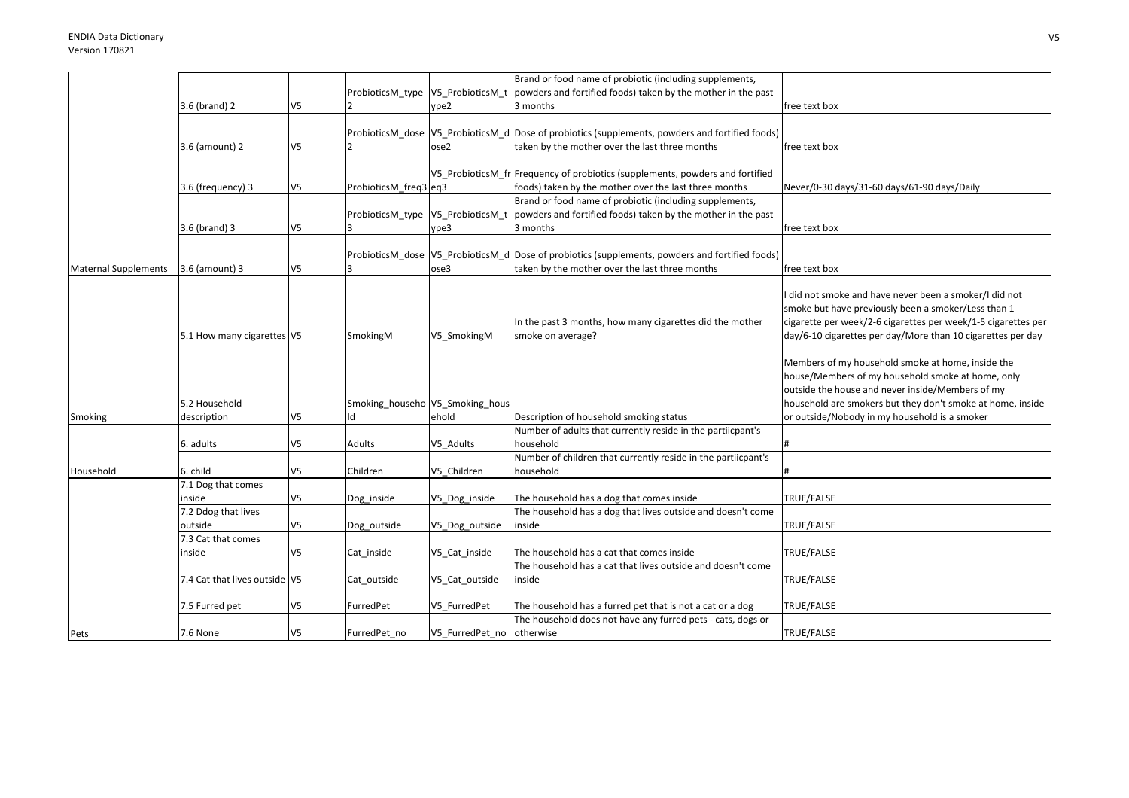|                             |                               |                |                       |                                 | Brand or food name of probiotic (including supplements,                                                     |                                                               |
|-----------------------------|-------------------------------|----------------|-----------------------|---------------------------------|-------------------------------------------------------------------------------------------------------------|---------------------------------------------------------------|
|                             |                               |                |                       |                                 | ProbioticsM_type $\sqrt{V}$ V5_ProbioticsM_t   powders and fortified foods) taken by the mother in the past |                                                               |
|                             | 3.6 (brand) 2                 | V <sub>5</sub> |                       | ype2                            | 3 months                                                                                                    | free text box                                                 |
|                             |                               |                |                       |                                 |                                                                                                             |                                                               |
|                             |                               |                |                       |                                 | ProbioticsM_dose  V5_ProbioticsM_d  Dose of probiotics (supplements, powders and fortified foods)           |                                                               |
|                             | 3.6 (amount) 2                | V <sub>5</sub> |                       | ose2                            | taken by the mother over the last three months                                                              | free text box                                                 |
|                             |                               |                |                       |                                 |                                                                                                             |                                                               |
|                             |                               |                |                       |                                 | V5 ProbioticsM fr Frequency of probiotics (supplements, powders and fortified                               |                                                               |
|                             | 3.6 (frequency) 3             | V <sub>5</sub> | ProbioticsM_freq3 eq3 |                                 | foods) taken by the mother over the last three months                                                       | Never/0-30 days/31-60 days/61-90 days/Daily                   |
|                             |                               |                |                       |                                 | Brand or food name of probiotic (including supplements,                                                     |                                                               |
|                             |                               |                |                       |                                 |                                                                                                             |                                                               |
|                             |                               |                |                       |                                 | ProbioticsM_type $\sqrt{V}$ V5_ProbioticsM_t   powders and fortified foods) taken by the mother in the past |                                                               |
|                             | 3.6 (brand) 3                 | V <sub>5</sub> |                       | ype3                            | 3 months                                                                                                    | free text box                                                 |
|                             |                               |                |                       |                                 |                                                                                                             |                                                               |
|                             |                               |                |                       |                                 | ProbioticsM dose V5 ProbioticsM d Dose of probiotics (supplements, powders and fortified foods)             |                                                               |
| <b>Maternal Supplements</b> | 3.6 (amount) 3                | V <sub>5</sub> |                       | ose3                            | taken by the mother over the last three months                                                              | free text box                                                 |
|                             |                               |                |                       |                                 |                                                                                                             |                                                               |
|                             |                               |                |                       |                                 |                                                                                                             | did not smoke and have never been a smoker/I did not          |
|                             |                               |                |                       |                                 |                                                                                                             | smoke but have previously been a smoker/Less than 1           |
|                             |                               |                |                       |                                 | In the past 3 months, how many cigarettes did the mother                                                    | cigarette per week/2-6 cigarettes per week/1-5 cigarettes per |
|                             | 5.1 How many cigarettes V5    |                | SmokingM              | V5 SmokingM                     | smoke on average?                                                                                           | day/6-10 cigarettes per day/More than 10 cigarettes per day   |
|                             |                               |                |                       |                                 |                                                                                                             |                                                               |
|                             |                               |                |                       |                                 |                                                                                                             | Members of my household smoke at home, inside the             |
|                             |                               |                |                       |                                 |                                                                                                             | house/Members of my household smoke at home, only             |
|                             |                               |                |                       |                                 |                                                                                                             | outside the house and never inside/Members of my              |
|                             | 5.2 Household                 |                |                       | Smoking_househo V5_Smoking_hous |                                                                                                             | household are smokers but they don't smoke at home, inside    |
|                             | description                   | V5             |                       | ehold                           | Description of household smoking status                                                                     | or outside/Nobody in my household is a smoker                 |
| Smoking                     |                               |                |                       |                                 | Number of adults that currently reside in the partiicpant's                                                 |                                                               |
|                             |                               |                |                       |                                 |                                                                                                             |                                                               |
|                             | 6. adults                     | V <sub>5</sub> | Adults                | V5_Adults                       | household                                                                                                   |                                                               |
|                             |                               |                |                       |                                 | Number of children that currently reside in the partiicpant's                                               |                                                               |
| Household                   | 6. child                      | V <sub>5</sub> | Children              | V5 Children                     | household                                                                                                   |                                                               |
|                             | 7.1 Dog that comes            |                |                       |                                 |                                                                                                             |                                                               |
|                             | inside                        | V <sub>5</sub> | Dog_inside            | V5_Dog_inside                   | The household has a dog that comes inside                                                                   | TRUE/FALSE                                                    |
|                             | 7.2 Ddog that lives           |                |                       |                                 | The household has a dog that lives outside and doesn't come                                                 |                                                               |
|                             | outside                       | V <sub>5</sub> | Dog outside           | V5 Dog outside                  | inside                                                                                                      | TRUE/FALSE                                                    |
|                             | 7.3 Cat that comes            |                |                       |                                 |                                                                                                             |                                                               |
|                             | inside                        | V <sub>5</sub> | Cat inside            | V5_Cat_inside                   | The household has a cat that comes inside                                                                   | TRUE/FALSE                                                    |
|                             |                               |                |                       |                                 | The household has a cat that lives outside and doesn't come                                                 |                                                               |
|                             | 7.4 Cat that lives outside V5 |                | Cat outside           | V5 Cat outside                  | inside                                                                                                      | TRUE/FALSE                                                    |
|                             |                               |                |                       |                                 |                                                                                                             |                                                               |
|                             | 7.5 Furred pet                | V <sub>5</sub> | FurredPet             | V5 FurredPet                    | The household has a furred pet that is not a cat or a dog                                                   | TRUE/FALSE                                                    |
|                             |                               |                |                       |                                 | The household does not have any furred pets - cats, dogs or                                                 |                                                               |
|                             |                               |                |                       |                                 |                                                                                                             |                                                               |
| Pets                        | 7.6 None                      | V <sub>5</sub> | FurredPet no          | V5 FurredPet no otherwise       |                                                                                                             | TRUE/FALSE                                                    |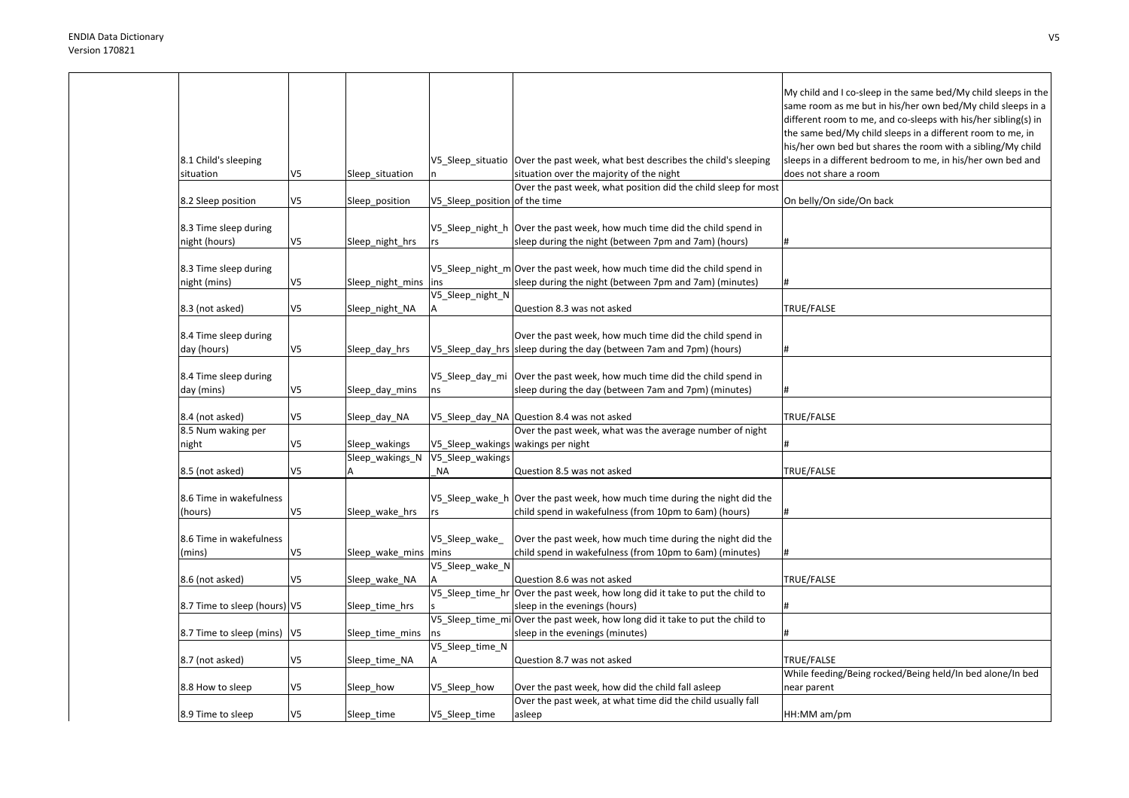|                               |                |                      |                               |                                                                                                                | My child and I co-sleep in the same bed/My child sleeps in the<br>same room as me but in his/her own bed/My child sleeps in a<br>different room to me, and co-sleeps with his/her sibling(s) in<br>the same bed/My child sleeps in a different room to me, in<br>his/her own bed but shares the room with a sibling/My child |
|-------------------------------|----------------|----------------------|-------------------------------|----------------------------------------------------------------------------------------------------------------|------------------------------------------------------------------------------------------------------------------------------------------------------------------------------------------------------------------------------------------------------------------------------------------------------------------------------|
| 8.1 Child's sleeping          |                |                      |                               | V5 Sleep situatio Over the past week, what best describes the child's sleeping                                 | sleeps in a different bedroom to me, in his/her own bed and                                                                                                                                                                                                                                                                  |
| situation                     | V5             | Sleep_situation      |                               | situation over the majority of the night                                                                       | does not share a room                                                                                                                                                                                                                                                                                                        |
|                               |                |                      |                               | Over the past week, what position did the child sleep for most                                                 |                                                                                                                                                                                                                                                                                                                              |
| 8.2 Sleep position            | V5             | Sleep_position       | V5_Sleep_position of the time |                                                                                                                | On belly/On side/On back                                                                                                                                                                                                                                                                                                     |
| 8.3 Time sleep during         |                |                      | V5_Sleep_night_h              | Over the past week, how much time did the child spend in                                                       |                                                                                                                                                                                                                                                                                                                              |
| night (hours)                 | V <sub>5</sub> | Sleep_night_hrs      | <b>rs</b>                     | sleep during the night (between 7pm and 7am) (hours)                                                           | #                                                                                                                                                                                                                                                                                                                            |
| 8.3 Time sleep during         |                |                      |                               | V5 Sleep night m Over the past week, how much time did the child spend in                                      |                                                                                                                                                                                                                                                                                                                              |
| night (mins)                  | V5             | Sleep_night_mins     | ins                           | sleep during the night (between 7pm and 7am) (minutes)                                                         |                                                                                                                                                                                                                                                                                                                              |
|                               | V5             |                      | V5_Sleep_night_N              |                                                                                                                | TRUE/FALSE                                                                                                                                                                                                                                                                                                                   |
| 8.3 (not asked)               |                | Sleep_night_NA       |                               | Question 8.3 was not asked                                                                                     |                                                                                                                                                                                                                                                                                                                              |
| 8.4 Time sleep during         |                |                      |                               | Over the past week, how much time did the child spend in                                                       |                                                                                                                                                                                                                                                                                                                              |
| day (hours)                   | V <sub>5</sub> | Sleep_day_hrs        |                               | V5_Sleep_day_hrs sleep during the day (between 7am and 7pm) (hours)                                            |                                                                                                                                                                                                                                                                                                                              |
|                               |                |                      |                               |                                                                                                                |                                                                                                                                                                                                                                                                                                                              |
| 8.4 Time sleep during         |                |                      | V5_Sleep_day_mi               | Over the past week, how much time did the child spend in                                                       |                                                                                                                                                                                                                                                                                                                              |
| day (mins)                    | V5             | Sleep_day_mins       | ns                            | sleep during the day (between 7am and 7pm) (minutes)                                                           |                                                                                                                                                                                                                                                                                                                              |
| 8.4 (not asked)               | V5             | Sleep_day_NA         |                               | V5_Sleep_day_NA Question 8.4 was not asked                                                                     | TRUE/FALSE                                                                                                                                                                                                                                                                                                                   |
| 8.5 Num waking per            |                |                      |                               | Over the past week, what was the average number of night                                                       |                                                                                                                                                                                                                                                                                                                              |
| night                         | V5             | Sleep wakings        |                               | V5_Sleep_wakings wakings per night                                                                             |                                                                                                                                                                                                                                                                                                                              |
|                               |                | Sleep_wakings_N      | V5_Sleep_wakings              |                                                                                                                |                                                                                                                                                                                                                                                                                                                              |
| 8.5 (not asked)               | V5             |                      | <b>NA</b>                     | Question 8.5 was not asked                                                                                     | TRUE/FALSE                                                                                                                                                                                                                                                                                                                   |
| 8.6 Time in wakefulness       |                |                      |                               | V5_Sleep_wake_h Over the past week, how much time during the night did the                                     |                                                                                                                                                                                                                                                                                                                              |
| (hours)                       | V5             | Sleep_wake_hrs       | rs                            | child spend in wakefulness (from 10pm to 6am) (hours)                                                          | #                                                                                                                                                                                                                                                                                                                            |
|                               |                |                      |                               |                                                                                                                |                                                                                                                                                                                                                                                                                                                              |
| 8.6 Time in wakefulness       |                |                      | V5_Sleep_wake                 | Over the past week, how much time during the night did the                                                     |                                                                                                                                                                                                                                                                                                                              |
| (mins)                        | V5             | Sleep_wake_mins mins |                               | child spend in wakefulness (from 10pm to 6am) (minutes)                                                        |                                                                                                                                                                                                                                                                                                                              |
|                               |                |                      | V5_Sleep_wake_N               |                                                                                                                |                                                                                                                                                                                                                                                                                                                              |
| 8.6 (not asked)               | V5             | Sleep_wake_NA        |                               | Question 8.6 was not asked                                                                                     | TRUE/FALSE                                                                                                                                                                                                                                                                                                                   |
|                               |                |                      | V5_Sleep_time_hr              | Over the past week, how long did it take to put the child to                                                   |                                                                                                                                                                                                                                                                                                                              |
| 8.7 Time to sleep (hours) V5  |                | Sleep_time_hrs       |                               | sleep in the evenings (hours)<br>V5_Sleep_time_mi Over the past week, how long did it take to put the child to |                                                                                                                                                                                                                                                                                                                              |
| 8.7 Time to sleep (mins)   V5 |                | Sleep_time_mins      | ns                            | sleep in the evenings (minutes)                                                                                |                                                                                                                                                                                                                                                                                                                              |
|                               |                |                      | V5_Sleep_time_N               |                                                                                                                |                                                                                                                                                                                                                                                                                                                              |
| 8.7 (not asked)               | V5             | Sleep time NA        | A                             | Question 8.7 was not asked                                                                                     | TRUE/FALSE                                                                                                                                                                                                                                                                                                                   |
|                               |                |                      |                               |                                                                                                                | While feeding/Being rocked/Being held/In bed alone/In bed                                                                                                                                                                                                                                                                    |
| 8.8 How to sleep              | V5             | Sleep_how            | V5_Sleep_how                  | Over the past week, how did the child fall asleep                                                              | near parent                                                                                                                                                                                                                                                                                                                  |
|                               |                |                      |                               | Over the past week, at what time did the child usually fall                                                    |                                                                                                                                                                                                                                                                                                                              |
| 8.9 Time to sleep             | V5             | Sleep_time           | V5_Sleep_time                 | asleep                                                                                                         | HH:MM am/pm                                                                                                                                                                                                                                                                                                                  |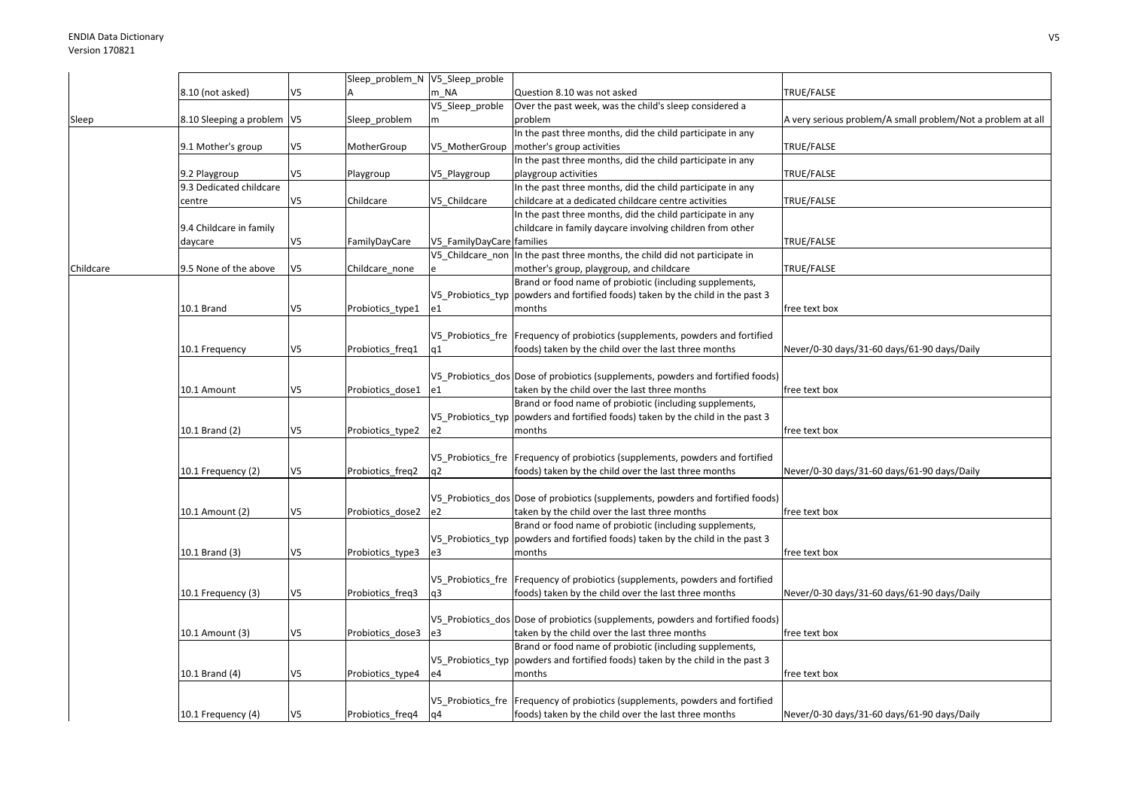|           |                              |                | Sleep_problem_N V5_Sleep_proble |                           |                                                                                  |                                                             |
|-----------|------------------------------|----------------|---------------------------------|---------------------------|----------------------------------------------------------------------------------|-------------------------------------------------------------|
|           | 8.10 (not asked)             | V5             |                                 | m NA                      | Question 8.10 was not asked                                                      | TRUE/FALSE                                                  |
|           |                              |                |                                 | V5_Sleep_proble           | Over the past week, was the child's sleep considered a                           |                                                             |
| Sleep     | 8.10 Sleeping a problem   V5 |                | Sleep_problem                   | m                         | problem                                                                          | A very serious problem/A small problem/Not a problem at all |
|           |                              |                |                                 |                           | In the past three months, did the child participate in any                       |                                                             |
|           |                              |                |                                 |                           |                                                                                  |                                                             |
|           | 9.1 Mother's group           | V5             | MotherGroup                     | V5 MotherGroup            | mother's group activities                                                        | TRUE/FALSE                                                  |
|           |                              |                |                                 |                           | In the past three months, did the child participate in any                       |                                                             |
|           | 9.2 Playgroup                | V5             | Playgroup                       | V5_Playgroup              | playgroup activities                                                             | TRUE/FALSE                                                  |
|           | 9.3 Dedicated childcare      |                |                                 |                           | In the past three months, did the child participate in any                       |                                                             |
|           | centre                       | V5             | Childcare                       | V5 Childcare              | childcare at a dedicated childcare centre activities                             | TRUE/FALSE                                                  |
|           |                              |                |                                 |                           | In the past three months, did the child participate in any                       |                                                             |
|           | 9.4 Childcare in family      |                |                                 |                           | childcare in family daycare involving children from other                        |                                                             |
|           |                              | V <sub>5</sub> |                                 |                           |                                                                                  | TRUE/FALSE                                                  |
|           | daycare                      |                | FamilyDayCare                   | V5_FamilyDayCare families |                                                                                  |                                                             |
|           |                              |                |                                 | V5 Childcare non          | In the past three months, the child did not participate in                       |                                                             |
| Childcare | 9.5 None of the above        | V5             | Childcare none                  |                           | mother's group, playgroup, and childcare                                         | TRUE/FALSE                                                  |
|           |                              |                |                                 |                           | Brand or food name of probiotic (including supplements,                          |                                                             |
|           |                              |                |                                 | V5 Probiotics typ         | powders and fortified foods) taken by the child in the past 3                    |                                                             |
|           | 10.1 Brand                   | V5             | Probiotics_type1                | e1                        | months                                                                           | free text box                                               |
|           |                              |                |                                 |                           |                                                                                  |                                                             |
|           |                              |                |                                 |                           | V5_Probiotics_fre Frequency of probiotics (supplements, powders and fortified    |                                                             |
|           |                              |                |                                 |                           | foods) taken by the child over the last three months                             |                                                             |
|           | 10.1 Frequency               | V5             | Probiotics_freq1                | q1                        |                                                                                  | Never/0-30 days/31-60 days/61-90 days/Daily                 |
|           |                              |                |                                 |                           |                                                                                  |                                                             |
|           |                              |                |                                 |                           | V5 Probiotics dos Dose of probiotics (supplements, powders and fortified foods)  |                                                             |
|           | 10.1 Amount                  | V5             | Probiotics_dose1                | e1                        | taken by the child over the last three months                                    | free text box                                               |
|           |                              |                |                                 |                           | Brand or food name of probiotic (including supplements,                          |                                                             |
|           |                              |                |                                 | V5 Probiotics typ         | powders and fortified foods) taken by the child in the past 3                    |                                                             |
|           | 10.1 Brand (2)               | V5             | Probiotics_type2                | e2                        | months                                                                           | free text box                                               |
|           |                              |                |                                 |                           |                                                                                  |                                                             |
|           |                              |                |                                 |                           |                                                                                  |                                                             |
|           |                              |                |                                 |                           | V5 Probiotics fre Frequency of probiotics (supplements, powders and fortified    |                                                             |
|           | 10.1 Frequency (2)           | V5             | Probiotics_freq2                | q2                        | foods) taken by the child over the last three months                             | Never/0-30 days/31-60 days/61-90 days/Daily                 |
|           |                              |                |                                 |                           |                                                                                  |                                                             |
|           |                              |                |                                 |                           | V5_Probiotics_dos Dose of probiotics (supplements, powders and fortified foods)  |                                                             |
|           | 10.1 Amount (2)              | V5             | Probiotics dose2                | e2                        | taken by the child over the last three months                                    | free text box                                               |
|           |                              |                |                                 |                           | Brand or food name of probiotic (including supplements,                          |                                                             |
|           |                              |                |                                 |                           | V5_Probiotics_typ  powders and fortified foods) taken by the child in the past 3 |                                                             |
|           | 10.1 Brand (3)               | V5             | Probiotics_type3                | e3                        | months                                                                           | free text box                                               |
|           |                              |                |                                 |                           |                                                                                  |                                                             |
|           |                              |                |                                 |                           |                                                                                  |                                                             |
|           |                              |                |                                 |                           | V5 Probiotics fre Frequency of probiotics (supplements, powders and fortified    |                                                             |
|           | 10.1 Frequency (3)           | V <sub>5</sub> | Probiotics_freq3                | q3                        | foods) taken by the child over the last three months                             | Never/0-30 days/31-60 days/61-90 days/Daily                 |
|           |                              |                |                                 |                           |                                                                                  |                                                             |
|           |                              |                |                                 |                           | V5 Probiotics dos Dose of probiotics (supplements, powders and fortified foods)  |                                                             |
|           | 10.1 Amount (3)              | V5             | Probiotics dose3                | e3                        | taken by the child over the last three months                                    | free text box                                               |
|           |                              |                |                                 |                           | Brand or food name of probiotic (including supplements,                          |                                                             |
|           |                              |                |                                 |                           | V5_Probiotics_typ  powders and fortified foods) taken by the child in the past 3 |                                                             |
|           |                              |                |                                 |                           |                                                                                  |                                                             |
|           | 10.1 Brand (4)               | V5             | Probiotics_type4                | e4                        | months                                                                           | free text box                                               |
|           |                              |                |                                 |                           |                                                                                  |                                                             |
|           |                              |                |                                 |                           | V5_Probiotics_fre   Frequency of probiotics (supplements, powders and fortified  |                                                             |
|           | 10.1 Frequency (4)           | V5             | Probiotics freq4                | q4                        | foods) taken by the child over the last three months                             | Never/0-30 days/31-60 days/61-90 days/Daily                 |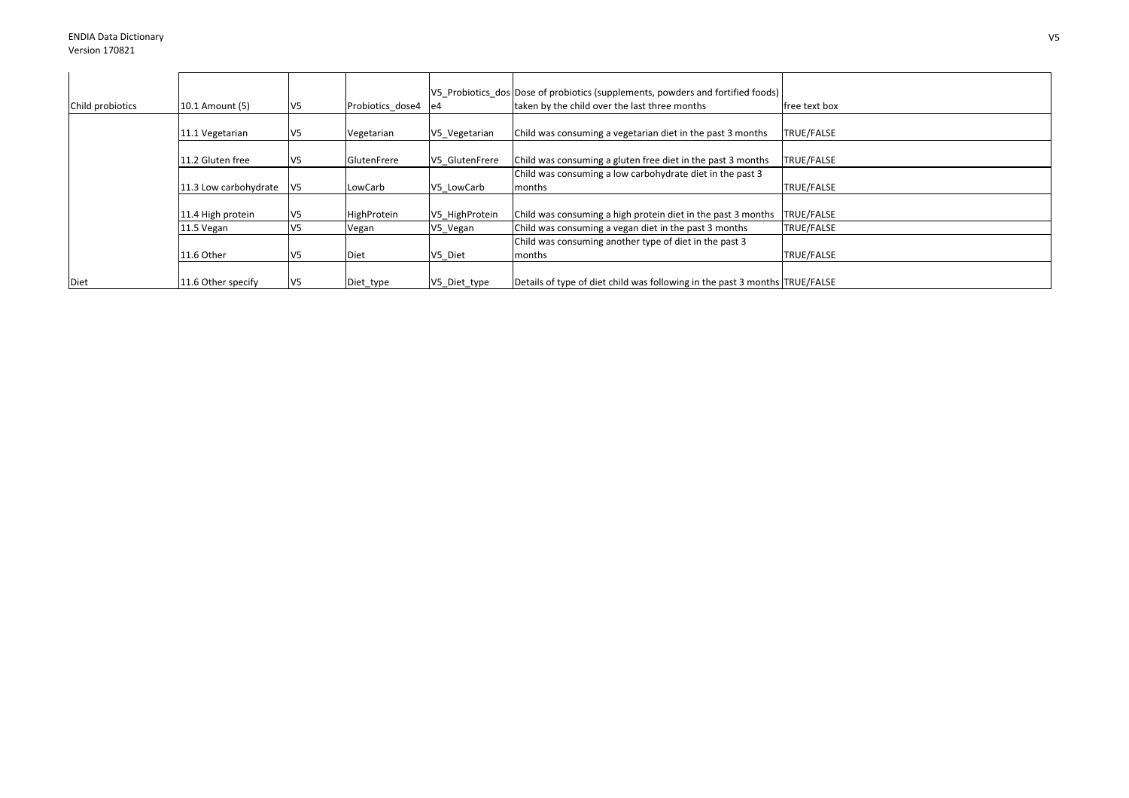| Child probiotics | 10.1 Amount (5)       | V <sub>5</sub>  | Probiotics dose4 | e4 e4          | V5 Probiotics dos Dose of probiotics (supplements, powders and fortified foods)<br>taken by the child over the last three months | free text box     |
|------------------|-----------------------|-----------------|------------------|----------------|----------------------------------------------------------------------------------------------------------------------------------|-------------------|
|                  | 11.1 Vegetarian       | V5              | Vegetarian       | V5 Vegetarian  | Child was consuming a vegetarian diet in the past 3 months                                                                       | TRUE/FALSE        |
|                  | 11.2 Gluten free      | V5              | GlutenFrere      | V5 GlutenFrere | Child was consuming a gluten free diet in the past 3 months                                                                      | TRUE/FALSE        |
|                  | 11.3 Low carbohydrate | $\mathsf{V}5$   | LowCarb          | V5 LowCarb     | Child was consuming a low carbohydrate diet in the past 3<br>months                                                              | <b>TRUE/FALSE</b> |
|                  | 11.4 High protein     | V5              | HighProtein      | V5 HighProtein | Child was consuming a high protein diet in the past 3 months                                                                     | TRUE/FALSE        |
|                  | 11.5 Vegan            | V <sub>5</sub>  | Vegan            | V5_Vegan       | Child was consuming a vegan diet in the past 3 months                                                                            | TRUE/FALSE        |
|                  |                       |                 |                  |                | Child was consuming another type of diet in the past 3                                                                           |                   |
|                  | 11.6 Other            | V <sub>5</sub>  | <b>Diet</b>      | V5 Diet        | months                                                                                                                           | <b>TRUE/FALSE</b> |
| Diet             | 11.6 Other specify    | IV <sub>5</sub> | Diet_type        | V5_Diet_type   | Details of type of diet child was following in the past 3 months TRUE/FALSE                                                      |                   |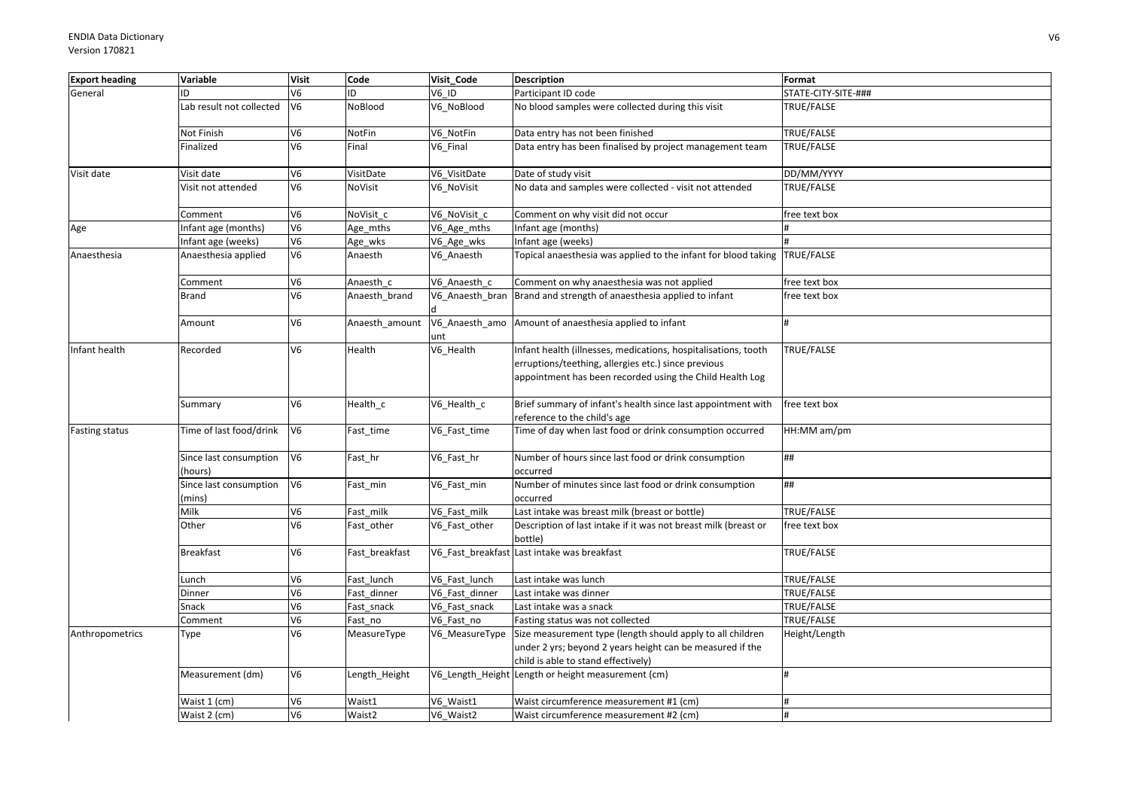| <b>Export heading</b> | Variable                          | <b>Visit</b>   | Code               | Visit Code      | <b>Description</b>                                                                                                                                                                | Format              |
|-----------------------|-----------------------------------|----------------|--------------------|-----------------|-----------------------------------------------------------------------------------------------------------------------------------------------------------------------------------|---------------------|
| General               | ID                                | V <sub>6</sub> | ID                 | $V6$ ID         | Participant ID code                                                                                                                                                               | STATE-CITY-SITE-### |
|                       | Lab result not collected          | V <sub>6</sub> | NoBlood            | V6 NoBlood      | No blood samples were collected during this visit                                                                                                                                 | TRUE/FALSE          |
|                       | Not Finish                        | V <sub>6</sub> | NotFin             | V6 NotFin       | Data entry has not been finished                                                                                                                                                  | TRUE/FALSE          |
|                       | Finalized                         | V <sub>6</sub> | Final              | V6 Final        | Data entry has been finalised by project management team                                                                                                                          | TRUE/FALSE          |
| Visit date            | Visit date                        | V <sub>6</sub> | VisitDate          | V6_VisitDate    | Date of study visit                                                                                                                                                               | DD/MM/YYYY          |
|                       | Visit not attended                | V <sub>6</sub> | NoVisit            | V6_NoVisit      | No data and samples were collected - visit not attended                                                                                                                           | TRUE/FALSE          |
|                       | Comment                           | V <sub>6</sub> | NoVisit c          | V6 NoVisit c    | Comment on why visit did not occur                                                                                                                                                | free text box       |
| Age                   | Infant age (months)               | V <sub>6</sub> | Age_mths           | V6_Age_mths     | nfant age (months)                                                                                                                                                                |                     |
|                       | Infant age (weeks)                | V6             | Age_wks            | V6_Age_wks      | nfant age (weeks)                                                                                                                                                                 |                     |
| Anaesthesia           | Anaesthesia applied               | V <sub>6</sub> | Anaesth            | V6_Anaesth      | Topical anaesthesia was applied to the infant for blood taking TRUE/FALSE                                                                                                         |                     |
|                       | Comment                           | V <sub>6</sub> | Anaesth c          | V6 Anaesth c    | Comment on why anaesthesia was not applied                                                                                                                                        | free text box       |
|                       | <b>Brand</b>                      | V <sub>6</sub> | Anaesth_brand      | V6_Anaesth_bran | Brand and strength of anaesthesia applied to infant                                                                                                                               | free text box       |
|                       | Amount                            | V <sub>6</sub> | Anaesth amount     | unt             | V6_Anaesth_amo Amount of anaesthesia applied to infant                                                                                                                            |                     |
| Infant health         | Recorded                          | V <sub>6</sub> | Health             | V6_Health       | Infant health (illnesses, medications, hospitalisations, tooth<br>erruptions/teething, allergies etc.) since previous<br>appointment has been recorded using the Child Health Log | TRUE/FALSE          |
|                       | Summary                           | V <sub>6</sub> | Health_c           | V6_Health_c     | Brief summary of infant's health since last appointment with<br>reference to the child's age                                                                                      | free text box       |
| <b>Fasting status</b> | Time of last food/drink           | V6             | Fast_time          | V6_Fast_time    | Time of day when last food or drink consumption occurred                                                                                                                          | HH:MM am/pm         |
|                       | Since last consumption<br>(hours) | V <sub>6</sub> | Fast_hr            | V6_Fast_hr      | Number of hours since last food or drink consumption<br>occurred                                                                                                                  | ##                  |
|                       | Since last consumption<br>(mins)  | V <sub>6</sub> | Fast_min           | V6_Fast_min     | Number of minutes since last food or drink consumption<br>occurred                                                                                                                | ##                  |
|                       | Milk                              | V <sub>6</sub> | Fast milk          | V6_Fast_milk    | Last intake was breast milk (breast or bottle)                                                                                                                                    | TRUE/FALSE          |
|                       | Other                             | V <sub>6</sub> | Fast_other         | V6 Fast other   | Description of last intake if it was not breast milk (breast or<br>bottle)                                                                                                        | free text box       |
|                       | <b>Breakfast</b>                  | V <sub>6</sub> | Fast breakfast     |                 | V6 Fast breakfast Last intake was breakfast                                                                                                                                       | TRUE/FALSE          |
|                       | Lunch                             | V <sub>6</sub> | Fast lunch         | V6 Fast lunch   | Last intake was lunch                                                                                                                                                             | TRUE/FALSE          |
|                       | Dinner                            | V <sub>6</sub> | Fast_dinner        | V6 Fast dinner  | Last intake was dinner                                                                                                                                                            | TRUE/FALSE          |
|                       | Snack                             | V <sub>6</sub> | Fast_snack         | V6_Fast_snack   | Last intake was a snack                                                                                                                                                           | TRUE/FALSE          |
|                       | Comment                           | V <sub>6</sub> | Fast_no            | V6 Fast no      | Fasting status was not collected                                                                                                                                                  | TRUE/FALSE          |
| Anthropometrics       | Type                              | V <sub>6</sub> | MeasureType        | V6 MeasureType  | Size measurement type (length should apply to all children<br>under 2 yrs; beyond 2 years height can be measured if the<br>child is able to stand effectively)                    | Height/Length       |
|                       | Measurement (dm)                  | V <sub>6</sub> | Length_Height      |                 | V6_Length_Height Length or height measurement (cm)                                                                                                                                | #                   |
|                       | Waist 1 (cm)                      | V <sub>6</sub> | Waist1             | V6 Waist1       | Waist circumference measurement #1 (cm)                                                                                                                                           |                     |
|                       | Waist 2 (cm)                      | V <sub>6</sub> | Waist <sub>2</sub> | V6_Waist2       | Waist circumference measurement #2 (cm)                                                                                                                                           |                     |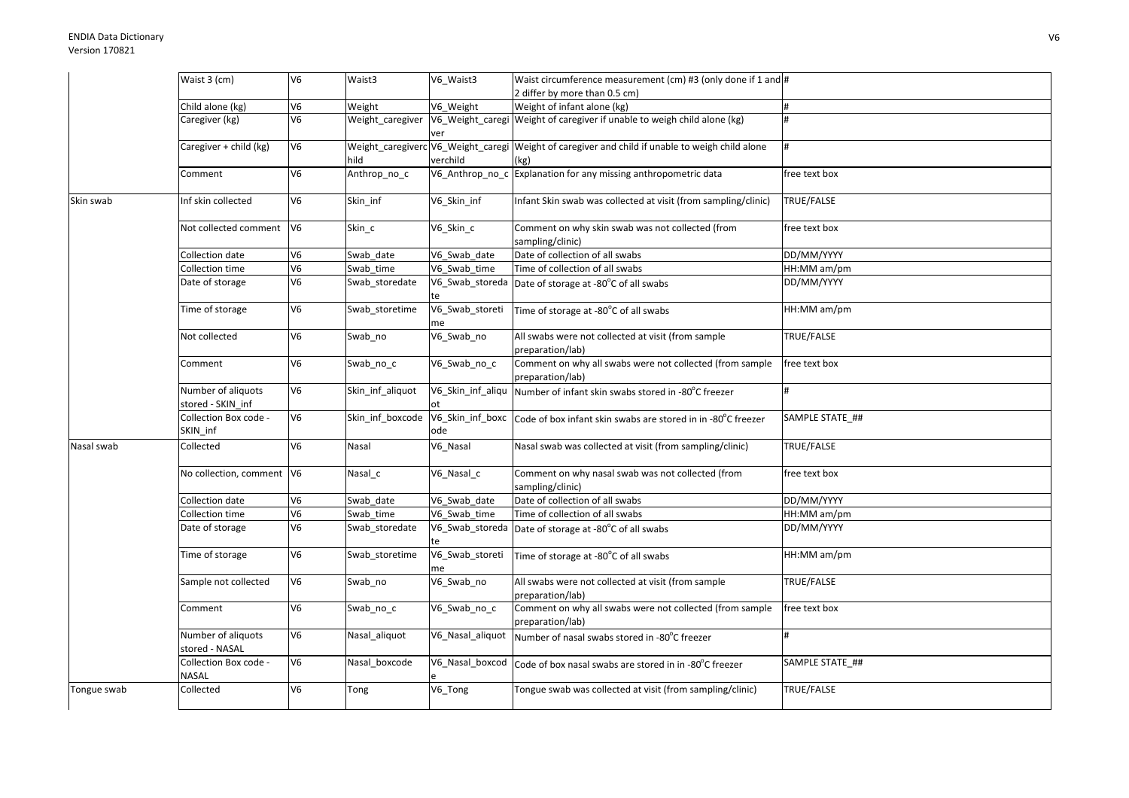|             | Waist 3 (cm)                            | V <sub>6</sub>  | Waist3           | V6 Waist3               | Waist circumference measurement (cm) #3 (only done if 1 and #                                           |                 |
|-------------|-----------------------------------------|-----------------|------------------|-------------------------|---------------------------------------------------------------------------------------------------------|-----------------|
|             |                                         |                 |                  |                         | 2 differ by more than 0.5 cm)                                                                           |                 |
|             | Child alone (kg)                        | V <sub>6</sub>  | Weight           | V6 Weight               | Weight of infant alone (kg)                                                                             | #               |
|             | Caregiver (kg)                          | $\overline{V6}$ | Weight_caregiver | ver                     | V6_Weight_caregi Weight of caregiver if unable to weigh child alone (kg)                                |                 |
|             | Caregiver + child (kg)                  | V <sub>6</sub>  | hild             | verchild                | Weight_caregiverc V6_Weight_caregi Weight of caregiver and child if unable to weigh child alone<br>(kg) |                 |
|             | Comment                                 | V <sub>6</sub>  | Anthrop_no_c     |                         | V6_Anthrop_no_c Explanation for any missing anthropometric data                                         | free text box   |
| Skin swab   | Inf skin collected                      | V <sub>6</sub>  | Skin_inf         | V6_Skin_inf             | nfant Skin swab was collected at visit (from sampling/clinic)                                           | TRUE/FALSE      |
|             | Not collected comment V6                |                 | Skin_c           | V6_Skin_c               | Comment on why skin swab was not collected (from<br>sampling/clinic)                                    | free text box   |
|             | Collection date                         | V <sub>6</sub>  | Swab_date        | V6 Swab date            | Date of collection of all swabs                                                                         | DD/MM/YYYY      |
|             | Collection time                         | V <sub>6</sub>  | Swab time        | V6_Swab_time            | Time of collection of all swabs                                                                         | HH:MM am/pm     |
|             | Date of storage                         | V <sub>6</sub>  | Swab_storedate   | te                      | V6_Swab_storeda Date of storage at -80°C of all swabs                                                   | DD/MM/YYYY      |
|             | Time of storage                         | V <sub>6</sub>  | Swab storetime   | V6_Swab_storeti<br>me   | Time of storage at -80°C of all swabs                                                                   | HH:MM am/pm     |
|             | Not collected                           | V <sub>6</sub>  | Swab_no          | V6_Swab_no              | All swabs were not collected at visit (from sample<br>preparation/lab)                                  | TRUE/FALSE      |
|             | Comment                                 | V <sub>6</sub>  | Swab_no_c        | V6_Swab_no_c            | Comment on why all swabs were not collected (from sample<br>preparation/lab)                            | free text box   |
|             | Number of aliquots<br>stored - SKIN_inf | V <sub>6</sub>  | Skin_inf_aliquot | V6_Skin_inf_aliqu       | Number of infant skin swabs stored in -80°C freezer                                                     |                 |
|             | Collection Box code -<br>SKIN_inf       | V <sub>6</sub>  | Skin_inf_boxcode | V6_Skin_inf_boxc<br>ode | Code of box infant skin swabs are stored in in -80°C freezer                                            | SAMPLE STATE ## |
| Nasal swab  | Collected                               | V <sub>6</sub>  | Nasal            | V6 Nasal                | Nasal swab was collected at visit (from sampling/clinic)                                                | TRUE/FALSE      |
|             | No collection, comment V6               |                 | Nasal c          | V6_Nasal_c              | Comment on why nasal swab was not collected (from<br>sampling/clinic)                                   | free text box   |
|             | Collection date                         | V <sub>6</sub>  | Swab_date        | V6 Swab date            | Date of collection of all swabs                                                                         | DD/MM/YYYY      |
|             | Collection time                         | V6              | Swab time        | V6 Swab time            | Time of collection of all swabs                                                                         | HH:MM am/pm     |
|             | Date of storage                         | V <sub>6</sub>  | Swab_storedate   |                         | V6_Swab_storeda Date of storage at -80°C of all swabs                                                   | DD/MM/YYYY      |
|             | Time of storage                         | V <sub>6</sub>  | Swab_storetime   | V6_Swab_storeti<br>me   | Time of storage at -80°C of all swabs                                                                   | HH:MM am/pm     |
|             | Sample not collected                    | V <sub>6</sub>  | Swab_no          | V6_Swab_no              | All swabs were not collected at visit (from sample<br>preparation/lab)                                  | TRUE/FALSE      |
|             | Comment                                 | V <sub>6</sub>  | Swab_no_c        | V6_Swab_no_c            | Comment on why all swabs were not collected (from sample<br>preparation/lab)                            | free text box   |
|             | Number of aliquots<br>stored - NASAL    | V6              | Nasal_aliquot    | V6_Nasal_aliquot        | Number of nasal swabs stored in -80°C freezer                                                           | #               |
|             | Collection Box code -<br><b>NASAL</b>   | V <sub>6</sub>  | Nasal_boxcode    |                         | V6_Nasal_boxcod Code of box nasal swabs are stored in in -80°C freezer                                  | SAMPLE STATE_## |
| Tongue swab | Collected                               | V <sub>6</sub>  | Tong             | V6_Tong                 | Tongue swab was collected at visit (from sampling/clinic)                                               | TRUE/FALSE      |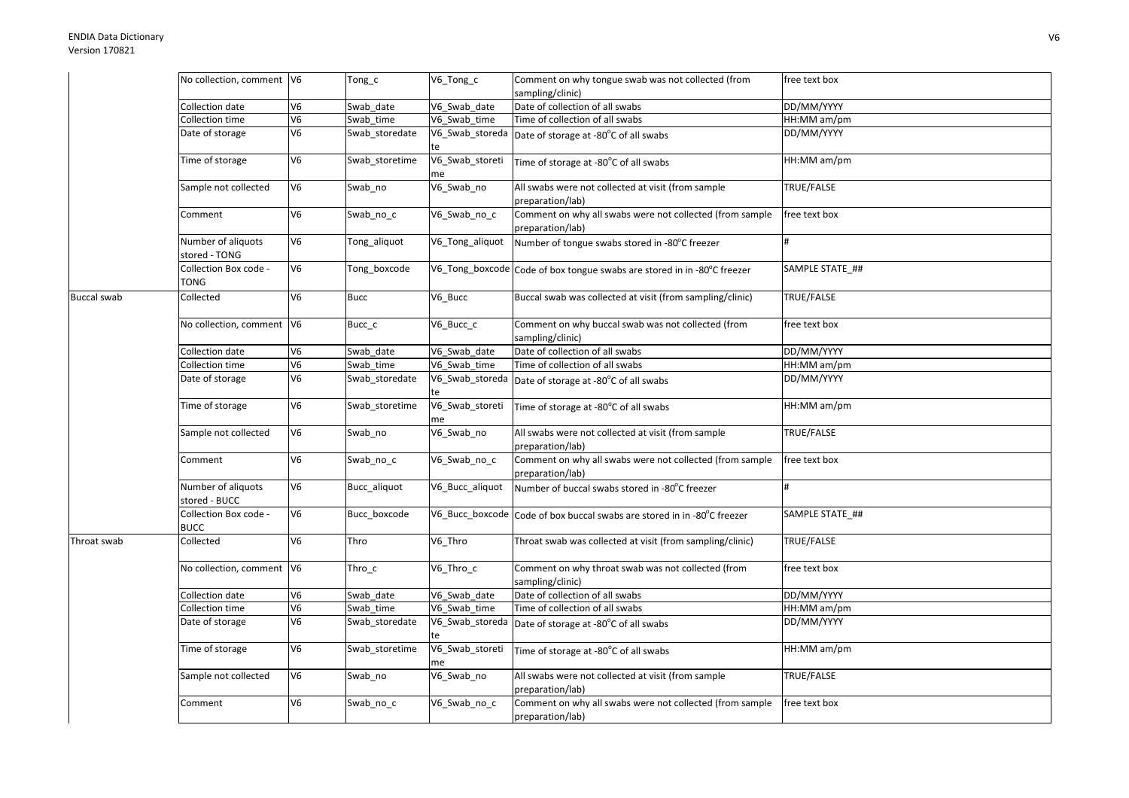## ENDIA Data DictionaryVersion 170821

|                    | No collection, comment V6            |                | Tong_c         | V6_Tong_c             | Comment on why tongue swab was not collected (from                           | free text box   |
|--------------------|--------------------------------------|----------------|----------------|-----------------------|------------------------------------------------------------------------------|-----------------|
|                    |                                      |                |                |                       | sampling/clinic)                                                             |                 |
|                    | Collection date                      | V <sub>6</sub> | Swab date      | V6_Swab_date          | Date of collection of all swabs                                              | DD/MM/YYYY      |
|                    | Collection time                      | V <sub>6</sub> | Swab time      | V6 Swab time          | Time of collection of all swabs                                              | HH:MM am/pm     |
|                    | Date of storage                      | V <sub>6</sub> | Swab_storedate | V6_Swab_storeda<br>te | Date of storage at -80°C of all swabs                                        | DD/MM/YYYY      |
|                    | Time of storage                      | V6             | Swab storetime | V6_Swab_storeti<br>me | Time of storage at -80°C of all swabs                                        | HH:MM am/pm     |
|                    | Sample not collected                 | V <sub>6</sub> | Swab_no        | V6_Swab_no            | All swabs were not collected at visit (from sample<br>preparation/lab)       | TRUE/FALSE      |
|                    | Comment                              | V <sub>6</sub> | Swab_no_c      | V6_Swab_no_c          | Comment on why all swabs were not collected (from sample<br>preparation/lab) | free text box   |
|                    | Number of aliquots<br>stored - TONG  | V <sub>6</sub> | Tong_aliquot   | V6_Tong_aliquot       | Number of tongue swabs stored in -80°C freezer                               | #               |
|                    | Collection Box code -<br>TONG        | V <sub>6</sub> | Tong_boxcode   |                       | V6_Tong_boxcode Code of box tongue swabs are stored in in -80°C freezer      | SAMPLE STATE_## |
| <b>Buccal swab</b> | Collected                            | V <sub>6</sub> | <b>Bucc</b>    | V6_Bucc               | Buccal swab was collected at visit (from sampling/clinic)                    | TRUE/FALSE      |
|                    | No collection, comment V6            |                | Bucc_c         | V6_Bucc_c             | Comment on why buccal swab was not collected (from<br>sampling/clinic)       | free text box   |
|                    | Collection date                      | V <sub>6</sub> | Swab date      | V6 Swab date          | Date of collection of all swabs                                              | DD/MM/YYYY      |
|                    | <b>Collection time</b>               | V <sub>6</sub> | Swab_time      | V6_Swab_time          | Time of collection of all swabs                                              | HH:MM am/pm     |
|                    | Date of storage                      | V <sub>6</sub> | Swab_storedate | V6_Swab_storeda<br>te | Date of storage at -80°C of all swabs                                        | DD/MM/YYYY      |
|                    | Time of storage                      | V <sub>6</sub> | Swab_storetime | V6_Swab_storeti<br>me | Time of storage at -80°C of all swabs                                        | HH:MM am/pm     |
|                    | Sample not collected                 | V <sub>6</sub> | Swab_no        | V6_Swab_no            | All swabs were not collected at visit (from sample<br>preparation/lab)       | TRUE/FALSE      |
|                    | Comment                              | V6             | Swab_no_c      | V6_Swab_no_c          | Comment on why all swabs were not collected (from sample<br>preparation/lab) | free text box   |
|                    | Number of aliquots<br>stored - BUCC  | V6             | Bucc aliquot   | V6_Bucc_aliquot       | Number of buccal swabs stored in -80°C freezer                               |                 |
|                    | Collection Box code -<br><b>BUCC</b> | V6             | Bucc_boxcode   | V6_Bucc_boxcode       | Code of box buccal swabs are stored in in -80°C freezer                      | SAMPLE STATE ## |
| Throat swab        | Collected                            | V <sub>6</sub> | Thro           | V6_Thro               | Throat swab was collected at visit (from sampling/clinic)                    | TRUE/FALSE      |
|                    | No collection, comment V6            |                | $Thro_c$       | V6_Thro_c             | Comment on why throat swab was not collected (from<br>sampling/clinic)       | free text box   |
|                    | Collection date                      | V <sub>6</sub> | Swab date      | V6 Swab date          | Date of collection of all swabs                                              | DD/MM/YYYY      |
|                    | Collection time                      | V <sub>6</sub> | Swab time      | V6 Swab time          | Time of collection of all swabs                                              | HH:MM am/pm     |
|                    | Date of storage                      | V <sub>6</sub> | Swab_storedate | V6_Swab_storeda<br>te | Date of storage at -80°C of all swabs                                        | DD/MM/YYYY      |
|                    | Time of storage                      | V6             | Swab storetime | V6_Swab_storeti<br>me | Time of storage at -80°C of all swabs                                        | HH:MM am/pm     |
|                    | Sample not collected                 | V <sub>6</sub> | Swab_no        | V6_Swab_no            | All swabs were not collected at visit (from sample<br>preparation/lab)       | TRUE/FALSE      |
|                    | Comment                              | V <sub>6</sub> | Swab_no_c      | V6_Swab_no_c          | Comment on why all swabs were not collected (from sample<br>preparation/lab) | free text box   |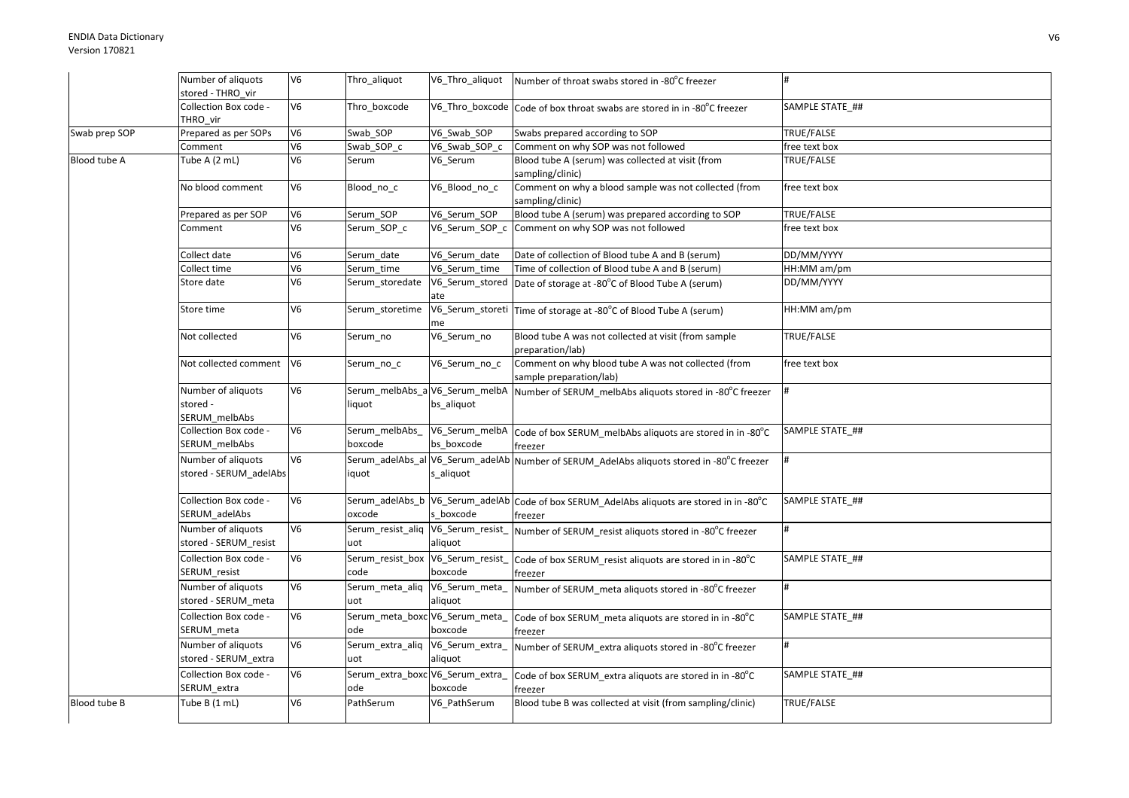|               | Number of aliquots                              | V6             | Thro_aliquot                             | V6_Thro_aliquot                               | Number of throat swabs stored in -80°C freezer                                                       |                 |
|---------------|-------------------------------------------------|----------------|------------------------------------------|-----------------------------------------------|------------------------------------------------------------------------------------------------------|-----------------|
|               | stored - THRO vir                               |                |                                          |                                               |                                                                                                      |                 |
|               | Collection Box code -<br>THRO vir               | V <sub>6</sub> | Thro_boxcode                             |                                               | V6_Thro_boxcode Code of box throat swabs are stored in in -80°C freezer                              | SAMPLE STATE ## |
| Swab prep SOP | Prepared as per SOPs                            | V <sub>6</sub> | Swab SOP                                 | V6 Swab SOP                                   | Swabs prepared according to SOP                                                                      | TRUE/FALSE      |
|               | Comment                                         | V6             | Swab SOP c                               | V6_Swab_SOP_c                                 | Comment on why SOP was not followed                                                                  | free text box   |
| Blood tube A  | Tube A (2 mL)                                   | V <sub>6</sub> | Serum                                    | V6 Serum                                      | Blood tube A (serum) was collected at visit (from<br>sampling/clinic)                                | TRUE/FALSE      |
|               | No blood comment                                | V <sub>6</sub> | Blood_no_c                               | V6_Blood_no_c                                 | Comment on why a blood sample was not collected (from<br>sampling/clinic)                            | free text box   |
|               | Prepared as per SOP                             | V <sub>6</sub> | Serum SOP                                | V6 Serum SOP                                  | Blood tube A (serum) was prepared according to SOP                                                   | TRUE/FALSE      |
|               | Comment                                         | V6             | Serum_SOP_c                              |                                               | V6_Serum_SOP_c Comment on why SOP was not followed                                                   | free text box   |
|               | Collect date                                    | V6             | Serum_date                               | V6_Serum_date                                 | Date of collection of Blood tube A and B (serum)                                                     | DD/MM/YYYY      |
|               | Collect time                                    | V <sub>6</sub> | Serum time                               | V6_Serum_time                                 | Time of collection of Blood tube A and B (serum)                                                     | HH:MM am/pm     |
|               | Store date                                      | V <sub>6</sub> | Serum storedate                          | ate                                           | V6_Serum_stored   Date of storage at -80°C of Blood Tube A (serum)                                   | DD/MM/YYYY      |
|               | Store time                                      | V <sub>6</sub> | Serum_storetime                          | me                                            | V6_Serum_storeti Time of storage at -80°C of Blood Tube A (serum)                                    | HH:MM am/pm     |
|               | Not collected                                   | V <sub>6</sub> | Serum_no                                 | V6_Serum_no                                   | Blood tube A was not collected at visit (from sample<br>preparation/lab)                             | TRUE/FALSE      |
|               | Not collected comment                           | V6             | Serum_no_c                               | V6_Serum_no_c                                 | Comment on why blood tube A was not collected (from<br>sample preparation/lab)                       | free text box   |
|               | Number of aliquots<br>stored -<br>SERUM_melbAbs | V <sub>6</sub> | Serum_melbAbs_a V6_Serum_melbA<br>liquot | bs_aliquot                                    | Number of SERUM_melbAbs aliquots stored in -80°C freezer                                             |                 |
|               | Collection Box code -<br>SERUM melbAbs          | V <sub>6</sub> | Serum_melbAbs<br>boxcode                 | V6_Serum_melbA<br>bs boxcode                  | Code of box SERUM_melbAbs aliquots are stored in in -80°C<br>freezer                                 | SAMPLE STATE ## |
|               | Number of aliquots<br>stored - SERUM adelAbs    | V <sub>6</sub> | iquot                                    | Serum adelAbs al V6 Serum adelAb<br>s aliquot | Number of SERUM AdelAbs aliquots stored in -80°C freezer                                             |                 |
|               | Collection Box code -<br>SERUM_adelAbs          | V <sub>6</sub> | oxcode                                   | s boxcode                                     | Serum_adelAbs_b V6_Serum_adelAb Code of box SERUM_AdelAbs aliquots are stored in in -80°C<br>freezer | SAMPLE STATE ## |
|               | Number of aliquots<br>stored - SERUM_resist     | V <sub>6</sub> | Serum resist aliq<br>uot                 | V6_Serum_resist_<br>aliquot                   | Number of SERUM resist aliquots stored in -80°C freezer                                              | #               |
|               | Collection Box code -<br>SERUM_resist           | V <sub>6</sub> | Serum_resist_box<br>code                 | V6_Serum_resist<br>boxcode                    | Code of box SERUM_resist aliquots are stored in in -80°C<br>freezer                                  | SAMPLE STATE ## |
|               | Number of aliquots<br>stored - SERUM_meta       | V <sub>6</sub> | Serum_meta_aliq V6_Serum_meta_<br>uot    | aliquot                                       | Number of SERUM meta aliquots stored in -80°C freezer                                                |                 |
|               | Collection Box code -<br>SERUM_meta             | V <sub>6</sub> | Serum_meta_boxc V6_Serum_meta<br>ode     | boxcode                                       | Code of box SERUM meta aliquots are stored in in -80°C<br>freezer                                    | SAMPLE STATE ## |
|               | Number of aliquots<br>stored - SERUM_extra      | V <sub>6</sub> | Serum extra aliq<br>uot                  | V6_Serum_extra_<br>aliquot                    | Number of SERUM extra aliquots stored in -80°C freezer                                               | #               |
|               | Collection Box code -<br>SERUM_extra            | V6             | Serum_extra_boxc V6_Serum_extra_<br>ode  | boxcode                                       | Code of box SERUM_extra aliquots are stored in in -80°C<br>freezer                                   | SAMPLE STATE ## |
| Blood tube B  | Tube B (1 mL)                                   | V <sub>6</sub> | PathSerum                                | V6_PathSerum                                  | Blood tube B was collected at visit (from sampling/clinic)                                           | TRUE/FALSE      |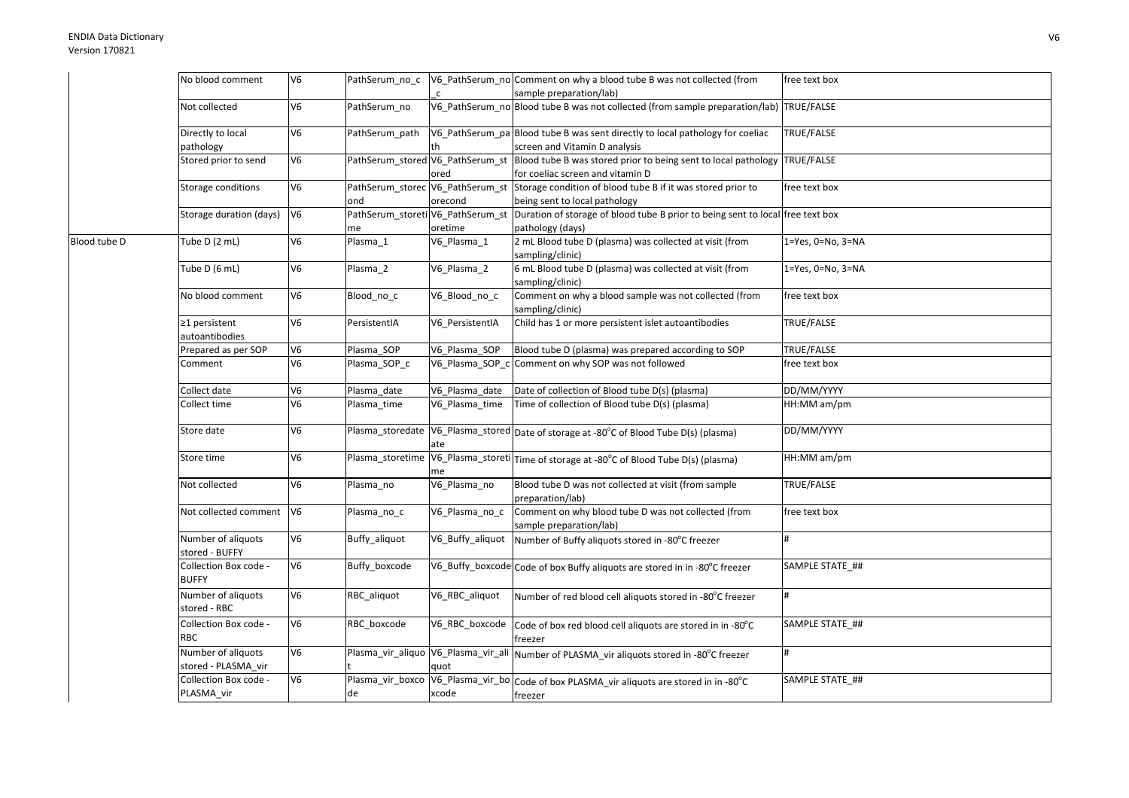|              | No blood comment                          | V <sub>6</sub> | PathSerum_no_c                          |                                             | V6_PathSerum_no Comment on why a blood tube B was not collected (from                                         | free text box     |
|--------------|-------------------------------------------|----------------|-----------------------------------------|---------------------------------------------|---------------------------------------------------------------------------------------------------------------|-------------------|
|              |                                           |                |                                         | $\mathsf{C}$                                | sample preparation/lab)                                                                                       |                   |
|              | Not collected                             | V6             | PathSerum no                            |                                             | V6_PathSerum_no Blood tube B was not collected (from sample preparation/lab) TRUE/FALSE                       |                   |
|              | Directly to local                         | V6             | PathSerum path                          |                                             | V6_PathSerum_pa Blood tube B was sent directly to local pathology for coeliac                                 | TRUE/FALSE        |
|              | pathology                                 |                |                                         |                                             | screen and Vitamin D analysis                                                                                 |                   |
|              | Stored prior to send                      | V6             | PathSerum_stored V6_PathSerum_st        | ored                                        | Blood tube B was stored prior to being sent to local pathology TRUE/FALSE<br>for coeliac screen and vitamin D |                   |
|              | Storage conditions                        | V6             | PathSerum_storec V6_PathSerum_st<br>ond | orecond                                     | Storage condition of blood tube B if it was stored prior to<br>being sent to local pathology                  | free text box     |
|              | Storage duration (days)                   | V <sub>6</sub> | PathSerum_storeti V6_PathSerum_st<br>me | oretime                                     | Duration of storage of blood tube B prior to being sent to local free text box<br>pathology (days)            |                   |
| Blood tube D | Tube D (2 mL)                             | V6             | Plasma_1                                | V6_Plasma_1                                 | 2 mL Blood tube D (plasma) was collected at visit (from<br>sampling/clinic)                                   | 1=Yes, 0=No, 3=NA |
|              | Tube D (6 mL)                             | V <sub>6</sub> | Plasma 2                                | V6 Plasma 2                                 | 6 mL Blood tube D (plasma) was collected at visit (from<br>sampling/clinic)                                   | 1=Yes, 0=No, 3=NA |
|              | No blood comment                          | V <sub>6</sub> | Blood_no_c                              | V6_Blood_no_c                               | Comment on why a blood sample was not collected (from<br>sampling/clinic)                                     | free text box     |
|              | $\geq$ 1 persistent<br>autoantibodies     | V <sub>6</sub> | PersistentIA                            | V6 PersistentIA                             | Child has 1 or more persistent islet autoantibodies                                                           | TRUE/FALSE        |
|              | Prepared as per SOP                       | V <sub>6</sub> | Plasma SOP                              | V6_Plasma_SOP                               | Blood tube D (plasma) was prepared according to SOP                                                           | TRUE/FALSE        |
|              | Comment                                   | V <sub>6</sub> | Plasma_SOP_c                            | V6_Plasma_SOP_c                             | Comment on why SOP was not followed                                                                           | free text box     |
|              | Collect date                              | V <sub>6</sub> | Plasma date                             | V6 Plasma date                              | Date of collection of Blood tube D(s) (plasma)                                                                | DD/MM/YYYY        |
|              | Collect time                              | V <sub>6</sub> | Plasma_time                             | V6 Plasma time                              | Time of collection of Blood tube D(s) (plasma)                                                                | HH:MM am/pm       |
|              | Store date                                | V <sub>6</sub> | Plasma_storedate                        | ate                                         | V6_Plasma_stored Date of storage at -80°C of Blood Tube D(s) (plasma)                                         | DD/MM/YYYY        |
|              | Store time                                | V6             |                                         | me                                          | Plasma_storetime V6_Plasma_storeti Time of storage at -80°C of Blood Tube D(s) (plasma)                       | HH:MM am/pm       |
|              | Not collected                             | V <sub>6</sub> | Plasma_no                               | V6_Plasma_no                                | Blood tube D was not collected at visit (from sample<br>preparation/lab)                                      | TRUE/FALSE        |
|              | Not collected comment V6                  |                | Plasma_no_c                             | V6_Plasma_no_c                              | Comment on why blood tube D was not collected (from<br>sample preparation/lab)                                | free text box     |
|              | Number of aliquots<br>stored - BUFFY      | V6             | Buffy_aliquot                           | V6_Buffy_aliquot                            | Number of Buffy aliquots stored in -80°C freezer                                                              | <sup>#</sup>      |
|              | Collection Box code -<br><b>BUFFY</b>     | V <sub>6</sub> | Buffy_boxcode                           |                                             | V6_Buffy_boxcode Code of box Buffy aliquots are stored in in -80°C freezer                                    | SAMPLE STATE ##   |
|              | Number of aliquots<br>stored - RBC        | V <sub>6</sub> | RBC aliquot                             | V6_RBC_aliquot                              | Number of red blood cell aliquots stored in -80°C freezer                                                     |                   |
|              | Collection Box code -<br><b>RBC</b>       | V6             | RBC boxcode                             | V6_RBC_boxcode                              | Code of box red blood cell aliquots are stored in in -80°C<br>freezer                                         | SAMPLE STATE ##   |
|              | Number of aliquots<br>stored - PLASMA_vir | V <sub>6</sub> |                                         | Plasma_vir_aliquo V6_Plasma_vir_ali<br>quot | Number of PLASMA_vir aliquots stored in -80°C freezer                                                         |                   |
|              | Collection Box code -<br>PLASMA_vir       | V <sub>6</sub> | de                                      | xcode                                       | Plasma_vir_boxco V6_Plasma_vir_bo Code of box PLASMA_vir aliquots are stored in in -80°C<br>freezer           | SAMPLE STATE_##   |
|              |                                           |                |                                         |                                             |                                                                                                               |                   |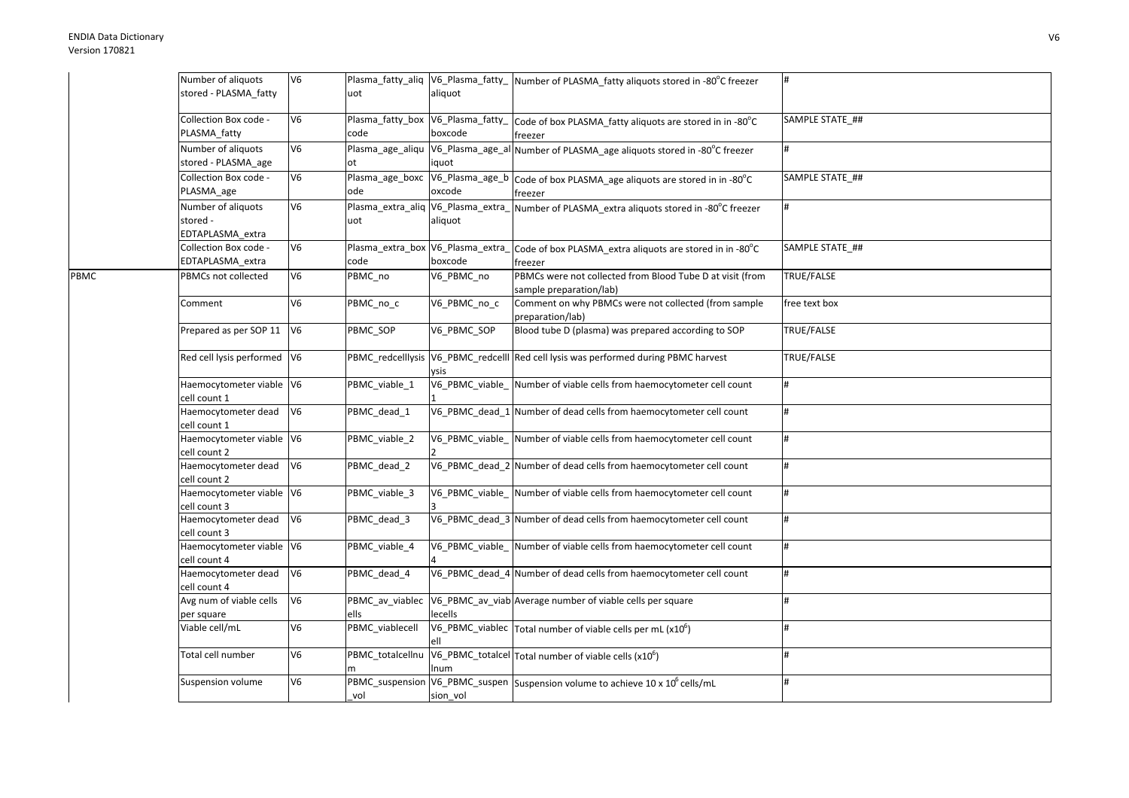|      | Number of aliquots          | V <sub>6</sub> |                                    |              | Plasma_fatty_aliq  V6_Plasma_fatty_  Number of PLASMA_fatty aliquots stored in -80°C freezer |                 |
|------|-----------------------------|----------------|------------------------------------|--------------|----------------------------------------------------------------------------------------------|-----------------|
|      | stored - PLASMA_fatty       |                | uot                                | aliquot      |                                                                                              |                 |
|      |                             |                |                                    |              |                                                                                              |                 |
|      | Collection Box code -       | V <sub>6</sub> | Plasma_fatty_box V6_Plasma_fatty_  |              | Code of box PLASMA_fatty aliquots are stored in in -80°C                                     | SAMPLE STATE_## |
|      | PLASMA fatty                |                | code                               | boxcode      | freezer                                                                                      |                 |
|      | Number of aliquots          | V <sub>6</sub> |                                    |              | Plasma_age_aliqu  V6_Plasma_age_al Number of PLASMA_age aliquots stored in -80°C freezer     | #               |
|      | stored - PLASMA_age         |                | ot                                 | iquot        |                                                                                              |                 |
|      | Collection Box code -       | V6             | Plasma age boxc                    |              | V6_Plasma_age_b Code of box PLASMA_age aliquots are stored in in -80°C                       | SAMPLE STATE ## |
|      | PLASMA_age                  |                | ode                                | oxcode       | freezer                                                                                      |                 |
|      | Number of aliquots          | V <sub>6</sub> | Plasma_extra_aliq V6_Plasma_extra_ |              | Number of PLASMA_extra aliquots stored in -80°C freezer                                      |                 |
|      | stored -                    |                | uot                                | aliquot      |                                                                                              |                 |
|      | EDTAPLASMA extra            |                |                                    |              |                                                                                              |                 |
|      | Collection Box code -       | V <sub>6</sub> | Plasma_extra_box V6_Plasma_extra_  |              | Code of box PLASMA_extra aliquots are stored in in -80°C                                     | SAMPLE STATE ## |
|      | EDTAPLASMA_extra            |                | code                               | boxcode      | freezer                                                                                      |                 |
| PBMC | PBMCs not collected         | V <sub>6</sub> | PBMC no                            | V6_PBMC_no   | PBMCs were not collected from Blood Tube D at visit (from                                    | TRUE/FALSE      |
|      |                             |                |                                    |              | sample preparation/lab)                                                                      |                 |
|      | Comment                     | V <sub>6</sub> | PBMC no c                          | V6_PBMC_no_c | Comment on why PBMCs were not collected (from sample                                         | free text box   |
|      |                             |                |                                    |              | preparation/lab)                                                                             |                 |
|      | Prepared as per SOP 11      | V <sub>6</sub> | PBMC SOP                           | V6 PBMC SOP  | Blood tube D (plasma) was prepared according to SOP                                          | TRUE/FALSE      |
|      |                             |                |                                    |              |                                                                                              |                 |
|      | Red cell lysis performed V6 |                |                                    |              | PBMC_redcelllysis V6_PBMC_redcelll Red cell lysis was performed during PBMC harvest          | TRUE/FALSE      |
|      | Haemocytometer viable V6    |                |                                    | vsis         | V6_PBMC_viable_ Number of viable cells from haemocytometer cell count                        | #               |
|      | cell count 1                |                | PBMC_viable_1                      |              |                                                                                              |                 |
|      | Haemocytometer dead         | V <sub>6</sub> | PBMC_dead_1                        |              | V6_PBMC_dead_1 Number of dead cells from haemocytometer cell count                           | #               |
|      | cell count 1                |                |                                    |              |                                                                                              |                 |
|      | Haemocytometer viable V6    |                | PBMC viable 2                      |              | V6 PBMC viable Number of viable cells from haemocytometer cell count                         | #               |
|      | cell count 2                |                |                                    |              |                                                                                              |                 |
|      | Haemocytometer dead         | V <sub>6</sub> | PBMC_dead_2                        |              | V6_PBMC_dead_2 Number of dead cells from haemocytometer cell count                           | #               |
|      | cell count 2                |                |                                    |              |                                                                                              |                 |
|      | Haemocytometer viable V6    |                | PBMC viable 3                      |              | V6_PBMC_viable_Number of viable cells from haemocytometer cell count                         | #               |
|      | cell count 3                |                |                                    |              |                                                                                              |                 |
|      | Haemocytometer dead         | V <sub>6</sub> | PBMC_dead_3                        |              | V6 PBMC dead 3 Number of dead cells from haemocytometer cell count                           | #               |
|      | cell count 3                |                |                                    |              |                                                                                              |                 |
|      | Haemocytometer viable V6    |                | PBMC_viable_4                      |              | V6_PBMC_viable_ Number of viable cells from haemocytometer cell count                        | #               |
|      | cell count 4                |                |                                    |              |                                                                                              |                 |
|      | Haemocytometer dead         | V <sub>6</sub> | PBMC dead 4                        |              | V6_PBMC_dead_4 Number of dead cells from haemocytometer cell count                           |                 |
|      | cell count 4                |                |                                    |              |                                                                                              |                 |
|      | Avg num of viable cells     | V <sub>6</sub> | PBMC_av_viablec                    |              | V6_PBMC_av_viab Average number of viable cells per square                                    |                 |
|      | per square                  |                | ells                               | lecells      |                                                                                              |                 |
|      | Viable cell/mL              | V <sub>6</sub> | PBMC viablecell                    |              | V6_PBMC_viablec $\vert$ Total number of viable cells per mL (x10 <sup>6</sup> )              |                 |
|      |                             |                |                                    |              |                                                                                              |                 |
|      | Total cell number           | V <sub>6</sub> | PBMC_totalcellnu                   |              | V6_PBMC_totalcel Total number of viable cells (x10 <sup>6</sup> )                            | #               |
|      |                             |                |                                    | num          |                                                                                              |                 |
|      | Suspension volume           | V <sub>6</sub> |                                    |              | PBMC_suspension V6_PBMC_suspen Suspension volume to achieve 10 x 10 <sup>6</sup> cells/mL    | #               |
|      |                             |                | vol                                | sion_vol     |                                                                                              |                 |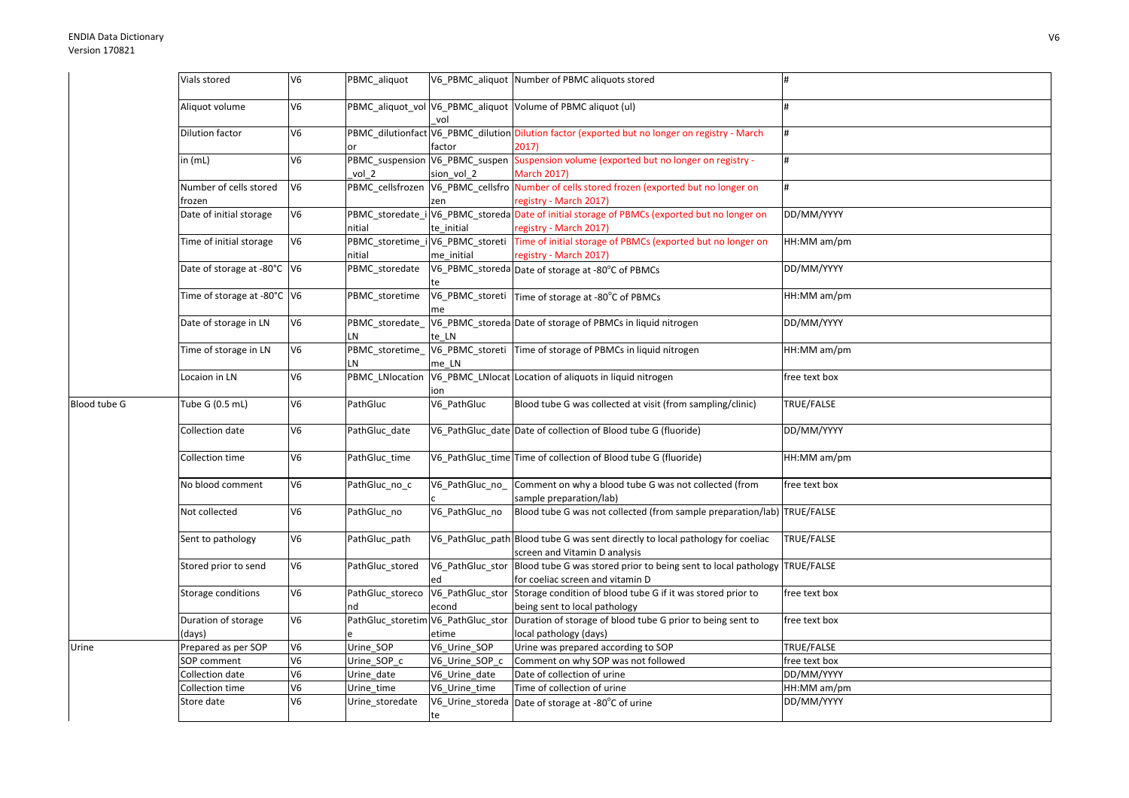|              | Vials stored                     | V <sub>6</sub>                   | PBMC_aliquot                               |                           | V6 PBMC aliquot Number of PBMC aliquots stored                                                                        |               |
|--------------|----------------------------------|----------------------------------|--------------------------------------------|---------------------------|-----------------------------------------------------------------------------------------------------------------------|---------------|
|              | Aliquot volume                   | V <sub>6</sub>                   |                                            | vol                       | PBMC_aliquot_vol V6_PBMC_aliquot Volume of PBMC aliquot (ul)                                                          |               |
|              | <b>Dilution factor</b>           | V <sub>6</sub>                   | or                                         | factor                    | PBMC_dilutionfact V6_PBMC_dilution Dilution factor (exported but no longer on registry - March<br>2017                | #             |
|              | in $(mL)$                        | V <sub>6</sub>                   | vol 2                                      | sion vol 2                | PBMC_suspension V6_PBMC_suspen Suspension volume (exported but no longer on registry -<br><b>March 2017)</b>          | #             |
|              | Number of cells stored<br>frozen | V <sub>6</sub>                   |                                            | zen                       | PBMC_cellsfrozen V6_PBMC_cellsfro Number of cells stored frozen (exported but no longer on<br>registry - March 2017)  |               |
|              | Date of initial storage          | V <sub>6</sub>                   | nitial                                     | te initial                | PBMC_storedate_iV6_PBMC_storeda Date of initial storage of PBMCs (exported but no longer on<br>registry - March 2017) | DD/MM/YYYY    |
|              | Time of initial storage          | V <sub>6</sub>                   | PBMC_storetime_i V6_PBMC_storeti<br>nitial | me_initial                | Time of initial storage of PBMCs (exported but no longer on<br>registry - March 2017)                                 | HH:MM am/pm   |
|              | Date of storage at -80°C   V6    |                                  | PBMC_storedate                             |                           | V6_PBMC_storeda Date of storage at -80°C of PBMCs                                                                     | DD/MM/YYYY    |
|              | Time of storage at -80°C V6      |                                  | PBMC storetime                             | me                        | V6_PBMC_storeti Time of storage at -80°C of PBMCs                                                                     | HH:MM am/pm   |
|              | Date of storage in LN            | V6                               | LN                                         | te LN                     | PBMC_storedate_ V6_PBMC_storeda Date of storage of PBMCs in liquid nitrogen                                           | DD/MM/YYYY    |
|              | Time of storage in LN            | V <sub>6</sub>                   | PBMC storetime<br>LN                       | me LN                     | V6_PBMC_storeti Time of storage of PBMCs in liquid nitrogen                                                           | HH:MM am/pm   |
|              | Locaion in LN                    | V <sub>6</sub>                   | PBMC_LNlocation                            | ion                       | V6_PBMC_LNlocat Location of aliquots in liquid nitrogen                                                               | free text box |
| Blood tube G | Tube G (0.5 mL)                  | V <sub>6</sub>                   | PathGluc                                   | V6 PathGluc               | Blood tube G was collected at visit (from sampling/clinic)                                                            | TRUE/FALSE    |
|              | Collection date                  | V <sub>6</sub>                   | PathGluc_date                              |                           | V6_PathGluc_date Date of collection of Blood tube G (fluoride)                                                        | DD/MM/YYYY    |
|              | Collection time                  | V <sub>6</sub>                   | PathGluc_time                              |                           | V6_PathGluc_time Time of collection of Blood tube G (fluoride)                                                        | HH:MM am/pm   |
|              | No blood comment                 | V <sub>6</sub>                   | PathGluc_no_c                              | V6_PathGluc_no_           | Comment on why a blood tube G was not collected (from<br>sample preparation/lab)                                      | free text box |
|              | Not collected                    | V <sub>6</sub><br>V <sub>6</sub> | PathGluc_no                                | V6 PathGluc no            | Blood tube G was not collected (from sample preparation/lab) TRUE/FALSE                                               |               |
|              | Sent to pathology                |                                  | PathGluc path                              |                           | V6_PathGluc_path Blood tube G was sent directly to local pathology for coeliac<br>screen and Vitamin D analysis       | TRUE/FALSE    |
|              | Stored prior to send             | V <sub>6</sub>                   | PathGluc_stored                            | V6_PathGluc_stor<br>ed    | Blood tube G was stored prior to being sent to local pathology TRUE/FALSE<br>for coeliac screen and vitamin D         |               |
|              | Storage conditions               | V <sub>6</sub>                   | PathGluc storeco<br>nd                     | V6_PathGluc_stor<br>econd | Storage condition of blood tube G if it was stored prior to<br>being sent to local pathology                          | free text box |
|              | Duration of storage<br>(days)    | V <sub>6</sub>                   | PathGluc_storetim V6_PathGluc_stor         | etime                     | Duration of storage of blood tube G prior to being sent to<br>local pathology (days)                                  | free text box |
| Urine        | Prepared as per SOP              | V <sub>6</sub>                   | Urine_SOP                                  | V6_Urine_SOP              | Urine was prepared according to SOP                                                                                   | TRUE/FALSE    |
|              | SOP comment                      | V6                               | Urine_SOP_c                                | V6_Urine_SOP_c            | Comment on why SOP was not followed                                                                                   | free text box |
|              | Collection date                  | V <sub>6</sub>                   | Urine date                                 | V6 Urine date             | Date of collection of urine                                                                                           | DD/MM/YYYY    |
|              | Collection time                  | V6                               | Urine time                                 | V6_Urine_time             | Time of collection of urine                                                                                           | HH:MM am/pm   |
|              | Store date                       | V <sub>6</sub>                   | Urine_storedate                            | te                        | V6_Urine_storeda Date of storage at -80°C of urine                                                                    | DD/MM/YYYY    |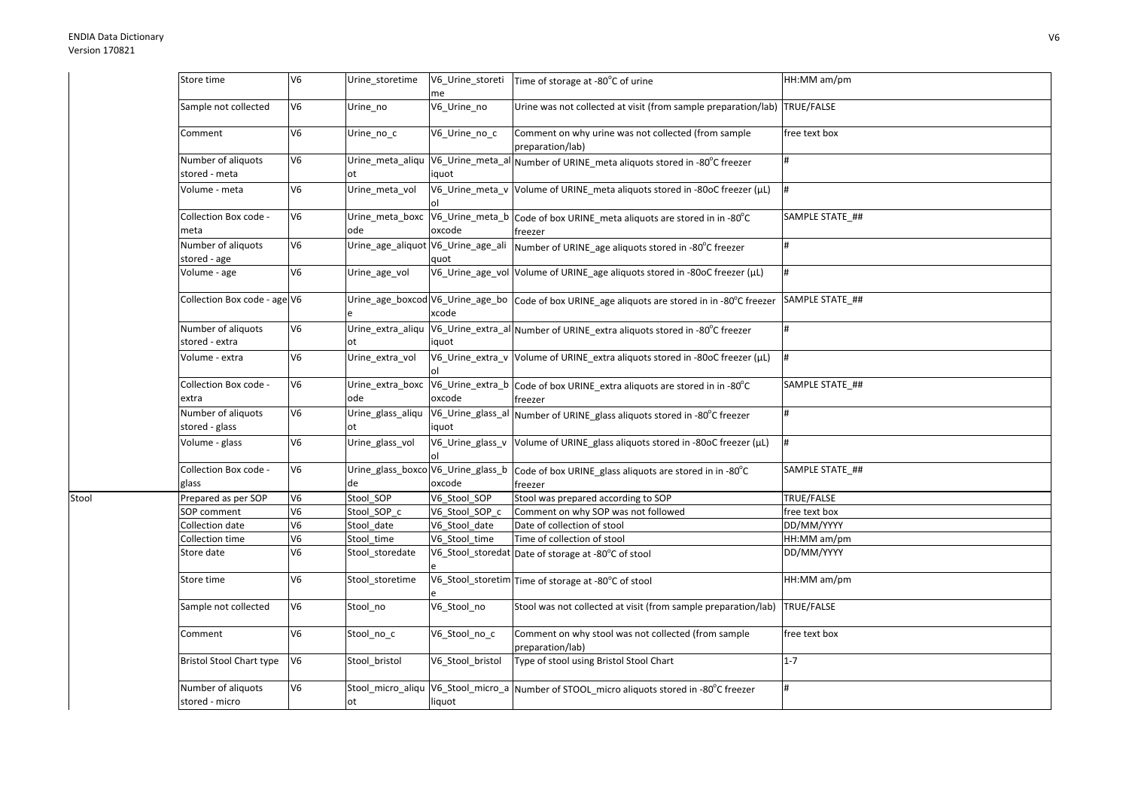Stool

| Store time                           | V <sub>6</sub> | Urine_storetime          | V6_Urine_storeti<br>me    | Time of storage at -80°C of urine                                                                       | HH:MM am/pm     |
|--------------------------------------|----------------|--------------------------|---------------------------|---------------------------------------------------------------------------------------------------------|-----------------|
| Sample not collected                 | V <sub>6</sub> | Urine_no                 | V6_Urine_no               | Urine was not collected at visit (from sample preparation/lab) TRUE/FALSE                               |                 |
| Comment                              | V <sub>6</sub> | Urine_no_c               | V6_Urine_no_c             | Comment on why urine was not collected (from sample<br>preparation/lab)                                 | free text box   |
| Number of aliquots<br>stored - meta  | V <sub>6</sub> | Urine_meta_aliqu<br>lot. | V6_Urine_meta_al<br>iquot | Number of URINE_meta aliquots stored in -80°C freezer                                                   | #               |
| Volume - meta                        | V <sub>6</sub> | Urine_meta_vol           |                           | V6_Urine_meta_v Volume of URINE_meta aliquots stored in -80oC freezer (µL)                              | #               |
| Collection Box code -<br>meta        | V <sub>6</sub> | Urine_meta_boxc<br>ode   | oxcode                    | V6_Urine_meta_b Code of box URINE_meta aliquots are stored in in -80°C<br>freezer                       | SAMPLE STATE ## |
| Number of aliquots<br>stored - age   | V <sub>6</sub> | Urine_age_aliquot        | V6_Urine_age_ali<br>auot  | Number of URINE_age aliquots stored in -80°C freezer                                                    | #               |
| Volume - age                         | V <sub>6</sub> | Urine_age_vol            |                           | V6_Urine_age_vol Volume of URINE_age aliquots stored in -80oC freezer (µL)                              | #               |
| Collection Box code - age V6         |                | e                        | xcode                     | Urine_age_boxcod V6_Urine_age_bo   Code of box URINE_age aliquots are stored in in -80°C freezer        | SAMPLE STATE ## |
| Number of aliquots<br>stored - extra | V <sub>6</sub> | Urine_extra_aliqu<br>ot  | iquot                     | V6_Urine_extra_al Number of URINE_extra aliquots stored in -80°C freezer                                | #               |
| Volume - extra                       | V <sub>6</sub> | Urine_extra_vol          |                           | V6_Urine_extra_v Volume of URINE_extra aliquots stored in -80oC freezer (µL)                            | #               |
| Collection Box code -<br>extra       | V <sub>6</sub> | Urine extra boxc<br>ode  | oxcode                    | V6_Urine_extra_b Code of box URINE_extra aliquots are stored in in -80°C<br>freezer                     | SAMPLE STATE ## |
| Number of aliquots<br>stored - glass | V <sub>6</sub> | Urine_glass_aliqu<br>ot  | iquot                     | V6_Urine_glass_al Number of URINE_glass aliquots stored in -80°C freezer                                | #               |
| Volume - glass                       | V <sub>6</sub> | Urine_glass_vol          | V6_Urine_glass_v          | Volume of URINE_glass aliquots stored in -80oC freezer (µL)                                             | Ħ.              |
| Collection Box code -<br>glass       | V <sub>6</sub> | de                       | oxcode                    | Urine_glass_boxco V6_Urine_glass_b   Code of box URINE_glass aliquots are stored in in -80°C<br>freezer | SAMPLE STATE_## |
| Prepared as per SOP                  | V <sub>6</sub> | Stool SOP                | V6_Stool_SOP              | Stool was prepared according to SOP                                                                     | TRUE/FALSE      |
| SOP comment                          | V <sub>6</sub> | Stool SOP c              | V6_Stool_SOP_c            | Comment on why SOP was not followed                                                                     | free text box   |
| Collection date                      | V <sub>6</sub> | Stool date               | V6 Stool date             | Date of collection of stool                                                                             | DD/MM/YYYY      |
| Collection time                      | V <sub>6</sub> | Stool time               | V6_Stool_time             | Time of collection of stool                                                                             | HH:MM am/pm     |
| Store date                           | V <sub>6</sub> | Stool_storedate          |                           | V6_Stool_storedat Date of storage at -80°C of stool                                                     | DD/MM/YYYY      |
| Store time                           | V <sub>6</sub> | Stool_storetime          |                           | V6_Stool_storetim Time of storage at -80°C of stool                                                     | HH:MM am/pm     |
| Sample not collected                 | V <sub>6</sub> | Stool_no                 | V6_Stool_no               | Stool was not collected at visit (from sample preparation/lab)                                          | TRUE/FALSE      |
| Comment                              | V <sub>6</sub> | Stool_no_c               | V6_Stool_no_c             | Comment on why stool was not collected (from sample<br>preparation/lab)                                 | free text box   |
| <b>Bristol Stool Chart type</b>      | V <sub>6</sub> | Stool_bristol            | V6_Stool_bristol          | Type of stool using Bristol Stool Chart                                                                 | $1 - 7$         |
| Number of aliquots<br>stored - micro | V <sub>6</sub> | Stool_micro_aliqu<br>ot  | liquot                    | V6_Stool_micro_a Number of STOOL_micro aliquots stored in -80°C freezer                                 | #               |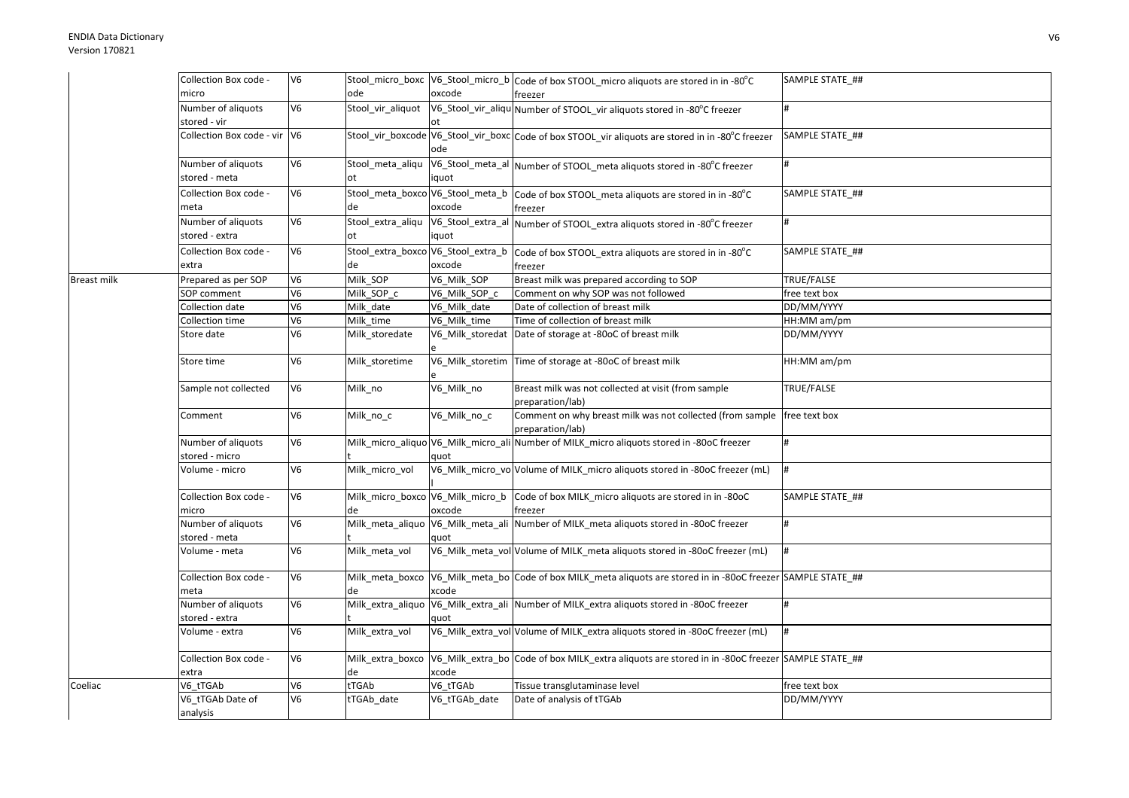|             | Collection Box code -          | V <sub>6</sub> |                                  |               | Stool_micro_boxc  V6_Stool_micro_b  Code of box STOOL_micro aliquots are stored in in -80°C        | SAMPLE STATE ## |
|-------------|--------------------------------|----------------|----------------------------------|---------------|----------------------------------------------------------------------------------------------------|-----------------|
|             | micro                          |                | ode                              | oxcode        | freezer                                                                                            |                 |
|             | Number of aliquots             | V6             | Stool vir aliquot                |               | V6_Stool_vir_aliqu Number of STOOL_vir aliquots stored in -80°C freezer                            | #               |
|             | stored - vir                   |                |                                  |               |                                                                                                    |                 |
|             | Collection Box code - vir V6   |                |                                  | ode           | Stool_vir_boxcode V6_Stool_vir_boxc Code of box STOOL_vir aliquots are stored in in -80°C freezer  | SAMPLE STATE ## |
|             | Number of aliquots             | V6             | Stool meta aliqu                 |               | V6_Stool_meta_al Number of STOOL_meta aliquots stored in -80°C freezer                             | #               |
|             | stored - meta                  |                | ot                               | iquot         |                                                                                                    |                 |
|             | Collection Box code -          | V <sub>6</sub> | Stool_meta_boxco V6_Stool_meta_b |               | Code of box STOOL meta aliquots are stored in in -80°C                                             | SAMPLE STATE_## |
|             | meta                           |                | de                               | oxcode        | freezer                                                                                            |                 |
|             | Number of aliquots             | V6             | Stool_extra_aliqu                |               | V6_Stool_extra_al Number of STOOL_extra aliquots stored in -80°C freezer                           | #               |
|             | stored - extra                 |                | ot                               | iquot         |                                                                                                    |                 |
|             | Collection Box code -          | V6             |                                  |               | Stool_extra_boxco V6_Stool_extra_b code of box STOOL_extra aliquots are stored in in -80°C         | SAMPLE STATE ## |
|             | extra                          |                | de                               | oxcode        | freezer                                                                                            |                 |
| Breast milk | Prepared as per SOP            | V6             | Milk SOP                         | V6_Milk_SOP   | Breast milk was prepared according to SOP                                                          | TRUE/FALSE      |
|             | <b>SOP</b> comment             | V6             | Milk_SOP_c                       | V6_Milk_SOP_c | Comment on why SOP was not followed                                                                | free text box   |
|             | Collection date                | V6             | Milk_date                        | V6_Milk_date  | Date of collection of breast milk                                                                  | DD/MM/YYYY      |
|             | Collection time                | V6             | Milk_time                        | V6 Milk time  | Time of collection of breast milk                                                                  | HH:MM am/pm     |
|             | Store date                     | V6             | Milk_storedate                   |               | V6_Milk_storedat Date of storage at -80oC of breast milk                                           | DD/MM/YYYY      |
|             |                                |                |                                  |               |                                                                                                    |                 |
|             | Store time                     | V6             | Milk_storetime                   |               | V6_Milk_storetim Time of storage at -80oC of breast milk                                           | HH:MM am/pm     |
|             | Sample not collected           | V <sub>6</sub> | Milk_no                          | V6_Milk_no    | Breast milk was not collected at visit (from sample<br>preparation/lab)                            | TRUE/FALSE      |
|             | Comment                        | V6             | Milk_no_c                        | V6_Milk_no_c  | Comment on why breast milk was not collected (from sample   free text box<br>preparation/lab)      |                 |
|             | Number of aliquots             | V6             |                                  |               | Milk_micro_aliquo V6_Milk_micro_ali Number of MILK_micro aliquots stored in -80oC freezer          | #               |
|             | stored - micro                 |                |                                  | quot          |                                                                                                    |                 |
|             | Volume - micro                 | V6             | Milk micro vol                   |               | V6_Milk_micro_vo Volume of MILK_micro aliquots stored in -80oC freezer (mL)                        | #               |
|             | Collection Box code -<br>micro | V <sub>6</sub> | de                               | oxcode        | Milk_micro_boxco V6_Milk_micro_b Code of box MILK_micro aliquots are stored in in -80oC<br>freezer | SAMPLE STATE ## |
|             | Number of aliquots             | V6             |                                  |               | Milk meta aliquo V6 Milk meta ali Number of MILK meta aliquots stored in -80oC freezer             | #               |
|             | stored - meta                  |                |                                  | quot          |                                                                                                    |                 |
|             | Volume - meta                  | V6             | Milk meta vol                    |               | V6_Milk_meta_vol Volume of MILK_meta aliquots stored in -80oC freezer (mL)                         | l#              |
|             | Collection Box code -<br>meta  | V6             | Milk meta boxco<br>de            | xcode         | V6_Milk_meta_bo Code of box MILK_meta aliquots are stored in in -80oC freezer SAMPLE STATE_##      |                 |
|             | Number of aliquots             | V6             | Milk extra aliquo                |               | V6_Milk_extra_ali Number of MILK_extra aliquots stored in -80oC freezer                            | #               |
|             | stored - extra                 |                |                                  | quot          |                                                                                                    |                 |
|             | Volume - extra                 | V6             | Milk extra vol                   |               | V6_Milk_extra_vol Volume of MILK_extra aliquots stored in -80oC freezer (mL)                       | l#              |
|             | Collection Box code -          | V6             | Milk extra boxco<br>de           | xcode         | V6_Milk_extra_bo Code of box MILK_extra aliquots are stored in in -80oC freezer SAMPLE STATE_##    |                 |
| Coeliac     | extra<br>V6 tTGAb              | V6             | tTGAb                            | V6 tTGAb      | Tissue transglutaminase level                                                                      | free text box   |
|             | V6_tTGAb Date of               | V6             | tTGAb_date                       | V6_tTGAb_date | Date of analysis of tTGAb                                                                          | DD/MM/YYYY      |
|             | analysis                       |                |                                  |               |                                                                                                    |                 |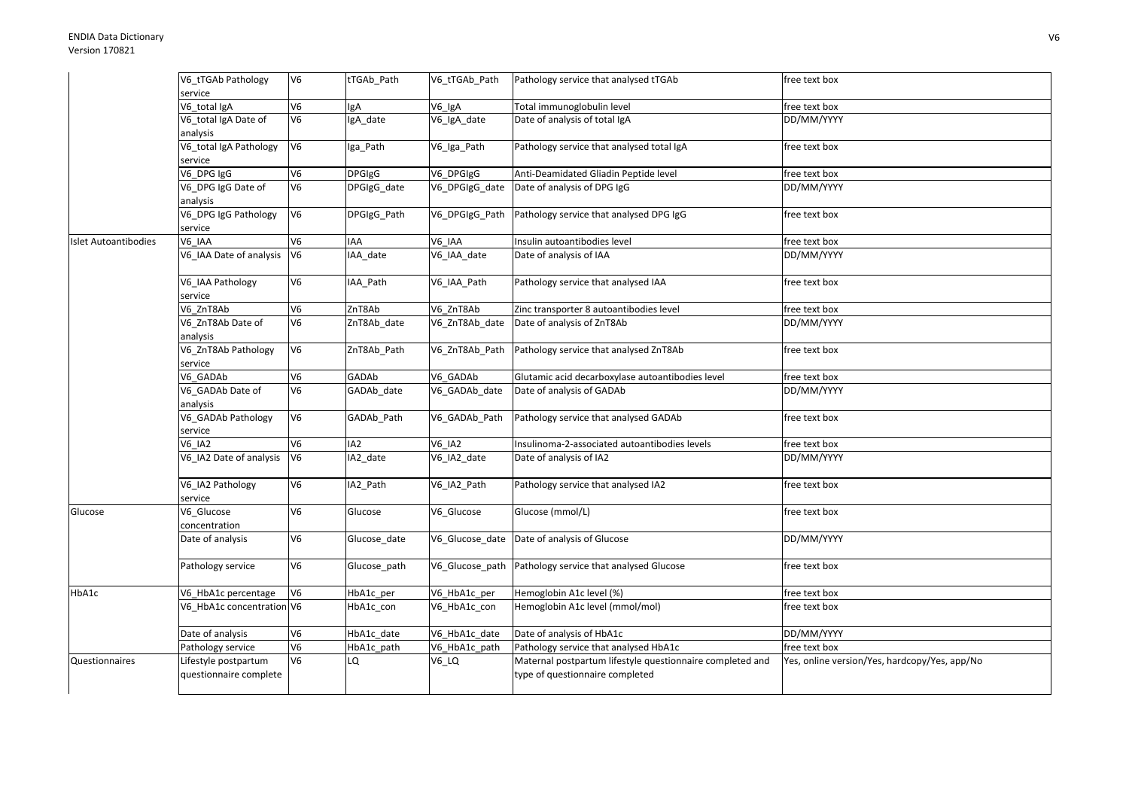|                      | V6_tTGAb Pathology<br>service                  | V <sub>6</sub>           | tTGAb Path      | V6 tTGAb Path  | Pathology service that analysed tTGAb                                                        | free text box                                 |
|----------------------|------------------------------------------------|--------------------------|-----------------|----------------|----------------------------------------------------------------------------------------------|-----------------------------------------------|
|                      | V6 total IgA                                   | V <sub>6</sub>           | lgA             | V6 IgA         | Total immunoglobulin level                                                                   | free text box                                 |
|                      | V6_total IgA Date of<br>analysis               | V6                       | IgA_date        | V6_IgA_date    | Date of analysis of total IgA                                                                | DD/MM/YYYY                                    |
|                      | V6_total IgA Pathology<br>service              | V <sub>6</sub>           | Iga_Path        | V6_Iga_Path    | Pathology service that analysed total IgA                                                    | free text box                                 |
|                      | V6_DPG IgG                                     | V6                       | <b>DPGIgG</b>   | V6_DPGIgG      | Anti-Deamidated Gliadin Peptide level                                                        | free text box                                 |
|                      | V6_DPG IgG Date of<br>analysis                 | V <sub>6</sub>           | DPGIgG_date     | V6_DPGIgG_date | Date of analysis of DPG IgG                                                                  | DD/MM/YYYY                                    |
|                      | V6_DPG IgG Pathology<br>service                | V <sub>6</sub>           | DPGIgG_Path     | V6_DPGIgG_Path | Pathology service that analysed DPG IgG                                                      | free text box                                 |
| Islet Autoantibodies | V6 IAA                                         | V6                       | IAA             | V6 IAA         | Insulin autoantibodies level                                                                 | free text box                                 |
|                      | V6 IAA Date of analysis                        | V <sub>6</sub>           | IAA_date        | V6 IAA date    | Date of analysis of IAA                                                                      | DD/MM/YYYY                                    |
|                      | V6_IAA Pathology<br>service                    | V <sub>6</sub>           | IAA_Path        | V6_IAA_Path    | Pathology service that analysed IAA                                                          | free text box                                 |
|                      | V6 ZnT8Ab                                      | $\overline{\mathsf{V6}}$ | ZnT8Ab          | V6 ZnT8Ab      | Zinc transporter 8 autoantibodies level                                                      | free text box                                 |
|                      | V6 ZnT8Ab Date of                              | V6                       | ZnT8Ab_date     | V6 ZnT8Ab date | Date of analysis of ZnT8Ab                                                                   | DD/MM/YYYY                                    |
|                      | analysis                                       |                          |                 |                |                                                                                              |                                               |
|                      | V6_ZnT8Ab Pathology<br>service                 | V <sub>6</sub>           | ZnT8Ab_Path     | V6_ZnT8Ab_Path | Pathology service that analysed ZnT8Ab                                                       | free text box                                 |
|                      | V6 GADAb                                       | V <sub>6</sub>           | GADAb           | V6 GADAb       | Glutamic acid decarboxylase autoantibodies level                                             | free text box                                 |
|                      | V6 GADAb Date of<br>analysis                   | V6                       | GADAb date      | V6 GADAb date  | Date of analysis of GADAb                                                                    | DD/MM/YYYY                                    |
|                      | V6_GADAb Pathology<br>service                  | V6                       | GADAb Path      | V6_GADAb_Path  | Pathology service that analysed GADAb                                                        | free text box                                 |
|                      | <b>V6 IA2</b>                                  | V6                       | IA <sub>2</sub> | $V6$ _IA2      | Insulinoma-2-associated autoantibodies levels                                                | free text box                                 |
|                      | V6 IA2 Date of analysis                        | V <sub>6</sub>           | IA2 date        | V6_IA2_date    | Date of analysis of IA2                                                                      | DD/MM/YYYY                                    |
|                      | V6_IA2 Pathology<br>service                    | V6                       | IA2_Path        | V6_IA2_Path    | Pathology service that analysed IA2                                                          | free text box                                 |
| Glucose              | V6_Glucose<br>concentration                    | V <sub>6</sub>           | Glucose         | V6_Glucose     | Glucose (mmol/L)                                                                             | free text box                                 |
|                      | Date of analysis                               | V <sub>6</sub>           | Glucose date    |                | V6_Glucose_date Date of analysis of Glucose                                                  | DD/MM/YYYY                                    |
|                      | Pathology service                              | V6                       | Glucose path    |                | V6 Glucose path Pathology service that analysed Glucose                                      | free text box                                 |
| HbA1c                | V6_HbA1c percentage                            | V <sub>6</sub>           | HbA1c_per       | V6_HbA1c_per   | Hemoglobin A1c level (%)                                                                     | free text box                                 |
|                      | V6 HbA1c concentration V6                      |                          | HbA1c_con       | V6_HbA1c_con   | Hemoglobin A1c level (mmol/mol)                                                              | free text box                                 |
|                      | Date of analysis                               | V <sub>6</sub>           | HbA1c_date      | V6_HbA1c_date  | Date of analysis of HbA1c                                                                    | DD/MM/YYYY                                    |
|                      | Pathology service                              | V <sub>6</sub>           | HbA1c_path      | V6_HbA1c_path  | Pathology service that analysed HbA1c                                                        | free text box                                 |
| Questionnaires       | Lifestyle postpartum<br>questionnaire complete | V <sub>6</sub>           | LQ              | $V6_lQ$        | Maternal postpartum lifestyle questionnaire completed and<br>type of questionnaire completed | Yes, online version/Yes, hardcopy/Yes, app/No |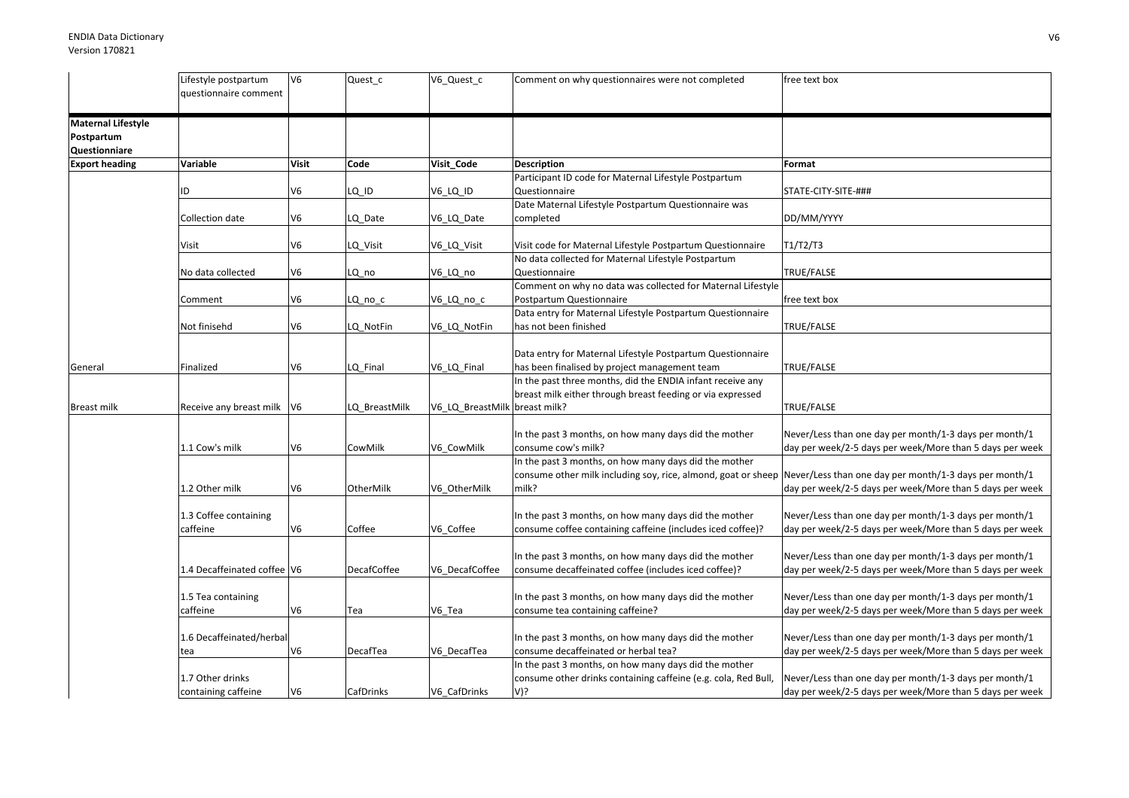|                                                                 | Lifestyle postpartum<br>questionnaire comment | V <sub>6</sub> | Quest_c            | V6_Quest_c                    | Comment on why questionnaires were not completed                                                                                                                                       | free text box                                                                                                      |
|-----------------------------------------------------------------|-----------------------------------------------|----------------|--------------------|-------------------------------|----------------------------------------------------------------------------------------------------------------------------------------------------------------------------------------|--------------------------------------------------------------------------------------------------------------------|
| <b>Maternal Lifestyle</b><br>Postpartum<br><b>Questionniare</b> |                                               |                |                    |                               |                                                                                                                                                                                        |                                                                                                                    |
| <b>Export heading</b>                                           | Variable                                      | <b>Visit</b>   | Code               | Visit_Code                    | <b>Description</b>                                                                                                                                                                     | Format                                                                                                             |
|                                                                 | ID                                            | V <sub>6</sub> | LQ_ID              | V6_LQ_ID                      | Participant ID code for Maternal Lifestyle Postpartum<br>Questionnaire                                                                                                                 | STATE-CITY-SITE-###                                                                                                |
|                                                                 | Collection date                               | V6             | LQ Date            | V6 LQ Date                    | Date Maternal Lifestyle Postpartum Questionnaire was<br>completed                                                                                                                      | DD/MM/YYYY                                                                                                         |
|                                                                 | Visit                                         | V <sub>6</sub> | LQ_Visit           | V6_LQ_Visit                   | Visit code for Maternal Lifestyle Postpartum Questionnaire                                                                                                                             | T1/T2/T3                                                                                                           |
|                                                                 |                                               |                |                    |                               | No data collected for Maternal Lifestyle Postpartum                                                                                                                                    |                                                                                                                    |
|                                                                 | No data collected                             | V <sub>6</sub> | LQ_no              | V6_LQ_no                      | Questionnaire                                                                                                                                                                          | TRUE/FALSE                                                                                                         |
|                                                                 |                                               |                |                    |                               | Comment on why no data was collected for Maternal Lifestyle                                                                                                                            |                                                                                                                    |
|                                                                 | Comment                                       | V6             | LQ_no_c            | V6_LQ_no_c                    | Postpartum Questionnaire                                                                                                                                                               | free text box                                                                                                      |
|                                                                 | Not finisehd                                  | V6             | LQ NotFin          | V6 LQ NotFin                  | Data entry for Maternal Lifestyle Postpartum Questionnaire<br>has not been finished                                                                                                    | TRUE/FALSE                                                                                                         |
|                                                                 |                                               |                |                    |                               | Data entry for Maternal Lifestyle Postpartum Questionnaire                                                                                                                             |                                                                                                                    |
| General                                                         | Finalized                                     | V6             | LQ Final           | V6_LQ_Final                   | has been finalised by project management team                                                                                                                                          | TRUE/FALSE                                                                                                         |
|                                                                 |                                               |                |                    |                               | In the past three months, did the ENDIA infant receive any<br>breast milk either through breast feeding or via expressed                                                               |                                                                                                                    |
| Breast milk                                                     | Receive any breast milk   V6                  |                | LQ_BreastMilk      | V6_LQ_BreastMilk breast milk? |                                                                                                                                                                                        | TRUE/FALSE                                                                                                         |
|                                                                 | 1.1 Cow's milk                                | V <sub>6</sub> | CowMilk            | V6 CowMilk                    | In the past 3 months, on how many days did the mother<br>consume cow's milk?                                                                                                           | Never/Less than one day per month/1-3 days per month/1<br>day per week/2-5 days per week/More than 5 days per week |
|                                                                 | 1.2 Other milk                                | V6             | OtherMilk          | V6 OtherMilk                  | In the past 3 months, on how many days did the mother<br>consume other milk including soy, rice, almond, goat or sheep Never/Less than one day per month/1-3 days per month/1<br>milk? | day per week/2-5 days per week/More than 5 days per week                                                           |
|                                                                 | 1.3 Coffee containing<br>caffeine             | V6             | Coffee             | V6 Coffee                     | In the past 3 months, on how many days did the mother<br>consume coffee containing caffeine (includes iced coffee)?                                                                    | Never/Less than one day per month/1-3 days per month/1<br>day per week/2-5 days per week/More than 5 days per week |
|                                                                 | 1.4 Decaffeinated coffee V6                   |                | <b>DecafCoffee</b> | V6 DecafCoffee                | In the past 3 months, on how many days did the mother<br>consume decaffeinated coffee (includes iced coffee)?                                                                          | Never/Less than one day per month/1-3 days per month/1<br>day per week/2-5 days per week/More than 5 days per week |
|                                                                 | 1.5 Tea containing<br>caffeine                | V <sub>6</sub> | Tea                | V6 Tea                        | In the past 3 months, on how many days did the mother<br>consume tea containing caffeine?                                                                                              | Never/Less than one day per month/1-3 days per month/1<br>day per week/2-5 days per week/More than 5 days per week |
|                                                                 | 1.6 Decaffeinated/herbal<br>tea               | V <sub>6</sub> | DecafTea           | V6_DecafTea                   | In the past 3 months, on how many days did the mother<br>consume decaffeinated or herbal tea?                                                                                          | Never/Less than one day per month/1-3 days per month/1<br>day per week/2-5 days per week/More than 5 days per week |
|                                                                 | 1.7 Other drinks<br>containing caffeine       | V <sub>6</sub> | <b>CafDrinks</b>   | V6 CafDrinks                  | In the past 3 months, on how many days did the mother<br>consume other drinks containing caffeine (e.g. cola, Red Bull,<br>V)?                                                         | Never/Less than one day per month/1-3 days per month/1<br>day per week/2-5 days per week/More than 5 days per week |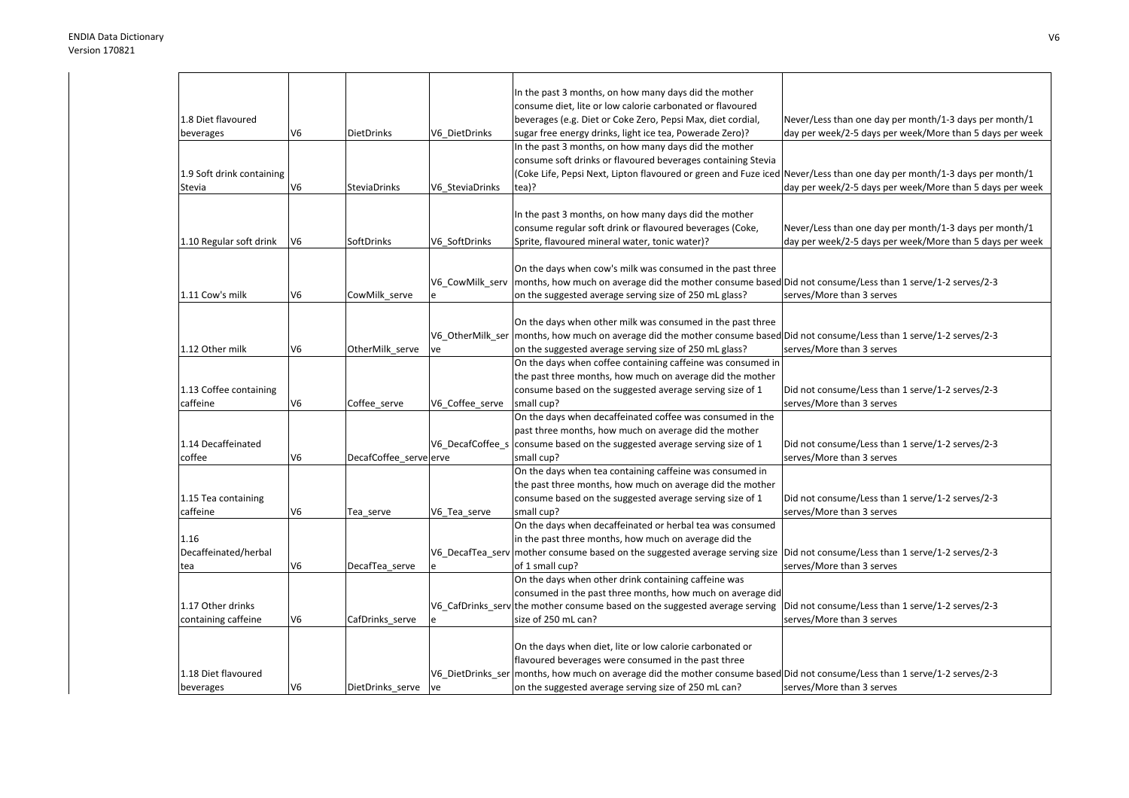|                                    |                |                        |                  | In the past 3 months, on how many days did the mother                                                                                                                   |                                                          |
|------------------------------------|----------------|------------------------|------------------|-------------------------------------------------------------------------------------------------------------------------------------------------------------------------|----------------------------------------------------------|
|                                    |                |                        |                  | consume diet, lite or low calorie carbonated or flavoured                                                                                                               |                                                          |
| 1.8 Diet flavoured                 |                |                        |                  | beverages (e.g. Diet or Coke Zero, Pepsi Max, diet cordial,                                                                                                             | Never/Less than one day per month/1-3 days per month/1   |
| beverages                          | V <sub>6</sub> | <b>DietDrinks</b>      | V6 DietDrinks    | sugar free energy drinks, light ice tea, Powerade Zero)?                                                                                                                | day per week/2-5 days per week/More than 5 days per week |
|                                    |                |                        |                  | In the past 3 months, on how many days did the mother                                                                                                                   |                                                          |
|                                    |                |                        |                  | consume soft drinks or flavoured beverages containing Stevia                                                                                                            |                                                          |
| 1.9 Soft drink containing          |                |                        |                  | (Coke Life, Pepsi Next, Lipton flavoured or green and Fuze iced Never/Less than one day per month/1-3 days per month/1                                                  |                                                          |
| Stevia                             | V6             | <b>SteviaDrinks</b>    | V6 SteviaDrinks  | tea)?                                                                                                                                                                   | day per week/2-5 days per week/More than 5 days per week |
|                                    |                |                        |                  |                                                                                                                                                                         |                                                          |
|                                    |                |                        |                  | In the past 3 months, on how many days did the mother                                                                                                                   |                                                          |
|                                    |                |                        |                  | consume regular soft drink or flavoured beverages (Coke,                                                                                                                | Never/Less than one day per month/1-3 days per month/1   |
| 1.10 Regular soft drink            | V <sub>6</sub> | SoftDrinks             | V6 SoftDrinks    | Sprite, flavoured mineral water, tonic water)?                                                                                                                          | day per week/2-5 days per week/More than 5 days per week |
|                                    |                |                        |                  |                                                                                                                                                                         |                                                          |
|                                    |                |                        | V6 CowMilk serv  | On the days when cow's milk was consumed in the past three<br>months, how much on average did the mother consume based Did not consume/Less than 1 serve/1-2 serves/2-3 |                                                          |
|                                    |                |                        |                  |                                                                                                                                                                         |                                                          |
| 1.11 Cow's milk                    | V6             | CowMilk serve          |                  | on the suggested average serving size of 250 mL glass?                                                                                                                  | serves/More than 3 serves                                |
|                                    |                |                        |                  | On the days when other milk was consumed in the past three                                                                                                              |                                                          |
|                                    |                |                        | V6 OtherMilk ser | months, how much on average did the mother consume based Did not consume/Less than 1 serve/1-2 serves/2-3                                                               |                                                          |
| 1.12 Other milk                    | V <sub>6</sub> | OtherMilk_serve        | ve               | on the suggested average serving size of 250 mL glass?                                                                                                                  | serves/More than 3 serves                                |
|                                    |                |                        |                  | On the days when coffee containing caffeine was consumed in                                                                                                             |                                                          |
|                                    |                |                        |                  | the past three months, how much on average did the mother                                                                                                               |                                                          |
|                                    |                |                        |                  |                                                                                                                                                                         |                                                          |
| 1.13 Coffee containing<br>caffeine | V <sub>6</sub> |                        | V6 Coffee serve  | consume based on the suggested average serving size of 1                                                                                                                | Did not consume/Less than 1 serve/1-2 serves/2-3         |
|                                    |                | Coffee serve           |                  | small cup?<br>On the days when decaffeinated coffee was consumed in the                                                                                                 | serves/More than 3 serves                                |
|                                    |                |                        |                  | past three months, how much on average did the mother                                                                                                                   |                                                          |
| 1.14 Decaffeinated                 |                |                        |                  |                                                                                                                                                                         |                                                          |
|                                    |                |                        | V6 DecafCoffee s | consume based on the suggested average serving size of 1                                                                                                                | Did not consume/Less than 1 serve/1-2 serves/2-3         |
| coffee                             | V <sub>6</sub> | DecafCoffee serve erve |                  | small cup?<br>On the days when tea containing caffeine was consumed in                                                                                                  | serves/More than 3 serves                                |
|                                    |                |                        |                  |                                                                                                                                                                         |                                                          |
|                                    |                |                        |                  | the past three months, how much on average did the mother                                                                                                               |                                                          |
| 1.15 Tea containing                |                |                        |                  | consume based on the suggested average serving size of 1                                                                                                                | Did not consume/Less than 1 serve/1-2 serves/2-3         |
| caffeine                           | V <sub>6</sub> | Tea_serve              | V6_Tea_serve     | small cup?                                                                                                                                                              | serves/More than 3 serves                                |
|                                    |                |                        |                  | On the days when decaffeinated or herbal tea was consumed                                                                                                               |                                                          |
| 1.16                               |                |                        |                  | in the past three months, how much on average did the                                                                                                                   |                                                          |
| Decaffeinated/herbal               |                |                        | V6 DecafTea serv | mother consume based on the suggested average serving size  Did not consume/Less than 1 serve/1-2 serves/2-3                                                            |                                                          |
| tea                                | V <sub>6</sub> | DecafTea_serve         |                  | of 1 small cup?                                                                                                                                                         | serves/More than 3 serves                                |
|                                    |                |                        |                  | On the days when other drink containing caffeine was                                                                                                                    |                                                          |
|                                    |                |                        |                  | consumed in the past three months, how much on average did                                                                                                              |                                                          |
| 1.17 Other drinks                  |                |                        |                  | V6 CafDrinks serv the mother consume based on the suggested average serving                                                                                             | Did not consume/Less than 1 serve/1-2 serves/2-3         |
| containing caffeine                | V <sub>6</sub> | CafDrinks serve        |                  | size of 250 mL can?                                                                                                                                                     | serves/More than 3 serves                                |
|                                    |                |                        |                  |                                                                                                                                                                         |                                                          |
|                                    |                |                        |                  | On the days when diet, lite or low calorie carbonated or                                                                                                                |                                                          |
|                                    |                |                        |                  | flavoured beverages were consumed in the past three                                                                                                                     |                                                          |
| 1.18 Diet flavoured                |                |                        |                  | V6 DietDrinks ser months, how much on average did the mother consume based Did not consume/Less than 1 serve/1-2 serves/2-3                                             |                                                          |
| beverages                          | V <sub>6</sub> | DietDrinks serve       | ve               | on the suggested average serving size of 250 mL can?                                                                                                                    | serves/More than 3 serves                                |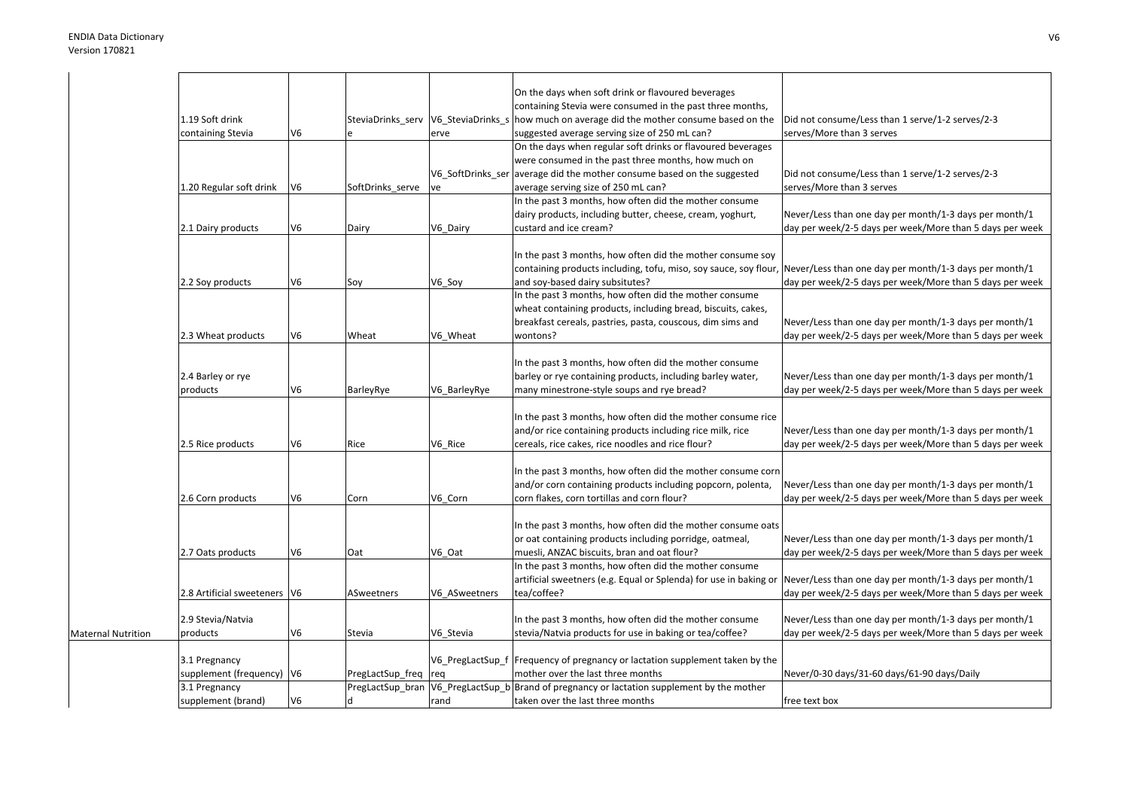| On the days when soft drink or flavoured beverages<br>containing Stevia were consumed in the past three months,<br>1.19 Soft drink<br>SteviaDrinks_serv   V6_SteviaDrinks_s   how much on average did the mother consume based on the<br>Did not consume/Less than 1 serve/1-2 serves/2-3<br>V <sub>6</sub><br>suggested average serving size of 250 mL can?<br>serves/More than 3 serves<br>containing Stevia<br>erve<br>On the days when regular soft drinks or flavoured beverages<br>were consumed in the past three months, how much on<br>V6_SoftDrinks_ser average did the mother consume based on the suggested<br>Did not consume/Less than 1 serve/1-2 serves/2-3<br>V <sub>6</sub><br>average serving size of 250 mL can?<br>serves/More than 3 serves<br>1.20 Regular soft drink<br>SoftDrinks serve<br><b>ve</b><br>In the past 3 months, how often did the mother consume<br>Never/Less than one day per month/1-3 days per month/1<br>dairy products, including butter, cheese, cream, yoghurt, |
|----------------------------------------------------------------------------------------------------------------------------------------------------------------------------------------------------------------------------------------------------------------------------------------------------------------------------------------------------------------------------------------------------------------------------------------------------------------------------------------------------------------------------------------------------------------------------------------------------------------------------------------------------------------------------------------------------------------------------------------------------------------------------------------------------------------------------------------------------------------------------------------------------------------------------------------------------------------------------------------------------------------|
|                                                                                                                                                                                                                                                                                                                                                                                                                                                                                                                                                                                                                                                                                                                                                                                                                                                                                                                                                                                                                |
|                                                                                                                                                                                                                                                                                                                                                                                                                                                                                                                                                                                                                                                                                                                                                                                                                                                                                                                                                                                                                |
|                                                                                                                                                                                                                                                                                                                                                                                                                                                                                                                                                                                                                                                                                                                                                                                                                                                                                                                                                                                                                |
|                                                                                                                                                                                                                                                                                                                                                                                                                                                                                                                                                                                                                                                                                                                                                                                                                                                                                                                                                                                                                |
|                                                                                                                                                                                                                                                                                                                                                                                                                                                                                                                                                                                                                                                                                                                                                                                                                                                                                                                                                                                                                |
|                                                                                                                                                                                                                                                                                                                                                                                                                                                                                                                                                                                                                                                                                                                                                                                                                                                                                                                                                                                                                |
|                                                                                                                                                                                                                                                                                                                                                                                                                                                                                                                                                                                                                                                                                                                                                                                                                                                                                                                                                                                                                |
|                                                                                                                                                                                                                                                                                                                                                                                                                                                                                                                                                                                                                                                                                                                                                                                                                                                                                                                                                                                                                |
|                                                                                                                                                                                                                                                                                                                                                                                                                                                                                                                                                                                                                                                                                                                                                                                                                                                                                                                                                                                                                |
|                                                                                                                                                                                                                                                                                                                                                                                                                                                                                                                                                                                                                                                                                                                                                                                                                                                                                                                                                                                                                |
| V <sub>6</sub><br>2.1 Dairy products<br>Dairy<br>V6 Dairy<br>custard and ice cream?<br>day per week/2-5 days per week/More than 5 days per week                                                                                                                                                                                                                                                                                                                                                                                                                                                                                                                                                                                                                                                                                                                                                                                                                                                                |
|                                                                                                                                                                                                                                                                                                                                                                                                                                                                                                                                                                                                                                                                                                                                                                                                                                                                                                                                                                                                                |
| In the past 3 months, how often did the mother consume soy                                                                                                                                                                                                                                                                                                                                                                                                                                                                                                                                                                                                                                                                                                                                                                                                                                                                                                                                                     |
| containing products including, tofu, miso, soy sauce, soy flour, Never/Less than one day per month/1-3 days per month/1                                                                                                                                                                                                                                                                                                                                                                                                                                                                                                                                                                                                                                                                                                                                                                                                                                                                                        |
| day per week/2-5 days per week/More than 5 days per week<br>2.2 Soy products<br>V6<br>V6_Soy<br>and soy-based dairy subsitutes?<br>Soy                                                                                                                                                                                                                                                                                                                                                                                                                                                                                                                                                                                                                                                                                                                                                                                                                                                                         |
| In the past 3 months, how often did the mother consume                                                                                                                                                                                                                                                                                                                                                                                                                                                                                                                                                                                                                                                                                                                                                                                                                                                                                                                                                         |
| wheat containing products, including bread, biscuits, cakes,                                                                                                                                                                                                                                                                                                                                                                                                                                                                                                                                                                                                                                                                                                                                                                                                                                                                                                                                                   |
| breakfast cereals, pastries, pasta, couscous, dim sims and<br>Never/Less than one day per month/1-3 days per month/1                                                                                                                                                                                                                                                                                                                                                                                                                                                                                                                                                                                                                                                                                                                                                                                                                                                                                           |
| V <sub>6</sub><br>V6_Wheat<br>day per week/2-5 days per week/More than 5 days per week<br>2.3 Wheat products<br>Wheat<br>wontons?                                                                                                                                                                                                                                                                                                                                                                                                                                                                                                                                                                                                                                                                                                                                                                                                                                                                              |
|                                                                                                                                                                                                                                                                                                                                                                                                                                                                                                                                                                                                                                                                                                                                                                                                                                                                                                                                                                                                                |
| In the past 3 months, how often did the mother consume                                                                                                                                                                                                                                                                                                                                                                                                                                                                                                                                                                                                                                                                                                                                                                                                                                                                                                                                                         |
| Never/Less than one day per month/1-3 days per month/1                                                                                                                                                                                                                                                                                                                                                                                                                                                                                                                                                                                                                                                                                                                                                                                                                                                                                                                                                         |
| 2.4 Barley or rye<br>barley or rye containing products, including barley water,                                                                                                                                                                                                                                                                                                                                                                                                                                                                                                                                                                                                                                                                                                                                                                                                                                                                                                                                |
| V <sub>6</sub><br>day per week/2-5 days per week/More than 5 days per week<br>products<br>BarleyRye<br>V6 BarleyRye<br>many minestrone-style soups and rye bread?                                                                                                                                                                                                                                                                                                                                                                                                                                                                                                                                                                                                                                                                                                                                                                                                                                              |
|                                                                                                                                                                                                                                                                                                                                                                                                                                                                                                                                                                                                                                                                                                                                                                                                                                                                                                                                                                                                                |
| In the past 3 months, how often did the mother consume rice                                                                                                                                                                                                                                                                                                                                                                                                                                                                                                                                                                                                                                                                                                                                                                                                                                                                                                                                                    |
| and/or rice containing products including rice milk, rice<br>Never/Less than one day per month/1-3 days per month/1                                                                                                                                                                                                                                                                                                                                                                                                                                                                                                                                                                                                                                                                                                                                                                                                                                                                                            |
| V <sub>6</sub><br>V6_Rice<br>day per week/2-5 days per week/More than 5 days per week<br>2.5 Rice products<br>cereals, rice cakes, rice noodles and rice flour?<br>Rice                                                                                                                                                                                                                                                                                                                                                                                                                                                                                                                                                                                                                                                                                                                                                                                                                                        |
|                                                                                                                                                                                                                                                                                                                                                                                                                                                                                                                                                                                                                                                                                                                                                                                                                                                                                                                                                                                                                |
| In the past 3 months, how often did the mother consume corn                                                                                                                                                                                                                                                                                                                                                                                                                                                                                                                                                                                                                                                                                                                                                                                                                                                                                                                                                    |
| and/or corn containing products including popcorn, polenta,<br>Never/Less than one day per month/1-3 days per month/1                                                                                                                                                                                                                                                                                                                                                                                                                                                                                                                                                                                                                                                                                                                                                                                                                                                                                          |
| V <sub>6</sub><br>V6 Corn<br>day per week/2-5 days per week/More than 5 days per week<br>2.6 Corn products<br>corn flakes, corn tortillas and corn flour?<br>Corn                                                                                                                                                                                                                                                                                                                                                                                                                                                                                                                                                                                                                                                                                                                                                                                                                                              |
|                                                                                                                                                                                                                                                                                                                                                                                                                                                                                                                                                                                                                                                                                                                                                                                                                                                                                                                                                                                                                |
| In the past 3 months, how often did the mother consume oats                                                                                                                                                                                                                                                                                                                                                                                                                                                                                                                                                                                                                                                                                                                                                                                                                                                                                                                                                    |
| Never/Less than one day per month/1-3 days per month/1<br>or oat containing products including porridge, oatmeal,                                                                                                                                                                                                                                                                                                                                                                                                                                                                                                                                                                                                                                                                                                                                                                                                                                                                                              |
| V <sub>6</sub><br>V6 Oat<br>muesli, ANZAC biscuits, bran and oat flour?<br>day per week/2-5 days per week/More than 5 days per week<br>2.7 Oats products<br>Oat                                                                                                                                                                                                                                                                                                                                                                                                                                                                                                                                                                                                                                                                                                                                                                                                                                                |
| In the past 3 months, how often did the mother consume                                                                                                                                                                                                                                                                                                                                                                                                                                                                                                                                                                                                                                                                                                                                                                                                                                                                                                                                                         |
| Never/Less than one day per month/1-3 days per month/1<br>artificial sweetners (e.g. Equal or Splenda) for use in baking or                                                                                                                                                                                                                                                                                                                                                                                                                                                                                                                                                                                                                                                                                                                                                                                                                                                                                    |
| 2.8 Artificial sweeteners V6<br>tea/coffee?<br>day per week/2-5 days per week/More than 5 days per week<br>ASweetners<br>V6 ASweetners                                                                                                                                                                                                                                                                                                                                                                                                                                                                                                                                                                                                                                                                                                                                                                                                                                                                         |
|                                                                                                                                                                                                                                                                                                                                                                                                                                                                                                                                                                                                                                                                                                                                                                                                                                                                                                                                                                                                                |
| In the past 3 months, how often did the mother consume<br>Never/Less than one day per month/1-3 days per month/1<br>2.9 Stevia/Natvia                                                                                                                                                                                                                                                                                                                                                                                                                                                                                                                                                                                                                                                                                                                                                                                                                                                                          |
| V <sub>6</sub><br>products<br>V6 Stevia<br>stevia/Natvia products for use in baking or tea/coffee?<br>day per week/2-5 days per week/More than 5 days per week<br><b>Maternal Nutrition</b><br>Stevia                                                                                                                                                                                                                                                                                                                                                                                                                                                                                                                                                                                                                                                                                                                                                                                                          |
|                                                                                                                                                                                                                                                                                                                                                                                                                                                                                                                                                                                                                                                                                                                                                                                                                                                                                                                                                                                                                |
| V6_PregLactSup_f   Frequency of pregnancy or lactation supplement taken by the<br>3.1 Pregnancy                                                                                                                                                                                                                                                                                                                                                                                                                                                                                                                                                                                                                                                                                                                                                                                                                                                                                                                |
| supplement (frequency)   V6<br>mother over the last three months<br>Never/0-30 days/31-60 days/61-90 days/Daily<br>PregLactSup_freq req                                                                                                                                                                                                                                                                                                                                                                                                                                                                                                                                                                                                                                                                                                                                                                                                                                                                        |
| V6_PregLactSup_b Brand of pregnancy or lactation supplement by the mother<br>3.1 Pregnancy<br>PregLactSup_bran                                                                                                                                                                                                                                                                                                                                                                                                                                                                                                                                                                                                                                                                                                                                                                                                                                                                                                 |
| V <sub>6</sub><br>supplement (brand)<br>d<br>taken over the last three months<br>free text box<br>rand                                                                                                                                                                                                                                                                                                                                                                                                                                                                                                                                                                                                                                                                                                                                                                                                                                                                                                         |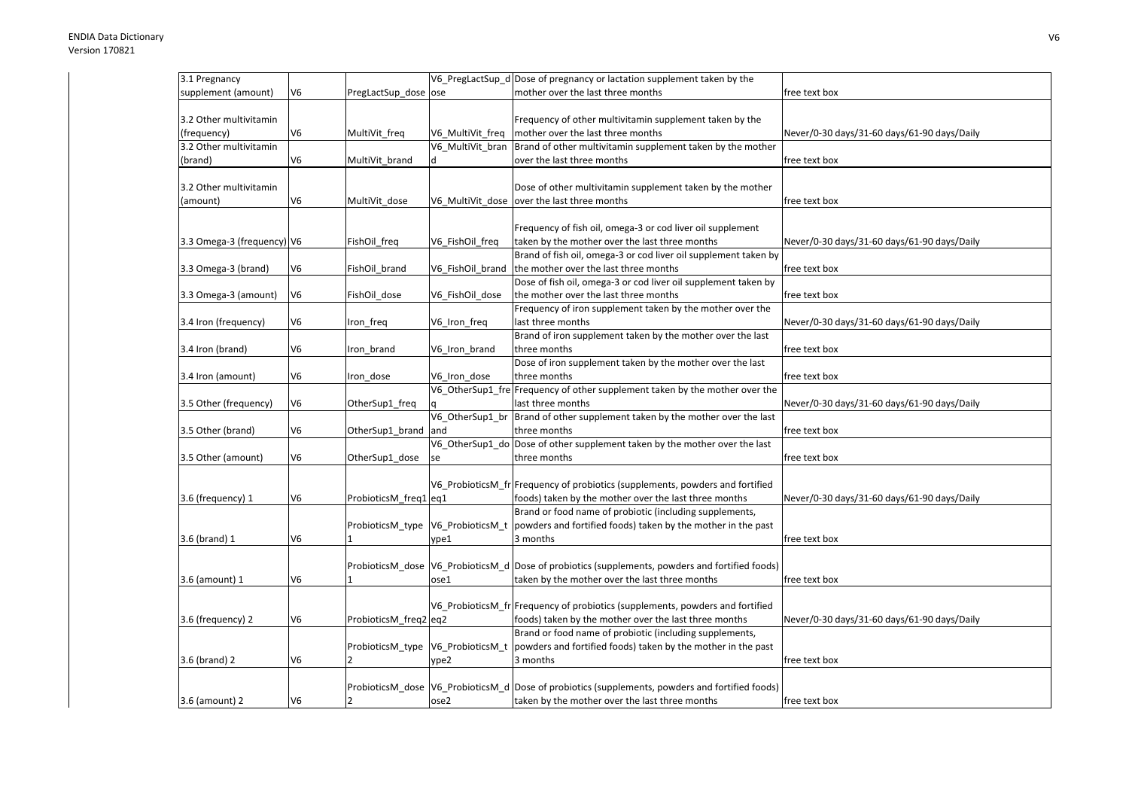| 3.1 Pregnancy              |    |                       |                  | V6_PregLactSup_d Dose of pregnancy or lactation supplement taken by the                           |                                             |
|----------------------------|----|-----------------------|------------------|---------------------------------------------------------------------------------------------------|---------------------------------------------|
| supplement (amount)        | V6 | PregLactSup_dose ose  |                  | mother over the last three months                                                                 | free text box                               |
|                            |    |                       |                  |                                                                                                   |                                             |
| 3.2 Other multivitamin     |    |                       |                  | Frequency of other multivitamin supplement taken by the                                           |                                             |
| (frequency)                | V6 | MultiVit_freq         | V6 MultiVit freq | mother over the last three months                                                                 | Never/0-30 days/31-60 days/61-90 days/Daily |
| 3.2 Other multivitamin     |    |                       | V6_MultiVit_bran | Brand of other multivitamin supplement taken by the mother                                        |                                             |
| (brand)                    | V6 | MultiVit_brand        | d                | over the last three months                                                                        | free text box                               |
|                            |    |                       |                  |                                                                                                   |                                             |
| 3.2 Other multivitamin     |    |                       |                  | Dose of other multivitamin supplement taken by the mother                                         |                                             |
| (amount)                   | V6 | MultiVit_dose         |                  | V6_MultiVit_dose  over the last three months                                                      | free text box                               |
|                            |    |                       |                  | Frequency of fish oil, omega-3 or cod liver oil supplement                                        |                                             |
| 3.3 Omega-3 (frequency) V6 |    | FishOil_freq          | V6_FishOil_freq  | taken by the mother over the last three months                                                    | Never/0-30 days/31-60 days/61-90 days/Daily |
|                            |    |                       |                  | Brand of fish oil, omega-3 or cod liver oil supplement taken by                                   |                                             |
| 3.3 Omega-3 (brand)        | V6 | FishOil brand         | V6_FishOil_brand | the mother over the last three months                                                             | free text box                               |
|                            |    |                       |                  | Dose of fish oil, omega-3 or cod liver oil supplement taken by                                    |                                             |
| 3.3 Omega-3 (amount)       | V6 | FishOil dose          | V6 FishOil dose  | the mother over the last three months                                                             | free text box                               |
|                            |    |                       |                  | Frequency of iron supplement taken by the mother over the                                         |                                             |
| 3.4 Iron (frequency)       | V6 | Iron_freq             | V6_Iron_freq     | last three months                                                                                 | Never/0-30 days/31-60 days/61-90 days/Daily |
|                            |    |                       |                  | Brand of iron supplement taken by the mother over the last                                        |                                             |
| 3.4 Iron (brand)           | V6 | Iron brand            | V6 Iron brand    | three months                                                                                      | free text box                               |
|                            |    |                       |                  | Dose of iron supplement taken by the mother over the last                                         |                                             |
| 3.4 Iron (amount)          | V6 | Iron dose             | V6 Iron dose     | three months                                                                                      | free text box                               |
|                            |    |                       |                  | V6_OtherSup1_fre Frequency of other supplement taken by the mother over the                       |                                             |
| 3.5 Other (frequency)      | V6 | OtherSup1_freq        |                  | last three months                                                                                 | Never/0-30 days/31-60 days/61-90 days/Daily |
|                            | V6 |                       | and              | V6_OtherSup1_br  Brand of other supplement taken by the mother over the last<br>three months      |                                             |
| 3.5 Other (brand)          |    | OtherSup1_brand       |                  | V6_OtherSup1_do Dose of other supplement taken by the mother over the last                        | free text box                               |
| 3.5 Other (amount)         | V6 | OtherSup1_dose        | se               | three months                                                                                      | free text box                               |
|                            |    |                       |                  |                                                                                                   |                                             |
|                            |    |                       |                  | V6 ProbioticsM fr Frequency of probiotics (supplements, powders and fortified                     |                                             |
| 3.6 (frequency) 1          | V6 | ProbioticsM_freq1 eq1 |                  | foods) taken by the mother over the last three months                                             | Never/0-30 days/31-60 days/61-90 days/Daily |
|                            |    |                       |                  | Brand or food name of probiotic (including supplements,                                           |                                             |
|                            |    | ProbioticsM_type      | V6_ProbioticsM_t | powders and fortified foods) taken by the mother in the past                                      |                                             |
| 3.6 (brand) 1              | V6 |                       | ype1             | 3 months                                                                                          | free text box                               |
|                            |    |                       |                  |                                                                                                   |                                             |
|                            |    | ProbioticsM dose      |                  | V6_ProbioticsM_d Dose of probiotics (supplements, powders and fortified foods)                    |                                             |
| 3.6 (amount) 1             | V6 |                       | ose1             | taken by the mother over the last three months                                                    | free text box                               |
|                            |    |                       |                  |                                                                                                   |                                             |
|                            |    |                       |                  | V6_ProbioticsM_fr Frequency of probiotics (supplements, powders and fortified                     |                                             |
| 3.6 (frequency) 2          | V6 | ProbioticsM_freq2 eq2 |                  | foods) taken by the mother over the last three months                                             | Never/0-30 days/31-60 days/61-90 days/Daily |
|                            |    |                       |                  | Brand or food name of probiotic (including supplements,                                           |                                             |
|                            |    | ProbioticsM_type      | V6_ProbioticsM_t | powders and fortified foods) taken by the mother in the past                                      |                                             |
| 3.6 (brand) 2              | V6 |                       | ype2             | 3 months                                                                                          | free text box                               |
|                            |    |                       |                  | ProbioticsM_dose  V6_ProbioticsM_d  Dose of probiotics (supplements, powders and fortified foods) |                                             |
| 3.6 (amount) 2             | V6 |                       | ose2             | taken by the mother over the last three months                                                    | free text box                               |
|                            |    |                       |                  |                                                                                                   |                                             |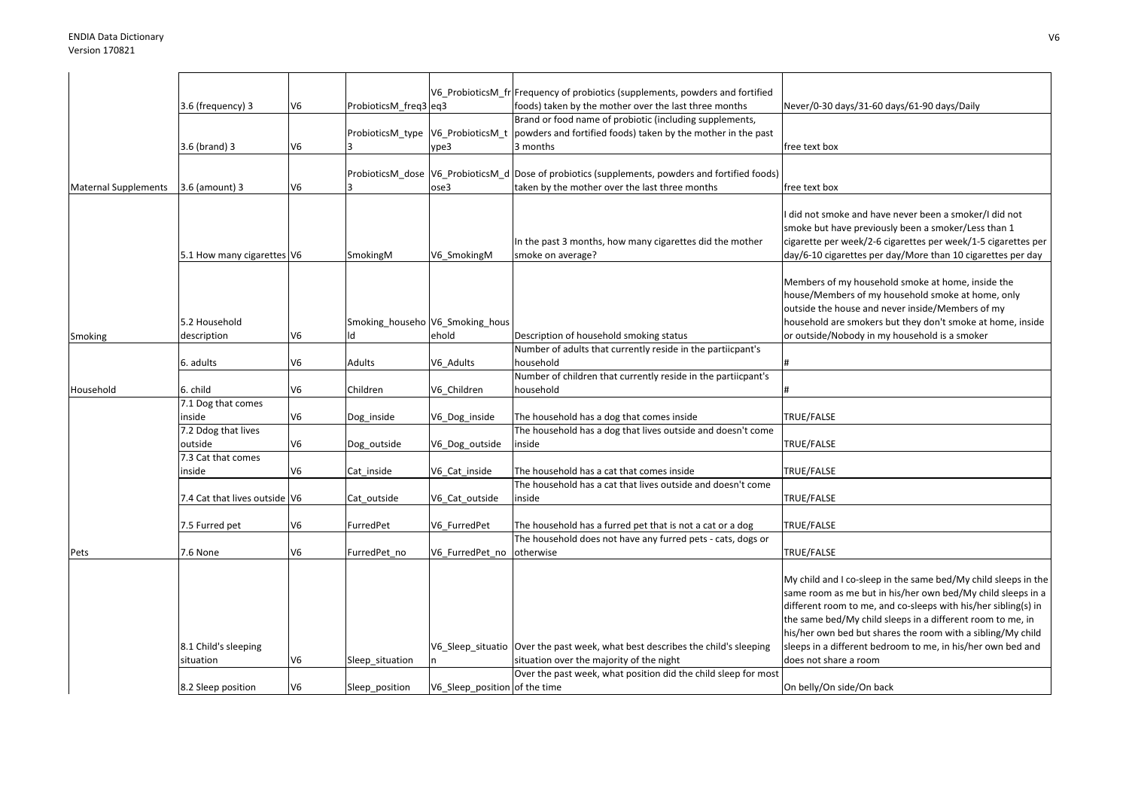|                             |                               |                |                                 |                               | V6 ProbioticsM fr Frequency of probiotics (supplements, powders and fortified                     |                                                                |
|-----------------------------|-------------------------------|----------------|---------------------------------|-------------------------------|---------------------------------------------------------------------------------------------------|----------------------------------------------------------------|
|                             | 3.6 (frequency) 3             | V <sub>6</sub> | ProbioticsM_freq3 eq3           |                               | foods) taken by the mother over the last three months                                             | Never/0-30 days/31-60 days/61-90 days/Daily                    |
|                             |                               |                |                                 |                               | Brand or food name of probiotic (including supplements,                                           |                                                                |
|                             |                               |                |                                 |                               | ProbioticsM_type  V6_ProbioticsM_t  powders and fortified foods) taken by the mother in the past  |                                                                |
|                             | 3.6 (brand) 3                 | V <sub>6</sub> |                                 | vpe3                          | 3 months                                                                                          | free text box                                                  |
|                             |                               |                |                                 |                               |                                                                                                   |                                                                |
|                             |                               |                |                                 |                               | ProbioticsM_dose  V6_ProbioticsM_d  Dose of probiotics (supplements, powders and fortified foods) |                                                                |
| <b>Maternal Supplements</b> | 3.6 (amount) 3                | V <sub>6</sub> |                                 | ose3                          | taken by the mother over the last three months                                                    | free text box                                                  |
|                             |                               |                |                                 |                               |                                                                                                   |                                                                |
|                             |                               |                |                                 |                               |                                                                                                   | did not smoke and have never been a smoker/I did not           |
|                             |                               |                |                                 |                               |                                                                                                   | smoke but have previously been a smoker/Less than 1            |
|                             |                               |                |                                 |                               | In the past 3 months, how many cigarettes did the mother                                          | cigarette per week/2-6 cigarettes per week/1-5 cigarettes per  |
|                             | 5.1 How many cigarettes V6    |                | SmokingM                        | V6 SmokingM                   | smoke on average?                                                                                 | day/6-10 cigarettes per day/More than 10 cigarettes per day    |
|                             |                               |                |                                 |                               |                                                                                                   |                                                                |
|                             |                               |                |                                 |                               |                                                                                                   | Members of my household smoke at home, inside the              |
|                             |                               |                |                                 |                               |                                                                                                   | house/Members of my household smoke at home, only              |
|                             |                               |                |                                 |                               |                                                                                                   | outside the house and never inside/Members of my               |
|                             | 5.2 Household                 |                | Smoking_househo V6_Smoking_hous |                               |                                                                                                   | household are smokers but they don't smoke at home, inside     |
| Smoking                     | description                   | V6             | ld                              | ehold                         | Description of household smoking status                                                           | or outside/Nobody in my household is a smoker                  |
|                             |                               |                |                                 |                               | Number of adults that currently reside in the partiicpant's                                       |                                                                |
|                             | 6. adults                     | V6             | Adults                          | V6 Adults                     | household                                                                                         |                                                                |
|                             |                               |                |                                 |                               | Number of children that currently reside in the partiicpant's                                     |                                                                |
| Household                   | 6. child                      | V <sub>6</sub> | Children                        | V6_Children                   | household                                                                                         |                                                                |
|                             | 7.1 Dog that comes            |                |                                 |                               |                                                                                                   |                                                                |
|                             | inside                        | V <sub>6</sub> | Dog_inside                      | V6_Dog_inside                 | The household has a dog that comes inside                                                         | TRUE/FALSE                                                     |
|                             | 7.2 Ddog that lives           |                |                                 |                               | The household has a dog that lives outside and doesn't come                                       |                                                                |
|                             | outside                       | V <sub>6</sub> | Dog_outside                     | V6_Dog_outside                | inside                                                                                            | TRUE/FALSE                                                     |
|                             | 7.3 Cat that comes            |                |                                 |                               |                                                                                                   |                                                                |
|                             | inside                        | V6             | Cat inside                      | V6_Cat_inside                 | The household has a cat that comes inside                                                         | TRUE/FALSE                                                     |
|                             |                               |                |                                 |                               | The household has a cat that lives outside and doesn't come                                       |                                                                |
|                             | 7.4 Cat that lives outside V6 |                | Cat outside                     | V6_Cat_outside                | inside                                                                                            | TRUE/FALSE                                                     |
|                             |                               |                |                                 |                               |                                                                                                   |                                                                |
|                             | 7.5 Furred pet                | V <sub>6</sub> | FurredPet                       | V6 FurredPet                  | The household has a furred pet that is not a cat or a dog                                         | TRUE/FALSE                                                     |
|                             |                               |                |                                 |                               | The household does not have any furred pets - cats, dogs or                                       |                                                                |
| Pets                        | 7.6 None                      | V <sub>6</sub> | FurredPet_no                    | V6 FurredPet no               | otherwise                                                                                         | TRUE/FALSE                                                     |
|                             |                               |                |                                 |                               |                                                                                                   |                                                                |
|                             |                               |                |                                 |                               |                                                                                                   | My child and I co-sleep in the same bed/My child sleeps in the |
|                             |                               |                |                                 |                               |                                                                                                   | same room as me but in his/her own bed/My child sleeps in a    |
|                             |                               |                |                                 |                               |                                                                                                   | different room to me, and co-sleeps with his/her sibling(s) in |
|                             |                               |                |                                 |                               |                                                                                                   | the same bed/My child sleeps in a different room to me, in     |
|                             |                               |                |                                 |                               |                                                                                                   | his/her own bed but shares the room with a sibling/My child    |
|                             | 8.1 Child's sleeping          |                |                                 |                               | V6_Sleep_situatio Over the past week, what best describes the child's sleeping                    | sleeps in a different bedroom to me, in his/her own bed and    |
|                             | situation                     | V <sub>6</sub> | Sleep_situation                 | n.                            | situation over the majority of the night                                                          | does not share a room                                          |
|                             |                               |                |                                 |                               | Over the past week, what position did the child sleep for most                                    |                                                                |
|                             | 8.2 Sleep position            | V6             | Sleep position                  | V6 Sleep position of the time |                                                                                                   | On belly/On side/On back                                       |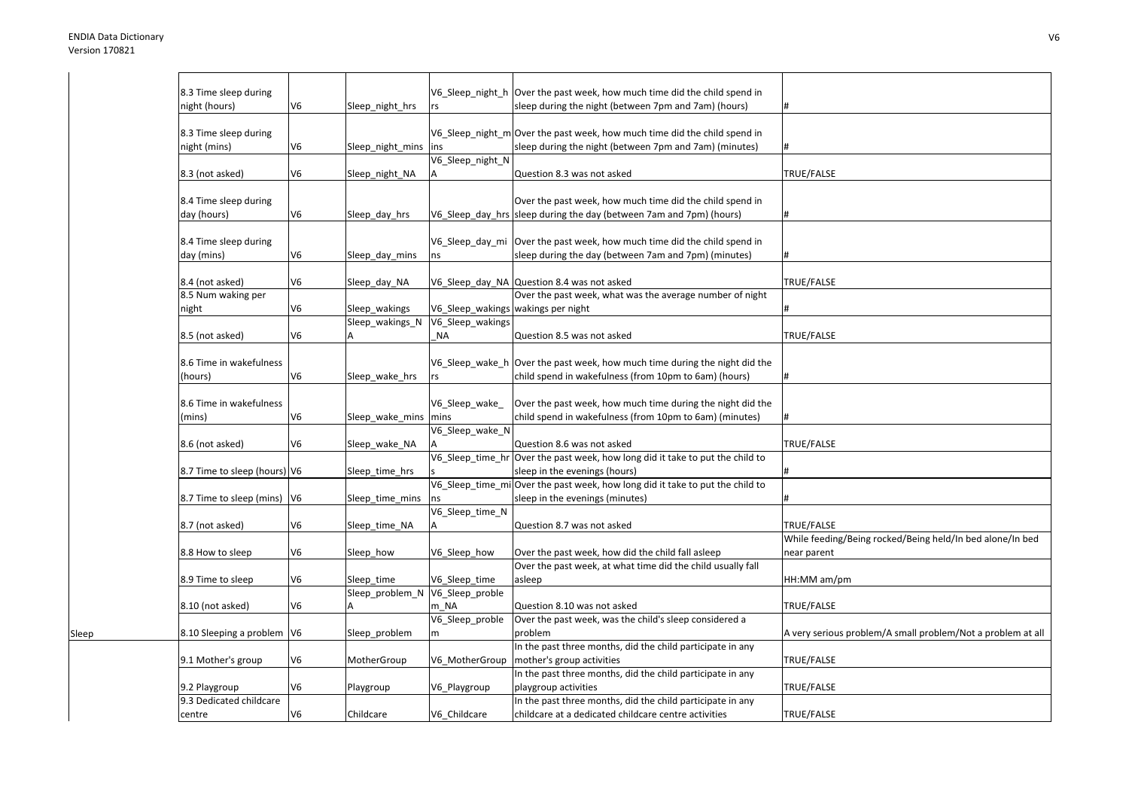Sleep

| 8.3 Time sleep during         |                |                  |                  | V6_Sleep_night_h   Over the past week, how much time did the child spend in   |                                                             |
|-------------------------------|----------------|------------------|------------------|-------------------------------------------------------------------------------|-------------------------------------------------------------|
|                               |                |                  |                  |                                                                               |                                                             |
| night (hours)                 | V <sub>6</sub> | Sleep_night_hrs  | rs               | sleep during the night (between 7pm and 7am) (hours)                          | #                                                           |
| 8.3 Time sleep during         |                |                  |                  | V6_Sleep_night_m Over the past week, how much time did the child spend in     |                                                             |
| night (mins)                  | V6             | Sleep_night_mins | lins             | sleep during the night (between 7pm and 7am) (minutes)                        | #                                                           |
|                               |                |                  | V6_Sleep_night_N |                                                                               |                                                             |
|                               | V6             |                  |                  | Question 8.3 was not asked                                                    | TRUE/FALSE                                                  |
| 8.3 (not asked)               |                | Sleep_night_NA   |                  |                                                                               |                                                             |
| 8.4 Time sleep during         |                |                  |                  | Over the past week, how much time did the child spend in                      |                                                             |
| day (hours)                   | V6             | Sleep_day_hrs    |                  | V6_Sleep_day_hrs sleep during the day (between 7am and 7pm) (hours)           | #                                                           |
|                               |                |                  |                  |                                                                               |                                                             |
| 8.4 Time sleep during         |                |                  |                  | V6_Sleep_day_mi Over the past week, how much time did the child spend in      |                                                             |
| day (mins)                    | V6             | Sleep day mins   | ns               | sleep during the day (between 7am and 7pm) (minutes)                          |                                                             |
|                               |                |                  |                  |                                                                               |                                                             |
| 8.4 (not asked)               | V6             | Sleep_day_NA     |                  | V6_Sleep_day_NA Question 8.4 was not asked                                    | TRUE/FALSE                                                  |
| 8.5 Num waking per            |                |                  |                  | Over the past week, what was the average number of night                      |                                                             |
| night                         | V6             | Sleep wakings    |                  | V6 Sleep wakings wakings per night                                            |                                                             |
|                               |                |                  | V6_Sleep_wakings |                                                                               |                                                             |
|                               |                | Sleep wakings N  |                  |                                                                               |                                                             |
| 8.5 (not asked)               | V6             |                  | <b>NA</b>        | Question 8.5 was not asked                                                    | TRUE/FALSE                                                  |
|                               |                |                  |                  |                                                                               |                                                             |
| 8.6 Time in wakefulness       |                |                  |                  | V6 Sleep wake h Over the past week, how much time during the night did the    |                                                             |
| (hours)                       | V <sub>6</sub> | Sleep_wake_hrs   | rs               | child spend in wakefulness (from 10pm to 6am) (hours)                         | #                                                           |
| 8.6 Time in wakefulness       |                |                  |                  |                                                                               |                                                             |
|                               |                |                  | V6 Sleep wake    | Over the past week, how much time during the night did the                    |                                                             |
| (mins)                        | V6             | Sleep_wake_mins  | mins             | child spend in wakefulness (from 10pm to 6am) (minutes)                       |                                                             |
|                               |                |                  | V6_Sleep_wake_N  |                                                                               |                                                             |
| 8.6 (not asked)               | V6             | Sleep_wake_NA    |                  | Question 8.6 was not asked                                                    | TRUE/FALSE                                                  |
|                               |                |                  | V6_Sleep_time_hr | Over the past week, how long did it take to put the child to                  |                                                             |
| 8.7 Time to sleep (hours) V6  |                | Sleep_time_hrs   |                  | sleep in the evenings (hours)                                                 | #                                                           |
|                               |                |                  |                  | V6_Sleep_time_mi Over the past week, how long did it take to put the child to |                                                             |
| 8.7 Time to sleep (mins)   V6 |                | Sleep_time_mins  |                  | sleep in the evenings (minutes)                                               | #                                                           |
|                               |                |                  | V6_Sleep_time_N  |                                                                               |                                                             |
| 8.7 (not asked)               | V6             | Sleep time NA    |                  | Question 8.7 was not asked                                                    | <b>TRUE/FALSE</b>                                           |
|                               |                |                  |                  |                                                                               | While feeding/Being rocked/Being held/In bed alone/In bed   |
| 8.8 How to sleep              | V6             | Sleep_how        | V6_Sleep_how     | Over the past week, how did the child fall asleep                             | near parent                                                 |
|                               |                |                  |                  | Over the past week, at what time did the child usually fall                   |                                                             |
| 8.9 Time to sleep             | V6             | Sleep time       | V6 Sleep time    | asleep                                                                        | HH:MM am/pm                                                 |
|                               |                | Sleep_problem_N  | V6_Sleep_proble  |                                                                               |                                                             |
| 8.10 (not asked)              | V6             |                  | m NA             | Question 8.10 was not asked                                                   | TRUE/FALSE                                                  |
|                               |                |                  | V6_Sleep_proble  | Over the past week, was the child's sleep considered a                        |                                                             |
| 8.10 Sleeping a problem   V6  |                | Sleep problem    | m                | problem                                                                       | A very serious problem/A small problem/Not a problem at all |
|                               |                |                  |                  | In the past three months, did the child participate in any                    |                                                             |
| 9.1 Mother's group            | V6             | MotherGroup      | V6 MotherGroup   | mother's group activities                                                     | TRUE/FALSE                                                  |
|                               |                |                  |                  | In the past three months, did the child participate in any                    |                                                             |
| 9.2 Playgroup                 | V6             |                  | V6_Playgroup     | playgroup activities                                                          | TRUE/FALSE                                                  |
| 9.3 Dedicated childcare       |                | Playgroup        |                  | In the past three months, did the child participate in any                    |                                                             |
|                               |                |                  |                  |                                                                               |                                                             |
| centre                        | V <sub>6</sub> | Childcare        | V6 Childcare     | childcare at a dedicated childcare centre activities                          | TRUE/FALSE                                                  |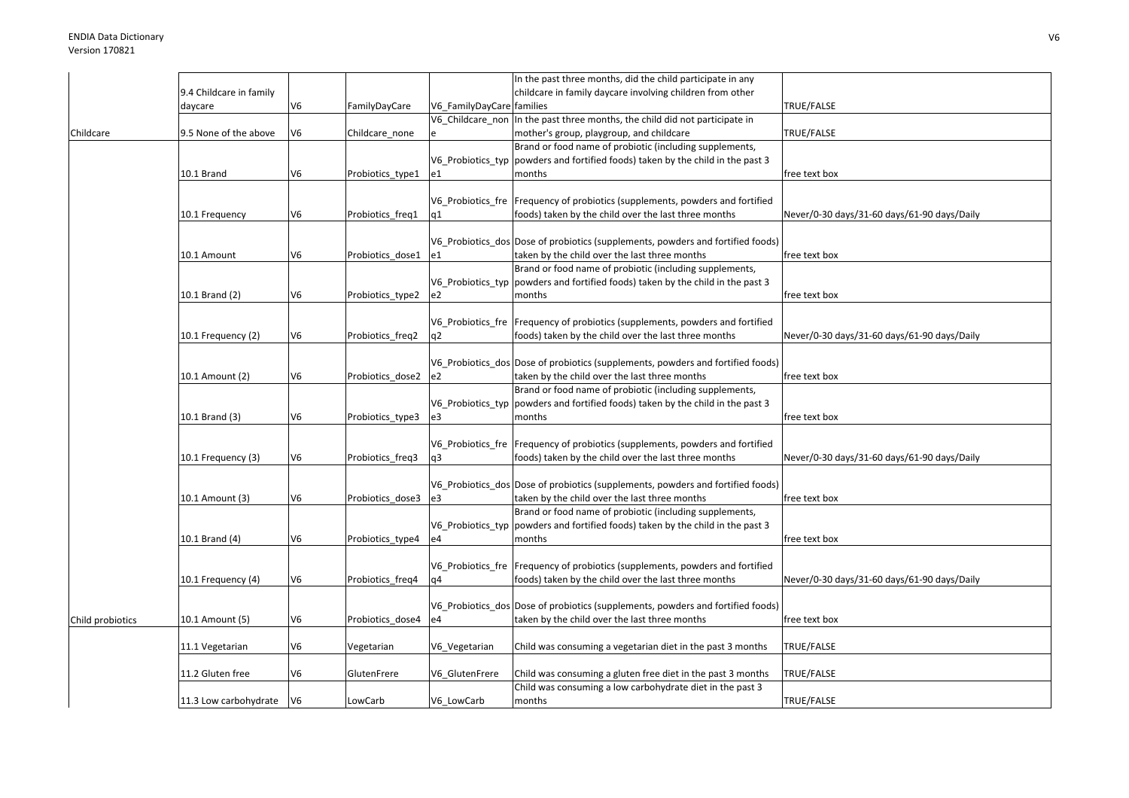|                  |                         |                |                  |                           | In the past three months, did the child participate in any                        |                                             |
|------------------|-------------------------|----------------|------------------|---------------------------|-----------------------------------------------------------------------------------|---------------------------------------------|
|                  | 9.4 Childcare in family |                |                  |                           | childcare in family daycare involving children from other                         |                                             |
|                  | daycare                 | V <sub>6</sub> | FamilyDayCare    | V6_FamilyDayCare families |                                                                                   | TRUE/FALSE                                  |
|                  |                         |                |                  |                           | V6_Childcare_non  In the past three months, the child did not participate in      |                                             |
| Childcare        | 9.5 None of the above   | V <sub>6</sub> | Childcare_none   |                           | mother's group, playgroup, and childcare                                          | TRUE/FALSE                                  |
|                  |                         |                |                  |                           | Brand or food name of probiotic (including supplements,                           |                                             |
|                  |                         |                |                  |                           | V6 Probiotics typ powders and fortified foods) taken by the child in the past 3   |                                             |
|                  | 10.1 Brand              | V <sub>6</sub> | Probiotics_type1 | e1                        | months                                                                            | free text box                               |
|                  |                         |                |                  |                           |                                                                                   |                                             |
|                  |                         |                |                  |                           |                                                                                   |                                             |
|                  |                         |                |                  |                           | V6_Probiotics_fre   Frequency of probiotics (supplements, powders and fortified   |                                             |
|                  | 10.1 Frequency          | V <sub>6</sub> | Probiotics freq1 | q1                        | foods) taken by the child over the last three months                              | Never/0-30 days/31-60 days/61-90 days/Daily |
|                  |                         |                |                  |                           |                                                                                   |                                             |
|                  |                         |                |                  |                           | V6 Probiotics dos Dose of probiotics (supplements, powders and fortified foods)   |                                             |
|                  | 10.1 Amount             | V <sub>6</sub> | Probiotics_dose1 | le1                       | taken by the child over the last three months                                     | free text box                               |
|                  |                         |                |                  |                           | Brand or food name of probiotic (including supplements,                           |                                             |
|                  |                         |                |                  |                           | V6 Probiotics typ powders and fortified foods) taken by the child in the past 3   |                                             |
|                  | 10.1 Brand (2)          | V <sub>6</sub> | Probiotics_type2 | e2                        | months                                                                            | free text box                               |
|                  |                         |                |                  |                           |                                                                                   |                                             |
|                  |                         |                |                  |                           | V6_Probiotics_fre   Frequency of probiotics (supplements, powders and fortified   |                                             |
|                  | 10.1 Frequency (2)      | V <sub>6</sub> | Probiotics_freq2 | q2                        | foods) taken by the child over the last three months                              | Never/0-30 days/31-60 days/61-90 days/Daily |
|                  |                         |                |                  |                           |                                                                                   |                                             |
|                  |                         |                |                  |                           | V6 Probiotics dos Dose of probiotics (supplements, powders and fortified foods)   |                                             |
|                  | 10.1 Amount (2)         | V <sub>6</sub> | Probiotics dose2 | e2                        | taken by the child over the last three months                                     | free text box                               |
|                  |                         |                |                  |                           | Brand or food name of probiotic (including supplements,                           |                                             |
|                  |                         |                |                  |                           | V6_Probiotics_typ   powders and fortified foods) taken by the child in the past 3 |                                             |
|                  | 10.1 Brand (3)          | V <sub>6</sub> | Probiotics_type3 | e3                        | months                                                                            | free text box                               |
|                  |                         |                |                  |                           |                                                                                   |                                             |
|                  |                         |                |                  |                           | V6_Probiotics_fre Frequency of probiotics (supplements, powders and fortified     |                                             |
|                  | 10.1 Frequency (3)      | V <sub>6</sub> | Probiotics_freq3 | q3                        | foods) taken by the child over the last three months                              | Never/0-30 days/31-60 days/61-90 days/Daily |
|                  |                         |                |                  |                           |                                                                                   |                                             |
|                  |                         |                |                  |                           |                                                                                   |                                             |
|                  |                         |                |                  |                           | V6_Probiotics_dos Dose of probiotics (supplements, powders and fortified foods)   |                                             |
|                  | 10.1 Amount (3)         | V <sub>6</sub> | Probiotics dose3 | e3                        | taken by the child over the last three months                                     | free text box                               |
|                  |                         |                |                  |                           | Brand or food name of probiotic (including supplements,                           |                                             |
|                  |                         |                |                  |                           | V6_Probiotics_typ  powders and fortified foods) taken by the child in the past 3  |                                             |
|                  | 10.1 Brand (4)          | V <sub>6</sub> | Probiotics_type4 | e4                        | months                                                                            | free text box                               |
|                  |                         |                |                  |                           |                                                                                   |                                             |
|                  |                         |                |                  |                           | V6_Probiotics_fre   Frequency of probiotics (supplements, powders and fortified   |                                             |
|                  | 10.1 Frequency (4)      | V <sub>6</sub> | Probiotics freq4 | q4                        | foods) taken by the child over the last three months                              | Never/0-30 days/31-60 days/61-90 days/Daily |
|                  |                         |                |                  |                           |                                                                                   |                                             |
|                  |                         |                |                  |                           | V6 Probiotics dos Dose of probiotics (supplements, powders and fortified foods)   |                                             |
| Child probiotics | 10.1 Amount (5)         | V <sub>6</sub> | Probiotics dose4 | e4                        | taken by the child over the last three months                                     | free text box                               |
|                  |                         |                |                  |                           |                                                                                   |                                             |
|                  | 11.1 Vegetarian         | V <sub>6</sub> | Vegetarian       | V6_Vegetarian             | Child was consuming a vegetarian diet in the past 3 months                        | TRUE/FALSE                                  |
|                  |                         |                |                  |                           |                                                                                   |                                             |
|                  | 11.2 Gluten free        | V <sub>6</sub> | GlutenFrere      | V6 GlutenFrere            | Child was consuming a gluten free diet in the past 3 months                       | TRUE/FALSE                                  |
|                  |                         |                |                  |                           | Child was consuming a low carbohydrate diet in the past 3                         |                                             |
|                  | 11.3 Low carbohydrate   | V6             | LowCarb          | V6 LowCarb                | months                                                                            | TRUE/FALSE                                  |
|                  |                         |                |                  |                           |                                                                                   |                                             |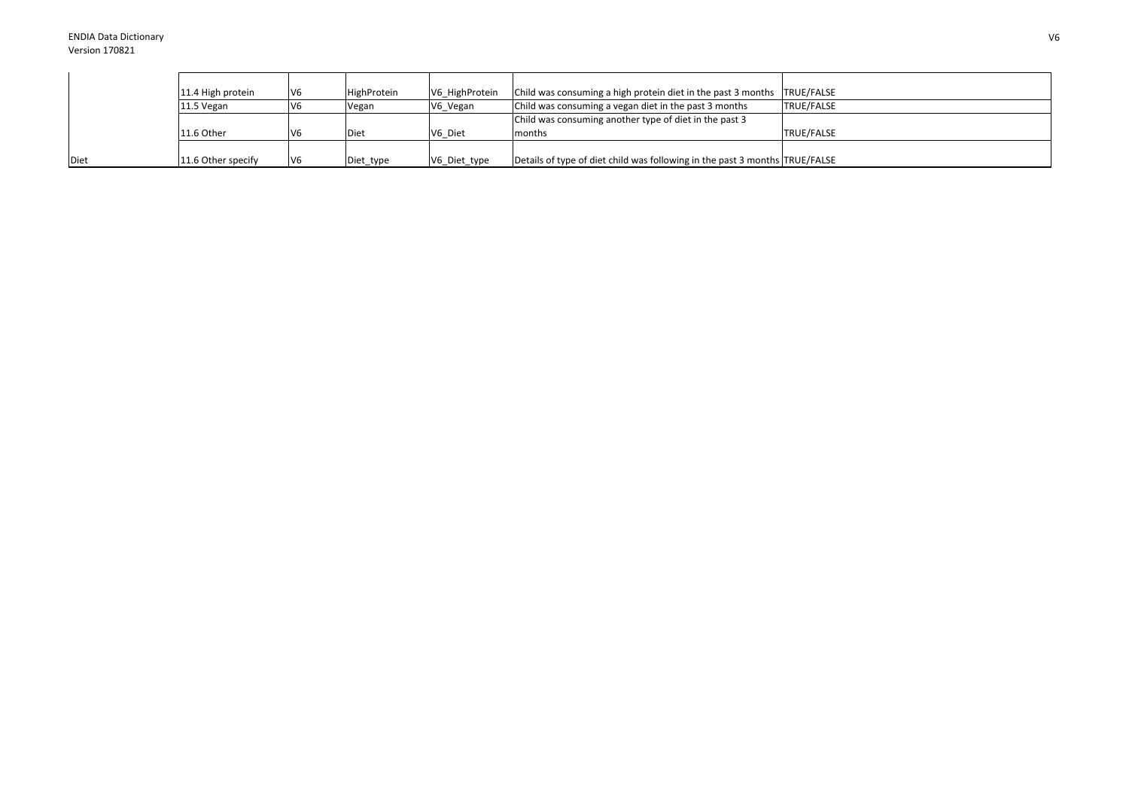|             | 11.4 High protein  | V6  | HighProtein | V6 HighProtein | Child was consuming a high protein diet in the past 3 months TRUE/FALSE     |                   |
|-------------|--------------------|-----|-------------|----------------|-----------------------------------------------------------------------------|-------------------|
|             | 11.5 Vegan         | V6  | Vegan       | V6 Vegan       | Child was consuming a vegan diet in the past 3 months                       | <b>TRUE/FALSE</b> |
|             |                    |     |             |                | Child was consuming another type of diet in the past 3                      |                   |
|             | 11.6 Other         | V6  | Diet        | V6 Diet        | months                                                                      | TRUE/FALSE        |
|             |                    |     |             |                |                                                                             |                   |
| <b>Diet</b> | 11.6 Other specify | IV6 | Diet_type   | V6_Diet_type   | Details of type of diet child was following in the past 3 months TRUE/FALSE |                   |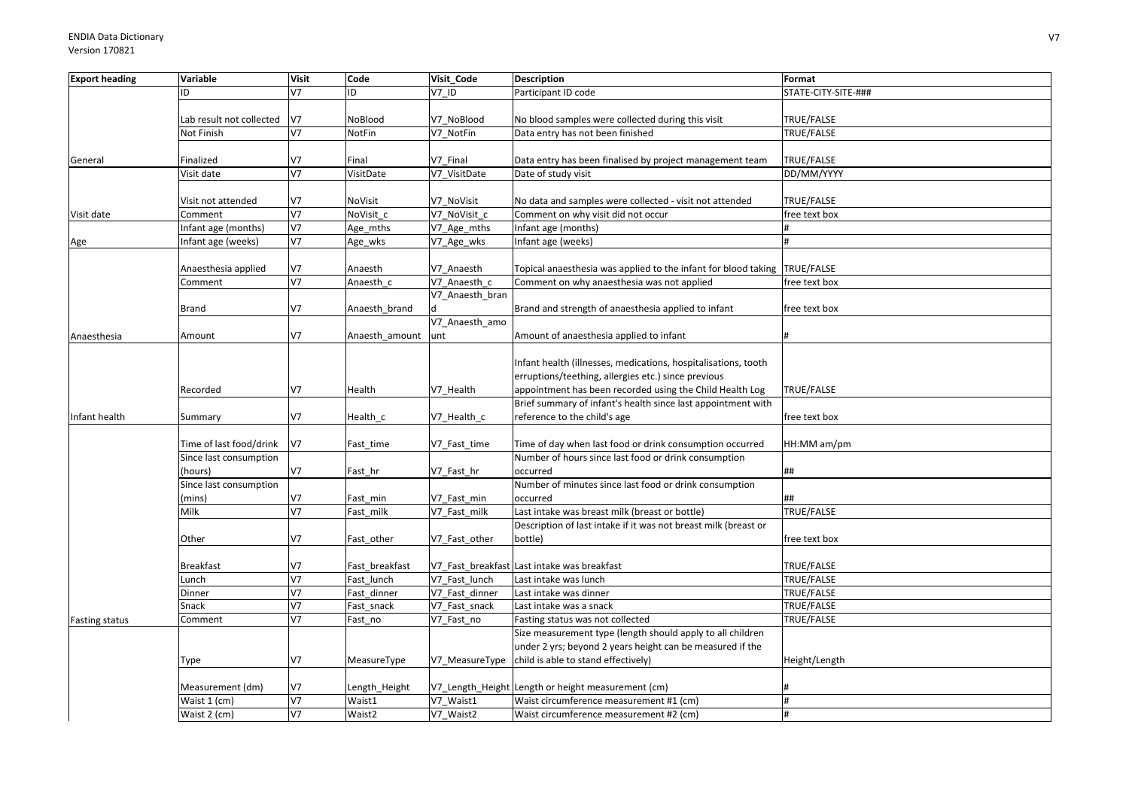| <b>Export heading</b> | Variable                 | <b>Visit</b>   | Code           | Visit Code      | <b>Description</b>                                                        | Format              |
|-----------------------|--------------------------|----------------|----------------|-----------------|---------------------------------------------------------------------------|---------------------|
|                       | ID                       | V <sub>7</sub> | ID             | V7 ID           | Participant ID code                                                       | STATE-CITY-SITE-### |
|                       |                          |                |                |                 |                                                                           |                     |
|                       | Lab result not collected | V7             | NoBlood        | V7_NoBlood      | No blood samples were collected during this visit                         | TRUE/FALSE          |
|                       | Not Finish               | V <sub>7</sub> | NotFin         | V7 NotFin       | Data entry has not been finished                                          | TRUE/FALSE          |
|                       |                          |                |                |                 |                                                                           |                     |
| General               | Finalized                | V7             | Final          | V7 Final        | Data entry has been finalised by project management team                  | TRUE/FALSE          |
|                       | Visit date               | V <sub>7</sub> | VisitDate      | V7 VisitDate    | Date of study visit                                                       | DD/MM/YYYY          |
|                       |                          |                |                |                 |                                                                           |                     |
|                       | Visit not attended       | V <sub>7</sub> | NoVisit        | V7 NoVisit      | No data and samples were collected - visit not attended                   | TRUE/FALSE          |
| Visit date            | Comment                  | V7             | NoVisit c      | V7 NoVisit c    | Comment on why visit did not occur                                        | free text box       |
|                       | Infant age (months)      | V <sub>7</sub> | Age_mths       | V7_Age_mths     | Infant age (months)                                                       |                     |
| Age                   | Infant age (weeks)       | V <sub>7</sub> | Age_wks        | V7_Age_wks      | nfant age (weeks)                                                         |                     |
|                       |                          |                |                |                 |                                                                           |                     |
|                       | Anaesthesia applied      | V7             | Anaesth        | V7 Anaesth      | Topical anaesthesia was applied to the infant for blood taking TRUE/FALSE |                     |
|                       | Comment                  | V7             | Anaesth c      | V7 Anaesth c    | Comment on why anaesthesia was not applied                                | free text box       |
|                       |                          |                |                | V7 Anaesth bran |                                                                           |                     |
|                       | Brand                    | V <sub>7</sub> | Anaesth brand  |                 | Brand and strength of anaesthesia applied to infant                       | free text box       |
|                       |                          |                |                | V7 Anaesth amo  |                                                                           |                     |
| Anaesthesia           | Amount                   | V7             | Anaesth amount | unt             | Amount of anaesthesia applied to infant                                   |                     |
|                       |                          |                |                |                 |                                                                           |                     |
|                       |                          |                |                |                 | Infant health (illnesses, medications, hospitalisations, tooth            |                     |
|                       |                          |                |                |                 | erruptions/teething, allergies etc.) since previous                       |                     |
|                       | Recorded                 | V7             | Health         | V7 Health       | appointment has been recorded using the Child Health Log                  | TRUE/FALSE          |
|                       |                          |                |                |                 | Brief summary of infant's health since last appointment with              |                     |
| Infant health         | Summary                  | V7             | Health_c       | V7_Health_c     | reference to the child's age                                              | free text box       |
|                       |                          |                |                |                 |                                                                           |                     |
|                       | Time of last food/drink  | V7             | Fast_time      | V7 Fast time    | Time of day when last food or drink consumption occurred                  | HH:MM am/pm         |
|                       | Since last consumption   |                |                |                 | Number of hours since last food or drink consumption                      |                     |
|                       | (hours)                  | V7             | Fast_hr        | V7 Fast hr      | occurred                                                                  | ##                  |
|                       | Since last consumption   |                |                |                 | Number of minutes since last food or drink consumption                    |                     |
|                       | (mins)                   | V7             | Fast min       | V7_Fast_min     | occurred                                                                  | ##                  |
|                       | Milk                     | V7             | Fast milk      | V7 Fast milk    | Last intake was breast milk (breast or bottle)                            | TRUE/FALSE          |
|                       |                          |                |                |                 | Description of last intake if it was not breast milk (breast or           |                     |
|                       | Other                    | V7             | Fast other     | V7_Fast_other   | bottle)                                                                   | free text box       |
|                       |                          |                |                |                 |                                                                           |                     |
|                       | <b>Breakfast</b>         | V7             | Fast breakfast |                 | V7 Fast breakfast Last intake was breakfast                               | TRUE/FALSE          |
|                       | Lunch                    | V <sub>7</sub> | Fast lunch     | V7 Fast lunch   | Last intake was lunch                                                     | TRUE/FALSE          |
|                       | Dinner                   | V <sub>7</sub> | Fast dinner    | V7 Fast dinner  | Last intake was dinner                                                    | TRUE/FALSE          |
|                       | Snack                    | V <sub>7</sub> | Fast snack     | V7 Fast snack   | Last intake was a snack                                                   | TRUE/FALSE          |
| <b>Fasting status</b> | Comment                  | V <sub>7</sub> | Fast no        | V7 Fast no      | Fasting status was not collected                                          | TRUE/FALSE          |
|                       |                          |                |                |                 | Size measurement type (length should apply to all children                |                     |
|                       |                          |                |                |                 | under 2 yrs; beyond 2 years height can be measured if the                 |                     |
|                       | Type                     | V7             | MeasureType    |                 | V7_MeasureType child is able to stand effectively)                        | Height/Length       |
|                       |                          |                |                |                 |                                                                           |                     |
|                       | Measurement (dm)         | V7             | Length_Height  |                 | V7_Length_Height Length or height measurement (cm)                        |                     |
|                       | Waist 1 (cm)             | V <sub>7</sub> | Waist1         | V7 Waist1       | Waist circumference measurement #1 (cm)                                   | #                   |
|                       | Waist 2 (cm)             | V <sub>7</sub> | Waist2         | V7 Waist2       | Waist circumference measurement #2 (cm)                                   | #                   |
|                       |                          |                |                |                 |                                                                           |                     |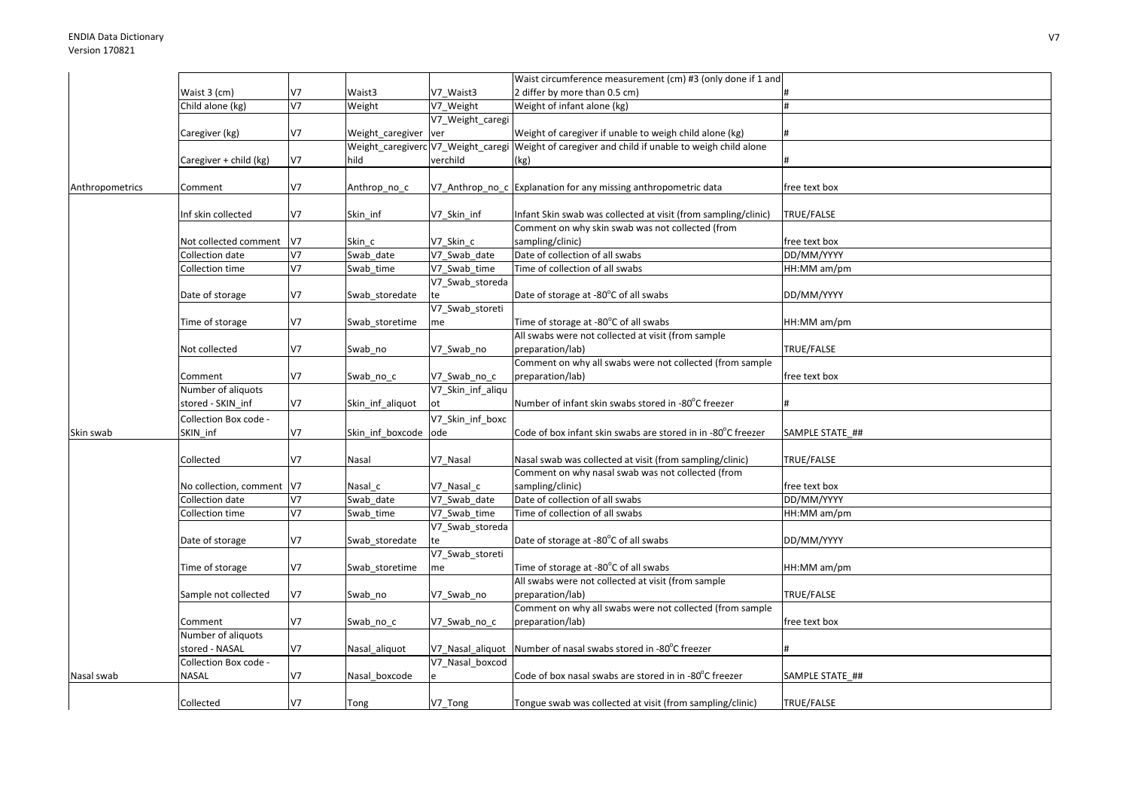|                 |                           |                |                  |                   | Waist circumference measurement (cm) #3 (only done if 1 and                                     |                 |
|-----------------|---------------------------|----------------|------------------|-------------------|-------------------------------------------------------------------------------------------------|-----------------|
|                 | Waist 3 (cm)              | V7             | Waist3           | V7 Waist3         | 2 differ by more than 0.5 cm)                                                                   |                 |
|                 | Child alone (kg)          | V <sub>7</sub> | Weight           | V7 Weight         | Weight of infant alone (kg)                                                                     |                 |
|                 |                           |                |                  | V7_Weight_caregi  |                                                                                                 |                 |
|                 | Caregiver (kg)            | V7             | Weight caregiver | ver               | Weight of caregiver if unable to weigh child alone (kg)                                         |                 |
|                 |                           |                |                  |                   | Weight_caregiverc V7_Weight_caregi Weight of caregiver and child if unable to weigh child alone |                 |
|                 | Caregiver + child (kg)    | V7             | hild             | verchild          | (kg)                                                                                            |                 |
|                 |                           |                |                  |                   |                                                                                                 |                 |
| Anthropometrics | Comment                   | V7             | Anthrop_no_c     |                   | V7_Anthrop_no_c Explanation for any missing anthropometric data                                 | free text box   |
|                 |                           |                |                  |                   |                                                                                                 |                 |
|                 | Inf skin collected        | V7             | Skin inf         | V7 Skin inf       | Infant Skin swab was collected at visit (from sampling/clinic)                                  | TRUE/FALSE      |
|                 |                           |                |                  |                   | Comment on why skin swab was not collected (from                                                |                 |
|                 | Not collected comment     | V7             | Skin_c           | V7 Skin c         | sampling/clinic)                                                                                | free text box   |
|                 | Collection date           | V <sub>7</sub> | Swab date        | V7 Swab date      | Date of collection of all swabs                                                                 | DD/MM/YYYY      |
|                 | Collection time           | V <sub>7</sub> | Swab time        | V7 Swab time      | Time of collection of all swabs                                                                 | HH:MM am/pm     |
|                 |                           |                |                  | V7_Swab_storeda   |                                                                                                 |                 |
|                 | Date of storage           | V7             | Swab_storedate   | te                | Date of storage at -80°C of all swabs                                                           | DD/MM/YYYY      |
|                 |                           |                |                  | V7_Swab_storeti   |                                                                                                 |                 |
|                 | Time of storage           | V7             | Swab storetime   | me                | Time of storage at -80°C of all swabs                                                           | HH:MM am/pm     |
|                 |                           |                |                  |                   | All swabs were not collected at visit (from sample                                              |                 |
|                 | Not collected             | V <sub>7</sub> | Swab_no          | V7_Swab_no        | preparation/lab)                                                                                | TRUE/FALSE      |
|                 |                           |                |                  |                   | Comment on why all swabs were not collected (from sample                                        |                 |
|                 | Comment                   | V7             | Swab_no_c        | V7_Swab_no_c      | preparation/lab)                                                                                | free text box   |
|                 | Number of aliquots        |                |                  | V7 Skin inf aliqu |                                                                                                 |                 |
|                 | stored - SKIN_inf         | V7             | Skin_inf_aliquot | ot                | Number of infant skin swabs stored in -80°C freezer                                             |                 |
|                 | Collection Box code -     |                |                  | V7 Skin inf boxc  |                                                                                                 |                 |
| Skin swab       | SKIN inf                  | V7             | Skin inf boxcode | ode               | Code of box infant skin swabs are stored in in -80°C freezer                                    | SAMPLE STATE_## |
|                 |                           |                |                  |                   |                                                                                                 |                 |
|                 | Collected                 | V7             | Nasal            | V7 Nasal          | Nasal swab was collected at visit (from sampling/clinic)                                        | TRUE/FALSE      |
|                 |                           |                |                  |                   | Comment on why nasal swab was not collected (from                                               |                 |
|                 | No collection, comment V7 |                | Nasal c          | V7 Nasal c        | sampling/clinic)                                                                                | free text box   |
|                 | Collection date           | V <sub>7</sub> | Swab date        | V7 Swab date      | Date of collection of all swabs                                                                 | DD/MM/YYYY      |
|                 | Collection time           | V7             | Swab_time        | V7 Swab time      | Time of collection of all swabs                                                                 | HH:MM am/pm     |
|                 |                           |                |                  | V7_Swab_storeda   |                                                                                                 |                 |
|                 | Date of storage           | V7             | Swab_storedate   | te                | Date of storage at -80°C of all swabs                                                           | DD/MM/YYYY      |
|                 |                           |                |                  | V7_Swab_storeti   |                                                                                                 |                 |
|                 | Time of storage           | V7             | Swab_storetime   | me                | Time of storage at -80°C of all swabs                                                           | HH:MM am/pm     |
|                 |                           |                |                  |                   | All swabs were not collected at visit (from sample                                              |                 |
|                 | Sample not collected      | V7             | Swab no          | V7 Swab no        | preparation/lab)                                                                                | TRUE/FALSE      |
|                 | Comment                   | V7             |                  |                   | Comment on why all swabs were not collected (from sample<br>preparation/lab)                    | free text box   |
|                 | Number of aliquots        |                | Swab_no_c        | V7 Swab no c      |                                                                                                 |                 |
|                 | stored - NASAL            | V <sub>7</sub> |                  |                   | V7 Nasal aliquot Number of nasal swabs stored in -80°C freezer                                  |                 |
|                 | Collection Box code -     |                | Nasal_aliquot    | V7 Nasal boxcod   |                                                                                                 |                 |
| Nasal swab      | <b>NASAL</b>              | V7             | Nasal boxcode    |                   | Code of box nasal swabs are stored in in -80°C freezer                                          | SAMPLE STATE ## |
|                 |                           |                |                  |                   |                                                                                                 |                 |
|                 |                           | V7             |                  |                   |                                                                                                 |                 |
|                 | Collected                 |                | Tong             | V7_Tong           | Tongue swab was collected at visit (from sampling/clinic)                                       | TRUE/FALSE      |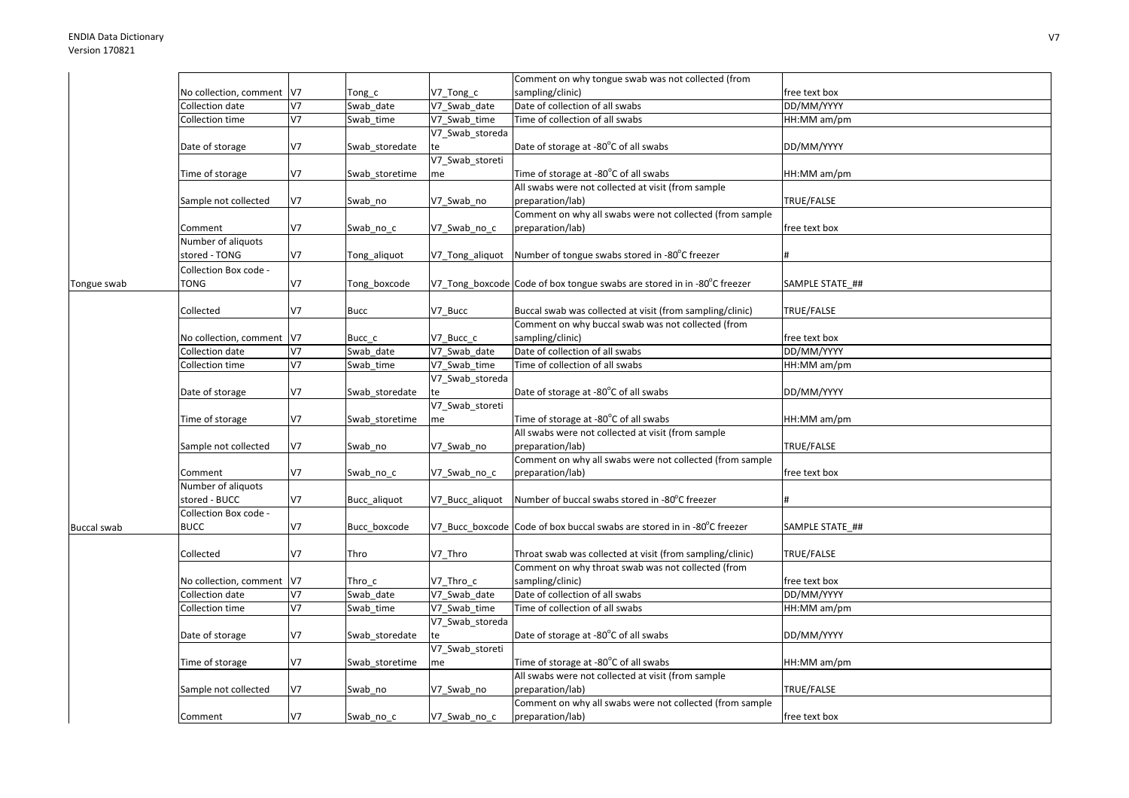|                    |                            |                |                |                              | Comment on why tongue swab was not collected (from                      |                             |
|--------------------|----------------------------|----------------|----------------|------------------------------|-------------------------------------------------------------------------|-----------------------------|
|                    | No collection, comment  V7 |                | Tong c         | V7_Tong_c                    | sampling/clinic)                                                        | free text box               |
|                    | Collection date            | V <sub>7</sub> | Swab date      | V7 Swab date                 | Date of collection of all swabs                                         | DD/MM/YYYY                  |
|                    | Collection time            | V7             | Swab_time      | V7 Swab time                 | Time of collection of all swabs                                         | HH:MM am/pm                 |
|                    |                            |                |                | V7_Swab_storeda              |                                                                         |                             |
|                    | Date of storage            | V7             | Swab_storedate | te                           | Date of storage at -80°C of all swabs                                   | DD/MM/YYYY                  |
|                    |                            |                |                | V7_Swab_storeti              |                                                                         |                             |
|                    | Time of storage            | V7             | Swab_storetime | me                           | Time of storage at -80°C of all swabs                                   | HH:MM am/pm                 |
|                    |                            |                |                |                              | All swabs were not collected at visit (from sample                      |                             |
|                    | Sample not collected       | V7             | Swab_no        | V7_Swab_no                   | preparation/lab)                                                        | TRUE/FALSE                  |
|                    |                            |                |                |                              | Comment on why all swabs were not collected (from sample                |                             |
|                    | Comment                    | V7             | Swab_no_c      | V7 Swab no c                 | preparation/lab)                                                        | free text box               |
|                    | Number of aliquots         |                |                |                              |                                                                         |                             |
|                    | stored - TONG              | V7             | Tong_aliquot   | V7_Tong_aliquot              | Number of tongue swabs stored in -80°C freezer                          |                             |
|                    | Collection Box code -      |                |                |                              |                                                                         |                             |
| Tongue swab        | TONG                       | V7             | Tong boxcode   |                              | V7_Tong_boxcode Code of box tongue swabs are stored in in -80°C freezer | SAMPLE STATE ##             |
|                    |                            |                |                |                              |                                                                         |                             |
|                    | Collected                  | V7             | <b>Bucc</b>    | V7_Bucc                      | Buccal swab was collected at visit (from sampling/clinic)               | TRUE/FALSE                  |
|                    |                            |                |                |                              | Comment on why buccal swab was not collected (from                      |                             |
|                    | No collection, comment V7  |                | Bucc c         | V7 Bucc c                    | sampling/clinic)                                                        | free text box               |
|                    | Collection date            | V7             | Swab_date      | V7_Swab_date                 | Date of collection of all swabs                                         | DD/MM/YYYY                  |
|                    | Collection time            | V7             | Swab_time      | V7 Swab time                 | Time of collection of all swabs                                         | HH:MM am/pm                 |
|                    |                            |                |                | V7_Swab_storeda              |                                                                         |                             |
|                    | Date of storage            | V7             | Swab_storedate | te                           | Date of storage at -80°C of all swabs                                   | DD/MM/YYYY                  |
|                    |                            |                |                | V7_Swab_storeti              |                                                                         |                             |
|                    | Time of storage            | V7             | Swab storetime | me                           | Time of storage at -80°C of all swabs                                   | HH:MM am/pm                 |
|                    |                            |                |                |                              | All swabs were not collected at visit (from sample                      |                             |
|                    | Sample not collected       | V7             | Swab_no        | V7_Swab_no                   | preparation/lab)                                                        | TRUE/FALSE                  |
|                    |                            |                |                |                              | Comment on why all swabs were not collected (from sample                |                             |
|                    | Comment                    | V7             | Swab_no_c      | V7_Swab_no_c                 | preparation/lab)                                                        | free text box               |
|                    | Number of aliquots         |                |                |                              |                                                                         |                             |
|                    | stored - BUCC              | V7             | Bucc aliquot   | V7 Bucc aliquot              | Number of buccal swabs stored in -80°C freezer                          |                             |
|                    | Collection Box code -      |                |                |                              |                                                                         |                             |
| <b>Buccal swab</b> | <b>BUCC</b>                | V7             | Bucc_boxcode   |                              | V7 Bucc boxcode Code of box buccal swabs are stored in in -80°C freezer | SAMPLE STATE ##             |
|                    |                            |                |                |                              |                                                                         |                             |
|                    | Collected                  | V7             | Thro           | V7_Thro                      | Throat swab was collected at visit (from sampling/clinic)               | TRUE/FALSE                  |
|                    |                            |                |                |                              | Comment on why throat swab was not collected (from                      |                             |
|                    | No collection, comment V7  | V <sub>7</sub> | Thro c         | V7_Thro_c                    | sampling/clinic)<br>Date of collection of all swabs                     | free text box<br>DD/MM/YYYY |
|                    | Collection date            | V7             | Swab date      | V7 Swab date<br>V7 Swab time | Time of collection of all swabs                                         | HH:MM am/pm                 |
|                    | Collection time            |                | Swab time      | V7_Swab_storeda              |                                                                         |                             |
|                    | Date of storage            | V7             |                |                              | Date of storage at -80°C of all swabs                                   | DD/MM/YYYY                  |
|                    |                            |                | Swab_storedate | te<br>V7_Swab_storeti        |                                                                         |                             |
|                    | Time of storage            | V7             | Swab_storetime | me                           | Time of storage at -80°C of all swabs                                   | HH:MM am/pm                 |
|                    |                            |                |                |                              | All swabs were not collected at visit (from sample                      |                             |
|                    | Sample not collected       | V7             | Swab_no        | V7_Swab_no                   | preparation/lab)                                                        | TRUE/FALSE                  |
|                    |                            |                |                |                              | Comment on why all swabs were not collected (from sample                |                             |
|                    | Comment                    | V7             | Swab_no_c      | V7_Swab_no_c                 | preparation/lab)                                                        | free text box               |
|                    |                            |                |                |                              |                                                                         |                             |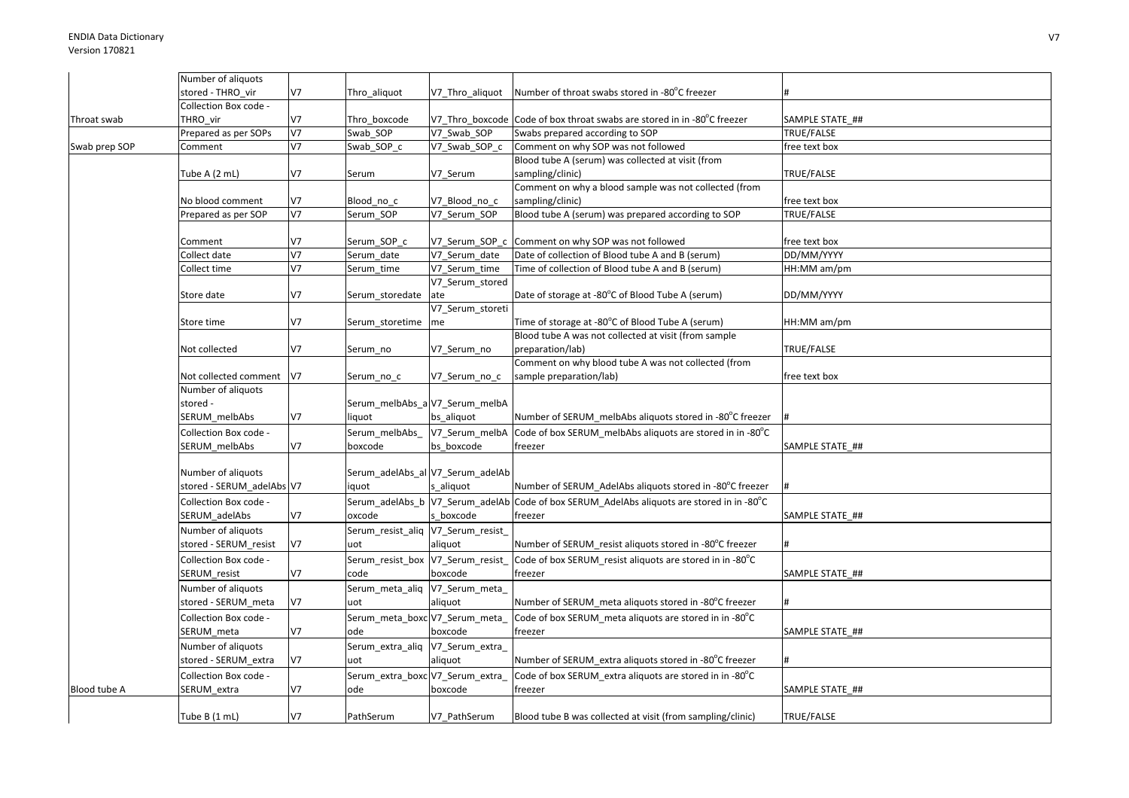|               | Number of aliquots        |                |                                   |                                  |                                                                                           |                 |
|---------------|---------------------------|----------------|-----------------------------------|----------------------------------|-------------------------------------------------------------------------------------------|-----------------|
|               | stored - THRO vir         | V <sub>7</sub> | Thro aliquot                      | V7 Thro aliquot                  | Number of throat swabs stored in -80°C freezer                                            |                 |
|               | Collection Box code -     |                |                                   |                                  |                                                                                           |                 |
| Throat swab   | THRO vir                  | V <sub>7</sub> | Thro boxcode                      |                                  | V7 Thro boxcode Code of box throat swabs are stored in in -80°C freezer                   | SAMPLE STATE ## |
|               | Prepared as per SOPs      | $\overline{V}$ | Swab SOP                          | V7 Swab SOP                      | Swabs prepared according to SOP                                                           | TRUE/FALSE      |
| Swab prep SOP | Comment                   | V <sub>7</sub> | Swab_SOP_c                        | V7_Swab_SOP_c                    | Comment on why SOP was not followed                                                       | free text box   |
|               |                           |                |                                   |                                  | Blood tube A (serum) was collected at visit (from                                         |                 |
|               | Tube A (2 mL)             | V7             | Serum                             | V7_Serum                         | sampling/clinic)                                                                          | TRUE/FALSE      |
|               |                           |                |                                   |                                  | Comment on why a blood sample was not collected (from                                     |                 |
|               | No blood comment          | V <sub>7</sub> | Blood no c                        | V7 Blood no c                    | sampling/clinic)                                                                          | free text box   |
|               | Prepared as per SOP       | V <sub>7</sub> | Serum SOP                         | V7 Serum SOP                     | Blood tube A (serum) was prepared according to SOP                                        | TRUE/FALSE      |
|               |                           |                |                                   |                                  |                                                                                           |                 |
|               | Comment                   | V <sub>7</sub> | Serum_SOP_c                       | V7 Serum SOP c                   | Comment on why SOP was not followed                                                       | free text box   |
|               | Collect date              | V <sub>7</sub> | Serum date                        | V7_Serum_date                    | Date of collection of Blood tube A and B (serum)                                          | DD/MM/YYYY      |
|               | Collect time              | V <sub>7</sub> | Serum_time                        | V7 Serum time                    | Time of collection of Blood tube A and B (serum)                                          | HH:MM am/pm     |
|               |                           |                |                                   | V7_Serum_stored                  |                                                                                           |                 |
|               | Store date                | V <sub>7</sub> | Serum_storedate                   | ate                              | Date of storage at -80°C of Blood Tube A (serum)                                          | DD/MM/YYYY      |
|               |                           |                |                                   | V7 Serum storeti                 |                                                                                           |                 |
|               | Store time                | V7             | Serum storetime                   | me                               | Time of storage at -80°C of Blood Tube A (serum)                                          | HH:MM am/pm     |
|               |                           |                |                                   |                                  | Blood tube A was not collected at visit (from sample                                      |                 |
|               | Not collected             | V7             | Serum no                          | V7 Serum no                      | preparation/lab)                                                                          | TRUE/FALSE      |
|               |                           |                |                                   |                                  | Comment on why blood tube A was not collected (from                                       |                 |
|               | Not collected comment     | V <sub>7</sub> | Serum_no_c                        | V7 Serum no c                    | sample preparation/lab)                                                                   | free text box   |
|               | Number of aliquots        |                |                                   |                                  |                                                                                           |                 |
|               | stored -                  |                |                                   | Serum_melbAbs_aV7_Serum_melbA    |                                                                                           |                 |
|               | SERUM melbAbs             | V7             | liquot                            | bs_aliquot                       | Number of SERUM melbAbs aliquots stored in -80°C freezer                                  |                 |
|               | Collection Box code -     |                | Serum melbAbs                     | V7 Serum melbA                   | Code of box SERUM melbAbs aliquots are stored in in -80°C                                 |                 |
|               | SERUM melbAbs             | V <sub>7</sub> | boxcode                           | bs boxcode                       | freezer                                                                                   | SAMPLE STATE ## |
|               |                           |                |                                   |                                  |                                                                                           |                 |
|               | Number of aliquots        |                |                                   | Serum_adelAbs_al V7_Serum_adelAb |                                                                                           |                 |
|               | stored - SERUM_adelAbs V7 |                | iquot                             | s aliquot                        | Number of SERUM AdelAbs aliquots stored in -80°C freezer                                  |                 |
|               | Collection Box code -     |                |                                   |                                  | Serum adelAbs b V7 Serum adelAb Code of box SERUM AdelAbs aliquots are stored in in -80°C |                 |
|               | SERUM_adelAbs             | V <sub>7</sub> | oxcode                            | s boxcode                        | freezer                                                                                   | SAMPLE STATE ## |
|               | Number of aliquots        |                | Serum_resist_aliq V7_Serum_resist |                                  |                                                                                           |                 |
|               | stored - SERUM_resist     | V <sub>7</sub> | uot                               | aliquot                          | Number of SERUM resist aliquots stored in -80°C freezer                                   |                 |
|               | Collection Box code -     |                | Serum resist box V7 Serum resist  |                                  | Code of box SERUM resist aliquots are stored in in -80°C                                  |                 |
|               | SERUM resist              | V <sub>7</sub> | code                              | boxcode                          | freezer                                                                                   | SAMPLE STATE ## |
|               | Number of aliquots        |                | Serum_meta_aliq V7_Serum_meta_    |                                  |                                                                                           |                 |
|               | stored - SERUM meta       | V <sub>7</sub> | uot                               | aliquot                          | Number of SERUM meta aliquots stored in -80°C freezer                                     |                 |
|               | Collection Box code -     |                | Serum meta boxc V7 Serum meta     |                                  | Code of box SERUM meta aliquots are stored in in -80°C                                    |                 |
|               | SERUM meta                | V <sub>7</sub> | ode                               | boxcode                          | freezer                                                                                   | SAMPLE STATE ## |
|               | Number of aliquots        |                | Serum_extra_aliq V7_Serum_extra_  |                                  |                                                                                           |                 |
|               | stored - SERUM_extra      | V <sub>7</sub> | uot                               | aliquot                          | Number of SERUM extra aliquots stored in -80°C freezer                                    |                 |
|               | Collection Box code -     |                | Serum_extra_boxc V7_Serum_extra   |                                  | Code of box SERUM extra aliquots are stored in in -80 $\degree$ C                         |                 |
| Blood tube A  | SERUM extra               | V7             | ode                               | boxcode                          | freezer                                                                                   | SAMPLE STATE ## |
|               |                           |                |                                   |                                  |                                                                                           |                 |
|               | Tube B (1 mL)             | V <sub>7</sub> | PathSerum                         | V7 PathSerum                     | Blood tube B was collected at visit (from sampling/clinic)                                | TRUE/FALSE      |
|               |                           |                |                                   |                                  |                                                                                           |                 |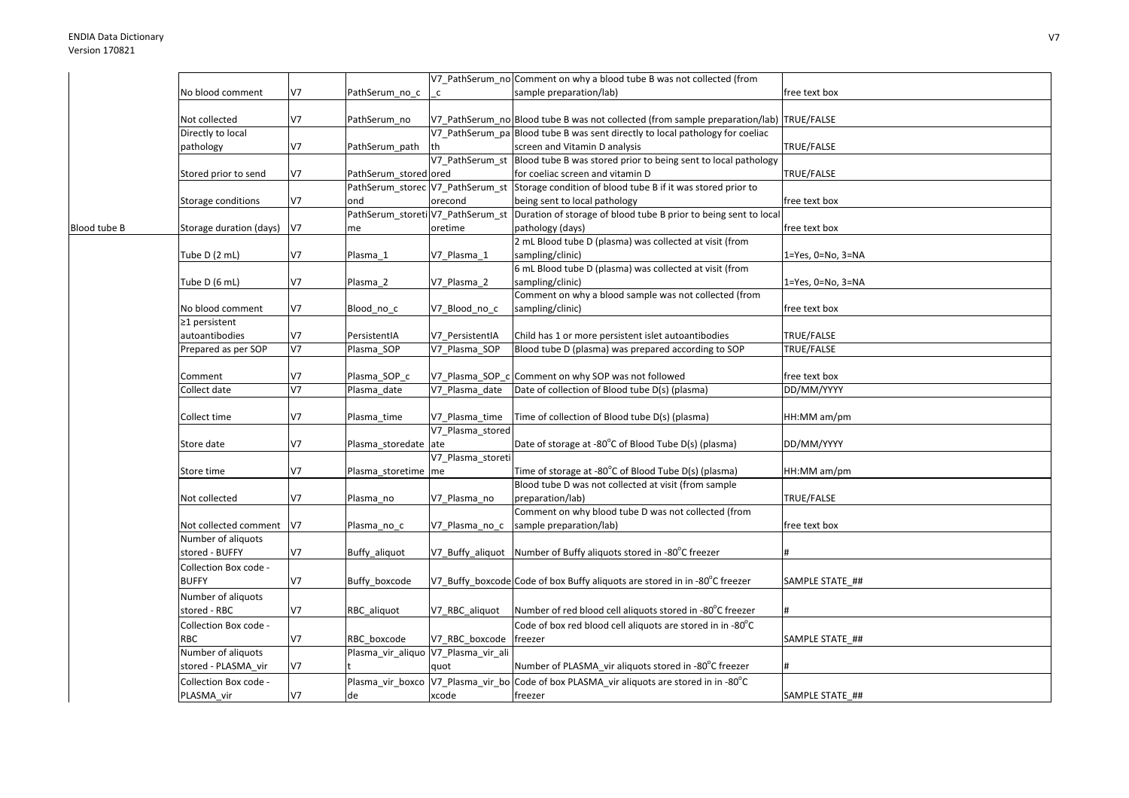|              |                                      |                |                                     |                   | V7_PathSerum_no Comment on why a blood tube B was not collected (from                    |                   |
|--------------|--------------------------------------|----------------|-------------------------------------|-------------------|------------------------------------------------------------------------------------------|-------------------|
|              | No blood comment                     | V7             | PathSerum_no_c                      | $\mathsf{C}$      | sample preparation/lab)                                                                  | free text box     |
|              | Not collected                        | V7             | PathSerum_no                        |                   | V7_PathSerum_no Blood tube B was not collected (from sample preparation/lab) TRUE/FALSE  |                   |
|              | Directly to local                    |                |                                     |                   | V7_PathSerum_pa Blood tube B was sent directly to local pathology for coeliac            |                   |
|              | pathology                            | V7             | PathSerum_path                      | th                | screen and Vitamin D analysis                                                            | TRUE/FALSE        |
|              |                                      |                |                                     | V7 PathSerum st   | Blood tube B was stored prior to being sent to local pathology                           |                   |
|              | Stored prior to send                 | V7             | PathSerum_stored ored               |                   | for coeliac screen and vitamin D                                                         | TRUE/FALSE        |
|              |                                      |                | PathSerum_storec V7_PathSerum_st    |                   | Storage condition of blood tube B if it was stored prior to                              |                   |
|              | Storage conditions                   | V7             | ond                                 | orecond           | being sent to local pathology                                                            | free text box     |
|              |                                      |                | PathSerum storeti V7 PathSerum st   |                   | Duration of storage of blood tube B prior to being sent to local                         |                   |
| Blood tube B | Storage duration (days)              | V7             | me                                  | oretime           | pathology (days)                                                                         | free text box     |
|              |                                      |                |                                     |                   | 2 mL Blood tube D (plasma) was collected at visit (from                                  |                   |
|              | Tube D (2 mL)                        | V7             | Plasma 1                            | V7 Plasma 1       | sampling/clinic)                                                                         | 1=Yes, 0=No, 3=NA |
|              | Tube D (6 mL)                        | V7             | Plasma_2                            | V7_Plasma_2       | 6 mL Blood tube D (plasma) was collected at visit (from<br>sampling/clinic)              | 1=Yes, 0=No, 3=NA |
|              |                                      |                |                                     |                   | Comment on why a blood sample was not collected (from                                    |                   |
|              | No blood comment                     | V7             | Blood no c                          | V7_Blood_no_c     | sampling/clinic)                                                                         | free text box     |
|              | ≥1 persistent                        |                |                                     |                   |                                                                                          |                   |
|              | autoantibodies                       | V7             | PersistentIA                        | V7_PersistentIA   | Child has 1 or more persistent islet autoantibodies                                      | TRUE/FALSE        |
|              | Prepared as per SOP                  | V <sub>7</sub> | Plasma SOP                          | V7_Plasma_SOP     | Blood tube D (plasma) was prepared according to SOP                                      | TRUE/FALSE        |
|              |                                      |                |                                     |                   |                                                                                          |                   |
|              | Comment                              | V7             | Plasma_SOP_c                        |                   | V7_Plasma_SOP_c Comment on why SOP was not followed                                      | free text box     |
|              | Collect date                         | V <sub>7</sub> | Plasma date                         | V7 Plasma date    | Date of collection of Blood tube D(s) (plasma)                                           | DD/MM/YYYY        |
|              |                                      |                |                                     |                   |                                                                                          |                   |
|              | Collect time                         | V7             | Plasma_time                         | V7_Plasma_time    | Time of collection of Blood tube D(s) (plasma)                                           | HH:MM am/pm       |
|              |                                      |                |                                     | V7 Plasma stored  |                                                                                          |                   |
|              | Store date                           | V7             | Plasma_storedate ate                |                   | Date of storage at -80°C of Blood Tube D(s) (plasma)                                     | DD/MM/YYYY        |
|              |                                      |                |                                     | V7_Plasma_storeti |                                                                                          |                   |
|              | Store time                           | V7             | Plasma_storetime me                 |                   | Time of storage at -80°C of Blood Tube D(s) (plasma)                                     | HH:MM am/pm       |
|              |                                      |                |                                     |                   | Blood tube D was not collected at visit (from sample                                     |                   |
|              | Not collected                        | V7             | Plasma no                           | V7 Plasma no      | preparation/lab)                                                                         | TRUE/FALSE        |
|              |                                      |                |                                     |                   | Comment on why blood tube D was not collected (from                                      |                   |
|              | Not collected comment                | V7             | Plasma_no_c                         | V7 Plasma no c    | sample preparation/lab)                                                                  | free text box     |
|              | Number of aliquots<br>stored - BUFFY | V7             |                                     |                   | V7 Buffy aliquot Number of Buffy aliquots stored in -80°C freezer                        |                   |
|              |                                      |                | Buffy_aliquot                       |                   |                                                                                          |                   |
|              | Collection Box code -                |                |                                     |                   |                                                                                          |                   |
|              | <b>BUFFY</b>                         | V7             | Buffy_boxcode                       |                   | V7_Buffy_boxcode Code of box Buffy aliquots are stored in in -80°C freezer               | SAMPLE STATE ##   |
|              | Number of aliquots                   |                |                                     |                   |                                                                                          |                   |
|              | stored - RBC                         | V7             | RBC aliquot                         | V7 RBC aliquot    | Number of red blood cell aliquots stored in -80°C freezer                                |                   |
|              | Collection Box code -                |                |                                     |                   | Code of box red blood cell aliquots are stored in in -80°C                               |                   |
|              | RBC                                  | V7             | RBC boxcode                         | V7_RBC_boxcode    | freezer                                                                                  | SAMPLE STATE ##   |
|              | Number of aliquots                   |                | Plasma_vir_aliquo V7_Plasma_vir_ali |                   |                                                                                          |                   |
|              | stored - PLASMA vir                  | V7             |                                     | quot              | Number of PLASMA vir aliquots stored in -80°C freezer                                    |                   |
|              | Collection Box code -                |                |                                     |                   | Plasma_vir_boxco V7_Plasma_vir_bo Code of box PLASMA_vir aliquots are stored in in -80°C |                   |
|              | PLASMA_vir                           | V7             | de                                  | xcode             | freezer                                                                                  | SAMPLE STATE ##   |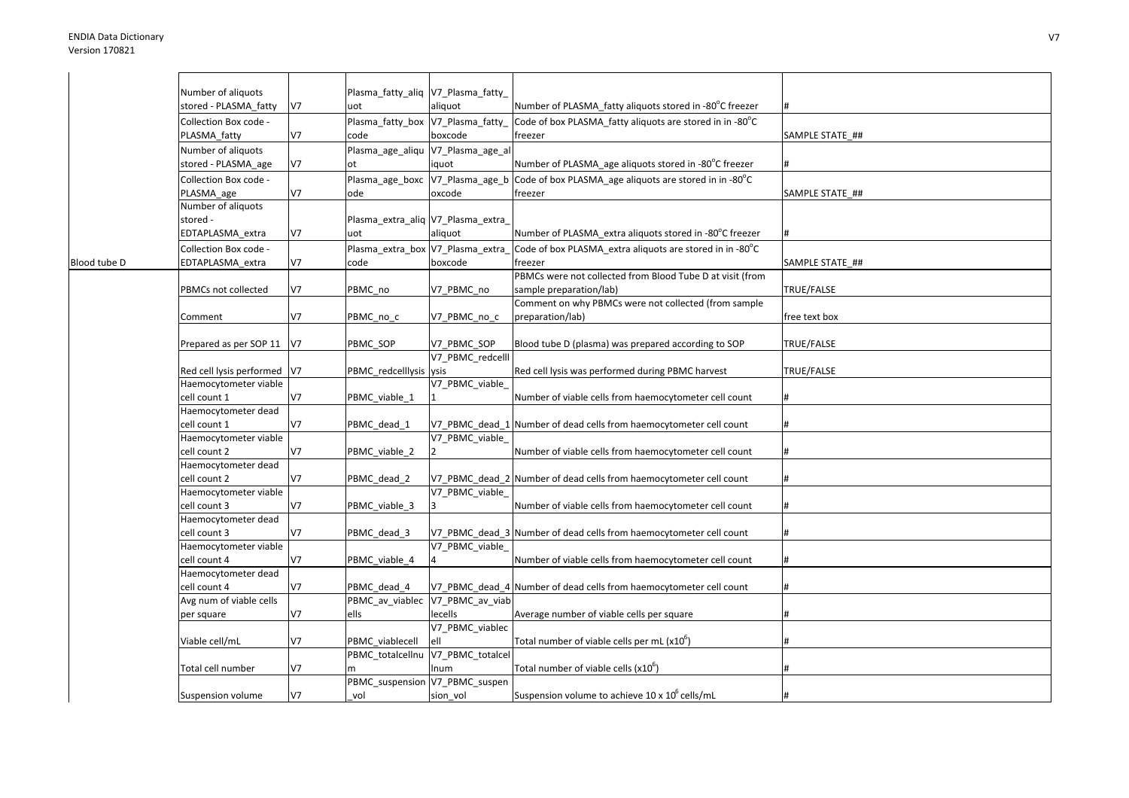|              | Number of aliquots                  |                | Plasma fatty alig V7 Plasma fatty  |                                   |                                                                    |                 |
|--------------|-------------------------------------|----------------|------------------------------------|-----------------------------------|--------------------------------------------------------------------|-----------------|
|              | stored - PLASMA fatty               | V <sub>7</sub> | uot                                | aliquot                           | Number of PLASMA fatty aliquots stored in -80°C freezer            |                 |
|              | Collection Box code -               |                | Plasma_fatty_box V7_Plasma_fatty_  |                                   | Code of box PLASMA fatty aliquots are stored in in -80°C           |                 |
|              | PLASMA fatty                        | V7             | code                               | boxcode                           | freezer                                                            | SAMPLE STATE ## |
|              | Number of aliquots                  |                |                                    | Plasma_age_aliqu V7_Plasma_age_al |                                                                    |                 |
|              | stored - PLASMA_age                 | V7             | ot                                 | quot                              | Number of PLASMA_age aliquots stored in -80°C freezer              |                 |
|              | Collection Box code -               |                | Plasma_age_boxc V7_Plasma_age_b    |                                   | Code of box PLASMA age aliquots are stored in in -80°C             |                 |
|              | PLASMA age                          | V <sub>7</sub> | ode                                | oxcode                            | freezer                                                            | SAMPLE STATE_## |
|              | Number of aliquots                  |                |                                    |                                   |                                                                    |                 |
|              | stored -                            |                | Plasma_extra_aliq V7_Plasma_extra_ |                                   |                                                                    |                 |
|              | EDTAPLASMA extra                    | V <sub>7</sub> | uot                                | aliquot                           | Number of PLASMA extra aliquots stored in -80°C freezer            |                 |
|              | Collection Box code -               |                | Plasma_extra_box V7_Plasma_extra   |                                   | Code of box PLASMA extra aliquots are stored in in -80°C           |                 |
| Blood tube D | EDTAPLASMA extra                    | V <sub>7</sub> | code                               | boxcode                           | freezer                                                            | SAMPLE STATE ## |
|              |                                     |                |                                    |                                   | PBMCs were not collected from Blood Tube D at visit (from          |                 |
|              | PBMCs not collected                 | V7             | PBMC no                            | V7_PBMC_no                        | sample preparation/lab)                                            | TRUE/FALSE      |
|              |                                     |                |                                    |                                   | Comment on why PBMCs were not collected (from sample               |                 |
|              | Comment                             | V <sub>7</sub> | PBMC_no_c                          | V7_PBMC_no_c                      | preparation/lab)                                                   | free text box   |
|              |                                     |                |                                    |                                   |                                                                    |                 |
|              | Prepared as per SOP 11              | V7             | PBMC_SOP                           | V7_PBMC_SOP<br>V7_PBMC_redcelll   | Blood tube D (plasma) was prepared according to SOP                | TRUE/FALSE      |
|              | Red cell lysis performed            | V <sub>7</sub> | PBMC redcelllysis ysis             |                                   | Red cell lysis was performed during PBMC harvest                   | TRUE/FALSE      |
|              | Haemocytometer viable               |                |                                    | V7_PBMC_viable_                   |                                                                    |                 |
|              | cell count 1                        | V7             | PBMC viable 1                      |                                   | Number of viable cells from haemocytometer cell count              |                 |
|              | Haemocytometer dead                 |                |                                    |                                   |                                                                    |                 |
|              | cell count 1                        | V <sub>7</sub> | PBMC dead 1                        |                                   | V7_PBMC_dead_1 Number of dead cells from haemocytometer cell count |                 |
|              | Haemocytometer viable               |                |                                    | V7_PBMC_viable_                   |                                                                    |                 |
|              | cell count 2                        | V <sub>7</sub> | PBMC_viable_2                      |                                   | Number of viable cells from haemocytometer cell count              |                 |
|              | Haemocytometer dead                 |                |                                    |                                   |                                                                    |                 |
|              | cell count 2                        | V7             | PBMC_dead_2                        |                                   | V7_PBMC_dead_2 Number of dead cells from haemocytometer cell count |                 |
|              | Haemocytometer viable               |                |                                    | V7_PBMC_viable_                   |                                                                    |                 |
|              | cell count 3                        | V7             | PBMC viable 3                      |                                   | Number of viable cells from haemocytometer cell count              |                 |
|              | Haemocytometer dead                 |                |                                    |                                   |                                                                    |                 |
|              | cell count 3                        | V <sub>7</sub> | PBMC dead 3                        |                                   | V7 PBMC dead 3 Number of dead cells from haemocytometer cell count |                 |
|              | Haemocytometer viable               |                |                                    | V7 PBMC viable                    |                                                                    |                 |
|              | cell count 4                        | V7             | PBMC viable 4                      |                                   | Number of viable cells from haemocytometer cell count              |                 |
|              | Haemocytometer dead<br>cell count 4 | V7             |                                    |                                   |                                                                    |                 |
|              | Avg num of viable cells             |                | PBMC_dead_4                        | PBMC_av_viablec V7_PBMC_av_viab   | V7_PBMC_dead_4 Number of dead cells from haemocytometer cell count |                 |
|              | per square                          | V7             | ells                               | lecells                           | Average number of viable cells per square                          |                 |
|              |                                     |                |                                    | V7_PBMC_viablec                   |                                                                    |                 |
|              | Viable cell/mL                      | V <sub>7</sub> | PBMC viablecell                    | ell                               | Total number of viable cells per mL (x10 <sup>b</sup> )            |                 |
|              |                                     |                |                                    | PBMC_totalcellnu V7_PBMC_totalcel |                                                                    |                 |
|              | Total cell number                   | V <sub>7</sub> |                                    | num                               | Total number of viable cells (x10°)                                |                 |
|              |                                     |                | PBMC_suspension V7_PBMC_suspen     |                                   |                                                                    |                 |
|              | Suspension volume                   | V7             | vol                                | sion vol                          | Suspension volume to achieve 10 x 10° cells/mL                     |                 |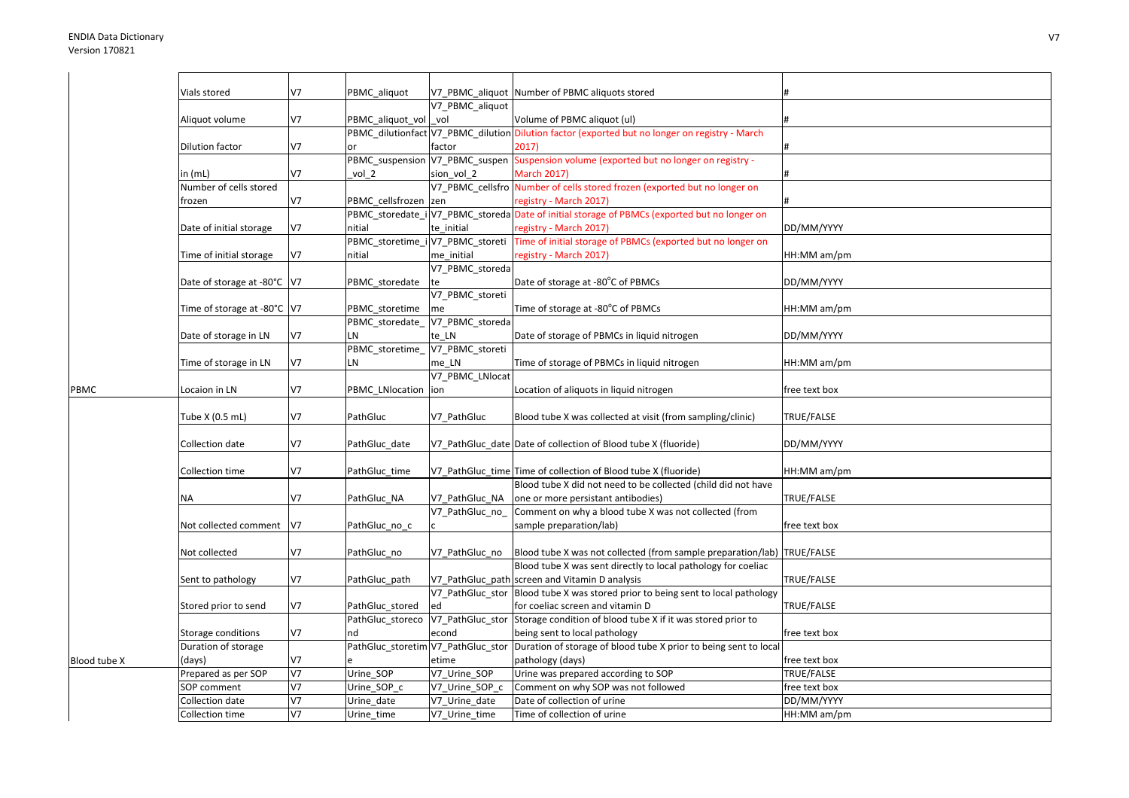|              | Vials stored                 | V <sub>7</sub> | PBMC aliquot                       | V7 PBMC aliquot  | Number of PBMC aliquots stored                                                                 |                   |
|--------------|------------------------------|----------------|------------------------------------|------------------|------------------------------------------------------------------------------------------------|-------------------|
|              |                              |                |                                    | V7 PBMC aliquot  |                                                                                                |                   |
|              | Aliquot volume               | V <sub>7</sub> | PBMC aliquot vol                   | vol              | Volume of PBMC aliquot (ul)                                                                    |                   |
|              |                              |                |                                    |                  | PBMC_dilutionfact V7_PBMC_dilution Dilution factor (exported but no longer on registry - March |                   |
|              | Dilution factor              | V <sub>7</sub> |                                    | factor           | 2017                                                                                           |                   |
|              |                              |                |                                    |                  | PBMC_suspension V7_PBMC_suspen Suspension volume (exported but no longer on registry -         |                   |
|              | in (mL)                      | V <sub>7</sub> | vol 2                              | sion vol 2       | <b>March 2017)</b>                                                                             |                   |
|              | Number of cells stored       |                |                                    |                  | V7_PBMC_cellsfro Number of cells stored frozen (exported but no longer on                      |                   |
|              | frozen                       | V7             | PBMC cellsfrozen zen               |                  | registry - March 2017)                                                                         |                   |
|              |                              |                |                                    |                  | PBMC_storedate_i V7_PBMC_storeda Date of initial storage of PBMCs (exported but no longer on   |                   |
|              | Date of initial storage      | <b>V7</b>      | nitial                             | te initial       | registry - March 2017)                                                                         | DD/MM/YYYY        |
|              |                              |                |                                    |                  | PBMC_storetime_i V7_PBMC_storeti  Time of initial storage of PBMCs (exported but no longer on  |                   |
|              | Time of initial storage      | V <sub>7</sub> | nitial                             | me initial       | registry - March 2017)                                                                         | HH:MM am/pm       |
|              |                              |                |                                    | V7_PBMC_storeda  |                                                                                                |                   |
|              | Date of storage at -80°C  V7 |                | PBMC_storedate                     | te               | Date of storage at -80°C of PBMCs                                                              | DD/MM/YYYY        |
|              |                              |                |                                    | V7 PBMC storeti  |                                                                                                |                   |
|              | Time of storage at -80°C  V7 |                | PBMC storetime                     | me               | Time of storage at -80°C of PBMCs                                                              | HH:MM am/pm       |
|              |                              |                | PBMC storedate                     | V7_PBMC_storeda  |                                                                                                |                   |
|              | Date of storage in LN        | V <sub>7</sub> | LN                                 | te LN            | Date of storage of PBMCs in liquid nitrogen                                                    | DD/MM/YYYY        |
|              |                              |                | PBMC_storetime_                    | V7_PBMC_storeti  |                                                                                                |                   |
|              |                              | <b>V7</b>      |                                    |                  |                                                                                                |                   |
|              | Time of storage in LN        |                | LN                                 | me LN            | Time of storage of PBMCs in liquid nitrogen                                                    | HH:MM am/pm       |
|              |                              |                |                                    | V7_PBMC_LNlocat  |                                                                                                |                   |
| PBMC         | Locaion in LN                | V <sub>7</sub> | PBMC_LNlocation  ion               |                  | Location of aliquots in liquid nitrogen                                                        | free text box     |
|              |                              |                |                                    |                  |                                                                                                |                   |
|              | Tube X (0.5 mL)              | V <sub>7</sub> | PathGluc                           | V7 PathGluc      | Blood tube X was collected at visit (from sampling/clinic)                                     | TRUE/FALSE        |
|              |                              |                |                                    |                  |                                                                                                |                   |
|              | Collection date              | V <sub>7</sub> | PathGluc date                      |                  | V7 PathGluc date Date of collection of Blood tube X (fluoride)                                 | DD/MM/YYYY        |
|              |                              |                |                                    |                  |                                                                                                |                   |
|              | Collection time              | V <sub>7</sub> | PathGluc_time                      |                  | V7_PathGluc_time Time of collection of Blood tube X (fluoride)                                 | HH:MM am/pm       |
|              |                              |                |                                    |                  | Blood tube X did not need to be collected (child did not have                                  |                   |
|              | NA                           | V <sub>7</sub> | PathGluc_NA                        | V7 PathGluc NA   | one or more persistant antibodies)                                                             | TRUE/FALSE        |
|              |                              |                |                                    | V7 PathGluc no   | Comment on why a blood tube X was not collected (from                                          |                   |
|              | Not collected comment        | V <sub>7</sub> | PathGluc_no_c                      |                  | sample preparation/lab)                                                                        | free text box     |
|              |                              |                |                                    |                  |                                                                                                |                   |
|              | Not collected                | V <sub>7</sub> | PathGluc_no                        | V7 PathGluc no   | Blood tube X was not collected (from sample preparation/lab) TRUE/FALSE                        |                   |
|              |                              |                |                                    |                  | Blood tube X was sent directly to local pathology for coeliac                                  |                   |
|              | Sent to pathology            | V7             | PathGluc_path                      |                  | V7 PathGluc path screen and Vitamin D analysis                                                 | TRUE/FALSE        |
|              |                              |                |                                    |                  | V7 PathGluc stor Blood tube X was stored prior to being sent to local pathology                |                   |
|              | Stored prior to send         | V7             | PathGluc stored                    | ed               | for coeliac screen and vitamin D                                                               | TRUE/FALSE        |
|              |                              |                | PathGluc storeco                   | V7_PathGluc_stor | Storage condition of blood tube X if it was stored prior to                                    |                   |
|              | Storage conditions           | V7             | nd                                 | econd            | being sent to local pathology                                                                  | free text box     |
|              | Duration of storage          |                | PathGluc_storetim V7_PathGluc_stor |                  | Duration of storage of blood tube X prior to being sent to local                               |                   |
| Blood tube X | (days)                       | V7             |                                    | etime            | pathology (days)                                                                               | free text box     |
|              | Prepared as per SOP          | V <sub>7</sub> | Urine_SOP                          | V7_Urine_SOP     | Urine was prepared according to SOP                                                            | <b>TRUE/FALSE</b> |
|              | SOP comment                  | V <sub>7</sub> | Urine SOP c                        | V7 Urine SOP c   | Comment on why SOP was not followed                                                            | free text box     |
|              | Collection date              | <b>V7</b>      | Urine date                         | V7 Urine date    | Date of collection of urine                                                                    | DD/MM/YYYY        |
|              | Collection time              | <b>V7</b>      | Urine_time                         | V7_Urine_time    | Time of collection of urine                                                                    | HH:MM am/pm       |
|              |                              |                |                                    |                  |                                                                                                |                   |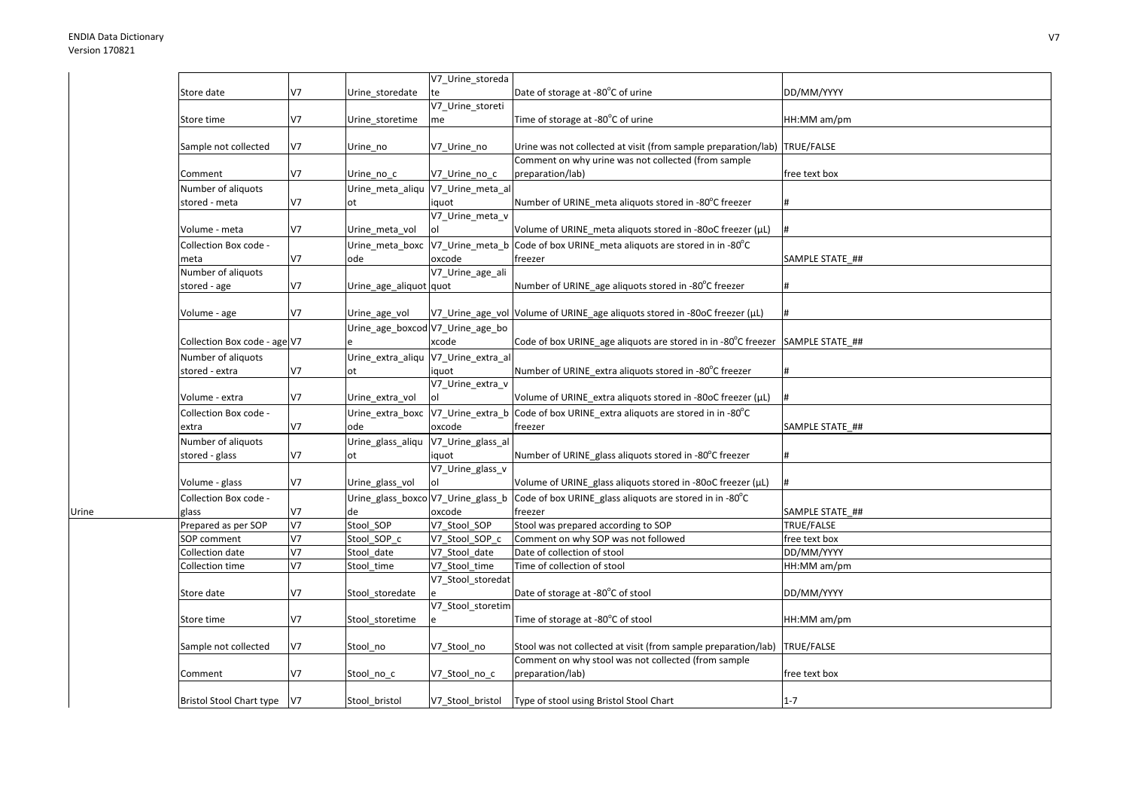Urine

|                                 |                |                                  | V7_Urine_storeda  |                                                                                            |                 |
|---------------------------------|----------------|----------------------------------|-------------------|--------------------------------------------------------------------------------------------|-----------------|
| Store date                      | V7             | Urine storedate                  | te                | Date of storage at -80°C of urine                                                          | DD/MM/YYYY      |
|                                 |                |                                  | V7_Urine_storeti  |                                                                                            |                 |
| Store time                      | V7             | Urine_storetime                  | me                | Time of storage at -80°C of urine                                                          | HH:MM am/pm     |
|                                 |                |                                  |                   |                                                                                            |                 |
| Sample not collected            | V7             | Urine no                         | V7_Urine_no       | Urine was not collected at visit (from sample preparation/lab) TRUE/FALSE                  |                 |
|                                 | V7             |                                  |                   | Comment on why urine was not collected (from sample                                        |                 |
| Comment                         |                | Urine no c                       | V7_Urine_no_c     | preparation/lab)                                                                           | free text box   |
| Number of aliquots              |                | Urine_meta_aliqu                 | V7_Urine_meta_al  |                                                                                            |                 |
| stored - meta                   | V7             | ot                               | iquot             | Number of URINE meta aliquots stored in -80°C freezer                                      | #               |
|                                 |                |                                  | V7_Urine_meta_v   |                                                                                            |                 |
| Volume - meta                   | V7             | Urine meta vol                   | ol                | Volume of URINE_meta aliquots stored in -80oC freezer (µL)                                 | #               |
| Collection Box code -           |                | Urine meta boxc                  | V7_Urine_meta_b   | Code of box URINE meta aliquots are stored in in -80°C                                     |                 |
| meta                            | V7             | ode                              | oxcode            | freezer                                                                                    | SAMPLE STATE ## |
| Number of aliquots              |                |                                  | V7_Urine_age_ali  |                                                                                            |                 |
| stored - age                    | V7             | Urine_age_aliquot quot           |                   | Number of URINE_age aliquots stored in -80°C freezer                                       | #               |
|                                 |                |                                  |                   |                                                                                            |                 |
| Volume - age                    | V7             | Urine age vol                    |                   | V7_Urine_age_vol Volume of URINE_age aliquots stored in -80oC freezer (µL)                 | #               |
|                                 |                | Urine_age_boxcod V7_Urine_age_bo |                   |                                                                                            |                 |
| Collection Box code - age V7    |                |                                  | xcode             | Code of box URINE age aliquots are stored in in -80 $^{\circ}$ C freezer SAMPLE STATE ##   |                 |
| Number of aliquots              |                | Urine_extra_aliqu                | V7_Urine_extra_al |                                                                                            |                 |
| stored - extra                  | V7             | ot                               | iquot             | Number of URINE_extra aliquots stored in -80°C freezer                                     | #               |
|                                 |                |                                  | V7_Urine_extra_v  |                                                                                            |                 |
| Volume - extra                  | V7             | Urine extra vol                  | ol                | Volume of URINE extra aliquots stored in -80oC freezer (µL)                                | #               |
| Collection Box code -           |                | Urine_extra_boxc                 |                   | V7_Urine_extra_b Code of box URINE_extra aliquots are stored in in -80°C                   |                 |
| extra                           | V7             | ode                              | oxcode            | freezer                                                                                    | SAMPLE STATE ## |
| Number of aliquots              |                | Urine_glass_aliqu                | V7_Urine_glass_al |                                                                                            |                 |
| stored - glass                  | V7             | ot                               | iquot             | Number of URINE_glass aliquots stored in -80°C freezer                                     | #               |
|                                 |                |                                  | V7 Urine glass v  |                                                                                            |                 |
| Volume - glass                  | V7             | Urine glass vol                  | ol                | Volume of URINE glass aliquots stored in -80oC freezer (µL)                                | #               |
| Collection Box code -           |                |                                  |                   | Urine_glass_boxco V7_Urine_glass_b Code of box URINE_glass aliquots are stored in in -80°C |                 |
| glass                           | V7             | de                               | oxcode            | freezer                                                                                    | SAMPLE STATE ## |
| Prepared as per SOP             | V <sub>7</sub> | Stool SOP                        | V7 Stool SOP      | Stool was prepared according to SOP                                                        | TRUE/FALSE      |
| SOP comment                     | V <sub>7</sub> | Stool SOP c                      | V7 Stool SOP c    | Comment on why SOP was not followed                                                        | free text box   |
| Collection date                 | V <sub>7</sub> | Stool date                       | V7 Stool date     | Date of collection of stool                                                                | DD/MM/YYYY      |
| Collection time                 | V <sub>7</sub> | Stool time                       | V7 Stool time     | Time of collection of stool                                                                | HH:MM am/pm     |
|                                 |                |                                  | V7 Stool storedat |                                                                                            |                 |
| Store date                      | V7             | Stool storedate                  |                   | Date of storage at -80°C of stool                                                          | DD/MM/YYYY      |
|                                 |                |                                  | V7 Stool storetim |                                                                                            |                 |
| Store time                      | V7             | Stool storetime                  | e                 | Time of storage at -80°C of stool                                                          | HH:MM am/pm     |
|                                 |                |                                  |                   |                                                                                            |                 |
| Sample not collected            | V7             | Stool no                         | V7 Stool no       | Stool was not collected at visit (from sample preparation/lab) TRUE/FALSE                  |                 |
|                                 |                |                                  |                   | Comment on why stool was not collected (from sample                                        |                 |
| Comment                         | V7             | Stool no c                       | V7 Stool no c     | preparation/lab)                                                                           | free text box   |
|                                 |                |                                  |                   |                                                                                            |                 |
| <b>Bristol Stool Chart type</b> | V7             | Stool bristol                    | V7 Stool bristol  | Type of stool using Bristol Stool Chart                                                    | $1 - 7$         |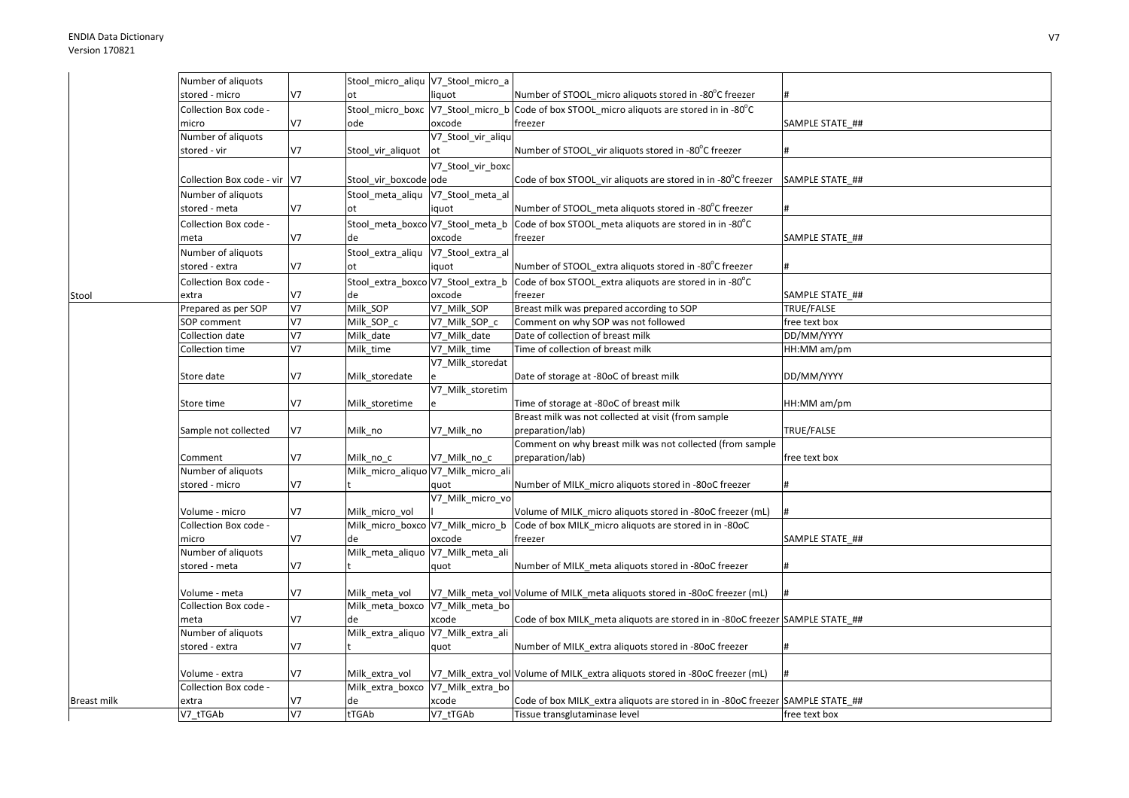|                    | Number of aliquots           |                | Stool_micro_aliqu V7_Stool_micro_a                  |                    |                                                                                             |                 |
|--------------------|------------------------------|----------------|-----------------------------------------------------|--------------------|---------------------------------------------------------------------------------------------|-----------------|
|                    | stored - micro               | V7             | ot                                                  | liquot             | Number of STOOL micro aliquots stored in -80°C freezer                                      |                 |
|                    | Collection Box code -        |                |                                                     |                    | Stool_micro_boxc  V7_Stool_micro_b  Code of box STOOL_micro aliquots are stored in in -80°C |                 |
|                    | micro                        | V7             | ode                                                 | oxcode             | freezer                                                                                     | SAMPLE STATE_## |
|                    | Number of aliquots           |                |                                                     | V7_Stool_vir_aliqu |                                                                                             |                 |
|                    | stored - vir                 | V7             | Stool_vir_aliquot                                   | lot                | Number of STOOL vir aliquots stored in -80°C freezer                                        |                 |
|                    |                              |                |                                                     | V7_Stool_vir_boxc  |                                                                                             |                 |
|                    | Collection Box code - vir V7 |                | Stool vir boxcode ode                               |                    | Code of box STOOL_vir aliquots are stored in in -80°C freezer                               | SAMPLE STATE ## |
|                    | Number of aliquots           |                | Stool_meta_aliqu  V7_Stool_meta_al                  |                    |                                                                                             |                 |
|                    | stored - meta                | V7             | ot                                                  | iquot              | Number of STOOL meta aliquots stored in -80°C freezer                                       |                 |
|                    | Collection Box code -        |                | Stool meta boxco V7 Stool meta b                    |                    | Code of box STOOL_meta aliquots are stored in in -80°C                                      |                 |
|                    | meta                         | V7             | de                                                  | oxcode             | freezer                                                                                     | SAMPLE STATE ## |
|                    | Number of aliquots           |                | Stool_extra_aliqu V7_Stool_extra_al                 |                    |                                                                                             |                 |
|                    | stored - extra               | V7             | ot                                                  | iquot              | Number of STOOL extra aliquots stored in -80°C freezer                                      |                 |
|                    | Collection Box code -        |                | Stool_extra_boxco V7_Stool_extra_b                  |                    | Code of box STOOL extra aliquots are stored in in -80°C                                     |                 |
| Stool              | extra                        | V7             | de                                                  | oxcode             | freezer                                                                                     | SAMPLE STATE ## |
|                    | Prepared as per SOP          | V <sub>7</sub> | Milk_SOP                                            | V7 Milk SOP        | Breast milk was prepared according to SOP                                                   | TRUE/FALSE      |
|                    | SOP comment                  | V <sub>7</sub> | Milk SOP c                                          | V7 Milk SOP c      | Comment on why SOP was not followed                                                         | free text box   |
|                    | Collection date              | V <sub>7</sub> | Milk date                                           | V7 Milk date       | Date of collection of breast milk                                                           | DD/MM/YYYY      |
|                    | Collection time              | V <sub>7</sub> | Milk_time                                           | V7_Milk_time       | Time of collection of breast milk                                                           | HH:MM am/pm     |
|                    |                              |                |                                                     | V7_Milk_storedat   |                                                                                             |                 |
|                    | Store date                   | V7             | Milk_storedate                                      |                    | Date of storage at -80oC of breast milk                                                     | DD/MM/YYYY      |
|                    |                              |                |                                                     | V7 Milk storetim   |                                                                                             |                 |
|                    | Store time                   | V7             | Milk storetime                                      | e                  | Time of storage at -80oC of breast milk                                                     | HH:MM am/pm     |
|                    |                              |                |                                                     |                    | Breast milk was not collected at visit (from sample                                         |                 |
|                    | Sample not collected         | V7             | Milk_no                                             | V7_Milk_no         | preparation/lab)                                                                            | TRUE/FALSE      |
|                    |                              |                |                                                     |                    | Comment on why breast milk was not collected (from sample                                   |                 |
|                    | Comment                      | V7             | Milk no c                                           | V7 Milk no c       | preparation/lab)                                                                            | free text box   |
|                    | Number of aliquots           |                | Milk_micro_aliquo V7_Milk_micro_ali                 |                    |                                                                                             |                 |
|                    | stored - micro               | V7             |                                                     | quot               | Number of MILK micro aliquots stored in -80oC freezer                                       |                 |
|                    |                              |                |                                                     | V7_Milk_micro_vo   |                                                                                             |                 |
|                    | Volume - micro               | V7             | Milk_micro_vol                                      |                    | Volume of MILK micro aliquots stored in -80oC freezer (mL)                                  |                 |
|                    | Collection Box code -        |                | Milk_micro_boxco V7_Milk_micro_b                    |                    | Code of box MILK micro aliguots are stored in in -80oC                                      |                 |
|                    | micro                        | V7             | de                                                  | oxcode             | freezer                                                                                     | SAMPLE STATE_## |
|                    | Number of aliquots           |                | Milk_meta_aliquo V7_Milk_meta_ali                   |                    |                                                                                             |                 |
|                    | stored - meta                | V7             |                                                     | quot               | Number of MILK meta aliquots stored in -80oC freezer                                        |                 |
|                    |                              |                |                                                     |                    |                                                                                             |                 |
|                    | Volume - meta                | V7             | Milk meta vol                                       |                    | V7_Milk_meta_vol Volume of MILK_meta aliquots stored in -80oC freezer (mL)                  |                 |
|                    | Collection Box code -        |                | Milk_meta_boxco V7_Milk_meta_bo                     |                    |                                                                                             |                 |
|                    | meta                         | V7             | de                                                  | xcode              | Code of box MILK_meta aliquots are stored in in -80oC freezer SAMPLE STATE_##               |                 |
|                    | Number of aliquots           |                | Milk_extra_aliquo V7_Milk_extra_ali                 |                    |                                                                                             |                 |
|                    | stored - extra               | V7             |                                                     | quot               | Number of MILK_extra aliquots stored in -80oC freezer                                       |                 |
|                    |                              |                |                                                     |                    |                                                                                             |                 |
|                    | Volume - extra               | V7             | Milk extra vol<br>Milk_extra_boxco V7_Milk_extra_bo |                    | V7_Milk_extra_vol Volume of MILK_extra aliquots stored in -80oC freezer (mL)                |                 |
|                    | Collection Box code -        |                | de                                                  |                    |                                                                                             |                 |
| <b>Breast milk</b> | extra                        | V7<br>V7       | tTGAb                                               | xcode              | Code of box MILK extra aliquots are stored in in -80oC freezer SAMPLE STATE ##              |                 |
|                    | V7 tTGAb                     |                |                                                     | V7 tTGAb           | Tissue transglutaminase level                                                               | free text box   |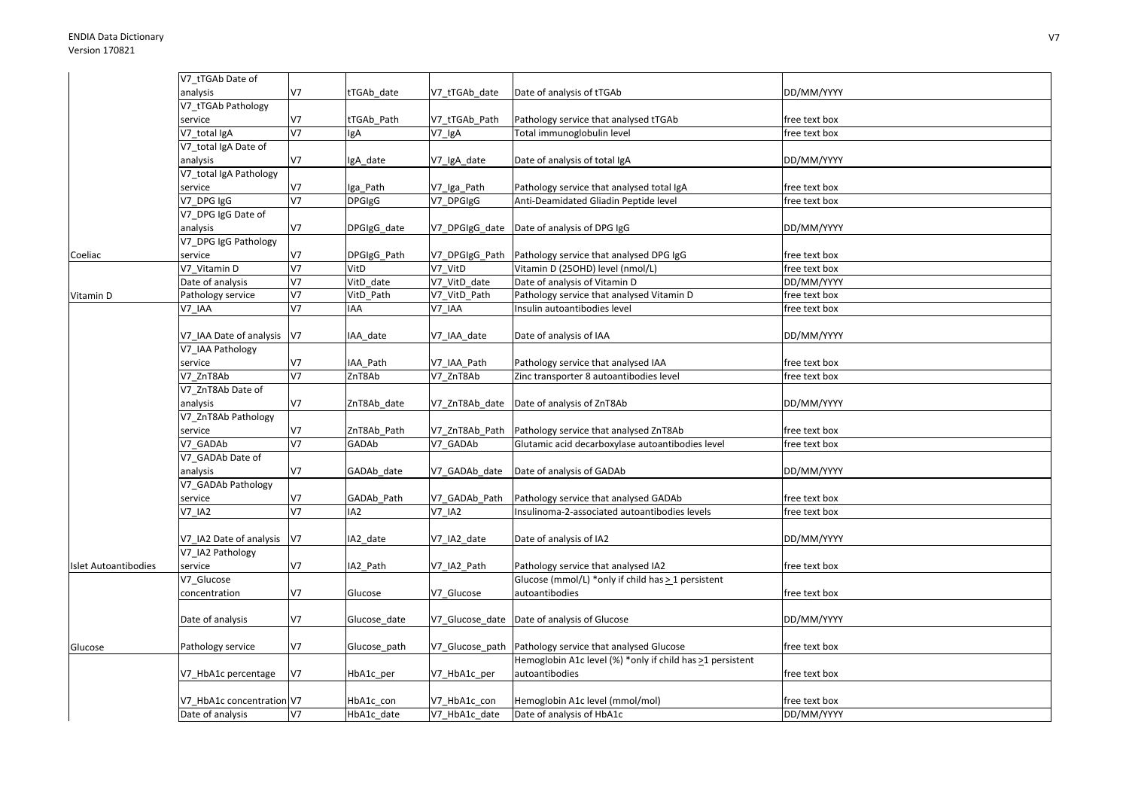|                             | V7_tTGAb Date of          |                |                 |                 |                                                           |               |
|-----------------------------|---------------------------|----------------|-----------------|-----------------|-----------------------------------------------------------|---------------|
|                             | analysis                  | V7             | tTGAb_date      | V7 tTGAb date   | Date of analysis of tTGAb                                 | DD/MM/YYYY    |
|                             | V7_tTGAb Pathology        |                |                 |                 |                                                           |               |
|                             | service                   | V7             | tTGAb_Path      | V7_tTGAb_Path   | Pathology service that analysed tTGAb                     | free text box |
|                             | V7_total IgA              | V <sub>7</sub> | lgA             | V7_IgA          | Total immunoglobulin level                                | free text box |
|                             | V7_total IgA Date of      |                |                 |                 |                                                           |               |
|                             | analysis                  | V <sub>7</sub> | lgA_date        | V7_IgA_date     | Date of analysis of total IgA                             | DD/MM/YYYY    |
|                             | V7_total IgA Pathology    |                |                 |                 |                                                           |               |
|                             | service                   | V7             | lga_Path        | V7_Iga_Path     | Pathology service that analysed total IgA                 | free text box |
|                             | V7 DPG IgG                | $\overline{v}$ | <b>DPGIgG</b>   | V7 DPGIgG       | Anti-Deamidated Gliadin Peptide level                     | free text box |
|                             | V7_DPG IgG Date of        |                |                 |                 |                                                           |               |
|                             | analysis                  | V7             | DPGIgG_date     | V7_DPGIgG_date  | Date of analysis of DPG IgG                               | DD/MM/YYYY    |
|                             | V7_DPG IgG Pathology      |                |                 |                 |                                                           |               |
| Coeliac                     | service                   | V <sub>7</sub> | DPGIgG_Path     | V7_DPGIgG_Path  | Pathology service that analysed DPG IgG                   | free text box |
|                             | V7 Vitamin D              | V <sub>7</sub> | VitD            | V7 VitD         | Vitamin D (25OHD) level (nmol/L)                          | free text box |
|                             | Date of analysis          | V <sub>7</sub> | VitD_date       | V7_VitD_date    | Date of analysis of Vitamin D                             | DD/MM/YYYY    |
| Vitamin D                   | Pathology service         | V <sub>7</sub> | VitD_Path       | V7_VitD_Path    | Pathology service that analysed Vitamin D                 | free text box |
|                             | V7 IAA                    | V <sub>7</sub> | <b>IAA</b>      | V7_IAA          | Insulin autoantibodies level                              | free text box |
|                             |                           |                |                 |                 |                                                           |               |
|                             | V7_IAA Date of analysis   | V7             | IAA date        | V7 IAA date     | Date of analysis of IAA                                   | DD/MM/YYYY    |
|                             | V7_IAA Pathology          |                |                 |                 |                                                           |               |
|                             | service                   | V7             | IAA_Path        | V7_IAA_Path     | Pathology service that analysed IAA                       | free text box |
|                             | V7 ZnT8Ab                 | V <sub>7</sub> | ZnT8Ab          | V7 ZnT8Ab       | Zinc transporter 8 autoantibodies level                   | free text box |
|                             | V7 ZnT8Ab Date of         |                |                 |                 |                                                           |               |
|                             | analysis                  | V <sub>7</sub> | ZnT8Ab date     | V7 ZnT8Ab date  | Date of analysis of ZnT8Ab                                | DD/MM/YYYY    |
|                             | V7_ZnT8Ab Pathology       |                |                 |                 |                                                           |               |
|                             | service                   | V <sub>7</sub> | ZnT8Ab_Path     | V7_ZnT8Ab_Path  | Pathology service that analysed ZnT8Ab                    | free text box |
|                             | V7 GADAb                  | $\overline{V}$ | GADAb           | V7 GADAb        | Glutamic acid decarboxylase autoantibodies level          | free text box |
|                             | V7_GADAb Date of          |                |                 |                 |                                                           |               |
|                             | analysis                  | V <sub>7</sub> | GADAb_date      | V7_GADAb_date   | Date of analysis of GADAb                                 | DD/MM/YYYY    |
|                             | V7_GADAb Pathology        |                |                 |                 |                                                           |               |
|                             | service                   | V <sub>7</sub> | GADAb_Path      | V7_GADAb_Path   | Pathology service that analysed GADAb                     | free text box |
|                             | <b>V7 IA2</b>             | V <sub>7</sub> | IA <sub>2</sub> | <b>V7 IA2</b>   | Insulinoma-2-associated autoantibodies levels             | free text box |
|                             |                           |                |                 |                 |                                                           |               |
|                             | V7_IA2 Date of analysis   | V7             | IA2_date        | V7_IA2_date     | Date of analysis of IA2                                   | DD/MM/YYYY    |
|                             | V7_IA2 Pathology          |                |                 |                 |                                                           |               |
| <b>Islet Autoantibodies</b> | service                   | V7             | IA2_Path        | V7_IA2_Path     | Pathology service that analysed IA2                       | free text box |
|                             | V7_Glucose                |                |                 |                 | Glucose (mmol/L) *only if child has > 1 persistent        |               |
|                             | concentration             | V <sub>7</sub> | Glucose         | V7_Glucose      | autoantibodies                                            | free text box |
|                             |                           |                |                 |                 |                                                           |               |
|                             | Date of analysis          | V <sub>7</sub> | Glucose_date    | V7_Glucose_date | Date of analysis of Glucose                               | DD/MM/YYYY    |
|                             |                           |                |                 |                 |                                                           |               |
| Glucose                     | Pathology service         | V <sub>7</sub> | Glucose_path    | V7_Glucose_path | Pathology service that analysed Glucose                   | free text box |
|                             |                           |                |                 |                 | Hemoglobin A1c level (%) *only if child has >1 persistent |               |
|                             | V7 HbA1c percentage       | <b>V7</b>      | HbA1c_per       | V7_HbA1c_per    | autoantibodies                                            | free text box |
|                             |                           |                |                 |                 |                                                           |               |
|                             | V7_HbA1c concentration V7 |                | HbA1c con       | V7 HbA1c con    | Hemoglobin A1c level (mmol/mol)                           | free text box |
|                             | Date of analysis          | V <sub>7</sub> | HbA1c_date      | V7_HbA1c_date   | Date of analysis of HbA1c                                 | DD/MM/YYYY    |
|                             |                           |                |                 |                 |                                                           |               |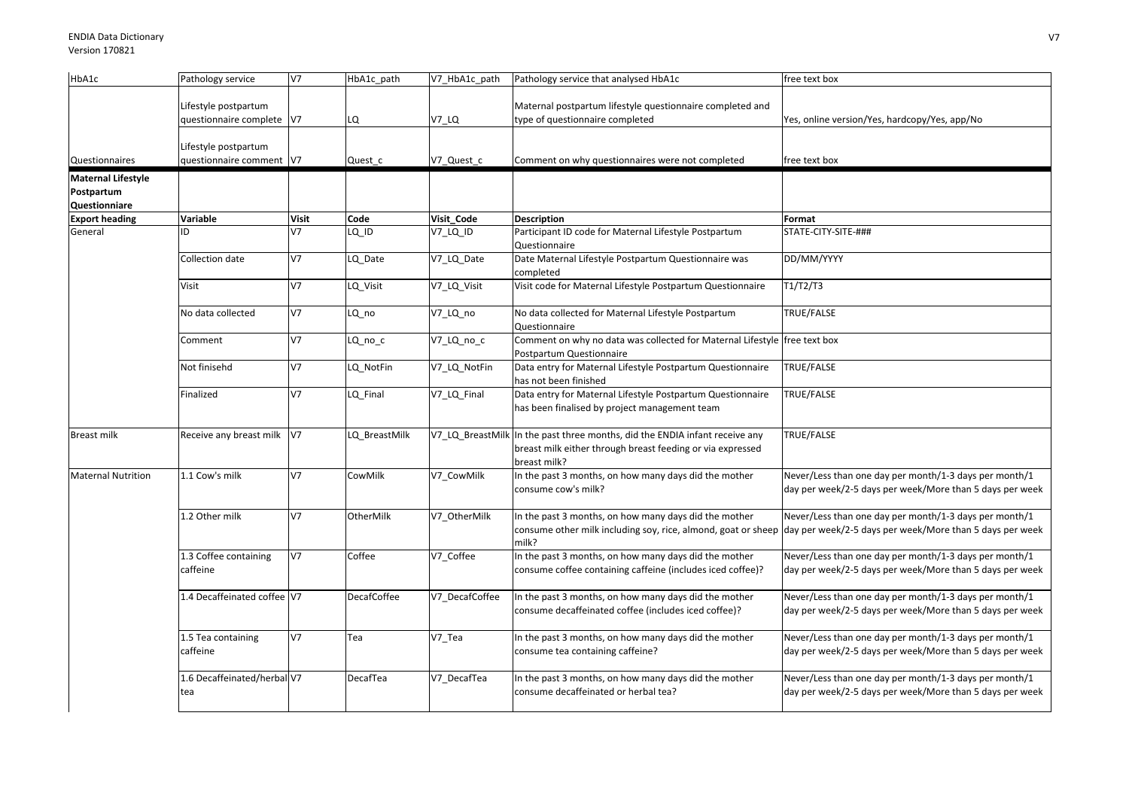| HbA1c                                                    | Pathology service                                 | V7             | HbA1c path         | V7 HbA1c path    | Pathology service that analysed HbA1c                                                                                                    | free text box                                                                                                      |
|----------------------------------------------------------|---------------------------------------------------|----------------|--------------------|------------------|------------------------------------------------------------------------------------------------------------------------------------------|--------------------------------------------------------------------------------------------------------------------|
|                                                          | Lifestyle postpartum<br>questionnaire complete V7 |                | LQ                 | V7 LQ            | Maternal postpartum lifestyle questionnaire completed and<br>type of questionnaire completed                                             | Yes, online version/Yes, hardcopy/Yes, app/No                                                                      |
| Questionnaires                                           | Lifestyle postpartum<br>questionnaire comment V7  |                | Quest c            | V7 Quest c       | Comment on why questionnaires were not completed                                                                                         | free text box                                                                                                      |
| <b>Maternal Lifestyle</b><br>Postpartum<br>Questionniare |                                                   |                |                    |                  |                                                                                                                                          |                                                                                                                    |
| <b>Export heading</b>                                    | Variable                                          | <b>Visit</b>   | Code               | Visit_Code       | <b>Description</b>                                                                                                                       | Format                                                                                                             |
| General                                                  |                                                   | V <sub>7</sub> | LQ ID              | V7_LQ_ID         | Participant ID code for Maternal Lifestyle Postpartum<br>Questionnaire                                                                   | STATE-CITY-SITE-###                                                                                                |
|                                                          | Collection date                                   | <b>V7</b>      | LQ_Date            | V7_LQ_Date       | Date Maternal Lifestyle Postpartum Questionnaire was<br>completed                                                                        | DD/MM/YYYY                                                                                                         |
|                                                          | Visit                                             | V7             | LQ_Visit           | V7_LQ_Visit      | Visit code for Maternal Lifestyle Postpartum Questionnaire                                                                               | T1/T2/T3                                                                                                           |
|                                                          | No data collected                                 | <b>V7</b>      | LQ no              | V7_LQ_no         | No data collected for Maternal Lifestyle Postpartum<br>Questionnaire                                                                     | TRUE/FALSE                                                                                                         |
|                                                          | Comment                                           | V7             | LQ_no_c            | V7_LQ_no_c       | Comment on why no data was collected for Maternal Lifestyle free text box<br>Postpartum Questionnaire                                    |                                                                                                                    |
|                                                          | Not finisehd                                      | V <sub>7</sub> | LQ_NotFin          | V7_LQ_NotFin     | Data entry for Maternal Lifestyle Postpartum Questionnaire<br>has not been finished                                                      | TRUE/FALSE                                                                                                         |
|                                                          | Finalized                                         | V7             | Q Final            | V7_LQ_Final      | Data entry for Maternal Lifestyle Postpartum Questionnaire<br>has been finalised by project management team                              | TRUE/FALSE                                                                                                         |
| <b>Breast milk</b>                                       | Receive any breast milk V7                        |                | LQ BreastMilk      | V7_LQ_BreastMill | In the past three months, did the ENDIA infant receive any<br>breast milk either through breast feeding or via expressed<br>breast milk? | TRUE/FALSE                                                                                                         |
| <b>Maternal Nutrition</b>                                | 1.1 Cow's milk                                    | V7             | CowMilk            | V7 CowMilk       | In the past 3 months, on how many days did the mother<br>consume cow's milk?                                                             | Never/Less than one day per month/1-3 days per month/1<br>day per week/2-5 days per week/More than 5 days per week |
|                                                          | 1.2 Other milk                                    | <b>V7</b>      | OtherMilk          | V7 OtherMilk     | In the past 3 months, on how many days did the mother<br>consume other milk including soy, rice, almond, goat or sheep<br>milk?          | Never/Less than one day per month/1-3 days per month/1<br>day per week/2-5 days per week/More than 5 days per week |
|                                                          | 1.3 Coffee containing<br>caffeine                 | V7             | Coffee             | V7_Coffee        | In the past 3 months, on how many days did the mother<br>consume coffee containing caffeine (includes iced coffee)?                      | Never/Less than one day per month/1-3 days per month/1<br>day per week/2-5 days per week/More than 5 days per week |
|                                                          | 1.4 Decaffeinated coffee V7                       |                | <b>DecafCoffee</b> | V7_DecafCoffee   | In the past 3 months, on how many days did the mother<br>consume decaffeinated coffee (includes iced coffee)?                            | Never/Less than one day per month/1-3 days per month/1<br>day per week/2-5 days per week/More than 5 days per week |
|                                                          | 1.5 Tea containing<br>caffeine                    | <b>V7</b>      | Tea                | V7_Tea           | In the past 3 months, on how many days did the mother<br>consume tea containing caffeine?                                                | Never/Less than one day per month/1-3 days per month/1<br>day per week/2-5 days per week/More than 5 days per week |
|                                                          | 1.6 Decaffeinated/herbal V7<br>tea                |                | DecafTea           | V7_DecafTea      | In the past 3 months, on how many days did the mother<br>consume decaffeinated or herbal tea?                                            | Never/Less than one day per month/1-3 days per month/1<br>day per week/2-5 days per week/More than 5 days per week |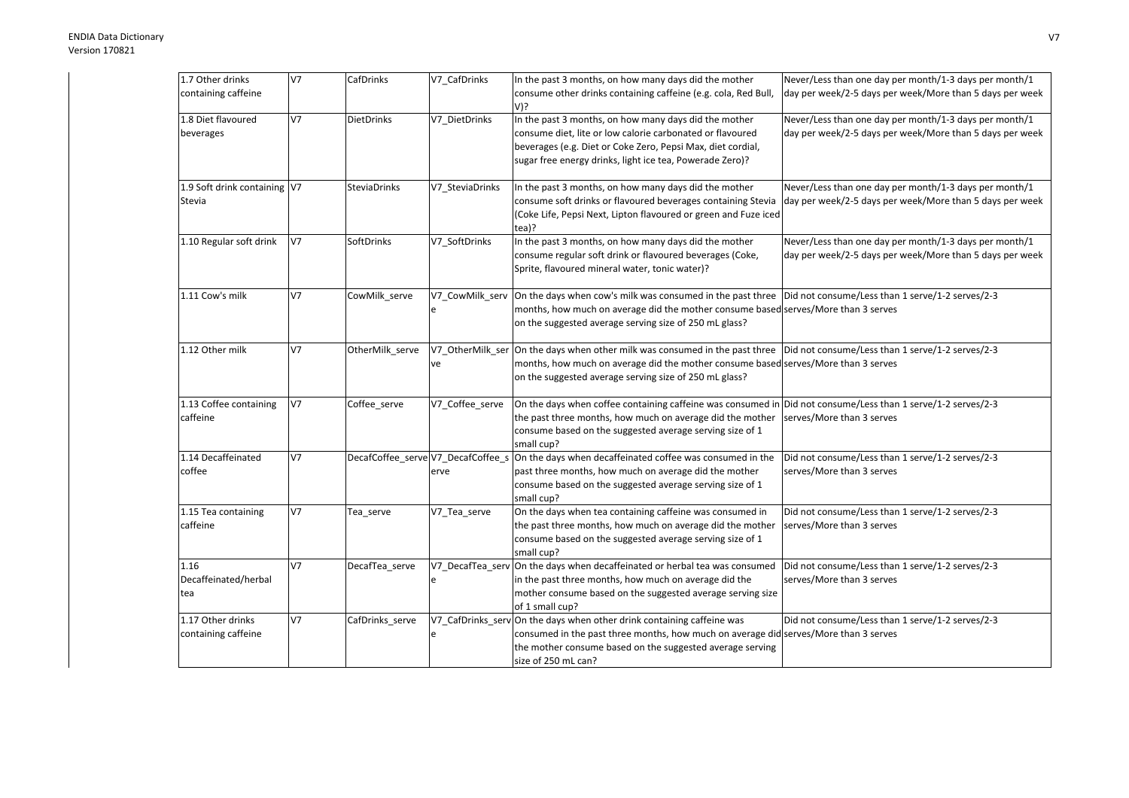| 1.7 Other drinks             | V <sub>7</sub> | CafDrinks           | V7_CafDrinks                       | In the past 3 months, on how many days did the mother                                                                        | Never/Less than one day per month/1-3 days per month/1   |
|------------------------------|----------------|---------------------|------------------------------------|------------------------------------------------------------------------------------------------------------------------------|----------------------------------------------------------|
| containing caffeine          |                |                     |                                    | consume other drinks containing caffeine (e.g. cola, Red Bull,                                                               | day per week/2-5 days per week/More than 5 days per week |
|                              |                |                     |                                    | V)?                                                                                                                          |                                                          |
| 1.8 Diet flavoured           | V7             |                     |                                    |                                                                                                                              |                                                          |
|                              |                | DietDrinks          | V7 DietDrinks                      | In the past 3 months, on how many days did the mother                                                                        | Never/Less than one day per month/1-3 days per month/1   |
| beverages                    |                |                     |                                    | consume diet, lite or low calorie carbonated or flavoured                                                                    | day per week/2-5 days per week/More than 5 days per week |
|                              |                |                     |                                    | beverages (e.g. Diet or Coke Zero, Pepsi Max, diet cordial,                                                                  |                                                          |
|                              |                |                     |                                    | sugar free energy drinks, light ice tea, Powerade Zero)?                                                                     |                                                          |
|                              |                |                     |                                    |                                                                                                                              |                                                          |
| 1.9 Soft drink containing V7 |                | <b>SteviaDrinks</b> | V7_SteviaDrinks                    | In the past 3 months, on how many days did the mother                                                                        | Never/Less than one day per month/1-3 days per month/1   |
| Stevia                       |                |                     |                                    | consume soft drinks or flavoured beverages containing Stevia                                                                 | day per week/2-5 days per week/More than 5 days per week |
|                              |                |                     |                                    | (Coke Life, Pepsi Next, Lipton flavoured or green and Fuze iced                                                              |                                                          |
|                              |                |                     |                                    | tea)?                                                                                                                        |                                                          |
| 1.10 Regular soft drink      | V7             | SoftDrinks          | V7_SoftDrinks                      | In the past 3 months, on how many days did the mother                                                                        | Never/Less than one day per month/1-3 days per month/1   |
|                              |                |                     |                                    | consume regular soft drink or flavoured beverages (Coke,                                                                     | day per week/2-5 days per week/More than 5 days per week |
|                              |                |                     |                                    | Sprite, flavoured mineral water, tonic water)?                                                                               |                                                          |
|                              |                |                     |                                    |                                                                                                                              |                                                          |
| 1.11 Cow's milk              | V7             | CowMilk serve       | V7 CowMilk serv                    | On the days when cow's milk was consumed in the past three   Did not consume/Less than 1 serve/1-2 serves/2-3                |                                                          |
|                              |                |                     | e                                  | months, how much on average did the mother consume based serves/More than 3 serves                                           |                                                          |
|                              |                |                     |                                    | on the suggested average serving size of 250 mL glass?                                                                       |                                                          |
|                              |                |                     |                                    |                                                                                                                              |                                                          |
| 1.12 Other milk              | V <sub>7</sub> | OtherMilk_serve     |                                    | V7_OtherMilk_ser On the days when other milk was consumed in the past three Did not consume/Less than 1 serve/1-2 serves/2-3 |                                                          |
|                              |                |                     | ve                                 | months, how much on average did the mother consume based serves/More than 3 serves                                           |                                                          |
|                              |                |                     |                                    | on the suggested average serving size of 250 mL glass?                                                                       |                                                          |
| 1.13 Coffee containing       | V <sub>7</sub> | Coffee serve        | V7 Coffee serve                    | On the days when coffee containing caffeine was consumed in Did not consume/Less than 1 serve/1-2 serves/2-3                 |                                                          |
| caffeine                     |                |                     |                                    | the past three months, how much on average did the mother                                                                    | serves/More than 3 serves                                |
|                              |                |                     |                                    | consume based on the suggested average serving size of 1                                                                     |                                                          |
|                              |                |                     |                                    | small cup?                                                                                                                   |                                                          |
| 1.14 Decaffeinated           | V <sub>7</sub> |                     | DecafCoffee_serve V7_DecafCoffee_s | On the days when decaffeinated coffee was consumed in the                                                                    | Did not consume/Less than 1 serve/1-2 serves/2-3         |
| coffee                       |                |                     | erve                               | past three months, how much on average did the mother                                                                        | serves/More than 3 serves                                |
|                              |                |                     |                                    | consume based on the suggested average serving size of 1                                                                     |                                                          |
|                              |                |                     |                                    | small cup?                                                                                                                   |                                                          |
| 1.15 Tea containing          | V7             | Tea_serve           | V7_Tea_serve                       | On the days when tea containing caffeine was consumed in                                                                     | Did not consume/Less than 1 serve/1-2 serves/2-3         |
| caffeine                     |                |                     |                                    | the past three months, how much on average did the mother                                                                    | serves/More than 3 serves                                |
|                              |                |                     |                                    | consume based on the suggested average serving size of 1                                                                     |                                                          |
|                              |                |                     |                                    | small cup?                                                                                                                   |                                                          |
| 1.16                         | V7             | DecafTea_serve      |                                    | V7_DecafTea_serv On the days when decaffeinated or herbal tea was consumed                                                   | Did not consume/Less than 1 serve/1-2 serves/2-3         |
| Decaffeinated/herbal         |                |                     | e                                  | in the past three months, how much on average did the                                                                        | serves/More than 3 serves                                |
| tea                          |                |                     |                                    | mother consume based on the suggested average serving size                                                                   |                                                          |
|                              |                |                     |                                    | of 1 small cup?                                                                                                              |                                                          |
| 1.17 Other drinks            | V <sub>7</sub> | CafDrinks serve     |                                    | V7_CafDrinks_serv On the days when other drink containing caffeine was                                                       | Did not consume/Less than 1 serve/1-2 serves/2-3         |
| containing caffeine          |                |                     | e                                  | consumed in the past three months, how much on average did serves/More than 3 serves                                         |                                                          |
|                              |                |                     |                                    | the mother consume based on the suggested average serving                                                                    |                                                          |
|                              |                |                     |                                    | size of 250 mL can?                                                                                                          |                                                          |
|                              |                |                     |                                    |                                                                                                                              |                                                          |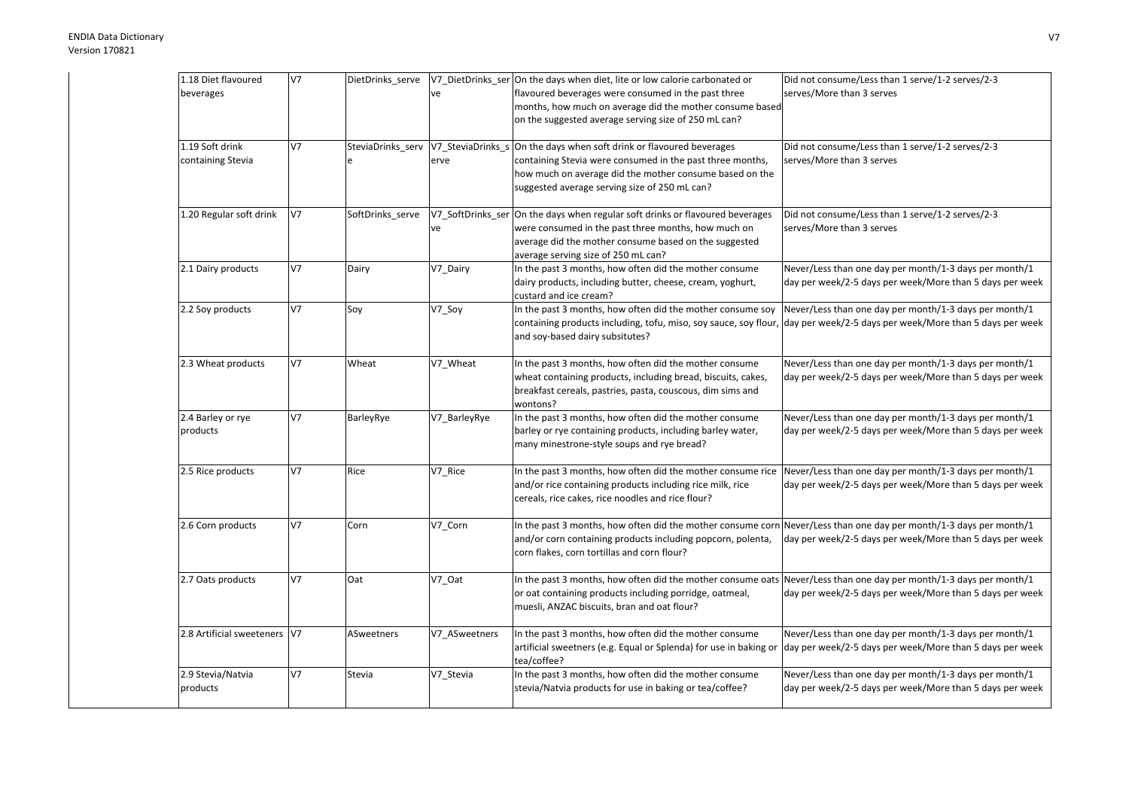| 1.18 Diet flavoured          | <b>V7</b>      | DietDrinks_serve |               | V7_DietDrinks_ser On the days when diet, lite or low calorie carbonated or                                         | Did not consume/Less than 1 serve/1-2 serves/2-3         |
|------------------------------|----------------|------------------|---------------|--------------------------------------------------------------------------------------------------------------------|----------------------------------------------------------|
| beverages                    |                |                  | ve            | flavoured beverages were consumed in the past three                                                                | serves/More than 3 serves                                |
|                              |                |                  |               | months, how much on average did the mother consume based                                                           |                                                          |
|                              |                |                  |               | on the suggested average serving size of 250 mL can?                                                               |                                                          |
| 1.19 Soft drink              | V <sub>7</sub> |                  |               | SteviaDrinks_serv V7_SteviaDrinks_s On the days when soft drink or flavoured beverages                             | Did not consume/Less than 1 serve/1-2 serves/2-3         |
| containing Stevia            |                |                  | erve          | containing Stevia were consumed in the past three months,                                                          | serves/More than 3 serves                                |
|                              |                |                  |               | how much on average did the mother consume based on the                                                            |                                                          |
|                              |                |                  |               | suggested average serving size of 250 mL can?                                                                      |                                                          |
|                              |                |                  |               |                                                                                                                    |                                                          |
| 1.20 Regular soft drink      | V <sub>7</sub> | SoftDrinks_serve |               | V7_SoftDrinks_ser On the days when regular soft drinks or flavoured beverages                                      | Did not consume/Less than 1 serve/1-2 serves/2-3         |
|                              |                |                  | ve            | were consumed in the past three months, how much on                                                                | serves/More than 3 serves                                |
|                              |                |                  |               | average did the mother consume based on the suggested                                                              |                                                          |
|                              |                |                  |               | average serving size of 250 mL can?                                                                                |                                                          |
| 2.1 Dairy products           | V <sub>7</sub> | Dairy            | V7_Dairy      | In the past 3 months, how often did the mother consume                                                             | Never/Less than one day per month/1-3 days per month/1   |
|                              |                |                  |               | dairy products, including butter, cheese, cream, yoghurt,<br>custard and ice cream?                                | day per week/2-5 days per week/More than 5 days per week |
| 2.2 Soy products             | V <sub>7</sub> | Soy              | V7_Soy        | In the past 3 months, how often did the mother consume soy                                                         | Never/Less than one day per month/1-3 days per month/1   |
|                              |                |                  |               | containing products including, tofu, miso, soy sauce, soy flour,                                                   | day per week/2-5 days per week/More than 5 days per week |
|                              |                |                  |               | and soy-based dairy subsitutes?                                                                                    |                                                          |
| 2.3 Wheat products           | V7             | Wheat            | V7_Wheat      | In the past 3 months, how often did the mother consume                                                             | Never/Less than one day per month/1-3 days per month/1   |
|                              |                |                  |               | wheat containing products, including bread, biscuits, cakes,                                                       | day per week/2-5 days per week/More than 5 days per week |
|                              |                |                  |               | breakfast cereals, pastries, pasta, couscous, dim sims and                                                         |                                                          |
|                              |                |                  |               | wontons?                                                                                                           |                                                          |
| 2.4 Barley or rye            | V <sub>7</sub> | BarleyRye        | V7 BarleyRye  | In the past 3 months, how often did the mother consume                                                             | Never/Less than one day per month/1-3 days per month/1   |
| products                     |                |                  |               | barley or rye containing products, including barley water,                                                         | day per week/2-5 days per week/More than 5 days per week |
|                              |                |                  |               | many minestrone-style soups and rye bread?                                                                         |                                                          |
| 2.5 Rice products            | V <sub>7</sub> | Rice             | V7_Rice       | In the past 3 months, how often did the mother consume rice                                                        | Never/Less than one day per month/1-3 days per month/1   |
|                              |                |                  |               | and/or rice containing products including rice milk, rice                                                          | day per week/2-5 days per week/More than 5 days per week |
|                              |                |                  |               | cereals, rice cakes, rice noodles and rice flour?                                                                  |                                                          |
|                              | V <sub>7</sub> | Corn             | V7_Corn       | In the past 3 months, how often did the mother consume corn Never/Less than one day per month/1-3 days per month/1 |                                                          |
| 2.6 Corn products            |                |                  |               | and/or corn containing products including popcorn, polenta,                                                        | day per week/2-5 days per week/More than 5 days per week |
|                              |                |                  |               | corn flakes, corn tortillas and corn flour?                                                                        |                                                          |
|                              |                |                  |               |                                                                                                                    |                                                          |
| 2.7 Oats products            | V <sub>7</sub> | Oat              | V7_Oat        | In the past 3 months, how often did the mother consume oats                                                        | Never/Less than one day per month/1-3 days per month/1   |
|                              |                |                  |               | or oat containing products including porridge, oatmeal,                                                            | day per week/2-5 days per week/More than 5 days per week |
|                              |                |                  |               | muesli, ANZAC biscuits, bran and oat flour?                                                                        |                                                          |
| 2.8 Artificial sweeteners V7 |                | ASweetners       | V7_ASweetners | In the past 3 months, how often did the mother consume                                                             | Never/Less than one day per month/1-3 days per month/1   |
|                              |                |                  |               | artificial sweetners (e.g. Equal or Splenda) for use in baking or                                                  | day per week/2-5 days per week/More than 5 days per week |
|                              |                |                  |               | tea/coffee?                                                                                                        |                                                          |
| 2.9 Stevia/Natvia            | V7             | Stevia           | V7_Stevia     | In the past 3 months, how often did the mother consume                                                             | Never/Less than one day per month/1-3 days per month/1   |
| products                     |                |                  |               | stevia/Natvia products for use in baking or tea/coffee?                                                            | day per week/2-5 days per week/More than 5 days per week |
|                              |                |                  |               |                                                                                                                    |                                                          |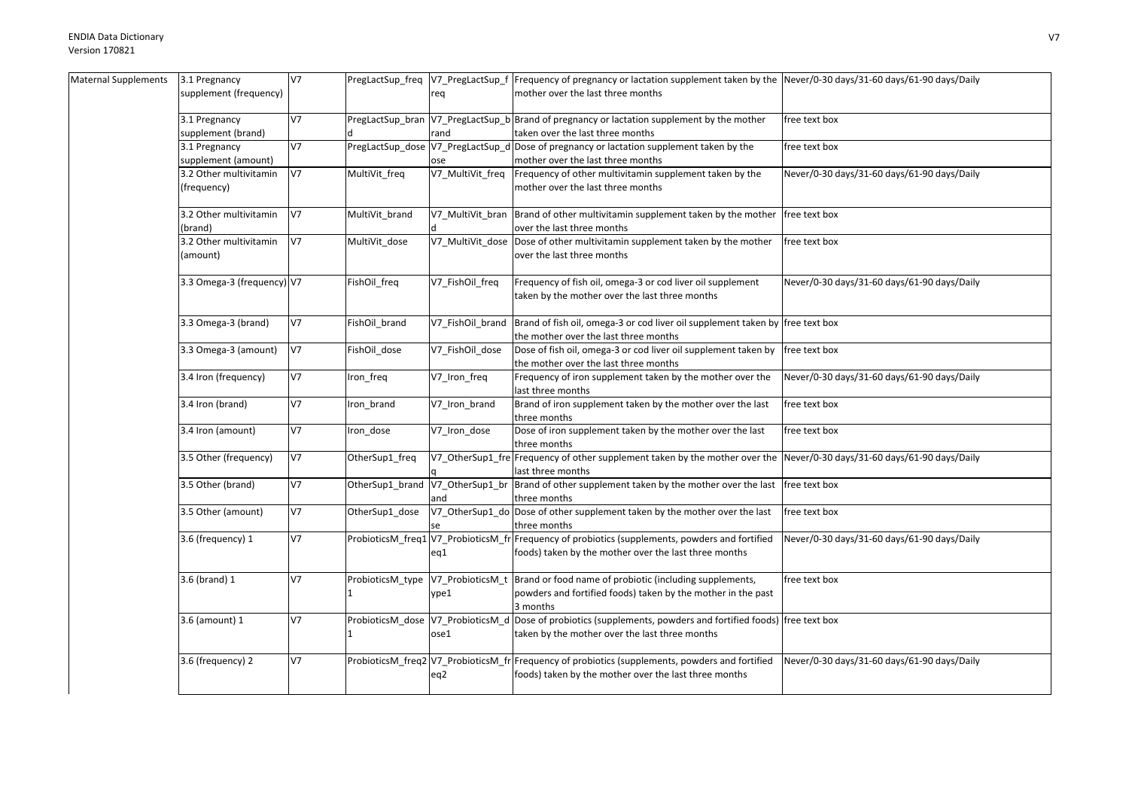| Maternal Supplements | 3.1 Pregnancy              | V7             |                                   |                  | PregLactSup_freq  V7_PregLactSup_f  Frequency of pregnancy or lactation supplement taken by the  Never/0-30 days/31-60 days/61-90 days/Daily |                                             |
|----------------------|----------------------------|----------------|-----------------------------------|------------------|----------------------------------------------------------------------------------------------------------------------------------------------|---------------------------------------------|
|                      | supplement (frequency)     |                |                                   | req              | mother over the last three months                                                                                                            |                                             |
|                      |                            |                |                                   |                  |                                                                                                                                              |                                             |
|                      | 3.1 Pregnancy              | V7             |                                   |                  | PregLactSup_bran V7_PregLactSup_b Brand of pregnancy or lactation supplement by the mother                                                   | free text box                               |
|                      | supplement (brand)         |                |                                   | rand             | taken over the last three months                                                                                                             |                                             |
|                      | 3.1 Pregnancy              | V7             |                                   |                  | PregLactSup_dose V7_PregLactSup_d Dose of pregnancy or lactation supplement taken by the                                                     | free text box                               |
|                      | supplement (amount)        |                |                                   | ose              | mother over the last three months                                                                                                            |                                             |
|                      | 3.2 Other multivitamin     | V7             | MultiVit_freq                     | V7_MultiVit_freq | Frequency of other multivitamin supplement taken by the                                                                                      | Never/0-30 days/31-60 days/61-90 days/Daily |
|                      | (frequency)                |                |                                   |                  | mother over the last three months                                                                                                            |                                             |
|                      |                            |                |                                   |                  |                                                                                                                                              |                                             |
|                      | 3.2 Other multivitamin     | V7             | MultiVit_brand                    |                  | V7_MultiVit_bran  Brand of other multivitamin supplement taken by the mother                                                                 | free text box                               |
|                      | (brand)                    |                |                                   |                  | over the last three months                                                                                                                   |                                             |
|                      | 3.2 Other multivitamin     | V7             | MultiVit_dose                     | V7_MultiVit_dose | Dose of other multivitamin supplement taken by the mother                                                                                    | free text box                               |
|                      | (amount)                   |                |                                   |                  | over the last three months                                                                                                                   |                                             |
|                      |                            |                |                                   |                  |                                                                                                                                              |                                             |
|                      | 3.3 Omega-3 (frequency) V7 |                | FishOil freq                      | V7_FishOil_freq  | Frequency of fish oil, omega-3 or cod liver oil supplement                                                                                   | Never/0-30 days/31-60 days/61-90 days/Daily |
|                      |                            |                |                                   |                  | taken by the mother over the last three months                                                                                               |                                             |
|                      |                            |                |                                   |                  |                                                                                                                                              |                                             |
|                      | 3.3 Omega-3 (brand)        | V7             | FishOil_brand                     | V7 FishOil brand | Brand of fish oil, omega-3 or cod liver oil supplement taken by free text box                                                                |                                             |
|                      |                            |                |                                   |                  | the mother over the last three months                                                                                                        |                                             |
|                      | 3.3 Omega-3 (amount)       | V7             | FishOil_dose                      | V7_FishOil_dose  | Dose of fish oil, omega-3 or cod liver oil supplement taken by                                                                               | free text box                               |
|                      |                            |                |                                   |                  | the mother over the last three months                                                                                                        |                                             |
|                      | 3.4 Iron (frequency)       | V7             | Iron_freq                         | V7_Iron_freq     | Frequency of iron supplement taken by the mother over the                                                                                    | Never/0-30 days/31-60 days/61-90 days/Daily |
|                      |                            |                |                                   |                  | last three months                                                                                                                            |                                             |
|                      | 3.4 Iron (brand)           | V7             |                                   |                  | Brand of iron supplement taken by the mother over the last                                                                                   | free text box                               |
|                      |                            |                | Iron_brand                        | V7_Iron_brand    | three months                                                                                                                                 |                                             |
|                      |                            | V7             |                                   |                  |                                                                                                                                              |                                             |
|                      | 3.4 Iron (amount)          |                | Iron_dose                         | V7_Iron_dose     | Dose of iron supplement taken by the mother over the last                                                                                    | free text box                               |
|                      | 3.5 Other (frequency)      | V7             |                                   |                  | three months<br>V7 OtherSup1 fre Frequency of other supplement taken by the mother over the                                                  |                                             |
|                      |                            |                | OtherSup1_freq                    |                  |                                                                                                                                              | Never/0-30 days/31-60 days/61-90 days/Daily |
|                      | 3.5 Other (brand)          | <b>V7</b>      | OtherSup1_brand                   | V7 OtherSup1 br  | last three months<br>Brand of other supplement taken by the mother over the last                                                             |                                             |
|                      |                            |                |                                   |                  |                                                                                                                                              | free text box                               |
|                      |                            | V7             |                                   | and              | three months                                                                                                                                 | free text box                               |
|                      | 3.5 Other (amount)         |                | OtherSup1_dose                    |                  | V7_OtherSup1_do  Dose of other supplement taken by the mother over the last                                                                  |                                             |
|                      |                            |                |                                   |                  | three months                                                                                                                                 |                                             |
|                      | 3.6 (frequency) 1          | V7             |                                   |                  | ProbioticsM_freq1 V7_ProbioticsM_fr Frequency of probiotics (supplements, powders and fortified                                              | Never/0-30 days/31-60 days/61-90 days/Daily |
|                      |                            |                |                                   | eq1              | foods) taken by the mother over the last three months                                                                                        |                                             |
|                      |                            |                |                                   |                  |                                                                                                                                              |                                             |
|                      | 3.6 (brand) 1              | V <sub>7</sub> | ProbioticsM_type                  |                  | V7_ProbioticsM_t Brand or food name of probiotic (including supplements,                                                                     | free text box                               |
|                      |                            |                |                                   | ype1             | powders and fortified foods) taken by the mother in the past                                                                                 |                                             |
|                      |                            |                |                                   |                  | 3 months                                                                                                                                     |                                             |
|                      | 3.6 (amount) 1             | V7             | ProbioticsM_dose V7_ProbioticsM_d |                  | Dose of probiotics (supplements, powders and fortified foods) free text box                                                                  |                                             |
|                      |                            |                |                                   | ose1             | taken by the mother over the last three months                                                                                               |                                             |
|                      |                            |                |                                   |                  |                                                                                                                                              |                                             |
|                      | 3.6 (frequency) 2          | V7             |                                   |                  | ProbioticsM_freq2 V7_ProbioticsM_fr Frequency of probiotics (supplements, powders and fortified                                              | Never/0-30 days/31-60 days/61-90 days/Daily |
|                      |                            |                |                                   | eq2              | foods) taken by the mother over the last three months                                                                                        |                                             |
|                      |                            |                |                                   |                  |                                                                                                                                              |                                             |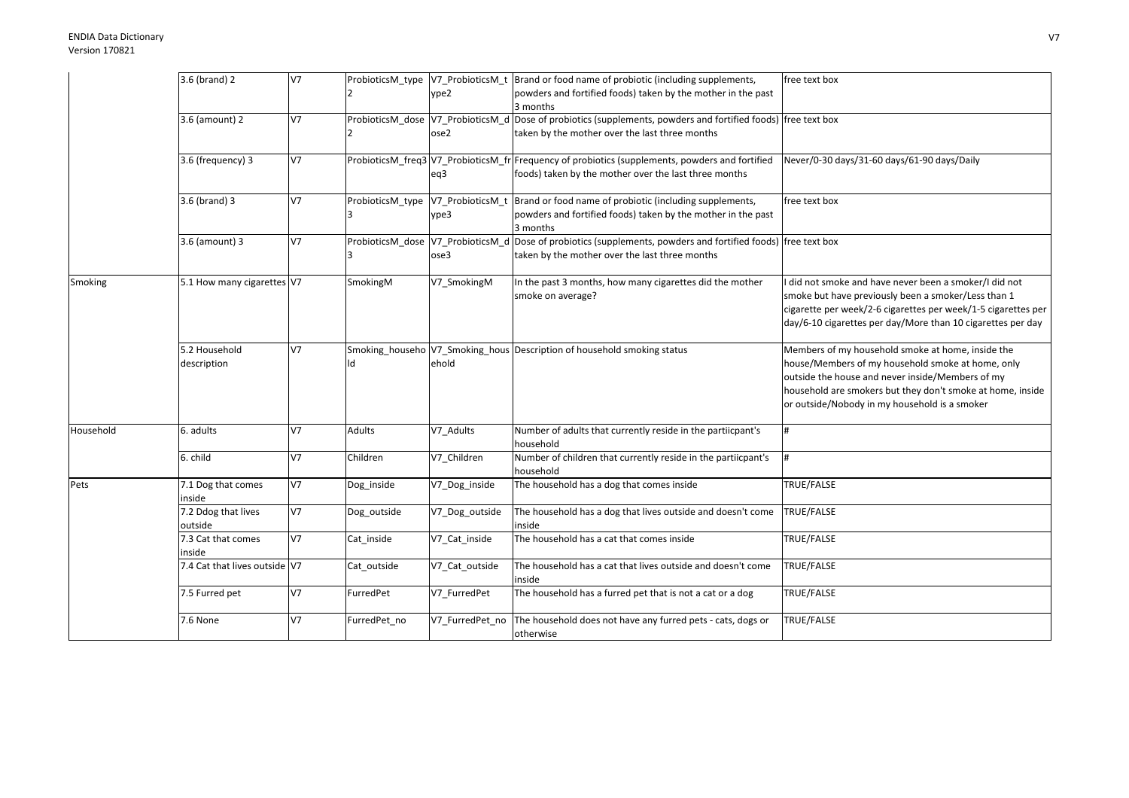## ENDIA Data DictionaryVersion 170821

|           | 3.6 (brand) 2                 | V7 |                  |                  | ProbioticsM_type  V7_ProbioticsM_t  Brand or food name of probiotic (including supplements,                      | free text box                                                 |
|-----------|-------------------------------|----|------------------|------------------|------------------------------------------------------------------------------------------------------------------|---------------------------------------------------------------|
|           |                               |    |                  | ype2             | powders and fortified foods) taken by the mother in the past                                                     |                                                               |
|           |                               |    |                  |                  | 3 months                                                                                                         |                                                               |
|           | 3.6 (amount) 2                | V7 |                  |                  | ProbioticsM_dose  V7_ProbioticsM_d  Dose of probiotics (supplements, powders and fortified foods)  free text box |                                                               |
|           |                               |    |                  | ose2             | taken by the mother over the last three months                                                                   |                                                               |
|           |                               |    |                  |                  |                                                                                                                  |                                                               |
|           | 3.6 (frequency) 3             | V7 |                  |                  | ProbioticsM_freq3 V7_ProbioticsM_fr Frequency of probiotics (supplements, powders and fortified                  | Never/0-30 days/31-60 days/61-90 days/Daily                   |
|           |                               |    |                  | eq3              | foods) taken by the mother over the last three months                                                            |                                                               |
|           |                               |    |                  |                  |                                                                                                                  |                                                               |
|           | 3.6 (brand) 3                 | V7 | ProbioticsM type | V7_ProbioticsM_t | Brand or food name of probiotic (including supplements,                                                          | free text box                                                 |
|           |                               |    |                  | ype3             | powders and fortified foods) taken by the mother in the past                                                     |                                                               |
|           |                               |    |                  |                  | 3 months                                                                                                         |                                                               |
|           | 3.6 (amount) 3                | V7 |                  |                  | ProbioticsM_dose  V7_ProbioticsM_d  Dose of probiotics (supplements, powders and fortified foods)  free text box |                                                               |
|           |                               |    |                  | ose3             | taken by the mother over the last three months                                                                   |                                                               |
|           |                               |    |                  |                  |                                                                                                                  |                                                               |
| Smoking   | 5.1 How many cigarettes V7    |    | SmokingM         | V7 SmokingM      | In the past 3 months, how many cigarettes did the mother                                                         | did not smoke and have never been a smoker/I did not          |
|           |                               |    |                  |                  | smoke on average?                                                                                                | smoke but have previously been a smoker/Less than 1           |
|           |                               |    |                  |                  |                                                                                                                  | cigarette per week/2-6 cigarettes per week/1-5 cigarettes per |
|           |                               |    |                  |                  |                                                                                                                  | day/6-10 cigarettes per day/More than 10 cigarettes per day   |
|           |                               |    |                  |                  |                                                                                                                  |                                                               |
|           | 5.2 Household                 | V7 | Smoking househo  |                  | V7 Smoking hous Description of household smoking status                                                          | Members of my household smoke at home, inside the             |
|           | description                   |    | ld               | ehold            |                                                                                                                  | house/Members of my household smoke at home, only             |
|           |                               |    |                  |                  |                                                                                                                  | outside the house and never inside/Members of my              |
|           |                               |    |                  |                  |                                                                                                                  | household are smokers but they don't smoke at home, inside    |
|           |                               |    |                  |                  |                                                                                                                  | or outside/Nobody in my household is a smoker                 |
|           |                               |    |                  |                  |                                                                                                                  |                                                               |
| Household | 6. adults                     | V7 | Adults           | V7_Adults        | Number of adults that currently reside in the partiicpant's                                                      | #                                                             |
|           |                               |    |                  |                  | household                                                                                                        |                                                               |
|           | 6. child                      | V7 | Children         | V7_Children      | Number of children that currently reside in the partiicpant's                                                    | #                                                             |
|           |                               |    |                  |                  | household                                                                                                        |                                                               |
| Pets      | 7.1 Dog that comes            | V7 | Dog_inside       | V7_Dog_inside    | The household has a dog that comes inside                                                                        | TRUE/FALSE                                                    |
|           | inside                        |    |                  |                  |                                                                                                                  |                                                               |
|           | 7.2 Ddog that lives           | V7 | Dog_outside      | V7_Dog_outside   | The household has a dog that lives outside and doesn't come                                                      | TRUE/FALSE                                                    |
|           | outside                       |    |                  |                  | inside                                                                                                           |                                                               |
|           | 7.3 Cat that comes            | V7 | Cat inside       | V7_Cat_inside    | The household has a cat that comes inside                                                                        | TRUE/FALSE                                                    |
|           | inside                        |    |                  |                  |                                                                                                                  |                                                               |
|           | 7.4 Cat that lives outside V7 |    | Cat_outside      | V7_Cat_outside   | The household has a cat that lives outside and doesn't come                                                      | TRUE/FALSE                                                    |
|           |                               |    |                  |                  | inside                                                                                                           |                                                               |
|           | 7.5 Furred pet                | V7 | FurredPet        | V7 FurredPet     | The household has a furred pet that is not a cat or a dog                                                        | TRUE/FALSE                                                    |
|           |                               |    |                  |                  |                                                                                                                  |                                                               |
|           | 7.6 None                      | V7 | FurredPet no     | V7_FurredPet_no  | The household does not have any furred pets - cats, dogs or                                                      | TRUE/FALSE                                                    |
|           |                               |    |                  |                  |                                                                                                                  |                                                               |
|           |                               |    |                  |                  | otherwise                                                                                                        |                                                               |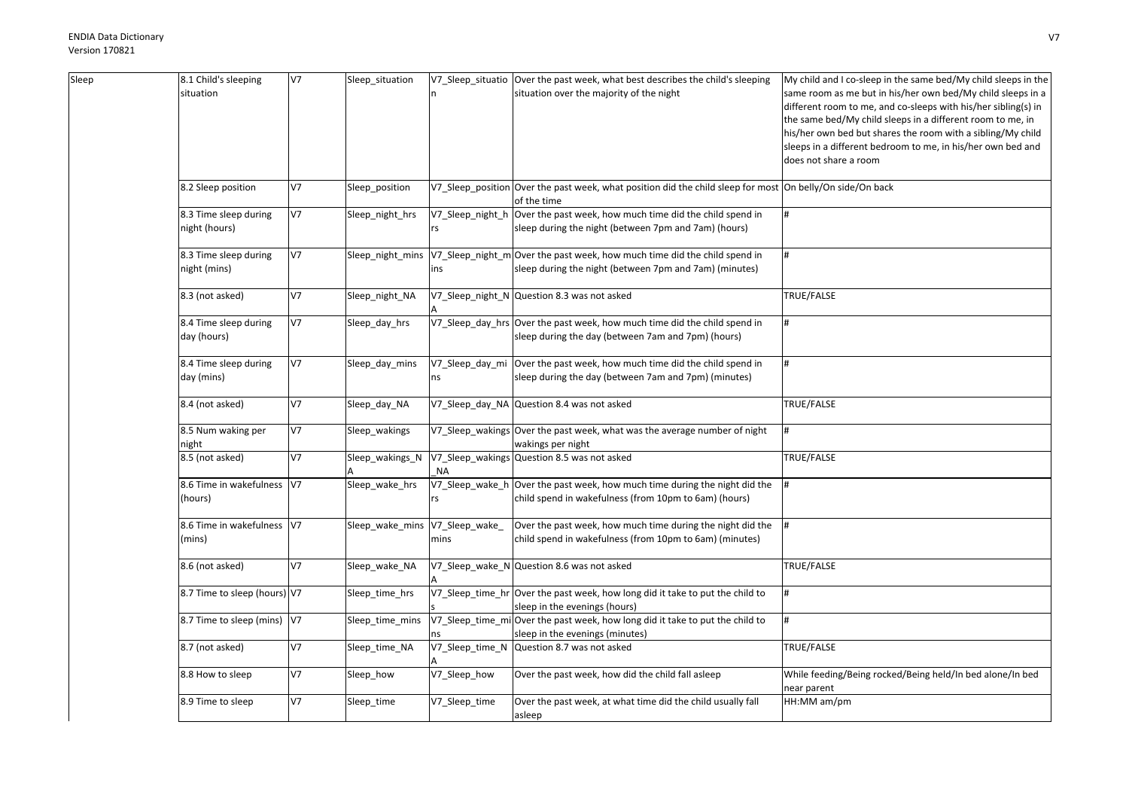| Sleep | 8.1 Child's sleeping<br>situation | V7             | Sleep_situation                |                  | V7_Sleep_situatio   Over the past week, what best describes the child's sleeping<br>situation over the majority of the night | My child and I co-sleep in the same bed/My child sleeps in the<br>same room as me but in his/her own bed/My child sleeps in a<br>different room to me, and co-sleeps with his/her sibling(s) in |
|-------|-----------------------------------|----------------|--------------------------------|------------------|------------------------------------------------------------------------------------------------------------------------------|-------------------------------------------------------------------------------------------------------------------------------------------------------------------------------------------------|
|       |                                   |                |                                |                  |                                                                                                                              | the same bed/My child sleeps in a different room to me, in                                                                                                                                      |
|       |                                   |                |                                |                  |                                                                                                                              | his/her own bed but shares the room with a sibling/My child                                                                                                                                     |
|       |                                   |                |                                |                  |                                                                                                                              | sleeps in a different bedroom to me, in his/her own bed and                                                                                                                                     |
|       |                                   |                |                                |                  |                                                                                                                              | does not share a room                                                                                                                                                                           |
|       | 8.2 Sleep position                | <b>V7</b>      | Sleep_position                 |                  | V7_Sleep_position Over the past week, what position did the child sleep for most On belly/On side/On back                    |                                                                                                                                                                                                 |
|       |                                   |                |                                |                  | of the time                                                                                                                  |                                                                                                                                                                                                 |
|       | 8.3 Time sleep during             | V              | Sleep_night_hrs                | V7_Sleep_night_h | Over the past week, how much time did the child spend in                                                                     |                                                                                                                                                                                                 |
|       | night (hours)                     |                |                                | rs               | sleep during the night (between 7pm and 7am) (hours)                                                                         |                                                                                                                                                                                                 |
|       | 8.3 Time sleep during             | V7             | Sleep_night_mins               |                  | V7_Sleep_night_m Over the past week, how much time did the child spend in                                                    |                                                                                                                                                                                                 |
|       | night (mins)                      |                |                                | ins              | sleep during the night (between 7pm and 7am) (minutes)                                                                       |                                                                                                                                                                                                 |
|       | 8.3 (not asked)                   | <b>V7</b>      |                                |                  |                                                                                                                              | TRUE/FALSE                                                                                                                                                                                      |
|       |                                   |                | Sleep_night_NA                 |                  | V7_Sleep_night_N Question 8.3 was not asked                                                                                  |                                                                                                                                                                                                 |
|       | 8.4 Time sleep during             | V <sub>7</sub> | Sleep_day_hrs                  |                  | V7_Sleep_day_hrs Over the past week, how much time did the child spend in                                                    |                                                                                                                                                                                                 |
|       | day (hours)                       |                |                                |                  | sleep during the day (between 7am and 7pm) (hours)                                                                           |                                                                                                                                                                                                 |
|       |                                   |                |                                |                  |                                                                                                                              |                                                                                                                                                                                                 |
|       | 8.4 Time sleep during             | <b>V7</b>      | Sleep_day_mins                 | V7_Sleep_day_mi  | Over the past week, how much time did the child spend in                                                                     |                                                                                                                                                                                                 |
|       | day (mins)                        |                |                                | ns               | sleep during the day (between 7am and 7pm) (minutes)                                                                         |                                                                                                                                                                                                 |
|       | 8.4 (not asked)                   | V7             | Sleep_day_NA                   | V7_Sleep_day_NA  | Question 8.4 was not asked                                                                                                   | TRUE/FALSE                                                                                                                                                                                      |
|       | 8.5 Num waking per                | <b>V7</b>      | Sleep_wakings                  |                  | V7_Sleep_wakings Over the past week, what was the average number of night                                                    |                                                                                                                                                                                                 |
|       | night                             |                |                                |                  | wakings per night                                                                                                            |                                                                                                                                                                                                 |
|       | 8.5 (not asked)                   | V <sub>7</sub> | Sleep_wakings_N                | ΝA               | V7_Sleep_wakings Question 8.5 was not asked                                                                                  | TRUE/FALSE                                                                                                                                                                                      |
|       | 8.6 Time in wakefulness V7        |                | Sleep_wake_hrs                 | V7_Sleep_wake_h  | Over the past week, how much time during the night did the                                                                   |                                                                                                                                                                                                 |
|       | (hours)                           |                |                                | rs               | child spend in wakefulness (from 10pm to 6am) (hours)                                                                        |                                                                                                                                                                                                 |
|       | 8.6 Time in wakefulness V7        |                | Sleep_wake_mins V7_Sleep_wake_ |                  | Over the past week, how much time during the night did the                                                                   |                                                                                                                                                                                                 |
|       | (mins)                            |                |                                | mins             | child spend in wakefulness (from 10pm to 6am) (minutes)                                                                      |                                                                                                                                                                                                 |
|       |                                   |                |                                |                  |                                                                                                                              |                                                                                                                                                                                                 |
|       | 8.6 (not asked)                   | V7             | Sleep_wake_NA                  |                  | V7_Sleep_wake_N Question 8.6 was not asked                                                                                   | TRUE/FALSE                                                                                                                                                                                      |
|       | 8.7 Time to sleep (hours) V7      |                | Sleep_time_hrs                 |                  | V7_Sleep_time_hr Over the past week, how long did it take to put the child to                                                |                                                                                                                                                                                                 |
|       |                                   |                |                                |                  | sleep in the evenings (hours)                                                                                                |                                                                                                                                                                                                 |
|       | 8.7 Time to sleep (mins) V7       |                | Sleep_time_mins                | V7_Sleep_time_m  | iOver the past week, how long did it take to put the child to                                                                |                                                                                                                                                                                                 |
|       |                                   |                |                                |                  | sleep in the evenings (minutes)                                                                                              |                                                                                                                                                                                                 |
|       | 8.7 (not asked)                   | <b>V7</b>      | Sleep time NA                  | V7 Sleep time N  | Question 8.7 was not asked                                                                                                   | TRUE/FALSE                                                                                                                                                                                      |
|       | 8.8 How to sleep                  | <b>V7</b>      | Sleep_how                      | V7_Sleep_how     | Over the past week, how did the child fall asleep                                                                            | While feeding/Being rocked/Being held/In bed alone/In bed                                                                                                                                       |
|       |                                   |                |                                |                  |                                                                                                                              | near parent                                                                                                                                                                                     |
|       | 8.9 Time to sleep                 | <b>V7</b>      | Sleep_time                     | V7_Sleep_time    | Over the past week, at what time did the child usually fall                                                                  | HH:MM am/pm                                                                                                                                                                                     |
|       |                                   |                |                                |                  | asleep                                                                                                                       |                                                                                                                                                                                                 |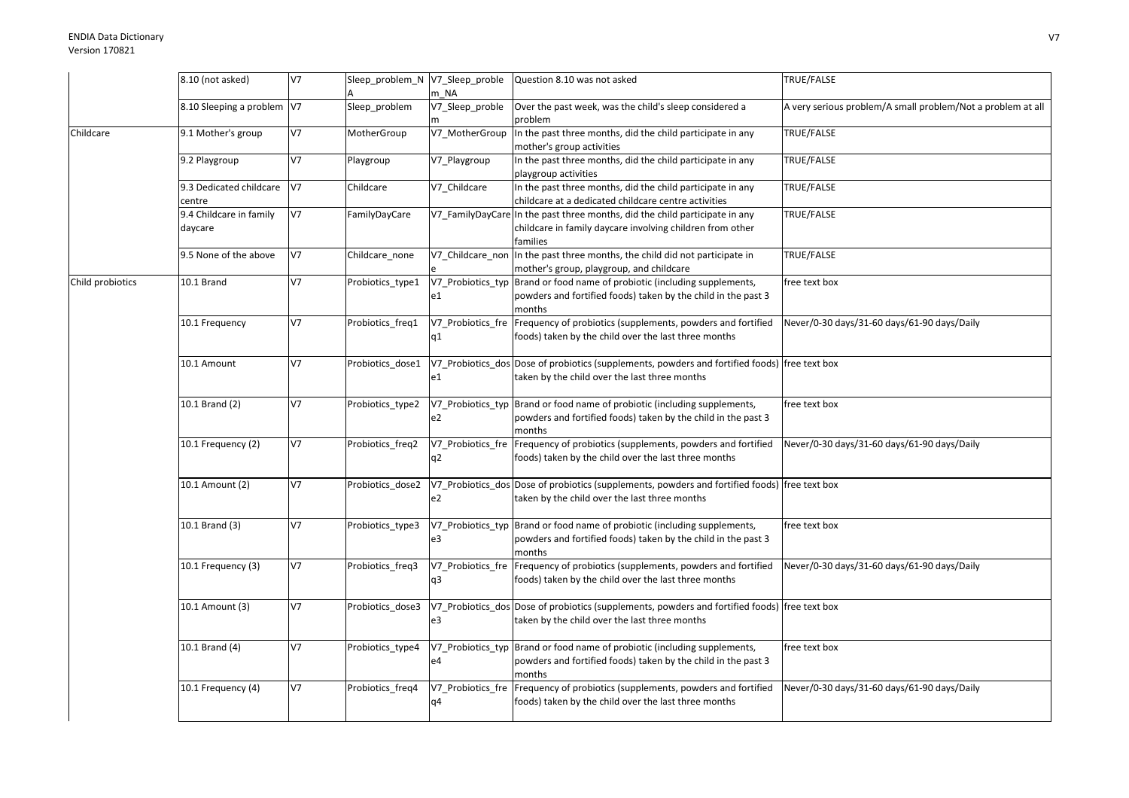|                  | 8.10 (not asked)           | V7             | Sleep_problem_N V7_Sleep_proble |                   | Question 8.10 was not asked                                                                   | TRUE/FALSE                                                  |
|------------------|----------------------------|----------------|---------------------------------|-------------------|-----------------------------------------------------------------------------------------------|-------------------------------------------------------------|
|                  |                            |                |                                 | m NA              |                                                                                               |                                                             |
|                  | 8.10 Sleeping a problem V7 |                | Sleep_problem                   | V7_Sleep_proble   | Over the past week, was the child's sleep considered a                                        | A very serious problem/A small problem/Not a problem at all |
|                  |                            |                |                                 |                   | problem                                                                                       |                                                             |
| Childcare        | 9.1 Mother's group         | V7             | MotherGroup                     | V7_MotherGroup    | In the past three months, did the child participate in any                                    | TRUE/FALSE                                                  |
|                  |                            |                |                                 |                   | mother's group activities                                                                     |                                                             |
|                  | 9.2 Playgroup              | V7             | Playgroup                       | V7_Playgroup      | In the past three months, did the child participate in any                                    | TRUE/FALSE                                                  |
|                  |                            |                |                                 |                   | playgroup activities                                                                          |                                                             |
|                  | 9.3 Dedicated childcare    | V7             | Childcare                       | V7_Childcare      | In the past three months, did the child participate in any                                    | TRUE/FALSE                                                  |
|                  | centre                     |                |                                 |                   | childcare at a dedicated childcare centre activities                                          |                                                             |
|                  | 9.4 Childcare in family    | V7             | FamilyDayCare                   |                   | V7_FamilyDayCare In the past three months, did the child participate in any                   | TRUE/FALSE                                                  |
|                  | daycare                    |                |                                 |                   | childcare in family daycare involving children from other                                     |                                                             |
|                  |                            |                |                                 |                   | families                                                                                      |                                                             |
|                  | 9.5 None of the above      | V7             | Childcare_none                  |                   | V7 Childcare non In the past three months, the child did not participate in                   | TRUE/FALSE                                                  |
|                  |                            |                |                                 |                   | mother's group, playgroup, and childcare                                                      |                                                             |
| Child probiotics | 10.1 Brand                 | V7             | Probiotics_type1                | V7 Probiotics typ | Brand or food name of probiotic (including supplements,                                       | free text box                                               |
|                  |                            |                |                                 | e1                | powders and fortified foods) taken by the child in the past 3                                 |                                                             |
|                  |                            |                |                                 |                   | months                                                                                        |                                                             |
|                  | 10.1 Frequency             | V7             | Probiotics_freq1                |                   | V7_Probiotics_fre Frequency of probiotics (supplements, powders and fortified                 | Never/0-30 days/31-60 days/61-90 days/Daily                 |
|                  |                            |                |                                 | q1                | foods) taken by the child over the last three months                                          |                                                             |
|                  |                            |                |                                 |                   |                                                                                               |                                                             |
|                  | 10.1 Amount                | V7             | Probiotics_dose1                |                   | V7_Probiotics_dos Dose of probiotics (supplements, powders and fortified foods) free text box |                                                             |
|                  |                            |                |                                 | e1                | taken by the child over the last three months                                                 |                                                             |
|                  |                            |                |                                 |                   |                                                                                               |                                                             |
|                  | 10.1 Brand (2)             | V7             | Probiotics_type2                |                   | V7_Probiotics_typ Brand or food name of probiotic (including supplements,                     | free text box                                               |
|                  |                            |                |                                 | e2                | powders and fortified foods) taken by the child in the past 3                                 |                                                             |
|                  |                            |                |                                 |                   | months                                                                                        |                                                             |
|                  | 10.1 Frequency (2)         | V <sub>7</sub> | Probiotics_freq2                |                   | V7_Probiotics_fre Frequency of probiotics (supplements, powders and fortified                 | Never/0-30 days/31-60 days/61-90 days/Daily                 |
|                  |                            |                |                                 | q2                | foods) taken by the child over the last three months                                          |                                                             |
|                  |                            |                |                                 |                   |                                                                                               |                                                             |
|                  | 10.1 Amount (2)            | V7             | Probiotics dose2                |                   | V7 Probiotics dos Dose of probiotics (supplements, powders and fortified foods) free text box |                                                             |
|                  |                            |                |                                 | e2                | taken by the child over the last three months                                                 |                                                             |
|                  |                            |                |                                 |                   |                                                                                               |                                                             |
|                  | 10.1 Brand (3)             | V7             | Probiotics_type3                |                   | V7 Probiotics typ Brand or food name of probiotic (including supplements,                     | free text box                                               |
|                  |                            |                |                                 | e3                | powders and fortified foods) taken by the child in the past 3                                 |                                                             |
|                  |                            |                |                                 |                   | months                                                                                        |                                                             |
|                  | 10.1 Frequency (3)         | V7             | Probiotics_freq3                |                   | V7_Probiotics_fre Frequency of probiotics (supplements, powders and fortified                 | Never/0-30 days/31-60 days/61-90 days/Daily                 |
|                  |                            |                |                                 | q3                | foods) taken by the child over the last three months                                          |                                                             |
|                  |                            |                |                                 |                   |                                                                                               |                                                             |
|                  | 10.1 Amount (3)            | V7             | Probiotics_dose3                |                   | V7_Probiotics_dos Dose of probiotics (supplements, powders and fortified foods) free text box |                                                             |
|                  |                            |                |                                 | e3                | taken by the child over the last three months                                                 |                                                             |
|                  |                            |                |                                 |                   |                                                                                               |                                                             |
|                  | 10.1 Brand (4)             | V7             | Probiotics_type4                |                   | V7_Probiotics_typ Brand or food name of probiotic (including supplements,                     | free text box                                               |
|                  |                            |                |                                 | e4                | powders and fortified foods) taken by the child in the past 3                                 |                                                             |
|                  |                            |                |                                 |                   | months                                                                                        |                                                             |
|                  | 10.1 Frequency (4)         | V7             | Probiotics_freq4                |                   | V7 Probiotics fre Frequency of probiotics (supplements, powders and fortified                 | Never/0-30 days/31-60 days/61-90 days/Daily                 |
|                  |                            |                |                                 | q4                | foods) taken by the child over the last three months                                          |                                                             |
|                  |                            |                |                                 |                   |                                                                                               |                                                             |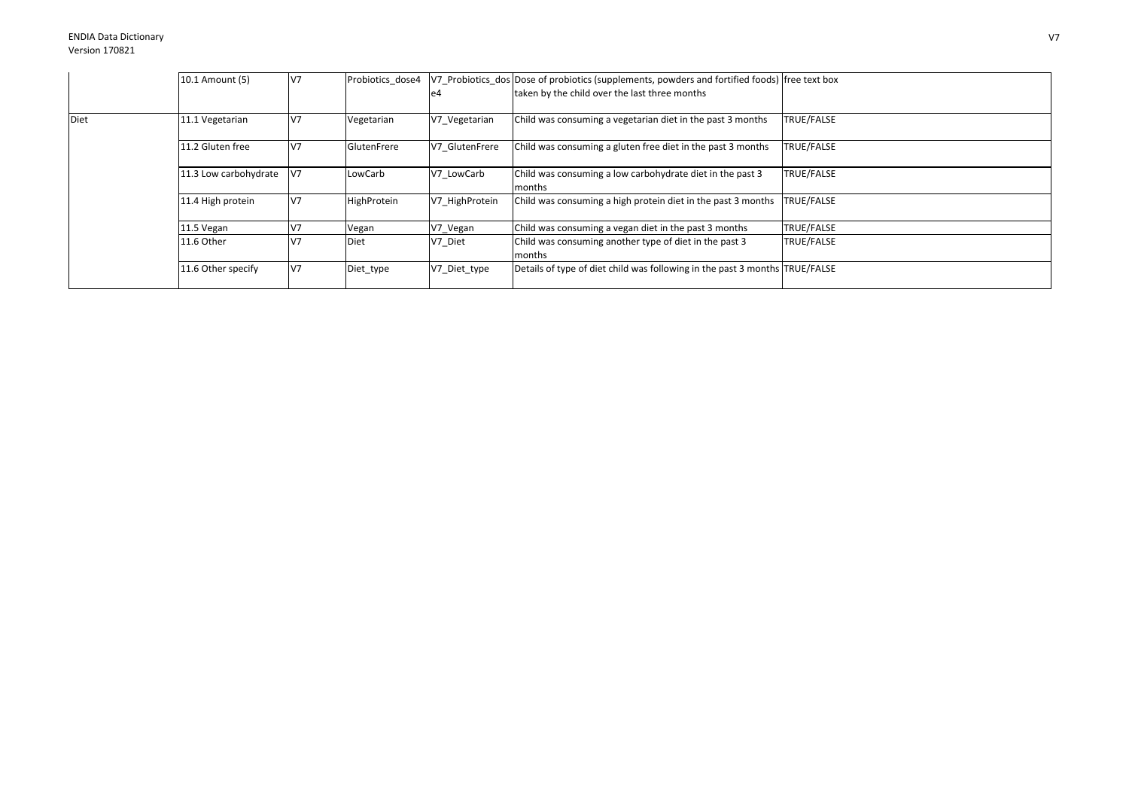|      | 10.1 Amount (5)       | V <sub>7</sub> | Probiotics dose4 | e4             | V7 Probiotics dos Dose of probiotics (supplements, powders and fortified foods) free text box<br>taken by the child over the last three months |                   |
|------|-----------------------|----------------|------------------|----------------|------------------------------------------------------------------------------------------------------------------------------------------------|-------------------|
| Diet | 11.1 Vegetarian       | V <sub>7</sub> | Vegetarian       | V7 Vegetarian  | Child was consuming a vegetarian diet in the past 3 months                                                                                     | <b>TRUE/FALSE</b> |
|      | 11.2 Gluten free      | V <sub>7</sub> | GlutenFrere      | V7 GlutenFrere | Child was consuming a gluten free diet in the past 3 months                                                                                    | TRUE/FALSE        |
|      | 11.3 Low carbohydrate | V7             | LowCarb          | V7 LowCarb     | Child was consuming a low carbohydrate diet in the past 3<br>months                                                                            | TRUE/FALSE        |
|      | 11.4 High protein     | V <sub>7</sub> | HighProtein      | V7 HighProtein | Child was consuming a high protein diet in the past 3 months                                                                                   | <b>TRUE/FALSE</b> |
|      | 11.5 Vegan            | V <sub>7</sub> | Vegan            | V7_Vegan       | Child was consuming a vegan diet in the past 3 months                                                                                          | TRUE/FALSE        |
|      | 11.6 Other            | V <sub>7</sub> | Diet             | V7 Diet        | Child was consuming another type of diet in the past 3<br>months                                                                               | <b>TRUE/FALSE</b> |
|      | 11.6 Other specify    | V <sub>7</sub> | Diet_type        | V7_Diet_type   | Details of type of diet child was following in the past 3 months TRUE/FALSE                                                                    |                   |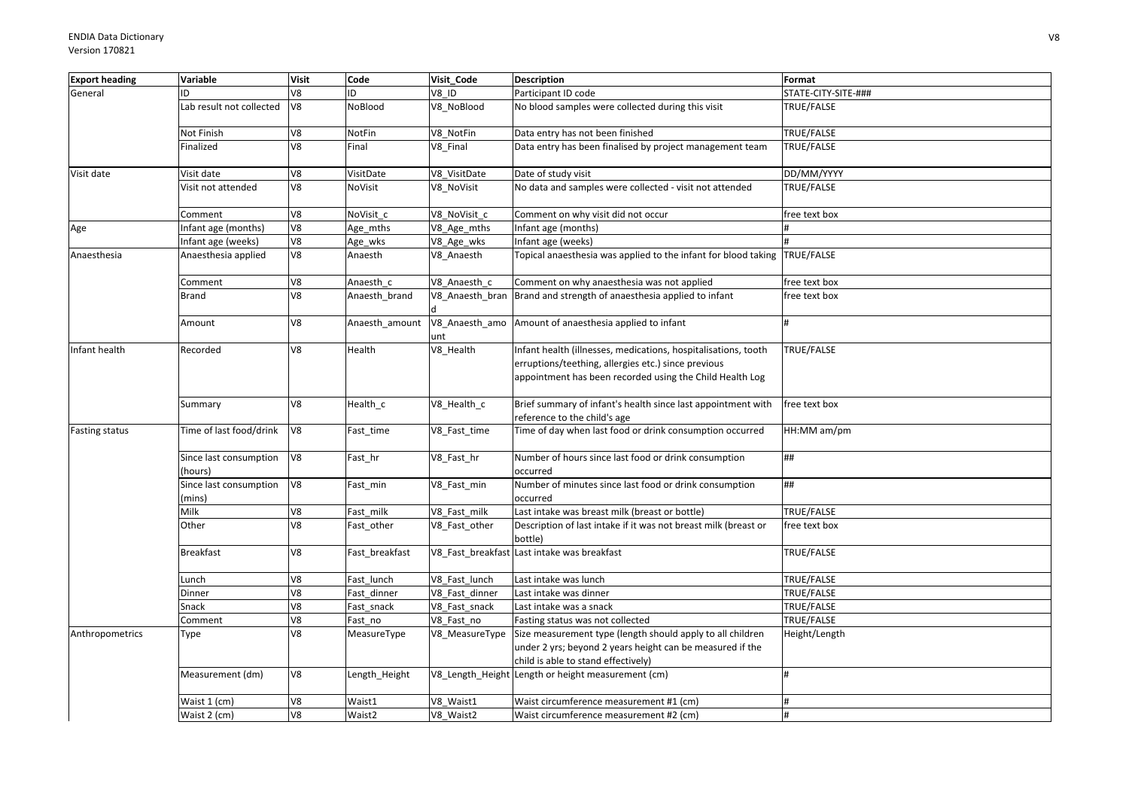| <b>Export heading</b> | Variable                          | <b>Visit</b> | Code           | Visit Code      | <b>Description</b>                                                                                                                                                                | Format              |
|-----------------------|-----------------------------------|--------------|----------------|-----------------|-----------------------------------------------------------------------------------------------------------------------------------------------------------------------------------|---------------------|
| General               | ID                                | V8           | ID.            | V8 ID           | Participant ID code                                                                                                                                                               | STATE-CITY-SITE-### |
|                       | Lab result not collected          | V8           | NoBlood        | V8 NoBlood      | No blood samples were collected during this visit                                                                                                                                 | TRUE/FALSE          |
|                       | Not Finish                        | V8           | NotFin         | V8 NotFin       | Data entry has not been finished                                                                                                                                                  | TRUE/FALSE          |
|                       | Finalized                         | V8           | Final          | V8 Final        | Data entry has been finalised by project management team                                                                                                                          | TRUE/FALSE          |
| Visit date            | Visit date                        | V8           | VisitDate      | V8_VisitDate    | Date of study visit                                                                                                                                                               | DD/MM/YYYY          |
|                       | Visit not attended                | V8           | NoVisit        | V8_NoVisit      | No data and samples were collected - visit not attended                                                                                                                           | TRUE/FALSE          |
|                       | Comment                           | V8           | NoVisit c      | V8 NoVisit c    | Comment on why visit did not occur                                                                                                                                                | free text box       |
| Age                   | Infant age (months)               | V8           | Age_mths       | V8_Age_mths     | Infant age (months)                                                                                                                                                               |                     |
|                       | Infant age (weeks)                | V8           | Age_wks        | V8_Age_wks      | Infant age (weeks)                                                                                                                                                                |                     |
| Anaesthesia           | Anaesthesia applied               | V8           | Anaesth        | V8_Anaesth      | Topical anaesthesia was applied to the infant for blood taking TRUE/FALSE                                                                                                         |                     |
|                       | Comment                           | V8           | Anaesth c      | V8 Anaesth c    | Comment on why anaesthesia was not applied                                                                                                                                        | free text box       |
|                       | <b>Brand</b>                      | V8           | Anaesth_brand  | V8_Anaesth_bran | Brand and strength of anaesthesia applied to infant                                                                                                                               | free text box       |
|                       | Amount                            | V8           | Anaesth_amount | unt             | V8_Anaesth_amo Amount of anaesthesia applied to infant                                                                                                                            |                     |
| Infant health         | Recorded                          | V8           | Health         | V8_Health       | Infant health (illnesses, medications, hospitalisations, tooth<br>erruptions/teething, allergies etc.) since previous<br>appointment has been recorded using the Child Health Log | TRUE/FALSE          |
|                       | Summary                           | V8           | Health_c       | V8_Health_c     | Brief summary of infant's health since last appointment with<br>reference to the child's age                                                                                      | free text box       |
| <b>Fasting status</b> | Time of last food/drink           | V8           | Fast_time      | V8_Fast_time    | Time of day when last food or drink consumption occurred                                                                                                                          | HH:MM am/pm         |
|                       | Since last consumption<br>(hours) | V8           | Fast_hr        | V8_Fast_hr      | Number of hours since last food or drink consumption<br>occurred                                                                                                                  | ##                  |
|                       | Since last consumption<br>(mins)  | V8           | Fast_min       | V8_Fast_min     | Number of minutes since last food or drink consumption<br>occurred                                                                                                                | ##                  |
|                       | Milk                              | 8V           | Fast_milk      | V8 Fast milk    | Last intake was breast milk (breast or bottle)                                                                                                                                    | TRUE/FALSE          |
|                       | Other                             | V8           | Fast_other     | V8_Fast_other   | Description of last intake if it was not breast milk (breast or<br>bottle)                                                                                                        | free text box       |
|                       | <b>Breakfast</b>                  | V8           | Fast breakfast |                 | V8 Fast breakfast Last intake was breakfast                                                                                                                                       | TRUE/FALSE          |
|                       | Lunch                             | V8           | Fast lunch     | V8 Fast lunch   | Last intake was lunch                                                                                                                                                             | TRUE/FALSE          |
|                       | Dinner                            | V8           | Fast dinner    | V8 Fast dinner  | Last intake was dinner                                                                                                                                                            | TRUE/FALSE          |
|                       | Snack                             | V8           | Fast_snack     | V8_Fast_snack   | Last intake was a snack                                                                                                                                                           | TRUE/FALSE          |
|                       | Comment                           | V8           | Fast_no        | V8 Fast no      | Fasting status was not collected                                                                                                                                                  | TRUE/FALSE          |
| Anthropometrics       | Type                              | V8           | MeasureType    | V8 MeasureType  | Size measurement type (length should apply to all children<br>under 2 yrs; beyond 2 years height can be measured if the<br>child is able to stand effectively)                    | Height/Length       |
|                       | Measurement (dm)                  | V8           | Length_Height  |                 | V8_Length_Height Length or height measurement (cm)                                                                                                                                | H                   |
|                       | Waist 1 (cm)                      | V8           | Waist1         | V8 Waist1       | Waist circumference measurement #1 (cm)                                                                                                                                           | #                   |
|                       | Waist 2 (cm)                      | V8           | Waist2         | V8 Waist2       | Waist circumference measurement #2 (cm)                                                                                                                                           |                     |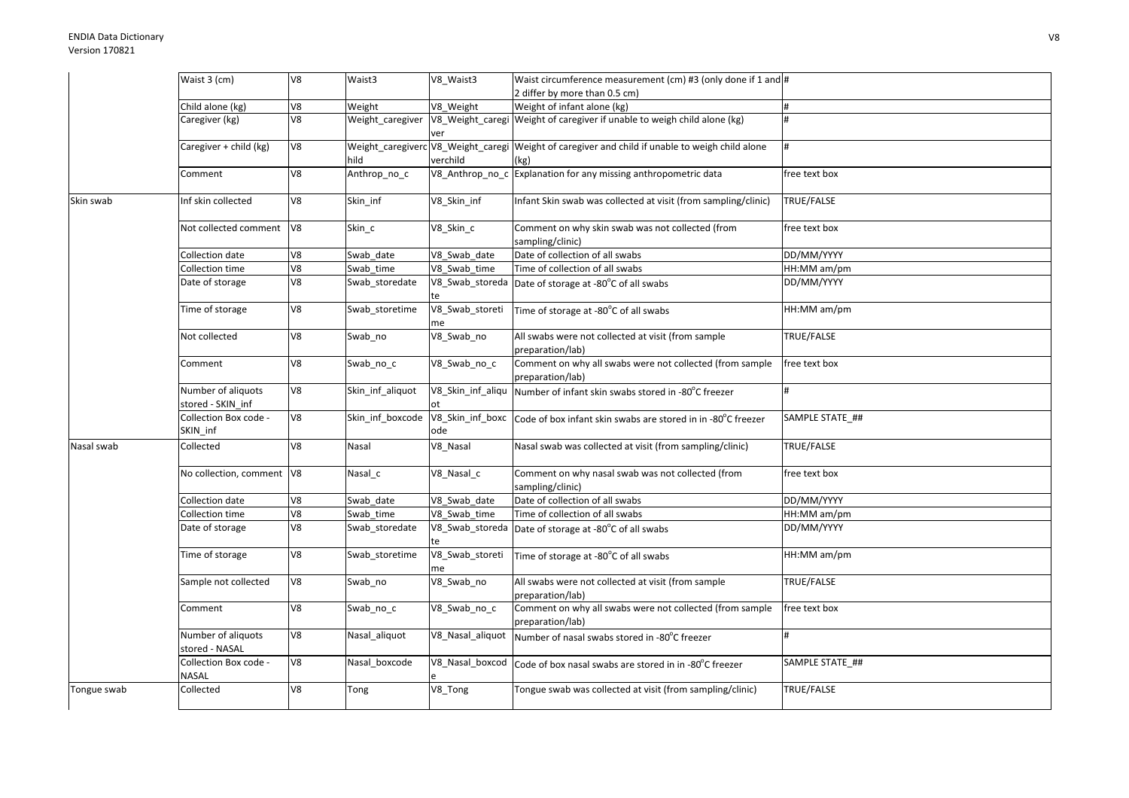|             | Waist 3 (cm)                            | V8 | Waist3           | V8 Waist3               | Waist circumference measurement (cm) #3 (only done if 1 and #                                           |                 |
|-------------|-----------------------------------------|----|------------------|-------------------------|---------------------------------------------------------------------------------------------------------|-----------------|
|             |                                         |    |                  |                         | 2 differ by more than 0.5 cm)                                                                           |                 |
|             | Child alone (kg)                        | V8 | Weight           | V8 Weight               | Weight of infant alone (kg)                                                                             | #               |
|             | Caregiver (kg)                          | V8 | Weight_caregiver | ver                     | V8_Weight_caregi Weight of caregiver if unable to weigh child alone (kg)                                |                 |
|             | Caregiver + child (kg)                  | V8 | hild             | verchild                | Weight_caregiverc V8_Weight_caregi Weight of caregiver and child if unable to weigh child alone<br>(kg) |                 |
|             | Comment                                 | V8 | Anthrop_no_c     |                         | V8_Anthrop_no_c Explanation for any missing anthropometric data                                         | free text box   |
| Skin swab   | Inf skin collected                      | V8 | Skin inf         | V8 Skin inf             | nfant Skin swab was collected at visit (from sampling/clinic)                                           | TRUE/FALSE      |
|             | Not collected comment V8                |    | Skin c           | V8_Skin_c               | Comment on why skin swab was not collected (from<br>sampling/clinic)                                    | free text box   |
|             | Collection date                         | V8 | Swab date        | V8_Swab_date            | Date of collection of all swabs                                                                         | DD/MM/YYYY      |
|             | Collection time                         | V8 | Swab time        | V8 Swab time            | Time of collection of all swabs                                                                         | HH:MM am/pm     |
|             | Date of storage                         | V8 | Swab_storedate   | te                      | V8_Swab_storeda Date of storage at -80°C of all swabs                                                   | DD/MM/YYYY      |
|             | Time of storage                         | V8 | Swab_storetime   | V8_Swab_storeti<br>me   | Time of storage at -80°C of all swabs                                                                   | HH:MM am/pm     |
|             | Not collected                           | V8 | Swab_no          | V8_Swab_no              | All swabs were not collected at visit (from sample<br>preparation/lab)                                  | TRUE/FALSE      |
|             | Comment                                 | V8 | Swab_no_c        | V8_Swab_no_c            | Comment on why all swabs were not collected (from sample<br>preparation/lab)                            | free text box   |
|             | Number of aliquots<br>stored - SKIN_inf | V8 | Skin_inf_aliquot | V8_Skin_inf_aliqu       | Number of infant skin swabs stored in -80°C freezer                                                     |                 |
|             | Collection Box code -<br>SKIN_inf       | V8 | Skin_inf_boxcode | V8_Skin_inf_boxc<br>ode | Code of box infant skin swabs are stored in in -80°C freezer                                            | SAMPLE STATE ## |
| Nasal swab  | Collected                               | V8 | Nasal            | V8_Nasal                | Nasal swab was collected at visit (from sampling/clinic)                                                | TRUE/FALSE      |
|             | No collection, comment V8               |    | Nasal_c          | V8_Nasal_c              | Comment on why nasal swab was not collected (from<br>sampling/clinic)                                   | free text box   |
|             | Collection date                         | V8 | Swab date        | V8 Swab date            | Date of collection of all swabs                                                                         | DD/MM/YYYY      |
|             | Collection time                         | V8 | Swab time        | V8 Swab time            | Time of collection of all swabs                                                                         | HH:MM am/pm     |
|             | Date of storage                         | V8 | Swab_storedate   |                         | V8_Swab_storeda Date of storage at -80°C of all swabs                                                   | DD/MM/YYYY      |
|             | Time of storage                         | V8 | Swab storetime   | V8_Swab_storeti<br>me   | Time of storage at -80°C of all swabs                                                                   | HH:MM am/pm     |
|             | Sample not collected                    | V8 | Swab_no          | V8_Swab_no              | All swabs were not collected at visit (from sample<br>preparation/lab)                                  | TRUE/FALSE      |
|             | Comment                                 | V8 | Swab_no_c        | V8_Swab_no_c            | Comment on why all swabs were not collected (from sample<br>preparation/lab)                            | free text box   |
|             | Number of aliquots<br>stored - NASAL    | V8 | Nasal aliquot    | V8 Nasal aliquot        | Number of nasal swabs stored in -80°C freezer                                                           |                 |
|             | Collection Box code -<br><b>NASAL</b>   | V8 | Nasal_boxcode    |                         | V8_Nasal_boxcod Code of box nasal swabs are stored in in -80°C freezer                                  | SAMPLE STATE_## |
| Tongue swab | Collected                               | V8 | Tong             | V8_Tong                 | Tongue swab was collected at visit (from sampling/clinic)                                               | TRUE/FALSE      |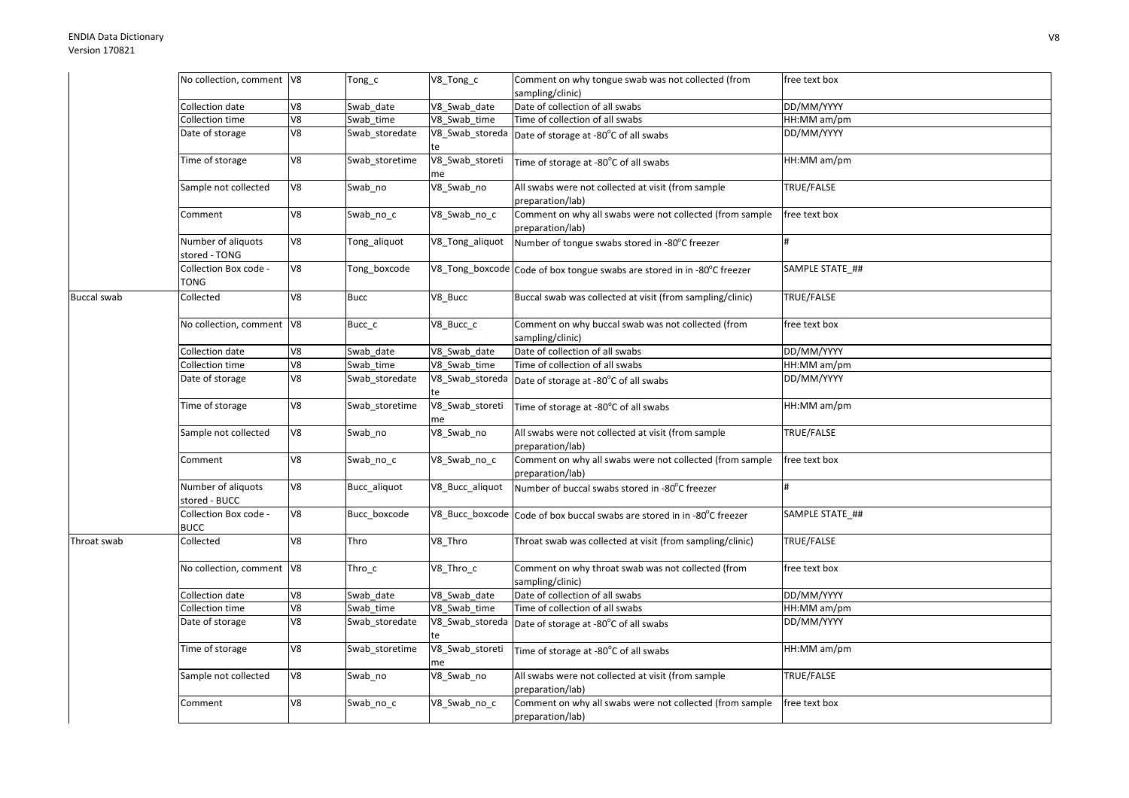## ENDIA Data DictionaryVersion 170821

|                    | No collection, comment V8           |                | Tong_c         | V8_Tong_c             | Comment on why tongue swab was not collected (from                           | free text box     |
|--------------------|-------------------------------------|----------------|----------------|-----------------------|------------------------------------------------------------------------------|-------------------|
|                    |                                     |                |                |                       | sampling/clinic)                                                             |                   |
|                    | Collection date                     | V <sub>8</sub> | Swab date      | V8_Swab_date          | Date of collection of all swabs                                              | DD/MM/YYYY        |
|                    | Collection time                     | V8             | Swab time      | V8 Swab time          | Time of collection of all swabs                                              | HH:MM am/pm       |
|                    | Date of storage                     | V8             | Swab_storedate | V8_Swab_storeda<br>te | Date of storage at -80°C of all swabs                                        | DD/MM/YYYY        |
|                    | Time of storage                     | V8             | Swab storetime | V8_Swab_storeti<br>me | Time of storage at -80°C of all swabs                                        | HH:MM am/pm       |
|                    | Sample not collected                | V8             | Swab_no        | V8_Swab_no            | All swabs were not collected at visit (from sample<br>preparation/lab)       | TRUE/FALSE        |
|                    | Comment                             | V8             | Swab_no_c      | V8_Swab_no_c          | Comment on why all swabs were not collected (from sample<br>preparation/lab) | free text box     |
|                    | Number of aliquots<br>stored - TONG | V8             | Tong_aliquot   | V8_Tong_aliquot       | Number of tongue swabs stored in -80°C freezer                               | #                 |
|                    | Collection Box code -<br>TONG       | V8             | Tong_boxcode   |                       | V8_Tong_boxcode Code of box tongue swabs are stored in in -80°C freezer      | SAMPLE STATE_##   |
| <b>Buccal swab</b> | Collected                           | V8             | <b>Bucc</b>    | V8_Bucc               | Buccal swab was collected at visit (from sampling/clinic)                    | TRUE/FALSE        |
|                    | No collection, comment V8           |                | Bucc_c         | V8_Bucc_c             | Comment on why buccal swab was not collected (from<br>sampling/clinic)       | free text box     |
|                    | Collection date                     | V8             | Swab date      | V8 Swab date          | Date of collection of all swabs                                              | DD/MM/YYYY        |
|                    | <b>Collection time</b>              | V8             | Swab_time      | V8_Swab_time          | Time of collection of all swabs                                              | HH:MM am/pm       |
|                    | Date of storage                     | V8             | Swab_storedate | V8_Swab_storeda       | Date of storage at -80°C of all swabs                                        | DD/MM/YYYY        |
|                    | Time of storage                     | V8             | Swab_storetime | V8_Swab_storeti<br>me | Time of storage at -80°C of all swabs                                        | HH:MM am/pm       |
|                    | Sample not collected                | V8             | Swab_no        | V8_Swab_no            | All swabs were not collected at visit (from sample<br>preparation/lab)       | <b>TRUE/FALSE</b> |
|                    | Comment                             | V8             | Swab_no_c      | V8_Swab_no_c          | Comment on why all swabs were not collected (from sample<br>preparation/lab) | free text box     |
|                    | Number of aliquots<br>stored - BUCC | V8             | Bucc aliquot   | V8_Bucc_aliquot       | Number of buccal swabs stored in -80°C freezer                               |                   |
|                    | Collection Box code -<br>BUCC       | V8             | Bucc_boxcode   | V8_Bucc_boxcode       | Code of box buccal swabs are stored in in -80°C freezer                      | SAMPLE STATE ##   |
| Throat swab        | Collected                           | V8             | Thro           | V8_Thro               | Throat swab was collected at visit (from sampling/clinic)                    | TRUE/FALSE        |
|                    | No collection, comment V8           |                | $Thro_c$       | V8_Thro_c             | Comment on why throat swab was not collected (from<br>sampling/clinic)       | free text box     |
|                    | Collection date                     | V8             | Swab date      | V8_Swab_date          | Date of collection of all swabs                                              | DD/MM/YYYY        |
|                    | Collection time                     | V8             | Swab time      | V8 Swab time          | Time of collection of all swabs                                              | HH:MM am/pm       |
|                    | Date of storage                     | V8             | Swab_storedate | V8_Swab_storeda<br>te | Date of storage at -80°C of all swabs                                        | DD/MM/YYYY        |
|                    | Time of storage                     | V8             | Swab storetime | V8_Swab_storeti<br>me | Time of storage at -80°C of all swabs                                        | HH:MM am/pm       |
|                    | Sample not collected                | V8             | Swab_no        | V8_Swab_no            | All swabs were not collected at visit (from sample<br>preparation/lab)       | TRUE/FALSE        |
|                    | Comment                             | V8             | Swab_no_c      | V8_Swab_no_c          | Comment on why all swabs were not collected (from sample<br>preparation/lab) | free text box     |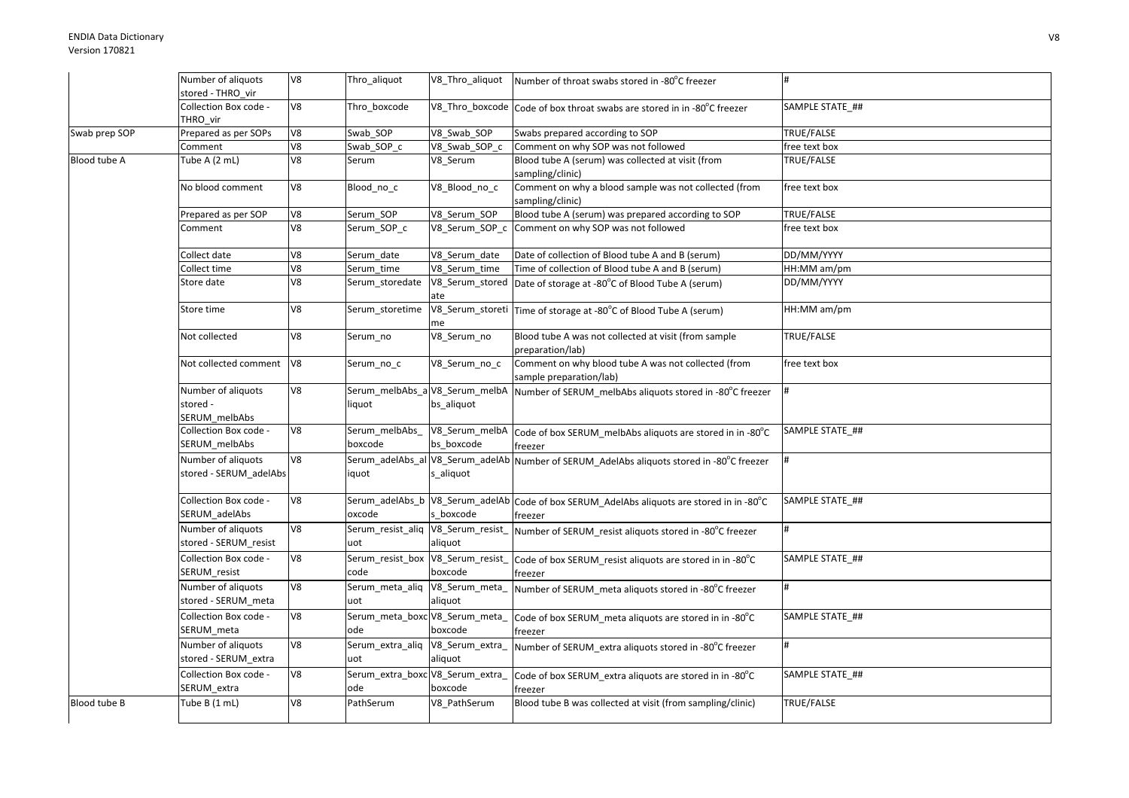|               | Number of aliquots<br>stored - THRO vir         | V8             | Thro_aliquot                             | V8_Thro_aliquot                               | Number of throat swabs stored in -80°C freezer                                                       |                 |
|---------------|-------------------------------------------------|----------------|------------------------------------------|-----------------------------------------------|------------------------------------------------------------------------------------------------------|-----------------|
|               | Collection Box code -<br>THRO vir               | V8             | Thro boxcode                             |                                               | V8_Thro_boxcode Code of box throat swabs are stored in in -80°C freezer                              | SAMPLE STATE ## |
| Swab prep SOP | Prepared as per SOPs                            | V8             | Swab SOP                                 | V8_Swab_SOP                                   | Swabs prepared according to SOP                                                                      | TRUE/FALSE      |
|               | Comment                                         | V8             | Swab SOP c                               | V8 Swab SOP c                                 | Comment on why SOP was not followed                                                                  | free text box   |
| Blood tube A  | Tube A (2 mL)                                   | V8             | Serum                                    | V8_Serum                                      | Blood tube A (serum) was collected at visit (from<br>sampling/clinic)                                | TRUE/FALSE      |
|               | No blood comment                                | V8             | Blood_no_c                               | V8_Blood_no_c                                 | Comment on why a blood sample was not collected (from<br>sampling/clinic)                            | free text box   |
|               | Prepared as per SOP                             | ${\tt V8}$     | Serum SOP                                | V8 Serum SOP                                  | Blood tube A (serum) was prepared according to SOP                                                   | TRUE/FALSE      |
|               | Comment                                         | V8             | Serum_SOP_c                              |                                               | V8_Serum_SOP_c Comment on why SOP was not followed                                                   | free text box   |
|               | Collect date                                    | V8             | Serum_date                               | V8_Serum_date                                 | Date of collection of Blood tube A and B (serum)                                                     | DD/MM/YYYY      |
|               | Collect time                                    | V8             | Serum time                               | V8 Serum time                                 | Time of collection of Blood tube A and B (serum)                                                     | HH:MM am/pm     |
|               | Store date                                      | V8             | Serum_storedate                          | ate                                           | V8_Serum_stored Date of storage at -80°C of Blood Tube A (serum)                                     | DD/MM/YYYY      |
|               | Store time                                      | V8             | Serum storetime                          | me                                            | V8_Serum_storeti Time of storage at -80°C of Blood Tube A (serum)                                    | HH:MM am/pm     |
|               | Not collected                                   | V8             | Serum_no                                 | V8_Serum_no                                   | Blood tube A was not collected at visit (from sample<br>preparation/lab)                             | TRUE/FALSE      |
|               | Not collected comment                           | V <sub>8</sub> | Serum_no_c                               | V8_Serum_no_c                                 | Comment on why blood tube A was not collected (from<br>sample preparation/lab)                       | free text box   |
|               | Number of aliquots<br>stored -<br>SERUM_melbAbs | V8             | Serum_melbAbs_a V8_Serum_melbA<br>liquot | bs_aliquot                                    | Number of SERUM_melbAbs aliquots stored in -80°C freezer                                             |                 |
|               | Collection Box code -<br>SERUM_melbAbs          | V8             | Serum_melbAbs<br>boxcode                 | V8 Serum melbA<br>bs boxcode                  | Code of box SERUM_melbAbs aliquots are stored in in -80°C<br>freezer                                 | SAMPLE STATE ## |
|               | Number of aliquots<br>stored - SERUM_adelAbs    | V8             | iquot                                    | Serum_adelAbs_al V8_Serum_adelAb<br>s_aliquot | Number of SERUM AdelAbs aliquots stored in -80°C freezer                                             |                 |
|               | Collection Box code -<br>SERUM adelAbs          | V8             | oxcode                                   | s boxcode                                     | Serum_adelAbs_b V8_Serum_adelAb Code of box SERUM_AdelAbs aliquots are stored in in -80°C<br>freezer | SAMPLE STATE ## |
|               | Number of aliquots<br>stored - SERUM_resist     | V8             | Serum_resist_aliq<br>uot                 | V8_Serum_resist_<br>aliquot                   | Number of SERUM_resist aliquots stored in -80°C freezer                                              | #               |
|               | Collection Box code -<br>SERUM resist           | V8             | Serum_resist_box<br>code                 | V8_Serum_resist_<br>boxcode                   | Code of box SERUM_resist aliquots are stored in in -80°C<br>freezer                                  | SAMPLE STATE ## |
|               | Number of aliquots<br>stored - SERUM_meta       | 8V             | Serum_meta_aliq V8_Serum_meta_<br>uot    | aliquot                                       | Number of SERUM_meta aliquots stored in -80°C freezer                                                |                 |
|               | Collection Box code -<br>SERUM_meta             | V8             | Serum_meta_boxc V8_Serum_meta_<br>ode    | boxcode                                       | Code of box SERUM_meta aliquots are stored in in -80°C<br>freezer                                    | SAMPLE STATE_## |
|               | Number of aliquots<br>stored - SERUM extra      | V8             | Serum_extra_aliq<br>uot                  | V8_Serum_extra_<br>aliquot                    | Number of SERUM_extra aliquots stored in -80°C freezer                                               | #               |
|               | Collection Box code -<br>SERUM_extra            | ${\tt V8}$     | Serum_extra_boxc V8_Serum_extra_<br>ode  | boxcode                                       | Code of box SERUM_extra aliquots are stored in in -80°C<br>freezer                                   | SAMPLE STATE ## |
| Blood tube B  | Tube B (1 mL)                                   | V8             | PathSerum                                | V8_PathSerum                                  | Blood tube B was collected at visit (from sampling/clinic)                                           | TRUE/FALSE      |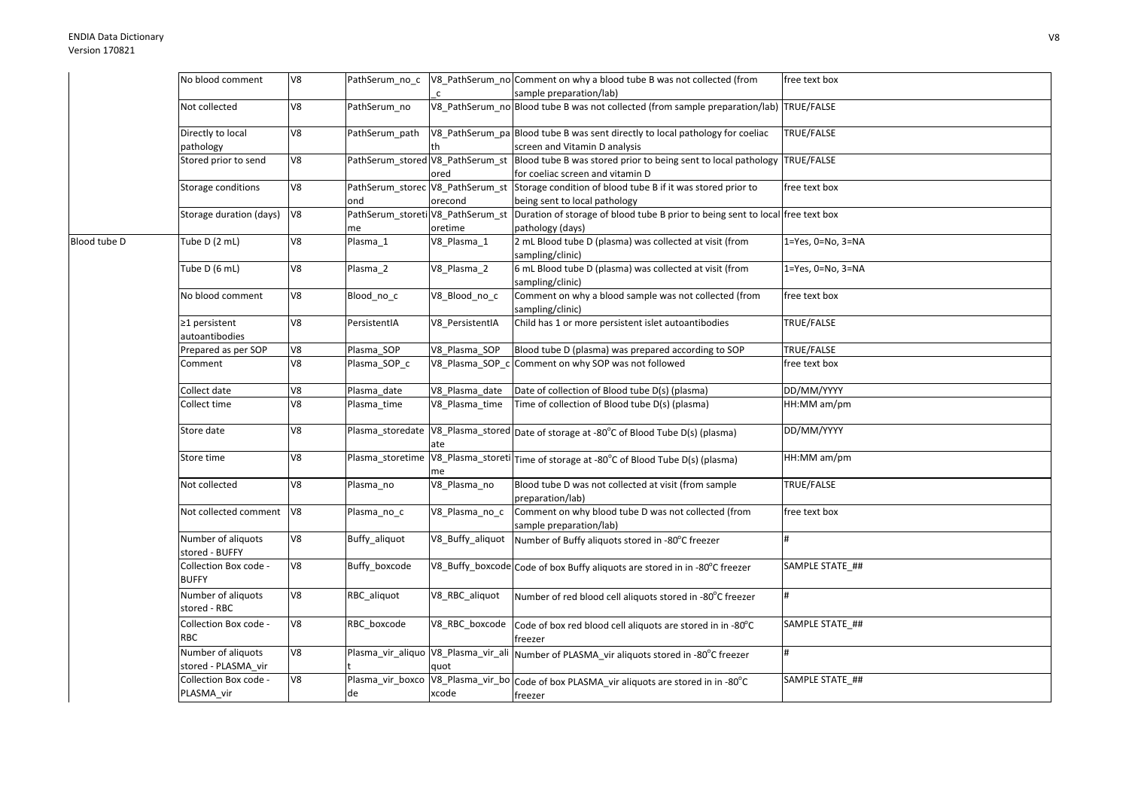|              | No blood comment                          | V8 | PathSerum_no_c                          |                  | V8_PathSerum_no Comment on why a blood tube B was not collected (from                                   | free text box     |
|--------------|-------------------------------------------|----|-----------------------------------------|------------------|---------------------------------------------------------------------------------------------------------|-------------------|
|              |                                           |    |                                         | $\mathsf{C}$     | sample preparation/lab)                                                                                 |                   |
|              | Not collected                             | V8 | PathSerum no                            |                  | V8_PathSerum_no Blood tube B was not collected (from sample preparation/lab) TRUE/FALSE                 |                   |
|              | Directly to local                         | V8 | PathSerum path                          |                  | V8_PathSerum_pa Blood tube B was sent directly to local pathology for coeliac                           | TRUE/FALSE        |
|              | pathology                                 |    |                                         |                  | screen and Vitamin D analysis                                                                           |                   |
|              | Stored prior to send                      | V8 | PathSerum_stored V8_PathSerum_st        | ored             | Blood tube B was stored prior to being sent to local pathology<br>for coeliac screen and vitamin D      | TRUE/FALSE        |
|              | Storage conditions                        | V8 | PathSerum_storec V8_PathSerum_st<br>ond | orecond          | Storage condition of blood tube B if it was stored prior to<br>being sent to local pathology            | free text box     |
|              | Storage duration (days)                   | V8 | PathSerum_storeti V8_PathSerum_st<br>me | oretime          | Duration of storage of blood tube B prior to being sent to local free text box<br>pathology (days)      |                   |
| Blood tube D | Tube D (2 mL)                             | V8 | Plasma 1                                | V8_Plasma_1      | 2 mL Blood tube D (plasma) was collected at visit (from<br>sampling/clinic)                             | 1=Yes, 0=No, 3=NA |
|              | Tube D (6 mL)                             | V8 | Plasma 2                                | V8_Plasma_2      | 6 mL Blood tube D (plasma) was collected at visit (from<br>sampling/clinic)                             | 1=Yes, 0=No, 3=NA |
|              | No blood comment                          | V8 | Blood_no_c                              | V8_Blood_no_c    | Comment on why a blood sample was not collected (from<br>sampling/clinic)                               | free text box     |
|              | ≥1 persistent<br>autoantibodies           | V8 | PersistentIA                            | V8 PersistentIA  | Child has 1 or more persistent islet autoantibodies                                                     | TRUE/FALSE        |
|              | Prepared as per SOP                       | V8 | Plasma SOP                              | V8_Plasma_SOP    | Blood tube D (plasma) was prepared according to SOP                                                     | TRUE/FALSE        |
|              | Comment                                   | V8 | Plasma_SOP_c                            | V8_Plasma_SOP_c  | Comment on why SOP was not followed                                                                     | free text box     |
|              | Collect date                              | V8 | Plasma date                             | V8_Plasma_date   | Date of collection of Blood tube D(s) (plasma)                                                          | DD/MM/YYYY        |
|              | Collect time                              | V8 | Plasma_time                             | V8 Plasma time   | Time of collection of Blood tube D(s) (plasma)                                                          | HH:MM am/pm       |
|              | Store date                                | V8 | Plasma_storedate                        | ate              | V8_Plasma_stored Date of storage at -80°C of Blood Tube D(s) (plasma)                                   | DD/MM/YYYY        |
|              | Store time                                | V8 |                                         | me               | Plasma_storetime V8_Plasma_storeti Time of storage at -80°C of Blood Tube D(s) (plasma)                 | HH:MM am/pm       |
|              | Not collected                             | V8 | Plasma_no                               | V8_Plasma_no     | Blood tube D was not collected at visit (from sample<br>preparation/lab)                                | TRUE/FALSE        |
|              | Not collected comment                     | V8 | Plasma_no_c                             | V8 Plasma no c   | Comment on why blood tube D was not collected (from<br>sample preparation/lab)                          | free text box     |
|              | Number of aliquots<br>stored - BUFFY      | V8 | Buffy_aliquot                           | V8_Buffy_aliquot | Number of Buffy aliquots stored in -80°C freezer                                                        | #                 |
|              | Collection Box code -<br><b>BUFFY</b>     | V8 | Buffy_boxcode                           |                  | V8_Buffy_boxcode Code of box Buffy aliquots are stored in in -80°C freezer                              | SAMPLE STATE ##   |
|              | Number of aliquots<br>stored - RBC        | V8 | RBC aliquot                             | V8_RBC_aliquot   | Number of red blood cell aliquots stored in -80°C freezer                                               |                   |
|              | Collection Box code -<br><b>RBC</b>       | V8 | RBC boxcode                             | V8_RBC_boxcode   | Code of box red blood cell aliquots are stored in in -80°C<br>freezer                                   | SAMPLE STATE ##   |
|              | Number of aliquots<br>stored - PLASMA_vir | V8 |                                         | quot             | Plasma_vir_aliquo V8_Plasma_vir_ali Number of PLASMA_vir aliquots stored in -80°C freezer               |                   |
|              | Collection Box code -<br>PLASMA_vir       | V8 | de                                      | xcode            | Plasma_vir_boxco   V8_Plasma_vir_bo   Code of box PLASMA_vir aliquots are stored in in -80°C<br>freezer | SAMPLE STATE_##   |
|              |                                           |    |                                         |                  |                                                                                                         |                   |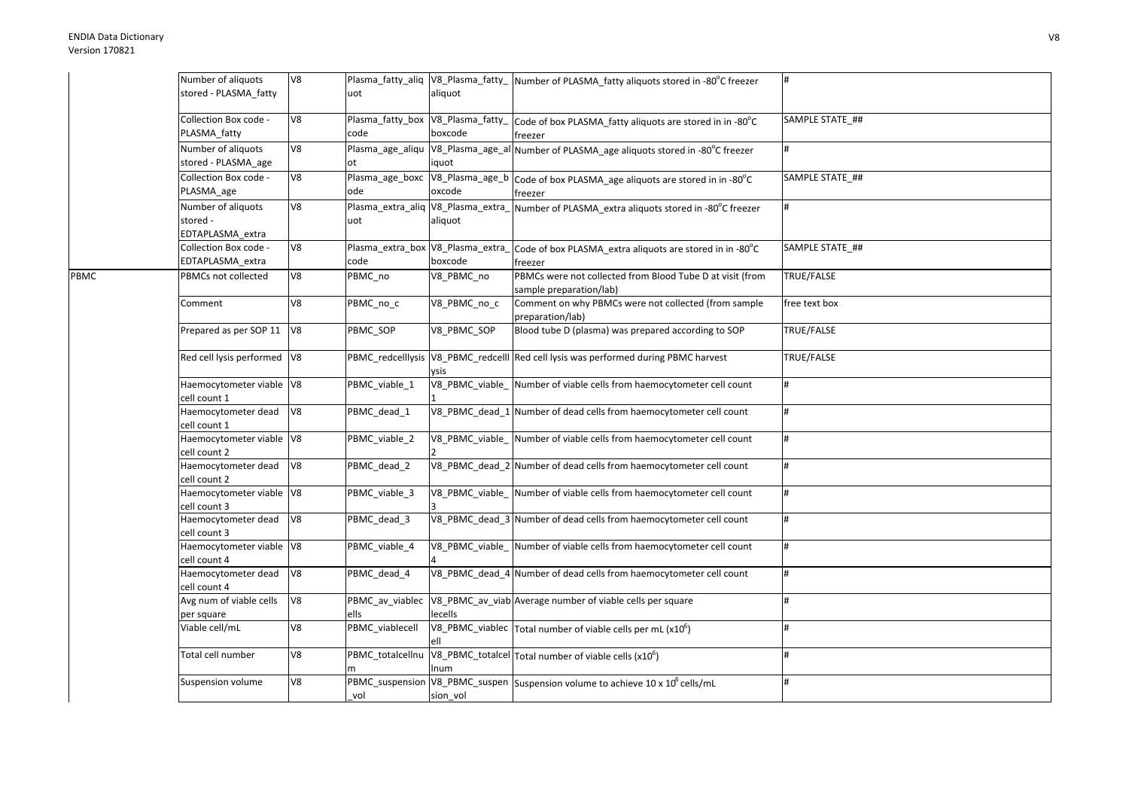PBMC

| Number of aliquots<br>stored - PLASMA fatty        | V8 | uot                                       | aliquot                             | Plasma_fatty_aliq  V8_Plasma_fatty_  Number of PLASMA_fatty aliquots stored in -80°C freezer |                 |
|----------------------------------------------------|----|-------------------------------------------|-------------------------------------|----------------------------------------------------------------------------------------------|-----------------|
| Collection Box code -<br>PLASMA fatty              | V8 | Plasma_fatty_box V8_Plasma_fatty_<br>code | boxcode                             | Code of box PLASMA fatty aliquots are stored in in -80°C<br>freezer                          | SAMPLE STATE_## |
| Number of aliquots<br>stored - PLASMA_age          | V8 | Plasma_age_aliqu V8_Plasma_age_al<br>ot   | iquot                               | Number of PLASMA_age aliquots stored in -80°C freezer                                        |                 |
| Collection Box code -<br>PLASMA_age                | V8 | Plasma_age_boxc<br>ode                    | V8_Plasma_age_b<br>oxcode           | Code of box PLASMA_age aliquots are stored in in -80°C<br>freezer                            | SAMPLE STATE ## |
| Number of aliquots<br>stored -<br>EDTAPLASMA extra | V8 | Plasma_extra_aliq V8_Plasma_extra_<br>uot | aliquot                             | Number of PLASMA_extra aliquots stored in -80°C freezer                                      |                 |
| Collection Box code -<br>EDTAPLASMA_extra          | V8 | Plasma_extra_box V8_Plasma_extra_<br>code | boxcode                             | Code of box PLASMA_extra aliquots are stored in in -80°C<br>freezer                          | SAMPLE STATE ## |
| PBMCs not collected                                | V8 | PBMC_no                                   | V8 PBMC no                          | PBMCs were not collected from Blood Tube D at visit (from<br>sample preparation/lab)         | TRUE/FALSE      |
| Comment                                            | V8 | PBMC_no_c                                 | V8_PBMC_no_c                        | Comment on why PBMCs were not collected (from sample<br>preparation/lab)                     | free text box   |
| Prepared as per SOP 11                             | V8 | PBMC SOP                                  | V8 PBMC SOP                         | Blood tube D (plasma) was prepared according to SOP                                          | TRUE/FALSE      |
| Red cell lysis performed   V8                      |    |                                           | ysis                                | PBMC_redcelllysis V8_PBMC_redcelll Red cell lysis was performed during PBMC harvest          | TRUE/FALSE      |
| Haemocytometer viable V8<br>cell count 1           |    | PBMC_viable_1                             | V8_PBMC_viable_                     | Number of viable cells from haemocytometer cell count                                        |                 |
| Haemocytometer dead<br>cell count 1                | V8 | PBMC_dead_1                               | V8_PBMC_dead_1                      | Number of dead cells from haemocytometer cell count                                          | #               |
| Haemocytometer viable V8<br>cell count 2           |    | PBMC viable 2                             | V8 PBMC viable                      | Number of viable cells from haemocytometer cell count                                        | #               |
| Haemocytometer dead<br>cell count 2                | V8 | PBMC dead 2                               |                                     | V8 PBMC dead 2 Number of dead cells from haemocytometer cell count                           |                 |
| Haemocytometer viable V8<br>cell count 3           |    | PBMC viable 3                             |                                     | V8_PBMC_viable_ Number of viable cells from haemocytometer cell count                        |                 |
| Haemocytometer dead<br>cell count 3                | V8 | PBMC_dead_3                               |                                     | V8_PBMC_dead_3 Number of dead cells from haemocytometer cell count                           |                 |
| Haemocytometer viable V8<br>cell count 4           |    | PBMC_viable_4                             | $\overline{\text{V8}}$ PBMC_viable_ | Number of viable cells from haemocytometer cell count                                        | #               |
| Haemocytometer dead<br>cell count 4                | V8 | PBMC dead 4                               |                                     | V8 PBMC dead 4 Number of dead cells from haemocytometer cell count                           | #               |
| Avg num of viable cells<br>per square              | V8 | PBMC_av_viablec<br>ells                   | lecells                             | V8_PBMC_av_viab Average number of viable cells per square                                    |                 |
| Viable cell/mL                                     | V8 | PBMC viablecell                           |                                     | V8_PBMC_viablec Total number of viable cells per mL (x10 <sup>6</sup> )                      |                 |
| Total cell number                                  | V8 | PBMC_totalcellnu                          | Inum                                | $V8_P$ BMC_totalcel Total number of viable cells (x10 <sup>6</sup> )                         |                 |
| Suspension volume                                  | V8 | vol                                       | sion vol                            | PBMC_suspension V8_PBMC_suspen Suspension volume to achieve 10 x 10 <sup>6</sup> cells/mL    |                 |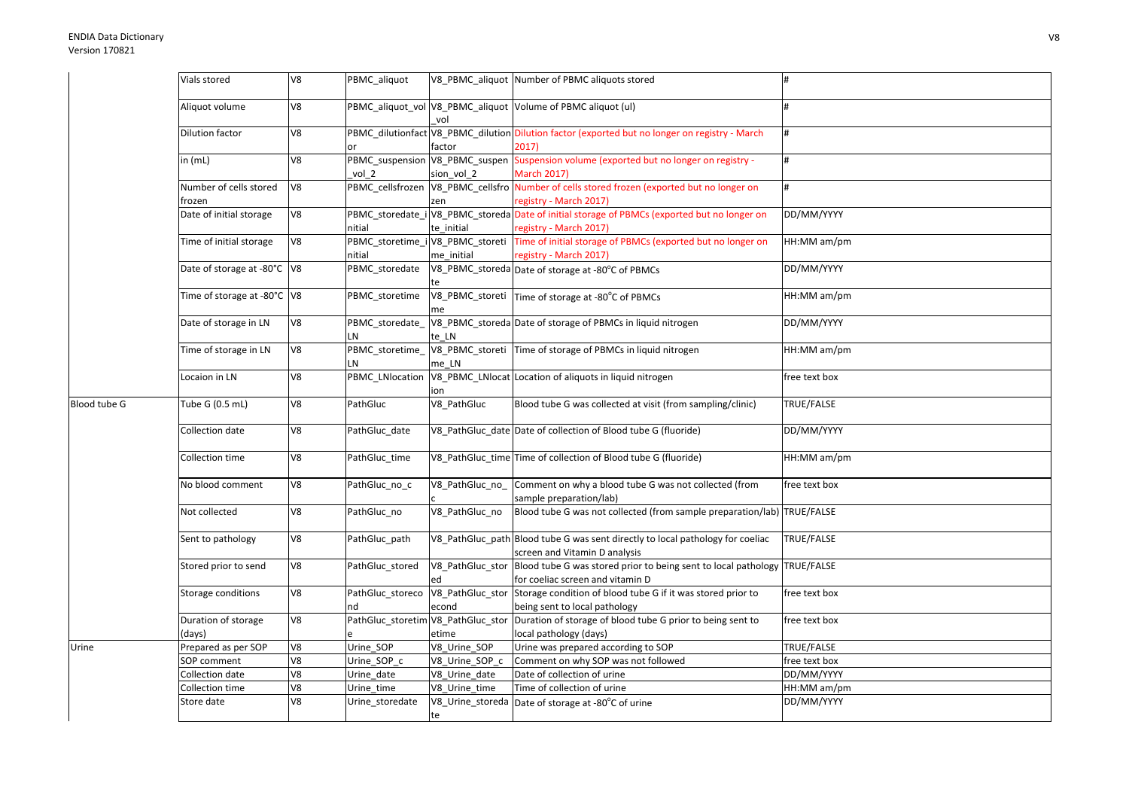|              | Vials stored                     | V8             | PBMC_aliquot                               |                           | V8 PBMC aliquot Number of PBMC aliquots stored                                                                        |               |
|--------------|----------------------------------|----------------|--------------------------------------------|---------------------------|-----------------------------------------------------------------------------------------------------------------------|---------------|
|              | Aliquot volume                   | V8             |                                            | vol                       | PBMC_aliquot_vol V8_PBMC_aliquot Volume of PBMC aliquot (ul)                                                          |               |
|              | <b>Dilution factor</b>           | V <sub>8</sub> | or                                         | factor                    | PBMC_dilutionfact V8_PBMC_dilution Dilution factor (exported but no longer on registry - March<br>2017                | #             |
|              | in $(mL)$                        | V8             | vol 2                                      | sion vol 2                | PBMC_suspension V8_PBMC_suspen Suspension volume (exported but no longer on registry -<br><b>March 2017)</b>          | #             |
|              | Number of cells stored<br>frozen | V8             |                                            | zen                       | PBMC_cellsfrozen V8_PBMC_cellsfro Number of cells stored frozen (exported but no longer on<br>registry - March 2017)  |               |
|              | Date of initial storage          | V8             | nitial                                     | te initial                | PBMC_storedate_iV8_PBMC_storeda Date of initial storage of PBMCs (exported but no longer on<br>registry - March 2017) | DD/MM/YYYY    |
|              | Time of initial storage          | V8             | PBMC_storetime_i V8_PBMC_storeti<br>nitial | me_initial                | Time of initial storage of PBMCs (exported but no longer on<br>registry - March 2017)                                 | HH:MM am/pm   |
|              | Date of storage at -80°C   V8    |                | PBMC_storedate                             |                           | V8_PBMC_storeda Date of storage at -80°C of PBMCs                                                                     | DD/MM/YYYY    |
|              | Time of storage at -80°C V8      |                | PBMC storetime                             | me                        | V8_PBMC_storeti Time of storage at -80°C of PBMCs                                                                     | HH:MM am/pm   |
|              | Date of storage in LN            | V8             | LN                                         | te LN                     | PBMC_storedate_ V8_PBMC_storeda Date of storage of PBMCs in liquid nitrogen                                           | DD/MM/YYYY    |
|              | Time of storage in LN            | V8             | PBMC storetime<br>LN                       | me LN                     | V8_PBMC_storeti Time of storage of PBMCs in liquid nitrogen                                                           | HH:MM am/pm   |
|              | Locaion in LN                    | V8             | PBMC_LNlocation                            | ion                       | V8_PBMC_LNlocat Location of aliquots in liquid nitrogen                                                               | free text box |
| Blood tube G | Tube G (0.5 mL)                  | V8             | PathGluc                                   | V8 PathGluc               | Blood tube G was collected at visit (from sampling/clinic)                                                            | TRUE/FALSE    |
|              | Collection date                  | V8             | PathGluc_date                              |                           | V8_PathGluc_date Date of collection of Blood tube G (fluoride)                                                        | DD/MM/YYYY    |
|              | Collection time                  | V8             | PathGluc_time                              |                           | V8_PathGluc_time Time of collection of Blood tube G (fluoride)                                                        | HH:MM am/pm   |
|              | No blood comment                 | V8             | PathGluc_no_c                              | V8_PathGluc_no_           | Comment on why a blood tube G was not collected (from<br>sample preparation/lab)                                      | free text box |
|              | Not collected                    | V <sub>8</sub> | PathGluc_no                                | V8 PathGluc no            | Blood tube G was not collected (from sample preparation/lab) TRUE/FALSE                                               |               |
|              | Sent to pathology                | V8             | PathGluc path                              |                           | V8_PathGluc_path Blood tube G was sent directly to local pathology for coeliac<br>screen and Vitamin D analysis       | TRUE/FALSE    |
|              | Stored prior to send             | V8             | PathGluc_stored                            | V8_PathGluc_stor<br>ed    | Blood tube G was stored prior to being sent to local pathology TRUE/FALSE<br>for coeliac screen and vitamin D         |               |
|              | Storage conditions               | V8             | PathGluc storeco<br>nd                     | V8_PathGluc_stor<br>econd | Storage condition of blood tube G if it was stored prior to<br>being sent to local pathology                          | free text box |
|              | Duration of storage<br>(days)    | V8             | PathGluc_storetim V8_PathGluc_stor         | etime                     | Duration of storage of blood tube G prior to being sent to<br>local pathology (days)                                  | free text box |
| Urine        | Prepared as per SOP              | V8             | Urine_SOP                                  | V8_Urine_SOP              | Urine was prepared according to SOP                                                                                   | TRUE/FALSE    |
|              | SOP comment                      | 8 <sup>0</sup> | Urine_SOP_c                                | V8_Urine_SOP_c            | Comment on why SOP was not followed                                                                                   | free text box |
|              | Collection date                  | V <sub>8</sub> | Urine date                                 | V8_Urine_date             | Date of collection of urine                                                                                           | DD/MM/YYYY    |
|              | Collection time                  | 8 <sup>0</sup> | Urine time                                 | V8 Urine time             | Time of collection of urine                                                                                           | HH:MM am/pm   |
|              | Store date                       | V8             | Urine_storedate                            | te                        | V8_Urine_storeda Date of storage at -80°C of urine                                                                    | DD/MM/YYYY    |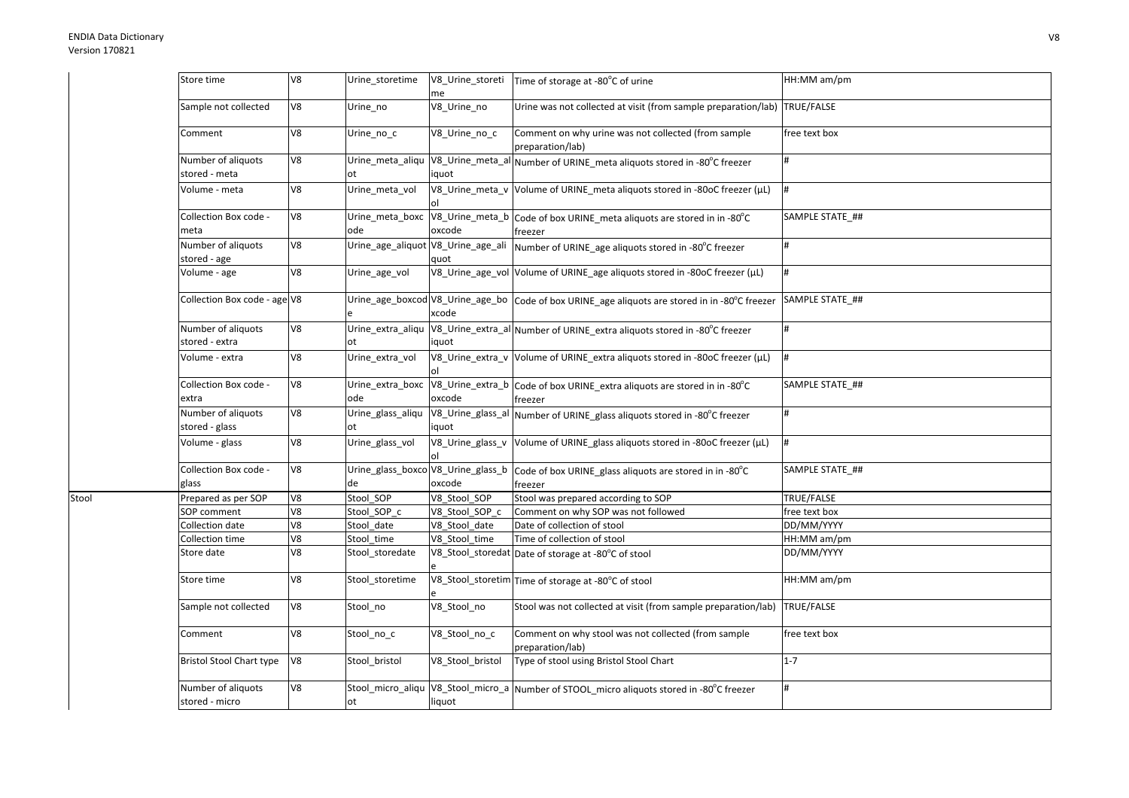Stool

| Store time                           | V8 | Urine_storetime          | V8_Urine_storeti<br>me    | Time of storage at -80°C of urine                                                                       | HH:MM am/pm     |
|--------------------------------------|----|--------------------------|---------------------------|---------------------------------------------------------------------------------------------------------|-----------------|
| Sample not collected                 | V8 | Urine_no                 | V8_Urine_no               | Urine was not collected at visit (from sample preparation/lab) TRUE/FALSE                               |                 |
| Comment                              | V8 | Urine_no_c               | V8_Urine_no_c             | Comment on why urine was not collected (from sample<br>preparation/lab)                                 | free text box   |
| Number of aliquots<br>stored - meta  | V8 | Urine_meta_aliqu<br>lot. | V8_Urine_meta_al<br>iquot | Number of URINE_meta aliquots stored in -80°C freezer                                                   | #               |
| Volume - meta                        | V8 | Urine_meta_vol           |                           | V8_Urine_meta_v Volume of URINE_meta aliquots stored in -80oC freezer (µL)                              | #               |
| Collection Box code -<br>meta        | V8 | Urine_meta_boxc<br>ode   | oxcode                    | V8_Urine_meta_b Code of box URINE_meta aliquots are stored in in -80°C<br>freezer                       | SAMPLE STATE ## |
| Number of aliquots<br>stored - age   | V8 | Urine_age_aliquot        | V8_Urine_age_ali<br>auot  | Number of URINE_age aliquots stored in -80°C freezer                                                    | #               |
| Volume - age                         | V8 | Urine_age_vol            |                           | V8_Urine_age_vol Volume of URINE_age aliquots stored in -80oC freezer (µL)                              | #               |
| Collection Box code - age V8         |    | e                        | xcode                     | Urine_age_boxcod V8_Urine_age_bo   Code of box URINE_age aliquots are stored in in -80°C freezer        | SAMPLE STATE ## |
| Number of aliquots<br>stored - extra | V8 | Urine_extra_aliqu<br>ot  | iquot                     | V8_Urine_extra_al Number of URINE_extra aliquots stored in -80°C freezer                                | #               |
| Volume - extra                       | V8 | Urine_extra_vol          |                           | V8_Urine_extra_v Volume of URINE_extra aliquots stored in -80oC freezer (µL)                            | #               |
| Collection Box code -<br>extra       | V8 | Urine extra boxc<br>ode  | oxcode                    | V8_Urine_extra_b Code of box URINE_extra aliquots are stored in in -80°C<br>freezer                     | SAMPLE STATE ## |
| Number of aliquots<br>stored - glass | V8 | Urine_glass_aliqu<br>ot  | iquot                     | V8_Urine_glass_al Number of URINE_glass aliquots stored in -80°C freezer                                | #               |
| Volume - glass                       | V8 | Urine_glass_vol          | V8_Urine_glass_v          | Volume of URINE_glass aliquots stored in -80oC freezer (µL)                                             | Ħ.              |
| Collection Box code -<br>glass       | V8 | de                       | oxcode                    | Urine_glass_boxco V8_Urine_glass_b   Code of box URINE_glass aliquots are stored in in -80°C<br>freezer | SAMPLE STATE_## |
| Prepared as per SOP                  | V8 | Stool SOP                | V8_Stool_SOP              | Stool was prepared according to SOP                                                                     | TRUE/FALSE      |
| SOP comment                          | V8 | Stool SOP c              | V8_Stool_SOP_c            | Comment on why SOP was not followed                                                                     | free text box   |
| Collection date                      | V8 | Stool date               | V8 Stool date             | Date of collection of stool                                                                             | DD/MM/YYYY      |
| Collection time                      | V8 | Stool time               | V8_Stool_time             | Time of collection of stool                                                                             | HH:MM am/pm     |
| Store date                           | V8 | Stool_storedate          |                           | V8_Stool_storedat Date of storage at -80°C of stool                                                     | DD/MM/YYYY      |
| Store time                           | V8 | Stool_storetime          |                           | V8_Stool_storetim Time of storage at -80°C of stool                                                     | HH:MM am/pm     |
| Sample not collected                 | V8 | Stool_no                 | V8_Stool_no               | Stool was not collected at visit (from sample preparation/lab)                                          | TRUE/FALSE      |
| Comment                              | V8 | Stool_no_c               | V8_Stool_no_c             | Comment on why stool was not collected (from sample<br>preparation/lab)                                 | free text box   |
| <b>Bristol Stool Chart type</b>      | V8 | Stool_bristol            | V8_Stool_bristol          | Type of stool using Bristol Stool Chart                                                                 | $1 - 7$         |
| Number of aliquots<br>stored - micro | V8 | Stool_micro_aliqu<br>ot  | liquot                    | V8_Stool_micro_a Number of STOOL_micro aliquots stored in -80°C freezer                                 | #               |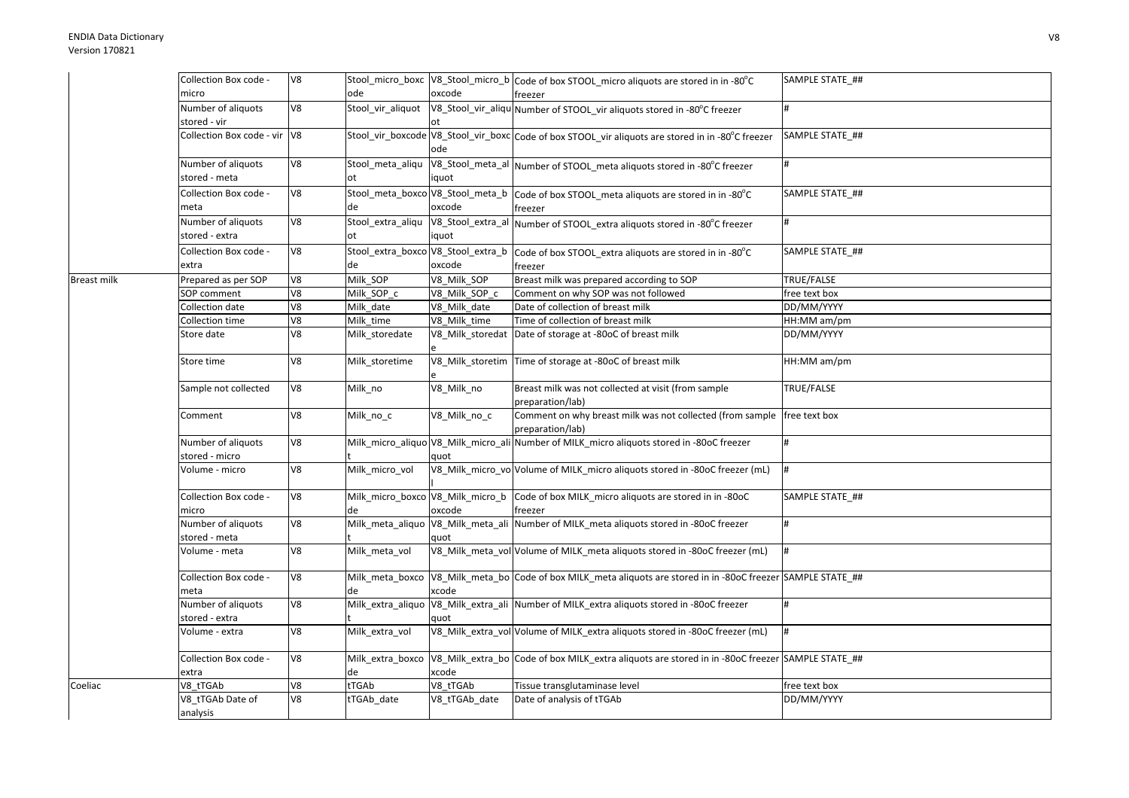|             | Collection Box code -          | V8 |                                  |               | Stool_micro_boxc  V8_Stool_micro_b  Code of box STOOL_micro aliquots are stored in in -80°C                      | SAMPLE STATE ## |
|-------------|--------------------------------|----|----------------------------------|---------------|------------------------------------------------------------------------------------------------------------------|-----------------|
|             | micro                          |    | ode                              | oxcode        | freezer                                                                                                          |                 |
|             | Number of aliquots             | V8 | Stool vir aliquot                |               | V8_Stool_vir_aliqu Number of STOOL_vir aliquots stored in -80°C freezer                                          | #               |
|             | stored - vir                   |    |                                  |               |                                                                                                                  |                 |
|             | Collection Box code - vir V8   |    |                                  | ode           | Stool_vir_boxcode V8_Stool_vir_boxc Code of box STOOL_vir aliquots are stored in in -80°C freezer                | SAMPLE STATE_## |
|             | Number of aliquots             | V8 | Stool_meta_aliqu                 |               | V8_Stool_meta_al Number of STOOL_meta aliquots stored in -80°C freezer                                           | #               |
|             | stored - meta                  |    | ot                               | iquot         |                                                                                                                  |                 |
|             | Collection Box code -          | V8 | Stool_meta_boxco V8_Stool_meta_b |               | Code of box STOOL_meta aliquots are stored in in -80°C                                                           | SAMPLE STATE ## |
|             | meta                           |    | de                               | oxcode        | freezer                                                                                                          |                 |
|             | Number of aliquots             | V8 | Stool_extra_aliqu                |               | V8_Stool_extra_al Number of STOOL_extra aliquots stored in -80°C freezer                                         | #               |
|             | stored - extra                 |    | оt                               | iquot         |                                                                                                                  |                 |
|             | Collection Box code -          | V8 |                                  |               | Stool_extra_boxco V8_Stool_extra_b code of box STOOL_extra aliquots are stored in in -80°C                       | SAMPLE STATE ## |
|             | extra                          |    | de                               | oxcode        | freezer                                                                                                          |                 |
| Breast milk | Prepared as per SOP            | V8 | Milk_SOP                         | V8 Milk SOP   | Breast milk was prepared according to SOP                                                                        | TRUE/FALSE      |
|             | SOP comment                    | V8 | Milk SOP c                       | V8_Milk_SOP_c | Comment on why SOP was not followed                                                                              | free text box   |
|             | Collection date                | V8 | Milk date                        | V8 Milk date  | Date of collection of breast milk                                                                                | DD/MM/YYYY      |
|             | Collection time                | V8 | Milk time                        | V8 Milk time  | Time of collection of breast milk                                                                                | HH:MM am/pm     |
|             | Store date                     | V8 | Milk storedate                   |               | V8 Milk storedat Date of storage at -80oC of breast milk                                                         | DD/MM/YYYY      |
|             |                                |    |                                  |               |                                                                                                                  |                 |
|             | Store time                     | V8 | Milk storetime                   |               | V8_Milk_storetim Time of storage at -80oC of breast milk                                                         | HH:MM am/pm     |
|             | Sample not collected           | V8 | Milk_no                          | V8_Milk_no    | Breast milk was not collected at visit (from sample<br>preparation/lab)                                          | TRUE/FALSE      |
|             | Comment                        | V8 | Milk no c                        | V8_Milk_no_c  | Comment on why breast milk was not collected (from sample   free text box<br>preparation/lab)                    |                 |
|             | Number of aliguots             | V8 |                                  |               | Milk_micro_aliquo V8_Milk_micro_ali Number of MILK_micro aliquots stored in -80oC freezer                        | #               |
|             | stored - micro                 |    |                                  | quot          |                                                                                                                  |                 |
|             | Volume - micro                 | V8 | Milk micro vol                   |               | V8_Milk_micro_vo Volume of MILK_micro aliquots stored in -80oC freezer (mL)                                      | #               |
|             | Collection Box code -<br>micro | V8 | de                               | oxcode        | Milk_micro_boxco V8_Milk_micro_b Code of box MILK_micro aliquots are stored in in -80oC<br>freezer               | SAMPLE STATE ## |
|             | Number of aliguots             | V8 | Milk meta aliquo                 |               | V8_Milk_meta_ali Number of MILK_meta aliquots stored in -80oC freezer                                            | <sup>#</sup>    |
|             | stored - meta                  |    |                                  | quot          |                                                                                                                  |                 |
|             | Volume - meta                  | V8 | Milk_meta_vol                    |               | V8_Milk_meta_vol Volume of MILK_meta aliquots stored in -80oC freezer (mL)                                       | $\vert \sharp$  |
|             | Collection Box code -<br>meta  | V8 | Milk_meta_boxco<br>de            | xcode         | V8 Milk meta bo Code of box MILK meta aliguots are stored in in -80oC freezer SAMPLE STATE ##                    |                 |
|             | Number of aliquots             | V8 | Milk_extra_aliquo                |               | V8_Milk_extra_ali Number of MILK_extra aliquots stored in -80oC freezer                                          | #               |
|             | stored - extra                 |    |                                  | quot          |                                                                                                                  |                 |
|             | Volume - extra                 | V8 | Milk_extra_vol                   |               | V8_Milk_extra_vol Volume of MILK_extra aliquots stored in -80oC freezer (mL)                                     | $\frac{1}{2}$   |
|             | Collection Box code -<br>extra | V8 | de                               | xcode         | Milk_extra_boxco V8_Milk_extra_bo Code of box MILK_extra aliquots are stored in in -80oC freezer SAMPLE STATE_## |                 |
| Coeliac     | V8 tTGAb                       | V8 | tTGAb                            | V8_tTGAb      | Tissue transglutaminase level                                                                                    | free text box   |
|             | V8 tTGAb Date of<br>analysis   | V8 | tTGAb_date                       | V8_tTGAb_date | Date of analysis of tTGAb                                                                                        | DD/MM/YYYY      |
|             |                                |    |                                  |               |                                                                                                                  |                 |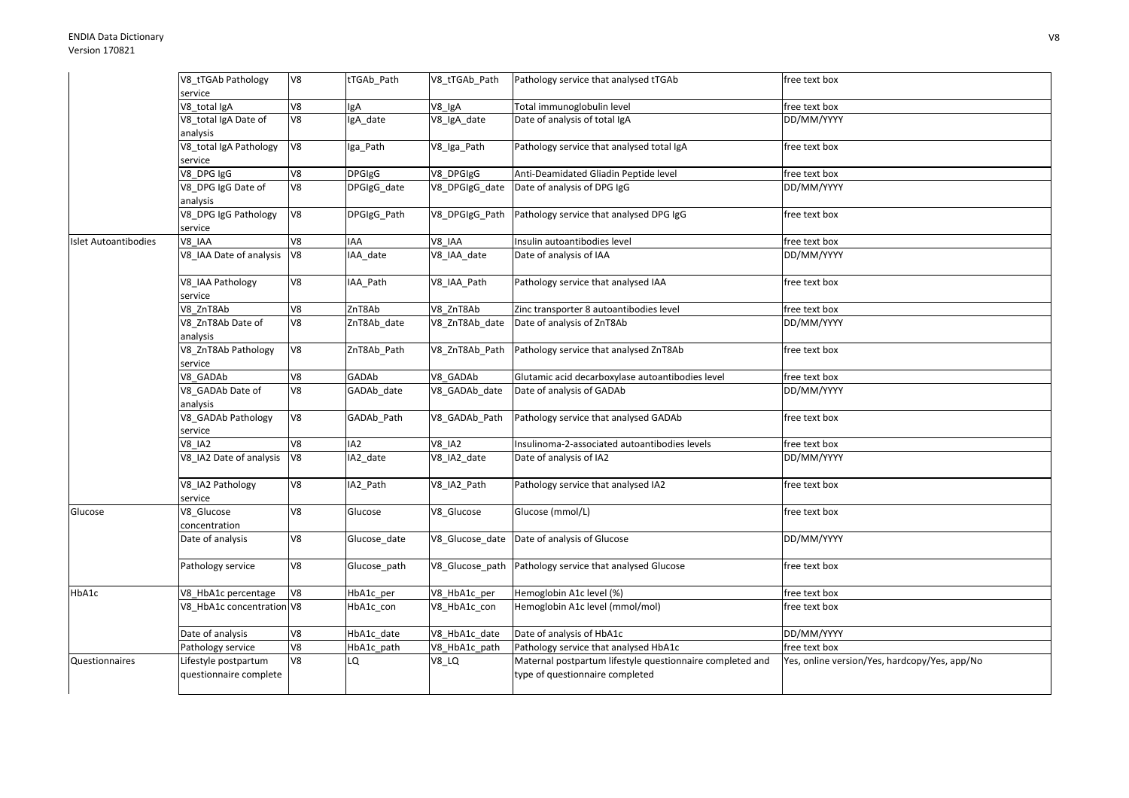|                      | V8_tTGAb Pathology<br>service                  | V8                       | tTGAb Path      | V8 tTGAb Path  | Pathology service that analysed tTGAb                                                        | free text box                                 |
|----------------------|------------------------------------------------|--------------------------|-----------------|----------------|----------------------------------------------------------------------------------------------|-----------------------------------------------|
|                      | V8 total IgA                                   | V8                       | lgA             | V8 IgA         | Total immunoglobulin level                                                                   | free text box                                 |
|                      | V8_total IgA Date of<br>analysis               | $\overline{\mathsf{V8}}$ | IgA_date        | V8_IgA_date    | Date of analysis of total IgA                                                                | DD/MM/YYYY                                    |
|                      | V8_total IgA Pathology<br>service              | V8                       | Iga_Path        | V8_Iga_Path    | Pathology service that analysed total IgA                                                    | free text box                                 |
|                      | V8_DPG IgG                                     | V8                       | <b>DPGIgG</b>   | V8_DPGIgG      | Anti-Deamidated Gliadin Peptide level                                                        | free text box                                 |
|                      | V8_DPG IgG Date of<br>analysis                 | V8                       | DPGIgG_date     | V8_DPGIgG_date | Date of analysis of DPG IgG                                                                  | DD/MM/YYYY                                    |
|                      | V8_DPG IgG Pathology<br>service                | V8                       | DPGIgG_Path     | V8_DPGIgG_Path | Pathology service that analysed DPG IgG                                                      | free text box                                 |
| Islet Autoantibodies | V8 IAA                                         | V8                       | IAA             | V8 IAA         | Insulin autoantibodies level                                                                 | free text box                                 |
|                      | V8 IAA Date of analysis                        | V <sub>8</sub>           | IAA_date        | V8 IAA date    | Date of analysis of IAA                                                                      | DD/MM/YYYY                                    |
|                      | V8_IAA Pathology<br>service                    | V8                       | IAA_Path        | V8_IAA_Path    | Pathology service that analysed IAA                                                          | free text box                                 |
|                      | V8 ZnT8Ab                                      | $\overline{\mathsf{V}8}$ | ZnT8Ab          | V8 ZnT8Ab      | Zinc transporter 8 autoantibodies level                                                      | free text box                                 |
|                      | V8 ZnT8Ab Date of<br>analysis                  | V8                       | ZnT8Ab_date     | V8 ZnT8Ab date | Date of analysis of ZnT8Ab                                                                   | DD/MM/YYYY                                    |
|                      | V8_ZnT8Ab Pathology<br>service                 | V8                       | ZnT8Ab_Path     | V8_ZnT8Ab_Path | Pathology service that analysed ZnT8Ab                                                       | free text box                                 |
|                      | V8 GADAb                                       | V8                       | GADAb           | V8 GADAb       | Glutamic acid decarboxylase autoantibodies level                                             | free text box                                 |
|                      | V8 GADAb Date of<br>analysis                   | V8                       | GADAb date      | V8 GADAb date  | Date of analysis of GADAb                                                                    | DD/MM/YYYY                                    |
|                      | V8_GADAb Pathology<br>service                  | V8                       | GADAb Path      | V8_GADAb_Path  | Pathology service that analysed GADAb                                                        | free text box                                 |
|                      | <b>V8 IA2</b>                                  | 8 <sub>2</sub>           | IA <sub>2</sub> | <b>V8 IA2</b>  | Insulinoma-2-associated autoantibodies levels                                                | free text box                                 |
|                      | V8 IA2 Date of analysis                        | V8                       | IA2 date        | V8_IA2_date    | Date of analysis of IA2                                                                      | DD/MM/YYYY                                    |
|                      | V8_IA2 Pathology<br>service                    | V8                       | IA2_Path        | V8_IA2_Path    | Pathology service that analysed IA2                                                          | free text box                                 |
| Glucose              | V8_Glucose<br>concentration                    | V8                       | Glucose         | V8_Glucose     | Glucose (mmol/L)                                                                             | free text box                                 |
|                      | Date of analysis                               | V8                       | Glucose date    |                | V8_Glucose_date Date of analysis of Glucose                                                  | DD/MM/YYYY                                    |
|                      | Pathology service                              | V8                       | Glucose path    |                | V8 Glucose path Pathology service that analysed Glucose                                      | free text box                                 |
| HbA1c                | V8_HbA1c percentage                            | V8                       | HbA1c_per       | V8_HbA1c_per   | Hemoglobin A1c level (%)                                                                     | free text box                                 |
|                      | V8 HbA1c concentration V8                      |                          | HbA1c_con       | V8_HbA1c_con   | Hemoglobin A1c level (mmol/mol)                                                              | free text box                                 |
|                      | Date of analysis                               | V8                       | HbA1c_date      | V8_HbA1c_date  | Date of analysis of HbA1c                                                                    | DD/MM/YYYY                                    |
|                      | Pathology service                              | V8                       | HbA1c_path      | V8_HbA1c_path  | Pathology service that analysed HbA1c                                                        | free text box                                 |
| Questionnaires       | Lifestyle postpartum<br>questionnaire complete | V8                       | LQ              | <b>V8_LQ</b>   | Maternal postpartum lifestyle questionnaire completed and<br>type of questionnaire completed | Yes, online version/Yes, hardcopy/Yes, app/No |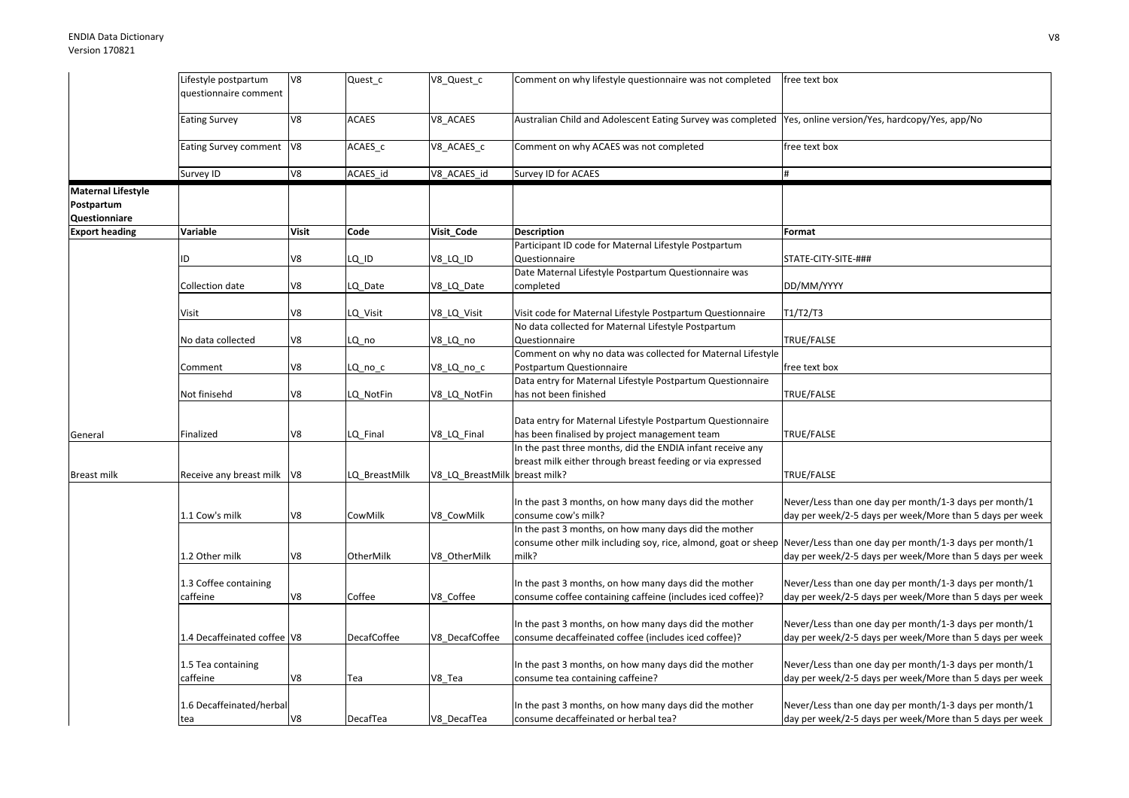|                           | Lifestyle postpartum         | V <sub>8</sub> | Quest_c       | V8_Quest_c      | Comment on why lifestyle questionnaire was not completed                                                             | free text box                                            |
|---------------------------|------------------------------|----------------|---------------|-----------------|----------------------------------------------------------------------------------------------------------------------|----------------------------------------------------------|
|                           | questionnaire comment        |                |               |                 |                                                                                                                      |                                                          |
|                           |                              |                |               |                 |                                                                                                                      |                                                          |
|                           | Eating Survey                | V8             | <b>ACAES</b>  | V8_ACAES        | Australian Child and Adolescent Eating Survey was completed  Yes, online version/Yes, hardcopy/Yes, app/No           |                                                          |
|                           |                              |                |               |                 |                                                                                                                      |                                                          |
|                           | Eating Survey comment   V8   |                | ACAES c       | V8 ACAES c      | Comment on why ACAES was not completed                                                                               | free text box                                            |
|                           |                              |                |               |                 |                                                                                                                      |                                                          |
|                           | Survey ID                    | V8             | ACAES_id      | V8_ACAES_id     | Survey ID for ACAES                                                                                                  | #                                                        |
| <b>Maternal Lifestyle</b> |                              |                |               |                 |                                                                                                                      |                                                          |
| Postpartum                |                              |                |               |                 |                                                                                                                      |                                                          |
| Questionniare             |                              |                |               |                 |                                                                                                                      |                                                          |
| <b>Export heading</b>     | Variable                     | <b>Visit</b>   | Code          | Visit Code      | <b>Description</b>                                                                                                   | Format                                                   |
|                           |                              |                |               |                 | Participant ID code for Maternal Lifestyle Postpartum                                                                |                                                          |
|                           | ID                           | V8             | LQ ID         | V8_LQ_ID        | Questionnaire                                                                                                        | STATE-CITY-SITE-###                                      |
|                           |                              |                |               |                 | Date Maternal Lifestyle Postpartum Questionnaire was                                                                 |                                                          |
|                           | Collection date              | V8             |               |                 |                                                                                                                      | DD/MM/YYYY                                               |
|                           |                              |                | LQ_Date       | V8_LQ_Date      | completed                                                                                                            |                                                          |
|                           |                              |                |               |                 |                                                                                                                      |                                                          |
|                           | Visit                        | V8             | LQ_Visit      | V8_LQ_Visit     | Visit code for Maternal Lifestyle Postpartum Questionnaire                                                           | T1/T2/T3                                                 |
|                           |                              |                |               |                 | No data collected for Maternal Lifestyle Postpartum                                                                  |                                                          |
|                           | No data collected            | V8             | LQ no         | V8_LQ_no        | Questionnaire                                                                                                        | TRUE/FALSE                                               |
|                           |                              |                |               |                 | Comment on why no data was collected for Maternal Lifestyle                                                          |                                                          |
|                           | Comment                      | V8             | LQ_no_c       | V8_LQ_no_c      | Postpartum Questionnaire                                                                                             | free text box                                            |
|                           |                              |                |               |                 | Data entry for Maternal Lifestyle Postpartum Questionnaire                                                           |                                                          |
|                           | Not finisehd                 | V8             | LQ NotFin     | V8_LQ_NotFin    | has not been finished                                                                                                | TRUE/FALSE                                               |
|                           |                              |                |               |                 |                                                                                                                      |                                                          |
|                           |                              |                |               |                 | Data entry for Maternal Lifestyle Postpartum Questionnaire                                                           |                                                          |
| General                   | Finalized                    | V8             | LQ Final      | V8_LQ_Final     | has been finalised by project management team                                                                        | TRUE/FALSE                                               |
|                           |                              |                |               |                 | In the past three months, did the ENDIA infant receive any                                                           |                                                          |
|                           |                              |                |               |                 | breast milk either through breast feeding or via expressed                                                           |                                                          |
| <b>Breast milk</b>        | Receive any breast milk   V8 |                | LQ_BreastMilk | V8_LQ_BreastMil | breast milk?                                                                                                         | TRUE/FALSE                                               |
|                           |                              |                |               |                 |                                                                                                                      |                                                          |
|                           |                              |                |               |                 | In the past 3 months, on how many days did the mother                                                                | Never/Less than one day per month/1-3 days per month/1   |
|                           | 1.1 Cow's milk               | V8             | CowMilk       | V8_CowMilk      | consume cow's milk?                                                                                                  | day per week/2-5 days per week/More than 5 days per week |
|                           |                              |                |               |                 | In the past 3 months, on how many days did the mother                                                                |                                                          |
|                           |                              |                |               |                 | consume other milk including soy, rice, almond, goat or sheep Never/Less than one day per month/1-3 days per month/1 |                                                          |
|                           | 1.2 Other milk               | V8             | OtherMilk     | V8 OtherMilk    | milk?                                                                                                                | day per week/2-5 days per week/More than 5 days per week |
|                           |                              |                |               |                 |                                                                                                                      |                                                          |
|                           | 1.3 Coffee containing        |                |               |                 | In the past 3 months, on how many days did the mother                                                                | Never/Less than one day per month/1-3 days per month/1   |
|                           | caffeine                     | V8             | Coffee        | V8 Coffee       | consume coffee containing caffeine (includes iced coffee)?                                                           | day per week/2-5 days per week/More than 5 days per week |
|                           |                              |                |               |                 |                                                                                                                      |                                                          |
|                           |                              |                |               |                 | In the past 3 months, on how many days did the mother                                                                | Never/Less than one day per month/1-3 days per month/1   |
|                           | 1.4 Decaffeinated coffee V8  |                | DecafCoffee   | V8 DecafCoffee  | consume decaffeinated coffee (includes iced coffee)?                                                                 | day per week/2-5 days per week/More than 5 days per week |
|                           |                              |                |               |                 |                                                                                                                      |                                                          |
|                           | 1.5 Tea containing           |                |               |                 | In the past 3 months, on how many days did the mother                                                                | Never/Less than one day per month/1-3 days per month/1   |
|                           | caffeine                     | V8             | Tea           | V8 Tea          | consume tea containing caffeine?                                                                                     | day per week/2-5 days per week/More than 5 days per week |
|                           |                              |                |               |                 |                                                                                                                      |                                                          |
|                           | 1.6 Decaffeinated/herbal     |                |               |                 | In the past 3 months, on how many days did the mother                                                                | Never/Less than one day per month/1-3 days per month/1   |
|                           | tea                          | V8             | DecafTea      | V8 DecafTea     | consume decaffeinated or herbal tea?                                                                                 | day per week/2-5 days per week/More than 5 days per week |
|                           |                              |                |               |                 |                                                                                                                      |                                                          |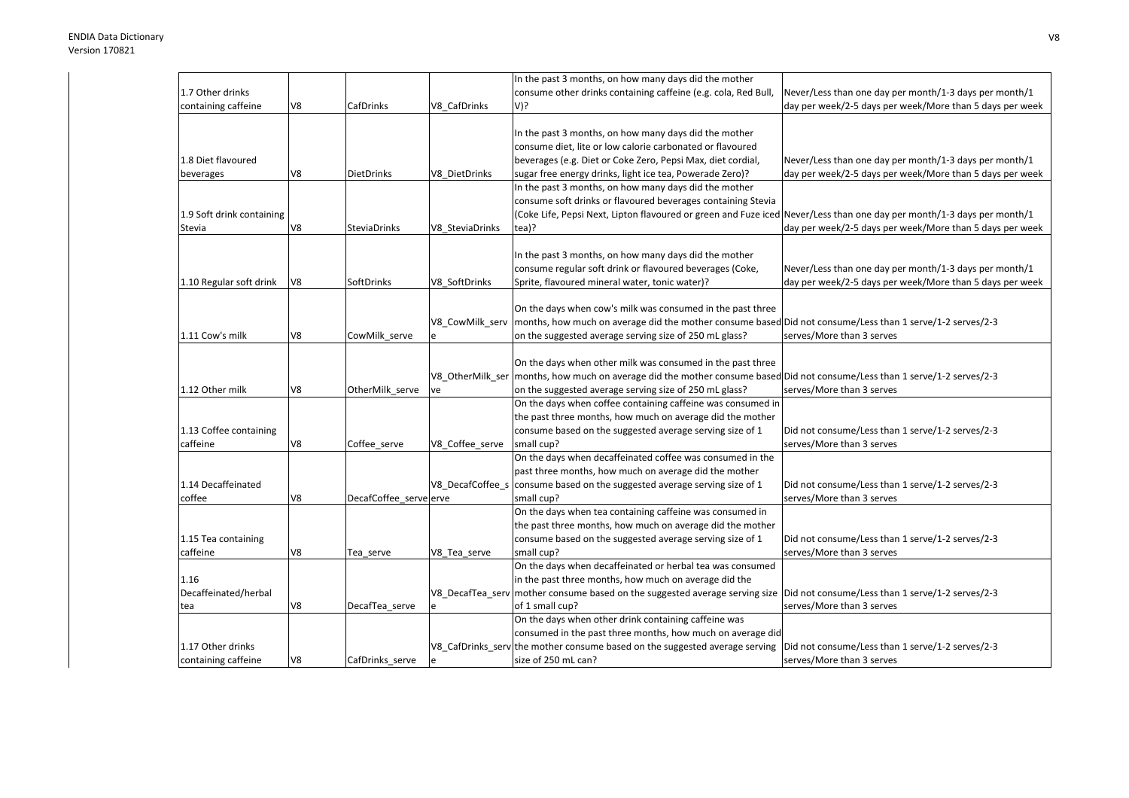|                           |    |                        |                  | In the past 3 months, on how many days did the mother                                                                         |                                                          |
|---------------------------|----|------------------------|------------------|-------------------------------------------------------------------------------------------------------------------------------|----------------------------------------------------------|
| 1.7 Other drinks          |    |                        |                  | consume other drinks containing caffeine (e.g. cola, Red Bull,                                                                | Never/Less than one day per month/1-3 days per month/1   |
| containing caffeine       | V8 | CafDrinks              | V8 CafDrinks     | V)?                                                                                                                           | day per week/2-5 days per week/More than 5 days per week |
|                           |    |                        |                  |                                                                                                                               |                                                          |
|                           |    |                        |                  | In the past 3 months, on how many days did the mother                                                                         |                                                          |
|                           |    |                        |                  | consume diet, lite or low calorie carbonated or flavoured                                                                     |                                                          |
| 1.8 Diet flavoured        |    |                        |                  | beverages (e.g. Diet or Coke Zero, Pepsi Max, diet cordial,                                                                   | Never/Less than one day per month/1-3 days per month/1   |
| beverages                 | V8 | <b>DietDrinks</b>      | V8_DietDrinks    | sugar free energy drinks, light ice tea, Powerade Zero)?                                                                      | day per week/2-5 days per week/More than 5 days per week |
|                           |    |                        |                  | In the past 3 months, on how many days did the mother                                                                         |                                                          |
|                           |    |                        |                  | consume soft drinks or flavoured beverages containing Stevia                                                                  |                                                          |
| 1.9 Soft drink containing |    |                        |                  | (Coke Life, Pepsi Next, Lipton flavoured or green and Fuze iced Never/Less than one day per month/1-3 days per month/1        |                                                          |
| Stevia                    | V8 | <b>SteviaDrinks</b>    | V8 SteviaDrinks  | tea)?                                                                                                                         | day per week/2-5 days per week/More than 5 days per week |
|                           |    |                        |                  |                                                                                                                               |                                                          |
|                           |    |                        |                  | In the past 3 months, on how many days did the mother                                                                         |                                                          |
|                           |    |                        |                  | consume regular soft drink or flavoured beverages (Coke,                                                                      | Never/Less than one day per month/1-3 days per month/1   |
| 1.10 Regular soft drink   | V8 | SoftDrinks             | V8_SoftDrinks    | Sprite, flavoured mineral water, tonic water)?                                                                                | day per week/2-5 days per week/More than 5 days per week |
|                           |    |                        |                  |                                                                                                                               |                                                          |
|                           |    |                        |                  | On the days when cow's milk was consumed in the past three                                                                    |                                                          |
|                           |    |                        | V8_CowMilk_serv  | months, how much on average did the mother consume based Did not consume/Less than 1 serve/1-2 serves/2-3                     |                                                          |
| 1.11 Cow's milk           | V8 | CowMilk_serve          |                  | on the suggested average serving size of 250 mL glass?                                                                        | serves/More than 3 serves                                |
|                           |    |                        |                  |                                                                                                                               |                                                          |
|                           |    |                        |                  | On the days when other milk was consumed in the past three                                                                    |                                                          |
|                           |    |                        |                  | V8_OtherMilk_ser   months, how much on average did the mother consume based Did not consume/Less than 1 serve/1-2 serves/2-3  |                                                          |
| 1.12 Other milk           | V8 | OtherMilk_serve        | ve               | on the suggested average serving size of 250 mL glass?                                                                        | serves/More than 3 serves                                |
|                           |    |                        |                  | On the days when coffee containing caffeine was consumed in                                                                   |                                                          |
|                           |    |                        |                  | the past three months, how much on average did the mother                                                                     |                                                          |
| 1.13 Coffee containing    |    |                        |                  | consume based on the suggested average serving size of 1                                                                      | Did not consume/Less than 1 serve/1-2 serves/2-3         |
| caffeine                  | V8 | Coffee_serve           | V8_Coffee_serve  | small cup?                                                                                                                    | serves/More than 3 serves                                |
|                           |    |                        |                  | On the days when decaffeinated coffee was consumed in the                                                                     |                                                          |
|                           |    |                        |                  | past three months, how much on average did the mother                                                                         |                                                          |
| 1.14 Decaffeinated        |    |                        | V8 DecafCoffee s | consume based on the suggested average serving size of 1                                                                      | Did not consume/Less than 1 serve/1-2 serves/2-3         |
| coffee                    | V8 | DecafCoffee_serve erve |                  | small cup?                                                                                                                    | serves/More than 3 serves                                |
|                           |    |                        |                  | On the days when tea containing caffeine was consumed in                                                                      |                                                          |
|                           |    |                        |                  | the past three months, how much on average did the mother                                                                     |                                                          |
| 1.15 Tea containing       |    |                        |                  | consume based on the suggested average serving size of 1                                                                      | Did not consume/Less than 1 serve/1-2 serves/2-3         |
| caffeine                  | V8 | Tea_serve              | V8_Tea_serve     | small cup?                                                                                                                    | serves/More than 3 serves                                |
|                           |    |                        |                  | On the days when decaffeinated or herbal tea was consumed                                                                     |                                                          |
| 1.16                      |    |                        |                  | in the past three months, how much on average did the                                                                         |                                                          |
| Decaffeinated/herbal      |    |                        |                  | V8_DecafTea_serv mother consume based on the suggested average serving size  Did not consume/Less than 1 serve/1-2 serves/2-3 |                                                          |
| tea                       | V8 | DecafTea_serve         |                  | of 1 small cup?                                                                                                               | serves/More than 3 serves                                |
|                           |    |                        |                  | On the days when other drink containing caffeine was                                                                          |                                                          |
|                           |    |                        |                  | consumed in the past three months, how much on average did                                                                    |                                                          |
| 1.17 Other drinks         |    |                        |                  | V8_CafDrinks_serv the mother consume based on the suggested average serving                                                   | Did not consume/Less than 1 serve/1-2 serves/2-3         |
| containing caffeine       | V8 | CafDrinks serve        | e                | size of 250 mL can?                                                                                                           | serves/More than 3 serves                                |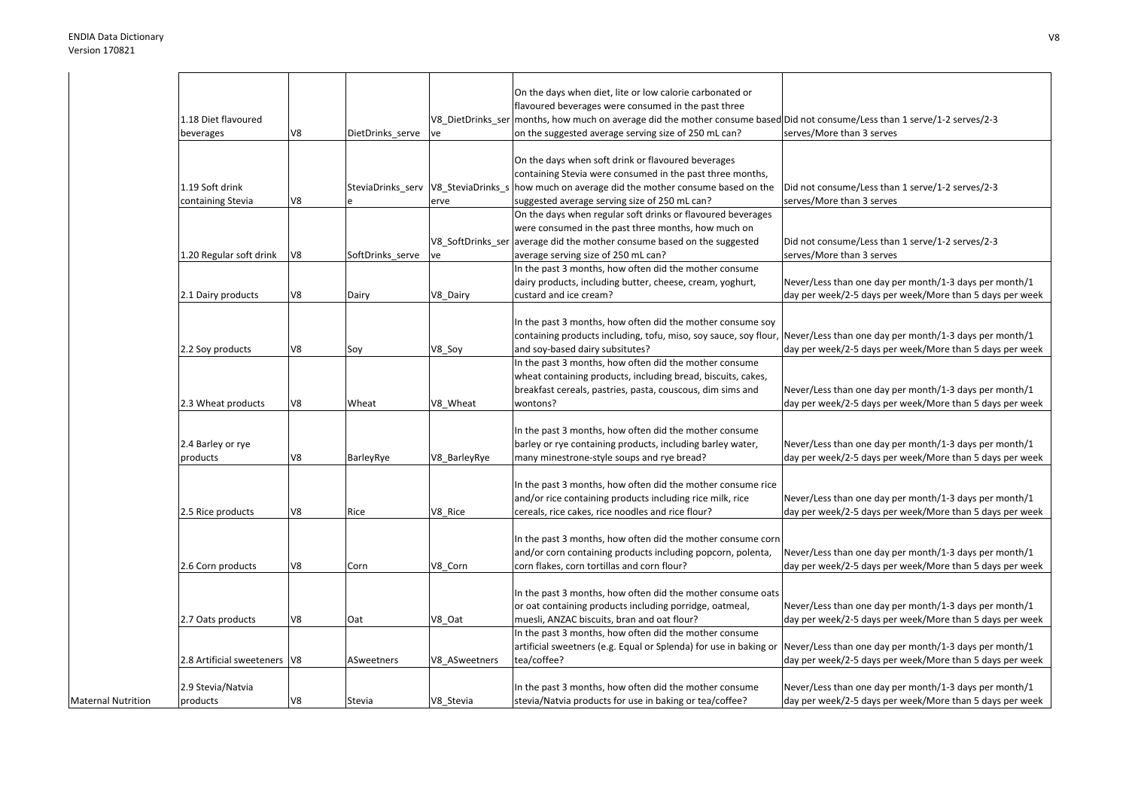|                           |                                |    |                  |                                     | On the days when diet, lite or low calorie carbonated or                                                  |                                                          |
|---------------------------|--------------------------------|----|------------------|-------------------------------------|-----------------------------------------------------------------------------------------------------------|----------------------------------------------------------|
|                           |                                |    |                  |                                     | flavoured beverages were consumed in the past three                                                       |                                                          |
|                           | 1.18 Diet flavoured            |    |                  | V8_DietDrinks_ser                   | months, how much on average did the mother consume based Did not consume/Less than 1 serve/1-2 serves/2-3 |                                                          |
|                           | beverages                      | V8 | DietDrinks_serve | ve                                  | on the suggested average serving size of 250 mL can?                                                      | serves/More than 3 serves                                |
|                           |                                |    |                  |                                     |                                                                                                           |                                                          |
|                           |                                |    |                  |                                     | On the days when soft drink or flavoured beverages                                                        |                                                          |
|                           |                                |    |                  |                                     | containing Stevia were consumed in the past three months,                                                 |                                                          |
|                           | 1.19 Soft drink                |    |                  | SteviaDrinks_serv V8_SteviaDrinks_s | how much on average did the mother consume based on the                                                   | Did not consume/Less than 1 serve/1-2 serves/2-3         |
|                           | containing Stevia              | V8 |                  | erve                                | suggested average serving size of 250 mL can?                                                             | serves/More than 3 serves                                |
|                           |                                |    |                  |                                     | On the days when regular soft drinks or flavoured beverages                                               |                                                          |
|                           |                                |    |                  |                                     | were consumed in the past three months, how much on                                                       |                                                          |
|                           |                                |    |                  | V8 SoftDrinks ser                   | average did the mother consume based on the suggested                                                     | Did not consume/Less than 1 serve/1-2 serves/2-3         |
|                           | 1.20 Regular soft drink        | V8 | SoftDrinks_serve | ve                                  | average serving size of 250 mL can?                                                                       | serves/More than 3 serves                                |
|                           |                                |    |                  |                                     | In the past 3 months, how often did the mother consume                                                    |                                                          |
|                           |                                |    |                  |                                     | dairy products, including butter, cheese, cream, yoghurt,                                                 | Never/Less than one day per month/1-3 days per month/1   |
|                           | 2.1 Dairy products             | V8 | Dairy            | V8_Dairy                            | custard and ice cream?                                                                                    | day per week/2-5 days per week/More than 5 days per week |
|                           |                                |    |                  |                                     |                                                                                                           |                                                          |
|                           |                                |    |                  |                                     | In the past 3 months, how often did the mother consume soy                                                |                                                          |
|                           |                                |    |                  |                                     |                                                                                                           | Never/Less than one day per month/1-3 days per month/1   |
|                           |                                |    |                  |                                     | containing products including, tofu, miso, soy sauce, soy flour,                                          |                                                          |
|                           | 2.2 Soy products               | V8 | Soy              | V8_Soy                              | and soy-based dairy subsitutes?                                                                           | day per week/2-5 days per week/More than 5 days per week |
|                           |                                |    |                  |                                     | In the past 3 months, how often did the mother consume                                                    |                                                          |
|                           |                                |    |                  |                                     | wheat containing products, including bread, biscuits, cakes,                                              |                                                          |
|                           |                                |    |                  |                                     | breakfast cereals, pastries, pasta, couscous, dim sims and                                                | Never/Less than one day per month/1-3 days per month/1   |
|                           | 2.3 Wheat products             | V8 | Wheat            | V8 Wheat                            | wontons?                                                                                                  | day per week/2-5 days per week/More than 5 days per week |
|                           |                                |    |                  |                                     |                                                                                                           |                                                          |
|                           |                                |    |                  |                                     | In the past 3 months, how often did the mother consume                                                    |                                                          |
|                           | 2.4 Barley or rye              |    |                  |                                     | barley or rye containing products, including barley water,                                                | Never/Less than one day per month/1-3 days per month/1   |
|                           | products                       | V8 | BarleyRye        | V8 BarleyRye                        | many minestrone-style soups and rye bread?                                                                | day per week/2-5 days per week/More than 5 days per week |
|                           |                                |    |                  |                                     |                                                                                                           |                                                          |
|                           |                                |    |                  |                                     | In the past 3 months, how often did the mother consume rice                                               |                                                          |
|                           |                                |    |                  |                                     | and/or rice containing products including rice milk, rice                                                 | Never/Less than one day per month/1-3 days per month/1   |
|                           | 2.5 Rice products              | V8 | Rice             | V8 Rice                             | cereals, rice cakes, rice noodles and rice flour?                                                         | day per week/2-5 days per week/More than 5 days per week |
|                           |                                |    |                  |                                     |                                                                                                           |                                                          |
|                           |                                |    |                  |                                     | In the past 3 months, how often did the mother consume corn                                               |                                                          |
|                           |                                |    |                  |                                     | and/or corn containing products including popcorn, polenta,                                               | Never/Less than one day per month/1-3 days per month/1   |
|                           | 2.6 Corn products              | V8 | Corn             | V8 Corn                             | corn flakes, corn tortillas and corn flour?                                                               | day per week/2-5 days per week/More than 5 days per week |
|                           |                                |    |                  |                                     |                                                                                                           |                                                          |
|                           |                                |    |                  |                                     | In the past 3 months, how often did the mother consume oats                                               |                                                          |
|                           |                                |    |                  |                                     | or oat containing products including porridge, oatmeal,                                                   | Never/Less than one day per month/1-3 days per month/1   |
|                           | 2.7 Oats products              | V8 | Oat              | V8 Oat                              | muesli, ANZAC biscuits, bran and oat flour?                                                               | day per week/2-5 days per week/More than 5 days per week |
|                           |                                |    |                  |                                     | In the past 3 months, how often did the mother consume                                                    |                                                          |
|                           |                                |    |                  |                                     | artificial sweetners (e.g. Equal or Splenda) for use in baking or                                         | Never/Less than one day per month/1-3 days per month/1   |
|                           | 2.8 Artificial sweeteners   V8 |    | ASweetners       | V8 ASweetners                       | tea/coffee?                                                                                               | day per week/2-5 days per week/More than 5 days per week |
|                           |                                |    |                  |                                     |                                                                                                           |                                                          |
|                           | 2.9 Stevia/Natvia              |    |                  |                                     | In the past 3 months, how often did the mother consume                                                    | Never/Less than one day per month/1-3 days per month/1   |
| <b>Maternal Nutrition</b> | products                       | V8 | Stevia           | V8 Stevia                           | stevia/Natvia products for use in baking or tea/coffee?                                                   | day per week/2-5 days per week/More than 5 days per week |
|                           |                                |    |                  |                                     |                                                                                                           |                                                          |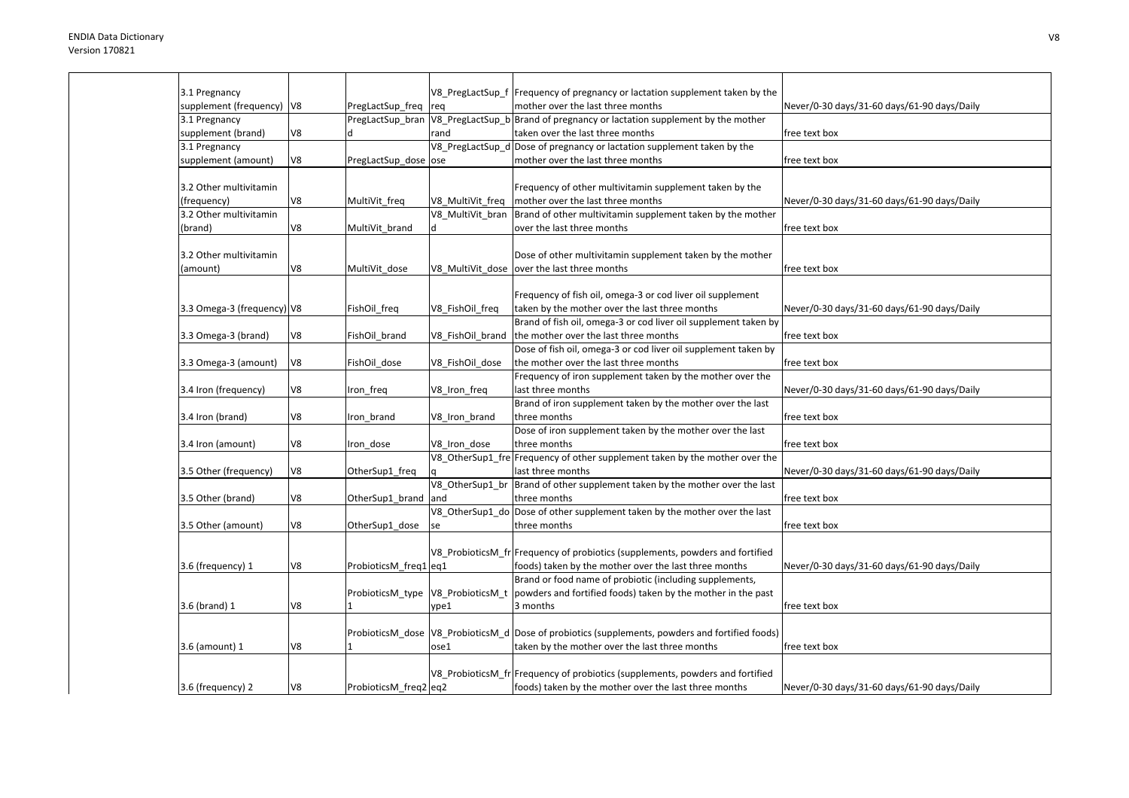| 3.1 Pregnancy               |    |                                   |                  | V8_PregLactSup_f  Frequency of pregnancy or lactation supplement taken by the                     |                                             |
|-----------------------------|----|-----------------------------------|------------------|---------------------------------------------------------------------------------------------------|---------------------------------------------|
| supplement (frequency)   V8 |    | PregLactSup_freq                  | req              | mother over the last three months                                                                 | Never/0-30 days/31-60 days/61-90 days/Daily |
| 3.1 Pregnancy               |    | PregLactSup bran                  |                  | V8 PregLactSup b Brand of pregnancy or lactation supplement by the mother                         |                                             |
| supplement (brand)          | V8 |                                   | rand             | taken over the last three months                                                                  | free text box                               |
| 3.1 Pregnancy               |    |                                   |                  | V8 PregLactSup d Dose of pregnancy or lactation supplement taken by the                           |                                             |
| supplement (amount)         | V8 | PregLactSup dose ose              |                  | mother over the last three months                                                                 | free text box                               |
|                             |    |                                   |                  |                                                                                                   |                                             |
| 3.2 Other multivitamin      |    |                                   |                  | Frequency of other multivitamin supplement taken by the                                           |                                             |
| (frequency)                 | V8 | MultiVit_freq                     | V8 MultiVit freq | mother over the last three months                                                                 | Never/0-30 days/31-60 days/61-90 days/Daily |
| 3.2 Other multivitamin      |    |                                   | V8 MultiVit bran | Brand of other multivitamin supplement taken by the mother                                        |                                             |
| (brand)                     | V8 | MultiVit brand                    | d                | over the last three months                                                                        | free text box                               |
|                             |    |                                   |                  |                                                                                                   |                                             |
| 3.2 Other multivitamin      |    |                                   |                  | Dose of other multivitamin supplement taken by the mother                                         |                                             |
| (amount)                    | V8 | MultiVit dose                     |                  | V8_MultiVit_dose  over the last three months                                                      | free text box                               |
|                             |    |                                   |                  |                                                                                                   |                                             |
|                             |    |                                   |                  | Frequency of fish oil, omega-3 or cod liver oil supplement                                        |                                             |
| 3.3 Omega-3 (frequency) V8  |    | FishOil_freq                      | V8_FishOil_freq  | taken by the mother over the last three months                                                    | Never/0-30 days/31-60 days/61-90 days/Daily |
|                             |    |                                   |                  | Brand of fish oil, omega-3 or cod liver oil supplement taken by                                   |                                             |
| 3.3 Omega-3 (brand)         | V8 | FishOil brand                     | V8_FishOil_brand | the mother over the last three months                                                             | free text box                               |
|                             |    |                                   |                  | Dose of fish oil, omega-3 or cod liver oil supplement taken by                                    |                                             |
| 3.3 Omega-3 (amount)        | V8 | FishOil dose                      | V8 FishOil dose  | the mother over the last three months                                                             | free text box                               |
|                             |    |                                   |                  | Frequency of iron supplement taken by the mother over the                                         |                                             |
| 3.4 Iron (frequency)        | V8 | Iron_freq                         | V8_Iron_freq     | last three months                                                                                 | Never/0-30 days/31-60 days/61-90 days/Daily |
|                             |    |                                   |                  | Brand of iron supplement taken by the mother over the last                                        |                                             |
| 3.4 Iron (brand)            | V8 | Iron brand                        | V8_Iron_brand    | three months                                                                                      | free text box                               |
|                             |    |                                   |                  | Dose of iron supplement taken by the mother over the last                                         |                                             |
|                             | V8 |                                   | V8 Iron dose     | three months                                                                                      | free text box                               |
| 3.4 Iron (amount)           |    | Iron_dose                         |                  |                                                                                                   |                                             |
|                             |    |                                   |                  | V8_OtherSup1_fre Frequency of other supplement taken by the mother over the                       |                                             |
| 3.5 Other (frequency)       | V8 | OtherSup1_freq                    |                  | last three months                                                                                 | Never/0-30 days/31-60 days/61-90 days/Daily |
|                             |    |                                   | V8 OtherSup1 br  | Brand of other supplement taken by the mother over the last                                       |                                             |
| 3.5 Other (brand)           | V8 | OtherSup1_brand                   | and              | three months                                                                                      | free text box                               |
|                             |    |                                   |                  | V8_OtherSup1_do Dose of other supplement taken by the mother over the last                        |                                             |
| 3.5 Other (amount)          | V8 | OtherSup1_dose                    | se               | three months                                                                                      | free text box                               |
|                             |    |                                   |                  |                                                                                                   |                                             |
|                             |    |                                   |                  | V8 ProbioticsM fr Frequency of probiotics (supplements, powders and fortified                     |                                             |
| 3.6 (frequency) 1           | V8 | ProbioticsM_freq1 eq1             |                  | foods) taken by the mother over the last three months                                             | Never/0-30 days/31-60 days/61-90 days/Daily |
|                             |    |                                   |                  | Brand or food name of probiotic (including supplements,                                           |                                             |
|                             |    | ProbioticsM_type V8_ProbioticsM_t |                  | powders and fortified foods) taken by the mother in the past                                      |                                             |
| 3.6 (brand) 1               | V8 | 1                                 | vpe1             | 3 months                                                                                          | free text box                               |
|                             |    |                                   |                  |                                                                                                   |                                             |
|                             |    |                                   |                  | ProbioticsM_dose  V8_ProbioticsM_d  Dose of probiotics (supplements, powders and fortified foods) |                                             |
| 3.6 (amount) 1              | V8 |                                   | ose1             | taken by the mother over the last three months                                                    | free text box                               |
|                             |    |                                   |                  |                                                                                                   |                                             |
|                             |    |                                   |                  | V8 ProbioticsM fr Frequency of probiotics (supplements, powders and fortified                     |                                             |
| 3.6 (frequency) 2           | V8 | ProbioticsM freq2 eq2             |                  | foods) taken by the mother over the last three months                                             | Never/0-30 days/31-60 days/61-90 days/Daily |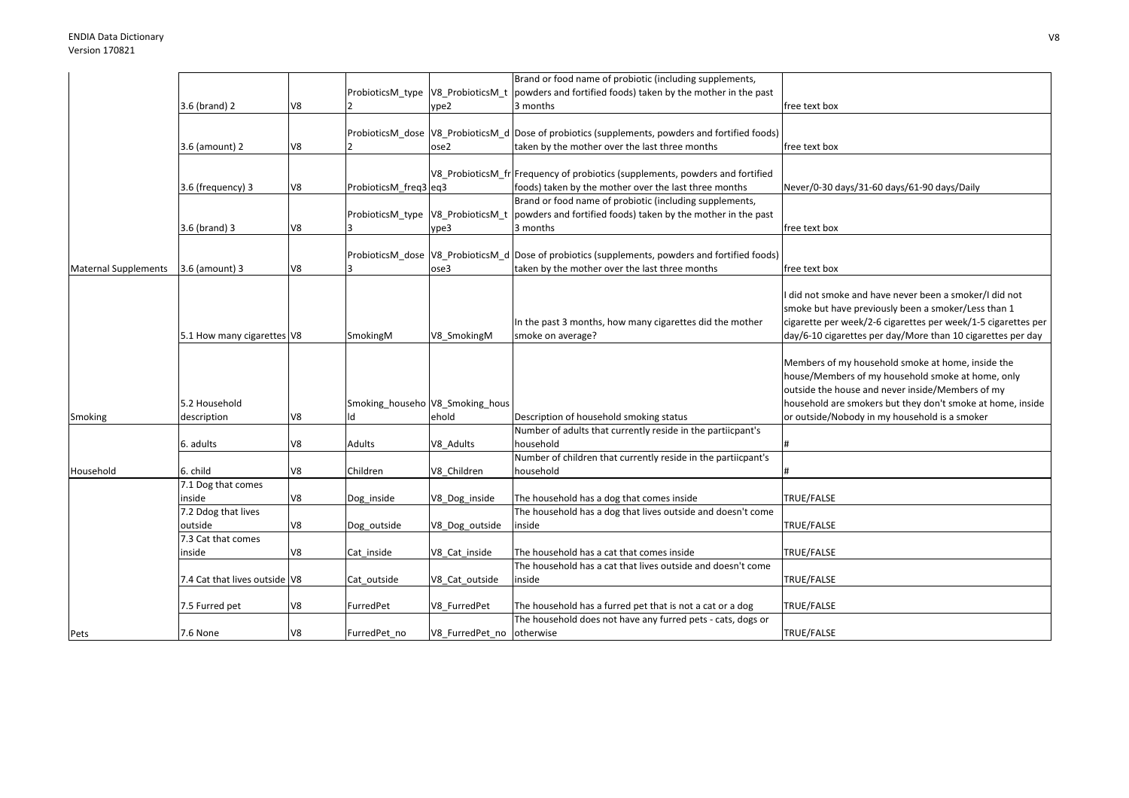|                             |                               |    |                       |                                 | Brand or food name of probiotic (including supplements,                                                   |                                                               |
|-----------------------------|-------------------------------|----|-----------------------|---------------------------------|-----------------------------------------------------------------------------------------------------------|---------------------------------------------------------------|
|                             |                               |    |                       |                                 | ProbioticsM_type $\sqrt{18}$ ProbioticsM_t   powders and fortified foods) taken by the mother in the past |                                                               |
|                             | 3.6 (brand) 2                 | V8 |                       | ype2                            | 3 months                                                                                                  | free text box                                                 |
|                             |                               |    |                       |                                 |                                                                                                           |                                                               |
|                             |                               |    |                       |                                 | ProbioticsM_dose  V8_ProbioticsM_d  Dose of probiotics (supplements, powders and fortified foods)         |                                                               |
|                             | 3.6 (amount) 2                | V8 |                       | ose2                            | taken by the mother over the last three months                                                            | free text box                                                 |
|                             |                               |    |                       |                                 |                                                                                                           |                                                               |
|                             |                               |    |                       |                                 | V8 ProbioticsM fr Frequency of probiotics (supplements, powders and fortified                             |                                                               |
|                             | 3.6 (frequency) 3             | V8 | ProbioticsM_freq3 eq3 |                                 | foods) taken by the mother over the last three months                                                     | Never/0-30 days/31-60 days/61-90 days/Daily                   |
|                             |                               |    |                       |                                 | Brand or food name of probiotic (including supplements,                                                   |                                                               |
|                             |                               |    |                       |                                 |                                                                                                           |                                                               |
|                             |                               |    |                       |                                 | ProbioticsM_type $\sqrt{18}$ ProbioticsM_t   powders and fortified foods) taken by the mother in the past |                                                               |
|                             | 3.6 (brand) 3                 | V8 |                       | ype3                            | 3 months                                                                                                  | free text box                                                 |
|                             |                               |    |                       |                                 |                                                                                                           |                                                               |
|                             |                               |    |                       |                                 | ProbioticsM dose V8 ProbioticsM d Dose of probiotics (supplements, powders and fortified foods)           |                                                               |
| <b>Maternal Supplements</b> | 3.6 (amount) 3                | V8 |                       | ose3                            | taken by the mother over the last three months                                                            | free text box                                                 |
|                             |                               |    |                       |                                 |                                                                                                           |                                                               |
|                             |                               |    |                       |                                 |                                                                                                           | did not smoke and have never been a smoker/I did not          |
|                             |                               |    |                       |                                 |                                                                                                           | smoke but have previously been a smoker/Less than 1           |
|                             |                               |    |                       |                                 | In the past 3 months, how many cigarettes did the mother                                                  | cigarette per week/2-6 cigarettes per week/1-5 cigarettes per |
|                             | 5.1 How many cigarettes V8    |    | SmokingM              | V8 SmokingM                     | smoke on average?                                                                                         | day/6-10 cigarettes per day/More than 10 cigarettes per day   |
|                             |                               |    |                       |                                 |                                                                                                           |                                                               |
|                             |                               |    |                       |                                 |                                                                                                           | Members of my household smoke at home, inside the             |
|                             |                               |    |                       |                                 |                                                                                                           | house/Members of my household smoke at home, only             |
|                             |                               |    |                       |                                 |                                                                                                           | outside the house and never inside/Members of my              |
|                             | 5.2 Household                 |    |                       |                                 |                                                                                                           |                                                               |
|                             |                               |    |                       | Smoking_househo V8_Smoking_hous |                                                                                                           | household are smokers but they don't smoke at home, inside    |
| Smoking                     | description                   | V8 | ١d                    | ehold                           | Description of household smoking status                                                                   | or outside/Nobody in my household is a smoker                 |
|                             |                               |    |                       |                                 | Number of adults that currently reside in the partiicpant's                                               |                                                               |
|                             | 6. adults                     | V8 | Adults                | V8 Adults                       | household                                                                                                 |                                                               |
|                             |                               |    |                       |                                 | Number of children that currently reside in the partiicpant's                                             |                                                               |
| Household                   | 6. child                      | V8 | Children              | V8 Children                     | household                                                                                                 |                                                               |
|                             | 7.1 Dog that comes            |    |                       |                                 |                                                                                                           |                                                               |
|                             | inside                        | V8 | Dog_inside            | V8_Dog_inside                   | The household has a dog that comes inside                                                                 | TRUE/FALSE                                                    |
|                             | 7.2 Ddog that lives           |    |                       |                                 | The household has a dog that lives outside and doesn't come                                               |                                                               |
|                             | outside                       | V8 | Dog outside           | V8 Dog outside                  | inside                                                                                                    | TRUE/FALSE                                                    |
|                             | 7.3 Cat that comes            |    |                       |                                 |                                                                                                           |                                                               |
|                             | inside                        | V8 | Cat inside            | V8_Cat_inside                   | The household has a cat that comes inside                                                                 | TRUE/FALSE                                                    |
|                             |                               |    |                       |                                 | The household has a cat that lives outside and doesn't come                                               |                                                               |
|                             | 7.4 Cat that lives outside V8 |    | Cat outside           | V8_Cat_outside                  | inside                                                                                                    | TRUE/FALSE                                                    |
|                             |                               |    |                       |                                 |                                                                                                           |                                                               |
|                             |                               | V8 | FurredPet             |                                 | The household has a furred pet that is not a cat or a dog                                                 | TRUE/FALSE                                                    |
|                             | 7.5 Furred pet                |    |                       | V8 FurredPet                    |                                                                                                           |                                                               |
|                             |                               |    |                       |                                 | The household does not have any furred pets - cats, dogs or                                               |                                                               |
| Pets                        | 7.6 None                      | V8 | FurredPet no          | V8 FurredPet no otherwise       |                                                                                                           | TRUE/FALSE                                                    |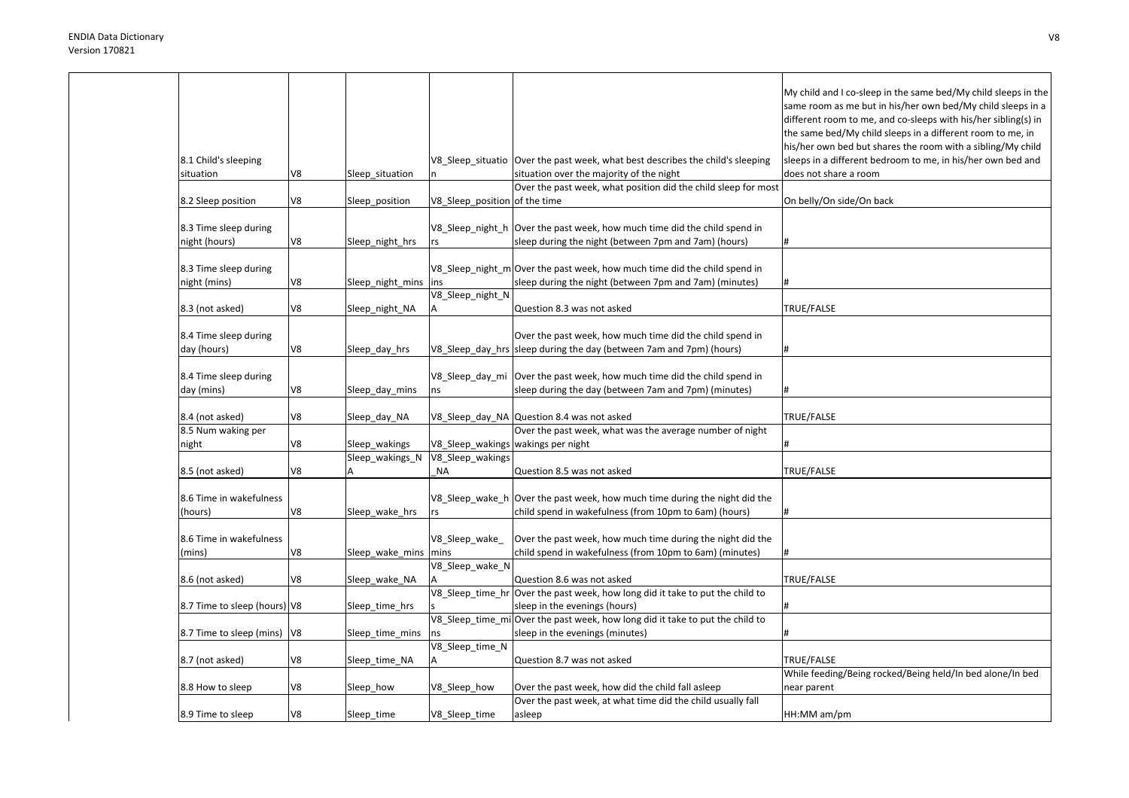| 8.1 Child's sleeping<br>situation      | V8 | Sleep_situation        | V8_Sleep_situatio                  | Over the past week, what best describes the child's sleeping<br>situation over the majority of the night<br>Over the past week, what position did the child sleep for most | My child and I co-sleep in the same bed/My child sleeps in the<br>same room as me but in his/her own bed/My child sleeps in a<br>different room to me, and co-sleeps with his/her sibling(s) in<br>the same bed/My child sleeps in a different room to me, in<br>his/her own bed but shares the room with a sibling/My child<br>sleeps in a different bedroom to me, in his/her own bed and<br>does not share a room |
|----------------------------------------|----|------------------------|------------------------------------|----------------------------------------------------------------------------------------------------------------------------------------------------------------------------|----------------------------------------------------------------------------------------------------------------------------------------------------------------------------------------------------------------------------------------------------------------------------------------------------------------------------------------------------------------------------------------------------------------------|
| 8.2 Sleep position                     | V8 | Sleep position         | V8 Sleep position of the time      |                                                                                                                                                                            | On belly/On side/On back                                                                                                                                                                                                                                                                                                                                                                                             |
| 8.3 Time sleep during<br>night (hours) | V8 | Sleep_night_hrs        | V8_Sleep_night_h<br>rs             | Over the past week, how much time did the child spend in<br>sleep during the night (between 7pm and 7am) (hours)                                                           |                                                                                                                                                                                                                                                                                                                                                                                                                      |
| 8.3 Time sleep during<br>night (mins)  | V8 | Sleep_night_mins       | ins<br>V8_Sleep_night_N            | V8_Sleep_night_m Over the past week, how much time did the child spend in<br>sleep during the night (between 7pm and 7am) (minutes)                                        |                                                                                                                                                                                                                                                                                                                                                                                                                      |
| 8.3 (not asked)                        | V8 | Sleep_night_NA         |                                    | Question 8.3 was not asked                                                                                                                                                 | TRUE/FALSE                                                                                                                                                                                                                                                                                                                                                                                                           |
| 8.4 Time sleep during<br>day (hours)   | V8 | Sleep_day_hrs          |                                    | Over the past week, how much time did the child spend in<br>V8_Sleep_day_hrs sleep during the day (between 7am and 7pm) (hours)                                            | #                                                                                                                                                                                                                                                                                                                                                                                                                    |
| 8.4 Time sleep during<br>day (mins)    | V8 | Sleep_day_mins         | ns                                 | V8_Sleep_day_mi   Over the past week, how much time did the child spend in<br>sleep during the day (between 7am and 7pm) (minutes)                                         | #                                                                                                                                                                                                                                                                                                                                                                                                                    |
| 8.4 (not asked)                        | V8 | Sleep_day_NA           |                                    | V8_Sleep_day_NA Question 8.4 was not asked                                                                                                                                 | TRUE/FALSE                                                                                                                                                                                                                                                                                                                                                                                                           |
| 8.5 Num waking per                     |    |                        |                                    | Over the past week, what was the average number of night                                                                                                                   |                                                                                                                                                                                                                                                                                                                                                                                                                      |
| night                                  | V8 | Sleep_wakings          | V8_Sleep_wakings wakings per night |                                                                                                                                                                            |                                                                                                                                                                                                                                                                                                                                                                                                                      |
| 8.5 (not asked)                        | V8 | Sleep_wakings_N        | V8_Sleep_wakings<br><b>NA</b>      | Question 8.5 was not asked                                                                                                                                                 | TRUE/FALSE                                                                                                                                                                                                                                                                                                                                                                                                           |
| 8.6 Time in wakefulness<br>(hours)     | V8 | Sleep_wake_hrs         | V8_Sleep_wake_h<br>rs              | Over the past week, how much time during the night did the<br>child spend in wakefulness (from 10pm to 6am) (hours)                                                        | #                                                                                                                                                                                                                                                                                                                                                                                                                    |
| 8.6 Time in wakefulness<br>(mins)      | V8 | Sleep_wake_mins   mins | V8_Sleep_wake                      | Over the past week, how much time during the night did the<br>child spend in wakefulness (from 10pm to 6am) (minutes)                                                      |                                                                                                                                                                                                                                                                                                                                                                                                                      |
| 8.6 (not asked)                        | V8 | Sleep_wake_NA          | V8_Sleep_wake_N                    | Question 8.6 was not asked                                                                                                                                                 | TRUE/FALSE                                                                                                                                                                                                                                                                                                                                                                                                           |
| 8.7 Time to sleep (hours) V8           |    | Sleep time hrs         | V8_Sleep_time_hr                   | Over the past week, how long did it take to put the child to<br>sleep in the evenings (hours)                                                                              |                                                                                                                                                                                                                                                                                                                                                                                                                      |
| 8.7 Time to sleep (mins)   V8          |    | Sleep_time_mins        | ns                                 | V8_Sleep_time_mi Over the past week, how long did it take to put the child to<br>sleep in the evenings (minutes)                                                           |                                                                                                                                                                                                                                                                                                                                                                                                                      |
| 8.7 (not asked)                        | V8 | Sleep time NA          | V8_Sleep_time_N                    | Question 8.7 was not asked                                                                                                                                                 | TRUE/FALSE                                                                                                                                                                                                                                                                                                                                                                                                           |
| 8.8 How to sleep                       | V8 | Sleep_how              | V8_Sleep_how                       | Over the past week, how did the child fall asleep                                                                                                                          | While feeding/Being rocked/Being held/In bed alone/In bed<br>near parent                                                                                                                                                                                                                                                                                                                                             |
| 8.9 Time to sleep                      | V8 | Sleep_time             | V8_Sleep_time                      | Over the past week, at what time did the child usually fall<br>asleep                                                                                                      | HH:MM am/pm                                                                                                                                                                                                                                                                                                                                                                                                          |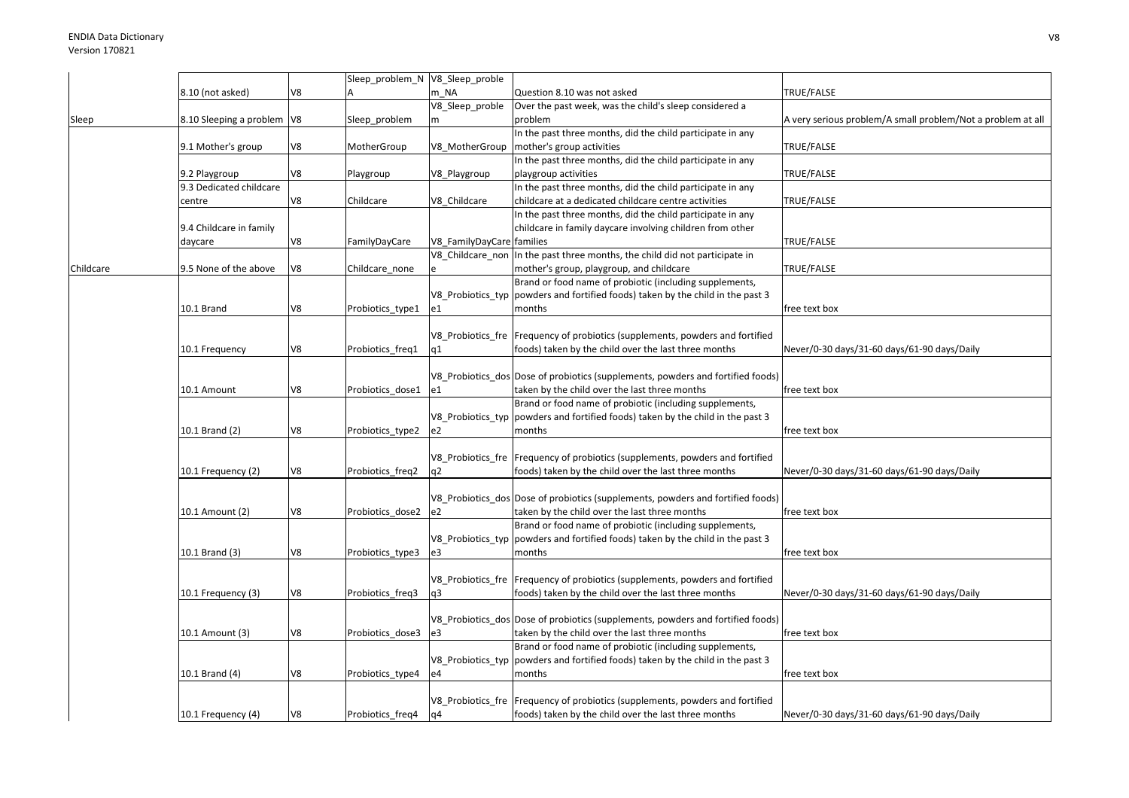|           |                              |    | Sleep_problem_N V8_Sleep_proble |                           |                                                                                  |                                                             |
|-----------|------------------------------|----|---------------------------------|---------------------------|----------------------------------------------------------------------------------|-------------------------------------------------------------|
|           | 8.10 (not asked)             | V8 |                                 | m NA                      | Question 8.10 was not asked                                                      | TRUE/FALSE                                                  |
|           |                              |    |                                 | V8_Sleep_proble           | Over the past week, was the child's sleep considered a                           |                                                             |
|           | 8.10 Sleeping a problem   V8 |    |                                 | m                         | problem                                                                          | A very serious problem/A small problem/Not a problem at all |
| Sleep     |                              |    | Sleep_problem                   |                           |                                                                                  |                                                             |
|           |                              |    |                                 |                           | In the past three months, did the child participate in any                       |                                                             |
|           | 9.1 Mother's group           | V8 | MotherGroup                     | V8 MotherGroup            | mother's group activities                                                        | TRUE/FALSE                                                  |
|           |                              |    |                                 |                           | In the past three months, did the child participate in any                       |                                                             |
|           | 9.2 Playgroup                | V8 | Playgroup                       | V8_Playgroup              | playgroup activities                                                             | TRUE/FALSE                                                  |
|           | 9.3 Dedicated childcare      |    |                                 |                           | In the past three months, did the child participate in any                       |                                                             |
|           | centre                       | V8 | Childcare                       | V8 Childcare              | childcare at a dedicated childcare centre activities                             | TRUE/FALSE                                                  |
|           |                              |    |                                 |                           | In the past three months, did the child participate in any                       |                                                             |
|           | 9.4 Childcare in family      |    |                                 |                           | childcare in family daycare involving children from other                        |                                                             |
|           |                              | V8 |                                 |                           |                                                                                  | TRUE/FALSE                                                  |
|           | daycare                      |    | FamilyDayCare                   | V8_FamilyDayCare families |                                                                                  |                                                             |
|           |                              |    |                                 | V8 Childcare non          | In the past three months, the child did not participate in                       |                                                             |
| Childcare | 9.5 None of the above        | V8 | Childcare none                  |                           | mother's group, playgroup, and childcare                                         | TRUE/FALSE                                                  |
|           |                              |    |                                 |                           | Brand or food name of probiotic (including supplements,                          |                                                             |
|           |                              |    |                                 | V8 Probiotics typ         | powders and fortified foods) taken by the child in the past 3                    |                                                             |
|           | 10.1 Brand                   | V8 | Probiotics_type1                | e1                        | months                                                                           | free text box                                               |
|           |                              |    |                                 |                           |                                                                                  |                                                             |
|           |                              |    |                                 |                           | V8_Probiotics_fre Frequency of probiotics (supplements, powders and fortified    |                                                             |
|           | 10.1 Frequency               | V8 | Probiotics_freq1                | q1                        | foods) taken by the child over the last three months                             | Never/0-30 days/31-60 days/61-90 days/Daily                 |
|           |                              |    |                                 |                           |                                                                                  |                                                             |
|           |                              |    |                                 |                           |                                                                                  |                                                             |
|           |                              |    |                                 |                           | V8 Probiotics dos Dose of probiotics (supplements, powders and fortified foods)  |                                                             |
|           | 10.1 Amount                  | V8 | Probiotics_dose1                | e1                        | taken by the child over the last three months                                    | free text box                                               |
|           |                              |    |                                 |                           | Brand or food name of probiotic (including supplements,                          |                                                             |
|           |                              |    |                                 | V8 Probiotics typ         | powders and fortified foods) taken by the child in the past 3                    |                                                             |
|           | 10.1 Brand (2)               | V8 | Probiotics_type2                | e2                        | months                                                                           | free text box                                               |
|           |                              |    |                                 |                           |                                                                                  |                                                             |
|           |                              |    |                                 |                           | V8 Probiotics fre Frequency of probiotics (supplements, powders and fortified    |                                                             |
|           | 10.1 Frequency (2)           | V8 |                                 | q2                        | foods) taken by the child over the last three months                             | Never/0-30 days/31-60 days/61-90 days/Daily                 |
|           |                              |    | Probiotics_freq2                |                           |                                                                                  |                                                             |
|           |                              |    |                                 |                           |                                                                                  |                                                             |
|           |                              |    |                                 |                           | V8_Probiotics_dos Dose of probiotics (supplements, powders and fortified foods)  |                                                             |
|           | 10.1 Amount (2)              | V8 | Probiotics dose2                | e2                        | taken by the child over the last three months                                    | free text box                                               |
|           |                              |    |                                 |                           | Brand or food name of probiotic (including supplements,                          |                                                             |
|           |                              |    |                                 |                           | V8_Probiotics_typ  powders and fortified foods) taken by the child in the past 3 |                                                             |
|           | 10.1 Brand (3)               | V8 | Probiotics_type3                | e3                        | months                                                                           | free text box                                               |
|           |                              |    |                                 |                           |                                                                                  |                                                             |
|           |                              |    |                                 |                           | V8 Probiotics fre Frequency of probiotics (supplements, powders and fortified    |                                                             |
|           | 10.1 Frequency (3)           | V8 | Probiotics_freq3                | q3                        | foods) taken by the child over the last three months                             | Never/0-30 days/31-60 days/61-90 days/Daily                 |
|           |                              |    |                                 |                           |                                                                                  |                                                             |
|           |                              |    |                                 |                           |                                                                                  |                                                             |
|           |                              |    |                                 |                           | V8 Probiotics dos Dose of probiotics (supplements, powders and fortified foods)  |                                                             |
|           | 10.1 Amount (3)              | V8 | Probiotics dose3                | e3                        | taken by the child over the last three months                                    | free text box                                               |
|           |                              |    |                                 |                           | Brand or food name of probiotic (including supplements,                          |                                                             |
|           |                              |    |                                 |                           | V8_Probiotics_typ  powders and fortified foods) taken by the child in the past 3 |                                                             |
|           | 10.1 Brand (4)               | V8 | Probiotics_type4                | e4                        | months                                                                           | free text box                                               |
|           |                              |    |                                 |                           |                                                                                  |                                                             |
|           |                              |    |                                 |                           | V8_Probiotics_fre   Frequency of probiotics (supplements, powders and fortified  |                                                             |
|           |                              |    |                                 |                           |                                                                                  |                                                             |
|           | 10.1 Frequency (4)           | V8 | Probiotics freq4                | q4                        | foods) taken by the child over the last three months                             | Never/0-30 days/31-60 days/61-90 days/Daily                 |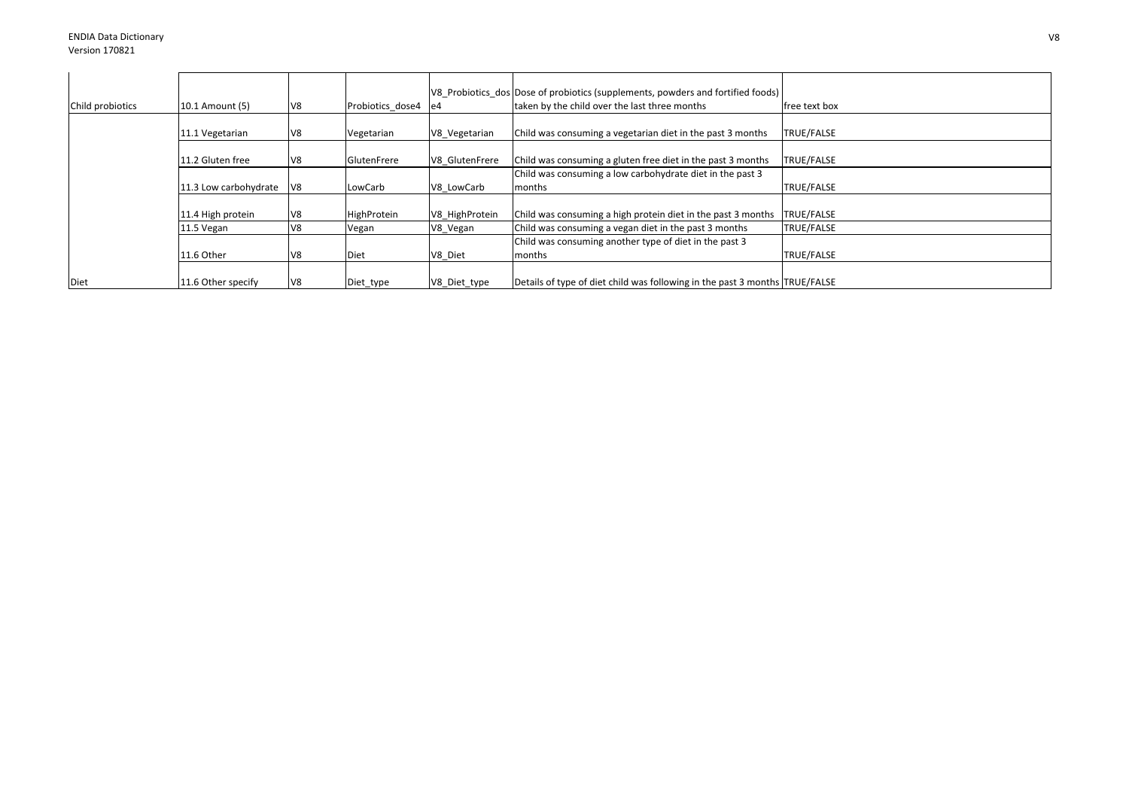|                  |                       |                 |                  |                | V8 Probiotics dos Dose of probiotics (supplements, powders and fortified foods) |                   |
|------------------|-----------------------|-----------------|------------------|----------------|---------------------------------------------------------------------------------|-------------------|
| Child probiotics | 10.1 Amount (5)       | V <sub>8</sub>  | Probiotics dose4 | e <sub>4</sub> | taken by the child over the last three months                                   | free text box     |
|                  |                       |                 |                  |                |                                                                                 |                   |
|                  | 11.1 Vegetarian       | V8              | Vegetarian       | V8 Vegetarian  | Child was consuming a vegetarian diet in the past 3 months                      | <b>TRUE/FALSE</b> |
|                  |                       |                 |                  |                |                                                                                 |                   |
|                  | 11.2 Gluten free      | IV <sub>8</sub> | GlutenFrere      | V8 GlutenFrere | Child was consuming a gluten free diet in the past 3 months                     | <b>TRUE/FALSE</b> |
|                  |                       |                 |                  |                | Child was consuming a low carbohydrate diet in the past 3                       |                   |
|                  | 11.3 Low carbohydrate | $\mathsf{V}8$   | LowCarb          | V8 LowCarb     | months                                                                          | TRUE/FALSE        |
|                  |                       |                 |                  |                |                                                                                 |                   |
|                  | 11.4 High protein     | V <sub>8</sub>  | HighProtein      | V8 HighProtein | Child was consuming a high protein diet in the past 3 months                    | TRUE/FALSE        |
|                  | 11.5 Vegan            | V8              | Vegan            | V8 Vegan       | Child was consuming a vegan diet in the past 3 months                           | TRUE/FALSE        |
|                  |                       |                 |                  |                | Child was consuming another type of diet in the past 3                          |                   |
|                  | 11.6 Other            | V <sub>8</sub>  | Diet             | V8 Diet        | months                                                                          | <b>TRUE/FALSE</b> |
|                  |                       |                 |                  |                |                                                                                 |                   |
| Diet             | 11.6 Other specify    | V <sub>8</sub>  | Diet_type        | V8_Diet_type   | Details of type of diet child was following in the past 3 months TRUE/FALSE     |                   |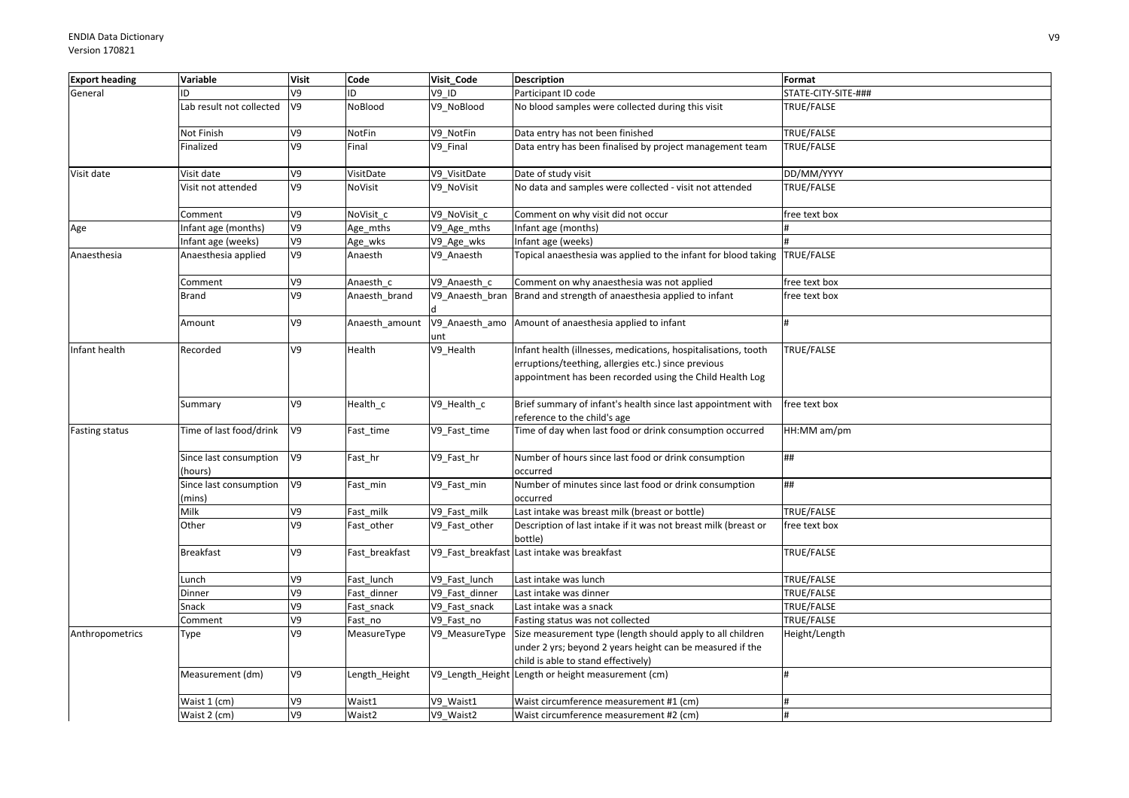| <b>Export heading</b> | Variable                          | <b>Visit</b>   | Code           | Visit Code      | <b>Description</b>                                                                                                                                                                | Format              |
|-----------------------|-----------------------------------|----------------|----------------|-----------------|-----------------------------------------------------------------------------------------------------------------------------------------------------------------------------------|---------------------|
| General               | ID                                | V9             | ID.            | <b>V9 ID</b>    | Participant ID code                                                                                                                                                               | STATE-CITY-SITE-### |
|                       | Lab result not collected          | V9             | NoBlood        | V9 NoBlood      | No blood samples were collected during this visit                                                                                                                                 | TRUE/FALSE          |
|                       | Not Finish                        | V9             | NotFin         | V9 NotFin       | Data entry has not been finished                                                                                                                                                  | TRUE/FALSE          |
|                       | Finalized                         | V9             | Final          | V9 Final        | Data entry has been finalised by project management team                                                                                                                          | TRUE/FALSE          |
| Visit date            | Visit date                        | V9             | VisitDate      | V9_VisitDate    | Date of study visit                                                                                                                                                               | DD/MM/YYYY          |
|                       | Visit not attended                | V9             | NoVisit        | V9_NoVisit      | No data and samples were collected - visit not attended                                                                                                                           | TRUE/FALSE          |
|                       | Comment                           | V9             | NoVisit c      | V9 NoVisit c    | Comment on why visit did not occur                                                                                                                                                | free text box       |
| Age                   | Infant age (months)               | V9             | Age_mths       | V9_Age_mths     | Infant age (months)                                                                                                                                                               |                     |
|                       | Infant age (weeks)                | V9             | Age_wks        | V9_Age_wks      | Infant age (weeks)                                                                                                                                                                |                     |
| Anaesthesia           | Anaesthesia applied               | V9             | Anaesth        | V9_Anaesth      | Topical anaesthesia was applied to the infant for blood taking TRUE/FALSE                                                                                                         |                     |
|                       | Comment                           | V9             | Anaesth c      | V9 Anaesth c    | Comment on why anaesthesia was not applied                                                                                                                                        | free text box       |
|                       | <b>Brand</b>                      | V <sub>9</sub> | Anaesth_brand  | V9_Anaesth_bran | Brand and strength of anaesthesia applied to infant                                                                                                                               | free text box       |
|                       | Amount                            | V9             | Anaesth_amount | unt             | V9_Anaesth_amo Amount of anaesthesia applied to infant                                                                                                                            |                     |
| Infant health         | Recorded                          | V9             | Health         | V9_Health       | Infant health (illnesses, medications, hospitalisations, tooth<br>erruptions/teething, allergies etc.) since previous<br>appointment has been recorded using the Child Health Log | TRUE/FALSE          |
|                       | Summary                           | V9             | Health_c       | V9_Health_c     | Brief summary of infant's health since last appointment with<br>reference to the child's age                                                                                      | free text box       |
| <b>Fasting status</b> | Time of last food/drink           | V9             | Fast_time      | V9_Fast_time    | Time of day when last food or drink consumption occurred                                                                                                                          | HH:MM am/pm         |
|                       | Since last consumption<br>(hours) | V9             | Fast_hr        | V9_Fast_hr      | Number of hours since last food or drink consumption<br>occurred                                                                                                                  | ##                  |
|                       | Since last consumption<br>(mins)  | V9             | Fast_min       | V9_Fast_min     | Number of minutes since last food or drink consumption<br>occurred                                                                                                                | ##                  |
|                       | Milk                              | V9             | Fast_milk      | V9 Fast milk    | Last intake was breast milk (breast or bottle)                                                                                                                                    | TRUE/FALSE          |
|                       | Other                             | V9             | Fast_other     | V9 Fast other   | Description of last intake if it was not breast milk (breast or<br>bottle)                                                                                                        | free text box       |
|                       | <b>Breakfast</b>                  | V9             | Fast breakfast |                 | V9 Fast breakfast Last intake was breakfast                                                                                                                                       | TRUE/FALSE          |
|                       | Lunch                             | V9             | Fast lunch     | V9 Fast lunch   | Last intake was lunch                                                                                                                                                             | TRUE/FALSE          |
|                       | Dinner                            | V9             | Fast dinner    | V9 Fast dinner  | Last intake was dinner                                                                                                                                                            | TRUE/FALSE          |
|                       | Snack                             | V9             | Fast_snack     | V9_Fast_snack   | Last intake was a snack                                                                                                                                                           | TRUE/FALSE          |
|                       | Comment                           | ev             | Fast_no        | V9 Fast no      | Fasting status was not collected                                                                                                                                                  | TRUE/FALSE          |
| Anthropometrics       | Type                              | V9             | MeasureType    | V9 MeasureType  | Size measurement type (length should apply to all children<br>under 2 yrs; beyond 2 years height can be measured if the<br>child is able to stand effectively)                    | Height/Length       |
|                       | Measurement (dm)                  | V9             | Length_Height  |                 | V9_Length_Height Length or height measurement (cm)                                                                                                                                | H                   |
|                       | Waist 1 (cm)                      | V9             | Waist1         | V9 Waist1       | Waist circumference measurement #1 (cm)                                                                                                                                           | #                   |
|                       | Waist 2 (cm)                      | V9             | Waist2         | V9 Waist2       | Waist circumference measurement #2 (cm)                                                                                                                                           |                     |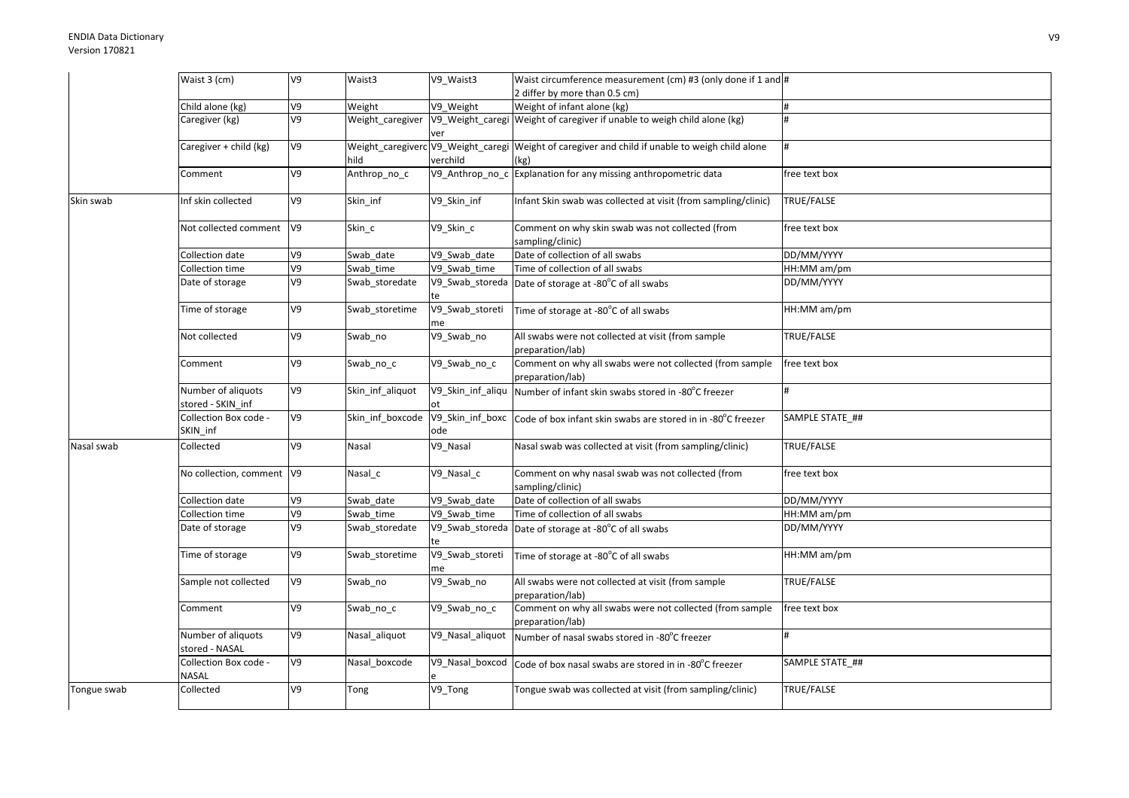|             | Waist 3 (cm)                            | V9             | Waist3           | V9 Waist3               | Waist circumference measurement (cm) #3 (only done if 1 and #                                           |                   |
|-------------|-----------------------------------------|----------------|------------------|-------------------------|---------------------------------------------------------------------------------------------------------|-------------------|
|             |                                         |                |                  |                         | 2 differ by more than 0.5 cm)                                                                           |                   |
|             | Child alone (kg)                        | V9             | Weight           | V9 Weight               | Weight of infant alone (kg)                                                                             | #                 |
|             | Caregiver (kg)                          | V9             | Weight_caregiver | ver                     | V9_Weight_caregi Weight of caregiver if unable to weigh child alone (kg)                                |                   |
|             | Caregiver + child (kg)                  | V9             | hild             | verchild                | Weight_caregiverc V9_Weight_caregi Weight of caregiver and child if unable to weigh child alone<br>(kg) | #                 |
|             | Comment                                 | V9             | Anthrop_no_c     |                         | V9_Anthrop_no_c Explanation for any missing anthropometric data                                         | free text box     |
| Skin swab   | nf skin collected                       | V9             | Skin_inf         | V9_Skin_inf             | Infant Skin swab was collected at visit (from sampling/clinic)                                          | TRUE/FALSE        |
|             | Not collected comment V9                |                | Skin_c           | V9_Skin_c               | Comment on why skin swab was not collected (from<br>sampling/clinic)                                    | free text box     |
|             | Collection date                         | V9             | Swab date        | V9 Swab date            | Date of collection of all swabs                                                                         | DD/MM/YYYY        |
|             | Collection time                         | V9             | Swab time        | V9 Swab time            | Time of collection of all swabs                                                                         | HH:MM am/pm       |
|             | Date of storage                         | V9             | Swab_storedate   |                         | V9_Swab_storeda Date of storage at -80°C of all swabs                                                   | DD/MM/YYYY        |
|             | Time of storage                         | V9             | Swab storetime   | V9_Swab_storeti<br>me   | Time of storage at -80°C of all swabs                                                                   | HH:MM am/pm       |
|             | Not collected                           | V9             | Swab_no          | V9_Swab_no              | All swabs were not collected at visit (from sample<br>preparation/lab)                                  | TRUE/FALSE        |
|             | Comment                                 | V9             | Swab_no_c        | V9_Swab_no_c            | Comment on why all swabs were not collected (from sample<br>preparation/lab)                            | free text box     |
|             | Number of aliquots<br>stored - SKIN_inf | V9             | Skin_inf_aliquot | V9_Skin_inf_aliqu       | Number of infant skin swabs stored in -80°C freezer                                                     | #                 |
|             | Collection Box code -<br>SKIN_inf       | V9             | Skin_inf_boxcode | V9_Skin_inf_boxc<br>ode | Code of box infant skin swabs are stored in in -80°C freezer                                            | SAMPLE STATE ##   |
| Nasal swab  | Collected                               | V9             | Nasal            | V9 Nasal                | Nasal swab was collected at visit (from sampling/clinic)                                                | TRUE/FALSE        |
|             | No collection, comment V9               |                | Nasal_c          | V9 Nasal c              | Comment on why nasal swab was not collected (from<br>sampling/clinic)                                   | free text box     |
|             | Collection date                         | V9             | Swab date        | V9 Swab date            | Date of collection of all swabs                                                                         | DD/MM/YYYY        |
|             | Collection time                         | V9             | Swab time        | V9 Swab time            | Time of collection of all swabs                                                                         | HH:MM am/pm       |
|             | Date of storage                         | V9             | Swab_storedate   |                         | V9_Swab_storeda Date of storage at -80°C of all swabs                                                   | DD/MM/YYYY        |
|             | Time of storage                         | V9             | Swab_storetime   | V9_Swab_storeti<br>me   | Time of storage at -80°C of all swabs                                                                   | HH:MM am/pm       |
|             | Sample not collected                    | V <sub>9</sub> | Swab_no          | V9_Swab_no              | All swabs were not collected at visit (from sample<br>preparation/lab)                                  | <b>TRUE/FALSE</b> |
|             | Comment                                 | V9             | Swab_no_c        | V9_Swab_no_c            | Comment on why all swabs were not collected (from sample<br>preparation/lab)                            | free text box     |
|             | Number of aliquots<br>stored - NASAL    | V9             | Nasal_aliquot    | V9_Nasal_aliquot        | Number of nasal swabs stored in -80°C freezer                                                           | #                 |
|             | Collection Box code -<br>NASAL          | V9             | Nasal_boxcode    | V9_Nasal_boxcod         | Code of box nasal swabs are stored in in -80°C freezer                                                  | SAMPLE STATE ##   |
| Tongue swab | Collected                               | V9             | Tong             | V9_Tong                 | Tongue swab was collected at visit (from sampling/clinic)                                               | TRUE/FALSE        |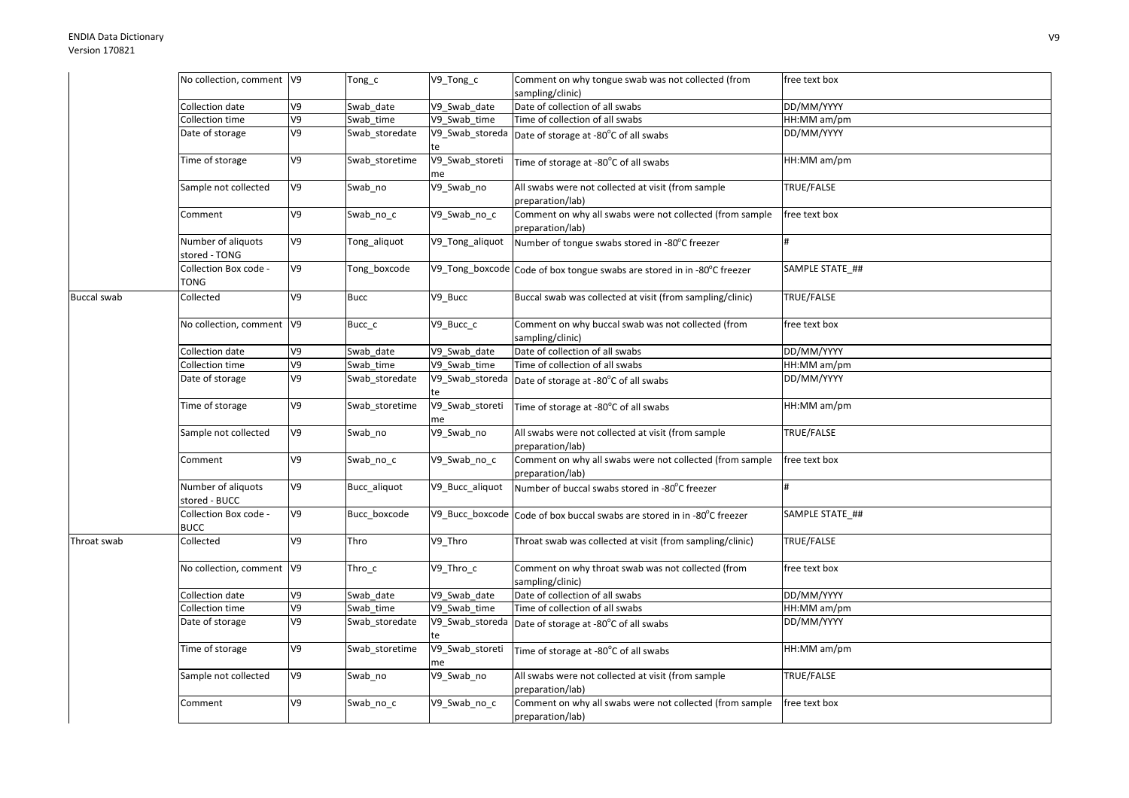## ENDIA Data DictionaryVersion 170821

|                    | No collection, comment V9            |                | Tong_c         | V9_Tong_c             | Comment on why tongue swab was not collected (from                           | free text box   |
|--------------------|--------------------------------------|----------------|----------------|-----------------------|------------------------------------------------------------------------------|-----------------|
|                    |                                      |                |                |                       | sampling/clinic)                                                             |                 |
|                    | Collection date                      | V <sub>9</sub> | Swab date      | V9_Swab_date          | Date of collection of all swabs                                              | DD/MM/YYYY      |
|                    | Collection time                      | V9             | Swab time      | V9 Swab time          | Time of collection of all swabs                                              | HH:MM am/pm     |
|                    | Date of storage                      | V9             | Swab_storedate | V9_Swab_storeda<br>te | Date of storage at -80°C of all swabs                                        | DD/MM/YYYY      |
|                    | Time of storage                      | V9             | Swab storetime | V9_Swab_storeti<br>me | Time of storage at -80°C of all swabs                                        | HH:MM am/pm     |
|                    | Sample not collected                 | V9             | Swab_no        | V9_Swab_no            | All swabs were not collected at visit (from sample<br>preparation/lab)       | TRUE/FALSE      |
|                    | Comment                              | V9             | Swab_no_c      | V9_Swab_no_c          | Comment on why all swabs were not collected (from sample<br>preparation/lab) | free text box   |
|                    | Number of aliquots<br>stored - TONG  | V9             | Tong_aliquot   | V9_Tong_aliquot       | Number of tongue swabs stored in -80°C freezer                               | #               |
|                    | Collection Box code -<br><b>TONG</b> | V9             | Tong boxcode   |                       | V9_Tong_boxcode Code of box tongue swabs are stored in in -80°C freezer      | SAMPLE STATE ## |
| <b>Buccal swab</b> | Collected                            | V9             | <b>Bucc</b>    | V9_Bucc               | Buccal swab was collected at visit (from sampling/clinic)                    | TRUE/FALSE      |
|                    | No collection, comment  V9           |                | Bucc_c         | V9_Bucc_c             | Comment on why buccal swab was not collected (from<br>sampling/clinic)       | free text box   |
|                    | Collection date                      | V9             | Swab_date      | V9_Swab_date          | Date of collection of all swabs                                              | DD/MM/YYYY      |
|                    | Collection time                      | V9             | Swab time      | V9 Swab time          | Time of collection of all swabs                                              | HH:MM am/pm     |
|                    | Date of storage                      | V9             | Swab storedate | V9_Swab_storeda       | Date of storage at -80°C of all swabs                                        | DD/MM/YYYY      |
|                    | Time of storage                      | V9             | Swab storetime | V9_Swab_storeti       | Time of storage at -80°C of all swabs                                        | HH:MM am/pm     |
|                    | Sample not collected                 | V9             | Swab_no        | V9_Swab_no            | All swabs were not collected at visit (from sample<br>preparation/lab)       | TRUE/FALSE      |
|                    | Comment                              | V9             | Swab_no_c      | V9_Swab_no_c          | Comment on why all swabs were not collected (from sample<br>preparation/lab) | free text box   |
|                    | Number of aliquots<br>stored - BUCC  | V9             | Bucc_aliquot   | V9_Bucc_aliquot       | Number of buccal swabs stored in -80°C freezer                               |                 |
|                    | Collection Box code -<br><b>BUCC</b> | V9             | Bucc boxcode   | V9 Bucc boxcode       | Code of box buccal swabs are stored in in -80°C freezer                      | SAMPLE STATE ## |
| Throat swab        | Collected                            | V9             | Thro           | V9_Thro               | Throat swab was collected at visit (from sampling/clinic)                    | TRUE/FALSE      |
|                    | No collection, comment  V9           |                | $Thro_c$       | V9_Thro_c             | Comment on why throat swab was not collected (from<br>sampling/clinic)       | free text box   |
|                    | Collection date                      | V9             | Swab date      | V9 Swab date          | Date of collection of all swabs                                              | DD/MM/YYYY      |
|                    | Collection time                      | V9             | Swab_time      | V9 Swab time          | Time of collection of all swabs                                              | HH:MM am/pm     |
|                    | Date of storage                      | V9             | Swab storedate | V9_Swab_storeda<br>te | Date of storage at -80°C of all swabs                                        | DD/MM/YYYY      |
|                    | Time of storage                      | V9             | Swab_storetime | V9_Swab_storeti<br>me | Time of storage at -80°C of all swabs                                        | HH:MM am/pm     |
|                    | Sample not collected                 | V9             | Swab_no        | V9_Swab_no            | All swabs were not collected at visit (from sample<br>preparation/lab)       | TRUE/FALSE      |
|                    | Comment                              | V9             | Swab_no_c      | V9_Swab_no_c          | Comment on why all swabs were not collected (from sample<br>preparation/lab) | free text box   |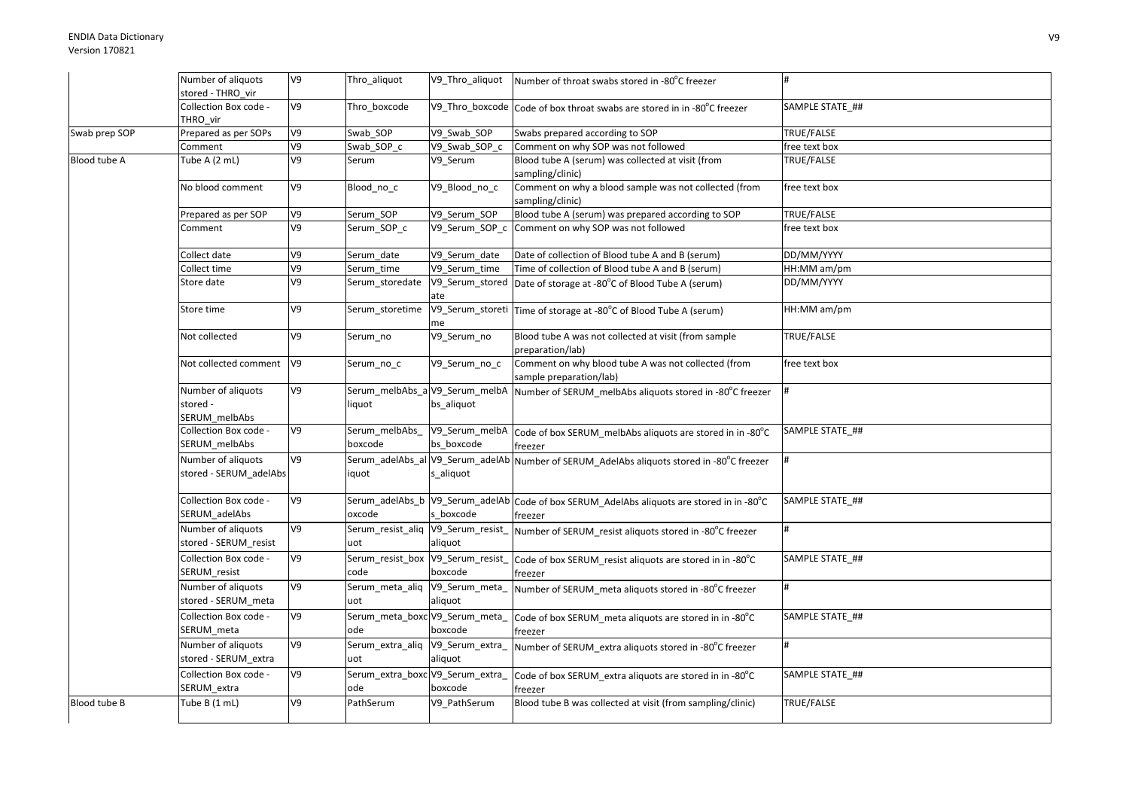|               | Number of aliquots                              | V9             | Thro_aliquot                             | V9_Thro_aliquot                               | Number of throat swabs stored in -80°C freezer                                                       |                 |
|---------------|-------------------------------------------------|----------------|------------------------------------------|-----------------------------------------------|------------------------------------------------------------------------------------------------------|-----------------|
|               | stored - THRO vir                               |                |                                          |                                               |                                                                                                      |                 |
|               | Collection Box code -<br>THRO vir               | V9             | Thro_boxcode                             |                                               | V9_Thro_boxcode Code of box throat swabs are stored in in -80°C freezer                              | SAMPLE STATE ## |
| Swab prep SOP | Prepared as per SOPs                            | V9             | Swab SOP                                 | V9 Swab SOP                                   | Swabs prepared according to SOP                                                                      | TRUE/FALSE      |
|               | Comment                                         | V9             | Swab SOP c                               | V9_Swab_SOP_c                                 | Comment on why SOP was not followed                                                                  | free text box   |
| Blood tube A  | Tube A (2 mL)                                   | V9             | Serum                                    | V9 Serum                                      | Blood tube A (serum) was collected at visit (from<br>sampling/clinic)                                | TRUE/FALSE      |
|               | No blood comment                                | V9             | Blood_no_c                               | V9_Blood_no_c                                 | Comment on why a blood sample was not collected (from<br>sampling/clinic)                            | free text box   |
|               | Prepared as per SOP                             | V9             | Serum SOP                                | V9 Serum SOP                                  | Blood tube A (serum) was prepared according to SOP                                                   | TRUE/FALSE      |
|               | Comment                                         | V9             | Serum_SOP_c                              |                                               | V9_Serum_SOP_c Comment on why SOP was not followed                                                   | free text box   |
|               | Collect date                                    | V9             | Serum_date                               | V9_Serum_date                                 | Date of collection of Blood tube A and B (serum)                                                     | DD/MM/YYYY      |
|               | Collect time                                    | V9             | Serum time                               | V9 Serum time                                 | Time of collection of Blood tube A and B (serum)                                                     | HH:MM am/pm     |
|               | Store date                                      | V9             | Serum storedate                          | ate                                           | V9_Serum_stored Date of storage at -80°C of Blood Tube A (serum)                                     | DD/MM/YYYY      |
|               | Store time                                      | V9             | Serum_storetime                          | me                                            | V9_Serum_storeti   Time of storage at -80°C of Blood Tube A (serum)                                  | HH:MM am/pm     |
|               | Not collected                                   | V9             | Serum_no                                 | V9_Serum_no                                   | Blood tube A was not collected at visit (from sample<br>preparation/lab)                             | TRUE/FALSE      |
|               | Not collected comment                           | V <sub>9</sub> | Serum_no_c                               | V9_Serum_no_c                                 | Comment on why blood tube A was not collected (from<br>sample preparation/lab)                       | free text box   |
|               | Number of aliquots<br>stored -<br>SERUM_melbAbs | V9             | Serum_melbAbs_a V9_Serum_melbA<br>liquot | bs_aliquot                                    | Number of SERUM_melbAbs aliquots stored in -80°C freezer                                             |                 |
|               | Collection Box code -<br>SERUM melbAbs          | V9             | Serum_melbAbs<br>boxcode                 | V9_Serum_melbA<br>bs boxcode                  | Code of box SERUM_melbAbs aliquots are stored in in -80°C<br>freezer                                 | SAMPLE STATE ## |
|               | Number of aliquots<br>stored - SERUM adelAbs    | V9             | iquot                                    | Serum adelAbs al V9 Serum adelAb<br>s aliquot | Number of SERUM AdelAbs aliquots stored in -80°C freezer                                             |                 |
|               | Collection Box code -<br>SERUM_adelAbs          | V9             | oxcode                                   | s boxcode                                     | Serum_adelAbs_b V9_Serum_adelAb Code of box SERUM_AdelAbs aliquots are stored in in -80°C<br>freezer | SAMPLE STATE ## |
|               | Number of aliquots<br>stored - SERUM_resist     | V9             | Serum resist aliq V9 Serum resist<br>uot | aliquot                                       | Number of SERUM resist aliquots stored in -80°C freezer                                              | #               |
|               | Collection Box code -<br>SERUM_resist           | V9             | Serum_resist_box<br>code                 | V9_Serum_resist<br>boxcode                    | Code of box SERUM_resist aliquots are stored in in -80°C<br>freezer                                  | SAMPLE STATE ## |
|               | Number of aliquots<br>stored - SERUM_meta       | V9             | Serum_meta_aliq V9_Serum_meta_<br>uot    | aliquot                                       | Number of SERUM meta aliquots stored in -80°C freezer                                                |                 |
|               | Collection Box code -<br>SERUM_meta             | V9             | Serum_meta_boxc V9_Serum_meta<br>ode     | boxcode                                       | Code of box SERUM meta aliquots are stored in in -80°C<br>freezer                                    | SAMPLE STATE ## |
|               | Number of aliquots<br>stored - SERUM_extra      | V9             | Serum_extra_aliq V9_Serum_extra_<br>uot  | aliquot                                       | Number of SERUM extra aliquots stored in -80°C freezer                                               | #               |
|               | Collection Box code -<br>SERUM_extra            | V9             | Serum_extra_boxc V9_Serum_extra_<br>ode  | boxcode                                       | Code of box SERUM_extra aliquots are stored in in -80°C<br>freezer                                   | SAMPLE STATE ## |
| Blood tube B  | Tube B (1 mL)                                   | V9             | PathSerum                                | V9_PathSerum                                  | Blood tube B was collected at visit (from sampling/clinic)                                           | TRUE/FALSE      |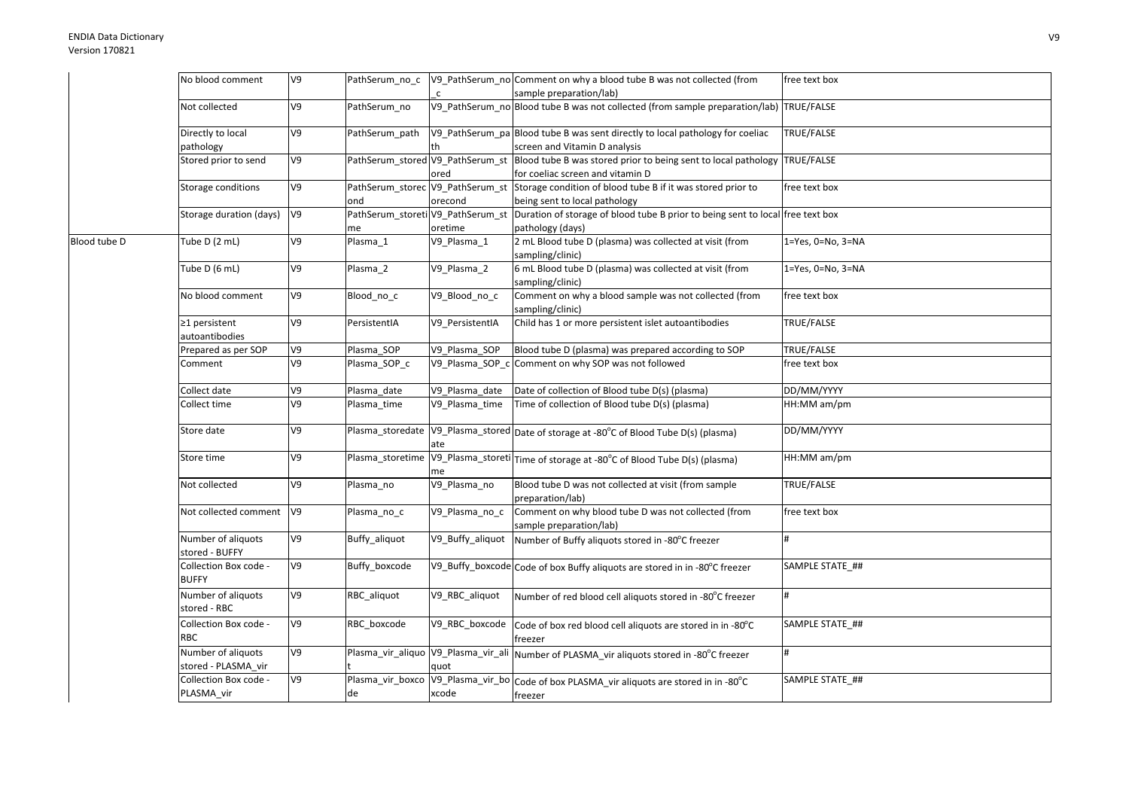|              | No blood comment                          | V9 | PathSerum no c   |                                          | V9 PathSerum no Comment on why a blood tube B was not collected (from                                   | free text box     |
|--------------|-------------------------------------------|----|------------------|------------------------------------------|---------------------------------------------------------------------------------------------------------|-------------------|
|              |                                           |    |                  |                                          | sample preparation/lab)                                                                                 |                   |
|              | Not collected                             | V9 | PathSerum no     |                                          | V9_PathSerum_no Blood tube B was not collected (from sample preparation/lab) TRUE/FALSE                 |                   |
|              | Directly to local                         | V9 | PathSerum path   |                                          | V9_PathSerum_pa Blood tube B was sent directly to local pathology for coeliac                           | TRUE/FALSE        |
|              | pathology                                 |    |                  | th                                       | screen and Vitamin D analysis                                                                           |                   |
|              | Stored prior to send                      | V9 |                  | PathSerum_stored V9_PathSerum_st<br>ored | Blood tube B was stored prior to being sent to local pathology<br>for coeliac screen and vitamin D      | TRUE/FALSE        |
|              | Storage conditions                        | V9 |                  | PathSerum_storec V9_PathSerum_st         | Storage condition of blood tube B if it was stored prior to                                             | free text box     |
|              |                                           |    | ond              | orecond                                  | being sent to local pathology                                                                           |                   |
|              | Storage duration (days)                   | V9 |                  | PathSerum_storeti V9_PathSerum_st        | Duration of storage of blood tube B prior to being sent to local free text box                          |                   |
|              |                                           |    | me               | oretime                                  | pathology (days)                                                                                        |                   |
| Blood tube D | Tube D (2 mL)                             | V9 | Plasma 1         | V9_Plasma_1                              | 2 mL Blood tube D (plasma) was collected at visit (from<br>sampling/clinic)                             | 1=Yes, 0=No, 3=NA |
|              | Tube D (6 mL)                             | V9 | Plasma_2         | V9_Plasma_2                              | 6 mL Blood tube D (plasma) was collected at visit (from<br>sampling/clinic)                             | 1=Yes, 0=No, 3=NA |
|              | No blood comment                          | V9 | Blood_no_c       | V9_Blood_no_c                            | Comment on why a blood sample was not collected (from<br>sampling/clinic)                               | free text box     |
|              | ≥1 persistent<br>autoantibodies           | V9 | PersistentIA     | V9 PersistentIA                          | Child has 1 or more persistent islet autoantibodies                                                     | TRUE/FALSE        |
|              | Prepared as per SOP                       | V9 | Plasma SOP       | V9 Plasma SOP                            | Blood tube D (plasma) was prepared according to SOP                                                     | TRUE/FALSE        |
|              | Comment                                   | V9 | Plasma_SOP_c     | V9_Plasma_SOP_c                          | Comment on why SOP was not followed                                                                     | free text box     |
|              | Collect date                              | V9 | Plasma date      | V9_Plasma_date                           | Date of collection of Blood tube D(s) (plasma)                                                          | DD/MM/YYYY        |
|              | Collect time                              | V9 | Plasma_time      | V9 Plasma time                           | Time of collection of Blood tube D(s) (plasma)                                                          | HH:MM am/pm       |
|              | Store date                                | V9 |                  | ate                                      | Plasma_storedate   V9_Plasma_stored   Date of storage at -80°C of Blood Tube D(s) (plasma)              | DD/MM/YYYY        |
|              | Store time                                | V9 | Plasma storetime | me                                       | V9_Plasma_storeti Time of storage at -80°C of Blood Tube D(s) (plasma)                                  | HH:MM am/pm       |
|              | Not collected                             | V9 | Plasma_no        | V9_Plasma_no                             | Blood tube D was not collected at visit (from sample<br>preparation/lab)                                | TRUE/FALSE        |
|              | Not collected comment                     | V9 | Plasma_no_c      | V9_Plasma_no_c                           | Comment on why blood tube D was not collected (from<br>sample preparation/lab)                          | free text box     |
|              | Number of aliquots<br>stored - BUFFY      | V9 | Buffy_aliquot    | V9_Buffy_aliquot                         | Number of Buffy aliquots stored in -80°C freezer                                                        |                   |
|              | Collection Box code -<br><b>BUFFY</b>     | V9 | Buffy boxcode    |                                          | V9_Buffy_boxcode Code of box Buffy aliquots are stored in in -80°C freezer                              | SAMPLE STATE_##   |
|              | Number of aliquots<br>stored - RBC        | V9 | RBC_aliquot      | V9_RBC_aliquot                           | Number of red blood cell aliquots stored in -80°C freezer                                               | #                 |
|              | Collection Box code -<br><b>RBC</b>       | V9 | RBC boxcode      | V9_RBC_boxcode                           | Code of box red blood cell aliquots are stored in in -80°C<br>freezer                                   | SAMPLE STATE ##   |
|              | Number of aliquots<br>stored - PLASMA_vir | V9 |                  | quot                                     | Plasma_vir_aliquo V9_Plasma_vir_ali Number of PLASMA_vir aliquots stored in -80°C freezer               |                   |
|              | Collection Box code -<br>PLASMA vir       | V9 | de               | xcode                                    | Plasma_vir_boxco   V9_Plasma_vir_bo   Code of box PLASMA_vir aliquots are stored in in -80°C<br>freezer | SAMPLE STATE ##   |
|              |                                           |    |                  |                                          |                                                                                                         |                   |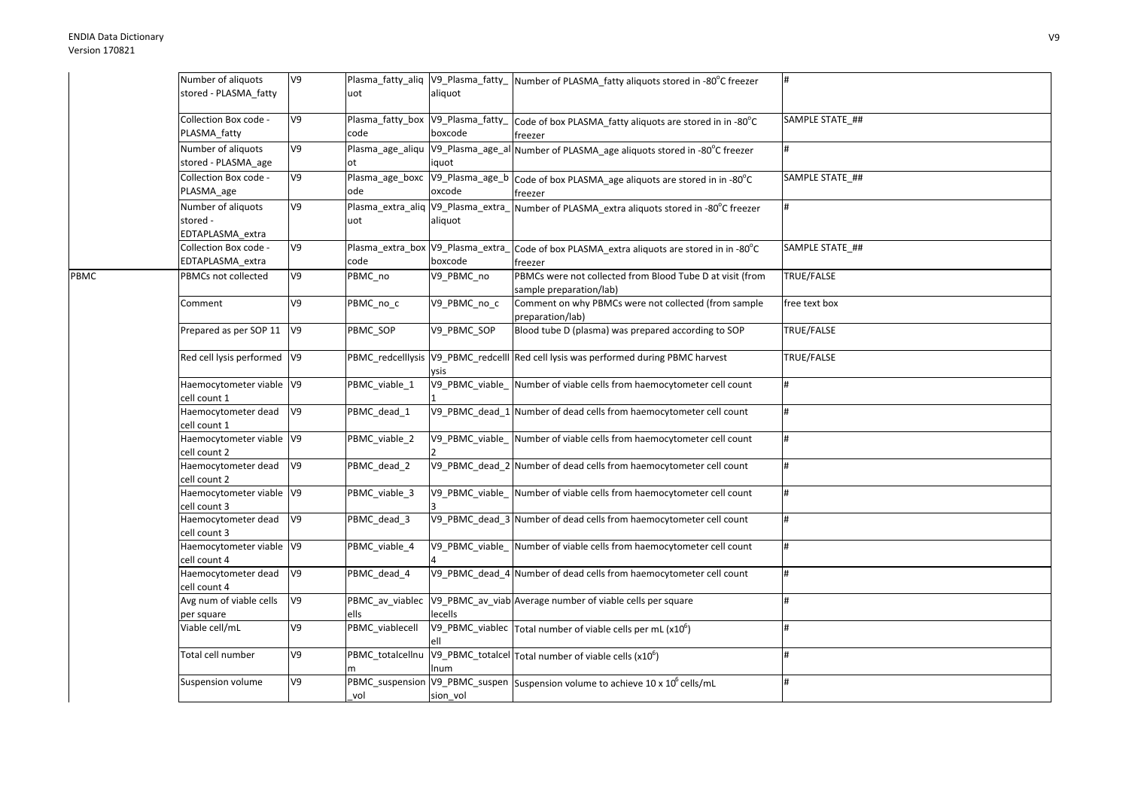|      | Number of aliquots           | V9             |                                    |              | Plasma_fatty_aliq  V9_Plasma_fatty_  Number of PLASMA_fatty aliquots stored in -80°C freezer |                  |
|------|------------------------------|----------------|------------------------------------|--------------|----------------------------------------------------------------------------------------------|------------------|
|      | stored - PLASMA_fatty        |                | uot                                | aliquot      |                                                                                              |                  |
|      |                              |                |                                    |              |                                                                                              |                  |
|      | Collection Box code -        | V <sub>9</sub> |                                    |              | Plasma_fatty_box V9_Plasma_fatty_ Code of box PLASMA_fatty aliquots are stored in in -80°C   | SAMPLE STATE_##  |
|      | PLASMA fatty                 |                | code                               | boxcode      | freezer                                                                                      |                  |
|      | Number of aliquots           | V9             |                                    |              | Plasma_age_aliqu  V9_Plasma_age_al Number of PLASMA_age aliquots stored in -80°C freezer     | #                |
|      |                              |                | ot                                 |              |                                                                                              |                  |
|      | stored - PLASMA_age          |                |                                    | iquot        |                                                                                              |                  |
|      | Collection Box code -        | V9             | Plasma_age_boxc                    |              | V9_Plasma_age_b Code of box PLASMA_age aliquots are stored in in -80°C                       | SAMPLE STATE ##  |
|      | PLASMA_age                   |                | ode                                | oxcode       | freezer                                                                                      |                  |
|      | Number of aliquots           | V9             | Plasma_extra_aliq V9_Plasma_extra_ |              | Number of PLASMA_extra aliquots stored in -80°C freezer                                      |                  |
|      | stored -                     |                | uot                                | aliquot      |                                                                                              |                  |
|      | EDTAPLASMA extra             |                |                                    |              |                                                                                              |                  |
|      | Collection Box code -        | V9             | Plasma_extra_box V9_Plasma_extra_  |              | Code of box PLASMA extra aliquots are stored in in -80°C                                     | SAMPLE STATE_##  |
|      | EDTAPLASMA_extra             |                | code                               | boxcode      | freezer                                                                                      |                  |
| PBMC | PBMCs not collected          | V9             | PBMC_no                            | V9_PBMC_no   | PBMCs were not collected from Blood Tube D at visit (from                                    | TRUE/FALSE       |
|      |                              |                |                                    |              | sample preparation/lab)                                                                      |                  |
|      | Comment                      | V9             | PBMC_no_c                          | V9_PBMC_no_c | Comment on why PBMCs were not collected (from sample                                         | free text box    |
|      |                              |                |                                    |              | preparation/lab)                                                                             |                  |
|      | Prepared as per SOP 11       | V <sub>9</sub> | PBMC SOP                           | V9 PBMC SOP  | Blood tube D (plasma) was prepared according to SOP                                          | TRUE/FALSE       |
|      |                              |                |                                    |              |                                                                                              |                  |
|      | Red cell lysis performed  V9 |                |                                    |              | PBMC_redcelllysis V9_PBMC_redcelll Red cell lysis was performed during PBMC harvest          | TRUE/FALSE       |
|      |                              |                |                                    |              |                                                                                              |                  |
|      |                              |                |                                    | /sis         |                                                                                              | #                |
|      | Haemocytometer viable V9     |                | PBMC_viable_1                      |              | V9_PBMC_viable_ Number of viable cells from haemocytometer cell count                        |                  |
|      | cell count 1                 |                |                                    |              |                                                                                              |                  |
|      | Haemocytometer dead          | V <sub>9</sub> | PBMC_dead_1                        |              | V9_PBMC_dead_1 Number of dead cells from haemocytometer cell count                           | #                |
|      | cell count 1                 |                |                                    |              |                                                                                              |                  |
|      | Haemocytometer viable V9     |                | PBMC_viable_2                      |              | V9_PBMC_viable_ Number of viable cells from haemocytometer cell count                        |                  |
|      | cell count 2                 |                |                                    |              |                                                                                              |                  |
|      | Haemocytometer dead          | V9             | PBMC_dead_2                        |              | V9_PBMC_dead_2 Number of dead cells from haemocytometer cell count                           | #                |
|      | cell count 2                 |                |                                    |              |                                                                                              |                  |
|      | Haemocytometer viable V9     |                | PBMC_viable_3                      |              | V9_PBMC_viable_ Number of viable cells from haemocytometer cell count                        | #                |
|      | cell count 3                 |                |                                    |              |                                                                                              |                  |
|      | Haemocytometer dead          | V9             | PBMC dead 3                        |              | V9_PBMC_dead_3 Number of dead cells from haemocytometer cell count                           | #                |
|      | cell count 3                 |                |                                    |              |                                                                                              |                  |
|      | Haemocytometer viable V9     |                | PBMC_viable_4                      |              | V9_PBMC_viable_Number of viable cells from haemocytometer cell count                         | #                |
|      | cell count 4                 |                |                                    |              |                                                                                              |                  |
|      | Haemocytometer dead          | V9             | PBMC_dead_4                        |              | V9_PBMC_dead_4 Number of dead cells from haemocytometer cell count                           | #                |
|      | cell count 4                 |                |                                    |              |                                                                                              |                  |
|      | Avg num of viable cells      | V9             | PBMC_av_viablec                    |              | V9_PBMC_av_viab Average number of viable cells per square                                    | $\pmb{\text{H}}$ |
|      | per square                   |                | ells                               | lecells      |                                                                                              |                  |
|      | Viable cell/mL               | V9             | PBMC viablecell                    |              | V9_PBMC_viablec $\tau$ otal number of viable cells per mL (x10 <sup>6</sup> )                |                  |
|      |                              |                |                                    | ell          |                                                                                              |                  |
|      | Total cell number            | V9             | PBMC_totalcellnu                   |              | V9_PBMC_totalcel Total number of viable cells (x10 <sup>6</sup> )                            |                  |
|      |                              |                |                                    | num          |                                                                                              |                  |
|      | Suspension volume            | V9             |                                    |              | PBMC_suspension V9_PBMC_suspen Suspension volume to achieve 10 x 10 <sup>6</sup> cells/mL    |                  |
|      |                              |                | vol                                | sion vol     |                                                                                              |                  |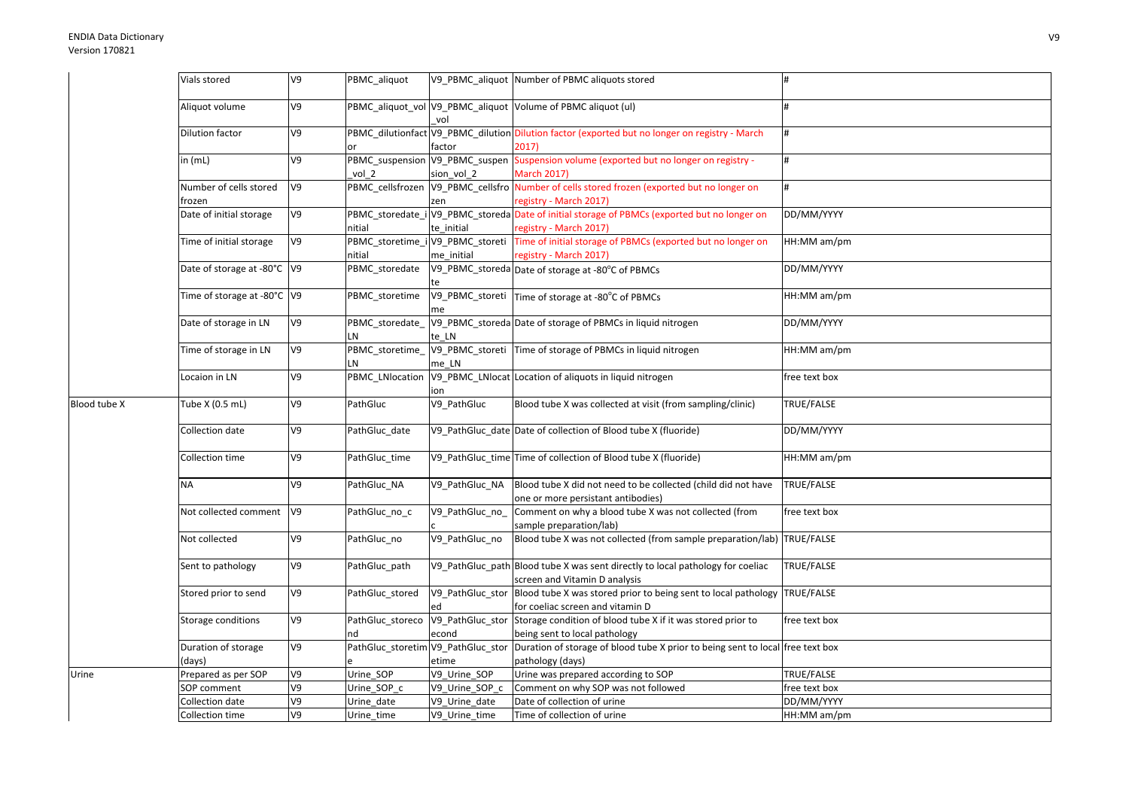|              | Vials stored                     | V <sub>9</sub> | PBMC_aliquot                               |                 | V9 PBMC aliquot Number of PBMC aliquots stored                                                                                                            |               |
|--------------|----------------------------------|----------------|--------------------------------------------|-----------------|-----------------------------------------------------------------------------------------------------------------------------------------------------------|---------------|
|              | Aliquot volume                   | V9             |                                            | vol             | PBMC_aliquot_vol V9_PBMC_aliquot Volume of PBMC aliquot (ul)                                                                                              |               |
|              | Dilution factor                  | V9             |                                            | factor          | PBMC_dilutionfact V9_PBMC_dilution Dilution factor (exported but no longer on registry - March<br>2017)                                                   | #             |
|              | in (mL)                          | V9             | vol <sub>2</sub>                           | sion vol 2      | PBMC_suspension V9_PBMC_suspen Suspension volume (exported but no longer on registry -<br><b>March 2017)</b>                                              | #             |
|              | Number of cells stored<br>frozen | V9             | PBMC_cellsfrozen                           | zen             | V9_PBMC_cellsfro Number of cells stored frozen (exported but no longer on<br>registry - March 2017)                                                       |               |
|              | Date of initial storage          | 60             | nitial                                     | te initial      | PBMC_storedate_i V9_PBMC_storeda Date of initial storage of PBMCs (exported but no longer on<br>registry - March 2017)                                    | DD/MM/YYYY    |
|              | Time of initial storage          | V9             | PBMC_storetime_i V9_PBMC_storeti<br>nitial | me initial      | Time of initial storage of PBMCs (exported but no longer on<br>registry - March 2017)                                                                     | HH:MM am/pm   |
|              | Date of storage at -80°C  V9     |                | PBMC storedate                             |                 | V9_PBMC_storeda Date of storage at -80°C of PBMCs                                                                                                         | DD/MM/YYYY    |
|              | Time of storage at -80°C  V9     |                | PBMC storetime                             | me              | V9_PBMC_storeti Time of storage at -80°C of PBMCs                                                                                                         | HH:MM am/pm   |
|              | Date of storage in LN            | V9             | LN                                         | te LN           | PBMC_storedate_V9_PBMC_storeda Date of storage of PBMCs in liquid nitrogen                                                                                | DD/MM/YYYY    |
|              | Time of storage in LN            | V <sub>9</sub> | PBMC_storetime_<br>LN                      | me LN           | V9_PBMC_storeti Time of storage of PBMCs in liquid nitrogen                                                                                               | HH:MM am/pm   |
|              | Locaion in LN                    | V9             | PBMC_LNlocation                            | on              | V9_PBMC_LNlocat Location of aliquots in liquid nitrogen                                                                                                   | free text box |
| Blood tube X | Tube X (0.5 mL)                  | V9             | PathGluc                                   | V9 PathGluc     | Blood tube X was collected at visit (from sampling/clinic)                                                                                                | TRUE/FALSE    |
|              | Collection date                  | V9             | PathGluc_date                              |                 | V9_PathGluc_date Date of collection of Blood tube X (fluoride)                                                                                            | DD/MM/YYYY    |
|              | Collection time                  | V9             | PathGluc_time                              |                 | V9 PathGluc time Time of collection of Blood tube X (fluoride)                                                                                            | HH:MM am/pm   |
|              | <b>NA</b>                        | V9             | PathGluc NA                                | V9 PathGluc NA  | Blood tube X did not need to be collected (child did not have<br>one or more persistant antibodies)                                                       | TRUE/FALSE    |
|              | Not collected comment            | V9             | PathGluc_no_c                              | V9_PathGluc_no_ | Comment on why a blood tube X was not collected (from<br>sample preparation/lab)                                                                          | free text box |
|              | Not collected                    | V9             | PathGluc_no                                | V9_PathGluc_no  | Blood tube X was not collected (from sample preparation/lab) TRUE/FALSE<br>V9_PathGluc_path Blood tube X was sent directly to local pathology for coeliac | TRUE/FALSE    |
|              | Sent to pathology                | V9             | PathGluc_path                              |                 | screen and Vitamin D analysis<br>V9_PathGluc_stor Blood tube X was stored prior to being sent to local pathology TRUE/FALSE                               |               |
|              | Stored prior to send             | V9             | PathGluc_stored                            | ed              | for coeliac screen and vitamin D                                                                                                                          |               |
|              | Storage conditions               | V9             | PathGluc storeco<br>nd                     | econd           | V9_PathGluc_stor Storage condition of blood tube X if it was stored prior to<br>being sent to local pathology                                             | free text box |
|              | Duration of storage<br>days)     | V9             |                                            | etime           | PathGluc_storetim V9_PathGluc_stor Duration of storage of blood tube X prior to being sent to local free text box<br>pathology (days)                     |               |
| Urine        | Prepared as per SOP              | V9             | Urine_SOP                                  | V9_Urine_SOP    | Urine was prepared according to SOP                                                                                                                       | TRUE/FALSE    |
|              | SOP comment                      | V9             | Urine SOP c                                | V9 Urine SOP c  | Comment on why SOP was not followed                                                                                                                       | free text box |
|              | Collection date                  | V9             | Urine date                                 | V9 Urine date   | Date of collection of urine                                                                                                                               | DD/MM/YYYY    |
|              | Collection time                  | V9             | Urine_time                                 | V9_Urine_time   | Time of collection of urine                                                                                                                               | HH:MM am/pm   |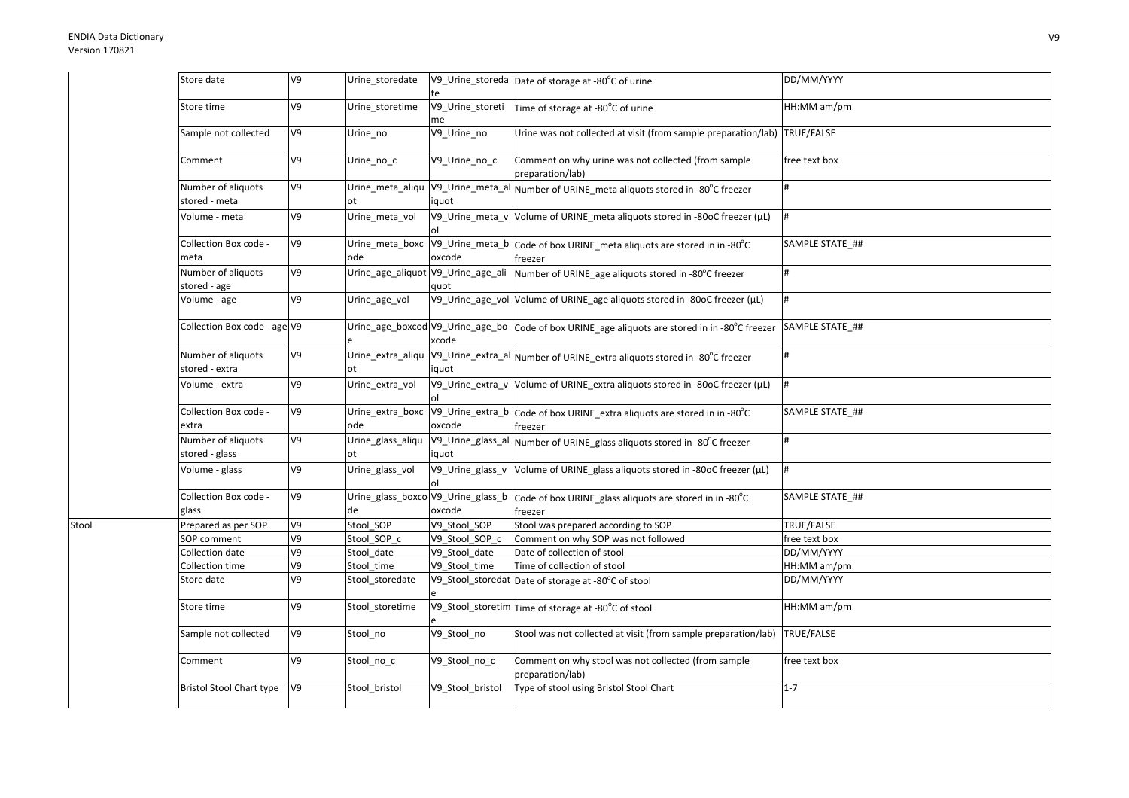Stool

| Store date                           | V9             | Urine_storedate                          | te                     | V9_Urine_storeda Date of storage at -80°C of urine                                             | DD/MM/YYYY      |
|--------------------------------------|----------------|------------------------------------------|------------------------|------------------------------------------------------------------------------------------------|-----------------|
| Store time                           | V9             | Urine_storetime                          | V9_Urine_storeti<br>me | Time of storage at -80°C of urine                                                              | HH:MM am/pm     |
| Sample not collected                 | V9             | Urine_no                                 | V9_Urine_no            | Urine was not collected at visit (from sample preparation/lab) TRUE/FALSE                      |                 |
| Comment                              | V9             | Urine_no_c                               | V9_Urine_no_c          | Comment on why urine was not collected (from sample<br>preparation/lab)                        | free text box   |
| Number of aliquots<br>stored - meta  | V9             | Urine_meta_aliqu<br>ot                   | iquot                  | V9_Urine_meta_al Number of URINE_meta aliquots stored in -80°C freezer                         |                 |
| Volume - meta                        | V9             | Urine_meta_vol                           |                        | V9_Urine_meta_v Volume of URINE_meta aliquots stored in -80oC freezer (µL)                     |                 |
| Collection Box code -<br>meta        | V9             | Urine_meta_boxc<br>ode                   | oxcode                 | V9_Urine_meta_b Code of box URINE_meta aliquots are stored in in -80°C<br>freezer              | SAMPLE STATE ## |
| Number of aliquots<br>stored - age   | V9             | Urine_age_aliquot V9_Urine_age_ali       | quot                   | Number of URINE_age aliquots stored in -80°C freezer                                           |                 |
| Volume - age                         | V9             | Urine_age_vol                            |                        | V9_Urine_age_vol Volume of URINE_age aliquots stored in -80oC freezer (µL)                     | #               |
| Collection Box code - age V9         |                |                                          | xcode                  | Urine_age_boxcod V9_Urine_age_bo Code of box URINE_age aliquots are stored in in -80°C freezer | SAMPLE STATE ## |
| Number of aliquots<br>stored - extra | V9             | Urine_extra_aliqu                        | iquot                  | V9_Urine_extra_al Number of URINE_extra aliquots stored in -80°C freezer                       | #               |
| Volume - extra                       | V9             | Urine extra vol                          |                        | V9_Urine_extra_v Volume of URINE_extra aliquots stored in -80oC freezer (µL)                   | #               |
| Collection Box code -<br>extra       | V <sub>9</sub> | Urine_extra_boxc<br>ode                  | oxcode                 | V9_Urine_extra_b Code of box URINE_extra aliquots are stored in in -80°C<br>freezer            | SAMPLE STATE ## |
| Number of aliquots<br>stored - glass | V9             | Urine_glass_aliqu<br>ot                  | iquot                  | V9_Urine_glass_al Number of URINE_glass aliquots stored in -80°C freezer                       | $\sharp$        |
| Volume - glass                       | V9             | Urine_glass_vol                          |                        | V9_Urine_glass_v  Volume of URINE_glass aliquots stored in -80oC freezer (µL)                  | #               |
| Collection Box code -<br>glass       | V <sub>9</sub> | Urine_glass_boxco V9_Urine_glass_b<br>de | oxcode                 | Code of box URINE_glass aliquots are stored in in -80°C<br>freezer                             | SAMPLE STATE ## |
| Prepared as per SOP                  | V9             | Stool_SOP                                | V9 Stool SOP           | Stool was prepared according to SOP                                                            | TRUE/FALSE      |
| SOP comment                          | V9             | Stool SOP c                              | V9 Stool SOP c         | Comment on why SOP was not followed                                                            | free text box   |
| Collection date                      | V9             | Stool date                               | V9 Stool date          | Date of collection of stool                                                                    | DD/MM/YYYY      |
| Collection time                      | V9             | Stool_time                               | V9 Stool time          | Time of collection of stool                                                                    | HH:MM am/pm     |
| Store date                           | V9             | Stool_storedate                          |                        | V9_Stool_storedat Date of storage at -80°C of stool                                            | DD/MM/YYYY      |
| Store time                           | V9             | Stool_storetime                          |                        | V9_Stool_storetim Time of storage at -80°C of stool                                            | HH:MM am/pm     |
| Sample not collected                 | V9             | Stool_no                                 | V9_Stool_no            | Stool was not collected at visit (from sample preparation/lab) TRUE/FALSE                      |                 |
| Comment                              | V <sub>9</sub> | Stool_no_c                               | V9_Stool_no_c          | Comment on why stool was not collected (from sample<br>preparation/lab)                        | free text box   |
| <b>Bristol Stool Chart type</b>      | V9             | Stool_bristol                            | V9_Stool_bristol       | Type of stool using Bristol Stool Chart                                                        | $1 - 7$         |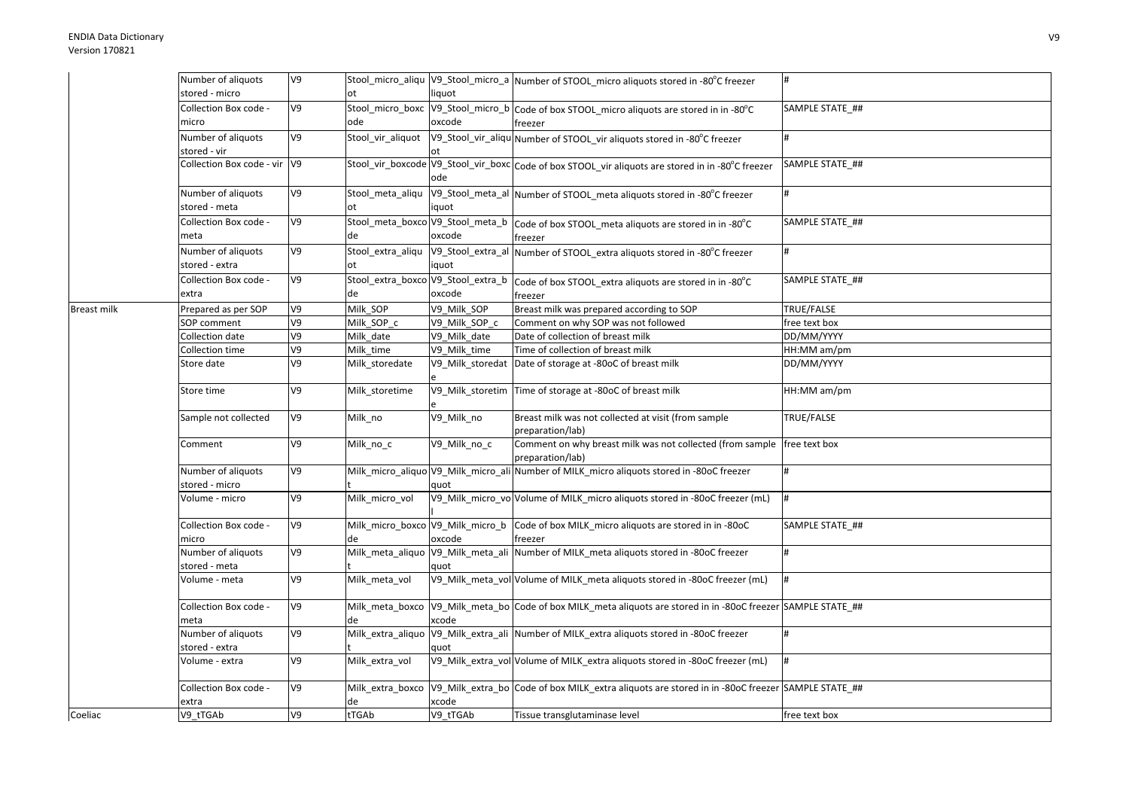|                    | Number of aliquots           | V9 |                   |               | Stool_micro_aliqu  V9_Stool_micro_a  Number of STOOL_micro aliquots stored in -80°C freezer                      | #               |
|--------------------|------------------------------|----|-------------------|---------------|------------------------------------------------------------------------------------------------------------------|-----------------|
|                    | stored - micro               |    | ot                | liquot        |                                                                                                                  |                 |
|                    | Collection Box code -        | V9 |                   |               | Stool_micro_boxc V9_Stool_micro_b Code of box STOOL_micro aliquots are stored in in -80°C                        | SAMPLE STATE ## |
|                    | micro                        |    | ode               | oxcode        | freezer                                                                                                          |                 |
|                    | Number of aliquots           | V9 | Stool vir aliquot |               | V9_Stool_vir_aliqu Number of STOOL_vir aliquots stored in -80°C freezer                                          |                 |
|                    | stored - vir                 |    |                   |               |                                                                                                                  |                 |
|                    | Collection Box code - vir V9 |    |                   |               | Stool_vir_boxcode V9_Stool_vir_boxc Code of box STOOL_vir aliquots are stored in in -80°C freezer                | SAMPLE STATE ## |
|                    |                              |    |                   | ode           |                                                                                                                  |                 |
|                    | Number of aliquots           | V9 | Stool_meta_aliqu  |               | V9_Stool_meta_al Number of STOOL_meta aliquots stored in -80°C freezer                                           |                 |
|                    | stored - meta                |    | ot                | iquot         |                                                                                                                  |                 |
|                    | Collection Box code -        | V9 |                   |               | Stool_meta_boxco V9_Stool_meta_b   Code of box STOOL_meta aliquots are stored in in -80°C                        | SAMPLE STATE ## |
|                    | meta                         |    | de                | oxcode        | freezer                                                                                                          |                 |
|                    | Number of aliquots           | V9 |                   |               | Stool_extra_aliqu V9_Stool_extra_al Number of STOOL_extra aliquots stored in -80°C freezer                       | #               |
|                    | stored - extra               |    | ot                | iquot         |                                                                                                                  |                 |
|                    | Collection Box code -        | V9 |                   |               | Stool_extra_boxco V9_Stool_extra_b code of box STOOL_extra aliquots are stored in in -80°C                       | SAMPLE STATE ## |
|                    | extra                        |    | de                | oxcode        | freezer                                                                                                          |                 |
| <b>Breast milk</b> | Prepared as per SOP          | V9 | Milk_SOP          | V9 Milk SOP   | Breast milk was prepared according to SOP                                                                        | TRUE/FALSE      |
|                    | <b>SOP</b> comment           | V9 | Milk SOP c        | V9 Milk SOP c | Comment on why SOP was not followed                                                                              | free text box   |
|                    | Collection date              | V9 | Milk date         | V9 Milk date  | Date of collection of breast milk                                                                                | DD/MM/YYYY      |
|                    | Collection time              | V9 | Milk time         | V9 Milk time  | Time of collection of breast milk                                                                                | HH:MM am/pm     |
|                    | Store date                   | V9 | Milk_storedate    |               | V9_Milk_storedat Date of storage at -80oC of breast milk                                                         | DD/MM/YYYY      |
|                    | Store time                   | V9 | Milk storetime    |               | V9_Milk_storetim Time of storage at -80oC of breast milk                                                         | HH:MM am/pm     |
|                    | Sample not collected         | V9 | Milk no           | V9 Milk no    | Breast milk was not collected at visit (from sample                                                              | TRUE/FALSE      |
|                    |                              |    |                   |               | preparation/lab)                                                                                                 |                 |
|                    | Comment                      | V9 | Milk_no_c         | V9 Milk no c  | Comment on why breast milk was not collected (from sample   free text box                                        |                 |
|                    |                              |    |                   |               | preparation/lab)                                                                                                 |                 |
|                    | Number of aliquots           | V9 |                   |               | Milk_micro_aliquo V9_Milk_micro_ali Number of MILK_micro aliquots stored in -80oC freezer                        |                 |
|                    | stored - micro               |    |                   | quot          |                                                                                                                  |                 |
|                    | Volume - micro               | V9 | Milk micro vol    |               | V9_Milk_micro_vo Volume of MILK_micro aliquots stored in -80oC freezer (mL)                                      | #               |
|                    | Collection Box code -        | V9 |                   |               | Milk_micro_boxco V9_Milk_micro_b Code of box MILK_micro aliquots are stored in in -80oC                          | SAMPLE STATE ## |
|                    | micro                        |    | de                | oxcode        | freezer                                                                                                          |                 |
|                    | Number of aliquots           | V9 | Milk_meta_aliquo  |               | V9_Milk_meta_ali Number of MILK_meta aliquots stored in -80oC freezer                                            |                 |
|                    | stored - meta                |    |                   | quot          |                                                                                                                  |                 |
|                    | Volume - meta                | V9 | Milk_meta_vol     |               | V9_Milk_meta_vol Volume of MILK_meta aliquots stored in -80oC freezer (mL)                                       | <sup>#</sup>    |
|                    | Collection Box code -        | V9 |                   |               | Milk_meta_boxco  V9_Milk_meta_bo  Code of box MILK_meta aliquots are stored in in -80oC freezer  SAMPLE STATE_## |                 |
|                    | meta                         |    |                   | xcode         |                                                                                                                  |                 |
|                    | Number of aliquots           | V9 |                   |               | Milk_extra_aliquo V9_Milk_extra_ali Number of MILK_extra aliquots stored in -80oC freezer                        |                 |
|                    | stored - extra               |    |                   | quot          |                                                                                                                  |                 |
|                    | Volume - extra               | V9 | Milk extra vol    |               | V9_Milk_extra_vol Volume of MILK_extra aliquots stored in -80oC freezer (mL)                                     |                 |
|                    | Collection Box code -        | V9 | Milk extra boxco  |               | V9 Milk extra bo Code of box MILK extra aliquots are stored in in -80oC freezer SAMPLE STATE ##                  |                 |
| Coeliac            | extra                        |    | de                | xcode         |                                                                                                                  |                 |
|                    | V9 tTGAb                     | V9 | tTGAb             | V9_tTGAb      | Tissue transglutaminase level                                                                                    | free text box   |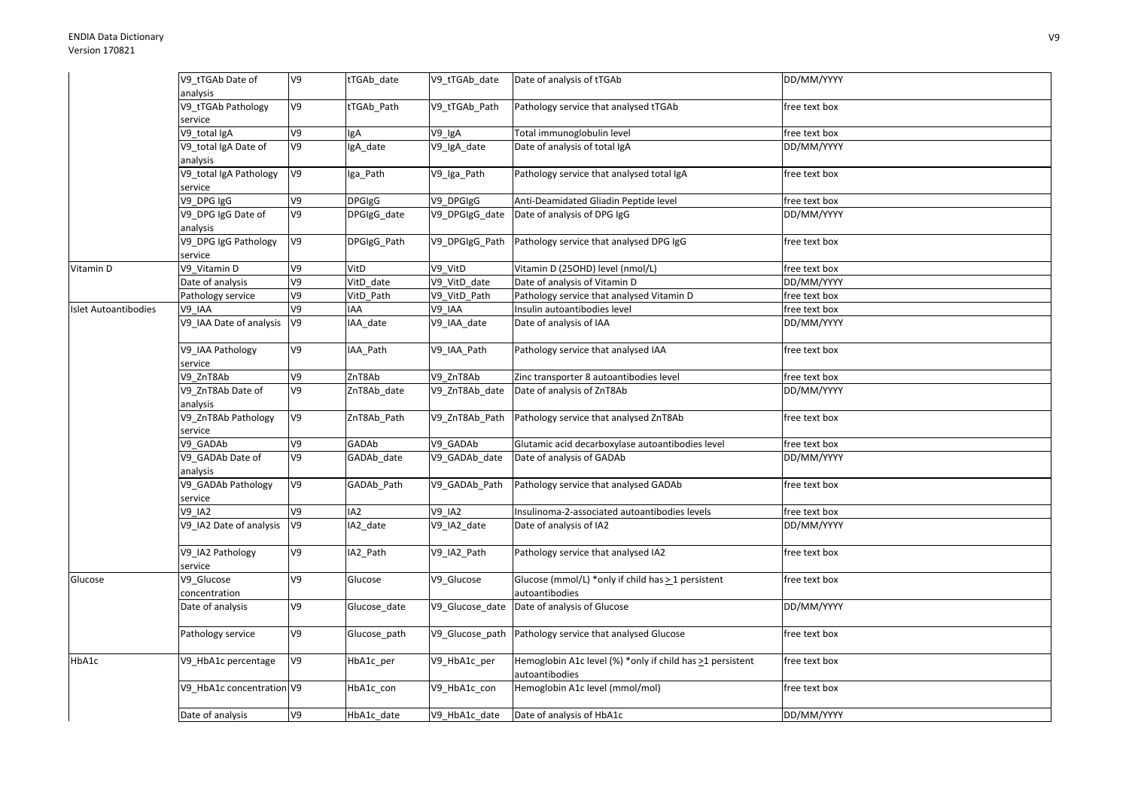|                      | V9 tTGAb Date of              | V9 | tTGAb_date      | V9_tTGAb_date   | Date of analysis of tTGAb                                                   | DD/MM/YYYY    |
|----------------------|-------------------------------|----|-----------------|-----------------|-----------------------------------------------------------------------------|---------------|
|                      | analysis                      |    |                 |                 |                                                                             |               |
|                      | V9_tTGAb Pathology<br>service | V9 | tTGAb_Path      | V9 tTGAb Path   | Pathology service that analysed tTGAb                                       | free text box |
|                      | V9_total IgA                  | V9 | <b>IgA</b>      | V9_IgA          | Total immunoglobulin level                                                  | free text box |
|                      | V9 total IgA Date of          | V9 | IgA date        | V9 IgA date     | Date of analysis of total IgA                                               | DD/MM/YYYY    |
|                      | analysis                      |    |                 |                 |                                                                             |               |
|                      | V9_total IgA Pathology        | V9 | Iga_Path        | V9_Iga_Path     | Pathology service that analysed total IgA                                   | free text box |
|                      | service                       |    |                 |                 |                                                                             |               |
|                      | V9_DPG IgG                    | V9 | <b>DPGIgG</b>   | V9_DPGIgG       | Anti-Deamidated Gliadin Peptide level                                       | free text box |
|                      | V9_DPG IgG Date of            | V9 | DPGIgG_date     | V9_DPGIgG_date  | Date of analysis of DPG IgG                                                 | DD/MM/YYYY    |
|                      | analysis                      |    |                 |                 |                                                                             |               |
|                      | V9_DPG IgG Pathology          | V9 | DPGIgG_Path     | V9 DPGIgG Path  | Pathology service that analysed DPG IgG                                     | free text box |
|                      | service                       |    |                 |                 |                                                                             |               |
| Vitamin D            | V9 Vitamin D                  | V9 | VitD            | V9_VitD         | Vitamin D (25OHD) level (nmol/L)                                            | free text box |
|                      | Date of analysis              | V9 | VitD date       | V9_VitD_date    | Date of analysis of Vitamin D                                               | DD/MM/YYYY    |
|                      | Pathology service             | V9 | VitD Path       | V9 VitD Path    | Pathology service that analysed Vitamin D                                   | free text box |
| Islet Autoantibodies | V9 IAA                        | V9 | <b>IAA</b>      | V9 IAA          | Insulin autoantibodies level                                                | free text box |
|                      | V9 IAA Date of analysis       | V9 | IAA_date        | V9_IAA_date     | Date of analysis of IAA                                                     | DD/MM/YYYY    |
|                      | V9_IAA Pathology<br>service   | V9 | IAA_Path        | V9_IAA_Path     | Pathology service that analysed IAA                                         | free text box |
|                      | V9 ZnT8Ab                     | V9 | ZnT8Ab          | V9 ZnT8Ab       | Zinc transporter 8 autoantibodies level                                     | free text box |
|                      | V9_ZnT8Ab Date of             | V9 | ZnT8Ab date     | V9 ZnT8Ab date  | Date of analysis of ZnT8Ab                                                  | DD/MM/YYYY    |
|                      | analysis                      |    |                 |                 |                                                                             |               |
|                      | V9_ZnT8Ab Pathology           | V9 | ZnT8Ab Path     | V9 ZnT8Ab Path  | Pathology service that analysed ZnT8Ab                                      | free text box |
|                      | service                       |    |                 |                 |                                                                             |               |
|                      | V9 GADAb                      | V9 | GADAb           | V9 GADAb        | Glutamic acid decarboxylase autoantibodies level                            | free text box |
|                      | V9 GADAb Date of              | V9 | GADAb_date      | V9_GADAb_date   | Date of analysis of GADAb                                                   | DD/MM/YYYY    |
|                      | analysis                      |    |                 |                 |                                                                             |               |
|                      | V9_GADAb Pathology            | V9 | GADAb_Path      | V9_GADAb_Path   | Pathology service that analysed GADAb                                       | free text box |
|                      | service                       |    |                 |                 |                                                                             |               |
|                      | <b>V9 IA2</b>                 | V9 | IA <sub>2</sub> | <b>V9_IA2</b>   | Insulinoma-2-associated autoantibodies levels                               | free text box |
|                      | V9_IA2 Date of analysis       | V9 | IA2 date        | V9_IA2_date     | Date of analysis of IA2                                                     | DD/MM/YYYY    |
|                      | V9 IA2 Pathology<br>service   | V9 | IA2 Path        | V9 IA2 Path     | Pathology service that analysed IA2                                         | free text box |
| Glucose              | V9 Glucose                    | V9 | Glucose         | V9 Glucose      | Glucose (mmol/L) *only if child has > 1 persistent                          | free text box |
|                      | concentration                 |    |                 |                 | autoantibodies                                                              |               |
|                      | Date of analysis              | V9 | Glucose_date    | V9_Glucose_date | Date of analysis of Glucose                                                 | DD/MM/YYYY    |
|                      | Pathology service             | V9 | Glucose_path    | V9_Glucose_path | Pathology service that analysed Glucose                                     | free text box |
| HbA1c                | V9 HbA1c percentage           | V9 | HbA1c per       | V9 HbA1c per    | Hemoglobin A1c level (%) *only if child has >1 persistent<br>autoantibodies | free text box |
|                      | V9_HbA1c concentration V9     |    | HbA1c_con       | V9_HbA1c_con    | Hemoglobin A1c level (mmol/mol)                                             | free text box |
|                      | Date of analysis              | V9 | HbA1c date      | V9 HbA1c date   | Date of analysis of HbA1c                                                   | DD/MM/YYYY    |
|                      |                               |    |                 |                 |                                                                             |               |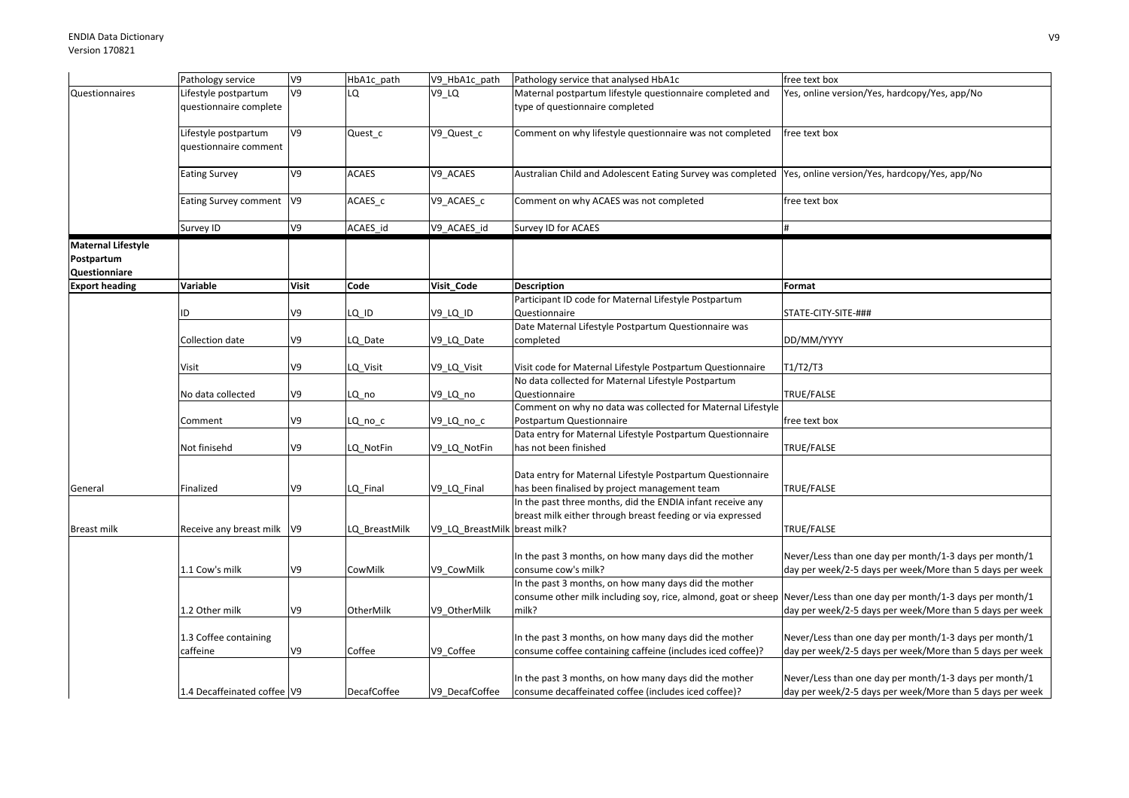|                                                          | Pathology service                              | V9             | HbA1c_path         | V9_HbA1c_path                 | Pathology service that analysed HbA1c                                                                                           | free text box                                                                                                      |
|----------------------------------------------------------|------------------------------------------------|----------------|--------------------|-------------------------------|---------------------------------------------------------------------------------------------------------------------------------|--------------------------------------------------------------------------------------------------------------------|
| Questionnaires                                           | Lifestyle postpartum<br>questionnaire complete | V9             | LO.                | $V9$ _LQ                      | Maternal postpartum lifestyle questionnaire completed and<br>type of questionnaire completed                                    | Yes, online version/Yes, hardcopy/Yes, app/No                                                                      |
|                                                          | Lifestyle postpartum<br>questionnaire comment  | V9             | Quest_c            | V9_Quest_c                    | Comment on why lifestyle questionnaire was not completed                                                                        | free text box                                                                                                      |
|                                                          | <b>Eating Survey</b>                           | V9             | <b>ACAES</b>       | V9_ACAES                      | Australian Child and Adolescent Eating Survey was completed  Yes, online version/Yes, hardcopy/Yes, app/No                      |                                                                                                                    |
|                                                          | <b>Eating Survey comment</b>                   | V <sub>9</sub> | ACAES c            | V9_ACAES_c                    | Comment on why ACAES was not completed                                                                                          | free text box                                                                                                      |
|                                                          | Survey ID                                      | V9             | ACAES_id           | V9_ACAES_id                   | Survey ID for ACAES                                                                                                             | #                                                                                                                  |
| <b>Maternal Lifestyle</b><br>Postpartum<br>Questionniare |                                                |                |                    |                               |                                                                                                                                 |                                                                                                                    |
| <b>Export heading</b>                                    | Variable                                       | <b>Visit</b>   | Code               | Visit_Code                    | <b>Description</b>                                                                                                              | Format                                                                                                             |
|                                                          | ID                                             | V9             | $LQ$ $D$           | V9_LQ_ID                      | Participant ID code for Maternal Lifestyle Postpartum<br>Questionnaire                                                          | STATE-CITY-SITE-###                                                                                                |
|                                                          | Collection date                                | V9             | LQ_Date            | V9_LQ_Date                    | Date Maternal Lifestyle Postpartum Questionnaire was<br>completed                                                               | DD/MM/YYYY                                                                                                         |
|                                                          | Visit                                          | V9             | LQ_Visit           | V9_LQ_Visit                   | Visit code for Maternal Lifestyle Postpartum Questionnaire                                                                      | T1/T2/T3                                                                                                           |
|                                                          | No data collected                              | V9             | LQ no              | V9_LQ_no                      | No data collected for Maternal Lifestyle Postpartum<br>Questionnaire                                                            | TRUE/FALSE                                                                                                         |
|                                                          | Comment                                        | V9             | LQ_no_c            | V9_LQ_no_c                    | Comment on why no data was collected for Maternal Lifestyle<br>Postpartum Questionnaire                                         | free text box                                                                                                      |
|                                                          | Not finisehd                                   | V9             | LQ NotFin          | V9 LQ NotFin                  | Data entry for Maternal Lifestyle Postpartum Questionnaire<br>has not been finished                                             | TRUE/FALSE                                                                                                         |
| General                                                  | Finalized                                      | V9             | LQ_Final           | V9_LQ_Final                   | Data entry for Maternal Lifestyle Postpartum Questionnaire<br>has been finalised by project management team                     | TRUE/FALSE                                                                                                         |
| <b>Breast milk</b>                                       | Receive any breast milk V9                     |                | LQ_BreastMilk      | V9_LQ_BreastMilk breast milk? | In the past three months, did the ENDIA infant receive any<br>breast milk either through breast feeding or via expressed        | TRUE/FALSE                                                                                                         |
|                                                          | 1.1 Cow's milk                                 | V9             | CowMilk            | V9 CowMilk                    | In the past 3 months, on how many days did the mother<br>consume cow's milk?                                                    | Never/Less than one day per month/1-3 days per month/1<br>day per week/2-5 days per week/More than 5 days per week |
|                                                          | 1.2 Other milk                                 | V9             | OtherMilk          | V9_OtherMilk                  | In the past 3 months, on how many days did the mother<br>consume other milk including soy, rice, almond, goat or sheep<br>milk? | Never/Less than one day per month/1-3 days per month/1<br>day per week/2-5 days per week/More than 5 days per week |
|                                                          | 1.3 Coffee containing<br>caffeine              | V9             | Coffee             | V9 Coffee                     | In the past 3 months, on how many days did the mother<br>consume coffee containing caffeine (includes iced coffee)?             | Never/Less than one day per month/1-3 days per month/1<br>day per week/2-5 days per week/More than 5 days per week |
|                                                          | 1.4 Decaffeinated coffee V9                    |                | <b>DecafCoffee</b> | V9 DecafCoffee                | In the past 3 months, on how many days did the mother<br>consume decaffeinated coffee (includes iced coffee)?                   | Never/Less than one day per month/1-3 days per month/1<br>day per week/2-5 days per week/More than 5 days per week |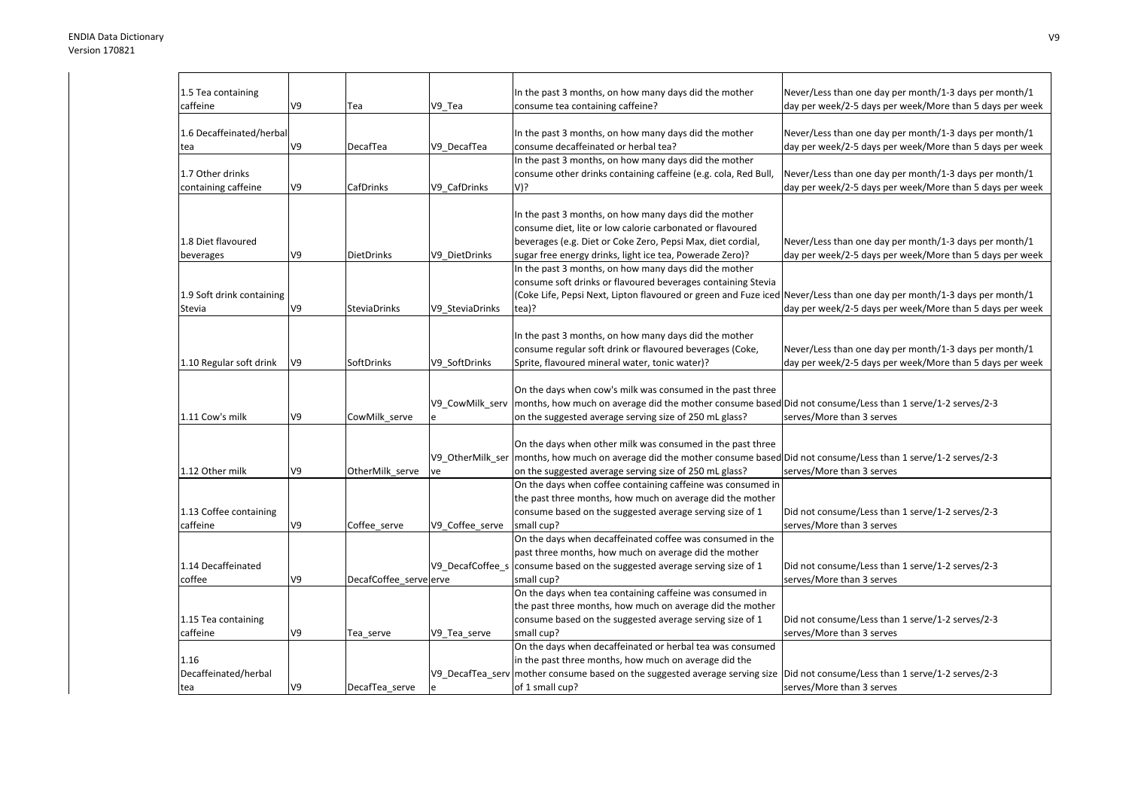| 1.5 Tea containing        |    |                        |                  | In the past 3 months, on how many days did the mother                                                                            | Never/Less than one day per month/1-3 days per month/1   |
|---------------------------|----|------------------------|------------------|----------------------------------------------------------------------------------------------------------------------------------|----------------------------------------------------------|
| caffeine                  | V9 | Tea                    | V9 Tea           | consume tea containing caffeine?                                                                                                 | day per week/2-5 days per week/More than 5 days per week |
|                           |    |                        |                  |                                                                                                                                  |                                                          |
| 1.6 Decaffeinated/herbal  |    |                        |                  | In the past 3 months, on how many days did the mother                                                                            | Never/Less than one day per month/1-3 days per month/1   |
| tea                       | V9 | DecafTea               | V9 DecafTea      | consume decaffeinated or herbal tea?                                                                                             | day per week/2-5 days per week/More than 5 days per week |
|                           |    |                        |                  | In the past 3 months, on how many days did the mother                                                                            |                                                          |
| 1.7 Other drinks          |    |                        |                  | consume other drinks containing caffeine (e.g. cola, Red Bull,                                                                   | Never/Less than one day per month/1-3 days per month/1   |
| containing caffeine       | V9 | CafDrinks              | V9 CafDrinks     | V)?                                                                                                                              | day per week/2-5 days per week/More than 5 days per week |
|                           |    |                        |                  |                                                                                                                                  |                                                          |
|                           |    |                        |                  | In the past 3 months, on how many days did the mother                                                                            |                                                          |
|                           |    |                        |                  | consume diet, lite or low calorie carbonated or flavoured                                                                        |                                                          |
| 1.8 Diet flavoured        |    |                        |                  | beverages (e.g. Diet or Coke Zero, Pepsi Max, diet cordial,                                                                      | Never/Less than one day per month/1-3 days per month/1   |
| beverages                 | V9 | <b>DietDrinks</b>      | V9 DietDrinks    | sugar free energy drinks, light ice tea, Powerade Zero)?                                                                         | day per week/2-5 days per week/More than 5 days per week |
|                           |    |                        |                  | In the past 3 months, on how many days did the mother                                                                            |                                                          |
|                           |    |                        |                  | consume soft drinks or flavoured beverages containing Stevia                                                                     |                                                          |
| 1.9 Soft drink containing |    |                        |                  | (Coke Life, Pepsi Next, Lipton flavoured or green and Fuze iced Never/Less than one day per month/1-3 days per month/1           |                                                          |
| Stevia                    | V9 | <b>SteviaDrinks</b>    | V9_SteviaDrinks  | tea)?                                                                                                                            | day per week/2-5 days per week/More than 5 days per week |
|                           |    |                        |                  |                                                                                                                                  |                                                          |
|                           |    |                        |                  | In the past 3 months, on how many days did the mother                                                                            |                                                          |
|                           |    |                        |                  | consume regular soft drink or flavoured beverages (Coke,                                                                         | Never/Less than one day per month/1-3 days per month/1   |
| 1.10 Regular soft drink   | V9 | SoftDrinks             | V9 SoftDrinks    | Sprite, flavoured mineral water, tonic water)?                                                                                   | day per week/2-5 days per week/More than 5 days per week |
|                           |    |                        |                  |                                                                                                                                  |                                                          |
|                           |    |                        |                  | On the days when cow's milk was consumed in the past three                                                                       |                                                          |
|                           |    |                        | V9 CowMilk serv  | months, how much on average did the mother consume based Did not consume/Less than 1 serve/1-2 serves/2-3                        |                                                          |
| 1.11 Cow's milk           | V9 | CowMilk serve          |                  | on the suggested average serving size of 250 mL glass?                                                                           | serves/More than 3 serves                                |
|                           |    |                        |                  |                                                                                                                                  |                                                          |
|                           |    |                        |                  | On the days when other milk was consumed in the past three                                                                       |                                                          |
|                           |    |                        |                  | V9_OtherMilk_ser   months, how much on average did the mother consume based Did not consume/Less than 1 serve/1-2 serves/2-3     |                                                          |
| 1.12 Other milk           | V9 | OtherMilk serve        | ve               | on the suggested average serving size of 250 mL glass?                                                                           | serves/More than 3 serves                                |
|                           |    |                        |                  | On the days when coffee containing caffeine was consumed in                                                                      |                                                          |
|                           |    |                        |                  | the past three months, how much on average did the mother                                                                        |                                                          |
| 1.13 Coffee containing    |    |                        |                  | consume based on the suggested average serving size of 1                                                                         | Did not consume/Less than 1 serve/1-2 serves/2-3         |
| caffeine                  | V9 | Coffee_serve           | V9_Coffee_serve  | small cup?                                                                                                                       | serves/More than 3 serves                                |
|                           |    |                        |                  | On the days when decaffeinated coffee was consumed in the                                                                        |                                                          |
|                           |    |                        |                  | past three months, how much on average did the mother                                                                            |                                                          |
| 1.14 Decaffeinated        |    |                        | V9 DecafCoffee s | consume based on the suggested average serving size of 1                                                                         | Did not consume/Less than 1 serve/1-2 serves/2-3         |
| coffee                    | V9 | DecafCoffee serve erve |                  | small cup?                                                                                                                       | serves/More than 3 serves                                |
|                           |    |                        |                  | On the days when tea containing caffeine was consumed in                                                                         |                                                          |
|                           |    |                        |                  | the past three months, how much on average did the mother                                                                        |                                                          |
| 1.15 Tea containing       |    |                        |                  | consume based on the suggested average serving size of 1                                                                         | Did not consume/Less than 1 serve/1-2 serves/2-3         |
| caffeine                  | V9 | Tea serve              | V9 Tea serve     | small cup?                                                                                                                       | serves/More than 3 serves                                |
|                           |    |                        |                  | On the days when decaffeinated or herbal tea was consumed                                                                        |                                                          |
| 1.16                      |    |                        |                  | in the past three months, how much on average did the                                                                            |                                                          |
| Decaffeinated/herbal      |    |                        |                  | V9 DecafTea serv   mother consume based on the suggested average serving size   Did not consume/Less than 1 serve/1-2 serves/2-3 |                                                          |
| tea                       | V9 | DecafTea serve         | e                | of 1 small cup?                                                                                                                  | serves/More than 3 serves                                |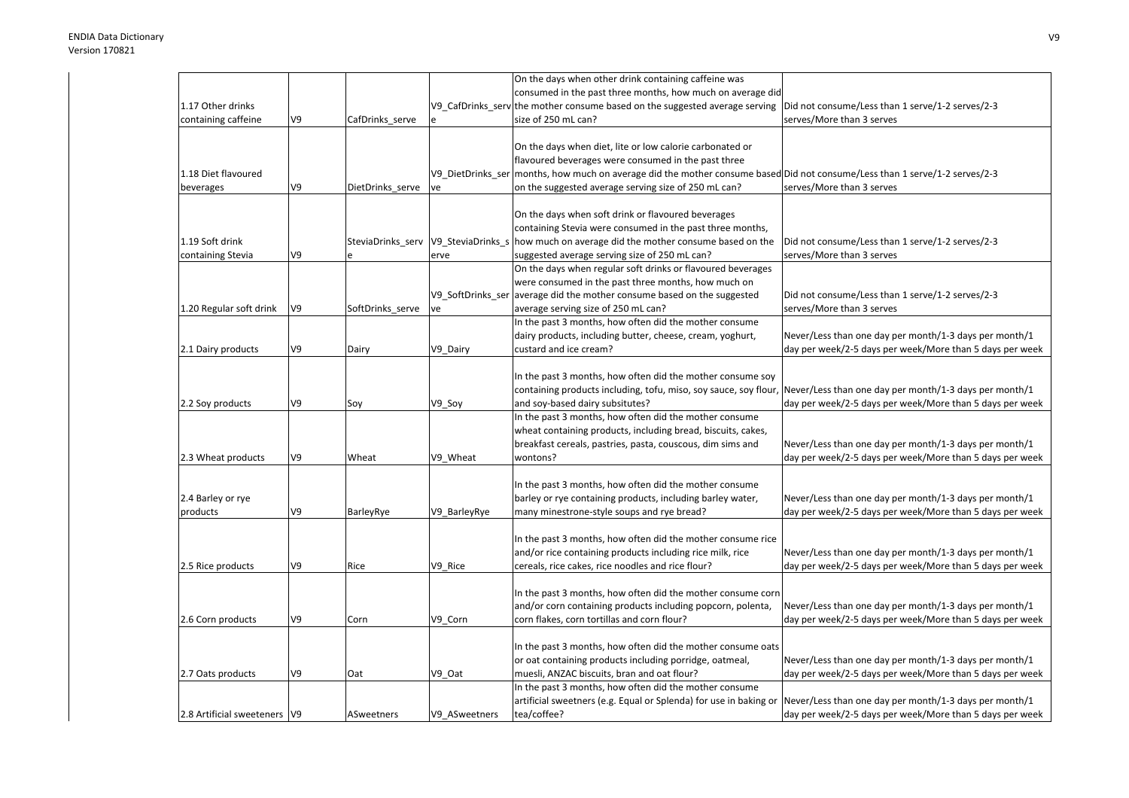|                                |    |                  |                                     | On the days when other drink containing caffeine was                                                      |                                                          |
|--------------------------------|----|------------------|-------------------------------------|-----------------------------------------------------------------------------------------------------------|----------------------------------------------------------|
|                                |    |                  |                                     | consumed in the past three months, how much on average did                                                |                                                          |
| 1.17 Other drinks              |    |                  |                                     | V9_CafDrinks_serv the mother consume based on the suggested average serving                               | Did not consume/Less than 1 serve/1-2 serves/2-3         |
| containing caffeine            | V9 | CafDrinks_serve  |                                     | size of 250 mL can?                                                                                       | serves/More than 3 serves                                |
|                                |    |                  |                                     |                                                                                                           |                                                          |
|                                |    |                  |                                     | On the days when diet, lite or low calorie carbonated or                                                  |                                                          |
|                                |    |                  |                                     | flavoured beverages were consumed in the past three                                                       |                                                          |
| 1.18 Diet flavoured            |    |                  | V9_DietDrinks_ser                   | months, how much on average did the mother consume based Did not consume/Less than 1 serve/1-2 serves/2-3 |                                                          |
| beverages                      | V9 | DietDrinks_serve | ve                                  | on the suggested average serving size of 250 mL can?                                                      | serves/More than 3 serves                                |
|                                |    |                  |                                     |                                                                                                           |                                                          |
|                                |    |                  |                                     | On the days when soft drink or flavoured beverages                                                        |                                                          |
|                                |    |                  |                                     | containing Stevia were consumed in the past three months,                                                 |                                                          |
| 1.19 Soft drink                |    |                  | SteviaDrinks_serv V9_SteviaDrinks_s | how much on average did the mother consume based on the                                                   | Did not consume/Less than 1 serve/1-2 serves/2-3         |
| containing Stevia              | V9 |                  | erve                                | suggested average serving size of 250 mL can?                                                             | serves/More than 3 serves                                |
|                                |    |                  |                                     | On the days when regular soft drinks or flavoured beverages                                               |                                                          |
|                                |    |                  |                                     | were consumed in the past three months, how much on                                                       |                                                          |
|                                |    |                  |                                     | V9_SoftDrinks_ser average did the mother consume based on the suggested                                   | Did not consume/Less than 1 serve/1-2 serves/2-3         |
| 1.20 Regular soft drink        | V9 | SoftDrinks_serve | ve                                  | average serving size of 250 mL can?                                                                       | serves/More than 3 serves                                |
|                                |    |                  |                                     | In the past 3 months, how often did the mother consume                                                    |                                                          |
|                                |    |                  |                                     | dairy products, including butter, cheese, cream, yoghurt,                                                 | Never/Less than one day per month/1-3 days per month/1   |
| 2.1 Dairy products             | V9 | Dairy            | V9 Dairy                            | custard and ice cream?                                                                                    | day per week/2-5 days per week/More than 5 days per week |
|                                |    |                  |                                     |                                                                                                           |                                                          |
|                                |    |                  |                                     | In the past 3 months, how often did the mother consume soy                                                |                                                          |
|                                |    |                  |                                     | containing products including, tofu, miso, soy sauce, soy flour,                                          | Never/Less than one day per month/1-3 days per month/1   |
| 2.2 Soy products               | V9 | Soy              | V9_Soy                              | and soy-based dairy subsitutes?                                                                           | day per week/2-5 days per week/More than 5 days per week |
|                                |    |                  |                                     | In the past 3 months, how often did the mother consume                                                    |                                                          |
|                                |    |                  |                                     | wheat containing products, including bread, biscuits, cakes,                                              |                                                          |
|                                |    |                  |                                     |                                                                                                           |                                                          |
|                                | V9 | Wheat            |                                     | breakfast cereals, pastries, pasta, couscous, dim sims and<br>wontons?                                    | Never/Less than one day per month/1-3 days per month/1   |
| 2.3 Wheat products             |    |                  | V9_Wheat                            |                                                                                                           | day per week/2-5 days per week/More than 5 days per week |
|                                |    |                  |                                     |                                                                                                           |                                                          |
|                                |    |                  |                                     | In the past 3 months, how often did the mother consume                                                    |                                                          |
| 2.4 Barley or rye              |    |                  |                                     | barley or rye containing products, including barley water,                                                | Never/Less than one day per month/1-3 days per month/1   |
| products                       | V9 | BarleyRye        | V9_BarleyRye                        | many minestrone-style soups and rye bread?                                                                | day per week/2-5 days per week/More than 5 days per week |
|                                |    |                  |                                     |                                                                                                           |                                                          |
|                                |    |                  |                                     | In the past 3 months, how often did the mother consume rice                                               |                                                          |
|                                |    |                  |                                     | and/or rice containing products including rice milk, rice                                                 | Never/Less than one day per month/1-3 days per month/1   |
| 2.5 Rice products              | V9 | Rice             | V9 Rice                             | cereals, rice cakes, rice noodles and rice flour?                                                         | day per week/2-5 days per week/More than 5 days per week |
|                                |    |                  |                                     |                                                                                                           |                                                          |
|                                |    |                  |                                     | In the past 3 months, how often did the mother consume corn                                               |                                                          |
|                                |    |                  |                                     | and/or corn containing products including popcorn, polenta,                                               | Never/Less than one day per month/1-3 days per month/1   |
| 2.6 Corn products              | V9 | Corn             | V9 Corn                             | corn flakes, corn tortillas and corn flour?                                                               | day per week/2-5 days per week/More than 5 days per week |
|                                |    |                  |                                     |                                                                                                           |                                                          |
|                                |    |                  |                                     | In the past 3 months, how often did the mother consume oats                                               |                                                          |
|                                |    |                  |                                     | or oat containing products including porridge, oatmeal,                                                   | Never/Less than one day per month/1-3 days per month/1   |
| 2.7 Oats products              | V9 | Oat              | V9 Oat                              | muesli, ANZAC biscuits, bran and oat flour?                                                               | day per week/2-5 days per week/More than 5 days per week |
|                                |    |                  |                                     | In the past 3 months, how often did the mother consume                                                    |                                                          |
|                                |    |                  |                                     | artificial sweetners (e.g. Equal or Splenda) for use in baking or                                         | Never/Less than one day per month/1-3 days per month/1   |
| 2.8 Artificial sweeteners   V9 |    | ASweetners       | V9 ASweetners                       | tea/coffee?                                                                                               | day per week/2-5 days per week/More than 5 days per week |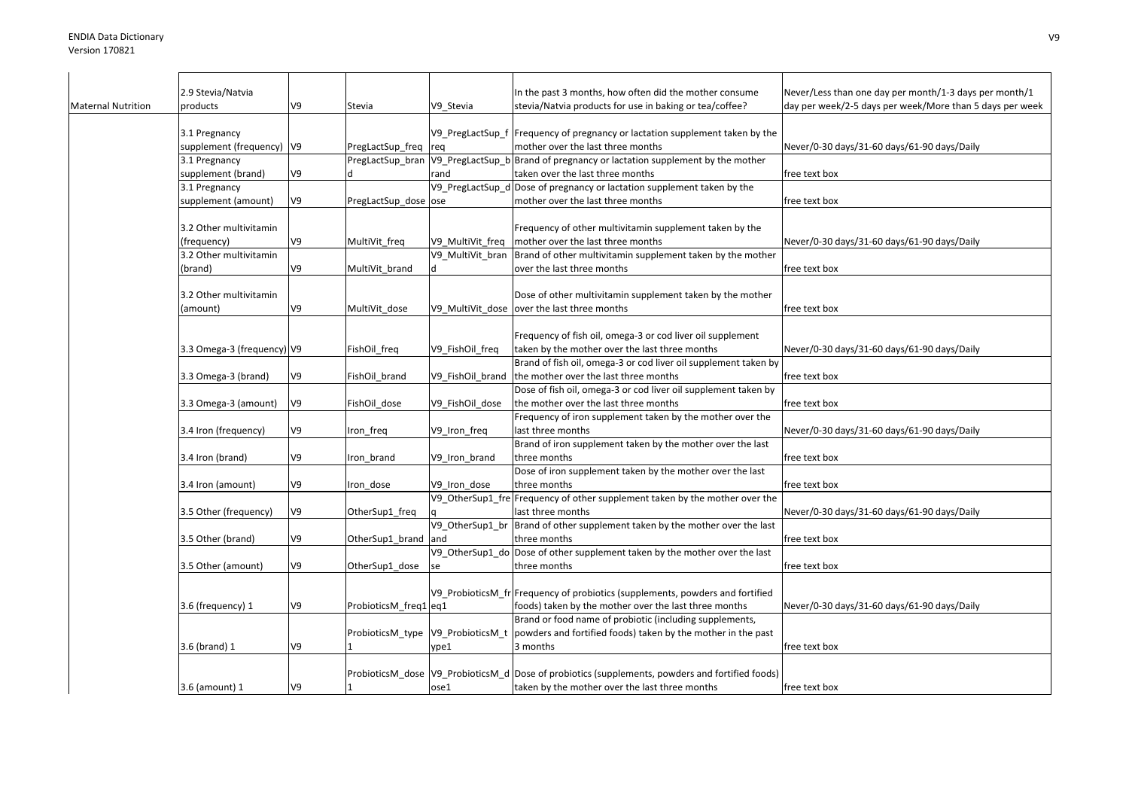|                    | 2.9 Stevia/Natvia          |    |                       |                  | In the past 3 months, how often did the mother consume                                             | Never/Less than one day per month/1-3 days per month/1   |
|--------------------|----------------------------|----|-----------------------|------------------|----------------------------------------------------------------------------------------------------|----------------------------------------------------------|
| Maternal Nutrition | products                   | V9 | Stevia                | V9 Stevia        | stevia/Natvia products for use in baking or tea/coffee?                                            | day per week/2-5 days per week/More than 5 days per week |
|                    | 3.1 Pregnancy              |    |                       |                  | V9_PregLactSup_f  Frequency of pregnancy or lactation supplement taken by the                      |                                                          |
|                    | supplement (frequency) V9  |    | PregLactSup_freq      |                  | mother over the last three months                                                                  | Never/0-30 days/31-60 days/61-90 days/Daily              |
|                    | 3.1 Pregnancy              |    |                       | req              | PregLactSup_bran V9_PregLactSup_b Brand of pregnancy or lactation supplement by the mother         |                                                          |
|                    | supplement (brand)         | V9 | ld                    | rand             | taken over the last three months                                                                   | free text box                                            |
|                    | 3.1 Pregnancy              |    |                       | V9 PregLactSup d | Dose of pregnancy or lactation supplement taken by the                                             |                                                          |
|                    | supplement (amount)        | V9 | PregLactSup_dose ose  |                  | mother over the last three months                                                                  | free text box                                            |
|                    |                            |    |                       |                  |                                                                                                    |                                                          |
|                    | 3.2 Other multivitamin     |    |                       |                  | Frequency of other multivitamin supplement taken by the                                            |                                                          |
|                    | (frequency)                | V9 | MultiVit_freq         | V9_MultiVit_freq | mother over the last three months                                                                  | Never/0-30 days/31-60 days/61-90 days/Daily              |
|                    | 3.2 Other multivitamin     |    |                       | V9 MultiVit bran | Brand of other multivitamin supplement taken by the mother                                         |                                                          |
|                    | (brand)                    | V9 | MultiVit brand        |                  | over the last three months                                                                         | free text box                                            |
|                    |                            |    |                       |                  |                                                                                                    |                                                          |
|                    | 3.2 Other multivitamin     |    |                       |                  | Dose of other multivitamin supplement taken by the mother                                          |                                                          |
|                    | (amount)                   | V9 | MultiVit dose         | V9 MultiVit dose | over the last three months                                                                         | free text box                                            |
|                    |                            |    |                       |                  |                                                                                                    |                                                          |
|                    |                            |    |                       |                  | Frequency of fish oil, omega-3 or cod liver oil supplement                                         |                                                          |
|                    | 3.3 Omega-3 (frequency) V9 |    | FishOil_freq          | V9_FishOil_freq  | taken by the mother over the last three months                                                     | Never/0-30 days/31-60 days/61-90 days/Daily              |
|                    |                            |    |                       |                  | Brand of fish oil, omega-3 or cod liver oil supplement taken by                                    |                                                          |
|                    | 3.3 Omega-3 (brand)        | V9 | FishOil_brand         | V9_FishOil_brand | the mother over the last three months                                                              | free text box                                            |
|                    |                            |    |                       |                  | Dose of fish oil, omega-3 or cod liver oil supplement taken by                                     |                                                          |
|                    | 3.3 Omega-3 (amount)       | V9 | FishOil dose          | V9 FishOil dose  | the mother over the last three months<br>Frequency of iron supplement taken by the mother over the | free text box                                            |
|                    |                            | V9 |                       |                  | ast three months                                                                                   |                                                          |
|                    | 3.4 Iron (frequency)       |    | Iron_freq             | V9_Iron_freq     | Brand of iron supplement taken by the mother over the last                                         | Never/0-30 days/31-60 days/61-90 days/Daily              |
|                    | 3.4 Iron (brand)           | V9 | Iron brand            | V9_Iron_brand    | three months                                                                                       | free text box                                            |
|                    |                            |    |                       |                  | Dose of iron supplement taken by the mother over the last                                          |                                                          |
|                    | 3.4 Iron (amount)          | V9 | Iron_dose             | V9 Iron dose     | three months                                                                                       | free text box                                            |
|                    |                            |    |                       |                  | V9_OtherSup1_fre Frequency of other supplement taken by the mother over the                        |                                                          |
|                    | 3.5 Other (frequency)      | V9 | OtherSup1_freq        |                  | ast three months                                                                                   | Never/0-30 days/31-60 days/61-90 days/Daily              |
|                    |                            |    |                       | V9_OtherSup1_br  | Brand of other supplement taken by the mother over the last                                        |                                                          |
|                    | 3.5 Other (brand)          | V9 | OtherSup1 brand       | and              | three months                                                                                       | free text box                                            |
|                    |                            |    |                       | V9 OtherSup1 do  | Dose of other supplement taken by the mother over the last                                         |                                                          |
|                    | 3.5 Other (amount)         | V9 | OtherSup1_dose        | se               | three months                                                                                       | free text box                                            |
|                    |                            |    |                       |                  |                                                                                                    |                                                          |
|                    |                            |    |                       |                  | V9_ProbioticsM_fr Frequency of probiotics (supplements, powders and fortified                      |                                                          |
|                    | 3.6 (frequency) 1          | V9 | ProbioticsM_freq1 eq1 |                  | foods) taken by the mother over the last three months                                              | Never/0-30 days/31-60 days/61-90 days/Daily              |
|                    |                            |    |                       |                  | Brand or food name of probiotic (including supplements,                                            |                                                          |
|                    |                            |    | ProbioticsM_type      | V9_ProbioticsM_t | powders and fortified foods) taken by the mother in the past                                       |                                                          |
|                    | 3.6 (brand) 1              | V9 |                       | ype1             | 3 months                                                                                           | free text box                                            |
|                    |                            |    |                       |                  |                                                                                                    |                                                          |
|                    |                            |    |                       |                  | ProbioticsM dose V9 ProbioticsM d Dose of probiotics (supplements, powders and fortified foods)    |                                                          |
|                    | 3.6 (amount) 1             | V9 |                       | ose1             | taken by the mother over the last three months                                                     | free text box                                            |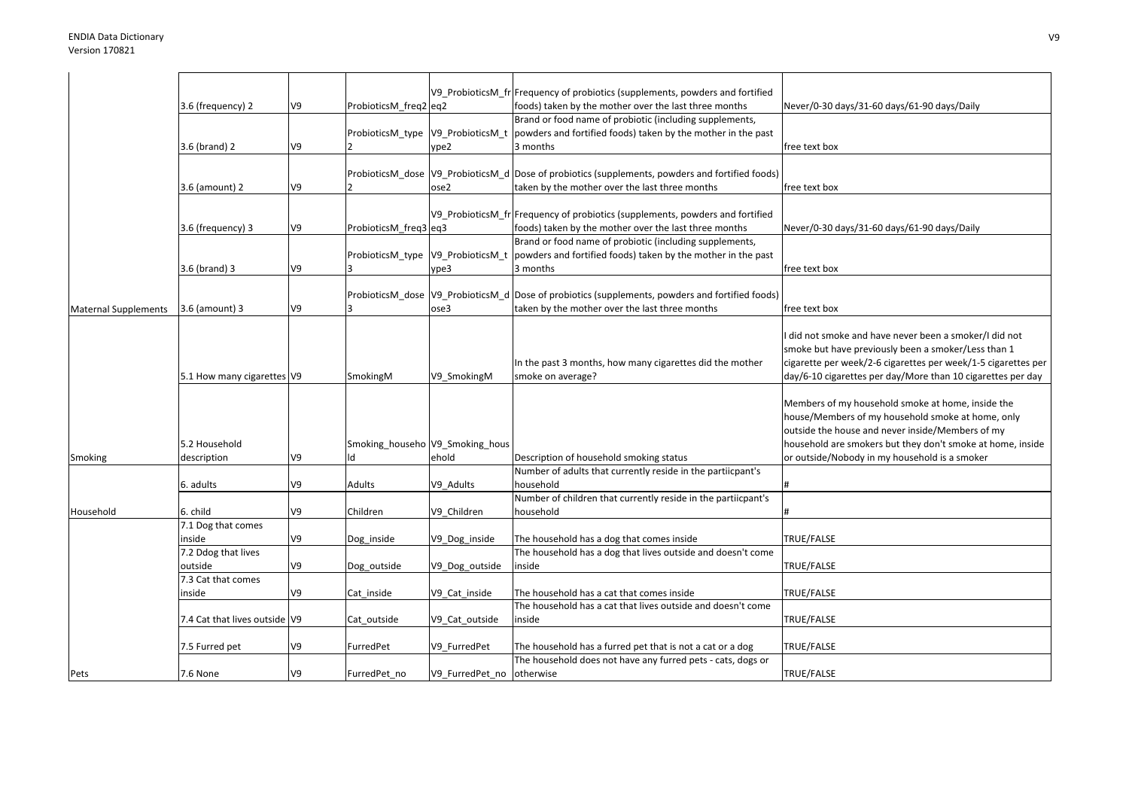|                             |                               |    |                       |                                 | V9 ProbioticsM fr Frequency of probiotics (supplements, powders and fortified                     |                                                               |
|-----------------------------|-------------------------------|----|-----------------------|---------------------------------|---------------------------------------------------------------------------------------------------|---------------------------------------------------------------|
|                             | 3.6 (frequency) 2             | V9 | ProbioticsM_freq2 eq2 |                                 | foods) taken by the mother over the last three months                                             | Never/0-30 days/31-60 days/61-90 days/Daily                   |
|                             |                               |    |                       |                                 | Brand or food name of probiotic (including supplements,                                           |                                                               |
|                             |                               |    | ProbioticsM type      | V9_ProbioticsM_t                | powders and fortified foods) taken by the mother in the past                                      |                                                               |
|                             | 3.6 (brand) 2                 | V9 |                       | ype2                            | 3 months                                                                                          | free text box                                                 |
|                             |                               |    |                       |                                 |                                                                                                   |                                                               |
|                             |                               |    |                       |                                 | ProbioticsM_dose  V9_ProbioticsM_d  Dose of probiotics (supplements, powders and fortified foods) |                                                               |
|                             | 3.6 (amount) 2                | V9 |                       | ose2                            | taken by the mother over the last three months                                                    | free text box                                                 |
|                             |                               |    |                       |                                 |                                                                                                   |                                                               |
|                             |                               |    |                       |                                 | V9 ProbioticsM fr Frequency of probiotics (supplements, powders and fortified                     |                                                               |
|                             | 3.6 (frequency) 3             | V9 | ProbioticsM freq3 eq3 |                                 | foods) taken by the mother over the last three months                                             | Never/0-30 days/31-60 days/61-90 days/Daily                   |
|                             |                               |    |                       |                                 | Brand or food name of probiotic (including supplements,                                           |                                                               |
|                             |                               |    |                       |                                 | ProbioticsM_type  V9_ProbioticsM_t  powders and fortified foods) taken by the mother in the past  |                                                               |
|                             | 3.6 (brand) 3                 | V9 |                       | ype3                            | 3 months                                                                                          | free text box                                                 |
|                             |                               |    |                       |                                 |                                                                                                   |                                                               |
|                             |                               |    |                       |                                 | ProbioticsM dose V9 ProbioticsM d Dose of probiotics (supplements, powders and fortified foods)   |                                                               |
| <b>Maternal Supplements</b> | 3.6 (amount) 3                | V9 |                       | ose3                            | taken by the mother over the last three months                                                    | free text box                                                 |
|                             |                               |    |                       |                                 |                                                                                                   |                                                               |
|                             |                               |    |                       |                                 |                                                                                                   | did not smoke and have never been a smoker/I did not          |
|                             |                               |    |                       |                                 |                                                                                                   | smoke but have previously been a smoker/Less than 1           |
|                             |                               |    |                       |                                 | In the past 3 months, how many cigarettes did the mother                                          | cigarette per week/2-6 cigarettes per week/1-5 cigarettes per |
|                             | 5.1 How many cigarettes V9    |    | SmokingM              | V9 SmokingM                     | smoke on average?                                                                                 | day/6-10 cigarettes per day/More than 10 cigarettes per day   |
|                             |                               |    |                       |                                 |                                                                                                   |                                                               |
|                             |                               |    |                       |                                 |                                                                                                   | Members of my household smoke at home, inside the             |
|                             |                               |    |                       |                                 |                                                                                                   | house/Members of my household smoke at home, only             |
|                             |                               |    |                       |                                 |                                                                                                   | outside the house and never inside/Members of my              |
|                             | 5.2 Household                 |    |                       | Smoking househo V9 Smoking hous |                                                                                                   | household are smokers but they don't smoke at home, inside    |
| Smoking                     | description                   | V9 | $\mathsf{q}$          | ehold                           | Description of household smoking status                                                           | or outside/Nobody in my household is a smoker                 |
|                             |                               |    |                       |                                 | Number of adults that currently reside in the partiicpant's                                       |                                                               |
|                             | 6. adults                     | V9 | Adults                | V9 Adults                       | household                                                                                         |                                                               |
|                             |                               |    |                       |                                 | Number of children that currently reside in the partiicpant's                                     |                                                               |
| Household                   | 6. child                      | V9 | Children              | V9 Children                     | household                                                                                         |                                                               |
|                             | 7.1 Dog that comes            |    |                       |                                 |                                                                                                   |                                                               |
|                             | inside                        | V9 | Dog_inside            | V9_Dog_inside                   | The household has a dog that comes inside                                                         | TRUE/FALSE                                                    |
|                             | 7.2 Ddog that lives           |    |                       |                                 | The household has a dog that lives outside and doesn't come                                       |                                                               |
|                             | outside                       | V9 | Dog outside           | V9_Dog_outside                  | inside                                                                                            | TRUE/FALSE                                                    |
|                             | 7.3 Cat that comes            |    |                       |                                 |                                                                                                   |                                                               |
|                             | inside                        | V9 | Cat inside            | V9 Cat inside                   | The household has a cat that comes inside                                                         | TRUE/FALSE                                                    |
|                             |                               |    |                       |                                 | The household has a cat that lives outside and doesn't come                                       |                                                               |
|                             | 7.4 Cat that lives outside V9 |    | Cat outside           | V9 Cat outside                  | inside                                                                                            | TRUE/FALSE                                                    |
|                             |                               |    |                       |                                 |                                                                                                   |                                                               |
|                             | 7.5 Furred pet                | V9 | FurredPet             | V9 FurredPet                    | The household has a furred pet that is not a cat or a dog                                         | TRUE/FALSE                                                    |
|                             |                               |    |                       |                                 | The household does not have any furred pets - cats, dogs or                                       |                                                               |
| Pets                        | 7.6 None                      | V9 | FurredPet no          | V9 FurredPet no otherwise       |                                                                                                   | TRUE/FALSE                                                    |
|                             |                               |    |                       |                                 |                                                                                                   |                                                               |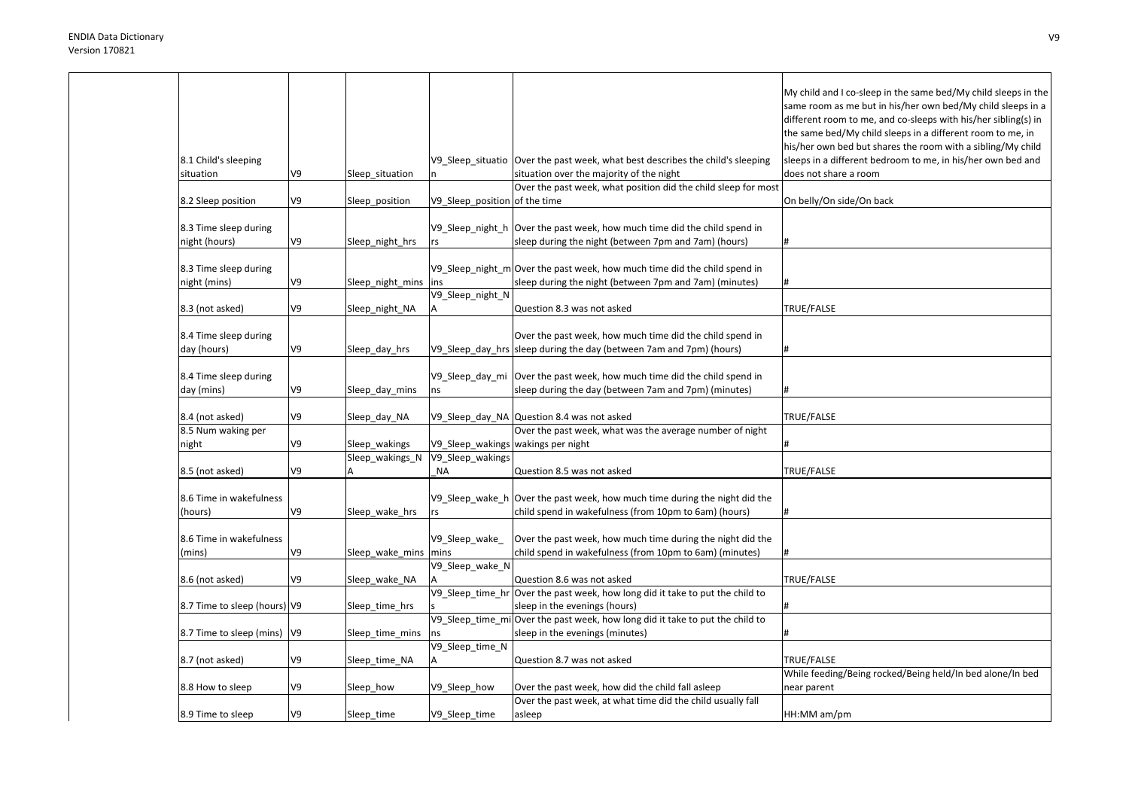| 8.1 Child's sleeping                   |    |                        |                                    | V9 Sleep situatio Over the past week, what best describes the child's sleeping                                                      | My child and I co-sleep in the same bed/My child sleeps in the<br>same room as me but in his/her own bed/My child sleeps in a<br>different room to me, and co-sleeps with his/her sibling(s) in<br>the same bed/My child sleeps in a different room to me, in<br>his/her own bed but shares the room with a sibling/My child<br>sleeps in a different bedroom to me, in his/her own bed and |
|----------------------------------------|----|------------------------|------------------------------------|-------------------------------------------------------------------------------------------------------------------------------------|---------------------------------------------------------------------------------------------------------------------------------------------------------------------------------------------------------------------------------------------------------------------------------------------------------------------------------------------------------------------------------------------|
| situation                              | V9 | Sleep situation        |                                    | situation over the majority of the night                                                                                            | does not share a room                                                                                                                                                                                                                                                                                                                                                                       |
|                                        |    |                        |                                    | Over the past week, what position did the child sleep for most                                                                      |                                                                                                                                                                                                                                                                                                                                                                                             |
| 8.2 Sleep position                     | V9 | Sleep_position         | V9_Sleep_position of the time      |                                                                                                                                     | On belly/On side/On back                                                                                                                                                                                                                                                                                                                                                                    |
| 8.3 Time sleep during<br>night (hours) | V9 | Sleep_night_hrs        | rs                                 | V9_Sleep_night_h  Over the past week, how much time did the child spend in<br>sleep during the night (between 7pm and 7am) (hours)  | #                                                                                                                                                                                                                                                                                                                                                                                           |
|                                        |    |                        |                                    |                                                                                                                                     |                                                                                                                                                                                                                                                                                                                                                                                             |
| 8.3 Time sleep during<br>night (mins)  | V9 | Sleep_night_mins       | ins                                | V9 Sleep night m Over the past week, how much time did the child spend in<br>sleep during the night (between 7pm and 7am) (minutes) |                                                                                                                                                                                                                                                                                                                                                                                             |
|                                        |    |                        | V9_Sleep_night_N                   |                                                                                                                                     |                                                                                                                                                                                                                                                                                                                                                                                             |
| 8.3 (not asked)                        | V9 | Sleep_night_NA         |                                    | Question 8.3 was not asked                                                                                                          | TRUE/FALSE                                                                                                                                                                                                                                                                                                                                                                                  |
| 8.4 Time sleep during<br>day (hours)   | V9 | Sleep_day_hrs          |                                    | Over the past week, how much time did the child spend in<br>V9_Sleep_day_hrs sleep during the day (between 7am and 7pm) (hours)     | #                                                                                                                                                                                                                                                                                                                                                                                           |
|                                        |    |                        |                                    |                                                                                                                                     |                                                                                                                                                                                                                                                                                                                                                                                             |
| 8.4 Time sleep during<br>day (mins)    | V9 | Sleep_day_mins         | ns                                 | V9_Sleep_day_mi Over the past week, how much time did the child spend in<br>sleep during the day (between 7am and 7pm) (minutes)    | #                                                                                                                                                                                                                                                                                                                                                                                           |
|                                        |    |                        |                                    |                                                                                                                                     |                                                                                                                                                                                                                                                                                                                                                                                             |
| 8.4 (not asked)                        | V9 | Sleep day NA           |                                    | V9_Sleep_day_NA Question 8.4 was not asked                                                                                          | TRUE/FALSE                                                                                                                                                                                                                                                                                                                                                                                  |
| 8.5 Num waking per                     |    |                        |                                    | Over the past week, what was the average number of night                                                                            |                                                                                                                                                                                                                                                                                                                                                                                             |
| night                                  | V9 | Sleep wakings          | V9_Sleep_wakings wakings per night |                                                                                                                                     |                                                                                                                                                                                                                                                                                                                                                                                             |
|                                        |    | Sleep_wakings_N        | V9_Sleep_wakings                   |                                                                                                                                     |                                                                                                                                                                                                                                                                                                                                                                                             |
| 8.5 (not asked)                        | V9 | А                      | NA                                 | Question 8.5 was not asked                                                                                                          | TRUE/FALSE                                                                                                                                                                                                                                                                                                                                                                                  |
| 8.6 Time in wakefulness<br>(hours)     | V9 | Sleep_wake_hrs         | rs                                 | V9_Sleep_wake_h Over the past week, how much time during the night did the<br>child spend in wakefulness (from 10pm to 6am) (hours) | #                                                                                                                                                                                                                                                                                                                                                                                           |
|                                        |    |                        |                                    |                                                                                                                                     |                                                                                                                                                                                                                                                                                                                                                                                             |
| 8.6 Time in wakefulness<br>(mins)      | V9 | Sleep_wake_mins   mins | V9_Sleep_wake                      | Over the past week, how much time during the night did the<br>child spend in wakefulness (from 10pm to 6am) (minutes)               |                                                                                                                                                                                                                                                                                                                                                                                             |
|                                        |    |                        | V9_Sleep_wake_N                    |                                                                                                                                     |                                                                                                                                                                                                                                                                                                                                                                                             |
| 8.6 (not asked)                        | V9 | Sleep_wake_NA          |                                    | Question 8.6 was not asked                                                                                                          | TRUE/FALSE                                                                                                                                                                                                                                                                                                                                                                                  |
|                                        |    |                        | V9_Sleep_time_hr                   | Over the past week, how long did it take to put the child to                                                                        |                                                                                                                                                                                                                                                                                                                                                                                             |
| 8.7 Time to sleep (hours) V9           |    | Sleep_time_hrs         |                                    | sleep in the evenings (hours)                                                                                                       |                                                                                                                                                                                                                                                                                                                                                                                             |
|                                        |    |                        |                                    | V9_Sleep_time_mi Over the past week, how long did it take to put the child to                                                       |                                                                                                                                                                                                                                                                                                                                                                                             |
| 8.7 Time to sleep (mins)   V9          |    | Sleep_time_mins        | ns                                 | sleep in the evenings (minutes)                                                                                                     |                                                                                                                                                                                                                                                                                                                                                                                             |
| 8.7 (not asked)                        | V9 | Sleep time NA          | V9_Sleep_time_N                    | Question 8.7 was not asked                                                                                                          | TRUE/FALSE                                                                                                                                                                                                                                                                                                                                                                                  |
|                                        |    |                        |                                    |                                                                                                                                     | While feeding/Being rocked/Being held/In bed alone/In bed                                                                                                                                                                                                                                                                                                                                   |
| 8.8 How to sleep                       | V9 | Sleep_how              | V9_Sleep_how                       | Over the past week, how did the child fall asleep                                                                                   | near parent                                                                                                                                                                                                                                                                                                                                                                                 |
|                                        |    |                        |                                    | Over the past week, at what time did the child usually fall                                                                         |                                                                                                                                                                                                                                                                                                                                                                                             |
| 8.9 Time to sleep                      | V9 | Sleep time             | V9_Sleep_time                      | asleep                                                                                                                              | HH:MM am/pm                                                                                                                                                                                                                                                                                                                                                                                 |
|                                        |    |                        |                                    |                                                                                                                                     |                                                                                                                                                                                                                                                                                                                                                                                             |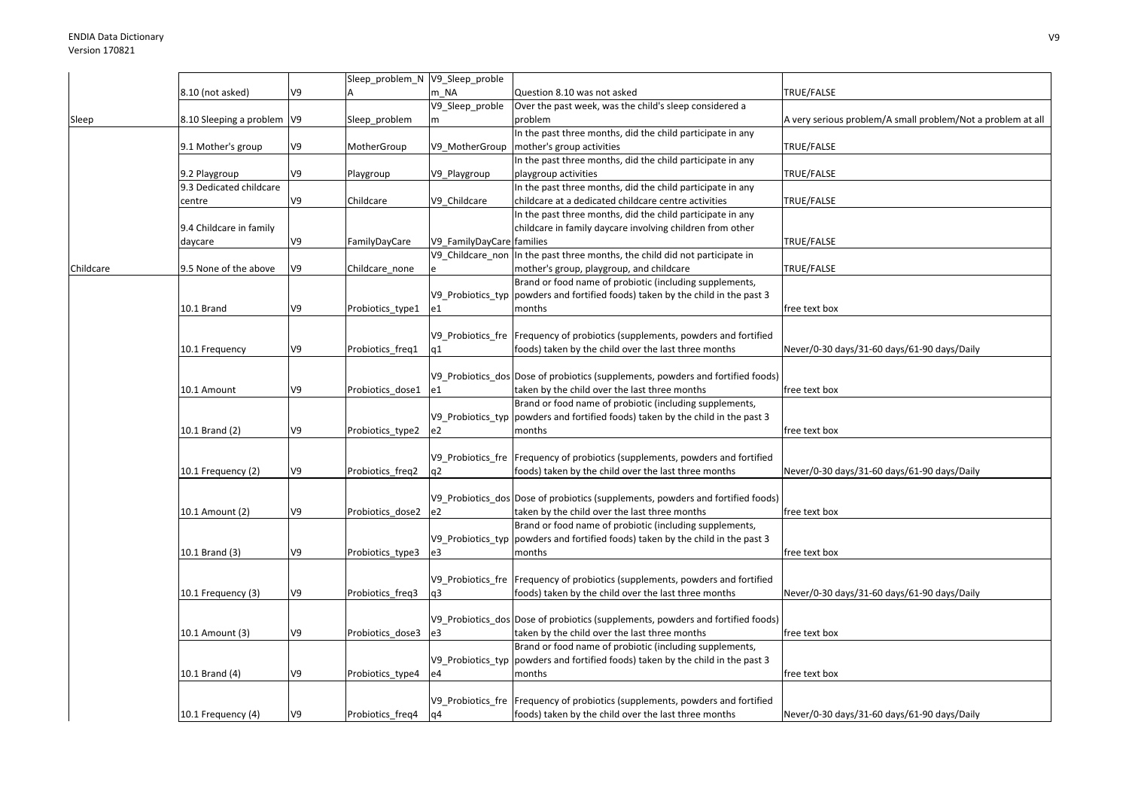|           |                              |    | Sleep_problem_N V9_Sleep_proble |                           |                                                                                  |                                                             |
|-----------|------------------------------|----|---------------------------------|---------------------------|----------------------------------------------------------------------------------|-------------------------------------------------------------|
|           | 8.10 (not asked)             | V9 |                                 | m NA                      | Question 8.10 was not asked                                                      | TRUE/FALSE                                                  |
|           |                              |    |                                 | V9_Sleep_proble           | Over the past week, was the child's sleep considered a                           |                                                             |
| Sleep     | 8.10 Sleeping a problem   V9 |    | Sleep_problem                   | m                         | problem                                                                          | A very serious problem/A small problem/Not a problem at all |
|           |                              |    |                                 |                           | In the past three months, did the child participate in any                       |                                                             |
|           |                              |    |                                 |                           |                                                                                  |                                                             |
|           | 9.1 Mother's group           | V9 | MotherGroup                     | V9 MotherGroup            | mother's group activities                                                        | TRUE/FALSE                                                  |
|           |                              |    |                                 |                           | In the past three months, did the child participate in any                       |                                                             |
|           | 9.2 Playgroup                | V9 | Playgroup                       | V9_Playgroup              | playgroup activities                                                             | TRUE/FALSE                                                  |
|           | 9.3 Dedicated childcare      |    |                                 |                           | In the past three months, did the child participate in any                       |                                                             |
|           | centre                       | V9 | Childcare                       | V9 Childcare              | childcare at a dedicated childcare centre activities                             | TRUE/FALSE                                                  |
|           |                              |    |                                 |                           | In the past three months, did the child participate in any                       |                                                             |
|           | 9.4 Childcare in family      |    |                                 |                           | childcare in family daycare involving children from other                        |                                                             |
|           |                              | V9 |                                 |                           |                                                                                  | TRUE/FALSE                                                  |
|           | daycare                      |    | FamilyDayCare                   | V9_FamilyDayCare families |                                                                                  |                                                             |
|           |                              |    |                                 | V9 Childcare non          | In the past three months, the child did not participate in                       |                                                             |
| Childcare | 9.5 None of the above        | V9 | Childcare none                  |                           | mother's group, playgroup, and childcare                                         | TRUE/FALSE                                                  |
|           |                              |    |                                 |                           | Brand or food name of probiotic (including supplements,                          |                                                             |
|           |                              |    |                                 | V9 Probiotics typ         | powders and fortified foods) taken by the child in the past 3                    |                                                             |
|           | 10.1 Brand                   | V9 | Probiotics_type1                | e1                        | months                                                                           | free text box                                               |
|           |                              |    |                                 |                           |                                                                                  |                                                             |
|           |                              |    |                                 |                           | V9_Probiotics_fre Frequency of probiotics (supplements, powders and fortified    |                                                             |
|           |                              | V9 |                                 |                           | foods) taken by the child over the last three months                             |                                                             |
|           | 10.1 Frequency               |    | Probiotics_freq1                | q1                        |                                                                                  | Never/0-30 days/31-60 days/61-90 days/Daily                 |
|           |                              |    |                                 |                           |                                                                                  |                                                             |
|           |                              |    |                                 |                           | V9 Probiotics dos Dose of probiotics (supplements, powders and fortified foods)  |                                                             |
|           | 10.1 Amount                  | V9 | Probiotics_dose1                | e1                        | taken by the child over the last three months                                    | free text box                                               |
|           |                              |    |                                 |                           | Brand or food name of probiotic (including supplements,                          |                                                             |
|           |                              |    |                                 | V9 Probiotics typ         | powders and fortified foods) taken by the child in the past 3                    |                                                             |
|           | 10.1 Brand (2)               | V9 | Probiotics_type2                | e2                        | months                                                                           | free text box                                               |
|           |                              |    |                                 |                           |                                                                                  |                                                             |
|           |                              |    |                                 |                           | V9 Probiotics fre Frequency of probiotics (supplements, powders and fortified    |                                                             |
|           |                              |    |                                 |                           |                                                                                  |                                                             |
|           | 10.1 Frequency (2)           | V9 | Probiotics_freq2                | q2                        | foods) taken by the child over the last three months                             | Never/0-30 days/31-60 days/61-90 days/Daily                 |
|           |                              |    |                                 |                           |                                                                                  |                                                             |
|           |                              |    |                                 |                           | V9_Probiotics_dos Dose of probiotics (supplements, powders and fortified foods)  |                                                             |
|           | 10.1 Amount (2)              | V9 | Probiotics dose2                | e2                        | taken by the child over the last three months                                    | free text box                                               |
|           |                              |    |                                 |                           | Brand or food name of probiotic (including supplements,                          |                                                             |
|           |                              |    |                                 |                           | V9_Probiotics_typ  powders and fortified foods) taken by the child in the past 3 |                                                             |
|           | 10.1 Brand (3)               | V9 | Probiotics_type3                | e3                        | months                                                                           | free text box                                               |
|           |                              |    |                                 |                           |                                                                                  |                                                             |
|           |                              |    |                                 |                           |                                                                                  |                                                             |
|           |                              |    |                                 |                           | V9 Probiotics fre Frequency of probiotics (supplements, powders and fortified    |                                                             |
|           | 10.1 Frequency (3)           | V9 | Probiotics_freq3                | q3                        | foods) taken by the child over the last three months                             | Never/0-30 days/31-60 days/61-90 days/Daily                 |
|           |                              |    |                                 |                           |                                                                                  |                                                             |
|           |                              |    |                                 |                           | V9 Probiotics dos Dose of probiotics (supplements, powders and fortified foods)  |                                                             |
|           | 10.1 Amount (3)              | V9 | Probiotics dose3                | e3                        | taken by the child over the last three months                                    | free text box                                               |
|           |                              |    |                                 |                           | Brand or food name of probiotic (including supplements,                          |                                                             |
|           |                              |    |                                 |                           | V9_Probiotics_typ  powders and fortified foods) taken by the child in the past 3 |                                                             |
|           |                              | V9 |                                 |                           | months                                                                           |                                                             |
|           | 10.1 Brand (4)               |    | Probiotics_type4                | e4                        |                                                                                  | free text box                                               |
|           |                              |    |                                 |                           |                                                                                  |                                                             |
|           |                              |    |                                 |                           | V9_Probiotics_fre   Frequency of probiotics (supplements, powders and fortified  |                                                             |
|           | 10.1 Frequency (4)           | V9 | Probiotics freq4                | q4                        | foods) taken by the child over the last three months                             | Never/0-30 days/31-60 days/61-90 days/Daily                 |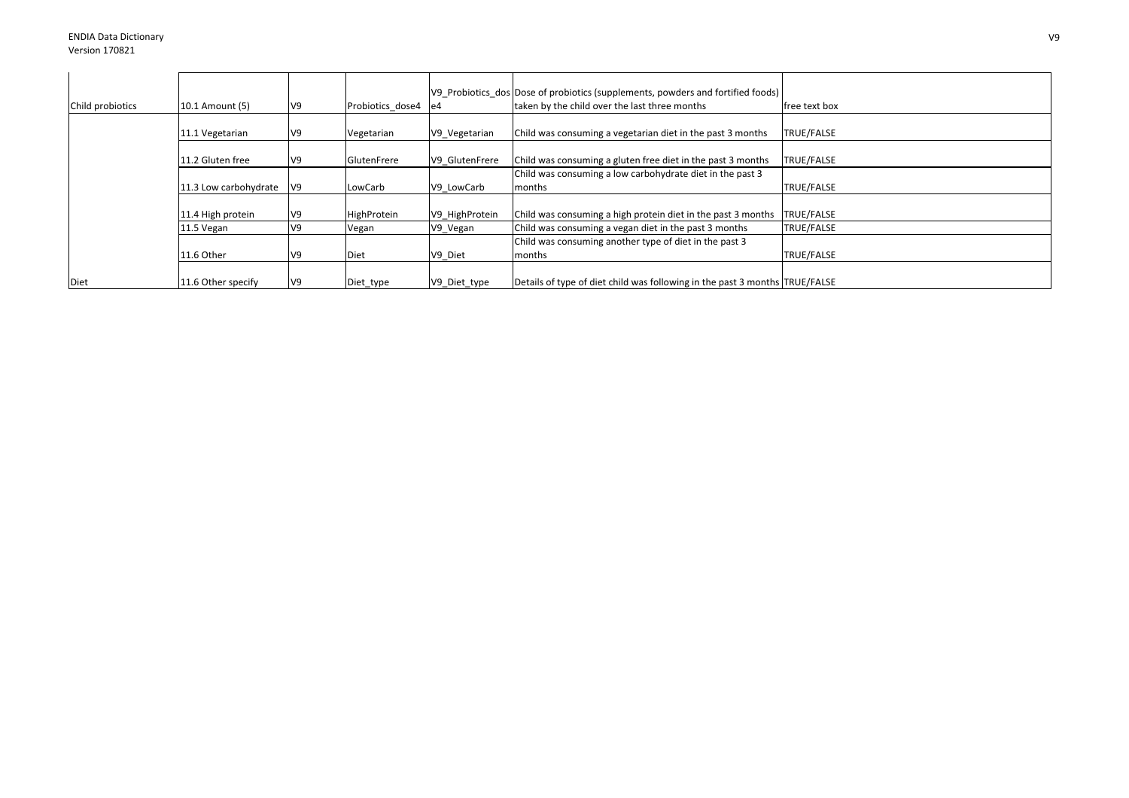| Child probiotics | 10.1 Amount (5)       | V9 | Probiotics dose4   | e4 e4          | V9 Probiotics dos Dose of probiotics (supplements, powders and fortified foods)<br>taken by the child over the last three months | free text box     |
|------------------|-----------------------|----|--------------------|----------------|----------------------------------------------------------------------------------------------------------------------------------|-------------------|
|                  | 11.1 Vegetarian       | V9 | Vegetarian         | V9 Vegetarian  | Child was consuming a vegetarian diet in the past 3 months                                                                       | TRUE/FALSE        |
|                  | 11.2 Gluten free      | V9 | <b>GlutenFrere</b> | V9 GlutenFrere | Child was consuming a gluten free diet in the past 3 months                                                                      | TRUE/FALSE        |
|                  | 11.3 Low carbohydrate | V9 | LowCarb            | V9 LowCarb     | Child was consuming a low carbohydrate diet in the past 3<br>months                                                              | <b>TRUE/FALSE</b> |
|                  | 11.4 High protein     | V9 | HighProtein        | V9 HighProtein | Child was consuming a high protein diet in the past 3 months                                                                     | TRUE/FALSE        |
|                  | 11.5 Vegan            | V9 | Vegan              | V9_Vegan       | Child was consuming a vegan diet in the past 3 months                                                                            | TRUE/FALSE        |
|                  |                       |    |                    |                | Child was consuming another type of diet in the past 3                                                                           |                   |
|                  | 11.6 Other            | V9 | Diet               | V9_Diet        | months                                                                                                                           | <b>TRUE/FALSE</b> |
| Diet             | 11.6 Other specify    | V9 | Diet_type          | V9_Diet_type   | Details of type of diet child was following in the past 3 months TRUE/FALSE                                                      |                   |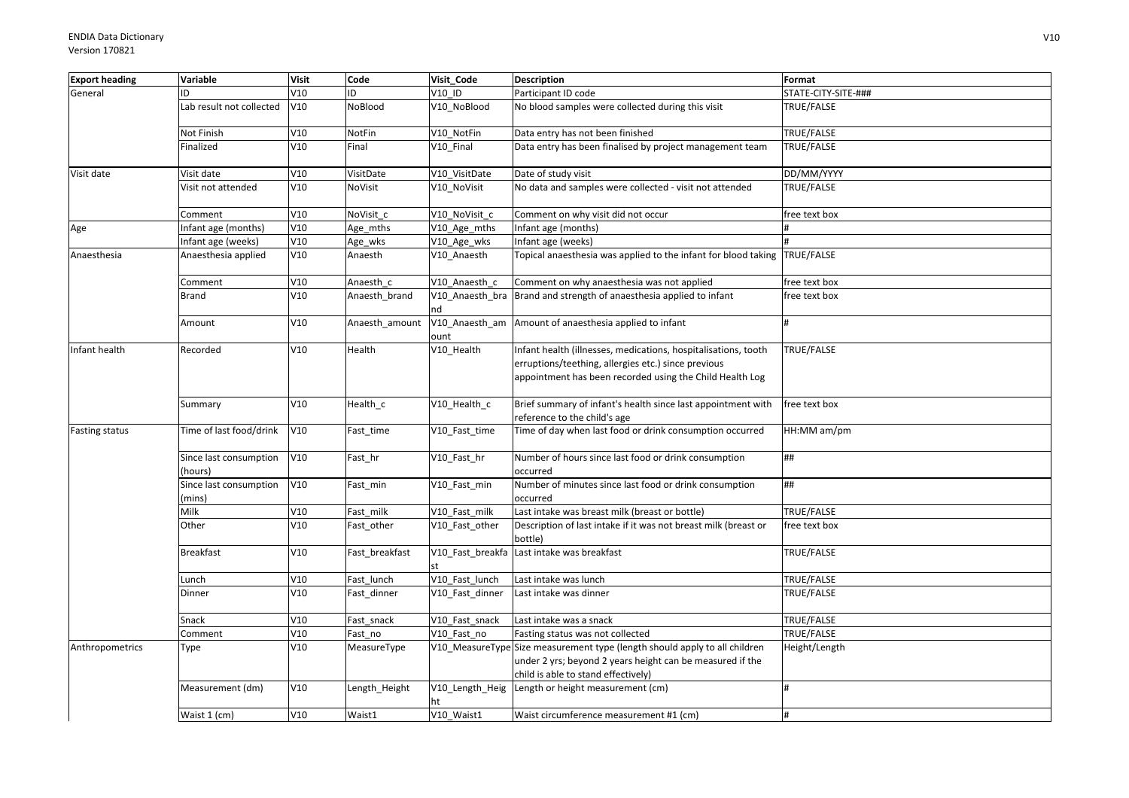| <b>Export heading</b> | Variable                          | <b>Visit</b> | Code           | Visit Code             | <b>Description</b>                                                                                                                                                                | Format              |
|-----------------------|-----------------------------------|--------------|----------------|------------------------|-----------------------------------------------------------------------------------------------------------------------------------------------------------------------------------|---------------------|
| General               | ID                                | V10          | ID             | V10 ID                 | Participant ID code                                                                                                                                                               | STATE-CITY-SITE-### |
|                       | Lab result not collected          | V10          | NoBlood        | V10 NoBlood            | No blood samples were collected during this visit                                                                                                                                 | TRUE/FALSE          |
|                       | Not Finish                        | V10          | NotFin         | V10 NotFin             | Data entry has not been finished                                                                                                                                                  | TRUE/FALSE          |
|                       | Finalized                         | V10          | Final          | V10 Final              | Data entry has been finalised by project management team                                                                                                                          | TRUE/FALSE          |
| Visit date            | Visit date                        | V10          | VisitDate      | V10_VisitDate          | Date of study visit                                                                                                                                                               | DD/MM/YYYY          |
|                       | Visit not attended                | V10          | NoVisit        | V10_NoVisit            | No data and samples were collected - visit not attended                                                                                                                           | TRUE/FALSE          |
|                       | Comment                           | V10          | NoVisit c      | V10 NoVisit c          | Comment on why visit did not occur                                                                                                                                                | free text box       |
| Age                   | Infant age (months)               | V10          | Age_mths       | V10_Age_mths           | Infant age (months)                                                                                                                                                               |                     |
|                       | Infant age (weeks)                | V10          | Age_wks        | V10_Age_wks            | Infant age (weeks)                                                                                                                                                                |                     |
| Anaesthesia           | Anaesthesia applied               | V10          | Anaesth        | V10_Anaesth            | Topical anaesthesia was applied to the infant for blood taking TRUE/FALSE                                                                                                         |                     |
|                       | Comment                           | V10          | Anaesth c      | V10 Anaesth c          | Comment on why anaesthesia was not applied                                                                                                                                        | free text box       |
|                       | Brand                             | V10          | Anaesth_brand  | V10_Anaesth_bra<br>nd  | Brand and strength of anaesthesia applied to infant                                                                                                                               | free text box       |
|                       | Amount                            | V10          | Anaesth_amount | V10_Anaesth_am<br>ount | Amount of anaesthesia applied to infant                                                                                                                                           |                     |
| Infant health         | Recorded                          | V10          | Health         | V10_Health             | Infant health (illnesses, medications, hospitalisations, tooth<br>erruptions/teething, allergies etc.) since previous<br>appointment has been recorded using the Child Health Log | TRUE/FALSE          |
|                       | Summary                           | V10          | Health_c       | V10_Health_c           | Brief summary of infant's health since last appointment with<br>reference to the child's age                                                                                      | free text box       |
| <b>Fasting status</b> | Time of last food/drink           | V10          | Fast_time      | V10_Fast_time          | Time of day when last food or drink consumption occurred                                                                                                                          | HH:MM am/pm         |
|                       | Since last consumption<br>(hours) | V10          | Fast_hr        | V10_Fast_hr            | Number of hours since last food or drink consumption<br>occurred                                                                                                                  | ##                  |
|                       | Since last consumption<br>(mins)  | V10          | Fast_min       | V10_Fast_min           | Number of minutes since last food or drink consumption<br>occurred                                                                                                                | ##                  |
|                       | Milk                              | V10          | Fast milk      | V10 Fast milk          | Last intake was breast milk (breast or bottle)                                                                                                                                    | TRUE/FALSE          |
|                       | Other                             | V10          | Fast_other     | V10 Fast other         | Description of last intake if it was not breast milk (breast or<br>bottle)                                                                                                        | free text box       |
|                       | <b>Breakfast</b>                  | V10          | Fast breakfast |                        | V10_Fast_breakfa Last intake was breakfast                                                                                                                                        | TRUE/FALSE          |
|                       | Lunch                             | V10          | Fast lunch     | V10_Fast_lunch         | Last intake was lunch                                                                                                                                                             | TRUE/FALSE          |
|                       | Dinner                            | V10          | Fast_dinner    | V10 Fast dinner        | Last intake was dinner                                                                                                                                                            | TRUE/FALSE          |
|                       | Snack                             | V10          | Fast_snack     | V10 Fast snack         | Last intake was a snack                                                                                                                                                           | TRUE/FALSE          |
|                       | Comment                           | V10          | Fast no        | V10 Fast no            | Fasting status was not collected                                                                                                                                                  | TRUE/FALSE          |
| Anthropometrics       | Type                              | V10          | MeasureType    |                        | V10_MeasureType Size measurement type (length should apply to all children<br>under 2 yrs; beyond 2 years height can be measured if the<br>child is able to stand effectively)    | Height/Length       |
|                       | Measurement (dm)                  | V10          | Length_Height  | V10_Length_Heig<br>ht  | Length or height measurement (cm)                                                                                                                                                 | $\overline{H}$      |
|                       | Waist 1 (cm)                      | V10          | Waist1         | V10 Waist1             | Waist circumference measurement #1 (cm)                                                                                                                                           |                     |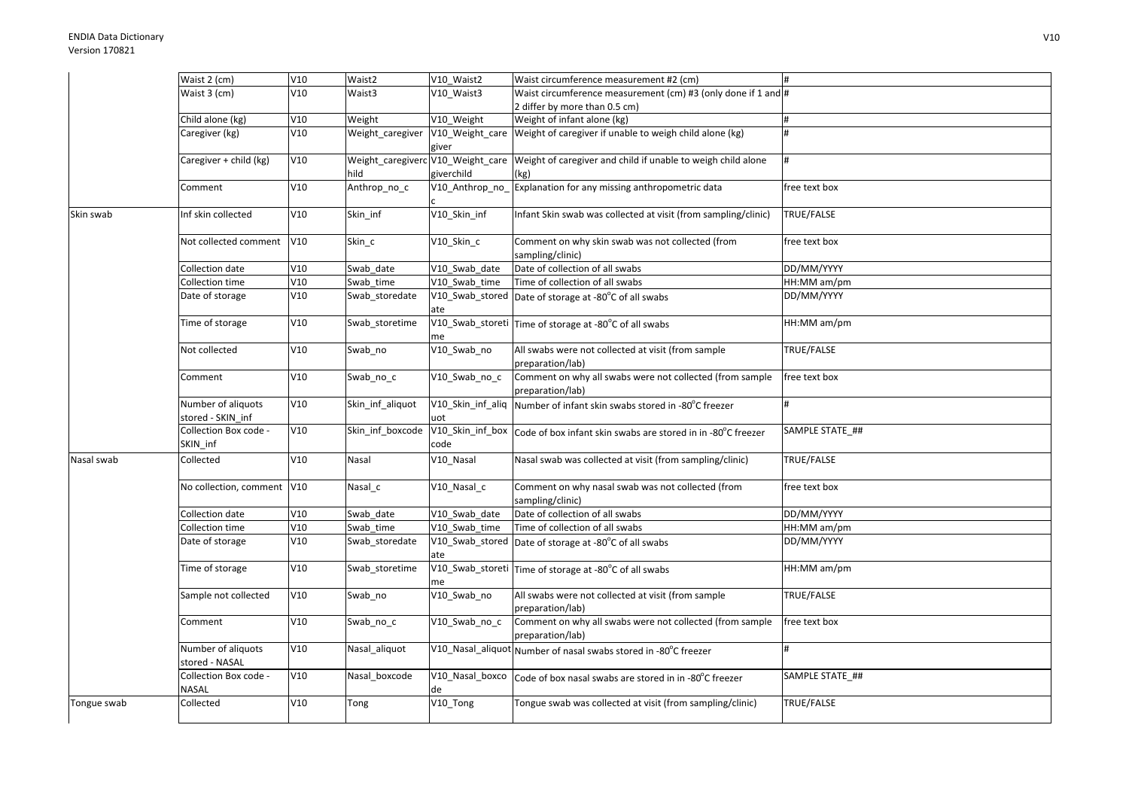|             | Waist 2 (cm)                            | V10 | Waist2           | V10 Waist2     | Waist circumference measurement #2 (cm)                                                                |                 |
|-------------|-----------------------------------------|-----|------------------|----------------|--------------------------------------------------------------------------------------------------------|-----------------|
|             | Waist 3 (cm)                            | V10 | Waist3           | V10_Waist3     | Waist circumference measurement (cm) #3 (only done if 1 and #                                          |                 |
|             |                                         |     |                  |                | 2 differ by more than 0.5 cm)                                                                          |                 |
|             | Child alone (kg)                        | V10 | Weight           | V10 Weight     | Weight of infant alone (kg)                                                                            |                 |
|             | Caregiver (kg)                          | V10 | Weight_caregiver | giver          | V10_Weight_care Weight of caregiver if unable to weigh child alone (kg)                                | #               |
|             | Caregiver + child (kg)                  | V10 | hild             | giverchild     | Weight_caregiverc V10_Weight_care Weight of caregiver and child if unable to weigh child alone<br>(kg) |                 |
|             | Comment                                 | V10 | Anthrop_no_c     | V10 Anthrop no | Explanation for any missing anthropometric data                                                        | free text box   |
| Skin swab   | Inf skin collected                      | V10 | Skin_inf         | V10_Skin_inf   | Infant Skin swab was collected at visit (from sampling/clinic)                                         | TRUE/FALSE      |
|             | Not collected comment                   | V10 | Skin_c           | V10_Skin_c     | Comment on why skin swab was not collected (from<br>sampling/clinic)                                   | free text box   |
|             | Collection date                         | V10 | Swab date        | V10 Swab date  | Date of collection of all swabs                                                                        | DD/MM/YYYY      |
|             | Collection time                         | V10 | Swab time        | V10 Swab time  | Time of collection of all swabs                                                                        | HH:MM am/pm     |
|             | Date of storage                         | V10 | Swab storedate   | ate            | V10_Swab_stored Date of storage at -80°C of all swabs                                                  | DD/MM/YYYY      |
|             | Time of storage                         | V10 | Swab_storetime   | me             | V10_Swab_storeti Time of storage at -80°C of all swabs                                                 | HH:MM am/pm     |
|             | Not collected                           | V10 | Swab_no          | V10_Swab_no    | All swabs were not collected at visit (from sample<br>preparation/lab)                                 | TRUE/FALSE      |
|             | Comment                                 | V10 | Swab_no_c        | V10_Swab_no_c  | Comment on why all swabs were not collected (from sample<br>preparation/lab)                           | free text box   |
|             | Number of aliquots<br>stored - SKIN inf | V10 | Skin inf aliquot | uot            | V10_Skin_inf_aliq Number of infant skin swabs stored in -80°C freezer                                  |                 |
|             | Collection Box code -<br>SKIN inf       | V10 | Skin inf boxcode | code           | V10_Skin_inf_box Code of box infant skin swabs are stored in in -80°C freezer                          | SAMPLE STATE_## |
| Nasal swab  | Collected                               | V10 | Nasal            | V10_Nasal      | Nasal swab was collected at visit (from sampling/clinic)                                               | TRUE/FALSE      |
|             | No collection, comment V10              |     | Nasal c          | V10 Nasal c    | Comment on why nasal swab was not collected (from<br>sampling/clinic)                                  | free text box   |
|             | Collection date                         | V10 | Swab date        | V10 Swab date  | Date of collection of all swabs                                                                        | DD/MM/YYYY      |
|             | Collection time                         | V10 | Swab time        | V10 Swab time  | Time of collection of all swabs                                                                        | HH:MM am/pm     |
|             | Date of storage                         | V10 | Swab_storedate   | ate            | V10_Swab_stored Date of storage at -80°C of all swabs                                                  | DD/MM/YYYY      |
|             | Time of storage                         | V10 | Swab_storetime   | me             | V10_Swab_storeti Time of storage at -80°C of all swabs                                                 | HH:MM am/pm     |
|             | Sample not collected                    | V10 | Swab_no          | V10_Swab_no    | All swabs were not collected at visit (from sample<br>preparation/lab)                                 | TRUE/FALSE      |
|             | Comment                                 | V10 | Swab_no_c        | V10_Swab_no_c  | Comment on why all swabs were not collected (from sample<br>preparation/lab)                           | free text box   |
|             | Number of aliquots<br>stored - NASAL    | V10 | Nasal aliquot    |                | V10_Nasal_aliquot Number of nasal swabs stored in -80°C freezer                                        | H               |
|             | Collection Box code -<br>NASAL          | V10 | Nasal_boxcode    | de             | V10_Nasal_boxco   Code of box nasal swabs are stored in in -80°C freezer                               | SAMPLE STATE_## |
| Tongue swab | Collected                               | V10 | Tong             | V10_Tong       | Tongue swab was collected at visit (from sampling/clinic)                                              | TRUE/FALSE      |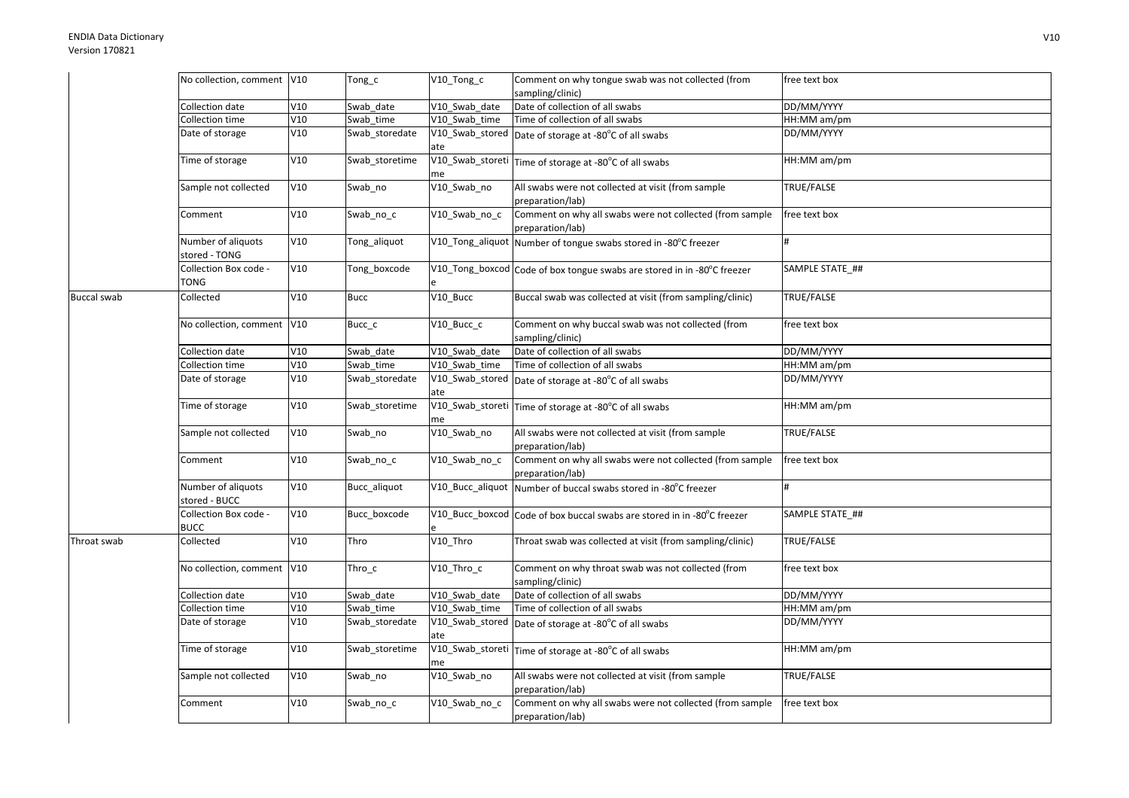|                    | No collection, comment V10          |     | Tong_c         | V10_Tong_c                  | Comment on why tongue swab was not collected (from                                      | free text box   |
|--------------------|-------------------------------------|-----|----------------|-----------------------------|-----------------------------------------------------------------------------------------|-----------------|
|                    |                                     |     |                |                             | sampling/clinic)                                                                        |                 |
|                    | Collection date                     | V10 | Swab_date      | V10 Swab date               | Date of collection of all swabs                                                         | DD/MM/YYYY      |
|                    | Collection time                     | V10 | Swab_time      | V10 Swab time               | Time of collection of all swabs                                                         | HH:MM am/pm     |
|                    | Date of storage                     | V10 | Swab_storedate |                             | $\overline{V10}$ _Swab_stored   Date of storage at -80 $^{\circ}$ C of all swabs        | DD/MM/YYYY      |
|                    |                                     |     |                | ate                         |                                                                                         |                 |
|                    | Time of storage                     | V10 | Swab storetime |                             | $\overline{V10}$ _Swab_storeti $\vert$ Time of storage at -80 $^{\circ}$ C of all swabs | HH:MM am/pm     |
|                    |                                     |     |                | me                          |                                                                                         |                 |
|                    | Sample not collected                | V10 | Swab no        | V10_Swab_no                 | All swabs were not collected at visit (from sample                                      | TRUE/FALSE      |
|                    |                                     |     |                |                             | preparation/lab)                                                                        |                 |
|                    | Comment                             | V10 | Swab_no_c      | V10_Swab_no_c               | Comment on why all swabs were not collected (from sample                                | free text box   |
|                    |                                     |     |                |                             | preparation/lab)                                                                        |                 |
|                    | Number of aliquots<br>stored - TONG | V10 | Tong_aliquot   |                             | V10_Tong_aliquot Number of tongue swabs stored in -80°C freezer                         |                 |
|                    | Collection Box code -<br>TONG       | V10 | Tong_boxcode   |                             | V10_Tong_boxcod Code of box tongue swabs are stored in in -80°C freezer                 | SAMPLE STATE ## |
| <b>Buccal swab</b> | Collected                           | V10 | <b>Bucc</b>    | V10_Bucc                    | Buccal swab was collected at visit (from sampling/clinic)                               | TRUE/FALSE      |
|                    | No collection, comment V10          |     | Bucc_c         | V10_Bucc_c                  | Comment on why buccal swab was not collected (from                                      | free text box   |
|                    |                                     |     |                |                             | sampling/clinic)                                                                        |                 |
|                    | Collection date                     | V10 | Swab date      | V10 Swab date               | Date of collection of all swabs                                                         | DD/MM/YYYY      |
|                    | Collection time                     | V10 | Swab_time      | V10 Swab time               | Time of collection of all swabs                                                         | HH:MM am/pm     |
|                    | Date of storage                     | V10 | Swab storedate |                             | V10_Swab_stored Date of storage at -80°C of all swabs                                   | DD/MM/YYYY      |
|                    |                                     |     |                | ate                         |                                                                                         |                 |
|                    | Time of storage                     | V10 | Swab storetime |                             | V10_Swab_storeti Time of storage at -80°C of all swabs                                  | HH:MM am/pm     |
|                    |                                     |     |                | me                          |                                                                                         |                 |
|                    | Sample not collected                | V10 | Swab_no        | V10_Swab_no                 | All swabs were not collected at visit (from sample                                      | TRUE/FALSE      |
|                    |                                     |     |                |                             | preparation/lab)                                                                        |                 |
|                    | Comment                             | V10 | Swab_no_c      | $\overline{V10}$ _Swab_no_c | Comment on why all swabs were not collected (from sample                                | free text box   |
|                    |                                     |     |                |                             | preparation/lab)                                                                        |                 |
|                    | Number of aliquots<br>stored - BUCC | V10 | Bucc_aliquot   |                             | V10_Bucc_aliquot Number of buccal swabs stored in -80°C freezer                         |                 |
|                    | Collection Box code -               | V10 | Bucc boxcode   |                             | V10_Bucc_boxcod Code of box buccal swabs are stored in in -80°C freezer                 | SAMPLE STATE ## |
|                    | <b>BUCC</b>                         |     |                |                             |                                                                                         |                 |
| Throat swab        | Collected                           | V10 | Thro           | V10 Thro                    | Throat swab was collected at visit (from sampling/clinic)                               | TRUE/FALSE      |
|                    | No collection, comment V10          |     | Thro_c         | V10_Thro_c                  | Comment on why throat swab was not collected (from<br>sampling/clinic)                  | free text box   |
|                    | Collection date                     | V10 | Swab date      | V10 Swab date               | Date of collection of all swabs                                                         | DD/MM/YYYY      |
|                    | Collection time                     | V10 | Swab time      | V10 Swab time               | Time of collection of all swabs                                                         | HH:MM am/pm     |
|                    | Date of storage                     | V10 | Swab_storedate |                             | V10_Swab_stored Date of storage at -80°C of all swabs                                   | DD/MM/YYYY      |
|                    |                                     |     |                | ate                         |                                                                                         |                 |
|                    | Time of storage                     | V10 | Swab storetime |                             | V10_Swab_storeti Time of storage at -80°C of all swabs                                  | HH:MM am/pm     |
|                    |                                     |     |                | me                          |                                                                                         |                 |
|                    | Sample not collected                | V10 | Swab_no        | V10_Swab_no                 | All swabs were not collected at visit (from sample<br>preparation/lab)                  | TRUE/FALSE      |
|                    | Comment                             | V10 | Swab_no_c      | V10_Swab_no_c               | Comment on why all swabs were not collected (from sample                                | free text box   |
|                    |                                     |     |                |                             | preparation/lab)                                                                        |                 |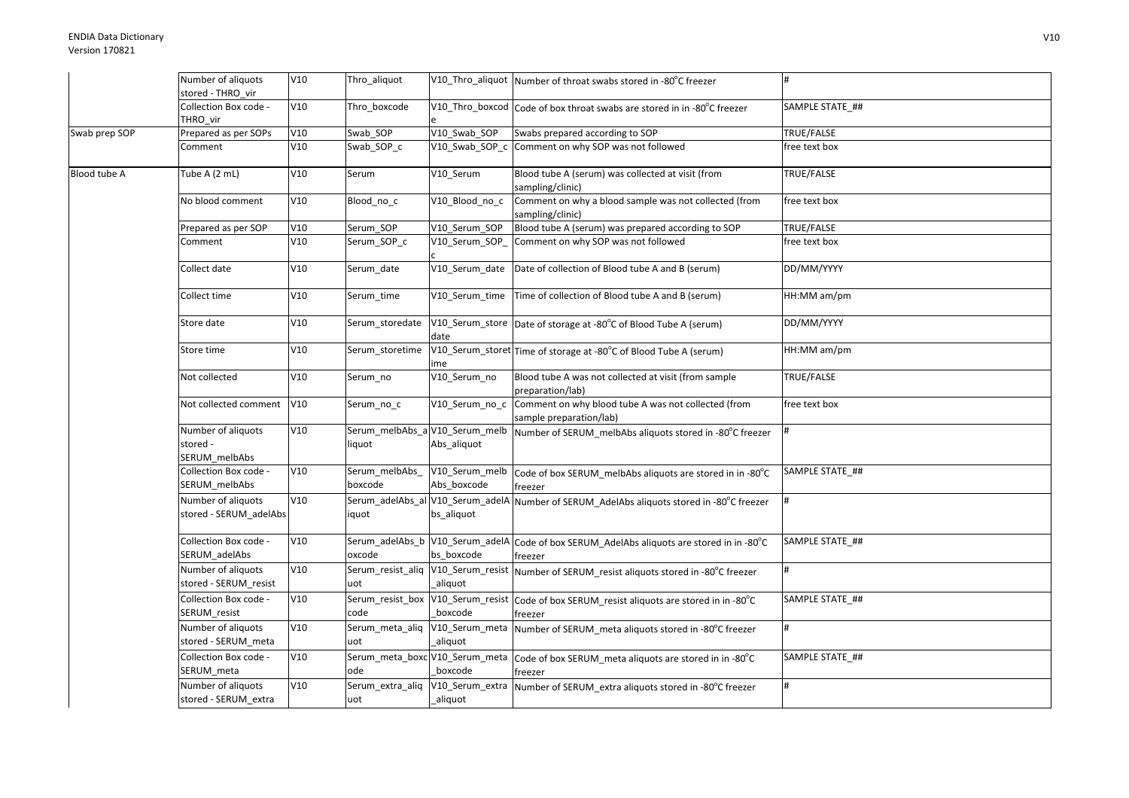|               | Number of aliquots                              | V10 | Thro_aliquot                              |                               | V10_Thro_aliquot   Number of throat swabs stored in -80°C freezer              |                 |
|---------------|-------------------------------------------------|-----|-------------------------------------------|-------------------------------|--------------------------------------------------------------------------------|-----------------|
|               | stored - THRO vir                               |     |                                           |                               |                                                                                |                 |
|               | Collection Box code -<br>THRO vir               | V10 | Thro_boxcode                              |                               | V10_Thro_boxcod Code of box throat swabs are stored in in -80°C freezer        | SAMPLE STATE ## |
| Swab prep SOP | Prepared as per SOPs                            | V10 | Swab SOP                                  | V10 Swab SOP                  | Swabs prepared according to SOP                                                | TRUE/FALSE      |
|               | Comment                                         | V10 | Swab SOP c                                | V10 Swab SOP c                | Comment on why SOP was not followed                                            | free text box   |
| Blood tube A  | Tube A (2 mL)                                   | V10 | Serum                                     | V10 Serum                     | Blood tube A (serum) was collected at visit (from<br>sampling/clinic)          | TRUE/FALSE      |
|               | No blood comment                                | V10 | Blood_no_c                                | V10 Blood no c                | Comment on why a blood sample was not collected (from<br>sampling/clinic)      | free text box   |
|               | Prepared as per SOP                             | V10 | Serum SOP                                 | V10 Serum SOP                 | Blood tube A (serum) was prepared according to SOP                             | TRUE/FALSE      |
|               | Comment                                         | V10 | Serum_SOP_c                               | V10_Serum_SOP_                | Comment on why SOP was not followed                                            | free text box   |
|               | Collect date                                    | V10 | Serum_date                                | V10 Serum date                | Date of collection of Blood tube A and B (serum)                               | DD/MM/YYYY      |
|               | Collect time                                    | V10 | Serum_time                                |                               | V10_Serum_time Time of collection of Blood tube A and B (serum)                | HH:MM am/pm     |
|               | Store date                                      | V10 | Serum_storedate                           | date                          | V10_Serum_store Date of storage at -80°C of Blood Tube A (serum)               | DD/MM/YYYY      |
|               | Store time                                      | V10 | Serum storetime                           | ime                           | V10_Serum_storet Time of storage at -80°C of Blood Tube A (serum)              | HH:MM am/pm     |
|               | Not collected                                   | V10 | Serum no                                  | V10 Serum no                  | Blood tube A was not collected at visit (from sample<br>preparation/lab)       | TRUE/FALSE      |
|               | Not collected comment                           | V10 | Serum_no_c                                | V10_Serum_no_c                | Comment on why blood tube A was not collected (from<br>sample preparation/lab) | free text box   |
|               | Number of aliquots<br>stored -<br>SERUM melbAbs | V10 | Serum_melbAbs_a V10_Serum_melb<br>liquot  | Abs_aliquot                   | Number of SERUM_melbAbs aliquots stored in -80°C freezer                       |                 |
|               | Collection Box code -<br>SERUM melbAbs          | V10 | Serum_melbAbs_<br>boxcode                 | V10_Serum_melb<br>Abs boxcode | Code of box SERUM_melbAbs aliquots are stored in in -80°C<br>freezer           | SAMPLE STATE ## |
|               | Number of aliquots<br>stored - SERUM_adelAbs    | V10 | Serum_adelAbs_al V10_Serum_adelA<br>iquot | bs_aliquot                    | Number of SERUM_AdelAbs aliquots stored in -80°C freezer                       |                 |
|               | Collection Box code -<br>SERUM_adelAbs          | V10 | Serum_adelAbs_b V10_Serum_adelA<br>oxcode | bs boxcode                    | Code of box SERUM_AdelAbs aliquots are stored in in -80°C<br>freezer           | SAMPLE STATE ## |
|               | Number of aliquots<br>stored - SERUM_resist     | V10 | Serum_resist_aliq V10_Serum_resist<br>uot | aliquot                       | Number of SERUM resist aliquots stored in -80°C freezer                        | #               |
|               | Collection Box code -<br>SERUM_resist           | V10 | Serum_resist_box V10_Serum_resist<br>code | boxcode                       | Code of box SERUM_resist aliquots are stored in in -80°C<br>freezer            | SAMPLE STATE ## |
|               | Number of aliquots<br>stored - SERUM_meta       | V10 | Serum_meta_aliq V10_Serum_meta<br>uot     | aliquot                       | Number of SERUM_meta aliquots stored in -80°C freezer                          | #               |
|               | Collection Box code -<br>SERUM_meta             | V10 | Serum_meta_boxc V10_Serum_meta<br>ode     | boxcode                       | Code of box SERUM_meta aliquots are stored in in -80°C<br>freezer              | SAMPLE STATE ## |
|               | Number of aliquots<br>stored - SERUM extra      | V10 | Serum_extra_aliq V10_Serum_extra<br>uot   | _aliquot                      | Number of SERUM_extra aliquots stored in -80°C freezer                         |                 |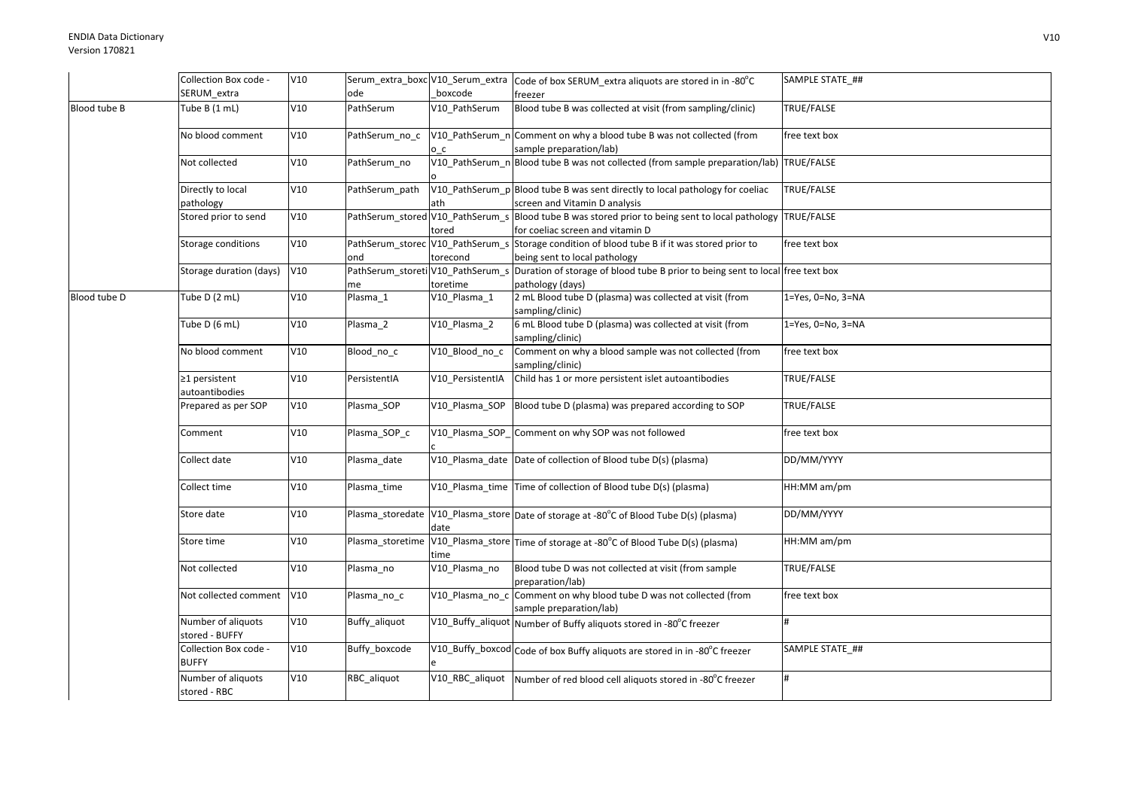|              | Collection Box code -                 | V10 |                                         |                  | Serum_extra_boxc V10_Serum_extra cCode of box SERUM_extra aliquots are stored in in -80°C                      | SAMPLE STATE_##           |
|--------------|---------------------------------------|-----|-----------------------------------------|------------------|----------------------------------------------------------------------------------------------------------------|---------------------------|
|              | SERUM_extra                           |     | ode                                     | boxcode          | freezer                                                                                                        |                           |
| Blood tube B | Tube B (1 mL)                         | V10 | PathSerum                               | V10 PathSerum    | Blood tube B was collected at visit (from sampling/clinic)                                                     | TRUE/FALSE                |
|              | No blood comment                      | V10 | PathSerum no c                          | O <sub>C</sub>   | V10 PathSerum n Comment on why a blood tube B was not collected (from<br>sample preparation/lab)               | free text box             |
|              | Not collected                         | V10 | PathSerum_no                            |                  | V10_PathSerum_n Blood tube B was not collected (from sample preparation/lab) TRUE/FALSE                        |                           |
|              | Directly to local<br>pathology        | V10 | PathSerum path                          | ath              | V10_PathSerum_p Blood tube B was sent directly to local pathology for coeliac<br>screen and Vitamin D analysis | TRUE/FALSE                |
|              | Stored prior to send                  | V10 | PathSerum_stored V10_PathSerum_s        | tored            | Blood tube B was stored prior to being sent to local pathology<br>for coeliac screen and vitamin D             | TRUE/FALSE                |
|              | Storage conditions                    | V10 | PathSerum_storec V10_PathSerum_s<br>ond | torecond         | Storage condition of blood tube B if it was stored prior to<br>being sent to local pathology                   | free text box             |
|              | Storage duration (days)               | V10 | PathSerum_storeti V10_PathSerum_s<br>me | toretime         | Duration of storage of blood tube B prior to being sent to local free text box<br>pathology (days)             |                           |
| Blood tube D | Tube D (2 mL)                         | V10 | Plasma_1                                | V10 Plasma 1     | 2 mL Blood tube D (plasma) was collected at visit (from<br>sampling/clinic)                                    | $1 = Yes, 0 = No, 3 = NA$ |
|              | Tube D (6 mL)                         | V10 | Plasma_2                                | V10_Plasma_2     | 6 mL Blood tube D (plasma) was collected at visit (from<br>sampling/clinic)                                    | 1=Yes, 0=No, 3=NA         |
|              | No blood comment                      | V10 | Blood_no_c                              | V10_Blood_no_c   | Comment on why a blood sample was not collected (from<br>sampling/clinic)                                      | free text box             |
|              | $\geq$ 1 persistent<br>autoantibodies | V10 | PersistentIA                            | V10 PersistentIA | Child has 1 or more persistent islet autoantibodies                                                            | TRUE/FALSE                |
|              | Prepared as per SOP                   | V10 | Plasma_SOP                              | V10 Plasma SOP   | Blood tube D (plasma) was prepared according to SOP                                                            | TRUE/FALSE                |
|              | Comment                               | V10 | Plasma_SOP_c                            |                  | V10_Plasma_SOP_Comment on why SOP was not followed                                                             | free text box             |
|              | Collect date                          | V10 | Plasma date                             |                  | V10_Plasma_date Date of collection of Blood tube D(s) (plasma)                                                 | DD/MM/YYYY                |
|              | Collect time                          | V10 | Plasma_time                             |                  | V10_Plasma_time Time of collection of Blood tube D(s) (plasma)                                                 | HH:MM am/pm               |
|              | Store date                            | V10 | Plasma storedate                        | date             | V10_Plasma_store Date of storage at -80°C of Blood Tube D(s) (plasma)                                          | DD/MM/YYYY                |
|              | Store time                            | V10 | Plasma storetime                        | time             | V10_Plasma_store Time of storage at -80°C of Blood Tube D(s) (plasma)                                          | HH:MM am/pm               |
|              | Not collected                         | V10 | Plasma_no                               | V10 Plasma no    | Blood tube D was not collected at visit (from sample<br>preparation/lab)                                       | TRUE/FALSE                |
|              | Not collected comment                 | V10 | Plasma_no_c                             | V10 Plasma no c  | Comment on why blood tube D was not collected (from<br>sample preparation/lab)                                 | free text box             |
|              | Number of aliquots<br>stored - BUFFY  | V10 | Buffy_aliquot                           |                  | V10_Buffy_aliquot Number of Buffy aliquots stored in -80°C freezer                                             | #                         |
|              | Collection Box code -<br><b>BUFFY</b> | V10 | Buffy boxcode                           |                  | V10_Buffy_boxcod Code of box Buffy aliquots are stored in in -80°C freezer                                     | SAMPLE STATE ##           |
|              | Number of aliquots<br>stored - RBC    | V10 | RBC_aliquot                             |                  | V10_RBC_aliquot Number of red blood cell aliquots stored in -80°C freezer                                      | #                         |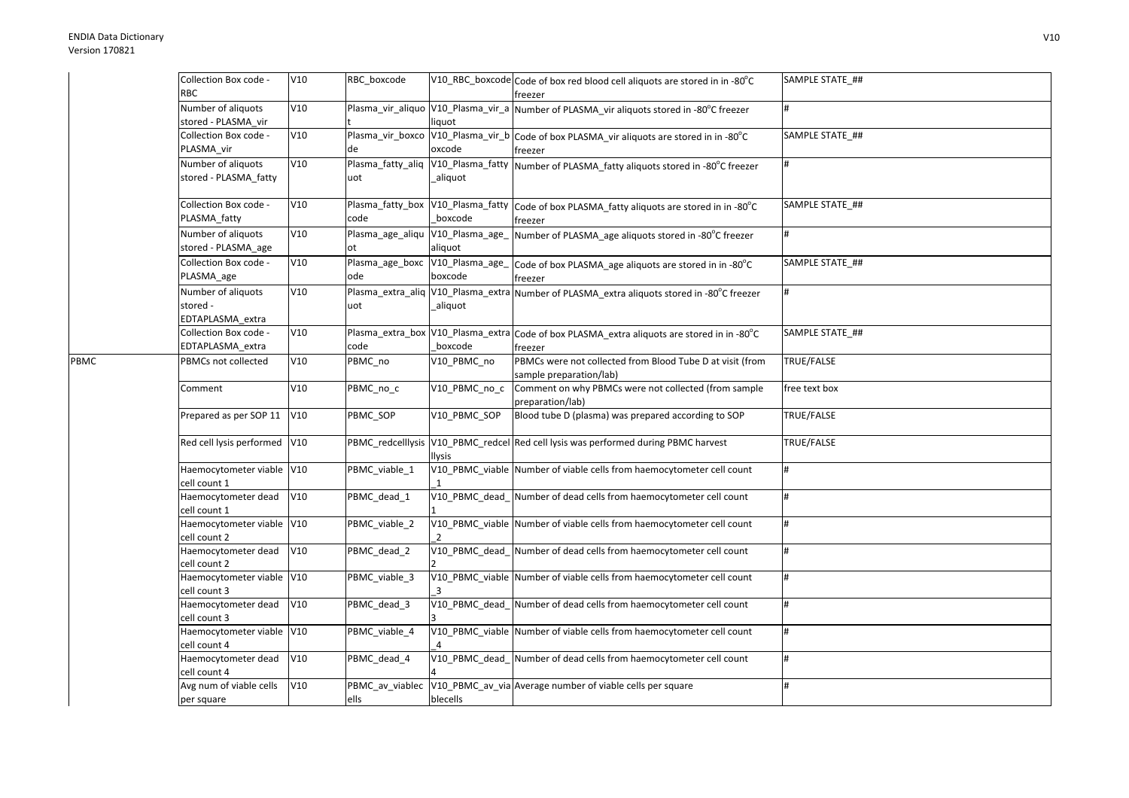PBMC

| Collection Box code -<br>RBC                       | V10 | RBC_boxcode                            |               | V10_RBC_boxcode Code of box red blood cell aliquots are stored in in -80°C<br>freezer                                                      | SAMPLE STATE_## |
|----------------------------------------------------|-----|----------------------------------------|---------------|--------------------------------------------------------------------------------------------------------------------------------------------|-----------------|
| Number of aliquots<br>stored - PLASMA vir          | V10 |                                        | liquot        | Plasma_vir_aliquo V10_Plasma_vir_a Number of PLASMA_vir aliquots stored in -80°C freezer                                                   | #               |
| Collection Box code -<br>PLASMA_vir                | V10 | Plasma_vir_boxco<br>de                 | oxcode        | V10_Plasma_vir_b Code of box PLASMA_vir aliquots are stored in in -80°C<br>freezer                                                         | SAMPLE STATE ## |
| Number of aliquots<br>stored - PLASMA_fatty        | V10 | uot                                    | _aliquot      | Plasma_fatty_aliq  V10_Plasma_fatty  Number of PLASMA_fatty aliquots stored in -80°C freezer                                               | #               |
| Collection Box code -<br>PLASMA_fatty              | V10 | code                                   | boxcode       | Plasma_fatty_box V10_Plasma_fatty Code of box PLASMA_fatty aliquots are stored in in -80°C<br>freezer                                      | SAMPLE STATE_## |
| Number of aliquots<br>stored - PLASMA_age          | V10 | Plasma_age_aliqu V10_Plasma_age_<br>οt | aliquot       | Number of PLASMA_age aliquots stored in -80°C freezer                                                                                      | #               |
| Collection Box code -<br>PLASMA_age                | V10 | ode                                    | boxcode       | Plasma_age_boxc  V10_Plasma_age_  Code of box PLASMA_age aliquots are stored in in -80°C<br>freezer                                        | SAMPLE STATE_## |
| Number of aliquots<br>stored -<br>EDTAPLASMA extra | V10 | uot                                    | _aliquot      | Plasma_extra_aliq V10_Plasma_extra Number of PLASMA_extra aliquots stored in -80°C freezer                                                 |                 |
| Collection Box code -<br>EDTAPLASMA_extra          | V10 | code                                   | boxcode       | Plasma_extra_box   V10_Plasma_extra   Code of box PLASMA_extra aliquots are stored in in -80°C<br>freezer                                  | SAMPLE STATE_## |
| PBMCs not collected                                | V10 | PBMC_no                                | V10_PBMC_no   | PBMCs were not collected from Blood Tube D at visit (from<br>sample preparation/lab)                                                       | TRUE/FALSE      |
| Comment                                            | V10 | PBMC_no_c                              | V10_PBMC_no_c | Comment on why PBMCs were not collected (from sample<br>preparation/lab)                                                                   | free text box   |
| Prepared as per SOP 11                             | V10 | PBMC_SOP                               | V10_PBMC_SOP  | Blood tube D (plasma) was prepared according to SOP                                                                                        | TRUE/FALSE      |
| Red cell lysis performed                           | V10 |                                        | <b>Ilysis</b> | PBMC_redcelllysis  V10_PBMC_redcel Red cell lysis was performed during PBMC harvest                                                        | TRUE/FALSE      |
| Haemocytometer viable V10<br>cell count 1          |     | PBMC_viable_1                          |               | V10_PBMC_viable Number of viable cells from haemocytometer cell count                                                                      | #               |
| Haemocytometer dead<br>cell count 1                | V10 | PBMC dead 1                            |               | V10_PBMC_dead_Number of dead cells from haemocytometer cell count                                                                          | #               |
| Haemocytometer viable V10<br>cell count 2          |     | PBMC_viable_2                          |               | V10_PBMC_viable Number of viable cells from haemocytometer cell count                                                                      | #               |
| Haemocytometer dead<br>cell count 2                | V10 | PBMC_dead_2                            |               | V10_PBMC_dead_Number of dead cells from haemocytometer cell count                                                                          | #               |
| Haemocytometer viable<br>cell count 3              | V10 | PBMC_viable_3                          |               | V10_PBMC_viable Number of viable cells from haemocytometer cell count                                                                      | #               |
| Haemocytometer dead<br>cell count 3                | V10 | PBMC dead 3                            |               | V10_PBMC_dead_Number of dead cells from haemocytometer cell count<br>V10_PBMC_viable Number of viable cells from haemocytometer cell count | #<br>#          |
| Haemocytometer viable V10<br>ell count 4           | V10 | PBMC_viable_4                          |               | V10_PBMC_dead_Number of dead cells from haemocytometer cell count                                                                          | #               |
| Haemocytometer dead<br>cell count 4                | V10 | PBMC_dead_4                            |               | V10_PBMC_av_via Average number of viable cells per square                                                                                  | #               |
| Avg num of viable cells<br>per square              |     | PBMC_av_viablec<br>ells                | blecells      |                                                                                                                                            |                 |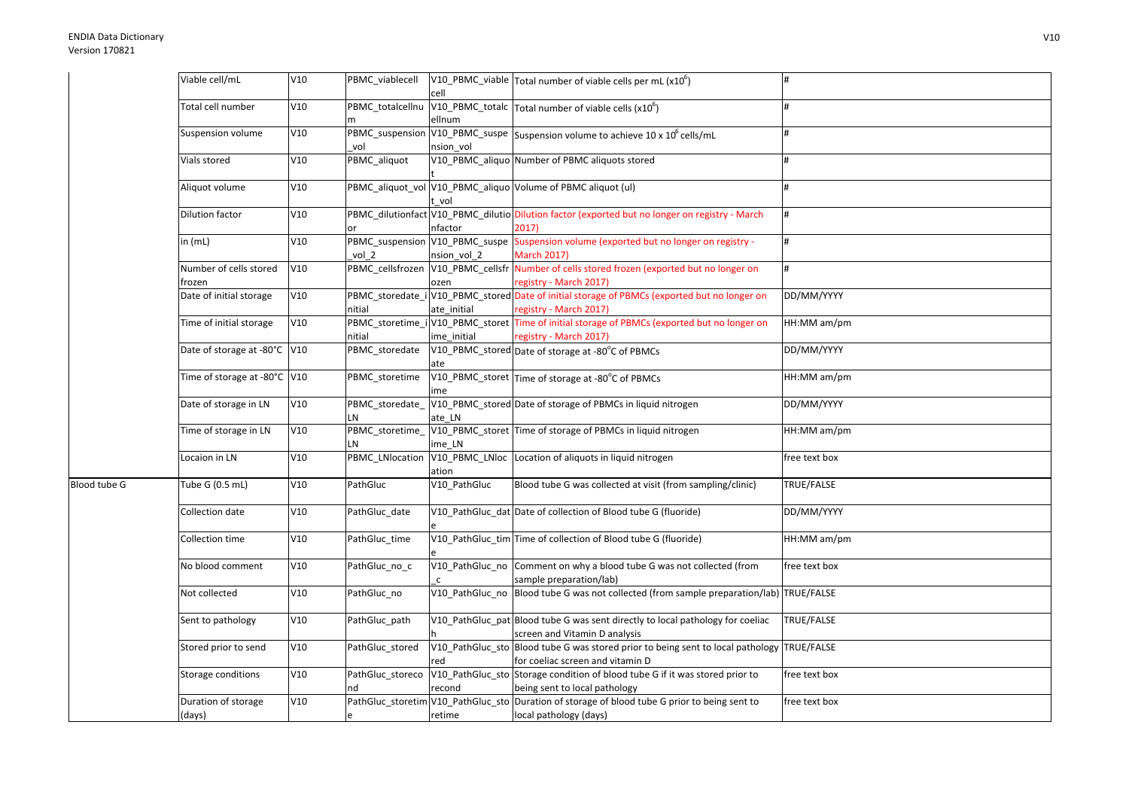|              | Viable cell/mL                     | V10        | PBMC_viablecell                | cell         | V10_PBMC_viable Total number of viable cells per mL (x10 <sup>6</sup> )                                                          |                           |
|--------------|------------------------------------|------------|--------------------------------|--------------|----------------------------------------------------------------------------------------------------------------------------------|---------------------------|
|              | Total cell number                  | V10        | PBMC_totalcellnu               | ellnum       | $\sqrt{\text{V10\_PBMC\_total}}$ Total number of viable cells (x10 <sup>6</sup> )                                                | #                         |
|              | Suspension volume                  | V10        | vol                            | nsion vol    | PBMC_suspension V10_PBMC_suspe Suspension volume to achieve 10 x 10 <sup>6</sup> cells/mL                                        | $\sharp$                  |
|              | Vials stored                       | V10        | PBMC_aliquot                   |              | V10_PBMC_aliquo Number of PBMC aliquots stored                                                                                   | #                         |
|              | Aliquot volume                     | V10        |                                | vol          | PBMC_aliquot_vol V10_PBMC_aliquo Volume of PBMC aliquot (ul)                                                                     | $\sharp$                  |
|              | Dilution factor                    | V10        | or                             | nfactor      | PBMC_dilutionfact V10_PBMC_dilutio Dilution factor (exported but no longer on registry - March<br>2017)                          | <sup>#</sup>              |
|              | in $(mL)$                          | V10        | vol 2                          | nsion vol 2  | PBMC_suspension V10_PBMC_suspe Suspension volume (exported but no longer on registry -<br><b>March 2017)</b>                     | <sup>#</sup>              |
|              | Number of cells stored<br>frozen   | V10        | PBMC cellsfrozen               | ozen         | V10_PBMC_cellsfr Number of cells stored frozen (exported but no longer on<br>registry - March 2017)                              | #                         |
|              | Date of initial storage            | V10        | nitial                         | ate initial  | PBMC_storedate_i V10_PBMC_stored Date of initial storage of PBMCs (exported but no longer on<br>registry - March 2017)           | DD/MM/YYYY                |
|              | Time of initial storage            | V10        | nitial                         | ime initial  | PBMC_storetime_i V10_PBMC_storet Time of initial storage of PBMCs (exported but no longer on<br>registry - March 2017)           | HH:MM am/pm               |
|              | Date of storage at -80°C V10       |            | PBMC_storedate                 |              | V10_PBMC_stored Date of storage at -80°C of PBMCs                                                                                | DD/MM/YYYY                |
|              | Time of storage at -80°C V10       |            | PBMC_storetime                 | ime          | V10_PBMC_storet Time of storage at -80°C of PBMCs                                                                                | HH:MM am/pm               |
|              | Date of storage in LN              | V10        | PBMC storedate<br>LN           | ate LN       | V10_PBMC_stored Date of storage of PBMCs in liquid nitrogen                                                                      | DD/MM/YYYY                |
|              | Time of storage in LN              | V10        | PBMC_storetime_<br>LN          | ime LN       | V10_PBMC_storet Time of storage of PBMCs in liquid nitrogen                                                                      | HH:MM am/pm               |
|              | Locaion in LN                      | V10        | PBMC_LNlocation                | ation        | V10_PBMC_LNloc Location of aliquots in liquid nitrogen                                                                           | free text box             |
| Blood tube G | Tube G (0.5 mL)                    | V10        | PathGluc                       | V10_PathGluc | Blood tube G was collected at visit (from sampling/clinic)                                                                       | <b>TRUE/FALSE</b>         |
|              | Collection date<br>Collection time | V10<br>V10 | PathGluc_date                  |              | V10_PathGluc_dat Date of collection of Blood tube G (fluoride)<br>V10_PathGluc_tim Time of collection of Blood tube G (fluoride) | DD/MM/YYYY<br>HH:MM am/pm |
|              | No blood comment                   | V10        | PathGluc_time<br>PathGluc_no_c |              | V10_PathGluc_no Comment on why a blood tube G was not collected (from                                                            | free text box             |
|              | Not collected                      | V10        | PathGluc_no                    | $\mathsf{C}$ | sample preparation/lab)<br>V10_PathGluc_no  Blood tube G was not collected (from sample preparation/lab) TRUE/FALSE              |                           |
|              | Sent to pathology                  | V10        | PathGluc_path                  |              | V10 PathGluc pat Blood tube G was sent directly to local pathology for coeliac                                                   | <b>TRUE/FALSE</b>         |
|              | Stored prior to send               | V10        | PathGluc stored                |              | screen and Vitamin D analysis<br>V10_PathGluc_sto Blood tube G was stored prior to being sent to local pathology TRUE/FALSE      |                           |
|              | Storage conditions                 | V10        | PathGluc_storeco               | red          | for coeliac screen and vitamin D<br>V10_PathGluc_sto Storage condition of blood tube G if it was stored prior to                 | free text box             |
|              | Duration of storage                | V10        | nd                             | recond       | being sent to local pathology<br>PathGluc_storetim V10_PathGluc_sto Duration of storage of blood tube G prior to being sent to   | free text box             |
|              | (days)                             |            | e                              | retime       | local pathology (days)                                                                                                           |                           |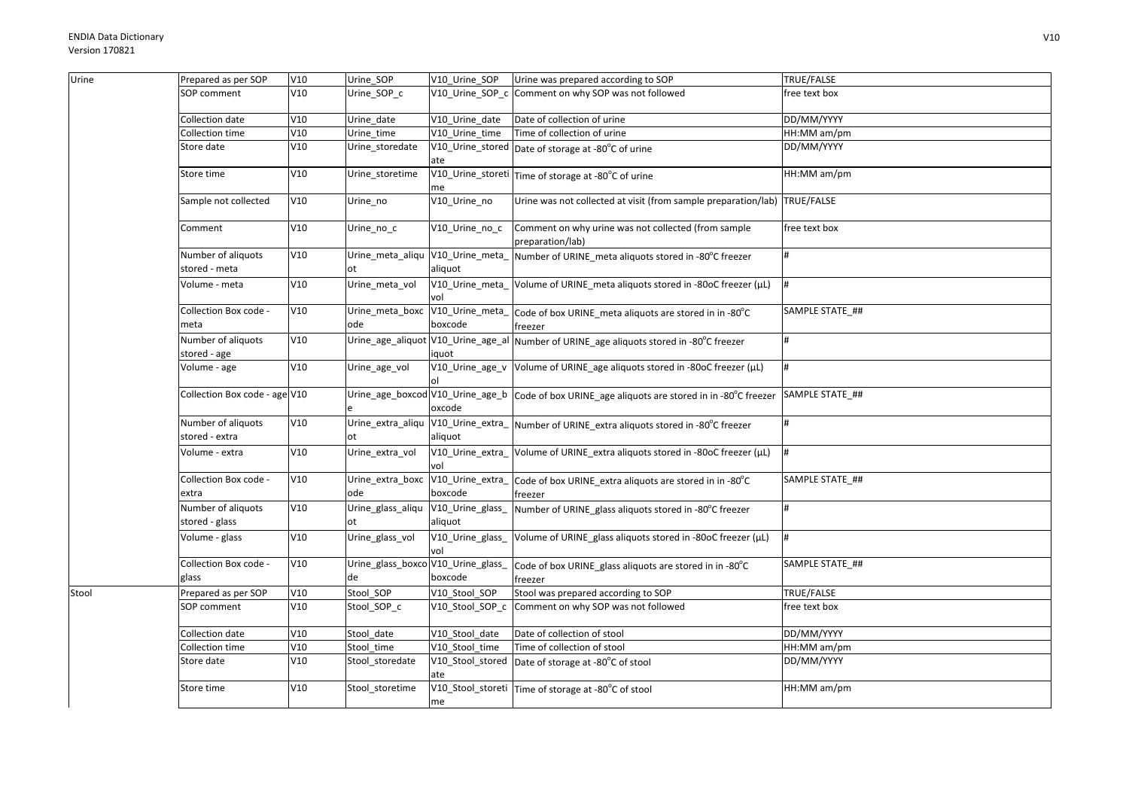| Urine | Prepared as per SOP                  | V10 | Urine_SOP                                | V10 Urine SOP               | Urine was prepared according to SOP                                                            | TRUE/FALSE      |
|-------|--------------------------------------|-----|------------------------------------------|-----------------------------|------------------------------------------------------------------------------------------------|-----------------|
|       | SOP comment                          | V10 | Urine_SOP_c                              |                             | V10_Urine_SOP_c Comment on why SOP was not followed                                            | free text box   |
|       | Collection date                      | V10 | Urine_date                               | V10_Urine_date              | Date of collection of urine                                                                    | DD/MM/YYYY      |
|       | Collection time                      | V10 | Urine time                               | V10 Urine time              | Time of collection of urine                                                                    | HH:MM am/pm     |
|       | Store date                           | V10 | Urine_storedate                          | ate                         | $\sqrt{10}$ Urine_stored Date of storage at -80 $^{\circ}$ C of urine                          | DD/MM/YYYY      |
|       | Store time                           | V10 | Urine storetime                          | me                          | V10_Urine_storeti Time of storage at -80°C of urine                                            | HH:MM am/pm     |
|       | Sample not collected                 | V10 | Urine_no                                 | V10_Urine_no                | Urine was not collected at visit (from sample preparation/lab) TRUE/FALSE                      |                 |
|       | Comment                              | V10 | Urine_no_c                               | V10_Urine_no_c              | Comment on why urine was not collected (from sample<br>preparation/lab)                        | free text box   |
|       | Number of aliquots<br>stored - meta  | V10 | Urine_meta_aliqu V10_Urine_meta_<br>ot   | aliquot                     | Number of URINE_meta aliquots stored in -80°C freezer                                          |                 |
|       | Volume - meta                        | V10 | Urine meta vol                           | vol                         | V10_Urine_meta_ Volume of URINE_meta aliquots stored in -80oC freezer (µL)                     |                 |
|       | Collection Box code -<br>meta        | V10 | Urine meta boxc<br>ode                   | V10_Urine_meta_<br>boxcode  | Code of box URINE_meta aliquots are stored in in -80°C<br>freezer                              | SAMPLE STATE ## |
|       | Number of aliquots<br>stored - age   | V10 |                                          | iquot                       | Urine_age_aliquot V10_Urine_age_al Number of URINE_age aliquots stored in -80°C freezer        |                 |
|       | Volume - age                         | V10 | Urine_age_vol                            |                             | V10_Urine_age_v Volume of URINE_age aliquots stored in -80oC freezer (µL)                      | #               |
|       | Collection Box code - age V10        |     |                                          | oxcode                      | Urine_age_boxcod V10_Urine_age_b Code of box URINE_age aliquots are stored in in -80°C freezer | SAMPLE STATE ## |
|       | Number of aliquots<br>stored - extra | V10 | Urine extra aliqu                        | aliquot                     | V10_Urine_extra_ Number of URINE_extra aliquots stored in -80°C freezer                        |                 |
|       | Volume - extra                       | V10 | Urine_extra_vol                          | V10_Urine_extra<br>vol      | Volume of URINE_extra aliquots stored in -80oC freezer (µL)                                    |                 |
|       | Collection Box code -<br>extra       | V10 | Urine_extra_boxc V10_Urine_extra_<br>ode | boxcode                     | Code of box URINE_extra aliquots are stored in in -80°C<br>freezer                             | SAMPLE STATE ## |
|       | Number of aliquots<br>stored - glass | V10 | Urine_glass_aliqu                        | V10_Urine_glass_<br>aliquot | Number of URINE_glass aliquots stored in -80°C freezer                                         |                 |
|       | Volume - glass                       | V10 | Urine_glass_vol                          | V10_Urine_glass_<br>vol     | Volume of URINE_glass aliquots stored in -80oC freezer (µL)                                    |                 |
|       | Collection Box code -<br>glass       | V10 | Urine_glass_boxco V10_Urine_glass_<br>de | boxcode                     | Code of box URINE_glass aliquots are stored in in -80°C<br>freezer                             | SAMPLE STATE ## |
| Stool | Prepared as per SOP                  | V10 | Stool_SOP                                | V10_Stool_SOP               | Stool was prepared according to SOP                                                            | TRUE/FALSE      |
|       | SOP comment                          | V10 | Stool_SOP_c                              | V10_Stool_SOP_c             | Comment on why SOP was not followed                                                            | free text box   |
|       | Collection date                      | V10 | Stool date                               | V10 Stool date              | Date of collection of stool                                                                    | DD/MM/YYYY      |
|       | Collection time                      | V10 | Stool time                               | V10 Stool time              | Time of collection of stool                                                                    | HH:MM am/pm     |
|       | Store date                           | V10 | Stool_storedate                          | ate                         | V10_Stool_stored Date of storage at -80°C of stool                                             | DD/MM/YYYY      |
|       | Store time                           | V10 | Stool storetime                          | me                          | V10_Stool_storeti Time of storage at -80°C of stool                                            | HH:MM am/pm     |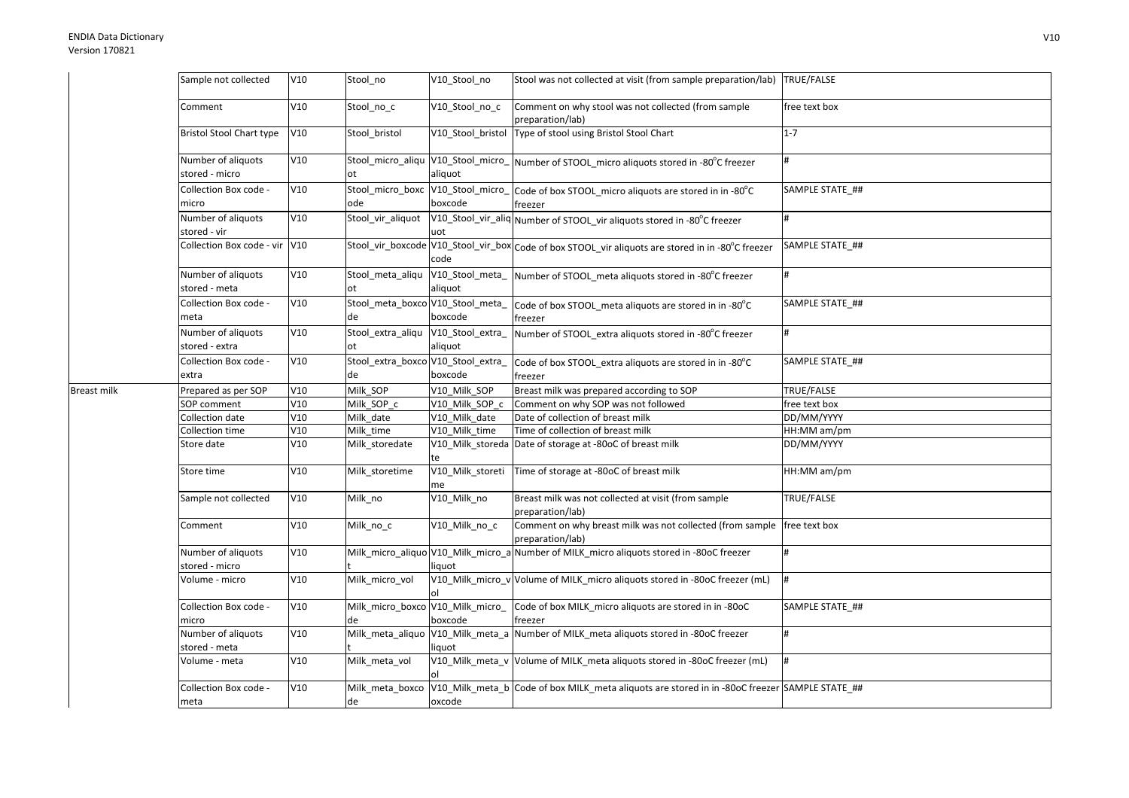Breast milk

| Sample not collected                 | V10 | Stool no                                 | V10_Stool_no                | Stool was not collected at visit (from sample preparation/lab) TRUE/FALSE                         |                 |
|--------------------------------------|-----|------------------------------------------|-----------------------------|---------------------------------------------------------------------------------------------------|-----------------|
| Comment                              | V10 | Stool no c                               | V10_Stool_no_c              | Comment on why stool was not collected (from sample<br>preparation/lab)                           | free text box   |
| <b>Bristol Stool Chart type</b>      | V10 | Stool bristol                            | V10_Stool_bristol           | Type of stool using Bristol Stool Chart                                                           | $1 - 7$         |
| Number of aliquots<br>stored - micro | V10 | Stool_micro_aliqu V10_Stool_micro_<br>ot | aliquot                     | Number of STOOL_micro aliquots stored in -80°C freezer                                            | #               |
| Collection Box code -<br>micro       | V10 | Stool_micro_boxc V10_Stool_micro_<br>ode | boxcode                     | Code of box STOOL_micro aliquots are stored in in -80°C<br>freezer                                | SAMPLE STATE ## |
| Number of aliquots<br>stored - vir   | V10 | Stool_vir_aliquot                        | uot                         | V10_Stool_vir_aliq Number of STOOL_vir aliquots stored in -80°C freezer                           | #               |
| Collection Box code - vir V10        |     |                                          | code                        | Stool_vir_boxcode V10_Stool_vir_box Code of box STOOL_vir aliquots are stored in in -80°C freezer | SAMPLE STATE ## |
| Number of aliquots<br>stored - meta  | V10 | Stool_meta_aliqu V10_Stool_meta_<br>ot   | aliquot                     | Number of STOOL_meta aliquots stored in -80°C freezer                                             |                 |
| Collection Box code -<br>meta        | V10 | Stool_meta_boxco V10_Stool_meta_<br>de   | boxcode                     | Code of box STOOL_meta aliquots are stored in in -80°C<br>freezer                                 | SAMPLE STATE ## |
| Number of aliquots<br>stored - extra | V10 | Stool_extra_aliqu<br>ot                  | V10_Stool_extra_<br>aliquot | Number of STOOL_extra aliquots stored in -80°C freezer                                            | #               |
| Collection Box code -<br>extra       | V10 | Stool_extra_boxco V10_Stool_extra_<br>de | boxcode                     | Code of box STOOL_extra aliquots are stored in in -80°C<br>freezer                                | SAMPLE STATE_## |
| Prepared as per SOP                  | V10 | Milk_SOP                                 | V10_Milk_SOP                | Breast milk was prepared according to SOP                                                         | TRUE/FALSE      |
| SOP comment                          | V10 | Milk_SOP_c                               | V10_Milk_SOP_c              | Comment on why SOP was not followed                                                               | free text box   |
| Collection date                      | V10 | Milk_date                                | V10 Milk date               | Date of collection of breast milk                                                                 | DD/MM/YYYY      |
| Collection time                      | V10 | Milk_time                                | V10_Milk_time               | Time of collection of breast milk                                                                 | HH:MM am/pm     |
| Store date                           | V10 | Milk_storedate                           | te                          | V10_Milk_storeda Date of storage at -80oC of breast milk                                          | DD/MM/YYYY      |
| Store time                           | V10 | Milk storetime                           | V10_Milk_storeti<br>me      | Time of storage at -80oC of breast milk                                                           | HH:MM am/pm     |
| Sample not collected                 | V10 | Milk_no                                  | V10_Milk_no                 | Breast milk was not collected at visit (from sample<br>preparation/lab)                           | TRUE/FALSE      |
| Comment                              | V10 | Milk_no_c                                | V10_Milk_no_c               | Comment on why breast milk was not collected (from sample<br>preparation/lab)                     | free text box   |
| Number of aliquots<br>stored - micro | V10 |                                          | liquot                      | Milk_micro_aliquo V10_Milk_micro_a Number of MILK_micro aliquots stored in -80oC freezer          | #               |
| Volume - micro                       | V10 | Milk_micro_vol                           |                             | V10_Milk_micro_v Volume of MILK_micro aliquots stored in -80oC freezer (mL)                       | #               |
| Collection Box code -<br>micro       | V10 | Milk_micro_boxco V10_Milk_micro_<br>de   | boxcode                     | Code of box MILK_micro aliquots are stored in in -80oC<br>freezer                                 | SAMPLE STATE ## |
| Number of aliquots<br>stored - meta  | V10 |                                          | liquot                      | Milk_meta_aliquo  V10_Milk_meta_a  Number of MILK_meta aliquots stored in -80oC freezer           | #               |
|                                      |     |                                          |                             |                                                                                                   |                 |
| Volume - meta                        | V10 | Milk_meta_vol                            |                             | V10_Milk_meta_v Volume of MILK_meta aliquots stored in -80oC freezer (mL)                         | #               |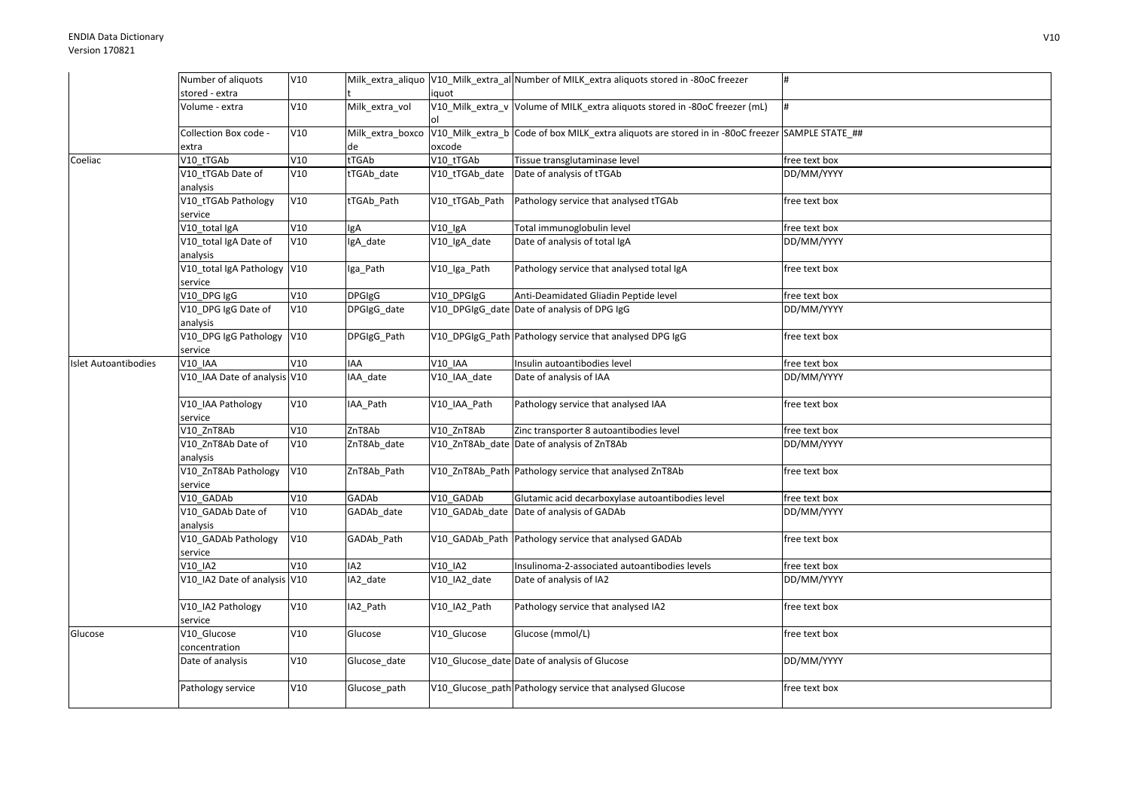|                             | Number of aliquots                     | V10 |                  |                | Milk extra aliquo V10 Milk extra al Number of MILK extra aliquots stored in -80oC freezer       |               |
|-----------------------------|----------------------------------------|-----|------------------|----------------|-------------------------------------------------------------------------------------------------|---------------|
|                             | stored - extra                         |     |                  | iquot          |                                                                                                 |               |
|                             | Volume - extra                         | V10 | Milk extra vol   |                | V10_Milk_extra_v Volume of MILK_extra aliquots stored in -80oC freezer (mL)                     | #             |
|                             | Collection Box code -<br>extra         | V10 | Milk_extra_boxco | oxcode         | V10_Milk_extra_b Code of box MILK_extra aliquots are stored in in -80oC freezer SAMPLE STATE_## |               |
| Coeliac                     | V10 tTGAb                              | V10 | tTGAb            | V10 tTGAb      | Tissue transglutaminase level                                                                   | free text box |
|                             | V10_tTGAb Date of<br>analysis          | V10 | tTGAb_date       | V10_tTGAb_date | Date of analysis of tTGAb                                                                       | DD/MM/YYYY    |
|                             | V10_tTGAb Pathology<br>service         | V10 | tTGAb_Path       | V10_tTGAb_Path | Pathology service that analysed tTGAb                                                           | free text box |
|                             | V10_total IgA                          | V10 | lgA              | $V10$ IgA      | Total immunoglobulin level                                                                      | free text box |
|                             | V10_total IgA Date of<br>analysis      | V10 | IgA_date         | V10_IgA_date   | Date of analysis of total IgA                                                                   | DD/MM/YYYY    |
|                             | V10_total IgA Pathology V10<br>service |     | Iga_Path         | V10_Iga_Path   | Pathology service that analysed total IgA                                                       | free text box |
|                             | V10 DPG IgG                            | V10 | <b>DPGIgG</b>    | V10 DPGIgG     | Anti-Deamidated Gliadin Peptide level                                                           | free text box |
|                             | V10_DPG IgG Date of<br>analysis        | V10 | DPGIgG_date      |                | V10 DPGIgG date Date of analysis of DPG IgG                                                     | DD/MM/YYYY    |
|                             | V10_DPG IgG Pathology<br>service       | V10 | DPGIgG_Path      |                | V10 DPGIgG Path Pathology service that analysed DPG IgG                                         | free text box |
| <b>Islet Autoantibodies</b> | V10 IAA                                | V10 | IAA              | <b>V10 IAA</b> | Insulin autoantibodies level                                                                    | free text box |
|                             | V10_IAA Date of analysis V10           |     | IAA_date         | V10_IAA_date   | Date of analysis of IAA                                                                         | DD/MM/YYYY    |
|                             | V10_IAA Pathology<br>service           | V10 | IAA_Path         | V10_IAA_Path   | Pathology service that analysed IAA                                                             | free text box |
|                             | V10 ZnT8Ab                             | V10 | ZnT8Ab           | V10 ZnT8Ab     | Zinc transporter 8 autoantibodies level                                                         | free text box |
|                             | V10 ZnT8Ab Date of<br>analysis         | V10 | ZnT8Ab_date      |                | V10_ZnT8Ab_date Date of analysis of ZnT8Ab                                                      | DD/MM/YYYY    |
|                             | V10 ZnT8Ab Pathology<br>service        | V10 | ZnT8Ab Path      |                | V10 ZnT8Ab Path Pathology service that analysed ZnT8Ab                                          | free text box |
|                             | V10 GADAb                              | V10 | GADAb            | V10 GADAb      | Glutamic acid decarboxylase autoantibodies level                                                | free text box |
|                             | V10_GADAb Date of<br>analysis          | V10 | GADAb_date       |                | V10_GADAb_date Date of analysis of GADAb                                                        | DD/MM/YYYY    |
|                             | V10_GADAb Pathology<br>service         | V10 | GADAb_Path       |                | V10 GADAb Path Pathology service that analysed GADAb                                            | free text box |
|                             | V10 IA2                                | V10 | IA <sub>2</sub>  | V10 IA2        | Insulinoma-2-associated autoantibodies levels                                                   | free text box |
|                             | V10_IA2 Date of analysis V10           |     | IA2_date         | V10 IA2 date   | Date of analysis of IA2                                                                         | DD/MM/YYYY    |
|                             | V10 IA2 Pathology<br>service           | V10 | IA2_Path         | V10_IA2_Path   | Pathology service that analysed IA2                                                             | free text box |
| Glucose                     | V10 Glucose<br>concentration           | V10 | Glucose          | V10 Glucose    | Glucose (mmol/L)                                                                                | free text box |
|                             | Date of analysis                       | V10 | Glucose_date     |                | V10_Glucose_date Date of analysis of Glucose                                                    | DD/MM/YYYY    |
|                             | Pathology service                      | V10 | Glucose_path     |                | V10_Glucose_path Pathology service that analysed Glucose                                        | free text box |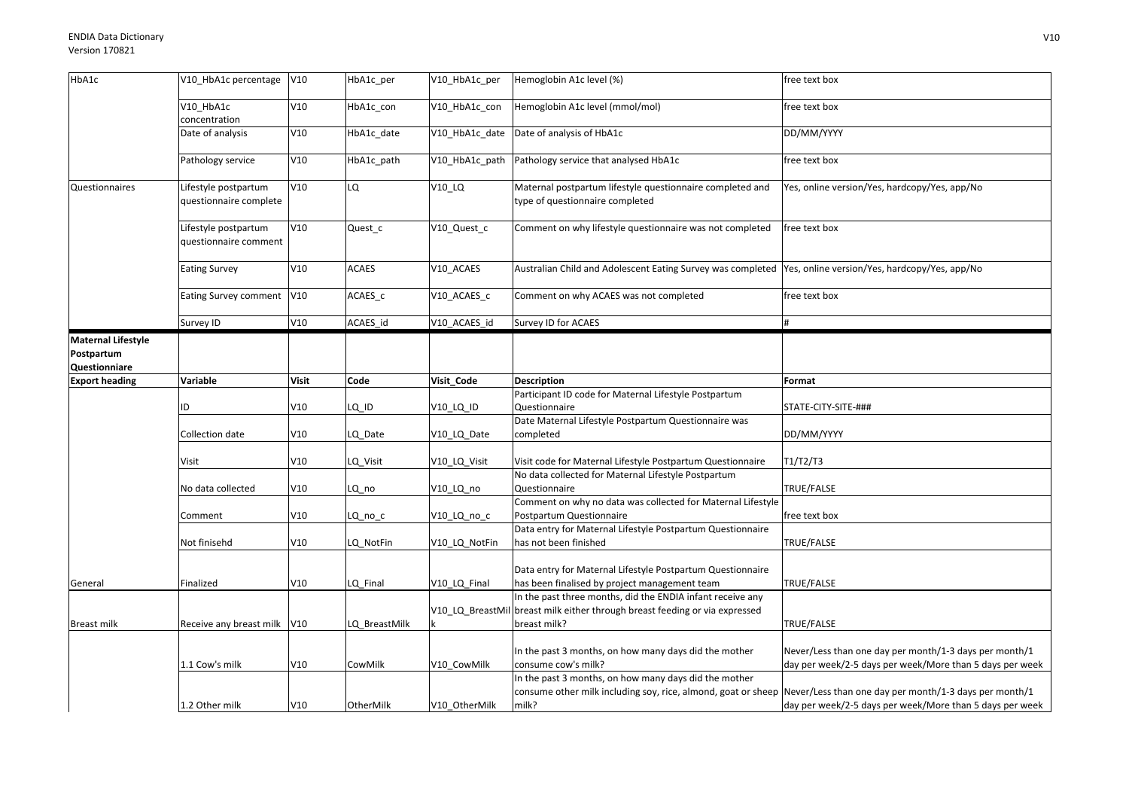| HbA1c                                                    | V10 HbA1c percentage                           | V10          | HbA1c per     | V10 HbA1c per  | Hemoglobin A1c level (%)                                                                                                                  | free text box                                                                                                      |
|----------------------------------------------------------|------------------------------------------------|--------------|---------------|----------------|-------------------------------------------------------------------------------------------------------------------------------------------|--------------------------------------------------------------------------------------------------------------------|
|                                                          | V10_HbA1c<br>concentration                     | V10          | HbA1c_con     | V10 HbA1c con  | Hemoglobin A1c level (mmol/mol)                                                                                                           | free text box                                                                                                      |
|                                                          | Date of analysis                               | V10          | HbA1c_date    | V10_HbA1c_date | Date of analysis of HbA1c                                                                                                                 | DD/MM/YYYY                                                                                                         |
|                                                          | Pathology service                              | V10          | HbA1c path    | V10 HbA1c path | Pathology service that analysed HbA1c                                                                                                     | free text box                                                                                                      |
| Questionnaires                                           | Lifestyle postpartum<br>questionnaire complete | V10          | LQ            | V10_LQ         | Maternal postpartum lifestyle questionnaire completed and<br>type of questionnaire completed                                              | Yes, online version/Yes, hardcopy/Yes, app/No                                                                      |
|                                                          | Lifestyle postpartum<br>questionnaire comment  | V10          | Quest_c       | V10_Quest_c    | Comment on why lifestyle questionnaire was not completed                                                                                  | free text box                                                                                                      |
|                                                          | <b>Eating Survey</b>                           | V10          | <b>ACAES</b>  | V10_ACAES      | Australian Child and Adolescent Eating Survey was completed  Yes, online version/Yes, hardcopy/Yes, app/No                                |                                                                                                                    |
|                                                          | Eating Survey comment                          | V10          | ACAES c       | V10_ACAES_c    | Comment on why ACAES was not completed                                                                                                    | free text box                                                                                                      |
|                                                          | Survey ID                                      | V10          | ACAES_id      | V10_ACAES_id   | Survey ID for ACAES                                                                                                                       |                                                                                                                    |
| <b>Maternal Lifestyle</b><br>Postpartum<br>Questionniare |                                                |              |               |                |                                                                                                                                           |                                                                                                                    |
| <b>Export heading</b>                                    | Variable                                       | <b>Visit</b> | Code          | Visit_Code     | <b>Description</b>                                                                                                                        | Format                                                                                                             |
|                                                          | ID                                             | V10          | LQ ID         | V10_LQ_ID      | Participant ID code for Maternal Lifestyle Postpartum<br>Questionnaire                                                                    | STATE-CITY-SITE-###                                                                                                |
|                                                          | Collection date                                | V10          | LQ Date       | V10 LQ Date    | Date Maternal Lifestyle Postpartum Questionnaire was<br>completed                                                                         | DD/MM/YYYY                                                                                                         |
|                                                          | Visit                                          | V10          | LQ_Visit      | V10_LQ_Visit   | Visit code for Maternal Lifestyle Postpartum Questionnaire                                                                                | T1/T2/T3                                                                                                           |
|                                                          | No data collected                              | V10          | LQ_no         | V10_LQ_no      | No data collected for Maternal Lifestyle Postpartum<br>Questionnaire                                                                      | TRUE/FALSE                                                                                                         |
|                                                          | Comment                                        | V10          | LQ_no_c       | V10_LQ_no_c    | Comment on why no data was collected for Maternal Lifestyle<br>Postpartum Questionnaire                                                   | free text box                                                                                                      |
|                                                          | Not finisehd                                   | V10          | LQ_NotFin     | V10_LQ_NotFin  | Data entry for Maternal Lifestyle Postpartum Questionnaire<br>has not been finished                                                       | TRUE/FALSE                                                                                                         |
| General                                                  | Finalized                                      | V10          | LQ_Final      | V10_LQ_Final   | Data entry for Maternal Lifestyle Postpartum Questionnaire<br>has been finalised by project management team                               | TRUE/FALSE                                                                                                         |
|                                                          |                                                |              |               |                | In the past three months, did the ENDIA infant receive any<br>V10 LQ BreastMil breast milk either through breast feeding or via expressed |                                                                                                                    |
| Breast milk                                              | Receive any breast milk V10                    |              | LQ BreastMilk |                | breast milk?                                                                                                                              | TRUE/FALSE                                                                                                         |
|                                                          | 1.1 Cow's milk                                 | V10          | CowMilk       | V10_CowMilk    | In the past 3 months, on how many days did the mother<br>consume cow's milk?                                                              | Never/Less than one day per month/1-3 days per month/1<br>day per week/2-5 days per week/More than 5 days per week |
|                                                          |                                                |              |               |                | In the past 3 months, on how many days did the mother<br>consume other milk including soy, rice, almond, goat or sheep                    | Never/Less than one day per month/1-3 days per month/1                                                             |
|                                                          | 1.2 Other milk                                 | V10          | OtherMilk     | V10 OtherMilk  | milk?                                                                                                                                     | day per week/2-5 days per week/More than 5 days per week                                                           |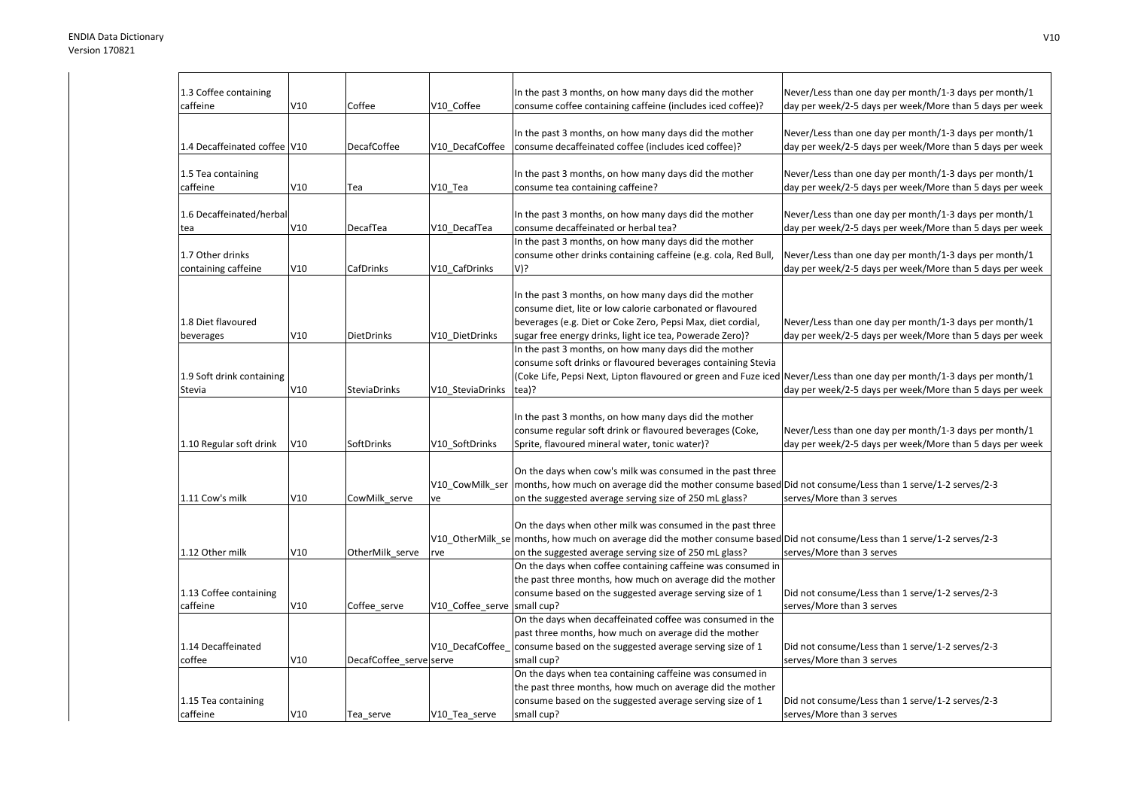| 1.3 Coffee containing        |     |                         |                  | In the past 3 months, on how many days did the mother                                                                      | Never/Less than one day per month/1-3 days per month/1   |
|------------------------------|-----|-------------------------|------------------|----------------------------------------------------------------------------------------------------------------------------|----------------------------------------------------------|
| caffeine                     | V10 | Coffee                  | V10 Coffee       | consume coffee containing caffeine (includes iced coffee)?                                                                 | day per week/2-5 days per week/More than 5 days per week |
|                              |     |                         |                  |                                                                                                                            |                                                          |
|                              |     |                         |                  | In the past 3 months, on how many days did the mother                                                                      | Never/Less than one day per month/1-3 days per month/1   |
| 1.4 Decaffeinated coffee V10 |     | <b>DecafCoffee</b>      | V10 DecafCoffee  | consume decaffeinated coffee (includes iced coffee)?                                                                       | day per week/2-5 days per week/More than 5 days per week |
|                              |     |                         |                  |                                                                                                                            |                                                          |
| 1.5 Tea containing           |     |                         |                  | In the past 3 months, on how many days did the mother                                                                      | Never/Less than one day per month/1-3 days per month/1   |
| caffeine                     | V10 | Tea                     | V10 Tea          | consume tea containing caffeine?                                                                                           | day per week/2-5 days per week/More than 5 days per week |
|                              |     |                         |                  |                                                                                                                            |                                                          |
| 1.6 Decaffeinated/herbal     |     |                         |                  | In the past 3 months, on how many days did the mother                                                                      | Never/Less than one day per month/1-3 days per month/1   |
| tea                          | V10 | DecafTea                | V10 DecafTea     | consume decaffeinated or herbal tea?                                                                                       | day per week/2-5 days per week/More than 5 days per week |
|                              |     |                         |                  | In the past 3 months, on how many days did the mother                                                                      |                                                          |
| 1.7 Other drinks             |     |                         |                  | consume other drinks containing caffeine (e.g. cola, Red Bull,                                                             | Never/Less than one day per month/1-3 days per month/1   |
| containing caffeine          | V10 | <b>CafDrinks</b>        | V10 CafDrinks    | V)?                                                                                                                        | day per week/2-5 days per week/More than 5 days per week |
|                              |     |                         |                  |                                                                                                                            |                                                          |
|                              |     |                         |                  | In the past 3 months, on how many days did the mother                                                                      |                                                          |
|                              |     |                         |                  | consume diet, lite or low calorie carbonated or flavoured                                                                  |                                                          |
| 1.8 Diet flavoured           |     |                         |                  | beverages (e.g. Diet or Coke Zero, Pepsi Max, diet cordial,                                                                | Never/Less than one day per month/1-3 days per month/1   |
| beverages                    | V10 | <b>DietDrinks</b>       | V10 DietDrinks   | sugar free energy drinks, light ice tea, Powerade Zero)?                                                                   | day per week/2-5 days per week/More than 5 days per week |
|                              |     |                         |                  | In the past 3 months, on how many days did the mother                                                                      |                                                          |
|                              |     |                         |                  | consume soft drinks or flavoured beverages containing Stevia                                                               |                                                          |
|                              |     |                         |                  |                                                                                                                            |                                                          |
| 1.9 Soft drink containing    |     |                         |                  | (Coke Life, Pepsi Next, Lipton flavoured or green and Fuze iced Never/Less than one day per month/1-3 days per month/1     |                                                          |
| Stevia                       | V10 | SteviaDrinks            | V10 SteviaDrinks | tea)?                                                                                                                      | day per week/2-5 days per week/More than 5 days per week |
|                              |     |                         |                  |                                                                                                                            |                                                          |
|                              |     |                         |                  | In the past 3 months, on how many days did the mother                                                                      |                                                          |
|                              |     |                         |                  | consume regular soft drink or flavoured beverages (Coke,                                                                   | Never/Less than one day per month/1-3 days per month/1   |
| 1.10 Regular soft drink      | V10 | SoftDrinks              | V10 SoftDrinks   | Sprite, flavoured mineral water, tonic water)?                                                                             | day per week/2-5 days per week/More than 5 days per week |
|                              |     |                         |                  |                                                                                                                            |                                                          |
|                              |     |                         |                  | On the days when cow's milk was consumed in the past three                                                                 |                                                          |
|                              |     |                         | V10_CowMilk_ser  | months, how much on average did the mother consume based Did not consume/Less than 1 serve/1-2 serves/2-3                  |                                                          |
| 1.11 Cow's milk              | V10 | CowMilk_serve           | ve               | on the suggested average serving size of 250 mL glass?                                                                     | serves/More than 3 serves                                |
|                              |     |                         |                  |                                                                                                                            |                                                          |
|                              |     |                         |                  | On the days when other milk was consumed in the past three                                                                 |                                                          |
|                              |     |                         |                  | V10 OtherMilk se months, how much on average did the mother consume based Did not consume/Less than 1 serve/1-2 serves/2-3 |                                                          |
| 1.12 Other milk              | V10 | OtherMilk serve         | rve              | on the suggested average serving size of 250 mL glass?                                                                     | serves/More than 3 serves                                |
|                              |     |                         |                  | On the days when coffee containing caffeine was consumed in                                                                |                                                          |
|                              |     |                         |                  | the past three months, how much on average did the mother                                                                  |                                                          |
| 1.13 Coffee containing       |     |                         |                  | consume based on the suggested average serving size of 1                                                                   | Did not consume/Less than 1 serve/1-2 serves/2-3         |
| caffeine                     | V10 | Coffee serve            | V10 Coffee serve | small cup?                                                                                                                 | serves/More than 3 serves                                |
|                              |     |                         |                  | On the days when decaffeinated coffee was consumed in the                                                                  |                                                          |
|                              |     |                         |                  | past three months, how much on average did the mother                                                                      |                                                          |
| 1.14 Decaffeinated           |     |                         | V10 DecafCoffee  | consume based on the suggested average serving size of 1                                                                   | Did not consume/Less than 1 serve/1-2 serves/2-3         |
| coffee                       | V10 | DecafCoffee serve serve |                  | small cup?                                                                                                                 | serves/More than 3 serves                                |
|                              |     |                         |                  | On the days when tea containing caffeine was consumed in                                                                   |                                                          |
|                              |     |                         |                  | the past three months, how much on average did the mother                                                                  |                                                          |
| 1.15 Tea containing          |     |                         |                  | consume based on the suggested average serving size of 1                                                                   | Did not consume/Less than 1 serve/1-2 serves/2-3         |
| caffeine                     | V10 | Tea serve               | V10 Tea serve    | small cup?                                                                                                                 | serves/More than 3 serves                                |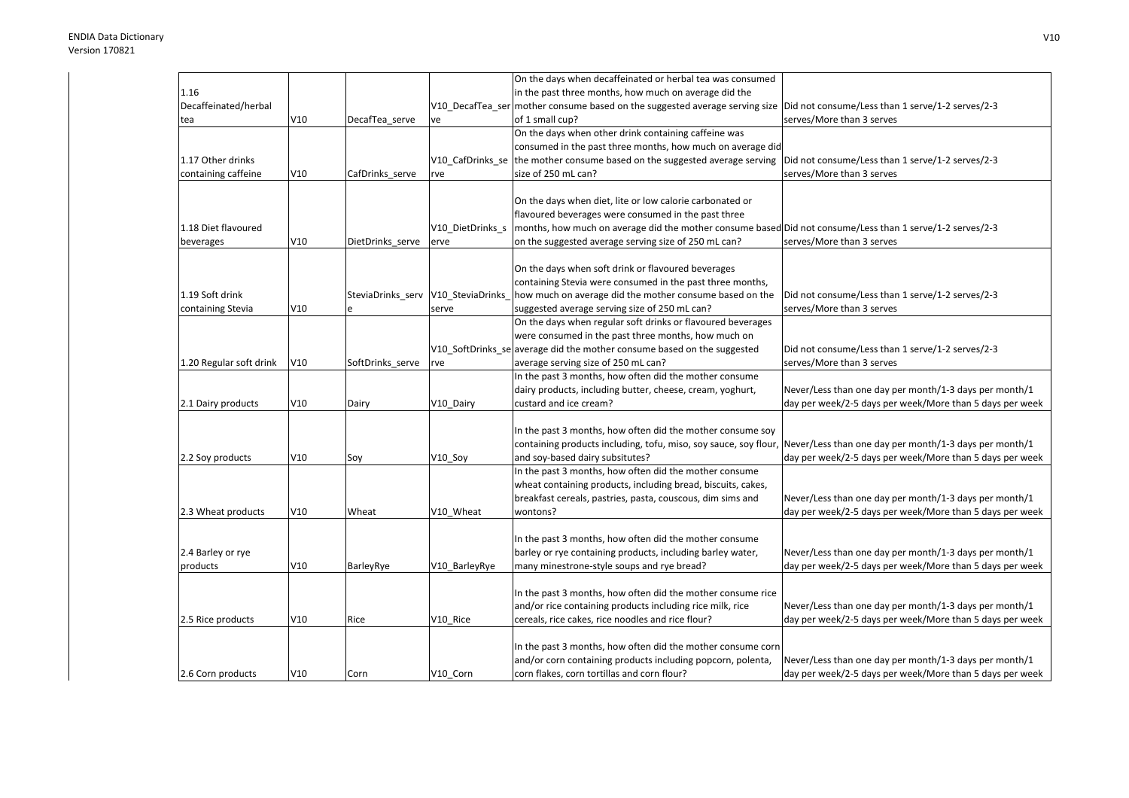|                         |     |                                    |                  | On the days when decaffeinated or herbal tea was consumed                                                 |                                                          |
|-------------------------|-----|------------------------------------|------------------|-----------------------------------------------------------------------------------------------------------|----------------------------------------------------------|
| 1.16                    |     |                                    |                  | in the past three months, how much on average did the                                                     |                                                          |
| Decaffeinated/herbal    |     |                                    |                  | V10_DecafTea_ser mother consume based on the suggested average serving size                               | Did not consume/Less than 1 serve/1-2 serves/2-3         |
| tea                     | V10 | DecafTea_serve                     | ve               | of 1 small cup?                                                                                           | serves/More than 3 serves                                |
|                         |     |                                    |                  | On the days when other drink containing caffeine was                                                      |                                                          |
|                         |     |                                    |                  | consumed in the past three months, how much on average did                                                |                                                          |
| 1.17 Other drinks       |     |                                    |                  | V10 CafDrinks se the mother consume based on the suggested average serving                                | Did not consume/Less than 1 serve/1-2 serves/2-3         |
| containing caffeine     | V10 | CafDrinks serve                    | rve              | size of 250 mL can?                                                                                       | serves/More than 3 serves                                |
|                         |     |                                    |                  |                                                                                                           |                                                          |
|                         |     |                                    |                  | On the days when diet, lite or low calorie carbonated or                                                  |                                                          |
|                         |     |                                    |                  | flavoured beverages were consumed in the past three                                                       |                                                          |
| 1.18 Diet flavoured     |     |                                    | V10 DietDrinks s | months, how much on average did the mother consume based Did not consume/Less than 1 serve/1-2 serves/2-3 |                                                          |
| beverages               | V10 | DietDrinks serve                   | erve             | on the suggested average serving size of 250 mL can?                                                      | serves/More than 3 serves                                |
|                         |     |                                    |                  |                                                                                                           |                                                          |
|                         |     |                                    |                  | On the days when soft drink or flavoured beverages                                                        |                                                          |
|                         |     |                                    |                  | containing Stevia were consumed in the past three months,                                                 |                                                          |
| 1.19 Soft drink         |     | SteviaDrinks_serv V10_SteviaDrinks |                  | how much on average did the mother consume based on the                                                   | Did not consume/Less than 1 serve/1-2 serves/2-3         |
| containing Stevia       | V10 |                                    | serve            | suggested average serving size of 250 mL can?                                                             | serves/More than 3 serves                                |
|                         |     |                                    |                  | On the days when regular soft drinks or flavoured beverages                                               |                                                          |
|                         |     |                                    |                  | were consumed in the past three months, how much on                                                       |                                                          |
|                         |     |                                    |                  | V10 SoftDrinks se average did the mother consume based on the suggested                                   | Did not consume/Less than 1 serve/1-2 serves/2-3         |
| 1.20 Regular soft drink | V10 | SoftDrinks serve                   | rve              | average serving size of 250 mL can?                                                                       | serves/More than 3 serves                                |
|                         |     |                                    |                  | In the past 3 months, how often did the mother consume                                                    |                                                          |
|                         |     |                                    |                  | dairy products, including butter, cheese, cream, yoghurt,                                                 | Never/Less than one day per month/1-3 days per month/1   |
| 2.1 Dairy products      | V10 | Dairy                              | V10 Dairy        | custard and ice cream?                                                                                    | day per week/2-5 days per week/More than 5 days per week |
|                         |     |                                    |                  |                                                                                                           |                                                          |
|                         |     |                                    |                  | In the past 3 months, how often did the mother consume soy                                                |                                                          |
|                         |     |                                    |                  | containing products including, tofu, miso, soy sauce, soy flour,                                          | Never/Less than one day per month/1-3 days per month/1   |
| 2.2 Soy products        | V10 | Soy                                | V10 Soy          | and soy-based dairy subsitutes?                                                                           | day per week/2-5 days per week/More than 5 days per week |
|                         |     |                                    |                  | In the past 3 months, how often did the mother consume                                                    |                                                          |
|                         |     |                                    |                  | wheat containing products, including bread, biscuits, cakes,                                              |                                                          |
|                         |     |                                    |                  | breakfast cereals, pastries, pasta, couscous, dim sims and                                                | Never/Less than one day per month/1-3 days per month/1   |
| 2.3 Wheat products      | V10 | Wheat                              | V10 Wheat        | wontons?                                                                                                  | day per week/2-5 days per week/More than 5 days per week |
|                         |     |                                    |                  |                                                                                                           |                                                          |
|                         |     |                                    |                  | In the past 3 months, how often did the mother consume                                                    |                                                          |
| 2.4 Barley or rye       |     |                                    |                  | barley or rye containing products, including barley water,                                                | Never/Less than one day per month/1-3 days per month/1   |
| products                | V10 | BarleyRye                          | V10 BarleyRye    | many minestrone-style soups and rye bread?                                                                | day per week/2-5 days per week/More than 5 days per week |
|                         |     |                                    |                  |                                                                                                           |                                                          |
|                         |     |                                    |                  | In the past 3 months, how often did the mother consume rice                                               |                                                          |
|                         |     |                                    |                  | and/or rice containing products including rice milk, rice                                                 | Never/Less than one day per month/1-3 days per month/1   |
| 2.5 Rice products       | V10 | Rice                               | V10 Rice         | cereals, rice cakes, rice noodles and rice flour?                                                         | day per week/2-5 days per week/More than 5 days per week |
|                         |     |                                    |                  |                                                                                                           |                                                          |
|                         |     |                                    |                  | In the past 3 months, how often did the mother consume corn                                               |                                                          |
|                         |     |                                    |                  | and/or corn containing products including popcorn, polenta,                                               | Never/Less than one day per month/1-3 days per month/1   |
| 2.6 Corn products       | V10 | Corn                               | V10 Corn         | corn flakes, corn tortillas and corn flour?                                                               | day per week/2-5 days per week/More than 5 days per week |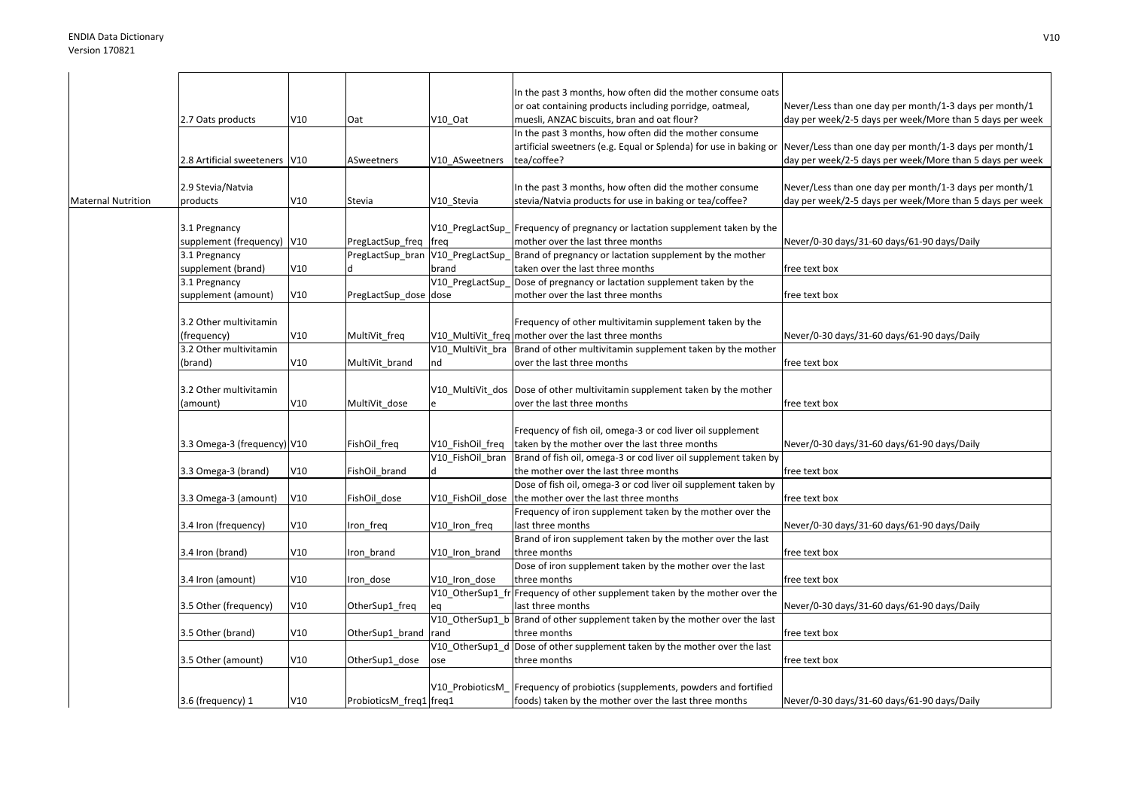|                           |                               |     |                         |                  | In the past 3 months, how often did the mother consume oats                   |                                                          |
|---------------------------|-------------------------------|-----|-------------------------|------------------|-------------------------------------------------------------------------------|----------------------------------------------------------|
|                           |                               |     |                         |                  | or oat containing products including porridge, oatmeal,                       | Never/Less than one day per month/1-3 days per month/1   |
|                           | 2.7 Oats products             | V10 | Oat                     | V10 Oat          | muesli, ANZAC biscuits, bran and oat flour?                                   | day per week/2-5 days per week/More than 5 days per week |
|                           |                               |     |                         |                  | In the past 3 months, how often did the mother consume                        |                                                          |
|                           |                               |     |                         |                  | artificial sweetners (e.g. Equal or Splenda) for use in baking or             | Never/Less than one day per month/1-3 days per month/1   |
|                           | 2.8 Artificial sweeteners V10 |     | ASweetners              | V10 ASweetners   | tea/coffee?                                                                   | day per week/2-5 days per week/More than 5 days per week |
|                           |                               |     |                         |                  |                                                                               |                                                          |
|                           | 2.9 Stevia/Natvia             |     |                         |                  | In the past 3 months, how often did the mother consume                        | Never/Less than one day per month/1-3 days per month/1   |
| <b>Maternal Nutrition</b> | products                      | V10 | Stevia                  | V10 Stevia       | stevia/Natvia products for use in baking or tea/coffee?                       | day per week/2-5 days per week/More than 5 days per week |
|                           |                               |     |                         |                  |                                                                               |                                                          |
|                           | 3.1 Pregnancy                 |     |                         |                  | V10 PregLactSup Frequency of pregnancy or lactation supplement taken by the   |                                                          |
|                           | supplement (frequency)   V10  |     | PregLactSup_freq   freq |                  | mother over the last three months                                             | Never/0-30 days/31-60 days/61-90 days/Daily              |
|                           | 3.1 Pregnancy                 |     | PregLactSup_bran        | V10_PregLactSup  | Brand of pregnancy or lactation supplement by the mother                      |                                                          |
|                           | supplement (brand)            | V10 |                         | brand            | taken over the last three months                                              | free text box                                            |
|                           | 3.1 Pregnancy                 |     |                         | V10 PregLactSup  | Dose of pregnancy or lactation supplement taken by the                        |                                                          |
|                           | supplement (amount)           | V10 | PregLactSup dose dose   |                  | mother over the last three months                                             | free text box                                            |
|                           |                               |     |                         |                  |                                                                               |                                                          |
|                           | 3.2 Other multivitamin        |     |                         |                  | Frequency of other multivitamin supplement taken by the                       |                                                          |
|                           | (frequency)                   | V10 | MultiVit_freq           |                  | V10_MultiVit_freq mother over the last three months                           | Never/0-30 days/31-60 days/61-90 days/Daily              |
|                           | 3.2 Other multivitamin        |     |                         | V10 MultiVit bra | Brand of other multivitamin supplement taken by the mother                    |                                                          |
|                           |                               | V10 | MultiVit brand          | nd               | over the last three months                                                    | free text box                                            |
|                           | (brand)                       |     |                         |                  |                                                                               |                                                          |
|                           |                               |     |                         |                  |                                                                               |                                                          |
|                           | 3.2 Other multivitamin        |     |                         |                  | V10 MultiVit dos Dose of other multivitamin supplement taken by the mother    |                                                          |
|                           | (amount)                      | V10 | MultiVit dose           |                  | over the last three months                                                    | free text box                                            |
|                           |                               |     |                         |                  |                                                                               |                                                          |
|                           |                               |     |                         |                  | Frequency of fish oil, omega-3 or cod liver oil supplement                    |                                                          |
|                           | 3.3 Omega-3 (frequency) V10   |     | FishOil_freq            | V10 FishOil freq | taken by the mother over the last three months                                | Never/0-30 days/31-60 days/61-90 days/Daily              |
|                           |                               |     |                         | V10_FishOil_bran | Brand of fish oil, omega-3 or cod liver oil supplement taken by               |                                                          |
|                           | 3.3 Omega-3 (brand)           | V10 | FishOil_brand           |                  | the mother over the last three months                                         | free text box                                            |
|                           |                               |     |                         |                  | Dose of fish oil, omega-3 or cod liver oil supplement taken by                |                                                          |
|                           | 3.3 Omega-3 (amount)          | V10 | FishOil dose            |                  | V10 FishOil dose the mother over the last three months                        | free text box                                            |
|                           |                               |     |                         |                  | Frequency of iron supplement taken by the mother over the                     |                                                          |
|                           | 3.4 Iron (frequency)          | V10 | Iron freq               | V10_Iron_freq    | last three months                                                             | Never/0-30 days/31-60 days/61-90 days/Daily              |
|                           |                               |     |                         |                  | Brand of iron supplement taken by the mother over the last                    |                                                          |
|                           | 3.4 Iron (brand)              | V10 | Iron brand              | V10_Iron_brand   | three months                                                                  | free text box                                            |
|                           |                               |     |                         |                  | Dose of iron supplement taken by the mother over the last                     |                                                          |
|                           | 3.4 Iron (amount)             | V10 | Iron dose               | V10 Iron dose    | three months                                                                  | free text box                                            |
|                           |                               |     |                         | V10_OtherSup1_fr | Frequency of other supplement taken by the mother over the                    |                                                          |
|                           | 3.5 Other (frequency)         | V10 | OtherSup1_freq          | eq               | last three months                                                             | Never/0-30 days/31-60 days/61-90 days/Daily              |
|                           |                               |     |                         | V10 OtherSup1 b  | Brand of other supplement taken by the mother over the last                   |                                                          |
|                           | 3.5 Other (brand)             | V10 | OtherSup1_brand         | rand             | three months                                                                  | free text box                                            |
|                           |                               |     |                         | V10_OtherSup1_d  | Dose of other supplement taken by the mother over the last                    |                                                          |
|                           | 3.5 Other (amount)            | V10 | OtherSup1_dose          | ose              | three months                                                                  | free text box                                            |
|                           |                               |     |                         |                  |                                                                               |                                                          |
|                           |                               |     |                         |                  | V10 ProbioticsM   Frequency of probiotics (supplements, powders and fortified |                                                          |
|                           | 3.6 (frequency) 1             | V10 | ProbioticsM freq1 freq1 |                  | foods) taken by the mother over the last three months                         | Never/0-30 days/31-60 days/61-90 days/Daily              |
|                           |                               |     |                         |                  |                                                                               |                                                          |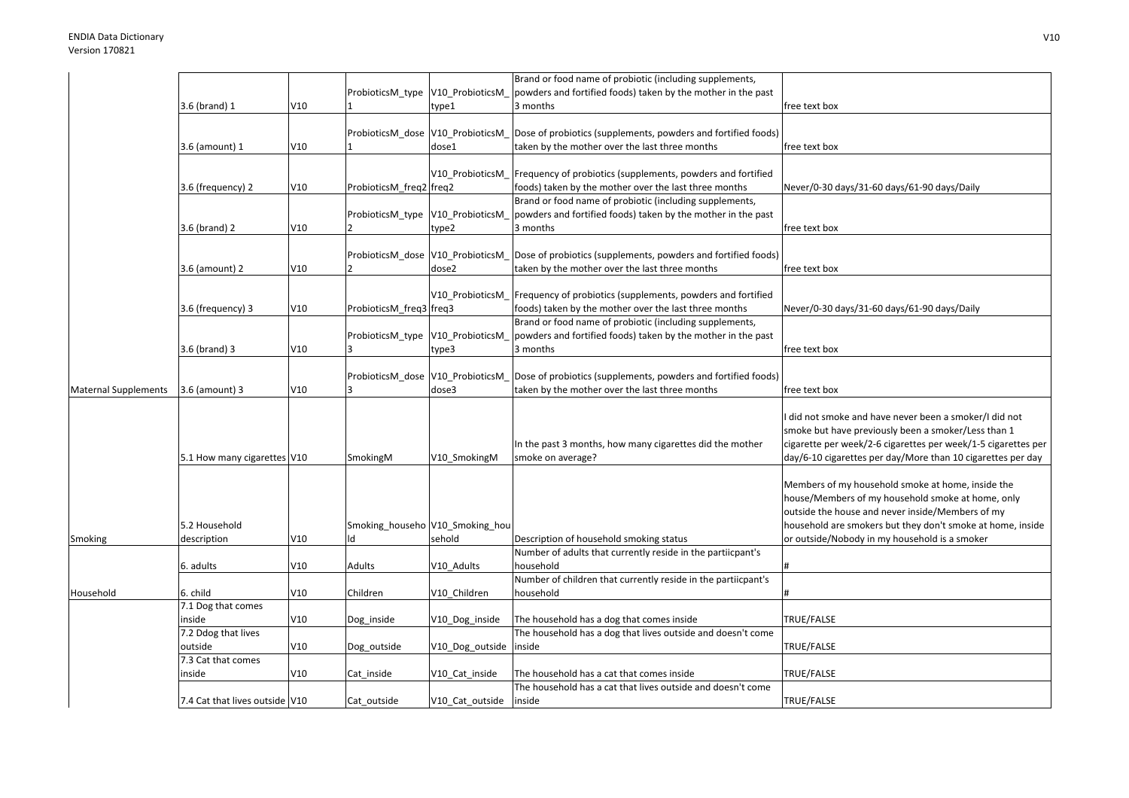|                             |                                |     |                                  |                                 | Brand or food name of probiotic (including supplements,       |                                                               |
|-----------------------------|--------------------------------|-----|----------------------------------|---------------------------------|---------------------------------------------------------------|---------------------------------------------------------------|
|                             |                                |     | ProbioticsM_type                 | V10_ProbioticsM                 | powders and fortified foods) taken by the mother in the past  |                                                               |
|                             | 3.6 (brand) 1                  | V10 |                                  | type1                           | 3 months                                                      | free text box                                                 |
|                             |                                |     |                                  |                                 |                                                               |                                                               |
|                             |                                |     | ProbioticsM_dose V10_ProbioticsM |                                 | Dose of probiotics (supplements, powders and fortified foods) |                                                               |
|                             | 3.6 (amount) 1                 | V10 |                                  | dose1                           | taken by the mother over the last three months                | free text box                                                 |
|                             |                                |     |                                  |                                 |                                                               |                                                               |
|                             |                                |     |                                  | V10 ProbioticsM                 | Frequency of probiotics (supplements, powders and fortified   |                                                               |
|                             | 3.6 (frequency) 2              | V10 | ProbioticsM freq2 freq2          |                                 |                                                               |                                                               |
|                             |                                |     |                                  |                                 | foods) taken by the mother over the last three months         | Never/0-30 days/31-60 days/61-90 days/Daily                   |
|                             |                                |     |                                  |                                 | Brand or food name of probiotic (including supplements,       |                                                               |
|                             |                                |     | ProbioticsM_type V10_ProbioticsM |                                 | powders and fortified foods) taken by the mother in the past  |                                                               |
|                             | 3.6 (brand) 2                  | V10 |                                  | type2                           | 3 months                                                      | free text box                                                 |
|                             |                                |     |                                  |                                 |                                                               |                                                               |
|                             |                                |     | ProbioticsM_dose V10_ProbioticsM |                                 | Dose of probiotics (supplements, powders and fortified foods) |                                                               |
|                             | 3.6 (amount) 2                 | V10 |                                  | dose2                           | taken by the mother over the last three months                | free text box                                                 |
|                             |                                |     |                                  |                                 |                                                               |                                                               |
|                             |                                |     |                                  | V10 ProbioticsM                 | Frequency of probiotics (supplements, powders and fortified   |                                                               |
|                             | 3.6 (frequency) 3              | V10 | ProbioticsM_freq3 freq3          |                                 | foods) taken by the mother over the last three months         | Never/0-30 days/31-60 days/61-90 days/Daily                   |
|                             |                                |     |                                  |                                 | Brand or food name of probiotic (including supplements,       |                                                               |
|                             |                                |     | ProbioticsM_type V10_ProbioticsM |                                 | powders and fortified foods) taken by the mother in the past  |                                                               |
|                             | 3.6 (brand) 3                  | V10 |                                  | type3                           | 3 months                                                      | free text box                                                 |
|                             |                                |     |                                  |                                 |                                                               |                                                               |
|                             |                                |     | ProbioticsM_dose V10_ProbioticsM |                                 | Dose of probiotics (supplements, powders and fortified foods) |                                                               |
| <b>Maternal Supplements</b> | 3.6 (amount) 3                 | V10 |                                  | dose3                           | taken by the mother over the last three months                | free text box                                                 |
|                             |                                |     |                                  |                                 |                                                               |                                                               |
|                             |                                |     |                                  |                                 |                                                               | did not smoke and have never been a smoker/I did not          |
|                             |                                |     |                                  |                                 |                                                               | smoke but have previously been a smoker/Less than 1           |
|                             |                                |     |                                  |                                 | In the past 3 months, how many cigarettes did the mother      | cigarette per week/2-6 cigarettes per week/1-5 cigarettes per |
|                             | 5.1 How many cigarettes V10    |     | SmokingM                         | V10 SmokingM                    | smoke on average?                                             | day/6-10 cigarettes per day/More than 10 cigarettes per day   |
|                             |                                |     |                                  |                                 |                                                               |                                                               |
|                             |                                |     |                                  |                                 |                                                               | Members of my household smoke at home, inside the             |
|                             |                                |     |                                  |                                 |                                                               | house/Members of my household smoke at home, only             |
|                             |                                |     |                                  |                                 |                                                               | outside the house and never inside/Members of my              |
|                             | 5.2 Household                  |     |                                  | Smoking_househo V10_Smoking_hou |                                                               | household are smokers but they don't smoke at home, inside    |
| Smoking                     | description                    | V10 |                                  | sehold                          | Description of household smoking status                       | or outside/Nobody in my household is a smoker                 |
|                             |                                |     |                                  |                                 | Number of adults that currently reside in the partiicpant's   |                                                               |
|                             | 6. adults                      | V10 | Adults                           | V10_Adults                      | household                                                     |                                                               |
|                             |                                |     |                                  |                                 | Number of children that currently reside in the partiicpant's |                                                               |
| Household                   | 6. child                       | V10 | Children                         | V10 Children                    | household                                                     |                                                               |
|                             | 7.1 Dog that comes             |     |                                  |                                 |                                                               |                                                               |
|                             |                                |     |                                  |                                 |                                                               |                                                               |
|                             | inside                         | V10 | Dog_inside                       | V10_Dog_inside                  | The household has a dog that comes inside                     | TRUE/FALSE                                                    |
|                             | 7.2 Ddog that lives            |     |                                  |                                 | The household has a dog that lives outside and doesn't come   |                                                               |
|                             | outside                        | V10 | Dog_outside                      | V10_Dog_outside                 | inside                                                        | TRUE/FALSE                                                    |
|                             | 7.3 Cat that comes             |     |                                  |                                 |                                                               |                                                               |
|                             | inside                         | V10 | Cat inside                       | V10 Cat inside                  | The household has a cat that comes inside                     | TRUE/FALSE                                                    |
|                             |                                |     |                                  |                                 | The household has a cat that lives outside and doesn't come   |                                                               |
|                             | 7.4 Cat that lives outside V10 |     | Cat outside                      | V10 Cat outside                 | inside                                                        | TRUE/FALSE                                                    |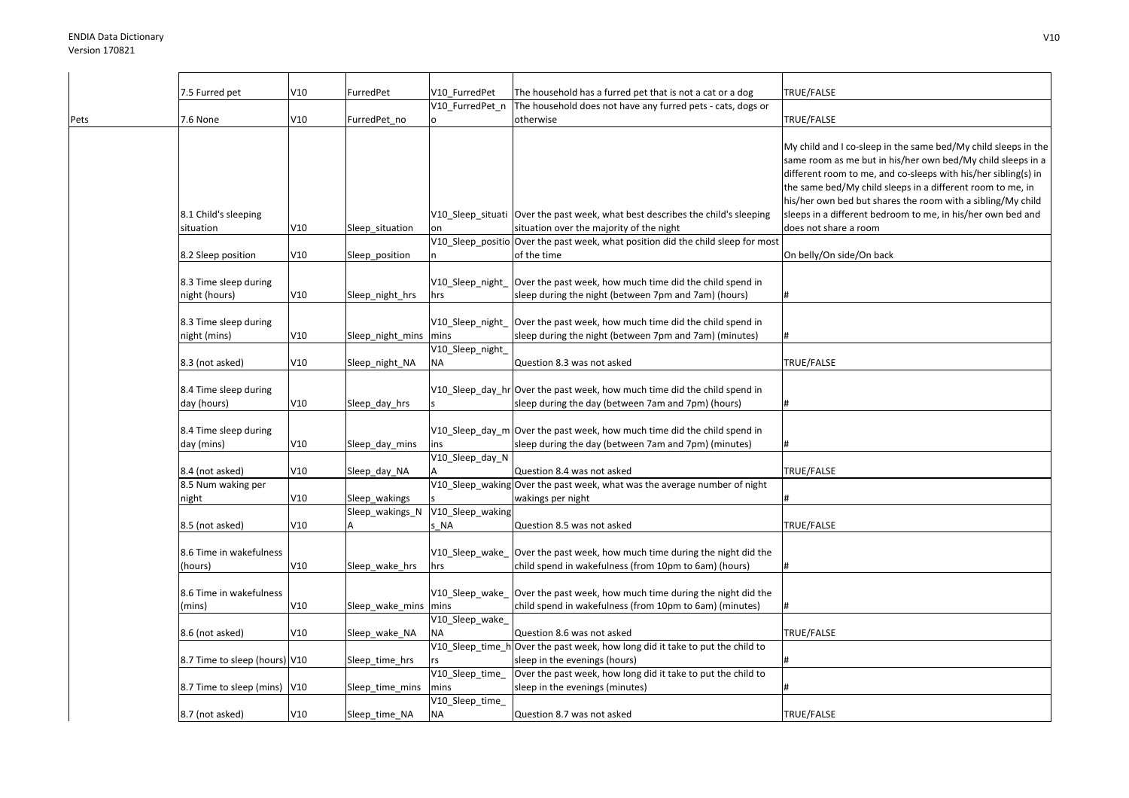|      | 7.5 Furred pet                         | V10 | FurredPet            | V10_FurredPet            | The household has a furred pet that is not a cat or a dog                                                                                                                                                       | TRUE/FALSE                                                                                                                                                                                                                                                                                                                                                                                                           |
|------|----------------------------------------|-----|----------------------|--------------------------|-----------------------------------------------------------------------------------------------------------------------------------------------------------------------------------------------------------------|----------------------------------------------------------------------------------------------------------------------------------------------------------------------------------------------------------------------------------------------------------------------------------------------------------------------------------------------------------------------------------------------------------------------|
|      |                                        |     |                      | V10_FurredPet_n          | The household does not have any furred pets - cats, dogs or                                                                                                                                                     |                                                                                                                                                                                                                                                                                                                                                                                                                      |
| Pets | 7.6 None                               | V10 | FurredPet no         |                          | otherwise                                                                                                                                                                                                       | TRUE/FALSE                                                                                                                                                                                                                                                                                                                                                                                                           |
|      | 8.1 Child's sleeping<br>situation      | V10 | Sleep_situation      |                          | V10_Sleep_situati  Over the past week, what best describes the child's sleeping<br>situation over the majority of the night<br>V10 Sleep positio Over the past week, what position did the child sleep for most | My child and I co-sleep in the same bed/My child sleeps in the<br>same room as me but in his/her own bed/My child sleeps in a<br>different room to me, and co-sleeps with his/her sibling(s) in<br>the same bed/My child sleeps in a different room to me, in<br>his/her own bed but shares the room with a sibling/My child<br>sleeps in a different bedroom to me, in his/her own bed and<br>does not share a room |
|      | 8.2 Sleep position                     | V10 | Sleep_position       |                          | of the time                                                                                                                                                                                                     | On belly/On side/On back                                                                                                                                                                                                                                                                                                                                                                                             |
|      | 8.3 Time sleep during<br>night (hours) | V10 | Sleep_night_hrs      | hrs                      | V10_Sleep_night_  Over the past week, how much time did the child spend in<br>sleep during the night (between 7pm and 7am) (hours)                                                                              |                                                                                                                                                                                                                                                                                                                                                                                                                      |
|      | 8.3 Time sleep during                  |     |                      | V10_Sleep_night_         | Over the past week, how much time did the child spend in                                                                                                                                                        |                                                                                                                                                                                                                                                                                                                                                                                                                      |
|      | night (mins)                           | V10 | Sleep_night_mins     | mins                     | sleep during the night (between 7pm and 7am) (minutes)                                                                                                                                                          |                                                                                                                                                                                                                                                                                                                                                                                                                      |
|      |                                        |     |                      | V10_Sleep_night_         |                                                                                                                                                                                                                 |                                                                                                                                                                                                                                                                                                                                                                                                                      |
|      | 8.3 (not asked)                        | V10 | Sleep_night_NA       | NA                       | Question 8.3 was not asked                                                                                                                                                                                      | TRUE/FALSE                                                                                                                                                                                                                                                                                                                                                                                                           |
|      |                                        |     |                      |                          |                                                                                                                                                                                                                 |                                                                                                                                                                                                                                                                                                                                                                                                                      |
|      | 8.4 Time sleep during<br>day (hours)   | V10 | Sleep_day_hrs        |                          | V10_Sleep_day_hr Over the past week, how much time did the child spend in<br>sleep during the day (between 7am and 7pm) (hours)                                                                                 |                                                                                                                                                                                                                                                                                                                                                                                                                      |
|      | 8.4 Time sleep during<br>day (mins)    | V10 | Sleep_day_mins       | ins                      | V10_Sleep_day_m Over the past week, how much time did the child spend in<br>sleep during the day (between 7am and 7pm) (minutes)                                                                                |                                                                                                                                                                                                                                                                                                                                                                                                                      |
|      |                                        |     |                      | V10_Sleep_day_N          |                                                                                                                                                                                                                 |                                                                                                                                                                                                                                                                                                                                                                                                                      |
|      | 8.4 (not asked)                        | V10 | Sleep_day_NA         |                          | Question 8.4 was not asked                                                                                                                                                                                      | TRUE/FALSE                                                                                                                                                                                                                                                                                                                                                                                                           |
|      | 8.5 Num waking per                     |     |                      |                          | V10_Sleep_waking Over the past week, what was the average number of night                                                                                                                                       |                                                                                                                                                                                                                                                                                                                                                                                                                      |
|      | night                                  | V10 | Sleep_wakings        |                          | wakings per night                                                                                                                                                                                               |                                                                                                                                                                                                                                                                                                                                                                                                                      |
|      | 8.5 (not asked)                        | V10 | Sleep_wakings_N<br>A | V10_Sleep_waking<br>s NA | Question 8.5 was not asked                                                                                                                                                                                      | TRUE/FALSE                                                                                                                                                                                                                                                                                                                                                                                                           |
|      | 8.6 Time in wakefulness<br>(hours)     | V10 | Sleep_wake_hrs       | hrs                      | V10_Sleep_wake_ Over the past week, how much time during the night did the<br>child spend in wakefulness (from 10pm to 6am) (hours)                                                                             | #                                                                                                                                                                                                                                                                                                                                                                                                                    |
|      | 8.6 Time in wakefulness                |     |                      |                          | V10_Sleep_wake_ Over the past week, how much time during the night did the                                                                                                                                      |                                                                                                                                                                                                                                                                                                                                                                                                                      |
|      | (mins)                                 | V10 | Sleep_wake_mins      | mins                     | child spend in wakefulness (from 10pm to 6am) (minutes)                                                                                                                                                         |                                                                                                                                                                                                                                                                                                                                                                                                                      |
|      | 8.6 (not asked)                        | V10 | Sleep_wake_NA        | V10_Sleep_wake_<br>ΝA    | Question 8.6 was not asked                                                                                                                                                                                      | TRUE/FALSE                                                                                                                                                                                                                                                                                                                                                                                                           |
|      |                                        |     |                      |                          | V10_Sleep_time_h Over the past week, how long did it take to put the child to                                                                                                                                   |                                                                                                                                                                                                                                                                                                                                                                                                                      |
|      | 8.7 Time to sleep (hours) V10          |     | Sleep_time_hrs       |                          | sleep in the evenings (hours)                                                                                                                                                                                   |                                                                                                                                                                                                                                                                                                                                                                                                                      |
|      |                                        |     |                      | V10_Sleep_time_          | Over the past week, how long did it take to put the child to                                                                                                                                                    |                                                                                                                                                                                                                                                                                                                                                                                                                      |
|      | 8.7 Time to sleep (mins) V10           |     | Sleep_time_mins      | mins                     | sleep in the evenings (minutes)                                                                                                                                                                                 |                                                                                                                                                                                                                                                                                                                                                                                                                      |
|      | 8.7 (not asked)                        | V10 | Sleep time NA        | V10_Sleep_time_<br>NA    | Question 8.7 was not asked                                                                                                                                                                                      | TRUE/FALSE                                                                                                                                                                                                                                                                                                                                                                                                           |
|      |                                        |     |                      |                          |                                                                                                                                                                                                                 |                                                                                                                                                                                                                                                                                                                                                                                                                      |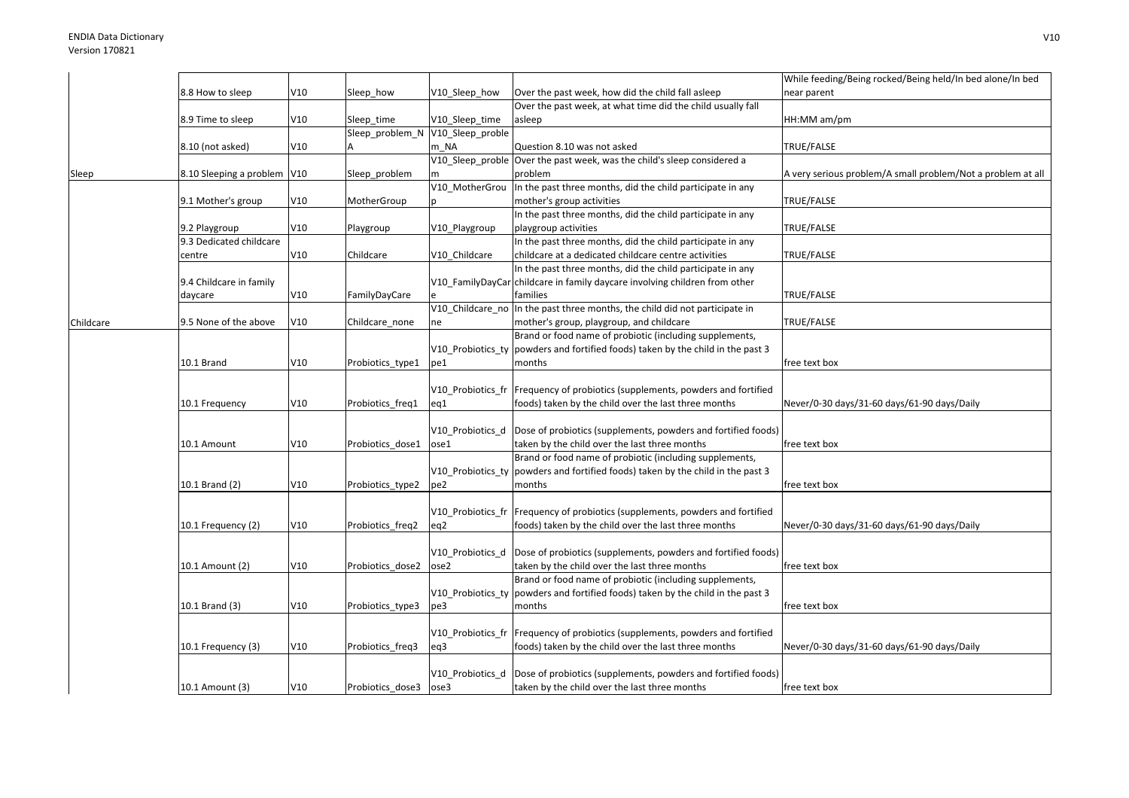|           |                             |     |                                  |                   |                                                                                   | While feeding/Being rocked/Being held/In bed alone/In bed   |
|-----------|-----------------------------|-----|----------------------------------|-------------------|-----------------------------------------------------------------------------------|-------------------------------------------------------------|
|           | 8.8 How to sleep            | V10 | Sleep how                        | V10 Sleep how     | Over the past week, how did the child fall asleep                                 | near parent                                                 |
|           |                             |     |                                  |                   | Over the past week, at what time did the child usually fall                       |                                                             |
|           | 8.9 Time to sleep           | V10 | Sleep time                       | V10_Sleep_time    | asleep                                                                            | HH:MM am/pm                                                 |
|           |                             |     | Sleep problem N V10 Sleep proble |                   |                                                                                   |                                                             |
|           | 8.10 (not asked)            | V10 |                                  | m NA              | Question 8.10 was not asked                                                       | TRUE/FALSE                                                  |
|           |                             |     |                                  |                   | V10 Sleep proble Over the past week, was the child's sleep considered a           |                                                             |
| Sleep     | 8.10 Sleeping a problem V10 |     | Sleep_problem                    |                   | problem                                                                           | A very serious problem/A small problem/Not a problem at all |
|           |                             |     |                                  | V10 MotherGrou    | In the past three months, did the child participate in any                        |                                                             |
|           | 9.1 Mother's group          | V10 | MotherGroup                      |                   | mother's group activities                                                         | TRUE/FALSE                                                  |
|           |                             |     |                                  |                   | In the past three months, did the child participate in any                        |                                                             |
|           | 9.2 Playgroup               | V10 | Playgroup                        | V10_Playgroup     | playgroup activities                                                              | TRUE/FALSE                                                  |
|           | 9.3 Dedicated childcare     |     |                                  |                   | In the past three months, did the child participate in any                        |                                                             |
|           | centre                      | V10 | Childcare                        | V10 Childcare     | childcare at a dedicated childcare centre activities                              | TRUE/FALSE                                                  |
|           |                             |     |                                  |                   | In the past three months, did the child participate in any                        |                                                             |
|           | 9.4 Childcare in family     |     |                                  |                   | V10_FamilyDayCar childcare in family daycare involving children from other        |                                                             |
|           | daycare                     | V10 | FamilyDayCare                    |                   | families                                                                          | TRUE/FALSE                                                  |
|           |                             |     |                                  | V10 Childcare no  | In the past three months, the child did not participate in                        |                                                             |
| Childcare | 9.5 None of the above       | V10 | Childcare_none                   | ne                | mother's group, playgroup, and childcare                                          | TRUE/FALSE                                                  |
|           |                             |     |                                  |                   | Brand or food name of probiotic (including supplements,                           |                                                             |
|           |                             |     |                                  | V10_Probiotics_ty | powders and fortified foods) taken by the child in the past 3                     |                                                             |
|           | 10.1 Brand                  | V10 | Probiotics type1                 | pe1               | months                                                                            | free text box                                               |
|           |                             |     |                                  |                   |                                                                                   |                                                             |
|           |                             |     |                                  | V10 Probiotics fr | Frequency of probiotics (supplements, powders and fortified                       |                                                             |
|           | 10.1 Frequency              | V10 | Probiotics freq1                 | eq1               | foods) taken by the child over the last three months                              | Never/0-30 days/31-60 days/61-90 days/Daily                 |
|           |                             |     |                                  |                   |                                                                                   |                                                             |
|           |                             |     |                                  | V10 Probiotics d  | Dose of probiotics (supplements, powders and fortified foods)                     |                                                             |
|           | 10.1 Amount                 | V10 | Probiotics dose1                 | ose1              | taken by the child over the last three months                                     | free text box                                               |
|           |                             |     |                                  |                   | Brand or food name of probiotic (including supplements,                           |                                                             |
|           |                             |     |                                  |                   | V10 Probiotics ty   powders and fortified foods) taken by the child in the past 3 |                                                             |
|           | 10.1 Brand (2)              | V10 | Probiotics type2                 | pe2               | months                                                                            | free text box                                               |
|           |                             |     |                                  |                   |                                                                                   |                                                             |
|           |                             |     |                                  | V10 Probiotics fr | Frequency of probiotics (supplements, powders and fortified                       |                                                             |
|           | 10.1 Frequency (2)          | V10 | Probiotics_freq2                 | eq2               | foods) taken by the child over the last three months                              | Never/0-30 days/31-60 days/61-90 days/Daily                 |
|           |                             |     |                                  |                   |                                                                                   |                                                             |
|           |                             |     |                                  | V10 Probiotics d  | Dose of probiotics (supplements, powders and fortified foods)                     |                                                             |
|           | 10.1 Amount (2)             | V10 | Probiotics dose2                 | ose2              | taken by the child over the last three months                                     | free text box                                               |
|           |                             |     |                                  |                   | Brand or food name of probiotic (including supplements,                           |                                                             |
|           |                             |     |                                  | V10 Probiotics ty | powders and fortified foods) taken by the child in the past 3                     |                                                             |
|           | 10.1 Brand (3)              | V10 | Probiotics_type3                 | pe3               | months                                                                            | free text box                                               |
|           |                             |     |                                  |                   |                                                                                   |                                                             |
|           |                             |     |                                  | V10 Probiotics fr | Frequency of probiotics (supplements, powders and fortified                       |                                                             |
|           | 10.1 Frequency (3)          | V10 | Probiotics_freq3                 | eq3               | foods) taken by the child over the last three months                              | Never/0-30 days/31-60 days/61-90 days/Daily                 |
|           |                             |     |                                  |                   |                                                                                   |                                                             |
|           |                             |     |                                  | V10 Probiotics d  | Dose of probiotics (supplements, powders and fortified foods)                     |                                                             |
|           | 10.1 Amount (3)             | V10 | Probiotics dose3                 | ose3              | taken by the child over the last three months                                     | free text box                                               |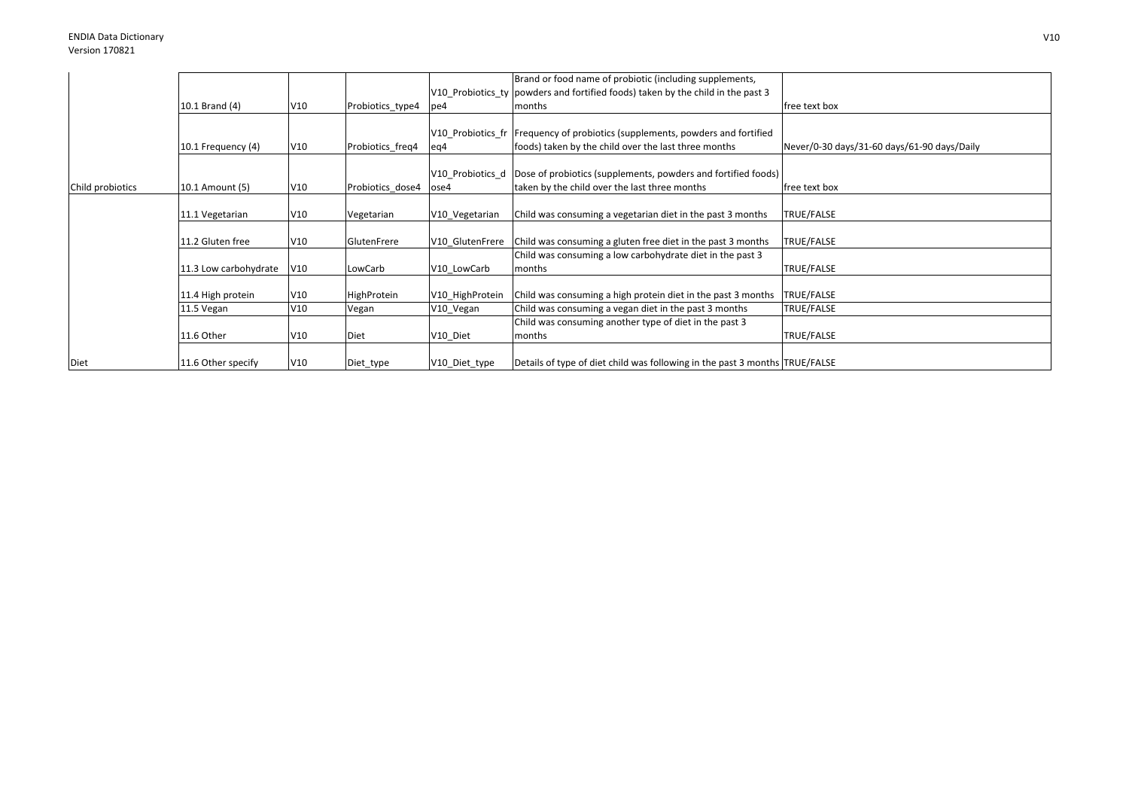|                  |                       |     |                  |                 | Brand or food name of probiotic (including supplements,                         |                                             |
|------------------|-----------------------|-----|------------------|-----------------|---------------------------------------------------------------------------------|---------------------------------------------|
|                  |                       |     |                  |                 | V10 Probiotics ty powders and fortified foods) taken by the child in the past 3 |                                             |
|                  | 10.1 Brand (4)        | V10 | Probiotics_type4 | pe4             | months                                                                          | free text box                               |
|                  |                       |     |                  |                 |                                                                                 |                                             |
|                  |                       |     |                  |                 | V10_Probiotics_fr   Frequency of probiotics (supplements, powders and fortified |                                             |
|                  | 10.1 Frequency (4)    | V10 | Probiotics freq4 | eg4             | foods) taken by the child over the last three months                            | Never/0-30 days/31-60 days/61-90 days/Daily |
|                  |                       |     |                  |                 |                                                                                 |                                             |
|                  |                       |     |                  |                 | V10 Probiotics d Dose of probiotics (supplements, powders and fortified foods)  |                                             |
| Child probiotics | 10.1 Amount (5)       | V10 | Probiotics dose4 | ose4            | taken by the child over the last three months                                   | free text box                               |
|                  |                       |     |                  |                 |                                                                                 |                                             |
|                  | 11.1 Vegetarian       | V10 | Vegetarian       | V10 Vegetarian  | Child was consuming a vegetarian diet in the past 3 months                      | TRUE/FALSE                                  |
|                  |                       |     |                  |                 |                                                                                 |                                             |
|                  | 11.2 Gluten free      | V10 | GlutenFrere      | V10 GlutenFrere | Child was consuming a gluten free diet in the past 3 months                     | TRUE/FALSE                                  |
|                  |                       |     |                  |                 | Child was consuming a low carbohydrate diet in the past 3                       |                                             |
|                  | 11.3 Low carbohydrate | V10 | LowCarb          | V10 LowCarb     | months                                                                          | TRUE/FALSE                                  |
|                  |                       |     |                  |                 |                                                                                 |                                             |
|                  | 11.4 High protein     | V10 | HighProtein      | V10 HighProtein | Child was consuming a high protein diet in the past 3 months                    | TRUE/FALSE                                  |
|                  | 11.5 Vegan            | V10 | Vegan            | V10 Vegan       | Child was consuming a vegan diet in the past 3 months                           | TRUE/FALSE                                  |
|                  |                       |     |                  |                 | Child was consuming another type of diet in the past 3                          |                                             |
|                  | 11.6 Other            | V10 | Diet             | V10_Diet        | months                                                                          | TRUE/FALSE                                  |
|                  |                       |     |                  |                 |                                                                                 |                                             |
| Diet             | 11.6 Other specify    | V10 | Diet_type        | V10_Diet_type   | Details of type of diet child was following in the past 3 months TRUE/FALSE     |                                             |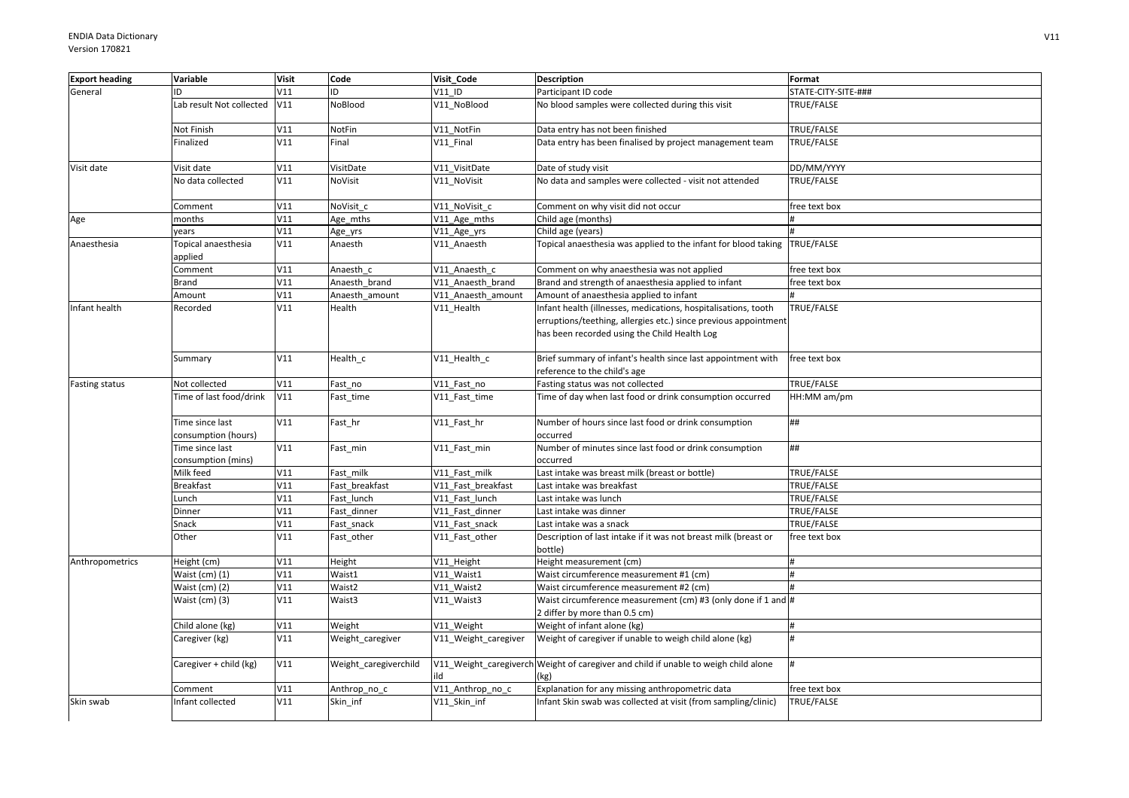| <b>Export heading</b> | Variable                               | <b>Visit</b> | Code                  | Visit Code           | <b>Description</b>                                                                                                                                                                | Format              |
|-----------------------|----------------------------------------|--------------|-----------------------|----------------------|-----------------------------------------------------------------------------------------------------------------------------------------------------------------------------------|---------------------|
| General               | ID                                     | V11          | ID                    | V11 ID               | Participant ID code                                                                                                                                                               | STATE-CITY-SITE-### |
|                       | Lab result Not collected               | V11          | NoBlood               | V11 NoBlood          | No blood samples were collected during this visit                                                                                                                                 | TRUE/FALSE          |
|                       | Not Finish                             | V11          | NotFin                | V11 NotFin           | Data entry has not been finished                                                                                                                                                  | TRUE/FALSE          |
|                       | Finalized                              | V11          | Final                 | V11 Final            | Data entry has been finalised by project management team                                                                                                                          | TRUE/FALSE          |
| Visit date            | Visit date                             | V11          | VisitDate             | V11_VisitDate        | Date of study visit                                                                                                                                                               | DD/MM/YYYY          |
|                       | No data collected                      | V11          | NoVisit               | V11 NoVisit          | No data and samples were collected - visit not attended                                                                                                                           | TRUE/FALSE          |
|                       | Comment                                | V11          | NoVisit c             | V11 NoVisit c        | Comment on why visit did not occur                                                                                                                                                | ree text box        |
| Age                   | months                                 | V11          | Age_mths              | V11_Age_mths         | Child age (months)                                                                                                                                                                |                     |
|                       | vears                                  | V11          | Age_yrs               | V11_Age_yrs          | Child age (years)                                                                                                                                                                 |                     |
| Anaesthesia           | Topical anaesthesia<br>applied         | V11          | Anaesth               | V11_Anaesth          | Topical anaesthesia was applied to the infant for blood taking TRUE/FALSE                                                                                                         |                     |
|                       | Comment                                | V11          | Anaesth c             | V11 Anaesth c        | Comment on why anaesthesia was not applied                                                                                                                                        | free text box       |
|                       | Brand                                  | V11          | Anaesth brand         | V11 Anaesth brand    | Brand and strength of anaesthesia applied to infant                                                                                                                               | free text box       |
|                       | Amount                                 | V11          | Anaesth amount        | V11 Anaesth amount   | Amount of anaesthesia applied to infant                                                                                                                                           |                     |
| Infant health         | Recorded                               | V11          | Health                | V11 Health           | Infant health (illnesses, medications, hospitalisations, tooth<br>erruptions/teething, allergies etc.) since previous appointment<br>has been recorded using the Child Health Log | TRUE/FALSE          |
|                       | Summary                                | V11          | Health_c              | V11_Health_c         | Brief summary of infant's health since last appointment with<br>reference to the child's age                                                                                      | free text box       |
| <b>Fasting status</b> | Not collected                          | V11          | Fast no               | V11 Fast no          | Fasting status was not collected                                                                                                                                                  | TRUE/FALSE          |
|                       | Time of last food/drink                | V11          | Fast time             | V11_Fast_time        | Time of day when last food or drink consumption occurred                                                                                                                          | HH:MM am/pm         |
|                       | Time since last<br>consumption (hours) | V11          | Fast_hr               | V11_Fast_hr          | Number of hours since last food or drink consumption<br>occurred                                                                                                                  | ##                  |
|                       | Time since last<br>consumption (mins)  | V11          | Fast_min              | V11_Fast_min         | Number of minutes since last food or drink consumption<br>occurred                                                                                                                | ##                  |
|                       | Milk feed                              | V11          | Fast milk             | V11 Fast milk        | Last intake was breast milk (breast or bottle)                                                                                                                                    | TRUE/FALSE          |
|                       | <b>Breakfast</b>                       | V11          | Fast breakfast        | V11 Fast breakfast   | Last intake was breakfast                                                                                                                                                         | TRUE/FALSE          |
|                       | Lunch                                  | V11          | Fast lunch            | V11 Fast lunch       | Last intake was lunch                                                                                                                                                             | TRUE/FALSE          |
|                       | Dinner                                 | V11          | Fast dinner           | V11 Fast dinner      | Last intake was dinner                                                                                                                                                            | TRUE/FALSE          |
|                       | Snack                                  | V11          | Fast snack            | V11 Fast snack       | Last intake was a snack                                                                                                                                                           | TRUE/FALSE          |
|                       | Other                                  | V11          | Fast other            | V11_Fast_other       | Description of last intake if it was not breast milk (breast or<br>bottle)                                                                                                        | free text box       |
| Anthropometrics       | Height (cm)                            | V11          | Height                | V11_Height           | Height measurement (cm)                                                                                                                                                           |                     |
|                       | Waist (cm) (1)                         | V11          | Waist1                | V11 Waist1           | Waist circumference measurement #1 (cm)                                                                                                                                           |                     |
|                       | Waist (cm) (2)                         | V11          | Waist2                | V11 Waist2           | Waist circumference measurement #2 (cm)                                                                                                                                           |                     |
|                       | Waist (cm) (3)                         | V11          | Waist3                | V11_Waist3           | Waist circumference measurement (cm) #3 (only done if 1 and #<br>2 differ by more than 0.5 cm)                                                                                    |                     |
|                       | Child alone (kg)                       | V11          | Weight                | V11 Weight           | Weight of infant alone (kg)                                                                                                                                                       |                     |
|                       | Caregiver (kg)                         | V11          | Weight_caregiver      | V11 Weight caregiver | Weight of caregiver if unable to weigh child alone (kg)                                                                                                                           | $\bar{H}$           |
|                       | Caregiver + child (kg)                 | V11          | Weight_caregiverchild | ld                   | V11_Weight_caregiverch Weight of caregiver and child if unable to weigh child alone<br>(kg)                                                                                       |                     |
|                       | Comment                                | V11          | Anthrop_no_c          | V11_Anthrop_no_c     | Explanation for any missing anthropometric data                                                                                                                                   | free text box       |
| Skin swab             | Infant collected                       | V11          | Skin inf              | V11 Skin inf         | Infant Skin swab was collected at visit (from sampling/clinic)                                                                                                                    | TRUE/FALSE          |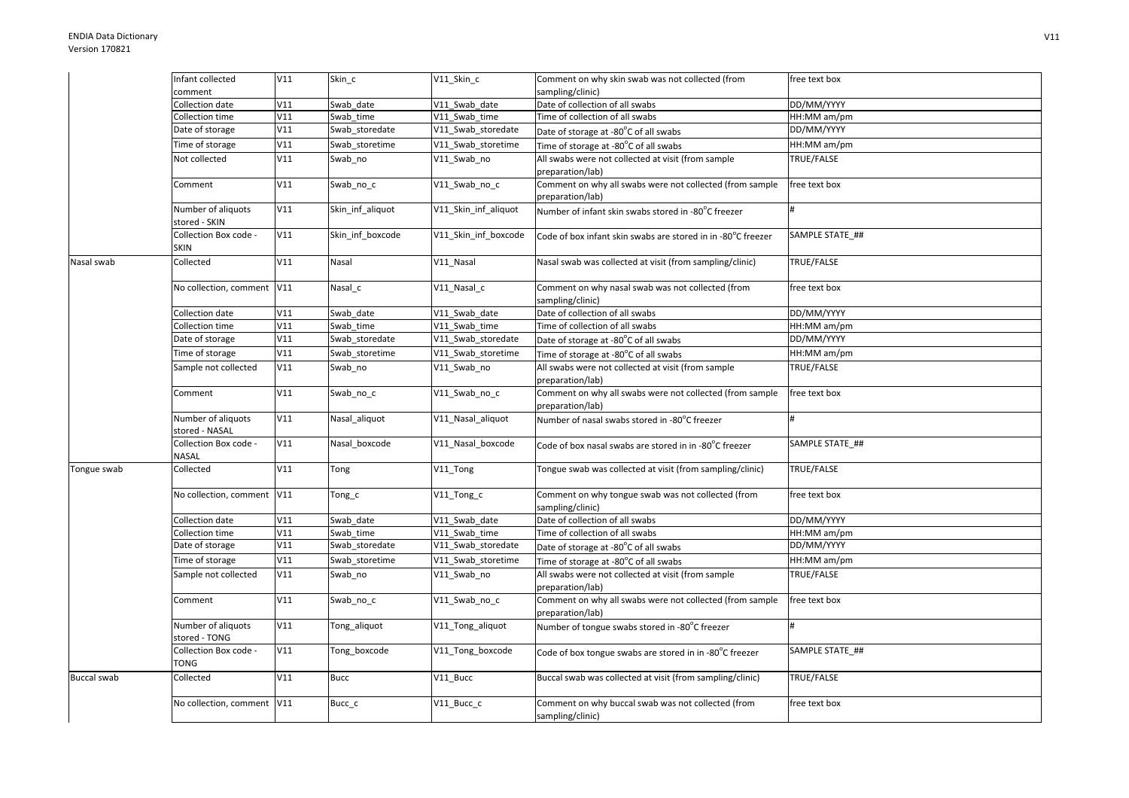|                    | Infant collected                     | V11 | Skin c           | V11 Skin c           | Comment on why skin swab was not collected (from                             | free text box   |
|--------------------|--------------------------------------|-----|------------------|----------------------|------------------------------------------------------------------------------|-----------------|
|                    | comment                              |     |                  |                      | sampling/clinic)                                                             |                 |
|                    | Collection date                      | V11 | Swab date        | V11 Swab date        | Date of collection of all swabs                                              | DD/MM/YYYY      |
|                    | Collection time                      | V11 | Swab time        | V11 Swab time        | Time of collection of all swabs                                              | HH:MM am/pm     |
|                    | Date of storage                      | V11 | Swab storedate   | V11 Swab storedate   | Date of storage at -80°C of all swabs                                        | DD/MM/YYYY      |
|                    | Time of storage                      | V11 | Swab storetime   | V11 Swab storetime   | Time of storage at -80°C of all swabs                                        | HH:MM am/pm     |
|                    | Not collected                        | V11 | Swab_no          | V11_Swab_no          | All swabs were not collected at visit (from sample<br>preparation/lab)       | TRUE/FALSE      |
|                    | Comment                              | V11 | Swab_no_c        | V11_Swab_no_c        | Comment on why all swabs were not collected (from sample<br>preparation/lab) | free text box   |
|                    | Number of aliquots<br>stored - SKIN  | V11 | Skin inf aliquot | V11 Skin inf aliquot | Number of infant skin swabs stored in -80°C freezer                          |                 |
|                    | Collection Box code -<br>SKIN        | V11 | Skin inf boxcode | V11 Skin inf boxcode | Code of box infant skin swabs are stored in in -80°C freezer                 | SAMPLE STATE ## |
| Nasal swab         | Collected                            | V11 | Nasal            | V11 Nasal            | Nasal swab was collected at visit (from sampling/clinic)                     | TRUE/FALSE      |
|                    | No collection, comment V11           |     | Nasal_c          | V11_Nasal_c          | Comment on why nasal swab was not collected (from<br>sampling/clinic)        | free text box   |
|                    | Collection date                      | V11 | Swab date        | V11 Swab date        | Date of collection of all swabs                                              | DD/MM/YYYY      |
|                    | Collection time                      | V11 | Swab time        | V11 Swab time        | Time of collection of all swabs                                              | HH:MM am/pm     |
|                    | Date of storage                      | V11 | Swab storedate   | V11 Swab storedate   | Date of storage at -80°C of all swabs                                        | DD/MM/YYYY      |
|                    | Time of storage                      | V11 | Swab_storetime   | V11 Swab storetime   | Time of storage at -80°C of all swabs                                        | HH:MM am/pm     |
|                    | Sample not collected                 | V11 | Swab no          | V11 Swab no          | All swabs were not collected at visit (from sample<br>preparation/lab)       | TRUE/FALSE      |
|                    | Comment                              | V11 | Swab_no_c        | V11_Swab_no_c        | Comment on why all swabs were not collected (from sample<br>preparation/lab) | free text box   |
|                    | Number of aliquots<br>stored - NASAL | V11 | Nasal_aliquot    | V11 Nasal aliquot    | Number of nasal swabs stored in -80°C freezer                                |                 |
|                    | Collection Box code -<br>NASAL       | V11 | Nasal boxcode    | V11 Nasal boxcode    | Code of box nasal swabs are stored in in -80°C freezer                       | SAMPLE STATE ## |
| Tongue swab        | Collected                            | V11 | Tong             | V11_Tong             | Tongue swab was collected at visit (from sampling/clinic)                    | TRUE/FALSE      |
|                    | No collection, comment V11           |     | Tong_c           | V11_Tong_c           | Comment on why tongue swab was not collected (from<br>sampling/clinic)       | free text box   |
|                    | Collection date                      | V11 | Swab date        | V11 Swab date        | Date of collection of all swabs                                              | DD/MM/YYYY      |
|                    | Collection time                      | V11 | Swab time        | V11 Swab time        | Time of collection of all swabs                                              | HH:MM am/pm     |
|                    | Date of storage                      | V11 | Swab storedate   | V11 Swab storedate   | Date of storage at -80°C of all swabs                                        | DD/MM/YYYY      |
|                    | Time of storage                      | V11 | Swab_storetime   | V11_Swab_storetime   | Time of storage at -80°C of all swabs                                        | HH:MM am/pm     |
|                    | Sample not collected                 | V11 | Swab no          | V11 Swab no          | All swabs were not collected at visit (from sample<br>preparation/lab)       | TRUE/FALSE      |
|                    | Comment                              | V11 | Swab_no_c        | V11_Swab_no_c        | Comment on why all swabs were not collected (from sample<br>preparation/lab) | free text box   |
|                    | Number of aliquots<br>stored - TONG  | V11 | Tong_aliquot     | V11_Tong_aliquot     | Number of tongue swabs stored in -80°C freezer                               |                 |
|                    | Collection Box code -<br>TONG        | V11 | Tong_boxcode     | V11_Tong_boxcode     | Code of box tongue swabs are stored in in -80°C freezer                      | SAMPLE STATE ## |
| <b>Buccal swab</b> | Collected                            | V11 | <b>Bucc</b>      | V11_Bucc             | Buccal swab was collected at visit (from sampling/clinic)                    | TRUE/FALSE      |
|                    | No collection, comment V11           |     | Bucc c           | V11_Bucc_c           | Comment on why buccal swab was not collected (from<br>sampling/clinic)       | free text box   |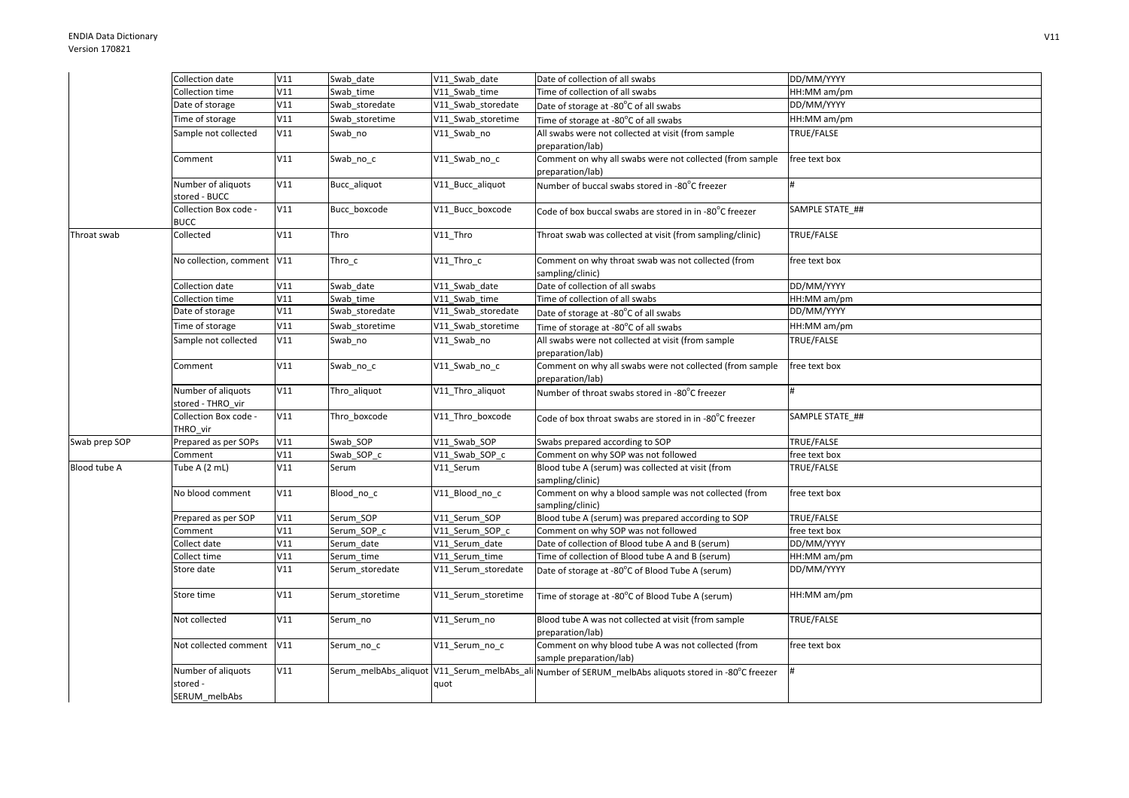|                     | Collection date                                 | V11 | Swab date       | V11 Swab date       | Date of collection of all swabs                                                                      | DD/MM/YYYY      |
|---------------------|-------------------------------------------------|-----|-----------------|---------------------|------------------------------------------------------------------------------------------------------|-----------------|
|                     | Collection time                                 | V11 | Swab time       | V11 Swab time       | Time of collection of all swabs                                                                      | HH:MM am/pm     |
|                     | Date of storage                                 | V11 | Swab storedate  | V11 Swab storedate  | Date of storage at -80°C of all swabs                                                                | DD/MM/YYYY      |
|                     | Time of storage                                 | V11 | Swab_storetime  | V11_Swab_storetime  | Time of storage at -80°C of all swabs                                                                | HH:MM am/pm     |
|                     | Sample not collected                            | V11 | Swab_no         | V11 Swab no         | All swabs were not collected at visit (from sample<br>preparation/lab)                               | TRUE/FALSE      |
|                     | Comment                                         | V11 | Swab_no_c       | V11_Swab_no_c       | Comment on why all swabs were not collected (from sample<br>preparation/lab)                         | free text box   |
|                     | Number of aliquots<br>stored - BUCC             | V11 | Bucc_aliquot    | V11 Bucc aliquot    | Number of buccal swabs stored in -80°C freezer                                                       |                 |
|                     | Collection Box code -<br><b>BUCC</b>            | V11 | Bucc boxcode    | V11 Bucc boxcode    | Code of box buccal swabs are stored in in -80°C freezer                                              | SAMPLE STATE ## |
| Throat swab         | Collected                                       | V11 | Thro            | V11_Thro            | Throat swab was collected at visit (from sampling/clinic)                                            | TRUE/FALSE      |
|                     | No collection, comment V11                      |     | $Thro_c$        | V11_Thro_c          | Comment on why throat swab was not collected (from<br>sampling/clinic)                               | free text box   |
|                     | Collection date                                 | V11 | Swab date       | V11 Swab date       | Date of collection of all swabs                                                                      | DD/MM/YYYY      |
|                     | Collection time                                 | V11 | Swab time       | V11 Swab time       | Time of collection of all swabs                                                                      | HH:MM am/pm     |
|                     | Date of storage                                 | V11 | Swab storedate  | V11 Swab storedate  | Date of storage at -80°C of all swabs                                                                | DD/MM/YYYY      |
|                     | Time of storage                                 | V11 | Swab storetime  | V11 Swab storetime  | Time of storage at -80°C of all swabs                                                                | HH:MM am/pm     |
|                     | Sample not collected                            | V11 | Swab_no         | V11_Swab_no         | All swabs were not collected at visit (from sample<br>preparation/lab)                               | TRUE/FALSE      |
|                     | Comment                                         | V11 | Swab_no_c       | V11 Swab no c       | Comment on why all swabs were not collected (from sample<br>preparation/lab)                         | free text box   |
|                     | Number of aliquots<br>stored - THRO vir         | V11 | Thro_aliquot    | V11 Thro aliquot    | Number of throat swabs stored in -80°C freezer                                                       |                 |
|                     | Collection Box code -<br>THRO_vir               | V11 | Thro boxcode    | V11 Thro boxcode    | Code of box throat swabs are stored in in -80 <sup>o</sup> C freezer                                 | SAMPLE STATE ## |
| Swab prep SOP       | Prepared as per SOPs                            | V11 | Swab SOP        | V11 Swab SOP        | Swabs prepared according to SOP                                                                      | TRUE/FALSE      |
|                     | Comment                                         | V11 | Swab SOP c      | V11 Swab SOP c      | Comment on why SOP was not followed                                                                  | free text box   |
| <b>Blood tube A</b> | Tube A (2 mL)                                   | V11 | Serum           | V11 Serum           | Blood tube A (serum) was collected at visit (from<br>sampling/clinic)                                | TRUE/FALSE      |
|                     | No blood comment                                | V11 | Blood no c      | V11 Blood no c      | Comment on why a blood sample was not collected (from<br>sampling/clinic)                            | free text box   |
|                     | Prepared as per SOP                             | V11 | Serum_SOP       | V11 Serum SOP       | Blood tube A (serum) was prepared according to SOP                                                   | TRUE/FALSE      |
|                     | Comment                                         | V11 | Serum SOP c     | V11 Serum SOP c     | Comment on why SOP was not followed                                                                  | free text box   |
|                     | Collect date                                    | V11 | Serum date      | V11 Serum date      | Date of collection of Blood tube A and B (serum)                                                     | DD/MM/YYYY      |
|                     | Collect time                                    | V11 | Serum time      | V11 Serum time      | Time of collection of Blood tube A and B (serum)                                                     | HH:MM am/pm     |
|                     | Store date                                      | V11 | Serum storedate | V11 Serum storedate | Date of storage at -80°C of Blood Tube A (serum)                                                     | DD/MM/YYYY      |
|                     | Store time                                      | V11 | Serum storetime | V11 Serum storetime | Time of storage at -80°C of Blood Tube A (serum)                                                     | HH:MM am/pm     |
|                     | Not collected                                   | V11 | Serum_no        | V11 Serum no        | Blood tube A was not collected at visit (from sample<br>preparation/lab)                             | TRUE/FALSE      |
|                     | Not collected comment                           | V11 | Serum no c      | V11 Serum no c      | Comment on why blood tube A was not collected (from<br>sample preparation/lab)                       | free text box   |
|                     | Number of aliquots<br>stored -<br>SERUM melbAbs | V11 |                 | quot                | Serum_melbAbs_aliquot V11_Serum_melbAbs_ali Number of SERUM_melbAbs aliquots stored in -80°C freezer |                 |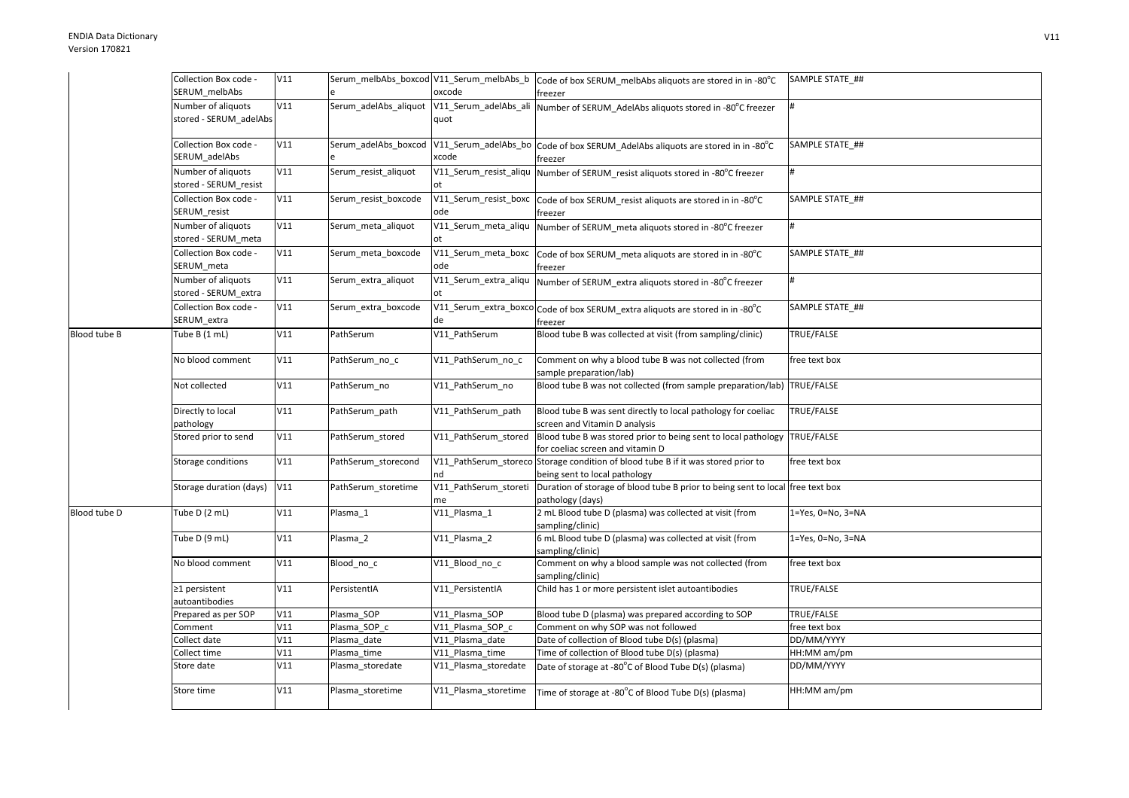|              | Collection Box code -                        | V11 |                       |                             | Serum_melbAbs_boxcod V11_Serum_melbAbs_b Code of box SERUM_melbAbs aliquots are stored in in -80°C                 | SAMPLE STATE_##   |
|--------------|----------------------------------------------|-----|-----------------------|-----------------------------|--------------------------------------------------------------------------------------------------------------------|-------------------|
|              | SERUM melbAbs                                |     |                       | oxcode                      | freezer                                                                                                            |                   |
|              | Number of aliquots<br>stored - SERUM adelAbs | V11 | Serum_adelAbs_aliquot | quot                        | V11_Serum_adelAbs_ali Number of SERUM_AdelAbs aliquots stored in -80°C freezer                                     |                   |
|              | Collection Box code -<br>SERUM_adelAbs       | V11 | Serum_adelAbs_boxcod  | xcode                       | V11_Serum_adelAbs_bo Code of box SERUM_AdelAbs aliquots are stored in in -80°C<br>freezer                          | SAMPLE STATE ##   |
|              | Number of aliquots<br>stored - SERUM resist  | V11 | Serum resist aliquot  | ot                          | V11_Serum_resist_aliqu Number of SERUM_resist aliquots stored in -80°C freezer                                     |                   |
|              | Collection Box code -<br>SERUM resist        | V11 | Serum_resist_boxcode  | ode                         | V11_Serum_resist_boxc  Code of box SERUM_resist aliquots are stored in in -80°C<br>freezer                         | SAMPLE STATE ##   |
|              | Number of aliquots<br>stored - SERUM meta    | V11 | Serum_meta_aliquot    | V11_Serum_meta_aliqu<br>ot  | Number of SERUM meta aliquots stored in -80°C freezer                                                              |                   |
|              | Collection Box code -<br>SERUM_meta          | V11 | Serum meta boxcode    | V11_Serum_meta_boxc<br>ode  | Code of box SERUM meta aliquots are stored in in -80°C<br>freezer                                                  | SAMPLE STATE ##   |
|              | Number of aliquots<br>stored - SERUM extra   | V11 | Serum_extra_aliquot   | V11_Serum_extra_aliqu       | Number of SERUM extra aliquots stored in -80°C freezer                                                             | #                 |
|              | Collection Box code -<br>SERUM extra         | V11 | Serum extra boxcode   | de                          | V11_Serum_extra_boxco Code of box SERUM_extra aliquots are stored in in -80°C<br>freezer                           | SAMPLE STATE ##   |
| Blood tube B | Tube B (1 mL)                                | V11 | PathSerum             | V11 PathSerum               | Blood tube B was collected at visit (from sampling/clinic)                                                         | TRUE/FALSE        |
|              | No blood comment                             | V11 | PathSerum no c        | V11_PathSerum_no_c          | Comment on why a blood tube B was not collected (from<br>sample preparation/lab)                                   | free text box     |
|              | Not collected                                | V11 | PathSerum no          | V11 PathSerum no            | Blood tube B was not collected (from sample preparation/lab)                                                       | TRUE/FALSE        |
|              | Directly to local<br>pathology               | V11 | PathSerum path        | V11 PathSerum path          | Blood tube B was sent directly to local pathology for coeliac<br>screen and Vitamin D analysis                     | TRUE/FALSE        |
|              | Stored prior to send                         | V11 | PathSerum stored      | V11 PathSerum stored        | Blood tube B was stored prior to being sent to local pathology<br>for coeliac screen and vitamin D                 | TRUE/FALSE        |
|              | Storage conditions                           | V11 | PathSerum storecond   | nd                          | V11_PathSerum_storeco Storage condition of blood tube B if it was stored prior to<br>being sent to local pathology | free text box     |
|              | Storage duration (days)                      | V11 | PathSerum_storetime   | V11_PathSerum_storeti<br>me | Duration of storage of blood tube B prior to being sent to local free text box<br>pathology (days)                 |                   |
| Blood tube D | Tube D (2 mL)                                | V11 | Plasma 1              | V11 Plasma 1                | 2 mL Blood tube D (plasma) was collected at visit (from<br>sampling/clinic)                                        | 1=Yes, 0=No, 3=NA |
|              | Tube D (9 mL)                                | V11 | Plasma 2              | V11 Plasma 2                | 6 mL Blood tube D (plasma) was collected at visit (from<br>sampling/clinic)                                        | 1=Yes, 0=No, 3=NA |
|              | No blood comment                             | V11 | Blood_no_c            | V11 Blood no c              | Comment on why a blood sample was not collected (from<br>sampling/clinic)                                          | free text box     |
|              | ≥1 persistent<br>autoantibodies              | V11 | PersistentIA          | V11 PersistentIA            | Child has 1 or more persistent islet autoantibodies                                                                | TRUE/FALSE        |
|              | Prepared as per SOP                          | V11 | Plasma SOP            | V11 Plasma SOP              | Blood tube D (plasma) was prepared according to SOP                                                                | TRUE/FALSE        |
|              | Comment                                      | V11 | Plasma SOP c          | V11 Plasma SOP c            | Comment on why SOP was not followed                                                                                | free text box     |
|              | Collect date                                 | V11 | Plasma date           | V11_Plasma_date             | Date of collection of Blood tube D(s) (plasma)                                                                     | DD/MM/YYYY        |
|              | Collect time                                 | V11 | Plasma_time           | V11_Plasma_time             | Time of collection of Blood tube D(s) (plasma)                                                                     | HH:MM am/pm       |
|              | Store date                                   | V11 | Plasma storedate      | V11_Plasma_storedate        | Date of storage at -80°C of Blood Tube D(s) (plasma)                                                               | DD/MM/YYYY        |
|              | Store time                                   | V11 | Plasma storetime      | V11 Plasma storetime        | Time of storage at -80 $^{\circ}$ C of Blood Tube D(s) (plasma)                                                    | HH:MM am/pm       |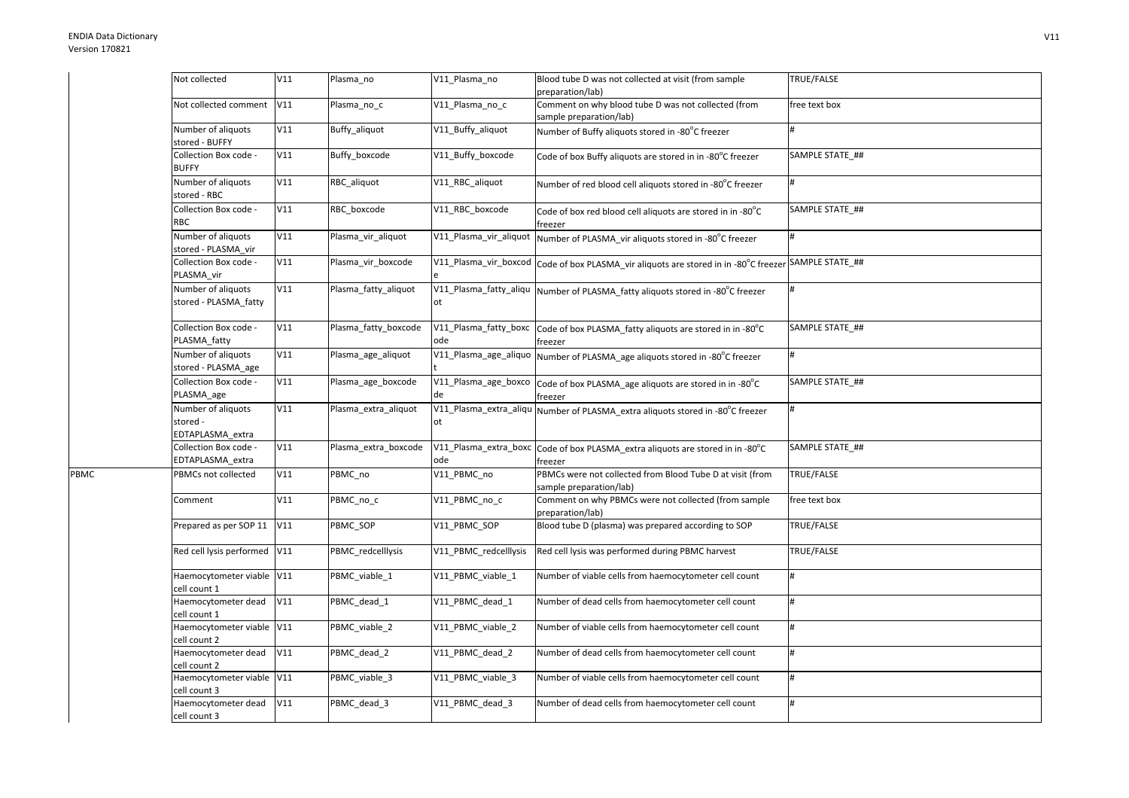PBMC

| Not collected                                      | V11 | Plasma no            | V11 Plasma no                | Blood tube D was not collected at visit (from sample<br>preparation/lab)             | TRUE/FALSE      |
|----------------------------------------------------|-----|----------------------|------------------------------|--------------------------------------------------------------------------------------|-----------------|
| Not collected comment                              | V11 | Plasma no c          | V11 Plasma no c              | Comment on why blood tube D was not collected (from<br>sample preparation/lab)       | free text box   |
| Number of aliquots<br>stored - BUFFY               | V11 | Buffy_aliquot        | V11 Buffy aliquot            | Number of Buffy aliquots stored in -80°C freezer                                     |                 |
| Collection Box code -<br><b>BUFFY</b>              | V11 | Buffy boxcode        | V11 Buffy boxcode            | Code of box Buffy aliquots are stored in in -80°C freezer                            | SAMPLE STATE ## |
| Number of aliquots<br>stored - RBC                 | V11 | RBC aliquot          | V11_RBC_aliquot              | Number of red blood cell aliquots stored in -80°C freezer                            | #               |
| Collection Box code -<br><b>RBC</b>                | V11 | RBC boxcode          | V11 RBC boxcode              | Code of box red blood cell aliquots are stored in in -80°C<br>freezer                | SAMPLE STATE ## |
| Number of aliquots<br>stored - PLASMA vir          | V11 | Plasma_vir_aliquot   | V11_Plasma_vir_aliquot       | Number of PLASMA vir aliquots stored in -80°C freezer                                | #               |
| Collection Box code -<br>PLASMA_vir                | V11 | Plasma vir boxcode   | V11_Plasma_vir_boxcod        | Code of box PLASMA_vir aliquots are stored in in -80°C freezer SAMPLE STATE_##       |                 |
| Number of aliquots<br>stored - PLASMA fatty        | V11 | Plasma fatty aliquot | V11_Plasma_fatty_aliqu<br>ot | Number of PLASMA fatty aliquots stored in -80°C freezer                              | #               |
| Collection Box code -<br>PLASMA fatty              | V11 | Plasma fatty boxcode | V11_Plasma_fatty_boxc<br>ode | Code of box PLASMA_fatty aliquots are stored in in -80°C<br>freezer                  | SAMPLE STATE ## |
| Number of aliquots<br>stored - PLASMA_age          | V11 | Plasma_age_aliquot   | V11_Plasma_age_aliquo        | Number of PLASMA_age aliquots stored in -80°C freezer                                | #               |
| Collection Box code -<br>PLASMA_age                | V11 | Plasma_age_boxcode   | V11_Plasma_age_boxco<br>de   | Code of box PLASMA_age aliquots are stored in in -80°C<br>freezer                    | SAMPLE STATE_## |
| Number of aliquots<br>stored -<br>EDTAPLASMA extra | V11 | Plasma extra aliquot | V11_Plasma_extra_aliqu<br>ot | Number of PLASMA extra aliquots stored in -80°C freezer                              | #               |
| Collection Box code -<br>EDTAPLASMA_extra          | V11 | Plasma extra boxcode | V11 Plasma extra boxc<br>ode | Code of box PLASMA_extra aliquots are stored in in -80°C<br>freezer                  | SAMPLE STATE ## |
| PBMCs not collected                                | V11 | PBMC no              | V11_PBMC_no                  | PBMCs were not collected from Blood Tube D at visit (from<br>sample preparation/lab) | TRUE/FALSE      |
| Comment                                            | V11 | PBMC_no_c            | V11 PBMC no c                | Comment on why PBMCs were not collected (from sample<br>preparation/lab)             | free text box   |
| Prepared as per SOP 11                             | V11 | PBMC SOP             | V11 PBMC SOP                 | Blood tube D (plasma) was prepared according to SOP                                  | TRUE/FALSE      |
| Red cell lysis performed                           | V11 | PBMC redcelllysis    | V11 PBMC redcelllysis        | Red cell lysis was performed during PBMC harvest                                     | TRUE/FALSE      |
| Haemocytometer viable V11<br>cell count 1          |     | PBMC viable 1        | V11 PBMC viable 1            | Number of viable cells from haemocytometer cell count                                | #               |
| Haemocytometer dead<br>cell count 1                | V11 | PBMC dead 1          | V11 PBMC dead 1              | Number of dead cells from haemocytometer cell count                                  | #               |
| Haemocytometer viable V11<br>cell count 2          |     | PBMC viable 2        | V11 PBMC viable 2            | Number of viable cells from haemocytometer cell count                                | #               |
| Haemocytometer dead<br>cell count 2                | V11 | PBMC dead 2          | V11 PBMC dead 2              | Number of dead cells from haemocytometer cell count                                  | #               |
| Haemocytometer viable V11<br>cell count 3          |     | PBMC viable 3        | V11 PBMC viable 3            | Number of viable cells from haemocytometer cell count                                | #               |
| Haemocytometer dead<br>cell count 3                | V11 | PBMC dead 3          | V11 PBMC dead 3              | Number of dead cells from haemocytometer cell count                                  | #               |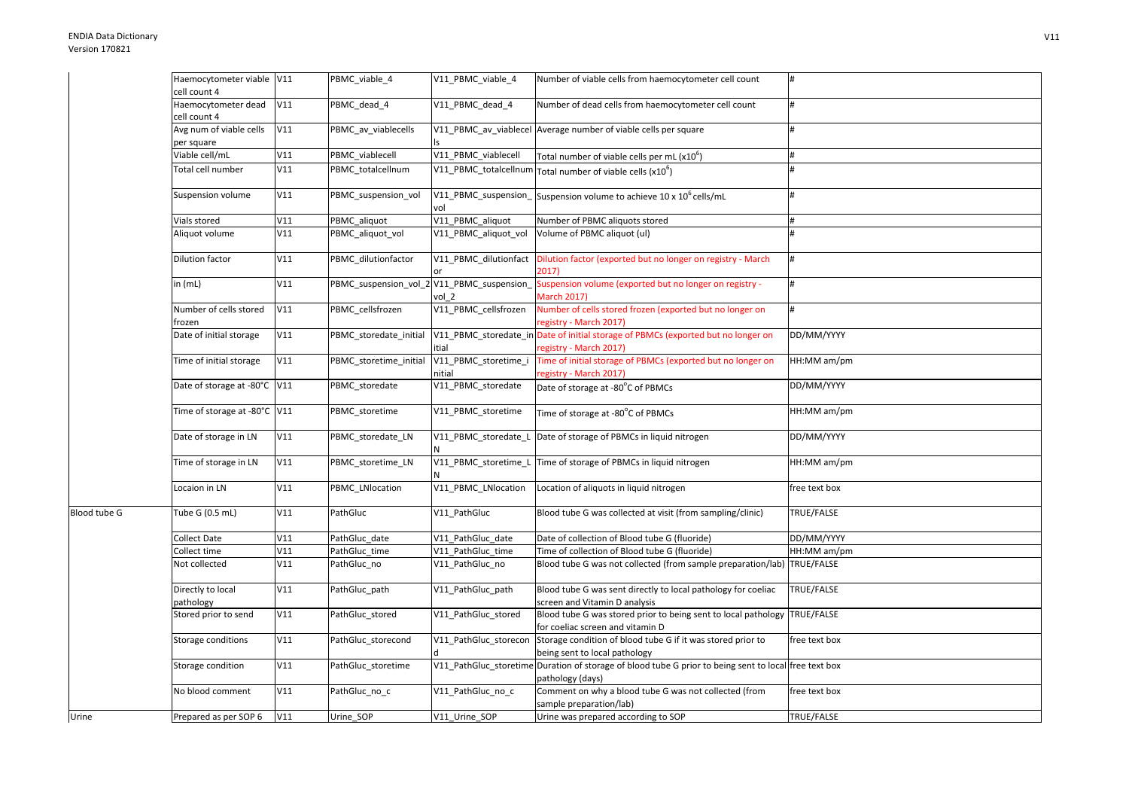Urine

|              | Haemocytometer viable V11             |     | PBMC_viable_4          | V11_PBMC_viable_4              | Number of viable cells from haemocytometer cell count                                                                     | #             |
|--------------|---------------------------------------|-----|------------------------|--------------------------------|---------------------------------------------------------------------------------------------------------------------------|---------------|
|              | cell count 4                          |     |                        |                                |                                                                                                                           |               |
|              | Haemocytometer dead<br>cell count 4   | V11 | PBMC dead 4            | V11 PBMC dead 4                | Number of dead cells from haemocytometer cell count                                                                       |               |
|              | Avg num of viable cells<br>per square | V11 | PBMC av viablecells    |                                | V11 PBMC av viablecel Average number of viable cells per square                                                           |               |
|              | Viable cell/mL                        | V11 | PBMC viablecell        | V11_PBMC_viablecell            | Total number of viable cells per mL $(x106)$                                                                              |               |
|              | Total cell number                     | V11 | PBMC totalcellnum      |                                | V11_PBMC_totalcellnum Total number of viable cells (x10 <sup>6</sup> )                                                    |               |
|              | Suspension volume                     | V11 | PBMC suspension vol    | vol                            | V11_PBMC_suspension_Suspension volume to achieve 10 x 10 <sup>6</sup> cells/mL                                            |               |
|              | Vials stored                          | V11 | PBMC_aliquot           | V11_PBMC_aliquot               | Number of PBMC aliquots stored                                                                                            |               |
|              | Aliquot volume                        | V11 | PBMC_aliquot_vol       | V11_PBMC_aliquot_vol           | Volume of PBMC aliquot (ul)                                                                                               |               |
|              | <b>Dilution factor</b>                | V11 | PBMC_dilutionfactor    | V11_PBMC_dilutionfact          | Dilution factor (exported but no longer on registry - March<br>2017)                                                      |               |
|              | in $(mL)$                             | V11 | PBMC_suspension_vol_   | 2 V11_PBMC_suspension<br>vol 2 | Suspension volume (exported but no longer on registry -<br><b>March 2017)</b>                                             | #             |
|              | Number of cells stored<br>frozen      | V11 | PBMC cellsfrozen       | V11_PBMC_cellsfrozen           | Number of cells stored frozen (exported but no longer on<br>registry - March 2017)                                        | #             |
|              | Date of initial storage               | V11 | PBMC storedate initial | tial                           | V11 PBMC storedate in Date of initial storage of PBMCs (exported but no longer on<br>registry - March 2017)               | DD/MM/YYYY    |
|              | Time of initial storage               | V11 | PBMC storetime initial | V11_PBMC_storetime_i<br>nitial | Time of initial storage of PBMCs (exported but no longer on<br>registry - March 2017)                                     | HH:MM am/pm   |
|              | Date of storage at -80°C V11          |     | PBMC storedate         | V11 PBMC storedate             | Date of storage at -80°C of PBMCs                                                                                         | DD/MM/YYYY    |
|              | Time of storage at -80°C V11          |     | PBMC_storetime         | V11_PBMC_storetime             | Time of storage at -80°C of PBMCs                                                                                         | HH:MM am/pm   |
|              | Date of storage in LN                 | V11 | PBMC_storedate_LN      |                                | V11_PBMC_storedate_L Date of storage of PBMCs in liquid nitrogen                                                          | DD/MM/YYYY    |
|              | Time of storage in LN                 | V11 | PBMC storetime LN      |                                | V11 PBMC storetime L Time of storage of PBMCs in liquid nitrogen                                                          | HH:MM am/pm   |
|              | Locaion in LN                         | V11 | PBMC LNlocation        | V11 PBMC LNlocation            | Location of aliquots in liquid nitrogen                                                                                   | free text box |
| Blood tube G | Tube G (0.5 mL)                       | V11 | PathGluc               | V11 PathGluc                   | Blood tube G was collected at visit (from sampling/clinic)                                                                | TRUE/FALSE    |
|              | <b>Collect Date</b>                   | V11 | PathGluc date          | V11 PathGluc date              | Date of collection of Blood tube G (fluoride)                                                                             | DD/MM/YYYY    |
|              | Collect time                          | V11 | PathGluc time          | V11 PathGluc time              | Time of collection of Blood tube G (fluoride)                                                                             | HH:MM am/pm   |
|              | Not collected                         | V11 | PathGluc_no            | V11_PathGluc_no                | Blood tube G was not collected (from sample preparation/lab) TRUE/FALSE                                                   |               |
|              | Directly to local<br>pathology        | V11 | PathGluc_path          | V11_PathGluc_path              | Blood tube G was sent directly to local pathology for coeliac<br>screen and Vitamin D analysis                            | TRUE/FALSE    |
|              | Stored prior to send                  | V11 | PathGluc_stored        | V11_PathGluc_stored            | Blood tube G was stored prior to being sent to local pathology TRUE/FALSE<br>for coeliac screen and vitamin D             |               |
|              | Storage conditions                    | V11 | PathGluc storecond     | V11 PathGluc storecon          | Storage condition of blood tube G if it was stored prior to<br>being sent to local pathology                              | free text box |
|              | Storage condition                     | V11 | PathGluc storetime     |                                | V11 PathGluc storetime Duration of storage of blood tube G prior to being sent to local free text box<br>pathology (days) |               |
|              | No blood comment                      | V11 | PathGluc_no_c          | V11 PathGluc no c              | Comment on why a blood tube G was not collected (from<br>sample preparation/lab)                                          | free text box |
| Urine        | Prepared as per SOP 6                 | V11 | Urine_SOP              | V11 Urine SOP                  | Urine was prepared according to SOP                                                                                       | TRUE/FALSE    |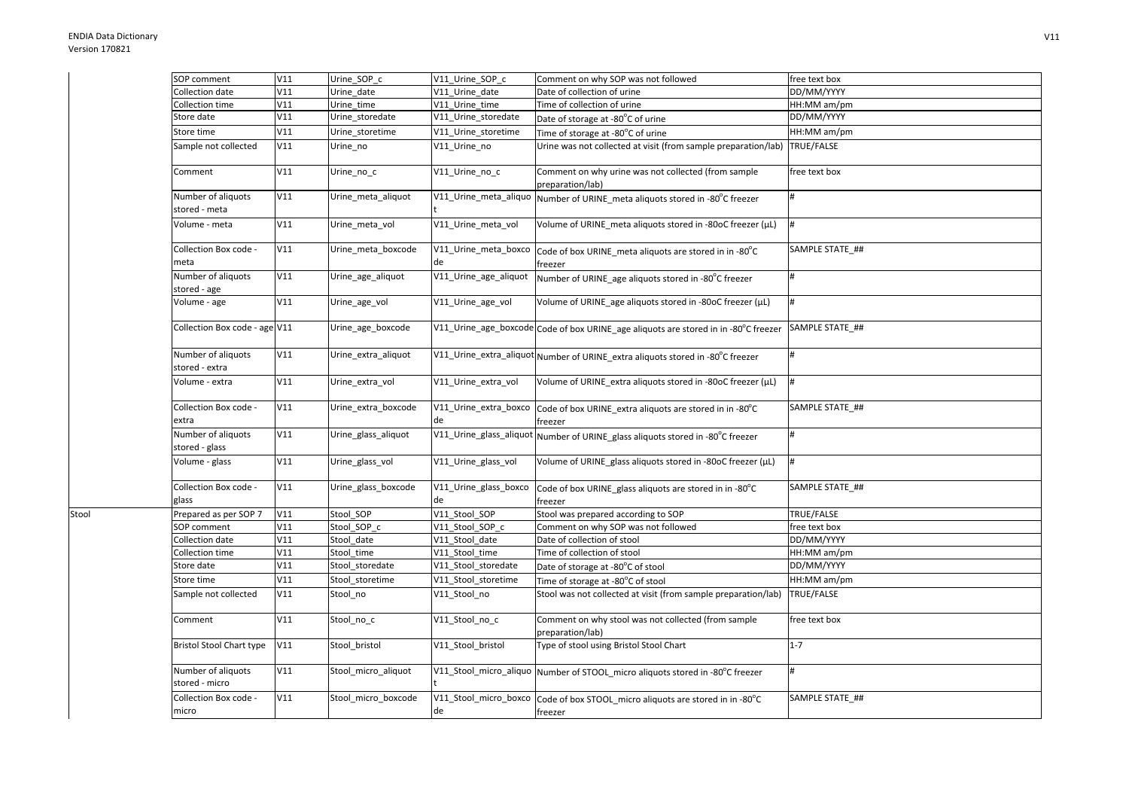Stool

| SOP comment                          | V11 | Urine SOP c         | V11 Urine SOP c             | Comment on why SOP was not followed                                                      | free text box   |
|--------------------------------------|-----|---------------------|-----------------------------|------------------------------------------------------------------------------------------|-----------------|
| Collection date                      | V11 | Urine date          | V11 Urine date              | Date of collection of urine                                                              | DD/MM/YYYY      |
| Collection time                      | V11 | Urine_time          | V11 Urine time              | Time of collection of urine                                                              | HH:MM am/pm     |
| Store date                           | V11 | Urine storedate     | V11 Urine storedate         | Date of storage at -80°C of urine                                                        | DD/MM/YYYY      |
| Store time                           | V11 | Urine storetime     | V11 Urine storetime         | Time of storage at -80°C of urine                                                        | HH:MM am/pm     |
| Sample not collected                 | V11 | Urine no            | V11 Urine no                | Urine was not collected at visit (from sample preparation/lab)                           | TRUE/FALSE      |
| Comment                              | V11 | Urine_no_c          | V11_Urine_no_c              | Comment on why urine was not collected (from sample<br>preparation/lab)                  | free text box   |
| Number of aliquots<br>stored - meta  | V11 | Urine meta aliquot  | V11 Urine meta aliquo       | Number of URINE_meta aliquots stored in -80°C freezer                                    | #               |
| Volume - meta                        | V11 | Urine_meta_vol      | V11 Urine meta vol          | Volume of URINE meta aliquots stored in -80oC freezer (µL)                               | #               |
| Collection Box code -<br>meta        | V11 | Urine_meta_boxcode  | V11_Urine_meta_boxco<br>de  | Code of box URINE_meta aliquots are stored in in -80°C<br>freezer                        | SAMPLE STATE ## |
| Number of aliquots<br>stored - age   | V11 | Urine age aliquot   | V11 Urine age aliquot       | Number of URINE age aliquots stored in -80°C freezer                                     | #               |
| Volume - age                         | V11 | Urine_age_vol       | V11_Urine_age_vol           | Volume of URINE age aliquots stored in -80oC freezer (µL)                                | #               |
| Collection Box code - age V11        |     | Urine_age_boxcode   |                             | V11_Urine_age_boxcode Code of box URINE_age aliquots are stored in in -80°C freezer      | SAMPLE STATE_## |
| Number of aliquots<br>stored - extra | V11 | Urine extra aliquot |                             | V11_Urine_extra_aliquot Number of URINE extra aliquots stored in -80°C freezer           | #               |
| Volume - extra                       | V11 | Urine_extra_vol     | V11 Urine extra vol         | Volume of URINE extra aliquots stored in -80oC freezer (µL)                              | #               |
| Collection Box code -<br>extra       | V11 | Urine_extra_boxcode | V11_Urine_extra_boxco<br>de | Code of box URINE extra aliquots are stored in in -80°C<br>freezer                       | SAMPLE STATE ## |
| Number of aliquots<br>stored - glass | V11 | Urine glass aliquot |                             | V11_Urine_glass_aliquot Number of URINE_glass aliquots stored in -80°C freezer           | #               |
| Volume - glass                       | V11 | Urine_glass_vol     | V11_Urine_glass_vol         | Volume of URINE glass aliquots stored in -80oC freezer (µL)                              | #               |
| Collection Box code -<br>glass       | V11 | Urine_glass_boxcode | V11_Urine_glass_boxco<br>de | Code of box URINE_glass aliquots are stored in in -80°C<br>freezer                       | SAMPLE STATE ## |
| Prepared as per SOP 7                | V11 | Stool SOP           | V11 Stool SOP               | Stool was prepared according to SOP                                                      | TRUE/FALSE      |
| <b>SOP</b> comment                   | V11 | Stool SOP c         | V11 Stool SOP c             | Comment on why SOP was not followed                                                      | free text box   |
| Collection date                      | V11 | Stool date          | V11 Stool date              | Date of collection of stool                                                              | DD/MM/YYYY      |
| Collection time                      | V11 | Stool time          | V11 Stool time              | Time of collection of stool                                                              | HH:MM am/pm     |
| Store date                           | V11 | Stool_storedate     | V11_Stool_storedate         | Date of storage at -80°C of stool                                                        | DD/MM/YYYY      |
| Store time                           | V11 | Stool storetime     | V11 Stool storetime         | Time of storage at -80°C of stool                                                        | HH:MM am/pm     |
| Sample not collected                 | V11 | Stool no            | V11 Stool no                | Stool was not collected at visit (from sample preparation/lab)                           | TRUE/FALSE      |
| Comment                              | V11 | Stool_no_c          | V11 Stool no c              | Comment on why stool was not collected (from sample<br>preparation/lab)                  | free text box   |
| <b>Bristol Stool Chart type</b>      | V11 | Stool_bristol       | V11 Stool bristol           | Type of stool using Bristol Stool Chart                                                  | $1 - 7$         |
| Number of aliquots<br>stored - micro | V11 | Stool micro aliquot |                             | V11_Stool_micro_aliquo Number of STOOL_micro aliquots stored in -80°C freezer            | #               |
| Collection Box code -<br>micro       | V11 | Stool micro boxcode | de                          | V11_Stool_micro_boxco Code of box STOOL_micro aliquots are stored in in -80°C<br>freezer | SAMPLE STATE ## |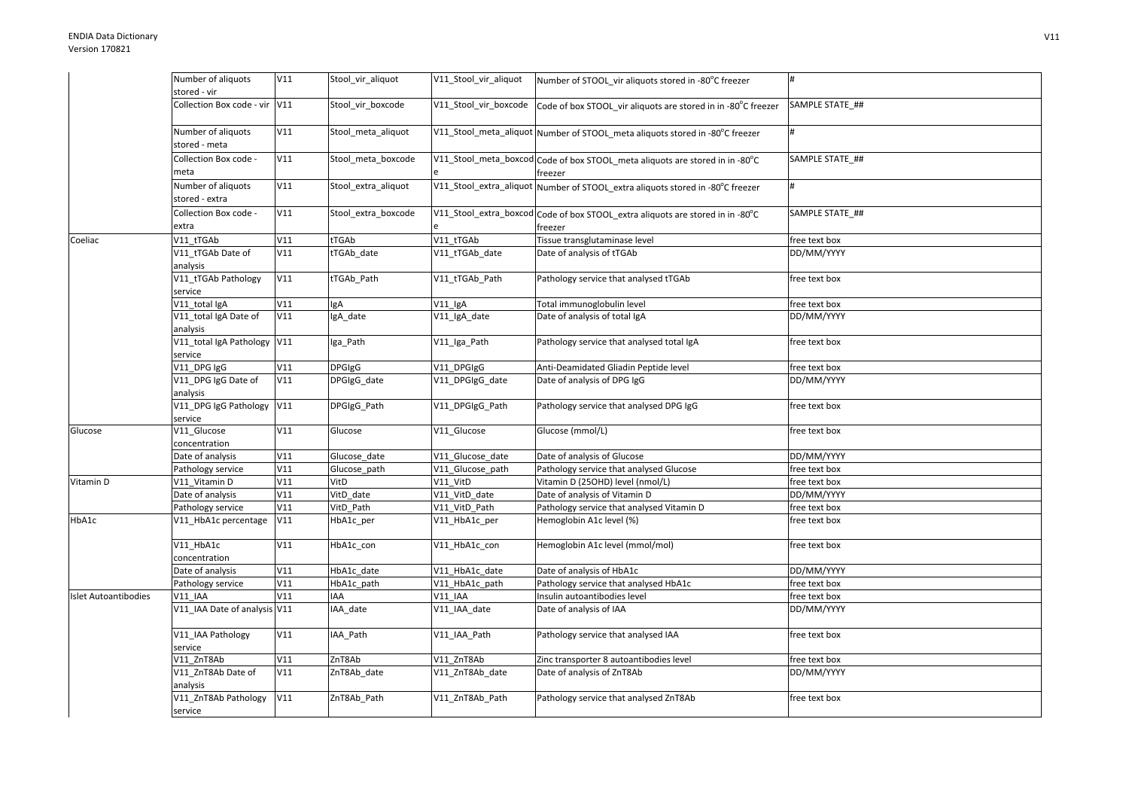|                             | Number of aliquots                     | V11 | Stool vir aliquot   | V11_Stool_vir_aliquot | Number of STOOL vir aliquots stored in -80°C freezer                                      | l#              |
|-----------------------------|----------------------------------------|-----|---------------------|-----------------------|-------------------------------------------------------------------------------------------|-----------------|
|                             | stored - vir                           |     |                     |                       |                                                                                           |                 |
|                             | Collection Box code - vir V11          |     | Stool vir boxcode   | V11 Stool vir boxcode | Code of box STOOL vir aliquots are stored in in -80°C freezer                             | SAMPLE STATE ## |
|                             | Number of aliquots<br>stored - meta    | V11 | Stool_meta_aliquot  |                       | V11_Stool_meta_aliquot Number of STOOL_meta aliquots stored in -80°C freezer              |                 |
|                             | Collection Box code -                  | V11 | Stool meta boxcode  |                       | V11_Stool_meta_boxcod Code of box STOOL_meta aliquots are stored in in -80°C              | SAMPLE STATE ## |
|                             | meta                                   |     |                     |                       | freezer                                                                                   |                 |
|                             | Number of aliquots<br>stored - extra   | V11 | Stool_extra_aliquot |                       | V11_Stool_extra_aliquot Number of STOOL_extra aliquots stored in -80°C freezer            | #               |
|                             | Collection Box code -<br>extra         | V11 | Stool_extra_boxcode |                       | V11_Stool_extra_boxcod Code of box STOOL_extra aliquots are stored in in -80°C<br>freezer | SAMPLE STATE ## |
| Coeliac                     | V11 tTGAb                              | V11 | tTGAb               | V11 tTGAb             | Tissue transglutaminase level                                                             | free text box   |
|                             | V11 tTGAb Date of<br>analysis          | V11 | tTGAb_date          | V11_tTGAb_date        | Date of analysis of tTGAb                                                                 | DD/MM/YYYY      |
|                             | V11_tTGAb Pathology<br>service         | V11 | tTGAb_Path          | V11 tTGAb Path        | Pathology service that analysed tTGAb                                                     | free text box   |
|                             | V11_total IgA                          | V11 | lgA                 | V11_IgA               | Total immunoglobulin level                                                                | free text box   |
|                             | V11 total IgA Date of<br>analysis      | V11 | IgA date            | V11 IgA date          | Date of analysis of total IgA                                                             | DD/MM/YYYY      |
|                             | V11_total IgA Pathology V11<br>service |     | Iga_Path            | V11_Iga_Path          | Pathology service that analysed total IgA                                                 | free text box   |
|                             | V11_DPG IgG                            | V11 | <b>DPGIgG</b>       | V11_DPGIgG            | Anti-Deamidated Gliadin Peptide level                                                     | free text box   |
|                             | V11 DPG IgG Date of<br>analysis        | V11 | DPGIgG date         | V11 DPGIgG date       | Date of analysis of DPG IgG                                                               | DD/MM/YYYY      |
|                             | V11_DPG IgG Pathology V11<br>service   |     | DPGIgG Path         | V11 DPGIgG Path       | Pathology service that analysed DPG IgG                                                   | free text box   |
| Glucose                     | V11_Glucose<br>concentration           | V11 | Glucose             | V11_Glucose           | Glucose (mmol/L)                                                                          | free text box   |
|                             | Date of analysis                       | V11 | Glucose date        | V11 Glucose date      | Date of analysis of Glucose                                                               | DD/MM/YYYY      |
|                             | Pathology service                      | V11 | Glucose_path        | V11_Glucose_path      | Pathology service that analysed Glucose                                                   | free text box   |
| Vitamin D                   | V11 Vitamin D                          | V11 | VitD                | V11 VitD              | Vitamin D (25OHD) level (nmol/L)                                                          | free text box   |
|                             | Date of analysis                       | V11 | VitD date           | V11 VitD date         | Date of analysis of Vitamin D                                                             | DD/MM/YYYY      |
|                             | Pathology service                      | V11 | VitD Path           | V11 VitD Path         | Pathology service that analysed Vitamin D                                                 | free text box   |
| HbA1c                       | V11 HbA1c percentage                   | V11 | HbA1c per           | V11 HbA1c per         | Hemoglobin A1c level (%)                                                                  | free text box   |
|                             | V11 HbA1c<br>concentration             | V11 | HbA1c con           | V11 HbA1c con         | Hemoglobin A1c level (mmol/mol)                                                           | free text box   |
|                             | Date of analysis                       | V11 | HbA1c_date          | V11_HbA1c_date        | Date of analysis of HbA1c                                                                 | DD/MM/YYYY      |
|                             | Pathology service                      | V11 | HbA1c_path          | V11_HbA1c_path        | Pathology service that analysed HbA1c                                                     | free text box   |
| <b>Islet Autoantibodies</b> | V11 IAA                                | V11 | IAA                 | <b>V11 IAA</b>        | Insulin autoantibodies level                                                              | free text box   |
|                             | V11 IAA Date of analysis V11           |     | IAA date            | V11 IAA date          | Date of analysis of IAA                                                                   | DD/MM/YYYY      |
|                             | V11_IAA Pathology<br>service           | V11 | IAA_Path            | V11_IAA_Path          | Pathology service that analysed IAA                                                       | free text box   |
|                             | V11 ZnT8Ab                             | V11 | ZnT8Ab              | V11 ZnT8Ab            | Zinc transporter 8 autoantibodies level                                                   | free text box   |
|                             | V11 ZnT8Ab Date of<br>analysis         | V11 | ZnT8Ab_date         | V11_ZnT8Ab_date       | Date of analysis of ZnT8Ab                                                                | DD/MM/YYYY      |
|                             | V11_ZnT8Ab Pathology<br>service        | V11 | ZnT8Ab Path         | V11 ZnT8Ab Path       | Pathology service that analysed ZnT8Ab                                                    | free text box   |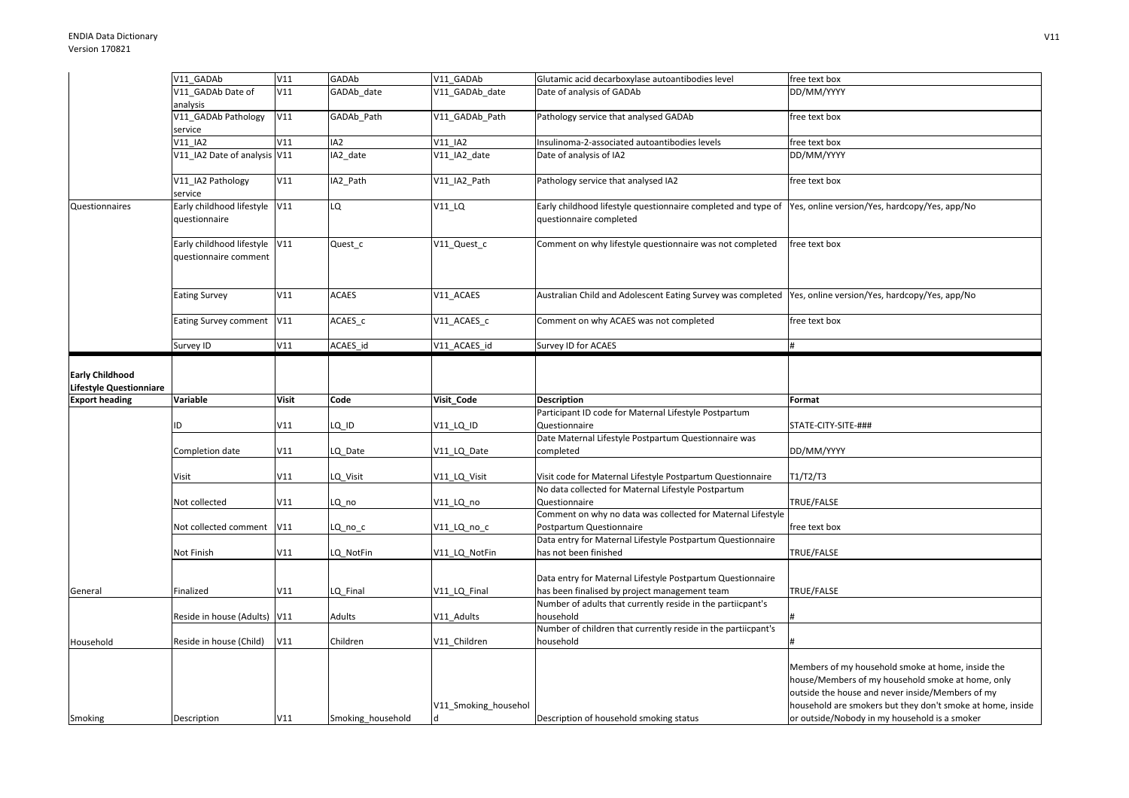|                         | V11 GADAb                      | V11          | GADAb             | V11 GADAb            | Glutamic acid decarboxylase autoantibodies level                                                             | free text box                                                                                               |
|-------------------------|--------------------------------|--------------|-------------------|----------------------|--------------------------------------------------------------------------------------------------------------|-------------------------------------------------------------------------------------------------------------|
|                         | V11 GADAb Date of              | V11          | GADAb date        | V11 GADAb date       | Date of analysis of GADAb                                                                                    | DD/MM/YYYY                                                                                                  |
|                         | analysis                       |              |                   |                      |                                                                                                              |                                                                                                             |
|                         | V11_GADAb Pathology<br>service | V11          | GADAb Path        | V11 GADAb Path       | Pathology service that analysed GADAb                                                                        | free text box                                                                                               |
|                         | V11 IA2                        | V11          | IA2               | V11 IA2              | Insulinoma-2-associated autoantibodies levels                                                                | free text box                                                                                               |
|                         | V11_IA2 Date of analysis V11   |              | IA2_date          | V11_IA2_date         | Date of analysis of IA2                                                                                      | DD/MM/YYYY                                                                                                  |
|                         |                                |              |                   |                      |                                                                                                              |                                                                                                             |
|                         | V11_IA2 Pathology<br>service   | V11          | IA2_Path          | V11_IA2_Path         | Pathology service that analysed IA2                                                                          | free text box                                                                                               |
| Questionnaires          | Early childhood lifestyle V11  |              | LQ                | $V11$ <sup>LQ</sup>  | Early childhood lifestyle questionnaire completed and type of                                                | Yes, online version/Yes, hardcopy/Yes, app/No                                                               |
|                         | questionnaire                  |              |                   |                      | questionnaire completed                                                                                      |                                                                                                             |
|                         |                                |              |                   |                      |                                                                                                              |                                                                                                             |
|                         | Early childhood lifestyle V11  |              | Quest_c           | V11_Quest_c          | Comment on why lifestyle questionnaire was not completed                                                     | free text box                                                                                               |
|                         | questionnaire comment          |              |                   |                      |                                                                                                              |                                                                                                             |
|                         |                                |              |                   |                      |                                                                                                              |                                                                                                             |
|                         | <b>Eating Survey</b>           | V11          | <b>ACAES</b>      | V11_ACAES            | Australian Child and Adolescent Eating Survey was completed                                                  | Yes, online version/Yes, hardcopy/Yes, app/No                                                               |
|                         |                                |              |                   |                      |                                                                                                              |                                                                                                             |
|                         | Eating Survey comment V11      |              | ACAES_c           | V11_ACAES_c          | Comment on why ACAES was not completed                                                                       | free text box                                                                                               |
|                         |                                |              |                   |                      |                                                                                                              |                                                                                                             |
|                         | Survey ID                      | V11          | ACAES id          | V11_ACAES_id         | Survey ID for ACAES                                                                                          | #                                                                                                           |
|                         |                                |              |                   |                      |                                                                                                              |                                                                                                             |
| <b>Early Childhood</b>  |                                |              |                   |                      |                                                                                                              |                                                                                                             |
| Lifestyle Questionniare |                                |              |                   |                      |                                                                                                              |                                                                                                             |
| <b>Export heading</b>   | Variable                       | <b>Visit</b> | Code              | Visit_Code           | <b>Description</b>                                                                                           | Format                                                                                                      |
|                         |                                |              |                   |                      |                                                                                                              |                                                                                                             |
|                         |                                |              |                   |                      | Participant ID code for Maternal Lifestyle Postpartum                                                        |                                                                                                             |
|                         | ID                             | V11          | LQ_ID             | V11_LQ_ID            | Questionnaire                                                                                                | STATE-CITY-SITE-###                                                                                         |
|                         |                                |              |                   |                      | Date Maternal Lifestyle Postpartum Questionnaire was                                                         | DD/MM/YYYY                                                                                                  |
|                         | Completion date                | V11          | LQ Date           | V11_LQ_Date          | completed                                                                                                    |                                                                                                             |
|                         | Visit                          | V11          | LQ_Visit          | V11_LQ_Visit         | Visit code for Maternal Lifestyle Postpartum Questionnaire                                                   | T1/T2/T3                                                                                                    |
|                         |                                |              |                   |                      | No data collected for Maternal Lifestyle Postpartum                                                          |                                                                                                             |
|                         | Not collected                  | V11          | LQ_no             | V11_LQ_no            | Questionnaire                                                                                                | TRUE/FALSE                                                                                                  |
|                         |                                |              |                   |                      | Comment on why no data was collected for Maternal Lifestyle                                                  |                                                                                                             |
|                         | Not collected comment          | V11          | LQ_no_c           | V11_LQ_no_c          | Postpartum Questionnaire                                                                                     | free text box                                                                                               |
|                         |                                |              |                   |                      | Data entry for Maternal Lifestyle Postpartum Questionnaire                                                   |                                                                                                             |
|                         | Not Finish                     | V11          | LQ NotFin         | V11 LQ NotFin        | has not been finished                                                                                        | TRUE/FALSE                                                                                                  |
|                         |                                |              |                   |                      |                                                                                                              |                                                                                                             |
|                         | Finalized                      |              |                   |                      | Data entry for Maternal Lifestyle Postpartum Questionnaire                                                   |                                                                                                             |
| General                 |                                | V11          | LQ Final          | V11 LQ Final         | has been finalised by project management team<br>Number of adults that currently reside in the partiicpant's | TRUE/FALSE                                                                                                  |
|                         | Reside in house (Adults) V11   |              | Adults            | V11 Adults           | household                                                                                                    |                                                                                                             |
|                         |                                |              |                   |                      | Number of children that currently reside in the partiicpant's                                                |                                                                                                             |
| Household               | Reside in house (Child)        | V11          | Children          | V11 Children         | household                                                                                                    |                                                                                                             |
|                         |                                |              |                   |                      |                                                                                                              |                                                                                                             |
|                         |                                |              |                   |                      |                                                                                                              | Members of my household smoke at home, inside the                                                           |
|                         |                                |              |                   |                      |                                                                                                              | house/Members of my household smoke at home, only                                                           |
|                         |                                |              |                   |                      |                                                                                                              | outside the house and never inside/Members of my                                                            |
| Smoking                 | Description                    | V11          | Smoking household | V11 Smoking househol | Description of household smoking status                                                                      | household are smokers but they don't smoke at home, inside<br>or outside/Nobody in my household is a smoker |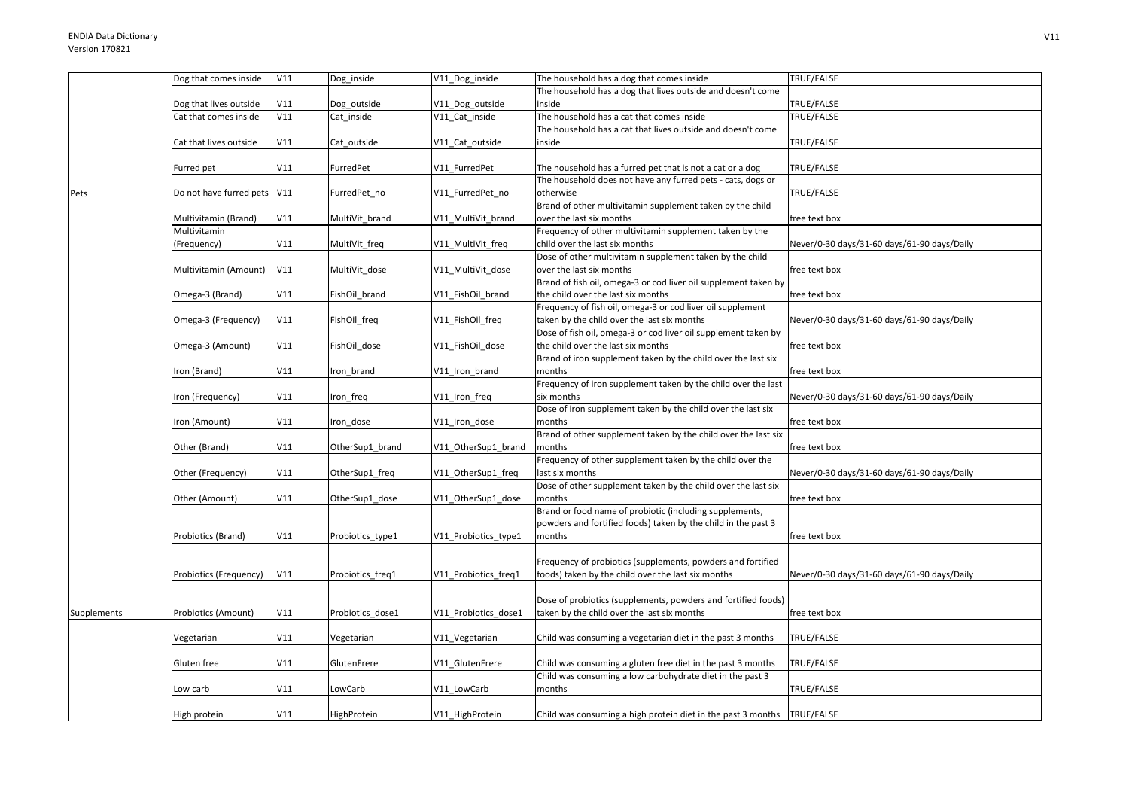|                    | Low carb                    | V11 | LowCarb          | V11_LowCarb          | months                                                                                                                   | TRUE/FALSE                                  |
|--------------------|-----------------------------|-----|------------------|----------------------|--------------------------------------------------------------------------------------------------------------------------|---------------------------------------------|
|                    |                             |     |                  |                      | Child was consuming a low carbohydrate diet in the past 3                                                                |                                             |
|                    | Gluten free                 | V11 | GlutenFrere      | V11 GlutenFrere      | Child was consuming a gluten free diet in the past 3 months                                                              | TRUE/FALSE                                  |
|                    | √egetarian                  | V11 | Vegetarian       | V11_Vegetarian       | Child was consuming a vegetarian diet in the past 3 months                                                               | TRUE/FALSE                                  |
|                    |                             |     |                  |                      |                                                                                                                          |                                             |
| <b>Supplements</b> | Probiotics (Amount)         | V11 | Probiotics dose1 | V11_Probiotics_dose1 | Dose of probiotics (supplements, powders and fortified foods)<br>taken by the child over the last six months             | free text box                               |
|                    | Probiotics (Frequency)      | V11 | Probiotics freq1 | V11 Probiotics freq1 | foods) taken by the child over the last six months                                                                       | Never/0-30 days/31-60 days/61-90 days/Daily |
|                    |                             |     |                  |                      | Frequency of probiotics (supplements, powders and fortified                                                              |                                             |
|                    | Probiotics (Brand)          | V11 | Probiotics_type1 | V11_Probiotics_type1 | months                                                                                                                   | free text box                               |
|                    |                             |     |                  |                      | Brand or food name of probiotic (including supplements,<br>powders and fortified foods) taken by the child in the past 3 |                                             |
|                    | Other (Amount)              | V11 | OtherSup1 dose   | V11_OtherSup1_dose   | months                                                                                                                   | free text box                               |
|                    |                             |     |                  |                      | Dose of other supplement taken by the child over the last six                                                            |                                             |
|                    | Other (Frequency)           | V11 | OtherSup1_freq   | V11_OtherSup1_freq   | Frequency of other supplement taken by the child over the<br>ast six months                                              | Never/0-30 days/31-60 days/61-90 days/Daily |
|                    | Other (Brand)               | V11 | OtherSup1_brand  | V11_OtherSup1_brand  | months                                                                                                                   | free text box                               |
|                    |                             |     |                  |                      | Brand of other supplement taken by the child over the last six                                                           |                                             |
|                    | ron (Amount)                | V11 | Iron dose        | V11 Iron dose        | months                                                                                                                   | free text box                               |
|                    | Iron (Frequency)            | V11 | Iron freq        | V11_Iron_freq        | six months<br>Dose of iron supplement taken by the child over the last six                                               | Never/0-30 days/31-60 days/61-90 days/Daily |
|                    | Iron (Brand)                | V11 | Iron brand       | V11_Iron_brand       | months<br>Frequency of iron supplement taken by the child over the last                                                  | free text box                               |
|                    | Omega-3 (Amount)            | V11 | FishOil dose     | V11 FishOil dose     | the child over the last six months<br>Brand of iron supplement taken by the child over the last six                      | free text box                               |
|                    |                             |     |                  |                      | Dose of fish oil, omega-3 or cod liver oil supplement taken by                                                           |                                             |
|                    | Omega-3 (Frequency)         | V11 | FishOil_freq     | V11_FishOil_freq     | taken by the child over the last six months                                                                              | Never/0-30 days/31-60 days/61-90 days/Daily |
|                    |                             |     |                  |                      | Frequency of fish oil, omega-3 or cod liver oil supplement                                                               |                                             |
|                    | Omega-3 (Brand)             | V11 | FishOil brand    | V11 FishOil brand    | the child over the last six months                                                                                       | free text box                               |
|                    | Multivitamin (Amount)       | V11 | MultiVit dose    | V11_MultiVit_dose    | over the last six months<br>Brand of fish oil, omega-3 or cod liver oil supplement taken by                              | free text box                               |
|                    |                             |     |                  |                      | Dose of other multivitamin supplement taken by the child                                                                 |                                             |
|                    | (Frequency)                 | V11 | MultiVit freq    | V11 MultiVit freq    | child over the last six months                                                                                           | Never/0-30 days/31-60 days/61-90 days/Daily |
|                    | Multivitamin                |     |                  |                      | Frequency of other multivitamin supplement taken by the                                                                  |                                             |
|                    | Multivitamin (Brand)        | V11 | MultiVit brand   | V11 MultiVit brand   | over the last six months                                                                                                 | free text box                               |
| Pets               | Do not have furred pets V11 |     | FurredPet_no     | V11_FurredPet_no     | otherwise<br>Brand of other multivitamin supplement taken by the child                                                   | TRUE/FALSE                                  |
|                    |                             |     |                  |                      | The household does not have any furred pets - cats, dogs or                                                              |                                             |
|                    | Furred pet                  | V11 | FurredPet        | V11 FurredPet        | The household has a furred pet that is not a cat or a dog                                                                | TRUE/FALSE                                  |
|                    | Cat that lives outside      | V11 | Cat_outside      | V11_Cat_outside      | inside                                                                                                                   | TRUE/FALSE                                  |
|                    |                             |     |                  |                      | The household has a cat that lives outside and doesn't come                                                              |                                             |
|                    | Cat that comes inside       | V11 | Cat inside       | V11 Cat inside       | The household has a cat that comes inside                                                                                | TRUE/FALSE                                  |
|                    | Dog that lives outside      | V11 | Dog_outside      | V11_Dog_outside      | The household has a dog that lives outside and doesn't come<br>inside                                                    | TRUE/FALSE                                  |
|                    | Dog that comes inside       | V11 | Dog inside       | V11 Dog inside       | The household has a dog that comes inside                                                                                | TRUE/FALSE                                  |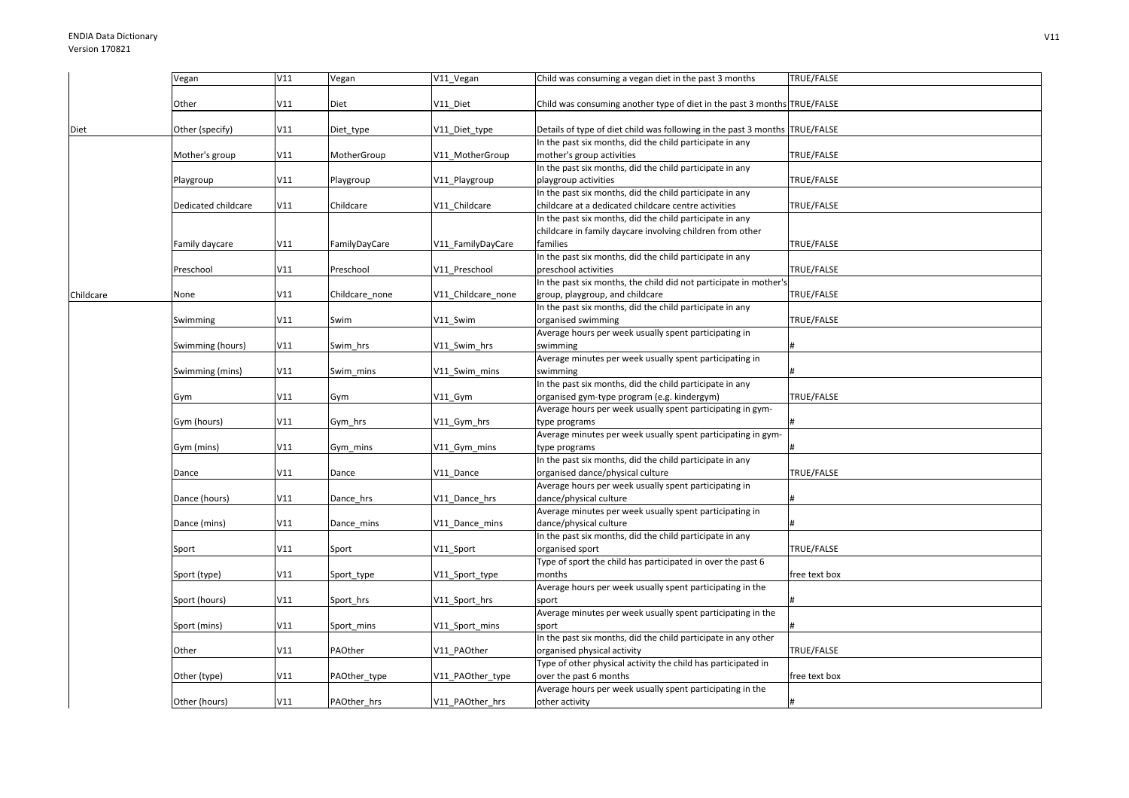|           | Vegan               | V11 | Vegan          | V11_Vegan          | Child was consuming a vegan diet in the past 3 months                       | TRUE/FALSE    |
|-----------|---------------------|-----|----------------|--------------------|-----------------------------------------------------------------------------|---------------|
|           |                     |     |                |                    |                                                                             |               |
|           | Other               | V11 | Diet           | V11 Diet           | Child was consuming another type of diet in the past 3 months TRUE/FALSE    |               |
|           |                     |     |                |                    |                                                                             |               |
| Diet      | Other (specify)     | V11 | Diet_type      | V11_Diet_type      | Details of type of diet child was following in the past 3 months TRUE/FALSE |               |
|           |                     |     |                |                    | In the past six months, did the child participate in any                    |               |
|           | Mother's group      | V11 | MotherGroup    | V11_MotherGroup    | mother's group activities                                                   | TRUE/FALSE    |
|           |                     |     |                |                    | In the past six months, did the child participate in any                    |               |
|           | Playgroup           | V11 | Playgroup      | V11_Playgroup      | playgroup activities                                                        | TRUE/FALSE    |
|           |                     |     |                |                    | In the past six months, did the child participate in any                    |               |
|           | Dedicated childcare | V11 | Childcare      | V11_Childcare      | childcare at a dedicated childcare centre activities                        | TRUE/FALSE    |
|           |                     |     |                |                    | In the past six months, did the child participate in any                    |               |
|           |                     |     |                |                    | childcare in family daycare involving children from other                   |               |
|           | Family daycare      | V11 | FamilyDayCare  | V11_FamilyDayCare  | families                                                                    | TRUE/FALSE    |
|           |                     |     |                |                    | In the past six months, did the child participate in any                    |               |
|           | Preschool           | V11 | Preschool      | V11 Preschool      | preschool activities                                                        | TRUE/FALSE    |
|           |                     |     |                |                    | In the past six months, the child did not participate in mother's           |               |
| Childcare | None                | V11 | Childcare none | V11 Childcare none | group, playgroup, and childcare                                             | TRUE/FALSE    |
|           |                     |     |                |                    | In the past six months, did the child participate in any                    |               |
|           | Swimming            | V11 | Swim           | V11 Swim           | organised swimming                                                          | TRUE/FALSE    |
|           |                     |     |                |                    | Average hours per week usually spent participating in                       |               |
|           |                     |     |                |                    |                                                                             |               |
|           | Swimming (hours)    | V11 | Swim hrs       | V11_Swim_hrs       | swimming                                                                    |               |
|           |                     |     |                |                    | Average minutes per week usually spent participating in                     |               |
|           | Swimming (mins)     | V11 | Swim mins      | V11 Swim mins      | swimming                                                                    |               |
|           |                     |     |                |                    | In the past six months, did the child participate in any                    |               |
|           | Gym                 | V11 | Gym            | V11 Gym            | organised gym-type program (e.g. kindergym)                                 | TRUE/FALSE    |
|           |                     |     |                |                    | Average hours per week usually spent participating in gym-                  |               |
|           | Gym (hours)         | V11 | Gym_hrs        | V11_Gym_hrs        | type programs                                                               |               |
|           |                     |     |                |                    | Average minutes per week usually spent participating in gym-                |               |
|           | Gym (mins)          | V11 | Gym_mins       | V11_Gym_mins       | type programs                                                               |               |
|           |                     |     |                |                    | In the past six months, did the child participate in any                    |               |
|           | Dance               | V11 | Dance          | V11 Dance          | organised dance/physical culture                                            | TRUE/FALSE    |
|           |                     |     |                |                    | Average hours per week usually spent participating in                       |               |
|           | Dance (hours)       | V11 | Dance hrs      | V11 Dance hrs      | dance/physical culture                                                      |               |
|           |                     |     |                |                    | Average minutes per week usually spent participating in                     |               |
|           | Dance (mins)        | V11 | Dance_mins     | V11_Dance_mins     | dance/physical culture                                                      |               |
|           |                     |     |                |                    | In the past six months, did the child participate in any                    |               |
|           | Sport               | V11 | Sport          | V11_Sport          | organised sport                                                             | TRUE/FALSE    |
|           |                     |     |                |                    | Type of sport the child has participated in over the past 6                 |               |
|           | Sport (type)        | V11 | Sport_type     | V11_Sport_type     | months                                                                      | free text box |
|           |                     |     |                |                    | Average hours per week usually spent participating in the                   |               |
|           | Sport (hours)       | V11 | Sport_hrs      | V11_Sport_hrs      | sport                                                                       |               |
|           |                     |     |                |                    | Average minutes per week usually spent participating in the                 |               |
|           | Sport (mins)        | V11 | Sport_mins     | V11_Sport_mins     | sport                                                                       |               |
|           |                     |     |                |                    | In the past six months, did the child participate in any other              |               |
|           | Other               | V11 | PAOther        | V11 PAOther        | organised physical activity                                                 | TRUE/FALSE    |
|           |                     |     |                |                    | Type of other physical activity the child has participated in               |               |
|           | Other (type)        | V11 | PAOther_type   | V11_PAOther_type   | over the past 6 months                                                      | free text box |
|           |                     |     |                |                    | Average hours per week usually spent participating in the                   |               |
|           | Other (hours)       | V11 | PAOther hrs    | V11 PAOther hrs    | other activity                                                              |               |
|           |                     |     |                |                    |                                                                             |               |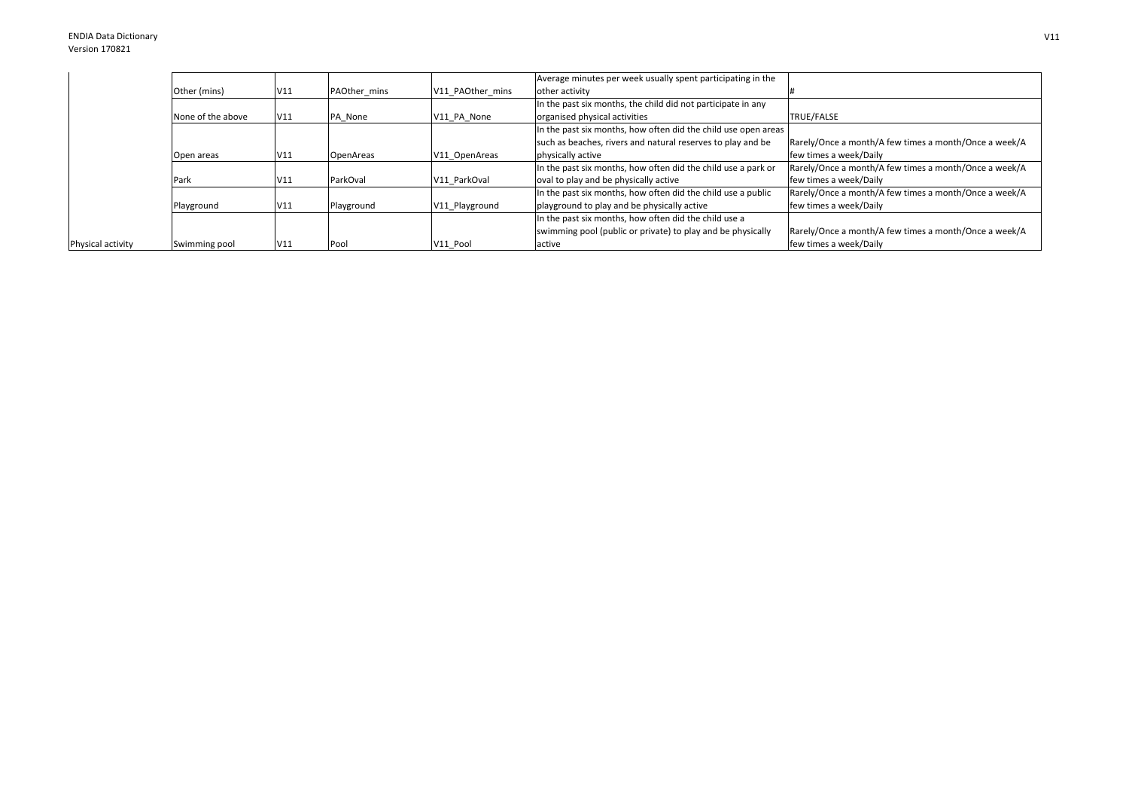|                   |                   |     |              |                  | Average minutes per week usually spent participating in the    |                                                       |
|-------------------|-------------------|-----|--------------|------------------|----------------------------------------------------------------|-------------------------------------------------------|
|                   | Other (mins)      | V11 | PAOther mins | V11 PAOther mins | other activity                                                 |                                                       |
|                   |                   |     |              |                  | In the past six months, the child did not participate in any   |                                                       |
|                   | None of the above | V11 | PA None      | V11 PA None      | organised physical activities                                  | <b>TRUE/FALSE</b>                                     |
|                   |                   |     |              |                  | In the past six months, how often did the child use open areas |                                                       |
|                   |                   |     |              |                  | such as beaches, rivers and natural reserves to play and be    | Rarely/Once a month/A few times a month/Once a week/A |
|                   | Open areas        | V11 | OpenAreas    | V11 OpenAreas    | physically active                                              | few times a week/Daily                                |
|                   |                   |     |              |                  | In the past six months, how often did the child use a park or  | Rarely/Once a month/A few times a month/Once a week/A |
|                   | Park              | V11 | ParkOval     | V11 ParkOval     | oval to play and be physically active                          | few times a week/Daily                                |
|                   |                   |     |              |                  | In the past six months, how often did the child use a public   | Rarely/Once a month/A few times a month/Once a week/A |
|                   | Playground        | V11 | Playground   | V11 Playground   | playground to play and be physically active                    | few times a week/Daily                                |
|                   |                   |     |              |                  | In the past six months, how often did the child use a          |                                                       |
|                   |                   |     |              |                  | swimming pool (public or private) to play and be physically    | Rarely/Once a month/A few times a month/Once a week/A |
| Physical activity | Swimming pool     | V11 | Pool         | V11 Pool         | active                                                         | few times a week/Daily                                |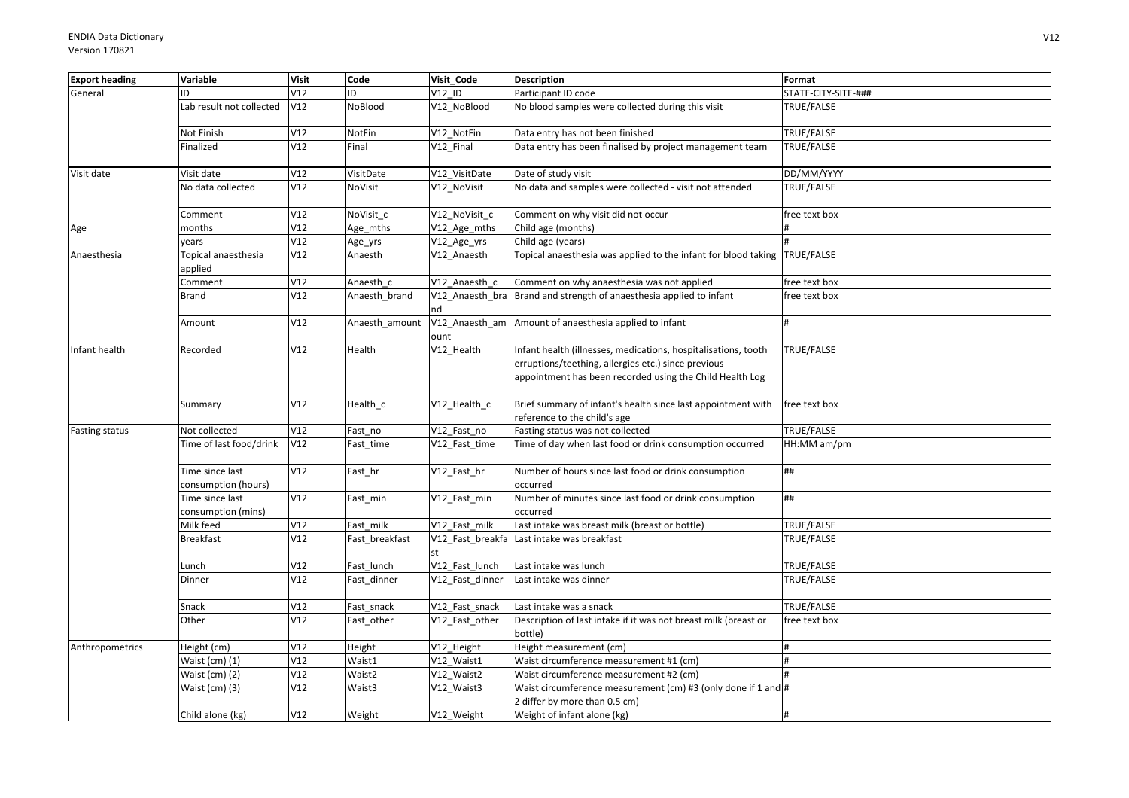| <b>Export heading</b> | Variable                               | <b>Visit</b> | Code           | Visit Code            | <b>Description</b>                                                                                                                                                                | Format              |
|-----------------------|----------------------------------------|--------------|----------------|-----------------------|-----------------------------------------------------------------------------------------------------------------------------------------------------------------------------------|---------------------|
| General               | ID                                     | V12          | ID             | V12 ID                | Participant ID code                                                                                                                                                               | STATE-CITY-SITE-### |
|                       | Lab result not collected               | V12          | NoBlood        | V12_NoBlood           | No blood samples were collected during this visit                                                                                                                                 | TRUE/FALSE          |
|                       | Not Finish                             | V12          | NotFin         | V12_NotFin            | Data entry has not been finished                                                                                                                                                  | TRUE/FALSE          |
|                       | Finalized                              | V12          | Final          | V12 Final             | Data entry has been finalised by project management team                                                                                                                          | TRUE/FALSE          |
| Visit date            | Visit date                             | V12          | VisitDate      | V12_VisitDate         | Date of study visit                                                                                                                                                               | DD/MM/YYYY          |
|                       | No data collected                      | V12          | NoVisit        | V12_NoVisit           | No data and samples were collected - visit not attended                                                                                                                           | TRUE/FALSE          |
|                       | Comment                                | V12          | NoVisit c      | V12 NoVisit c         | Comment on why visit did not occur                                                                                                                                                | free text box       |
| Age                   | months                                 | V12          | Age_mths       | V12_Age_mths          | Child age (months)                                                                                                                                                                |                     |
|                       | years                                  | V12          | Age_yrs        | V12_Age_yrs           | Child age (years)                                                                                                                                                                 |                     |
| Anaesthesia           | Topical anaesthesia<br>applied         | V12          | Anaesth        | V12_Anaesth           | Topical anaesthesia was applied to the infant for blood taking TRUE/FALSE                                                                                                         |                     |
|                       | Comment                                | V12          | Anaesth c      | V12 Anaesth c         | Comment on why anaesthesia was not applied                                                                                                                                        | free text box       |
|                       | Brand                                  | V12          | Anaesth_brand  | V12 Anaesth bra<br>nd | Brand and strength of anaesthesia applied to infant                                                                                                                               | free text box       |
|                       | Amount                                 | V12          | Anaesth amount | ount                  | V12_Anaesth_am Amount of anaesthesia applied to infant                                                                                                                            |                     |
| Infant health         | Recorded                               | V12          | Health         | V12_Health            | Infant health (illnesses, medications, hospitalisations, tooth<br>erruptions/teething, allergies etc.) since previous<br>appointment has been recorded using the Child Health Log | TRUE/FALSE          |
|                       | Summary                                | V12          | Health c       | V12 Health c          | Brief summary of infant's health since last appointment with<br>reference to the child's age                                                                                      | free text box       |
| <b>Fasting status</b> | Not collected                          | V12          | Fast no        | V12 Fast no           | Fasting status was not collected                                                                                                                                                  | TRUE/FALSE          |
|                       | Time of last food/drink                | V12          | Fast time      | V12 Fast time         | Time of day when last food or drink consumption occurred                                                                                                                          | HH:MM am/pm         |
|                       | Time since last<br>consumption (hours) | V12          | Fast hr        | V12 Fast hr           | Number of hours since last food or drink consumption<br>occurred                                                                                                                  | ##                  |
|                       | Time since last                        | V12          | Fast_min       | V12_Fast_min          | Number of minutes since last food or drink consumption                                                                                                                            | ##                  |
|                       | consumption (mins)                     |              |                |                       | occurred                                                                                                                                                                          |                     |
|                       | Milk feed                              | V12          | Fast milk      | V12 Fast milk         | Last intake was breast milk (breast or bottle)                                                                                                                                    | TRUE/FALSE          |
|                       | <b>Breakfast</b>                       | V12          | Fast breakfast | st                    | V12 Fast breakfa Last intake was breakfast                                                                                                                                        | TRUE/FALSE          |
|                       | Lunch                                  | V12          | Fast_lunch     | V12_Fast_lunch        | Last intake was lunch                                                                                                                                                             | TRUE/FALSE          |
|                       | Dinner                                 | V12          | Fast_dinner    | V12_Fast_dinner       | Last intake was dinner                                                                                                                                                            | TRUE/FALSE          |
|                       | Snack                                  | V12          | Fast_snack     | V12_Fast_snack        | Last intake was a snack                                                                                                                                                           | TRUE/FALSE          |
|                       | Other                                  | V12          | Fast_other     | V12_Fast_other        | Description of last intake if it was not breast milk (breast or<br>bottle)                                                                                                        | free text box       |
| Anthropometrics       | Height (cm)                            | V12          | Height         | V12_Height            | Height measurement (cm)                                                                                                                                                           |                     |
|                       | Waist (cm) (1)                         | V12          | Waist1         | V12 Waist1            | Waist circumference measurement #1 (cm)                                                                                                                                           | H                   |
|                       | Waist (cm) (2)                         | V12          | Waist2         | V12_Waist2            | Waist circumference measurement #2 (cm)                                                                                                                                           |                     |
|                       | Waist (cm) (3)                         | V12          | Waist3         | V12_Waist3            | Waist circumference measurement (cm) #3 (only done if 1 and #<br>2 differ by more than 0.5 cm)                                                                                    |                     |
|                       | Child alone (kg)                       | V12          | Weight         | V12_Weight            | Weight of infant alone (kg)                                                                                                                                                       | H                   |
|                       |                                        |              |                |                       |                                                                                                                                                                                   |                     |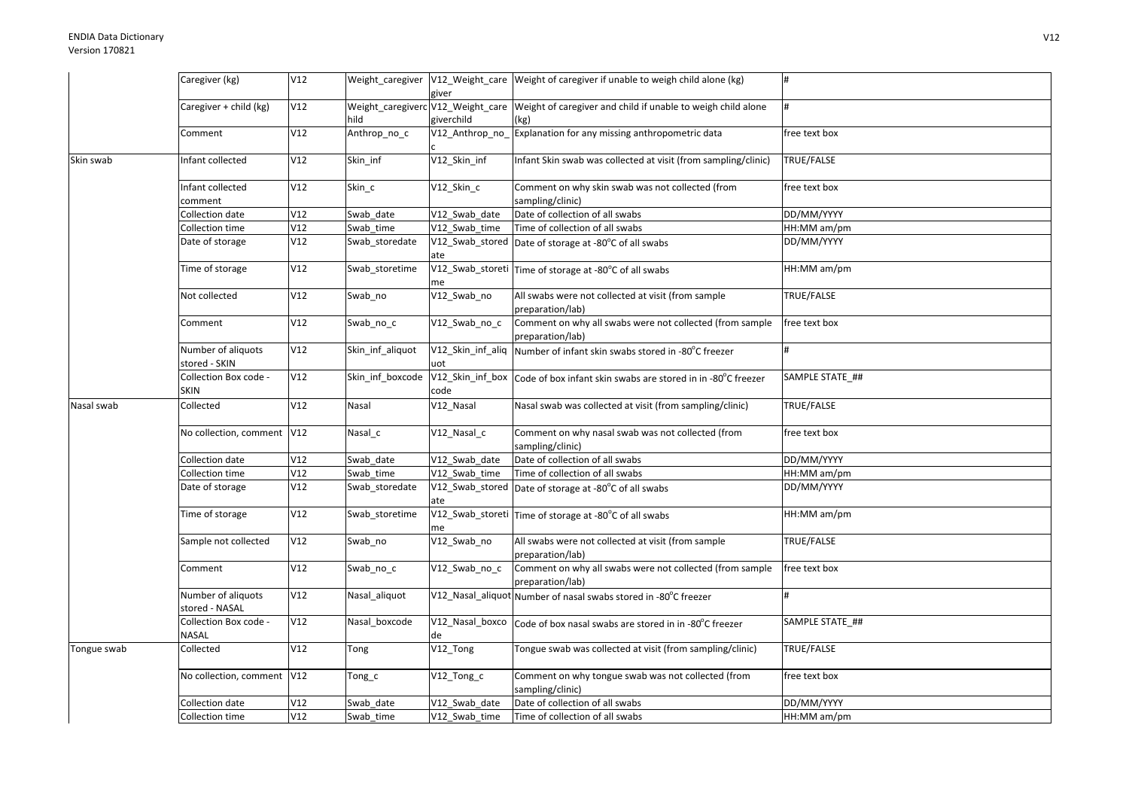|             | Caregiver (kg)                       | V12 |                  | giver           | Weight_caregiver V12_Weight_care Weight of caregiver if unable to weigh child alone (kg)               |                 |
|-------------|--------------------------------------|-----|------------------|-----------------|--------------------------------------------------------------------------------------------------------|-----------------|
|             | Caregiver + child (kg)               | V12 | hild             | giverchild      | Weight_caregiverc V12_Weight_care Weight of caregiver and child if unable to weigh child alone<br>(kg) |                 |
|             | Comment                              | V12 | Anthrop_no_c     | V12_Anthrop_no_ | Explanation for any missing anthropometric data                                                        | free text box   |
| Skin swab   | Infant collected                     | V12 | Skin inf         | V12 Skin inf    | Infant Skin swab was collected at visit (from sampling/clinic)                                         | TRUE/FALSE      |
|             | Infant collected<br>comment          | V12 | Skin c           | V12_Skin_c      | Comment on why skin swab was not collected (from<br>sampling/clinic)                                   | free text box   |
|             | Collection date                      | V12 | Swab date        | V12 Swab date   | Date of collection of all swabs                                                                        | DD/MM/YYYY      |
|             | Collection time                      | V12 | Swab time        | V12 Swab time   | Time of collection of all swabs                                                                        | HH:MM am/pm     |
|             | Date of storage                      | V12 | Swab_storedate   | ate             | $\sqrt{12}$ _Swab_stored $\sqrt{2}$ Date of storage at -80 $^{\circ}$ C of all swabs                   | DD/MM/YYYY      |
|             | Time of storage                      | V12 | Swab storetime   | me              | V12_Swab_storeti Time of storage at -80°C of all swabs                                                 | HH:MM am/pm     |
|             | Not collected                        | V12 | Swab no          | V12 Swab no     | All swabs were not collected at visit (from sample<br>preparation/lab)                                 | TRUE/FALSE      |
|             | Comment                              | V12 | Swab_no_c        | V12_Swab_no_c   | Comment on why all swabs were not collected (from sample<br>preparation/lab)                           | free text box   |
|             | Number of aliquots<br>stored - SKIN  | V12 | Skin_inf_aliquot | uot             | V12_Skin_inf_aliq   Number of infant skin swabs stored in -80°C freezer                                |                 |
|             | Collection Box code -<br><b>SKIN</b> | V12 | Skin_inf_boxcode | code            | V12_Skin_inf_box   Code of box infant skin swabs are stored in in -80°C freezer                        | SAMPLE STATE ## |
| Nasal swab  | Collected                            | V12 | Nasal            | V12_Nasal       | Nasal swab was collected at visit (from sampling/clinic)                                               | TRUE/FALSE      |
|             | No collection, comment V12           |     | Nasal_c          | V12_Nasal_c     | Comment on why nasal swab was not collected (from<br>sampling/clinic)                                  | free text box   |
|             | Collection date                      | V12 | Swab_date        | V12 Swab date   | Date of collection of all swabs                                                                        | DD/MM/YYYY      |
|             | Collection time                      | V12 | Swab time        | V12 Swab time   | Time of collection of all swabs                                                                        | HH:MM am/pm     |
|             | Date of storage                      | V12 | Swab storedate   | ate             | $\sqrt{12}$ _Swab_stored   Date of storage at -80 $^{\circ}$ C of all swabs                            | DD/MM/YYYY      |
|             | Time of storage                      | V12 | Swab storetime   | me              | V12_Swab_storeti Time of storage at -80°C of all swabs                                                 | HH:MM am/pm     |
|             | Sample not collected                 | V12 | Swab_no          | V12_Swab_no     | All swabs were not collected at visit (from sample<br>preparation/lab)                                 | TRUE/FALSE      |
|             | Comment                              | V12 | Swab_no_c        | V12_Swab_no_c   | Comment on why all swabs were not collected (from sample<br>preparation/lab)                           | free text box   |
|             | Number of aliquots<br>stored - NASAL | V12 | Nasal_aliquot    |                 | V12_Nasal_aliquot Number of nasal swabs stored in -80°C freezer                                        |                 |
|             | Collection Box code -<br>NASAL       | V12 | Nasal boxcode    | de              | V12_Nasal_boxco Code of box nasal swabs are stored in in -80°C freezer                                 | SAMPLE STATE ## |
| Tongue swab | Collected                            | V12 | Tong             | V12_Tong        | Tongue swab was collected at visit (from sampling/clinic)                                              | TRUE/FALSE      |
|             | No collection, comment   V12         |     | Tong_c           | $V12_Tong_c$    | Comment on why tongue swab was not collected (from<br>sampling/clinic)                                 | free text box   |
|             | Collection date                      | V12 | Swab date        | V12 Swab date   | Date of collection of all swabs                                                                        | DD/MM/YYYY      |
|             | Collection time                      | V12 | Swab_time        | V12_Swab_time   | Time of collection of all swabs                                                                        | HH:MM am/pm     |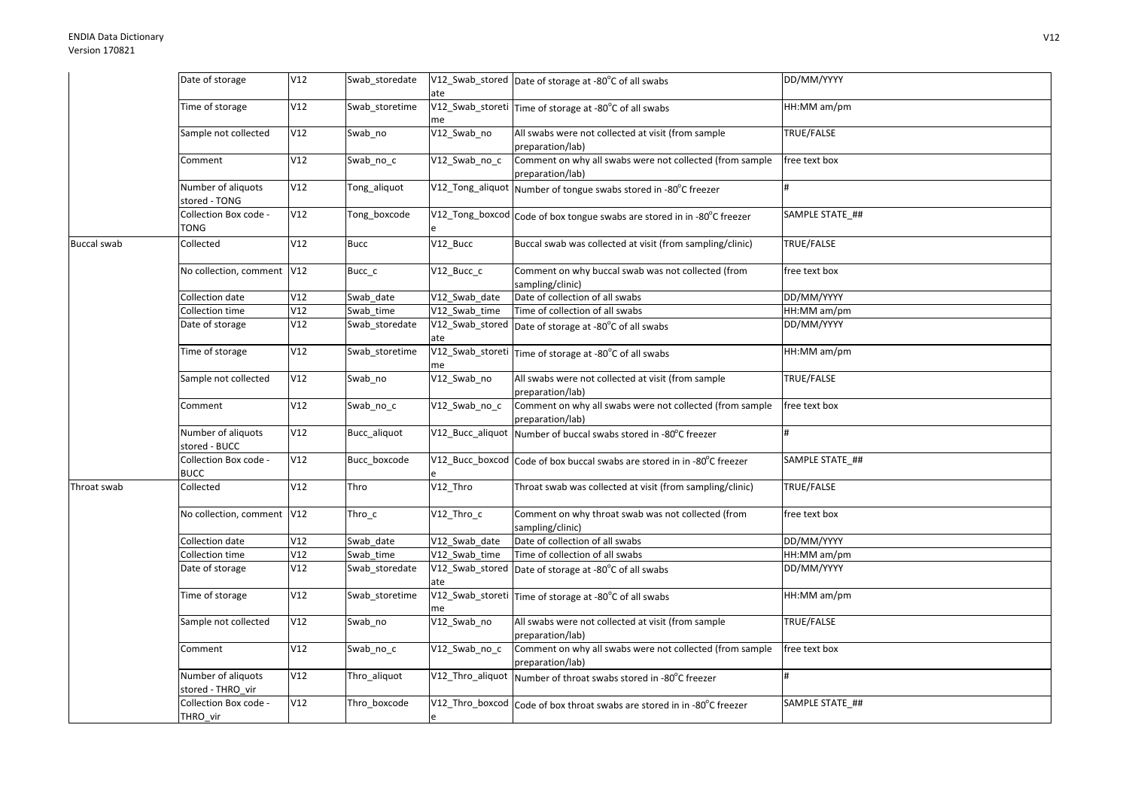| Time of storage<br>V12<br>Swab_storetime<br>V12_Swab_storeti Time of storage at -80°C of all swabs<br>HH:MM am/pm<br>me<br>V12<br>V12_Swab_no<br>All swabs were not collected at visit (from sample<br>TRUE/FALSE<br>Sample not collected<br>Swab_no<br>preparation/lab)<br>Comment on why all swabs were not collected (from sample<br>Comment<br>V12<br>V12 Swab no c<br>free text box<br>Swab_no_c<br>preparation/lab)<br>Number of aliquots<br>V12<br>V12_Tong_aliquot Number of tongue swabs stored in -80°C freezer<br>Tong_aliquot<br>stored - TONG<br>Collection Box code -<br>V12<br>SAMPLE STATE ##<br>Tong_boxcode<br>V12_Tong_boxcod Code of box tongue swabs are stored in in -80°C freezer<br>TONG<br>V12<br>$V12$ _Bucc<br>Buccal swab was collected at visit (from sampling/clinic)<br>TRUE/FALSE<br>Collected<br><b>Bucc</b><br>No collection, comment   V12<br>Comment on why buccal swab was not collected (from<br>Bucc_c<br>V12 Bucc c<br>free text box<br>sampling/clinic)<br>DD/MM/YYYY<br>V12<br>V12_Swab_date<br>Date of collection of all swabs<br>Collection date<br>Swab date<br>Collection time<br>V12<br>Time of collection of all swabs<br>HH:MM am/pm<br>Swab time<br>V12 Swab time<br>V12<br>DD/MM/YYYY<br>Date of storage<br>V12_Swab_stored Date of storage at -80°C of all swabs<br>Swab_storedate<br>ate<br>Time of storage<br>V12<br>Swab storetime<br>V12_Swab_storeti Time of storage at -80°C of all swabs<br>HH:MM am/pm<br>me<br>V12_Swab_no<br>Sample not collected<br>V12<br>All swabs were not collected at visit (from sample<br>TRUE/FALSE<br>Swab_no<br>preparation/lab)<br>Comment on why all swabs were not collected (from sample<br>V12<br>V12 Swab no c<br>free text box<br>Comment<br>Swab_no_c<br>preparation/lab)<br>Number of aliquots<br>V12<br>Bucc_aliquot<br>V12_Bucc_aliquot Number of buccal swabs stored in -80°C freezer<br>stored - BUCC<br>V12<br>SAMPLE STATE ##<br>Collection Box code -<br>Bucc_boxcode<br>V12_Bucc_boxcod Code of box buccal swabs are stored in in -80°C freezer<br><b>BUCC</b><br>V12<br>V12_Thro<br><b>TRUE/FALSE</b><br>Collected<br>Thro<br>Throat swab was collected at visit (from sampling/clinic)<br>Throat swab<br>No collection, comment V12<br>Thro_c<br>V12 Thro c<br>Comment on why throat swab was not collected (from<br>free text box<br>sampling/clinic)<br>V12<br>Date of collection of all swabs<br>DD/MM/YYYY<br>Collection date<br>Swab date<br>V12 Swab date<br>V12<br>Collection time<br>V12 Swab time<br>Time of collection of all swabs<br>HH:MM am/pm<br>Swab_time<br>Date of storage<br>V12<br>V12_Swab_stored Date of storage at -80°C of all swabs<br>DD/MM/YYYY<br>Swab_storedate<br>ate<br>V12<br>HH:MM am/pm<br>Time of storage<br>V12_Swab_storeti Time of storage at -80°C of all swabs<br>Swab_storetime<br>me<br>V12<br>V12_Swab_no<br>All swabs were not collected at visit (from sample<br>TRUE/FALSE<br>Sample not collected<br>Swab_no<br>preparation/lab)<br>Comment on why all swabs were not collected (from sample<br>V12<br>V12 Swab no c<br>free text box<br>Comment<br>Swab_no_c<br>preparation/lab)<br>Number of aliquots<br>V12<br>V12_Thro_aliquot Number of throat swabs stored in -80°C freezer<br>Thro_aliquot<br>stored - THRO_vir<br>Collection Box code -<br>V12<br>SAMPLE STATE ##<br>Thro_boxcode<br>V12_Thro_boxcod Code of box throat swabs are stored in in -80°C freezer<br>THRO_vir |                    | Date of storage | V12 | Swab_storedate |     | V12_Swab_stored Date of storage at -80°C of all swabs | DD/MM/YYYY |
|---------------------------------------------------------------------------------------------------------------------------------------------------------------------------------------------------------------------------------------------------------------------------------------------------------------------------------------------------------------------------------------------------------------------------------------------------------------------------------------------------------------------------------------------------------------------------------------------------------------------------------------------------------------------------------------------------------------------------------------------------------------------------------------------------------------------------------------------------------------------------------------------------------------------------------------------------------------------------------------------------------------------------------------------------------------------------------------------------------------------------------------------------------------------------------------------------------------------------------------------------------------------------------------------------------------------------------------------------------------------------------------------------------------------------------------------------------------------------------------------------------------------------------------------------------------------------------------------------------------------------------------------------------------------------------------------------------------------------------------------------------------------------------------------------------------------------------------------------------------------------------------------------------------------------------------------------------------------------------------------------------------------------------------------------------------------------------------------------------------------------------------------------------------------------------------------------------------------------------------------------------------------------------------------------------------------------------------------------------------------------------------------------------------------------------------------------------------------------------------------------------------------------------------------------------------------------------------------------------------------------------------------------------------------------------------------------------------------------------------------------------------------------------------------------------------------------------------------------------------------------------------------------------------------------------------------------------------------------------------------------------------------------------------------------------------------------------------------------------------------------------------------------------------------------------------------------------------------------------------------------------------------------------------------------------------------------------------------------------------------------------------------------------------------------------------------|--------------------|-----------------|-----|----------------|-----|-------------------------------------------------------|------------|
|                                                                                                                                                                                                                                                                                                                                                                                                                                                                                                                                                                                                                                                                                                                                                                                                                                                                                                                                                                                                                                                                                                                                                                                                                                                                                                                                                                                                                                                                                                                                                                                                                                                                                                                                                                                                                                                                                                                                                                                                                                                                                                                                                                                                                                                                                                                                                                                                                                                                                                                                                                                                                                                                                                                                                                                                                                                                                                                                                                                                                                                                                                                                                                                                                                                                                                                                                                                                                                             |                    |                 |     |                | ate |                                                       |            |
|                                                                                                                                                                                                                                                                                                                                                                                                                                                                                                                                                                                                                                                                                                                                                                                                                                                                                                                                                                                                                                                                                                                                                                                                                                                                                                                                                                                                                                                                                                                                                                                                                                                                                                                                                                                                                                                                                                                                                                                                                                                                                                                                                                                                                                                                                                                                                                                                                                                                                                                                                                                                                                                                                                                                                                                                                                                                                                                                                                                                                                                                                                                                                                                                                                                                                                                                                                                                                                             |                    |                 |     |                |     |                                                       |            |
|                                                                                                                                                                                                                                                                                                                                                                                                                                                                                                                                                                                                                                                                                                                                                                                                                                                                                                                                                                                                                                                                                                                                                                                                                                                                                                                                                                                                                                                                                                                                                                                                                                                                                                                                                                                                                                                                                                                                                                                                                                                                                                                                                                                                                                                                                                                                                                                                                                                                                                                                                                                                                                                                                                                                                                                                                                                                                                                                                                                                                                                                                                                                                                                                                                                                                                                                                                                                                                             |                    |                 |     |                |     |                                                       |            |
|                                                                                                                                                                                                                                                                                                                                                                                                                                                                                                                                                                                                                                                                                                                                                                                                                                                                                                                                                                                                                                                                                                                                                                                                                                                                                                                                                                                                                                                                                                                                                                                                                                                                                                                                                                                                                                                                                                                                                                                                                                                                                                                                                                                                                                                                                                                                                                                                                                                                                                                                                                                                                                                                                                                                                                                                                                                                                                                                                                                                                                                                                                                                                                                                                                                                                                                                                                                                                                             |                    |                 |     |                |     |                                                       |            |
|                                                                                                                                                                                                                                                                                                                                                                                                                                                                                                                                                                                                                                                                                                                                                                                                                                                                                                                                                                                                                                                                                                                                                                                                                                                                                                                                                                                                                                                                                                                                                                                                                                                                                                                                                                                                                                                                                                                                                                                                                                                                                                                                                                                                                                                                                                                                                                                                                                                                                                                                                                                                                                                                                                                                                                                                                                                                                                                                                                                                                                                                                                                                                                                                                                                                                                                                                                                                                                             |                    |                 |     |                |     |                                                       |            |
|                                                                                                                                                                                                                                                                                                                                                                                                                                                                                                                                                                                                                                                                                                                                                                                                                                                                                                                                                                                                                                                                                                                                                                                                                                                                                                                                                                                                                                                                                                                                                                                                                                                                                                                                                                                                                                                                                                                                                                                                                                                                                                                                                                                                                                                                                                                                                                                                                                                                                                                                                                                                                                                                                                                                                                                                                                                                                                                                                                                                                                                                                                                                                                                                                                                                                                                                                                                                                                             |                    |                 |     |                |     |                                                       |            |
|                                                                                                                                                                                                                                                                                                                                                                                                                                                                                                                                                                                                                                                                                                                                                                                                                                                                                                                                                                                                                                                                                                                                                                                                                                                                                                                                                                                                                                                                                                                                                                                                                                                                                                                                                                                                                                                                                                                                                                                                                                                                                                                                                                                                                                                                                                                                                                                                                                                                                                                                                                                                                                                                                                                                                                                                                                                                                                                                                                                                                                                                                                                                                                                                                                                                                                                                                                                                                                             |                    |                 |     |                |     |                                                       |            |
|                                                                                                                                                                                                                                                                                                                                                                                                                                                                                                                                                                                                                                                                                                                                                                                                                                                                                                                                                                                                                                                                                                                                                                                                                                                                                                                                                                                                                                                                                                                                                                                                                                                                                                                                                                                                                                                                                                                                                                                                                                                                                                                                                                                                                                                                                                                                                                                                                                                                                                                                                                                                                                                                                                                                                                                                                                                                                                                                                                                                                                                                                                                                                                                                                                                                                                                                                                                                                                             |                    |                 |     |                |     |                                                       |            |
|                                                                                                                                                                                                                                                                                                                                                                                                                                                                                                                                                                                                                                                                                                                                                                                                                                                                                                                                                                                                                                                                                                                                                                                                                                                                                                                                                                                                                                                                                                                                                                                                                                                                                                                                                                                                                                                                                                                                                                                                                                                                                                                                                                                                                                                                                                                                                                                                                                                                                                                                                                                                                                                                                                                                                                                                                                                                                                                                                                                                                                                                                                                                                                                                                                                                                                                                                                                                                                             | <b>Buccal swab</b> |                 |     |                |     |                                                       |            |
|                                                                                                                                                                                                                                                                                                                                                                                                                                                                                                                                                                                                                                                                                                                                                                                                                                                                                                                                                                                                                                                                                                                                                                                                                                                                                                                                                                                                                                                                                                                                                                                                                                                                                                                                                                                                                                                                                                                                                                                                                                                                                                                                                                                                                                                                                                                                                                                                                                                                                                                                                                                                                                                                                                                                                                                                                                                                                                                                                                                                                                                                                                                                                                                                                                                                                                                                                                                                                                             |                    |                 |     |                |     |                                                       |            |
|                                                                                                                                                                                                                                                                                                                                                                                                                                                                                                                                                                                                                                                                                                                                                                                                                                                                                                                                                                                                                                                                                                                                                                                                                                                                                                                                                                                                                                                                                                                                                                                                                                                                                                                                                                                                                                                                                                                                                                                                                                                                                                                                                                                                                                                                                                                                                                                                                                                                                                                                                                                                                                                                                                                                                                                                                                                                                                                                                                                                                                                                                                                                                                                                                                                                                                                                                                                                                                             |                    |                 |     |                |     |                                                       |            |
|                                                                                                                                                                                                                                                                                                                                                                                                                                                                                                                                                                                                                                                                                                                                                                                                                                                                                                                                                                                                                                                                                                                                                                                                                                                                                                                                                                                                                                                                                                                                                                                                                                                                                                                                                                                                                                                                                                                                                                                                                                                                                                                                                                                                                                                                                                                                                                                                                                                                                                                                                                                                                                                                                                                                                                                                                                                                                                                                                                                                                                                                                                                                                                                                                                                                                                                                                                                                                                             |                    |                 |     |                |     |                                                       |            |
|                                                                                                                                                                                                                                                                                                                                                                                                                                                                                                                                                                                                                                                                                                                                                                                                                                                                                                                                                                                                                                                                                                                                                                                                                                                                                                                                                                                                                                                                                                                                                                                                                                                                                                                                                                                                                                                                                                                                                                                                                                                                                                                                                                                                                                                                                                                                                                                                                                                                                                                                                                                                                                                                                                                                                                                                                                                                                                                                                                                                                                                                                                                                                                                                                                                                                                                                                                                                                                             |                    |                 |     |                |     |                                                       |            |
|                                                                                                                                                                                                                                                                                                                                                                                                                                                                                                                                                                                                                                                                                                                                                                                                                                                                                                                                                                                                                                                                                                                                                                                                                                                                                                                                                                                                                                                                                                                                                                                                                                                                                                                                                                                                                                                                                                                                                                                                                                                                                                                                                                                                                                                                                                                                                                                                                                                                                                                                                                                                                                                                                                                                                                                                                                                                                                                                                                                                                                                                                                                                                                                                                                                                                                                                                                                                                                             |                    |                 |     |                |     |                                                       |            |
|                                                                                                                                                                                                                                                                                                                                                                                                                                                                                                                                                                                                                                                                                                                                                                                                                                                                                                                                                                                                                                                                                                                                                                                                                                                                                                                                                                                                                                                                                                                                                                                                                                                                                                                                                                                                                                                                                                                                                                                                                                                                                                                                                                                                                                                                                                                                                                                                                                                                                                                                                                                                                                                                                                                                                                                                                                                                                                                                                                                                                                                                                                                                                                                                                                                                                                                                                                                                                                             |                    |                 |     |                |     |                                                       |            |
|                                                                                                                                                                                                                                                                                                                                                                                                                                                                                                                                                                                                                                                                                                                                                                                                                                                                                                                                                                                                                                                                                                                                                                                                                                                                                                                                                                                                                                                                                                                                                                                                                                                                                                                                                                                                                                                                                                                                                                                                                                                                                                                                                                                                                                                                                                                                                                                                                                                                                                                                                                                                                                                                                                                                                                                                                                                                                                                                                                                                                                                                                                                                                                                                                                                                                                                                                                                                                                             |                    |                 |     |                |     |                                                       |            |
|                                                                                                                                                                                                                                                                                                                                                                                                                                                                                                                                                                                                                                                                                                                                                                                                                                                                                                                                                                                                                                                                                                                                                                                                                                                                                                                                                                                                                                                                                                                                                                                                                                                                                                                                                                                                                                                                                                                                                                                                                                                                                                                                                                                                                                                                                                                                                                                                                                                                                                                                                                                                                                                                                                                                                                                                                                                                                                                                                                                                                                                                                                                                                                                                                                                                                                                                                                                                                                             |                    |                 |     |                |     |                                                       |            |
|                                                                                                                                                                                                                                                                                                                                                                                                                                                                                                                                                                                                                                                                                                                                                                                                                                                                                                                                                                                                                                                                                                                                                                                                                                                                                                                                                                                                                                                                                                                                                                                                                                                                                                                                                                                                                                                                                                                                                                                                                                                                                                                                                                                                                                                                                                                                                                                                                                                                                                                                                                                                                                                                                                                                                                                                                                                                                                                                                                                                                                                                                                                                                                                                                                                                                                                                                                                                                                             |                    |                 |     |                |     |                                                       |            |
|                                                                                                                                                                                                                                                                                                                                                                                                                                                                                                                                                                                                                                                                                                                                                                                                                                                                                                                                                                                                                                                                                                                                                                                                                                                                                                                                                                                                                                                                                                                                                                                                                                                                                                                                                                                                                                                                                                                                                                                                                                                                                                                                                                                                                                                                                                                                                                                                                                                                                                                                                                                                                                                                                                                                                                                                                                                                                                                                                                                                                                                                                                                                                                                                                                                                                                                                                                                                                                             |                    |                 |     |                |     |                                                       |            |
|                                                                                                                                                                                                                                                                                                                                                                                                                                                                                                                                                                                                                                                                                                                                                                                                                                                                                                                                                                                                                                                                                                                                                                                                                                                                                                                                                                                                                                                                                                                                                                                                                                                                                                                                                                                                                                                                                                                                                                                                                                                                                                                                                                                                                                                                                                                                                                                                                                                                                                                                                                                                                                                                                                                                                                                                                                                                                                                                                                                                                                                                                                                                                                                                                                                                                                                                                                                                                                             |                    |                 |     |                |     |                                                       |            |
|                                                                                                                                                                                                                                                                                                                                                                                                                                                                                                                                                                                                                                                                                                                                                                                                                                                                                                                                                                                                                                                                                                                                                                                                                                                                                                                                                                                                                                                                                                                                                                                                                                                                                                                                                                                                                                                                                                                                                                                                                                                                                                                                                                                                                                                                                                                                                                                                                                                                                                                                                                                                                                                                                                                                                                                                                                                                                                                                                                                                                                                                                                                                                                                                                                                                                                                                                                                                                                             |                    |                 |     |                |     |                                                       |            |
|                                                                                                                                                                                                                                                                                                                                                                                                                                                                                                                                                                                                                                                                                                                                                                                                                                                                                                                                                                                                                                                                                                                                                                                                                                                                                                                                                                                                                                                                                                                                                                                                                                                                                                                                                                                                                                                                                                                                                                                                                                                                                                                                                                                                                                                                                                                                                                                                                                                                                                                                                                                                                                                                                                                                                                                                                                                                                                                                                                                                                                                                                                                                                                                                                                                                                                                                                                                                                                             |                    |                 |     |                |     |                                                       |            |
|                                                                                                                                                                                                                                                                                                                                                                                                                                                                                                                                                                                                                                                                                                                                                                                                                                                                                                                                                                                                                                                                                                                                                                                                                                                                                                                                                                                                                                                                                                                                                                                                                                                                                                                                                                                                                                                                                                                                                                                                                                                                                                                                                                                                                                                                                                                                                                                                                                                                                                                                                                                                                                                                                                                                                                                                                                                                                                                                                                                                                                                                                                                                                                                                                                                                                                                                                                                                                                             |                    |                 |     |                |     |                                                       |            |
|                                                                                                                                                                                                                                                                                                                                                                                                                                                                                                                                                                                                                                                                                                                                                                                                                                                                                                                                                                                                                                                                                                                                                                                                                                                                                                                                                                                                                                                                                                                                                                                                                                                                                                                                                                                                                                                                                                                                                                                                                                                                                                                                                                                                                                                                                                                                                                                                                                                                                                                                                                                                                                                                                                                                                                                                                                                                                                                                                                                                                                                                                                                                                                                                                                                                                                                                                                                                                                             |                    |                 |     |                |     |                                                       |            |
|                                                                                                                                                                                                                                                                                                                                                                                                                                                                                                                                                                                                                                                                                                                                                                                                                                                                                                                                                                                                                                                                                                                                                                                                                                                                                                                                                                                                                                                                                                                                                                                                                                                                                                                                                                                                                                                                                                                                                                                                                                                                                                                                                                                                                                                                                                                                                                                                                                                                                                                                                                                                                                                                                                                                                                                                                                                                                                                                                                                                                                                                                                                                                                                                                                                                                                                                                                                                                                             |                    |                 |     |                |     |                                                       |            |
|                                                                                                                                                                                                                                                                                                                                                                                                                                                                                                                                                                                                                                                                                                                                                                                                                                                                                                                                                                                                                                                                                                                                                                                                                                                                                                                                                                                                                                                                                                                                                                                                                                                                                                                                                                                                                                                                                                                                                                                                                                                                                                                                                                                                                                                                                                                                                                                                                                                                                                                                                                                                                                                                                                                                                                                                                                                                                                                                                                                                                                                                                                                                                                                                                                                                                                                                                                                                                                             |                    |                 |     |                |     |                                                       |            |
|                                                                                                                                                                                                                                                                                                                                                                                                                                                                                                                                                                                                                                                                                                                                                                                                                                                                                                                                                                                                                                                                                                                                                                                                                                                                                                                                                                                                                                                                                                                                                                                                                                                                                                                                                                                                                                                                                                                                                                                                                                                                                                                                                                                                                                                                                                                                                                                                                                                                                                                                                                                                                                                                                                                                                                                                                                                                                                                                                                                                                                                                                                                                                                                                                                                                                                                                                                                                                                             |                    |                 |     |                |     |                                                       |            |
|                                                                                                                                                                                                                                                                                                                                                                                                                                                                                                                                                                                                                                                                                                                                                                                                                                                                                                                                                                                                                                                                                                                                                                                                                                                                                                                                                                                                                                                                                                                                                                                                                                                                                                                                                                                                                                                                                                                                                                                                                                                                                                                                                                                                                                                                                                                                                                                                                                                                                                                                                                                                                                                                                                                                                                                                                                                                                                                                                                                                                                                                                                                                                                                                                                                                                                                                                                                                                                             |                    |                 |     |                |     |                                                       |            |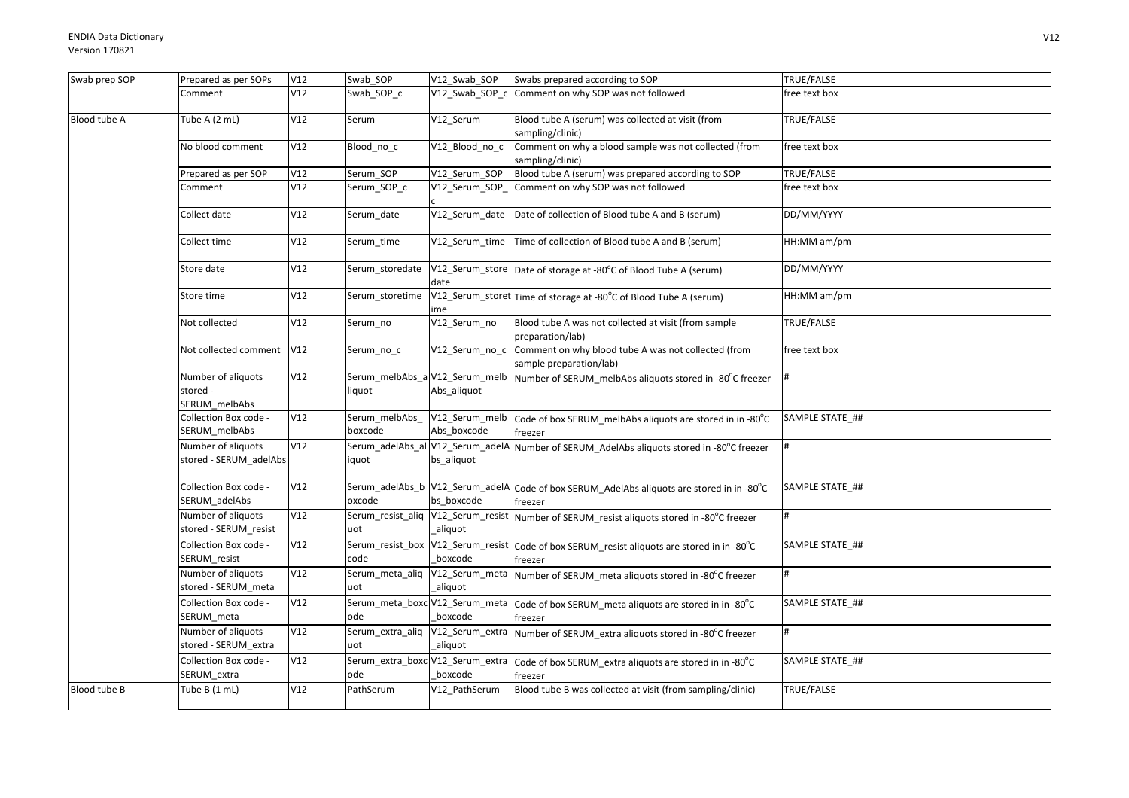| Swab prep SOP | Prepared as per SOPs                            | V12 | Swab_SOP                  | V12_Swab_SOP                                  | Swabs prepared according to SOP                                                                       | TRUE/FALSE      |
|---------------|-------------------------------------------------|-----|---------------------------|-----------------------------------------------|-------------------------------------------------------------------------------------------------------|-----------------|
|               | Comment                                         | V12 | Swab_SOP_c                | $V12$ _Swab_SOP_c                             | Comment on why SOP was not followed                                                                   | free text box   |
| Blood tube A  | Tube A (2 mL)                                   | V12 | Serum                     | V12 Serum                                     | Blood tube A (serum) was collected at visit (from<br>sampling/clinic)                                 | TRUE/FALSE      |
|               | No blood comment                                | V12 | Blood_no_c                | V12 Blood no c                                | Comment on why a blood sample was not collected (from<br>sampling/clinic)                             | free text box   |
|               | Prepared as per SOP                             | V12 | Serum_SOP                 | V12_Serum_SOP                                 | Blood tube A (serum) was prepared according to SOP                                                    | TRUE/FALSE      |
|               | Comment                                         | V12 | Serum_SOP_c               | V12 Serum SOP                                 | Comment on why SOP was not followed                                                                   | free text box   |
|               | Collect date                                    | V12 | Serum date                | V12_Serum_date                                | Date of collection of Blood tube A and B (serum)                                                      | DD/MM/YYYY      |
|               | Collect time                                    | V12 | Serum_time                |                                               | V12_Serum_time   Time of collection of Blood tube A and B (serum)                                     | HH:MM am/pm     |
|               | Store date                                      | V12 | Serum_storedate           | date                                          | V12_Serum_store Date of storage at -80°C of Blood Tube A (serum)                                      | DD/MM/YYYY      |
|               | Store time                                      | V12 | Serum storetime           | me                                            | V12_Serum_storet Time of storage at -80°C of Blood Tube A (serum)                                     | HH:MM am/pm     |
|               | Not collected                                   | V12 | Serum_no                  | V12_Serum_no                                  | Blood tube A was not collected at visit (from sample<br>preparation/lab)                              | TRUE/FALSE      |
|               | Not collected comment                           | V12 | Serum_no_c                | V12_Serum_no_c                                | Comment on why blood tube A was not collected (from<br>sample preparation/lab)                        | free text box   |
|               | Number of aliquots<br>stored -<br>SERUM_melbAbs | V12 | liquot                    | Serum_melbAbs_a V12_Serum_melb<br>Abs_aliquot | Number of SERUM_melbAbs aliquots stored in -80°C freezer                                              |                 |
|               | Collection Box code -<br>SERUM_melbAbs          | V12 | Serum_melbAbs_<br>boxcode | V12_Serum_melb<br>Abs boxcode                 | Code of box SERUM melbAbs aliquots are stored in in -80°C<br>freezer                                  | SAMPLE STATE_## |
|               | Number of aliquots<br>stored - SERUM_adelAbs    | V12 | iquot                     | bs_aliquot                                    | Serum_adelAbs_al V12_Serum_adelA Number of SERUM_AdelAbs aliquots stored in -80°C freezer             |                 |
|               | Collection Box code -<br>SERUM_adelAbs          | V12 | oxcode                    | bs boxcode                                    | Serum_adelAbs_b V12_Serum_adelA Code of box SERUM_AdelAbs aliquots are stored in in -80°C<br>freezer  | SAMPLE STATE ## |
|               | Number of aliquots<br>stored - SERUM_resist     | V12 | uot                       | aliquot                                       | Serum_resist_aliq V12_Serum_resist Number of SERUM_resist aliquots stored in -80°C freezer            |                 |
|               | Collection Box code -<br>SERUM_resist           | V12 | code                      | boxcode                                       | Serum_resist_box V12_Serum_resist Code of box SERUM_resist aliquots are stored in in -80°C<br>freezer | SAMPLE STATE ## |
|               | Number of aliquots<br>stored - SERUM meta       | V12 | uot                       | aliquot                                       | Serum_meta_aliq  V12_Serum_meta  Number of SERUM_meta aliquots stored in -80°C freezer                |                 |
|               | Collection Box code -<br>SERUM_meta             | V12 | ode                       | boxcode                                       | Serum_meta_boxc V12_Serum_meta  Code of box SERUM_meta aliquots are stored in in -80°C<br>freezer     | SAMPLE STATE_## |
|               | Number of aliquots<br>stored - SERUM_extra      | V12 | uot                       | aliquot                                       | Serum_extra_aliq V12_Serum_extra Number of SERUM_extra aliquots stored in -80°C freezer               |                 |
|               | Collection Box code -<br>SERUM_extra            | V12 | ode                       | boxcode                                       | Serum_extra_boxc V12_Serum_extra  Code of box SERUM_extra aliquots are stored in in -80°C<br>freezer  | SAMPLE STATE ## |
| Blood tube B  | Tube B (1 mL)                                   | V12 | PathSerum                 | V12 PathSerum                                 | Blood tube B was collected at visit (from sampling/clinic)                                            | TRUE/FALSE      |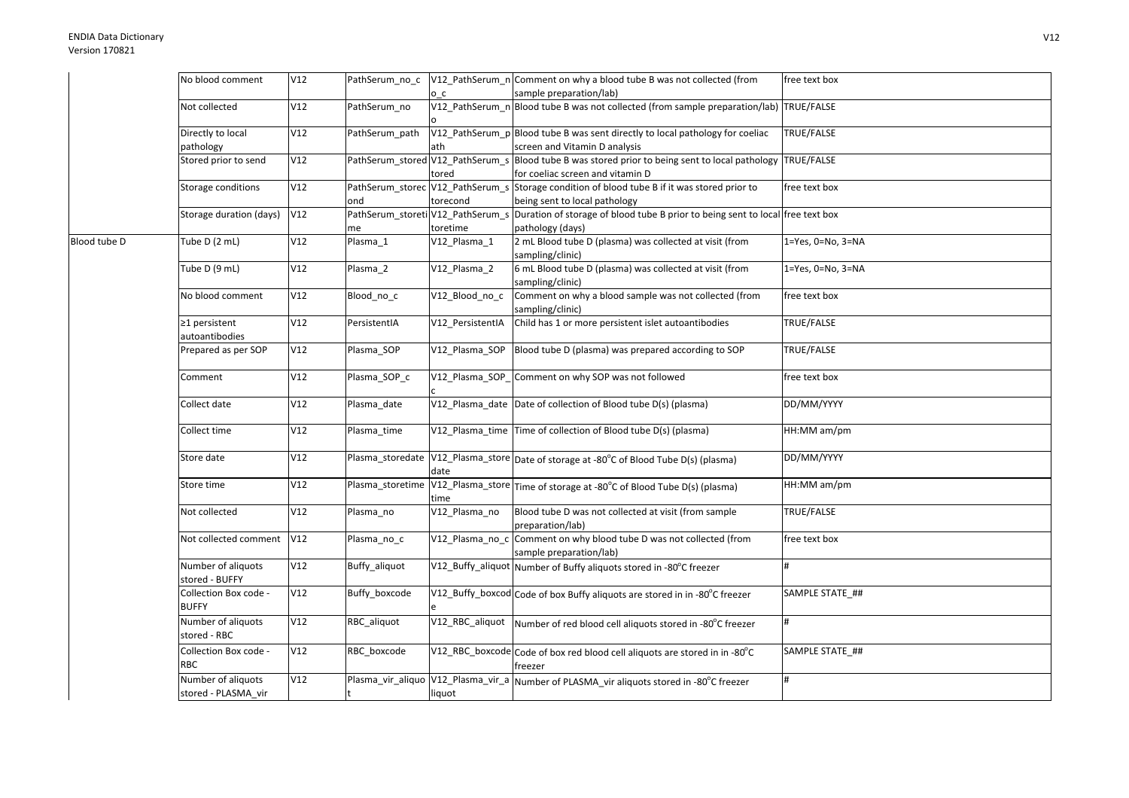|              | No blood comment                          | V12 | PathSerum_no_c |                  | V12_PathSerum_n Comment on why a blood tube B was not collected (from                                                                | free text box             |
|--------------|-------------------------------------------|-----|----------------|------------------|--------------------------------------------------------------------------------------------------------------------------------------|---------------------------|
|              |                                           |     |                | o c              | sample preparation/lab)                                                                                                              |                           |
|              | Not collected                             | V12 | PathSerum no   |                  | V12_PathSerum_n Blood tube B was not collected (from sample preparation/lab) TRUE/FALSE                                              |                           |
|              | Directly to local<br>pathology            | V12 | PathSerum_path | ath              | V12_PathSerum_p Blood tube B was sent directly to local pathology for coeliac<br>screen and Vitamin D analysis                       | TRUE/FALSE                |
|              | Stored prior to send                      | V12 |                | tored            | PathSerum_stored V12_PathSerum_s Blood tube B was stored prior to being sent to local pathology<br>for coeliac screen and vitamin D  | TRUE/FALSE                |
|              | Storage conditions                        | V12 | ond            | torecond         | PathSerum_storec V12_PathSerum_s Storage condition of blood tube B if it was stored prior to<br>being sent to local pathology        | free text box             |
|              | Storage duration (days)                   | V12 | me             | toretime         | PathSerum_storeti V12_PathSerum_s Duration of storage of blood tube B prior to being sent to local free text box<br>pathology (days) |                           |
| Blood tube D | Tube D (2 mL)                             | V12 | Plasma 1       | V12_Plasma_1     | 2 mL Blood tube D (plasma) was collected at visit (from<br>sampling/clinic)                                                          | $1 = Yes, 0 = No, 3 = NA$ |
|              | Tube D (9 mL)                             | V12 | Plasma_2       | V12_Plasma_2     | 6 mL Blood tube D (plasma) was collected at visit (from<br>sampling/clinic)                                                          | 1=Yes, 0=No, 3=NA         |
|              | No blood comment                          | V12 | Blood_no_c     | V12_Blood_no_c   | Comment on why a blood sample was not collected (from<br>sampling/clinic)                                                            | free text box             |
|              | ≥1 persistent<br>autoantibodies           | V12 | PersistentIA   | V12_PersistentIA | Child has 1 or more persistent islet autoantibodies                                                                                  | <b>TRUE/FALSE</b>         |
|              | Prepared as per SOP                       | V12 | Plasma SOP     | V12 Plasma SOP   | Blood tube D (plasma) was prepared according to SOP                                                                                  | TRUE/FALSE                |
|              | Comment                                   | V12 | Plasma_SOP_c   |                  | V12_Plasma_SOP_Comment on why SOP was not followed                                                                                   | free text box             |
|              | Collect date                              | V12 | Plasma_date    |                  | V12_Plasma_date Date of collection of Blood tube D(s) (plasma)                                                                       | DD/MM/YYYY                |
|              | Collect time                              | V12 | Plasma time    |                  | V12_Plasma_time Time of collection of Blood tube D(s) (plasma)                                                                       | HH:MM am/pm               |
|              | Store date                                | V12 |                | date             | Plasma_storedate V12_Plasma_store Date of storage at -80°C of Blood Tube D(s) (plasma)                                               | DD/MM/YYYY                |
|              | Store time                                | V12 |                | time             | Plasma_storetime V12_Plasma_store Time of storage at -80°C of Blood Tube D(s) (plasma)                                               | HH:MM am/pm               |
|              | Not collected                             | V12 | Plasma_no      | V12_Plasma_no    | Blood tube D was not collected at visit (from sample<br>preparation/lab)                                                             | TRUE/FALSE                |
|              | Not collected comment                     | V12 | Plasma no c    |                  | V12_Plasma_no_c Comment on why blood tube D was not collected (from<br>sample preparation/lab)                                       | free text box             |
|              | Number of aliquots<br>stored - BUFFY      | V12 | Buffy_aliquot  |                  | V12_Buffy_aliquot Number of Buffy aliquots stored in -80°C freezer                                                                   | #                         |
|              | Collection Box code -<br><b>BUFFY</b>     | V12 | Buffy_boxcode  |                  | V12_Buffy_boxcod Code of box Buffy aliquots are stored in in -80°C freezer                                                           | SAMPLE STATE ##           |
|              | Number of aliquots<br>stored - RBC        | V12 | RBC aliquot    | V12_RBC_aliquot  | Number of red blood cell aliquots stored in -80°C freezer                                                                            | #                         |
|              | Collection Box code -<br><b>RBC</b>       | V12 | RBC_boxcode    |                  | V12_RBC_boxcode Code of box red blood cell aliquots are stored in in -80°C<br>freezer                                                | SAMPLE STATE_##           |
|              | Number of aliquots<br>stored - PLASMA vir | V12 |                | liquot           | Plasma_vir_aliquo  V12_Plasma_vir_a  Number of PLASMA_vir aliquots stored in -80°C freezer                                           | $\#$                      |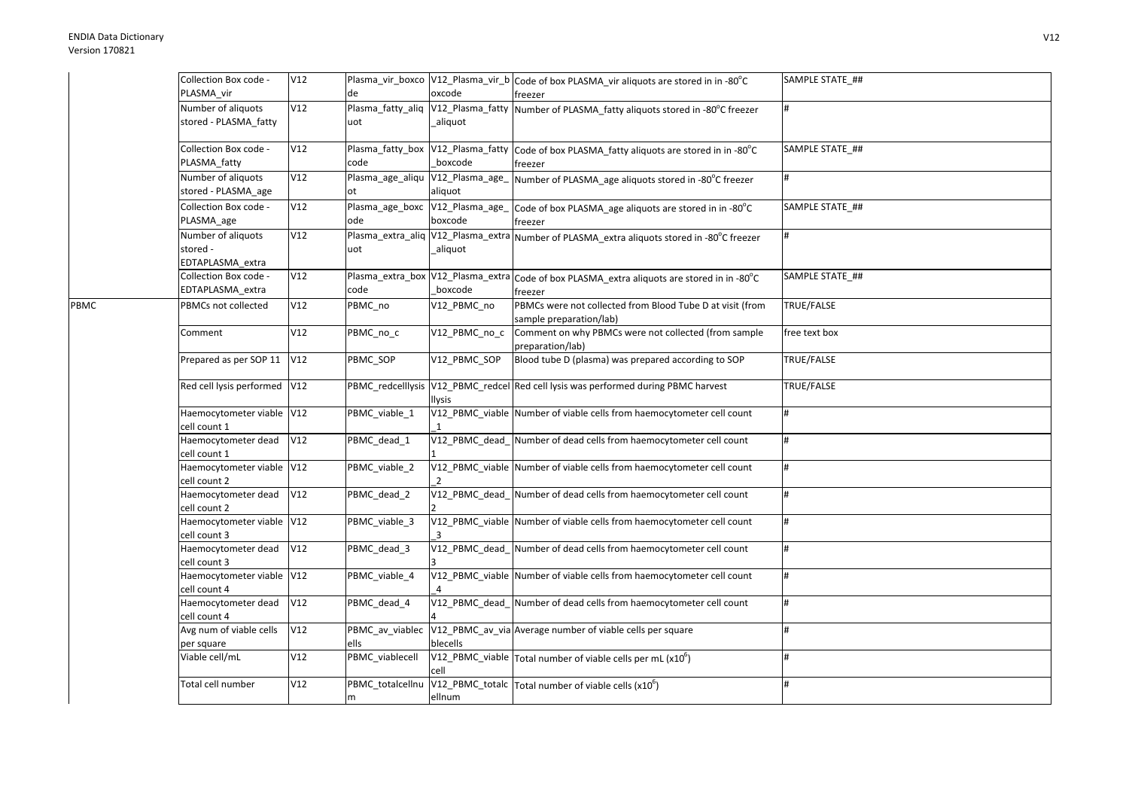PBMC

| Collection Box code -<br>PLASMA_vir                              | V12 | de                                        | oxcode                                       | Plasma_vir_boxco V12_Plasma_vir_b Code of box PLASMA_vir aliquots are stored in in -80°C<br>freezer                          | SAMPLE STATE_## |
|------------------------------------------------------------------|-----|-------------------------------------------|----------------------------------------------|------------------------------------------------------------------------------------------------------------------------------|-----------------|
| Number of aliquots<br>stored - PLASMA_fatty                      | V12 | Plasma_fatty_aliq<br>uot                  | V12_Plasma_fatty<br>_aliquot                 | Number of PLASMA_fatty aliquots stored in -80°C freezer                                                                      |                 |
| Collection Box code -<br>PLASMA_fatty                            | V12 | Plasma_fatty_box V12_Plasma_fatty<br>code | boxcode                                      | Code of box PLASMA_fatty aliquots are stored in in -80°C<br>freezer                                                          | SAMPLE STATE_## |
| Number of aliquots<br>stored - PLASMA_age                        | V12 | Plasma_age_aliqu V12_Plasma_age_<br>оt    | aliquot                                      | Number of PLASMA_age aliquots stored in -80°C freezer                                                                        |                 |
| Collection Box code -<br>PLASMA_age                              | V12 | Plasma_age_boxc V12_Plasma_age_<br>ode    | boxcode                                      | Code of box PLASMA_age aliquots are stored in in -80°C<br>freezer                                                            | SAMPLE STATE ## |
| Number of aliquots<br>stored -<br>EDTAPLASMA_extra               | V12 | uot                                       | aliquot                                      | Plasma_extra_aliq V12_Plasma_extra Number of PLASMA_extra aliquots stored in -80°C freezer                                   |                 |
| Collection Box code -<br>EDTAPLASMA_extra                        | V12 | code                                      | Plasma_extra_box V12_Plasma_extra<br>boxcode | Code of box PLASMA_extra aliquots are stored in in -80°C<br>freezer                                                          | SAMPLE STATE ## |
| PBMCs not collected                                              | V12 | PBMC_no                                   | V12_PBMC_no                                  | PBMCs were not collected from Blood Tube D at visit (from<br>sample preparation/lab)                                         | TRUE/FALSE      |
| Comment                                                          | V12 | PBMC_no_c                                 | V12_PBMC_no_c                                | Comment on why PBMCs were not collected (from sample<br>preparation/lab)                                                     | free text box   |
| Prepared as per SOP 11                                           | V12 | PBMC SOP                                  | V12_PBMC_SOP                                 | Blood tube D (plasma) was prepared according to SOP                                                                          | TRUE/FALSE      |
| Red cell lysis performed V12                                     |     |                                           | <b>Ilysis</b>                                | PBMC_redcelllysis V12_PBMC_redcel Red cell lysis was performed during PBMC harvest                                           | TRUE/FALSE      |
| Haemocytometer viable V12<br>cell count 1                        |     | PBMC_viable_1                             |                                              | V12_PBMC_viable Number of viable cells from haemocytometer cell count                                                        |                 |
| Haemocytometer dead<br>cell count 1                              | V12 | PBMC dead 1                               | V12 PBMC dead                                | Number of dead cells from haemocytometer cell count                                                                          |                 |
| Haemocytometer viable V12<br>cell count 2                        |     | PBMC_viable_2                             | $\overline{2}$                               | V12_PBMC_viable Number of viable cells from haemocytometer cell count                                                        |                 |
| Haemocytometer dead<br>cell count 2                              | V12 | PBMC_dead_2                               |                                              | V12_PBMC_dead_Number of dead cells from haemocytometer cell count                                                            |                 |
| Haemocytometer viable V12<br>cell count 3                        |     | PBMC_viable_3                             |                                              | V12_PBMC_viable Number of viable cells from haemocytometer cell count                                                        | #               |
| Haemocytometer dead<br>cell count 3<br>Haemocytometer viable V12 | V12 | PBMC_dead_3<br>PBMC viable 4              | V12_PBMC_dead_                               | Number of dead cells from haemocytometer cell count<br>V12_PBMC_viable Number of viable cells from haemocytometer cell count |                 |
| cell count 4<br>Haemocytometer dead                              | V12 |                                           | V12 PBMC dead                                | Number of dead cells from haemocytometer cell count                                                                          |                 |
| cell count 4<br>Avg num of viable cells                          | V12 | PBMC_dead_4<br>PBMC_av_viablec            |                                              | V12_PBMC_av_via Average number of viable cells per square                                                                    |                 |
| per square<br>Viable cell/mL                                     | V12 | ells<br>PBMC_viablecell                   | blecells                                     | V12_PBMC_viable $\sqrt{\text{Total}}$ number of viable cells per mL (x10 <sup>6</sup> )                                      |                 |
| Total cell number                                                | V12 | PBMC_totalcellnu                          | cell                                         |                                                                                                                              | #               |
|                                                                  |     | m                                         | ellnum                                       | V12_PBMC_totalc Total number of viable cells (x10 <sup>6</sup> )                                                             |                 |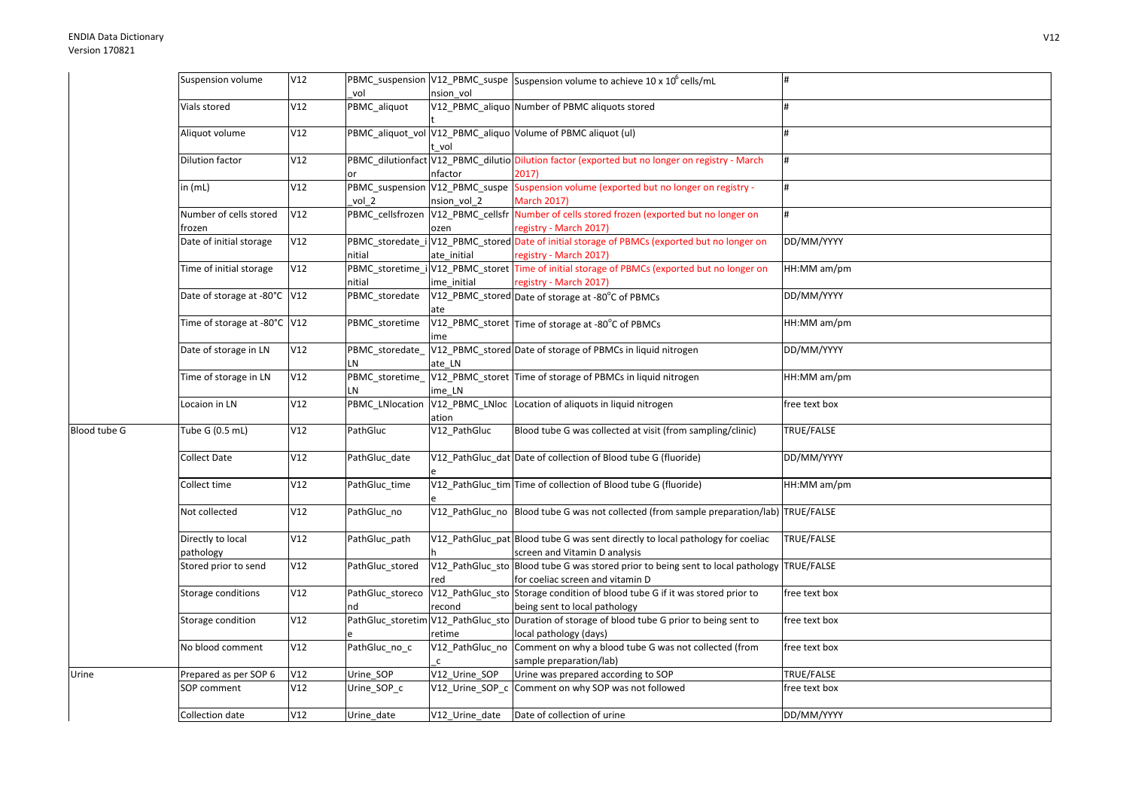|              | Suspension volume              | V12 | vol              |                 | PBMC_suspension V12_PBMC_suspe Suspension volume to achieve 10 x 10 <sup>6</sup> cells/mL                       |               |
|--------------|--------------------------------|-----|------------------|-----------------|-----------------------------------------------------------------------------------------------------------------|---------------|
|              | Vials stored                   | V12 | PBMC_aliquot     | nsion vol       | V12_PBMC_aliquo Number of PBMC aliquots stored                                                                  |               |
|              |                                |     |                  |                 |                                                                                                                 |               |
|              | Aliquot volume                 | V12 |                  | vol             | PBMC_aliquot_vol V12_PBMC_aliquo Volume of PBMC aliquot (ul)                                                    |               |
|              | <b>Dilution factor</b>         | V12 |                  |                 | PBMC_dilutionfact V12_PBMC_dilutio Dilution factor (exported but no longer on registry - March                  | #             |
|              |                                |     |                  | nfactor         | 2017)                                                                                                           |               |
|              | in $(mL)$                      | V12 |                  |                 | PBMC_suspension V12_PBMC_suspe Suspension volume (exported but no longer on registry -                          | #             |
|              |                                |     | vol 2            | nsion vol 2     | <b>March 2017)</b>                                                                                              |               |
|              | Number of cells stored         | V12 |                  |                 | PBMC_cellsfrozen   V12_PBMC_cellsfr   Number of cells stored frozen (exported but no longer on                  | #             |
|              | frozen                         |     |                  | ozen            | registry - March 2017)                                                                                          |               |
|              | Date of initial storage        | V12 |                  |                 | PBMC_storedate_i V12_PBMC_stored Date of initial storage of PBMCs (exported but no longer on                    | DD/MM/YYYY    |
|              |                                |     | nitial           | ate initial     | registry - March 2017)                                                                                          |               |
|              | Time of initial storage        | V12 |                  |                 | PBMC_storetime_i V12_PBMC_storet Time of initial storage of PBMCs (exported but no longer on                    | HH:MM am/pm   |
|              |                                |     | nitial           | ime initial     | registry - March 2017)                                                                                          |               |
|              | Date of storage at -80°C V12   |     | PBMC storedate   | ate             | V12_PBMC_stored Date of storage at -80°C of PBMCs                                                               | DD/MM/YYYY    |
|              | Time of storage at -80°C V12   |     | PBMC_storetime   | ime             | V12_PBMC_storet Time of storage at -80°C of PBMCs                                                               | HH:MM am/pm   |
|              | Date of storage in LN          | V12 | PBMC_storedate_  |                 | V12_PBMC_stored Date of storage of PBMCs in liquid nitrogen                                                     | DD/MM/YYYY    |
|              |                                |     | LN               | ate LN          |                                                                                                                 |               |
|              | Time of storage in LN          | V12 | PBMC_storetime_  |                 | V12_PBMC_storet Time of storage of PBMCs in liquid nitrogen                                                     | HH:MM am/pm   |
|              |                                |     | LN               | ime LN          |                                                                                                                 |               |
|              | Locaion in LN                  | V12 | PBMC LNlocation  | ation           | V12_PBMC_LNloc Location of aliquots in liquid nitrogen                                                          | free text box |
| Blood tube G | Tube G (0.5 mL)                | V12 | PathGluc         | V12_PathGluc    | Blood tube G was collected at visit (from sampling/clinic)                                                      | TRUE/FALSE    |
|              | Collect Date                   | V12 | PathGluc_date    |                 | V12_PathGluc_dat Date of collection of Blood tube G (fluoride)                                                  | DD/MM/YYYY    |
|              | Collect time                   | V12 | PathGluc time    |                 | V12_PathGluc_tim Time of collection of Blood tube G (fluoride)                                                  | HH:MM am/pm   |
|              | Not collected                  | V12 | PathGluc no      |                 | V12_PathGluc_no Blood tube G was not collected (from sample preparation/lab) TRUE/FALSE                         |               |
|              | Directly to local<br>pathology | V12 | PathGluc path    |                 | V12_PathGluc_pat Blood tube G was sent directly to local pathology for coeliac<br>screen and Vitamin D analysis | TRUE/FALSE    |
|              | Stored prior to send           | V12 | PathGluc stored  |                 | V12_PathGluc_sto Blood tube G was stored prior to being sent to local pathology                                 | TRUE/FALSE    |
|              |                                |     |                  | red             | for coeliac screen and vitamin D                                                                                |               |
|              | Storage conditions             | V12 | PathGluc_storeco |                 | V12_PathGluc_sto Storage condition of blood tube G if it was stored prior to                                    | free text box |
|              |                                |     | nd               | recond          | being sent to local pathology                                                                                   |               |
|              | Storage condition              | V12 |                  |                 | PathGluc_storetim V12_PathGluc_sto Duration of storage of blood tube G prior to being sent to                   | free text box |
|              |                                |     |                  | retime          | local pathology (days)                                                                                          |               |
|              | No blood comment               | V12 | PathGluc_no_c    | V12_PathGluc_no | Comment on why a blood tube G was not collected (from                                                           | free text box |
|              |                                |     |                  | $\mathsf{C}$    | sample preparation/lab)                                                                                         |               |
| Urine        | Prepared as per SOP 6          | V12 | Urine_SOP        | V12 Urine SOP   | Urine was prepared according to SOP                                                                             | TRUE/FALSE    |
|              | SOP comment                    | V12 | Urine_SOP_c      | V12_Urine_SOP_c | Comment on why SOP was not followed                                                                             | free text box |
|              | Collection date                | V12 | Urine_date       | V12_Urine_date  | Date of collection of urine                                                                                     | DD/MM/YYYY    |
|              |                                |     |                  |                 |                                                                                                                 |               |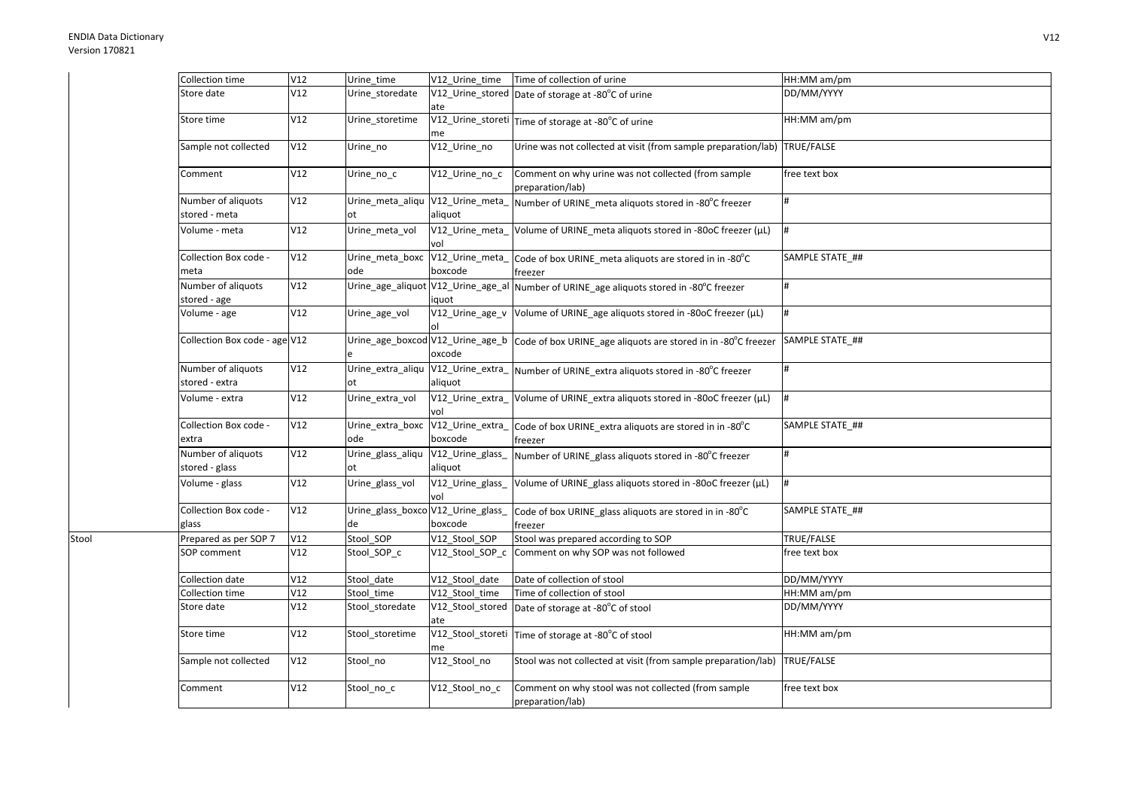Stool

| Collection time                      | V12 | Urine_time                               | V12_Urine_time                              | Time of collection of urine                                                               | HH:MM am/pm       |
|--------------------------------------|-----|------------------------------------------|---------------------------------------------|-------------------------------------------------------------------------------------------|-------------------|
| Store date                           | V12 | Urine_storedate                          | ate                                         | V12_Urine_stored Date of storage at -80°C of urine                                        | DD/MM/YYYY        |
| Store time                           | V12 | Urine storetime                          | me                                          | V12_Urine_storeti Time of storage at -80°C of urine                                       | HH:MM am/pm       |
| Sample not collected                 | V12 | Urine_no                                 | V12_Urine_no                                | Urine was not collected at visit (from sample preparation/lab)                            | <b>TRUE/FALSE</b> |
| Comment                              | V12 | Urine no c                               | $\sqrt{12}$ _Urine_no_c                     | Comment on why urine was not collected (from sample<br>preparation/lab)                   | free text box     |
| Number of aliquots<br>stored - meta  | V12 | Urine_meta_aliqu V12_Urine_meta_<br>ot   | aliquot                                     | Number of URINE_meta aliquots stored in -80°C freezer                                     |                   |
| Volume - meta                        | V12 | Urine_meta_vol                           | V12_Urine_meta_<br>vol                      | Volume of URINE_meta aliquots stored in -80oC freezer (µL)                                | #                 |
| Collection Box code -<br>meta        | V12 | Urine_meta_boxc<br>ode                   | V12_Urine_meta_<br>boxcode                  | Code of box URINE_meta aliquots are stored in in -80°C<br>freezer                         | SAMPLE STATE_##   |
| Number of aliquots<br>stored - age   | V12 |                                          | Urine_age_aliquot V12_Urine_age_al<br>iquot | Number of URINE_age aliquots stored in -80°C freezer                                      |                   |
| Volume - age                         | V12 | Urine_age_vol                            | V12_Urine_age_v                             | Volume of URINE_age aliquots stored in -80oC freezer (µL)                                 | #                 |
| Collection Box code - age V12        |     | Urine_age_boxcod V12_Urine_age_b         | oxcode                                      | Code of box URINE_age aliquots are stored in in -80°C freezer                             | SAMPLE STATE_##   |
| Number of aliquots<br>stored - extra | V12 | ot                                       | aliquot                                     | Urine_extra_aliqu V12_Urine_extra_ Number of URINE_extra aliquots stored in -80°C freezer |                   |
| Volume - extra                       | V12 | Urine_extra_vol                          | V12_Urine_extra<br>vol                      | Volume of URINE_extra aliquots stored in -80oC freezer (µL)                               | #                 |
| Collection Box code -<br>extra       | V12 | Urine_extra_boxc<br>ode                  | V12_Urine_extra_<br>boxcode                 | Code of box URINE_extra aliquots are stored in in -80°C<br>freezer                        | SAMPLE STATE ##   |
| Number of aliquots<br>stored - glass | V12 | Urine_glass_aliqu<br>ot                  | $\sqrt{V}$ 12_Urine_glass_<br>aliquot       | Number of URINE_glass aliquots stored in -80°C freezer                                    |                   |
| Volume - glass                       | V12 | Urine_glass_vol                          | V12_Urine_glass_<br>vol                     | Volume of URINE_glass aliquots stored in -80oC freezer (µL)                               | l#                |
| Collection Box code -<br>glass       | V12 | Urine_glass_boxco V12_Urine_glass_<br>de | boxcode                                     | Code of box URINE_glass aliquots are stored in in -80°C<br>freezer                        | SAMPLE STATE_##   |
| Prepared as per SOP 7                | V12 | Stool_SOP                                | V12_Stool_SOP                               | Stool was prepared according to SOP                                                       | TRUE/FALSE        |
| SOP comment                          | V12 | Stool_SOP_c                              | V12_Stool_SOP_c                             | Comment on why SOP was not followed                                                       | free text box     |
| Collection date                      | V12 | Stool date                               | V12 Stool date                              | Date of collection of stool                                                               | DD/MM/YYYY        |
| Collection time                      | V12 | Stool time                               | V12_Stool_time                              | Time of collection of stool                                                               | HH:MM am/pm       |
| Store date                           | V12 | Stool storedate                          | V12_Stool_stored<br>ate                     | Date of storage at -80°C of stool                                                         | DD/MM/YYYY        |
| Store time                           | V12 | Stool storetime                          | V12_Stool_storeti<br>me                     | Time of storage at -80°C of stool                                                         | HH:MM am/pm       |
| Sample not collected                 | V12 | Stool no                                 | V12_Stool_no                                | Stool was not collected at visit (from sample preparation/lab)                            | TRUE/FALSE        |
| Comment                              | V12 | Stool no c                               | V12 Stool no c                              | Comment on why stool was not collected (from sample<br>preparation/lab)                   | free text box     |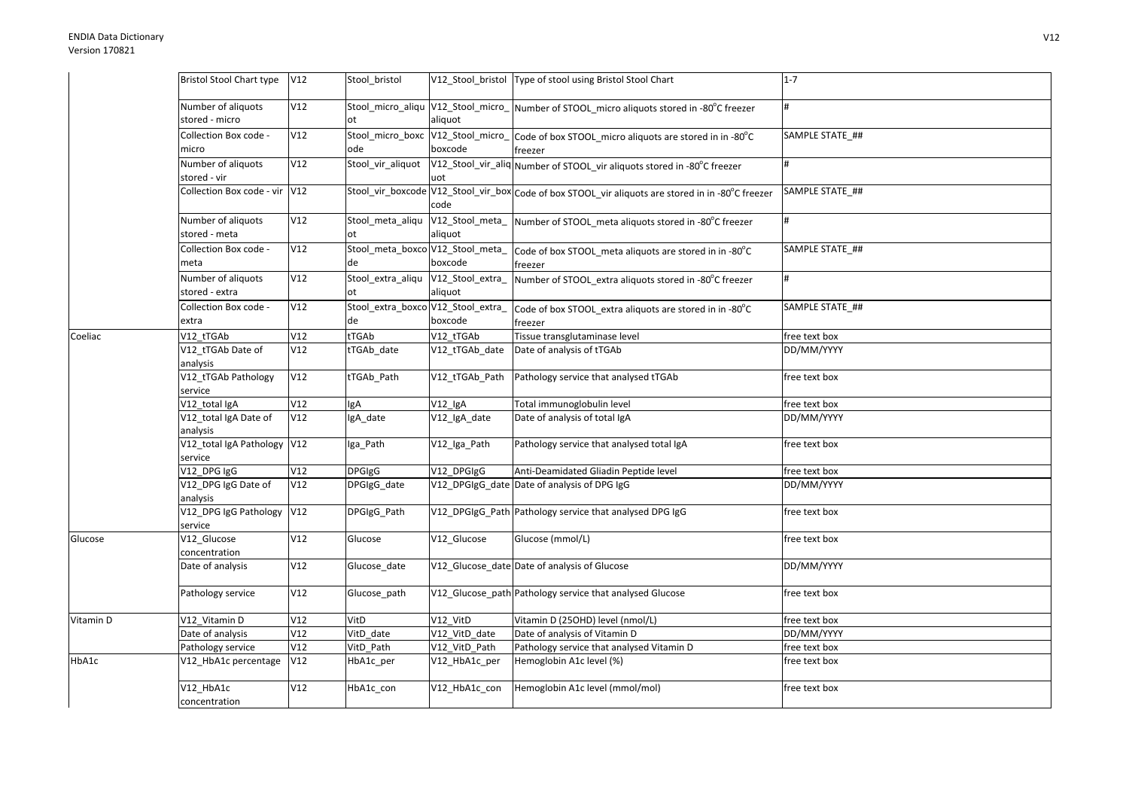|           | Bristol Stool Chart type V12           |     | Stool bristol                            |                             | V12_Stool_bristol   Type of stool using Bristol Stool Chart                                         | $1 - 7$         |
|-----------|----------------------------------------|-----|------------------------------------------|-----------------------------|-----------------------------------------------------------------------------------------------------|-----------------|
|           | Number of aliquots<br>stored - micro   | V12 |                                          | aliquot                     | Stool_micro_aliqu V12_Stool_micro_ Number of STOOL_micro aliquots stored in -80°C freezer           |                 |
|           | Collection Box code -<br>micro         | V12 | ode                                      | boxcode                     | Stool_micro_boxc V12_Stool_micro_Code of box STOOL_micro aliquots are stored in in -80°C<br>freezer | SAMPLE STATE ## |
|           | Number of aliquots<br>stored - vir     | V12 | Stool_vir_aliquot                        | uot                         | V12_Stool_vir_aliq Number of STOOL_vir aliquots stored in -80°C freezer                             |                 |
|           | Collection Box code - vir V12          |     |                                          | code                        | Stool_vir_boxcode V12_Stool_vir_box Code of box STOOL_vir aliquots are stored in in -80°C freezer   | SAMPLE STATE ## |
|           | Number of aliquots<br>stored - meta    | V12 | Stool meta aliqu<br>ot                   | aliquot                     | V12_Stool_meta_ Number of STOOL_meta aliquots stored in -80°C freezer                               |                 |
|           | Collection Box code -<br>meta          | V12 | de                                       | boxcode                     | Stool_meta_boxco V12_Stool_meta_ Code of box STOOL_meta aliquots are stored in in -80°C<br>freezer  | SAMPLE STATE_## |
|           | Number of aliquots<br>stored - extra   | V12 | Stool_extra_aliqu<br>ot                  | V12_Stool_extra_<br>aliquot | Number of STOOL_extra aliquots stored in -80°C freezer                                              | #               |
|           | Collection Box code -<br>extra         | V12 | Stool_extra_boxco V12_Stool_extra_<br>de | boxcode                     | Code of box STOOL_extra aliquots are stored in in -80°C<br>freezer                                  | SAMPLE STATE_## |
| Coeliac   | V12_tTGAb                              | V12 | tTGAb                                    | V12 tTGAb                   | Tissue transglutaminase level                                                                       | free text box   |
|           | V12_tTGAb Date of<br>analysis          | V12 | tTGAb date                               | V12_tTGAb_date              | Date of analysis of tTGAb                                                                           | DD/MM/YYYY      |
|           | V12_tTGAb Pathology<br>service         | V12 | tTGAb_Path                               | V12 tTGAb Path              | Pathology service that analysed tTGAb                                                               | free text box   |
|           | V12_total IgA                          | V12 | gA                                       | $V12$ _lgA                  | Total immunoglobulin level                                                                          | free text box   |
|           | V12_total IgA Date of<br>analysis      | V12 | IgA_date                                 | V12_IgA_date                | Date of analysis of total IgA                                                                       | DD/MM/YYYY      |
|           | V12_total IgA Pathology V12<br>service |     | Iga_Path                                 | V12_Iga_Path                | Pathology service that analysed total IgA                                                           | free text box   |
|           | V12_DPG IgG                            | V12 | <b>DPGIgG</b>                            | V12 DPGIgG                  | Anti-Deamidated Gliadin Peptide level                                                               | free text box   |
|           | V12_DPG IgG Date of<br>analysis        | V12 | DPGIgG date                              |                             | V12_DPGIgG_date Date of analysis of DPG IgG                                                         | DD/MM/YYYY      |
|           | V12_DPG IgG Pathology V12<br>service   |     | DPGIgG_Path                              |                             | V12_DPGIgG_Path Pathology service that analysed DPG IgG                                             | free text box   |
| Glucose   | V12_Glucose<br>concentration           | V12 | Glucose                                  | V12 Glucose                 | Glucose (mmol/L)                                                                                    | free text box   |
|           | Date of analysis                       | V12 | Glucose_date                             |                             | V12_Glucose_date Date of analysis of Glucose                                                        | DD/MM/YYYY      |
|           | Pathology service                      | V12 | Glucose_path                             |                             | V12_Glucose_path Pathology service that analysed Glucose                                            | free text box   |
| Vitamin D | V12_Vitamin D                          | V12 | VitD                                     | V12_VitD                    | Vitamin D (25OHD) level (nmol/L)                                                                    | free text box   |
|           | Date of analysis                       | V12 | VitD_date                                | V12_VitD_date               | Date of analysis of Vitamin D                                                                       | DD/MM/YYYY      |
|           | Pathology service                      | V12 | VitD Path                                | V12_VitD_Path               | Pathology service that analysed Vitamin D                                                           | free text box   |
| HbA1c     | V12_HbA1c percentage                   | V12 | HbA1c_per                                | V12_HbA1c_per               | Hemoglobin A1c level (%)                                                                            | free text box   |
|           | V12_HbA1c<br>concentration             | V12 | HbA1c_con                                | V12_HbA1c_con               | Hemoglobin A1c level (mmol/mol)                                                                     | free text box   |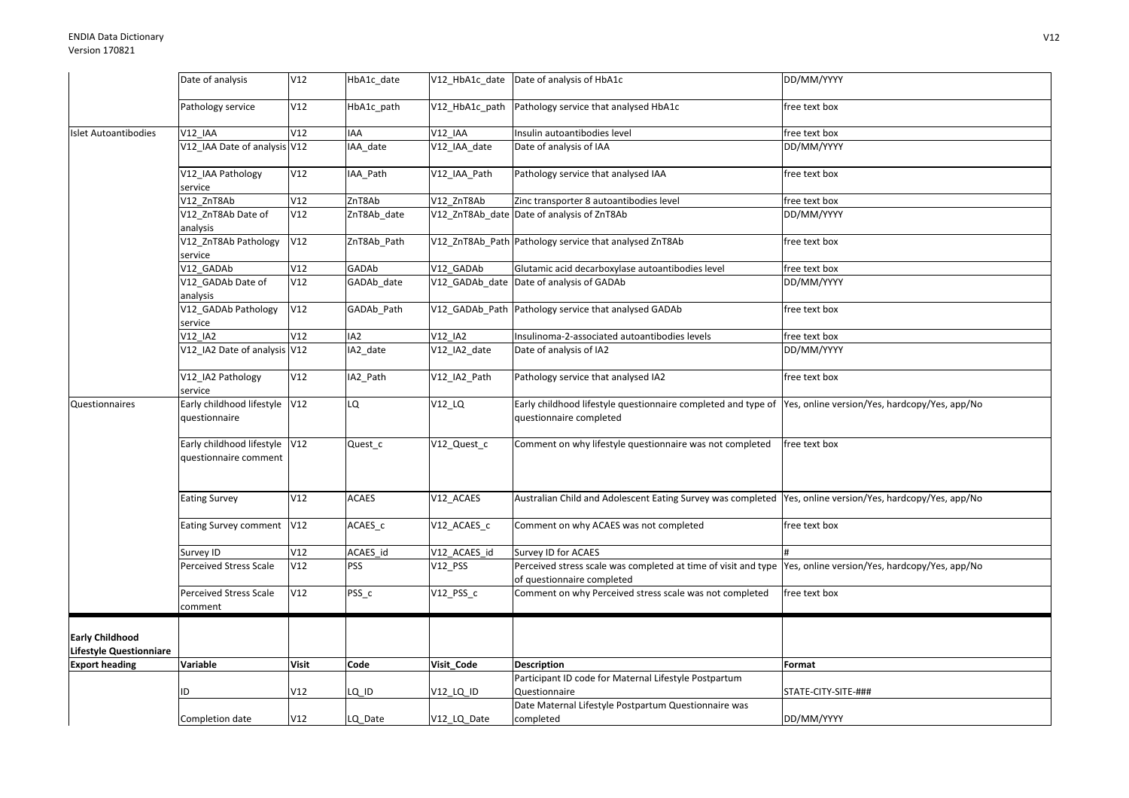|                                                          | Date of analysis                                       | V12          | HbA1c date      |                | V12 HbA1c date Date of analysis of HbA1c                                                                                                    | DD/MM/YYYY          |
|----------------------------------------------------------|--------------------------------------------------------|--------------|-----------------|----------------|---------------------------------------------------------------------------------------------------------------------------------------------|---------------------|
|                                                          | Pathology service                                      | V12          | HbA1c_path      |                | V12 HbA1c path Pathology service that analysed HbA1c                                                                                        | free text box       |
| <b>Islet Autoantibodies</b>                              | V12 IAA                                                | V12          | IAA             | <b>V12 IAA</b> | Insulin autoantibodies level                                                                                                                | free text box       |
|                                                          | V12_IAA Date of analysis V12                           |              | IAA date        | V12_IAA_date   | Date of analysis of IAA                                                                                                                     | DD/MM/YYYY          |
|                                                          | V12 IAA Pathology<br>service                           | V12          | IAA Path        | V12 IAA Path   | Pathology service that analysed IAA                                                                                                         | free text box       |
|                                                          | V12 ZnT8Ab                                             | V12          | ZnT8Ab          | V12 ZnT8Ab     | Zinc transporter 8 autoantibodies level                                                                                                     | free text box       |
|                                                          | V12_ZnT8Ab Date of<br>analysis                         | V12          | ZnT8Ab_date     |                | V12 ZnT8Ab date Date of analysis of ZnT8Ab                                                                                                  | DD/MM/YYYY          |
|                                                          | V12_ZnT8Ab Pathology<br>service                        | V12          | ZnT8Ab_Path     |                | V12 ZnT8Ab Path Pathology service that analysed ZnT8Ab                                                                                      | free text box       |
|                                                          | V12 GADAb                                              | V12          | GADAb           | V12 GADAb      | Glutamic acid decarboxylase autoantibodies level                                                                                            | free text box       |
|                                                          | V12_GADAb Date of<br>analysis                          | V12          | GADAb_date      |                | V12_GADAb_date Date of analysis of GADAb                                                                                                    | DD/MM/YYYY          |
|                                                          | V12_GADAb Pathology<br>service                         | V12          | GADAb_Path      |                | V12 GADAb Path Pathology service that analysed GADAb                                                                                        | free text box       |
|                                                          | V12 IA2                                                | V12          | IA <sub>2</sub> | V12 IA2        | Insulinoma-2-associated autoantibodies levels                                                                                               | free text box       |
|                                                          | V12 IA2 Date of analysis V12                           |              | IA2_date        | V12 IA2 date   | Date of analysis of IA2                                                                                                                     | DD/MM/YYYY          |
|                                                          | V12_IA2 Pathology<br>service                           | V12          | IA2_Path        | V12_IA2_Path   | Pathology service that analysed IA2                                                                                                         | free text box       |
| Questionnaires                                           | Early childhood lifestyle V12<br>questionnaire         |              | LQ              | V12_LQ         | Early childhood lifestyle questionnaire completed and type of Yes, online version/Yes, hardcopy/Yes, app/No<br>questionnaire completed      |                     |
|                                                          | Early childhood lifestyle V12<br>questionnaire comment |              | Quest c         | V12 Quest c    | Comment on why lifestyle questionnaire was not completed                                                                                    | free text box       |
|                                                          | <b>Eating Survey</b>                                   | V12          | <b>ACAES</b>    | V12_ACAES      | Australian Child and Adolescent Eating Survey was completed  Yes, online version/Yes, hardcopy/Yes, app/No                                  |                     |
|                                                          | <b>Eating Survey comment</b>                           | V12          | ACAES c         | V12 ACAES c    | Comment on why ACAES was not completed                                                                                                      | free text box       |
|                                                          | Survey ID                                              | V12          | ACAES_id        | V12_ACAES_id   | Survey ID for ACAES                                                                                                                         |                     |
|                                                          | Perceived Stress Scale                                 | V12          | <b>PSS</b>      | V12_PSS        | Perceived stress scale was completed at time of visit and type  Yes, online version/Yes, hardcopy/Yes, app/No<br>of questionnaire completed |                     |
|                                                          | Perceived Stress Scale<br>comment                      | V12          | PSS_c           | V12_PSS_c      | Comment on why Perceived stress scale was not completed                                                                                     | free text box       |
| <b>Early Childhood</b><br><b>Lifestyle Questionniare</b> |                                                        |              |                 |                |                                                                                                                                             |                     |
| <b>Export heading</b>                                    | Variable                                               | <b>Visit</b> | Code            | Visit Code     | <b>Description</b>                                                                                                                          | Format              |
|                                                          |                                                        |              |                 |                | Participant ID code for Maternal Lifestyle Postpartum                                                                                       |                     |
|                                                          | ID                                                     | V12          | LQ_ID           | V12_LQ_ID      | Questionnaire                                                                                                                               | STATE-CITY-SITE-### |
|                                                          |                                                        |              |                 |                | Date Maternal Lifestyle Postpartum Questionnaire was                                                                                        |                     |
|                                                          | Completion date                                        | V12          | LQ_Date         | V12_LQ_Date    | completed                                                                                                                                   | DD/MM/YYYY          |
|                                                          |                                                        |              |                 |                |                                                                                                                                             |                     |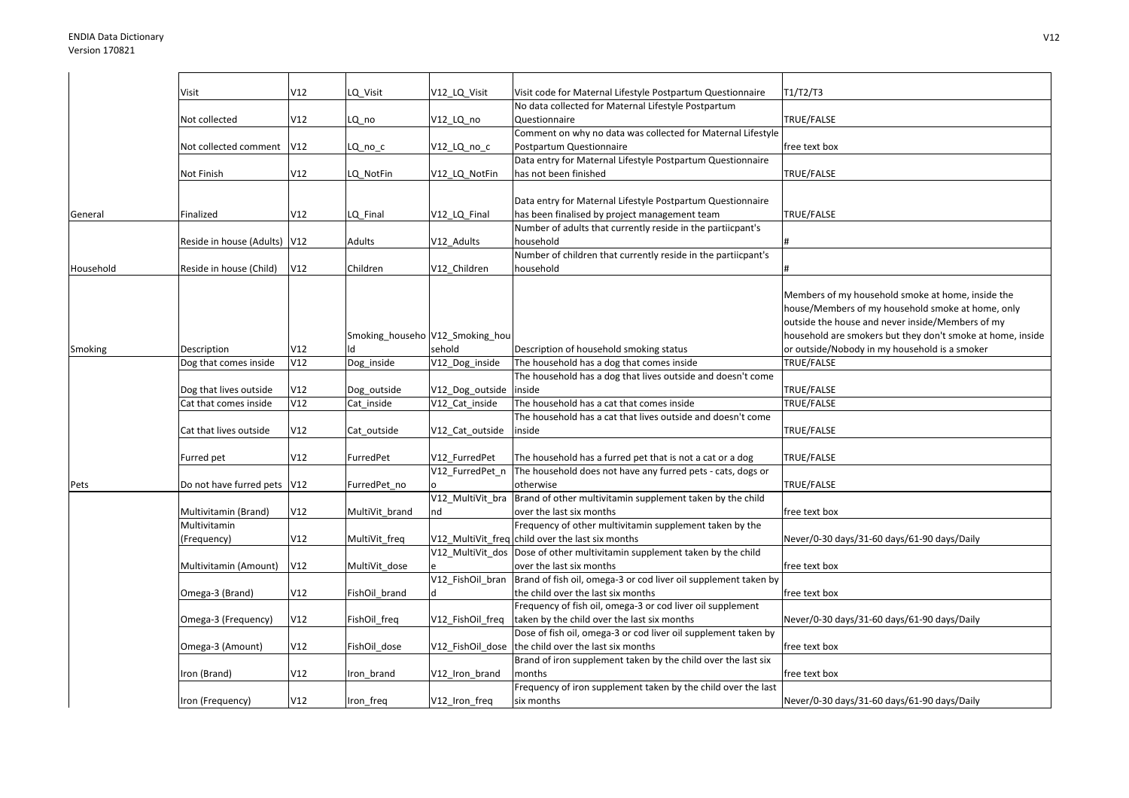|           | Visit                    | V12 | LQ_Visit       | V12_LQ_Visit                    | Visit code for Maternal Lifestyle Postpartum Questionnaire                | T1/T2/T3                                                   |
|-----------|--------------------------|-----|----------------|---------------------------------|---------------------------------------------------------------------------|------------------------------------------------------------|
|           |                          |     |                |                                 | No data collected for Maternal Lifestyle Postpartum                       |                                                            |
|           | Not collected            | V12 | LQ_no          | V12_LQ_no                       | Questionnaire                                                             | TRUE/FALSE                                                 |
|           |                          |     |                |                                 | Comment on why no data was collected for Maternal Lifestyle               |                                                            |
|           | Not collected comment    | V12 | LQ no c        | V12 LQ no c                     | Postpartum Questionnaire                                                  | free text box                                              |
|           |                          |     |                |                                 | Data entry for Maternal Lifestyle Postpartum Questionnaire                |                                                            |
|           | Not Finish               | V12 | LQ NotFin      | V12_LQ_NotFin                   | has not been finished                                                     | TRUE/FALSE                                                 |
|           |                          |     |                |                                 |                                                                           |                                                            |
|           |                          |     |                |                                 | Data entry for Maternal Lifestyle Postpartum Questionnaire                |                                                            |
| General   | Finalized                | V12 | LQ Final       | V12_LQ_Final                    | has been finalised by project management team                             | TRUE/FALSE                                                 |
|           |                          |     |                |                                 | Number of adults that currently reside in the partiicpant's               |                                                            |
|           | Reside in house (Adults) | V12 | Adults         | V12_Adults                      | household                                                                 |                                                            |
|           |                          |     |                |                                 | Number of children that currently reside in the partiicpant's             |                                                            |
| Household | Reside in house (Child)  | V12 | Children       | V12 Children                    | household                                                                 |                                                            |
|           |                          |     |                |                                 |                                                                           |                                                            |
|           |                          |     |                |                                 |                                                                           | Members of my household smoke at home, inside the          |
|           |                          |     |                |                                 |                                                                           |                                                            |
|           |                          |     |                |                                 |                                                                           | house/Members of my household smoke at home, only          |
|           |                          |     |                |                                 |                                                                           | outside the house and never inside/Members of my           |
|           |                          |     |                | Smoking_househo V12_Smoking_hou |                                                                           | household are smokers but they don't smoke at home, inside |
| Smoking   | Description              | V12 | N              | sehold                          | Description of household smoking status                                   | or outside/Nobody in my household is a smoker              |
|           | Dog that comes inside    | V12 | Dog inside     | V12_Dog_inside                  | The household has a dog that comes inside                                 | TRUE/FALSE                                                 |
|           |                          |     |                |                                 | The household has a dog that lives outside and doesn't come               |                                                            |
|           | Dog that lives outside   | V12 | Dog outside    | V12_Dog_outside                 | inside                                                                    | TRUE/FALSE                                                 |
|           | Cat that comes inside    | V12 | Cat inside     | V12 Cat inside                  | The household has a cat that comes inside                                 | TRUE/FALSE                                                 |
|           |                          |     |                |                                 | The household has a cat that lives outside and doesn't come               |                                                            |
|           | Cat that lives outside   | V12 | Cat outside    | V12_Cat_outside                 | inside                                                                    | TRUE/FALSE                                                 |
|           |                          |     |                |                                 |                                                                           |                                                            |
|           | Furred pet               | V12 | FurredPet      | V12 FurredPet                   | The household has a furred pet that is not a cat or a dog                 | TRUE/FALSE                                                 |
|           |                          |     |                | V12 FurredPet n                 | The household does not have any furred pets - cats, dogs or               |                                                            |
| Pets      | Do not have furred pets  | V12 | FurredPet_no   |                                 | otherwise                                                                 | TRUE/FALSE                                                 |
|           |                          |     |                | V12_MultiVit_bra                | Brand of other multivitamin supplement taken by the child                 |                                                            |
|           | Multivitamin (Brand)     | V12 | MultiVit brand | nd                              | over the last six months                                                  | free text box                                              |
|           | Multivitamin             |     |                |                                 | Frequency of other multivitamin supplement taken by the                   |                                                            |
|           | (Frequency)              | V12 | MultiVit_freq  |                                 | V12_MultiVit_freq child over the last six months                          | Never/0-30 days/31-60 days/61-90 days/Daily                |
|           |                          |     |                |                                 | V12_MultiVit_dos Dose of other multivitamin supplement taken by the child |                                                            |
|           | Multivitamin (Amount)    | V12 | MultiVit_dose  |                                 | over the last six months                                                  | free text box                                              |
|           |                          |     |                | V12_FishOil_bran                | Brand of fish oil, omega-3 or cod liver oil supplement taken by           |                                                            |
|           | Omega-3 (Brand)          | V12 | FishOil brand  | d                               | the child over the last six months                                        | free text box                                              |
|           |                          |     |                |                                 | Frequency of fish oil, omega-3 or cod liver oil supplement                |                                                            |
|           | Omega-3 (Frequency)      | V12 | FishOil_freq   | V12_FishOil_freq                | taken by the child over the last six months                               | Never/0-30 days/31-60 days/61-90 days/Daily                |
|           |                          |     |                |                                 | Dose of fish oil, omega-3 or cod liver oil supplement taken by            |                                                            |
|           |                          |     |                |                                 |                                                                           |                                                            |
|           | Omega-3 (Amount)         | V12 | FishOil_dose   |                                 | V12_FishOil_dose the child over the last six months                       | free text box                                              |
|           |                          |     |                |                                 | Brand of iron supplement taken by the child over the last six             |                                                            |
|           | Iron (Brand)             | V12 | Iron brand     | V12_Iron_brand                  | months                                                                    | free text box                                              |
|           |                          |     |                |                                 | Frequency of iron supplement taken by the child over the last             |                                                            |
|           | Iron (Frequency)         | V12 | Iron_freq      | V12_Iron_freq                   | six months                                                                | Never/0-30 days/31-60 days/61-90 days/Daily                |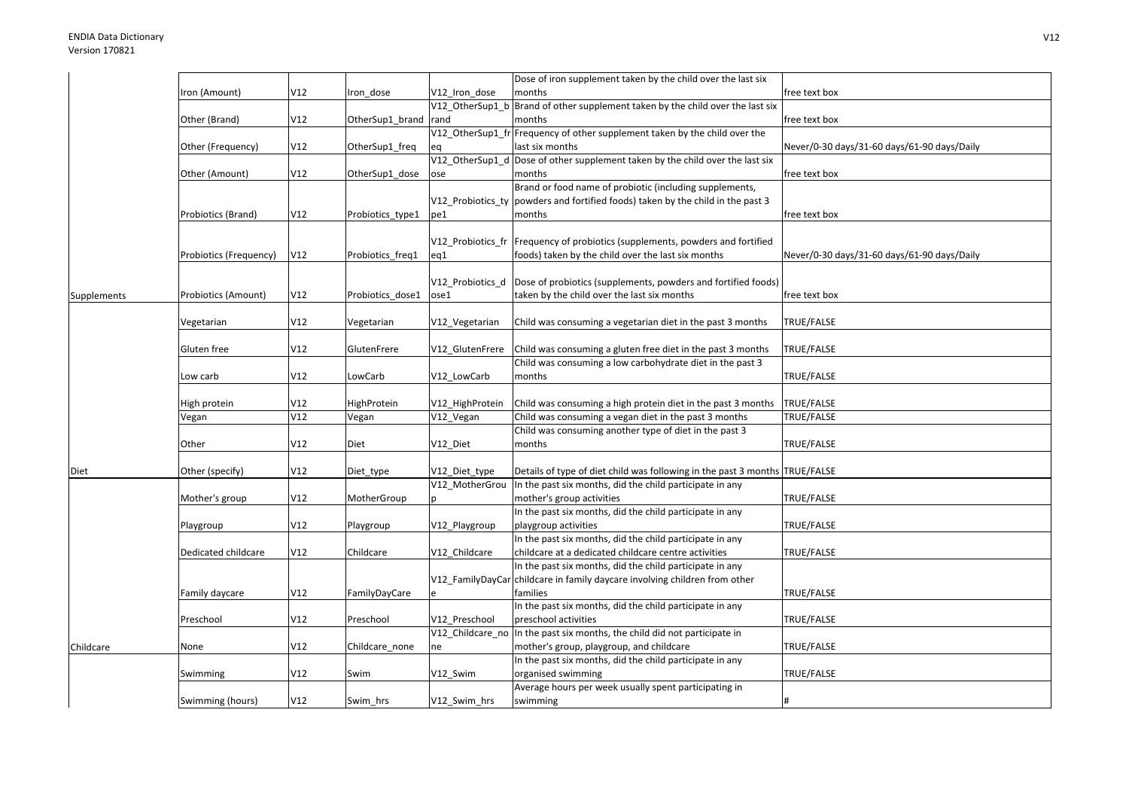|             |                        |     |                  |                  | Dose of iron supplement taken by the child over the last six                     |                                             |
|-------------|------------------------|-----|------------------|------------------|----------------------------------------------------------------------------------|---------------------------------------------|
|             | Iron (Amount)          | V12 | ron_dose         | V12 Iron dose    | months                                                                           | free text box                               |
|             |                        |     |                  |                  | V12_OtherSup1_b Brand of other supplement taken by the child over the last six   |                                             |
|             | Other (Brand)          | V12 | OtherSup1_brand  | rand             | months                                                                           | free text box                               |
|             |                        |     |                  |                  | V12_OtherSup1_fr Frequency of other supplement taken by the child over the       |                                             |
|             | Other (Frequency)      | V12 | OtherSup1_freq   |                  | last six months                                                                  | Never/0-30 days/31-60 days/61-90 days/Daily |
|             |                        |     |                  | V12 OtherSup1 d  | Dose of other supplement taken by the child over the last six                    |                                             |
|             | Other (Amount)         | V12 | OtherSup1 dose   | ose              | months                                                                           | free text box                               |
|             |                        |     |                  |                  | Brand or food name of probiotic (including supplements,                          |                                             |
|             |                        |     |                  |                  | V12_Probiotics_ty  powders and fortified foods) taken by the child in the past 3 |                                             |
|             | Probiotics (Brand)     | V12 | Probiotics_type1 | pe1              | months                                                                           | free text box                               |
|             |                        |     |                  |                  |                                                                                  |                                             |
|             |                        |     |                  |                  | V12_Probiotics_fr  Frequency of probiotics (supplements, powders and fortified   |                                             |
|             | Probiotics (Frequency) | V12 | Probiotics_freq1 | eq1              | foods) taken by the child over the last six months                               | Never/0-30 days/31-60 days/61-90 days/Daily |
|             |                        |     |                  |                  |                                                                                  |                                             |
|             |                        |     |                  | V12 Probiotics_d | Dose of probiotics (supplements, powders and fortified foods)                    |                                             |
| Supplements | Probiotics (Amount)    | V12 | Probiotics_dose1 | ose1             | taken by the child over the last six months                                      | free text box                               |
|             |                        |     |                  |                  |                                                                                  |                                             |
|             | Vegetarian             | V12 | Vegetarian       | V12_Vegetarian   | Child was consuming a vegetarian diet in the past 3 months                       | TRUE/FALSE                                  |
|             |                        |     |                  |                  |                                                                                  |                                             |
|             | Gluten free            | V12 | GlutenFrere      | V12 GlutenFrere  | Child was consuming a gluten free diet in the past 3 months                      | TRUE/FALSE                                  |
|             |                        |     |                  |                  | Child was consuming a low carbohydrate diet in the past 3                        |                                             |
|             | Low carb               | V12 | LowCarb          | V12 LowCarb      | months                                                                           | TRUE/FALSE                                  |
|             |                        |     |                  |                  |                                                                                  |                                             |
|             | High protein           | V12 | HighProtein      | V12 HighProtein  | Child was consuming a high protein diet in the past 3 months                     | <b>TRUE/FALSE</b>                           |
|             | Vegan                  | V12 | Vegan            | V12_Vegan        | Child was consuming a vegan diet in the past 3 months                            | TRUE/FALSE                                  |
|             |                        |     |                  |                  | Child was consuming another type of diet in the past 3                           |                                             |
|             | Other                  | V12 | Diet             | V12 Diet         | months                                                                           | TRUE/FALSE                                  |
|             |                        |     |                  |                  |                                                                                  |                                             |
| Diet        | Other (specify)        | V12 | Diet_type        | V12_Diet_type    | Details of type of diet child was following in the past 3 months TRUE/FALSE      |                                             |
|             |                        |     |                  | V12_MotherGrou   | In the past six months, did the child participate in any                         |                                             |
|             | Mother's group         | V12 | MotherGroup      |                  | mother's group activities                                                        | TRUE/FALSE                                  |
|             |                        |     |                  |                  | In the past six months, did the child participate in any                         |                                             |
|             | Playgroup              | V12 | Playgroup        | V12_Playgroup    | playgroup activities                                                             | TRUE/FALSE                                  |
|             |                        |     |                  |                  | In the past six months, did the child participate in any                         |                                             |
|             | Dedicated childcare    | V12 | Childcare        | V12 Childcare    | childcare at a dedicated childcare centre activities                             | TRUE/FALSE                                  |
|             |                        |     |                  |                  | In the past six months, did the child participate in any                         |                                             |
|             |                        |     |                  |                  | V12_FamilyDayCarcchildcare in family daycare involving children from other       |                                             |
|             | Family daycare         | V12 | FamilyDayCare    |                  | families                                                                         | TRUE/FALSE                                  |
|             |                        |     |                  |                  | In the past six months, did the child participate in any                         |                                             |
|             | Preschool              | V12 | Preschool        | V12 Preschool    | preschool activities                                                             | TRUE/FALSE                                  |
|             |                        |     |                  |                  | V12_Childcare_no  In the past six months, the child did not participate in       |                                             |
| Childcare   | None                   | V12 | Childcare none   | ne               | mother's group, playgroup, and childcare                                         | TRUE/FALSE                                  |
|             |                        |     |                  |                  | In the past six months, did the child participate in any                         |                                             |
|             | Swimming               | V12 | Swim             | V12 Swim         | organised swimming                                                               | TRUE/FALSE                                  |
|             |                        |     |                  |                  | Average hours per week usually spent participating in                            |                                             |
|             | Swimming (hours)       | V12 | Swim hrs         | V12 Swim hrs     | swimming                                                                         | #                                           |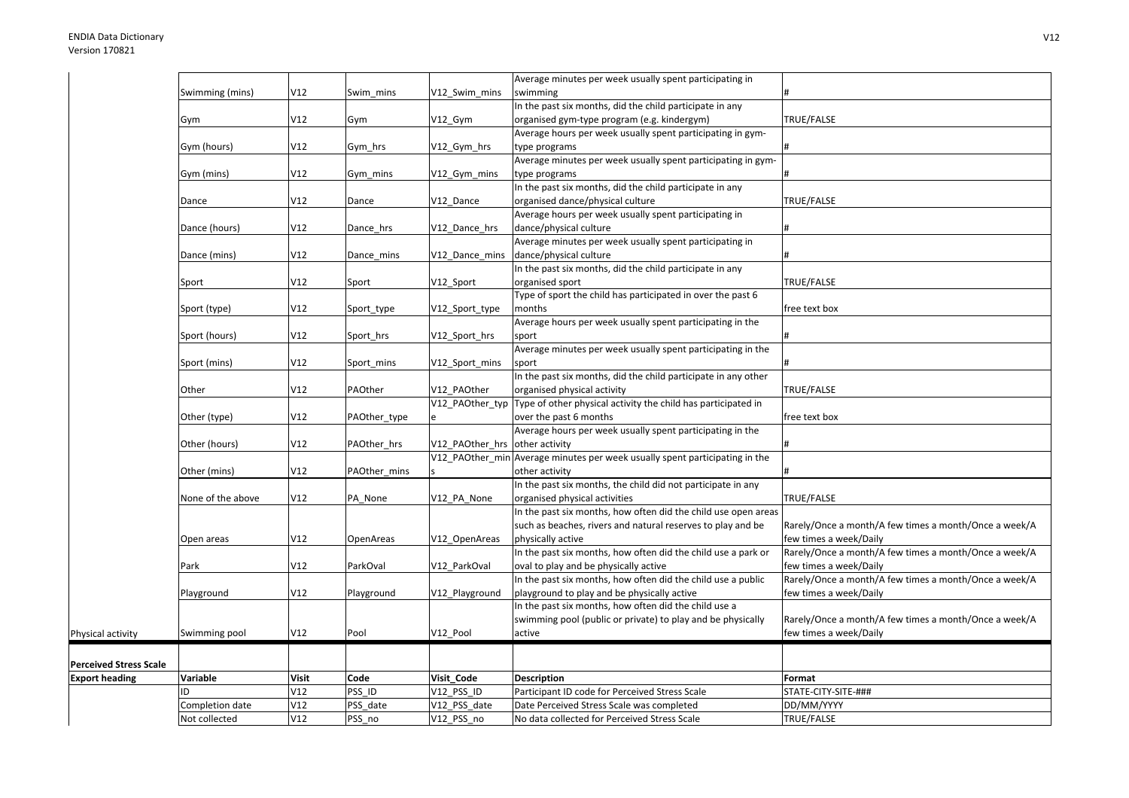|                               |                   |              |              |                                | Average minutes per week usually spent participating in                       |                                                       |
|-------------------------------|-------------------|--------------|--------------|--------------------------------|-------------------------------------------------------------------------------|-------------------------------------------------------|
|                               | Swimming (mins)   | V12          | Swim mins    | V12 Swim mins                  | swimming                                                                      |                                                       |
|                               |                   |              |              |                                | In the past six months, did the child participate in any                      |                                                       |
|                               | Gym               | V12          | Gym          | V12 Gym                        | organised gym-type program (e.g. kindergym)                                   | TRUE/FALSE                                            |
|                               |                   |              |              |                                | Average hours per week usually spent participating in gym-                    |                                                       |
|                               | Gym (hours)       | V12          | Gym hrs      | V12_Gym_hrs                    | type programs                                                                 |                                                       |
|                               |                   |              |              |                                | Average minutes per week usually spent participating in gym-                  |                                                       |
|                               | Gym (mins)        | V12          | Gym mins     | V12 Gym mins                   | type programs                                                                 |                                                       |
|                               |                   |              |              |                                | In the past six months, did the child participate in any                      |                                                       |
|                               | Dance             | V12          | Dance        | V12_Dance                      | organised dance/physical culture                                              | TRUE/FALSE                                            |
|                               |                   |              |              |                                | Average hours per week usually spent participating in                         |                                                       |
|                               | Dance (hours)     | V12          | Dance_hrs    | V12 Dance hrs                  | dance/physical culture                                                        |                                                       |
|                               |                   |              |              |                                | Average minutes per week usually spent participating in                       |                                                       |
|                               | Dance (mins)      | V12          | Dance_mins   | V12_Dance_mins                 | dance/physical culture                                                        |                                                       |
|                               |                   |              |              |                                | In the past six months, did the child participate in any                      |                                                       |
|                               | Sport             | V12          | Sport        | V12 Sport                      | organised sport                                                               | TRUE/FALSE                                            |
|                               |                   |              |              |                                | Type of sport the child has participated in over the past 6                   |                                                       |
|                               | Sport (type)      | V12          | Sport_type   | V12_Sport_type                 | months                                                                        | free text box                                         |
|                               |                   |              |              |                                | Average hours per week usually spent participating in the                     |                                                       |
|                               | Sport (hours)     | V12          | Sport hrs    | V12 Sport hrs                  | sport                                                                         |                                                       |
|                               |                   |              |              |                                | Average minutes per week usually spent participating in the                   |                                                       |
|                               | Sport (mins)      | V12          | Sport mins   | V12_Sport_mins                 | sport                                                                         |                                                       |
|                               |                   |              |              |                                | In the past six months, did the child participate in any other                |                                                       |
|                               | Other             | V12          | PAOther      | V12 PAOther                    | organised physical activity                                                   | TRUE/FALSE                                            |
|                               |                   |              |              |                                | V12_PAOther_typ Type of other physical activity the child has participated in |                                                       |
|                               | Other (type)      | V12          | PAOther_type |                                | over the past 6 months                                                        | free text box                                         |
|                               |                   |              |              |                                | Average hours per week usually spent participating in the                     |                                                       |
|                               | Other (hours)     | V12          | PAOther_hrs  | V12 PAOther hrs other activity |                                                                               |                                                       |
|                               |                   |              |              |                                | V12_PAOther_min Average minutes per week usually spent participating in the   |                                                       |
|                               |                   |              |              |                                |                                                                               |                                                       |
|                               | Other (mins)      | V12          | PAOther mins |                                | other activity                                                                |                                                       |
|                               |                   |              |              |                                | In the past six months, the child did not participate in any                  |                                                       |
|                               | None of the above | V12          | PA None      | V12_PA_None                    | organised physical activities                                                 | TRUE/FALSE                                            |
|                               |                   |              |              |                                | In the past six months, how often did the child use open areas                |                                                       |
|                               |                   |              |              |                                | such as beaches, rivers and natural reserves to play and be                   | Rarely/Once a month/A few times a month/Once a week/A |
|                               | Open areas        | V12          | OpenAreas    | V12 OpenAreas                  | physically active                                                             | few times a week/Daily                                |
|                               |                   |              |              |                                | In the past six months, how often did the child use a park or                 | Rarely/Once a month/A few times a month/Once a week/A |
|                               | Park              | V12          | ParkOval     | V12 ParkOval                   | oval to play and be physically active                                         | few times a week/Daily                                |
|                               |                   |              |              |                                | In the past six months, how often did the child use a public                  | Rarely/Once a month/A few times a month/Once a week/A |
|                               | Playground        | V12          | Playground   | V12 Playground                 | playground to play and be physically active                                   | few times a week/Daily                                |
|                               |                   |              |              |                                | In the past six months, how often did the child use a                         |                                                       |
|                               |                   |              |              |                                | swimming pool (public or private) to play and be physically                   | Rarely/Once a month/A few times a month/Once a week/A |
| Physical activity             | Swimming pool     | V12          | Pool         | V12 Pool                       | active                                                                        | few times a week/Daily                                |
|                               |                   |              |              |                                |                                                                               |                                                       |
| <b>Perceived Stress Scale</b> |                   |              |              |                                |                                                                               |                                                       |
| <b>Export heading</b>         | Variable          | <b>Visit</b> | Code         | Visit Code                     | <b>Description</b>                                                            | Format                                                |
|                               | ID                | V12          | PSS ID       | V12 PSS ID                     | Participant ID code for Perceived Stress Scale                                | STATE-CITY-SITE-###                                   |
|                               | Completion date   | V12          | PSS date     | V12 PSS date                   | Date Perceived Stress Scale was completed                                     | DD/MM/YYYY                                            |
|                               | Not collected     | V12          | PSS_no       | V12_PSS_no                     | No data collected for Perceived Stress Scale                                  | TRUE/FALSE                                            |
|                               |                   |              |              |                                |                                                                               |                                                       |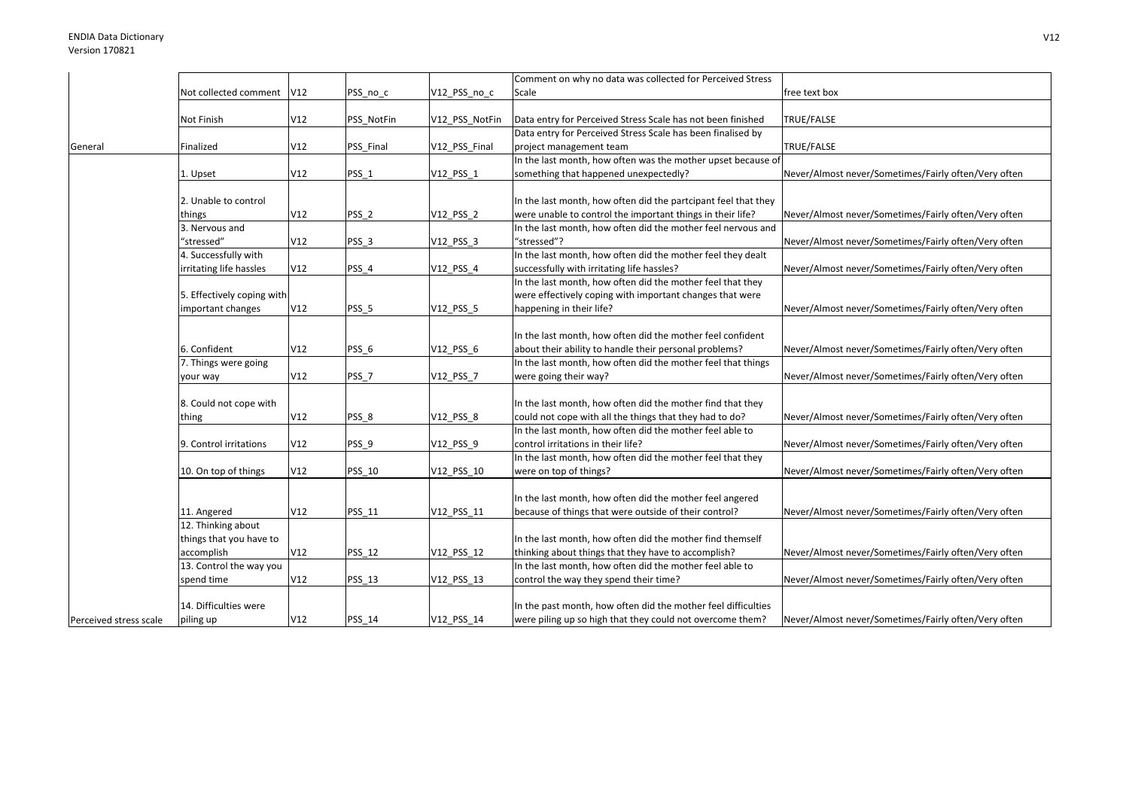|                        |                            |     |                  |                | Comment on why no data was collected for Perceived Stress      |                                                      |
|------------------------|----------------------------|-----|------------------|----------------|----------------------------------------------------------------|------------------------------------------------------|
|                        | Not collected comment      | V12 | PSS_no_c         | V12_PSS_no_c   | Scale                                                          | free text box                                        |
|                        | Not Finish                 | V12 | PSS NotFin       | V12_PSS_NotFin | Data entry for Perceived Stress Scale has not been finished    | TRUE/FALSE                                           |
|                        |                            |     |                  |                | Data entry for Perceived Stress Scale has been finalised by    |                                                      |
|                        |                            | V12 |                  |                |                                                                | TRUE/FALSE                                           |
| General                | Finalized                  |     | PSS_Final        | V12_PSS_Final  | project management team                                        |                                                      |
|                        |                            | V12 |                  |                | In the last month, how often was the mother upset because of   | Never/Almost never/Sometimes/Fairly often/Very often |
|                        | 1. Upset                   |     | PSS_1            | V12 PSS 1      | something that happened unexpectedly?                          |                                                      |
|                        | 2. Unable to control       |     |                  |                | In the last month, how often did the partcipant feel that they |                                                      |
|                        | things                     | V12 | PSS <sub>2</sub> | V12_PSS_2      | were unable to control the important things in their life?     | Never/Almost never/Sometimes/Fairly often/Very often |
|                        | 3. Nervous and             |     |                  |                | In the last month, how often did the mother feel nervous and   |                                                      |
|                        | "stressed"                 | V12 | PSS <sub>3</sub> | V12_PSS_3      | "stressed"?                                                    | Never/Almost never/Sometimes/Fairly often/Very often |
|                        | 4. Successfully with       |     |                  |                | In the last month, how often did the mother feel they dealt    |                                                      |
|                        |                            |     |                  |                |                                                                |                                                      |
|                        | irritating life hassles    | V12 | PSS 4            | V12_PSS_4      | successfully with irritating life hassles?                     | Never/Almost never/Sometimes/Fairly often/Very often |
|                        |                            |     |                  |                | In the last month, how often did the mother feel that they     |                                                      |
|                        | 5. Effectively coping with |     |                  |                | were effectively coping with important changes that were       |                                                      |
|                        | important changes          | V12 | PSS <sub>5</sub> | V12 PSS 5      | happening in their life?                                       | Never/Almost never/Sometimes/Fairly often/Very often |
|                        |                            |     |                  |                |                                                                |                                                      |
|                        |                            |     |                  |                | In the last month, how often did the mother feel confident     |                                                      |
|                        | 6. Confident               | V12 | PSS <sub>6</sub> | V12_PSS_6      | about their ability to handle their personal problems?         | Never/Almost never/Sometimes/Fairly often/Very often |
|                        | 7. Things were going       |     |                  |                | In the last month, how often did the mother feel that things   |                                                      |
|                        | your way                   | V12 | PSS_7            | V12_PSS_7      | were going their way?                                          | Never/Almost never/Sometimes/Fairly often/Very often |
|                        |                            |     |                  |                |                                                                |                                                      |
|                        | 8. Could not cope with     |     |                  |                | In the last month, how often did the mother find that they     |                                                      |
|                        | thing                      | V12 | PSS 8            | V12_PSS_8      | could not cope with all the things that they had to do?        | Never/Almost never/Sometimes/Fairly often/Very often |
|                        |                            |     |                  |                | In the last month, how often did the mother feel able to       |                                                      |
|                        | 9. Control irritations     | V12 | PSS_9            | V12_PSS_9      | control irritations in their life?                             | Never/Almost never/Sometimes/Fairly often/Very often |
|                        |                            |     |                  |                | In the last month, how often did the mother feel that they     |                                                      |
|                        | 10. On top of things       | V12 | <b>PSS 10</b>    | V12 PSS 10     | were on top of things?                                         | Never/Almost never/Sometimes/Fairly often/Very often |
|                        |                            |     |                  |                |                                                                |                                                      |
|                        |                            |     |                  |                | In the last month, how often did the mother feel angered       |                                                      |
|                        | 11. Angered                | V12 | PSS_11           | V12_PSS_11     | because of things that were outside of their control?          | Never/Almost never/Sometimes/Fairly often/Very often |
|                        | 12. Thinking about         |     |                  |                |                                                                |                                                      |
|                        | things that you have to    |     |                  |                | In the last month, how often did the mother find themself      |                                                      |
|                        | accomplish                 | V12 | <b>PSS 12</b>    | V12_PSS_12     | thinking about things that they have to accomplish?            | Never/Almost never/Sometimes/Fairly often/Very often |
|                        | 13. Control the way you    |     |                  |                | In the last month, how often did the mother feel able to       |                                                      |
|                        | spend time                 | V12 | <b>PSS 13</b>    | V12_PSS_13     | control the way they spend their time?                         | Never/Almost never/Sometimes/Fairly often/Very often |
|                        |                            |     |                  |                |                                                                |                                                      |
|                        | 14. Difficulties were      |     |                  |                | In the past month, how often did the mother feel difficulties  |                                                      |
| Perceived stress scale | piling up                  | V12 | <b>PSS 14</b>    | V12 PSS 14     | were piling up so high that they could not overcome them?      | Never/Almost never/Sometimes/Fairly often/Very often |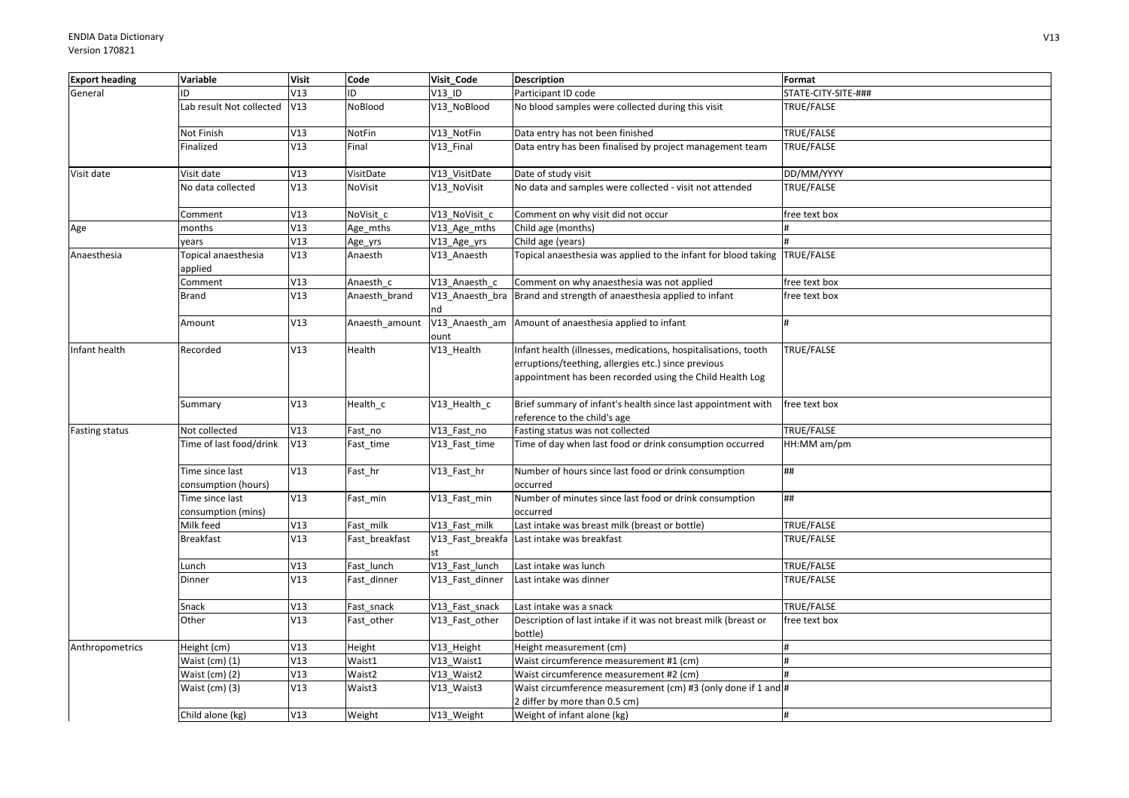| <b>Export heading</b> | Variable                               | <b>Visit</b> | Code           | Visit Code            | <b>Description</b>                                                                                                                                                                | Format              |
|-----------------------|----------------------------------------|--------------|----------------|-----------------------|-----------------------------------------------------------------------------------------------------------------------------------------------------------------------------------|---------------------|
| General               | ID                                     | V13          | ID             | V13 ID                | Participant ID code                                                                                                                                                               | STATE-CITY-SITE-### |
|                       | Lab result Not collected               | V13          | NoBlood        | V13_NoBlood           | No blood samples were collected during this visit                                                                                                                                 | TRUE/FALSE          |
|                       | Not Finish                             | V13          | NotFin         | V13_NotFin            | Data entry has not been finished                                                                                                                                                  | TRUE/FALSE          |
|                       | Finalized                              | V13          | Final          | V13 Final             | Data entry has been finalised by project management team                                                                                                                          | TRUE/FALSE          |
| Visit date            | Visit date                             | V13          | VisitDate      | V13_VisitDate         | Date of study visit                                                                                                                                                               | DD/MM/YYYY          |
|                       | No data collected                      | V13          | NoVisit        | V13_NoVisit           | No data and samples were collected - visit not attended                                                                                                                           | TRUE/FALSE          |
|                       | Comment                                | V13          | NoVisit c      | V13 NoVisit c         | Comment on why visit did not occur                                                                                                                                                | free text box       |
| Age                   | months                                 | V13          | Age_mths       | V13_Age_mths          | Child age (months)                                                                                                                                                                |                     |
|                       | years                                  | V13          | Age_yrs        | V13_Age_yrs           | Child age (years)                                                                                                                                                                 |                     |
| Anaesthesia           | Topical anaesthesia<br>applied         | V13          | Anaesth        | V13_Anaesth           | Topical anaesthesia was applied to the infant for blood taking TRUE/FALSE                                                                                                         |                     |
|                       | Comment                                | V13          | Anaesth c      | V13 Anaesth c         | Comment on why anaesthesia was not applied                                                                                                                                        | free text box       |
|                       | Brand                                  | V13          | Anaesth_brand  | V13 Anaesth bra<br>nd | Brand and strength of anaesthesia applied to infant                                                                                                                               | free text box       |
|                       | Amount                                 | V13          | Anaesth amount | ount                  | V13_Anaesth_am Amount of anaesthesia applied to infant                                                                                                                            |                     |
| Infant health         | Recorded                               | V13          | Health         | V13_Health            | Infant health (illnesses, medications, hospitalisations, tooth<br>erruptions/teething, allergies etc.) since previous<br>appointment has been recorded using the Child Health Log | TRUE/FALSE          |
|                       | Summary                                | V13          | Health c       | V13 Health c          | Brief summary of infant's health since last appointment with<br>reference to the child's age                                                                                      | free text box       |
| <b>Fasting status</b> | Not collected                          | V13          | Fast no        | V13 Fast no           | Fasting status was not collected                                                                                                                                                  | TRUE/FALSE          |
|                       | Time of last food/drink                | V13          | Fast time      | V13 Fast time         | Time of day when last food or drink consumption occurred                                                                                                                          | HH:MM am/pm         |
|                       | Time since last<br>consumption (hours) | V13          | Fast hr        | V13 Fast hr           | Number of hours since last food or drink consumption<br>occurred                                                                                                                  | ##                  |
|                       | Time since last<br>consumption (mins)  | V13          | Fast_min       | V13_Fast_min          | Number of minutes since last food or drink consumption<br>occurred                                                                                                                | ##                  |
|                       | Milk feed                              | V13          | Fast milk      | V13 Fast milk         | Last intake was breast milk (breast or bottle)                                                                                                                                    | TRUE/FALSE          |
|                       | <b>Breakfast</b>                       | V13          | Fast breakfast |                       | V13 Fast breakfa Last intake was breakfast                                                                                                                                        | TRUE/FALSE          |
|                       | Lunch                                  | V13          | Fast_lunch     | V13_Fast_lunch        | Last intake was lunch                                                                                                                                                             | TRUE/FALSE          |
|                       | Dinner                                 | V13          | Fast_dinner    | V13_Fast_dinner       | Last intake was dinner                                                                                                                                                            | TRUE/FALSE          |
|                       | Snack                                  | V13          | Fast_snack     | V13_Fast_snack        | Last intake was a snack                                                                                                                                                           | TRUE/FALSE          |
|                       | Other                                  | V13          | Fast_other     | V13_Fast_other        | Description of last intake if it was not breast milk (breast or<br>bottle)                                                                                                        | free text box       |
| Anthropometrics       | Height (cm)                            | V13          | Height         | V13_Height            | Height measurement (cm)                                                                                                                                                           |                     |
|                       | $\overline{\text{W}}$ aist (cm) (1)    | V13          | Waist1         | V13 Waist1            | Waist circumference measurement #1 (cm)                                                                                                                                           | #                   |
|                       | Waist (cm) (2)                         | V13          | Waist2         | V13_Waist2            | Waist circumference measurement #2 (cm)                                                                                                                                           |                     |
|                       | Waist (cm) (3)                         | V13          | Waist3         | V13_Waist3            | Waist circumference measurement (cm) #3 (only done if 1 and #<br>2 differ by more than 0.5 cm)                                                                                    |                     |
|                       | Child alone (kg)                       | V13          | Weight         | V13 Weight            | Weight of infant alone (kg)                                                                                                                                                       |                     |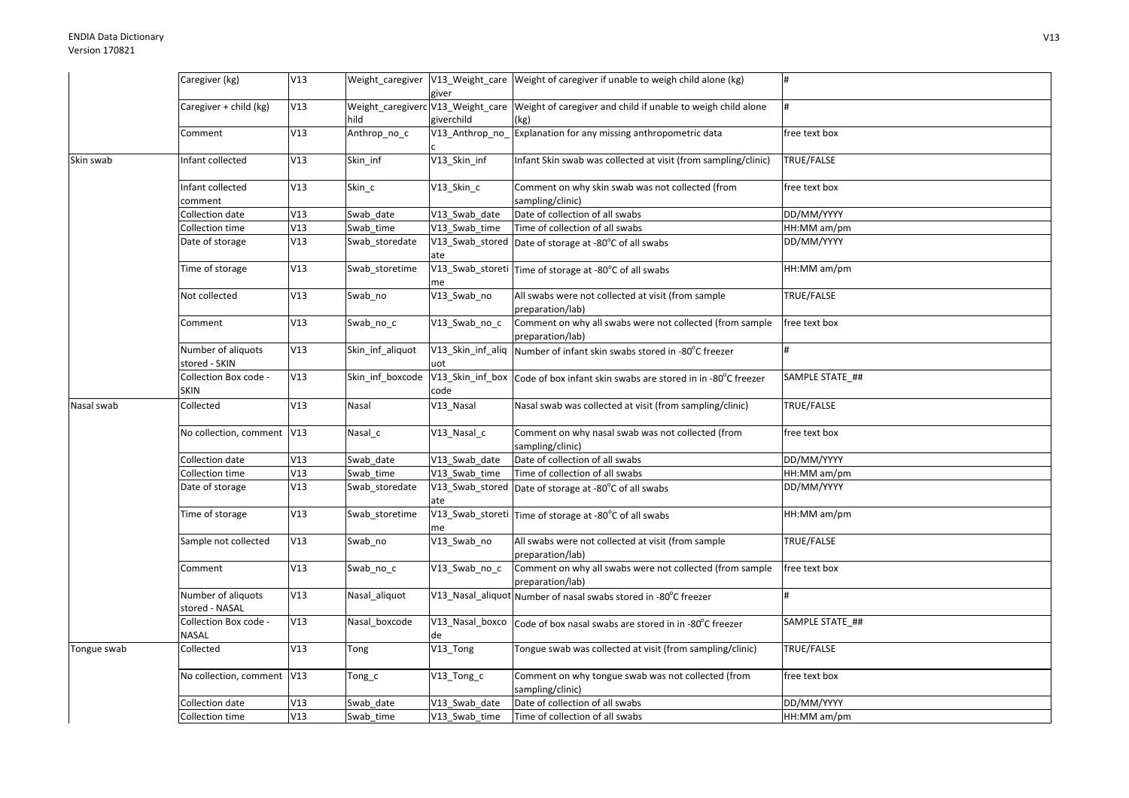|             | Caregiver (kg)                       | V13 |                  | giver                  | Weight_caregiver   V13_Weight_care   Weight of caregiver if unable to weigh child alone (kg)           |                 |
|-------------|--------------------------------------|-----|------------------|------------------------|--------------------------------------------------------------------------------------------------------|-----------------|
|             | Caregiver + child (kg)               | V13 | hild             | giverchild             | Weight_caregiverc V13_Weight_care Weight of caregiver and child if unable to weigh child alone<br>(kg) |                 |
|             | Comment                              | V13 | Anthrop_no_c     | V13_Anthrop_no_        | Explanation for any missing anthropometric data                                                        | free text box   |
| Skin swab   | Infant collected                     | V13 | Skin inf         | V13_Skin_inf           | Infant Skin swab was collected at visit (from sampling/clinic)                                         | TRUE/FALSE      |
|             | Infant collected<br>comment          | V13 | Skin_c           | V13_Skin_c             | Comment on why skin swab was not collected (from<br>sampling/clinic)                                   | free text box   |
|             | Collection date                      | V13 | Swab date        | V13 Swab date          | Date of collection of all swabs                                                                        | DD/MM/YYYY      |
|             | Collection time                      | V13 | Swab_time        | V13 Swab time          | Time of collection of all swabs                                                                        | HH:MM am/pm     |
|             | Date of storage                      | V13 | Swab_storedate   | ate                    | $\sqrt{V13}$ Swab stored Date of storage at -80 $^{\circ}$ C of all swabs                              | DD/MM/YYYY      |
|             | Time of storage                      | V13 | Swab storetime   | me                     | $\sqrt{V13}$ _Swab_storeti Time of storage at -80 $^{\circ}$ C of all swabs                            | HH:MM am/pm     |
|             | Not collected                        | V13 | Swab_no          | V13_Swab_no            | All swabs were not collected at visit (from sample<br>preparation/lab)                                 | TRUE/FALSE      |
|             | Comment                              | V13 | Swab_no_c        | $\sqrt{13}$ _Swab_no_c | Comment on why all swabs were not collected (from sample<br>preparation/lab)                           | free text box   |
|             | Number of aliquots<br>stored - SKIN  | V13 | Skin inf aliquot | uot                    | V13_Skin_inf_aliq Number of infant skin swabs stored in -80°C freezer                                  |                 |
|             | Collection Box code -<br><b>SKIN</b> | V13 | Skin inf boxcode | code                   | V13_Skin_inf_box Code of box infant skin swabs are stored in in -80°C freezer                          | SAMPLE STATE ## |
| Nasal swab  | Collected                            | V13 | Nasal            | V13_Nasal              | Nasal swab was collected at visit (from sampling/clinic)                                               | TRUE/FALSE      |
|             | No collection, comment V13           |     | Nasal c          | V13_Nasal_c            | Comment on why nasal swab was not collected (from<br>sampling/clinic)                                  | free text box   |
|             | Collection date                      | V13 | Swab date        | V13_Swab_date          | Date of collection of all swabs                                                                        | DD/MM/YYYY      |
|             | Collection time                      | V13 | Swab_time        | V13 Swab time          | Time of collection of all swabs                                                                        | HH:MM am/pm     |
|             | Date of storage                      | V13 | Swab_storedate   | ate                    | $V13$ <sub>_</sub> Swab_stored $\vert$ Date of storage at -80 $^{\circ}$ C of all swabs                | DD/MM/YYYY      |
|             | Time of storage                      | V13 | Swab_storetime   | me                     | V13_Swab_storeti Time of storage at -80°C of all swabs                                                 | HH:MM am/pm     |
|             | Sample not collected                 | V13 | Swab no          | V13 Swab no            | All swabs were not collected at visit (from sample<br>preparation/lab)                                 | TRUE/FALSE      |
|             | Comment                              | V13 | Swab_no_c        | V13_Swab_no_c          | Comment on why all swabs were not collected (from sample<br>preparation/lab)                           | free text box   |
|             | Number of aliquots<br>stored - NASAL | V13 | Nasal_aliquot    |                        | V13_Nasal_aliquot Number of nasal swabs stored in -80°C freezer                                        |                 |
|             | Collection Box code -<br>NASAL       | V13 | Nasal boxcode    | de                     | V13_Nasal_boxco Code of box nasal swabs are stored in in -80°C freezer                                 | SAMPLE STATE_## |
| Tongue swab | Collected                            | V13 | Tong             | V13_Tong               | Tongue swab was collected at visit (from sampling/clinic)                                              | TRUE/FALSE      |
|             | No collection, comment   V13         |     | Tong_c           | V13_Tong_c             | Comment on why tongue swab was not collected (from<br>sampling/clinic)                                 | free text box   |
|             | Collection date                      | V13 | Swab date        | V13 Swab date          | Date of collection of all swabs                                                                        | DD/MM/YYYY      |
|             | Collection time                      | V13 | Swab_time        | V13_Swab_time          | Time of collection of all swabs                                                                        | HH:MM am/pm     |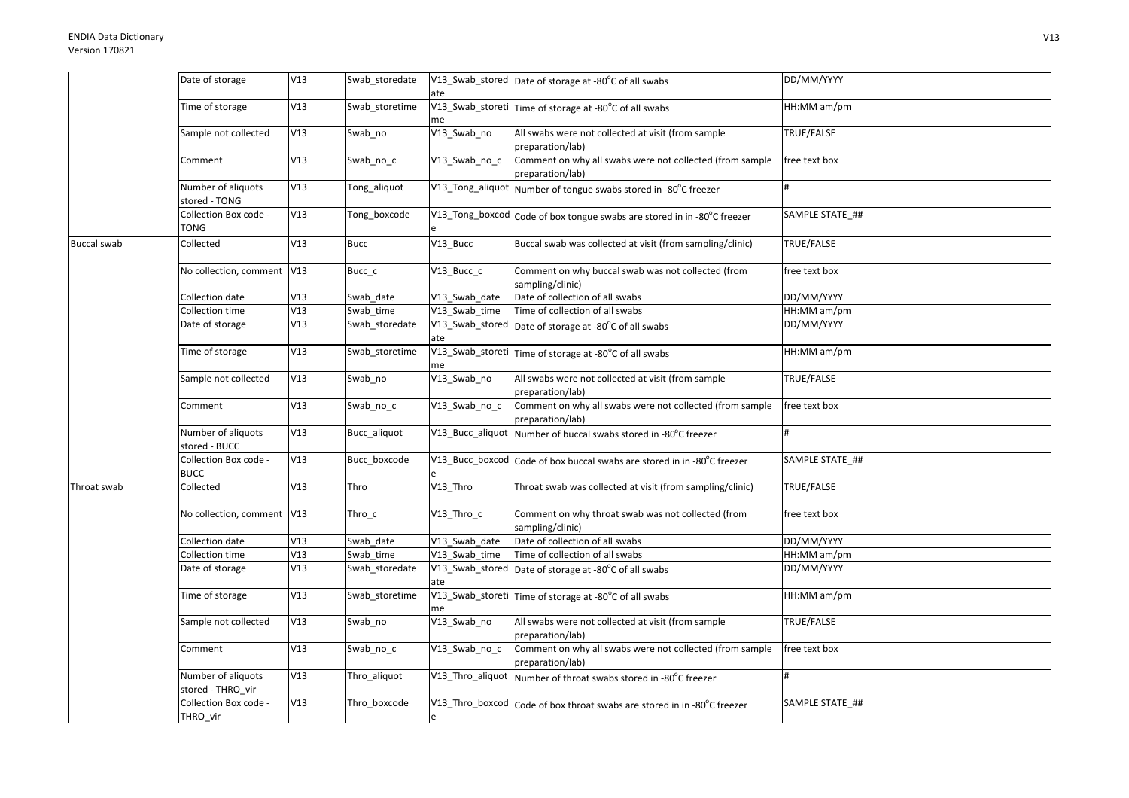## ENDIA Data DictionaryVersion 170821

|                    | Date of storage                         | V13 | Swab_storedate | ate           | V13_Swab_stored Date of storage at -80°C of all swabs                        | DD/MM/YYYY        |
|--------------------|-----------------------------------------|-----|----------------|---------------|------------------------------------------------------------------------------|-------------------|
|                    | Time of storage                         | V13 | Swab storetime | me            | V13_Swab_storeti Time of storage at -80°C of all swabs                       | HH:MM am/pm       |
|                    | Sample not collected                    | V13 | Swab no        | V13_Swab_no   | All swabs were not collected at visit (from sample<br>preparation/lab)       | TRUE/FALSE        |
|                    | Comment                                 | V13 | Swab_no_c      | V13 Swab no c | Comment on why all swabs were not collected (from sample<br>preparation/lab) | free text box     |
|                    | Number of aliquots<br>stored - TONG     | V13 | Tong_aliquot   |               | V13_Tong_aliquot Number of tongue swabs stored in -80°C freezer              |                   |
|                    | Collection Box code -<br>TONG           | V13 | Tong_boxcode   |               | V13_Tong_boxcod Code of box tongue swabs are stored in in -80°C freezer      | SAMPLE STATE ##   |
| <b>Buccal swab</b> | Collected                               | V13 | <b>Bucc</b>    | V13 Bucc      | Buccal swab was collected at visit (from sampling/clinic)                    | TRUE/FALSE        |
|                    | No collection, comment V13              |     | Bucc_c         | V13_Bucc_c    | Comment on why buccal swab was not collected (from<br>sampling/clinic)       | free text box     |
|                    | Collection date                         | V13 | Swab date      | V13 Swab date | Date of collection of all swabs                                              | DD/MM/YYYY        |
|                    | Collection time                         | V13 | Swab time      | V13 Swab time | Time of collection of all swabs                                              | HH:MM am/pm       |
|                    | Date of storage                         | V13 | Swab_storedate | ate           | V13_Swab_stored Date of storage at -80°C of all swabs                        | DD/MM/YYYY        |
|                    | Time of storage                         | V13 | Swab storetime | me            | V13_Swab_storeti Time of storage at -80°C of all swabs                       | HH:MM am/pm       |
|                    | Sample not collected                    | V13 | Swab_no        | V13_Swab_no   | All swabs were not collected at visit (from sample<br>preparation/lab)       | TRUE/FALSE        |
|                    | Comment                                 | V13 | Swab_no_c      | V13_Swab_no_c | Comment on why all swabs were not collected (from sample<br>preparation/lab) | free text box     |
|                    | Number of aliquots<br>stored - BUCC     | V13 | Bucc_aliquot   |               | V13_Bucc_aliquot Number of buccal swabs stored in -80°C freezer              |                   |
|                    | Collection Box code -<br><b>BUCC</b>    | V13 | Bucc boxcode   |               | V13_Bucc_boxcod Code of box buccal swabs are stored in in -80°C freezer      | SAMPLE STATE ##   |
| Throat swab        | Collected                               | V13 | Thro           | V13_Thro      | Throat swab was collected at visit (from sampling/clinic)                    | <b>TRUE/FALSE</b> |
|                    | No collection, comment V13              |     | Thro $\_$ c    | V13_Thro_c    | Comment on why throat swab was not collected (from<br>sampling/clinic)       | free text box     |
|                    | Collection date                         | V13 | Swab date      | V13 Swab date | Date of collection of all swabs                                              | DD/MM/YYYY        |
|                    | Collection time                         | V13 | Swab time      | V13 Swab time | Time of collection of all swabs                                              | HH:MM am/pm       |
|                    | Date of storage                         | V13 | Swab storedate | ate           | V13_Swab_stored Date of storage at -80°C of all swabs                        | DD/MM/YYYY        |
|                    | Time of storage                         | V13 | Swab_storetime | me            | V13_Swab_storeti Time of storage at -80°C of all swabs                       | HH:MM am/pm       |
|                    | Sample not collected                    | V13 | Swab_no        | V13_Swab_no   | All swabs were not collected at visit (from sample<br>preparation/lab)       | TRUE/FALSE        |
|                    | Comment                                 | V13 | Swab_no_c      | V13 Swab no c | Comment on why all swabs were not collected (from sample<br>preparation/lab) | free text box     |
|                    | Number of aliquots<br>stored - THRO_vir | V13 | Thro aliquot   |               | V13_Thro_aliquot Number of throat swabs stored in -80°C freezer              |                   |
|                    | Collection Box code -<br>THRO_vir       | V13 | Thro_boxcode   |               | V13_Thro_boxcod Code of box throat swabs are stored in in -80°C freezer      | SAMPLE STATE ##   |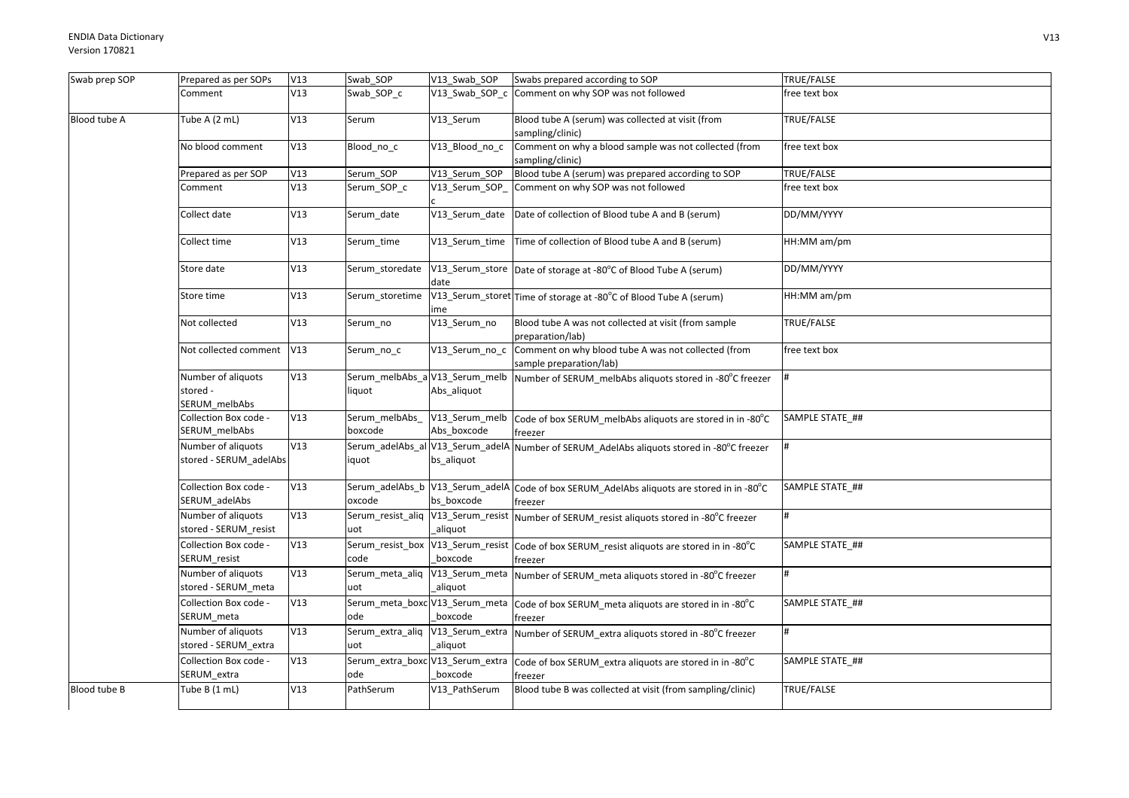| Swab prep SOP | Prepared as per SOPs                            | V13 | Swab_SOP                  | V13_Swab_SOP                                  | Swabs prepared according to SOP                                                                       | TRUE/FALSE      |
|---------------|-------------------------------------------------|-----|---------------------------|-----------------------------------------------|-------------------------------------------------------------------------------------------------------|-----------------|
|               | Comment                                         | V13 | Swab_SOP_c                | $V13$ _Swab_SOP_c                             | Comment on why SOP was not followed                                                                   | free text box   |
| Blood tube A  | Tube A (2 mL)                                   | V13 | Serum                     | V13 Serum                                     | Blood tube A (serum) was collected at visit (from<br>sampling/clinic)                                 | TRUE/FALSE      |
|               | No blood comment                                | V13 | Blood_no_c                | V13 Blood no c                                | Comment on why a blood sample was not collected (from<br>sampling/clinic)                             | free text box   |
|               | Prepared as per SOP                             | V13 | Serum_SOP                 | V13_Serum_SOP                                 | Blood tube A (serum) was prepared according to SOP                                                    | TRUE/FALSE      |
|               | Comment                                         | V13 | Serum_SOP_c               | V13 Serum SOP                                 | Comment on why SOP was not followed                                                                   | free text box   |
|               | Collect date                                    | V13 | Serum date                | V13_Serum_date                                | Date of collection of Blood tube A and B (serum)                                                      | DD/MM/YYYY      |
|               | Collect time                                    | V13 | Serum_time                |                                               | V13_Serum_time   Time of collection of Blood tube A and B (serum)                                     | HH:MM am/pm     |
|               | Store date                                      | V13 | Serum_storedate           | date                                          | V13_Serum_store Date of storage at -80°C of Blood Tube A (serum)                                      | DD/MM/YYYY      |
|               | Store time                                      | V13 | Serum storetime           | me                                            | V13_Serum_storet Time of storage at -80°C of Blood Tube A (serum)                                     | HH:MM am/pm     |
|               | Not collected                                   | V13 | Serum_no                  | V13_Serum_no                                  | Blood tube A was not collected at visit (from sample<br>preparation/lab)                              | TRUE/FALSE      |
|               | Not collected comment                           | V13 | Serum_no_c                | V13_Serum_no_c                                | Comment on why blood tube A was not collected (from<br>sample preparation/lab)                        | free text box   |
|               | Number of aliquots<br>stored -<br>SERUM_melbAbs | V13 | liquot                    | Serum_melbAbs_a V13_Serum_melb<br>Abs_aliquot | Number of SERUM_melbAbs aliquots stored in -80°C freezer                                              |                 |
|               | Collection Box code -<br>SERUM_melbAbs          | V13 | Serum_melbAbs_<br>boxcode | V13_Serum_melb<br>Abs boxcode                 | Code of box SERUM melbAbs aliquots are stored in in -80°C<br>freezer                                  | SAMPLE STATE_## |
|               | Number of aliquots<br>stored - SERUM_adelAbs    | V13 | iquot                     | bs_aliquot                                    | Serum_adelAbs_al V13_Serum_adelA Number of SERUM_AdelAbs aliquots stored in -80°C freezer             |                 |
|               | Collection Box code -<br>SERUM_adelAbs          | V13 | oxcode                    | bs boxcode                                    | Serum_adelAbs_b V13_Serum_adelA Code of box SERUM_AdelAbs aliquots are stored in in -80°C<br>freezer  | SAMPLE STATE ## |
|               | Number of aliquots<br>stored - SERUM_resist     | V13 | uot                       | aliquot                                       | Serum_resist_aliq V13_Serum_resist Number of SERUM_resist aliquots stored in -80°C freezer            |                 |
|               | Collection Box code -<br>SERUM_resist           | V13 | code                      | boxcode                                       | Serum_resist_box V13_Serum_resist Code of box SERUM_resist aliquots are stored in in -80°C<br>freezer | SAMPLE STATE ## |
|               | Number of aliquots<br>stored - SERUM meta       | V13 | uot                       | aliquot                                       | Serum_meta_aliq  V13_Serum_meta  Number of SERUM_meta aliquots stored in -80°C freezer                |                 |
|               | Collection Box code -<br>SERUM_meta             | V13 | ode                       | boxcode                                       | Serum_meta_boxc V13_Serum_meta  Code of box SERUM_meta aliquots are stored in in -80°C<br>freezer     | SAMPLE STATE_## |
|               | Number of aliquots<br>stored - SERUM_extra      | V13 | uot                       | aliquot                                       | Serum_extra_aliq V13_Serum_extra Number of SERUM_extra aliquots stored in -80°C freezer               |                 |
|               | Collection Box code -<br>SERUM_extra            | V13 | ode                       | boxcode                                       | Serum_extra_boxc V13_Serum_extra  Code of box SERUM_extra aliquots are stored in in -80°C<br>freezer  | SAMPLE STATE ## |
| Blood tube B  | Tube B (1 mL)                                   | V13 | PathSerum                 | V13 PathSerum                                 | Blood tube B was collected at visit (from sampling/clinic)                                            | TRUE/FALSE      |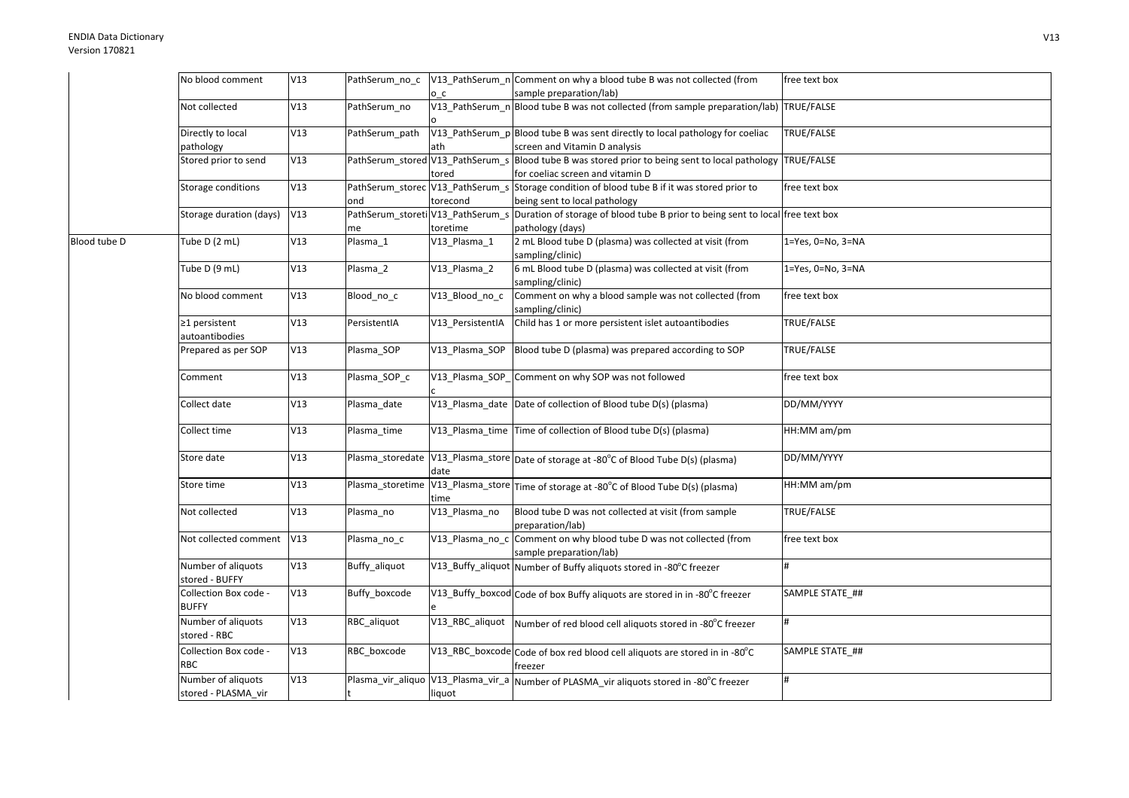|              | No blood comment                          | V13 | PathSerum_no_c |                  | V13_PathSerum_n Comment on why a blood tube B was not collected (from                                                                | free text box             |
|--------------|-------------------------------------------|-----|----------------|------------------|--------------------------------------------------------------------------------------------------------------------------------------|---------------------------|
|              |                                           |     |                | o c              | sample preparation/lab)                                                                                                              |                           |
|              | Not collected                             | V13 | PathSerum no   |                  | V13_PathSerum_n Blood tube B was not collected (from sample preparation/lab) TRUE/FALSE                                              |                           |
|              | Directly to local<br>pathology            | V13 | PathSerum_path | ath              | V13_PathSerum_p Blood tube B was sent directly to local pathology for coeliac<br>screen and Vitamin D analysis                       | TRUE/FALSE                |
|              | Stored prior to send                      | V13 |                | tored            | PathSerum_stored V13_PathSerum_s Blood tube B was stored prior to being sent to local pathology<br>for coeliac screen and vitamin D  | TRUE/FALSE                |
|              | Storage conditions                        | V13 | ond            | torecond         | PathSerum_storec V13_PathSerum_s Storage condition of blood tube B if it was stored prior to<br>being sent to local pathology        | free text box             |
|              | Storage duration (days)                   | V13 | me             | toretime         | PathSerum_storeti V13_PathSerum_s Duration of storage of blood tube B prior to being sent to local free text box<br>pathology (days) |                           |
| Blood tube D | Tube D (2 mL)                             | V13 | Plasma 1       | V13_Plasma_1     | 2 mL Blood tube D (plasma) was collected at visit (from<br>sampling/clinic)                                                          | $1 = Yes, 0 = No, 3 = NA$ |
|              | Tube D (9 mL)                             | V13 | Plasma_2       | V13_Plasma_2     | 6 mL Blood tube D (plasma) was collected at visit (from<br>sampling/clinic)                                                          | 1=Yes, 0=No, 3=NA         |
|              | No blood comment                          | V13 | Blood_no_c     | V13_Blood_no_c   | Comment on why a blood sample was not collected (from<br>sampling/clinic)                                                            | free text box             |
|              | ≥1 persistent<br>autoantibodies           | V13 | PersistentIA   | V13_PersistentIA | Child has 1 or more persistent islet autoantibodies                                                                                  | <b>TRUE/FALSE</b>         |
|              | Prepared as per SOP                       | V13 | Plasma SOP     | V13 Plasma SOP   | Blood tube D (plasma) was prepared according to SOP                                                                                  | TRUE/FALSE                |
|              | Comment                                   | V13 | Plasma_SOP_c   |                  | V13_Plasma_SOP_Comment on why SOP was not followed                                                                                   | free text box             |
|              | Collect date                              | V13 | Plasma_date    |                  | V13_Plasma_date Date of collection of Blood tube D(s) (plasma)                                                                       | DD/MM/YYYY                |
|              | Collect time                              | V13 | Plasma time    |                  | V13_Plasma_time Time of collection of Blood tube D(s) (plasma)                                                                       | HH:MM am/pm               |
|              | Store date                                | V13 |                | date             | Plasma_storedate V13_Plasma_store Date of storage at -80°C of Blood Tube D(s) (plasma)                                               | DD/MM/YYYY                |
|              | Store time                                | V13 |                | time             | Plasma_storetime V13_Plasma_store Time of storage at -80°C of Blood Tube D(s) (plasma)                                               | HH:MM am/pm               |
|              | Not collected                             | V13 | Plasma_no      | V13_Plasma_no    | Blood tube D was not collected at visit (from sample<br>preparation/lab)                                                             | TRUE/FALSE                |
|              | Not collected comment                     | V13 | Plasma no c    |                  | V13_Plasma_no_c Comment on why blood tube D was not collected (from<br>sample preparation/lab)                                       | free text box             |
|              | Number of aliquots<br>stored - BUFFY      | V13 | Buffy_aliquot  |                  | V13_Buffy_aliquot Number of Buffy aliquots stored in -80°C freezer                                                                   | #                         |
|              | Collection Box code -<br><b>BUFFY</b>     | V13 | Buffy_boxcode  |                  | V13_Buffy_boxcod Code of box Buffy aliquots are stored in in -80°C freezer                                                           | SAMPLE STATE ##           |
|              | Number of aliquots<br>stored - RBC        | V13 | RBC aliquot    | V13_RBC_aliquot  | Number of red blood cell aliquots stored in -80°C freezer                                                                            | #                         |
|              | Collection Box code -<br><b>RBC</b>       | V13 | RBC_boxcode    |                  | V13_RBC_boxcode Code of box red blood cell aliquots are stored in in -80°C<br>freezer                                                | SAMPLE STATE_##           |
|              | Number of aliquots<br>stored - PLASMA vir | V13 |                | liquot           | Plasma_vir_aliquo  V13_Plasma_vir_a  Number of PLASMA_vir aliquots stored in -80°C freezer                                           | $\#$                      |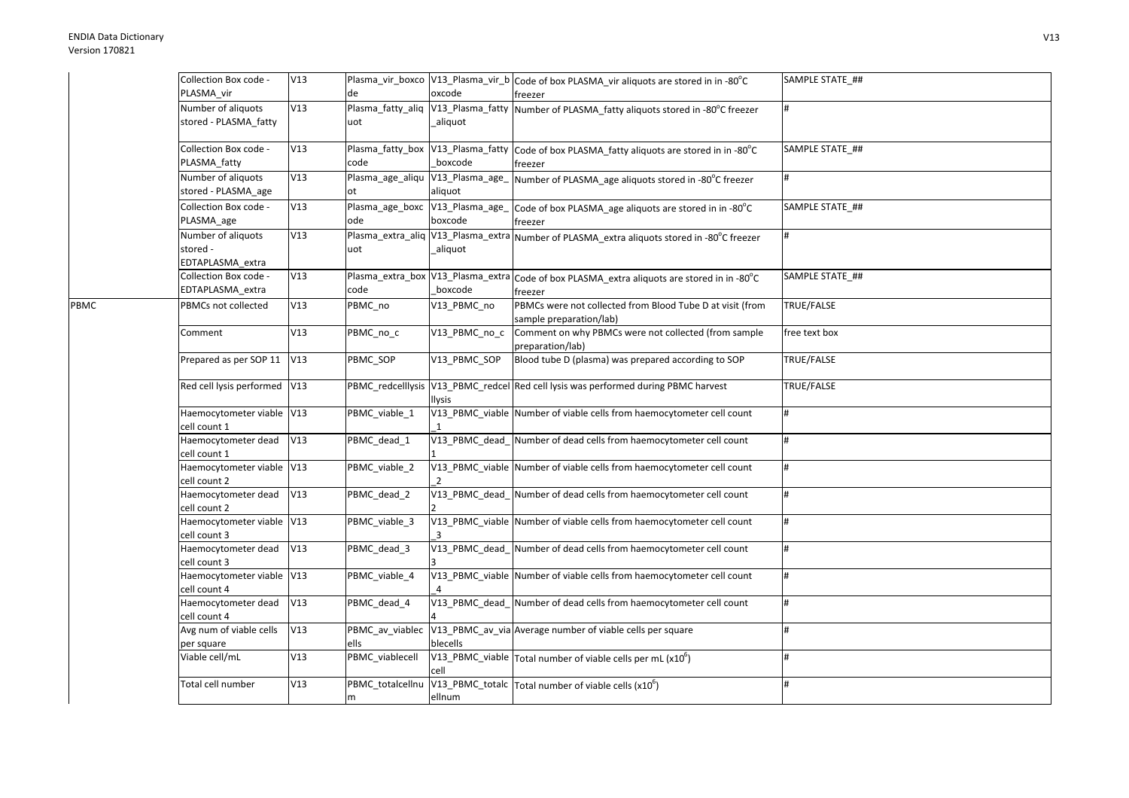PBMC

| Collection Box code -<br>PLASMA_vir                              | V13 | de                                        | oxcode                                        | Plasma_vir_boxco  V13_Plasma_vir_b  Code of box PLASMA_vir aliquots are stored in in -80°C<br>freezer                                      | SAMPLE STATE_## |
|------------------------------------------------------------------|-----|-------------------------------------------|-----------------------------------------------|--------------------------------------------------------------------------------------------------------------------------------------------|-----------------|
| Number of aliquots<br>stored - PLASMA_fatty                      | V13 | Plasma_fatty_aliq V13_Plasma_fatty<br>uot | aliquot                                       | Number of PLASMA_fatty aliquots stored in -80°C freezer                                                                                    |                 |
| Collection Box code -<br>PLASMA_fatty                            | V13 | Plasma_fatty_box V13_Plasma_fatty<br>code | boxcode                                       | Code of box PLASMA fatty aliquots are stored in in -80°C<br>freezer                                                                        | SAMPLE STATE ## |
| Number of aliquots<br>stored - PLASMA_age                        | V13 | Plasma_age_aliqu V13_Plasma_age_<br>ot    | aliquot                                       | Number of PLASMA_age aliquots stored in -80°C freezer                                                                                      |                 |
| Collection Box code -<br>PLASMA_age                              | V13 | Plasma_age_boxc V13_Plasma_age_<br>ode    | boxcode                                       | Code of box PLASMA_age aliquots are stored in in -80°C<br>freezer                                                                          | SAMPLE STATE ## |
| Number of aliquots<br>stored -<br>EDTAPLASMA extra               | V13 | uot                                       | Plasma_extra_aliq V13_Plasma_extra<br>aliquot | Number of PLASMA_extra aliquots stored in -80°C freezer                                                                                    | #               |
| Collection Box code -<br>EDTAPLASMA_extra                        | V13 | code                                      | Plasma_extra_box V13_Plasma_extra<br>boxcode  | Code of box PLASMA extra aliquots are stored in in -80°C<br>freezer                                                                        | SAMPLE STATE ## |
| PBMCs not collected                                              | V13 | PBMC_no                                   | V13_PBMC_no                                   | PBMCs were not collected from Blood Tube D at visit (from<br>sample preparation/lab)                                                       | TRUE/FALSE      |
| Comment                                                          | V13 | PBMC_no_c                                 | V13_PBMC_no_c                                 | Comment on why PBMCs were not collected (from sample<br>preparation/lab)                                                                   | free text box   |
| Prepared as per SOP 11                                           | V13 | PBMC_SOP                                  | V13_PBMC_SOP                                  | Blood tube D (plasma) was prepared according to SOP                                                                                        | TRUE/FALSE      |
| Red cell lysis performed V13                                     |     |                                           | <b>Ilysis</b>                                 | PBMC_redcelllysis V13_PBMC_redcel Red cell lysis was performed during PBMC harvest                                                         | TRUE/FALSE      |
| Haemocytometer viable V13<br>cell count 1                        |     | PBMC_viable_1                             |                                               | V13_PBMC_viable Number of viable cells from haemocytometer cell count                                                                      | #               |
| Haemocytometer dead<br>cell count 1                              | V13 | PBMC_dead_1                               | V13_PBMC_dead_                                | Number of dead cells from haemocytometer cell count                                                                                        |                 |
| Haemocytometer viable V13<br>cell count 2                        |     | PBMC_viable_2                             | $\overline{2}$                                | V13_PBMC_viable Number of viable cells from haemocytometer cell count                                                                      |                 |
| Haemocytometer dead<br>cell count 2                              | V13 | PBMC dead 2                               |                                               | V13_PBMC_dead_Number of dead cells from haemocytometer cell count<br>V13_PBMC_viable Number of viable cells from haemocytometer cell count |                 |
| Haemocytometer viable V13<br>cell count 3<br>Haemocytometer dead | V13 | PBMC_viable_3<br>PBMC_dead_3              | V13_PBMC_dead_                                | Number of dead cells from haemocytometer cell count                                                                                        |                 |
| cell count 3<br>Haemocytometer viable V13                        |     | PBMC_viable_4                             |                                               | V13_PBMC_viable Number of viable cells from haemocytometer cell count                                                                      | #               |
| cell count 4<br>Haemocytometer dead                              | V13 | PBMC_dead_4                               | V13_PBMC_dead_                                | Number of dead cells from haemocytometer cell count                                                                                        |                 |
| cell count 4<br>Avg num of viable cells                          | V13 | PBMC_av_viablec                           |                                               | V13_PBMC_av_via Average number of viable cells per square                                                                                  |                 |
| per square                                                       |     | ells                                      | blecells                                      |                                                                                                                                            |                 |
| Viable cell/mL                                                   | V13 | PBMC_viablecell                           | cell                                          | V13_PBMC_viable Total number of viable cells per mL (x10 <sup>6</sup> )                                                                    |                 |
| Total cell number                                                | V13 | PBMC_totalcellnu<br>m                     | ellnum                                        | V13_PBMC_totalc Total number of viable cells (x10 <sup>6</sup> )                                                                           |                 |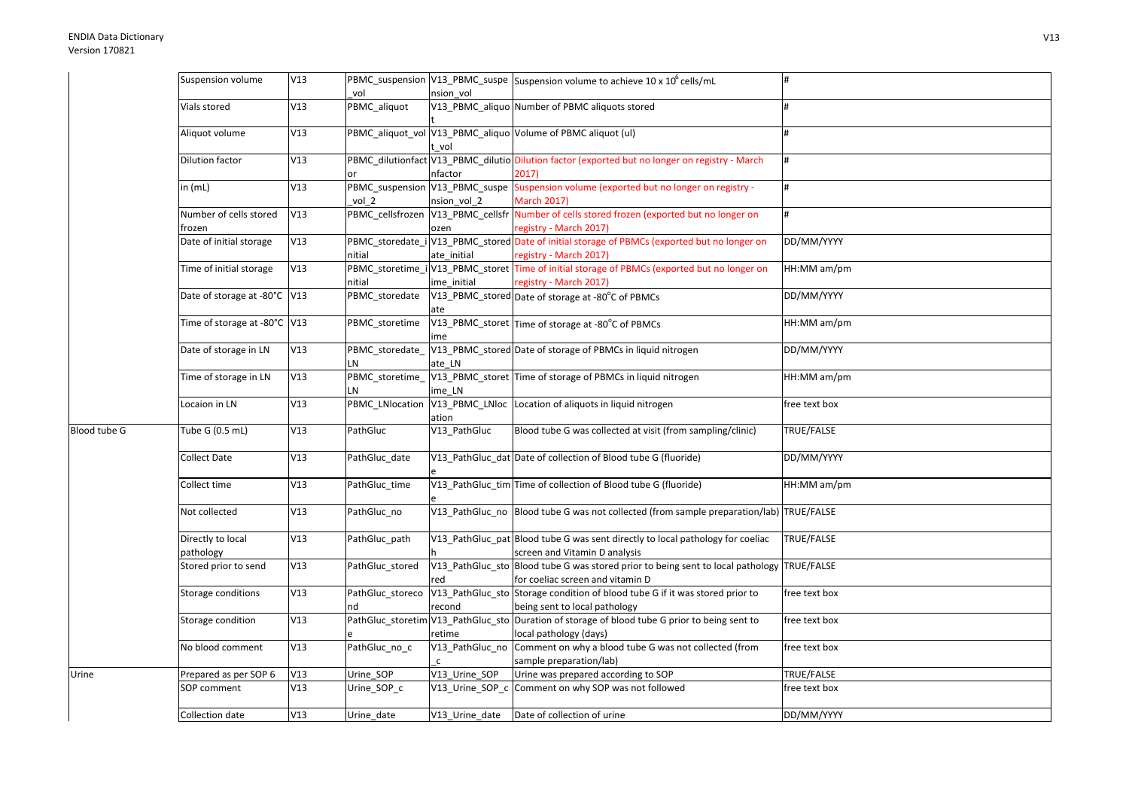|              | Suspension volume            | V13 |                     |                 | PBMC_suspension V13_PBMC_suspe Suspension volume to achieve 10 x 10 <sup>6</sup> cells/mL                    |               |
|--------------|------------------------------|-----|---------------------|-----------------|--------------------------------------------------------------------------------------------------------------|---------------|
|              | Vials stored                 | V13 | vol<br>PBMC_aliquot | nsion vol       | V13_PBMC_aliquo Number of PBMC aliquots stored                                                               |               |
|              |                              |     |                     |                 |                                                                                                              |               |
|              | Aliquot volume               | V13 |                     |                 | PBMC_aliquot_vol V13_PBMC_aliquo Volume of PBMC aliquot (ul)                                                 |               |
|              |                              |     |                     | vol             |                                                                                                              |               |
|              | <b>Dilution factor</b>       | V13 |                     |                 | PBMC_dilutionfact V13_PBMC_dilutio Dilution factor (exported but no longer on registry - March               | #             |
|              |                              |     |                     | nfactor         | 2017)                                                                                                        |               |
|              | in $(mL)$                    | V13 | vol 2               | nsion vol 2     | PBMC_suspension V13_PBMC_suspe Suspension volume (exported but no longer on registry -<br><b>March 2017)</b> | #             |
|              | Number of cells stored       | V13 |                     |                 | PBMC_cellsfrozen   V13_PBMC_cellsfr   Number of cells stored frozen (exported but no longer on               | #             |
|              | frozen                       |     |                     | ozen            | registry - March 2017)                                                                                       |               |
|              | Date of initial storage      | V13 |                     |                 | PBMC_storedate_i V13_PBMC_stored Date of initial storage of PBMCs (exported but no longer on                 | DD/MM/YYYY    |
|              |                              |     | nitial              | ate initial     | registry - March 2017)                                                                                       |               |
|              | Time of initial storage      | V13 |                     |                 | PBMC_storetime_i V13_PBMC_storet Time of initial storage of PBMCs (exported but no longer on                 | HH:MM am/pm   |
|              |                              |     | nitial              | ime initial     | registry - March 2017)                                                                                       |               |
|              | Date of storage at -80°C V13 |     | PBMC storedate      |                 | V13_PBMC_stored Date of storage at -80°C of PBMCs                                                            | DD/MM/YYYY    |
|              |                              |     |                     | ate             |                                                                                                              |               |
|              | Time of storage at -80°C V13 |     | PBMC_storetime      |                 | V13_PBMC_storet Time of storage at -80°C of PBMCs                                                            | HH:MM am/pm   |
|              |                              |     |                     | ime             |                                                                                                              |               |
|              | Date of storage in LN        | V13 | PBMC_storedate_     |                 | V13_PBMC_stored Date of storage of PBMCs in liquid nitrogen                                                  | DD/MM/YYYY    |
|              |                              |     | LN                  | ate LN          |                                                                                                              |               |
|              | Time of storage in LN        | V13 | PBMC_storetime_     |                 | V13_PBMC_storet Time of storage of PBMCs in liquid nitrogen                                                  | HH:MM am/pm   |
|              |                              |     | LN                  | ime LN          |                                                                                                              |               |
|              | Locaion in LN                | V13 | PBMC LNlocation     |                 | V13_PBMC_LNloc Location of aliquots in liquid nitrogen                                                       | free text box |
|              |                              |     |                     | ation           |                                                                                                              |               |
| Blood tube G | Tube G (0.5 mL)              | V13 | PathGluc            | V13_PathGluc    | Blood tube G was collected at visit (from sampling/clinic)                                                   | TRUE/FALSE    |
|              | <b>Collect Date</b>          | V13 | PathGluc_date       |                 | V13_PathGluc_dat Date of collection of Blood tube G (fluoride)                                               | DD/MM/YYYY    |
|              | Collect time                 | V13 | PathGluc time       |                 | V13_PathGluc_tim Time of collection of Blood tube G (fluoride)                                               | HH:MM am/pm   |
|              | Not collected                | V13 | PathGluc no         |                 | V13_PathGluc_no Blood tube G was not collected (from sample preparation/lab) TRUE/FALSE                      |               |
|              | Directly to local            | V13 | PathGluc path       |                 | V13_PathGluc_pat Blood tube G was sent directly to local pathology for coeliac                               | TRUE/FALSE    |
|              | pathology                    |     |                     |                 | screen and Vitamin D analysis                                                                                |               |
|              | Stored prior to send         | V13 | PathGluc stored     |                 | V13_PathGluc_sto Blood tube G was stored prior to being sent to local pathology                              | TRUE/FALSE    |
|              |                              |     |                     | red             | for coeliac screen and vitamin D                                                                             |               |
|              | Storage conditions           | V13 | PathGluc_storeco    |                 | V13_PathGluc_sto Storage condition of blood tube G if it was stored prior to                                 | free text box |
|              |                              |     | nd                  | recond          | being sent to local pathology                                                                                |               |
|              | Storage condition            | V13 |                     |                 | PathGluc_storetim V13_PathGluc_sto Duration of storage of blood tube G prior to being sent to                | free text box |
|              |                              |     |                     | retime          | local pathology (days)                                                                                       |               |
|              | No blood comment             | V13 | PathGluc_no_c       | V13_PathGluc_no | Comment on why a blood tube G was not collected (from                                                        | free text box |
|              |                              |     |                     | $\mathsf{C}$    | sample preparation/lab)                                                                                      |               |
| Urine        | Prepared as per SOP 6        | V13 | Urine_SOP           | V13 Urine SOP   | Urine was prepared according to SOP                                                                          | TRUE/FALSE    |
|              | SOP comment                  | V13 | Urine_SOP_c         | V13_Urine_SOP_c | Comment on why SOP was not followed                                                                          | free text box |
|              | Collection date              | V13 | Urine_date          | V13_Urine_date  | Date of collection of urine                                                                                  | DD/MM/YYYY    |
|              |                              |     |                     |                 |                                                                                                              |               |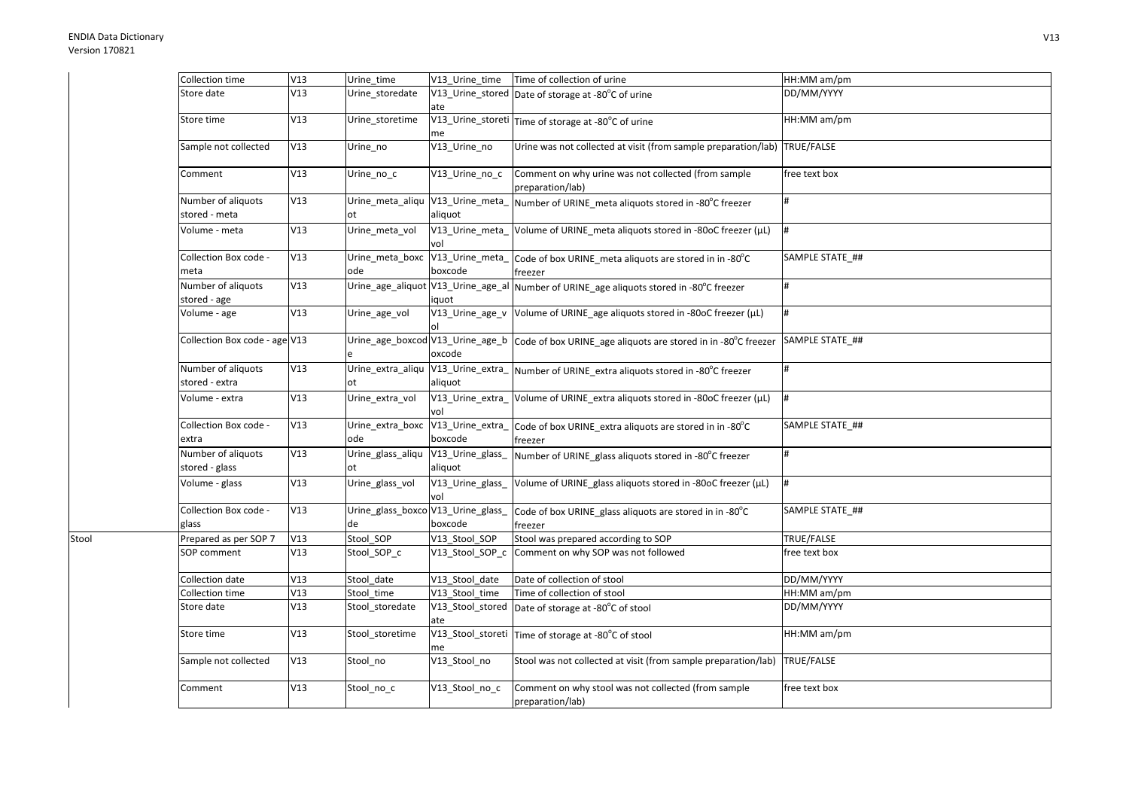Stool

| Collection time                      | V13 | Urine time                               |                             | V13_Urine_time Time of collection of urine                                | HH:MM am/pm     |
|--------------------------------------|-----|------------------------------------------|-----------------------------|---------------------------------------------------------------------------|-----------------|
| Store date                           | V13 | Urine_storedate                          | ate                         | V13_Urine_stored Date of storage at -80°C of urine                        | DD/MM/YYYY      |
| Store time                           | V13 | Urine storetime                          | V13_Urine_storeti<br>me     | Time of storage at -80°C of urine                                         | HH:MM am/pm     |
| Sample not collected                 | V13 | Urine_no                                 | V13_Urine_no                | Urine was not collected at visit (from sample preparation/lab) TRUE/FALSE |                 |
| Comment                              | V13 | Urine no c                               | V13_Urine_no_c              | Comment on why urine was not collected (from sample<br>preparation/lab)   | free text box   |
| Number of aliquots<br>stored - meta  | V13 | Urine_meta_aliqu V13_Urine_meta_<br>ot   | aliquot                     | Number of URINE_meta aliquots stored in -80°C freezer                     |                 |
| Volume - meta                        | V13 | Urine_meta_vol                           | V13_Urine_meta_<br>vol      | Volume of URINE_meta aliquots stored in -80oC freezer (µL)                | #               |
| Collection Box code -<br>meta        | V13 | Urine meta boxc<br>ode                   | V13_Urine_meta_<br>boxcode  | Code of box URINE_meta aliquots are stored in in -80°C<br>freezer         | SAMPLE STATE ## |
| Number of aliquots<br>stored - age   | V13 | Urine_age_aliquot V13_Urine_age_al       | iquot                       | Number of URINE_age aliquots stored in -80°C freezer                      |                 |
| Volume - age                         | V13 | Urine_age_vol                            | V13_Urine_age_v             | Volume of URINE_age aliquots stored in -80oC freezer (µL)                 |                 |
| Collection Box code - age V13        |     | Urine_age_boxcod V13_Urine_age_b         | oxcode                      | Code of box URINE_age aliquots are stored in in -80°C freezer             | SAMPLE STATE_## |
| Number of aliquots<br>stored - extra | V13 | Urine_extra_aliqu V13_Urine_extra_<br>ot | aliquot                     | Number of URINE_extra aliquots stored in -80°C freezer                    |                 |
| Volume - extra                       | V13 | Urine extra vol                          | V13_Urine_extra_<br>vol     | Volume of URINE_extra aliquots stored in -80oC freezer (µL)               |                 |
| Collection Box code -<br>extra       | V13 | Urine_extra_boxc<br>ode                  | V13_Urine_extra_<br>boxcode | Code of box URINE_extra aliquots are stored in in -80°C<br>freezer        | SAMPLE STATE_## |
| Number of aliquots<br>stored - glass | V13 | Urine_glass_aliqu<br>ot                  | V13_Urine_glass_<br>aliquot | Number of URINE_glass aliquots stored in -80°C freezer                    |                 |
| Volume - glass                       | V13 | Urine_glass_vol                          | V13_Urine_glass_<br>vol     | Volume of URINE_glass aliquots stored in -80oC freezer (µL)               |                 |
| Collection Box code -<br>glass       | V13 | Urine_glass_boxco V13_Urine_glass_<br>de | boxcode                     | Code of box URINE_glass aliquots are stored in in -80°C<br>freezer        | SAMPLE STATE_## |
| Prepared as per SOP 7                | V13 | Stool_SOP                                | V13_Stool_SOP               | Stool was prepared according to SOP                                       | TRUE/FALSE      |
| SOP comment                          | V13 | Stool_SOP_c                              | V13_Stool_SOP_c             | Comment on why SOP was not followed                                       | free text box   |
| Collection date                      | V13 | Stool date                               | V13 Stool date              | Date of collection of stool                                               | DD/MM/YYYY      |
| Collection time                      | V13 | Stool time                               | V13_Stool_time              | Time of collection of stool                                               | HH:MM am/pm     |
| Store date                           | V13 | Stool_storedate                          | V13_Stool_stored<br>ate     | Date of storage at -80°C of stool                                         | DD/MM/YYYY      |
| Store time                           | V13 | Stool storetime                          | V13_Stool_storeti<br>me     | Time of storage at -80°C of stool                                         | HH:MM am/pm     |
| Sample not collected                 | V13 | Stool no                                 | V13_Stool_no                | Stool was not collected at visit (from sample preparation/lab)            | TRUE/FALSE      |
| Comment                              | V13 | Stool_no_c                               | V13 Stool no c              | Comment on why stool was not collected (from sample<br>preparation/lab)   | free text box   |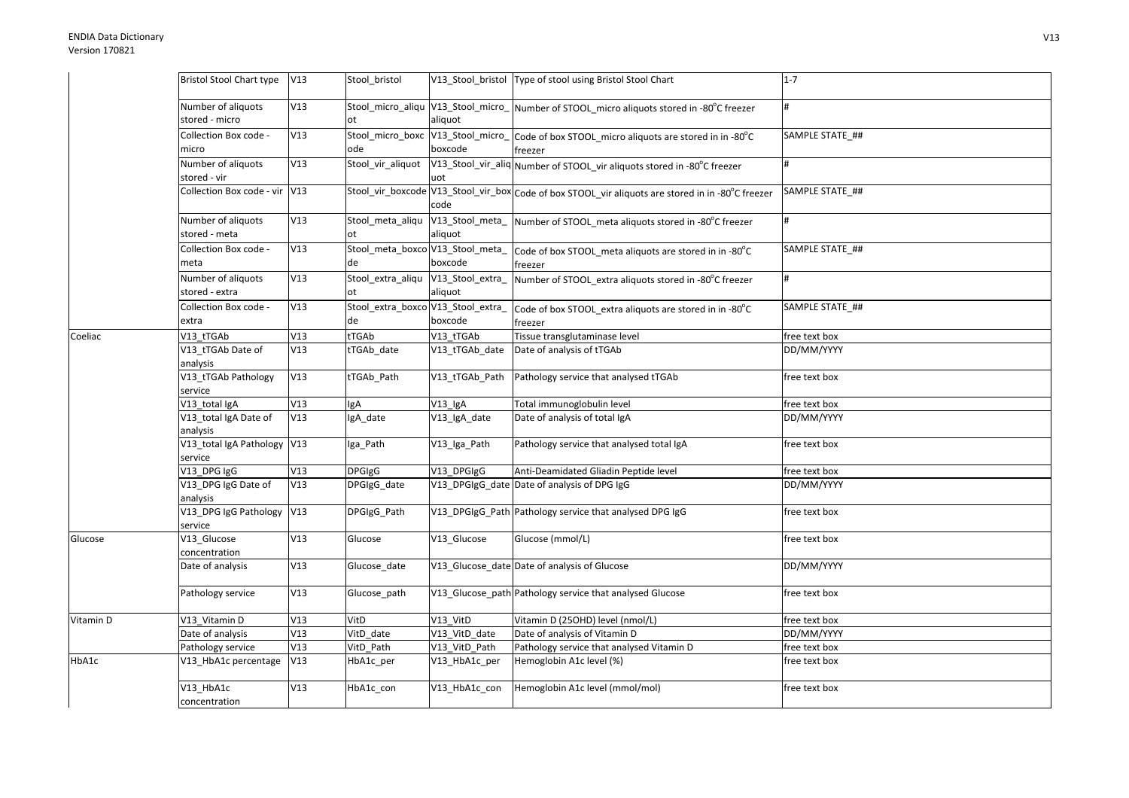|           | Bristol Stool Chart type V13           |     | Stool bristol                            |                             | V13_Stool_bristol   Type of stool using Bristol Stool Chart                                          | $1 - 7$         |
|-----------|----------------------------------------|-----|------------------------------------------|-----------------------------|------------------------------------------------------------------------------------------------------|-----------------|
|           | Number of aliquots<br>stored - micro   | V13 |                                          | aliquot                     | Stool_micro_aliqu V13_Stool_micro_ Number of STOOL_micro aliquots stored in -80°C freezer            |                 |
|           | Collection Box code -<br>micro         | V13 | ode                                      | boxcode                     | Stool_micro_boxc V13_Stool_micro_Code of box STOOL_micro aliquots are stored in in -80°C<br>freezer  | SAMPLE STATE ## |
|           | Number of aliquots<br>stored - vir     | V13 | Stool_vir_aliquot                        | uot                         | V13_Stool_vir_aliq Number of STOOL_vir aliquots stored in -80°C freezer                              |                 |
|           | Collection Box code - vir V13          |     |                                          | code                        | Stool_vir_boxcode V13_Stool_vir_box Code of box STOOL_vir aliquots are stored in in -80°C freezer    | SAMPLE STATE ## |
|           | Number of aliquots<br>stored - meta    | V13 | Stool meta aliqu<br>ot                   | aliquot                     | V13_Stool_meta_ Number of STOOL_meta aliquots stored in -80°C freezer                                |                 |
|           | Collection Box code -<br>meta          | V13 | de                                       | boxcode                     | Stool_meta_boxco V13_Stool_meta_   Code of box STOOL_meta aliquots are stored in in -80°C<br>freezer | SAMPLE STATE_## |
|           | Number of aliquots<br>stored - extra   | V13 | Stool_extra_aliqu<br>ot                  | V13_Stool_extra_<br>aliquot | Number of STOOL_extra aliquots stored in -80°C freezer                                               | #               |
|           | Collection Box code -<br>extra         | V13 | Stool_extra_boxco V13_Stool_extra_<br>de | boxcode                     | Code of box STOOL_extra aliquots are stored in in -80°C<br>freezer                                   | SAMPLE STATE_## |
| Coeliac   | V13_tTGAb                              | V13 | tTGAb                                    | V13 tTGAb                   | Tissue transglutaminase level                                                                        | free text box   |
|           | V13_tTGAb Date of<br>analysis          | V13 | tTGAb date                               | V13_tTGAb_date              | Date of analysis of tTGAb                                                                            | DD/MM/YYYY      |
|           | V13_tTGAb Pathology<br>service         | V13 | tTGAb_Path                               | V13 tTGAb Path              | Pathology service that analysed tTGAb                                                                | free text box   |
|           | V13_total IgA                          | V13 | gA                                       | V13_lgA                     | Total immunoglobulin level                                                                           | free text box   |
|           | V13_total IgA Date of<br>analysis      | V13 | IgA_date                                 | V13_IgA_date                | Date of analysis of total IgA                                                                        | DD/MM/YYYY      |
|           | V13_total IgA Pathology V13<br>service |     | Iga_Path                                 | V13_Iga_Path                | Pathology service that analysed total IgA                                                            | free text box   |
|           | V13_DPG IgG                            | V13 | <b>DPGIgG</b>                            | V13 DPGIgG                  | Anti-Deamidated Gliadin Peptide level                                                                | free text box   |
|           | V13_DPG IgG Date of<br>analysis        | V13 | DPGIgG date                              |                             | V13_DPGIgG_date Date of analysis of DPG IgG                                                          | DD/MM/YYYY      |
|           | V13_DPG IgG Pathology V13<br>service   |     | DPGIgG_Path                              |                             | V13_DPGIgG_Path Pathology service that analysed DPG IgG                                              | free text box   |
| Glucose   | V13_Glucose<br>concentration           | V13 | Glucose                                  | V13 Glucose                 | Glucose (mmol/L)                                                                                     | free text box   |
|           | Date of analysis                       | V13 | Glucose_date                             |                             | V13_Glucose_date Date of analysis of Glucose                                                         | DD/MM/YYYY      |
|           | Pathology service                      | V13 | Glucose_path                             |                             | V13_Glucose_path Pathology service that analysed Glucose                                             | free text box   |
| Vitamin D | V13_Vitamin D                          | V13 | VitD                                     | V13_VitD                    | Vitamin D (25OHD) level (nmol/L)                                                                     | free text box   |
|           | Date of analysis                       | V13 | VitD_date                                | V13_VitD_date               | Date of analysis of Vitamin D                                                                        | DD/MM/YYYY      |
|           | Pathology service                      | V13 | VitD Path                                | V13_VitD_Path               | Pathology service that analysed Vitamin D                                                            | free text box   |
| HbA1c     | V13_HbA1c percentage                   | V13 | HbA1c_per                                | V13_HbA1c_per               | Hemoglobin A1c level (%)                                                                             | free text box   |
|           | V13_HbA1c<br>concentration             | V13 | HbA1c_con                                | V13_HbA1c_con               | Hemoglobin A1c level (mmol/mol)                                                                      | free text box   |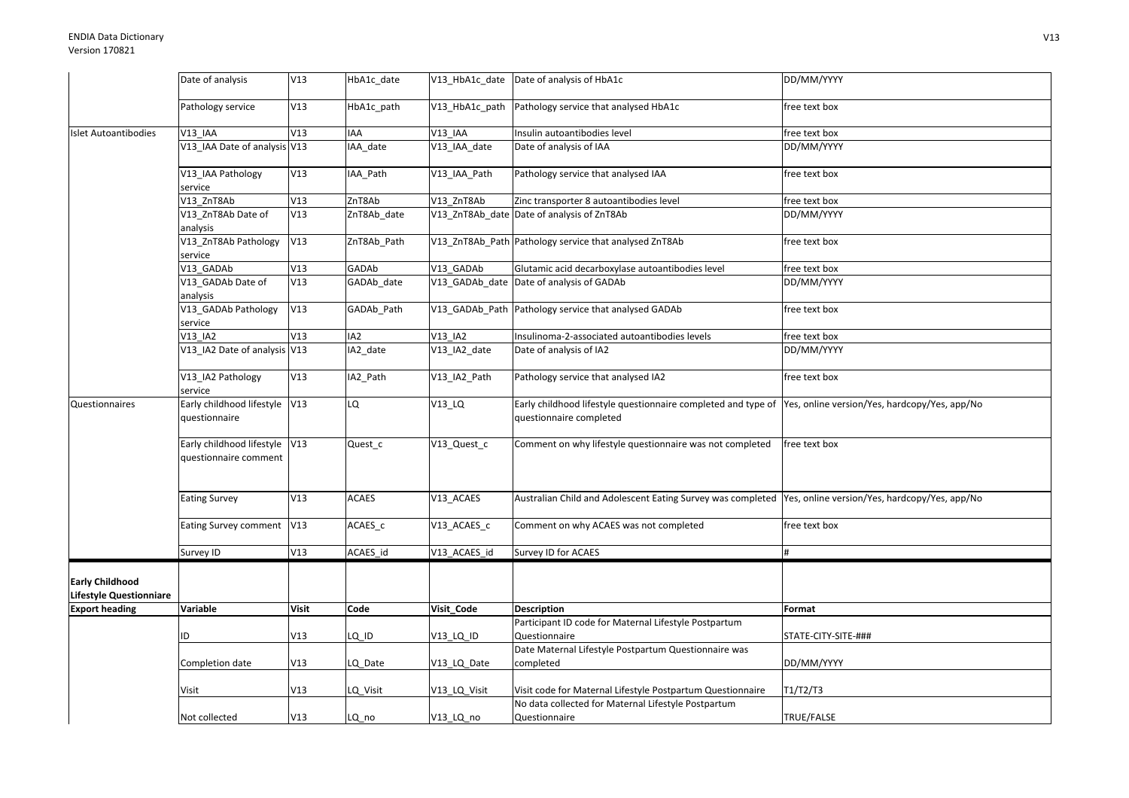|                                                          | Date of analysis                                       | V13          | HbA1c_date      |                       | V13_HbA1c_date Date of analysis of HbA1c                                                                                               | DD/MM/YYYY          |
|----------------------------------------------------------|--------------------------------------------------------|--------------|-----------------|-----------------------|----------------------------------------------------------------------------------------------------------------------------------------|---------------------|
|                                                          |                                                        |              |                 |                       |                                                                                                                                        |                     |
|                                                          | Pathology service                                      | V13          | HbA1c_path      |                       | V13_HbA1c_path Pathology service that analysed HbA1c                                                                                   | free text box       |
| <b>Islet Autoantibodies</b>                              | V13 IAA                                                | V13          | IAA             | $V13$ <sup>IAA</sup>  | Insulin autoantibodies level                                                                                                           | free text box       |
|                                                          | V13 IAA Date of analysis V13                           |              | IAA date        | V13 IAA date          | Date of analysis of IAA                                                                                                                | DD/MM/YYYY          |
|                                                          | V13_IAA Pathology<br>service                           | V13          | IAA_Path        | V13 IAA Path          | Pathology service that analysed IAA                                                                                                    | free text box       |
|                                                          | V13 ZnT8Ab                                             | V13          | ZnT8Ab          | V13 ZnT8Ab            | Zinc transporter 8 autoantibodies level                                                                                                | free text box       |
|                                                          | V13 ZnT8Ab Date of                                     | V13          | ZnT8Ab_date     |                       | V13 ZnT8Ab date Date of analysis of ZnT8Ab                                                                                             | DD/MM/YYYY          |
|                                                          | analysis                                               |              |                 |                       |                                                                                                                                        |                     |
|                                                          | V13_ZnT8Ab Pathology<br>service                        | V13          | ZnT8Ab_Path     |                       | V13_ZnT8Ab_Path Pathology service that analysed ZnT8Ab                                                                                 | free text box       |
|                                                          | V13_GADAb                                              | V13          | GADAb           | V13 GADAb             | Glutamic acid decarboxylase autoantibodies level                                                                                       | free text box       |
|                                                          | V13_GADAb Date of                                      | V13          | GADAb_date      |                       | V13 GADAb date Date of analysis of GADAb                                                                                               | DD/MM/YYYY          |
|                                                          | analysis                                               |              |                 |                       |                                                                                                                                        |                     |
|                                                          | V13_GADAb Pathology                                    | V13          | GADAb_Path      |                       | V13 GADAb Path Pathology service that analysed GADAb                                                                                   | free text box       |
|                                                          | service                                                |              |                 |                       |                                                                                                                                        |                     |
|                                                          | V13 IA2                                                | V13          | IA <sub>2</sub> | V13_IA2               | Insulinoma-2-associated autoantibodies levels                                                                                          | free text box       |
|                                                          | V13_IA2 Date of analysis V13                           |              | IA2_date        | V13_IA2_date          | Date of analysis of IA2                                                                                                                | DD/MM/YYYY          |
|                                                          | V13 IA2 Pathology<br>service                           | V13          | IA2_Path        | V13_IA2_Path          | Pathology service that analysed IA2                                                                                                    | free text box       |
| Questionnaires                                           | Early childhood lifestyle V13<br>questionnaire         |              | LQ              | $V13$ _LQ             | Early childhood lifestyle questionnaire completed and type of Yes, online version/Yes, hardcopy/Yes, app/No<br>questionnaire completed |                     |
|                                                          | Early childhood lifestyle V13<br>questionnaire comment |              | Quest_c         | V13_Quest_c           | Comment on why lifestyle questionnaire was not completed                                                                               | free text box       |
|                                                          | <b>Eating Survey</b>                                   | V13          | <b>ACAES</b>    | V13_ACAES             | Australian Child and Adolescent Eating Survey was completed  Yes, online version/Yes, hardcopy/Yes, app/No                             |                     |
|                                                          | Eating Survey comment V13                              |              | ACAES c         | V13 ACAES c           | Comment on why ACAES was not completed                                                                                                 | free text box       |
|                                                          | Survey ID                                              | V13          | ACAES_id        | V13_ACAES_id          | Survey ID for ACAES                                                                                                                    |                     |
| <b>Early Childhood</b><br><b>Lifestyle Questionniare</b> |                                                        |              |                 |                       |                                                                                                                                        |                     |
| <b>Export heading</b>                                    | Variable                                               | <b>Visit</b> | Code            | Visit Code            | <b>Description</b>                                                                                                                     | Format              |
|                                                          |                                                        |              |                 |                       | Participant ID code for Maternal Lifestyle Postpartum                                                                                  |                     |
|                                                          | ID                                                     | V13          | LQ ID           | V <sub>13_LQ_ID</sub> | Questionnaire                                                                                                                          | STATE-CITY-SITE-### |
|                                                          |                                                        |              |                 |                       | Date Maternal Lifestyle Postpartum Questionnaire was                                                                                   |                     |
|                                                          | Completion date                                        | V13          | LQ_Date         | V13_LQ_Date           | completed                                                                                                                              | DD/MM/YYYY          |
|                                                          |                                                        |              |                 |                       |                                                                                                                                        |                     |
|                                                          | Visit                                                  | V13          | LQ_Visit        | V13_LQ_Visit          | Visit code for Maternal Lifestyle Postpartum Questionnaire                                                                             | T1/T2/T3            |
|                                                          |                                                        |              |                 |                       | No data collected for Maternal Lifestyle Postpartum                                                                                    |                     |
|                                                          | Not collected                                          | V13          | LQ_no           | V13_LQ_no             | Questionnaire                                                                                                                          | TRUE/FALSE          |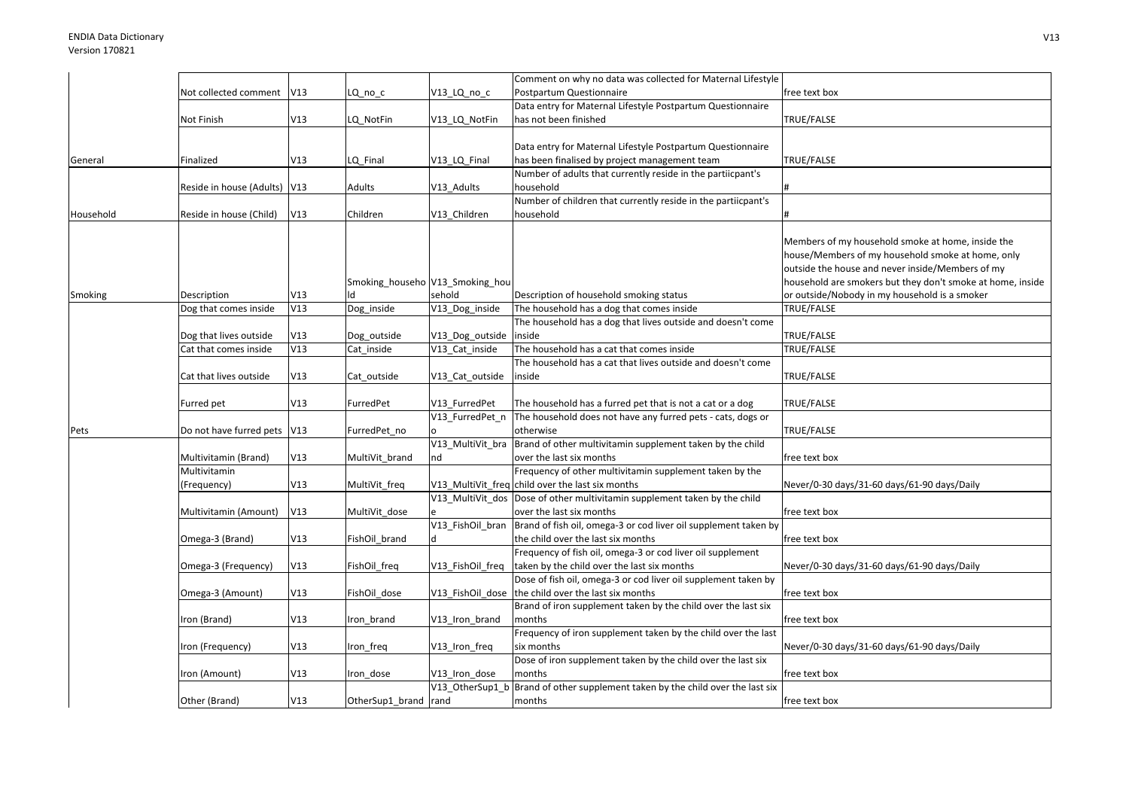|           |                              |     |                                 |                  | Comment on why no data was collected for Maternal Lifestyle                                                   |                                                            |
|-----------|------------------------------|-----|---------------------------------|------------------|---------------------------------------------------------------------------------------------------------------|------------------------------------------------------------|
|           | Not collected comment        | V13 | LQ no c                         | V13 LQ no c      | Postpartum Questionnaire                                                                                      | free text box                                              |
|           |                              |     |                                 |                  | Data entry for Maternal Lifestyle Postpartum Questionnaire                                                    |                                                            |
|           | Not Finish                   | V13 | LQ NotFin                       | V13 LQ NotFin    | has not been finished                                                                                         | TRUE/FALSE                                                 |
|           |                              |     |                                 |                  |                                                                                                               |                                                            |
|           |                              |     |                                 |                  | Data entry for Maternal Lifestyle Postpartum Questionnaire                                                    |                                                            |
| General   | Finalized                    | V13 | LQ Final                        | V13 LQ Final     | has been finalised by project management team                                                                 | TRUE/FALSE                                                 |
|           |                              |     |                                 |                  | Number of adults that currently reside in the partiicpant's                                                   |                                                            |
|           | Reside in house (Adults) V13 |     | Adults                          | V13_Adults       | household                                                                                                     |                                                            |
|           |                              |     |                                 |                  | Number of children that currently reside in the partiicpant's                                                 |                                                            |
| Household | Reside in house (Child)      | V13 | Children                        | V13_Children     | household                                                                                                     |                                                            |
|           |                              |     |                                 |                  |                                                                                                               |                                                            |
|           |                              |     |                                 |                  |                                                                                                               | Members of my household smoke at home, inside the          |
|           |                              |     |                                 |                  |                                                                                                               | house/Members of my household smoke at home, only          |
|           |                              |     |                                 |                  |                                                                                                               | outside the house and never inside/Members of my           |
|           |                              |     | Smoking househo V13 Smoking hou |                  |                                                                                                               | household are smokers but they don't smoke at home, inside |
| Smoking   | Description                  | V13 | ld                              | sehold           | Description of household smoking status                                                                       | or outside/Nobody in my household is a smoker              |
|           | Dog that comes inside        | V13 | Dog_inside                      | V13_Dog_inside   | The household has a dog that comes inside                                                                     | TRUE/FALSE                                                 |
|           |                              |     |                                 |                  | The household has a dog that lives outside and doesn't come                                                   |                                                            |
|           | Dog that lives outside       | V13 | Dog_outside                     | V13_Dog_outside  | inside                                                                                                        | TRUE/FALSE                                                 |
|           | Cat that comes inside        | V13 | Cat inside                      | V13 Cat inside   | The household has a cat that comes inside                                                                     | TRUE/FALSE                                                 |
|           |                              |     |                                 |                  | The household has a cat that lives outside and doesn't come                                                   |                                                            |
|           | Cat that lives outside       | V13 | Cat outside                     | V13 Cat outside  | inside                                                                                                        | TRUE/FALSE                                                 |
|           |                              |     |                                 |                  |                                                                                                               |                                                            |
|           | Furred pet                   | V13 | FurredPet                       | V13 FurredPet    | The household has a furred pet that is not a cat or a dog                                                     | TRUE/FALSE                                                 |
|           |                              |     |                                 | V13_FurredPet_n  | The household does not have any furred pets - cats, dogs or                                                   |                                                            |
| Pets      | Do not have furred pets      | V13 | FurredPet_no                    |                  | otherwise                                                                                                     | TRUE/FALSE                                                 |
|           |                              |     |                                 | V13_MultiVit_bra | Brand of other multivitamin supplement taken by the child                                                     |                                                            |
|           | Multivitamin (Brand)         | V13 | MultiVit_brand                  | nd               | over the last six months                                                                                      | free text box                                              |
|           | Multivitamin                 |     |                                 |                  | Frequency of other multivitamin supplement taken by the                                                       |                                                            |
|           | (Frequency)                  | V13 | MultiVit_freq                   |                  | V13 MultiVit freq child over the last six months                                                              | Never/0-30 days/31-60 days/61-90 days/Daily                |
|           |                              |     |                                 |                  | V13_MultiVit_dos Dose of other multivitamin supplement taken by the child                                     |                                                            |
|           | Multivitamin (Amount)        | V13 | MultiVit dose                   |                  | over the last six months                                                                                      | free text box                                              |
|           |                              |     |                                 | V13_FishOil_bran | Brand of fish oil, omega-3 or cod liver oil supplement taken by                                               |                                                            |
|           | Omega-3 (Brand)              | V13 | FishOil brand                   |                  | the child over the last six months<br>Frequency of fish oil, omega-3 or cod liver oil supplement              | free text box                                              |
|           |                              |     |                                 |                  |                                                                                                               |                                                            |
|           | Omega-3 (Frequency)          | V13 | FishOil_freq                    | V13_FishOil_freq | taken by the child over the last six months<br>Dose of fish oil, omega-3 or cod liver oil supplement taken by | Never/0-30 days/31-60 days/61-90 days/Daily                |
|           |                              |     |                                 |                  |                                                                                                               |                                                            |
|           | Omega-3 (Amount)             | V13 | FishOil dose                    | V13 FishOil dose | the child over the last six months<br>Brand of iron supplement taken by the child over the last six           | free text box                                              |
|           |                              |     |                                 |                  |                                                                                                               |                                                            |
|           | Iron (Brand)                 | V13 | Iron brand                      | V13 Iron brand   | months<br>Frequency of iron supplement taken by the child over the last                                       | free text box                                              |
|           | Iron (Frequency)             | V13 | Iron_freq                       | V13_Iron_freq    | six months                                                                                                    | Never/0-30 days/31-60 days/61-90 days/Daily                |
|           |                              |     |                                 |                  | Dose of iron supplement taken by the child over the last six                                                  |                                                            |
|           | Iron (Amount)                | V13 | Iron dose                       | V13 Iron dose    | months                                                                                                        | free text box                                              |
|           |                              |     |                                 |                  | V13_OtherSup1_b Brand of other supplement taken by the child over the last six                                |                                                            |
|           | Other (Brand)                | V13 | OtherSup1 brand rand            |                  | months                                                                                                        | free text box                                              |
|           |                              |     |                                 |                  |                                                                                                               |                                                            |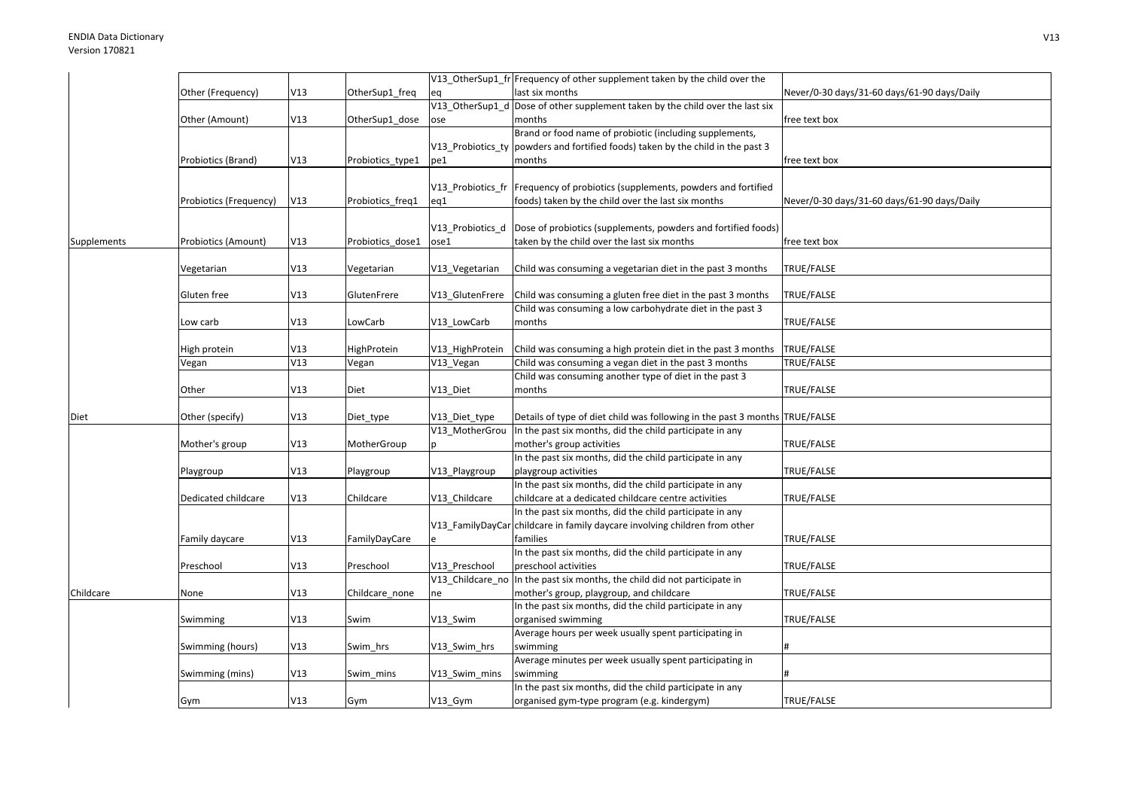|             |                        |            |                  |                  | V13_OtherSup1_fr Frequency of other supplement taken by the child over the                                            |                                             |
|-------------|------------------------|------------|------------------|------------------|-----------------------------------------------------------------------------------------------------------------------|---------------------------------------------|
|             | Other (Frequency)      | V13        | OtherSup1_freq   | eq               | last six months                                                                                                       | Never/0-30 days/31-60 days/61-90 days/Daily |
|             |                        |            |                  |                  | V13_OtherSup1_d Dose of other supplement taken by the child over the last six                                         |                                             |
|             | Other (Amount)         | V13        | OtherSup1_dose   | ose              | months                                                                                                                | free text box                               |
|             |                        |            |                  |                  | Brand or food name of probiotic (including supplements,                                                               |                                             |
|             |                        |            |                  |                  | V13 Probiotics ty powders and fortified foods) taken by the child in the past 3                                       |                                             |
|             | Probiotics (Brand)     | V13        | Probiotics_type1 | pe1              | months                                                                                                                | free text box                               |
|             |                        |            |                  |                  |                                                                                                                       |                                             |
|             |                        |            |                  |                  | V13_Probiotics_fr   Frequency of probiotics (supplements, powders and fortified                                       |                                             |
|             | Probiotics (Frequency) | V13        | Probiotics_freq1 | eq1              | foods) taken by the child over the last six months                                                                    | Never/0-30 days/31-60 days/61-90 days/Daily |
|             |                        |            |                  |                  |                                                                                                                       |                                             |
|             |                        |            |                  | V13_Probiotics_d | Dose of probiotics (supplements, powders and fortified foods)                                                         |                                             |
| Supplements | Probiotics (Amount)    | V13        | Probiotics_dose1 | ose1             | taken by the child over the last six months                                                                           | free text box                               |
|             |                        |            |                  |                  |                                                                                                                       |                                             |
|             | Vegetarian             | V13        | √egetarian       | V13_Vegetarian   | Child was consuming a vegetarian diet in the past 3 months                                                            | TRUE/FALSE                                  |
|             |                        |            |                  |                  |                                                                                                                       |                                             |
|             | Gluten free            | V13        | GlutenFrere      | V13_GlutenFrere  | Child was consuming a gluten free diet in the past 3 months                                                           | TRUE/FALSE                                  |
|             |                        |            |                  |                  | Child was consuming a low carbohydrate diet in the past 3                                                             |                                             |
|             | Low carb               | V13        | LowCarb          | V13 LowCarb      | months                                                                                                                | TRUE/FALSE                                  |
|             |                        |            |                  |                  |                                                                                                                       |                                             |
|             | High protein           | V13<br>V13 | HighProtein      | V13_HighProtein  | Child was consuming a high protein diet in the past 3 months<br>Child was consuming a vegan diet in the past 3 months | TRUE/FALSE<br>TRUE/FALSE                    |
|             | Vegan                  |            | Vegan            | V13_Vegan        | Child was consuming another type of diet in the past 3                                                                |                                             |
|             | Other                  | V13        | Diet             | V13 Diet         | months                                                                                                                | TRUE/FALSE                                  |
|             |                        |            |                  |                  |                                                                                                                       |                                             |
| Diet        | Other (specify)        | V13        | Diet_type        | V13 Diet type    | Details of type of diet child was following in the past 3 months TRUE/FALSE                                           |                                             |
|             |                        |            |                  |                  | V13_MotherGrou In the past six months, did the child participate in any                                               |                                             |
|             | Mother's group         | V13        | MotherGroup      |                  | mother's group activities                                                                                             | TRUE/FALSE                                  |
|             |                        |            |                  |                  | In the past six months, did the child participate in any                                                              |                                             |
|             | Playgroup              | V13        | Playgroup        | V13_Playgroup    | playgroup activities                                                                                                  | TRUE/FALSE                                  |
|             |                        |            |                  |                  | In the past six months, did the child participate in any                                                              |                                             |
|             | Dedicated childcare    | V13        | Childcare        | V13 Childcare    | childcare at a dedicated childcare centre activities                                                                  | TRUE/FALSE                                  |
|             |                        |            |                  |                  | In the past six months, did the child participate in any                                                              |                                             |
|             |                        |            |                  |                  | V13_FamilyDayCar childcare in family daycare involving children from other                                            |                                             |
|             | Family daycare         | V13        | FamilyDayCare    |                  | families                                                                                                              | TRUE/FALSE                                  |
|             |                        |            |                  |                  | In the past six months, did the child participate in any                                                              |                                             |
|             | Preschool              | V13        | Preschool        | V13 Preschool    | preschool activities                                                                                                  | TRUE/FALSE                                  |
|             |                        |            |                  |                  | V13_Childcare_no In the past six months, the child did not participate in                                             |                                             |
| Childcare   | None                   | V13        | Childcare_none   | ne               | mother's group, playgroup, and childcare                                                                              | TRUE/FALSE                                  |
|             |                        |            |                  |                  | In the past six months, did the child participate in any                                                              |                                             |
|             | Swimming               | V13        | Swim             | V13 Swim         | organised swimming                                                                                                    | TRUE/FALSE                                  |
|             |                        |            |                  |                  | Average hours per week usually spent participating in                                                                 |                                             |
|             | Swimming (hours)       | V13        | Swim hrs         | V13 Swim hrs     | swimming                                                                                                              |                                             |
|             |                        |            |                  |                  | Average minutes per week usually spent participating in                                                               |                                             |
|             | Swimming (mins)        | V13        | Swim mins        | V13 Swim mins    | swimming                                                                                                              |                                             |
|             |                        |            |                  |                  | In the past six months, did the child participate in any                                                              |                                             |
|             | Gym                    | V13        | Gym              | V13_Gym          | organised gym-type program (e.g. kindergym)                                                                           | TRUE/FALSE                                  |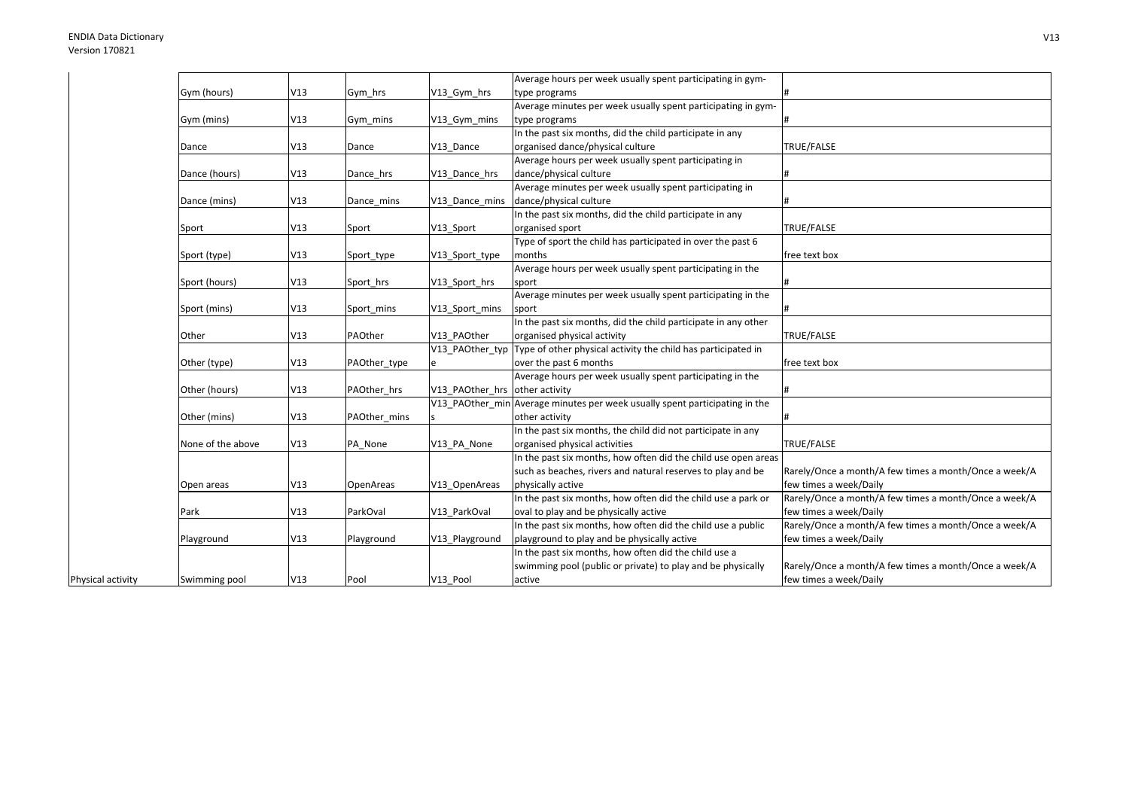Physical activity

|                   |     |              |                                | Average hours per week usually spent participating in gym-                  |                                                       |
|-------------------|-----|--------------|--------------------------------|-----------------------------------------------------------------------------|-------------------------------------------------------|
| Gym (hours)       | V13 | Gym hrs      | V13_Gym_hrs                    | type programs                                                               |                                                       |
|                   |     |              |                                | Average minutes per week usually spent participating in gym-                |                                                       |
| Gym (mins)        | V13 | Gym mins     | V13_Gym_mins                   | type programs                                                               |                                                       |
|                   |     |              |                                | In the past six months, did the child participate in any                    |                                                       |
| Dance             | V13 | Dance        | V13 Dance                      | organised dance/physical culture                                            | TRUE/FALSE                                            |
|                   |     |              |                                | Average hours per week usually spent participating in                       |                                                       |
| Dance (hours)     | V13 | Dance hrs    | V13 Dance hrs                  | dance/physical culture                                                      |                                                       |
|                   |     |              |                                | Average minutes per week usually spent participating in                     |                                                       |
| Dance (mins)      | V13 | Dance mins   | V13 Dance mins                 | dance/physical culture                                                      |                                                       |
|                   |     |              |                                | In the past six months, did the child participate in any                    |                                                       |
| Sport             | V13 | Sport        | V13_Sport                      | organised sport                                                             | TRUE/FALSE                                            |
|                   |     |              |                                | Type of sport the child has participated in over the past 6                 |                                                       |
| Sport (type)      | V13 | Sport_type   | V13_Sport_type                 | months                                                                      | free text box                                         |
|                   |     |              |                                | Average hours per week usually spent participating in the                   |                                                       |
| Sport (hours)     | V13 | Sport hrs    | V13_Sport_hrs                  | sport                                                                       |                                                       |
|                   |     |              |                                | Average minutes per week usually spent participating in the                 |                                                       |
| Sport (mins)      | V13 | Sport mins   | V13_Sport_mins                 | sport                                                                       |                                                       |
|                   |     |              |                                | In the past six months, did the child participate in any other              |                                                       |
| Other             | V13 | PAOther      | V13 PAOther                    | organised physical activity                                                 | TRUE/FALSE                                            |
|                   |     |              | V13 PAOther typ                | Type of other physical activity the child has participated in               |                                                       |
| Other (type)      | V13 | PAOther_type | e                              | over the past 6 months                                                      | free text box                                         |
|                   |     |              |                                | Average hours per week usually spent participating in the                   |                                                       |
| Other (hours)     | V13 | PAOther hrs  | V13 PAOther hrs other activity |                                                                             |                                                       |
|                   |     |              |                                | V13 PAOther min Average minutes per week usually spent participating in the |                                                       |
| Other (mins)      | V13 | PAOther mins |                                | other activity                                                              |                                                       |
|                   |     |              |                                | In the past six months, the child did not participate in any                |                                                       |
| None of the above | V13 | PA_None      | V13 PA None                    | organised physical activities                                               | TRUE/FALSE                                            |
|                   |     |              |                                | In the past six months, how often did the child use open areas              |                                                       |
|                   |     |              |                                | such as beaches, rivers and natural reserves to play and be                 | Rarely/Once a month/A few times a month/Once a week/A |
| Open areas        | V13 | OpenAreas    | V13 OpenAreas                  | physically active                                                           | few times a week/Daily                                |
|                   |     |              |                                | In the past six months, how often did the child use a park or               | Rarely/Once a month/A few times a month/Once a week/A |
| Park              | V13 | ParkOval     | V13 ParkOval                   | oval to play and be physically active                                       | few times a week/Daily                                |
|                   |     |              |                                | In the past six months, how often did the child use a public                | Rarely/Once a month/A few times a month/Once a week/A |
| Playground        | V13 | Playground   | V13_Playground                 | playground to play and be physically active                                 | few times a week/Daily                                |
|                   |     |              |                                | In the past six months, how often did the child use a                       |                                                       |
|                   |     |              |                                | swimming pool (public or private) to play and be physically                 | Rarely/Once a month/A few times a month/Once a week/A |
| Swimming pool     | V13 | Pool         | V13 Pool                       | active                                                                      | few times a week/Daily                                |
|                   |     |              |                                |                                                                             |                                                       |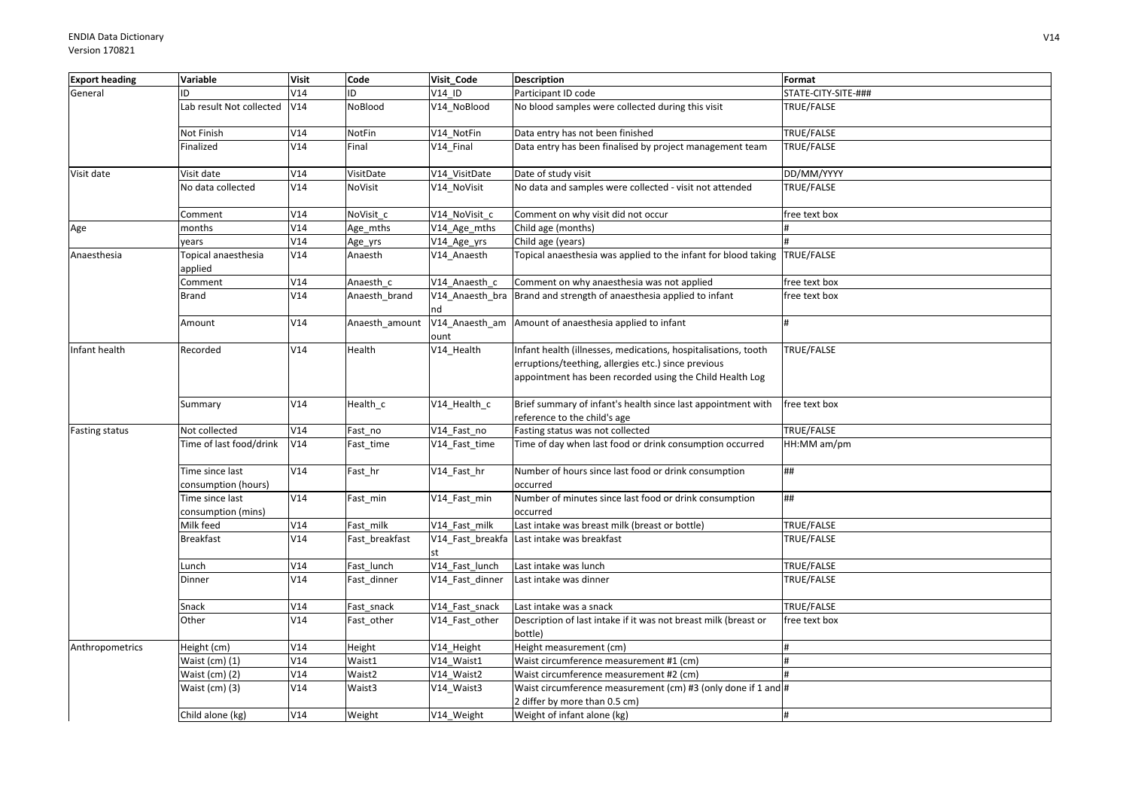| <b>Export heading</b> | Variable                               | <b>Visit</b> | Code           | Visit Code      | <b>Description</b>                                                                                                                                                                | Format              |
|-----------------------|----------------------------------------|--------------|----------------|-----------------|-----------------------------------------------------------------------------------------------------------------------------------------------------------------------------------|---------------------|
| General               | ID                                     | V14          | ID             | V14 ID          | Participant ID code                                                                                                                                                               | STATE-CITY-SITE-### |
|                       | Lab result Not collected               | V14          | NoBlood        | V14_NoBlood     | No blood samples were collected during this visit                                                                                                                                 | TRUE/FALSE          |
|                       | Not Finish                             | V14          | NotFin         | V14_NotFin      | Data entry has not been finished                                                                                                                                                  | TRUE/FALSE          |
|                       | Finalized                              | V14          | Final          | V14_Final       | Data entry has been finalised by project management team                                                                                                                          | TRUE/FALSE          |
| Visit date            | Visit date                             | V14          | VisitDate      | V14_VisitDate   | Date of study visit                                                                                                                                                               | DD/MM/YYYY          |
|                       | No data collected                      | V14          | NoVisit        | V14_NoVisit     | No data and samples were collected - visit not attended                                                                                                                           | TRUE/FALSE          |
|                       | Comment                                | V14          | NoVisit c      | V14 NoVisit c   | Comment on why visit did not occur                                                                                                                                                | free text box       |
| Age                   | months                                 | V14          | Age_mths       | V14_Age_mths    | Child age (months)                                                                                                                                                                |                     |
|                       | years                                  | V14          | Age_yrs        | V14_Age_yrs     | Child age (years)                                                                                                                                                                 |                     |
| Anaesthesia           | Topical anaesthesia<br>applied         | V14          | Anaesth        | V14_Anaesth     | Topical anaesthesia was applied to the infant for blood taking TRUE/FALSE                                                                                                         |                     |
|                       | Comment                                | V14          | Anaesth c      | V14 Anaesth c   | Comment on why anaesthesia was not applied                                                                                                                                        | free text box       |
|                       | Brand                                  | V14          | Anaesth_brand  | nd              | V14 Anaesth bra Brand and strength of anaesthesia applied to infant                                                                                                               | free text box       |
|                       | Amount                                 | V14          | Anaesth amount | ount            | V14_Anaesth_am Amount of anaesthesia applied to infant                                                                                                                            |                     |
| Infant health         | Recorded                               | V14          | Health         | V14_Health      | Infant health (illnesses, medications, hospitalisations, tooth<br>erruptions/teething, allergies etc.) since previous<br>appointment has been recorded using the Child Health Log | TRUE/FALSE          |
|                       | Summary                                | V14          | Health c       | V14 Health c    | Brief summary of infant's health since last appointment with<br>reference to the child's age                                                                                      | free text box       |
| <b>Fasting status</b> | Not collected                          | V14          | Fast no        | V14_Fast_no     | Fasting status was not collected                                                                                                                                                  | TRUE/FALSE          |
|                       | Time of last food/drink                | V14          | Fast_time      | V14_Fast_time   | Time of day when last food or drink consumption occurred                                                                                                                          | HH:MM am/pm         |
|                       | Time since last<br>consumption (hours) | V14          | Fast hr        | V14_Fast_hr     | Number of hours since last food or drink consumption<br>occurred                                                                                                                  | ##                  |
|                       | Time since last                        | V14          | Fast_min       | V14_Fast_min    | Number of minutes since last food or drink consumption                                                                                                                            | ##                  |
|                       | consumption (mins)                     |              |                |                 | occurred                                                                                                                                                                          |                     |
|                       | Milk feed                              | V14          | Fast milk      | V14 Fast milk   | Last intake was breast milk (breast or bottle)                                                                                                                                    | TRUE/FALSE          |
|                       | <b>Breakfast</b>                       | V14          | Fast breakfast |                 | V14 Fast breakfa Last intake was breakfast                                                                                                                                        | TRUE/FALSE          |
|                       | Lunch                                  | V14          | Fast lunch     | V14_Fast_lunch  | Last intake was lunch                                                                                                                                                             | TRUE/FALSE          |
|                       | Dinner                                 | V14          | Fast_dinner    | V14_Fast_dinner | Last intake was dinner                                                                                                                                                            | TRUE/FALSE          |
|                       | Snack                                  | V14          | Fast snack     | V14_Fast_snack  | Last intake was a snack                                                                                                                                                           | TRUE/FALSE          |
|                       | Other                                  | V14          | Fast_other     | V14_Fast_other  | Description of last intake if it was not breast milk (breast or<br>bottle)                                                                                                        | free text box       |
| Anthropometrics       | Height (cm)                            | V14          | Height         | V14_Height      | Height measurement (cm)                                                                                                                                                           |                     |
|                       | Waist (cm) (1)                         | V14          | Waist1         | V14 Waist1      | Waist circumference measurement #1 (cm)                                                                                                                                           | $\pmb{\sharp}$      |
|                       | Waist (cm) (2)                         | V14          | Waist2         | V14_Waist2      | Waist circumference measurement #2 (cm)                                                                                                                                           |                     |
|                       | Waist (cm) (3)                         | V14          | Waist3         | V14_Waist3      | Waist circumference measurement (cm) #3 (only done if 1 and #<br>2 differ by more than 0.5 cm)                                                                                    |                     |
|                       | Child alone (kg)                       | V14          | Weight         | V14 Weight      | Weight of infant alone (kg)                                                                                                                                                       |                     |
|                       |                                        |              |                |                 |                                                                                                                                                                                   |                     |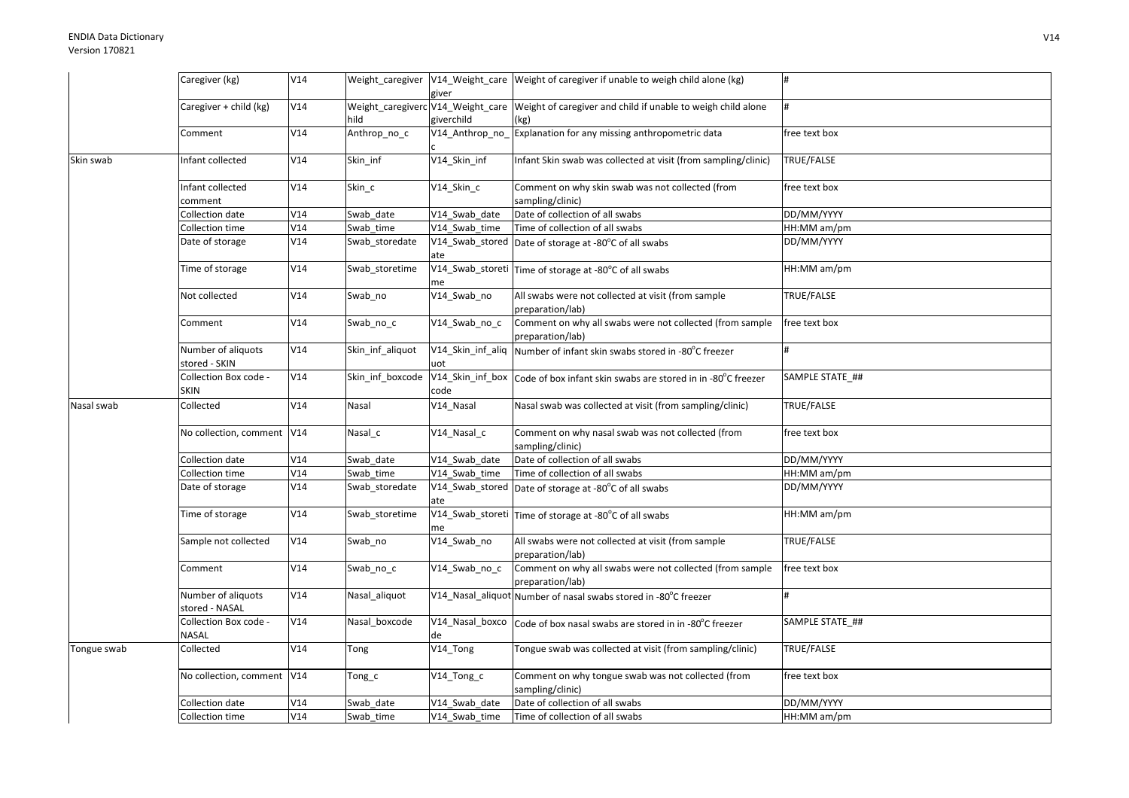|             | Caregiver (kg)                       | V14 |                  | giver                  | Weight_caregiver V14_Weight_care Weight of caregiver if unable to weigh child alone (kg)               |                 |
|-------------|--------------------------------------|-----|------------------|------------------------|--------------------------------------------------------------------------------------------------------|-----------------|
|             | Caregiver + child (kg)               | V14 | hild             | giverchild             | Weight_caregiverc V14_Weight_care Weight of caregiver and child if unable to weigh child alone<br>(kg) |                 |
|             | Comment                              | V14 | Anthrop_no_c     | V14_Anthrop_no_        | Explanation for any missing anthropometric data                                                        | free text box   |
| Skin swab   | Infant collected                     | V14 | Skin inf         | V14_Skin_inf           | Infant Skin swab was collected at visit (from sampling/clinic)                                         | TRUE/FALSE      |
|             | Infant collected<br>comment          | V14 | Skin_c           | V14_Skin_c             | Comment on why skin swab was not collected (from<br>sampling/clinic)                                   | free text box   |
|             | Collection date                      | V14 | Swab date        | V14 Swab date          | Date of collection of all swabs                                                                        | DD/MM/YYYY      |
|             | Collection time                      | V14 | Swab_time        | V14 Swab time          | Time of collection of all swabs                                                                        | HH:MM am/pm     |
|             | Date of storage                      | V14 | Swab_storedate   | ate                    | V14_Swab_stored Date of storage at -80°C of all swabs                                                  | DD/MM/YYYY      |
|             | Time of storage                      | V14 | Swab storetime   | me                     | $\sqrt{V14}$ _Swab_storeti Time of storage at -80 $^{\circ}$ C of all swabs                            | HH:MM am/pm     |
|             | Not collected                        | V14 | Swab_no          | V14_Swab_no            | All swabs were not collected at visit (from sample<br>preparation/lab)                                 | TRUE/FALSE      |
|             | Comment                              | V14 | Swab_no_c        | $\sqrt{14}$ _Swab_no_c | Comment on why all swabs were not collected (from sample<br>preparation/lab)                           | free text box   |
|             | Number of aliquots<br>stored - SKIN  | V14 | Skin inf aliquot | uot                    | V14_Skin_inf_aliq Number of infant skin swabs stored in -80°C freezer                                  |                 |
|             | Collection Box code -<br><b>SKIN</b> | V14 | Skin inf boxcode | code                   | V14_Skin_inf_box Code of box infant skin swabs are stored in in -80°C freezer                          | SAMPLE STATE ## |
| Nasal swab  | Collected                            | V14 | Nasal            | V14_Nasal              | Nasal swab was collected at visit (from sampling/clinic)                                               | TRUE/FALSE      |
|             | No collection, comment V14           |     | Nasal c          | V14_Nasal_c            | Comment on why nasal swab was not collected (from<br>sampling/clinic)                                  | free text box   |
|             | Collection date                      | V14 | Swab date        | V14_Swab_date          | Date of collection of all swabs                                                                        | DD/MM/YYYY      |
|             | Collection time                      | V14 | Swab_time        | V14 Swab time          | Time of collection of all swabs                                                                        | HH:MM am/pm     |
|             | Date of storage                      | V14 | Swab_storedate   | ate                    | $V14$ <sub>-</sub> Swab <sub>-</sub> stored   Date of storage at -80 $^{\circ}$ C of all swabs         | DD/MM/YYYY      |
|             | Time of storage                      | V14 | Swab_storetime   | me                     | V14_Swab_storeti Time of storage at -80°C of all swabs                                                 | HH:MM am/pm     |
|             | Sample not collected                 | V14 | Swab no          | V14 Swab no            | All swabs were not collected at visit (from sample<br>preparation/lab)                                 | TRUE/FALSE      |
|             | Comment                              | V14 | Swab_no_c        | V14_Swab_no_c          | Comment on why all swabs were not collected (from sample<br>preparation/lab)                           | free text box   |
|             | Number of aliquots<br>stored - NASAL | V14 | Nasal_aliquot    |                        | V14_Nasal_aliquot Number of nasal swabs stored in -80°C freezer                                        |                 |
|             | Collection Box code -<br>NASAL       | V14 | Nasal boxcode    | de                     | V14_Nasal_boxco Code of box nasal swabs are stored in in -80°C freezer                                 | SAMPLE STATE_## |
| Tongue swab | Collected                            | V14 | Tong             | V14_Tong               | Tongue swab was collected at visit (from sampling/clinic)                                              | TRUE/FALSE      |
|             | No collection, comment   V14         |     | Tong_c           | V14_Tong_c             | Comment on why tongue swab was not collected (from<br>sampling/clinic)                                 | free text box   |
|             | Collection date                      | V14 | Swab date        | V14 Swab date          | Date of collection of all swabs                                                                        | DD/MM/YYYY      |
|             | Collection time                      | V14 | Swab_time        | V14_Swab_time          | Time of collection of all swabs                                                                        | HH:MM am/pm     |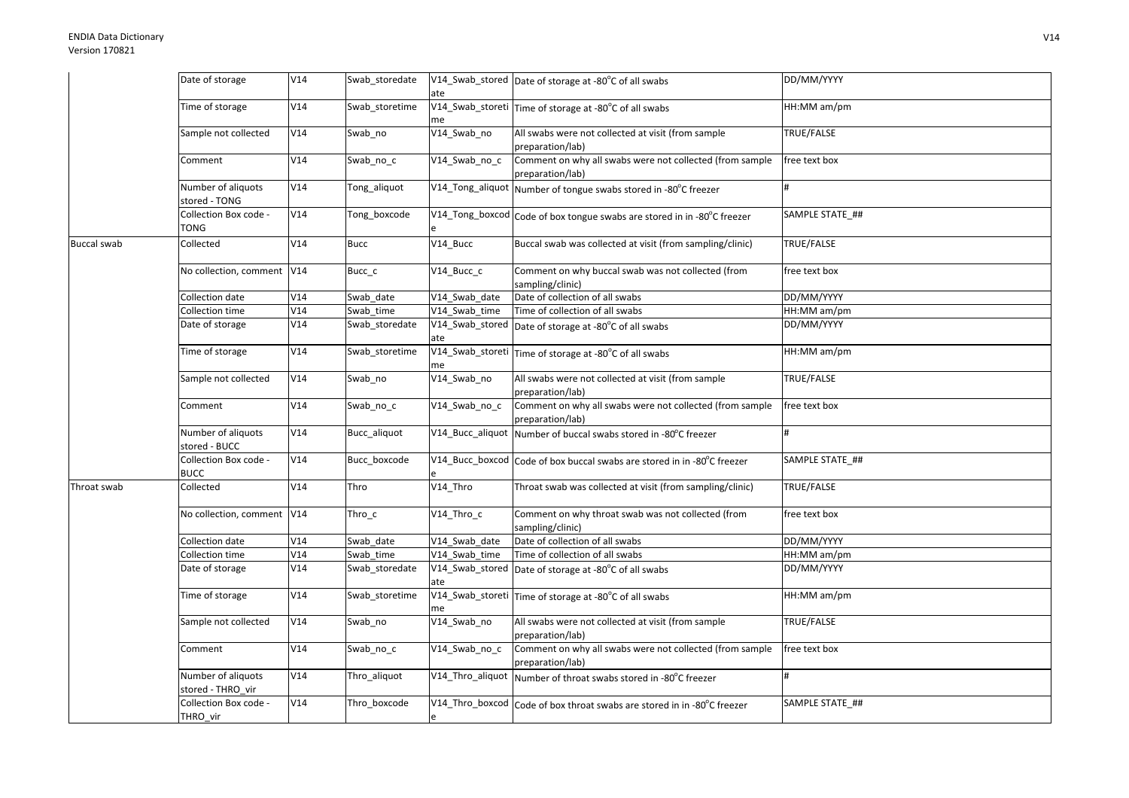## ENDIA Data DictionaryVersion 170821

|                    | Date of storage                         | V14 | Swab_storedate | ate           | V14_Swab_stored Date of storage at -80°C of all swabs                        | DD/MM/YYYY        |
|--------------------|-----------------------------------------|-----|----------------|---------------|------------------------------------------------------------------------------|-------------------|
|                    | Time of storage                         | V14 | Swab storetime | me            | V14_Swab_storeti Time of storage at -80°C of all swabs                       | HH:MM am/pm       |
|                    | Sample not collected                    | V14 | Swab no        | V14_Swab_no   | All swabs were not collected at visit (from sample<br>preparation/lab)       | TRUE/FALSE        |
|                    | Comment                                 | V14 | Swab_no_c      | V14 Swab no c | Comment on why all swabs were not collected (from sample<br>preparation/lab) | free text box     |
|                    | Number of aliquots<br>stored - TONG     | V14 | Tong_aliquot   |               | V14_Tong_aliquot Number of tongue swabs stored in -80°C freezer              |                   |
|                    | Collection Box code -<br>TONG           | V14 | Tong_boxcode   |               | V14_Tong_boxcod Code of box tongue swabs are stored in in -80°C freezer      | SAMPLE STATE ##   |
| <b>Buccal swab</b> | Collected                               | V14 | <b>Bucc</b>    | V14 Bucc      | Buccal swab was collected at visit (from sampling/clinic)                    | TRUE/FALSE        |
|                    | No collection, comment V14              |     | Bucc_c         | V14_Bucc_c    | Comment on why buccal swab was not collected (from<br>sampling/clinic)       | free text box     |
|                    | Collection date                         | V14 | Swab date      | V14 Swab date | Date of collection of all swabs                                              | DD/MM/YYYY        |
|                    | Collection time                         | V14 | Swab time      | V14 Swab time | Time of collection of all swabs                                              | HH:MM am/pm       |
|                    | Date of storage                         | V14 | Swab_storedate | ate           | V14_Swab_stored Date of storage at -80°C of all swabs                        | DD/MM/YYYY        |
|                    | Time of storage                         | V14 | Swab storetime | me            | V14_Swab_storeti Time of storage at -80°C of all swabs                       | HH:MM am/pm       |
|                    | Sample not collected                    | V14 | Swab_no        | V14_Swab_no   | All swabs were not collected at visit (from sample<br>preparation/lab)       | TRUE/FALSE        |
|                    | Comment                                 | V14 | Swab_no_c      | V14_Swab_no_c | Comment on why all swabs were not collected (from sample<br>preparation/lab) | free text box     |
|                    | Number of aliquots<br>stored - BUCC     | V14 | Bucc_aliquot   |               | V14_Bucc_aliquot Number of buccal swabs stored in -80°C freezer              |                   |
|                    | Collection Box code -<br><b>BUCC</b>    | V14 | Bucc boxcode   |               | V14_Bucc_boxcod Code of box buccal swabs are stored in in -80°C freezer      | SAMPLE STATE ##   |
| Throat swab        | Collected                               | V14 | Thro           | V14_Thro      | Throat swab was collected at visit (from sampling/clinic)                    | <b>TRUE/FALSE</b> |
|                    | No collection, comment V14              |     | $Thro_c$       | V14_Thro_c    | Comment on why throat swab was not collected (from<br>sampling/clinic)       | free text box     |
|                    | Collection date                         | V14 | Swab date      | V14 Swab date | Date of collection of all swabs                                              | DD/MM/YYYY        |
|                    | Collection time                         | V14 | Swab time      | V14 Swab time | Time of collection of all swabs                                              | HH:MM am/pm       |
|                    | Date of storage                         | V14 | Swab storedate | ate           | V14_Swab_stored Date of storage at -80°C of all swabs                        | DD/MM/YYYY        |
|                    | Time of storage                         | V14 | Swab_storetime | me            | V14_Swab_storeti Time of storage at -80°C of all swabs                       | HH:MM am/pm       |
|                    | Sample not collected                    | V14 | Swab_no        | V14_Swab_no   | All swabs were not collected at visit (from sample<br>preparation/lab)       | TRUE/FALSE        |
|                    | Comment                                 | V14 | Swab_no_c      | V14 Swab no c | Comment on why all swabs were not collected (from sample<br>preparation/lab) | free text box     |
|                    | Number of aliquots<br>stored - THRO_vir | V14 | Thro aliquot   |               | V14_Thro_aliquot Number of throat swabs stored in -80°C freezer              |                   |
|                    | Collection Box code -<br>THRO_vir       | V14 | Thro_boxcode   |               | V14_Thro_boxcod Code of box throat swabs are stored in in -80°C freezer      | SAMPLE STATE ##   |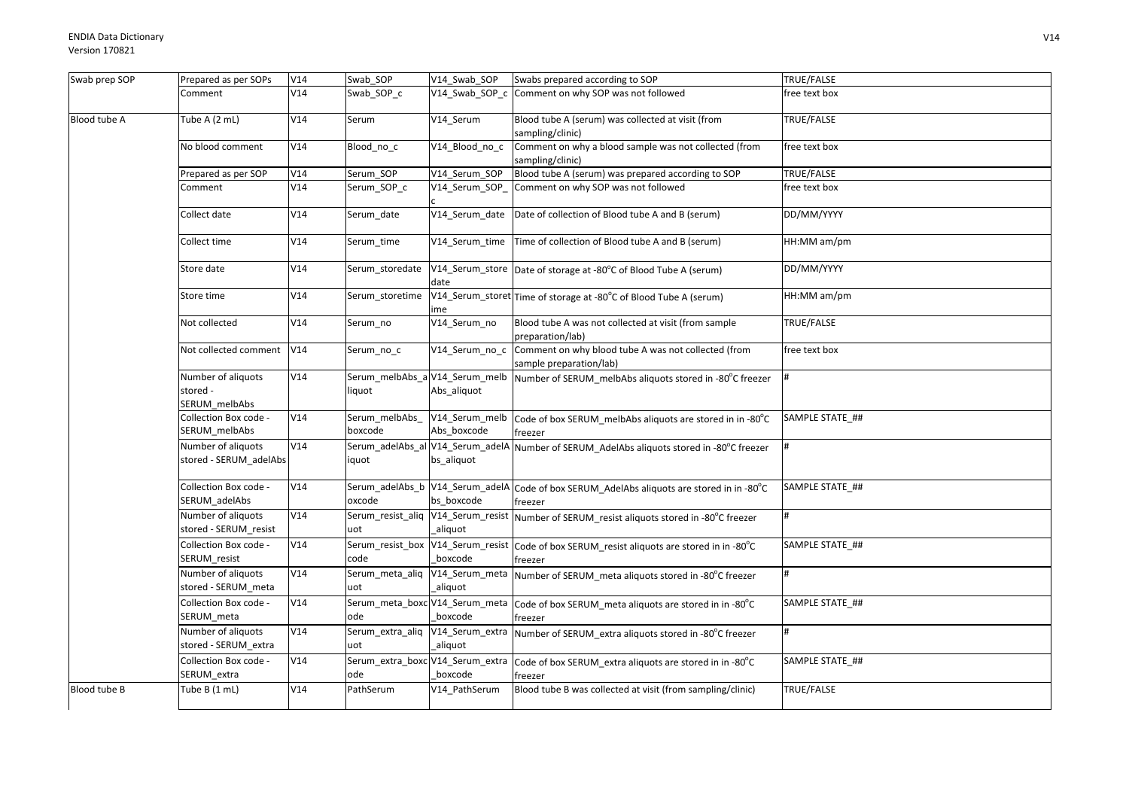| Swab prep SOP | Prepared as per SOPs                            | V14 | Swab_SOP                  | V14_Swab_SOP                                  | Swabs prepared according to SOP                                                                       | TRUE/FALSE      |
|---------------|-------------------------------------------------|-----|---------------------------|-----------------------------------------------|-------------------------------------------------------------------------------------------------------|-----------------|
|               | Comment                                         | V14 | Swab_SOP_c                | $V14$ _Swab_SOP_c                             | Comment on why SOP was not followed                                                                   | free text box   |
| Blood tube A  | Tube A (2 mL)                                   | V14 | Serum                     | V14 Serum                                     | Blood tube A (serum) was collected at visit (from<br>sampling/clinic)                                 | TRUE/FALSE      |
|               | No blood comment                                | V14 | Blood_no_c                | V14 Blood no c                                | Comment on why a blood sample was not collected (from<br>sampling/clinic)                             | free text box   |
|               | Prepared as per SOP                             | V14 | Serum_SOP                 | V14_Serum_SOP                                 | Blood tube A (serum) was prepared according to SOP                                                    | TRUE/FALSE      |
|               | Comment                                         | V14 | Serum_SOP_c               | V14 Serum SOP                                 | Comment on why SOP was not followed                                                                   | free text box   |
|               | Collect date                                    | V14 | Serum date                | V14_Serum_date                                | Date of collection of Blood tube A and B (serum)                                                      | DD/MM/YYYY      |
|               | Collect time                                    | V14 | Serum_time                |                                               | V14_Serum_time   Time of collection of Blood tube A and B (serum)                                     | HH:MM am/pm     |
|               | Store date                                      | V14 | Serum_storedate           | date                                          | V14_Serum_store Date of storage at -80°C of Blood Tube A (serum)                                      | DD/MM/YYYY      |
|               | Store time                                      | V14 | Serum storetime           | me                                            | V14_Serum_storet Time of storage at -80°C of Blood Tube A (serum)                                     | HH:MM am/pm     |
|               | Not collected                                   | V14 | Serum no                  | V14_Serum_no                                  | Blood tube A was not collected at visit (from sample<br>preparation/lab)                              | TRUE/FALSE      |
|               | Not collected comment                           | V14 | Serum_no_c                | V14_Serum_no_c                                | Comment on why blood tube A was not collected (from<br>sample preparation/lab)                        | free text box   |
|               | Number of aliquots<br>stored -<br>SERUM_melbAbs | V14 | liquot                    | Serum_melbAbs_a V14_Serum_melb<br>Abs_aliquot | Number of SERUM_melbAbs aliquots stored in -80°C freezer                                              |                 |
|               | Collection Box code -<br>SERUM_melbAbs          | V14 | Serum_melbAbs_<br>boxcode | V14_Serum_melb<br>Abs boxcode                 | Code of box SERUM melbAbs aliquots are stored in in -80°C<br>freezer                                  | SAMPLE STATE_## |
|               | Number of aliquots<br>stored - SERUM_adelAbs    | V14 | iquot                     | bs_aliquot                                    | Serum_adelAbs_al V14_Serum_adelA Number of SERUM_AdelAbs aliquots stored in -80°C freezer             |                 |
|               | Collection Box code -<br>SERUM_adelAbs          | V14 | oxcode                    | bs boxcode                                    | Serum_adelAbs_b V14_Serum_adelA Code of box SERUM_AdelAbs aliquots are stored in in -80°C<br>freezer  | SAMPLE STATE ## |
|               | Number of aliquots<br>stored - SERUM_resist     | V14 | uot                       | aliquot                                       | Serum_resist_aliq  V14_Serum_resist  Number of SERUM_resist aliquots stored in -80°C freezer          |                 |
|               | Collection Box code -<br>SERUM_resist           | V14 | code                      | boxcode                                       | Serum_resist_box V14_Serum_resist Code of box SERUM_resist aliquots are stored in in -80°C<br>freezer | SAMPLE STATE ## |
|               | Number of aliquots<br>stored - SERUM meta       | V14 | uot                       | aliquot                                       | Serum_meta_aliq  V14_Serum_meta  Number of SERUM_meta aliquots stored in -80°C freezer                |                 |
|               | Collection Box code -<br>SERUM_meta             | V14 | ode                       | boxcode                                       | Serum_meta_boxc V14_Serum_meta  Code of box SERUM_meta aliquots are stored in in -80°C<br>freezer     | SAMPLE STATE_## |
|               | Number of aliquots<br>stored - SERUM_extra      | V14 | uot                       | aliquot                                       | Serum_extra_aliq V14_Serum_extra Number of SERUM_extra aliquots stored in -80°C freezer               |                 |
|               | Collection Box code -<br>SERUM_extra            | V14 | ode                       | boxcode                                       | Serum_extra_boxc V14_Serum_extra  Code of box SERUM_extra aliquots are stored in in -80°C<br>freezer  | SAMPLE STATE ## |
| Blood tube B  | Tube B (1 mL)                                   | V14 | PathSerum                 | V14 PathSerum                                 | Blood tube B was collected at visit (from sampling/clinic)                                            | TRUE/FALSE      |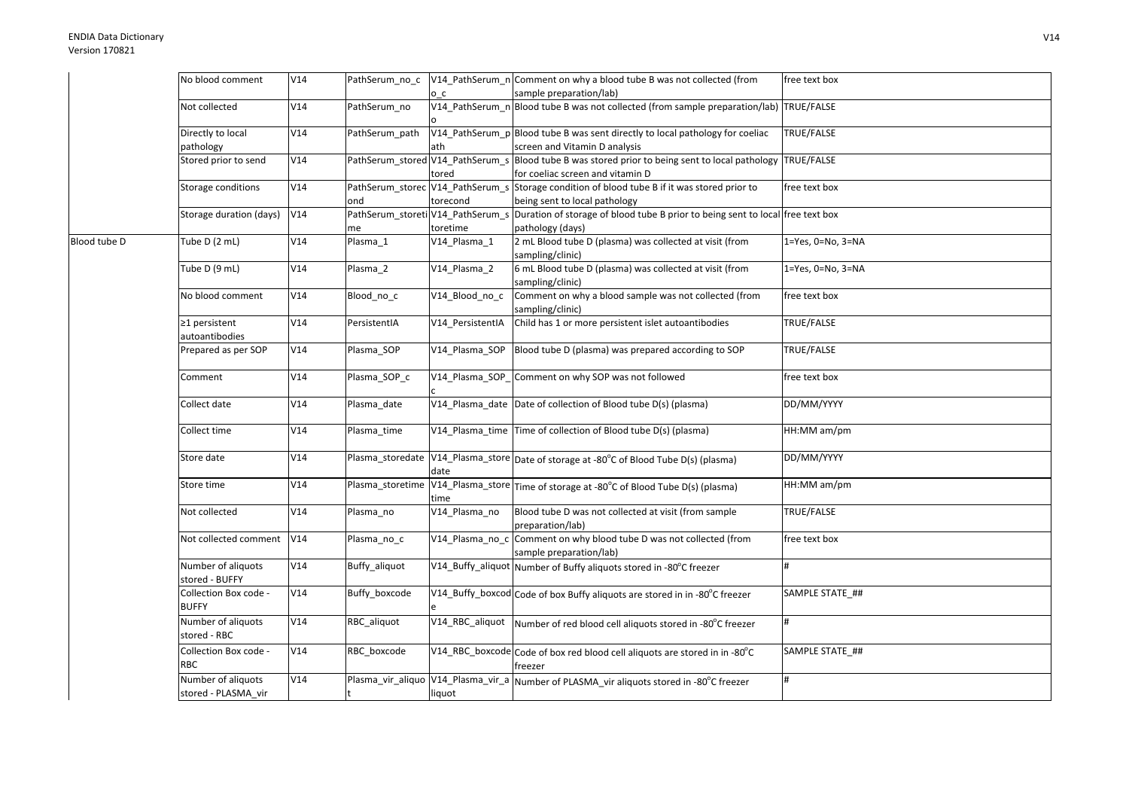|              | No blood comment                          | V14 | PathSerum_no_c |                  | V14_PathSerum_n Comment on why a blood tube B was not collected (from                                                                | free text box             |
|--------------|-------------------------------------------|-----|----------------|------------------|--------------------------------------------------------------------------------------------------------------------------------------|---------------------------|
|              |                                           |     |                | o c              | sample preparation/lab)                                                                                                              |                           |
|              | Not collected                             | V14 | PathSerum no   |                  | V14_PathSerum_n Blood tube B was not collected (from sample preparation/lab) TRUE/FALSE                                              |                           |
|              | Directly to local<br>pathology            | V14 | PathSerum_path | ath              | V14_PathSerum_p Blood tube B was sent directly to local pathology for coeliac<br>screen and Vitamin D analysis                       | TRUE/FALSE                |
|              | Stored prior to send                      | V14 |                | tored            | PathSerum_stored V14_PathSerum_s Blood tube B was stored prior to being sent to local pathology<br>for coeliac screen and vitamin D  | TRUE/FALSE                |
|              | Storage conditions                        | V14 | ond            | torecond         | PathSerum_storec V14_PathSerum_s Storage condition of blood tube B if it was stored prior to<br>being sent to local pathology        | free text box             |
|              | Storage duration (days)                   | V14 | me             | toretime         | PathSerum_storeti V14_PathSerum_s Duration of storage of blood tube B prior to being sent to local free text box<br>pathology (days) |                           |
| Blood tube D | Tube D (2 mL)                             | V14 | Plasma 1       | V14_Plasma_1     | 2 mL Blood tube D (plasma) was collected at visit (from<br>sampling/clinic)                                                          | $1 = Yes, 0 = No, 3 = NA$ |
|              | Tube D (9 mL)                             | V14 | Plasma_2       | V14_Plasma_2     | 6 mL Blood tube D (plasma) was collected at visit (from<br>sampling/clinic)                                                          | 1=Yes, 0=No, 3=NA         |
|              | No blood comment                          | V14 | Blood_no_c     | V14_Blood_no_c   | Comment on why a blood sample was not collected (from<br>sampling/clinic)                                                            | free text box             |
|              | ≥1 persistent<br>autoantibodies           | V14 | PersistentIA   | V14_PersistentIA | Child has 1 or more persistent islet autoantibodies                                                                                  | <b>TRUE/FALSE</b>         |
|              | Prepared as per SOP                       | V14 | Plasma SOP     | V14 Plasma SOP   | Blood tube D (plasma) was prepared according to SOP                                                                                  | TRUE/FALSE                |
|              | Comment                                   | V14 | Plasma_SOP_c   |                  | V14_Plasma_SOP_Comment on why SOP was not followed                                                                                   | free text box             |
|              | Collect date                              | V14 | Plasma_date    |                  | V14_Plasma_date Date of collection of Blood tube D(s) (plasma)                                                                       | DD/MM/YYYY                |
|              | Collect time                              | V14 | Plasma time    |                  | V14_Plasma_time Time of collection of Blood tube D(s) (plasma)                                                                       | HH:MM am/pm               |
|              | Store date                                | V14 |                | date             | Plasma_storedate V14_Plasma_store Date of storage at -80°C of Blood Tube D(s) (plasma)                                               | DD/MM/YYYY                |
|              | Store time                                | V14 |                | time             | Plasma_storetime V14_Plasma_store Time of storage at -80°C of Blood Tube D(s) (plasma)                                               | HH:MM am/pm               |
|              | Not collected                             | V14 | Plasma_no      | V14_Plasma_no    | Blood tube D was not collected at visit (from sample<br>preparation/lab)                                                             | TRUE/FALSE                |
|              | Not collected comment                     | V14 | Plasma no c    |                  | V14_Plasma_no_c Comment on why blood tube D was not collected (from<br>sample preparation/lab)                                       | free text box             |
|              | Number of aliquots<br>stored - BUFFY      | V14 | Buffy_aliquot  |                  | V14_Buffy_aliquot Number of Buffy aliquots stored in -80°C freezer                                                                   | #                         |
|              | Collection Box code -<br><b>BUFFY</b>     | V14 | Buffy_boxcode  |                  | V14_Buffy_boxcod Code of box Buffy aliquots are stored in in -80°C freezer                                                           | SAMPLE STATE ##           |
|              | Number of aliquots<br>stored - RBC        | V14 | RBC aliquot    | V14_RBC_aliquot  | Number of red blood cell aliquots stored in -80°C freezer                                                                            | #                         |
|              | Collection Box code -<br><b>RBC</b>       | V14 | RBC_boxcode    |                  | V14_RBC_boxcode Code of box red blood cell aliquots are stored in in -80°C<br>freezer                                                | SAMPLE STATE_##           |
|              | Number of aliquots<br>stored - PLASMA vir | V14 |                | liquot           | Plasma_vir_aliquo  V14_Plasma_vir_a  Number of PLASMA_vir aliquots stored in -80°C freezer                                           | $\#$                      |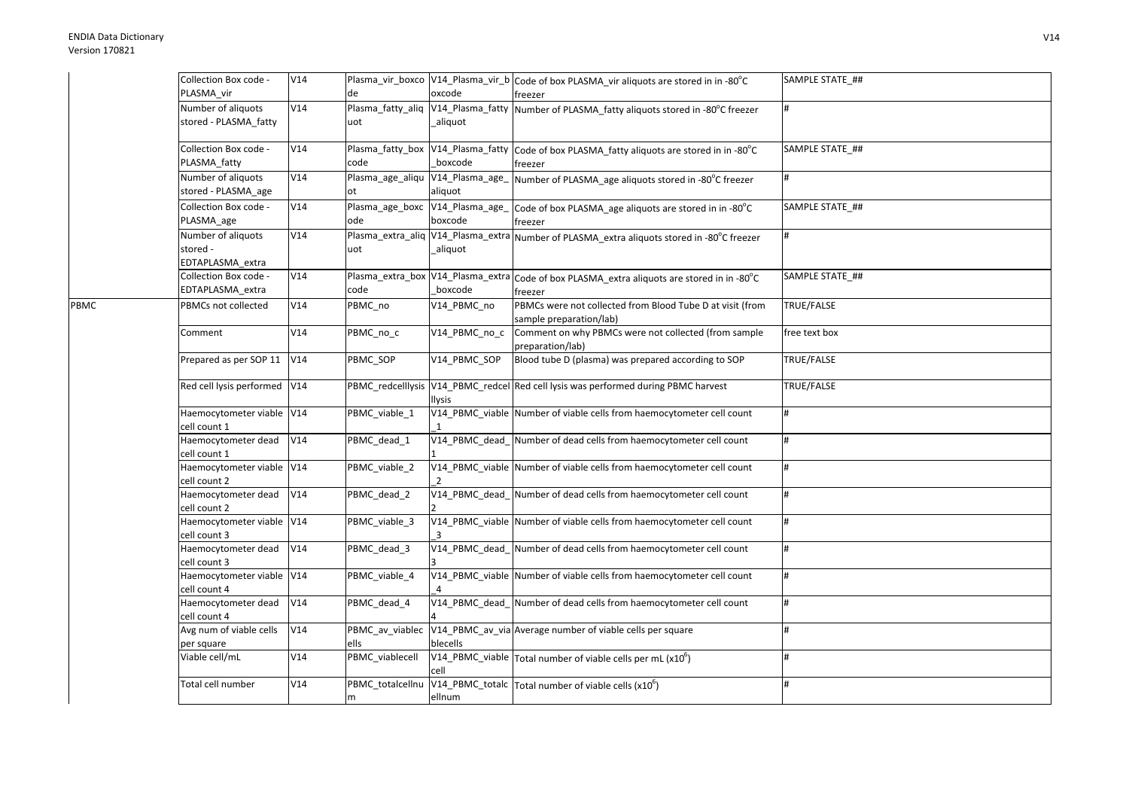PBMC

| Collection Box code -<br>PLASMA vir                | V14 | de                                        | oxcode                      | Plasma_vir_boxco  V14_Plasma_vir_b  Code of box PLASMA_vir aliquots are stored in in -80°C<br>freezer   | SAMPLE STATE_## |
|----------------------------------------------------|-----|-------------------------------------------|-----------------------------|---------------------------------------------------------------------------------------------------------|-----------------|
| Number of aliquots<br>stored - PLASMA_fatty        | V14 | Plasma_fatty_aliq<br>uot                  | V14_Plasma_fatty<br>aliquot | Number of PLASMA_fatty aliquots stored in -80°C freezer                                                 | #               |
| Collection Box code -<br>PLASMA_fatty              | V14 | Plasma_fatty_box V14_Plasma_fatty<br>code | boxcode                     | Code of box PLASMA_fatty aliquots are stored in in -80°C<br>freezer                                     | SAMPLE STATE_## |
| Number of aliquots<br>stored - PLASMA_age          | V14 | Plasma_age_aliqu V14_Plasma_age_<br>ot    | aliquot                     | Number of PLASMA_age aliquots stored in -80°C freezer                                                   | #               |
| Collection Box code -<br>PLASMA_age                | V14 | Plasma_age_boxc V14_Plasma_age_<br>ode    | boxcode                     | Code of box PLASMA_age aliquots are stored in in -80°C<br>freezer                                       | SAMPLE STATE ## |
| Number of aliquots<br>stored -<br>EDTAPLASMA extra | V14 | uot                                       | aliquot                     | Plasma_extra_aliq V14_Plasma_extra Number of PLASMA_extra aliquots stored in -80°C freezer              | #               |
| Collection Box code -<br>EDTAPLASMA_extra          | V14 | code                                      | boxcode                     | Plasma_extra_box  V14_Plasma_extra  Code of box PLASMA_extra aliquots are stored in in -80°C<br>freezer | SAMPLE STATE ## |
| PBMCs not collected                                | V14 | PBMC_no                                   | V14 PBMC no                 | PBMCs were not collected from Blood Tube D at visit (from<br>sample preparation/lab)                    | TRUE/FALSE      |
| Comment                                            | V14 | PBMC no c                                 | V14 PBMC no c               | Comment on why PBMCs were not collected (from sample<br>preparation/lab)                                | free text box   |
| Prepared as per SOP 11                             | V14 | PBMC SOP                                  | V14_PBMC_SOP                | Blood tube D (plasma) was prepared according to SOP                                                     | TRUE/FALSE      |
| Red cell lysis performed V14                       |     |                                           | <b>Ilysis</b>               | PBMC_redcelllysis V14_PBMC_redcel Red cell lysis was performed during PBMC harvest                      | TRUE/FALSE      |
| Haemocytometer viable V14<br>cell count 1          |     | PBMC_viable_1                             |                             | V14_PBMC_viable Number of viable cells from haemocytometer cell count                                   | #               |
| Haemocytometer dead<br>cell count 1                | V14 | PBMC_dead_1                               |                             | V14_PBMC_dead_Number of dead cells from haemocytometer cell count                                       | #               |
| Haemocytometer viable V14<br>cell count 2          |     | PBMC_viable_2                             | $\overline{2}$              | V14_PBMC_viable Number of viable cells from haemocytometer cell count                                   | #               |
| Haemocytometer dead<br>cell count 2                | V14 | PBMC_dead_2                               |                             | V14_PBMC_dead_Number of dead cells from haemocytometer cell count                                       | #               |
| Haemocytometer viable V14<br>cell count 3          |     | PBMC_viable_3                             |                             | V14 PBMC viable Number of viable cells from haemocytometer cell count                                   | #               |
| Haemocytometer dead<br>cell count 3                | V14 | PBMC_dead_3                               |                             | V14_PBMC_dead_Number of dead cells from haemocytometer cell count                                       | #               |
| Haemocytometer viable V14<br>cell count 4          |     | PBMC viable 4                             |                             | V14_PBMC_viable Number of viable cells from haemocytometer cell count                                   | #               |
| Haemocytometer dead<br>cell count 4                | V14 | PBMC_dead_4                               |                             | V14 PBMC dead Number of dead cells from haemocytometer cell count                                       | #               |
| Avg num of viable cells<br>per square              | V14 | ells                                      | blecells                    | PBMC_av_viablec V14_PBMC_av_via Average number of viable cells per square                               | #               |
| Viable cell/mL                                     | V14 | PBMC_viablecell                           | cell                        | V14_PBMC_viable $\vert$ Total number of viable cells per mL (x10 <sup>6</sup> )                         | #               |
| Total cell number                                  | V14 | PBMC_totalcellnu<br>m                     | ellnum                      | V14_PBMC_totalc $\vert$ Total number of viable cells (x10 <sup>6</sup> )                                | #               |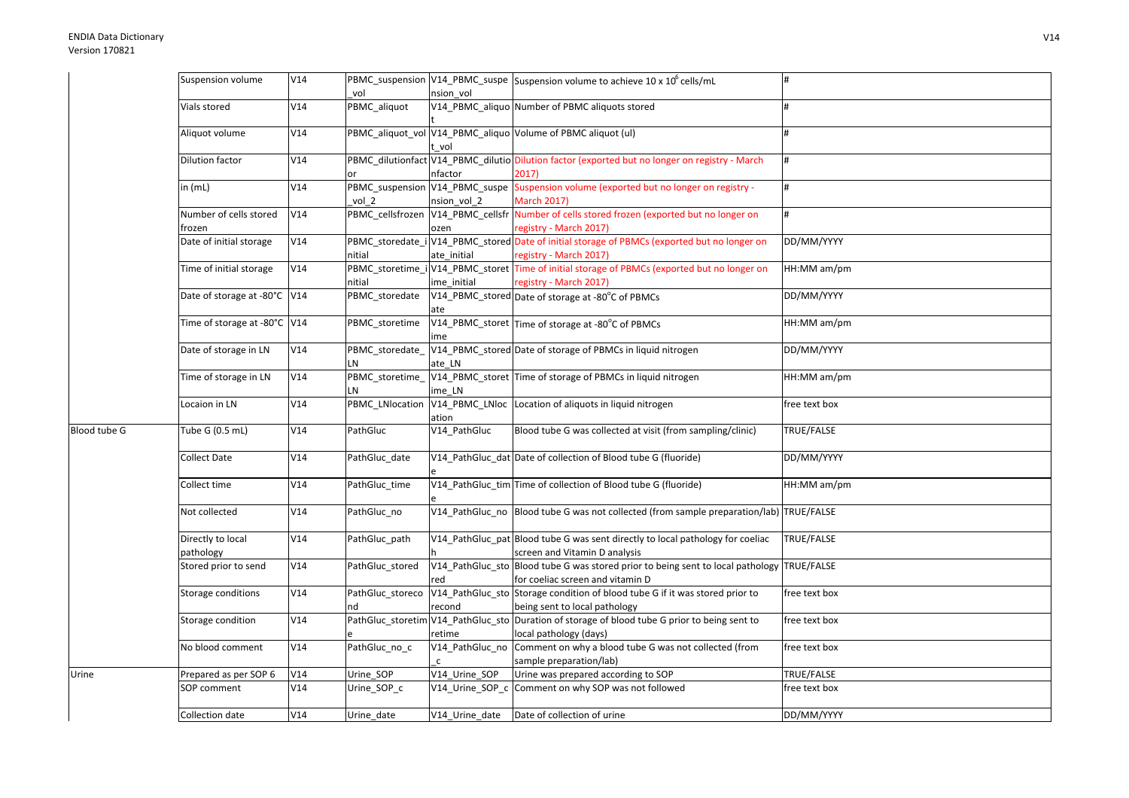|              | Suspension volume              | V14 | vol                   | nsion vol       | PBMC_suspension V14_PBMC_suspe Suspension volume to achieve 10 x 10 <sup>6</sup> cells/mL                       |               |
|--------------|--------------------------------|-----|-----------------------|-----------------|-----------------------------------------------------------------------------------------------------------------|---------------|
|              | Vials stored                   | V14 | PBMC_aliquot          |                 | V14 PBMC aliquo Number of PBMC aliquots stored                                                                  |               |
|              |                                |     |                       |                 |                                                                                                                 |               |
|              | Aliquot volume                 | V14 |                       | vol             | PBMC_aliquot_vol V14_PBMC_aliquo Volume of PBMC aliquot (ul)                                                    |               |
|              | <b>Dilution factor</b>         | V14 |                       |                 | PBMC_dilutionfact V14_PBMC_dilutio Dilution factor (exported but no longer on registry - March                  | #             |
|              |                                |     |                       | nfactor         | 2017)                                                                                                           |               |
|              | in $(mL)$                      | V14 |                       |                 | PBMC_suspension V14_PBMC_suspe Suspension volume (exported but no longer on registry -                          | #             |
|              |                                |     | vol 2                 | nsion vol 2     | <b>March 2017)</b>                                                                                              |               |
|              | Number of cells stored         | V14 |                       |                 | PBMC_cellsfrozen   V14_PBMC_cellsfr   Number of cells stored frozen (exported but no longer on                  | #             |
|              | frozen                         |     |                       | ozen            | registry - March 2017)                                                                                          |               |
|              | Date of initial storage        | V14 |                       |                 | PBMC_storedate_i V14_PBMC_stored Date of initial storage of PBMCs (exported but no longer on                    | DD/MM/YYYY    |
|              |                                |     | nitial                | ate initial     | registry - March 2017)                                                                                          |               |
|              | Time of initial storage        | V14 |                       |                 | PBMC_storetime_i V14_PBMC_storet Time of initial storage of PBMCs (exported but no longer on                    | HH:MM am/pm   |
|              |                                |     | nitial                | ime initial     | registry - March 2017)                                                                                          |               |
|              | Date of storage at -80°C V14   |     | PBMC storedate        | ate             | V14_PBMC_stored Date of storage at -80°C of PBMCs                                                               | DD/MM/YYYY    |
|              | Time of storage at -80°C V14   |     | PBMC_storetime        | ime             | V14_PBMC_storet Time of storage at -80°C of PBMCs                                                               | HH:MM am/pm   |
|              | Date of storage in LN          | V14 | PBMC_storedate_<br>LN | ate LN          | V14_PBMC_stored Date of storage of PBMCs in liquid nitrogen                                                     | DD/MM/YYYY    |
|              | Time of storage in LN          | V14 | PBMC_storetime_       |                 | V14_PBMC_storet Time of storage of PBMCs in liquid nitrogen                                                     | HH:MM am/pm   |
|              |                                |     | LN                    | ime LN          |                                                                                                                 |               |
|              | Locaion in LN                  | V14 | PBMC LNlocation       | ation           | V14_PBMC_LNloc Location of aliquots in liquid nitrogen                                                          | free text box |
| Blood tube G | Tube G (0.5 mL)                | V14 | PathGluc              | V14_PathGluc    | Blood tube G was collected at visit (from sampling/clinic)                                                      | TRUE/FALSE    |
|              | Collect Date                   | V14 | PathGluc_date         |                 | V14_PathGluc_dat Date of collection of Blood tube G (fluoride)                                                  | DD/MM/YYYY    |
|              | Collect time                   | V14 | PathGluc time         |                 | V14_PathGluc_tim Time of collection of Blood tube G (fluoride)                                                  | HH:MM am/pm   |
|              | Not collected                  | V14 | PathGluc no           |                 | V14_PathGluc_no Blood tube G was not collected (from sample preparation/lab) TRUE/FALSE                         |               |
|              | Directly to local<br>pathology | V14 | PathGluc path         |                 | V14_PathGluc_pat Blood tube G was sent directly to local pathology for coeliac<br>screen and Vitamin D analysis | TRUE/FALSE    |
|              | Stored prior to send           | V14 | PathGluc stored       |                 | V14_PathGluc_sto Blood tube G was stored prior to being sent to local pathology                                 | TRUE/FALSE    |
|              |                                |     |                       | red             | for coeliac screen and vitamin D                                                                                |               |
|              | Storage conditions             | V14 | PathGluc_storeco      |                 | V14_PathGluc_sto Storage condition of blood tube G if it was stored prior to                                    | free text box |
|              |                                |     | nd                    | recond          | being sent to local pathology                                                                                   |               |
|              | Storage condition              | V14 |                       |                 | PathGluc_storetim V14_PathGluc_sto Duration of storage of blood tube G prior to being sent to                   | free text box |
|              |                                |     |                       | retime          | local pathology (days)                                                                                          |               |
|              | No blood comment               | V14 | PathGluc_no_c         | V14_PathGluc_no | Comment on why a blood tube G was not collected (from                                                           | free text box |
|              |                                |     |                       | $\mathsf{C}$    | sample preparation/lab)                                                                                         |               |
| Urine        | Prepared as per SOP 6          | V14 | Urine_SOP             | V14 Urine SOP   | Urine was prepared according to SOP                                                                             | TRUE/FALSE    |
|              | SOP comment                    | V14 | Urine_SOP_c           | V14_Urine_SOP_c | Comment on why SOP was not followed                                                                             | free text box |
|              | Collection date                | V14 | Urine_date            | V14_Urine_date  | Date of collection of urine                                                                                     | DD/MM/YYYY    |
|              |                                |     |                       |                 |                                                                                                                 |               |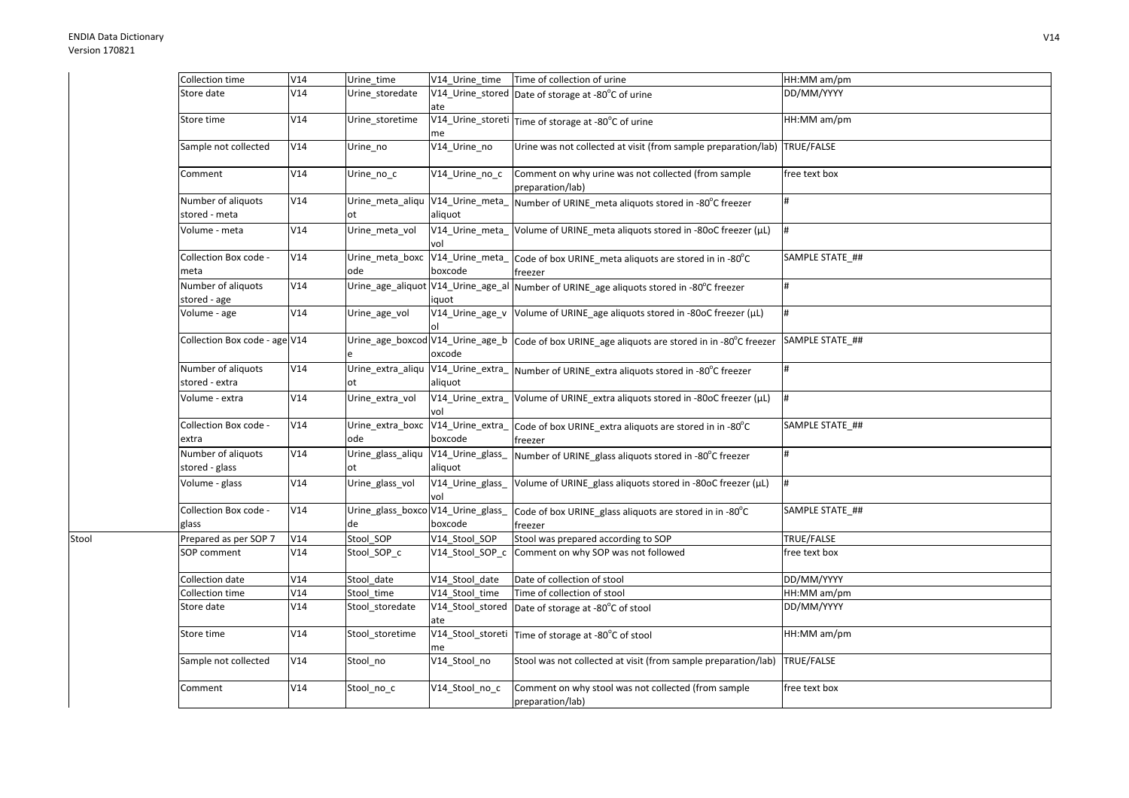Stool

| Collection time                      | V14 | Urine time                               | V14 Urine time                              | Time of collection of urine                                               | HH:MM am/pm       |
|--------------------------------------|-----|------------------------------------------|---------------------------------------------|---------------------------------------------------------------------------|-------------------|
| Store date                           | V14 | Urine_storedate                          | ate                                         | V14_Urine_stored Date of storage at -80°C of urine                        | DD/MM/YYYY        |
| Store time                           | V14 | Urine_storetime                          | me                                          | V14_Urine_storeti Time of storage at -80°C of urine                       | HH:MM am/pm       |
| Sample not collected                 | V14 | Urine_no                                 | V14_Urine_no                                | Urine was not collected at visit (from sample preparation/lab) TRUE/FALSE |                   |
| Comment                              | V14 | Urine no c                               | V14_Urine_no_c                              | Comment on why urine was not collected (from sample<br>preparation/lab)   | free text box     |
| Number of aliquots<br>stored - meta  | V14 | Urine_meta_aliqu V14_Urine_meta_<br>ot   | aliquot                                     | Number of URINE_meta aliquots stored in -80°C freezer                     |                   |
| Volume - meta                        | V14 | Urine meta vol                           | V14_Urine_meta_<br>vol                      | Volume of URINE_meta aliquots stored in -80oC freezer (µL)                | #                 |
| Collection Box code -<br>meta        | V14 | Urine_meta_boxc<br>ode                   | V14_Urine_meta_<br>boxcode                  | Code of box URINE_meta aliquots are stored in in -80°C<br>freezer         | SAMPLE STATE_##   |
| Number of aliquots<br>stored - age   | V14 |                                          | Urine_age_aliquot V14_Urine_age_al<br>iquot | Number of URINE_age aliquots stored in -80°C freezer                      |                   |
| Volume - age                         | V14 | Urine_age_vol                            | V14_Urine_age_v                             | Volume of URINE_age aliquots stored in -80oC freezer (µL)                 | #                 |
| Collection Box code - age V14        |     |                                          | Urine_age_boxcod V14_Urine_age_b<br>oxcode  | Code of box URINE_age aliquots are stored in in -80°C freezer             | SAMPLE STATE ##   |
| Number of aliquots<br>stored - extra | V14 | Urine_extra_aliqu<br>ot                  | aliquot                                     | V14_Urine_extra_ Number of URINE_extra aliquots stored in -80°C freezer   |                   |
| Volume - extra                       | V14 | Urine_extra_vol                          | V14 Urine extra<br>vol                      | Volume of URINE_extra aliquots stored in -80oC freezer (µL)               |                   |
| Collection Box code -<br>extra       | V14 | Urine_extra_boxc<br>ode                  | V14_Urine_extra_<br>boxcode                 | Code of box URINE_extra aliquots are stored in in -80°C<br>freezer        | SAMPLE STATE ##   |
| Number of aliquots<br>stored - glass | V14 | Urine_glass_aliqu<br>ot                  | $\sqrt{V14}$ _Urine_glass_<br>aliquot       | Number of URINE_glass aliquots stored in -80°C freezer                    |                   |
| Volume - glass                       | V14 | Urine_glass_vol                          | V14_Urine_glass_<br>vol                     | Volume of URINE_glass aliquots stored in -80oC freezer (µL)               |                   |
| Collection Box code -<br>glass       | V14 | Urine_glass_boxco V14_Urine_glass_<br>de | boxcode                                     | Code of box URINE_glass aliquots are stored in in -80°C<br>freezer        | SAMPLE STATE_##   |
| Prepared as per SOP 7                | V14 | Stool_SOP                                | V14_Stool_SOP                               | Stool was prepared according to SOP                                       | <b>TRUE/FALSE</b> |
| SOP comment                          | V14 | Stool_SOP_c                              | V14_Stool_SOP_c                             | Comment on why SOP was not followed                                       | free text box     |
| Collection date                      | V14 | Stool date                               | V14 Stool date                              | Date of collection of stool                                               | DD/MM/YYYY        |
| Collection time                      | V14 | Stool time                               | V14_Stool_time                              | Time of collection of stool                                               | HH:MM am/pm       |
| Store date                           | V14 | Stool_storedate                          | V14_Stool_stored<br>ate                     | Date of storage at -80°C of stool                                         | DD/MM/YYYY        |
| Store time                           | V14 | Stool_storetime                          | V14_Stool_storeti<br>me                     | Time of storage at -80°C of stool                                         | HH:MM am/pm       |
| Sample not collected                 | V14 | Stool no                                 | V14_Stool_no                                | Stool was not collected at visit (from sample preparation/lab) TRUE/FALSE |                   |
| Comment                              | V14 | Stool_no_c                               | V14 Stool no c                              | Comment on why stool was not collected (from sample<br>preparation/lab)   | free text box     |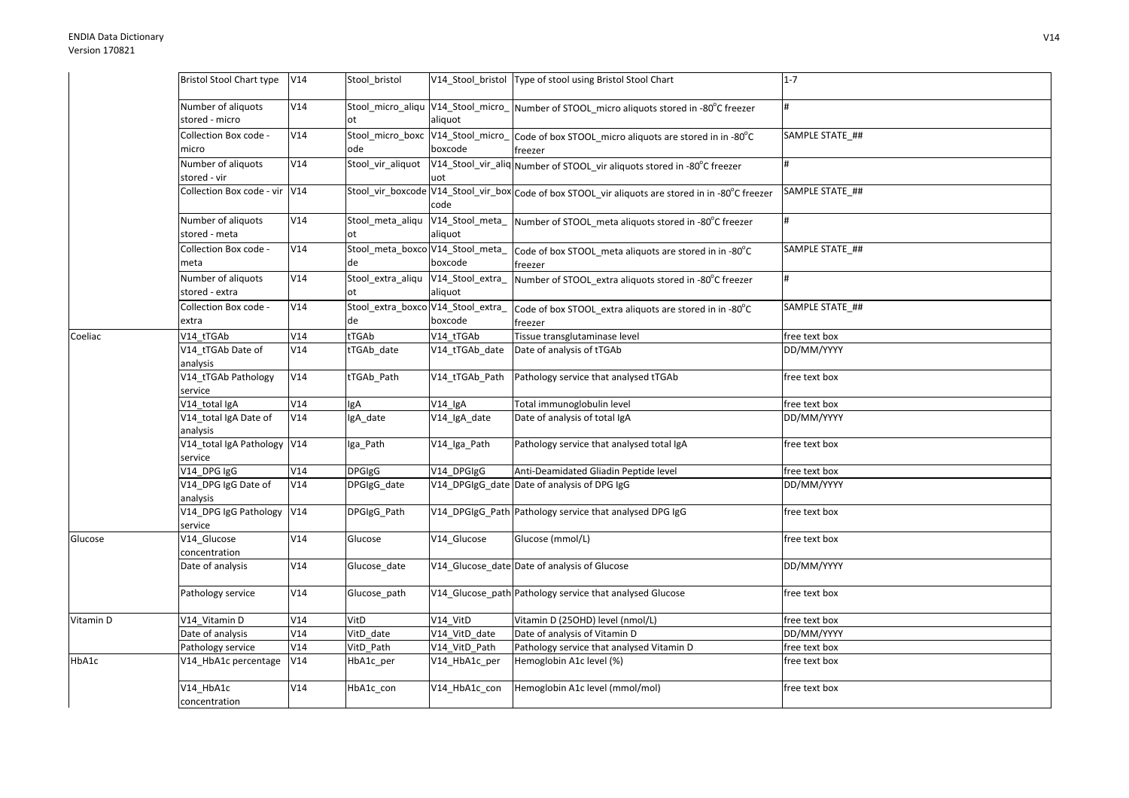|           | Bristol Stool Chart type V14           |     | Stool bristol                            |                             | V14_Stool_bristol   Type of stool using Bristol Stool Chart                                          | $1 - 7$         |
|-----------|----------------------------------------|-----|------------------------------------------|-----------------------------|------------------------------------------------------------------------------------------------------|-----------------|
|           | Number of aliquots<br>stored - micro   | V14 |                                          | aliquot                     | Stool_micro_aliqu V14_Stool_micro_ Number of STOOL_micro aliquots stored in -80°C freezer            |                 |
|           | Collection Box code -<br>micro         | V14 | ode                                      | boxcode                     | Stool_micro_boxc V14_Stool_micro_ Code of box STOOL_micro aliquots are stored in in -80°C<br>freezer | SAMPLE STATE ## |
|           | Number of aliquots<br>stored - vir     | V14 | Stool_vir_aliquot                        | uot                         | V14_Stool_vir_aliq Number of STOOL_vir aliquots stored in -80°C freezer                              |                 |
|           | Collection Box code - vir V14          |     |                                          | code                        | Stool_vir_boxcode V14_Stool_vir_box Code of box STOOL_vir aliquots are stored in in -80°C freezer    | SAMPLE STATE ## |
|           | Number of aliquots<br>stored - meta    | V14 | Stool meta aliqu<br>ot                   | aliquot                     | V14_Stool_meta_ Number of STOOL_meta aliquots stored in -80°C freezer                                |                 |
|           | Collection Box code -<br>meta          | V14 | de                                       | boxcode                     | Stool_meta_boxco V14_Stool_meta_   Code of box STOOL_meta aliquots are stored in in -80°C<br>freezer | SAMPLE STATE_## |
|           | Number of aliquots<br>stored - extra   | V14 | Stool_extra_aliqu<br>ot                  | V14_Stool_extra_<br>aliquot | Number of STOOL_extra aliquots stored in -80°C freezer                                               | #               |
|           | Collection Box code -<br>extra         | V14 | Stool_extra_boxco V14_Stool_extra_<br>de | boxcode                     | Code of box STOOL_extra aliquots are stored in in -80°C<br>freezer                                   | SAMPLE STATE_## |
| Coeliac   | V14_tTGAb                              | V14 | tTGAb                                    | V14 tTGAb                   | Tissue transglutaminase level                                                                        | free text box   |
|           | V14_tTGAb Date of<br>analysis          | V14 | tTGAb date                               | V14_tTGAb_date              | Date of analysis of tTGAb                                                                            | DD/MM/YYYY      |
|           | V14_tTGAb Pathology<br>service         | V14 | tTGAb_Path                               | V14 tTGAb Path              | Pathology service that analysed tTGAb                                                                | free text box   |
|           | V14_total IgA                          | V14 | gA                                       | V14_IgA                     | Total immunoglobulin level                                                                           | free text box   |
|           | V14_total IgA Date of<br>analysis      | V14 | IgA_date                                 | V14_IgA_date                | Date of analysis of total IgA                                                                        | DD/MM/YYYY      |
|           | V14_total IgA Pathology V14<br>service |     | Iga_Path                                 | V14_Iga_Path                | Pathology service that analysed total IgA                                                            | free text box   |
|           | V14_DPG IgG                            | V14 | <b>DPGIgG</b>                            | V14 DPGIgG                  | Anti-Deamidated Gliadin Peptide level                                                                | free text box   |
|           | V14_DPG IgG Date of<br>analysis        | V14 | DPGIgG date                              |                             | V14_DPGIgG_date Date of analysis of DPG IgG                                                          | DD/MM/YYYY      |
|           | V14_DPG IgG Pathology V14<br>service   |     | DPGIgG_Path                              |                             | V14_DPGIgG_Path Pathology service that analysed DPG IgG                                              | free text box   |
| Glucose   | V14_Glucose<br>concentration           | V14 | Glucose                                  | V14 Glucose                 | Glucose (mmol/L)                                                                                     | free text box   |
|           | Date of analysis                       | V14 | Glucose_date                             |                             | V14_Glucose_date Date of analysis of Glucose                                                         | DD/MM/YYYY      |
|           | Pathology service                      | V14 | Glucose_path                             |                             | V14_Glucose_path Pathology service that analysed Glucose                                             | free text box   |
| Vitamin D | V14_Vitamin D                          | V14 | VitD                                     | V14_VitD                    | Vitamin D (25OHD) level (nmol/L)                                                                     | free text box   |
|           | Date of analysis                       | V14 | VitD_date                                | V14_VitD_date               | Date of analysis of Vitamin D                                                                        | DD/MM/YYYY      |
|           | Pathology service                      | V14 | VitD Path                                | V14 VitD Path               | Pathology service that analysed Vitamin D                                                            | free text box   |
| HbA1c     | V14_HbA1c percentage                   | V14 | HbA1c_per                                | V14_HbA1c_per               | Hemoglobin A1c level (%)                                                                             | free text box   |
|           | V14_HbA1c<br>concentration             | V14 | HbA1c_con                                | V14_HbA1c_con               | Hemoglobin A1c level (mmol/mol)                                                                      | free text box   |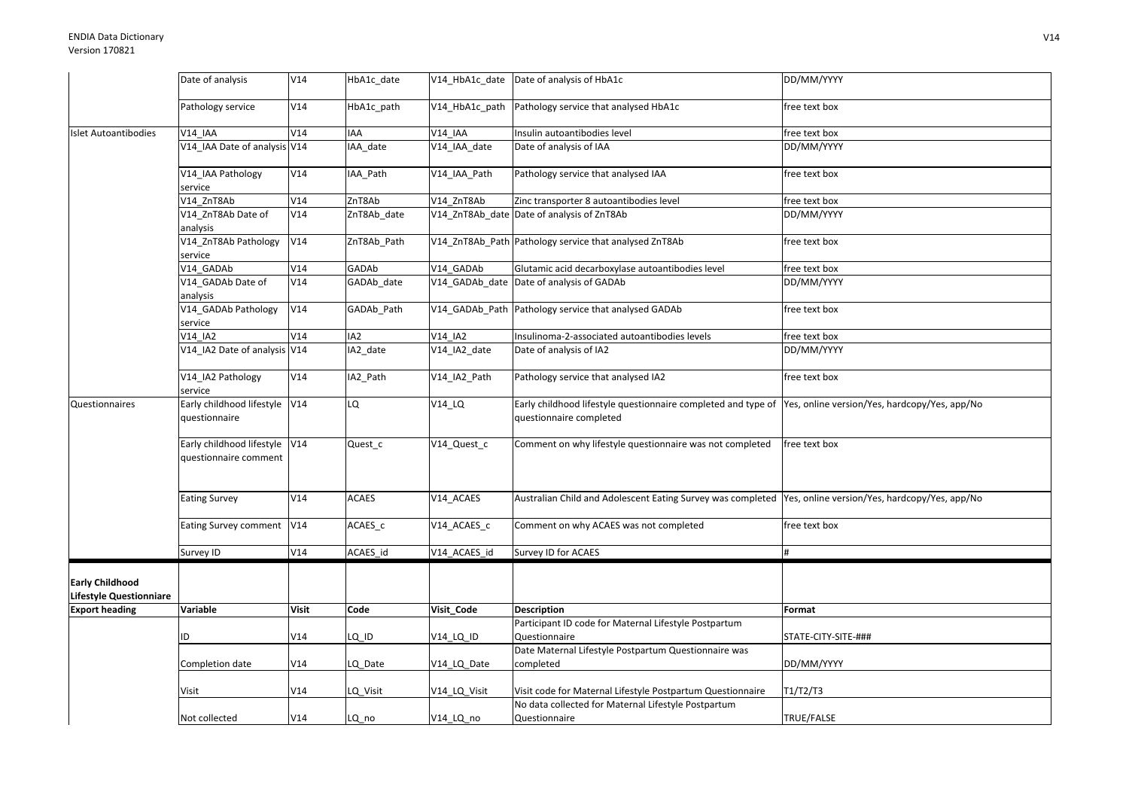|                                                          | Date of analysis                                       | V14          | HbA1c date      |                     | V14 HbA1c date Date of analysis of HbA1c                                                                                               | DD/MM/YYYY          |
|----------------------------------------------------------|--------------------------------------------------------|--------------|-----------------|---------------------|----------------------------------------------------------------------------------------------------------------------------------------|---------------------|
|                                                          | Pathology service                                      | V14          |                 |                     | V14_HbA1c_path Pathology service that analysed HbA1c                                                                                   | free text box       |
|                                                          |                                                        |              | HbA1c_path      |                     |                                                                                                                                        |                     |
| Islet Autoantibodies                                     | <b>V14 IAA</b>                                         | V14          | IAA             | $V14$ _IAA          | Insulin autoantibodies level                                                                                                           | free text box       |
|                                                          | V14_IAA Date of analysis V14                           |              | IAA date        | V14 IAA date        | Date of analysis of IAA                                                                                                                | DD/MM/YYYY          |
|                                                          | V14 IAA Pathology<br>service                           | V14          | IAA Path        | V14 IAA Path        | Pathology service that analysed IAA                                                                                                    | free text box       |
|                                                          | V14 ZnT8Ab                                             | V14          | ZnT8Ab          | V14 ZnT8Ab          | Zinc transporter 8 autoantibodies level                                                                                                | free text box       |
|                                                          | V14_ZnT8Ab Date of<br>analysis                         | V14          | ZnT8Ab_date     |                     | V14 ZnT8Ab date Date of analysis of ZnT8Ab                                                                                             | DD/MM/YYYY          |
|                                                          | V14_ZnT8Ab Pathology<br>service                        | V14          | ZnT8Ab_Path     |                     | V14_ZnT8Ab_Path Pathology service that analysed ZnT8Ab                                                                                 | free text box       |
|                                                          | V14 GADAb                                              | V14          | GADAb           | V14 GADAb           | Glutamic acid decarboxylase autoantibodies level                                                                                       | free text box       |
|                                                          | V14_GADAb Date of<br>analysis                          | V14          | GADAb_date      |                     | V14 GADAb date Date of analysis of GADAb                                                                                               | DD/MM/YYYY          |
|                                                          | V14_GADAb Pathology<br>service                         | V14          | GADAb_Path      |                     | V14_GADAb_Path Pathology service that analysed GADAb                                                                                   | free text box       |
|                                                          | V14 IA2                                                | V14          | IA <sub>2</sub> | V14 IA2             | Insulinoma-2-associated autoantibodies levels                                                                                          | free text box       |
|                                                          | V14_IA2 Date of analysis V14                           |              | IA2_date        | V14_IA2_date        | Date of analysis of IA2                                                                                                                | DD/MM/YYYY          |
|                                                          | V14_IA2 Pathology<br>service                           | V14          | IA2_Path        | V14_IA2_Path        | Pathology service that analysed IA2                                                                                                    | free text box       |
| Questionnaires                                           | Early childhood lifestyle V14<br>questionnaire         |              | LQ              | $V14$ <sup>LQ</sup> | Early childhood lifestyle questionnaire completed and type of Yes, online version/Yes, hardcopy/Yes, app/No<br>questionnaire completed |                     |
|                                                          | Early childhood lifestyle V14<br>questionnaire comment |              | Quest_c         | V14_Quest_c         | Comment on why lifestyle questionnaire was not completed                                                                               | free text box       |
|                                                          | <b>Eating Survey</b>                                   | V14          | <b>ACAES</b>    | V14 ACAES           | Australian Child and Adolescent Eating Survey was completed  Yes, online version/Yes, hardcopy/Yes, app/No                             |                     |
|                                                          | Eating Survey comment                                  | V14          | ACAES_c         | V14_ACAES_c         | Comment on why ACAES was not completed                                                                                                 | free text box       |
|                                                          | Survey ID                                              | V14          | ACAES_id        | V14_ACAES_id        | Survey ID for ACAES                                                                                                                    |                     |
| <b>Early Childhood</b><br><b>Lifestyle Questionniare</b> |                                                        |              |                 |                     |                                                                                                                                        |                     |
| <b>Export heading</b>                                    | Variable                                               | <b>Visit</b> | Code            | Visit_Code          | <b>Description</b>                                                                                                                     | Format              |
|                                                          |                                                        |              |                 |                     | Participant ID code for Maternal Lifestyle Postpartum                                                                                  |                     |
|                                                          | ID                                                     | V14          | LQ_ID           | V14_LQ_ID           | Questionnaire                                                                                                                          | STATE-CITY-SITE-### |
|                                                          | Completion date                                        | V14          | LQ Date         | V14 LQ Date         | Date Maternal Lifestyle Postpartum Questionnaire was<br>completed                                                                      | DD/MM/YYYY          |
|                                                          |                                                        |              |                 |                     |                                                                                                                                        |                     |
|                                                          | Visit                                                  | V14          | LQ_Visit        | V14_LQ_Visit        | Visit code for Maternal Lifestyle Postpartum Questionnaire                                                                             | T1/T2/T3            |
|                                                          |                                                        |              |                 |                     | No data collected for Maternal Lifestyle Postpartum                                                                                    |                     |
|                                                          | Not collected                                          | V14          | LQ_no           | V14_LQ_no           | Questionnaire                                                                                                                          | TRUE/FALSE          |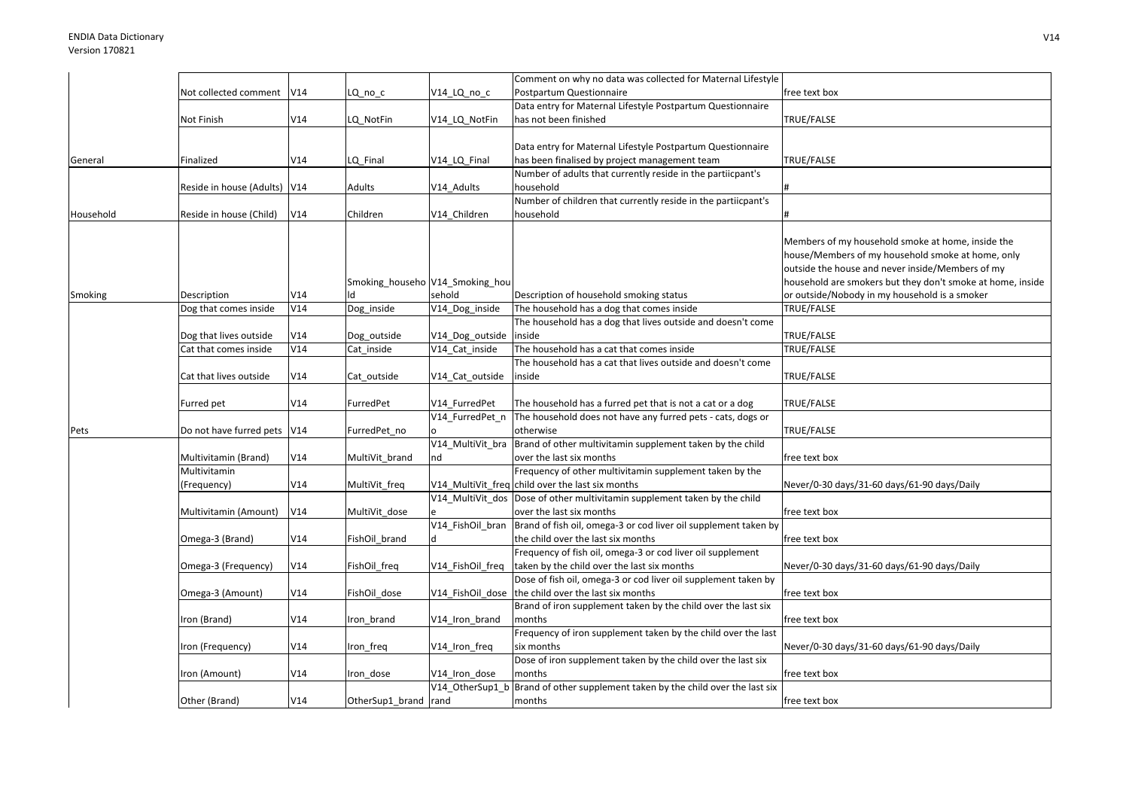|           |                              |     |                                 |                  | Comment on why no data was collected for Maternal Lifestyle                    |                                                            |
|-----------|------------------------------|-----|---------------------------------|------------------|--------------------------------------------------------------------------------|------------------------------------------------------------|
|           | Not collected comment        | V14 | LQ no c                         | V14 LQ no c      | Postpartum Questionnaire                                                       | free text box                                              |
|           |                              |     |                                 |                  | Data entry for Maternal Lifestyle Postpartum Questionnaire                     |                                                            |
|           | Not Finish                   | V14 | LQ NotFin                       | V14 LQ NotFin    | has not been finished                                                          | TRUE/FALSE                                                 |
|           |                              |     |                                 |                  |                                                                                |                                                            |
|           |                              |     |                                 |                  | Data entry for Maternal Lifestyle Postpartum Questionnaire                     |                                                            |
| General   | Finalized                    | V14 | LQ Final                        | V14 LQ Final     | has been finalised by project management team                                  | TRUE/FALSE                                                 |
|           |                              |     |                                 |                  | Number of adults that currently reside in the partiicpant's                    |                                                            |
|           | Reside in house (Adults) V14 |     | Adults                          | V14_Adults       | household                                                                      |                                                            |
|           |                              |     |                                 |                  | Number of children that currently reside in the partiicpant's                  |                                                            |
| Household | Reside in house (Child)      | V14 | Children                        | V14_Children     | household                                                                      |                                                            |
|           |                              |     |                                 |                  |                                                                                |                                                            |
|           |                              |     |                                 |                  |                                                                                | Members of my household smoke at home, inside the          |
|           |                              |     |                                 |                  |                                                                                | house/Members of my household smoke at home, only          |
|           |                              |     |                                 |                  |                                                                                | outside the house and never inside/Members of my           |
|           |                              |     | Smoking_househo V14_Smoking_hou |                  |                                                                                | household are smokers but they don't smoke at home, inside |
| Smoking   | Description                  | V14 | ld                              | sehold           | Description of household smoking status                                        | or outside/Nobody in my household is a smoker              |
|           | Dog that comes inside        | V14 | Dog_inside                      | V14_Dog_inside   | The household has a dog that comes inside                                      | TRUE/FALSE                                                 |
|           |                              |     |                                 |                  | The household has a dog that lives outside and doesn't come                    |                                                            |
|           | Dog that lives outside       | V14 | Dog_outside                     | V14_Dog_outside  | inside                                                                         | TRUE/FALSE                                                 |
|           | Cat that comes inside        | V14 | Cat inside                      | V14 Cat inside   | The household has a cat that comes inside                                      | TRUE/FALSE                                                 |
|           |                              |     |                                 |                  | The household has a cat that lives outside and doesn't come                    |                                                            |
|           | Cat that lives outside       | V14 | Cat outside                     | V14 Cat outside  | inside                                                                         | TRUE/FALSE                                                 |
|           |                              |     |                                 |                  |                                                                                |                                                            |
|           | Furred pet                   | V14 | FurredPet                       | V14 FurredPet    | The household has a furred pet that is not a cat or a dog                      | TRUE/FALSE                                                 |
|           |                              |     |                                 | V14 FurredPet n  | The household does not have any furred pets - cats, dogs or                    |                                                            |
| Pets      | Do not have furred pets      | V14 | FurredPet_no                    |                  | otherwise                                                                      | TRUE/FALSE                                                 |
|           |                              |     |                                 | V14_MultiVit_bra | Brand of other multivitamin supplement taken by the child                      |                                                            |
|           | Multivitamin (Brand)         | V14 | MultiVit_brand                  | nd               | over the last six months                                                       | free text box                                              |
|           | Multivitamin                 |     |                                 |                  | Frequency of other multivitamin supplement taken by the                        |                                                            |
|           | (Frequency)                  | V14 | MultiVit_freq                   |                  | V14 MultiVit freq child over the last six months                               | Never/0-30 days/31-60 days/61-90 days/Daily                |
|           |                              |     |                                 |                  | V14_MultiVit_dos Dose of other multivitamin supplement taken by the child      |                                                            |
|           | Multivitamin (Amount)        | V14 | MultiVit dose                   |                  | over the last six months                                                       | free text box                                              |
|           |                              |     |                                 | V14_FishOil_bran | Brand of fish oil, omega-3 or cod liver oil supplement taken by                |                                                            |
|           | Omega-3 (Brand)              | V14 | FishOil brand                   |                  | the child over the last six months                                             | free text box                                              |
|           |                              |     |                                 |                  | Frequency of fish oil, omega-3 or cod liver oil supplement                     |                                                            |
|           | Omega-3 (Frequency)          | V14 | FishOil_freq                    | V14_FishOil_freq | taken by the child over the last six months                                    | Never/0-30 days/31-60 days/61-90 days/Daily                |
|           |                              |     |                                 |                  | Dose of fish oil, omega-3 or cod liver oil supplement taken by                 |                                                            |
|           | Omega-3 (Amount)             | V14 | FishOil dose                    | V14 FishOil dose | the child over the last six months                                             | free text box                                              |
|           |                              |     |                                 |                  | Brand of iron supplement taken by the child over the last six                  |                                                            |
|           | Iron (Brand)                 | V14 | Iron brand                      | V14 Iron brand   | months                                                                         | free text box                                              |
|           |                              |     |                                 |                  | Frequency of iron supplement taken by the child over the last                  |                                                            |
|           | Iron (Frequency)             | V14 | Iron_freq                       | V14_Iron_freq    | six months                                                                     | Never/0-30 days/31-60 days/61-90 days/Daily                |
|           |                              |     |                                 |                  | Dose of iron supplement taken by the child over the last six                   |                                                            |
|           | Iron (Amount)                | V14 | Iron dose                       | V14 Iron dose    | months                                                                         | free text box                                              |
|           |                              |     |                                 |                  | V14_OtherSup1_b Brand of other supplement taken by the child over the last six |                                                            |
|           | Other (Brand)                | V14 | OtherSup1 brand rand            |                  | months                                                                         | free text box                                              |
|           |                              |     |                                 |                  |                                                                                |                                                            |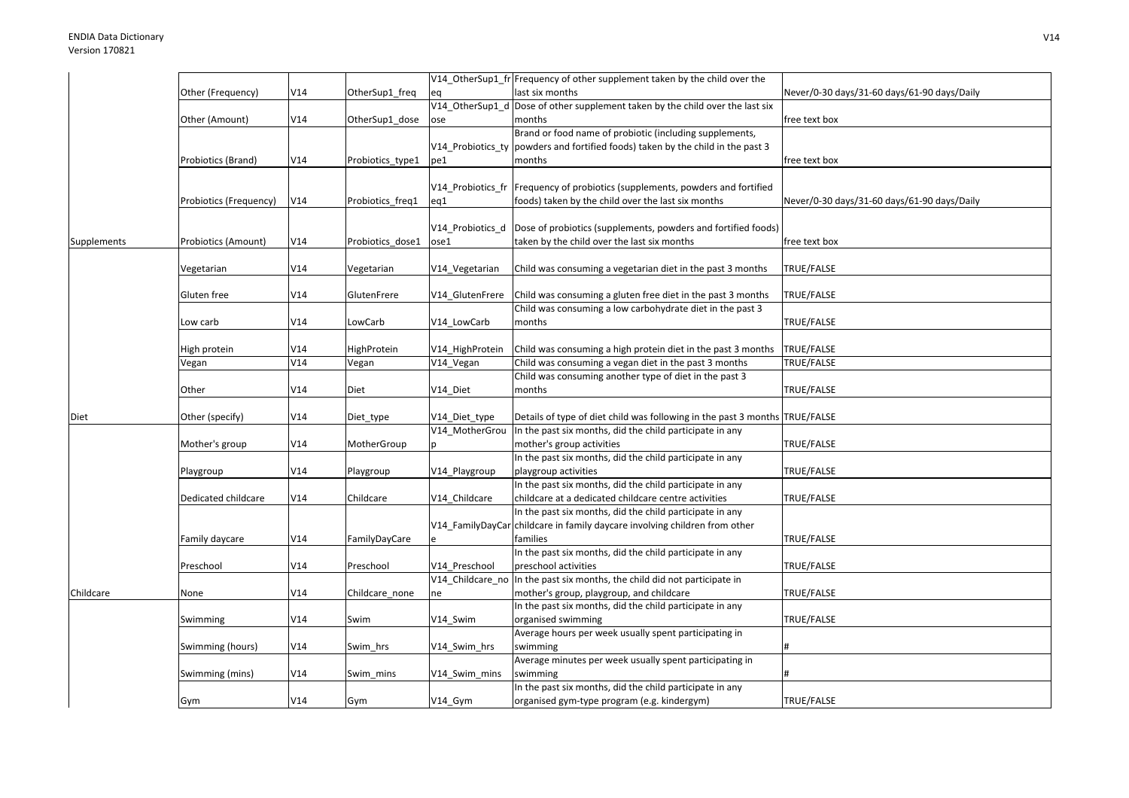|             |                        |     |                  |                 | V14_OtherSup1_fr Frequency of other supplement taken by the child over the      |                                             |
|-------------|------------------------|-----|------------------|-----------------|---------------------------------------------------------------------------------|---------------------------------------------|
|             | Other (Frequency)      | V14 | OtherSup1_freq   | eq              | last six months                                                                 | Never/0-30 days/31-60 days/61-90 days/Daily |
|             |                        |     |                  |                 | V14_OtherSup1_d Dose of other supplement taken by the child over the last six   |                                             |
|             | Other (Amount)         | V14 | OtherSup1_dose   | ose             | months                                                                          | free text box                               |
|             |                        |     |                  |                 | Brand or food name of probiotic (including supplements,                         |                                             |
|             |                        |     |                  |                 | V14 Probiotics ty powders and fortified foods) taken by the child in the past 3 |                                             |
|             | Probiotics (Brand)     | V14 | Probiotics_type1 | pe1             | months                                                                          | free text box                               |
|             |                        |     |                  |                 |                                                                                 |                                             |
|             |                        |     |                  |                 | V14_Probiotics_fr  Frequency of probiotics (supplements, powders and fortified  |                                             |
|             | Probiotics (Frequency) | V14 | Probiotics_freq1 | eq1             | foods) taken by the child over the last six months                              | Never/0-30 days/31-60 days/61-90 days/Daily |
|             |                        |     |                  |                 |                                                                                 |                                             |
|             |                        |     |                  |                 | V14_Probiotics_d Dose of probiotics (supplements, powders and fortified foods)  |                                             |
| Supplements | Probiotics (Amount)    | V14 | Probiotics_dose1 | ose1            | taken by the child over the last six months                                     | free text box                               |
|             |                        |     |                  |                 |                                                                                 |                                             |
|             | Vegetarian             | V14 | √egetarian       | V14_Vegetarian  | Child was consuming a vegetarian diet in the past 3 months                      | TRUE/FALSE                                  |
|             |                        |     |                  |                 |                                                                                 |                                             |
|             | Gluten free            | V14 | GlutenFrere      | V14_GlutenFrere | Child was consuming a gluten free diet in the past 3 months                     | TRUE/FALSE                                  |
|             |                        |     |                  |                 | Child was consuming a low carbohydrate diet in the past 3                       |                                             |
|             | Low carb               | V14 | LowCarb          | V14_LowCarb     | months                                                                          | TRUE/FALSE                                  |
|             |                        |     |                  |                 |                                                                                 |                                             |
|             | High protein           | V14 | HighProtein      | V14_HighProtein | Child was consuming a high protein diet in the past 3 months                    | TRUE/FALSE                                  |
|             | Vegan                  | V14 | Vegan            | V14_Vegan       | Child was consuming a vegan diet in the past 3 months                           | TRUE/FALSE                                  |
|             |                        |     |                  |                 | Child was consuming another type of diet in the past 3                          |                                             |
|             | Other                  | V14 | Diet             | V14 Diet        | months                                                                          | TRUE/FALSE                                  |
|             |                        |     |                  |                 |                                                                                 |                                             |
| Diet        | Other (specify)        | V14 | Diet_type        | V14 Diet type   | Details of type of diet child was following in the past 3 months TRUE/FALSE     |                                             |
|             |                        |     |                  |                 | V14 MotherGrou In the past six months, did the child participate in any         |                                             |
|             | Mother's group         | V14 | MotherGroup      |                 | mother's group activities                                                       | TRUE/FALSE                                  |
|             |                        |     |                  |                 | In the past six months, did the child participate in any                        |                                             |
|             | Playgroup              | V14 | Playgroup        | V14_Playgroup   | playgroup activities                                                            | TRUE/FALSE                                  |
|             |                        |     |                  |                 | In the past six months, did the child participate in any                        |                                             |
|             | Dedicated childcare    | V14 | Childcare        | V14 Childcare   | childcare at a dedicated childcare centre activities                            | TRUE/FALSE                                  |
|             |                        |     |                  |                 | In the past six months, did the child participate in any                        |                                             |
|             |                        |     |                  |                 | V14_FamilyDayCar childcare in family daycare involving children from other      |                                             |
|             | Family daycare         | V14 | FamilyDayCare    |                 | families                                                                        | TRUE/FALSE                                  |
|             |                        |     |                  |                 | In the past six months, did the child participate in any                        |                                             |
|             | Preschool              | V14 | Preschool        | V14 Preschool   | preschool activities                                                            | TRUE/FALSE                                  |
|             |                        |     |                  |                 | V14_Childcare_no In the past six months, the child did not participate in       |                                             |
| Childcare   | None                   | V14 | Childcare_none   | ne              | mother's group, playgroup, and childcare                                        | TRUE/FALSE                                  |
|             |                        |     |                  |                 | In the past six months, did the child participate in any                        |                                             |
|             | Swimming               | V14 | Swim             | V14_Swim        | organised swimming                                                              | TRUE/FALSE                                  |
|             |                        |     |                  |                 | Average hours per week usually spent participating in                           |                                             |
|             | Swimming (hours)       | V14 | Swim hrs         | V14 Swim hrs    | swimming                                                                        |                                             |
|             |                        |     |                  |                 | Average minutes per week usually spent participating in                         |                                             |
|             | Swimming (mins)        | V14 | Swim mins        | V14 Swim mins   | swimming                                                                        |                                             |
|             |                        |     |                  |                 | In the past six months, did the child participate in any                        |                                             |
|             | Gym                    | V14 | Gym              | V14_Gym         | organised gym-type program (e.g. kindergym)                                     | TRUE/FALSE                                  |
|             |                        |     |                  |                 |                                                                                 |                                             |